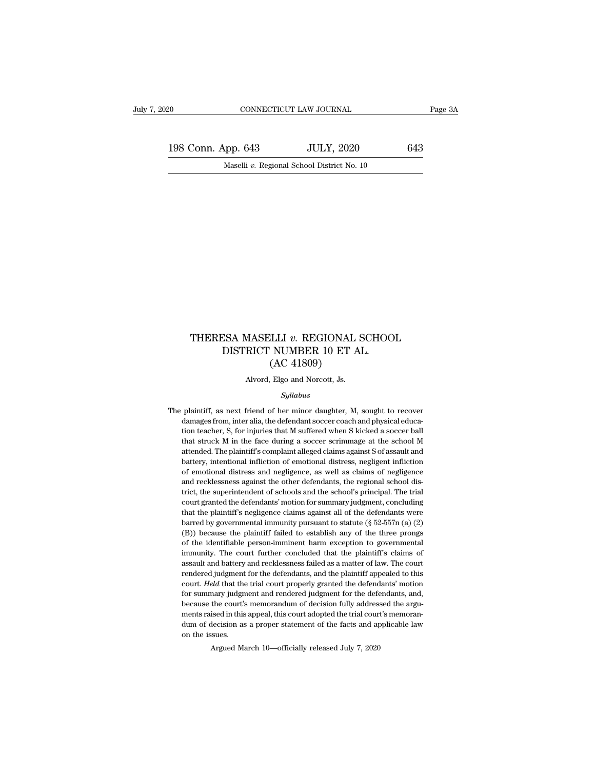EXECUTE CONNECTICUT LAW JOURNAL Page 3A<br>198 Conn. App. 643 JULY, 2020 643<br>Maselli v. Regional School District No. 10 CONNECTICUT LAW JOURNAL<br> **Maselli** *v.* Regional School District No. 10

## THERESA MASELLI *v.* REGIONAL SCHOOL<br>DISTRICT NUMBER 10 ET AL.  ${\tt ESA \; MASELLI \; \it v. \; REGIONAL \; SCHOC} {\tt DISTRICT \; NUMBER \; 10 \; ET \; AL. \; (AC \; 41809)}$ CLLI v. REGIONAL<br>' NUMBER 10 ET A<br>(AC 41809)<br>Elgo and Norcott, Js. THERESA MASELLI  $v$ . REGIONAL SCHOOL<br>DISTRICT NUMBER 10 ET AL.<br>(AC 41809)<br>Alvord, Elgo and Norcott, Js.

### *Syllabus*

THE PLATE TO EXTREMENT TO EXTREMENT (AC 41809)<br>
Alvord, Elgo and Norcott, Js.<br>
Syllabus<br>
The plaintiff, as next friend of her minor daughter, M, sought to recover<br>
damages from, inter alia, the defendant soccer coach and p  $(AC 41809)$ <br>Alvord, Elgo and Norcott, Js.<br>Syllabus<br>plaintiff, as next friend of her minor daughter, M, sought to recover<br>damages from, inter alia, the defendant soccer coach and physical educa-<br>tion teacher, S, for injuri Alvord, Elgo and Norcott, Js.<br>
Syllabus<br>
plaintiff, as next friend of her minor daughter, M, sought to recover<br>
damages from, inter alia, the defendant soccer coach and physical educa-<br>
tion teacher, S, for injuries that M Syllabus<br>Syllabus<br>plaintiff, as next friend of her minor daughter, M, sought to recover<br>damages from, inter alia, the defendant soccer coach and physical educa-<br>tion teacher, S, for injuries that M suffered when S kicked a *Syllabus*<br>plaintiff, as next friend of her minor daughter, M, sought to recover<br>damages from, inter alia, the defendant soccer coach and physical educa-<br>tion teacher, S, for injuries that M suffered when S kicked a soccer plaintiff, as next friend of her minor daughter, M, sought to recover damages from, inter alia, the defendant soccer coach and physical education teacher, S, for injuries that M suffered when S kicked a soccer ball that st parameters are the many is the distribution and physical education teacher, S, for injuries that M suffered when S kicked a soccer ball that struck M in the face during a soccer scrimmage at the school M attended. The plai and recklessness against the other defendants, the regional school with the face during a soccer scrimmage at the school M attended. The plaintiff's complaint alleged claims against S of assault and battery, intentional in that struck M in the face during a soccer scrimmage at the school M<br>that struck M in the face during a soccer scrimmage at the school M<br>attended. The plaintiff's complaint alleged claims against S of assault and<br>battery, i attended. The plaintiff's complaint alleged claims against S of assault and battery, intentional infliction of emotional distress, negligent infliction of emotional distress and negligence, as well as claims of negligence battery, intentional infliction of emotional distress, negligent infliction of emotional distress and negligence, as well as claims of negligence and recklessness against the other defendants, the regional school district of emotional distress and negligence, as well as claims of negligence and recklessness against the other defendants, the regional school district, the superintendent of schools and the school's principal. The trial court and recklessness against the other defendants, the regional school district, the superintendent of schools and the school's principal. The trial court granted the defendants' motion for summary judgment, concluding that th trict, the superintendent of schools and the school's principal. The trial<br>court granted the defendants' motion for summary judgment, concluding<br>that the plaintiff's negligence claims against all of the defendants were<br>ba court granted the defendants' motion for summary judgment, concluding<br>that the plaintiff's negligence claims against all of the defendants were<br>barred by governmental immunity pursuant to statute (§ 52-557n (a) (2)<br>(B)) b battery and recklessness failed as a matter of law. The court and the plaintiff's negligence claims against all of the defendants were barred by governmental immunity pursuant to statue ( $\S$  52-557n (a) (2) (B)) because t barred by governmental immunity pursuant to statute (§ 52-557n (a) (2) (B)) because the plaintiff failed to establish any of the three prongs of the identifiable person-imminent harm exception to governmental immunity. Th (B)) because the plaintiff failed to establish any of the three prongs of the identifiable person-imminent harm exception to governmental immunity. The court further concluded that the plaintiff's claims of assault and bat for the identifiable person-imminent harm exception to governmental immunity. The court further concluded that the plaintiff's claims of assault and battery and recklessness failed as a matter of law. The court rendered ju immunity. The court further concluded that the plaintiff's claims of assault and battery and recklessness failed as a matter of law. The court rendered judgment for the defendants, and the plaintiff appealed to this court. assault and battery and recklessness failed as a matter of law. The court rendered judgment for the defendants, and the plaintiff appealed to this court. *Held* that the trial court properly granted the defendants' motion rendered judgment for the defendants, and the plaintiff appealed to this court. *Held* that the trial court properly granted the defendants' motion for summary judgment and rendered judgment for the defendants, and, becaus court. Held that the<br>for summary judgm<br>because the court's<br>ments raised in this<br>dum of decision as<br>on the issues.<br>Argued Ma because the court's memorandum of decision fully addressed the arguments raised in this appeal, this court adopted the trial court's memorandum of decision as a proper statement of the facts and applicable law on the issu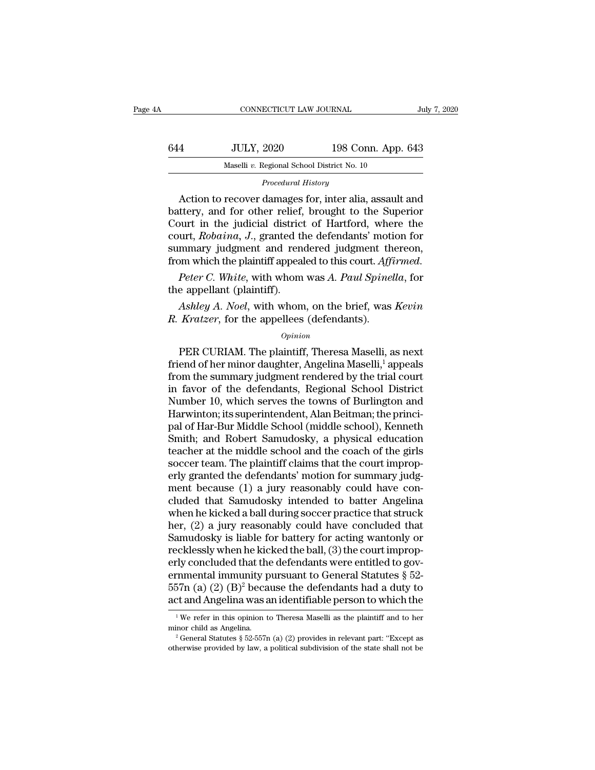|     | CONNECTICUT LAW JOURNAL                    |                                                       | July 7, 2020 |
|-----|--------------------------------------------|-------------------------------------------------------|--------------|
| 644 | <b>JULY, 2020</b>                          | 198 Conn. App. 643                                    |              |
|     | Maselli v. Regional School District No. 10 |                                                       |              |
|     | Procedural History                         |                                                       |              |
|     |                                            | Action to recover damages for inter alia, assault and |              |

Action to recover damages for, inter alia, assault and<br>the very density and for other relief, brought to the Superior<br>purt in the judicial district of Hartford, where the  $\begin{array}{r} \text{644} & \text{JULY, } 2020 & \text{198 Conn. App. 643} \ \text{Maselli } v. \text{ Regional School District No. 10} \ \text{Proceedural History} \ \text{Action to recover damages for, inter alia, assault and battery, and for other relief, brought to the Superior Court in the judicial district of Hartford, where the court, Bohcina, I, granted the default's motion for$ Court in the judicial district of Hartford, where the Maselli v. Regional School District No. 10<br> *Procedural History*<br> **Action to recover damages for, inter alia, assault and battery, and for other relief, brought to the Superior<br>
Court in the judicial district of Hartford,** Frocedural History<br>
Procedural History<br>
Action to recover damages for, inter alia, assault and<br>
battery, and for other relief, brought to the Superior<br>
Court in the judicial district of Hartford, where the<br>
court, *Robaina Frocedural History*<br>Action to recover damages for, inter alia, assault and<br>battery, and for other relief, brought to the Superior<br>Court in the judicial district of Hartford, where the<br>court, *Robaina*, *J.*, granted the d battery, and for other relief,<br>Court in the judicial district<br>court, *Robaina*, *J*., granted th<br>summary judgment and reno<br>from which the plaintiff appeal<br>*Peter C. White*, with whom<br>the appellant (plaintiff).<br>*Ashley A. N Ashley A. Noel,* with whom, on the brief, where the urt, *Robaina*, *J.*, granted the defendants' motion for mmary judgment and rendered judgment thereon, om which the plaintiff appealed to this court. *Affirmed. Peter R. Kratzer*, for the appellees (defendants).<br>*R. Kratzer*, *R. White*, with whom was *A. Paul Spines*<br>*R. Kratzer*, for the appellees (defendants).<br>*R. Kratzer*, for the appellees (defendants).<br>*Opinion* 

## *Opinion*

Peter C. White, with whom was A. Paul Spinella, for<br>
e appellant (plaintiff).<br>
Ashley A. Noel, with whom, on the brief, was Kevin<br>
Kratzer, for the appellees (defendants).<br>
Opinion<br>
PER CURIAM. The plaintiff, Theresa Masel the appellant (plaintiff).<br>
Ashley A. Noel, with whom, on the brief, was Kevin<br>
R. Kratzer, for the appellees (defendants).<br>
Opinion<br>
PER CURIAM. The plaintiff, Theresa Maselli, as next<br>
friend of her minor daughter, Angel *Ashley A. Noel*, with whom, on the brief, was *Kevin*<br> *R. Kratzer*, for the appellees (defendants).<br> *Opinion*<br>
PER CURIAM. The plaintiff, Theresa Maselli, as next<br>
friend of her minor daughter, Angelina Maselli,<sup>1</sup> appe *R. Kratzer*, for the appellees (defendants).<br> *Opinion*<br>
PER CURIAM. The plaintiff, Theresa Maselli, as next<br>
friend of her minor daughter, Angelina Maselli,<sup>1</sup> appeals<br>
from the summary judgment rendered by the trial co  $opinion$ <br>Density, it is appended variable. The plaintiff, Theresa Maselli, as next<br>friend of her minor daughter, Angelina Maselli,<sup>1</sup> appeals<br>from the summary judgment rendered by the trial court<br>in favor of the defendants, R  $\Phi$ <br>
FER CURIAM. The plaintiff, Theresa Maselli, as next<br>
friend of her minor daughter, Angelina Maselli,<sup>1</sup> appeals<br>
from the summary judgment rendered by the trial court<br>
in favor of the defendants, Regional School Dis PER CURIAM. The plaintiff, Theresa Maselli, as next<br>friend of her minor daughter, Angelina Maselli,<sup>1</sup> appeals<br>from the summary judgment rendered by the trial court<br>in favor of the defendants, Regional School District<br>Numb friend of her minor daughter, Angelina Maselli,<sup>1</sup> appeals<br>from the summary judgment rendered by the trial court<br>in favor of the defendants, Regional School District<br>Number 10, which serves the towns of Burlington and<br>Harw from the summary judgment rendered by the trial court<br>in favor of the defendants, Regional School District<br>Number 10, which serves the towns of Burlington and<br>Harwinton; its superintendent, Alan Beitman; the princi-<br>pal of in favor of the defendants, Regional School District<br>Number 10, which serves the towns of Burlington and<br>Harwinton; its superintendent, Alan Beitman; the princi-<br>pal of Har-Bur Middle School (middle school), Kenneth<br>Smith; Number 10, which serves the towns of Burlington and<br>Harwinton; its superintendent, Alan Beitman; the princi-<br>pal of Har-Bur Middle School (middle school), Kenneth<br>Smith; and Robert Samudosky, a physical education<br>teacher a Harwinton; its superintendent, Alan Beitman; the princi-<br>pal of Har-Bur Middle School (middle school), Kenneth<br>Smith; and Robert Samudosky, a physical education<br>teacher at the middle school and the coach of the girls<br>socce pal of Har-Bur Middle School (middle school), Kenneth<br>Smith; and Robert Samudosky, a physical education<br>teacher at the middle school and the coach of the girls<br>soccer team. The plaintiff claims that the court improp-<br>erly Smith; and Robert Samudosky, a physical education<br>teacher at the middle school and the coach of the girls<br>soccer team. The plaintiff claims that the court improp-<br>erly granted the defendants' motion for summary judg-<br>ment teacher at the middle school and the coach of the girls<br>soccer team. The plaintiff claims that the court improp-<br>erly granted the defendants' motion for summary judg-<br>ment because (1) a jury reasonably could have con-<br>clud soccer team. The plaintiff claims that the court improperly granted the defendants' motion for summary judgment because (1) a jury reasonably could have concluded that Samudosky intended to batter Angelina when he kicked a erly granted the defendants' motion for summary judgment because (1) a jury reasonably could have concluded that Samudosky intended to batter Angelina when he kicked a ball during soccer practice that struck her, (2) a jur ment because (1) a jury reasonably could have concluded that Samudosky intended to batter Angelina<br>when he kicked a ball during soccer practice that struck<br>her, (2) a jury reasonably could have concluded that<br>Samudosky is cluded that Samudosky intended to batter Angelina<br>when he kicked a ball during soccer practice that struck<br>her, (2) a jury reasonably could have concluded that<br>Samudosky is liable for battery for acting wantonly or<br>reckle when he kicked a ball during soccer practice that struck<br>her, (2) a jury reasonably could have concluded that<br>Samudosky is liable for battery for acting wantonly or<br>recklessly when he kicked the ball, (3) the court improp her, (2) a jury reasonably could have concluded that<br>Samudosky is liable for battery for acting wantonly or<br>recklessly when he kicked the ball, (3) the court improp-<br>erly concluded that the defendants were entitled to gov erly concluded that the defendants were entitled to governmental immunity pursuant to General Statutes § 52-<br>557n (a) (2) (B)<sup>2</sup> because the defendants had a duty to<br>act and Angelina was an identifiable person to which th ernmental immunity pursuant to General Statutes § 52-<br>557n (a) (2) (B)<sup>2</sup> because the defendants had a duty to<br>act and Angelina was an identifiable person to which the<br><sup>1</sup>We refer in this opinion to Theresa Maselli as the

act and Angelina was an identifiable person to which the<br>
<sup>1</sup>We refer in this opinion to Theresa Maselli as the plaintiff and to her<br>
minor child as Angelina.<br>
<sup>2</sup> General Statutes § 52-557n (a) (2) provides in relevant p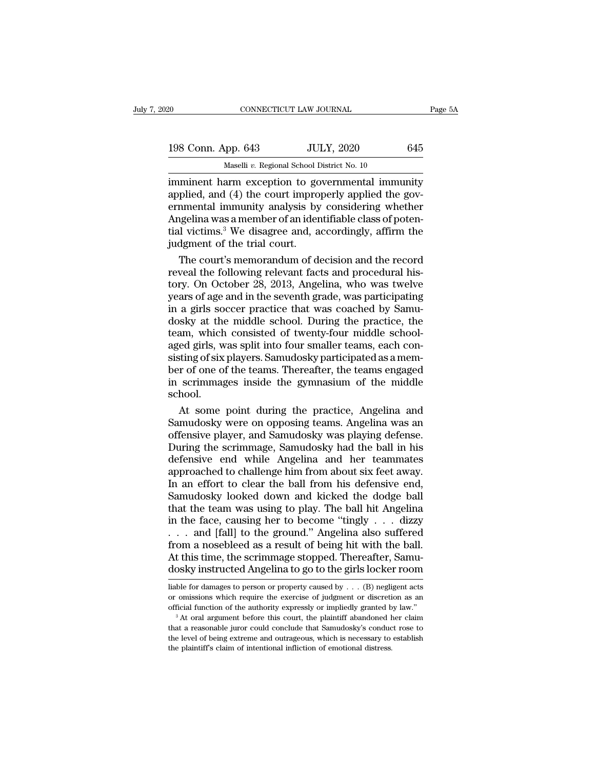| 20                 | CONNECTICUT LAW JOURNAL                          | Page 5A |
|--------------------|--------------------------------------------------|---------|
|                    |                                                  |         |
| 198 Conn. App. 643 | <b>JULY, 2020</b>                                | 645     |
|                    | Maselli v. Regional School District No. 10       |         |
|                    | imminent harm excention to governmental immunity |         |

EXECUTE EXECUTE LAW JOURNAL Page 5A<br>
198 Conn. App. 643 JULY, 2020 645<br>
Maselli v. Regional School District No. 10<br>
imminent harm exception to governmental immunity<br>
applied, and (4) the court improperly applied the govern 198 Conn. App. 643 JULY, 2020 645<br>Maselli v. Regional School District No. 10<br>imminent harm exception to governmental immunity<br>applied, and (4) the court improperly applied the gov-<br>ernmental immunity analysis by consideri 198 Conn. App. 643 JULY, 2020 645<br>
Maselli v. Regional School District No. 10<br>
imminent harm exception to governmental immunity<br>
applied, and (4) the court improperly applied the governmental immunity analysis by consider 198 Conn. App. 643 JULY, 2020 645<br>
Maselli v. Regional School District No. 10<br>
imminent harm exception to governmental immunity<br>
applied, and (4) the court improperly applied the governmental immunity analysis by consider Maselli v. Regional School District No. 10<br>
imminent harm exception to governmental immunity<br>
applied, and (4) the court improperly applied the governmental immunity analysis by considering whether<br>
Angelina was a member Maselli v. Regional School I<br>imminent harm exception to go<br>applied, and (4) the court impro<br>ernmental immunity analysis by<br>Angelina was a member of an ider<br>tial victims.<sup>3</sup> We disagree and, a<br>judgment of the trial court.<br> minent harm exception to governmental immunity<br>plied, and (4) the court improperly applied the gov-<br>nmental immunity analysis by considering whether<br>gelina was a member of an identifiable class of poten-<br>l victims.<sup>3</sup> We d applied, and (4) the court improperly applied the governmental immunity analysis by considering whether<br>Angelina was a member of an identifiable class of potential victims.<sup>3</sup> We disagree and, accordingly, affirm the<br>judgm

ernmental immunity analysis by considering whether<br>Angelina was a member of an identifiable class of potential victims.<sup>3</sup> We disagree and, accordingly, affirm the<br>judgment of the trial court.<br>The court's memorandum of dec Angelina was a member of an identifiable class of potential victims.<sup>3</sup> We disagree and, accordingly, affirm the judgment of the trial court.<br>The court's memorandum of decision and the record<br>reveal the following relevant tial victims.<sup>3</sup> We disagree and, accordingly, affirm the<br>judgment of the trial court.<br>The court's memorandum of decision and the record<br>reveal the following relevant facts and procedural his-<br>tory. On October 28, 2013, An judgment of the trial court.<br>
The court's memorandum of decision and the record<br>
reveal the following relevant facts and procedural his-<br>
tory. On October 28, 2013, Angelina, who was twelve<br>
years of age and in the seventh The court's memorandum of decision and the record<br>reveal the following relevant facts and procedural his-<br>tory. On October 28, 2013, Angelina, who was twelve<br>years of age and in the seventh grade, was participating<br>in a gi reveal the following relevant facts and procedural history. On October 28, 2013, Angelina, who was twelve years of age and in the seventh grade, was participating in a girls soccer practice that was coached by Samudosky at tory. On October 28, 2013, Angelina, who was twelve<br>years of age and in the seventh grade, was participating<br>in a girls soccer practice that was coached by Samu-<br>dosky at the middle school. During the practice, the<br>team, w years of age and in the seventh grade, was participating<br>in a girls soccer practice that was coached by Samu-<br>dosky at the middle school. During the practice, the<br>team, which consisted of twenty-four middle school-<br>aged gi in a girls soccer practice that was coached by Samudosky at the middle school. During the practice, the team, which consisted of twenty-four middle school-aged girls, was split into four smaller teams, each consisting of s school. am, which consisted of twenty-four middle school-<br>ed girls, was split into four smaller teams, each con-<br>sting of six players. Samudosky participated as a mem-<br>r of one of the teams. Thereafter, the teams engaged<br>scrimmage aged girls, was split into four smaller teams, each consisting of six players. Samudosky participated as a member of one of the teams. Thereafter, the teams engaged in scrimmages inside the gymnasium of the middle school.<br>

sisting of six players. Samudosky participated as a member of one of the teams. Thereafter, the teams engaged<br>in scrimmages inside the gymnasium of the middle<br>school.<br>At some point during the practice, Angelina and<br>Samudos ber of one of the teams. Thereafter, the teams engaged<br>in scrimmages inside the gymnasium of the middle<br>school.<br>At some point during the practice, Angelina and<br>Samudosky were on opposing teams. Angelina was an<br>offensive pl in scrimmages inside the gymnasium of the middle<br>school.<br>At some point during the practice, Angelina and<br>Samudosky were on opposing teams. Angelina was an<br>offensive player, and Samudosky was playing defense.<br>During the scr school.<br>At some point during the practice, Angelina and<br>Samudosky were on opposing teams. Angelina was an<br>offensive player, and Samudosky was playing defense.<br>During the scrimmage, Samudosky had the ball in his<br>defensive e At some point during the practice, Angelina and<br>Samudosky were on opposing teams. Angelina was an<br>offensive player, and Samudosky was playing defense.<br>During the scrimmage, Samudosky had the ball in his<br>defensive end, whil Samudosky were on opposing teams. Angelina was an<br>offensive player, and Samudosky was playing defense.<br>During the scrimmage, Samudosky had the ball in his<br>defensive end while Angelina and her teammates<br>approached to challe offensive player, and Samudosky was playing defense.<br>During the scrimmage, Samudosky had the ball in his<br>defensive end while Angelina and her teammates<br>approached to challenge him from about six feet away.<br>In an effort to During the scrimmage, Samudosky had the ball in his<br>defensive end while Angelina and her teammates<br>approached to challenge him from about six feet away.<br>In an effort to clear the ball from his defensive end,<br>Samudosky loo defensive end while Angelina and her teammates<br>approached to challenge him from about six feet away.<br>In an effort to clear the ball from his defensive end,<br>Samudosky looked down and kicked the dodge ball<br>that the team was approached to challenge him from about six feet away.<br>In an effort to clear the ball from his defensive end,<br>Samudosky looked down and kicked the dodge ball<br>that the team was using to play. The ball hit Angelina<br>in the fac In an effort to clear the ball from his defensive end,<br>Samudosky looked down and kicked the dodge ball<br>that the team was using to play. The ball hit Angelina<br>in the face, causing her to become "tingly  $\dots$  dizzy<br> $\dots$  and Samudosky looked down and kicked the dodge ball<br>that the team was using to play. The ball hit Angelina<br>in the face, causing her to become "tingly  $\dots$  dizzy<br> $\dots$  and [fall] to the ground." Angelina also suffered<br>from a no . . . and [fall] to the ground." Angelina also suffered<br>from a nosebleed as a result of being hit with the ball.<br>At this time, the scrimmage stopped. Thereafter, Samu-<br>dosky instructed Angelina to go to the girls locker r from a nosebleed as a result of being hit with the ball.<br>At this time, the scrimmage stopped. Thereafter, Samu-<br>dosky instructed Angelina to go to the girls locker room<br>liable for damages to person or property caused by

At this time, the scrimmage stopped. Thereafter, Samu-<br>dosky instructed Angelina to go to the girls locker room<br>liable for danages to person or property caused by  $\dots$  (B) negligent acts<br>or omissions which require the exe

That a reasonable juror could conclude that Samudosky's conduct are liable for damages to person or property caused by  $\ldots$  (B) negligent acts or omissions which require the exercise of judgment or discretion as an offic liable for damages to person or property caused by  $\dots$  (B) negligent acts or omissions which require the exercise of judgment or discretion as an official function of the authority expressly or impliedly granted by law." liable for damages to person or property caused by . . . (B) negligent acts or omissions which require the exercise of judgment or discretion as an official function of the authority expressly or impliedly granted by law.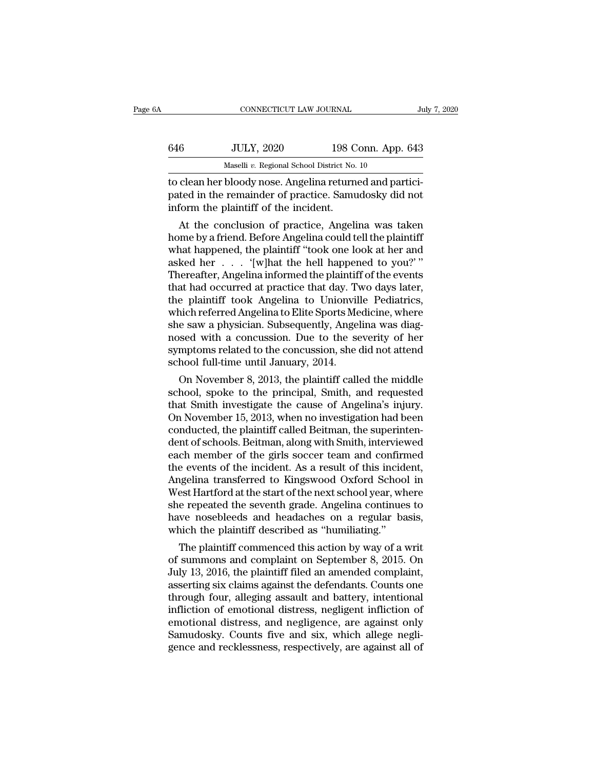| A   | CONNECTICUT LAW JOURNAL                                 |                    | July 7, 2020 |
|-----|---------------------------------------------------------|--------------------|--------------|
|     |                                                         |                    |              |
| 646 | <b>JULY, 2020</b>                                       | 198 Conn. App. 643 |              |
|     | Maselli v. Regional School District No. 10              |                    |              |
|     | to clean her bloody nose Angelina returned and partici- |                    |              |

CONNECTICUT LAW JOURNAL<br>
SOMETRICHT MANUS CONN. App. 643<br>
Maselli v. Regional School District No. 10<br>
to clean her bloody nose. Angelina returned and partici-<br>
pated in the remainder of practice. Samudosky did not<br>
inform  $\begin{tabular}{ll} \bf 646 & \tt JULY, 2020 & \tt 198 Conn. App. 643 \\ \hline \textbf{Maselli } v. Regional School District No. 10 \\ \hline \end{tabular} to clean her bloody nose. Angelina returned and participated in the remainder of practice. Samudosky did not inform the plaintiff of the incident. \end{tabular}$  $\begin{tabular}{c} 646 \hspace{1.5cm} \textcolor{red}{\textbf{JULY, 2020}} \hspace{1.5cm} \textcolor{red}{\textbf{198 C}} \\ \textcolor{red}{\textbf{Maselli }v. \text{ Regional School District No.}} \\ \textbf{to clean her bloody nose. Angelina return pated in the remainder of practice. Samu inform the plaintiff of the incident.} \\ \textbf{At the conclusion of practice, Angeli} \end{tabular}$  $\frac{100 \text{ A}}{200}$  and  $\frac{198 \text{ Conn.} \text{ App. } 643}{200 \text{ clean her bloody nose.} \text{ Angelina returned and particle}}$ <br>
and  $\frac{100 \text{ A}}{200 \text{ A}}$  and  $\frac{100 \text{ A}}{200 \text{ A}}$ <br>
and  $\frac{100 \text{ A}}{200 \text{ A}}$ <br>
form the plaintiff of the incident.<br>
At the conclusion of practice

Maselli v. Regional School District No. 10<br>to clean her bloody nose. Angelina returned and partici-<br>pated in the remainder of practice. Samudosky did not<br>inform the plaintiff of the incident.<br>At the conclusion of practice to clean her bloody nose. Angelina returned and partici-<br>pated in the remainder of practice. Samudosky did not<br>inform the plaintiff of the incident.<br>At the conclusion of practice, Angelina was taken<br>home by a friend. Befor to clean ner bloody nose. Angelina returned and particl-<br>pated in the remainder of practice. Samudosky did not<br>inform the plaintiff of the incident.<br>At the conclusion of practice, Angelina was taken<br>home by a friend. Befor pated in the remainder of practice. Samudosky did not<br>inform the plaintiff of the incident.<br>At the conclusion of practice, Angelina was taken<br>home by a friend. Before Angelina could tell the plaintiff<br>what happened, the pl morm the plaintiff of the incident.<br>At the conclusion of practice, Angelina was taken<br>home by a friend. Before Angelina could tell the plaintiff<br>what happened, the plaintiff "took one look at her and<br>asked her  $\ldots$  '[w]h At the conclusion of practice, Angelina was taken<br>home by a friend. Before Angelina could tell the plaintiff<br>what happened, the plaintiff "took one look at her and<br>asked her . . . '[w]hat the hell happened to you?'"<br>Therea home by a friend. Before Angelina could tell the plaintiff<br>what happened, the plaintiff "took one look at her and<br>asked her . . . . '[w]hat the hell happened to you?' "<br>Thereafter, Angelina informed the plaintiff of the ev what happened, the plaintiff "took one look at her and asked her  $\ldots$  "[w]hat the hell happened to you?" "Thereafter, Angelina informed the plaintiff of the events that had occurred at practice that day. Two days later, asked her . . . . '[w]hat the hell happened to you?' "<br>Thereafter, Angelina informed the plaintiff of the events<br>that had occurred at practice that day. Two days later,<br>the plaintiff took Angelina to Unionville Pediatrics, Thereafter, Angelina informed the plaintiff of the events<br>that had occurred at practice that day. Two days later,<br>the plaintiff took Angelina to Unionville Pediatrics,<br>which referred Angelina to Elite Sports Medicine, wher that had occurred at practice that day. To<br>the plaintiff took Angelina to Unionvill<br>which referred Angelina to Elite Sports Me<br>she saw a physician. Subsequently, Angel<br>nosed with a concussion. Due to the se<br>symptoms relate e plaintiff took Angelina to Unionville Pediatrics,<br>nich referred Angelina to Elite Sports Medicine, where<br>e saw a physician. Subsequently, Angelina was diag-<br>sed with a concussion. Due to the severity of her<br>mptoms relate which referred Angelina to Elite Sports Medicine, where<br>she saw a physician. Subsequently, Angelina was diag-<br>nosed with a concussion. Due to the severity of her<br>symptoms related to the concussion, she did not attend<br>schoo

she saw a physician. Subsequently, Angelina was diagnosed with a concussion. Due to the severity of her symptoms related to the concussion, she did not attend school full-time until January, 2014.<br>On November 8, 2013, the nosed with a concussion. Due to the severity of her<br>symptoms related to the concussion, she did not attend<br>school full-time until January, 2014.<br>On November 8, 2013, the plaintiff called the middle<br>school, spoke to the pri symptoms related to the concussion, she did not attend<br>school full-time until January, 2014.<br>On November 8, 2013, the plaintiff called the middle<br>school, spoke to the principal, Smith, and requested<br>that Smith investigate school run-ume until January, 2014.<br>
On November 8, 2013, the plaintiff called the middle<br>
school, spoke to the principal, Smith, and requested<br>
that Smith investigate the cause of Angelina's injury.<br>
On November 15, 2013, On November 8, 2013, the plaintiff called the middle<br>school, spoke to the principal, Smith, and requested<br>that Smith investigate the cause of Angelina's injury.<br>On November 15, 2013, when no investigation had been<br>conducte school, spoke to the principal, Smith, and requested<br>that Smith investigate the cause of Angelina's injury.<br>On November 15, 2013, when no investigation had been<br>conducted, the plaintiff called Beitman, the superinten-<br>dent that Smith investigate the cause of Angelina's injury.<br>On November 15, 2013, when no investigation had been<br>conducted, the plaintiff called Beitman, the superinten-<br>dent of schools. Beitman, along with Smith, interviewed<br>e On November 15, 2013, when no investigation had been<br>conducted, the plaintiff called Beitman, the superinten-<br>dent of schools. Beitman, along with Smith, interviewed<br>each member of the girls soccer team and confirmed<br>the e conducted, the plaintiff called Beitman, the superinten-<br>dent of schools. Beitman, along with Smith, interviewed<br>each member of the girls soccer team and confirmed<br>the events of the incident. As a result of this incident,<br> dent of schools. Beitman, along with Smith, interviewed<br>each member of the girls soccer team and confirmed<br>the events of the incident. As a result of this incident,<br>Angelina transferred to Kingswood Oxford School in<br>West H each member of the girls soccer team and confirm<br>the events of the incident. As a result of this incide<br>Angelina transferred to Kingswood Oxford Schoo<br>West Hartford at the start of the next school year, wh<br>she repeated the e events of the incident. As a result of this incident,<br>igelina transferred to Kingswood Oxford School in<br>est Hartford at the start of the next school year, where<br>e repeated the seventh grade. Angelina continues to<br>we nose Angelina transferred to Kingswood Oxford School in<br>West Hartford at the start of the next school year, where<br>she repeated the seventh grade. Angelina continues to<br>have nosebleeds and headaches on a regular basis,<br>which the

west Hartiord at the start of the next school year, where<br>she repeated the seventh grade. Angelina continues to<br>have nosebleeds and headaches on a regular basis,<br>which the plaintiff described as "humiliating."<br>The plaintif sne repeated the seventh grade. Angelma continues to<br>have nosebleeds and headaches on a regular basis,<br>which the plaintiff described as "humiliating."<br>The plaintiff commenced this action by way of a writ<br>of summons and com rawe nosepleeds and neadaches on a regular basis,<br>which the plaintiff described as "humiliating."<br>The plaintiff commenced this action by way of a writ<br>of summons and complaint on September 8, 2015. On<br>July 13, 2016, the pl which the plaintiff commenced this action by way of a writ<br>of summons and complaint on September 8, 2015. On<br>July 13, 2016, the plaintiff filed an amended complaint,<br>asserting six claims against the defendants. Counts one<br> The plaintiff commenced this action by way of a writ<br>of summons and complaint on September 8, 2015. On<br>July 13, 2016, the plaintiff filed an amended complaint,<br>asserting six claims against the defendants. Counts one<br>throug of summons and complaint on September 8, 2015. On<br>July 13, 2016, the plaintiff filed an amended complaint,<br>asserting six claims against the defendants. Counts one<br>through four, alleging assault and battery, intentional<br>inf July 13, 2016, the plaintiff filed an amended complaint, asserting six claims against the defendants. Counts one through four, alleging assault and battery, intentional infliction of emotional distress, negligence, are aga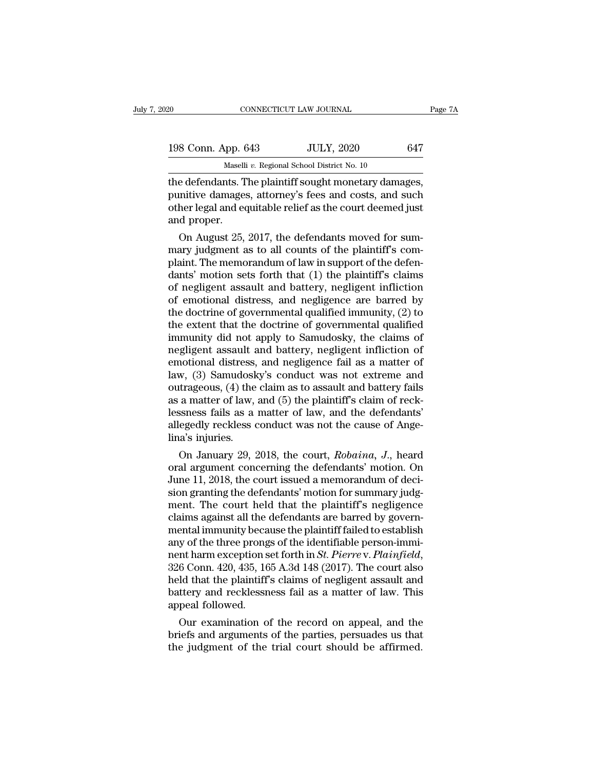| 20                                                   | CONNECTICUT LAW JOURNAL                    | Page 7A |
|------------------------------------------------------|--------------------------------------------|---------|
| 198 Conn. App. 643                                   | <b>JULY, 2020</b>                          | 647     |
|                                                      | Maselli v. Regional School District No. 10 |         |
| the defendants The plaintiff sought monetary damages |                                            |         |

CONNECTICUT LAW JOURNAL Page<br>
198 Conn. App. 643 JULY, 2020 647<br>
Maselli v. Regional School District No. 10<br>
the defendants. The plaintiff sought monetary damages,<br>
punitive damages, attorney's fees and costs, and such<br>
ot 198 Conn. App. 643 JULY, 2020 647<br>Maselli v. Regional School District No. 10<br>the defendants. The plaintiff sought monetary damages,<br>punitive damages, attorney's fees and costs, and such<br>other legal and equitable relief as 198 Conn. App. 643 JULY, 2020 647<br>Maselli v. Regional School District No. 10<br>the defendants. The plaintiff sought monetary damages,<br>punitive damages, attorney's fees and costs, and such<br>other legal and equitable relief as  $\begin{tabular}{r|c} \multicolumn{1}{r}{198}\,\textbf{Conn.} & \multicolumn{1}{r}{\textbf{App.}} & \multicolumn{1}{r}{\textbf{Maselli}}\\ \hline \multicolumn{1}{r}{the defendants.} \textbf{T} & \multicolumn{1}{r}{\textbf{The defendants.} \textbf{T} & \multicolumn{1}{r}{\textbf{p} } \textbf{unitive damage:} \\ \multicolumn{1}{r}{\textbf{of her legal and ec}} \\ \multicolumn{1}{r}{\textbf{and proper.}} & \multicolumn{1}{r}{\textbf{On August 25,}} \end{tabular}$ Maselli  $v$ . Regional School District No. 10<br>
e defendants. The plaintiff sought monetary damages,<br>
unitive damages, attorney's fees and costs, and such<br>
her legal and equitable relief as the court deemed just<br>
d proper.<br> the defendants. The plaintiff sought monetary damages,<br>punitive damages, attorney's fees and costs, and such<br>other legal and equitable relief as the court deemed just<br>and proper.<br>On August 25, 2017, the defendants moved fo

the defendants. The plaintiff sought monetary damages,<br>punitive damages, attorney's fees and costs, and such<br>other legal and equitable relief as the court deemed just<br>and proper.<br>On August 25, 2017, the defendants moved fo punitive damages, attorney's rees and costs, and such<br>other legal and equitable relief as the court deemed just<br>and proper.<br>On August 25, 2017, the defendants moved for sum-<br>mary judgment as to all counts of the plaintiff' other legal and equitable relief as the court deemed just<br>and proper.<br>On August 25, 2017, the defendants moved for sum-<br>mary judgment as to all counts of the plaintiff's com-<br>plaint. The memorandum of law in support of the and proper.<br>
On August 25, 2017, the defendants moved for sum-<br>
mary judgment as to all counts of the plaintiff's com-<br>
plaint. The memorandum of law in support of the defen-<br>
dants' motion sets forth that (1) the plaintif On August 25, 2017, the defendants moved for sum-<br>mary judgment as to all counts of the plaintiff's com-<br>plaint. The memorandum of law in support of the defen-<br>dants' motion sets forth that (1) the plaintiff's claims<br>of ne mary judgment as to all counts of the plaintiff's complaint. The memorandum of law in support of the defendants' motion sets forth that (1) the plaintiff's claims of negligent assault and battery, negligent infliction of e plaint. The memorandum of law in support of the defendants' motion sets forth that (1) the plaintiff's claims<br>of negligent assault and battery, negligent infliction<br>of emotional distress, and negligence are barred by<br>the d dants' motion sets forth that (1) the plaintiff's claims<br>of negligent assault and battery, negligent infliction<br>of emotional distress, and negligence are barred by<br>the doctrine of governmental qualified<br>immunity did not ap of negligent assault and battery, negligent infliction<br>of emotional distress, and negligence are barred by<br>the doctrine of governmental qualified immunity, (2) to<br>the extent that the doctrine of governmental qualified<br>immu of emotional distress, and negligence are barred by<br>the doctrine of governmental qualified immunity, (2) to<br>the extent that the doctrine of governmental qualified<br>immunity did not apply to Samudosky, the claims of<br>negligen the doctrine of governmental qualified immunity, (2) to<br>the extent that the doctrine of governmental qualified<br>immunity did not apply to Samudosky, the claims of<br>negligent assault and battery, negligent infliction of<br>emoti the extent that the doctrine of governmental qualified<br>immunity did not apply to Samudosky, the claims of<br>negligent assault and battery, negligent infliction of<br>emotional distress, and negligence fail as a matter of<br>law, ( immunity did not apply to Samudosky, the claims of<br>negligent assault and battery, negligent infliction of<br>emotional distress, and negligence fail as a matter of<br>law, (3) Samudosky's conduct was not extreme and<br>outrageous, negligent assault and battery, negligent infliction of<br>emotional distress, and negligence fail as a matter of<br>law, (3) Samudosky's conduct was not extreme and<br>outrageous, (4) the claim as to assault and battery fails<br>as a emotional distress,<br>law, (3) Samudosk<br>outrageous, (4) the<br>as a matter of law,<br>lessness fails as a<br>allegedly reckless c<br>lina's injuries.<br>On January 29, 2 w, (3) Samudosky's conduct was not extreme and<br>trageous, (4) the claim as to assault and battery fails<br>a matter of law, and (5) the plaintiff's claim of reck-<br>ssness fails as a matter of law, and the defendants'<br>egedly rec outrageous, (4) the claim as to assault and battery ralis<br>as a matter of law, and (5) the plaintiff's claim of reck-<br>lessness fails as a matter of law, and the defendants'<br>allegedly reckless conduct was not the cause of An

as a matter of law, and (5) the plaintiff sclaim of reck-<br>lessness fails as a matter of law, and the defendants'<br>allegedly reckless conduct was not the cause of Ange-<br>lina's injuries.<br>On January 29, 2018, the court, *Roba* ressness rails as a matter or law, and the defendants<br>allegedly reckless conduct was not the cause of Ange-<br>lina's injuries.<br>On January 29, 2018, the court, *Robaina*, J., heard<br>oral argument concerning the defendants' mot allegealy reckless conduct was not the cause of Angelina's injuries.<br>
On January 29, 2018, the court, *Robaina*, *J*., heard<br>
oral argument concerning the defendants' motion. On<br>
June 11, 2018, the court issued a memorandu ima's injuries.<br>
On January 29, 2018, the court, *Robaina*, J., heard<br>
oral argument concerning the defendants' motion. On<br>
June 11, 2018, the court issued a memorandum of deci-<br>
sion granting the defendants' motion for su On January 29, 2018, the court, *Robaina*, *J.*, heard<br>oral argument concerning the defendants' motion. On<br>June 11, 2018, the court issued a memorandum of deci-<br>sion granting the defendants' motion for summary judg-<br>ment. oral argument concerning the defendants' motion. On<br>June 11, 2018, the court issued a memorandum of deci-<br>sion granting the defendants' motion for summary judg-<br>ment. The court held that the plaintiff's negligence<br>claims June 11, 2018, the court issued a memorandum of decision granting the defendants' motion for summary judgment. The court held that the plaintiff's negligence claims against all the defendants are barred by governmental imm ment. The court held that the plaintiff's negligence<br>claims against all the defendants are barred by govern-<br>mental immunity because the plaintiff failed to establish<br>any of the three prongs of the identifiable person-immi claims against all the defendants are barred by govern-<br>mental immunity because the plaintiff failed to establish<br>any of the three prongs of the identifiable person-immi-<br>nent harm exception set forth in *St. Pierre* v. *P* mental immunity beca<br>any of the three prong<br>nent harm exception s<br>326 Conn. 420, 435, 16<br>held that the plaintiff<br>battery and recklessn<br>appeal followed.<br>Our examination o y or the three prongs or the identifiable person-immi-<br>nt harm exception set forth in *St. Pierre* v. *Plainfield*,<br>6 Conn. 420, 435, 165 A.3d 148 (2017). The court also<br>ld that the plaintiff's claims of negligent assault hent narm exception set forth in *st. Pierre* v. *Piampiela*, 326 Conn. 420, 435, 165 A.3d 148 (2017). The court also held that the plaintiff's claims of negligent assault and battery and recklessness fail as a matter of l  $326$  Conn.  $420$ ,  $435$ ,  $105$  A. $3d$   $148$  ( $2017$ ). The court also held that the plaintiff's claims of negligent assault and battery and recklessness fail as a matter of law. This appeal followed.<br>Our examination of th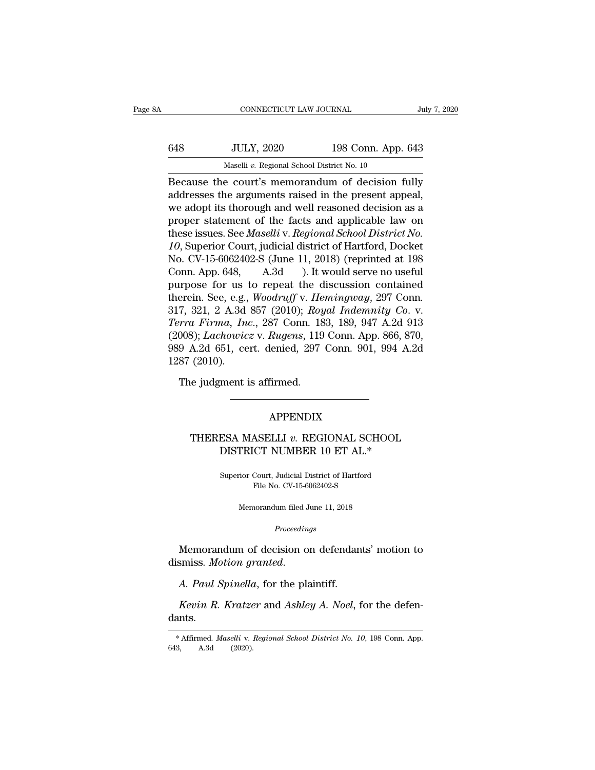|     | CONNECTICUT LAW JOURNAL                                         |                    | July 7, 2020 |
|-----|-----------------------------------------------------------------|--------------------|--------------|
| 648 |                                                                 |                    |              |
|     | <b>JULY, 2020</b><br>Maselli v. Regional School District No. 10 | 198 Conn. App. 643 |              |
|     | Because the court's memorandum of decision fully                |                    |              |

CONNECTICUT LAW JOURNAL July 7, 2020<br>
648 JULY, 2020 198 Conn. App. 643<br>
Maselli v. Regional School District No. 10<br>
Because the court's memorandum of decision fully<br>
addresses the arguments raised in the present appeal,  $\begin{array}{r} \text{JULY, 2020} \\ \text{Maselli } v. \text{ Regional School District No. 10} \\ \text{Because the court's memorandum of decision fully addresses the arguments raised in the present appeal, we adopt its thorough and well reasoned decision as a pronor statement of the facts and amplitude law on the other.} \end{array}$ 648 JULY, 2020 198 Conn. App. 643<br>
Maselli v. Regional School District No. 10<br>
Because the court's memorandum of decision fully<br>
addresses the arguments raised in the present appeal,<br>
we adopt its thorough and well reason For a small school District No. 10<br>
Maselli v. Regional School District No. 10<br>
Because the court's memorandum of decision fully<br>
addresses the arguments raised in the present appeal,<br>
we adopt its thorough and well reaso Maselli *v.* Regional School District No. 10<br>
Because the court's memorandum of decision fully<br>
addresses the arguments raised in the present appeal,<br>
we adopt its thorough and well reasoned decision as a<br>
proper statement *Masem v.* Regional school bisinct No. 10<br>
Because the court's memorandum of decision fully<br>
addresses the arguments raised in the present appeal,<br>
we adopt its thorough and well reasoned decision as a<br>
proper statement o Because the court's memorandum of decision fully<br>addresses the arguments raised in the present appeal,<br>we adopt its thorough and well reasoned decision as a<br>proper statement of the facts and applicable law on<br>these issues. addresses the arguments raised in the present appeal,<br>we adopt its thorough and well reasoned decision as a<br>proper statement of the facts and applicable law on<br>these issues. See *Maselli* v. *Regional School District No.*<br> we adopt its thorough and well reasoned decision as a<br>proper statement of the facts and applicable law on<br>these issues. See *Maselli* v. *Regional School District No.*<br> $10$ , Superior Court, judicial district of Hartford, proper statement of the facts and applicable law on<br>these issues. See *Maselli* v. *Regional School District No.*<br>10, Superior Court, judicial district of Hartford, Docket<br>No. CV-15-6062402-S (June 11, 2018) (reprinted at these issues. See *Maselli* v. *Regional School District No.*<br>10, Superior Court, judicial district of Hartford, Docket<br>No. CV-15-6062402-S (June 11, 2018) (reprinted at 198<br>Conn. App. 648, A.3d ). It would serve no useful *To*, Superior Court, judicial district of Hartford, Docket<br>
No. CV-15-6062402-S (June 11, 2018) (reprinted at 198<br>
Conn. App. 648, A.3d ). It would serve no useful<br>
purpose for us to repeat the discussion contained<br>
there No. CV-15-6062402-S (June 11, 2018) (reprinted at 198<br>Conn. App. 648, A.3d ). It would serve no useful<br>purpose for us to repeat the discussion contained<br>therein. See, e.g., *Woodruff v. Hemingway*, 297 Conn.<br>317, 321, 2 A. Conn. App. 648, A.3d ). It would serve no useful<br>purpose for us to repeat the discussion contained<br>therein. See, e.g., *Woodruff v. Hemingway*, 297 Conn.<br>317, 321, 2 A.3d 857 (2010); *Royal Indemnity Co. v.<br>Terra Firma, In* purpose for us therein. See, e.g.,<br>317, 321, 2 A.3d<br>*Terra Firma, In.*<br>(2008); *Lachowic.*<br>989 A.2d 651, ce<br>1287 (2010).<br>The judgment i 7, 321, 2 A.3d 857 (2010); Roy<br> *Tra Firma, Inc.*, 287 Conn. 18<br>
1008); *Lachowicz* v. Rugens, 119<br>
9 A.2d 651, cert. denied, 297<br>
87 (2010).<br>
The judgment is affirmed.

## APPENDIX

## (2010).<br>
e judgment is affirmed.<br>
APPENDIX<br>
THERESA MASELLI *v*. REGIONAL SCHOOL<br>
DISTRICT NUMBER 10 ET AL.\* ment is affirmed.<br>
APPENDIX<br>
ESA MASELLI v. REGIONAL SCHOOL<br>
DISTRICT NUMBER 10 ET AL.\*<br>
Superior Court, Indicial District of Hartford  $\begin{split} \end{split}$  APPENDIA<br>ESA MASELLI  $v$ . REGIONAL SCHOOL<br>DISTRICT NUMBER 10 ET AL.\*<br>Superior Court, Judicial District of Hartford<br>File No. CV-15-6062402-S ASELLI *v*. REGIONAL SCH<br>CT NUMBER 10 ET AL.\*<br>Court, Judicial District of Hartford<br>File No. CV-15-6062402-S

DISTRICT NUMBER 10 ET AL.\*<br>Superior Court, Judicial District of Hartford<br>File No. CV-15-6062402-S<br>Memorandum filed June 11, 2018

*Proceedings*

Superior Court, Judicial District of Hartford<br>File No. CV-15-6062402-S<br>Memorandum filed June 11, 2018<br>Proceedings<br>Memorandum of decision on defendants' motion to<br>smiss. *Motion granted*. File No. CV-15-6062402-S<br>Memorandum filed June 11, 2018<br>*Proceedings*<br>Memorandum of decision on defendan<br>dismiss. *Motion granted*.<br>*A. Paul Spinella*, for the plaintiff.<br>*Kevin R. Kratzer* and *Ashley A. Noel*, 1 *Proceedings*<br>*Memorandum of decision on defendants' motion to*<br>smiss. *Motion granted*.<br>*A. Paul Spinella*, for the plaintiff.<br>*Kevin R. Kratzer* and *Ashley A. Noel*, for the defen-<br>nts.

dants. A. *Paul Spinella*, for the plaintiff.<br> *Kevin R. Kratzer* and *Ashley A. Noel*, for the defenants.<br>
<sup>\*</sup> Affirmed. *Maselli* v. *Regional School District No. 10*, 198 Conn. App.<br>
<sup>3</sup>, A.3d (2020). Kevin R. Kratze<br>dants.<br>\* Affirmed. Maselli v. .<br>643, A.3d (2020).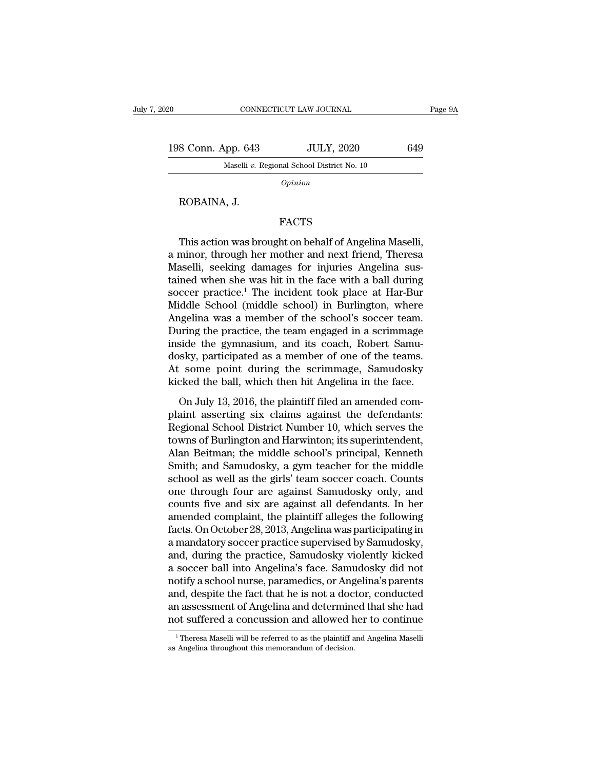EXECUTE CONNECTICUT LAW JOURNAL Page 9A<br>198 Conn. App. 643 JULY, 2020 649<br>Maselli v. Regional School District No. 10 CONNECTICUT LAW JOURNAL<br>
<u>Maselli v. Regional School District No. 10</u><br> *Onivian* 

*Opinion*

8 Conn. App. 643<br>Maselli v. R<br>ROBAINA, J.

## FACTS

Maselli v. Regional School District No. 10<br>
Opinion<br>
ROBAINA, J.<br>
FACTS<br>
This action was brought on behalf of Angelina Maselli,<br>
minor, through her mother and next friend, Theresa<br>
aselli, socking, damages, for injuries, A opinion<br>
a minor, through her mother and next friend, Theresa<br>
Maselli, seeking damages for injuries Angelina sus-<br>
tained when she was hit in the face with a hall during ROBAINA, J.<br>FACTS<br>This action was brought on behalf of Angelina Maselli,<br>a minor, through her mother and next friend, Theresa<br>Maselli, seeking damages for injuries Angelina sus-<br>tained when she was hit in the face with a b ROBAINA, J.<br>FACTS<br>This action was brought on behalf of Angelina Maselli,<br>a minor, through her mother and next friend, Theresa<br>Maselli, seeking damages for injuries Angelina sus-<br>tained when she was hit in the face with a b FACTS<br>This action was brought on behalf of Angelina Maselli,<br>a minor, through her mother and next friend, Theresa<br>Maselli, seeking damages for injuries Angelina sus-<br>tained when she was hit in the face with a ball during<br>s This action was brought on behalf of Angelina Maselli,<br>a minor, through her mother and next friend, Theresa<br>Maselli, seeking damages for injuries Angelina sus-<br>tained when she was hit in the face with a ball during<br>soccer This action was brought on behalf of Angelina Maselli,<br>a minor, through her mother and next friend, Theresa<br>Maselli, seeking damages for injuries Angelina sus-<br>tained when she was hit in the face with a ball during<br>soccer a minor, through her mother and next friend, Theresa<br>Maselli, seeking damages for injuries Angelina sus-<br>tained when she was hit in the face with a ball during<br>soccer practice.<sup>1</sup> The incident took place at Har-Bur<br>Middle Maselli, seeking damages for injuries Angelina sus-<br>tained when she was hit in the face with a ball during<br>soccer practice.<sup>1</sup> The incident took place at Har-Bur<br>Middle School (middle school) in Burlington, where<br>Angelina tained when she was hit in the face with a ball during<br>soccer practice.<sup>1</sup> The incident took place at Har-Bur<br>Middle School (middle school) in Burlington, where<br>Angelina was a member of the school's soccer team.<br>During the soccer practice.<sup>1</sup> The incident took place at Har-Bur<br>Middle School (middle school) in Burlington, where<br>Angelina was a member of the school's soccer team.<br>During the practice, the team engaged in a scrimmage<br>inside the g Middle School (middle school) in Burlington, where<br>Angelina was a member of the school's soccer team.<br>During the practice, the team engaged in a scrimmage<br>inside the gymnasium, and its coach, Robert Samu-<br>dosky, participat Somat was a member of and schools soccer ceam.<br>
uring the practice, the team engaged in a scrimmage<br>
side the gymnasium, and its coach, Robert Samu-<br>
sky, participated as a member of one of the teams.<br>
some point during th planting and protective, and team originate in a somitingle<br>inside the gymnasium, and its coach, Robert Samu-<br>dosky, participated as a member of one of the teams.<br>At some point during the scrimmage, Samudosky<br>kicked the ba

Regional School District Number 10, which serves the server served dosky, participated as a member of one of the teams.<br>At some point during the scrimmage, Samudosky<br>kicked the ball, which then hit Angelina in the face.<br>On At some point during the scrimmage, Samudosky<br>At some point during the scrimmage, Samudosky<br>kicked the ball, which then hit Angelina in the face.<br>On July 13, 2016, the plaintiff filed an amended com-<br>plaint asserting six c Excessive point data and securitingly, summarily,<br>kicked the ball, which then hit Angelina in the face.<br>On July 13, 2016, the plaintiff filed an amended com-<br>plaint asserting six claims against the defendants:<br>Regional Sch Samudosky, a gym teacher for the middle complaint asserting six claims against the defendants:<br>Regional School District Number 10, which serves the<br>towns of Burlington and Harwinton; its superintendent,<br>Alan Beitman; the m On July 13, 2016, the plaintiff filed an amended complaint asserting six claims against the defendants:<br>Regional School District Number 10, which serves the<br>towns of Burlington and Harwinton; its superintendent,<br>Alan Beitm plaint asserting six claims against the defendants:<br>Regional School District Number 10, which serves the<br>towns of Burlington and Harwinton; its superintendent,<br>Alan Beitman; the middle school's principal, Kenneth<br>Smith; an Regional School District Number 10, which serves the<br>towns of Burlington and Harwinton; its superintendent,<br>Alan Beitman; the middle school's principal, Kenneth<br>Smith; and Samudosky, a gym teacher for the middle<br>school as towns of Burlington and Harwinton; its superintendent,<br>Alan Beitman; the middle school's principal, Kenneth<br>Smith; and Samudosky, a gym teacher for the middle<br>school as well as the girls' team soccer coach. Counts<br>one thro Alan Beitman; the middle school's principal, Kenneth<br>Smith; and Samudosky, a gym teacher for the middle<br>school as well as the girls' team soccer coach. Counts<br>one through four are against Samudosky only, and<br>counts five an Smith; and Samudosky, a gym teacher for the middle<br>school as well as the girls' team soccer coach. Counts<br>one through four are against Samudosky only, and<br>counts five and six are against all defendants. In her<br>amended comp school as well as the girls' team soccer coach. Counts<br>one through four are against Samudosky only, and<br>counts five and six are against all defendants. In her<br>amended complaint, the plaintiff alleges the following<br>facts. O one through four are against Samudosky only, and<br>counts five and six are against all defendants. In her<br>amended complaint, the plaintiff alleges the following<br>facts. On October 28, 2013, Angelina was participating in<br>a man counts five and six are against all defendants. In her<br>amended complaint, the plaintiff alleges the following<br>facts. On October 28, 2013, Angelina was participating in<br>a mandatory soccer practice supervised by Samudosky,<br>a amended complaint, the plaintiff alleges the following<br>facts. On October 28, 2013, Angelina was participating in<br>a mandatory soccer practice supervised by Samudosky,<br>and, during the practice, Samudosky violently kicked<br>a s facts. On October 28, 2013, Angelina was participating in<br>a mandatory soccer practice supervised by Samudosky,<br>and, during the practice, Samudosky violently kicked<br>a soccer ball into Angelina's face. Samudosky did not<br>noti a mandatory soccer practice supervised by Samudosky,<br>and, during the practice, Samudosky violently kicked<br>a soccer ball into Angelina's face. Samudosky did not<br>notify a school nurse, paramedics, or Angelina's parents<br>and, notify a school nurse, paramedics, or Angelina's parents<br>and, despite the fact that he is not a doctor, conducted<br>an assessment of Angelina and determined that she had<br>not suffered a concussion and allowed her to continue<br> an assessment of Angelina and determined that she had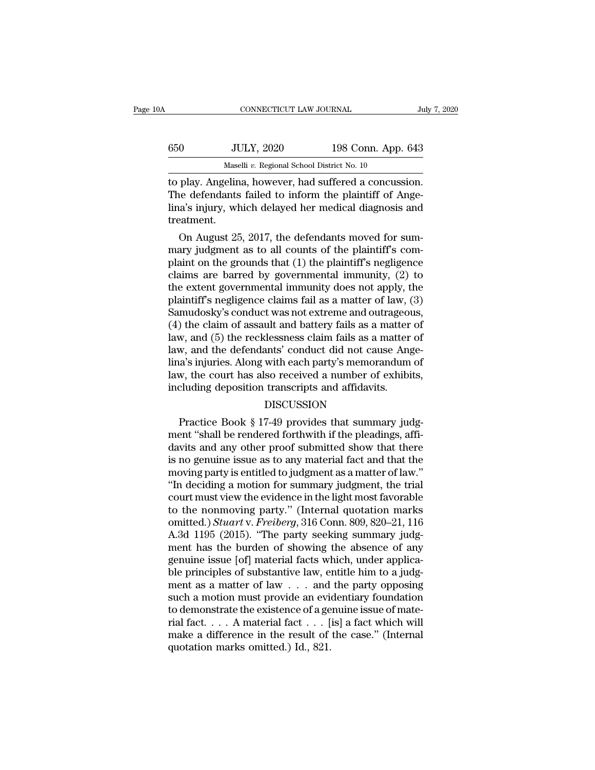| )A  | CONNECTICUT LAW JOURNAL                              |                    | July 7, 2020 |
|-----|------------------------------------------------------|--------------------|--------------|
| 650 | <b>JULY, 2020</b>                                    | 198 Conn. App. 643 |              |
|     | Maselli v. Regional School District No. 10           |                    |              |
|     | to play Angelina, however, had suffered a concussion |                    |              |

CONNECTICUT LAW JOURNAL July 7, 2<br>
650 JULY, 2020 198 Conn. App. 643<br>
Maselli v. Regional School District No. 10<br>
to play. Angelina, however, had suffered a concussion.<br>
The defendants failed to inform the plaintiff of Ang THE defendants failed to inform the plaintiff of Angelian School District No. 10<br>The defendants failed to inform the plaintiff of Ange-<br>Dina's injury, which delayed her medical diagnosis and<br>The defendants failed to inform  $\begin{tabular}{ c c c c} \multicolumn{1}{c}{{\textbf{50}}}&{\textbf{JULY, 2020}}&{\textbf{198 Conn. App. 643}}\\ \hline &\textbf{Maselli $v$. Regional School District No. 10} \\ \hline \end{tabular} \end{tabular} \begin{tabular}{ c } {\textbf{198 Conn. App. 643}}\\ \hline {\textbf{10} by. Angelina, however, had suffered a conclusion.} \\ \hline The defendants failed to inform the plaintiff of Angelina's injury, which delayed her medical diagnosis and treatment.} \end{tabular}$ treatment. Maselli v. Regional School District No. 10<br>play. Angelina, however, had suffered a concussion.<br>lee defendants failed to inform the plaintiff of Ange-<br>a's injury, which delayed her medical diagnosis and<br>eatment.<br>On August to play. Angelina, however, had suffered a concussion.<br>The defendants failed to inform the plaintiff of Angelina's injury, which delayed her medical diagnosis and<br>treatment.<br>On August 25, 2017, the defendants moved for sum

to play. Angelma, however, had surfered a concussion.<br>The defendants failed to inform the plaintiff of Angelina's injury, which delayed her medical diagnosis and<br>treatment.<br>On August 25, 2017, the defendants moved for sum-The detendants ratio to mform the plaintiff or Angelina's injury, which delayed her medical diagnosis and<br>treatment.<br>On August 25, 2017, the defendants moved for sum-<br>mary judgment as to all counts of the plaintiff's comima s injury, which delayed ner medical diagnosis and<br>treatment.<br>On August 25, 2017, the defendants moved for sum-<br>mary judgment as to all counts of the plaintiff's com-<br>plaint on the grounds that (1) the plaintiff's negli Freatment.<br>
On August 25, 2017, the defendants moved for summary judgment as to all counts of the plaintiff's complaint on the grounds that (1) the plaintiff's negligence<br>
claims are barred by governmental immunity, (2) to On August 25, 2017, the defendants moved for sum-<br>mary judgment as to all counts of the plaintiff's com-<br>plaint on the grounds that (1) the plaintiff's negligence<br>claims are barred by governmental immunity, (2) to<br>the ext mary judgment as to all counts of the plaintiff's complaint on the grounds that (1) the plaintiff's negligence<br>claims are barred by governmental immunity, (2) to<br>the extent governmental immunity does not apply, the<br>plainti plaint on the grounds that (1) the plaintiff's negligence<br>claims are barred by governmental immunity, (2) to<br>the extent governmental immunity does not apply, the<br>plaintiff's negligence claims fail as a matter of law, (3)<br>S claims are barred by governmental immunity, (2) to<br>the extent governmental immunity does not apply, the<br>plaintiff's negligence claims fail as a matter of law, (3)<br>Samudosky's conduct was not extreme and outrageous,<br>(4) the the extent governmental immunity does not apply, the plaintiff's negligence claims fail as a matter of law, (3) Samudosky's conduct was not extreme and outrageous, (4) the claim of assault and battery fails as a matter of plaintiff's negligence claims fail as a matter of law, (3)<br>Samudosky's conduct was not extreme and outrageous,<br>(4) the claim of assault and battery fails as a matter of<br>law, and (5) the recklessness claim fails as a matter Samudosky's conduct was not extreme and outrageour (4) the claim of assault and battery fails as a matter law, and (5) the recklessness claim fails as a matter law, and the defendants' conduct did not cause Anglina's injur w, and the defendants' conduct did not cause Ange-<br>a's injuries. Along with each party's memorandum of<br>w, the court has also received a number of exhibits,<br>cluding deposition transcripts and affidavits.<br>DISCUSSION<br>Practice

## DISCUSSION

lina's injuries. Along with each party's memorandum of<br>law, the court has also received a number of exhibits,<br>including deposition transcripts and affidavits.<br>DISCUSSION<br>Practice Book  $\S 17-49$  provides that summary judgdaw, the court has also received a number of exhibits,<br>including deposition transcripts and affidavits.<br>DISCUSSION<br>Practice Book § 17-49 provides that summary judg-<br>ment "shall be rendered forthwith if the pleadings, affi including deposition transcripts and affidavits.<br>DISCUSSION<br>Practice Book § 17-49 provides that summary judg-<br>ment "shall be rendered forthwith if the pleadings, affi-<br>davits and any other proof submitted show that there<br>i DISCUSSION<br>Practice Book § 17-49 provides that summary judg-<br>ment "shall be rendered forthwith if the pleadings, affi-<br>davits and any other proof submitted show that there<br>is no genuine issue as to any material fact and th DISCUSSION<br>
Practice Book § 17-49 provides that summary judg-<br>
ment "shall be rendered forthwith if the pleadings, affi-<br>
davits and any other proof submitted show that there<br>
is no genuine issue as to any material fact an Practice Book § 17-49 provides that summary judgment "shall be rendered forthwith if the pleadings, affi-<br>davits and any other proof submitted show that there<br>is no genuine issue as to any material fact and that the<br>movin ment "shall be rendered forthwith if the pleadings, affi-<br>davits and any other proof submitted show that there<br>is no genuine issue as to any material fact and that the<br>moving party is entitled to judgment as a matter of l davits and any other proof submitted show that there<br>is no genuine issue as to any material fact and that the<br>moving party is entitled to judgment as a matter of law."<br>"In deciding a motion for summary judgment, the trial<br> is no genuine issue as to any material fact and that the<br>moving party is entitled to judgment as a matter of law."<br>"In deciding a motion for summary judgment, the trial<br>court must view the evidence in the light most favora moving party is entitled to judgment as a matter of law."<br>
"In deciding a motion for summary judgment, the trial<br>
court must view the evidence in the light most favorable<br>
to the nonmoving party." (Internal quotation marks "In deciding a motion for summary judgment, the trial court must view the evidence in the light most favorable to the nonmoving party." (Internal quotation marks omitted.) *Stuart v. Freiberg*, 316 Conn. 809, 820–21, 116 court must view the evidence in the light most favorable<br>to the nonmoving party." (Internal quotation marks<br>omitted.) *Stuart* v. *Freiberg*, 316 Conn. 809, 820–21, 116<br>A.3d 1195 (2015). "The party seeking summary judg-<br>m to the nonmoving party." (Internal quotation marks<br>omitted.) *Stuart* v. *Freiberg*, 316 Conn. 809, 820–21, 116<br>A.3d 1195 (2015). "The party seeking summary judg-<br>ment has the burden of showing the absence of any<br>genuine omitted.) *Stuart* v. *Freiberg*, 316 Conn. 809, 820–21, 116<br>A.3d 1195 (2015). "The party seeking summary judg-<br>ment has the burden of showing the absence of any<br>genuine issue [of] material facts which, under applica-<br>ble A.3d 1195 (2015). "The party seeking summary judgment has the burden of showing the absence of any genuine issue [of] material facts which, under applicable principles of substantive law, entitle him to a judgment as a ma ment has the burden of showing the absence of any<br>genuine issue [of] material facts which, under applica-<br>ble principles of substantive law, entitle him to a judg-<br>ment as a matter of law  $\ldots$  and the party opposing<br>such genuine issue [of] material facts which, under applica-<br>ble principles of substantive law, entitle him to a judg-<br>ment as a matter of law  $\ldots$  and the party opposing<br>such a motion must provide an evidentiary foundation<br>t ble principles of substantive law, ement as a matter of law  $\dots$  and such a motion must provide an evito demonstrate the existence of a ge rial fact  $\dots$ . A material fact  $\dots$  [make a difference in the result of quotation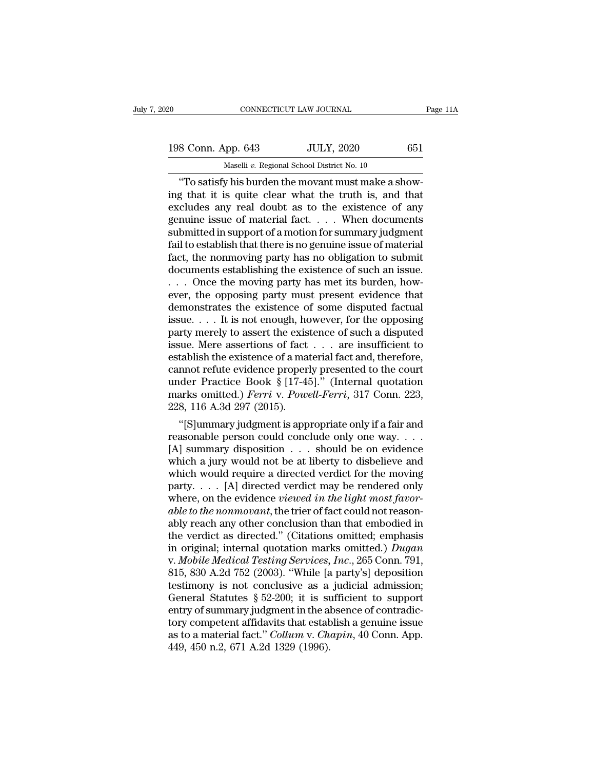EXECUTE CONNECTICUT LAW JOURNAL Page 11A<br>198 Conn. App. 643 JULY, 2020 651<br>Maselli v. Regional School District No. 10 Maselli *v.* Regional School District No. 10

CONNECTICUT LAW JOURNAL<br>
8 Conn. App. 643 JULY, 2020 651<br>
Maselli v. Regional School District No. 10<br>
"To satisfy his burden the movant must make a show-<br>
g that it is quite clear what the truth is, and that<br>
celudes any r 198 Conn. App. 643 JULY, 2020 651<br>
Maselli v. Regional School District No. 10<br>
"To satisfy his burden the movant must make a show-<br>
ing that it is quite clear what the truth is, and that<br>
excludes any real doubt as to the 198 Conn. App. 643 JULY, 2020 651<br>
Maselli v. Regional School District No. 10<br>
"To satisfy his burden the movant must make a show-<br>
ing that it is quite clear what the truth is, and that<br>
excludes any real doubt as to the 198 Conn. App. 643 JULY, 2020 651<br>
Maselli v. Regional School District No. 10<br>
"To satisfy his burden the movant must make a show-<br>
ing that it is quite clear what the truth is, and that<br>
excludes any real doubt as to the Maselli v. Regional School District No. 10<br>
"To satisfy his burden the movant must make a show-<br>
ing that it is quite clear what the truth is, and that<br>
excludes any real doubt as to the existence of any<br>
genuine issue of Maselli v. Regional School District No. 10<br>
"To satisfy his burden the movant must make a show-<br>
ing that it is quite clear what the truth is, and that<br>
excludes any real doubt as to the existence of any<br>
genuine issue of "To satisfy his burden the movant must make a show-<br>ing that it is quite clear what the truth is, and that<br>excludes any real doubt as to the existence of any<br>genuine issue of material fact.... When documents<br>submitted in ing that it is quite clear what the truth is, and that excludes any real doubt as to the existence of any genuine issue of material fact. . . . When documents submitted in support of a motion for summary judgment fail to e excludes any real doubt as to the existence of any<br>genuine issue of material fact. . . . When documents<br>submitted in support of a motion for summary judgment<br>fail to establish that there is no genuine issue of material<br>fa genuine issue of material fact. . . . When documents<br>submitted in support of a motion for summary judgment<br>fail to establish that there is no genuine issue of material<br>fact, the nonmoving party has no obligation to submit submitted in support of a motion for summary judgment<br>fail to establish that there is no genuine issue of material<br>fact, the nonmoving party has no obligation to submit<br>documents establishing the existence of such an issu fail to establish that there is no genuine issue of material<br>fact, the nonmoving party has no obligation to submit<br>documents establishing the existence of such an issue.<br> $\ldots$  Once the moving party has met its burden, how fact, the nonmoving party has no obligation to submit<br>documents establishing the existence of such an issue.<br> $\ldots$  Once the moving party has met its burden, how-<br>ever, the opposing party must present evidence that<br>demonst documents establishing the existence of such an issue.<br>
. . . Once the moving party has met its burden, how-<br>
ever, the opposing party must present evidence that<br>
demonstrates the existence of some disputed factual<br>
issue. ... Once the moving party has met its burden, how-<br>ever, the opposing party must present evidence that<br>demonstrates the existence of some disputed factual<br>issue.... It is not enough, however, for the opposing<br>party merely ever, the opposing party must present evidence that<br>demonstrates the existence of some disputed factual<br>issue. . . . It is not enough, however, for the opposing<br>party merely to assert the existence of such a disputed<br>issu demonstrates the existence of some disputed factual<br>issue. . . . It is not enough, however, for the opposing<br>party merely to assert the existence of such a disputed<br>issue. Mere assertions of fact . . . are insufficient to issue. . . . It is not enough, however, for the opposing<br>party merely to assert the existence of such a disputed<br>issue. Mere assertions of fact . . . are insufficient to<br>establish the existence of a material fact and, ther party merely to assert the exis<br>issue. Mere assertions of fact<br>establish the existence of a mat<br>cannot refute evidence proper<br>under Practice Book § [17-4]<br>marks omitted.) *Ferri v. Powe*<br>228, 116 A.3d 297 (2015).<br>"[S]ummar sue. Mere assertions of fact  $\ldots$  are insufficient to<br>tablish the existence of a material fact and, therefore,<br>mot refute evidence properly presented to the court<br>der Practice Book § [17-45]." (Internal quotation<br>arks om establish the existence of a material fact and, therefore,<br>cannot refute evidence properly presented to the court<br>under Practice Book § [17-45]." (Internal quotation<br>marks omitted.) *Ferri* v. *Powell-Ferri*, 317 Conn. 22

cannot retute evidence properly presented to the court<br>under Practice Book § [17-45]." (Internal quotation<br>marks omitted.) *Ferri* v. *Powell-Ferri*, 317 Conn. 223,<br>228, 116 A.3d 297 (2015).<br>"[S]ummary judgment is appropr under Practice Book § [17-45]." (Internal quotation<br>marks omitted.) *Ferri* v. *Powell-Ferri*, 317 Conn. 223,<br>228, 116 A.3d 297 (2015).<br>"[S]ummary judgment is appropriate only if a fair and<br>reasonable person could conclud marks omitted.) *Ferry* v. *Powell-Ferry*, 317 Conn. 223,<br>228, 116 A.3d 297 (2015).<br>
"[S]ummary judgment is appropriate only if a fair and<br>reasonable person could conclude only one way....<br>
[A] summary disposition ... sho 228, 116 A.3d 297 (2015).<br>
"[S]ummary judgment is appropriate only if a fair and<br>
reasonable person could conclude only one way....<br>
[A] summary disposition ... should be on evidence<br>
which a jury would not be at liberty "[S]ummary judgment is appropriate only if a fair and<br>reasonable person could conclude only one way. . . . .<br>[A] summary disposition . . . should be on evidence<br>which a jury would not be at liberty to disbelieve and<br>which reasonable person could conclude only one way.  $\ldots$  [A] summary disposition  $\ldots$  should be on evidence which a jury would not be at liberty to disbelieve and which would require a directed verdict for the moving party. [A] summary disposition . . . should be on evidence<br>which a jury would not be at liberty to disbelieve and<br>which would require a directed verdict for the moving<br>party. . . . [A] directed verdict may be rendered only<br>where which a jury would not be at liberty to disbelieve and<br>which would require a directed verdict for the moving<br>party. . . . [A] directed verdict may be rendered only<br>where, on the evidence *viewed in the light most favor-*<br> which would require a directed verdict for the moving<br>party. . . . [A] directed verdict may be rendered only<br>where, on the evidence *viewed in the light most favor-*<br>*able to the nonmovant*, the trier of fact could not re party. . . . . [A] directed verdict may be rendered only where, on the evidence *viewed in the light most favorable to the nonmovant*, the trier of fact could not reasonably reach any other conclusion than that embodied in where, on the evidence *viewed in the light most favorable to the nonmovant*, the trier of fact could not reasonably reach any other conclusion than that embodied in the verdict as directed." (Citations omitted; emphasis able to the nonmovant, the trier of fact could not reasonably reach any other conclusion than that embodied in<br>the verdict as directed." (Citations omitted; emphasis<br>in original; internal quotation marks omitted.) *Dugan*<br> ably reach any other conclusion than that embodied in<br>the verdict as directed." (Citations omitted; emphasis<br>in original; internal quotation marks omitted.) *Dugan*<br>v. Mobile Medical Testing Services, Inc., 265 Conn. 791,<br> the verdict as directed." (Citations omitted; emphasis<br>in original; internal quotation marks omitted.) *Dugan*<br>v. Mobile Medical Testing Services, Inc., 265 Conn. 791,<br>815, 830 A.2d 752 (2003). "While [a party's] depositi in original; internal quotation marks omitted.) *Dugan*<br>v. Mobile Medical Testing Services, Inc., 265 Conn. 791,<br>815, 830 A.2d 752 (2003). "While [a party's] deposition<br>testimony is not conclusive as a judicial admission; v. *Mobile Medical Testing Services, Inc.*, 265 Conn. 791, 815, 830 A.2d 752 (2003). "While [a party's] deposition testimony is not conclusive as a judicial admission; General Statutes § 52-200; it is sufficient to support 815, 830 A.2d 752 (2003). "While [a testimony is not conclusive as a General Statutes  $\S$  52-200; it is su entry of summary judgment in the a tory competent affidavits that estak as to a material fact." *Collum v. Ch* 449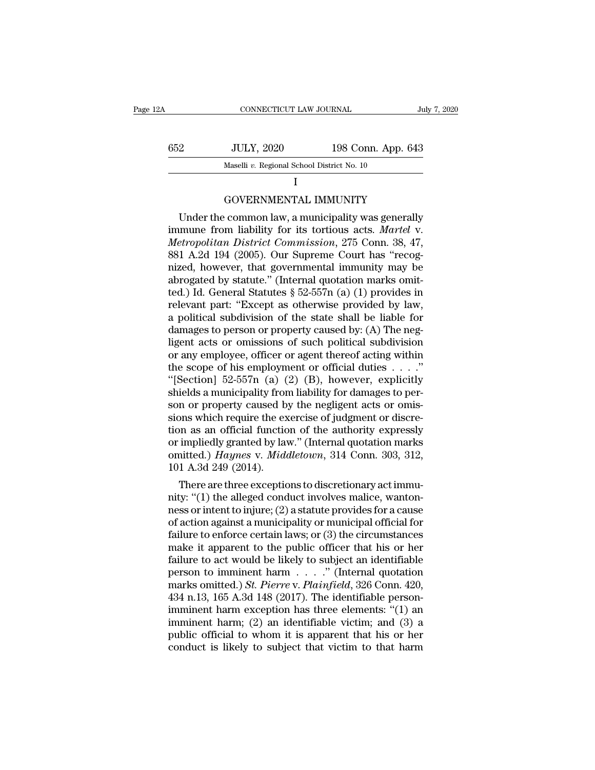| 2A  | CONNECTICUT LAW JOURNAL                            |                    | July 7, 2020 |
|-----|----------------------------------------------------|--------------------|--------------|
| 652 | <b>JULY, 2020</b>                                  | 198 Conn. App. 643 |              |
|     | Maselli v. Regional School District No. 10         |                    |              |
|     |                                                    |                    |              |
|     | GOVERNMENTAL IMMUNITY                              |                    |              |
|     | Under the common law, a municipality was generally |                    |              |

ULY, 2020 198 Conn. App. 643<br>
Maselli v. Regional School District No. 10<br>
I<br>
GOVERNMENTAL IMMUNITY<br>
Under the common law, a municipality was generally<br>
mune from liability for its tortious acts. *Martel* v. Maselli v. Regional School District No. 10<br> **I**<br>
GOVERNMENTAL IMMUNITY<br>
Under the common law, a municipality was generally<br>
immune from liability for its tortious acts. *Martel* v.<br> *Metropolitan District Commission*, 275 Maselli v. Regional School District No. 10<br>
I<br>
GOVERNMENTAL IMMUNITY<br>
Under the common law, a municipality was generally<br>
immune from liability for its tortious acts. *Martel* v.<br> *Metropolitan District Commission*, 275 Co I<br>
SOVERNMENTAL IMMUNITY<br>
Under the common law, a municipality was generally<br>
immune from liability for its tortious acts. *Martel* v.<br> *Metropolitan District Commission*, 275 Conn. 38, 47,<br>
881 A.2d 194 (2005). Our Suprem GOVERNMENTAL IMMUNITY<br>Under the common law, a municipality was generally<br>immune from liability for its tortious acts. *Martel* v.<br>*Metropolitan District Commission*, 275 Conn. 38, 47,<br>881 A.2d 194 (2005). Our Supreme Cour GOVERNMENTAL IMMUNITY<br>
Under the common law, a municipality was generally<br>
immune from liability for its tortious acts. *Martel v.*<br> *Metropolitan District Commission*, 275 Conn. 38, 47,<br>
881 A.2d 194 (2005). Our Supreme Under the common law, a municipality was generally<br>immune from liability for its tortious acts. *Martel v.*<br>*Metropolitan District Commission*, 275 Conn. 38, 47,<br>881 A.2d 194 (2005). Our Supreme Court has "recog-<br>nized, ho immune from liability for its tortious acts. *Martel v.*<br> *Metropolitan District Commission*, 275 Conn. 38, 47, 881 A.2d 194 (2005). Our Supreme Court has "recognized, however, that governmental immunity may be abrogated Metropolitan District Commission, 275 Conn. 38, 47, 881 A.2d 194 (2005). Our Supreme Court has "recognized, however, that governmental immunity may be abrogated by statute." (Internal quotation marks omitted.) Id. General 881 A.2d 194 (2005). Our Supreme Court has "recognized, however, that governmental immunity may be abrogated by statute." (Internal quotation marks omitted.) Id. General Statutes § 52-557n (a) (1) provides in relevant par nized, however, that governmental immunity may be<br>abrogated by statute." (Internal quotation marks omit-<br>ted.) Id. General Statutes § 52-557n (a) (1) provides in<br>relevant part: "Except as otherwise provided by law,<br>a polit abrogated by statute." (Internal quotation marks omit-<br>ted.) Id. General Statutes § 52-557n (a) (1) provides in<br>relevant part: "Except as otherwise provided by law,<br>a political subdivision of the state shall be liable for ted.) Id. General Statutes  $\S$  52-557n (a) (1) provides in<br>relevant part: "Except as otherwise provided by law,<br>a political subdivision of the state shall be liable for<br>damages to person or property caused by: (A) The neg relevant part: "Except as otherwise provided by law,<br>a political subdivision of the state shall be liable for<br>damages to person or property caused by: (A) The neg-<br>ligent acts or omissions of such political subdivision<br>or a political subdivision of the state shall be liable for<br>damages to person or property caused by: (A) The neg-<br>ligent acts or omissions of such political subdivision<br>or any employee, officer or agent thereof acting within damages to person or property caused by: (A) The neg-<br>ligent acts or omissions of such political subdivision<br>or any employee, officer or agent thereof acting within<br>the scope of his employment or official duties  $\dots$ ."<br>"[ ligent acts or omissions of such political subdivision<br>or any employee, officer or agent thereof acting within<br>the scope of his employment or official duties  $\dots$ ."<br>"[Section] 52-557n (a) (2) (B), however, explicitly<br>shie or any employee, officer or agent thereof acting within<br>the scope of his employment or official duties . . . ."<br>"[Section] 52-557n (a) (2) (B), however, explicitly<br>shields a municipality from liability for damages to perthe scope of his employment or official duties . . . ."<br>"[Section] 52-557n (a) (2) (B), however, explicitly<br>shields a municipality from liability for damages to per-<br>son or property caused by the negligent acts or omis-<br>s "[Section] 52-557n (a) (2) (B), however, explicitly<br>shields a municipality from liability for damages to per-<br>son or property caused by the negligent acts or omis-<br>sions which require the exercise of judgment or discre-<br>ti shields a municipality from<br>son or property caused b<br>sions which require the ex<br>tion as an official function<br>or impliedly granted by lav<br>omitted.) Haynes v. Midu<br>101 A.3d 249 (2014).<br>There are three exception In or property caused by the negligent acts or omis-<br>ons which require the exercise of judgment or discre-<br>on as an official function of the authority expressly<br>impliedly granted by law." (Internal quotation marks<br>aitted. sions which require the exercise or judgment or discretion as an official function of the authority expressly<br>or impliedly granted by law." (Internal quotation marks<br>omitted.) *Haynes v. Middletown*, 314 Conn. 303, 312,<br>1

tion as an official function of the authority expressly<br>or impliedly granted by law." (Internal quotation marks<br>omitted.) Haynes v. Middletown, 314 Conn. 303, 312,<br>101 A.3d 249 (2014).<br>There are three exceptions to discre or impliedly granted by law. (internal quotation marks<br>omitted.) Haynes v. Middletown, 314 Conn. 303, 312,<br>101 A.3d 249 (2014).<br>There are three exceptions to discretionary act immu-<br>nity: "(1) the alleged conduct involves for ends of ends of the public officer that his or her failure to enforce for the public officer that his or failure to enforce certain laws; or (3) the circumstances make it apparent to the public officer that his or her Tor A.3d 249 (2014).<br>
There are three exceptions to discretionary act immunity: "(1) the alleged conduct involves malice, wanton-<br>
ness or intent to injure; (2) a statute provides for a cause<br>
of action against a municipa There are three exceptions to discretionary act immu-<br>nity: "(1) the alleged conduct involves malice, wanton-<br>ness or intent to injure; (2) a statute provides for a cause<br>of action against a municipality or municipal offi mity: "(1) the alleged conduct involves malice, wanton-<br>ness or intent to injure; (2) a statute provides for a cause<br>of action against a municipality or municipal official for<br>failure to enforce certain laws; or (3) the c ness or intent to injure; (2) a statute provides for a cause<br>of action against a municipality or municipal official for<br>failure to enforce certain laws; or (3) the circumstances<br>make it apparent to the public officer that of action against a municipality or municipal official for<br>failure to enforce certain laws; or (3) the circumstances<br>make it apparent to the public officer that his or her<br>failure to act would be likely to subject an iden failure to enforce certain laws; or (3) the circumstances<br>make it apparent to the public officer that his or her<br>failure to act would be likely to subject an identifiable<br>person to imminent harm . . . . ." (Internal quota make it apparent to the public officer that his or her failure to act would be likely to subject an identifiable person to imminent harm  $\ldots$  ." (Internal quotation marks omitted.) *St. Pierre* v. *Plainfield*, 326 Conn. failure to act would be likely to subject an identifiable<br>person to imminent harm . . . . " (Internal quotation<br>marks omitted.) *St. Pierre* v. *Plainfield*, 326 Conn. 420,<br>434 n.13, 165 A.3d 148 (2017). The identifiable person to imminent harm  $\ldots$  ." (Internal quotation marks omitted.) *St. Pierre* v. *Plainfield*, 326 Conn. 420, 434 n.13, 165 A.3d 148 (2017). The identifiable person-imminent harm exception has three elements: "(1) an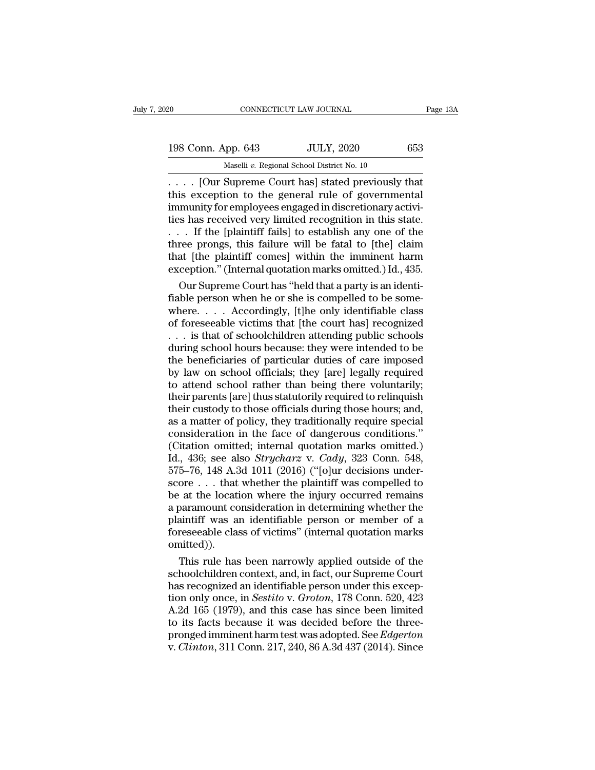| 20                 | CONNECTICUT LAW JOURNAL                        | Page 13A |
|--------------------|------------------------------------------------|----------|
| 198 Conn. App. 643 | <b>JULY, 2020</b>                              | 653      |
|                    | Maselli v. Regional School District No. 10     |          |
|                    | [Our Supreme Court has] stated previously that |          |

CONNECTICUT LAW JOURNAL Page 13.<br>
198 Conn. App. 643 JULY, 2020 653<br>
Maselli v. Regional School District No. 10<br>
.... [Our Supreme Court has] stated previously that<br>
this exception to the general rule of governmental<br>
immu 198 Conn. App. 643 JULY, 2020 653<br>Maselli v. Regional School District No. 10<br>.... [Our Supreme Court has] stated previously that<br>this exception to the general rule of governmental<br>immunity for employees engaged in discreti 198 Conn. App. 643 JULY, 2020 653<br>
Maselli v. Regional School District No. 10<br>  $\ldots$  [Our Supreme Court has] stated previously that<br>
this exception to the general rule of governmental<br>
immunity for employees engaged in di 198 Conn. App. 643 JULY, 2020 653<br>
Maselli v. Regional School District No. 10<br>  $\ldots$  [Our Supreme Court has] stated previously that<br>
this exception to the general rule of governmental<br>
immunity for employees engaged in di Maselli v. Regional School District No. 10<br>
.... [Our Supreme Court has] stated previously that<br>
this exception to the general rule of governmental<br>
immunity for employees engaged in discretionary activi-<br>
ties has receiv Maselli v. Regional School District No. 10<br>
. . . . . [Our Supreme Court has] stated previously that<br>
this exception to the general rule of governmental<br>
immunity for employees engaged in discretionary activi-<br>
ties has r .... [Our Supreme Court has] stated previously that<br>this exception to the general rule of governmental<br>immunity for employees engaged in discretionary activi-<br>ties has received very limited recognition in this state.<br>... I this exception to the general rule of governmental<br>immunity for employees engaged in discretionary activi-<br>ties has received very limited recognition in this state.<br> $\dots$  If the [plaintiff fails] to establish any one of th munity for employees engaged in discretionary activises has received very limited recognition in this state.<br>
. If the [plaintiff fails] to establish any one of the ree prongs, this failure will be fatal to [the] claim<br>
at ties has received very limited recognition in this state.<br>
. . . If the [plaintiff fails] to establish any one of the<br>
three prongs, this failure will be fatal to [the] claim<br>
that [the plaintiff comes] within the imminent

. . . . If the [plaintiff fails] to establish any one of the<br>three prongs, this failure will be fatal to [the] claim<br>that [the plaintiff comes] within the imminent harm<br>exception." (Internal quotation marks omitted.) Id., three prongs, this failure will be fatal to [the] claim<br>that [the plaintiff comes] within the imminent harm<br>exception." (Internal quotation marks omitted.) Id., 435.<br>Our Supreme Court has "held that a party is an identi-<br>f that [the plaintiff comes] within the imminent harm<br>exception." (Internal quotation marks omitted.) Id., 435.<br>Our Supreme Court has "held that a party is an identi-<br>fiable person when he or she is compelled to be some-<br>whe exception." (Internal quotation marks omitted.) Id., 435.<br>
Our Supreme Court has "held that a party is an identi-<br>
fiable person when he or she is compelled to be somewhere.... Accordingly, [t]he only identifiable class<br>
o Our Supreme Court has "held that a party is an identifiable person when he or she is compelled to be somewhere.... Accordingly, [t]he only identifiable class<br>of foreseeable victims that [the court has] recognized<br>... is t fiable person when he or she is compelled to be somewhere. . . . Accordingly, [t]he only identifiable class<br>of foreseeable victims that [the court has] recognized<br> $\ldots$  is that of schoolchildren attending public schools<br>d where. . . . . Accordingly, [t]he only identifiable class<br>of foreseeable victims that [the court has] recognized<br>. . . is that of schoolchildren attending public schools<br>during school hours because: they were intended to of foreseeable victims that [the court has] recognized<br>
... is that of schoolchildren attending public schools<br>
during school hours because: they were intended to be<br>
the beneficiaries of particular duties of care imposed<br> ... is that of schoolchildren attending public schools<br>during school hours because: they were intended to be<br>the beneficiaries of particular duties of care imposed<br>by law on school officials; they [are] legally required<br>to during school hours because: they were intended to be<br>the beneficiaries of particular duties of care imposed<br>by law on school officials; they [are] legally required<br>to attend school rather than being there voluntarily;<br>the the beneficiaries of particular duties of care imposed<br>by law on school officials; they [are] legally required<br>to attend school rather than being there voluntarily;<br>their parents [are] thus statutorily required to relinqui by law on school officials; they [are] legally required<br>to attend school rather than being there voluntarily;<br>their parents [are] thus statutorily required to relinquish<br>their custody to those officials during those hours; to attend school rather than being there voluntarily;<br>their parents [are] thus statutorily required to relinquish<br>their custody to those officials during those hours; and,<br>as a matter of policy, they traditionally require their parents [are] thus statutorily required to relinquish<br>their custody to those officials during those hours; and,<br>as a matter of policy, they traditionally require special<br>consideration in the face of dangerous conditi their custody to those officials during those hours; and,<br>as a matter of policy, they traditionally require special<br>consideration in the face of dangerous conditions."<br>(Citation omitted; internal quotation marks omitted.)<br> as a matter of policy, they traditionally require special consideration in the face of dangerous conditions."<br>(Citation omitted; internal quotation marks omitted.)<br>Id., 436; see also *Strycharz* v. *Cady*, 323 Conn. 548,<br> consideration in the face of dangerous conditions."<br>(Citation omitted; internal quotation marks omitted.)<br>Id., 436; see also *Strycharz* v. *Cady*, 323 Conn. 548,<br>575–76, 148 A.3d 1011 (2016) ("[o]ur decisions under-<br>scor (Citation omitted; internal quotation marks omitted.)<br>Id., 436; see also *Strycharz* v. *Cady*, 323 Conn. 548,<br>575–76, 148 A.3d 1011 (2016) ("[o]ur decisions under-<br>score . . . that whether the plaintiff was compelled to<br> Id., 436; see also *Strycharz* v. *Cady*, 323 Conn. 548, 575–76, 148 A.3d 1011 (2016) ("[o]ur decisions underscore . . . that whether the plaintiff was compelled to be at the location where the injury occurred remains a p omitted)). ore . . . that whether the plaintiff was compelled to<br>
at the location where the injury occurred remains<br>
paramount consideration in determining whether the<br>
aintiff was an identifiable person or member of a<br>
reseeable cla be at the location where the injury occurred remains<br>a paramount consideration in determining whether the<br>plaintiff was an identifiable person or member of a<br>foreseeable class of victims" (internal quotation marks<br>omitted)

a paramount consideration in determining whether the<br>plaintiff was an identifiable person or member of a<br>foreseeable class of victims" (internal quotation marks<br>omitted)).<br>This rule has been narrowly applied outside of the plaintiff was an identifiable person or member of a<br>foreseeable class of victims" (internal quotation marks<br>omitted)).<br>This rule has been narrowly applied outside of the<br>schoolchildren context, and, in fact, our Supreme Co foreseeable class of victims" (internal quotation marks<br>omitted)).<br>This rule has been narrowly applied outside of the<br>schoolchildren context, and, in fact, our Supreme Court<br>has recognized an identifiable person under this omitted)).<br>This rule has been narrowly applied outside of the<br>schoolchildren context, and, in fact, our Supreme Court<br>has recognized an identifiable person under this excep-<br>tion only once, in *Sestito* v. *Groton*, 178 Co This rule has been narrowly applied outside of the<br>schoolchildren context, and, in fact, our Supreme Court<br>has recognized an identifiable person under this excep-<br>tion only once, in *Sestito* v. *Groton*, 178 Conn. 520, 42 schoolchildren context, and, in fact, our Supreme Court<br>has recognized an identifiable person under this excep-<br>tion only once, in *Sestito* v. *Groton*, 178 Conn. 520, 423<br>A.2d 165 (1979), and this case has since been lim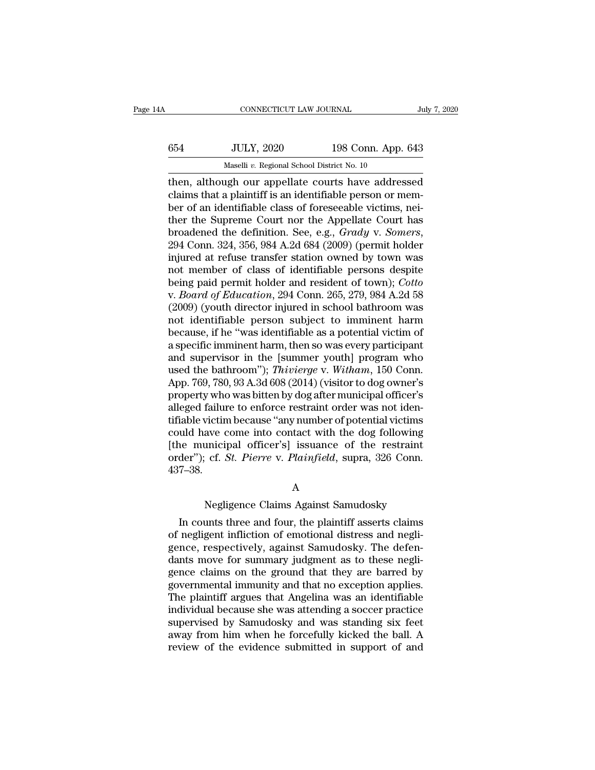| А   | CONNECTICUT LAW JOURNAL                           |                    | July 7, 2020 |
|-----|---------------------------------------------------|--------------------|--------------|
| 654 | <b>JULY, 2020</b>                                 | 198 Conn. App. 643 |              |
|     | Maselli v. Regional School District No. 10        |                    |              |
|     | then although our appellate courts have addressed |                    |              |

CONNECTICUT LAW JOURNAL July 7, 2020<br>
564 JULY, 2020 198 Conn. App. 643<br>
5654 Maselli v. Regional School District No. 10<br>
5654 Maselli v. Regional School District No. 10<br>
561 Maselli v. Regional School District No. 10<br>
561  $\begin{array}{lll}\n 654 & \text{JULY, } 2020 & \text{198 Conn. App. 643}\n \hline\n & \text{Maselli } v. \text{ Regional School District No. 10}\n \end{array}$ <br>
then, although our appellate courts have addressed<br>
claims that a plaintiff is an identifiable person or mem-<br>
ber of an identifiable class of  $\frac{654}{\text{Maselli } v. \text{ Regional School District No. 10}}$ <br>Maselli v. Regional School District No. 10<br>then, although our appellate courts have addressed<br>claims that a plaintiff is an identifiable person or mem-<br>ber of an identifiable class of forese  $t = \frac{100 \text{ JULY}, 2020}{\text{Maselli } v. \text{ Regional School District No. 10}}$ <br>
then, although our appellate courts have addressed<br>
claims that a plaintiff is an identifiable person or mem-<br>
ber of an identifiable class of foreseeable victims, nei-<br>
ther broadened the definition. See, e.g., *Grady* v. *Somers*, and then, although our appellate courts have addressed claims that a plaintiff is an identifiable person or member of an identifiable class of foreseeable victims, then, although our appellate courts have addressed<br>claims that a plaintiff is an identifiable person or mem-<br>ber of an identifiable class of foreseeable victims, nei-<br>ther the Supreme Court nor the Appellate Court has<br>broa claims that a plaintiff is an identifiable person or member of an identifiable class of foreseeable victims, nei-<br>ther the Supreme Court nor the Appellate Court has<br>broadened the definition. See, e.g., *Grady* v. *Somers*, ber of an identifiable class of foreseeable victims, nei-<br>ther the Supreme Court nor the Appellate Court has<br>broadened the definition. See, e.g., *Grady* v. *Somers*,<br>294 Conn. 324, 356, 984 A.2d 684 (2009) (permit holder<br> ther the Supreme Court nor the Appellate Court has<br>broadened the definition. See, e.g., *Grady* v. *Somers*,<br>294 Conn. 324, 356, 984 A.2d 684 (2009) (permit holder<br>injured at refuse transfer station owned by town was<br>not m broadened the definition. See, e.g., *Grady* v. *Somers*, 294 Conn. 324, 356, 984 A.2d 684 (2009) (permit holder injured at refuse transfer station owned by town was not member of class of identifiable persons despite bein 294 Conn. 324, 356, 984 A.2d 684 (2009) (permit holder<br>injured at refuse transfer station owned by town was<br>not member of class of identifiable persons despite<br>being paid permit holder and resident of town); *Cotto*<br>v. *Bo* injured at refuse transfer station owned by town was<br>not member of class of identifiable persons despite<br>being paid permit holder and resident of town); *Cotto*<br>v. *Board of Education*, 294 Conn. 265, 279, 984 A.2d 58<br>(200 not member of class of identifiable persons despite<br>being paid permit holder and resident of town); *Cotto*<br>v. *Board of Education*, 294 Conn. 265, 279, 984 A.2d 58<br>(2009) (youth director injured in school bathroom was<br>not being paid permit holder and resident of town); *Cotto*<br>v. *Board of Education*, 294 Conn. 265, 279, 984 A.2d 58<br>(2009) (youth director injured in school bathroom was<br>not identifiable person subject to imminent harm<br>becaus v. *Board of Education*, 294 Conn. 265, 279, 984 A.2d 58 (2009) (youth director injured in school bathroom was not identifiable person subject to imminent harm because, if he "was identifiable as a potential victim of a sp (2009) (youth director injured in school bathroom was<br>not identifiable person subject to imminent harm<br>because, if he "was identifiable as a potential victim of<br>a specific imminent harm, then so was every participant<br>and not identifiable person subject to imminent harm<br>because, if he "was identifiable as a potential victim of<br>a specific imminent harm, then so was every participant<br>and supervisor in the [summer youth] program who<br>used the b because, if he "was identifiable as a potential victim of<br>a specific imminent harm, then so was every participant<br>and supervisor in the [summer youth] program who<br>used the bathroom"); *Thivierge* v. Witham, 150 Conn.<br>App. a specific imminent harm, then so was every participant<br>and supervisor in the [summer youth] program who<br>used the bathroom"); *Thivierge* v. Witham, 150 Conn.<br>App. 769, 780, 93 A.3d 608 (2014) (visitor to dog owner's<br>prope and supervisor in the [summer youth] program who<br>used the bathroom"); *Thivierge* v. Witham, 150 Conn.<br>App. 769, 780, 93 A.3d 608 (2014) (visitor to dog owner's<br>property who was bitten by dog after municipal officer's<br>alle used the bathroom"); *Thivierge* v. Witham, 150 Conn.<br>App. 769, 780, 93 A.3d 608 (2014) (visitor to dog owner's<br>property who was bitten by dog after municipal officer's<br>alleged failure to enforce restraint order was not id App. 769, 780, 93 A.3d 608 (2014) (visitor to dog owner's property who was bitten by dog after municipal officer's alleged failure to enforce restraint order was not identifiable victim because "any number of potential vic 437–38. ave come into contact with the dog following<br>unicipal officer's] issuance of the restraint<br>cf. *St. Pierre* v. *Plainfield*, supra, 326 Conn.<br>A<br>Negligence Claims Against Samudosky<br>unts three and four, the plaintiff asserts In counting the municipal officer's] issuance of the restraint<br>
In counts the plaintifield, supra, 326 Conn.<br>
T-38.<br>
A<br>
Negligence Claims Against Samudosky<br>
In counts three and four, the plaintiff asserts claims<br>
negligent

A

order"); cf. *St. Pierre* v. *Plainfield*, supra, 326 Conn.<br>437–38.<br>A<br>Negligence Claims Against Samudosky<br>In counts three and four, the plaintiff asserts claims<br>of negligent infliction of emotional distress and negli-<br>genc A<br>A<br>Negligence Claims Against Samudosky<br>In counts three and four, the plaintiff asserts claims<br>of negligent infliction of emotional distress and negli-<br>gence, respectively, against Samudosky. The defen-<br>dants move for summ dependent of a material and tour setter the plaintiff asserts claims<br>of negligent infliction of emotional distress and negli-<br>gence, respectively, against Samudosky. The defen-<br>dants move for summary judgment as to these n Negligence Claims Against Samudosky<br>In counts three and four, the plaintiff asserts claims<br>of negligent infliction of emotional distress and negli-<br>gence, respectively, against Samudosky. The defen-<br>dants move for summary Negligence Claims Against Samudosky<br>In counts three and four, the plaintiff asserts claims<br>of negligent infliction of emotional distress and negli-<br>gence, respectively, against Samudosky. The defen-<br>dants move for summary In counts three and four, the plaintiff asserts claims<br>of negligent infliction of emotional distress and negli-<br>gence, respectively, against Samudosky. The defen-<br>dants move for summary judgment as to these negli-<br>gence cl of negligent infliction of emotional distress and negligence, respectively, against Samudosky. The defendants move for summary judgment as to these negligence claims on the ground that they are barred by governmental immun gence, respectively, against Samudosky. The defendants move for summary judgment as to these negligence claims on the ground that they are barred by governmental immunity and that no exception applies. The plaintiff argues dants move for summary judgment as to these negli-<br>gence claims on the ground that they are barred by<br>governmental immunity and that no exception applies.<br>The plaintiff argues that Angelina was an identifiable<br>individual b gence claims on the ground that they are barred by<br>governmental immunity and that no exception applies.<br>The plaintiff argues that Angelina was an identifiable<br>individual because she was attending a soccer practice<br>supervis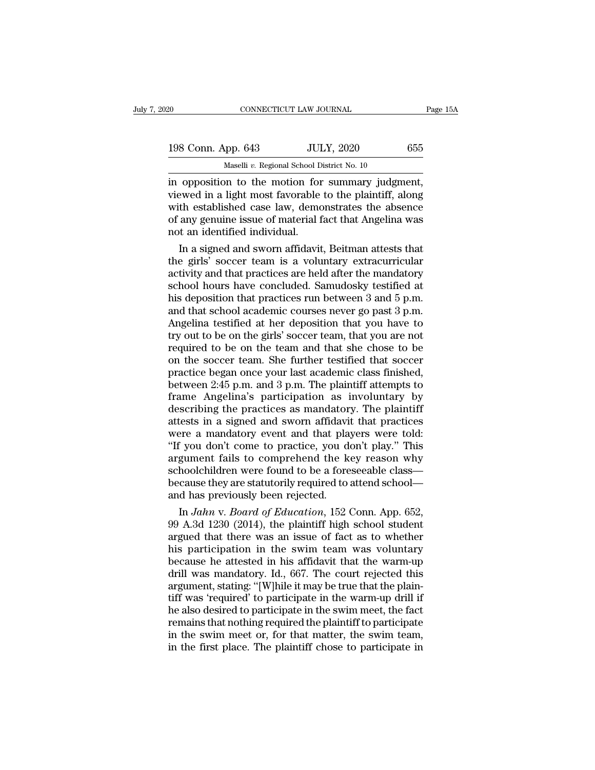| 20 |                    | CONNECTICUT LAW JOURNAL                          | Page 15A |
|----|--------------------|--------------------------------------------------|----------|
|    |                    |                                                  |          |
|    | 198 Conn. App. 643 | <b>JULY, 2020</b>                                | 655      |
|    |                    | Maselli v. Regional School District No. 10       |          |
|    |                    | in opposition to the motion for summary judgment |          |

CONNECTICUT LAW JOURNAL Page 1<br>
198 Conn. App. 643 JULY, 2020 655<br>
Maselli v. Regional School District No. 10<br>
in opposition to the motion for summary judgment,<br>
viewed in a light most favorable to the plaintiff, along<br>
wi 198 Conn. App. 643 JULY, 2020 655<br>Maselli v. Regional School District No. 10<br>in opposition to the motion for summary judgment,<br>viewed in a light most favorable to the plaintiff, along<br>with established case law, demonstrate 198 Conn. App. 643 JULY, 2020 655<br>
Maselli v. Regional School District No. 10<br>
in opposition to the motion for summary judgment,<br>
viewed in a light most favorable to the plaintiff, along<br>
with established case law, demons 198 Conn. App. 643 JULY, 2020 655<br>
Maselli v. Regional School District No. 10<br>
in opposition to the motion for summary judgment,<br>
viewed in a light most favorable to the plaintiff, along<br>
with established case law, demons Maselli v. Regional School D<br>
In opposition to the motion for<br>
viewed in a light most favorable<br>
with established case law, demot<br>
of any genuine issue of material f<br>
not an identified individual.<br>
In a signed and sworn af In a signal school business is<br>opposition to the motion for summary judgment,<br>ewed in a light most favorable to the plaintiff, along<br>the established case law, demonstrates the absence<br>any genuine issue of material fact tha in opposition to the motion for summary judgment,<br>viewed in a light most favorable to the plaintiff, along<br>with established case law, demonstrates the absence<br>of any genuine issue of material fact that Angelina was<br>not an

viewed in a light most favorable to the plaintiff, along<br>with established case law, demonstrates the absence<br>of any genuine issue of material fact that Angelina was<br>not an identified individual.<br>In a signed and sworn affid with established case law, demonstrates the absence<br>of any genuine issue of material fact that Angelina was<br>not an identified individual.<br>In a signed and sworn affidavit, Beitman attests that<br>the girls' soccer team is a vo of any genuine issue of material fact that Angelina was<br>not an identified individual.<br>In a signed and sworn affidavit, Beitman attests that<br>the girls' soccer team is a voluntary extracurricular<br>activity and that practices not an identified individual.<br>
In a signed and sworn affidavit, Beitman attests that<br>
the girls' soccer team is a voluntary extracurricular<br>
activity and that practices are held after the mandatory<br>
school hours have concl In a signed and sworn affidavit, Beitman attests that<br>the girls' soccer team is a voluntary extracurricular<br>activity and that practices are held after the mandatory<br>school hours have concluded. Samudosky testified at<br>his d the girls' soccer team is a voluntary extracurricular<br>activity and that practices are held after the mandatory<br>school hours have concluded. Samudosky testified at<br>his deposition that practices run between 3 and 5 p.m.<br>and activity and that practices are held after the mandatory<br>school hours have concluded. Samudosky testified at<br>his deposition that practices run between 3 and 5 p.m.<br>and that school academic courses never go past 3 p.m.<br>Ange school hours have concluded. Samudosky testified at<br>his deposition that practices run between 3 and 5 p.m.<br>and that school academic courses never go past 3 p.m.<br>Angelina testified at her deposition that you have to<br>try ou his deposition that practices run between 3 and 5 p.m.<br>and that school academic courses never go past 3 p.m.<br>Angelina testified at her deposition that you have to<br>try out to be on the girls' soccer team, that you are not<br>r and that school academic courses never go past 3 p.m.<br>Angelina testified at her deposition that you have to<br>try out to be on the girls' soccer team, that you are not<br>required to be on the team and that she chose to be<br>on t Angelina testified at her deposition that you have to<br>try out to be on the girls' soccer team, that you are not<br>required to be on the team and that she chose to be<br>on the soccer team. She further testified that soccer<br>prac try out to be on the girls' soccer team, that you are not<br>required to be on the team and that she chose to be<br>on the soccer team. She further testified that soccer<br>practice began once your last academic class finished,<br>bet required to be on the team and that she chose to be<br>on the soccer team. She further testified that soccer<br>practice began once your last academic class finished,<br>between 2:45 p.m. and 3 p.m. The plaintiff attempts to<br>frame on the soccer team. She further testified that soccer<br>practice began once your last academic class finished,<br>between 2:45 p.m. and 3 p.m. The plaintiff attempts to<br>frame Angelina's participation as involuntary by<br>describin practice began once your last academic class finished,<br>between 2:45 p.m. and 3 p.m. The plaintiff attempts to<br>frame Angelina's participation as involuntary by<br>describing the practices as mandatory. The plaintiff<br>attests in between 2:45 p.m. and 3 p.m. The plaintiff attempts to<br>frame Angelina's participation as involuntary by<br>describing the practices as mandatory. The plaintiff<br>attests in a signed and sworn affidavit that practices<br>were a man frame Angelina's participation as involuntary by<br>describing the practices as mandatory. The plaintiff<br>attests in a signed and sworn affidavit that practices<br>were a mandatory event and that players were told:<br>"If you don't describing the practices as mandatory. The plaintiff<br>attests in a signed and sworn affidavit that practices<br>were a mandatory event and that players were told:<br>"If you don't come to practice, you don't play." This<br>argument attests in a signed and sworn affidavi<br>were a mandatory event and that pla<br>"If you don't come to practice, you do<br>argument fails to comprehend the k<br>schoolchildren were found to be a fore<br>because they are statutorily requi It is a mandatory event and that players were told:<br>
It you don't come to practice, you don't play." This<br>
gument fails to comprehend the key reason why<br>
hoolchildren were found to be a foreseeable class—<br>
cause they are s "If you don't come to practice, you don't play." This<br>argument fails to comprehend the key reason why<br>schoolchildren were found to be a foreseeable class—<br>because they are statutorily required to attend school—<br>and has pr

argument fails to comprehend the key reason why<br>schoolchildren were found to be a foreseeable class—<br>because they are statutorily required to attend school—<br>and has previously been rejected.<br>In *Jahn* v. *Board of Educatio* schoolchildren were found to be a foreseeable class—<br>because they are statutorily required to attend school—<br>and has previously been rejected.<br>In *Jahn* v. *Board of Education*, 152 Conn. App. 652,<br>99 A.3d 1230 (2014), th because they are statutorily required to attend school—<br>and has previously been rejected.<br>In *Jahn* v. *Board of Education*, 152 Conn. App. 652,<br>99 A.3d 1230 (2014), the plaintiff high school student<br>argued that there was and has previously been rejected.<br>
In *Jahn* v. *Board of Education*, 152 Conn. App. 652,<br>
99 A.3d 1230 (2014), the plaintiff high school student<br>
argued that there was an issue of fact as to whether<br>
his participation in In *Jahn* v. *Board of Education*, 152 Conn. App. 652, 99 A.3d 1230 (2014), the plaintiff high school student argued that there was an issue of fact as to whether his participation in the swim team was voluntary because h 99 A.3d 1230 (2014), the plaintiff high school student argued that there was an issue of fact as to whether his participation in the swim team was voluntary because he attested in his affidavit that the warm-up drill was argued that there was an issue of fact as to whether<br>his participation in the swim team was voluntary<br>because he attested in his affidavit that the warm-up<br>drill was mandatory. Id., 667. The court rejected this<br>argument, s his participation in the swim team was voluntary<br>because he attested in his affidavit that the warm-up<br>drill was mandatory. Id., 667. The court rejected this<br>argument, stating: "[W]hile it may be true that the plain-<br>tiff because he attested in his affidavit that the warm-up<br>drill was mandatory. Id., 667. The court rejected this<br>argument, stating: "[W]hile it may be true that the plain-<br>tiff was 'required' to participate in the warm-up dril drill was mandatory. Id., 667. The court rejected this argument, stating: "[W]hile it may be true that the plaintiff was 'required' to participate in the warm-up drill if he also desired to participate in the swim meet, th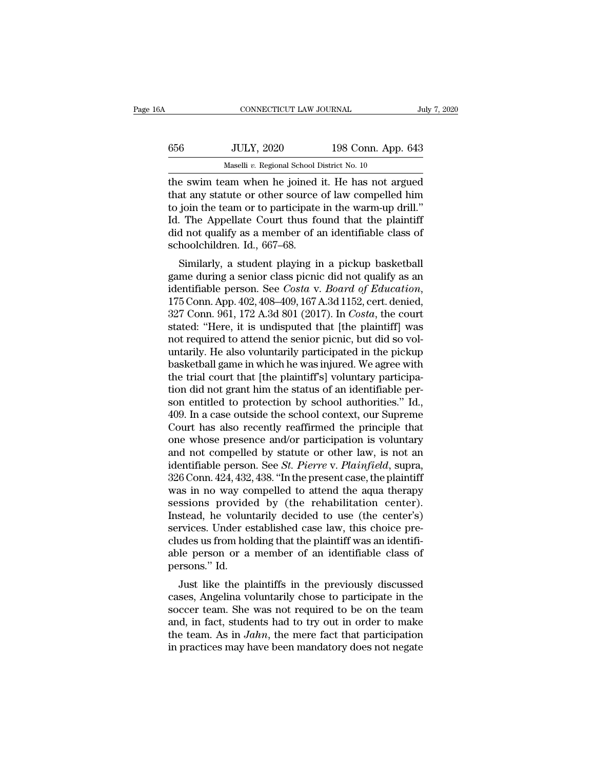| 16A | CONNECTICUT LAW JOURNAL                                                                                     |                                                           | July 7, 2020 |
|-----|-------------------------------------------------------------------------------------------------------------|-----------------------------------------------------------|--------------|
| 656 | <b>JULY, 2020</b>                                                                                           | 198 Conn. App. 643                                        |              |
|     | Maselli v. Regional School District No. 10                                                                  |                                                           |              |
|     | the swim team when he joined it. He has not argued<br>that any statute or other source of law compelled him | to join the town or to participate in the warm up drill." |              |

 $t = \frac{1}{2}$ <br>  $\frac{1}{2}$ <br>  $\frac{1}{2}$ <br>  $\frac{1}{2}$ <br>  $\frac{1}{2}$ <br>  $\frac{1}{2}$ <br>  $\frac{1}{2}$ <br>  $\frac{1}{2}$ <br>  $\frac{1}{2}$ <br>  $\frac{1}{2}$ <br>  $\frac{1}{2}$ <br>  $\frac{1}{2}$ <br>  $\frac{1}{2}$ <br>  $\frac{1}{2}$ <br>  $\frac{1}{2}$ <br>  $\frac{1}{2}$ <br>  $\frac{1}{2}$ <br>  $\frac{1}{2}$ <br>  $\frac{1}{2}$ <br>  $\frac{1}{2}$ <br> to fit is joint the swim team when the joined it. He has not argued that any statute or other source of law compelled him<br>to join the team or to participate in the warm-up drill.''<br>Id. The Appellate Court thus found that  $\frac{1000 \text{ JULY, } 2020}{\text{Maselli } v. \text{ Regional School District No. 10}}$ <br>
the swim team when he joined it. He has not argued<br>
that any statute or other source of law compelled him<br>
to join the team or to participate in the warm-up drill."<br>
Id. The A Maselli v. Regional School District No. 10<br>the swim team when he joined it. He has not argued<br>that any statute or other source of law compelled him<br>to join the team or to participate in the warm-up drill."<br>Id. The Appella Maselli v. Regional School 1<br>the swim team when he joined<br>that any statute or other source<br>to join the team or to participate<br>Id. The Appellate Court thus fo<br>did not qualify as a member of a<br>schoolchildren. Id., 667–68.<br>S E swint team when he joined it. He has not argued<br>at any statute or other source of law compelled him<br>join the team or to participate in the warm-up drill."<br>The Appellate Court thus found that the plaintiff<br>d not qualify a filar any statute of other source of law compened film<br>to join the team or to participate in the warm-up drill."<br>Id. The Appellate Court thus found that the plaintiff<br>did not qualify as a member of an identifiable class o

identifiable person. See *Costa* v. *Board of Education*, 175 Conn. 961, 172 A.3d 801 (2017). In *Costa*, the court ethed,  $\frac{327}{3}$  Conn. 961, 172 A.3d 801 (2017). In *Costa*, the court ethod. "Hore, it is undiscuted th 327 Conn. 961, 172 A.3d 801 (2017). In *Costa*, the court stated: "Here, it is undisputed that [the plaintiff] was not required to strength of the court of *Falucation*, 175 Conn. App. 402, 408–409, 167 A.3d 1152, cert. de sthootchildren. Id., 007–06.<br>
Similarly, a student playing in a pickup basketball<br>
game during a senior class picnic did not qualify as an<br>
identifiable person. See *Costa v. Board of Education*,<br>
175 Conn. App. 402, 408– Similarly, a student playing in a pickup basketball<br>game during a senior class picnic did not qualify as an<br>identifiable person. See *Costa* v. *Board of Education*,<br>175 Conn. App. 402, 408–409, 167 A.3d 1152, cert. denied game during a senior class picnic did not qualify as an<br>identifiable person. See *Costa* v. *Board of Education*,<br>175 Conn. App. 402, 408–409, 167 A.3d 1152, cert. denied,<br>327 Conn. 961, 172 A.3d 801 (2017). In *Costa*, th identifiable person. See *Costa v. Board of Education*,<br>175 Conn. App. 402, 408–409, 167 A.3d 1152, cert. denied,<br>327 Conn. 961, 172 A.3d 801 (2017). In *Costa*, the court<br>stated: "Here, it is undisputed that [the plaintif 175 Conn. App. 402, 408–409, 167 A.3d 1152, cert. denied, 327 Conn. 961, 172 A.3d 801 (2017). In *Costa*, the court stated: "Here, it is undisputed that [the plaintiff] was not required to attend the senior picnic, but di 327 Conn. 961, 172 A.3d 801 (2017). In *Costa*, the court stated: "Here, it is undisputed that [the plaintiff] was not required to attend the senior picnic, but did so voluntarily. He also voluntarily participated in the stated: "Here, it is undisputed that [the plaintiff] was<br>not required to attend the senior picnic, but did so vol-<br>untarily. He also voluntarily participated in the pickup<br>basketball game in which he was injured. We agree not required to attend the senior picnic, but did so voluntarily. He also voluntarily participated in the pickup<br>basketball game in which he was injured. We agree with<br>the trial court that [the plaintiff's] voluntary parti untarily. He also voluntarily participated in the pickup<br>basketball game in which he was injured. We agree with<br>the trial court that [the plaintiff's] voluntary participa-<br>tion did not grant him the status of an identifiab basketball game in which he was injured. We agree with<br>the trial court that [the plaintiff's] voluntary participa-<br>tion did not grant him the status of an identifiable per-<br>son entitled to protection by school authorities the trial court that [the plaintiff's] voluntary participation did not grant him the status of an identifiable person entitled to protection by school authorities." Id., 409. In a case outside the school context, our Supre tion did not grant him the status of an identifiable per-<br>son entitled to protection by school authorities." Id.,<br>409. In a case outside the school context, our Supreme<br>Court has also recently reaffirmed the principle that son entitled to protection by school authorities." Id., 409. In a case outside the school context, our Supreme Court has also recently reaffirmed the principle that one whose presence and/or participation is voluntary and 409. In a case outside the school context, our Supreme<br>Court has also recently reaffirmed the principle that<br>one whose presence and/or participation is voluntary<br>and not compelled by statute or other law, is not an<br>identi Court has also recently reaffirmed the principle that<br>one whose presence and/or participation is voluntary<br>and not compelled by statute or other law, is not an<br>identifiable person. See *St. Pierre* v. *Plainfield*, supra,<br> one whose presence and/or participation is voluntary<br>and not compelled by statute or other law, is not an<br>identifiable person. See *St. Pierre* v. *Plainfield*, supra,<br>326 Conn. 424, 432, 438. "In the present case, the pla and not compelled by statute or other law, is not and identifiable person. See *St. Pierre* v. *Plainfield*, supra, 326 Conn. 424, 432, 438. "In the present case, the plaintiff was in no way compelled to attend the aqua th identifiable person. See *St. Pierre* v. *Plainfield*, supra, 326 Conn. 424, 432, 438. "In the present case, the plaintiff was in no way compelled to attend the aqua therapy sessions provided by (the rehabilitation center) 326 Conn. 424, 432, 438. "In the present case, the plaintiff was in no way compelled to attend the aqua therapy sessions provided by (the rehabilitation center). Instead, he voluntarily decided to use (the center's) servic was in no way consessions provide<br>Instead, he volun<br>services. Under es<br>cludes us from hol<br>able person or a<br>persons." Id.<br>Just like the pl ssions provided by (the renabilitation center).<br>Stead, he voluntarily decided to use (the center's)<br>rvices. Under established case law, this choice pre-<br>ides us from holding that the plaintiff was an identifi-<br>le person or mstead, he voluntarily decided to use (the center s)<br>services. Under established case law, this choice pre-<br>cludes us from holding that the plaintiff was an identifi-<br>able person or a member of an identifiable class of<br>per

services. Onder established case raw, this choice pre-<br>cludes us from holding that the plaintiff was an identifi-<br>able person or a member of an identifiable class of<br>persons." Id.<br>Just like the plaintiffs in the previously cludes us from notding that the plaintiff was an identifiable class of<br>persons." Id.<br>Just like the plaintiffs in the previously discussed<br>cases, Angelina voluntarily chose to participate in the<br>soccer team. She was not re able person of a filember of an identifiable class of<br>persons." Id.<br>Just like the plaintiffs in the previously discussed<br>cases, Angelina voluntarily chose to participate in the<br>soccer team. She was not required to be on th Just like the plaintiffs in the previously discussed cases, Angelina voluntarily chose to participate in the soccer team. She was not required to be on the team and, in fact, students had to try out in order to make the t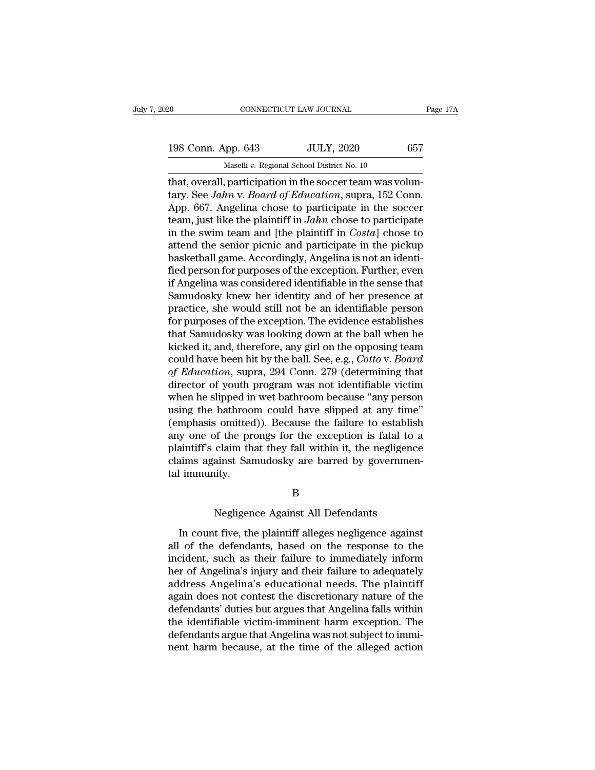CONNECTICUT LAW JOURNAL<br>
198 Conn. App. 643 JULY, 2020 657<br>
Maselli v. Regional School District No. 10<br>
that, overall, participation in the soccer team was volun-<br>
tary. See Jahn v. Board of Education, supra, 152 Conn.<br>
Ap 198 Conn. App. 643 JULY, 2020 657<br>Maselli v. Regional School District No. 10<br>that, overall, participation in the soccer team was volun-<br>tary. See *Jahn* v. *Board of Education*, supra, 152 Conn.<br>App. 667. Angelina chose to 198 Conn. App. 643 JULY, 2020 657<br>Maselli v. Regional School District No. 10<br>that, overall, participation in the soccer team was volun-<br>tary. See Jahn v. Board of Education, supra, 152 Conn.<br>App. 667. Angelina chose to pa 198 Conn. App. 643 JULY, 2020 657<br>
Maselli v. Regional School District No. 10<br>
that, overall, participation in the soccer team was volun-<br>
tary. See *Jahn* v. *Board of Education*, supra, 152 Conn.<br>
App. 667. Angelina chos Maselli v. Regional School District No. 10<br>
that, overall, participation in the soccer team was volun-<br>
tary. See *Jahn* v. *Board of Education*, supra, 152 Conn.<br>
App. 667. Angelina chose to participate in the soccer<br>
tea Maselli v. Regional School District No. 10<br>that, overall, participation in the soccer team was volun-<br>tary. See *Jahn* v. *Board of Education*, supra, 152 Conn.<br>App. 667. Angelina chose to participate in the soccer<br>team, that, overall, participation in the soccer team was voluntary. See *Jahn v. Board of Education*, supra, 152 Conn.<br>App. 667. Angelina chose to participate in the soccer<br>team, just like the plaintiff in *Jahn* chose to parti tary. See *Jahn* v. *Board of Education*, supra, 152 Conn.<br>App. 667. Angelina chose to participate in the soccer<br>team, just like the plaintiff in *Jahn* chose to participate<br>in the swim team and [the plaintiff in *Costa*] App. 667. Angelina chose to participate in the soccer<br>team, just like the plaintiff in *Jahn* chose to participate<br>in the swim team and [the plaintiff in *Costa*] chose to<br>attend the senior picnic and participate in the pi team, just like the plaintiff in *Jahn* chose to participate<br>in the swim team and [the plaintiff in *Costa*] chose to<br>attend the senior picnic and participate in the pickup<br>basketball game. Accordingly, Angelina is not an in the swim team and [the plaintiff in *Costa*] chose to<br>attend the senior picnic and participate in the pickup<br>basketball game. Accordingly, Angelina is not an identi-<br>fied person for purposes of the exception. Further, e attend the senior picnic and participate in the pickup<br>basketball game. Accordingly, Angelina is not an identi-<br>fied person for purposes of the exception. Further, even<br>if Angelina was considered identifiable in the sense basketball game. Accordingly, Angelina is not an identified person for purposes of the exception. Further, even<br>if Angelina was considered identifiable in the sense that<br>Samudosky knew her identity and of her presence at<br>p fied person for purposes of the exception. Further, even<br>if Angelina was considered identifiable in the sense that<br>Samudosky knew her identity and of her presence at<br>practice, she would still not be an identifiable person<br> if Angelina was considered identifiable in the sense that<br>Samudosky knew her identity and of her presence at<br>practice, she would still not be an identifiable person<br>for purposes of the exception. The evidence establishes<br>t Samudosky knew her identity and of her presence at<br>practice, she would still not be an identifiable person<br>for purposes of the exception. The evidence establishes<br>that Samudosky was looking down at the ball when he<br>kicked practice, she would still not be an identifiable person<br>for purposes of the exception. The evidence establishes<br>that Samudosky was looking down at the ball when he<br>kicked it, and, therefore, any girl on the opposing team<br>c for purposes of the exception. The evidence establishes<br>that Samudosky was looking down at the ball when he<br>kicked it, and, therefore, any girl on the opposing team<br>could have been hit by the ball. See, e.g., *Cotto* v. *B* that Samudosky was looking down at the ball when he<br>kicked it, and, therefore, any girl on the opposing team<br>could have been hit by the ball. See, e.g., *Cotto* v. *Board*<br>of Education, supra, 294 Conn. 279 (determining th kicked it, and, therefore, any girl on the opposing team<br>could have been hit by the ball. See, e.g., *Cotto* v. *Board*<br>of Education, supra, 294 Conn. 279 (determining that<br>director of youth program was not identifiable vi could have been hit by the ball. See, e.g., *Cotto* v. *Board*<br>of Education, supra, 294 Conn. 279 (determining that<br>director of youth program was not identifiable victim<br>when he slipped in wet bathroom because "any person<br> of Education, supra, 294 Conn. 279 (determining that<br>director of youth program was not identifiable victim<br>when he slipped in wet bathroom because "any person<br>using the bathroom could have slipped at any time"<br>(emphasis om director of youth program was not identifiable victim<br>when he slipped in wet bathroom because "any person<br>using the bathroom could have slipped at any time"<br>(emphasis omitted)). Because the failure to establish<br>any one of when he slipped in<br>using the bathroo:<br>(emphasis omitted<br>any one of the proplaintiff's claim th<br>claims against Sar<br>tal immunity. of the prongs for the exception is fatal to a<br>claim that they fall within it, the negligence<br>ainst Samudosky are barred by governmen<br>ity.<br>B<br>Negligence Against All Defendants<br>t five, the plaintiff alleges negligence agains

## B

In a start of the plaintiff alleges negligence against<br>
In count five, the plaintiff alleges negligence against<br>
In count five, the plaintiff alleges negligence against<br>
In count five, the plaintiff alleges negligence agai Example 18 and the defendants<br>
all of the defendants, based on the response to the<br>
defendants, based on the response to the<br>
defendants, based on the response to the<br>
defendants, based on the response to the<br>
defendants, B<br>
B<br>
Negligence Against All Defendants<br>
In count five, the plaintiff alleges negligence against<br>
all of the defendants, based on the response to the<br>
incident, such as their failure to immediately inform<br>
her of Angelina' Here of Angelian and Defendants<br>In count five, the plaintiff alleges negligence against<br>all of the defendants, based on the response to the<br>incident, such as their failure to immediately inform<br>her of Angelina's injury and Negligence Against All Defendants<br>In count five, the plaintiff alleges negligence against<br>all of the defendants, based on the response to the<br>incident, such as their failure to immediately inform<br>her of Angelina's injury a In count five, the plaintiff alleges negligence against<br>all of the defendants, based on the response to the<br>incident, such as their failure to immediately inform<br>her of Angelina's injury and their failure to adequately<br>add In count five, the plaintiff alleges negligence against<br>all of the defendants, based on the response to the<br>incident, such as their failure to immediately inform<br>her of Angelina's injury and their failure to adequately<br>add all of the defendants, based on the response to the<br>incident, such as their failure to immediately inform<br>her of Angelina's injury and their failure to adequately<br>address Angelina's educational needs. The plaintiff<br>again d incident, such as their failure to immediately inform<br>her of Angelina's injury and their failure to adequately<br>address Angelina's educational needs. The plaintiff<br>again does not contest the discretionary nature of the<br>defe her of Angelina's injury and their failure to adequately<br>address Angelina's educational needs. The plaintiff<br>again does not contest the discretionary nature of the<br>defendants' duties but argues that Angelina falls within<br>t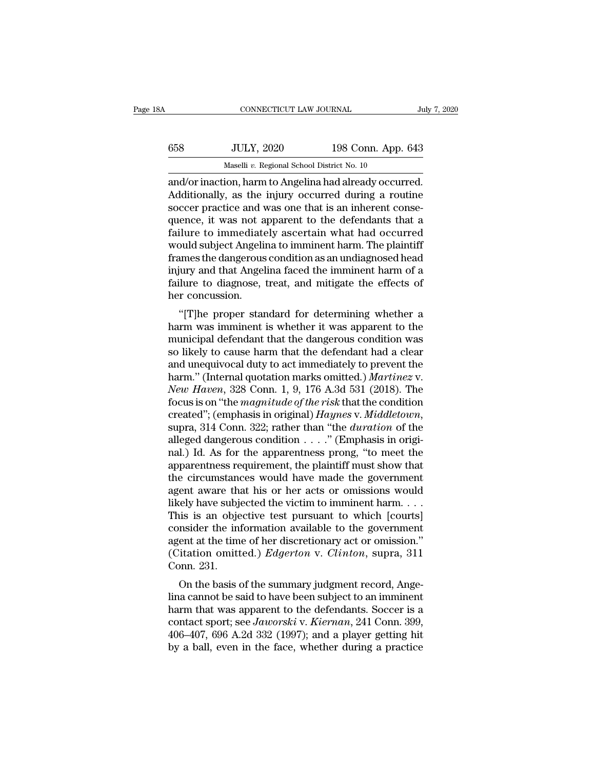CONNECTICUT LAW JOURNAL July 7, 2<br>
658 JULY, 2020 198 Conn. App. 643<br>
Maselli v. Regional School District No. 10<br>
and/or inaction, harm to Angelina had already occurred.<br>
Additionally, as the injury occurred during a routi Additionally, as the injury occurred during a routine<br>Additionally, as the injury occurred during a routine<br>and/or inaction, harm to Angelina had already occurred.<br>Additionally, as the injury occurred during a routine<br>socc  $\begin{tabular}{ll} \hline 658 & \multicolumn{1}{l}{} \text{JULY, 2020} & \multicolumn{1}{l}{} \text{198 Conn. App. 643} \\ \hline \text{Maselli } v. \text{ Regional School District No. 10} \\ \hline \text{and/or inaction, harm to Angelina had already occurred.} \\ \hline \text{Additionally, as the injury occurred during a routine soccer practice and was one that is an inherent consequence, it was not apparent to the defendants that a failure to immediately ascertain what had occurred.} \end{tabular}$ quence, it was not apparent to the defendants that a Maselli v. Regional School District No. 10<br>and/or inaction, harm to Angelina had already occurred.<br>Additionally, as the injury occurred during a routine<br>soccer practice and was one that is an inherent consequence, it was Maselli v. Regional School District No. 10<br>and/or inaction, harm to Angelina had already occurred.<br>Additionally, as the injury occurred during a routine<br>soccer practice and was one that is an inherent consequence, it was and/or inaction, harm to Angelina had already occurred.<br>Additionally, as the injury occurred during a routine<br>soccer practice and was one that is an inherent conse-<br>quence, it was not apparent to the defendants that a<br>fail Additionally, as the injury occurred during a routine<br>soccer practice and was one that is an inherent conse-<br>quence, it was not apparent to the defendants that a<br>failure to immediately ascertain what had occurred<br>would sub soccer practice and was one that is an inherent consequence, it was not apparent to the defendants that a failure to immediately ascertain what had occurred would subject Angelina to imminent harm. The plaintiff frames the quence, it was not a<br>failure to immediate<br>would subject Angeli<br>frames the dangerous<br>injury and that Angel<br>failure to diagnose,<br>her concussion.<br>"[T]he proper star Find the commission of minimum in that had occurred<br>ould subject Angelina to imminent harm. The plaintiff<br>imes the dangerous condition as an undiagnosed head<br>iury and that Angelina faced the imminent harm of a<br>lure to diag would subject Aligeliha to miniment harm. The plantificant<br>frames the dangerous condition as an undiagnosed head<br>injury and that Angelina faced the imminent harm of a<br>failure to diagnose, treat, and mitigate the effects of

mailes the dangerous condition as an undagnosed head<br>injury and that Angelina faced the imminent harm of a<br>failure to diagnose, treat, and mitigate the effects of<br>her concussion.<br>"[T]he proper standard for determining whet injury and that Angelma faced the inhument harm of a<br>failure to diagnose, treat, and mitigate the effects of<br>her concussion.<br>"[T]he proper standard for determining whether a<br>harm was imminent is whether it was apparent to Figure 1.1 and the during the enects of<br>the concussion.<br>"[T]he proper standard for determining whether a<br>harm was imminent is whether it was apparent to the<br>municipal defendant that the dangerous condition was<br>so likely t "[T]he proper standard for determining whether a<br>harm was imminent is whether it was apparent to the<br>municipal defendant that the dangerous condition was<br>so likely to cause harm that the defendant had a clear<br>and unequivoc "[T]he proper standard for determining whether a<br>harm was imminent is whether it was apparent to the<br>municipal defendant that the dangerous condition was<br>so likely to cause harm that the defendant had a clear<br>and unequivoc harm was imminent is whether it was apparent to the<br>municipal defendant that the dangerous condition was<br>so likely to cause harm that the defendant had a clear<br>and unequivocal duty to act immediately to prevent the<br>harm." municipal defendant that the dangerous condition was<br>so likely to cause harm that the defendant had a clear<br>and unequivocal duty to act immediately to prevent the<br>harm." (Internal quotation marks omitted.) *Martinez* v.<br>*N* and unequivocal duty to act immediately to prevent the harm." (Internal quotation marks omitted.) *Martinez v. New Haven*, 328 Conn. 1, 9, 176 A.3d 531 (2018). The focus is on "the *magnitude of the risk* that the condi harm." (Internal quotation marks omitted.) *Martinez v.*<br> *New Haven*, 328 Conn. 1, 9, 176 A.3d 531 (2018). The<br>
focus is on "the *magnitude of the risk* that the condition<br>
created"; (emphasis in original) *Haynes v. Midd* New Haven, 328 Conn. 1, 9, 176 A.3d 531 (2018). The<br>focus is on "the *magnitude of the risk* that the condition<br>created"; (emphasis in original) Haynes v. Middletown,<br>supra, 314 Conn. 322; rather than "the *duration* of t focus is on "the *magnitude of the risk* that the condition<br>created"; (emphasis in original) *Haynes* v. *Middletown*,<br>supra, 314 Conn. 322; rather than "the *duration* of the<br>alleged dangerous condition  $\ldots$ ." (Emphasis created"; (emphasis in original) *Haynes* v. *Middletown*,<br>supra, 314 Conn. 322; rather than "the *duration* of the<br>alleged dangerous condition . . . . " (Emphasis in original.) Id. As for the apparentness prong, "to meet supra, 314 Conn. 322; rather than "the *duration* of the alleged dangerous condition  $\ldots$ ." (Emphasis in original.) Id. As for the apparentness prong, "to meet the apparentness requirement, the plaintiff must show that t alleged dangerous condition  $\ldots$ ." (Emphasis in original.) Id. As for the apparentness prong, "to meet the apparentness requirement, the plaintiff must show that the circumstances would have made the government agent awa nal.) Id. As for the apparentness prong, "to meet the<br>apparentness requirement, the plaintiff must show that<br>the circumstances would have made the government<br>agent aware that his or her acts or omissions would<br>likely have apparentness requirement, the plaintiff must show that<br>the circumstances would have made the government<br>agent aware that his or her acts or omissions would<br>likely have subjected the victim to imminent harm....<br>This is an the circumstances would have made the government<br>agent aware that his or her acts or omissions would<br>likely have subjected the victim to imminent harm....<br>This is an objective test pursuant to which [courts]<br>consider the i agent aware that<br>likely have subje<br>This is an obje<br>consider the int<br>agent at the time<br>(Citation omitt<br>Conn. 231.<br>On the basis o Ery have subjected the victim to infinitent name...<br>
is is an objective test pursuant to which [courts]<br>
msider the information available to the government<br>
ent at the time of her discretionary act or omission."<br>
itation lins is an objective test pursuant to which [courts]<br>consider the information available to the government<br>agent at the time of her discretionary act or omission."<br>(Citation omitted.) *Edgerton* v. *Clinton*, supra, 311<br>Co

Example 11 and the time of her discretionary act or omission."<br>
(Citation omitted.) *Edgerton* v. *Clinton*, supra, 311<br>
Conn. 231.<br>
On the basis of the summary judgment record, Angelina cannot be said to have been subjec agent at the time of her discretionary act of omission.<br>
(Citation omitted.) *Edgerton* v. *Clinton*, supra, 311<br>
Conn. 231.<br>
On the basis of the summary judgment record, Angelina cannot be said to have been subject to an Collistion of the contract of the summary judgment record, Angelina cannot be said to have been subject to an imminent harm that was apparent to the defendants. Soccer is a contact sport; see Jaworski v. Kiernan, 241 Conn Conni. 251.<br>
On the basis of the summary judgment record, Angelina cannot be said to have been subject to an imminent<br>
harm that was apparent to the defendants. Soccer is a<br>
contact sport; see *Jaworski* v. *Kiernan*, 241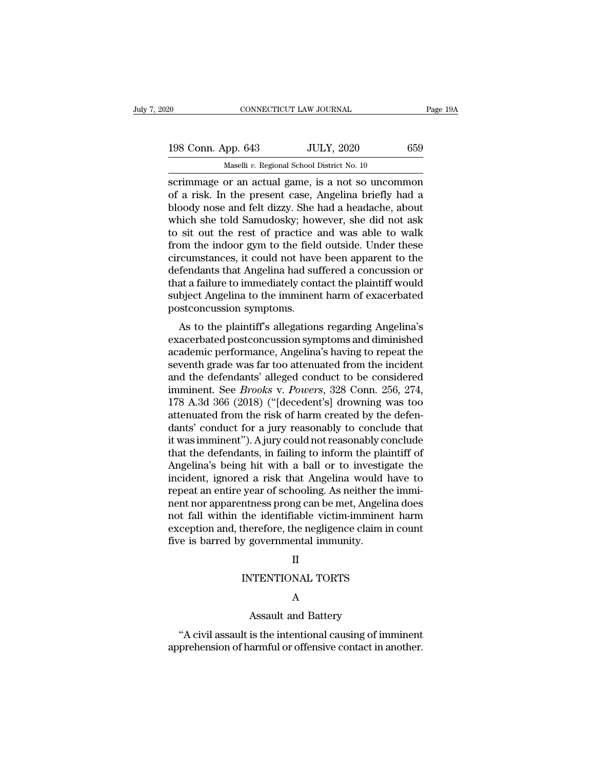| 20                                                                                                                                                                   | CONNECTICUT LAW JOURNAL |                                            |     | Page 19A |
|----------------------------------------------------------------------------------------------------------------------------------------------------------------------|-------------------------|--------------------------------------------|-----|----------|
| 198 Conn. App. 643                                                                                                                                                   |                         | <b>JULY, 2020</b>                          | 659 |          |
|                                                                                                                                                                      |                         | Maselli v. Regional School District No. 10 |     |          |
| scrimmage or an actual game, is a not so uncommon<br>of a risk. In the present case, Angelina briefly had a<br>bloody nose and felt dizzy. She had a headache, about |                         |                                            |     |          |

198 Conn. App. 643 JULY, 2020 659<br>Maselli v. Regional School District No. 10<br>Scrimmage or an actual game, is a not so uncommon<br>of a risk. In the present case, Angelina briefly had a<br>bloody nose and felt dizzy. She had a he 198 Conn. App. 643 JULY, 2020 659<br>
Maselli v. Regional School District No. 10<br>
scrimmage or an actual game, is a not so uncommon<br>
of a risk. In the present case, Angelina briefly had a<br>
bloody nose and felt dizzy. She had 198 Conn. App. 643 JULY, 2020 659<br>
Maselli v. Regional School District No. 10<br>
scrimmage or an actual game, is a not so uncommon<br>
of a risk. In the present case, Angelina briefly had a<br>
bloody nose and felt dizzy. She had Maselli v. Regional School District No. 10<br>
scrimmage or an actual game, is a not so uncommon<br>
of a risk. In the present case, Angelina briefly had a<br>
bloody nose and felt dizzy. She had a headache, about<br>
which she told Maselli v. Regional School District No. 10<br>scrimmage or an actual game, is a not so uncommon<br>of a risk. In the present case, Angelina briefly had a<br>bloody nose and felt dizzy. She had a headache, about<br>which she told Samu scrimmage or an actual game, is a not so uncommon<br>of a risk. In the present case, Angelina briefly had a<br>bloody nose and felt dizzy. She had a headache, about<br>which she told Samudosky; however, she did not ask<br>to sit out t of a risk. In the present case, Angelina briefly had a bloody nose and felt dizzy. She had a headache, about which she told Samudosky; however, she did not ask to sit out the rest of practice and was able to walk from the bloody nose and felt dizzy. She had a headache, about<br>which she told Samudosky; however, she did not ask<br>to sit out the rest of practice and was able to walk<br>from the indoor gym to the field outside. Under these<br>circumstan which she told Samudosky; however, she did not ask<br>to sit out the rest of practice and was able to walk<br>from the indoor gym to the field outside. Under these<br>circumstances, it could not have been apparent to the<br>defendants to sit out the rest of practice :<br>from the indoor gym to the field<br>circumstances, it could not have<br>defendants that Angelina had su<br>that a failure to immediately con<br>subject Angelina to the imminen<br>postconcussion symptoms. Fin the maoor gynt to the held outside. Chider these<br>coumstances, it could not have been apparent to the<br>fendants that Angelina had suffered a concussion or<br>at a failure to immediately contact the plaintiff would<br>bject Ang encumstances, it could not have been apparent to the<br>defendants that Angelina had suffered a concussion or<br>that a failure to immediately contact the plaintiff would<br>subject Angelina to the imminent harm of exacerbated<br>post

defendants that Angelina had suffered a conclussion of<br>that a failure to immediately contact the plaintiff would<br>subject Angelina to the imminent harm of exacerbated<br>postconcussion symptoms.<br>As to the plaintiff's allegatio subject Angelina to the imminent harm of exacerbated<br>postconcussion symptoms.<br>As to the plaintiff's allegations regarding Angelina's<br>exacerbated postconcussion symptoms and diminished<br>academic performance, Angelina's havin subject Angelina to the inhibited transformation<br>postconcussion symptoms.<br>As to the plaintiff's allegations regarding Angelina's<br>exacerbated postconcussion symptoms and diminished<br>academic performance, Angelina's having to imminent. As to the plaintiff's allegations regarding Angelina's<br>exacerbated postconcussion symptoms and diminished<br>academic performance, Angelina's having to repeat the<br>seventh grade was far too attenuated from the incide As to the plaintiff's allegations regarding Angelina's<br>exacerbated postconcussion symptoms and diminished<br>academic performance, Angelina's having to repeat the<br>seventh grade was far too attenuated from the incident<br>and the exacerbated postconcussion symptoms and diminished<br>academic performance, Angelina's having to repeat the<br>seventh grade was far too attenuated from the incident<br>and the defendants' alleged conduct to be considered<br>imminent. academic performance, Angelina's having to repeat the<br>seventh grade was far too attenuated from the incident<br>and the defendants' alleged conduct to be considered<br>imminent. See *Brooks* v. *Powers*, 328 Conn. 256, 274,<br>178 seventh grade was far too attenuated from the incident<br>and the defendants' alleged conduct to be considered<br>imminent. See *Brooks* v. *Powers*, 328 Conn. 256, 274,<br>178 A.3d 366 (2018) ("[decedent's] drowning was too<br>attenu and the defendants' alleged conduct to be considered<br>imminent. See *Brooks* v. Powers, 328 Conn. 256, 274,<br>178 A.3d 366 (2018) ("[decedent's] drowning was too<br>attenuated from the risk of harm created by the defen-<br>dants' c imminent. See *Brooks* v. *Powers*, 328 Conn. 256, 274, 178 A.3d 366 (2018) ("[decedent's] drowning was too attenuated from the risk of harm created by the defendants' conduct for a jury reasonably to conclude that it was 178 A.3d 366 (2018) ("[decedent's] drowning was too<br>attenuated from the risk of harm created by the defen-<br>dants' conduct for a jury reasonably to conclude that<br>it was imminent"). A jury could not reasonably conclude<br>that attenuated from the risk of harm created by the defendants' conduct for a jury reasonably to conclude that<br>it was imminent"). A jury could not reasonably conclude<br>that the defendants, in failing to inform the plaintiff of<br> dants' conduct for a jury reasonably to conclude that<br>it was imminent"). A jury could not reasonably conclude<br>that the defendants, in failing to inform the plaintiff of<br>Angelina's being hit with a ball or to investigate th it was imminent"). A jury could not reasonably conclude<br>that the defendants, in failing to inform the plaintiff of<br>Angelina's being hit with a ball or to investigate the<br>incident, ignored a risk that Angelina would have to that the defendants, in failing to inform the plaintiff of Angelina's being hit with a ball or to investigate the incident, ignored a risk that Angelina would have to repeat an entire year of schooling. As neither the immi Angelina's being hit with a ball or to investig<br>incident, ignored a risk that Angelina would<br>repeat an entire year of schooling. As neither th<br>nent nor apparentness prong can be met, Angeli<br>not fall within the identifiable ntness prong can be met, Angelina<br>
the identifiable victim-imminent h<br>
herefore, the negligence claim in compressions<br>
in the governmental immunity.<br>
II<br>
INTENTIONAL TORTS<br>
A

## II

## A

governmental immunity.<br>
II<br>
VTENTIONAL TORTS<br>
A<br>
Assault and Battery<br>
is the intentional causing of im II<br>
INTENTIONAL TORTS<br>
A<br>
Assault and Battery<br>
"A civil assault is the intentional causing of imminent<br>
prehension of harmful or offensive contact in another. INTENTIONAL TORTS<br>A<br>Assault and Battery<br>"A civil assault is the intentional causing of imminent<br>apprehension of harmful or offensive contact in another.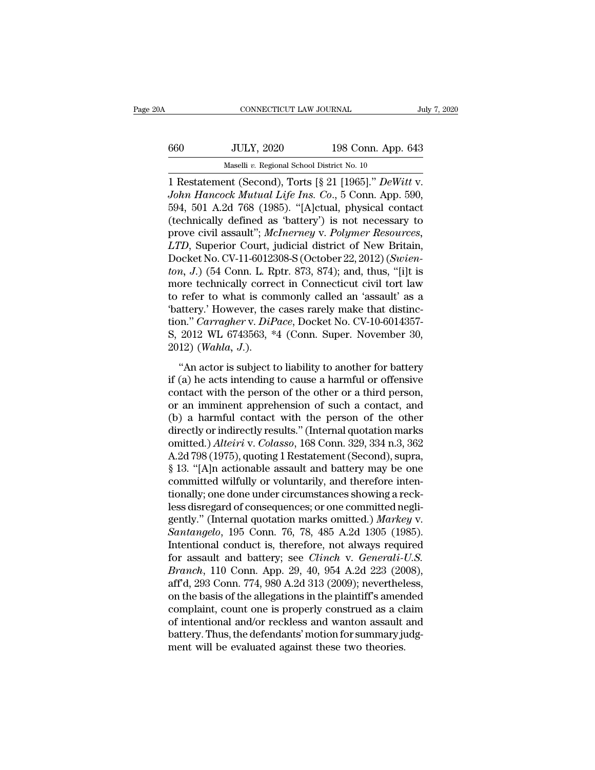|     | CONNECTICUT LAW JOURNAL                                |                    | July 7, 2020 |
|-----|--------------------------------------------------------|--------------------|--------------|
| 660 | <b>JULY, 2020</b>                                      | 198 Conn. App. 643 |              |
|     | Maselli v. Regional School District No. 10             |                    |              |
|     | 1 Restatement (Second) Torts $[8 21 11965]$ " DeWitt v |                    |              |

CONNECTICUT LAW JOURNAL<br>
1 Restatement (Second), Torts [§ 21 [1965]." *DeWitt* v.<br>
1 Restatement (Second), Torts [§ 21 [1965]." *DeWitt* v.<br>
1 Restatement (Second), Torts [§ 21 [1965]." *DeWitt* v.<br>
1 John Hancock Mutual L *JOHN*, 2020 198 Conn. App. 643<br> *Maselli v. Regional School District No. 10*<br> **1 Restatement (Second), Torts [§ 21 [1965]."** *DeWitt v.***<br>** *John Hancock Mutual Life Ins. Co.***, 5 Conn. App. 590,<br>
594, 501 A.2d 768 (1985). "[** 560 JULY, 2020 198 Conn. App. 643<br>
Maselli v. Regional School District No. 10<br>
1 Restatement (Second), Torts [§ 21 [1965]." *DeWitt* v.<br>
John Hancock Mutual Life Ins. Co., 5 Conn. App. 590,<br>
594, 501 A.2d 768 (1985). "[A]c (660  $JULY$ , 2020  $198$  Conn. App. 643<br>
Maselli v. Regional School District No. 10<br>
1 Restatement (Second), Torts [§ 21 [1965]." *DeWitt v.*<br>
John Hancock Mutual Life Ins. Co., 5 Conn. App. 590,<br>
594, 501 A.2d 768 (1985). Maselli v. Regional School District No. 10<br>
1 Restatement (Second), Torts [§ 21 [1965]." *DeWitt v.*<br>
John Hancock Mutual Life Ins. Co., 5 Conn. App. 590,<br>
594, 501 A.2d 768 (1985). "[A]ctual, physical contact<br>
(technicall *LTDREE 10. Respond School District No. 10*<br> *LTDREE 1965]." DeWitt v.*<br> *John Hancock Mutual Life Ins. Co.*, 5 Conn. App. 590,<br>
594, 501 A.2d 768 (1985). "[A]ctual, physical contact<br>
(technically defined as 'battery') is 1 Restatement (Second), Torts [§ 21 [1965]." *DeWitt v.*<br>John Hancock Mutual Life Ins. Co., 5 Conn. App. 590,<br>594, 501 A.2d 768 (1985). "[A]ctual, physical contact<br>(technically defined as 'battery') is not necessary to<br>pro *John Hancock Mutual Life Ins. Co.*, 5 Conn. App. 590,<br>594, 501 A.2d 768 (1985). "[A]ctual, physical contact<br>(technically defined as 'battery') is not necessary to<br>prove civil assault"; *McInerney* v. *Polymer Resources*,<br> 594, 501 A.2d 768 (1985). "[A]ctual, physical contact<br>(technically defined as 'battery') is not necessary to<br>prove civil assault"; *McInerney* v. *Polymer Resources*,<br>*LTD*, Superior Court, judicial district of New Britain (technically defined as 'battery') is not necessary to<br>prove civil assault"; *McInerney* v. *Polymer Resources*,<br>*LTD*, Superior Court, judicial district of New Britain,<br>Docket No. CV-11-6012308-S (October 22, 2012) (*Swi* prove civil assault"; *McInerney* v. *Polymer Resources, LTD*, Superior Court, judicial district of New Britain, Docket No. CV-11-6012308-S (October 22, 2012) (Swienton, J.) (54 Conn. L. Rptr. 873, 874); and, thus, "[i] LTD, Superior Court, judicial district of New Britain,<br>Docket No. CV-11-6012308-S (October 22, 2012) (*Swien-*<br>ton, J.) (54 Conn. L. Rptr. 873, 874); and, thus, "[i]t is<br>more technically correct in Connecticut civil tort l Docket No. CV-11-6012308-S (October 22, 2012) (Swienton, J.) (54 Conn. L. Rptr. 873, 874); and, thus, "[i]t is more technically correct in Connecticut civil tort law to refer to what is commonly called an 'assault' as a 'b ton, J.) (54 Conn. L. R<sub>]</sub><br>more technically corre<br>to refer to what is cor<br>'battery.' However, the<br>tion.'' *Carragher* v. *DiP*<br>S, 2012 WL 6743563, \*<br>2012) (*Wahla*, J.).<br>''An actor is subject t refer to what is commonly called an 'assault' as a<br>
refer to what is commonly called an 'assault' as a<br>
attery.' However, the cases rarely make that distinc-<br>
m." *Carragher* v. *DiPace*, Docket No. CV-10-6014357-<br>
2012 WL folderly. However, the cases rarely make that distinction." *Carragher v. DiPace*, Docket No. CV-10-6014357-<br>S, 2012 WL 6743563, \*4 (Conn. Super. November 30,<br>2012) (*Wahla, J.*).<br>"An actor is subject to liability to anot

catter, However, the cases rately make that distinction." Carragher v. DiPace, Docket No. CV-10-6014357-<br>S, 2012 WL 6743563, \*4 (Conn. Super. November 30,<br>2012) (Wahla, J.).<br>"An actor is subject to liability to another fo S, 2012 WL 6743563, \*4 (Conn. Super. November 30,<br>
2012) (*Wahla, J.*).<br>
"An actor is subject to liability to another for battery<br>
if (a) he acts intending to cause a harmful or offensive<br>
contact with the person of the o (b) a harmful contact with the person of the other for battery<br>if (a) he acts intending to cause a harmful or offensive<br>contact with the person of the other or a third person,<br>or an imminent apprehension of such a contact "An actor is subject to liability to another for battery<br>
if (a) he acts intending to cause a harmful or offensive<br>
contact with the person of the other or a third person,<br>
or an imminent apprehension of such a contact, a "An actor is subject to liability to another for battery<br>if (a) he acts intending to cause a harmful or offensive<br>contact with the person of the other or a third person,<br>or an imminent apprehension of such a contact, and<br>( if (a) he acts intending to cause a harmful or offensive<br>contact with the person of the other or a third person,<br>or an imminent apprehension of such a contact, and<br>(b) a harmful contact with the person of the other<br>directl contact with the person of the other or a third person,<br>or an imminent apprehension of such a contact, and<br>(b) a harmful contact with the person of the other<br>directly or indirectly results." (Internal quotation marks<br>omitt or an imminent apprehension of such a contact, and<br>(b) a harmful contact with the person of the other<br>directly or indirectly results." (Internal quotation marks<br>omitted.) Alteiri v. Colasso, 168 Conn. 329, 334 n.3, 362<br>A.2 (b) a harmful contact with the person of the other<br>directly or indirectly results." (Internal quotation marks<br>omitted.) Alteiri v. Colasso, 168 Conn. 329, 334 n.3, 362<br>A.2d 798 (1975), quoting 1 Restatement (Second), supr directly or indirectly results." (Internal quotation marks<br>omitted.) *Alteiri* v. *Colasso*, 168 Conn. 329, 334 n.3, 362<br>A.2d 798 (1975), quoting 1 Restatement (Second), supra,<br>§ 13. "[A]n actionable assault and battery ma omitted.) *Alteiri* v. *Colasso*, 168 Conn. 329, 334 n.3, 362<br>A.2d 798 (1975), quoting 1 Restatement (Second), supra,<br>§ 13. "[A]n actionable assault and battery may be one<br>committed wilfully or voluntarily, and therefore i A.2d 798 (1975), quoting 1 Restatement (Second), supra,<br>§ 13. "[A]n actionable assault and battery may be one<br>committed wilfully or voluntarily, and therefore inten-<br>tionally; one done under circumstances showing a reck-<br>l § 13. "[A]n actionable assault and battery may be one<br>committed wilfully or voluntarily, and therefore inten-<br>tionally; one done under circumstances showing a reck-<br>less disregard of consequences; or one committed negli-<br> committed wilfully or voluntarily, and therefore intentionally; one done under circumstances showing a reckless disregard of consequences; or one committed negligently." (Internal quotation marks omitted.) *Markey* v. *San* tionally; one done under circumstances showing a reck-<br>less disregard of consequences; or one committed negli-<br>gently." (Internal quotation marks omitted.) *Markey* v.<br>*Santangelo*, 195 Conn. 76, 78, 485 A.2d 1305 (1985).<br> less disregard of consequences; or one committed negli-<br>gently." (Internal quotation marks omitted.) *Markey* v.<br>*Santangelo*, 195 Conn. 76, 78, 485 A.2d 1305 (1985).<br>Intentional conduct is, therefore, not always required<br> gently." (Internal quotation marks omitted.) *Markey* v.<br> *Santangelo*, 195 Conn. 76, 78, 485 A.2d 1305 (1985).<br>
Intentional conduct is, therefore, not always required<br>
for assault and battery; see *Clinch* v. *Generali-U.* Santangelo, 195 Conn. 76, 78, 485 A.2d 1305 (1985).<br>Intentional conduct is, therefore, not always required<br>for assault and battery; see *Clinch v. Generali-U.S.*<br>Branch, 110 Conn. App. 29, 40, 954 A.2d 223 (2008),<br>aff'd, 2 Intentional conduct is, therefore, not always required<br>for assault and battery; see *Clinch* v. *Generali-U.S.*<br>*Branch*, 110 Conn. App. 29, 40, 954 A.2d 223 (2008),<br>aff'd, 293 Conn. 774, 980 A.2d 313 (2009); nevertheless, for assault and battery; see *Clinch* v. *Generali-U.S.*<br>Branch, 110 Conn. App. 29, 40, 954 A.2d 223 (2008),<br>aff'd, 293 Conn. 774, 980 A.2d 313 (2009); nevertheless,<br>on the basis of the allegations in the plaintiff's amend *Branch*, 110 Conn. App. 29, 40, 954 A.2d 223 (20 aff'd, 293 Conn. 774, 980 A.2d 313 (2009); neverthel on the basis of the allegations in the plaintiff's amen complaint, count one is properly construed as a cl of intention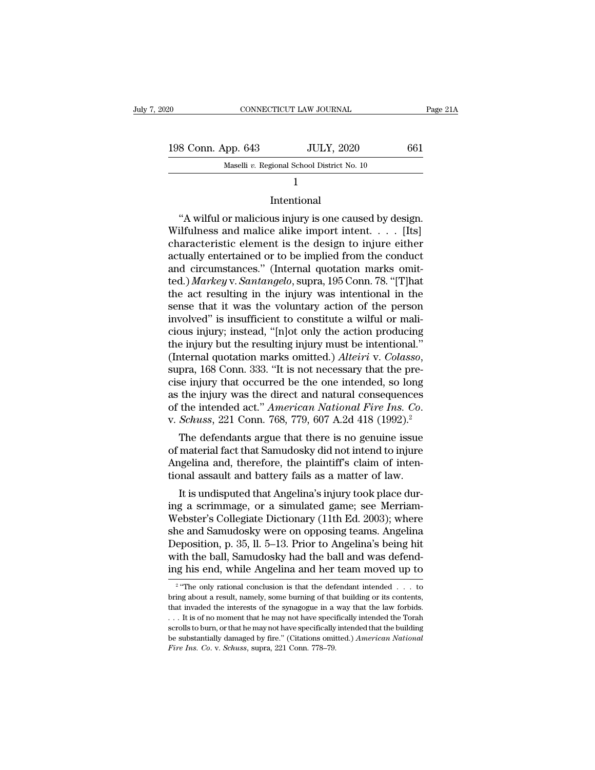| 20                                                        | CONNECTICUT LAW JOURNAL                                                                                         | Page 21A |
|-----------------------------------------------------------|-----------------------------------------------------------------------------------------------------------------|----------|
|                                                           |                                                                                                                 |          |
| 198 Conn. App. 643                                        | <b>JULY, 2020</b>                                                                                               | 661      |
|                                                           | Maselli v. Regional School District No. 10                                                                      |          |
|                                                           |                                                                                                                 |          |
|                                                           | Intentional                                                                                                     |          |
| Wilfulness and malice alike import intent. $\ldots$ [Its] | "A wilful or malicious injury is one caused by design.<br>characteristic element is the design to injure either |          |

## 1

## Intentional

Maselli v. Regional School District No. 10<br>
Maselli v. Regional School District No. 10<br>
1<br>
Thentional<br>
"A wilful or malicious injury is one caused by design.<br>
Wilfulness and malice alike import intent. . . . . [Its]<br>
chara Maselli v. Regional School District No. 10<br>
1<br>
Intentional<br>
"A wilful or malicious injury is one caused by design.<br>
Wilfulness and malice alike import intent. . . . . [Its]<br>
characteristic element is the design to injure 1<br>
actional<br>
actually or malicious injury is one caused by design.<br>
Wilfulness and malice alike import intent. . . . . [Its]<br>
characteristic element is the design to injure either<br>
actually entertained or to be implied fr Intentional<br>
"A wilful or malicious injury is one caused by design.<br>
Wilfulness and malice alike import intent. . . . . [Its]<br>
characteristic element is the design to injure either<br>
actually entertained or to be implied f " A wilful or malicious injury is one caused by design.<br>
Wilfulness and malice alike import intent. . . . [Its]<br>
characteristic element is the design to injure either<br>
actually entertained or to be implied from the conduct "A wilful or malicious injury is one caused by design.<br>Wilfulness and malice alike import intent. . . . [Its]<br>characteristic element is the design to injure either<br>actually entertained or to be implied from the conduct<br>an Wilfulness and malice alike import intent. . . . [Its]<br>characteristic element is the design to injure either<br>actually entertained or to be implied from the conduct<br>and circumstances." (Internal quotation marks omit-<br>ted.) characteristic element is the design to injure either<br>actually entertained or to be implied from the conduct<br>and circumstances." (Internal quotation marks omit-<br>ted.) *Markey* v. *Santangelo*, supra, 195 Conn. 78. "[T]<br>hat actually entertained or to be implied from the conduct<br>and circumstances." (Internal quotation marks omit-<br>ted.) *Markey* v. *Santangelo*, supra, 195 Conn. 78. "[T]hat<br>the act resulting in the injury was intentional in the and circumstances." (Internal quotation marks omit-<br>ted.) *Markey* v. *Santangelo*, supra, 195 Conn. 78. "[T]hat<br>the act resulting in the injury was intentional in the<br>sense that it was the voluntary action of the person<br>i ted.) *Markey* v. *Santangelo*, supra, 195 Conn. 78. "[T]hat<br>the act resulting in the injury was intentional in the<br>sense that it was the voluntary action of the person<br>involved" is insufficient to constitute a wilful or m sense that it was the voluntary action of the person<br>involved" is insufficient to constitute a wilful or mali-<br>cious injury; instead, "[n]ot only the action producing<br>the injury but the resulting injury must be intentiona involved" is insufficient to constitute a wilful or malicious injury; instead, "[n]ot only the action producing<br>the injury but the resulting injury must be intentional."<br>(Internal quotation marks omitted.) *Alteiri* v. *C* cious injury; instead, "[n]ot only the action producing<br>the injury but the resulting injury must be intentional."<br>(Internal quotation marks omitted.) *Alteiri* v. *Colasso*,<br>supra, 168 Conn. 333. "It is not necessary that ternar quotation marks onlitted.) Attern v. Colusso,<br>pra, 168 Conn. 333. "It is not necessary that the pre-<br>se injury that occurred be the one intended, so long<br>the injury was the direct and natural consequences<br>the inten supra, 106 Colul. 353. It is not necessary that the pre-<br>cise injury that occurred be the one intended, so long<br>as the injury was the direct and natural consequences<br>of the intended act." American National Fire Ins. Co.<br>v.

cise injury that occurred be the one intended, so long<br>as the injury was the direct and natural consequences<br>of the intended act." American National Fire Ins. Co.<br>v. Schuss, 221 Conn. 768, 779, 607 A.2d 418 (1992).<sup>2</sup><br>The as the highly was the direct and hatural consequences<br>of the intended act." American National Fire Ins. Co.<br>v. Schuss, 221 Conn. 768, 779, 607 A.2d 418 (1992).<sup>2</sup><br>The defendants argue that there is no genuine issue<br>of mate Schuss, 221 Conn. 768, 779, 607 A.2d 418 (1992).<sup>2</sup><br>The defendants argue that there is no genuine issue<br>material fact that Samudosky did not intend to injure<br>gelina and, therefore, the plaintiff's claim of inten-<br>place du The defendants argue that there is no genuine issue<br>of material fact that Samudosky did not intend to injure<br>Angelina and, therefore, the plaintiff's claim of inten-<br>tional assault and battery fails as a matter of law.<br>It

The defendants argue that there is no genuine issue<br>of material fact that Samudosky did not intend to injure<br>Angelina and, therefore, the plaintiff's claim of inten-<br>tional assault and battery fails as a matter of law.<br>It or materiar ract that samudosky und not intend to flytne<br>Angelina and, therefore, the plaintiff's claim of inten-<br>tional assault and battery fails as a matter of law.<br>It is undisputed that Angelina's injury took place dur-Angelina and, therefore, the plaintin's claim of inter-<br>tional assault and battery fails as a matter of law.<br>It is undisputed that Angelina's injury took place dur-<br>ing a scrimmage, or a simulated game; see Merriam-<br>Webste It is undisputed that Angelina's injury took place during a scrimmage, or a simulated game; see Merriam-Webster's Collegiate Dictionary (11th Ed. 2003); where she and Samudosky were on opposing teams. Angelina Deposition, It is undisputed that Angelina's injury took place during a scrimmage, or a simulated game; see Merriam-Webster's Collegiate Dictionary (11th Ed. 2003); where she and Samudosky were on opposing teams. Angelina Deposition, e and Samudosky were on opposing teams. Angelina<br>
position, p. 35, ll. 5–13. Prior to Angelina's being hit<br>
th the ball, Samudosky had the ball and was defend-<br>
g his end, while Angelina and her team moved up to<br>
"The only Deposition, p. 35, ll. 5–13. Prior to Angelina's being hit with the ball, Samudosky had the ball and was defending his end, while Angelina and her team moved up to  $\frac{2}{\pi}$  "The only rational conclusion is that the defe

 $2 \omega$ with the ball, Samudosky had the ball and was defending his end, while Angelina and her team moved up to  $\frac{2}{3}$  "The only rational conclusion is that the defendant intended . . . . to bring about a result, namely, some . The may not have specifically intended that the building in the may not have specifically intended the mass about a result, namely, some burning of that building or its contents, that invaded the interests of the synago Ing fils end, while Aligelina and fier team inoved up to  $\frac{1}{2}$  "The only rational conclusion is that the defendant intended . . . to bring about a result, namely, some burning of that building or its contents, that in <sup>2</sup> "The only rational conclusion is that the defendant intended  $\ldots$  to bring about a result, namely, some burning of that building or its contents, that invaded the interests of the synagogue in a way that the law forb bring about a result, namely, some burning of that building or its contents, that invaded the interests of the synagogue in a way that the law forbids. . . . It is of no moment that he may not have specifically intended th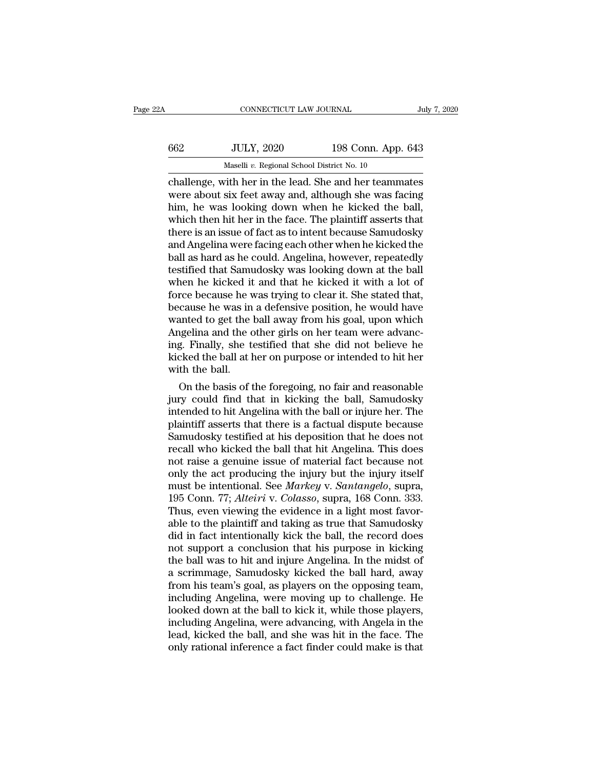| 2А  | CONNECTICUT LAW JOURNAL                                |                    | July 7, 2020 |
|-----|--------------------------------------------------------|--------------------|--------------|
| 662 | <b>JULY, 2020</b>                                      | 198 Conn. App. 643 |              |
|     | Maselli v. Regional School District No. 10             |                    |              |
|     | challenge, with her in the lead. She and her teammates |                    |              |

CONNECTICUT LAW JOURNAL July 7, 2020<br>
662 JULY, 2020 198 Conn. App. 643<br>
Maselli v. Regional School District No. 10<br>
challenge, with her in the lead. She and her teammates<br>
were about six feet away and, although she was fa WEY, 2020 198 Conn. App. 643<br>
Maselli v. Regional School District No. 10<br>
Challenge, with her in the lead. She and her teammates<br>
were about six feet away and, although she was facing<br>
him, he was looking down when he kick  $\frac{198 \text{ Conn. App. 643}}{\text{Maselli } v. \text{ Regional School District No. 10}}$ <br>
Maselli v. Regional School District No. 10<br>
challenge, with her in the lead. She and her teammates<br>
were about six feet away and, although she was facing<br>
him, he was looking down  $\frac{\text{Maselli } v. \text{ Regional School District No. 10}}{\text{Challenge, with her in the lead. She and her teammates} \text{were about six feet away and, although she was facing him, he was looking down when he kicked the ball, which then hit her in the face. The plaintiff asserts that there is an issue of fact as to intent because Samudosky and Angolina were facing each other when he kicked the$ Maselli v. Regional School District No. 10<br>
challenge, with her in the lead. She and her teammates<br>
were about six feet away and, although she was facing<br>
him, he was looking down when he kicked the ball,<br>
which then hit Maselli v. Regional School District No. 10<br>
challenge, with her in the lead. She and her teammates<br>
were about six feet away and, although she was facing<br>
him, he was looking down when he kicked the ball,<br>
which then hit challenge, with her in the lead. She and her teammates<br>were about six feet away and, although she was facing<br>him, he was looking down when he kicked the ball,<br>which then hit her in the face. The plaintiff asserts that<br>ther were about six feet away and, although she was facing<br>him, he was looking down when he kicked the ball,<br>which then hit her in the face. The plaintiff asserts that<br>there is an issue of fact as to intent because Samudosky<br>an him, he was looking down when he kicked the ball,<br>which then hit her in the face. The plaintiff asserts that<br>there is an issue of fact as to intent because Samudosky<br>and Angelina were facing each other when he kicked the<br>b which then hit her in the face. The plaintiff asserts that<br>there is an issue of fact as to intent because Samudosky<br>and Angelina were facing each other when he kicked the<br>ball as hard as he could. Angelina, however, repeat there is an issue of fact as to intent because Samudosky<br>and Angelina were facing each other when he kicked the<br>ball as hard as he could. Angelina, however, repeatedly<br>testified that Samudosky was looking down at the ball<br> and Angelina were facing each other when he kicked the<br>ball as hard as he could. Angelina, however, repeatedly<br>testified that Samudosky was looking down at the ball<br>when he kicked it and that he kicked it with a lot of<br>for ball as hard as he could. Angelina, however, repeatedly<br>testified that Samudosky was looking down at the ball<br>when he kicked it and that he kicked it with a lot of<br>force because he was trying to clear it. She stated that,<br> testified that Samudosky was looking down at the ball<br>when he kicked it and that he kicked it with a lot of<br>force because he was trying to clear it. She stated that,<br>because he was in a defensive position, he would have<br>wa when he kicked it and that he kicked it with a lot of<br>force because he was trying to clear it. She stated that,<br>because he was in a defensive position, he would have<br>wanted to get the ball away from his goal, upon which<br>An force because he v<br>because he was in<br>wanted to get the l<br>Angelina and the c<br>ing. Finally, she t<br>kicked the ball at l<br>with the ball.<br>On the basis of t cause ne was in a derensive position, ne would nave<br>anted to get the ball away from his goal, upon which<br>igelina and the other girls on her team were advanc-<br>g. Finally, she testified that she did not believe he<br>cked the b wanted to get the ball away from his goal, upon which<br>Angelina and the other girls on her team were advancing. Finally, she testified that she did not believe he<br>kicked the ball at her on purpose or intended to hit her<br>wit

Angelina and the other girls on her team were advancing. Finally, she testified that she did not believe he<br>kicked the ball at her on purpose or intended to hit her<br>with the ball.<br>On the basis of the foregoing, no fair and ing. Finally, she testified that she did not believe he<br>kicked the ball at her on purpose or intended to hit her<br>with the ball.<br>On the basis of the foregoing, no fair and reasonable<br>jury could find that in kicking the ball Kicked the ball at her on purpose or intended to hit her<br>with the ball.<br>On the basis of the foregoing, no fair and reasonable<br>jury could find that in kicking the ball, Samudosky<br>intended to hit Angelina with the ball or in with the ball.<br>
On the basis of the foregoing, no fair and reasonable<br>
jury could find that in kicking the ball, Samudosky<br>
intended to hit Angelina with the ball or injure her. The<br>
plaintiff asserts that there is a factu On the basis of the foregoing, no fair and reasonable<br>jury could find that in kicking the ball, Samudosky<br>intended to hit Angelina with the ball or injure her. The<br>plaintiff asserts that there is a factual dispute because<br> jury could find that in kicking the ball, Samudosky<br>intended to hit Angelina with the ball or injure her. The<br>plaintiff asserts that there is a factual dispute because<br>Samudosky testified at his deposition that he does not intended to hit Angelina with the ball or injure her. The plaintiff asserts that there is a factual dispute because Samudosky testified at his deposition that he does not recall who kicked the ball that hit Angelina. This plaintiff asserts that there is a factual dispute because<br>Samudosky testified at his deposition that he does not<br>recall who kicked the ball that hit Angelina. This does<br>not raise a genuine issue of material fact because no Samudosky testified at his deposition that he does not recall who kicked the ball that hit Angelina. This does not raise a genuine issue of material fact because not only the act producing the injury but the injury itself recall who kicked the ball that hit Angelina. This does<br>not raise a genuine issue of material fact because not<br>only the act producing the injury but the injury itself<br>must be intentional. See *Markey* v. *Santangelo*, supr not raise a genuine issue of material fact because not<br>only the act producing the injury but the injury itself<br>must be intentional. See *Markey* v. *Santangelo*, supra,<br>195 Conn. 77; *Alteiri* v. *Colasso*, supra, 168 Conn only the act producing the injury but the injury itself<br>must be intentional. See *Markey* v. *Santangelo*, supra,<br>195 Conn. 77; *Alteiri* v. *Colasso*, supra, 168 Conn. 333.<br>Thus, even viewing the evidence in a light most must be intentional. See *Markey* v. *Santangelo*, supra, 195 Conn. 77; *Alteiri* v. *Colasso*, supra, 168 Conn. 333. Thus, even viewing the evidence in a light most favorable to the plaintiff and taking as true that Samud 195 Conn. 77; *Alteiri* v. *Colasso*, supra, 168 Conn. 333.<br>Thus, even viewing the evidence in a light most favorable to the plaintiff and taking as true that Samudosky<br>did in fact intentionally kick the ball, the record Thus, even viewing the evidence in a light most favorable to the plaintiff and taking as true that Samudosky did in fact intentionally kick the ball, the record does not support a conclusion that his purpose in kicking the able to the plaintiff and taking as true that Samudosky<br>did in fact intentionally kick the ball, the record does<br>not support a conclusion that his purpose in kicking<br>the ball was to hit and injure Angelina. In the midst of did in fact intentionally kick the ball, the record does<br>not support a conclusion that his purpose in kicking<br>the ball was to hit and injure Angelina. In the midst of<br>a scrimmage, Samudosky kicked the ball hard, away<br>from not support a conclusion that his purpose in kicking<br>the ball was to hit and injure Angelina. In the midst of<br>a scrimmage, Samudosky kicked the ball hard, away<br>from his team's goal, as players on the opposing team,<br>includi the ball was to hit and injure Angelina. In the midst of<br>a scrimmage, Samudosky kicked the ball hard, away<br>from his team's goal, as players on the opposing team,<br>including Angelina, were moving up to challenge. He<br>looked d a scrimmage, Samudosky kicked the ball hard, away<br>from his team's goal, as players on the opposing team,<br>including Angelina, were moving up to challenge. He<br>looked down at the ball to kick it, while those players,<br>includin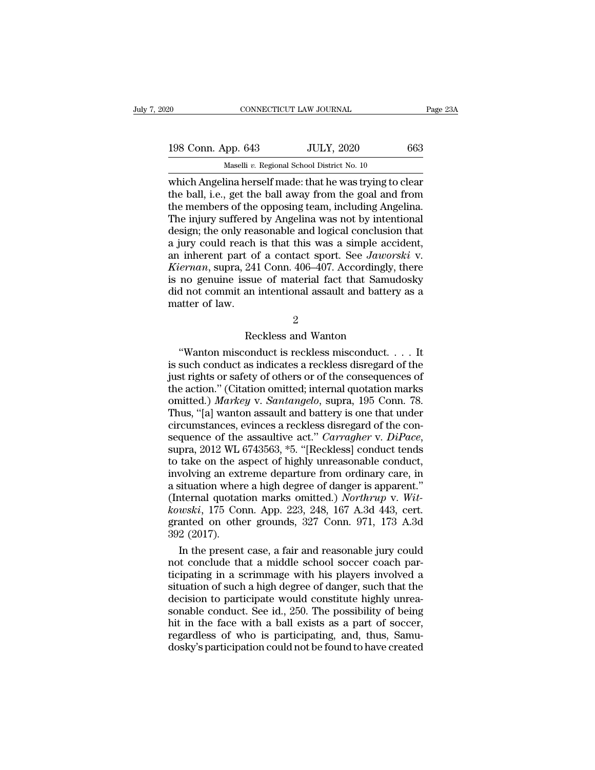| 20                 | CONNECTICUT LAW JOURNAL                                  | Page 23A |
|--------------------|----------------------------------------------------------|----------|
|                    |                                                          |          |
| 198 Conn. App. 643 | <b>JULY, 2020</b>                                        | 663      |
|                    | Maselli v. Regional School District No. 10               |          |
|                    | which Angelina herself made: that he was trying to clear |          |

CONNECTICUT LAW JOURNAL Page 23A<br>
198 Conn. App. 643 JULY, 2020 663<br>
Maselli v. Regional School District No. 10<br>
which Angelina herself made: that he was trying to clear<br>
the ball, i.e., get the ball away from the goal and 198 Conn. App. 643 JULY, 2020 663<br>Maselli v. Regional School District No. 10<br>which Angelina herself made: that he was trying to clear<br>the ball, i.e., get the ball away from the goal and from<br>the members of the opposing tea 198 Conn. App. 643 JULY, 2020 663<br>
Maselli v. Regional School District No. 10<br>
which Angelina herself made: that he was trying to clear<br>
the ball, i.e., get the ball away from the goal and from<br>
the members of the opposin 198 Conn. App. 643 JULY, 2020 663<br>
Maselli v. Regional School District No. 10<br>
which Angelina herself made: that he was trying to clear<br>
the ball, i.e., get the ball away from the goal and from<br>
the members of the opposin Maselli v. Regional School District No. 10<br>
which Angelina herself made: that he was trying to clear<br>
the ball, i.e., get the ball away from the goal and from<br>
the members of the opposing team, including Angelina.<br>
The in Maselli v. Regional School District No. 10<br>which Angelina herself made: that he was trying to clear<br>the ball, i.e., get the ball away from the goal and from<br>the members of the opposing team, including Angelina.<br>The injury which Angelina herself made: that he was trying to clear<br>the ball, i.e., get the ball away from the goal and from<br>the members of the opposing team, including Angelina.<br>The injury suffered by Angelina was not by intentional the ball, i.e., get the ball away from the goal and from<br>the members of the opposing team, including Angelina.<br>The injury suffered by Angelina was not by intentional<br>design; the only reasonable and logical conclusion that<br> the members of the opposing team, including Angelina.<br>The injury suffered by Angelina was not by intentional<br>design; the only reasonable and logical conclusion that<br>a jury could reach is that this was a simple accident,<br>an The injury suffered by Angelina was not by intentional design; the only reasonable and logical conclusion that a jury could reach is that this was a simple accident, an inherent part of a contact sport. See Jaworski v. Ki The injury suffered by Angelina was not by intentional<br>design; the only reasonable and logical conclusion that<br>a jury could reach is that this was a simple accident,<br>an inherent part of a contact sport. See *Jaworski* v.<br> For a contact sport. See *Jawors*<br>241 Conn. 406–407. Accordingly, since of material fact that Samudan intentional assault and battery<br> $\frac{2}{3}$ <br>Reckless and Wanton onduct is reckless misconduct. no genuine issue of material fact that Samudosky<br>
d not commit an intentional assault and battery as a<br>
atter of law.<br>
<sup>2</sup><br>
Reckless and Wanton<br>
"Wanton misconduct is reckless misconduct. . . . It<br>
such conduct as indicate

2

did not commit an intentional assault and battery as a<br>matter of law.<br> $\frac{2}{2}$ <br>Reckless and Wanton<br>"Wanton misconduct is reckless misconduct.... It<br>is such conduct as indicates a reckless disregard of the<br>just rights or s matter of law.<br>  $2$ <br>
Reckless and Wanton<br>
"Wanton misconduct is reckless misconduct.... It<br>
is such conduct as indicates a reckless disregard of the<br>
just rights or safety of others or of the consequences of<br>
the action."  $\begin{array}{c} \text{2} \\ \text{Weakless and Wanton} \end{array}$  "Wanton misconduct is reckless misconduct. . . . It<br>is such conduct as indicates a reckless disregard of the<br>just rights or safety of others or of the consequences of<br>the action.'' (Citation Reckless and Wanton<br>
"Wanton misconduct is reckless misconduct.... It<br>
is such conduct as indicates a reckless disregard of the<br>
just rights or safety of others or of the consequences of<br>
the action." (Citation omitted; in Reckless and Wanton<br>
"Wanton misconduct is reckless misconduct.... It<br>
is such conduct as indicates a reckless disregard of the<br>
just rights or safety of others or of the consequences of<br>
the action." (Citation omitted; i "Wanton misconduct is reckless misconduct.... It<br>is such conduct as indicates a reckless disregard of the<br>just rights or safety of others or of the consequences of<br>the action." (Citation omitted; internal quotation marks<br> is such conduct as indicates a reckless disregard of the<br>just rights or safety of others or of the consequences of<br>the action." (Citation omitted; internal quotation marks<br>omitted.) *Markey* v. *Santangelo*, supra, 195 Con the action." (Citation omitted; internal quotation marks omitted.) *Markey* v. *Santangelo*, supra, 195 Conn. 78.<br>Thus, "[a] wanton assault and battery is one that under circumstances, evinces a reckless disregard of the omitted.) *Markey* v. *Santangelo*, supra, 195 Conn. 78.<br>Thus, "[a] wanton assault and battery is one that under<br>circumstances, evinces a reckless disregard of the con-<br>sequence of the assaultive act." *Carragher* v. *DiPa* Thus, "[a] wanton assault and battery is one that under<br>circumstances, evinces a reckless disregard of the con-<br>sequence of the assaultive act." *Carragher* v. *DiPace*,<br>supra, 2012 WL 6743563, \*5. "[Reckless] conduct ten circumstances, evinces a reckless disregard of the con-<br>sequence of the assaultive act." *Carragher* v. *DiPace*,<br>supra, 2012 WL 6743563, \*5. "[Reckless] conduct tends<br>to take on the aspect of highly unreasonable conduct,<br> sequence of the assaultive act." *Carragher* v. *DiPace*,<br>supra, 2012 WL 6743563, \*5. "[Reckless] conduct tends<br>to take on the aspect of highly unreasonable conduct,<br>involving an extreme departure from ordinary care, in<br>a supra, 2012 WL 6743563, \*5. "[Reckless] conduct tends<br>to take on the aspect of highly unreasonable conduct,<br>involving an extreme departure from ordinary care, in<br>a situation where a high degree of danger is apparent."<br>(Int to take on the a<br>involving an ext<br>a situation wher<br>(Internal quotati<br>kowski, 175 Con<br>granted on othe<br>392 (2017).<br>In the present volving an extreme departure from ordinary care, in<br>situation where a high degree of danger is apparent."<br>thermal quotation marks omitted.) Northrup v. Wit-<br>wski, 175 Conn. App. 223, 248, 167 A.3d 443, cert.<br>anted on othe a situation where a high degree of danger is apparent."<br>(Internal quotation marks omitted.) *Northrup* v. Witkowski, 175 Conn. App. 223, 248, 167 A.3d 443, cert.<br>granted on other grounds, 327 Conn. 971, 173 A.3d<br>392 (2017

(Internal quotation marks omitted.) *Northrup* v. Wit-<br>kowski, 175 Conn. App. 223, 248, 167 A.3d 443, cert.<br>granted on other grounds, 327 Conn. 971, 173 A.3d<br>392 (2017).<br>In the present case, a fair and reasonable jury cou kowski, 175 Conn. App. 223, 248, 167 A.3d 443, cert.<br>granted on other grounds, 327 Conn. 971, 173 A.3d<br>392 (2017).<br>In the present case, a fair and reasonable jury could<br>not conclude that a middle school soccer coach par-<br>t granted on other grounds, 327 Conn. 971, 173 A.3d<br>392 (2017).<br>In the present case, a fair and reasonable jury could<br>not conclude that a middle school soccer coach par-<br>ticipating in a scrimmage with his players involved a<br> 392 (2017).<br>In the present case, a fair and reasonable jury could<br>not conclude that a middle school soccer coach par-<br>ticipating in a scrimmage with his players involved a<br>situation of such a high degree of danger, such th In the present case, a fair and reasonable jury could<br>not conclude that a middle school soccer coach par-<br>ticipating in a scrimmage with his players involved a<br>situation of such a high degree of danger, such that the<br>decis not conclude that a middle school soccer coach participating in a scrimmage with his players involved a situation of such a high degree of danger, such that the decision to participate would constitute highly unreasonable ticipating in a scrimmage with his players involved a situation of such a high degree of danger, such that the decision to participate would constitute highly unreasonable conduct. See id., 250. The possibility of being hi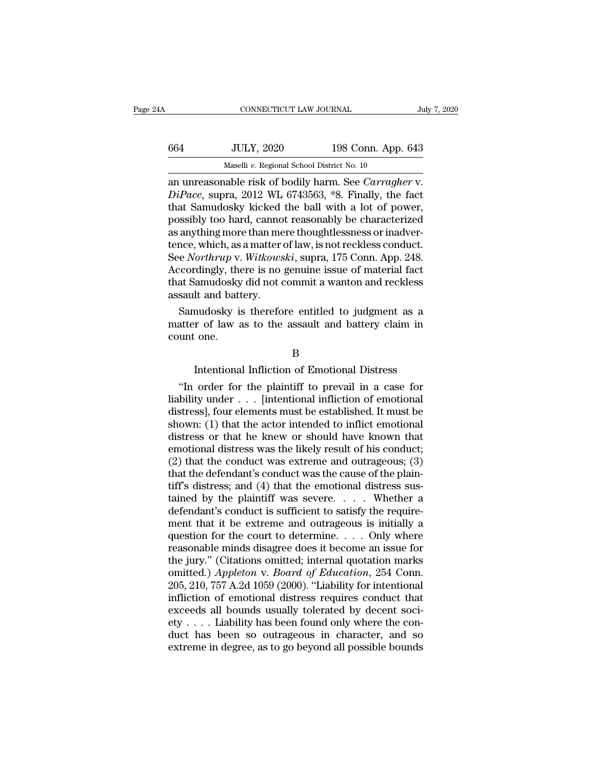| 4Α  | CONNECTICUT LAW JOURNAL                                                                                                     |                                                    | July 7, 2020 |
|-----|-----------------------------------------------------------------------------------------------------------------------------|----------------------------------------------------|--------------|
| 664 | <b>JULY, 2020</b>                                                                                                           | 198 Conn. App. 643                                 |              |
|     | Maselli v. Regional School District No. 10                                                                                  |                                                    |              |
|     | an unreasonable risk of bodily harm. See <i>Carragher</i> v.<br>$DiPace$ , supra, 2012 WL 6743563, $*8$ . Finally, the fact | that Samudosky kicked the hall with a lot of nower |              |

*Bola Dipace, 2020 Dipace, 2012 WL 6743563, \*8. Finally, the fact that Samudosky kicked the ball with a lot of power, possibly too hard cannot reasonably be characterized* that Samudosky kicked the ball with a lot of power,<br>that Samudosky kicked the ball with a lot of power,<br>possibly too hard, cannot reasonably be characterized<br>as anything more than more thought lossness or inclusion  $\frac{1000}{200}$  198 Conn. App. 643<br>
Maselli v. Regional School District No. 10<br>
an unreasonable risk of bodily harm. See *Carragher* v.<br> *DiPace*, supra, 2012 WL 6743563, \*8. Finally, the fact<br>
that Samudosky kicked the ba Maselli v. Regional School District No. 10<br>an unreasonable risk of bodily harm. See *Carragher* v.<br>*DiPace*, supra, 2012 WL 6743563, \*8. Finally, the fact<br>that Samudosky kicked the ball with a lot of power,<br>possibly too h Maselli v. Regional School District No. 10<br>an unreasonable risk of bodily harm. See *Carragher* v.<br>*DiPace*, supra, 2012 WL 6743563, \*8. Finally, the fact<br>that Samudosky kicked the ball with a lot of power,<br>possibly too h an unreasonable risk of bodily harm. See *Carragher* v.<br> *DiPace*, supra, 2012 WL 6743563, \*8. Finally, the fact<br>
that Samudosky kicked the ball with a lot of power,<br>
possibly too hard, cannot reasonably be characterized<br> DiPace, supra, 2012 WL 6743563, \*8. Finally, the fact<br>that Samudosky kicked the ball with a lot of power,<br>possibly too hard, cannot reasonably be characterized<br>as anything more than mere thoughtlessness or inadver-<br>tence, that Samudosky kicked the ball with a lot of power,<br>possibly too hard, cannot reasonably be characterized<br>as anything more than mere thoughtlessness or inadver-<br>tence, which, as a matter of law, is not reckless conduct.<br>Se possibly too hard, canno<br>as anything more than me<br>tence, which, as a matter of<br>See *Northrup* v. Witkows<br>Accordingly, there is no<br>that Samudosky did not c<br>assault and battery.<br>Samudosky is therefo anything more than mere thoughtlessness or madver-<br>nce, which, as a matter of law, is not reckless conduct.<br>e *Northrup* v. *Witkowski*, supra, 175 Conn. App. 248.<br>coordingly, there is no genuine issue of material fact<br>at tence, which, as a matter of law, is not reckless conduct.<br>See *Northrup* v. Witkowski, supra, 175 Conn. App. 248.<br>Accordingly, there is no genuine issue of material fact<br>that Samudosky did not commit a wanton and reckles See *Northrup* v.<br>Accordingly, the<br>that Samudosky<br>assault and batt<br>Samudosky is<br>matter of law a<br>count one.

It and battery.<br>
It and battery claim as a<br>
It of law as to the assault and battery claim in<br>
Dione.<br>
B<br>
Intentional Infliction of Emotional Distress<br>
order for the plaintiff to prevail in a case for Samudosky is therefore entitled to judgment as a<br>atter of law as to the assault and battery claim in<br>unt one.<br>B<br>functional Infliction of Emotional Distress<br>"In order for the plaintiff to prevail in a case for<br>bility under

B

matter of law as to the assault and battery claim in<br>
count one.<br>
B<br>
Intentional Infliction of Emotional Distress<br>
"In order for the plaintiff to prevail in a case for<br>
liability under . . . [intentional infliction of emot B<br>
B<br>
Intentional Infliction of Emotional Distress<br>
"In order for the plaintiff to prevail in a case for<br>
liability under . . . [intentional infliction of emotional<br>
distress], four elements must be established. It must be B<br>
Intentional Infliction of Emotional Distress<br>
"In order for the plaintiff to prevail in a case for<br>
liability under . . . [intentional infliction of emotional<br>
distress], four elements must be established. It must be<br>
s Intentional Infliction of Emotional Distress<br>
"In order for the plaintiff to prevail in a case for<br>
liability under . . . [intentional infliction of emotional<br>
distress], four elements must be established. It must be<br>
sho Intentional Infliction of Emotional Distress<br>
"In order for the plaintiff to prevail in a case for<br>
liability under . . . [intentional infliction of emotional<br>
distress], four elements must be established. It must be<br>
sho "In order for the plaintiff to prevail in a case for liability under . . . [intentional infliction of emotional distress], four elements must be established. It must be shown: (1) that the actor intended to inflict emotio liability under  $\ldots$  [intentional infliction of emotional<br>distress], four elements must be established. It must be<br>shown: (1) that the actor intended to inflict emotional<br>distress or that he knew or should have known tha distress], four elements must be established. It must be shown: (1) that the actor intended to inflict emotional distress or that he knew or should have known that emotional distress was the likely result of his conduct; ( shown: (1) that the actor intended to inflict emotional<br>distress or that he knew or should have known that<br>emotional distress was the likely result of his conduct;<br>(2) that the conduct was extreme and outrageous; (3)<br>that distress or that he knew or should have known that<br>emotional distress was the likely result of his conduct;<br>(2) that the conduct was extreme and outrageous; (3)<br>that the defendant's conduct was the cause of the plain-<br>tif emotional distress was the likely result of his conduct;<br>
(2) that the conduct was extreme and outrageous; (3)<br>
that the defendant's conduct was the cause of the plain-<br>
tiff's distress; and (4) that the emotional distres (2) that the conduct was extreme and outrageous; (3) that the defendant's conduct was the cause of the plain-<br>tiff's distress; and (4) that the emotional distress sus-<br>tained by the plaintiff was severe. . . . . Whether a that the defendant's conduct was the cause of the plain-<br>tiff's distress; and (4) that the emotional distress sus-<br>tained by the plaintiff was severe. . . . Whether a<br>defendant's conduct is sufficient to satisfy the requi tiff's distress; and (4) that the emotional distress sus-<br>tained by the plaintiff was severe. . . . . Whether a<br>defendant's conduct is sufficient to satisfy the require-<br>ment that it be extreme and outrageous is initially tained by the plaintiff was severe. . . . . Whether a defendant's conduct is sufficient to satisfy the requirement that it be extreme and outrageous is initially a question for the court to determine. . . . Only where reas defendant's conduct is sufficient to satisfy the requirement that it be extreme and outrageous is initially a question for the court to determine. . . . Only where reasonable minds disagree does it become an issue for the ment that it be extreme and outrageous is initially a<br>question for the court to determine. . . . Only where<br>reasonable minds disagree does it become an issue for<br>the jury." (Citations omitted; internal quotation marks<br>omi question for the court to determine. . . . Only where<br>reasonable minds disagree does it become an issue for<br>the jury." (Citations omitted; internal quotation marks<br>omitted.) Appleton v. Board of Education, 254 Conn.<br>205, reasonable minds disagree does it become an issue for<br>the jury." (Citations omitted; internal quotation marks<br>omitted.) *Appleton* v. *Board of Education*, 254 Conn.<br>205, 210, 757 A.2d 1059 (2000). "Liability for intention the jury." (Citations omitted; internal quotation marks<br>omitted.) Appleton v. Board of Education, 254 Conn.<br>205, 210, 757 A.2d 1059 (2000). "Liability for intentional<br>infliction of emotional distress requires conduct that omitted.) Appleton v. Board of Education, 254 Conn.<br>205, 210, 757 A.2d 1059 (2000). "Liability for intentional<br>infliction of emotional distress requires conduct that<br>exceeds all bounds usually tolerated by decent soci-<br>et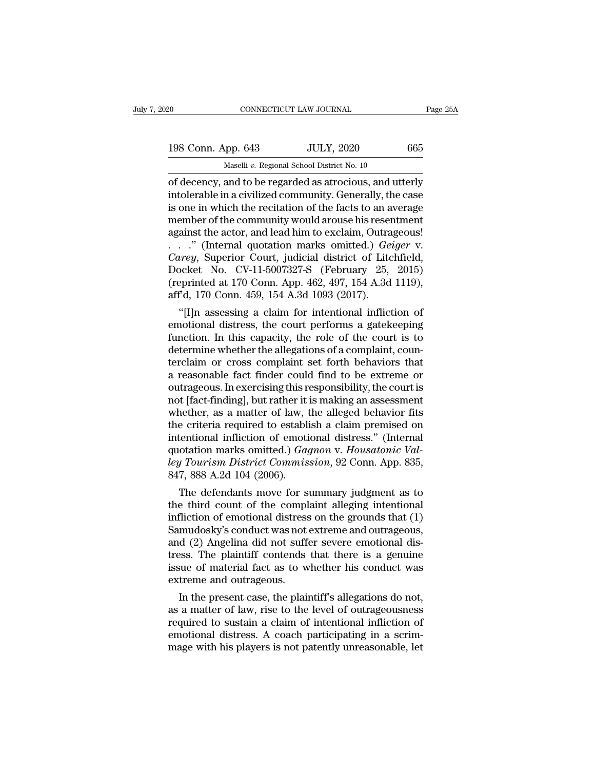| 20                 | CONNECTICUT LAW JOURNAL                                  | Page 25A |
|--------------------|----------------------------------------------------------|----------|
| 198 Conn. App. 643 | <b>JULY, 2020</b>                                        | 665      |
|                    | Maselli v. Regional School District No. 10               |          |
|                    | of decency, and to be regarded as atrocious, and utterly |          |

connectricut LAW JOURNAL Page 25A<br>
198 Conn. App. 643 JULY, 2020 665<br>
Maselli v. Regional School District No. 10<br>
of decency, and to be regarded as atrocious, and utterly<br>
intolerable in a civilized community. Generally, t 198 Conn. App. 643 JULY, 2020 665<br>Maselli v. Regional School District No. 10<br>of decency, and to be regarded as atrocious, and utterly<br>intolerable in a civilized community. Generally, the case<br>is one in which the recitation 198 Conn. App. 643 JULY, 2020 665<br>
Maselli v. Regional School District No. 10<br>
of decency, and to be regarded as atrocious, and utterly<br>
intolerable in a civilized community. Generally, the case<br>
is one in which the recit 198 Conn. App. 643 JULY, 2020 665<br>Maselli v. Regional School District No. 10<br>of decency, and to be regarded as atrocious, and utterly<br>intolerable in a civilized community. Generally, the case<br>is one in which the recitatio Maselli v. Regional School District No. 10<br>
of decency, and to be regarded as atrocious, and utterly<br>
intolerable in a civilized community. Generally, the case<br>
is one in which the recitation of the facts to an average<br>
m Maselli *v.* Regional School District No. 10<br>
of decency, and to be regarded as atrocious, and utterly<br>
intolerable in a civilized community. Generally, the case<br>
is one in which the recitation of the facts to an average<br> of decency, and to be regarded as atrocious, and utterly<br>intolerable in a civilized community. Generally, the case<br>is one in which the recitation of the facts to an average<br>member of the community would arouse his resentme intolerable in a civilized community. Generally, the case<br>is one in which the recitation of the facts to an average<br>member of the community would arouse his resentment<br>against the actor, and lead him to exclaim, Outrageou is one in which the recitation of the facts to an average<br>member of the community would arouse his resentment<br>against the actor, and lead him to exclaim, Outrageous!<br>. . . ." (Internal quotation marks omitted.) *Geiger* v. member of the community would arouse his resen<br>against the actor, and lead him to exclaim, Outra<br>..." (Internal quotation marks omitted.) *Gecarey*, Superior Court, judicial district of Lite<br>Docket No. CV-11-5007327-S (Feb amst the actor, and lead nim to exclaim, Outrageous!<br>
. ." (Internal quotation marks omitted.) *Geiger v.*<br> *irey*, Superior Court, judicial district of Litchfield,<br>
beket No. CV-11-5007327-S (February 25, 2015)<br>
eprinted emotional district of Litchfield,<br>Carey, Superior Court, judicial district of Litchfield,<br>Docket No. CV-11-5007327-S (February 25, 2015)<br>(reprinted at 170 Conn. App. 462, 497, 154 A.3d 1119),<br>aff'd, 170 Conn. 459, 154 A.3

Carey, Superior Court, juancial aistrict of Litchneid,<br>Docket No. CV-11-5007327-S (February 25, 2015)<br>(reprinted at 170 Conn. App. 462, 497, 154 A.3d 1119),<br>aff'd, 170 Conn. 459, 154 A.3d 1093 (2017).<br>"[I]n assessing a cla Docket No.  $CV-11-5007327-5$  (February 25, 2015)<br>(reprinted at 170 Conn. App. 462, 497, 154 A.3d 1119),<br>aff'd, 170 Conn. 459, 154 A.3d 1093 (2017).<br>"[I]n assessing a claim for intentional infliction of<br>emotional distress, (reprinted at 170 Conn. App. 462, 497, 154 A.3d 1119),<br>aff'd, 170 Conn. 459, 154 A.3d 1093 (2017).<br>"[I]n assessing a claim for intentional infliction of<br>emotional distress, the court performs a gatekeeping<br>function. In th and at the Connectional infliction of<br>
"[I]n assessing a claim for intentional infliction of<br>
emotional distress, the court performs a gatekeeping<br>
function. In this capacity, the role of the court is to<br>
determine whethe "[I]n assessing a claim for intentional infliction of emotional distress, the court performs a gatekeeping function. In this capacity, the role of the court is to determine whether the allegations of a complaint, counterc emotional distress, the court performs a gatekeeping<br>function. In this capacity, the role of the court is to<br>determine whether the allegations of a complaint, coun-<br>terclaim or cross complaint set forth behaviors that<br>a re function. In this capacity, the role of the court is to<br>determine whether the allegations of a complaint, coun-<br>terclaim or cross complaint set forth behaviors that<br>a reasonable fact finder could find to be extreme or<br>outr determine whether the allegations of a complaint, counterclaim or cross complaint set forth behaviors that<br>a reasonable fact finder could find to be extreme or<br>outrageous. In exercising this responsibility, the court is<br>no terclaim or cross complaint set forth behaviors that<br>a reasonable fact finder could find to be extreme or<br>outrageous. In exercising this responsibility, the court is<br>not [fact-finding], but rather it is making an assessmen a reasonable fact finder could find to be extreme or<br>outrageous. In exercising this responsibility, the court is<br>not [fact-finding], but rather it is making an assessment<br>whether, as a matter of law, the alleged behavior f outrageous. In exercising this responsibility, the court is<br>not [fact-finding], but rather it is making an assessment<br>whether, as a matter of law, the alleged behavior fits<br>the criteria required to establish a claim premis not [fact-finding], but rather it in whether, as a matter of law, the criteria required to establis intentional infliction of emotiquotation marks omitted.) Gagener V row District Commiss 847, 888 A.2d 104 (2006). The defe nether, as a matter of law, the alleged behavior fits<br>e criteria required to establish a claim premised on<br>tentional infliction of emotional distress." (Internal<br>otation marks omitted.) *Gagnon* v. *Housatonic Val-*<br> $J$  *T* the criteria required to establish a claim premised on<br>intentional infliction of emotional distress." (Internal<br>quotation marks omitted.) *Gagnon v. Housatonic Val-<br>ley Tourism District Commission*, 92 Conn. App. 835,<br>847,

intentional infliction of emotional distress." (internal<br>quotation marks omitted.) *Gagnon v. Housatonic Val-*<br>ley Tourism District Commission, 92 Conn. App. 835,<br>847, 888 A.2d 104 (2006).<br>The defendants move for summary j quotation marks omitted.) Gagnon v. Housdionic val-<br>ley Tourism District Commission, 92 Conn. App. 835,<br>847, 888 A.2d 104 (2006).<br>The defendants move for summary judgment as to<br>the third count of the complaint alleging int they Tourism District Commission, 92 Conn. App. 835, 847, 888 A.2d 104 (2006).<br>The defendants move for summary judgment as to the third count of the complaint alleging intentional infliction of emotional distress on the gr  $847$ ,  $888$  A.2d 104 (2006).<br>The defendants move for summary judgment as to<br>the third count of the complaint alleging intentional<br>infliction of emotional distress on the grounds that (1)<br>Samudosky's conduct was not extre The defendants move for summary judgment as to<br>the third count of the complaint alleging intentional<br>infliction of emotional distress on the grounds that (1)<br>Samudosky's conduct was not extreme and outrageous,<br>and (2) Ange the third count of the compl<br>infliction of emotional distress<br>Samudosky's conduct was not<br>and (2) Angelina did not suff<br>tress. The plaintiff contends<br>issue of material fact as to w<br>extreme and outrageous.<br>In the present ca Inction of emotional distress on the grounds that (1)<br>mudosky's conduct was not extreme and outrageous,<br>d (2) Angelina did not suffer severe emotional dis-<br>sss. The plaintiff contends that there is a genuine<br>sue of materia Samudosky s conduct was not extreme and outrageous,<br>and (2) Angelina did not suffer severe emotional dis-<br>tress. The plaintiff contends that there is a genuine<br>issue of material fact as to whether his conduct was<br>extreme

and  $(2)$  Angelma did not surfer severe emotional dis-<br>tress. The plaintiff contends that there is a genuine<br>issue of material fact as to whether his conduct was<br>extreme and outrageous.<br>In the present case, the plaintiff' tress. The plaintiff contends that there is a genuine<br>issue of material fact as to whether his conduct was<br>extreme and outrageous.<br>In the present case, the plaintiff's allegations do not,<br>as a matter of law, rise to the le issue of material fact as to whether his conduct was<br>extreme and outrageous.<br>In the present case, the plaintiff's allegations do not,<br>as a matter of law, rise to the level of outrageousness<br>required to sustain a claim of i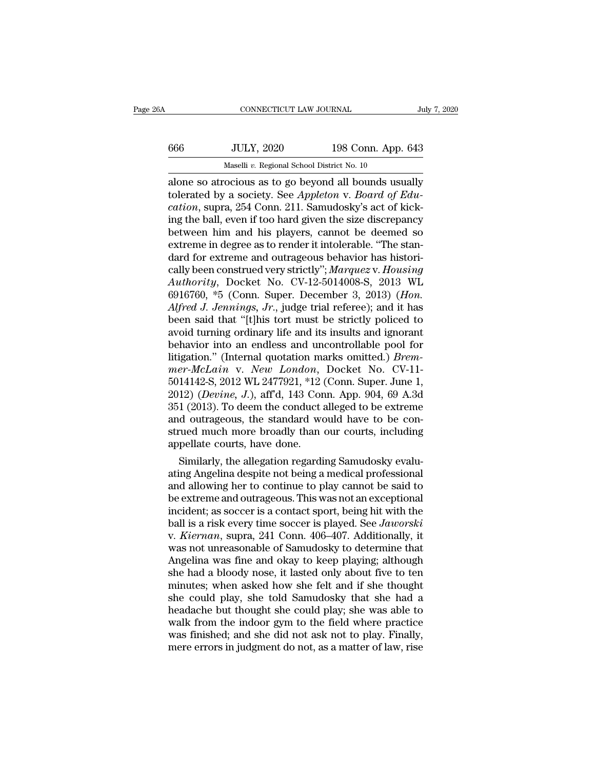| A   | CONNECTICUT LAW JOURNAL                    |                    | July 7, 2020 |
|-----|--------------------------------------------|--------------------|--------------|
|     |                                            |                    |              |
| 666 | <b>JULY, 2020</b>                          | 198 Conn. App. 643 |              |
|     | Maselli v. Regional School District No. 10 |                    |              |

CONNECTICUT LAW JOURNAL July 7, 2020<br>
666 JULY, 2020 198 Conn. App. 643<br>
Maselli v. Regional School District No. 10<br>
alone so atrocious as to go beyond all bounds usually<br>
tolerated by a society. See *Appleton* v. *Board o* THE SERVIE SERVIE 2020<br>
THE SERVIE 2020<br>
Maselli v. Regional School District No. 10<br>
alone so atrocious as to go beyond all bounds usually<br>
tolerated by a society. See *Appleton* v. *Board of Edu-*<br>
cation, supra, 254 Conn *Cation*, *Conn. 2020 cation. App. 643*<br>*Conn. App. 643*<br>*Conne* so atrocious as to go beyond all bounds usually<br>tolerated by a society. See *Appleton* v. *Board of Education*, supra, 254 Conn. 211. Samudosky's act of ki **666** JULY, 2020 198 Conn. App. 643<br>
Maselli v. Regional School District No. 10<br>
alone so atrocious as to go beyond all bounds usually<br>
tolerated by a society. See *Appleton* v. *Board of Edu-*<br>
cation, supra, 254 Conn. 2 Maselli v. Regional School District No. 10<br>alone so atrocious as to go beyond all bounds usually<br>tolerated by a society. See *Appleton* v. *Board of Edu-*<br>cation, supra, 254 Conn. 211. Samudosky's act of kick-<br>ing the bal Maselli v. Regional School District No. 10<br>alone so atrocious as to go beyond all bounds usually<br>tolerated by a society. See *Appleton* v. *Board of Edu-*<br>cation, supra, 254 Conn. 211. Samudosky's act of kick-<br>ing the bal alone so atrocious as to go beyond all bounds usually<br>tolerated by a society. See *Appleton* v. *Board of Edu-*<br>*cation*, supra, 254 Conn. 211. Samudosky's act of kick-<br>ing the ball, even if too hard given the size discre tolerated by a society. See *Appleton* v. *Board of Education*, supra, 254 Conn. 211. Samudosky's act of kicking the ball, even if too hard given the size discrepancy between him and his players, cannot be deemed so extrem *cation*, supra, 254 Conn. 211. Samudosky's act of kicking the ball, even if too hard given the size discrepancy between him and his players, cannot be deemed so extreme in degree as to render it intolerable. "The standard ing the ball, even if too hard given the size discrepancy<br>between him and his players, cannot be deemed so<br>extreme in degree as to render it intolerable. "The stan-<br>dard for extreme and outrageous behavior has histori-<br>cal between him and his players, cannot be deemed so<br>extreme in degree as to render it intolerable. "The stan-<br>dard for extreme and outrageous behavior has histori-<br>cally been construed very strictly"; *Marquez* v. *Housing*<br>A extreme in degree as to render it intolerable. "The standard for extreme and outrageous behavior has historically been construed very strictly"; *Marquez v. Housing Authority*, Docket No. CV-12-5014008-S, 2013 WL<br>6916760 dard for extreme and outrageous behavior has historically been construed very strictly"; *Marquez v. Housing Authority*, Docket No. CV-12-5014008-S, 2013 WL<br>6916760, \*5 (Conn. Super. December 3, 2013) (*Hon.*<br>*Alfred J.* cally been construed very strictly"; *Marquez v. Housing*<br>Authority, Docket No. CV-12-5014008-S, 2013 WL<br>6916760, \*5 (Conn. Super. December 3, 2013) (*Hon.*<br>Alfred J. Jennings, Jr., judge trial referee); and it has<br>been s Authority, Docket No. CV-12-5014008-S, 2013 WL<br>6916760, \*5 (Conn. Super. December 3, 2013) (*Hon.*<br>Alfred J. Jennings, Jr., judge trial referee); and it has<br>been said that "[t]his tort must be strictly policed to<br>avoid tur *formal 40 1. Jennings, Jr.*, judge trial referee); and it has<br>*head J. Jennings, Jr.*, judge trial referee); and it has<br>been said that "[t]his tort must be strictly policed to<br>avoid turning ordinary life and its insults a Alfred J. Jennings, Jr., judge trial referee); and it has<br>been said that "[t]his tort must be strictly policed to<br>avoid turning ordinary life and its insults and ignorant<br>behavior into an endless and uncontrollable pool f been said that "[t]his tort must be strictly policed to<br>avoid turning ordinary life and its insults and ignorant<br>behavior into an endless and uncontrollable pool for<br>litigation." (Internal quotation marks omitted.) *Brem-<br>* avoid turning ordinary life and its insults and ignorant<br>behavior into an endless and uncontrollable pool for<br>litigation." (Internal quotation marks omitted.) *Brem-<br>mer-McLain v. New London*, Docket No. CV-11-<br>5014142-S, behavior into an endless and uncontrollable pool for<br>litigation." (Internal quotation marks omitted.) *Brem-*<br>mer-McLain v. New London, Docket No. CV-11-<br>5014142-S, 2012 WL 2477921, \*12 (Conn. Super. June 1,<br>2012) (*Devine* litigation." (Internal quotation marks omitted.) *Brem-*<br>mer-McLain v. New London, Docket No. CV-11-<br>5014142-S, 2012 WL 2477921, \*12 (Conn. Super. June 1,<br>2012) (Devine, J.), aff'd, 143 Conn. App. 904, 69 A.3d<br>351 (2013). mer-McLain v. New London,<br>5014142-S, 2012 WL 2477921, \*12 (2012) (Devine, J.), aff'd, 143 Con<br>351 (2013). To deem the conduct and outrageous, the standard wo<br>strued much more broadly than (appellate courts, have done.<br>Simi 14142-S, 2012 WL 2477921,  $*12$  (Conn. Super. June 1, 12) (*Devine, J.*), aff'd, 143 Conn. App. 904, 69 A.3d 1 (2013). To deem the conduct alleged to be extremed outrageous, the standard would have to be con-<br>rued much mo 2012) (*Devine, J.*), afra, 143 Conn. App. 904, 69 A.3d<br>351 (2013). To deem the conduct alleged to be extreme<br>and outrageous, the standard would have to be con-<br>strued much more broadly than our courts, including<br>appellat

351 (2013). To deem the conduct alleged to be extreme<br>and outrageous, the standard would have to be con-<br>strued much more broadly than our courts, including<br>appellate courts, have done.<br>Similarly, the allegation regarding and outrageous, the standard would have to be construed much more broadly than our courts, including<br>appellate courts, have done.<br>Similarly, the allegation regarding Samudosky evalu-<br>ating Angelina despite not being a medi strued much more broadly than our courts, including<br>appellate courts, have done.<br>Similarly, the allegation regarding Samudosky evalu-<br>ating Angelina despite not being a medical professional<br>and allowing her to continue to appellate courts, nave done.<br>
Similarly, the allegation regarding Samudosky evalu-<br>
ating Angelina despite not being a medical professional<br>
and allowing her to continue to play cannot be said to<br>
be extreme and outrageous Similarly, the allegation regarding Samudosky evaluating Angelina despite not being a medical professional<br>and allowing her to continue to play cannot be said to<br>be extreme and outrageous. This was not an exceptional<br>incid ating Angelina despite not being a medical professional<br>and allowing her to continue to play cannot be said to<br>be extreme and outrageous. This was not an exceptional<br>incident; as soccer is a contact sport, being hit with t and allowing her to continue to play cannot be said to<br>be extreme and outrageous. This was not an exceptional<br>incident; as soccer is a contact sport, being hit with the<br>ball is a risk every time soccer is played. See Jawor be extreme and outrageous. This was not an exceptional<br>incident; as soccer is a contact sport, being hit with the<br>ball is a risk every time soccer is played. See Jaworski<br>v. Kiernan, supra, 241 Conn. 406–407. Additionally, incident; as soccer is a contact sport, being hit with the<br>ball is a risk every time soccer is played. See Jaworski<br>v. Kiernan, supra, 241 Conn. 406–407. Additionally, it<br>was not unreasonable of Samudosky to determine that ball is a risk every time soccer is played. See *Jaworski* v. *Kiernan*, supra, 241 Conn. 406–407. Additionally, it was not unreasonable of Samudosky to determine that Angelina was fine and okay to keep playing; although s v. *Kiernan*, supra, 241 Conn. 406–407. Additionally, it<br>was not unreasonable of Samudosky to determine that<br>Angelina was fine and okay to keep playing; although<br>she had a bloody nose, it lasted only about five to ten<br>minu was not unreasonable of Samudosky to determine that<br>Angelina was fine and okay to keep playing; although<br>she had a bloody nose, it lasted only about five to ten<br>minutes; when asked how she felt and if she thought<br>she could Angelina was fine and okay to keep playing; although<br>she had a bloody nose, it lasted only about five to ten<br>minutes; when asked how she felt and if she thought<br>she could play, she told Samudosky that she had a<br>headache bu she had a bloody nose, it lasted only about five to ten<br>minutes; when asked how she felt and if she thought<br>she could play, she told Samudosky that she had a<br>headache but thought she could play; she was able to<br>walk from t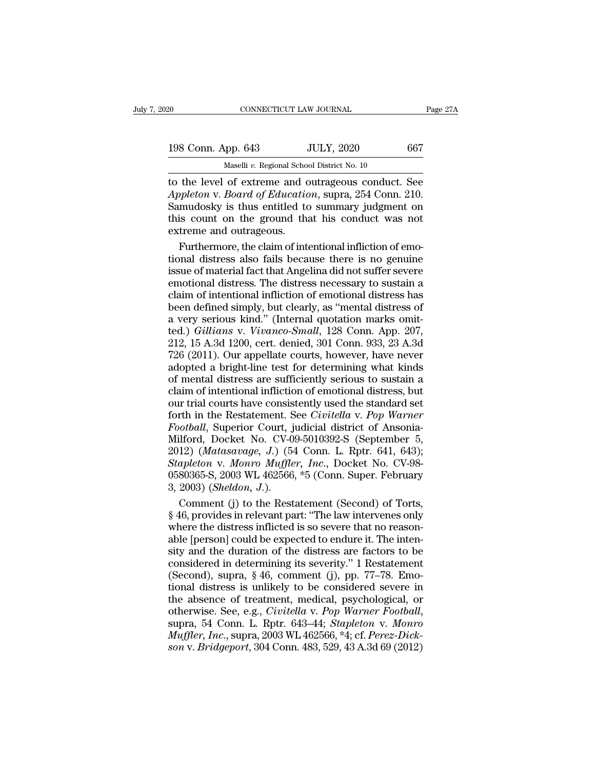| 20                 | CONNECTICUT LAW JOURNAL                             | Page 27A |
|--------------------|-----------------------------------------------------|----------|
|                    |                                                     |          |
| 198 Conn. App. 643 | <b>JULY, 2020</b>                                   | 667      |
|                    | Maselli v. Regional School District No. 10          |          |
|                    | to the level of extreme and outrageous conduct. See |          |

CONNECTICUT LAW JOURNAL Page 27A<br>
198 Conn. App. 643 JULY, 2020 667<br>
Maselli v. Regional School District No. 10<br>
to the level of extreme and outrageous conduct. See<br>
Appleton v. Board of Education, supra, 254 Conn. 210.<br>
S *App.* 643 *JULY, 2020* 667<br>*Maselli v. Regional School District No. 10*<br>*Appleton v. Board of Education*, supra, 254 Conn. 210.<br>Samudosky is thus entitled to summary judgment on<br>this count on the ground that his conduct w 198 Conn. App. 643 JULY, 2020 667<br>
Maselli v. Regional School District No. 10<br>
to the level of extreme and outrageous conduct. See<br>
Appleton v. Board of Education, supra, 254 Conn. 210.<br>
Samudosky is thus entitled to summ 198 Conn. App. 643 JULY, 2020 667<br>
Maselli v. Regional School District No. 10<br>
to the level of extreme and outrageous conduct. See<br>
Appleton v. Board of Education, supra, 254 Conn. 210.<br>
Samudosky is thus entitled to summa  $\begin{tabular}{l} \hline \textbf{Maselli } v. \textbf{ Regional School} \\ \hline \textbf{to the level of extreme and c} \\ \hline \textbf{Appleton v. Board of Education} \\ \textbf{Samudosky is thus entitled to this count on the ground that extreme and outrageous.} \\ \hline \end{tabular}$ Furthermore, the claim of intentional infliction of emotional influence and outrageous conduct. See ppleton v. Board of Education, supra, 254 Conn. 210. mudosky is thus entitled to summary judgment on is count on the grou to the level of extreme and outrageous conduct. See<br>Appleton v. Board of Education, supra, 254 Conn. 210.<br>Samudosky is thus entitled to summary judgment on<br>this count on the ground that his conduct was not<br>extreme and outr

Appleton v. Board of Education, supra, 254 Conn. 210.<br>Samudosky is thus entitled to summary judgment on<br>this count on the ground that his conduct was not<br>extreme and outrageous.<br>Furthermore, the claim of intentional inflic Samudosky is thus entitled to summary judgment on<br>this count on the ground that his conduct was not<br>extreme and outrageous.<br>Furthermore, the claim of intentional infliction of emo-<br>tional distress also fails because there this count on the ground that his conduct was not<br>extreme and outrageous.<br>Furthermore, the claim of intentional infliction of emo-<br>tional distress also fails because there is no genuine<br>issue of material fact that Angelina extreme and outrageous.<br>Furthermore, the claim of intentional infliction of emo-<br>tional distress also fails because there is no genuine<br>issue of material fact that Angelina did not suffer severe<br>emotional distress. The dis Furthermore, the claim of intentional infliction of emotional distress also fails because there is no genuine<br>issue of material fact that Angelina did not suffer severe<br>emotional distress. The distress necessary to sustain tional distress also fails because there is no genuine<br>issue of material fact that Angelina did not suffer severe<br>emotional distress. The distress necessary to sustain a<br>claim of intentional infliction of emotional distres Existe of material fact that Angelina did not suffer severe<br>
emotional distress. The distress necessary to sustain a<br>
claim of intentional infliction of emotional distress has<br>
been defined simply, but clearly, as "mental Exact of intertain and a metallical courts<br>emotional distress. The distress necessary to sustain a<br>claim of intentional infliction of emotional distress has<br>been defined simply, but clearly, as "mental distress of<br>a very s claim of intentional infliction of emotional distress has<br>been defined simply, but clearly, as "mental distress of<br>a very serious kind." (Internal quotation marks omit-<br>ted.) *Gillians* v. *Vivanco-Small*, 128 Conn. App. 2 been defined simply, but clearly, as "mental distress of<br>a very serious kind." (Internal quotation marks omit-<br>ted.) *Gillians v. Vivanco-Small*, 128 Conn. App. 207,<br>212, 15 A.3d 1200, cert. denied, 301 Conn. 933, 23 A.3d<br> a very serious kind." (Internal quotation marks omit-<br>ted.) *Gillians* v. *Vivanco-Small*, 128 Conn. App. 207,<br>212, 15 A.3d 1200, cert. denied, 301 Conn. 933, 23 A.3d<br>726 (2011). Our appellate courts, however, have never<br> and *Gillians v. Vivanco-Small*, 128 Conn. App. 207, 212, 15 A.3d 1200, cert. denied, 301 Conn. 933, 23 A.3d 726 (2011). Our appellate courts, however, have never adopted a bright-line test for determining what kinds of me 212, 15 A.3d 1200, cert. denied, 301 Conn. 933, 23 A.3d<br>726 (2011). Our appellate courts, however, have never<br>adopted a bright-line test for determining what kinds<br>of mental distress are sufficiently serious to sustain a<br>c 212, 15 A.3d 1200, cert. denied, 301 Conn. 933, 23 A.3d 726 (2011). Our appellate courts, however, have never adopted a bright-line test for determining what kinds of mental distress are sufficiently serious to sustain a c Moreover, the estable a bright-line test for determining what kinds<br>of mental distress are sufficiently serious to sustain a<br>claim of intentional infliction of emotional distress, but<br>our trial courts have consistently us detailed a stright life vest of determining what this<br>of mental distress are sufficiently serious to sustain a<br>claim of intentional infliction of emotional distress, but<br>our trial courts have consistently used the standard *Stapleton* v. *Monro Muffler, Inc.*, Docket No. CV-98-0580365-S, 2003 WL 462566, \*5 (Conn. Super. February 3. 2003) (Sheldon J) our trial courts have consistently used the standard set<br>forth in the Restatement. See *Civitella v. Pop Warner*<br>Football, Superior Court, judicial district of Ansonia-<br>Milford, Docket No. CV-09-5010392-S (September 5,<br>201 out that could have considered forth in the Restatement. S<br>Football, Superior Court, j<br>Milford, Docket No. CV-0<br>2012) (*Matasavage, J.*) (5*4*<br>Stapleton v. Monro Muffle<br>0580365-S, 2003 WL 462566<br>3, 2003) (*Sheldon, J.*).<br>C ootball, Superior Court, judicial district of Ansonia-<br>ilford, Docket No. CV-09-5010392-S (September 5,<br>12) (*Matasavage*, J.) (54 Conn. L. Rptr. 641, 643);<br>*apleton v. Monro Muffler*, *Inc.*, Docket No. CV-98-<br>80365-S, 20 Milford, Docket No. CV-09-5010392-S (September 5,<br>2012) (*Matasavage, J.*) (54 Conn. L. Rptr. 641, 643);<br>*Stapleton v. Monro Muffler, Inc.*, Docket No. CV-98-<br>0580365-S, 2003 WL 462566, \*5 (Conn. Super. February<br>3, 2003) (

2012) (*Matasavage, J.*) (54 Conn. L. Rptr. 641, 643);<br> *Stapleton v. Monro Muffler, Inc.*, Docket No. CV-98-<br>
0580365-S, 2003 WL 462566, \*5 (Conn. Super. February<br>
3, 2003) (*Sheldon, J.*).<br>
Comment (j) to the Restatemen Stapleton v. Monro Muffler, Inc., Docket No. CV-98-0580365-S, 2003 WL 462566, \*5 (Conn. Super. February<br>3, 2003) (*Sheldon, J.*).<br>Comment (j) to the Restatement (Second) of Torts,<br>§ 46, provides in relevant part: "The law 0580365-S, 2003 WL 462566, \*5 (Conn. Super. February<br>3, 2003) (*Sheldon, J.*).<br>Comment (j) to the Restatement (Second) of Torts,<br>§ 46, provides in relevant part: "The law intervenes only<br>where the distress inflicted is so 3, 2003) (*Sheldon, J.*).<br>Comment (j) to the Restatement (Second) of Torts,<br>§ 46, provides in relevant part: "The law intervenes only<br>where the distress inflicted is so severe that no reason-<br>able [person] could be expect Comment (j) to the Restatement (Second) of Torts,  $§$  46, provides in relevant part: "The law intervenes only where the distress inflicted is so severe that no reasonable [person] could be expected to endure it. The inten \$46, provides in relevant part: "The law intervenes only<br>where the distress inflicted is so severe that no reason-<br>able [person] could be expected to endure it. The inten-<br>sity and the duration of the distress are factors where the distress inflicted is so severe that no reasonable [person] could be expected to endure it. The intensity and the duration of the distress are factors to be considered in determining its severity." 1 Restatement original person] could be expected to endure it. The intensity and the duration of the distress are factors to be considered in determining its severity." 1 Restatement (Second), supra, § 46, comment (j), pp. 77–78. Emotio *Musical different* in determining its severity." 1 Restatement (Second), supra, § 46, comment (j), pp. 77–78. Emotional distress is unlikely to be considered severe in the absence of treatment, medical, psychological, or (Second), supra, § 46, comment (j), pp. 77–78. Emotional distress is unlikely to be considered severe in the absence of treatment, medical, psychological, or otherwise. See, e.g., *Civitella v. Pop Warner Football*, supra,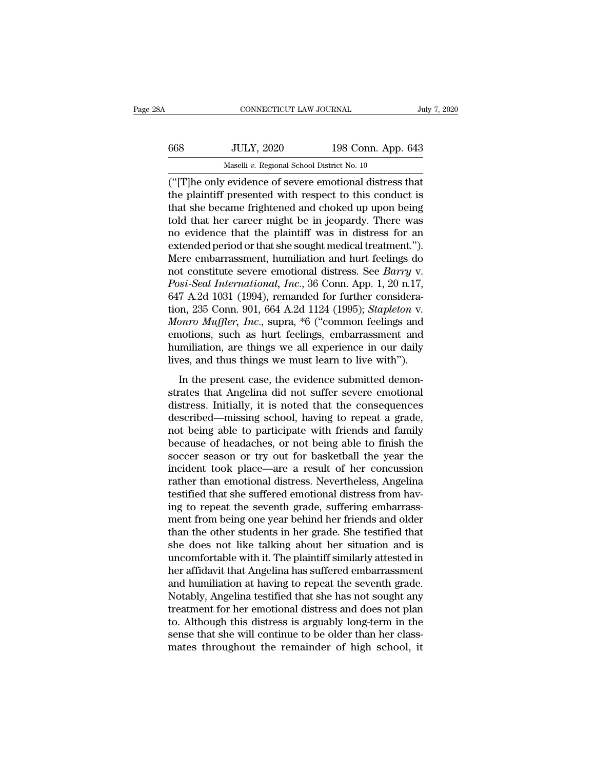| ЗA  | CONNECTICUT LAW JOURNAL                               |                    | July 7, 2020 |
|-----|-------------------------------------------------------|--------------------|--------------|
| 668 | <b>JULY, 2020</b>                                     | 198 Conn. App. 643 |              |
|     | Maselli v. Regional School District No. 10            |                    |              |
|     | "The only evidence of severe emotional distress that" |                    |              |

 $\begin{array}{r} \text{CONRECTICUT LAW JOURNAL} \qquad \text{July 7, 2020} \ \end{array}$ <br>
('668  $\begin{array}{r} \text{JULY, 2020} \qquad \text{198 Conn. App. 643} \ \end{array}$ <br>
Maselli v. Regional School District No. 10<br>
(''[T]he only evidence of severe emotional distress that<br>
the plaintiff pres the plantiff presented with respect to this conduct is<br>the plaintiff presented with respect to this conduct is<br>that she became frightened and choked up upon being<br>the plaintiff presented and choked up upon being<br>that has c  $\begin{array}{lll}\n 668 & \text{JULY, } 2020 & \text{198 Conn. App. 643} \\
 \hline\n & \text{Maselli } v. \text{ Regional School District No. 10} \\
 \hline\n & \text{("T]he only evidence of severe emotional digtress that the plaintiff presented with respect to this conduct is that she became frightened and choked up upon being told that her career might be in jeopardy. There was no evidence that the plaintiff was in digtress for an object.} \n\end{array}$ 668 JULY, 2020 198 Conn. App. 643<br>Maselli v. Regional School District No. 10<br>("[T]he only evidence of severe emotional distress that<br>the plaintiff presented with respect to this conduct is<br>that she became frightened and c Maselli v. Regional School District No. 10<br>
("[T]he only evidence of severe emotional distress that<br>
the plaintiff presented with respect to this conduct is<br>
that she became frightened and choked up upon being<br>
told that mase the  $v$ . Regional School District No. 10<br>
("[T]he only evidence of severe emotional distress that<br>
the plaintiff presented with respect to this conduct is<br>
that she became frightened and choked up upon being<br>
told th ("[T]he only evidence of severe emotional distress that<br>the plaintiff presented with respect to this conduct is<br>that she became frightened and choked up upon being<br>told that her career might be in jeopardy. There was<br>no e the plaintiff presented with respect to this conduct is<br>that she became frightened and choked up upon being<br>told that her career might be in jeopardy. There was<br>no evidence that the plaintiff was in distress for an<br>extende *Posi-Seal International, Inc*., 36 Conn. App. 1, 20 n.17, told that her career might be in jeopardy. There was<br>no evidence that the plaintiff was in distress for an<br>extended period or that she sought medical treatment.").<br>Mere embarrassment, humiliation and hurt feelings do<br>not no evidence that the plaintiff was in distress for an extended period or that she sought medical treatment.").<br>Mere embarrassment, humiliation and hurt feelings do<br>not constitute severe emotional distress. See *Barry v.*<br>P extended period or that she sought medical treatment.").<br> *Mere embarrassment, humiliation and hurt feelings do*<br>
not constitute severe emotional distress. See *Barry v.*<br> *Posi-Seal International, Inc.*, 36 Conn. App. 1, Mere embarrassment, humiliation and hurt feelings do<br>not constitute severe emotional distress. See *Barry* v.<br>*Posi-Seal International, Inc.*, 36 Conn. App. 1, 20 n.17,<br>647 A.2d 1031 (1994), remanded for further consideranot constitute severe emotional distress. See *Barry* v.<br>Posi-Seal International, Inc., 36 Conn. App. 1, 20 n.17,<br>647 A.2d 1031 (1994), remanded for further considera-<br>tion, 235 Conn. 901, 664 A.2d 1124 (1995); *Stapleton* Posi-Seal International, Inc., 36 Conn. App. 1, 20 n.17, 647 A.2d 1031 (1994), remanded for further consideration, 235 Conn. 901, 664 A.2d 1124 (1995); *Stapleton v. Monro Muffler*, Inc., supra, \*6 ("common feelings and em In the 1851 (1884), remainded for ratance consideration, 235 Conn. 901, 664 A.2d 1124 (1995); *Stapleton v.* onro *Muffler*, *Inc.*, supra,  $*6$  ("common feelings and notions, such as hurt feelings, embarrassment and mili strates that Angelia did not suffer severe emotions, such as hurt feelings, embarrassment and humiliation, are things we all experience in our daily lives, and thus things we must learn to live with").<br>In the present case,

distributed in the main of the consequence in the multilation, are things we all experience in our daily lives, and thus things we must learn to live with").<br>In the present case, the evidence submitted demonstrates that An desired, the missing school, having the missing school.<br>
In the present case, the evidence submitted demonstrates that Angelina did not suffer severe emotional<br>
distress. Initially, it is noted that the consequences<br>
descr nonimation, are antigo we an experience in our dairy<br>lives, and thus things we must learn to live with").<br>In the present case, the evidence submitted demon-<br>strates that Angelina did not suffer severe emotional<br>distress. I In the present case, the evidence submitted demonstrates that Angelina did not suffer severe emotional<br>distress. Initially, it is noted that the consequences<br>described—missing school, having to repeat a grade,<br>not being ab In the present case, the evidence submitted demonstrates that Angelina did not suffer severe emotional distress. Initially, it is noted that the consequences described—missing school, having to repeat a grade, not being ab strates that Angelina did not suffer severe emotional<br>distress. Initially, it is noted that the consequences<br>described—missing school, having to repeat a grade,<br>not being able to participate with friends and family<br>because distress. Initially, it is noted that the consequences<br>described—missing school, having to repeat a grade,<br>not being able to participate with friends and family<br>because of headaches, or not being able to finish the<br>soccer described—missing school, having to repeat a grade,<br>not being able to participate with friends and family<br>because of headaches, or not being able to finish the<br>soccer season or try out for basketball the year the<br>incident not being able to participate with friends and family<br>because of headaches, or not being able to finish the<br>soccer season or try out for basketball the year the<br>incident took place—are a result of her concussion<br>rather tha because of headaches, or not being able to finish the<br>soccer season or try out for basketball the year the<br>incident took place—are a result of her concussion<br>rather than emotional distress. Nevertheless, Angelina<br>testified soccer season or try out for basketball the year the<br>incident took place—are a result of her concussion<br>rather than emotional distress. Nevertheless, Angelina<br>testified that she suffered emotional distress from hav-<br>ing to incident took place—are a result of her concussion<br>rather than emotional distress. Nevertheless, Angelina<br>testified that she suffered emotional distress from hav-<br>ing to repeat the seventh grade, suffering embarrass-<br>ment rather than emotional distress. Nevertheless, Angelina<br>testified that she suffered emotional distress from hav-<br>ing to repeat the seventh grade, suffering embarrass-<br>ment from being one year behind her friends and older<br>th testified that she suffered emotional distress from having to repeat the seventh grade, suffering embarrassment from being one year behind her friends and older than the other students in her grade. She testified that she ing to repeat the seventh grade, suffering embarrassment from being one year behind her friends and older than the other students in her grade. She testified that she does not like talking about her situation and is uncomf ment from being one year behind her friends and older<br>than the other students in her grade. She testified that<br>she does not like talking about her situation and is<br>uncomfortable with it. The plaintiff similarly attested in than the other students in her grade. She testified that<br>she does not like talking about her situation and is<br>uncomfortable with it. The plaintiff similarly attested in<br>her affidavit that Angelina has suffered embarrassmen she does not like talking about her situation and is<br>uncomfortable with it. The plaintiff similarly attested in<br>her affidavit that Angelina has suffered embarrassment<br>and humiliation at having to repeat the seventh grade.<br> uncomfortable with it. The plaintiff similarly attested in<br>her affidavit that Angelina has suffered embarrassment<br>and humiliation at having to repeat the seventh grade.<br>Notably, Angelina testified that she has not sought a her affidavit that Angelina has suffered embarrassment<br>and humiliation at having to repeat the seventh grade.<br>Notably, Angelina testified that she has not sought any<br>treatment for her emotional distress and does not plan<br>t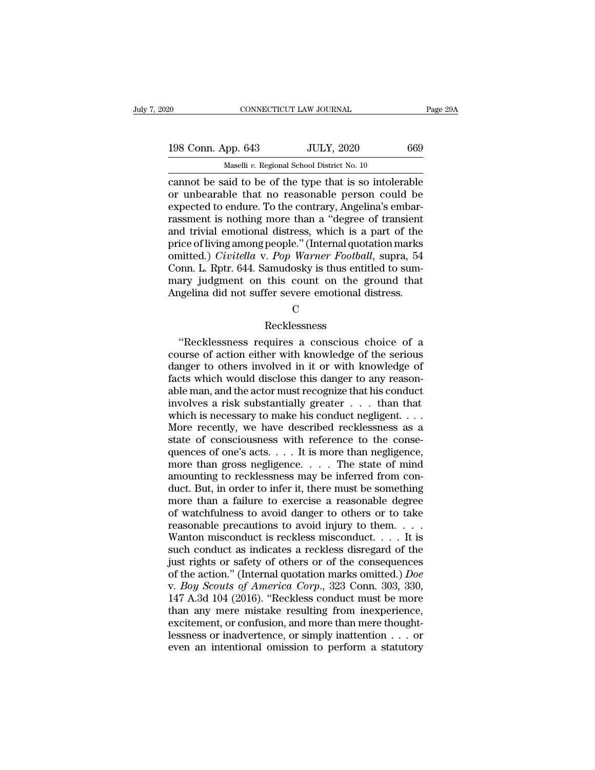| 20                 | CONNECTICUT LAW JOURNAL                                 | Page 29A |
|--------------------|---------------------------------------------------------|----------|
|                    |                                                         |          |
| 198 Conn. App. 643 | <b>JULY, 2020</b>                                       | 669      |
|                    | Maselli v. Regional School District No. 10              |          |
|                    | cannot he said to he of the type that is so intolerable |          |

connectricut LAW JOURNAL Page 29A<br>
198 Conn. App. 643 JULY, 2020 669<br>
Maselli v. Regional School District No. 10<br>
cannot be said to be of the type that is so intolerable<br>
or unbearable that no reasonable person could be<br>
e 198 Conn. App. 643 JULY, 2020 669<br>Maselli v. Regional School District No. 10<br>Cannot be said to be of the type that is so intolerable<br>or unbearable that no reasonable person could be<br>expected to endure. To the contrary, Ang 198 Conn. App. 643 JULY, 2020 669<br>
Maselli v. Regional School District No. 10<br>
cannot be said to be of the type that is so intolerable<br>
or unbearable that no reasonable person could be<br>
expected to endure. To the contrary 198 Conn. App. 643 JULY, 2020 669<br>
Maselli v. Regional School District No. 10<br>
cannot be said to be of the type that is so intolerable<br>
or unbearable that no reasonable person could be<br>
expected to endure. To the contrary Maselli v. Regional School District No. 10<br>
cannot be said to be of the type that is so intolerable<br>
or unbearable that no reasonable person could be<br>
expected to endure. To the contrary, Angelina's embar-<br>
rassment is no Maselli v. Regional School District No. 10<br>
cannot be said to be of the type that is so intolerable<br>
or unbearable that no reasonable person could be<br>
expected to endure. To the contrary, Angelina's embar-<br>
rassment is no cannot be said to be of the type that is so intolerable<br>or unbearable that no reasonable person could be<br>expected to endure. To the contrary, Angelina's embar-<br>rassment is nothing more than a "degree of transient<br>and trivi or unbearable that no reasonable person could be<br>expected to endure. To the contrary, Angelina's embar-<br>rassment is nothing more than a "degree of transient<br>and trivial emotional distress, which is a part of the<br>price of l expected to endure. To the contrary, Angelina's embarrassment is nothing more than a "degree of transient and trivial emotional distress, which is a part of the price of living among people." (Internal quotation marks omit rassment is nothing more than a "degree of transient<br>and trivial emotional distress, which is a part of the<br>price of living among people." (Internal quotation marks<br>omitted.) *Civitella v. Pop Warner Football*, supra, 54<br> or L. Rptr. 644. Samudosky is thus entitled to sum-<br>
ary judgment on this count on the ground that<br>
ingelina did not suffer severe emotional distress.<br>
C<br>
Recklessness requires a conscious choice of a<br>
urse of action eithe

## C<sub>c</sub>

## Recklessness

mary judgment on this count on the ground that<br>Angelina did not suffer severe emotional distress.<br>C<br>Recklessness requires a conscious choice of a<br>course of action either with knowledge of the serious<br>danger to others invol Angelina did not suffer severe emotional distress.<br>
C<br>
Recklessness requires a conscious choice of a<br>
course of action either with knowledge of the serious<br>
danger to others involved in it or with knowledge of<br>
facts which Fact Recklessness<br>
"Recklessness requires a conscious choice of a<br>
course of action either with knowledge of the serious<br>
danger to others involved in it or with knowledge of<br>
facts which would disclose this danger to any Recklessness<br>
"Recklessness requires a conscious choice of a<br>
course of action either with knowledge of the serious<br>
danger to others involved in it or with knowledge of<br>
facts which would disclose this danger to any reaso Recklessness<br>
"Recklessness requires a conscious choice of a<br>
course of action either with knowledge of the serious<br>
danger to others involved in it or with knowledge of<br>
facts which would disclose this danger to any reaso "Recklessness requires a conscious choice of a<br>course of action either with knowledge of the serious<br>danger to others involved in it or with knowledge of<br>facts which would disclose this danger to any reason-<br>able man, and course of action either with knowledge of the serious<br>danger to others involved in it or with knowledge of<br>facts which would disclose this danger to any reason-<br>able man, and the actor must recognize that his conduct<br>invo danger to others involved in it or with knowledge of<br>facts which would disclose this danger to any reason-<br>able man, and the actor must recognize that his conduct<br>involves a risk substantially greater  $\ldots$  than that<br>whic facts which would disclose this danger to any reasonable man, and the actor must recognize that his conduct<br>involves a risk substantially greater  $\dots$  than that<br>which is necessary to make his conduct negligent.  $\dots$ <br>More able man, and the actor must recognize that his conduct<br>involves a risk substantially greater . . . than that<br>which is necessary to make his conduct negligent. . . .<br>More recently, we have described recklessness as a<br>stat involves a risk substantially greater . . . than that<br>which is necessary to make his conduct negligent. . . .<br>More recently, we have described recklessness as a<br>state of consciousness with reference to the conse-<br>quences which is necessary to make his conduct negligent. . . . More recently, we have described recklessness as a state of consciousness with reference to the consequences of one's acts. . . . It is more than negligence, more th More recently, we have described recklessness as a<br>state of consciousness with reference to the conse-<br>quences of one's acts. . . . It is more than negligence,<br>more than gross negligence. . . . The state of mind<br>amounting state of consciousness with reference to the consequences of one's acts. . . . It is more than negligence,<br>more than gross negligence. . . . . The state of mind<br>amounting to recklessness may be inferred from con-<br>duct. Bu quences of one's acts. . . . It is more than negligence,<br>more than gross negligence. . . . The state of mind<br>amounting to recklessness may be inferred from con-<br>duct. But, in order to infer it, there must be something<br>mor more than gross negligence. . . . . The state of mind<br>amounting to recklessness may be inferred from con-<br>duct. But, in order to infer it, there must be something<br>more than a failure to exercise a reasonable degree<br>of wat amounting to recklessness may be inferred from conduct. But, in order to infer it, there must be something<br>more than a failure to exercise a reasonable degree<br>of watchfulness to avoid danger to others or to take<br>reasonabl duct. But, in order to infer it, there must be something<br>more than a failure to exercise a reasonable degree<br>of watchfulness to avoid danger to others or to take<br>reasonable precautions to avoid injury to them....<br>Wanton m more than a failure to exercise a reasonable degree<br>of watchfulness to avoid danger to others or to take<br>reasonable precautions to avoid injury to them....<br>Wanton misconduct is reckless misconduct.... It is<br>such conduct as of watchfulness to avoid danger to others or to take<br>reasonable precautions to avoid injury to them. . . . .<br>Wanton misconduct is reckless misconduct. . . . It is<br>such conduct as indicates a reckless disregard of the<br>just reasonable precautions to avoid injury to them. . . . . Wanton misconduct is reckless misconduct. . . . It is<br>such conduct as indicates a reckless disregard of the<br>just rights or safety of others or of the consequences<br>of Wanton misconduct is reckless misconduct.... It is<br>such conduct as indicates a reckless disregard of the<br>just rights or safety of others or of the consequences<br>of the action." (Internal quotation marks omitted.) *Doe*<br>v. such conduct as indicates a reckless disregard of the<br>just rights or safety of others or of the consequences<br>of the action." (Internal quotation marks omitted.) *Doe*<br>v. *Boy Scouts of America Corp.*, 323 Conn. 303, 330,<br> just rights or safety of others or of the consequences<br>of the action." (Internal quotation marks omitted.) *Doe*<br>v. *Boy Scouts of America Corp.*, 323 Conn. 303, 330,<br>147 A.3d 104 (2016). "Reckless conduct must be more<br>th of the action." (Internal quotation marks omitted.) *Doe* v. *Boy Scouts of America Corp.*, 323 Conn. 303, 330, 147 A.3d 104 (2016). "Reckless conduct must be more than any mere mistake resulting from inexperience, excitem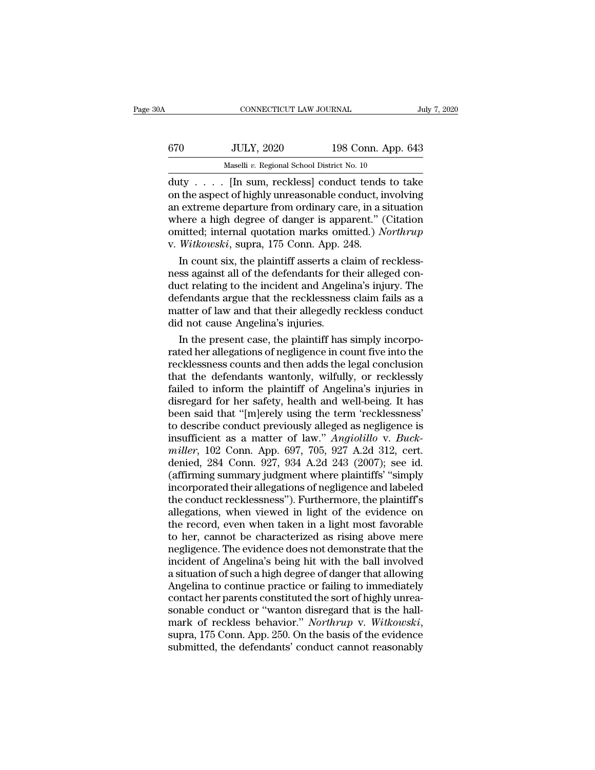| 0A   | CONNECTICUT LAW JOURNAL                    |                    | July 7, 2020 |  |
|------|--------------------------------------------|--------------------|--------------|--|
| 670  | <b>JULY, 2020</b>                          | 198 Conn. App. 643 |              |  |
|      | Maselli v. Regional School District No. 10 |                    |              |  |
| duty | lln sum recklessl conduct tends to take    |                    |              |  |

CONNECTICUT LAW JOURNAL July 7, 2020<br>
670 JULY, 2020 198 Conn. App. 643<br>
Maselli v. Regional School District No. 10<br>
duty . . . . . [In sum, reckless] conduct tends to take<br>
on the aspect of highly unreasonable conduct, in on the aspect of danger is approached where a high degree of danger is approached where a high degree of danger is apparent " (Citation 670 JULY, 2020 198 Conn. App. 643<br>
Maselli v. Regional School District No. 10<br>
duty . . . . . [In sum, reckless] conduct tends to take<br>
on the aspect of highly unreasonable conduct, involving<br>
an extreme departure from or  $U_L$ , 2020 198 Conn. App. 643<br>
Maselli v. Regional School District No. 10<br>
duty . . . . . [In sum, reckless] conduct tends to take<br>
on the aspect of highly unreasonable conduct, involving<br>
an extreme departure from ordina Maselli v. Regional School District No. 10<br>duty . . . . . [In sum, reckless] conduct tends to take<br>on the aspect of highly unreasonable conduct, involving<br>an extreme departure from ordinary care, in a situation<br>where a hig Maselli v. Regional School District No. 10<br>duty . . . . [In sum, reckless] conduct tends<br>on the aspect of highly unreasonable conduct, in<br>an extreme departure from ordinary care, in a s<br>where a high degree of danger is app In sum, reckless] conduct tends to take<br>the aspect of highly unreasonable conduct, involving<br>extreme departure from ordinary care, in a situation<br>nere a high degree of danger is apparent." (Citation<br>nitted; internal quota on the aspect of highly unreasonable conduct, involving<br>an extreme departure from ordinary care, in a situation<br>where a high degree of danger is apparent." (Citation<br>omitted; internal quotation marks omitted.) *Northrup*<br>v

an extreme departure from ordinary care, in a situation<br>where a high degree of danger is apparent." (Citation<br>omitted; internal quotation marks omitted.) *Northrup*<br>v. Witkowski, supra, 175 Conn. App. 248.<br>In count six, th where a high degree of danger is apparent." (Citation<br>omitted; internal quotation marks omitted.) *Northrup*<br>v. Witkowski, supra, 175 Conn. App. 248.<br>In count six, the plaintiff asserts a claim of reckless-<br>ness against al omitted; internal quotation marks omitted.) *Northrup*<br>v. Witkowski, supra, 175 Conn. App. 248.<br>In count six, the plaintiff asserts a claim of reckless-<br>ness against all of the defendants for their alleged con-<br>duct relati v. *Witkowski*, supra,  $1/5$  Conn. App. 2<br>In count six, the plaintiff asserts a cl<br>ness against all of the defendants for th<br>duct relating to the incident and Angel<br>defendants argue that the recklessness<br>matter of law and In count six, the plaintiff asserts a claim of reckless-<br>ss against all of the defendants for their alleged con-<br>cct relating to the incident and Angelina's injury. The<br>fendants argue that the recklessness claim fails as a reas against all of the defendants for their alleged conduct relating to the incident and Angelina's injury. The defendants argue that the recklessness claim fails as a matter of law and that their allegedly reckless condu

duct relating to the incident and Angelina's injury. The<br>defendants argue that the recklessness claim fails as a<br>matter of law and that their allegedly reckless conduct<br>did not cause Angelina's injuries.<br>In the present cas defendants argue that the recklessness claim fails as a<br>matter of law and that their allegedly reckless conduct<br>did not cause Angelina's injuries.<br>In the present case, the plaintiff has simply incorpo-<br>rated her allegation matter of law and that their allegedly reckless conduct<br>did not cause Angelina's injuries.<br>In the present case, the plaintiff has simply incorpo-<br>rated her allegations of negligence in count five into the<br>recklessness coun did not cause Angelina's injuries.<br>
In the present case, the plaintiff has simply incorpo-<br>
rated her allegations of negligence in count five into the<br>
recklessness counts and then adds the legal conclusion<br>
that the defen In the present case, the plaintiff has simply incorporated her allegations of negligence in count five into the recklessness counts and then adds the legal conclusion that the defendants wantonly, wilfully, or recklessly rated her allegations of negligence in count five into the<br>recklessness counts and then adds the legal conclusion<br>that the defendants wantonly, wilfully, or recklessly<br>failed to inform the plaintiff of Angelina's injuries recklessness counts and then adds the legal conclusion<br>that the defendants wantonly, wilfully, or recklessly<br>failed to inform the plaintiff of Angelina's injuries in<br>disregard for her safety, health and well-being. It has<br> that the defendants wantonly, wilfully, or recklessly failed to inform the plaintiff of Angelina's injuries in disregard for her safety, health and well-being. It has been said that "[m]erely using the term 'recklessness' failed to inform the plaintiff of Angelina's injuries in<br>disregard for her safety, health and well-being. It has<br>been said that "[m]erely using the term 'recklessness'<br>to describe conduct previously alleged as negligence i disregard for her safety, health and well-being. It has<br>been said that "[m]erely using the term 'recklessness'<br>to describe conduct previously alleged as negligence is<br>insufficient as a matter of law." Angiolillo v. Buck-<br>m been said that "[m]erely using the term 'recklessness'<br>to describe conduct previously alleged as negligence is<br>insufficient as a matter of law." Angiolillo v. Buck-<br>miller, 102 Conn. App. 697, 705, 927 A.2d 312, cert.<br>deni to describe conduct previously alleged as negligence is<br>insufficient as a matter of law." Angiolillo v. Buck-<br>miller, 102 Conn. App. 697, 705, 927 A.2d 312, cert.<br>denied, 284 Conn. 927, 934 A.2d 243 (2007); see id.<br>(affirm insufficient as a matter of law." *Angiolillo v. Buck-<br>miller*, 102 Conn. App. 697, 705, 927 A.2d 312, cert.<br>denied, 284 Conn. 927, 934 A.2d 243 (2007); see id.<br>(affirming summary judgment where plaintiffs' "simply<br>incorpo miller, 102 Conn. App. 697, 705, 927 A.2d 312, cert.<br>denied, 284 Conn. 927, 934 A.2d 243 (2007); see id.<br>(affirming summary judgment where plaintiffs' "simply<br>incorporated their allegations of negligence and labeled<br>the co denied, 284 Conn. 927, 934 A.2d 243 (2007); see id.<br>(affirming summary judgment where plaintiffs' "simply<br>incorporated their allegations of negligence and labeled<br>the conduct recklessness"). Furthermore, the plaintiff's<br>al (affirming summary judgment where plaintiffs' "simply<br>incorporated their allegations of negligence and labeled<br>the conduct recklessness"). Furthermore, the plaintiff's<br>allegations, when viewed in light of the evidence on<br>t incorporated their allegations of negligence and labeled<br>the conduct recklessness"). Furthermore, the plaintiff's<br>allegations, when viewed in light of the evidence on<br>the record, even when taken in a light most favorable<br>t the conduct recklessness"). Furthermore, the plaintiff's<br>allegations, when viewed in light of the evidence on<br>the record, even when taken in a light most favorable<br>to her, cannot be characterized as rising above mere<br>negli allegations, when viewed in light of the evidence on<br>the record, even when taken in a light most favorable<br>to her, cannot be characterized as rising above mere<br>negligence. The evidence does not demonstrate that the<br>inciden the record, even when taken in a light most favorable<br>to her, cannot be characterized as rising above mere<br>negligence. The evidence does not demonstrate that the<br>incident of Angelina's being hit with the ball involved<br>a si to her, cannot be characterized as rising above mere<br>negligence. The evidence does not demonstrate that the<br>incident of Angelina's being hit with the ball involved<br>a situation of such a high degree of danger that allowing<br> megligence. The evidence does not demonstrate that the<br>incident of Angelina's being hit with the ball involved<br>a situation of such a high degree of danger that allowing<br>Angelina to continue practice or failing to immediate a situation of such a high degree of danger that allowing<br>Angelina to continue practice or failing to immediately<br>contact her parents constituted the sort of highly unrea-<br>sonable conduct or "wanton disregard that is the h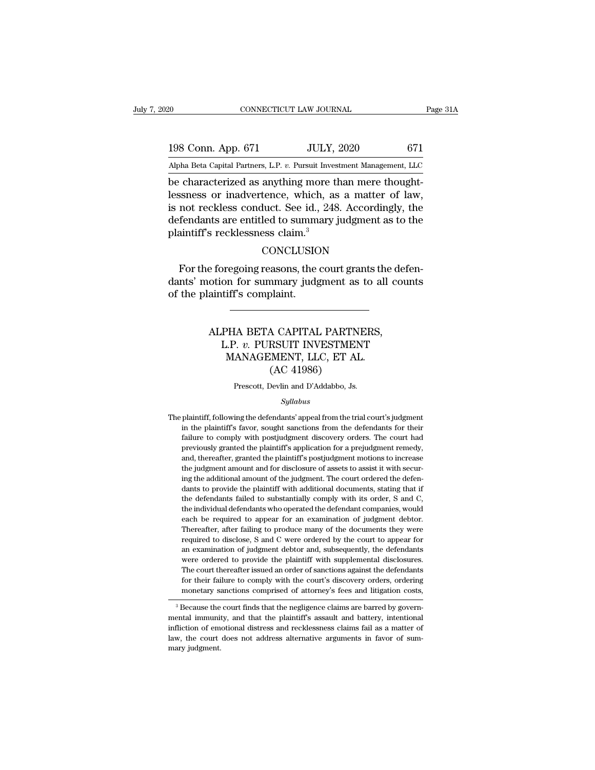198 Conn. App. 671 JULY, 2020 671<br>Alpha Beta Capital Partners, L.P. v. Pursuit Investment Management, LLC Fage 31A<br>
Alpha Beta Capital Partners, L.P. *v.* Pursuit Investment Management, LLC<br>
De characterized as anything more than mere thought-

connecticut LAW JOURNAL<br>
198 Conn. App. 671 JULY, 2020 671<br>
Alpha Beta Capital Partners, L.P. v. Pursuit Investment Management, LLC<br>
be characterized as anything more than mere thought-<br>
lessness or inadvertence, which, as 198 Conn. App. 671 JULY, 2020 671<br>
Alpha Beta Capital Partners, L.P. v. Pursuit Investment Management, LLC<br>
be characterized as anything more than mere thought-<br>
lessness or inadvertence, which, as a matter of law,<br>
is not 198 Conn. App. 671 JULY, 2020 671<br>Alpha Beta Capital Partners, L.P. v. Pursuit Investment Management, LLC<br>be characterized as anything more than mere thought-<br>lessness or inadvertence, which, as a matter of law,<br>is not re 198 Conn. App. 671 JULY, 2020 671<br>
Alpha Beta Capital Partners, L.P. v. Pursuit Investment Management, LLC<br>
be characterized as anything more than mere thought-<br>
lessness or inadvertence, which, as a matter of law,<br>
is no Alpha Beta Capital Partners, L.P. v. Pursuit Inves<br>be characterized as anything more tllessness or inadvertence, which, as<br>is not reckless conduct. See id., 248<br>defendants are entitled to summary j<br>plaintiff's recklessness ssness or inadvertence, which, as a matter of law,<br>not reckless conduct. See id., 248. Accordingly, the<br>fendants are entitled to summary judgment as to the<br>aintiff's recklessness claim.<sup>3</sup><br>CONCLUSION<br>For the foregoing reas is not reckless conduct. See id., 248. Accordingly, the<br>defendants are entitled to summary judgment as to the<br>plaintiff's recklessness claim.<sup>3</sup><br>CONCLUSION<br>For the foregoing reasons, the court grants the defen-<br>dants' moti

## **CONCLUSION**

defendants are entitled to summary plaintiff's recklessness claim.<sup>3</sup><br>CONCLUSIC<br>For the foregoing reasons, the dants' motion for summary judge of the plaintiff's complaint. For the foregoing reasons, the court grants the defendants' motion for summary judgment as to all counts of the plaintiff's complaint.<br>
ALPHA BETA CAPITAL PARTNERS, L.P.  $v$ . PURSUIT INVESTMENT pregoing reasons, the court grants the defen-<br>on for summary judgment as to all counts<br>tiff's complaint.<br>PHA BETA CAPITAL PARTNERS,<br>L.P. *v.* PURSUIT INVESTMENT<br>MANAGEMENT, LLC, ET AL.

## % on for summary judgment as to all<br>iff's complaint.<br>HA BETA CAPITAL PARTNERS,<br>P.P. v. PURSUIT INVESTMENT<br>MANAGEMENT, LLC, ET AL.<br>(AC 41986) plaint.<br>A CAPITAL PARTN<br>RSUIT INVESTMEN<br>IMENT, LLC, ET Al<br>(AC 41986)<br>Pevlin and D'Addabbo, Js. MANAGEMENT, LLC, ET AL.<br>(AC 41986)<br>Prescott, Devlin and D'Addabbo, Js.

### *Syllabus*

 $(AC 41986)$ <br>Prescott, Devlin and D'Addabbo, Js.<br> $Syllabus$ <br>The plaintiff, following the defendants' appeal from the trial court's judgment<br>in the plaintiff's favor, sought sanctions from the defendants for their (AC 41980)<br>
Prescott, Devlin and D'Addabbo, Js.<br>
Syllabus<br>
plaintiff, following the defendants' appeal from the trial court's judgment<br>
in the plaintiff's favor, sought sanctions from the defendants for their<br>
failure to c Frescott, Devlin and D'Addabbo, Js.<br>Syllabus<br>plaintiff, following the defendants' appeal from the trial court's judgment<br>in the plaintiff's favor, sought sanctions from the defendants for their<br>failure to comply with postj  $Syllabus$  plaintiff, following the defendants' appeal from the trial court's judgment<br>in the plaintiff's favor, sought sanctions from the defendants for their<br>failure to comply with postjudgment discovery orders. The court ha *Syllabus*<br>plaintiff, following the defendants' appeal from the trial court's judgment<br>in the plaintiff's favor, sought sanctions from the defendants for their<br>failure to comply with postjudgment discovery orders. The cour plaintiff, following the defendants' appeal from the trial court's judgment<br>in the plaintiff's favor, sought sanctions from the defendants for their<br>failure to comply with postjudgment discovery orders. The court had<br>previ paramonial amount of the plaintiff's favor, sought sanctions from the defendants for their failure to comply with postjudgment discovery orders. The court had previously granted the plaintiff's application for a prejudgmen failure to comply with postjudgment discovery orders. The court had previously granted the plaintiff's application for a prejudgment remedy, and, thereafter, granted the plaintiff's postjudgment motions to increase the jud previously granted the plaintiff's application for a prejudgment remedy, and, thereafter, granted the plaintiff's postjudgment motions to increase the judgment amount and for disclosure of assets to assist it with securing provides the paintiff's postjudgment motions to increase<br>the judgment amount and for disclosure of assets to assist it with secur-<br>ing the additional amount of the judgment. The court ordered the defen-<br>dants to provide th the judgment amount and for disclosure of assets to assist it with securing the additional amount of the judgment. The court ordered the defendants to provide the plaintiff with additional documents, stating that if the de ing the additional amount of the judgment. The court ordered the defendants to provide the plaintiff with additional documents, stating that if the defendants failed to substantially comply with its order, S and C, the ind dants to provide the plaintiff with additional documents, stating that if the defendants failed to substantially comply with its order, S and C, the individual defendants who operated the defendant companies, would each be the defendants failed to substantially comply with its order, S and C, the individual defendants who operated the defendant companies, would each be required to appear for an examination of judgment debtor. Thereafter, aft the individual defendants who operated the defendant companies, would each be required to appear for an examination of judgment debtor.<br>Thereafter, after failing to produce many of the documents they were required to discl each be required to appear for an examination of judgment debtor.<br>Thereafter, after failing to produce many of the documents they were<br>required to disclose, S and C were ordered by the court to appear for<br>an examination of Thereafter, after failing to produce many of the documents they were required to disclose, S and C were ordered by the court to appear for an examination of judgment debtor and, subsequently, the defendants were ordered to monetary sanctions comprised of attorney's fees and court to appear for an examination of judgment debtor and, subsequently, the defendants were ordered to provide the plaintiff with supplemental disclosures. The court the were ordered to provide the plaintiff with supplemental disclosures.<br>The court thereafter issued an order of sanctions against the defendants<br>for their failure to comply with the court's discovery orders, ordering<br>monetary

The court thereatter issued an order of sanctions against the detendants<br>for their failure to comply with the court's discovery orders, ordering<br>monetary sanctions comprised of attorney's fees and litigation costs,<br> $\frac{1}{3$ for their failure to comply with the court's discovery orders, ordering<br>monetary sanctions comprised of attorney's fees and litigation costs,<br><sup>3</sup> Because the court finds that the negligence claims are barred by govern-<br>men monetary si<br>
<sup>3</sup> Because the<br>
mental immunit<br>
infliction of em<br>
law, the court<br>
mary judgment.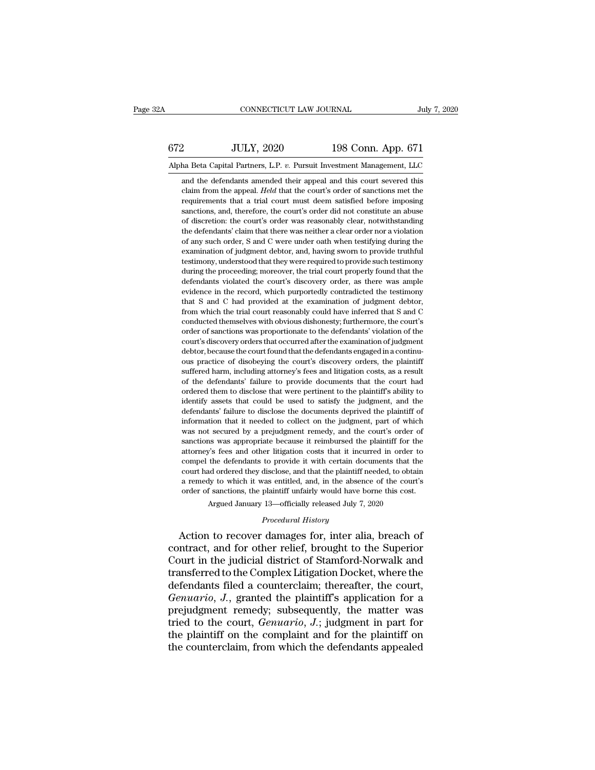# EN CONNECTICUT LAW JOURNAL July 7, 2020<br>672 JULY, 2020 198 Conn. App. 671<br>Alpha Beta Capital Partners, L.P. v. Pursuit Investment Management, LLC CONNECTICUT LAW JOURNAL July 7, 2020<br>  $\text{JULY, 2020}$  198 Conn. App. 671<br>
Alpha Beta Capital Partners, L.P. *v.* Pursuit Investment Management, LLC<br>
and the defendants amended their appeal and this court severed this

2<br> **and the defendants amended their appeal and this court severed this**<br> **and the defendants amended their appeal and this court severed this**<br>
claim from the appeal. *Held* that the court's order of sanctions met the **Claim from the appeal. Held** that the court's order of sanctions met the appeal. *Held* that the court's order of sanctions met the requirements that a trial court must deem satisfied before imposing JULY, 2020 198 Conn. App. 671<br>ha Beta Capital Partners, L.P. v. Pursuit Investment Management, LLC<br>and the defendants amended their appeal and this court severed this<br>claim from the appeal. *Held* that the court's order of Franch Management, LLC<br>and the defendants amended their appeal and this court severed this<br>claim from the appeal. *Held* that the court's order of sanctions met the<br>requirements that a trial court must deem satisfied befor ha Beta Capital Partners, L.P.  $v$ . Pursuit Investment Management, LLC and the defendants amended their appeal and this court severed this claim from the appeal.  $Held$  that the court's order of sanctions met the requiremen and the defendants amended their appeal and this court severed this claim from the appeal. *Held* that the court's order of sanctions met the requirements that a trial court must deem satisfied before imposing sanctions, a and the determinion and reflected their upped that the court's order of sanctions met the requirements that a trial court must deem satisfied before imposing sanctions, and, therefore, the court's order did not constitute examination of independent debtor, and the vertex of such a statement of the requirements that a trial court must deem satisfied before imposing sanctions, and, therefore, the court's order was reasonably clear, notwithsta Equations, and, therefore, the court's order did not constitute an abuse<br>of discretion: the court's order was reasonably clear, notwithstanding<br>the defendants' claim that there was neither a clear order nor a violation<br>of during the court's order was reasonably clear, notwithstanding of discretion: the court's order was reasonably clear, notwithstanding the defendants' claim that there was neither a clear order nor a violation of any such o defendants claims of the court of the court of the defendants the defendants' claim that there was neither a clear order nor a violation of any such order, S and C were under oath when testifying during the examination of of any such order, S and C were under oath when testifying during the examination of judgment debtor, and, having sworn to provide truthful testimony, understood that they were required to provide such testimony during the or any sach order, b and C were under oant when essaying daring are<br>examination of judgment debtor, and, having sworn to provide truthful<br>testimony, understood that they were required to provide such testimony<br>during the p from which the trial court reasonably could have inferred to provide such testimony during the proceeding; moreover, the trial court properly found that the defendants violated the court's discovery order, as there was amp during the proceeding; moreover, the trial court properly found that the defendants violated the court's discovery order, as there was ample evidence in the record, which purportedly contradicted the testimony that S and C daring are proceeding, inorcover, the trial court property found that the defendants violated the court's discovery order, as there was ample evidence in the record, which purportedly contradicted the testimony that S and determinis violated are courts discovery order, as after the aftermally evidence in the record, which purportedly contradicted the testimony from which the trial court reasonably could have inferred that S and C conducted evidence in the record, which purportedly contradicted the testimony<br>that S and C had provided at the examination of judgment debtor,<br>from which the trial court reasonably could have inferred that S and C<br>conducted themsel and 5 and 6 had provided at the examination or judgment debtor, from which the trial court reasonably could have inferred that S and C conducted themselves with obvious dishonesty; furthermore, the court's order of sanctio suffered themselves with obvious dishonesty; furthermore, the court's order of sanctions was proportionate to the defendants' violation of the court's discovery orders that occurred after the examination of judgment debtor order of sanctions was proportionate to the defendants' violation of the court's discovery orders that occurred after the examination of judgment debtor, because the court found that the defendants engaged in a continuous order or statelons was proportionate to the defendants violation or the<br>court's discovery orders that occurred after the examination of judgment<br>debtor, because the court found that the defendants engaged in a continu-<br>ous debtor, because the court found that the defendants engaged in a continuous practice of disobeying the court's discovery orders, the plaintiff suffered harm, including attorney's fees and litigation costs, as a result of t debtor, because the contributed that the defendants engaged in a contributed our positions practice of disobeying the court's discovery orders, the plaintiff suffered harm, including attorney's fees and litigation costs, a ous practice of usoologing are courts usedwery orders, are partial<br>suffered harm, including attorney's fees and litigation costs, as a result<br>of the defendants' failure to provide documents that the court had<br>ordered them suncted nami, including adolincy is ices and ingulator costs, as a result of the defendants' failure to provide documents that the court had ordered them to disclose that were pertinent to the plaintiff's ability to identi or are detendants rande to provide documents that the court had<br>ordered them to disclose that were pertinent to the plaintiff's ability to<br>identify assets that could be used to satisfy the judgment, and the<br>defendants' fai bidentify assets that could be used to satisfy the judgment, and the defendants' failure to disclose the documents deprived the plaintiff of information that it needed to collect on the judgment, part of which was not secu defendants' failure to disclose the documents deprived the plaintiff of information that it needed to collect on the judgment, part of which was not secured by a prejudgment remedy, and the court's order of sanctions was a determinis Transit to disclose the documents depityed the plaintiff or information that it needed to collect on the judgment, part of which was not secured by a prejudgment remedy, and the court's order of sanctions was ap all momination that it included to conceed on the judgment, part of which was not secured by a prejudgment remedy, and the court's order of sanctions was appropriate because it reimbursed the plaintiff for the attorney's f was not secured by a prejudgment reincuy, and are courts order of sanctions was appropriate because it reimbursed the plaintiff for the attorney's fees and other litigation costs that it incurred in order to compel the def % sanctions was appropriate because it reimbursed the plaintiff for the attorney's fees and other litigation costs that it incurred in order to compel the defendants to provide it with certain documents that the court had % court had ordered they disclose, and that the plaintiff needed, to obtain<br>a remedy to which it was entitled, and, in the absence of the court's<br>order of sanctions, the plaintiff unfairly would have borne this cost.<br>Argue compel the defendants to provide it with certain documents that the<br>court had ordered they disclose, and that the plaintiff needed, to obtain<br>a remedy to which it was entitled, and, in the absence of the court's<br>order of s

court had ordered they disclose, and that the plaintiff needed, to obtain<br>a remedy to which it was entitled, and, in the absence of the court's<br>order of sanctions, the plaintiff unfairly would have borne this cost.<br>Argued a remedy to which it was entitled, and, in the absence of the court's<br>order of sanctions, the plaintiff unfairly would have borne this cost.<br>Argued January 13—officially released July 7, 2020<br>*Procedural History*<br>Action to Argued January 13—officially released July 7, 2020<br>
Argued January 13—officially released July 7, 2020<br>
Procedural History<br>
Action to recover damages for, inter alia, breach of<br>
contract, and for other relief, brought to t *Procedural History*<br>*Procedural History*<br>Action to recover damages for, inter alia, breach of<br>contract, and for other relief, brought to the Superior<br>Court in the judicial district of Stamford-Norwalk and<br>transferred to t *Procedural History*<br>
Action to recover damages for, inter alia, breach of<br>
contract, and for other relief, brought to the Superior<br>
Court in the judicial district of Stamford-Norwalk and<br>
transferred to the Complex Litiga Action to recover damages for, inter alia, breach of<br>contract, and for other relief, brought to the Superior<br>Court in the judicial district of Stamford-Norwalk and<br>transferred to the Complex Litigation Docket, where the<br>de contract, and for other relief, brought to the Superior<br>Court in the judicial district of Stamford-Norwalk and<br>transferred to the Complex Litigation Docket, where the<br>defendants filed a counterclaim; thereafter, the court, Court in the judicial district of Stamford-Norwalk and<br>transferred to the Complex Litigation Docket, where the<br>defendants filed a counterclaim; thereafter, the court,<br>*Genuario*, J., granted the plaintiff's application for transferred to the Complex Litigation Docket, where the defendants filed a counterclaim; thereafter, the court, *Genuario*, *J.*, granted the plaintiff's application for a prejudgment remedy; subsequently, the matter was t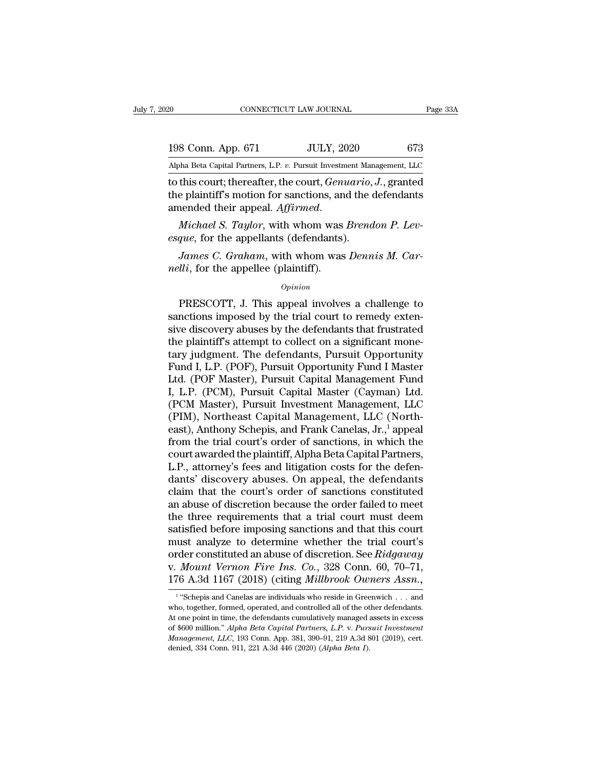| 198 Conn. App. 671 |  | <b>JULY, 2020</b> | 673 |
|--------------------|--|-------------------|-----|
|                    |  |                   |     |

198 Conn. App. 671 JULY, 2020 673<br>Alpha Beta Capital Partners, L.P. v. Pursuit Investment Management, LLC Valy 7, 2020 CONNECTICUT LAW JOURNAL Page 33A<br>
198 Conn. App. 671 JULY, 2020 673<br>
Alpha Beta Capital Partners, L.P. *v.* Pursuit Investment Management, LLC<br>
to this court; thereafter, the court, *Genuario*, J., granted

to this court; thereafter, the court, *Genuario*, *J.*, granted<br>the plaintiff's motion for sanctions, and the defendants<br>amonded their amond Affirmed 198 Conn. App. 671 JULY, 2020 673<br>
Alpha Beta Capital Partners, L.P. v. Pursuit Investment Management, LLC<br>
to this court; thereafter, the court, *Genuario*, *J*., granted<br>
the plaintiff's motion for sanctions, and the def alpha Beta Capital Partners, L.P. *v.* Pursuit Investment Management, LLC<br>to this court; thereafter, the court, *Genuario*, *J.*, granted<br>the plaintiff's motion for sanctions, and the defendants<br>amended their appeal. *Affi Alpha Beta Capital Partners, L.P. v. Pursuit Investment Marto this court; thereafter, the court, <i>Genuario*, the plaintiff's motion for sanctions, and the camended their appeal. *Affirmed.*<br>*Michael S. Taylor*, with whom this court; thereafter, the court, *Genuario*, *J*., granted<br>e plaintiff's motion for sanctions, and the defendants<br>nended their appeal. *Affirmed.*<br>*Michael S. Taylor*, with whom was *Brendon P. Lev-*<br>*gue*, for the appel *ne* plaintiff's motion for sanctions, and amended their appeal. *Affirmed.*<br>*Michael S. Taylor*, with whom was *esque*, for the appellants (defendants)<br>*James C. Graham*, with whom was *nelli*, for the appellee (plaintiff

### *Opinion*

Michael S. Taylor, with whom was *Brendon P. Lev-*<br>que, for the appellants (defendants).<br>James C. Graham, with whom was *Dennis M. Car-*<br> $lli$ , for the appellee (plaintiff).<br> $opinion$ <br>PRESCOTT, J. This appeal involves a challen esque, for the appellants (defendants).<br>
James C. Graham, with whom was Dennis M. Car-<br>
nelli, for the appellee (plaintiff).<br>
Opinion<br>
PRESCOTT, J. This appeal involves a challenge to<br>
sanctions imposed by the trial court *James C. Graham*, with whom was *Dennis M. Car-*<br> *opinion*<br>  $\frac{1}{2}$ <br> **PRESCOTT**, J. This appeal involves a challenge to<br>
sanctions imposed by the trial court to remedy extensive discovery abuses by the defendants that *nelli*, for the appellee (plaintiff).<br>  $\omega_{pinion}$ <br>
PRESCOTT, J. This appeal involves a challenge to<br>
sanctions imposed by the trial court to remedy exten-<br>
sive discovery abuses by the defendants that frustrated<br>
the plain opinion<br>
opinion<br>
PRESCOTT, J. This appeal involves a challenge to<br>
sanctions imposed by the trial court to remedy exten-<br>
sive discovery abuses by the defendants that frustrated<br>
the plaintiff's attempt to collect on a si *Opmion*<br>
PRESCOTT, J. This appeal involves a challenge to<br>
sanctions imposed by the trial court to remedy exten-<br>
sive discovery abuses by the defendants that frustrated<br>
the plaintiff's attempt to collect on a significan PRESCOTT, J. This appeal involves a challenge to<br>sanctions imposed by the trial court to remedy exten-<br>sive discovery abuses by the defendants that frustrated<br>the plaintiff's attempt to collect on a significant mone-<br>tary sanctions imposed by the trial court to remedy extensive discovery abuses by the defendants that frustrated<br>the plaintiff's attempt to collect on a significant mone-<br>tary judgment. The defendants, Pursuit Opportunity<br>Fund sive discovery abuses by the defendants that frustrated<br>the plaintiff's attempt to collect on a significant mone-<br>tary judgment. The defendants, Pursuit Opportunity<br>Fund I, L.P. (POF), Pursuit Opportunity Fund I Master<br>Ltd the plaintiff's attempt to collect on a significant mone-<br>tary judgment. The defendants, Pursuit Opportunity<br>Fund I, L.P. (POF), Pursuit Opportunity Fund I Master<br>Ltd. (POF Master), Pursuit Capital Management Fund<br>I, L.P. tary judgment. The defendants, Pursuit Opportunity<br>Fund I, L.P. (POF), Pursuit Opportunity Fund I Master<br>Ltd. (POF Master), Pursuit Capital Management Fund<br>I, L.P. (PCM), Pursuit Capital Master (Cayman) Ltd.<br>(PCM Master), Fund I, L.P. (POF), Pursuit Opportunity Fund I Master<br>Ltd. (POF Master), Pursuit Capital Management Fund<br>I, L.P. (PCM), Pursuit Capital Master (Cayman) Ltd.<br>(PCM Master), Pursuit Investment Management, LLC<br>(PIM), Northeast Ltd. (POF Master), Pursuit Capital Management Fund<br>I, L.P. (PCM), Pursuit Capital Master (Cayman) Ltd.<br>(PCM Master), Pursuit Investment Management, LLC<br>(PIM), Northeast Capital Management, LLC (Northeast), Anthony Schepis, I, L.P. (PCM), Pursuit Capital Master (Cayman) Ltd. (PCM Master), Pursuit Investment Management, LLC (Northeast), Anthony Schepis, and Frank Canelas, Jr.,<sup>1</sup> appeal from the trial court's order of sanctions, in which the c (PCM Master), Pursuit Investment Management, LLC<br>(PIM), Northeast Capital Management, LLC (Northeast), Anthony Schepis, and Frank Canelas, Jr.,<sup>1</sup> appeal<br>from the trial court's order of sanctions, in which the<br>court awarde (PIM), Northeast Capital Management, LLC (Northeast), Anthony Schepis, and Frank Canelas, Jr.,<sup>1</sup> appeal<br>from the trial court's order of sanctions, in which the<br>court awarded the plaintiff, Alpha Beta Capital Partners,<br>L.P east), Anthony Schepis, and Frank Canelas, Jr.,<sup>1</sup> appeal<br>from the trial court's order of sanctions, in which the<br>court awarded the plaintiff, Alpha Beta Capital Partners,<br>L.P., attorney's fees and litigation costs for the from the trial court's order of sanctions, in which the<br>court awarded the plaintiff, Alpha Beta Capital Partners,<br>L.P., attorney's fees and litigation costs for the defen-<br>dants' discovery abuses. On appeal, the defendants court awarded the plaintiff, Alpha Beta Capital Partners,<br>L.P., attorney's fees and litigation costs for the defen-<br>dants' discovery abuses. On appeal, the defendants<br>claim that the court's order of sanctions constituted<br>a L.P., attorney's fees and litigation costs for the defendants' discovery abuses. On appeal, the defendants<br>claim that the court's order of sanctions constituted<br>an abuse of discretion because the order failed to meet<br>the dants' discovery abuses. On appeal, the defendants<br>claim that the court's order of sanctions constituted<br>an abuse of discretion because the order failed to meet<br>the three requirements that a trial court must deem<br>satisfied claim that the court's order of sanctions constituted<br>an abuse of discretion because the order failed to meet<br>the three requirements that a trial court must deem<br>satisfied before imposing sanctions and that this court<br>must an abuse of discretion because the order failed to meet<br>the three requirements that a trial court must deem<br>satisfied before imposing sanctions and that this court<br>must analyze to determine whether the trial court's<br>order ust analyze to determine whether the trial court's<br>
der constituted an abuse of discretion. See *Ridgaway*<br> *Mount Vernon Fire Ins. Co.*, 328 Conn. 60, 70–71,<br>
6 A.3d 1167 (2018) (citing *Millbrook Owners Assn.*,<br>
"Schepis order constituted an abuse of discretion. See *Ridgaway*<br>v. *Mount Vernon Fire Ins. Co.*, 328 Conn. 60, 70–71,<br>176 A.3d 1167 (2018) (citing *Millbrook Owners Assn.*,<br><sup>1</sup> "Schepis and Canelas are individuals who reside in G

<sup>&</sup>lt;sup>1</sup> "Schepis and Canelas are individuals who reside in Greenwich . . . and v. Mount Vernon Fire Ins. Co., 328 Conn. 60, 70–71, 176 A.3d 1167 (2018) (citing Millbrook Owners Assn.,<br> $\frac{1}{1}$  "Schepis and Canelas are individuals who reside in Greenwich ... and who, together, formed, operated, and 176 A.3d 1167 (2018) (citing *Millbrook Owners Assn.*,<br>
<sup>1</sup> "Schepis and Canelas are individuals who reside in Greenwich . . . and<br>
who, together, formed, operated, and controlled all of the other defendants.<br>
At one point *Management, LLC, 193 Conn. App. 381, 390–91, 219 A.3d 801 (2019), ert.* denied, 334 Conn. 911, 221 A.3d 446 (2020) (*Alpha Beta D.4. D.4. Management, LLC, 193 Conn. App. 381, 390–91, 219 A.3d 801 (2019), cert.* denied who, together, formed, operated, and controlled all of the other defendants.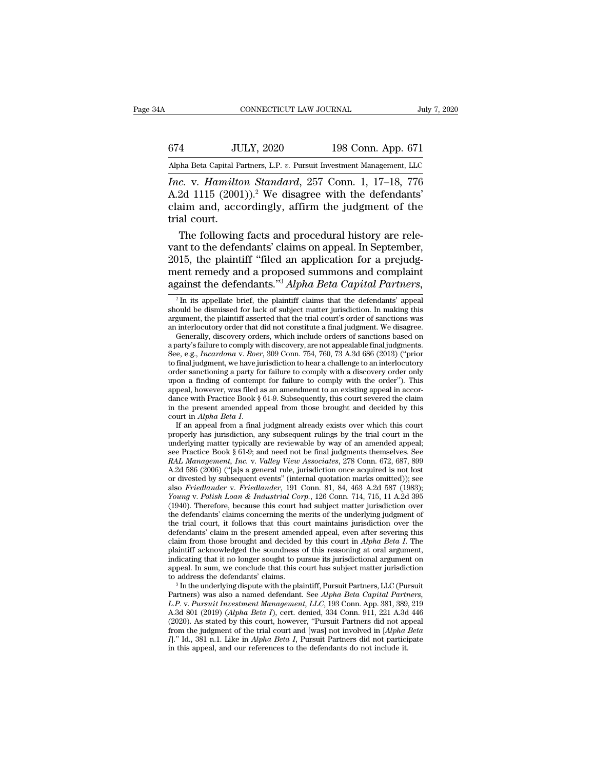# EN CONNECTICUT LAW JOURNAL July 7, 2020<br>198 Conn. App. 671<br>Alpha Beta Capital Partners, L.P. v. Pursuit Investment Management, LLC EXECTIVE LAW JOURNAL July 7, 2020<br>
Alpha Beta Capital Partners, L.P. *v.* Pursuit Investment Management, LLC<br>
Alpha Beta Capital Partners, L.P. *v.* Pursuit Investment Management, LLC<br>
Inc. v. Hamilton, Standard, 257 Conn.

|  |  |  |  | Alpha Beta Capital Partners, L.P. v. Pursuit Investment Management, LLO |  |
|--|--|--|--|-------------------------------------------------------------------------|--|

*Inc. Inc. Inc. Inc. Inc. IIIIY*, 2020<br> *IPS. IP. IP. V.* Pursuit Investment Management, LLC<br> *Inc. v. Hamilton Standard*, 257 Conn. 1, 17–18, 776<br> *A.2d* 1115 (2001).<sup>2</sup> We disagree with the defendants 674 JULY, 2020 198 Conn. App. 671<br>Alpha Beta Capital Partners, L.P. v. Pursuit Investment Management, LLC<br>*Inc.* v. *Hamilton Standard*, 257 Conn. 1, 17–18, 776<br>A.2d 1115 (2001)).<sup>2</sup> We disagree with the defendants'<br>claim 674 JULY, 2020 198 Conn. App. 671<br>
Alpha Beta Capital Partners, L.P. v. Pursuit Investment Management, LLC<br> *Inc.* v. *Hamilton Standard*, 257 Conn. 1, 17–18, 776<br>
A.2d 1115 (2001)).<sup>2</sup> We disagree with the defendants'<br>
c 674 JU<br>
Alpha Beta Capital Pa<br> *Inc.* v. *Hamilto*<br>
A.2d 1115 (2001<br>
claim and, accurrial court.<br>
The following bha Beta Capital Partners, L.P. v. Pursuit Investment Management, LLC<br>
c. v. Hamilton Standard, 257 Conn. 1, 17–18, 776<br>
2d 1115 (2001)).<sup>2</sup> We disagree with the defendants'<br>
aim and, accordingly, affirm the judgment of t *Inc.* v. *Hamilton Standard*, 257 Conn. 1, 17–18, 776<br>A.2d 1115 (2001)).<sup>2</sup> We disagree with the defendants'<br>claim and, accordingly, affirm the judgment of the<br>trial court.<br>The following facts and procedural history are

A.2d 1115  $(2001)$ .<sup>2</sup> We disagree with the defendants' claim and, accordingly, affirm the judgment of the trial court.<br>The following facts and procedural history are relevant to the defendants' claims on appeal. In Septe A.2d 1115 (2001)).<sup>2</sup> We disagree with the defendants'<br>claim and, accordingly, affirm the judgment of the<br>trial court.<br>The following facts and procedural history are rele-<br>vant to the defendants' claims on appeal. In Sept claim and, accordingly, affirm the judgment of the<br>trial court.<br>The following facts and procedural history are rele-<br>vant to the defendants' claims on appeal. In September,<br>2015, the plaintiff "filed an application for a p ant to the defendants' claims on appeal. In September,<br>
15, the plaintiff "filed an application for a prejudgent<br>
remedy and a proposed summons and complaint<br>
gainst the defendants."<sup>3</sup> Alpha Beta Capital Partners,<br>  $\frac{1$ 2015, the plaintiff "filed an application for a prejudgment remedy and a proposed summons and complaint against the defendants."<sup>3</sup> Alpha Beta Capital Partners,<br><sup>2</sup> In its appellate brief, the plaintiff claims that the de

appeal, however, was filed as an amendment to an existing appeal in accordance with Practice Book § 61-9. Subsequently, this court severed the claim in the present amended appeal from those brought and decided by this cou dance with Practice Book § 61-9. Subsequently, this court severed the claim<br>in the present amended appeal from those brought and decided by this<br>court in *Alpha Beta I*.<br>If an appeal from a final judgment already exists o in the present amended appeal from those brought and decided by this<br>court in *Alpha Beta I*.<br>If an appeal from a final judgment already exists over which this court<br>properly has jurisdiction, any subsequent rulings by the court in *Alpha Beta I*.<br>
If an appeal from a final judgment already exists over which this court<br>
properly has jurisdiction, any subsequent rulings by the trial court in the<br>
underlying matter typically are reviewable by If an appeal from a final judgment already exists over which this court<br>properly has jurisdiction, any subsequent rulings by the trial court in the<br>underlying matter typically are reviewable by way of an amended appeal;<br>s properly has jurisdiction, any subsequent rulings by the trial court in the underlying matter typically are reviewable by way of an amended appeal; see Practice Book § 61-9; and need not be final judgments themselves. See *Zounderlying matter typically are reviewable by way of an amended appeal;*<br>see Practice Book § 61-9; and need not be final judgments themselves. See<br>*RAL Management, Inc. v. Valley View Associates*, 278 Conn. 672, 687, 89 see Practice Book § 61-9; and need not be final judgments themselves. See RAL Management, Inc. v. Valley View Associates, 278 Conn. 672, 687, 899 A.2d 586 (2006) ("[a]s a general rule, jurisdiction once acquired is not lo RAL Management, Inc. v. Valley View Associates, 278 Conn. 672, 687, 899<br>A.2d 586 (2006) ("[a]s a general rule, jurisdiction once acquired is not lost<br>or divested by subsequent events" (internal quotation marks omitted)); s A.2d 586 (2006) ("[a]s a general rule, jurisdiction once acquired is not lost<br>or divested by subsequent events" (internal quotation marks omitted)); see<br>also *Friedlander* v. *Friedlander*, 191 Conn. 81, 84, 463 A.2d 587 or divested by subsequent events" (internal quotation marks omitted)); see<br>also *Friedlander* v. *Friedlander*, 191 Conn. 81, 84, 463 A.2d 587 (1983);<br>*Young* v. *Polish Loan & Industrial Corp.*, 126 Conn. 714, 715, 11 A. also *Friedlander* v. *Friedlander*, 191 Conn. 81, 84, 463 A.2d 587 (1983); *Young v. Polish Loan & Industrial Corp.*, 126 Conn. 714, 715, 11 A.2d 395 (1940). Therefore, because this court had subject matter jurisdiction o *Foung v. Polish Loan & Industrial Corp.*, 126 Conn. 714, 715, 11 A.2d 395 (1940). Therefore, because this court had subject matter jurisdiction over the defendants' claims concerning the merits of the underlying judgment (1940). Therefore, because this court had subject matter jurisdiction over the defendants' claims concerning the merits of the underlying judgment of the trial court, it follows that this court maintains jurisdiction over the defendants' claims concerning the merits of the underlying judgment of the trial court, it follows that this court maintains jurisdiction over the defendants' claim in the present amended appeal, even after severing t the trial court, it follows that this court maintains jurisdiction over the defendants' claim in the present amended appeal, even after severing this claim from those brought and decided by this court in *Alpha Beta I*. T claim from those brought and decided by this court in *Alpha Beta I*. The plaintiff acknowledged the soundness of this reasoning at oral argument, indicating that it no longer sought to pursue its jurisdictional argument

*L.P. T.P. The migrand is a member of this reasoning at oral argument,* indicating that it no longer sought to pursue its jurisdictional argument on appeal. In sum, we conclude that this court has subject matter jurisdicti indicating that it no longer sought to pursue its jurisdictional argument on appeal. In sum, we conclude that this court has subject matter jurisdiction to address the defendants' claims.<br>
<sup>3</sup> In the underlying dispute wit appeal. In sum, we conclude that this court has subject matter jurisdiction<br>to address the defendants' claims.<br><sup>3</sup> In the underlying dispute with the plaintiff, Pursuit Partners, LLC (Pursuit Partners,  $L.P. v. Pursuit Investment Management, LLC, 193$ for address the defendants' claims.<br>
<sup>3</sup> In the underlying dispute with the plaintiff, Pursuit Partners, LLC (Pursuit Partners) was also a named defendant. See *Alpha Beta Capital Partners*,<br> *L.P. v. Pursuit Investment Ma* <sup>3</sup> In the underlying dispute with the plaintiff, Pursuit Partners, LLC (Pursuit Partners) was also a named defendant. See *Alpha Beta Capital Partners*, *L.P. v. Pursuit Investment Management, LLC*, 193 Conn. App. 381, 3 Partners) was also a named defendant. See Alpha Beta Capital Partners, L.P. v. Pursuit Investment Management, LLC, 193 Conn. App. 381, 389, 219 A.3d 801 (2019) (Alpha Beta I), cert. denied, 334 Conn. 911, 221 A.3d 446 (20

<sup>2013,</sup> the plaintiff indeed and application for a prejudgement remedy and a proposed summons and complaint against the defendants."<sup>3</sup> *Alpha Beta Capital Partners,*<br> $\frac{1}{2}$  In its appellate brief, the plaintiff claims t ment remedy and a proposed summons and complaint<br>against the defendants."<sup>3</sup> Alpha Beta Capital Partners,<br><sup>2</sup> In its appellate brief, the plaintiff claims that the defendants' appeal<br>should be dismissed for lack of subjec gainst the defendants."<sup>3</sup> Alpha Beta Capital Partners,<br><sup>2</sup> In its appellate brief, the plaintiff claims that the defendants' appeal<br>ould be dismissed for lack of subject matter jurisdiction. In making this<br>gument, the pl a party's failure to complete the plaintiff claims that the defendants' appeal<br>should be dismissed for lack of subject matter jurisdiction. In making this<br>argument, the plaintiff asserted that the trial court's order of s

<sup>&</sup>lt;sup>2</sup> In its appellate brief, the plaintiff claims that the defendants' appeal should be dismissed for lack of subject matter jurisdiction. In making this argument, the plaintiff asserted that the trial court's order of san should be dismissed for lack of subject matter jurisdiction. In making this argument, the plaintiff asserted that the trial court's order of sanctions was an interlocutory order that did not constitute a final judgment. W argument, the plaintiff asserted that the trial court's order of sanctions was<br>an interlocutory order that did not constitute a final judgment. We disagree.<br>Generally, discovery orders, which include orders of sanctions ba an interlocutory order that did not constitute a final judgment. We disagree.<br>
Generally, discovery orders, which include orders of sanctions based on<br>
a party's failure to comply with discovery, are not appealable final an interlocutory order that did not constitute a final judgment. We disagree. Generally, discovery orders, which include orders of sanctions based on a party's failure to comply with discovery, are not appealable final ju a party's failure to comply with discovery, are not appealable final judgments.<br>See, e.g., *Incardona* v. *Roer*, 309 Conn. 754, 760, 73 A.3d 686 (2013) ("prior<br>to final judgment, we have jurisdiction to hear a challenge t See, e.g., *Incardona* v. *Roer*, 309 Conn. 754, 760, 73 A.3d 686 (2013) ("prior to final judgment, we have jurisdiction to hear a challenge to an interlocutory order sanctioning a party for failure to comply with a disco to final judgment, we have jurisdiction to hear a challenge to an interlocutory<br>order sanctioning a party for failure to comply with a discovery order only<br>upon a finding of contempt for failure to comply with the order"). upon a finding of contempt for failure to comply with the order"). This<br>appeal, however, was filed as an amendment to an existing appeal in accor-<br>dance with Practice Book § 61-9. Subsequently, this court severed the clai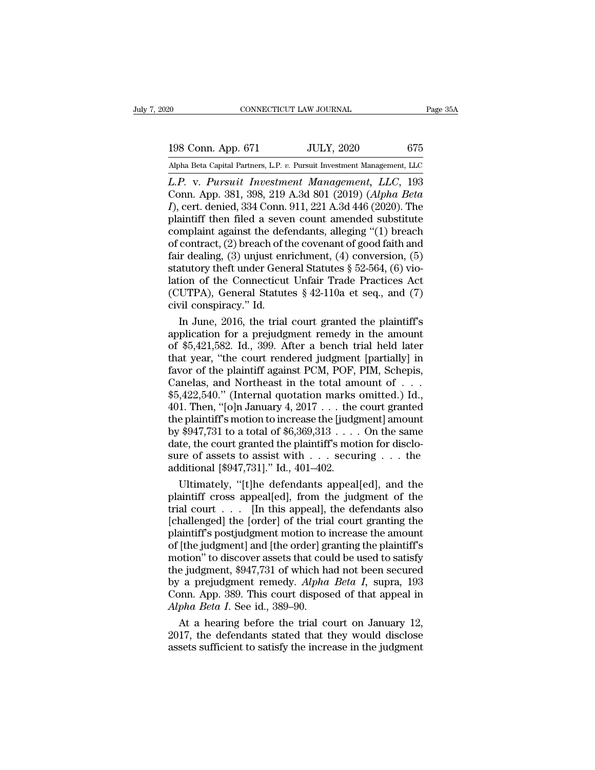| 20                 | CONNECTICUT LAW JOURNAL |                                                                         | Page 35A |
|--------------------|-------------------------|-------------------------------------------------------------------------|----------|
| 198 Conn. App. 671 |                         | <b>JULY, 2020</b>                                                       | 675      |
|                    |                         | Alpha Beta Capital Partners, L.P. v. Pursuit Investment Management, LLC |          |
|                    |                         | L.P y Pursuit Investment Management LLC 193                             |          |

<sup>20</sup> CONNECTICUT LAW JOURNAL Page 35A<br> **L.P.** v. *Pursuit Investment Management, LLC*<br> *L.P.* v. *Pursuit Investment Management, LLC*, 193<br>
Conn. App. 381, 398, 219 A.3d 801 (2019) (*Alpha Beta*<br> *P.* cert denied 334 Conn. 198 Conn. App. 671 JULY, 2020 675<br>
Alpha Beta Capital Partners, L.P. v. Pursuit Investment Management, LLC<br>
L.P. v. *Pursuit Investment Management*, LLC, 193<br>
Conn. App. 381, 398, 219 A.3d 801 (2019) (*Alpha Beta*<br> *I*), c 198 Conn. App. 671 JULY, 2020 675<br> *Alpha Beta Capital Partners, L.P. v. Pursuit Investment Management, LLC*<br> *L.P. v. Pursuit Investment Management, LLC*, 193<br>
Conn. App. 381, 398, 219 A.3d 801 (2019) (*Alpha Beta*<br> *I*), 198 Conn. App. 671 JULY, 2020 675<br>
Alpha Beta Capital Partners, L.P. v. Pursuit Investment Management, LLC<br>
L.P. v. *Pursuit Investment Management*, LLC, 193<br>
Conn. App. 381, 398, 219 A.3d 801 (2019) (*Alpha Beta*<br> *I*), Alpha Beta Capital Partners, L.P. v. Pursuit Investment Management, LLC<br>
L.P. v. Pursuit Investment Management, LLC, 193<br>
Conn. App. 381, 398, 219 A.3d 801 (2019) (Alpha Beta<br>
I), cert. denied, 334 Conn. 911, 221 A.3d 446 Alpha Beta Capital Partners, L.P. v. Pursuit Investment Management, LLC<br>
L.P. v. Pursuit Investment Management, LLC, 193<br>
Conn. App. 381, 398, 219 A.3d 801 (2019) (Alpha Beta<br>
I), cert. denied, 334 Conn. 911, 221 A.3d 446 L.P. v. Pursuit Investment Management, LLC, 193<br>Conn. App. 381, 398, 219 A.3d 801 (2019) (Alpha Beta<br>I), cert. denied, 334 Conn. 911, 221 A.3d 446 (2020). The<br>plaintiff then filed a seven count amended substitute<br>complaint Conn. App. 381, 398, 219 A.3d 801 (2019) (*Alpha Beta I*), cert. denied, 334 Conn. 911, 221 A.3d 446 (2020). The plaintiff then filed a seven count amended substitute complaint against the defendants, alleging "(1) brea *I*), cert. denied, 334 Conn. 911, 221 A.3d 446 (2020). The plaintiff then filed a seven count amended substitute complaint against the defendants, alleging "(1) breach of contract, (2) breach of the covenant of good fait plaintiff then filed a seven count amended substitute<br>complaint against the defendants, alleging "(1) breach<br>of contract, (2) breach of the covenant of good faith and<br>fair dealing, (3) unjust enrichment, (4) conversion, (5 complaint against the def<br>of contract, (2) breach of t<br>fair dealing, (3) unjust enstatutory theft under Gene<br>lation of the Connecticut<br>(CUTPA), General Statute<br>civil conspiracy.'' Id.<br>In June, 2016, the trial contract, (2) breach of the covenant of good faith and<br>ir dealing, (3) unjust enrichment, (4) conversion, (5)<br>atutory theft under General Statutes § 52-564, (6) vio-<br>ion of the Connecticut Unfair Trade Practices Act<br>UTPA) fair dealing, (3) unjust enrichment, (4) conversion, (5)<br>statutory theft under General Statutes § 52-564, (6) vio-<br>lation of the Connecticut Unfair Trade Practices Act<br>(CUTPA), General Statutes § 42-110a et seq., and (7)<br>

statutory theft under General Statutes § 52-564, (6) violation of the Connecticut Unfair Trade Practices Act (CUTPA), General Statutes § 42-110a et seq., and (7) civil conspiracy." Id.<br>In June, 2016, the trial court grante lation of the Connecticut Unfair Trade Practices Act<br>(CUTPA), General Statutes § 42-110a et seq., and (7)<br>civil conspiracy." Id.<br>In June, 2016, the trial court granted the plaintiff's<br>application for a prejudgment remedy i (CUTPA), General Statutes § 42-110a et seq., and (7)<br>civil conspiracy." Id.<br>In June, 2016, the trial court granted the plaintiff's<br>application for a prejudgment remedy in the amount<br>of \$5,421,582. Id., 399. After a bench civil conspiracy." Id.<br>
In June, 2016, the trial court granted the plaintiff's<br>
application for a prejudgment remedy in the amount<br>
of \$5,421,582. Id., 399. After a bench trial held later<br>
that year, "the court rendered j In June, 2016, the trial court granted the plaintiff's<br>application for a prejudgment remedy in the amount<br>of \$5,421,582. Id., 399. After a bench trial held later<br>that year, "the court rendered judgment [partially] in<br>favo application for a prejudgment remedy in the amount<br>of \$5,421,582. Id., 399. After a bench trial held later<br>that year, "the court rendered judgment [partially] in<br>favor of the plaintiff against PCM, POF, PIM, Schepis,<br>Cane of \$5,421,582. Id., 399. After a bench trial held later<br>that year, "the court rendered judgment [partially] in<br>favor of the plaintiff against PCM, POF, PIM, Schepis,<br>Canelas, and Northeast in the total amount of . . .<br>\$5, that year, "the court rendered judgment [partially] in<br>favor of the plaintiff against PCM, POF, PIM, Schepis,<br>Canelas, and Northeast in the total amount of . . .<br> $$5,422,540."$  (Internal quotation marks omitted.) Id.,<br> $401$ favor of the plaintiff against PCM, POF, PIM, Schepis,<br>Canelas, and Northeast in the total amount of . . . \$5,422,540." (Internal quotation marks omitted.) Id.,<br>401. Then, "[o]n January 4, 2017 . . . the court granted<br>the Canelas, and Northeast in the total amount of . . . . . \$5,422,540." (Internal quotation marks omitted.) Id., 401. Then, "[o]n January 4, 2017 . . . the court granted the plaintiff's motion to increase the [judgment] amou  $$5,422,540."$  (Internal quotation marks 401. Then, "[o]n January 4, 2017 . . . the the plaintiff's motion to increase the [judg by  $$947,731$  to a total of  $$6,369,313$  . . . . date, the court granted the plaintiff's mot 1. Then, "[o]n January 4, 2017 . . . the court granted<br>e plaintiff's motion to increase the [judgment] amount<br> $$947,731$  to a total of  $$6,369,313$  . . . . On the same<br>te, the court granted the plaintiff's motion for disc the plaintiff's motion to increase the [judgment] amount<br>by \$947,731 to a total of \$6,369,313 . . . . On the same<br>date, the court granted the plaintiff's motion for disclo-<br>sure of assets to assist with . . . securing . .

by \$947,731 to a total of \$6,369,313 . . . . On the same<br>date, the court granted the plaintiff's motion for disclo-<br>sure of assets to assist with . . . securing . . . the<br>additional [\$947,731]." Id., 401–402.<br>Ultimately, date, the court granted the plaintiff's motion for disclosure of assets to assist with . . . securing . . . the<br>additional [\$947,731]." Id., 401–402.<br>Ultimately, "[t]he defendants appeal[ed], and the<br>plaintiff cross appea sure of assets to assist with . . . securing . . . the<br>additional [\$947,731]." Id., 401–402.<br>Ultimately, "[t]he defendants appeal[ed], and the<br>plaintiff cross appeal[ed], from the judgment of the<br>trial court . . . [In this additional [\$947,731]." Id., 401–402.<br>
Ultimately, "[t]he defendants appeal[ed], and the<br>
plaintiff' cross appeal[ed], from the judgment of the<br>
trial court . . . [In this appeal], the defendants also<br>
[challenged] the [or Ultimately, "[t]he defendants appeal[ed], and the<br>plaintiff cross appeal[ed], from the judgment of the<br>trial court . . . . [In this appeal], the defendants also<br>[challenged] the [order] of the trial court granting the<br>pla plaintiff cross appeal[ed], from the judgment of the<br>trial court . . . [In this appeal], the defendants also<br>[challenged] the [order] of the trial court granting the<br>plaintiff's postjudgment motion to increase the amount<br> Firal court . . . . [In this appeal], the defendants also<br>[challenged] the [order] of the trial court granting the<br>plaintiff's postjudgment motion to increase the amount<br>of [the judgment] and [the order] granting the plain [challenged] the [order] of the trial court granting the<br>plaintiff's postjudgment motion to increase the amount<br>of [the judgment] and [the order] granting the plaintiff's<br>motion" to discover assets that could be used to sa plaintiff's postjudgment motion to i<br>of [the judgment] and [the order] gr<br>motion" to discover assets that cou<br>the judgment, \$947,731 of which ha<br>by a prejudgment remedy. Alpha<br>Conn. App. 389. This court dispose<br>Alpha Beta [the judgment] and [the order] granting the plaintiff's<br>otion" to discover assets that could be used to satisfy<br>e judgment, \$947,731 of which had not been secured<br>'a prejudgment remedy. Alpha Beta I, supra, 193<br>pha. App. motion" to discover assets that could be used to satisfy<br>the judgment, \$947,731 of which had not been secured<br>by a prejudgment remedy. Alpha Beta I, supra, 193<br>Conn. App. 389. This court disposed of that appeal in<br>Alpha B the judgment, \$947,731 of which had not been secured<br>by a prejudgment remedy. Alpha Beta I, supra, 193<br>Conn. App. 389. This court disposed of that appeal in<br>Alpha Beta I. See id., 389–90.<br>At a hearing before the trial cour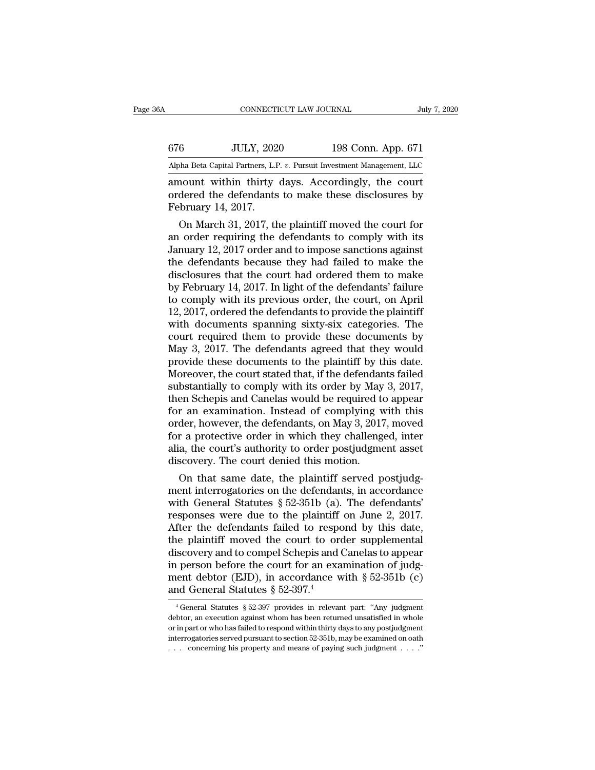|                                                                         |                   | CONNECTICUT LAW JOURNAL |  |  |  |  |
|-------------------------------------------------------------------------|-------------------|-------------------------|--|--|--|--|
|                                                                         |                   |                         |  |  |  |  |
| 676                                                                     | <b>JULY, 2020</b> | 198 Conn. App. 671      |  |  |  |  |
| Alpha Beta Capital Partners, L.P. v. Pursuit Investment Management, LLC |                   |                         |  |  |  |  |

CONNECTICUT LAW JOURNAL July 7, 2020<br>
Alpha Beta Capital Partners, L.P. *v.* Pursuit Investment Management, LLC<br>
amount within thirty days. Accordingly, the court CONNECTICUT LAW JOURNAL July 7, 2020<br>
676 JULY, 2020 198 Conn. App. 671<br>
Alpha Beta Capital Partners, L.P. v. Pursuit Investment Management, LLC<br>
amount within thirty days. Accordingly, the court<br>
ordered the defendants to ordered the defendants to make these disclosures by<br>February 14, 2017.<br>The defendants to make these disclosures by<br>February 14, 2017. 676 JULY, 202<br>Alpha Beta Capital Partners, L.F<br>amount within thirty<br>ordered the defendants<br>February 14, 2017.<br>On March 31, 2017, th  $U_L$  JULY, 2020 198 Conn. App. 671<br>
oha Beta Capital Partners, L.P. v. Pursuit Investment Management, LLC<br>
nount within thirty days. Accordingly, the court<br>
dered the defendants to make these disclosures by<br>
bruary 14, 20

Alpha Beta Capital Partners, L.P.  $v$ . Pursuit Investment Management, LLC<br>amount within thirty days. Accordingly, the court<br>ordered the defendants to make these disclosures by<br>February 14, 2017.<br>On March 31, 2017, the pla amount within thirty days. Accordingly, the court<br>ordered the defendants to make these disclosures by<br>February 14, 2017.<br>On March 31, 2017, the plaintiff moved the court for<br>an order requiring the defendants to comply with amount within thirty days. Accordingly, the court<br>ordered the defendants to make these disclosures by<br>February 14, 2017.<br>On March 31, 2017, the plaintiff moved the court for<br>an order requiring the defendants to comply with ordered the defendants to make these disclosures by<br>February 14, 2017.<br>On March 31, 2017, the plaintiff moved the court for<br>an order requiring the defendants to comply with its<br>January 12, 2017 order and to impose sanction February 14, 2017.<br>
On March 31, 2017, the plaintiff moved the court for<br>
an order requiring the defendants to comply with its<br>
January 12, 2017 order and to impose sanctions against<br>
the defendants because they had failed On March 31, 2017, the plaintiff moved the court for<br>an order requiring the defendants to comply with its<br>January 12, 2017 order and to impose sanctions against<br>the defendants because they had failed to make the<br>disclosure an order requiring the defendants to comply with its<br>January 12, 2017 order and to impose sanctions against<br>the defendants because they had failed to make the<br>disclosures that the court had ordered them to make<br>by February January 12, 2017 order and to impose sanctions against<br>the defendants because they had failed to make the<br>disclosures that the court had ordered them to make<br>by February 14, 2017. In light of the defendants' failure<br>to com the defendants because they had failed to make the<br>disclosures that the court had ordered them to make<br>by February 14, 2017. In light of the defendants' failure<br>to comply with its previous order, the court, on April<br>12, 20 disclosures that the court had ordered them to make<br>by February 14, 2017. In light of the defendants' failure<br>to comply with its previous order, the court, on April<br>12, 2017, ordered the defendants to provide the plaintiff by February 14, 2017. In light of the defendants' failure<br>to comply with its previous order, the court, on April<br>12, 2017, ordered the defendants to provide the plaintiff<br>with documents spanning sixty-six categories. The<br>c to comply with its previous order, the court, on April 12, 2017, ordered the defendants to provide the plaintiff<br>with documents spanning sixty-six categories. The<br>court required them to provide these documents by<br>May 3, 20 12, 2017, ordered the defendants to provide the plaintiff<br>with documents spanning sixty-six categories. The<br>court required them to provide these documents by<br>May 3, 2017. The defendants agreed that they would<br>provide these with documents spanning sixty-six categories. The<br>court required them to provide these documents by<br>May 3, 2017. The defendants agreed that they would<br>provide these documents to the plaintiff by this date.<br>Moreover, the co court required them to provide these documents by<br>May 3, 2017. The defendants agreed that they would<br>provide these documents to the plaintiff by this date.<br>Moreover, the court stated that, if the defendants failed<br>substant May 3, 2017. The defendants agreed that they would<br>provide these documents to the plaintiff by this date.<br>Moreover, the court stated that, if the defendants failed<br>substantially to comply with its order by May 3, 2017,<br>the provide these documents to the plaintiff by this date.<br>Moreover, the court stated that, if the defendants failed<br>substantially to comply with its order by May 3, 2017,<br>then Schepis and Canelas would be required to appear<br>f Moreover, the court stated that, if the defendants failed<br>substantially to comply with its order by May 3, 2017,<br>then Schepis and Canelas would be required to appear<br>for an examination. Instead of complying with this<br>order substantially to comply with its order by May<br>then Schepis and Canelas would be required to<br>for an examination. Instead of complying v<br>order, however, the defendants, on May 3, 2017<br>for a protective order in which they cha en Schepis and Canelas would be required to appear<br>
r an examination. Instead of complying with this<br>
der, however, the defendants, on May 3, 2017, moved<br>
r a protective order in which they challenged, inter<br>
a, the court' for an examination. Instead of complying with this<br>order, however, the defendants, on May 3, 2017, moved<br>for a protective order in which they challenged, inter<br>alia, the court's authority to order postjudgment asset<br>disco

order, however, the defendants, on May 3, 2017, moved<br>for a protective order in which they challenged, inter<br>alia, the court's authority to order postjudgment asset<br>discovery. The court denied this motion.<br>On that same dat responses were due to the plaintiff moved the court of the plaintiff or the plaintiff served postjudgment interrogatories on the defendants, in accordance with General Statutes § 52-351b (a). The defendants' responses were alla, the court's authority to order postjudgment asset<br>discovery. The court denied this motion.<br>On that same date, the plaintiff served postjudg-<br>ment interrogatories on the defendants, in accordance<br>with General Statute discovery. The court denied this motion.<br>
On that same date, the plaintiff served postjudg-<br>
ment interrogatories on the defendants, in accordance<br>
with General Statutes  $\S 52-351b$  (a). The defendants'<br>
responses were du On that same date, the plaintiff served postjudgment interrogatories on the defendants, in accordance with General Statutes  $\S 52-351b$  (a). The defendants' responses were due to the plaintiff on June 2, 2017. After the d ment interrogatories on the defendants, in accordance<br>with General Statutes  $\S$  52-351b (a). The defendants'<br>responses were due to the plaintiff on June 2, 2017.<br>After the defendants failed to respond by this date,<br>the pl with General Statutes  $\S$  52-351b (a). The defendants'<br>responses were due to the plaintiff on June 2, 2017.<br>After the defendants failed to respond by this date,<br>the plaintiff moved the court to order supplemental<br>discover responses were due to the plaintiff<br>After the defendants failed to respote<br>the plaintiff moved the court to ord<br>discovery and to compel Schepis and (in person before the court for an exa<br>ment debtor (EJD), in accordance w is<br>covery and to compel Schepis and Canelas to appear person before the court for an examination of judgent<br>debtor (EJD), in accordance with § 52-351b (c)<br>and General Statutes § 52-397.<sup>4</sup><br><sup>4</sup>General Statutes § 52-397 pro in person before the court for an examination of judgment debtor (EJD), in accordance with § 52-351b (c) and General Statutes § 52-397.<sup>4</sup><br><sup>4</sup> General Statutes § 52-397 provides in relevant part: "Any judgment debtor, an

ment debtor (EJD), in accordance with § 52-351b (c)<br>and General Statutes § 52-397.<sup>4</sup><br><sup>4</sup>General Statutes § 52-397 provides in relevant part: "Any judgment<br>debtor, an execution against whom has been returned unsatisfied i and General Statutes § 52-397.<sup>4</sup><br>
<sup>4</sup> General Statutes § 52-397 provides in relevant part: "Any judgment<br>
debtor, an execution against whom has been returned unsatisfied in whole<br>
or in part or who has failed to respond and General Statutes § 52-397.<sup>4</sup><br>
<sup>4</sup> General Statutes § 52-397 provides in relevant part: "Any judgment debtor, an execution against whom has been returned unsatisfied in whole or in part or who has failed to respond wi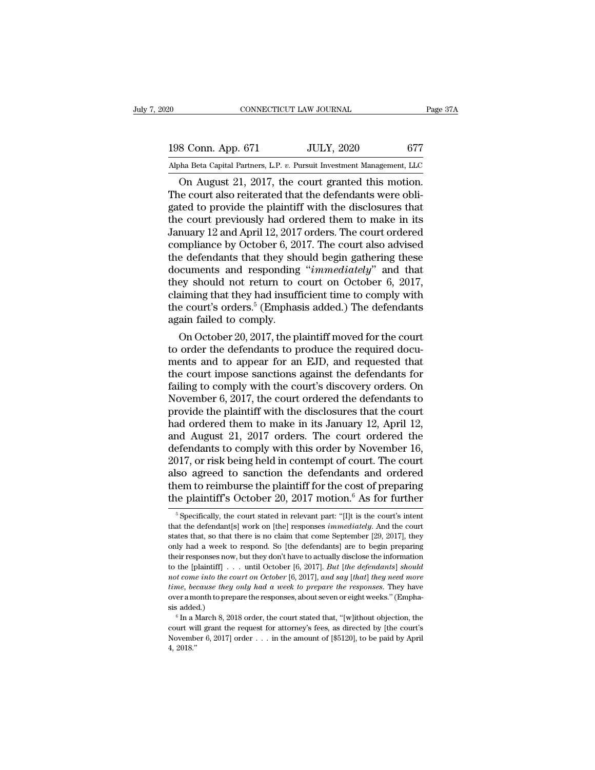# 198 Conn. App. 671 JULY, 2020 677<br>Alpha Beta Capital Partners, L.P. v. Pursuit Investment Management, LLC Valy 7, 2020 CONNECTICUT LAW JOURNAL Page 37A<br>
198 Conn. App. 671 JULY, 2020 677<br>
Alpha Beta Capital Partners, L.P. *v.* Pursuit Investment Management, LLC<br>
On August 21, 2017, the court granted this motion.

CONNECTICUT LAW JOURNAL Page 3<br>
8 Conn. App. 671 JULY, 2020 677<br>
July, 2020 677<br>
Dha Beta Capital Partners, L.P. v. Pursuit Investment Management, LLC<br>
On August 21, 2017, the court granted this motion.<br>
He court also reit 198 Conn. App. 671 JULY, 2020 677<br>
Alpha Beta Capital Partners, L.P. v. Pursuit Investment Management, LLC<br>
On August 21, 2017, the court granted this motion.<br>
The court also reiterated that the defendants were obli-<br>
gate 198 Conn. App. 671 JULY, 2020 677<br>Alpha Beta Capital Partners, L.P. v. Pursuit Investment Management, LLC<br>On August 21, 2017, the court granted this motion.<br>The court also reiterated that the defendants were obligated to 198 Conn. App. 671 JULY, 2020 677<br>
Alpha Beta Capital Partners, L.P. v. Pursuit Investment Management, LLC<br>
On August 21, 2017, the court granted this motion.<br>
The court also reiterated that the defendants were obligated Alpha Beta Capital Partners, L.P. v. Pursuit Investment Management, LLC<br>
On August 21, 2017, the court granted this motion.<br>
The court also reiterated that the defendants were obli-<br>
gated to provide the plaintiff with the Alpha Beta Capital Partners, L.P. v. Pursuit Investment Management, LLC<br>
On August 21, 2017, the court granted this motion.<br>
The court also reiterated that the defendants were obli-<br>
gated to provide the plaintiff with th On August 21, 2017, the court granted this motion.<br>The court also reiterated that the defendants were obligated to provide the plaintiff with the disclosures that<br>the court previously had ordered them to make in its<br>Janua The court also reiterated that the defendants were obligated to provide the plaintiff with the disclosures that<br>the court previously had ordered them to make in its<br>January 12 and April 12, 2017 orders. The court ordered<br>c gated to provide the plaintiff with the disclosures that<br>the court previously had ordered them to make in its<br>January 12 and April 12, 2017 orders. The court ordered<br>compliance by October 6, 2017. The court also advised<br>th the court previously had ordered them to make in its<br>January 12 and April 12, 2017 orders. The court ordered<br>compliance by October 6, 2017. The court also advised<br>the defendants that they should begin gathering these<br>docum January 12 and April 12, 2017 orders. The court ordered<br>compliance by October 6, 2017. The court also advised<br>the defendants that they should begin gathering these<br>documents and responding "*immediately*" and that<br>they sho compliance by October 6, 20<br>the defendants that they sho<br>documents and responding<br>they should not return to c<br>claiming that they had insuff<br>the court's orders.<sup>5</sup> (Emphas<br>again failed to comply.<br>On October 20, 2017, the p e derendants that they should begin gathering these<br>cuments and responding "*immediately*" and that<br>ey should not return to court on October 6, 2017,<br>aiming that they had insufficient time to comply with<br>e court's orders.<sup></sup> documents and responding "*immediately*" and that<br>they should not return to court on October 6, 2017,<br>claiming that they had insufficient time to comply with<br>the court's orders.<sup>5</sup> (Emphasis added.) The defendants<br>again f

they should not return to court on October 6, 2017,<br>claiming that they had insufficient time to comply with<br>the court's orders.<sup>5</sup> (Emphasis added.) The defendants<br>again failed to comply.<br>On October 20, 2017, the plaintiff claiming that they had insufficient time to comply with<br>the court's orders.<sup>5</sup> (Emphasis added.) The defendants<br>again failed to comply.<br>On October 20, 2017, the plaintiff moved for the court<br>to order the defendants to prod the court's orders." (Emphasis added.) The defendants<br>again failed to comply.<br>On October 20, 2017, the plaintiff moved for the court<br>to order the defendants to produce the required docu-<br>ments and to appear for an EJD, and again failed to comply.<br>
On October 20, 2017, the plaintiff moved for the court<br>
to order the defendants to produce the required docu-<br>
ments and to appear for an EJD, and requested that<br>
the court impose sanctions against On October 20, 2017, the plaintiff moved for the court<br>to order the defendants to produce the required docu-<br>ments and to appear for an EJD, and requested that<br>the court impose sanctions against the defendants for<br>failing to order the defendants to produce the required documents and to appear for an EJD, and requested that<br>the court impose sanctions against the defendants for<br>failing to comply with the court's discovery orders. On<br>November ments and to appear for an EJD, and requested that<br>the court impose sanctions against the defendants for<br>failing to comply with the court's discovery orders. On<br>November 6, 2017, the court ordered the defendants to<br>provide the court impose sanctions against the defendants for<br>failing to comply with the court's discovery orders. On<br>November 6, 2017, the court ordered the defendants to<br>provide the plaintiff with the disclosures that the court<br> failing to comply with the court's discovery orders. On<br>November 6, 2017, the court ordered the defendants to<br>provide the plaintiff with the disclosures that the court<br>had ordered them to make in its January 12, April 12,<br> November 6, 2017, the court ordered the defendants to<br>provide the plaintiff with the disclosures that the court<br>had ordered them to make in its January 12, April 12,<br>and August 21, 2017 orders. The court ordered the<br>defen provide the plaintiff with the disclosures that the court<br>had ordered them to make in its January 12, April 12,<br>and August 21, 2017 orders. The court ordered the<br>defendants to comply with this order by November 16,<br>2017, o had ordered them to make in its January 12, April 12,<br>and August 21, 2017 orders. The court ordered the<br>defendants to comply with this order by November 16,<br>2017, or risk being held in contempt of court. The court<br>also agr 017, or risk being held in contempt of court. The court<br>so agreed to sanction the defendants and ordered<br>tem to reimburse the plaintiff for the cost of preparing<br>the plaintiff's October 20, 2017 motion.<sup>6</sup> As for further<br> also agreed to sanction the defendants and ordered<br>them to reimburse the plaintiff for the cost of preparing<br>the plaintiff's October 20, 2017 motion.<sup>6</sup> As for further<br><sup>5</sup> Specifically, the court stated in relevant part: "

them to reimburse the plaintiff for the cost of preparing<br>the plaintiff's October 20, 2017 motion.<sup>6</sup> As for further<br><sup>5</sup> Specifically, the court stated in relevant part: "[I]t is the court's intent<br>that the defendant[s] w the plaintiff's October 20, 2017 motion.<sup>6</sup> As for further  $\frac{1}{15}$  specifically, the court stated in relevant part: "[I]t is the court's intent that the defendant[s] work on [the] responses *immediately*. And the court Their responses now, but they don't have to actually disclose the information to the [paintiff] work on [the] responses *immediately*. And the court states that, so that there is no claim that come September [29, 2017], t <sup>5</sup> Specifically, the court stated in relevant part: "[I]t is the court's intent that the defendant[s] work on [the] responses *immediately*. And the court states that, so that there is no claim that come September [29, 2 *not* that the defendant[s] work on [the] responses *immediately*. And the court states that, so that there is no claim that come September [29, 2017], they only had a week to respond. So [the defendants] are to begin prep atates that, so that there is no claim that come September [29, 2017], they only had a week to respond. So [the defendants] are to begin preparing their responses now, but they don't have to actually disclose the informati only had a week to respond. So [the defendants] are to begin preparing<br>their responses now, but they don't have to actually disclose the information<br>to the [plaintiff] . . . until October [6, 2017]. *But [the defendants]* their responses now, but they don't have to actually disclose the information<br>to the [plaintiff] . . . until October [6, 2017]. But [the defendants] should<br>not come into the court on October [6, 2017], and say [that] they the [plaintiff] . . . . until October [6, 2017]. *But [the defendants] should* that come into the court on October [6, 2017], and say [that] they need more me, because they only had a week to prepare the responses. They h not come into the court on October [6, 2017], and say [that] they need more time, because they only had a week to prepare the responses. They have over a month to prepare the responses, about seven or eight weeks." (Empha time, because they only had a week to prepare the responses. They have over a month to prepare the responses, about seven or eight weeks." (Empha-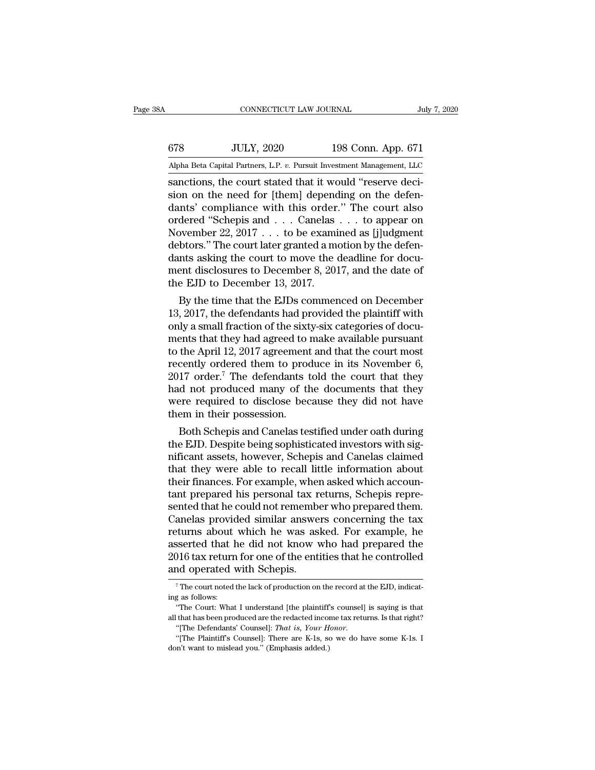CONNECTICUT LAW JOURNAL July 7, 2020<br>  $\frac{4}{\text{J}}$  JULY, 2020 198 Conn. App. 671<br>
Alpha Beta Capital Partners, L.P. *v.* Pursuit Investment Management, LLC<br>
sanctions, the court stated that it would "reserve decisanctions, the court stated that it would ''reserve deci-Since Market and Since 2020<br>Since 2020 198 Conn. App. 671<br>Alpha Beta Capital Partners, L.P. v. Pursuit Investment Management, LLC<br>Sanctions, the court stated that it would "reserve deci-<br>Since on the need for [them] depend  $\frac{1000 \text{ JULY}}{\text{Alpha Beta Capital Partners, L.P. } v. \text{ Pursuit Investment Management, LLC}}$ <br>
sanctions, the court stated that it would "reserve decision on the need for [them] depending on the defendants' compliance with this order." The court also ordered "Schepis and  $\frac{1000}{\text{Alpha Beta Capital Patterns, L.P. } v. \text{ Pursuit Investment Management, LLC}}$ <br>
sanctions, the court stated that it would "reserve decision on the need for [them] depending on the defendants' compliance with this order." The court also ordered "Schepis and . . Alpha Beta Capital Partners, L.P. v. Pursuit Investment Management, LLC<br>sanctions, the court stated that it would "reserve deci-<br>sion on the need for [them] depending on the defen-<br>dants' compliance with this order." The Alpha Beta Capital Partners, L.P.  $v$ . Pursuit Investment Management, LLC<br>sanctions, the court stated that it would "reserve deci-<br>sion on the need for [them] depending on the defen-<br>dants' compliance with this order." Th sanctions, the court stated that it would "reserve decision on the need for [them] depending on the defendants' compliance with this order." The court also ordered "Schepis and  $\dots$  Canelas  $\dots$  to appear on November 22, sion on the need for [them] depending on the defen-<br>dants' compliance with this order." The court also<br>ordered "Schepis and . . . Canelas . . . to appear on<br>November 22, 2017 . . . to be examined as [j]udgment<br>debtors." T dants' compliance with this order<br>ordered "Schepis and . . . Canelas<br>November 22, 2017 . . . to be exami<br>debtors." The court later granted a m<br>dants asking the court to move the q<br>ment disclosures to December 8, 201<br>the EJ by the time that the EJDs commenced on December<br>
22, 2017 . . . to be examined as [j]udgment<br>
btors." The court later granted a motion by the defen-<br>
nts asking the court to move the deadline for docu-<br>
ent disclosures to November 22, 2017,  $\ldots$  to be examined as [J]udgment<br>debtors." The court later granted a motion by the defen-<br>dants asking the court to move the deadline for docu-<br>ment disclosures to December 8, 2017, and the date of<br>th

debtors. The court later granted a motion by the defermed<br>ants asking the court to move the deadline for docu-<br>ment disclosures to December 8, 2017, and the date of<br>the EJD to December 13, 2017.<br>By the time that the EJDs c dants asking the court to move the deadline for document disclosures to December 8, 2017, and the date of the EJD to December 13, 2017.<br>By the time that the EJDs commenced on December 13, 2017, the defendants had provided the EJD to December 13, 2017, and the date of<br>the EJD to December 13, 2017.<br>By the time that the EJDs commenced on December<br>13, 2017, the defendants had provided the plaintiff with<br>only a small fraction of the sixty-six c By the time that the EJDs commenced on December 13, 2017.<br>
By the time that the EJDs commenced on December 13, 2017, the defendants had provided the plaintiff with<br>
only a small fraction of the sixty-six categories of doc By the time that the EJDs commenced on December<br>13, 2017, the defendants had provided the plaintiff with<br>only a small fraction of the sixty-six categories of docu-<br>ments that they had agreed to make available pursuant<br>to 13, 2017, the defendants had provided the plaintiff with<br>only a small fraction of the sixty-six categories of docu-<br>ments that they had agreed to make available pursuant<br>to the April 12, 2017 agreement and that the court only a small fraction of the sixty-six categories of documents that they had agreed to make available pursuant to the April 12, 2017 agreement and that the court most recently ordered them to produce in its November 6, 201 ments that they had agreed to :<br>to the April 12, 2017 agreement<br>recently ordered them to proc<br>2017 order.<sup>7</sup> The defendants t<br>had not produced many of th<br>were required to disclose bec<br>them in their possession.<br>Both Schepis the April 12, 2017 agreement and that the court most<br>cently ordered them to produce in its November 6,<br>17 order.<sup>7</sup> The defendants told the court that they<br>d not produced many of the documents that they<br>ere required to dis recently ordered them to produce in its November 6,<br>2017 order.<sup>7</sup> The defendants told the court that they<br>had not produced many of the documents that they<br>were required to disclose because they did not have<br>them in their

2017 order." The detendants told the court that they<br>had not produced many of the documents that they<br>were required to disclose because they did not have<br>them in their possession.<br>Both Schepis and Canelas testified under o that they were required to disclose because they did not have<br>them in their possession.<br>Both Schepis and Canelas testified under oath during<br>the EJD. Despite being sophisticated investors with sig-<br>nificant assets, however were required to disclose because they did not have<br>them in their possession.<br>Both Schepis and Canelas testified under oath during<br>the EJD. Despite being sophisticated investors with sig-<br>nificant assets, however, Schepis them in their possession.<br>Both Schepis and Canelas testified under oath during<br>the EJD. Despite being sophisticated investors with sig-<br>nificant assets, however, Schepis and Canelas claimed<br>that they were able to recall li Both Schepis and Canelas testified under oath during<br>the EJD. Despite being sophisticated investors with sig-<br>nificant assets, however, Schepis and Canelas claimed<br>that they were able to recall little information about<br>the the EJD. Despite being sophisticated investors with significant assets, however, Schepis and Canelas claimed<br>that they were able to recall little information about<br>their finances. For example, when asked which accoun-<br>tant mificant assets, however, Schepis and Canelas claimed<br>that they were able to recall little information about<br>their finances. For example, when asked which accoun-<br>tant prepared his personal tax returns, Schepis repre-<br>sent that they were able to recall little information about<br>their finances. For example, when asked which accoun-<br>tant prepared his personal tax returns, Schepis repre-<br>sented that he could not remember who prepared them.<br>Canel their finances. For example, when asked which accountant prepared his personal tax returns, Schepis represented that he could not remember who prepared them.<br>Canelas provided similar answers concerning the tax returns abou tant prepared his personal tax resented that he could not remembe<br>Canelas provided similar answe<br>returns about which he was as<br>asserted that he did not know v<br>2016 tax return for one of the enti<br>and operated with Schepis. iturns about which he was asked. For example, he<br>sserted that he did not know who had prepared the<br>016 tax return for one of the entities that he controlled<br>ad operated with Schepis.<br><sup>7</sup>The court noted the lack of producti asserted that l<br>2016 tax return<br>and operated<br> $\frac{1}{100}$ <br> $\frac{1}{100}$  as follows:<br>"The Court: What )16 tax return for one of the entities that he controlled<br>
and operated with Schepis.<br>
<sup>7</sup> The court noted the lack of production on the record at the EJD, indicate<br>
g as follows:<br>
"The Court: What I understand [the plain

and operated with Schepis.<br>
<sup>7</sup> The court noted the lack of production on the record at the EJD, indicating as follows:<br>
"The Court: What I understand [the plaintiff's counsel] is saying is that all that has been produced <sup>7</sup> The court noted the lack of production on the record at g as follows:<br><sup>7</sup> The Court: What I understand [the plaintiff's counsel] that has been produced are the redacted income tax return "[The Defendants' Counsel]: *Th* <sup>7</sup> The court noted the lack of production on the record at the EJD, indicated as follows:<br>"The Court: What I understand [the plaintiff's counsel] is saying is that<br>that has been produced are the redacted income tax retur ing as follows:<br>
"The Court: What I understand [the plaintiff's counsel] is saying is that<br>
all that has been produced are the redacted income tax returns. Is that right?<br>
"[The Defendants' Counsel]: *That is, Your Honor.*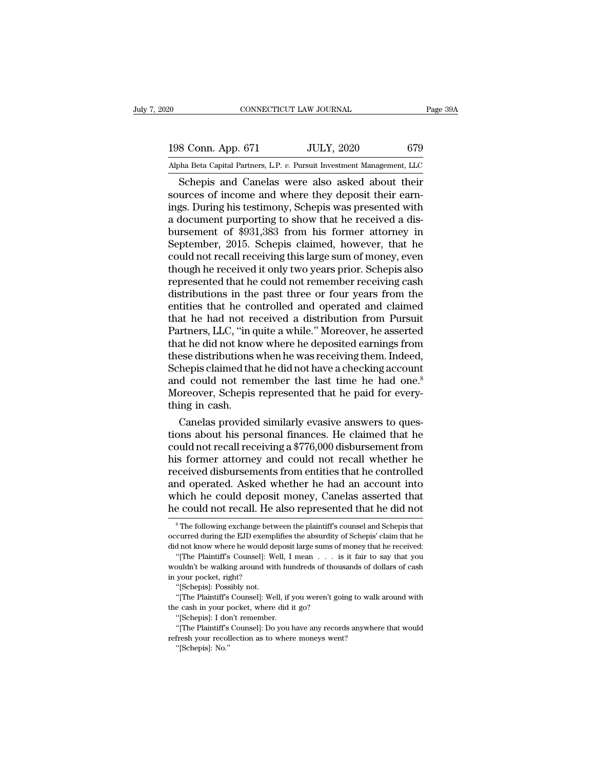## 198 Conn. App. 671 JULY, 2020 679<br>Alpha Beta Capital Partners, L.P. v. Pursuit Investment Management, LLC Valy 7, 2020 CONNECTICUT LAW JOURNAL Page 39A<br>
Alpha Beta Capital Partners, L.P. *v.* Pursuit Investment Management, LLC<br>
Schepis and Canelas were also asked about their

CONNECTICUT LAW JOURNAL Page 39A<br>
SC ONN. App. 671 JULY, 2020 679<br>
July, 2020 679<br>
Schepis and Canelas were also asked about their<br>
Schepis and Canelas were also asked about their<br>
urces of income and where they deposit th 198 Conn. App. 671 JULY, 2020 679<br>Alpha Beta Capital Partners, L.P. v. Pursuit Investment Management, LLC<br>Schepis and Canelas were also asked about their<br>sources of income and where they deposit their earn-<br>ings. During hi 198 Conn. App. 671 JULY, 2020 679<br>
Alpha Beta Capital Partners, L.P. v. Pursuit Investment Management, LLC<br>
Schepis and Canelas were also asked about their<br>
sources of income and where they deposit their earnings. During 198 Conn. App. 671 JULY, 2020 679<br>
Alpha Beta Capital Partners, L.P. v. Pursuit Investment Management, LLC<br>
Schepis and Canelas were also asked about their<br>
sources of income and where they deposit their earn-<br>
ings. Durin Alpha Beta Capital Partners, L.P. v. Pursuit Investment Management, LLC<br>Schepis and Canelas were also asked about their<br>sources of income and where they deposit their earn-<br>ings. During his testimony, Schepis was presented Alpha Beta Capital Partners, L.P. v. Pursuit Investment Management, LLC<br>
Schepis and Canelas were also asked about their<br>
sources of income and where they deposit their earn-<br>
ings. During his testimony, Schepis was presen Schepis and Canelas were also asked about their<br>sources of income and where they deposit their earn-<br>ings. During his testimony, Schepis was presented with<br>a document purporting to show that he received a dis-<br>bursement of sources of income and where they deposit their earnings. During his testimony, Schepis was presented with<br>a document purporting to show that he received a dis-<br>bursement of \$931,383 from his former attorney in<br>September, 2 ings. During his testimony, Schepis was presented with<br>a document purporting to show that he received a dis-<br>bursement of \$931,383 from his former attorney in<br>September, 2015. Schepis claimed, however, that he<br>could not re a document purporting to show that he received a dis-<br>bursement of \$931,383 from his former attorney in<br>September, 2015. Schepis claimed, however, that he<br>could not recall receiving this large sum of money, even<br>though he bursement of \$931,383 from his former attorney in<br>September, 2015. Schepis claimed, however, that he<br>could not recall receiving this large sum of money, even<br>though he received it only two years prior. Schepis also<br>represe September, 2015. Schepis claimed, however, that he could not recall receiving this large sum of money, even though he received it only two years prior. Schepis also represented that he could not remember receiving cash dis could not recall receiving this large sum of money, even<br>though he received it only two years prior. Schepis also<br>represented that he could not remember receiving cash<br>distributions in the past three or four years from the though he received it only two years prior. Schepis also<br>represented that he could not remember receiving cash<br>distributions in the past three or four years from the<br>entities that he controlled and operated and claimed<br>tha represented that he could not remember receiving cash<br>distributions in the past three or four years from the<br>entities that he controlled and operated and claimed<br>that he had not received a distribution from Pursuit<br>Partner distributions in the past three or four years from the<br>entities that he controlled and operated and claimed<br>that he had not received a distribution from Pursuit<br>Partners, LLC, "in quite a while." Moreover, he asserted<br>that entities that he controlled and operated and claimed<br>that he had not received a distribution from Pursuit<br>Partners, LLC, "in quite a while." Moreover, he asserted<br>that he did not know where he deposited earnings from<br>these that he had not received a distribution from Pursuit Partners, LLC, "in quite a while." Moreover, he asserted that he did not know where he deposited earnings from these distributions when he was receiving them. Indeed, Sc Partners, LLC, "in c<br>that he did not know<br>these distributions<br>Schepis claimed tha<br>and could not ren<br>Moreover, Schepis<br>thing in cash.<br>Canelas provided at he did not know where he deposited earnings from<br>ese distributions when he was receiving them. Indeed,<br>hepis claimed that he did not have a checking account<br>d could not remember the last time he had one.<sup>8</sup><br>oreover, Sch these distributions when he was receiving them. Indeed,<br>Schepis claimed that he did not have a checking account<br>and could not remember the last time he had one.<sup>8</sup><br>Moreover, Schepis represented that he paid for every-<br>thin

Schepis claimed that he did not have a checking account<br>and could not remember the last time he had one.<sup>8</sup><br>Moreover, Schepis represented that he paid for every-<br>thing in cash.<br>Canelas provided similarly evasive answers to and could not remember the last time he had one.<sup>8</sup><br>Moreover, Schepis represented that he paid for every-<br>thing in cash.<br>Canelas provided similarly evasive answers to ques-<br>tions about his personal finances. He claimed tha Moreover, Schepis represented that he paid for every-<br>thing in cash.<br>Canelas provided similarly evasive answers to ques-<br>tions about his personal finances. He claimed that he<br>could not recall receiving a \$776,000 disbursem thing in cash.<br>
Canelas provided similarly evasive answers to questions about his personal finances. He claimed that he<br>
could not recall receiving a \$776,000 disbursement from<br>
his former attorney and could not recall whe Canelas provided similarly evasive answers to questions about his personal finances. He claimed that he could not recall receiving a \$776,000 disbursement from his former attorney and could not recall whether he received d tions about his personal finances. He claimed that he could not recall receiving a \$776,000 disbursement from<br>his former attorney and could not recall whether he<br>received disbursements from entities that he controlled<br>and eceived disbursements from entities that he controlled<br>nd operated. Asked whether he had an account into<br>hich he could deposit money, Canelas asserted that<br>e could not recall. He also represented that he did not<br><sup>8</sup>The fol and operated. Asked whether he had an account into<br>which he could deposit money, Canelas asserted that<br>he could not recall. He also represented that he did not<br><sup>8</sup>The following exchange between the plaintiff's counsel and

which he could deposit money, Canelas asserted that<br>he could not recall. He also represented that he did not<br><sup>8</sup>The following exchange between the plaintiff's counsel and Schepis that<br>occurred during the EJD exemplifies th

he could not recall. He also represented that he did not  $\frac{1}{100}$  in The following exchange between the plaintiff's counsel and Schepis that occurred during the EJD exemplifies the absurdity of Schepis' claim that he d The COUID HOU FECAIL FIE ALSO FEPTESEITIED UTAL THE UID TOUT THE COUID INTERNATION COUNTER THE POLITY OF SCHED AROUND A SCHED AROUND A THE MUNITY OF SCHED AND WOULD THE PLAINTIF'S COUISEL]: Well, I mean . . . is it fair to <sup>8</sup> The following exchange bet<br>occurred during the EJD exemplid not know where he would d<br>"[The Plaintiff's Counsel]: W<br>wouldn't be walking around wi<br>in your pocket, right?<br>"[Schepis]: Possibly not. curred during the EJD exempt<br>
d not know where he would de<br>
"[The Plaintiff's Counsel]: Wouldn't be walking around wit<br>
your pocket, right?<br>"[Schepis]: Possibly not.<br>"[The Plaintiff's Counsel]: We of the Mondrigontal and the would deposit large sums of money that he received:<br>
"[The Plaintiff's Counsel]: Well, I mean . . . is it fair to say that you<br>
buldn't be walking around with hundreds of thousands of dollars of The Plaintiff's Counsel]: Well, I mean<br>
"[The Plaintiff's Counsel]: Well, I mean . . . is<br>
wouldn't be walking around with hundreds of thou<br>
in your pocket, right?<br>
"[Schepis]: Possibly not.<br>
"[The Plaintiff's Counsel]: We '' Hundridge The Walking around with hur<br>''[Schepis]: Possibly not.<br>''[Schepis]: Possibly not.<br>''[The Plaintiff's Counsel]: Well, if y<br>e cash in your pocket, where did it<br>''[Schepis]: I don't remember.<br>''[The Plaintiff's C

<sup>&</sup>quot;Your pocket, right?<br>
"[Schepis]: Possibly not.<br>
"[The Plaintiff's Counsel]: Well, if you weren't going to walk around with<br>
e cash in your pocket, where did it go?<br>
"[Schepis]: I don't remember.<br>
"[The Plaintiff's Counsel refrequency results. The Plaintiff's Counsel]: Well, if you weren't going to walk<br>
"[The Plaintiff's Counsel]: Well, if you weren't going to walk<br>
the cash in your pocket, where did it go?<br>
"[Schepis]: I don't remember.<br>
" "|The Plaintiff's<br>
e cash in your p<br>
e cash in your p<br>
"|Schepis]: I don'<br>
"|The Plaintiff's<br>
fresh your recol<br>
"|Schepis]: No."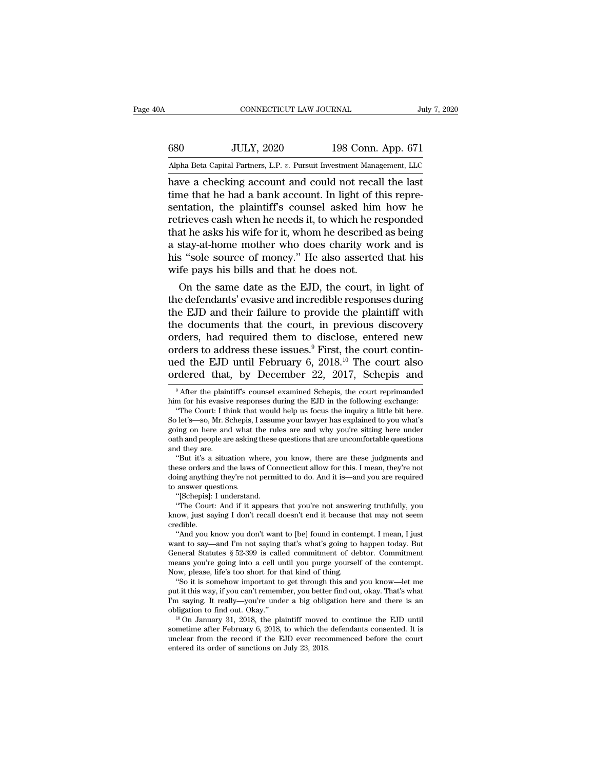## EN CONNECTICUT LAW JOURNAL July 7, 2020<br>680 JULY, 2020 198 Conn. App. 671<br>Alpha Beta Capital Partners, L.P. v. Pursuit Investment Management, LLC CONNECTICUT LAW JOURNAL July 7, 2020<br>
Alpha Beta Capital Partners, L.P. *v.* Pursuit Investment Management, LLC<br>
Alpha Beta Capital Partners, L.P. *v.* Pursuit Investment Management, LLC<br>
have a checking account and could

CONNECTICUT LAW JOURNAL July 7, 2020<br>
680 JULY, 2020 198 Conn. App. 671<br>
Alpha Beta Capital Partners, L.P. v. Pursuit Investment Management, LLC<br>
have a checking account and could not recall the last<br>
time that he had a ba the Sea Capital Partners, L.P. v. Pursuit Investment Management, LLC<br>Alpha Beta Capital Partners, L.P. v. Pursuit Investment Management, LLC<br>have a checking account and could not recall the last<br>time that he had a bank acc  $\begin{array}{lll} \text{380} & \text{JULY, 2020} & \text{198 Conn. App. 671} \\ \text{Alpha Beta Capital Partners, L.P. } & \text{Pursuit Investment Management, LLC} \\ \text{have a checking account and could not recall the last time that he had a bank account. In light of this representation, the plaintiff's course, less than how he retrieves cash when he needs it, to which he responded that he asks his wife for it, when he described as being.} \end{array}$  $\frac{3680}{\text{Alpha Beta Capital Patterns, L.P. } v. \text{ Pursuit Investment Management, LLC}}$ <br>have a checking account and could not recall the last<br>time that he had a bank account. In light of this repre-<br>sentation, the plaintiff's counsel asked him how he<br>retrieves cash when h Alpha Beta Capital Partners, L.P. v. Pursuit Investment Management, LLC<br>have a checking account and could not recall the last<br>time that he had a bank account. In light of this repre-<br>sentation, the plaintiff's counsel aske Alpha Beta Capital Partners, L.P. v. Pursuit Investment Management, LLC<br>have a checking account and could not recall the last<br>time that he had a bank account. In light of this repre-<br>sentation, the plaintiff's counsel aske have a checking account and could not recall the last<br>time that he had a bank account. In light of this repre-<br>sentation, the plaintiff's counsel asked him how he<br>retrieves cash when he needs it, to which he responded<br>that time that he had a bank account. In light of the sentation, the plaintiff's counsel asked him retrieves cash when he needs it, to which he re that he asks his wife for it, whom he described a stay-at-home mother who does c ntation, the plaintiff s counser asked film now he<br>trieves cash when he needs it, to which he responded<br>at he asks his wife for it, whom he described as being<br>stay-at-home mother who does charity work and is<br>"sole source o retrieves cash when he needs it, to which he responded<br>that he asks his wife for it, whom he described as being<br>a stay-at-home mother who does charity work and is<br>his "sole source of money." He also asserted that his<br>wife

that he asks his wife for it, whom he described as being<br>a stay-at-home mother who does charity work and is<br>his "sole source of money." He also asserted that his<br>wife pays his bills and that he does not.<br>On the same date a a stay-at-nome mother who does charity work and is<br>his "sole source of money." He also asserted that his<br>wife pays his bills and that he does not.<br>On the same date as the EJD, the court, in light of<br>the defendants' evasiv ms sole source of money. He also asserted that his<br>wife pays his bills and that he does not.<br>On the same date as the EJD, the court, in light of<br>the defendants' evasive and incredible responses during<br>the EJD and their fa wire pays nis bills and that he does not.<br>
On the same date as the EJD, the court, in light of<br>
the defendants' evasive and incredible responses during<br>
the EJD and their failure to provide the plaintiff with<br>
the documen On the same date as the EJD, the court, in light of<br>the defendants' evasive and incredible responses during<br>the EJD and their failure to provide the plaintiff with<br>the documents that the court, in previous discovery<br>order the defendants' evasive and incredible responses during<br>the EJD and their failure to provide the plaintiff with<br>the documents that the court, in previous discovery<br>orders, had required them to disclose, entered new<br>orders rders, had required them to disclose, entered new<br>rders to address these issues.<sup>9</sup> First, the court contin-<br>ed the EJD until February 6, 2018.<sup>10</sup> The court also<br>rdered that, by December 22, 2017, Schepis and<br><sup>9</sup> After th orders to address these issues.<sup>9</sup> First, the court continued the EJD until February 6, 2018.<sup>10</sup> The court also ordered that, by December 22, 2017, Schepis and  $\frac{9}{4}$  After the plaintiff's counsel examined Schepis, th ued the EJD until February 6, 2018.<sup>10</sup> The court also ordered that, by December 22, 2017, Schepis and  $\overline{\phantom{a}}^{\circ}$  After the plaintiff's counsel examined Schepis, the court reprimanded him for his evasive responses du

So let's—so, Mr. Schepis, I assume your lawyer has explained to you what's<br>going on here and what the rules are and why you're sitting here under<br>oath and people are asking these questions that are uncomfortable questions<br> % oath and people are asking these questions that are uncomfortable questions<br>and they are.<br>"But it's a situation where, you know, there are these judgments and<br>these orders and the laws of Connecticut allow for this. I m th and people are asking these<br>
d they are.<br>
"But it's a situation where, y<br>
see orders and the laws of Cor<br>
ing anything they're not permi<br>
answer questions.<br>
"[Schepis]: I understand.<br>
"The Court: And if it appears d they are.<br>
"But it's a situation where, you know, there are these judgments and<br>
see orders and the laws of Connecticut allow for this. I mean, they're not<br>
ing anything they're not permitted to do. And it is—and you are "But it's a situation where, you know, there are these judgments and<br>these orders and the laws of Connecticut allow for this. I mean, they're not<br>doing anything they're not permitted to do. And it is—and you are required<br>t

credible. ing anything they're not permitted to do. And it is—and you are required<br>
answer questions.<br>
"[Schepis]: I understand.<br>
"The Court: And if it appears that you're not answering truthfully, you<br>
ow, just saying I don't recal

to answer questions.<br>
"[Schepis]: I understand.<br>
"The Court: And if it appears that you're not answering truthfully, you<br>
know, just saying I don't recall doesn't end it because that may not seem<br>
credible.<br>
"And you know "[Schepis]: I understand.<br>
"The Court: And if it appears that you're not answering truthfully, you<br>
know, just saying I don't recall doesn't end it because that may not seem<br>
credible.<br>
"And you know you don't want to [be] "The Court: And if it appears that you're not answering truthfully, you know, just saying I don't recall doesn't end it because that may not seem credible.<br>"And you know you don't want to [be] found in contempt. I mean, I know, just saying I don't recall doesn't end it because is<br>credible.<br>"And you know you don't want to [be] found in conte<br>want to say—and I'm not saying that's what's going to<br>General Statutes § 52-399 is called commitment edible.<br>
"And you know you don't want to [be] found in contempt. I mean, I just<br>
ant to say—and I'm not saying that's what's going to happen today. But<br>
ineral Statutes § 52-399 is called commitment of debtor. Commitment<br> "And you know you don't want to [be] found in contempt. I mean, I just<br>want to say—and I'm not saying that's what's going to happen today. But<br>General Statutes § 52-399 is called commitment of debtor. Commitment<br>means you

want to say—and I'm not saying that's what's going to happen today. But<br>General Statutes § 52-399 is called commitment of debtor. Commitment<br>means you're going into a cell until you purge yourself of the contempt.<br>Now, ple General Statutes § 52-399 is called commitment of debtor. Commitment means you're going into a cell until you purge yourself of the contempt.<br>Now, please, life's too short for that kind of thing.<br>"So it is somehow importa Now, please, life's too short for that kind of thing.<br>
"So it is somehow important to get through this and you know—let me<br>
put it this way, if you can't remember, you better find out, okay. That's what<br>
I'm saying. It re

"So it is somehow important to get through this and you know—let me<br>put it this way, if you can't remember, you better find out, okay. That's what<br>I'm saying. It really—you're under a big obligation here and there is an<br>o put it this way, if you can't remember, you bettee<br>I'm saying. It really—you're under a big oblig<br>obligation to find out. Okay."<br><sup>10</sup> On January 31, 2018, the plaintiff moved<br>sometime after February 6, 2018, to which the<br>u

The court also ordered that, by December 22, 2015.<sup>33</sup> The court also ordered that, by December 22, 2017, Schepis and  $\frac{1}{\pi}$  After the plaintiff's counsel examined Schepis, the court reprimanded him for his evasive re ordered that, by December 22, 2017, Schepis and<br>
<sup>9</sup> After the plaintiff's counsel examined Schepis, the court reprimanded<br>
him for his evasive responses during the EJD in the following exchange:<br>
"The Court: I think that <sup>9</sup> After the plaintiff's counsel examined Schepis, the court reprimanded him for his evasive responses during the EJD in the following exchange: "The Court: I think that would help us focus the inquiry a little bit here. After the plain<br>him for his evasive<br>"The Court: I th<br>So let's—so, Mr. So<br>going on here and<br>oath and people are<br>and they are.<br>"But it's a situa m for his evasive responses during the EJD in the following exchange:<br>
"The Court: I think that would help us focus the inquiry a little bit here.<br>
let's—so, Mr. Schepis, I assume your lawyer has explained to you what's<br>
i "The Court: I think that would help us focus the inquiry a little bit here.<br>So let's—so, Mr. Schepis, I assume your lawyer has explained to you what's<br>going on here and what the rules are and why you're sitting here under<br>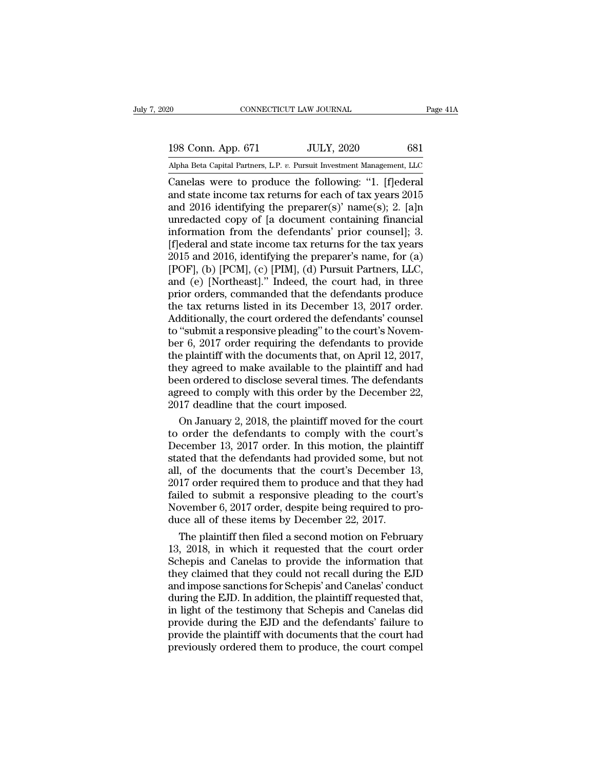| Alpha Beta Capital Partners, L.P. v. Pursuit Investment Management, LLC |  |  |  |
|-------------------------------------------------------------------------|--|--|--|

CONNECTICUT LAW JOURNAL Page 4<br>
198 Conn. App. 671 JULY, 2020 681<br>
Alpha Beta Capital Partners, L.P. v. Pursuit Investment Management, LLC<br>
Canelas were to produce the following: "1. [f]ederal<br>
and state income tax returns 198 Conn. App. 671 JULY, 2020 681<br>
Alpha Beta Capital Partners, L.P. v. Pursuit Investment Management, LLC<br>
Canelas were to produce the following: "1. [f]ederal<br>
and state income tax returns for each of tax years 2015<br>
and 198 Conn. App. 671 JULY, 2020 681<br>
Alpha Beta Capital Partners, L.P. v. Pursuit Investment Management, LLC<br>
Canelas were to produce the following: "1. [f]ederal<br>
and state income tax returns for each of tax years 2015<br>
an 198 Conn. App. 671 JULY, 2020 681<br>
Alpha Beta Capital Partners, L.P. v. Pursuit Investment Management, LLC<br>
Canelas were to produce the following: "1. [f]ederal<br>
and state income tax returns for each of tax years 2015<br>
an 198 Conn. App. 671 JULY, 2020 681<br>
Alpha Beta Capital Partners, L.P. v. Pursuit Investment Management, LLC<br>
Canelas were to produce the following: "1. [f]ederal<br>
and state income tax returns for each of tax years 2015<br>
an Alpha Beta Capital Partners, L.P. v. Pursuit Investment Management, LLC<br>
Canelas were to produce the following: "1. [f]ederal<br>
and state income tax returns for each of tax years 2015<br>
and 2016 identifying the preparer(s)' Canelas were to produce the following: "1. [f]ederal<br>and state income tax returns for each of tax years 2015<br>and 2016 identifying the preparer(s)' name(s); 2. [a]n<br>unredacted copy of [a document containing financial<br>inform and state income tax returns for each of tax years 2015<br>and 2016 identifying the preparer(s)' name(s); 2. [a]n<br>unredacted copy of [a document containing financial<br>information from the defendants' prior counsel]; 3.<br>[f]eder and 2016 identifying the preparer(s)' name(s); 2. [a]n<br>unredacted copy of [a document containing financial<br>information from the defendants' prior counsel]; 3.<br>[f]ederal and state income tax returns for the tax years<br>2015 a unredacted copy of [a document containing financial<br>information from the defendants' prior counsel]; 3.<br>[f]ederal and state income tax returns for the tax years<br>2015 and 2016, identifying the preparer's name, for (a)<br>[POF] information from the defendants' prior counsel]; 3.<br>[f]ederal and state income tax returns for the tax years<br>2015 and 2016, identifying the preparer's name, for (a)<br>[POF], (b) [PCM], (c) [PIM], (d) Pursuit Partners, LLC,<br>a [f]ederal and state income tax returns for the tax years 2015 and 2016, identifying the preparer's name, for (a) [POF], (b) [PCM], (c) [PIM], (d) Pursuit Partners, LLC, and (e) [Northeast]." Indeed, the court had, in three 2015 and 2016, identifying the preparer's name, for (a) [POF], (b) [PCM], (c) [PIM], (d) Pursuit Partners, LLC, and (e) [Northeast]." Indeed, the court had, in three prior orders, commanded that the defendants produce the [POF], (b) [PCM], (c) [PIM], (d) Pursuit Partners, LLC,<br>and (e) [Northeast]." Indeed, the court had, in three<br>prior orders, commanded that the defendants produce<br>the tax returns listed in its December 13, 2017 order.<br>Addit and (e) [Northeast]." Indeed, the court had, in three<br>prior orders, commanded that the defendants produce<br>the tax returns listed in its December 13, 2017 order.<br>Additionally, the court ordered the defendants' counsel<br>to "s prior orders, commanded that the defendants produce<br>the tax returns listed in its December 13, 2017 order.<br>Additionally, the court ordered the defendants' counsel<br>to "submit a responsive pleading" to the court's Novem-<br>ber the tax returns listed in its December 13, 2017 order.<br>Additionally, the court ordered the defendants' counsel<br>to "submit a responsive pleading" to the court's Novem-<br>ber 6, 2017 order requiring the defendants to provide<br>t Additionally, the court ordered the defendants' counsel<br>to "submit a responsive pleading" to the court's Novem-<br>ber 6, 2017 order requiring the defendants to provide<br>the plaintiff with the documents that, on April 12, 2017 to "submit a responsive pleading" to the course of 6, 2017 order requiring the defendants the plaintiff with the documents that, on Ap they agreed to make available to the plaint been ordered to disclose several times. The r 6, 2017 order requiring the defendants to provide<br>e plaintiff with the documents that, on April 12, 2017,<br>ey agreed to make available to the plaintiff and had<br>en ordered to disclose several times. The defendants<br>reed to the plaintiff with the documents that, on April 12, 2017,<br>they agreed to make available to the plaintiff and had<br>been ordered to disclose several times. The defendants<br>agreed to comply with this order by the December 22,<br>2

they agreed to make available to the plaintiff and had<br>been ordered to disclose several times. The defendants<br>agreed to comply with this order by the December 22,<br>2017 deadline that the court imposed.<br>On January 2, 2018, t been ordered to disclose several times. The defendants<br>agreed to comply with this order by the December 22,<br>2017 deadline that the court imposed.<br>On January 2, 2018, the plaintiff moved for the court's<br>to order the defenda agreed to comply with this order by the December 22,<br>2017 deadline that the court imposed.<br>On January 2, 2018, the plaintiff moved for the court<br>to order the defendants to comply with the court's<br>December 13, 2017 order. I 2017 deadline that the court imposed.<br>
On January 2, 2018, the plaintiff moved for the court<br>
to order the defendants to comply with the court's<br>
December 13, 2017 order. In this motion, the plaintiff<br>
stated that the def On January 2, 2018, the plaintiff moved for the court<br>to order the defendants to comply with the court's<br>December 13, 2017 order. In this motion, the plaintiff<br>stated that the defendants had provided some, but not<br>all, of to order the defendants to comply with the court's<br>December 13, 2017 order. In this motion, the plaintiff<br>stated that the defendants had provided some, but not<br>all, of the documents that the court's December 13,<br>2017 order December 13, 2017 order. In this motion, the plain stated that the defendants had provided some, but i<br>all, of the documents that the court's December<br>2017 order required them to produce and that they h<br>failed to submit a ated that the defendants had provided some, but not<br>
, of the documents that the court's December 13,<br>
17 order required them to produce and that they had<br>
lled to submit a responsive pleading to the court's<br>
ovember 6, 20 all, of the documents that the court's December 13,<br>2017 order required them to produce and that they had<br>failed to submit a responsive pleading to the court's<br>November 6, 2017 order, despite being required to pro-<br>duce al

2017 order required them to produce and that they had<br>failed to submit a responsive pleading to the court's<br>November 6, 2017 order, despite being required to pro-<br>duce all of these items by December 22, 2017.<br>The plaintiff failed to submit a responsive pleading to the court's<br>November 6, 2017 order, despite being required to pro-<br>duce all of these items by December 22, 2017.<br>The plaintiff then filed a second motion on February<br>13, 2018, in w November 6, 2017 order, despite being required to pro-<br>duce all of these items by December 22, 2017.<br>The plaintiff then filed a second motion on February<br>13, 2018, in which it requested that the court order<br>Schepis and Can duce all of these items by December 22, 2017.<br>
The plaintiff then filed a second motion on February<br>
13, 2018, in which it requested that the court order<br>
Schepis and Canelas to provide the information that<br>
they claimed t The plaintiff then filed a second motion on February<br>13, 2018, in which it requested that the court order<br>Schepis and Canelas to provide the information that<br>they claimed that they could not recall during the EJD<br>and impos 13, 2018, in which it requested that the court order<br>Schepis and Canelas to provide the information that<br>they claimed that they could not recall during the EJD<br>and impose sanctions for Schepis' and Canelas' conduct<br>during Schepis and Canelas to provide the information that<br>they claimed that they could not recall during the EJD<br>and impose sanctions for Schepis' and Canelas' conduct<br>during the EJD. In addition, the plaintiff requested that,<br>i they claimed that they could not recall during the EJD and impose sanctions for Schepis' and Canelas' conduct<br>during the EJD. In addition, the plaintiff requested that,<br>in light of the testimony that Schepis and Canelas di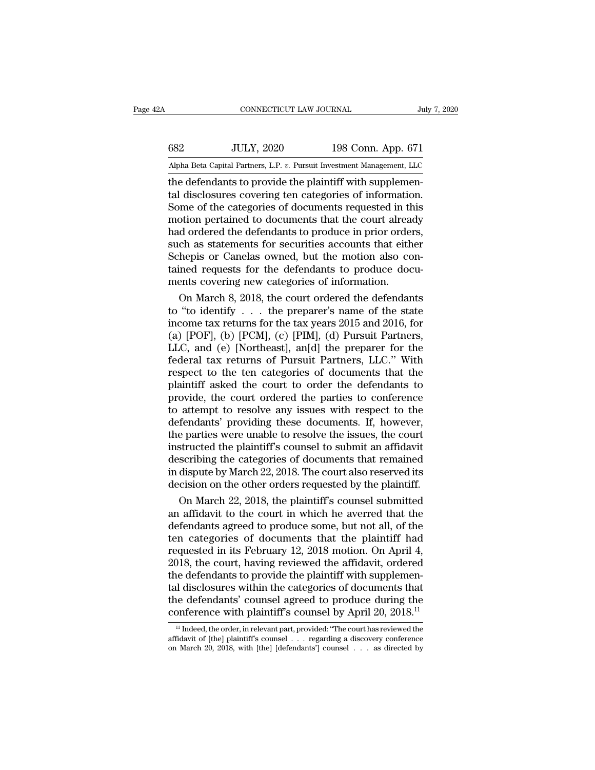# EN CONNECTICUT LAW JOURNAL July 7, 2020<br>682 JULY, 2020 198 Conn. App. 671<br>Alpha Beta Capital Partners, L.P. v. Pursuit Investment Management, LLC

CONNECTICUT LAW JOURNAL July 7, 2020<br>
Alpha Beta Capital Partners, L.P. *v.* Pursuit Investment Management, LLC<br>
the defendants to provide the plaintiff with supplemen-CONNECTICUT LAW JOURNAL<br>
<u>the defendants to provide the plaintiff</u> with supplemental disclosures covering ten categories of information.<br>
Some of the categories of documents requested in this tal disclosures covering ten categories of information of the categories of information.<br>
Some of the categories of documents requested in this motion pertained to documents that the court already  $\frac{1082}{\text{Alpha Beta Capital Patterns, L.P. } v. \text{ Pursuit Investment Management, LLC}}$ <br>the defendants to provide the plaintiff with supplemental disclosures covering ten categories of information.<br>Some of the categories of documents requested in this<br>motion pertained to  $\frac{1082}{\text{Alpha Beta Capital Patterns, L.P. } v.}$  Pursuit Investment Management, LLC<br>the defendants to provide the plaintiff with supplemental disclosures covering ten categories of information.<br>Some of the categories of documents requested in t Alpha Beta Capital Partners, L.P.  $v$ . Pursuit Investment Management, LLC<br>the defendants to provide the plaintiff with supplemen-<br>tal disclosures covering ten categories of information.<br>Some of the categories of documents Alpha Beta Capital Partners, L.P. v. Pursuit Investment Management, LLC<br>the defendants to provide the plaintiff with supplemen-<br>tal disclosures covering ten categories of information.<br>Some of the categories of documents re the defendants to provide the plaintiff with supplemental disclosures covering ten categories of information.<br>Some of the categories of documents requested in this motion pertained to documents that the court already<br>had o tal disclosures covering ten categories of information.<br>Some of the categories of documents requested in this<br>motion pertained to documents that the court already<br>had ordered the defendants to produce in prior orders,<br>such Some of the categories of documents requested in the motion pertained to documents that the court alreaded had ordered the defendants to produce in prior orders such as statements for securities accounts that eith Schepis otion pertained to documents that the court already<br>d ordered the defendants to produce in prior orders,<br>ch as statements for securities accounts that either<br>hepis or Canelas owned, but the motion also con-<br>ined requests f had ordered the defendants to produce in prior orders,<br>such as statements for securities accounts that either<br>Schepis or Canelas owned, but the motion also con-<br>tained requests for the defendants to produce docu-<br>ments co

such as statements for securities accounts that either<br>Schepis or Canelas owned, but the motion also con-<br>tained requests for the defendants to produce docu-<br>ments covering new categories of information.<br>On March 8, 2018, Schepis or Canelas owned, but the motion also contained requests for the defendants to produce documents covering new categories of information.<br>On March 8, 2018, the court ordered the defendants to "to identify . . . the tained requests for the defendants to produce documents covering new categories of information.<br>
On March 8, 2018, the court ordered the defendants<br>
to "to identify . . . the preparer's name of the state<br>
income tax return ments covering new categories of information.<br>
On March 8, 2018, the court ordered the defendants<br>
to "to identify . . . the preparer's name of the state<br>
income tax returns for the tax years 2015 and 2016, for<br>
(a) [POF], On March 8, 2018, the court ordered the defendants<br>to "to identify  $\ldots$  the preparer's name of the state<br>income tax returns for the tax years 2015 and 2016, for<br>(a) [POF], (b) [PCM], (c) [PIM], (d) Pursuit Partners,<br>LLC, to "to identify . . . the preparer's name of the state<br>income tax returns for the tax years 2015 and 2016, for<br>(a) [POF], (b) [PCM], (c) [PIM], (d) Pursuit Partners,<br>LLC, and (e) [Northeast], an[d] the preparer for the<br>fed income tax returns for the tax years 2015 and 2016, for<br>
(a) [POF], (b) [PCM], (c) [PIM], (d) Pursuit Partners,<br>
LLC, and (e) [Northeast], an[d] the preparer for the<br>
federal tax returns of Pursuit Partners, LLC." With<br>
re (a) [POF], (b) [PCM], (c) [PIM], (d) Pursuit Partners,<br>LLC, and (e) [Northeast], an[d] the preparer for the<br>federal tax returns of Pursuit Partners, LLC." With<br>respect to the ten categories of documents that the<br>plaintiff LLC, and (e) [Northeast], an[d] the preparer for the federal tax returns of Pursuit Partners, LLC." With respect to the ten categories of documents that the plaintiff asked the court to order the defendants to provide, the federal tax returns of Pursuit Partners, LLC." With<br>respect to the ten categories of documents that the<br>plaintiff asked the court to order the defendants to<br>provide, the court ordered the parties to conference<br>to attempt t respect to the ten categories of documents that the plaintiff asked the court to order the defendants to provide, the court ordered the parties to conference to attempt to resolve any issues with respect to the defendants' plaintiff asked the court to order the defendants to<br>provide, the court ordered the parties to conference<br>to attempt to resolve any issues with respect to the<br>defendants' providing these documents. If, however,<br>the parties provide, the court ordered the parties to conference<br>to attempt to resolve any issues with respect to the<br>defendants' providing these documents. If, however,<br>the parties were unable to resolve the issues, the court<br>instruc to attempt to resolve any issues with respect to the defendants' providing these documents. If, however, the parties were unable to resolve the issues, the court instructed the plaintiff's counsel to submit an affidavit de fendants' providing these documents. If, however,<br>e parties were unable to resolve the issues, the court<br>structed the plaintiff's counsel to submit an affidavit<br>scribing the categories of documents that remained<br>dispute by the parties were unable to resolve the issues, the court<br>instructed the plaintiff's counsel to submit an affidavit<br>describing the categories of documents that remained<br>in dispute by March 22, 2018. The court also reserved

instructed the plaintiff's counsel to submit an affidavit<br>describing the categories of documents that remained<br>in dispute by March 22, 2018. The court also reserved its<br>decision on the other orders requested by the plaint describing the categories of documents that remained<br>in dispute by March 22, 2018. The court also reserved its<br>decision on the other orders requested by the plaintiff.<br>On March 22, 2018, the plaintiff's counsel submitted<br>a in dispute by March 22, 2018. The court also reserved its<br>decision on the other orders requested by the plaintiff.<br>On March 22, 2018, the plaintiff's counsel submitted<br>an affidavit to the court in which he averred that the decision on the other orders requested by the plaintiff.<br>
On March 22, 2018, the plaintiff's counsel submitted<br>
an affidavit to the court in which he averred that the<br>
defendants agreed to produce some, but not all, of the On March 22, 2018, the plaintiff's counsel submitted<br>an affidavit to the court in which he averred that the<br>defendants agreed to produce some, but not all, of the<br>ten categories of documents that the plaintiff had<br>requeste an affidavit to the court in which he averred that the defendants agreed to produce some, but not all, of the ten categories of documents that the plaintiff had requested in its February 12, 2018 motion. On April 4, 2018, defendants agreed to produce some, but not all, of the<br>ten categories of documents that the plaintiff had<br>requested in its February 12, 2018 motion. On April 4,<br>2018, the court, having reviewed the affidavit, ordered<br>the d ten categories of documents that the plaintiff had<br>requested in its February 12, 2018 motion. On April 4,<br>2018, the court, having reviewed the affidavit, ordered<br>the defendants to provide the plaintiff with supplemen-<br>tal 11 Indeed, the order, in relevant part, provided: ''The court of the order, in relevant part, provided: ''The court has reviewed the order, in relevant part, provided: ''The court has reviewed the fidavit of [the] plaintif tal disclosures within the categories of documents that<br>the defendants' counsel agreed to produce during the<br>conference with plaintiff's counsel by April 20, 2018.<sup>11</sup><br> $\frac{11}{11}$  Indeed, the order, in relevant part, prov

the defendants' counsel agreed to produce during the conference with plaintiff's counsel by April 20, 2018.<sup>11</sup>  $\frac{1}{1}$  Indeed, the order, in relevant part, provided: "The court has reviewed the affidavit of [the] plain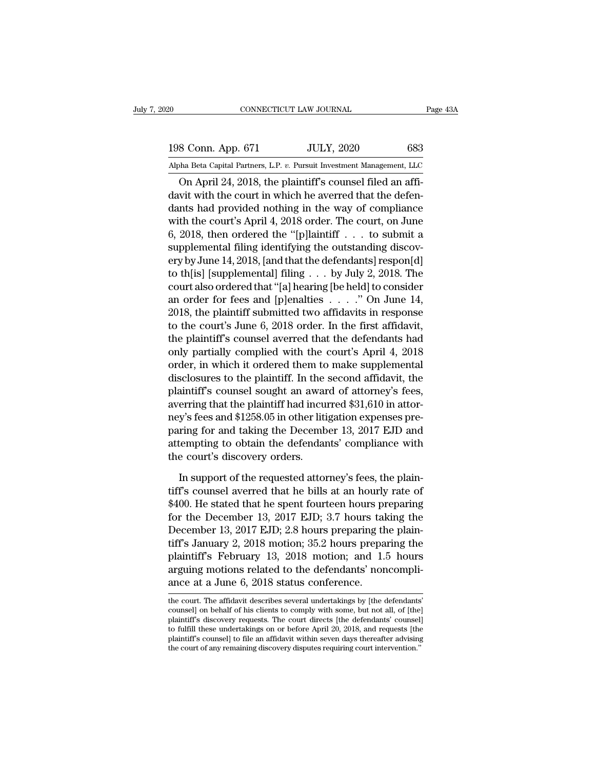## 20 CONNECTICUT LAW JOURNAL Page 43A<br>198 Conn. App. 671 JULY, 2020 683<br>Alpha Beta Capital Partners, L.P. v. Pursuit Investment Management, LLC Valy 7, 2020 CONNECTICUT LAW JOURNAL Page 43A<br>
198 Conn. App. 671 JULY, 2020 683<br>
Alpha Beta Capital Partners, L.P. *v.* Pursuit Investment Management, LLC<br>
On April 24, 2018, the plaintiff's counsel filed an affi-

CONNECTICUT LAW JOURNAL<br>
8 Conn. App. 671 JULY, 2020 683<br>
TULY, 2020 683<br>
Tha Beta Capital Partners, L.P. v. Pursuit Investment Management, LLC<br>
On April 24, 2018, the plaintiff's counsel filed an affi-<br>
with the court in 198 Conn. App. 671 JULY, 2020 683<br>
Alpha Beta Capital Partners, L.P. v. Pursuit Investment Management, LLC<br>
On April 24, 2018, the plaintiff's counsel filed an affi-<br>
davit with the court in which he averred that the defen 198 Conn. App. 671 JULY, 2020 683<br>
Alpha Beta Capital Partners, L.P. v. Pursuit Investment Management, LLC<br>
On April 24, 2018, the plaintiff's counsel filed an affi-<br>
davit with the court in which he averred that the defe 198 Conn. App. 671 JULY, 2020 683<br>
Alpha Beta Capital Partners, L.P. v. Pursuit Investment Management, LLC<br>
On April 24, 2018, the plaintiff's counsel filed an affi-<br>
davit with the court in which he averred that the defe Alpha Beta Capital Partners, L.P. v. Pursuit Investment Management, LLC<br>
On April 24, 2018, the plaintiff's counsel filed an affi-<br>
davit with the court in which he averred that the defen-<br>
dants had provided nothing in t supplemental filing identifying the distanding discovery by June 14, 2018, [and that the defendants had provided nothing in the way of compliance with the court's April 4, 2018 order. The court, on June 6, 2018, then orde On April 24, 2018, the plaintiff's counsel filed an affi-<br>davit with the court in which he averred that the defen-<br>dants had provided nothing in the way of compliance<br>with the court's April 4, 2018 order. The court, on Ju davit with the court in which he averred that the defen-<br>dants had provided nothing in the way of compliance<br>with the court's April 4, 2018 order. The court, on June<br>6, 2018, then ordered the "[p]laintiff . . . . to submit dants had provided nothing in the way of compliance<br>with the court's April 4, 2018 order. The court, on June<br>6, 2018, then ordered the "[p]laintiff . . . . to submit a<br>supplemental filing identifying the outstanding disco with the court's April 4, 2018 order. The court, on June 6, 2018, then ordered the "[p]laintiff . . . to submit a supplemental filing identifying the outstanding discovery by June 14, 2018, [and that the defendants] respo 6, 2018, then ordered the "[p][aintiff  $\ldots$  to submit a<br>supplemental filing identifying the outstanding discov-<br>ery by June 14, 2018, [and that the defendants] respon[d]<br>to th[is] [supplemental] filing  $\ldots$  by July 2, 2 supplemental filing identifying the outstanding discovery by June 14, 2018, [and that the defendants] respon[d]<br>to th[is] [supplemental] filing . . . by July 2, 2018. The<br>court also ordered that "[a] hearing [be held] to c ery by June 14, 2018, [and that the defendants] respon[d]<br>to th[is] [supplemental] filing  $\ldots$  by July 2, 2018. The<br>court also ordered that "[a] hearing [be held] to consider<br>an order for fees and [p]enalties  $\ldots$ ." On to th[is] [supplemental] filing  $\ldots$  by July 2, 2018. The<br>court also ordered that "[a] hearing [be held] to consider<br>an order for fees and [p]enalties  $\ldots$ ." On June 14,<br>2018, the plaintiff submitted two affidavits in r court also ordered that "[a] hearing [be held] to consider<br>an order for fees and [p]enalties  $\dots$ ." On June 14,<br>2018, the plaintiff submitted two affidavits in response<br>to the court's June 6, 2018 order. In the first affi an order for fees and [p]enalties  $\ldots$  ... ..." On June 14,<br>2018, the plaintiff submitted two affidavits in response<br>to the court's June 6, 2018 order. In the first affidavit,<br>the plaintiff's counsel averred that the def 2018, the plaintiff submitted two affidavits in response<br>to the court's June 6, 2018 order. In the first affidavit,<br>the plaintiff's counsel averred that the defendants had<br>only partially complied with the court's April 4, to the court's June 6, 2018 order. In the first affidavit,<br>the plaintiff's counsel averred that the defendants had<br>only partially complied with the court's April 4, 2018<br>order, in which it ordered them to make supplementa the plaintiff's counsel averred that the defendants had<br>only partially complied with the court's April 4, 2018<br>order, in which it ordered them to make supplemental<br>disclosures to the plaintiff. In the second affidavit, the only partially complied with the court's April 4, 2018<br>order, in which it ordered them to make supplemental<br>disclosures to the plaintiff. In the second affidavit, the<br>plaintiff's counsel sought an award of attorney's fees, order, in which it ordered them to make supplemental<br>disclosures to the plaintiff. In the second affidavit, the<br>plaintiff's counsel sought an award of attorney's fees,<br>averring that the plaintiff had incurred \$31,610 in at disclosures to the plaintiff. In the<br>plaintiff's counsel sought an awar<br>averring that the plaintiff had incu<br>ney's fees and \$1258.05 in other liti<br>paring for and taking the Decemb<br>attempting to obtain the defendar<br>the cour erring that the plaintiff had incurred \$31,610 in attor-<br>y's fees and \$1258.05 in other litigation expenses pre-<br>ring for and taking the December 13, 2017 EJD and<br>tempting to obtain the defendants' compliance with<br>e court' ney's fees and \$1258.05 in other litigation expenses pre-<br>paring for and taking the December 13, 2017 EJD and<br>attempting to obtain the defendants' compliance with<br>the court's discovery orders.<br>In support of the requested a

paring for and taking the December 13, 2017 EJD and<br>attempting to obtain the defendants' compliance with<br>the court's discovery orders.<br>In support of the requested attorney's fees, the plain-<br>tiff's counsel averred that he attempting to obtain the defendants' compliance with<br>the court's discovery orders.<br>In support of the requested attorney's fees, the plain-<br>tiff's counsel averred that he bills at an hourly rate of<br>\$400. He stated that he s the court's discovery orders.<br>
In support of the requested attorney's fees, the plaintiff's counsel averred that he bills at an hourly rate of<br>
\$400. He stated that he spent fourteen hours preparing<br>
for the December 13, 2 In support of the requested attorney's fees, the plaintiff's counsel averred that he bills at an hourly rate of \$400. He stated that he spent fourteen hours preparing for the December 13, 2017 EJD; 3.7 hours taking the Dec In support of the requested attorney's fees, the plain-<br>tiff's counsel averred that he bills at an hourly rate of<br>\$400. He stated that he spent fourteen hours preparing<br>for the December 13, 2017 EJD; 3.7 hours taking the<br> tiff's counsel averred that he bills at an hourly rate of \$400. He stated that he spent fourteen hours preparing for the December 13, 2017 EJD; 3.7 hours taking the December 13, 2017 EJD; 2.8 hours preparing the plaintiff' \$400. He stated that he spent fourteen hours pro<br>for the December 13, 2017 EJD; 3.7 hours tal<br>December 13, 2017 EJD; 2.8 hours preparing th<br>tiff's January 2, 2018 motion; 35.2 hours prepa<br>plaintiff's February 13, 2018 moti the court. The affidavit describes several undertakings by [the defendants' noncompliance at a June 6, 2018 status conference.<br>The court. The affidavit describes several undertakings by [the defendants' noncompliance at a plaintiff's February 13, 2018 motion; and 1.5 hours<br>arguing motions related to the defendants' noncompli-<br>ance at a June 6, 2018 status conference.<br>the court. The affidavit describes several undertakings by [the defendants

arguing motions related to the defendants' noncompli-<br>ance at a June 6, 2018 status conference.<br>the court The affidavit describes several undertakings by [the defendants'<br>counsel] on behalf of his clients to comply with so arguing motions related to the defendants honcompi-<br>ance at a June 6, 2018 status conference.<br>the court. The affidavit describes several undertakings by [the defendants'<br>counsel] on behalf of his clients to comply with som ance at a June 6, 2018 status conference.<br>
the court. The affidavit describes several undertakings by [the defendants'<br>
counsel] on behalf of his clients to comply with some, but not all, of [the]<br>
plaintiff's discovery r the court. The affidavit describes several undertakings by [the defendants' counsel] on behalf of his clients to comply with some, but not all, of [the] plaintiff's discovery requests. The court directs [the defendants' co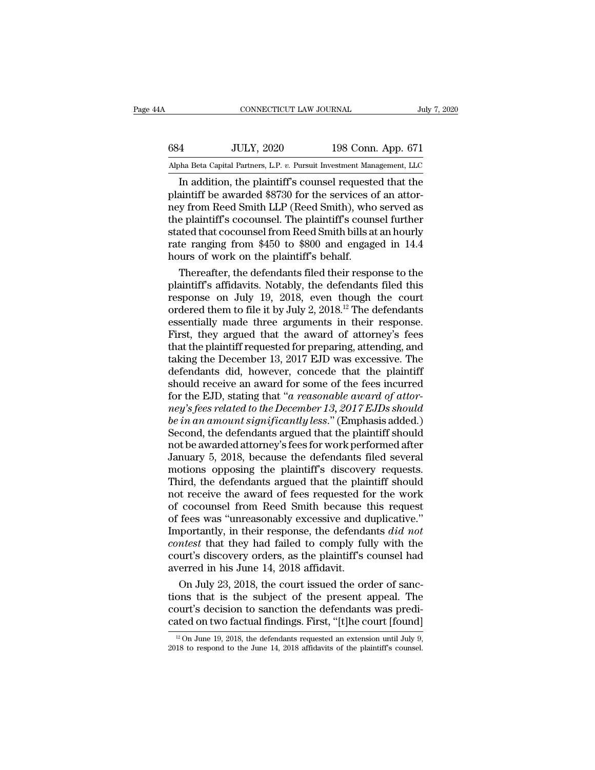|     | CONNECTICUT LAW JOURNAL                                                 |                    | July 7, 2020 |
|-----|-------------------------------------------------------------------------|--------------------|--------------|
| 684 | <b>JULY, 2020</b>                                                       | 198 Conn. App. 671 |              |
|     | Alpha Beta Capital Partners, L.P. v. Pursuit Investment Management, LLC |                    |              |
|     | In addition, the plaintiff's counsel requested that the                 |                    |              |

CONNECTICUT LAW JOURNAL July 7, 2020<br>
198 Conn. App. 671<br>
In addition, the plaintiff's counsel requested that the<br>
limitiff be awarded \$8730 for the services of an attor-<br>
Express from Bood Smith LLP (Bood Smith), who serv For the avarded \$8730 for the services of an attor-<br>plaintiff be awarded \$8730 for the services of an attor-<br>plaintiff be awarded \$8730 for the services of an attor-<br>the plaintiff's cocounsel. The plaintiff's counsel furth  $198$  Conn. App. 671<br>
Alpha Beta Capital Partners, L.P. v. Pursuit Investment Management, LLC<br>
In addition, the plaintiff's counsel requested that the<br>
plaintiff be awarded \$8730 for the services of an attor-<br>
ney from Re  $t_{\rm 5}$  JULY, 2020 198 Conn. App. 671<br>  $t_{\rm 4}$  Alpha Beta Capital Partners, L.P. v. Pursuit Investment Management, LLC<br>
In addition, the plaintiff's counsel requested that the<br>
plaintiff be awarded \$8730 for the servi State Cocounting and South Pays and South Pays and Alpha Beta Capital Partners, L.P. v. Pursuit Investment Management, LLC<br>
In addition, the plaintiff's counsel requested that the<br>
plaintiff be awarded \$8730 for the servic Alpha Beta Capital Partners, L.P. v. Pursuit Investment Management, LLC<br>
In addition, the plaintiff's counsel requested that the<br>
plaintiff be awarded \$8730 for the services of an attor-<br>
ney from Reed Smith LLP (Reed Smit In addition, the plaintiff's counsel requester plaintiff be awarded \$8730 for the services of ney from Reed Smith LLP (Reed Smith), who the plaintiff's cocounsel. The plaintiff's counstated that cocounsel from Reed Smith b in the awarded \$8730 for the services of an attor-<br>y from Reed Smith LLP (Reed Smith), who served as<br>e plaintiff's cocounsel. The plaintiff's counsel further<br>tated that cocounsel from Reed Smith bills at an hourly<br>te rangi ney from Reed Smith LLP (Reed Smith), who served as<br>the plaintiff's cocounsel. The plaintiff's counsel further<br>stated that cocounsel from Reed Smith bills at an hourly<br>rate ranging from \$450 to \$800 and engaged in 14.4<br>hou

the plaintiff's cocounsel. The plaintiff's counsel further<br>stated that cocounsel from Reed Smith bills at an hourly<br>rate ranging from \$450 to \$800 and engaged in 14.4<br>hours of work on the plaintiff's behalf.<br>Thereafter, th stated that cocounsel from Reed Smith bills at an hourly<br>rate ranging from \$450 to \$800 and engaged in 14.4<br>hours of work on the plaintiff's behalf.<br>Thereafter, the defendants filed their response to the<br>plaintiff's affida rate ranging from \$450 to \$800 and engaged in 14.4<br>hours of work on the plaintiff's behalf.<br>Thereafter, the defendants filed their response to the<br>plaintiff's affidavits. Notably, the defendants filed this<br>response on July hours of work on the plaintiff's behalf.<br>
Thereafter, the defendants filed their response to the<br>
plaintiff's affidavits. Notably, the defendants filed this<br>
response on July 19, 2018, even though the court<br>
ordered them Thereafter, the defendants filed their response to the plaintiff's affidavits. Notably, the defendants filed this response on July 19, 2018, even though the court ordered them to file it by July 2, 2018.<sup>12</sup> The defendants plaintiff's affidavits. Notably, the defendants filed this<br>response on July 19, 2018, even though the court<br>ordered them to file it by July 2, 2018.<sup>12</sup> The defendants<br>essentially made three arguments in their response.<br>Fi response on July 19, 2018, even though the court<br>ordered them to file it by July 2, 2018.<sup>12</sup> The defendants<br>essentially made three arguments in their response.<br>First, they argued that the award of attorney's fees<br>that th ordered them to file it by July 2, 2018.<sup>12</sup> The defendants<br>essentially made three arguments in their response.<br>First, they argued that the award of attorney's fees<br>that the plaintiff requested for preparing, attending, a essentially made three arguments in their response.<br>First, they argued that the award of attorney's fees<br>that the plaintiff requested for preparing, attending, and<br>taking the December 13, 2017 EJD was excessive. The<br>defend First, they argued that the award of attorney's fees<br>that the plaintiff requested for preparing, attending, and<br>taking the December 13, 2017 EJD was excessive. The<br>defendants did, however, concede that the plaintiff<br>should that the plaintiff requested for preparing, attending, and<br>taking the December 13, 2017 EJD was excessive. The<br>defendants did, however, concede that the plaintiff<br>should receive an award for some of the fees incurred<br>for t taking the December 13, 2017 EJD was excessive. The<br>defendants did, however, concede that the plaintiff<br>should receive an award for some of the fees incurred<br>for the EJD, stating that "a reasonable award of attor-<br>ney's f defendants did, however, concede that the plaintiff<br>should receive an award for some of the fees incurred<br>for the EJD, stating that "a *reasonable award of attor-<br>ney's fees related to the December 13, 2017 EJDs should<br>be* should receive an award for some of the fees incurred<br>for the EJD, stating that "*a reasonable award of attor-*<br>*ney's fees related to the December 13, 2017 EJDs should*<br>*be in an amount significantly less.*" (Emphasis add for the EJD, stating that "a reasonable award of attor-<br>mey's fees related to the December 13, 2017 EJDs should<br>be in an amount significantly less." (Emphasis added.)<br>Second, the defendants argued that the plaintiff shoul mey's fees related to the December 13, 2017 EJDs should<br>be in an amount significantly less." (Emphasis added.)<br>Second, the defendants argued that the plaintiff should<br>not be awarded attorney's fees for work performed after be in an amount significantly less." (Emphasis added.)<br>Second, the defendants argued that the plaintiff should<br>not be awarded attorney's fees for work performed after<br>January 5, 2018, because the defendants filed several<br>m Second, the defendants argued that the plaintiff should<br>not be awarded attorney's fees for work performed after<br>January 5, 2018, because the defendants filed several<br>motions opposing the plaintiff's discovery requests.<br>Thi not be awarded attorney's fees for work performed after<br>January 5, 2018, because the defendants filed several<br>motions opposing the plaintiff's discovery requests.<br>Third, the defendants argued that the plaintiff should<br>not January 5, 2018, because the defendants filed several<br>motions opposing the plaintiff's discovery requests.<br>Third, the defendants argued that the plaintiff should<br>not receive the award of fees requested for the work<br>of coco motions opposing the plaintiff's discovery requests.<br>Third, the defendants argued that the plaintiff should<br>not receive the award of fees requested for the work<br>of cocounsel from Reed Smith because this request<br>of fees was Third, the defendants argued that the plaintiff should<br>not receive the award of fees requested for the work<br>of cocounsel from Reed Smith because this request<br>of fees was "unreasonably excessive and duplicative."<br>Importantl not receive the award of fees requested for of cocounsel from Reed Smith because tof fees was "unreasonably excessive and delingtor in the metally in their response, the defendancent that they had failed to comply full cou cocounsel from Reed Smith because this request<br>fees was "unreasonably excessive and duplicative."<br>portantly, in their response, the defendants *did not*<br>*ntest* that they had failed to comply fully with the<br>urt's discovery of fees was "unreasonably excessive and duplicative."<br>Importantly, in their response, the defendants *did not*<br>contest that they had failed to comply fully with the<br>court's discovery orders, as the plaintiff's counsel had<br>

Importantly, in their response, the defendants *did not*<br>contest that they had failed to comply fully with the<br>court's discovery orders, as the plaintiff's counsel had<br>averred in his June 14, 2018 affidavit.<br>On July 23, 20 contest that they had failed to comply fully with the court's discovery orders, as the plaintiff's counsel had averred in his June 14, 2018 affidavit.<br>On July 23, 2018, the court issued the order of sanctions that is the On July 23, 2018, the court issued the order of sanc-<br>ons that is the subject of the present appeal. The<br>ourt's decision to sanction the defendants was predi-<br>ated on two factual findings. First, "[t]he court [found]<br> $\frac{$ tions that is the subject of the present appeal. The court's decision to sanction the defendants was predicated on two factual findings. First, "[t]he court [found]  $\frac{12 \text{ On June 19, 2018}}{2018 \text{ to respond to the June 14, 2018 affidavits of the plaintiff's course}}$ .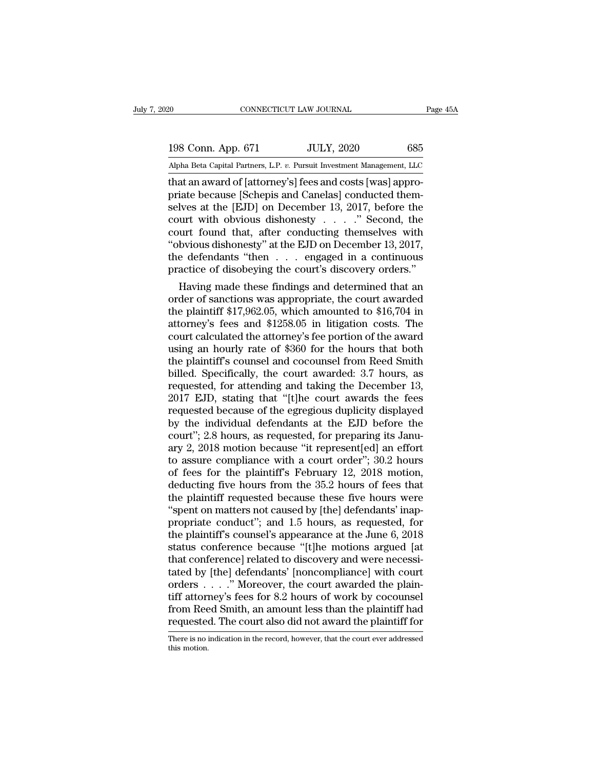20 CONNECTICUT LAW JOURNAL Page 45A<br>198 Conn. App. 671 JULY, 2020 685<br>Alpha Beta Capital Partners, L.P. v. Pursuit Investment Management, LLC

Valy 7, 2020 CONNECTICUT LAW JOURNAL Page 45A<br>
198 Conn. App. 671 JULY, 2020 685<br>
Alpha Beta Capital Partners, L.P. *v.* Pursuit Investment Management, LLC<br>
that an award of [attorney's] fees and costs [was] appro-EXECUTE AN JOURNAL<br>
198 Conn. App. 671 JULY, 2020 685<br>
Alpha Beta Capital Partners, L.P. v. Pursuit Investment Management, LLC<br>
that an award of [attorney's] fees and costs [was] appro-<br>
priate because [Schepis and Canelas 198 Conn. App. 671 JULY, 2020 685<br>
Alpha Beta Capital Partners, L.P. v. Pursuit Investment Management, LLC<br>
that an award of [attorney's] fees and costs [was] appro-<br>
priate because [Schepis and Canelas] conducted them-<br>
s 198 Conn. App. 671 JULY, 2020 685<br>Alpha Beta Capital Partners, L.P. v. Pursuit Investment Management, LLC<br>that an award of [attorney's] fees and costs [was] appro-<br>priate because [Schepis and Canelas] conducted them-<br>selv 198 Conn. App. 671 JULY, 2020 685<br>
Alpha Beta Capital Partners, L.P. v. Pursuit Investment Management, LLC<br>
that an award of [attorney's] fees and costs [was] appro-<br>
priate because [Schepis and Canelas] conducted them-<br>
s Alpha Beta Capital Partners, L.P. v. Pursuit Investment Management, LLC<br>that an award of [attorney's] fees and costs [was] appro-<br>priate because [Schepis and Canelas] conducted them-<br>selves at the [EJD] on December 13, 201 Alpha Beta Capital Partners, L.P. v. Pursuit Investment Management, LLC<br>
that an award of [attorney's] fees and costs [was] appro-<br>
priate because [Schepis and Canelas] conducted them-<br>
selves at the [EJD] on December 13, that an award of [attorney's] fees and costs [was] appro-<br>priate because [Schepis and Canelas] conducted them-<br>selves at the [EJD] on December 13, 2017, before the<br>court with obvious dishonesty . . . . . " Second, the<br>cour priate because [Schepis and Canelas] conducted themselves at the [EJD] on December 13, 2017, before the court with obvious dishonesty  $\ldots$ ." Second, the court found that, after conducting themselves with "obvious dishone Having made these findings and determined to \$16.704 in point of a plaintiff \$17.962.05 which and determined that an algorithm of sanctions was appropriate, the court awarded a plaintiff \$17.962.05 which anounted to \$16.7 court with obvious dishonesty  $\ldots$  Second, the<br>court found that, after conducting themselves with<br>"obvious dishonesty" at the EJD on December 13, 2017,<br>the defendants "then  $\ldots$  engaged in a continuous<br>practice of disob

court round that, arter conducting themselves with<br>
"obvious dishonesty" at the EJD on December 13, 2017,<br>
the defendants "then  $\ldots$  engaged in a continuous<br>
practice of disobeying the court's discovery orders."<br>
Having "obvious dishonesty" at the EJD on December 13, 2017,<br>the defendants "then  $\dots$  engaged in a continuous<br>practice of disobeying the court's discovery orders."<br>Having made these findings and determined that an<br>order of sanc the detendants "then  $\ldots$  engaged in a continuous<br>practice of disobeying the court's discovery orders."<br>Having made these findings and determined that an<br>order of sanctions was appropriate, the court awarded<br>the plaintif practice of disobeying the court's discovery orders."<br>Having made these findings and determined that an<br>order of sanctions was appropriate, the court awarded<br>the plaintiff \$17,962.05, which amounted to \$16,704 in<br>attorney' Having made these findings and determined that an<br>order of sanctions was appropriate, the court awarded<br>the plaintiff \$17,962.05, which amounted to \$16,704 in<br>attorney's fees and \$1258.05 in litigation costs. The<br>court cal order of sanctions was appropriate, the court awarded<br>the plaintiff \$17,962.05, which amounted to \$16,704 in<br>attorney's fees and \$1258.05 in litigation costs. The<br>court calculated the attorney's fee portion of the award<br>us the plaintiff \$17,962.05, which amounted to \$16,704 in attorney's fees and \$1258.05 in litigation costs. The court calculated the attorney's fee portion of the award using an hourly rate of \$360 for the hours that both the attorney's fees and \$1258.05 in litigation costs. The<br>court calculated the attorney's fee portion of the award<br>using an hourly rate of \$360 for the hours that both<br>the plaintiff's counsel and cocounsel from Reed Smith<br>bill court calculated the attorney's fee portion of the award<br>using an hourly rate of \$360 for the hours that both<br>the plaintiff's counsel and cocounsel from Reed Smith<br>billed. Specifically, the court awarded: 3.7 hours, as<br>req using an hourly rate of \$360 for the hours that both<br>the plaintiff's counsel and cocounsel from Reed Smith<br>billed. Specifically, the court awarded: 3.7 hours, as<br>requested, for attending and taking the December 13,<br>2017 EJ the plaintiff's counsel and cocounsel from Reed Smith<br>billed. Specifically, the court awarded: 3.7 hours, as<br>requested, for attending and taking the December 13,<br>2017 EJD, stating that "[t]he court awards the fees<br>requeste billed. Specifically, the court awarded: 3.7 hours, as<br>requested, for attending and taking the December 13,<br>2017 EJD, stating that "[t]he court awards the fees<br>requested because of the egregious duplicity displayed<br>by the requested, for attending and taking the December 13,<br>2017 EJD, stating that "[t]he court awards the fees<br>requested because of the egregious duplicity displayed<br>by the individual defendants at the EJD before the<br>court"; 2.8 2017 EJD, stating that "[t]he court awards the fees<br>requested because of the egregious duplicity displayed<br>by the individual defendants at the EJD before the<br>court"; 2.8 hours, as requested, for preparing its Janu-<br>ary 2, requested because of the egregious duplicity displayed<br>by the individual defendants at the EJD before the<br>court"; 2.8 hours, as requested, for preparing its Janu-<br>ary 2, 2018 motion because "it represent[ed] an effort<br>to a by the individual defendants at the EJD before the<br>court"; 2.8 hours, as requested, for preparing its Janu-<br>ary 2, 2018 motion because "it represent[ed] an effort<br>to assure compliance with a court order"; 30.2 hours<br>of fee court"; 2.8 hours, as requested, for preparing its January 2, 2018 motion because "it represent[ed] an effort<br>to assure compliance with a court order"; 30.2 hours<br>of fees for the plaintiff's February 12, 2018 motion,<br>deduc ary 2, 2018 motion because "it represent[ed] an effort<br>to assure compliance with a court order"; 30.2 hours<br>of fees for the plaintiff's February 12, 2018 motion,<br>deducting five hours from the 35.2 hours of fees that<br>the pl to assure compliance with a court order"; 30.2 hours<br>of fees for the plaintiff's February 12, 2018 motion,<br>deducting five hours from the 35.2 hours of fees that<br>the plaintiff requested because these five hours were<br>"spent of fees for the plaintiff's February 12, 2018 motion,<br>deducting five hours from the 35.2 hours of fees that<br>the plaintiff requested because these five hours were<br>"spent on matters not caused by [the] defendants' inap-<br>prop deducting five hours from the 35.2 hours of fees that<br>the plaintiff requested because these five hours were<br>"spent on matters not caused by [the] defendants' inap-<br>propriate conduct"; and 1.5 hours, as requested, for<br>the p the plaintiff requested because these five hours were<br>"spent on matters not caused by [the] defendants' inap-<br>propriate conduct"; and 1.5 hours, as requested, for<br>the plaintiff's counsel's appearance at the June 6, 2018<br>s "spent on matters not caused by [the] defendants' inappropriate conduct"; and 1.5 hours, as requested, for the plaintiff's counsel's appearance at the June 6, 2018 status conference because "[t]he motions argued [at that propriate conduct"; and 1.5 hours, as requested, for<br>the plaintiff's counsel's appearance at the June 6, 2018<br>status conference because "[t]he motions argued [at<br>that conference] related to discovery and were necessi-<br>tate the plaintiff's counsel's appearance at the June 6, 2018<br>status conference because "[t]he motions argued [at<br>that conference] related to discovery and were necessi-<br>tated by [the] defendants' [noncompliance] with court<br>ord status conference because "[t]he motions argued [at that conference] related to discovery and were necessitated by [the] defendants' [noncompliance] with court orders . . . . " Moreover, the court awarded the plaintiff att orders . . . ." Moreover, the court awarded the plaintiff attorney's fees for 8.2 hours of work by cocounsel from Reed Smith, an amount less than the plaintiff had requested. The court also did not award the plaintiff for tiff attorn<br>from Ree<br>requestee<br>There is no i<br>this motion.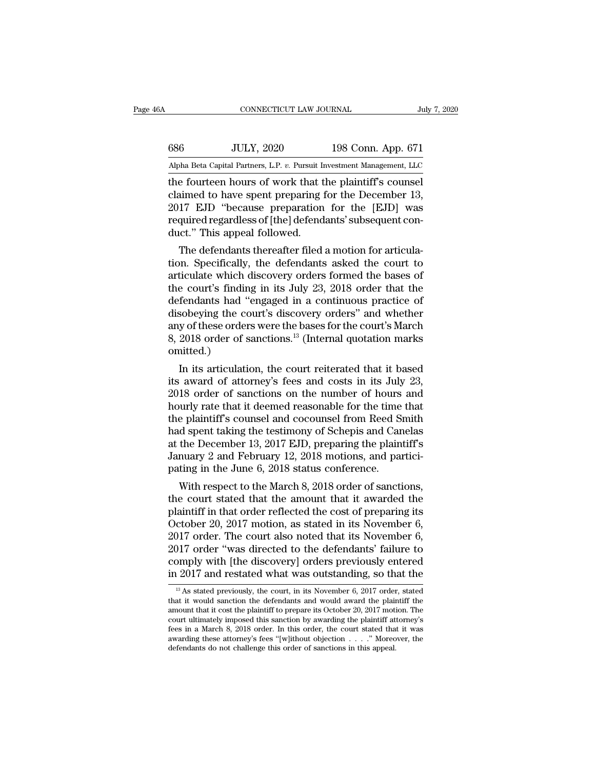|     | CONNECTICUT LAW JOURNAL                                                 |                    | July 7, 2020 |
|-----|-------------------------------------------------------------------------|--------------------|--------------|
| 686 | <b>JULY, 2020</b>                                                       | 198 Conn. App. 671 |              |
|     | Alpha Beta Capital Partners, L.P. v. Pursuit Investment Management, LLC |                    |              |
|     | the fourteen hours of work that the plaintiff's counsel                 |                    |              |

the fourteen hours of work that the plaintiff's counsel of the fourteen hours of work that the plaintiff's counsel<br>the fourteen hours of work that the plaintiff's counsel<br>claimed to have spent preparing for the December 13 Claimed to have spent preparition for the [EJD] was<br>claimed to have spent preparing for the December 13,<br>2017 EJD "because preparation for the [EJD] was<br>convined regardless of [the] defendants' subsequent con  $\frac{300}{\text{A}pha \text{ Beta Capital Partners, L.P. } v. \text{ Pursuit Investment Management, LLC}}$ <br>
the fourteen hours of work that the plaintiff's counsel<br>
claimed to have spent preparing for the December 13,<br>
2017 EJD "because preparation for the [EJD] was<br>
required regardle Fightandorum 198 Conn. App. 671<br>Alpha Beta Capital Partners, L.P. v. Pursuit Investment Management, LLC<br>the fourteen hours of work that the plaintiff's counsel<br>claimed to have spent preparing for the December 13,<br>2017 EJD Alpha Beta Capital Partners, L.P. v. Pursuit In<br>the fourteen hours of work that t<br>claimed to have spent preparing 1<br>2017 EJD "because preparation<br>required regardless of [the] defend<br>duct." This appeal followed.<br>The defenda The defendants of work that the plaintiff's counsel<br>aimed to have spent preparing for the December 13,<br>17 EJD "because preparation for the [EJD] was<br>quired regardless of [the] defendants' subsequent con-<br>nct." This appeal the fourteen hours of work that the plaintin's counser<br>claimed to have spent preparing for the December 13,<br>2017 EJD "because preparation for the [EJD] was<br>required regardless of [the] defendants' subsequent con-<br>duct." Th

claimed to have spent preparing for the December 13,<br>2017 EJD "because preparation for the [EJD] was<br>required regardless of [the] defendants' subsequent con-<br>duct." This appeal followed.<br>The defendants thereafter filed a m 2017 EJD because preparation for the [EJD] was<br>required regardless of [the] defendants' subsequent con-<br>duct." This appeal followed.<br>The defendants thereafter filed a motion for articula-<br>tion. Specifically, the defendants required regardiess of [the] defendants subsequent con-<br>duct." This appeal followed.<br>The defendants thereafter filed a motion for articula-<br>tion. Specifically, the defendants asked the court to<br>articulate which discovery o duct. This appear ionowed.<br>The defendants thereafter filed a motion for articula-<br>tion. Specifically, the defendants asked the court to<br>articulate which discovery orders formed the bases of<br>the court's finding in its July The defendants thereafter filed a motion for articulation. Specifically, the defendants asked the court to articulate which discovery orders formed the bases of the court's finding in its July 23, 2018 order that the defen tion. Specifically, the defendants asked the court to articulate which discovery orders formed the bases of the court's finding in its July 23, 2018 order that the defendants had "engaged in a continuous practice of disobe omitted.) Example 18 and the court's infinity and the fendants had "engaged in a continuous practice of sobeying the court's discovery orders" and whether y of these orders were the bases for the court's March 2018 order of sanction defendants had engaged in a continuous practice of<br>disobeying the court's discovery orders" and whether<br>any of these orders were the bases for the court's March<br>8, 2018 order of sanctions.<sup>13</sup> (Internal quotation marks<br>omi

disobeying the court's discovery orders and whether<br>any of these orders were the bases for the court's March<br>8, 2018 order of sanctions.<sup>13</sup> (Internal quotation marks<br>omitted.)<br>In its articulation, the court reiterated tha any of these orders were the bases for the court s March<br>8, 2018 order of sanctions.<sup>13</sup> (Internal quotation marks<br>omitted.)<br>In its articulation, the court reiterated that it based<br>its award of attorney's fees and costs in be plantiff's counsel and cocounsel and cocounsel and conduct that it based<br>its award of attorney's fees and costs in its July 23,<br>2018 order of sanctions on the number of hours and<br>hourly rate that it deemed reasonable f In its articulation, the court reiterated that it based<br>its award of attorney's fees and costs in its July 23,<br>2018 order of sanctions on the number of hours and<br>hourly rate that it deemed reasonable for the time that<br>the In its articulation, the court reiterated that it based<br>its award of attorney's fees and costs in its July 23,<br>2018 order of sanctions on the number of hours and<br>hourly rate that it deemed reasonable for the time that<br>the its award of attorney's fees and costs in its July 23,<br>2018 order of sanctions on the number of hours and<br>hourly rate that it deemed reasonable for the time that<br>the plaintiff's counsel and cocounsel from Reed Smith<br>had sp 2018 order of sanctions on the number of hours<br>hourly rate that it deemed reasonable for the time<br>the plaintiff's counsel and cocounsel from Reed S:<br>had spent taking the testimony of Schepis and Car<br>at the December 13, 201 e plaintiff's counsel and cocounsel from Reed Smith<br>d spent taking the testimony of Schepis and Canelas<br>the December 13, 2017 EJD, preparing the plaintiff's<br>nuary 2 and February 12, 2018 motions, and partici-<br>ting in the J the plaintiff s courser and cocounser from Reed Shifth<br>had spent taking the testimony of Schepis and Canelas<br>at the December 13, 2017 EJD, preparing the plaintiff's<br>January 2 and February 12, 2018 motions, and partici-<br>pat

rad spent taking the testimony of Schepis and Canelas<br>at the December 13, 2017 EJD, preparing the plaintiff's<br>January 2 and February 12, 2018 motions, and partici-<br>pating in the June 6, 2018 status conference.<br>With respect at the December 13, 2017 EJD, preparing the plaintin's<br>January 2 and February 12, 2018 motions, and partici-<br>pating in the June 6, 2018 status conference.<br>With respect to the March 8, 2018 order of sanctions,<br>the court sta January 2 and February 12, 2018 motions, and participating in the June 6, 2018 status conference.<br>With respect to the March 8, 2018 order of sanctions, the court stated that the amount that it awarded the plaintiff in tha pating in the June 6, 2018 status conference.<br>
With respect to the March 8, 2018 order of sanctions,<br>
the court stated that the amount that it awarded the<br>
plaintiff in that order reflected the cost of preparing its<br>
Octob With respect to the March 8, 2018 order of sanctions,<br>the court stated that the amount that it awarded the<br>plaintiff in that order reflected the cost of preparing its<br>October 20, 2017 motion, as stated in its November 6,<br>2 the court stated that the amount that it awarded the plaintiff in that order reflected the cost of preparing its October 20, 2017 motion, as stated in its November 6, 2017 order. The court also noted that its November 6, 017 order. The court also noted that its November 6, 017 order "was directed to the defendants' failure to omply with [the discovery] orders previously entered a 2017 and restated what was outstanding, so that the  $\frac{13}{$ 2017 order "was directed to the defendants' failure to comply with [the discovery] orders previously entered in 2017 and restated what was outstanding, so that the  $\frac{13}{13}$  As stated previously, the court, in its Novem

comply with [the discovery] orders previously entered<br>in 2017 and restated what was outstanding, so that the<br> $\frac{1}{100}$   $\frac{1}{100}$  and restated what was outstanding, so that the<br>that it would sanction the defendants and comply with [the discovery] orders previously entered<br>in 2017 and restated what was outstanding, so that the<br> $\frac{13}{13}$  As stated previously, the court, in its November 6, 2017 order, stated<br>that it would sanction the de in 2017 and restated what was outstanding, so that the  $\frac{13}{18}$  As stated previously, the court, in its November 6, 2017 order, stated that it would sanction the defendants and would award the plaintiff the amount that <sup>13</sup> As stated previously, the court, in its November 6, 2017 order, stated that it would sanction the defendants and would award the plaintiff the amount that it cost the plaintiff to prepare its October 20, 2017 motion. that it would sanction the defendants and would award the plaintiff the amount that it cost the plaintiff to prepare its October 20, 2017 motion. The court ultimately imposed this sanction by awarding the plaintiff attorn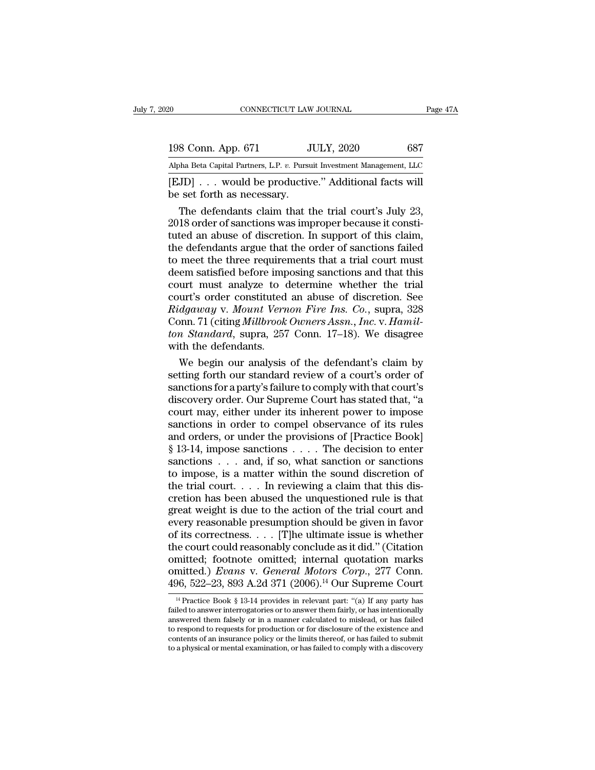| 198 Conn. App. 671 |  | <b>JULY, 2020</b> | 68 |
|--------------------|--|-------------------|----|
|                    |  |                   |    |

20 CONNECTICUT LAW JOURNAL Page 47A<br>198 Conn. App. 671 JULY, 2020 687<br>Alpha Beta Capital Partners, L.P. v. Pursuit Investment Management, LLC Valy 7, 2020 CONNECTICUT LAW JOURNAL Page 47A<br>
198 Conn. App. 671 JULY, 2020 687<br>
Alpha Beta Capital Partners, L.P. *v.* Pursuit Investment Management, LLC<br>
[EJD] . . . would be productive." Additional facts will

EXECUTE EXECUTE LAW JOURNAL Page 4'<br>
198 Conn. App. 671 JULY, 2020 687<br>
Alpha Beta Capital Partners, L.P. v. Pursuit Investment Management, LLC<br>
[EJD] . . . would be productive.'' Additional facts will<br>
be set forth as nec 198 Conn. App. 671 J<br>
Alpha Beta Capital Partners, L.P. v. Pursu<br>
[EJD] . . . would be productiv<br>
be set forth as necessary.<br>
The defendants claim that the

 $\frac{1}{2}$  8 Conn. App. 671 JULY, 2020 687<br>  $\frac{1}{2}$ <br>  $\frac{1}{2}$ <br>  $\frac{1}{2}$ <br>  $\frac{1}{2}$ <br>  $\frac{1}{2}$ <br>  $\frac{1}{2}$ <br>  $\frac{1}{2}$ <br>  $\frac{1}{2}$ <br>  $\frac{1}{2}$ <br>  $\frac{1}{2}$ <br>  $\frac{1}{2}$ <br>  $\frac{1}{2}$ <br>  $\frac{1}{2}$ <br>  $\frac{1}{2}$ <br>  $\frac{1}{2}$ <br>  $\frac{1}{2}$ <br>  $\$ 198 Conn. App. 671 JULY, 2020 687<br>
Alpha Beta Capital Partners, L.P. v. Pursuit Investment Management, LLC<br>
[EJD] . . . would be productive." Additional facts will<br>
be set forth as necessary.<br>
The defendants claim that th Alpha Beta Capital Partners, L.P.  $v$ . Pursuit Investment Management, LLC<br>
[EJD]  $\ldots$  would be productive." Additional facts will<br>
be set forth as necessary.<br>
The defendants claim that the trial court's July 23,<br>
2018 or The defendants are productive." Additional facts will<br>the set forth as necessary.<br>The defendants claim that the trial court's July 23,<br>2018 order of sanctions was improper because it consti-<br>tuted an abuse of discretion. [EJD] . . . would be productive." Additional facts will<br>be set forth as necessary.<br>The defendants claim that the trial court's July 23,<br>2018 order of sanctions was improper because it consti-<br>tuted an abuse of discretion. be set forth as necessary.<br>The defendants claim that the trial court's July 23,<br>2018 order of sanctions was improper because it consti-<br>tuted an abuse of discretion. In support of this claim,<br>the defendants argue that the The defendants claim that the trial court's July 23,<br>2018 order of sanctions was improper because it constituted an abuse of discretion. In support of this claim,<br>the defendants argue that the order of sanctions failed<br>to 2018 order of sanctions was improper because it constituted an abuse of discretion. In support of this claim,<br>the defendants argue that the order of sanctions failed<br>to meet the three requirements that a trial court must<br> tuted an abuse of discretion. In support of this claim,<br>the defendants argue that the order of sanctions failed<br>to meet the three requirements that a trial court must<br>deem satisfied before imposing sanctions and that this<br> the defendants argue that the order of sanctions failed<br>to meet the three requirements that a trial court must<br>deem satisfied before imposing sanctions and that this<br>court must analyze to determine whether the trial<br>court' to meet the three requirements that a trial court must<br>deem satisfied before imposing sanctions and that this<br>court must analyze to determine whether the trial<br>court's order constituted an abuse of discretion. See<br>Ridgaway deem satisfied before imp<br>court must analyze to do<br>court's order constituted<br>Ridgaway v. Mount Vern<br>Conn. 71 (citing Millbrook<br>ton Standard, supra, 257<br>with the defendants.<br>We begin our analysis urt must analyze to determine whether the trial<br>urt's order constituted an abuse of discretion. See<br>dgaway v. Mount Vernon Fire Ins. Co., supra, 328<br>pnn. 71 (citing Millbrook Owners Assn., Inc. v. Hamil-<br>n Standard, supra, court's order constituted an abuse of discretion. See<br> *Ridgaway* v. *Mount Vernon Fire Ins. Co.*, supra, 328<br>
Conn. 71 (citing *Millbrook Owners Assn., Inc.* v. *Hamilton Standard*, supra, 257 Conn. 17–18). We disagree<br>
w

Ridgaway v. Mount Vernon Fire Ins. Co., supra, 328<br>Conn. 71 (citing Millbrook Owners Assn., Inc. v. Hamilton Standard, supra, 257 Conn. 17–18). We disagree<br>with the defendants.<br>We begin our analysis of the defendant's clai Conn. 71 (citing *Millbrook Owners Assn., Inc. v. Hamilton Standard*, supra, 257 Conn. 17–18). We disagree with the defendants.<br>We begin our analysis of the defendant's claim by setting forth our standard review of a court ton *Standard*, supra, 257 Conn. 17–18). We disagree<br>with the defendants.<br>We begin our analysis of the defendant's claim by<br>setting forth our standard review of a court's order of<br>sanctions for a party's failure to comply with the defendants.<br>We begin our analysis of the defendant's claim by<br>setting forth our standard review of a court's order of<br>sanctions for a party's failure to comply with that court's<br>discovery order. Our Supreme Court We begin our analysis of the defendant's claim by<br>setting forth our standard review of a court's order of<br>sanctions for a party's failure to comply with that court's<br>discovery order. Our Supreme Court has stated that, "a<br> setting forth our standard review of a court's order of<br>sanctions for a party's failure to comply with that court's<br>discovery order. Our Supreme Court has stated that, "a<br>court may, either under its inherent power to impos sanctions for a party's failure to comply with that court's<br>discovery order. Our Supreme Court has stated that, "a<br>court may, either under its inherent power to impose<br>sanctions in order to compel observance of its rules<br>a discovery order. Our Supreme Court has stated that, "a<br>court may, either under its inherent power to impose<br>sanctions in order to compel observance of its rules<br>and orders, or under the provisions of [Practice Book]<br>§ 13court may, either under its inherent power to impose<br>sanctions in order to compel observance of its rules<br>and orders, or under the provisions of [Practice Book]<br>§ 13-14, impose sanctions . . . . The decision to enter<br>sanc sanctions in order to compel observance of its rules<br>and orders, or under the provisions of [Practice Book]<br>§ 13-14, impose sanctions  $\dots$  The decision to enter<br>sanctions  $\dots$  and, if so, what sanction or sanctions<br>to imp and orders, or under the provisions of [Practice Book]<br>
§ 13-14, impose sanctions  $\dots$  The decision to enter<br>
sanctions  $\dots$  and, if so, what sanction or sanctions<br>
to impose, is a matter within the sound discretion of<br>
t § 13-14, impose sanctions . . . . The decision to enter sanctions . . . . and, if so, what sanction or sanctions to impose, is a matter within the sound discretion of the trial court. . . . In reviewing a claim that this sanctions . . . and, if so, what sanction or sanctions<br>to impose, is a matter within the sound discretion of<br>the trial court. . . . In reviewing a claim that this dis-<br>cretion has been abused the unquestioned rule is that to impose, is a matter within the sound discretion of<br>the trial court.... In reviewing a claim that this dis-<br>cretion has been abused the unquestioned rule is that<br>great weight is due to the action of the trial court and<br> the trial court.... In reviewing a claim that this discretion has been abused the unquestioned rule is that great weight is due to the action of the trial court and every reasonable presumption should be given in favor of cretion has been abused the unquestioned rule is that<br>great weight is due to the action of the trial court and<br>every reasonable presumption should be given in favor<br>of its correctness. . . . [T]he ultimate issue is whether great weight is due to the action of the trial court and<br>every reasonable presumption should be given in favor<br>of its correctness. . . . [T]he ultimate issue is whether<br>the court could reasonably conclude as it did." (Cit 14 Practice Book § 13-14 provides in relevant part: ''(a) If any party has we field.) Evants v. General Motors Corp., 277 Conn.<br>
14 Practice Book § 13-14 provides in relevant part: ''(a) If any party has lied to answer in omitted; footnote omitted; internal quotation marks<br>omitted.) Evans v. General Motors Corp., 277 Conn.<br>496, 522–23, 893 A.2d 371 (2006).<sup>14</sup> Our Supreme Court<br><sup>14</sup> Practice Book § 13-14 provides in relevant part: "(a) If

omitted.) *Evans* v. *General Motors Corp.*, 277 Conn.<br>496, 522–23, 893 A.2d 371 (2006).<sup>14</sup> Our Supreme Court<br><sup>14</sup> Practice Book § 13-14 provides in relevant part: "(a) If any party has<br>failed to answer interrogatories o 496, 522–23, 893 A.2d 371 (2006).<sup>14</sup> Our Supreme Court<br>
<sup>14</sup> Practice Book § 13-14 provides in relevant part: "(a) If any party has<br>
failed to answer interrogatories or to answer them fairly, or has intentionally<br>
answer  $496, 522-23, 893$  A.2d 371 (2006).<sup>14</sup> Our Supreme Court<br><sup>14</sup> Practice Book § 13-14 provides in relevant part: "(a) If any party has<br>failed to answer interrogatories or to answer them fairly, or has intentionally<br>answere failed to answer interrogatories or to answer them fairly, or has intentionally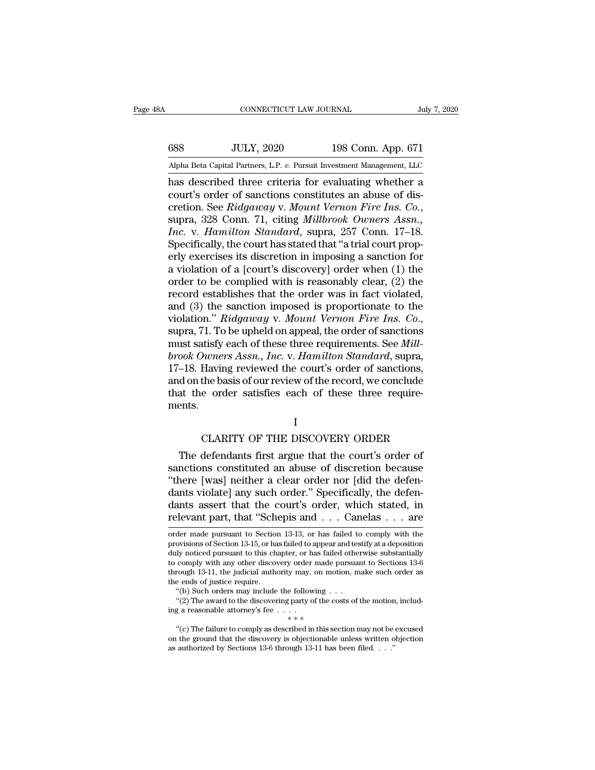EN CONNECTICUT LAW JOURNAL July 7, 2020<br>688 JULY, 2020 198 Conn. App. 671<br>Alpha Beta Capital Partners, L.P. v. Pursuit Investment Management, LLC

CONNECTICUT LAW JOURNAL July 7, 2020<br>
Alpha Beta Capital Partners, L.P. *v.* Pursuit Investment Management, LLC<br>
has described three criteria for evaluating whether a CONNECTICUT LAW JOURNAL July 7, 2020<br>
688 JULY, 2020 198 Conn. App. 671<br>
Alpha Beta Capital Partners, L.P. v. Pursuit Investment Management, LLC<br>
has described three criteria for evaluating whether a<br>
court's order of sanc Court is a capital Partners, L.P. v. Pursuit Investment Management, LLC<br>
Alpha Beta Capital Partners, L.P. v. Pursuit Investment Management, LLC<br>
has described three criteria for evaluating whether a<br>
court's order of sanc Fightangle 198 Conn. App. 671<br>
Alpha Beta Capital Partners, L.P. v. Pursuit Investment Management, LLC<br>
has described three criteria for evaluating whether a<br>
court's order of sanctions constitutes an abuse of dis-<br>
cretio *ISO COMI. Tipp.* 371<br> *ISO COMI. Tipp.* 371<br> *ISO COMI. Tipp.* 371<br> *ISO COMI. Tipp.* 371<br> *ISO COMI. Tipp.* 371<br> *ISO COMI. Tipp.* 371<br> *COMI* COMIC and *ISO COMITAER*<br> *ISO COMITA Standard J. Mount Vernon Fire Ins.* Alpha Beta Capital Partners, L.P. v. Pursuit Investment Management, LLC<br>has described three criteria for evaluating whether a<br>court's order of sanctions constitutes an abuse of dis-<br>cretion. See *Ridgaway* v. Mount Vernon has described three criteria for evaluating whether a<br>court's order of sanctions constitutes an abuse of dis-<br>cretion. See *Ridgaway* v. Mount Vernon Fire Ins. Co.,<br>supra, 328 Conn. 71, citing Millbrook Owners Assn.,<br>Inc. court's order of sanctions constitutes an abuse of discretion. See *Ridgaway* v. *Mount Vernon Fire Ins. Co.*, supra, 328 Conn. 71, citing *Millbrook Owners Assn.*, *Inc.* v. *Hamilton Standard*, supra, 257 Conn. 17–18. Sp cretion. See *Ridgaway* v. *Mount Vernon Fire Ins. Co.*,<br>supra, 328 Conn. 71, citing *Millbrook Owners Assn.*,<br>*Inc.* v. *Hamilton Standard*, supra, 257 Conn. 17–18.<br>Specifically, the court has stated that "a trial court p supra, 328 Conn. 71, citing *Millbrook Owners Assn.*, *Inc.* v. *Hamilton Standard*, supra, 257 Conn. 17–18.<br>Specifically, the court has stated that "a trial court properly exercises its discretion in imposing a sanction f Inc. v. Hamilton Standard, supra, 257 Conn. 17–18.<br>Specifically, the court has stated that "a trial court prop-<br>erly exercises its discretion in imposing a sanction for<br>a violation of a [court's discovery] order when (1) t Specifically, the court has stated that "a trial court properly exercises its discretion in imposing a sanction for<br>a violation of a [court's discovery] order when (1) the<br>order to be complied with is reasonably clear, (2) a violation of a [court's discovery] order when (1) the order to be complied with is reasonably clear, (2) the record establishes that the order was in fact violated, and (3) the sanction imposed is proportionate to the vi order to be complied with is reasonably clear, (2) the record establishes that the order was in fact violated, and (3) the sanction imposed is proportionate to the violation." *Ridgaway* v. *Mount Vernon Fire Ins. Co.*, su record establishes that the order was in fact violated,<br>and (3) the sanction imposed is proportionate to the<br>violation." *Ridgaway* v. *Mount Vernon Fire Ins. Co.*,<br>supra, 71. To be upheld on appeal, the order of sanctions and (3) the sanction imposed is proportionate to the violation." *Ridgaway* v. *Mount Vernon Fire Ins. Co.*, supra, 71. To be upheld on appeal, the order of sanctions must satisfy each of these three requirements. See *Mil* violation." *Ridgaway* v. *Mount Vernon Fire Ins. Co.*, supra, 71. To be upheld on appeal, the order of sanctions must satisfy each of these three requirements. See *Mill-brook Owners Assn., Inc.* v. *Hamilton Standard*, s ments. Expression, The V. Hammon Bandara, sapparation of the court's order of sanctions,<br>the basis of our review of the record, we conclude<br>e order satisfies each of these three require-<br>I<br>CLARITY OF THE DISCOVERY ORDER<br>defendant d on the basis of our review of the record, we conclude<br>at the order satisfies each of these three require-<br>ents.<br>I<br>CLARITY OF THE DISCOVERY ORDER<br>The defendants first argue that the court's order of<br>nctions constituted an

I

that the order satisfies each of these three requirements.<br>
I<br>
CLARITY OF THE DISCOVERY ORDER<br>
The defendants first argue that the court's order of<br>
sanctions constituted an abuse of discretion because<br>
"there [was] neithe I<br>
CLARITY OF THE DISCOVERY ORDER<br>
The defendants first argue that the court's order of<br>
sanctions constituted an abuse of discretion because<br>
"there [was] neither a clear order nor [did the defen-<br>
dants violate] any such I<br>CLARITY OF THE DISCOVERY ORDER<br>The defendants first argue that the court's order of<br>sanctions constituted an abuse of discretion because<br>"there [was] neither a clear order nor [did the defen-<br>dants violate] any such orde CLARITY OF THE DISCOVERY ORDER<br>The defendants first argue that the court's order of<br>sanctions constituted an abuse of discretion because<br>"there [was] neither a clear order nor [did the defen-<br>dants violate] any such order. CLARITY OF THE DISCOVERY ORDER<br>The defendants first argue that the court's order of<br>sanctions constituted an abuse of discretion because<br>"there [was] neither a clear order nor [did the defen-<br>dants violate] any such order "there [was] neither a clear order nor [did the defendants violate] any such order." Specifically, the defendants assert that the court's order, which stated, in relevant part, that "Schepis and  $\ldots$  Canelas  $\ldots$  are or dants violate] any such order." Specifically, the defendants assert that the court's order, which stated, in relevant part, that "Schepis and . . . Canelas . . . are order made pursuant to Section 13-13, or has failed to

Figure 13-11, the judicial authority may, on motion, make such order as<br>
e ends of justice require.<br>
"(b) Such orders may include the following . . .<br>
"(2) The award to the discovering party of the costs of the motion, in the ends of justice require.<br>
"(b) Such orders may include the following . . .<br>
"(2) The award to the discovering party of the costs of the motion, includ-<br>
ing a reasonable attorney's fee . . . .<br>
"(c) The failure to com "(b) Such orders may include the following . . .<br>
"(2) The award to the discovering party of the costs of the motion, including a reasonable attorney's fee . . . .<br>
\*\*\*<br>
"(c) The failure to comply as described in this sec

dualist violate jury steriff order. Specifically, the defect<br>dants assert that the court's order, which stated, in<br>relevant part, that "Schepis and  $\ldots$  Canelas  $\ldots$  are<br>order made pursuant to Section 13-13, or has fail The complement value of the COUTLS Order, which stated, in relevant part, that "Schepis and  $\ldots$  Canelas  $\ldots$  are order made pursuant to Section 13-13, or has failed to comply with the provisions of Section 13-15, or ha relevant part, that "Schepis and  $\ldots$  Canelas  $\ldots$  are<br>order made pursuant to Section 13-13, or has failed to comply with the<br>provisions of Section 13-15, or has failed to appear and testify at a deposition<br>duly noticed order made pursuant to Section<br>provisions of Section 13-15, or ha<br>duly noticed pursuant to this ch<br>to comply with any other discover<br>through 13-11, the judicial auther<br>the ends of justice require.<br>"(b) Such orders may incl der made pursuant to Section 13-13, or has failed to<br>ovisions of Section 13-15, or has failed to appear and tes<br>ly noticed pursuant to this chapter, or has failed other<br>comply with any other discovery order made pursua<br>rou ovisions of Section 13-15, or has failed to appear and testify at a deposition<br>ly noticed pursuant to this chapter, or has failed otherwise substantially<br>comply with any other discovery order made pursuant to Sections 13-6 duly noticed pursuant to this chapter, or has fail<br>to comply with any other discovery order made<br>through 13-11, the judicial authority may, on mo<br>the ends of justice require.<br>"(b) Such orders may include the following<br>."(2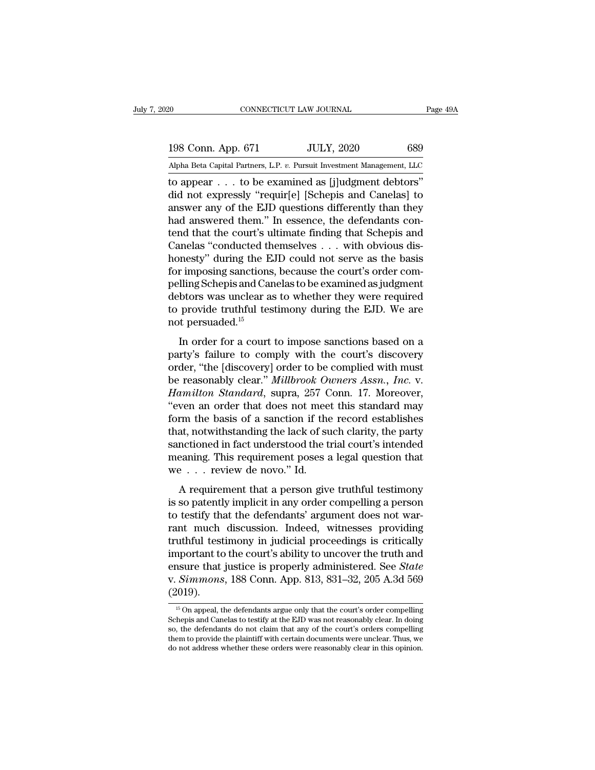20 CONNECTICUT LAW JOURNAL Page 49A<br>198 Conn. App. 671 JULY, 2020 689<br>Alpha Beta Capital Partners, L.P. v. Pursuit Investment Management, LLC

Valy 7, 2020 CONNECTICUT LAW JOURNAL Page 49A<br>
198 Conn. App. 671 JULY, 2020 689<br>
Alpha Beta Capital Partners, L.P. *v.* Pursuit Investment Management, LLC<br>
to appear . . . to be examined as [j]udgment debtors" to appear ... . to be examined as [j]udgment debtors''<br>
dipha Beta Capital Partners, L.P. v. Pursuit Investment Management, LLC<br>
to appear ... . to be examined as [j]udgment debtors''<br>
did not expressly "requir[e] [Schepis 198 Conn. App. 671 JULY, 2020 689<br>
Alpha Beta Capital Partners, L.P. v. Pursuit Investment Management, LLC<br>
to appear . . . to be examined as [j]udgment debtors"<br>
did not expressly "requir[e] [Schepis and Canelas] to<br>
answ 198 Conn. App. 671 JULY, 2020 689<br>Alpha Beta Capital Partners, L.P. v. Pursuit Investment Management, LLC<br>to appear . . . to be examined as [j]udgment debtors"<br>did not expressly "requir[e] [Schepis and Canelas] to<br>answer 198 Conn. App. 671 JULY, 2020 689<br>
Alpha Beta Capital Partners, L.P. v. Pursuit Investment Management, LLC<br>
to appear . . . to be examined as [j]udgment debtors"<br>
did not expressly "requir[e] [Schepis and Canelas] to<br>
answ Alpha Beta Capital Partners, L.P. v. Pursuit Investment Management, LLC<br>to appear . . . to be examined as [j]udgment debtors"<br>did not expressly "requir[e] [Schepis and Canelas] to<br>answer any of the EJD questions differentl Alpha Beta Capital Partners, L.P.  $v$ . Pursuit Investment Management, LLC<br>to appear . . . to be examined as [j]udgment debtors"<br>did not expressly "requir[e] [Schepis and Canelas] to<br>answer any of the EJD questions differe to appear . . . to be examined as [j]udgment debtors"<br>did not expressly "requir[e] [Schepis and Canelas] to<br>answer any of the EJD questions differently than they<br>had answered them." In essence, the defendants con-<br>tend tha did not expressly "requir[e] [Schepis and Canelas] to<br>answer any of the EJD questions differently than they<br>had answered them." In essence, the defendants con-<br>tend that the court's ultimate finding that Schepis and<br>Canela answer any of the EJD questions differently than they<br>had answered them." In essence, the defendants con-<br>tend that the court's ultimate finding that Schepis and<br>Canelas "conducted themselves  $\dots$  with obvious dis-<br>honest had answered them." In essence, the defendants contend that the court's ultimate finding that Schepis and Canelas "conducted themselves  $\dots$  with obvious dishonesty" during the EJD could not serve as the basis for imposin tend that the court's ultimate finding that Schepis and Canelas "conducted themselves . . . with obvious dishonesty" during the EJD could not serve as the basis for imposing sanctions, because the court's order compelling Canelas "conducted th<br>honesty" during the E<br>for imposing sanctions<br>pelling Schepis and Car<br>debtors was unclear a:<br>to provide truthful tes<br>not persuaded.<sup>15</sup><br>In order for a court r imposing sanctions, because the court's order com-<br>Iling Schepis and Canelas to be examined as judgment<br>btors was unclear as to whether they were required<br>provide truthful testimony during the EJD. We are<br>t persuaded.<sup>15</sup> pelling Schepis and Canelas to be examined as judgment<br>debtors was unclear as to whether they were required<br>to provide truthful testimony during the EJD. We are<br>not persuaded.<sup>15</sup><br>In order for a court to impose sanctions

debtors was unclear as to whether they were required<br>to provide truthful testimony during the EJD. We are<br>not persuaded.<sup>15</sup><br>In order for a court to impose sanctions based on a<br>party's failure to comply with the court's d be required to provide truthful testimony during the EJD. We are<br>not persuaded.<sup>15</sup><br>In order for a court to impose sanctions based on a<br>party's failure to comply with the court's discovery<br>order, "the [discovery] order to *Hamilton Standard*, suppresses and the court is the connect provided.<sup>15</sup><br>
In order for a court to impose sanctions based on a<br>
party's failure to comply with the court's discovery<br>
order, "the [discovery] order to be com In order for a court to impose sanctions based on a<br>party's failure to comply with the court's discovery<br>order, "the [discovery] order to be complied with must<br>be reasonably clear." *Millbrook Owners Assn., Inc.* v.<br>*Hamil* In order for a court to impose sanctions based on a<br>party's failure to comply with the court's discovery<br>order, "the [discovery] order to be complied with must<br>be reasonably clear." *Millbrook Owners Assn., Inc.* v.<br>*Hamil* party's failure to comply with the court's discovery<br>order, "the [discovery] order to be complied with must<br>be reasonably clear." *Millbrook Owners Assn., Inc.* v.<br>*Hamilton Standard*, supra, 257 Conn. 17. Moreover,<br>"even order, "the [discovery] order to be complied with must<br>be reasonably clear." *Millbrook Owners Assn., Inc.* v.<br>*Hamilton Standard*, supra, 257 Conn. 17. Moreover,<br>"even an order that does not meet this standard may<br>form th be reasonably clear." *Millbrook Owners Assn., Inc.* v.<br>*Hamilton Standard*, supra, 257 Conn. 17. Moreover, "even an order that does not meet this standard may<br>form the basis of a sanction if the record establishes<br>that, *Hamilton Standard*, supra, 257 C<br>
"even an order that does not mee<br>
form the basis of a sanction if the<br>
that, notwithstanding the lack of su<br>
sanctioned in fact understood the t<br>
meaning. This requirement poses a<br>
we .. For an eract due above the these chased and they<br>from the basis of a sanction if the record establishes<br>at, notwithstanding the lack of such clarity, the party<br>nctioned in fact understood the trial court's intended<br>eaning From the state of a statebold in and become that, notwithstanding the lack of such clarity, the party<br>sanctioned in fact understood the trial court's intended<br>meaning. This requirement poses a legal question that<br>we . . .

sanctioned in fact understood the trial court's intended<br>meaning. This requirement poses a legal question that<br>we  $\dots$  review de novo." Id.<br>A requirement that a person give truthful testimony<br>is so patently implicit in an meaning. This requirement poses a legal question that<br>we  $\ldots$  review de novo." Id.<br>A requirement that a person give truthful testimony<br>is so patently implicit in any order compelling a person<br>to testify that the defendan trustancy Trust Foydram ( $\mu$  is a regard question trust we . . . review de novo." Id.<br>A requirement that a person give truthful testimony<br>is so patently implicit in any order compelling a person<br>to testify that the defen A requirement that a person give truthful testimony<br>is so patently implicit in any order compelling a person<br>to testify that the defendants' argument does not war-<br>rant much discussion. Indeed, witnesses providing<br>truthfu A requirement that a person give truthful testimony<br>is so patently implicit in any order compelling a person<br>to testify that the defendants' argument does not war-<br>rant much discussion. Indeed, witnesses providing<br>truthful is so patently implicit in any order compelling a person<br>to testify that the defendants' argument does not war-<br>rant much discussion. Indeed, witnesses providing<br>truthful testimony in judicial proceedings is critically<br>imp (2019). mportant to the court's ability to uncover the truth and<br>nsure that justice is properly administered. See *State*<br> $Simmons$ , 188 Conn. App. 813, 831–32, 205 A.3d 569<br> $(019)$ .<br><sup>15</sup> On appeal, the defendants argue only that the c ensure that justice is properly administered. See *State*<br>v. *Simmons*, 188 Conn. App. 813, 831–32, 205 A.3d 569<br>(2019).<br><sup>15</sup> On appeal, the defendants argue only that the court's order compelling<br>Schepis and Canelas to te

v. Simmons, 188 Conn. App. 813, 831–32, 205 A.3d 569 (2019).<br>  $\frac{15}{15}$  On appeal, the defendants argue only that the court's order compelling Schepis and Canelas to testify at the EJD was not reasonably clear. In doing (2019).<br>  $(2019)$ .<br>  $^{15}$  On appeal, the defendants argue only that the court's order compelling<br>
Schepis and Canelas to testify at the EJD was not reasonably clear. In doing<br>
so, the defendants do not claim that any of ( $2019$ ).<br><sup>15</sup> On appeal, the defendants argue only that the court's order compelling Schepis and Canelas to testify at the EJD was not reasonably clear. In doing so, the defendants do not claim that any of the court's or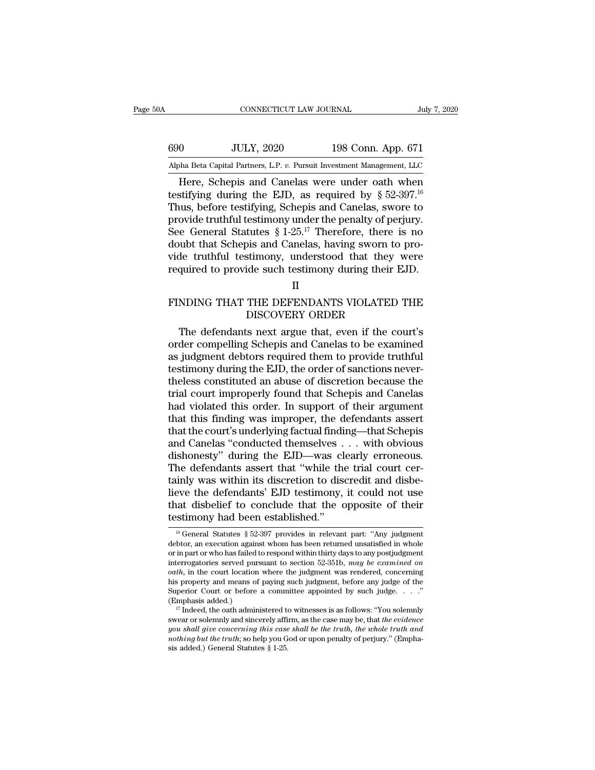|     | CONNECTICUT LAW JOURNAL                                                 |                    | July 7, 2020 |
|-----|-------------------------------------------------------------------------|--------------------|--------------|
| 690 | <b>JULY, 2020</b>                                                       | 198 Conn. App. 671 |              |
|     | Alpha Beta Capital Partners, L.P. v. Pursuit Investment Management, LLC |                    |              |
|     | Here, Schenis and Canelas were under oath when                          |                    |              |

CONNECTICUT LAW JOURNAL July 7, 2020<br>
O JULY, 2020 198 Conn. App. 671<br>
Tha Beta Capital Partners, L.P. v. Pursuit Investment Management, LLC<br>
Here, Schepis and Canelas were under oath when<br>
stifying during the EJD, as requ testifying during the EJD, as required by § 52-397.<sup>16</sup><br>Thus, before testifying during the EJD, as required by § 52-397.<sup>16</sup><br>Thus, before testifying, Schepis and Canelas, swore to<br>provide truthful testimony under the penal  $590$  JULY, 2020 198 Conn. App. 671<br>Alpha Beta Capital Partners, L.P. v. Pursuit Investment Management, LLC<br>Here, Schepis and Canelas, were under oath when<br>testifying during the EJD, as required by § 52-397.<sup>16</sup><br>Thus, bef  $\frac{690}{\text{Alpha Beta Capital Patterns, L.P. } v. \text{ Pursuit Investment Management, LLC}}$ <br>
Here, Schepis and Canelas were under oath when<br>
testifying during the EJD, as required by § 52-397.<sup>16</sup><br>
Thus, before testifying, Schepis and Canelas, swore to<br>
provide truthful testim Alpha Beta Capital Partners, L.P. v. Pursuit Investment Management, LLC<br>
Here, Schepis and Canelas were under oath when<br>
testifying during the EJD, as required by § 52-397.<sup>16</sup><br>
Thus, before testifying, Schepis and Canela Alpha Beta Capital Partners, L.P. v. Pursuit Investment Management, LLC<br>
Here, Schepis and Canelas were under oath when<br>
testifying during the EJD, as required by § 52-397.<sup>16</sup><br>
Thus, before testifying, Schepis and Canela Here, Schepis and Canelas were under oath when<br>testifying during the EJD, as required by § 52-397.<sup>16</sup><br>Thus, before testifying, Schepis and Canelas, swore to<br>provide truthful testimony under the penalty of perjury.<br>See Ge testifying during the EJD, as required by  $\S$  52-397.<sup>16</sup><br>Thus, before testifying, Schepis and Canelas, swore to<br>provide truthful testimony under the penalty of perjury.<br>See General Statutes  $\S$  1-25.<sup>17</sup> Therefore, there From a diality of persons, the persons, the persons, the control of the set of the diality of persons.<br>See General Statutes § 1-25.<sup>17</sup> Therefore, there is no doubt that Schepis and Canelas, having sworn to provide truthfu bis and Canelas, having sworn to p<br>bis and Canelas, having sworn to p<br>stimony, understood that they wide such testimony during their EJ<br>II<br>THE DEFENDANTS VIOLATED T<br>DISCOVERY ORDER<br>s next argue that, even if the cour

II

de truthful testimony, understood that they were<br>quired to provide such testimony during their EJD.<br>II<br>NDING THAT THE DEFENDANTS VIOLATED THE<br>DISCOVERY ORDER<br>The defendants next argue that, even if the court's<br>der compelli required to provide such testimony during their EJD.<br>
II<br>
FINDING THAT THE DEFENDANTS VIOLATED THE<br>
DISCOVERY ORDER<br>
The defendants next argue that, even if the court's<br>
order compelling Schepis and Canelas to be examined<br> II<br>
FINDING THAT THE DEFENDANTS VIOLATED THE<br>
DISCOVERY ORDER<br>
The defendants next argue that, even if the court's<br>
order compelling Schepis and Canelas to be examined<br>
as judgment debtors required them to provide truthful FINDING THAT THE DEFENDANTS VIOLATED THE<br>DISCOVERY ORDER<br>The defendants next argue that, even if the court's<br>order compelling Schepis and Canelas to be examined<br>as judgment debtors required them to provide truthful<br>testimo FINDING THAT THE DEFENDANTS VIOLATED THE<br>DISCOVERY ORDER<br>The defendants next argue that, even if the court's<br>order compelling Schepis and Canelas to be examined<br>as judgment debtors required them to provide truthful<br>testimo DISCOVERY ORDER<br>The defendants next argue that, even if the court's<br>order compelling Schepis and Canelas to be examined<br>as judgment debtors required them to provide truthful<br>testimony during the EJD, the order of sanctions The defendants next argue that, even if the court's<br>order compelling Schepis and Canelas to be examined<br>as judgment debtors required them to provide truthful<br>testimony during the EJD, the order of sanctions never-<br>theless order compelling Schepis and Canelas to be examined<br>as judgment debtors required them to provide truthful<br>testimony during the EJD, the order of sanctions never-<br>theless constituted an abuse of discretion because the<br>trial as judgment debtors required them to provide truthful<br>testimony during the EJD, the order of sanctions never-<br>theless constituted an abuse of discretion because the<br>trial court improperly found that Schepis and Canelas<br>had testimony during the EJD, the order of sanctions never-<br>theless constituted an abuse of discretion because the<br>trial court improperly found that Schepis and Canelas<br>had violated this order. In support of their argument<br>tha theless constituted an abuse of discretion because the<br>trial court improperly found that Schepis and Canelas<br>had violated this order. In support of their argument<br>that this finding was improper, the defendants assert<br>that trial court improperly found that Schepis and Canelas<br>had violated this order. In support of their argument<br>that this finding was improper, the defendants assert<br>that the court's underlying factual finding—that Schepis<br>and had violated this order. In support of their argument<br>that this finding was improper, the defendants assert<br>that the court's underlying factual finding—that Schepis<br>and Canelas "conducted themselves . . . with obvious<br>dish that this finding was improper, the defendants assert<br>that the court's underlying factual finding—that Schepis<br>and Canelas "conducted themselves . . . with obvious<br>dishonesty" during the EJD—was clearly erroneous.<br>The defe that the court's underlying factual finding—that Schepis<br>and Canelas "conducted themselves . . . with obvious<br>dishonesty" during the EJD—was clearly erroneous.<br>The defendants assert that "while the trial court cer-<br>tainly and Canelas "conducted themselves .<br>
dishonesty" during the EJD—was cl<br>
The defendants assert that "while the<br>
tainly was within its discretion to dis<br>
lieve the defendants' EJD testimony,<br>
that disbelief to conclude that tainly was within its discretion to discredit and disbelieve the defendants' EJD testimony, it could not use that disbelief to conclude that the opposite of their testimony had been established."<br> $\frac{16}{16}$  General Statu lieve the defendants' EJD testimony, it could not use<br>that disbelief to conclude that the opposite of their<br>testimony had been established."<br> $\frac{16}{16}$  General Statutes § 52-397 provides in relevant part: "Any judgment<br>d

that disbelief to conclude that the opposite of their<br>testimony had been established."<br> $\frac{16}{16}$  General Statutes § 52-397 provides in relevant part: "Any judgment<br>debtor, an execution against whom has been returned uns that disoener to conclude that the opposite of their<br>testimony had been established."<br> $\frac{16}{16}$  General Statutes § 52-397 provides in relevant part: "Any judgment<br>debtor, an execution against whom has been returned unsa **testimony had been established."**<br>
<sup>16</sup> General Statutes § 52-397 provides in relevant part: "Any judgment debtor, an execution against whom has been returned unsatisfied in whole or in part or who has failed to respond w <sup>16</sup> General Statutes § 52-397 provides in relevant part: "Any judgment debtor, an execution against whom has been returned unsatisfied in whole or in part or who has failed to respond within thirty days to any postjudgme <sup>10</sup> General Statutes § 52-397 provides in relevant part: "Any judgment debtor, an execution against whom has been returned unsatisfied in whole or in part or who has failed to respond within thirty days to any postjudgme debtor, an execution again<br>or in part or who has failed i<br>interrogatories served purs<br>oath, in the court location<br>his property and means of<br>Superior Court or before<br>(Emphasis added.)<br><sup>17</sup> Indeed, the oath admin in part or who has failed to respond within thirty days to any postjudgment<br>terrogatories served pursuant to section 52-351b, *may be examined on*<br>*th*, in the court location where the judgment was rendered, concerning<br>s interrogatories served pursuant to section 52-351b, *may be examined on*<br>oath, in the court location where the judgment was rendered, concerning<br>his property and means of paying such judgment, before any judge of the<br>Super

*gouth*, in the court location where the judgment was rendered, concerning this property and means of paying such judgment, before any judge of the Superior Court or before a committee appointed by such judge. . . ."<br>(Emph *nothing but the truth*; so help you God or upon penalty of the Superior Court or before a committee appointed by such judge. . . . ."<br>*I* (Emphasis added.)<br><sup>17</sup> Indeed, the oath administered to witnesses is as follows: "Y Superior Court or before a comm<br>(Emphasis added.)<br><sup>17</sup> Indeed, the oath administered to<br>swear or solemnly and sincerely affi<br>*you shall give concerning this case*<br>*nothing but the truth*; so help you G<br>sis added.) General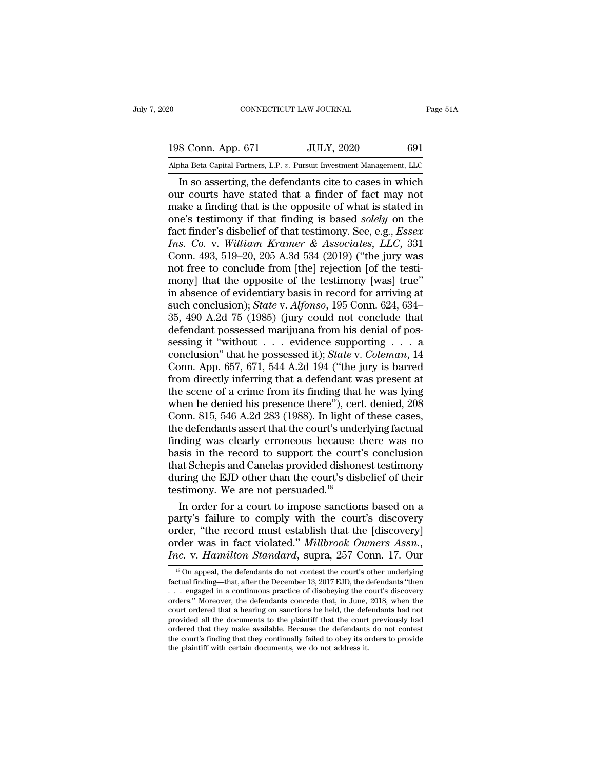## 198 Conn. App. 671 JULY, 2020 691<br>Alpha Beta Capital Partners, L.P. v. Pursuit Investment Management, LLC Fage 51A<br>
Alpha Beta Capital Partners, L.P. *v.* Pursuit Investment Management, LLC<br>
In so asserting, the defendants cite to cases in which

CONNECTICUT LAW JOURNAL Page 51A<br>
8 Conn. App. 671 JULY, 2020 691<br>
bha Beta Capital Partners, L.P. v. Pursuit Investment Management, LLC<br>
In so asserting, the defendants cite to cases in which<br>
ur courts have stated that a 198 Conn. App. 671 JULY, 2020 691<br>
Alpha Beta Capital Partners, L.P. v. Pursuit Investment Management, LLC<br>
In so asserting, the defendants cite to cases in which<br>
our courts have stated that a finder of fact may not<br>
make 198 Conn. App. 671 JULY, 2020 691<br>
Alpha Beta Capital Partners, L.P. v. Pursuit Investment Management, LLC<br>
In so asserting, the defendants cite to cases in which<br>
our courts have stated that a finder of fact may not<br>
mak 198 Conn. App. 671 JULY, 2020 691<br>
Alpha Beta Capital Partners, L.P. v. Pursuit Investment Management, LLC<br>
In so asserting, the defendants cite to cases in which<br>
our courts have stated that a finder of fact may not<br>
make For Collic Tipp. 011 **Collice 1980** 6011, 2020 6011<br>Alpha Beta Capital Partners, L.P. v. Pursuit Investment Management, LLC<br>In so asserting, the defendants cite to cases in which<br>our courts have stated that a finder of fac *Alpha Beta Capital Partners, L.P. v. Pursuit Investment Management, LLC*<br>In so asserting, the defendants cite to cases in which<br>our courts have stated that a finder of fact may not<br>make a finding that is the opposite of w In so asserting, the defendants cite to cases in which<br>our courts have stated that a finder of fact may not<br>make a finding that is the opposite of what is stated in<br>one's testimony if that finding is based *solely* on the<br> our courts have stated that a finder of fact may not<br>make a finding that is the opposite of what is stated in<br>one's testimony if that finding is based *solely* on the<br>fact finder's disbelief of that testimony. See, e.g., make a finding that is the opposite of what is stated in<br>one's testimony if that finding is based *solely* on the<br>fact finder's disbelief of that testimony. See, e.g., *Essex*<br>*Ins. Co.* v. *William Kramer & Associates, L* one's testimony if that finding is based *solely* on the<br>fact finder's disbelief of that testimony. See, e.g., *Essex*<br>*Ins. Co. v. William Kramer & Associates, LLC*, 331<br>Conn. 493, 519–20, 205 A.3d 534 (2019) ("the jury w fact finder's disbelief of that testimony. See, e.g., *Essex*<br>*Ins. Co. v. William Kramer & Associates, LLC*, 331<br>Conn. 493, 519–20, 205 A.3d 534 (2019) ("the jury was<br>not free to conclude from [the] rejection [of the test Ins. Co. v. William Kramer & Associates, LLC, 331<br>Conn. 493, 519–20, 205 A.3d 534 (2019) ("the jury was<br>not free to conclude from [the] rejection [of the testi-<br>mony] that the opposite of the testimony [was] true"<br>in absen Conn. 493, 519–20, 205 A.3d 534 (2019) ("the jury was<br>not free to conclude from [the] rejection [of the testi-<br>mony] that the opposite of the testimony [was] true"<br>in absence of evidentiary basis in record for arriving at not free to conclude from [the] rejection [of the testi-<br>mony] that the opposite of the testimony [was] true"<br>in absence of evidentiary basis in record for arriving at<br>such conclusion); *State* v. Alfonso, 195 Conn. 624, mony] that the opposite of the testimony [was] true"<br>in absence of evidentiary basis in record for arriving at<br>such conclusion); *State* v. *Alfonso*, 195 Conn. 624, 634–<br>35, 490 A.2d 75 (1985) (jury could not conclude tha in absence of evidentiary basis in record for arriving at<br>such conclusion); *State* v. *Alfonso*, 195 Conn. 624, 634–<br>35, 490 A.2d 75 (1985) (jury could not conclude that<br>defendant possessed marijuana from his denial of p such conclusion); *State* v. *Alfonso*, 195 Conn. 624, 634–35, 490 A.2d 75 (1985) (jury could not conclude that defendant possessed marijuana from his denial of possessing it "without . . . evidence supporting . . . a con 35, 490 A.2d 75 (1985) (jury could not conclude that<br>defendant possessed marijuana from his denial of pos-<br>sessing it "without . . . evidence supporting . . . a<br>conclusion" that he possessed it); *State* v. *Coleman*, 14<br> defendant possessed marijuana from his denial of possessing it "without . . . evidence supporting . . . a<br>conclusion" that he possessed it); *State* v. *Coleman*, 14<br>Conn. App. 657, 671, 544 A.2d 194 ("the jury is barred<br>f sessing it "without . . . evidence supporting . . . a<br>conclusion" that he possessed it); *State* v. *Coleman*, 14<br>Conn. App. 657, 671, 544 A.2d 194 ("the jury is barred<br>from directly inferring that a defendant was present conclusion" that he possessed it);  $State$  v.  $Coleman$ , 14<br>Conn. App. 657, 671, 544 A.2d 194 ("the jury is barred<br>from directly inferring that a defendant was present at<br>the scene of a crime from its finding that he was lying<br>whe Conn. App. 657, 671, 544 A.2d 194 ("the jury is barred<br>from directly inferring that a defendant was present at<br>the scene of a crime from its finding that he was lying<br>when he denied his presence there"), cert. denied, 208<br> from directly inferring that a defendant was present at<br>the scene of a crime from its finding that he was lying<br>when he denied his presence there''), cert. denied, 208<br>Conn. 815, 546 A.2d 283 (1988). In light of these case the scene of a crime from its finding that he was lying<br>when he denied his presence there"), cert. denied, 208<br>Conn. 815, 546 A.2d 283 (1988). In light of these cases,<br>the defendants assert that the court's underlying fact when he denied his presence there"), cert. denied, 208<br>Conn. 815, 546 A.2d 283 (1988). In light of these cases,<br>the defendants assert that the court's underlying factual<br>finding was clearly erroneous because there was no<br>b Conn. 815, 546 A.2d 283 (1988). In light of<br>the defendants assert that the court's unde<br>finding was clearly erroneous because t<br>basis in the record to support the court<br>that Schepis and Canelas provided dishone<br>during the e defendants assert that the court's underlying factual<br>Inding was clearly erroneous because there was no<br>sis in the record to support the court's conclusion<br>at Schepis and Canelas provided dishonest testimony<br>Iring the EJ finding was clearly erroneous because there was no<br>basis in the record to support the court's conclusion<br>that Schepis and Canelas provided dishonest testimony<br>during the EJD other than the court's disbelief of their<br>testi

basis in the record to support the court's conclusion<br>that Schepis and Canelas provided dishonest testimony<br>during the EJD other than the court's disbelief of their<br>testimony. We are not persuaded.<sup>18</sup><br>In order for a cour that Schepis and Canelas provided dishonest testimony<br>during the EJD other than the court's disbelief of their<br>testimony. We are not persuaded.<sup>18</sup><br>In order for a court to impose sanctions based on a<br>party's failure to com during the EJD other than the court's disbelief of their<br>testimony. We are not persuaded.<sup>18</sup><br>In order for a court to impose sanctions based on a<br>party's failure to comply with the court's discovery<br>order, "the record must arty's failure to comply with the court's discovery<br>rder, "the record must establish that the [discovery]<br>rder was in fact violated." *Millbrook Owners Assn.*,<br>*uc.* v. *Hamilton Standard*, supra, 257 Conn. 17. Our<br><sup>18</sup> On order, "the record must establish that the [discovery]<br>order was in fact violated." *Millbrook Owners Assn.*,<br>*Inc.* v. *Hamilton Standard*, supra, 257 Conn. 17. Our<br><sup>18</sup> On appeal, the defendants do not contest the court'

order, the record mast establish that the [discovery]<br>order was in fact violated." Millbrook Owners Assn.,<br> $Inc$ . v. Hamilton Standard, supra, 257 Conn. 17. Our<br> $\frac{1}{100}$  appeal, the defendants do not contest the court's order was in fact violated. *Mutorook Owners Assn.*, *Inc.* v. *Hamilton Standard*, supra, 257 Conn. 17. Our  $\frac{1}{18}$  On appeal, the defendants do not contest the court's other underlying factual finding—that, after the Inc. v. Hamilton Standard, supra, 257 Conn. 17. Our  $\frac{1}{18}$  on appeal, the defendants do not contest the court's other underlying factual finding—that, after the December 13, 2017 EJD, the defendants "then  $\ldots$  engage <sup>18</sup> On appeal, the defendants do not contest the court's other underlying factual finding—that, after the December 13, 2017 EJD, the defendants "then  $\ldots$  engaged in a continuous practice of disobeying the court's disco <sup>16</sup> On appeal, the defendants do not contest the court's other underlying factual finding—that, after the December 13, 2017 EJD, the defendants "then  $\ldots$  engaged in a continuous practice of disobeying the court's disco factual finding—that, after the December 13, 2017 EJD, the defendants "then  $\ldots$  engaged in a continuous practice of disobeying the court's discovery orders." Moreover, the defendants concede that, in June, 2018, when th ... engaged in a continuous practice of disobeying the court's discovery orders." Moreover, the defendants concede that, in June, 2018, when the court ordered that a hearing on sanctions be held, the defendants had not pr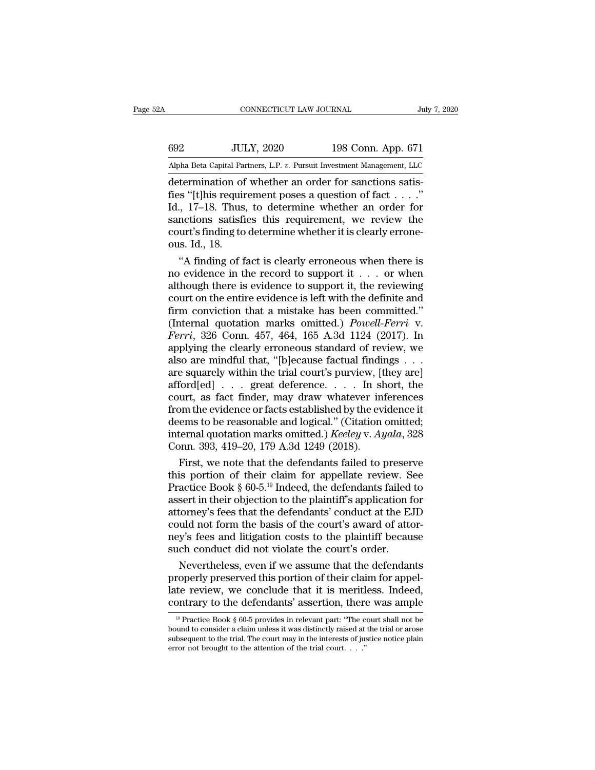## EN CONNECTICUT LAW JOURNAL July 7, 2020<br>692 JULY, 2020 198 Conn. App. 671<br>Alpha Beta Capital Partners, L.P. v. Pursuit Investment Management, LLC CONNECTICUT LAW JOURNAL July 7, 2020<br>
Alpha Beta Capital Partners, L.P. *v.* Pursuit Investment Management, LLC<br>
determination of whether an order for sanctions satis-

CONNECTICUT LAW JOURNAL<br>
<u>determination of whether an order for sanctions satis-</u><br>
determination of whether an order for sanctions satis-<br>
determination of whether an order for sanctions satis-<br>
determination of whether an  $f_{\text{Alpha Beta Capital Partners, L.P. } v.}$  Pursuit Investment Management, LLC<br>
determination of whether an order for sanctions satis-<br>
fies "[t]his requirement poses a question of fact . . . ."<br>
Id., 17–18. Thus, to determine whether an order  $\frac{198}{\text{Apha Beta Capital Partners, L.P. } v. \text{ Pursuit Investment Management, LLC}}$ <br>determination of whether an order for sanctions satisfies "[t]his requirement poses a question of fact . . . ."<br>Id., 17–18. Thus, to determine whether an order for sanctions satisfie  $\frac{1092}{\text{Alpha Beta Capital Patterns, LP. } v.}$  Pursuit Investment Management, LLC<br>determination of whether an order for sanctions satis-<br>fies "[t]his requirement poses a question of fact . . . ."<br>Id., 17–18. Thus, to determine whether an order Alpha Beta Capital Partners, L.P. v. Pursuit Investment Management, LLC<br>determination of whether an order for sanctions satis-<br>fies "[t]his requirement poses a question of fact . . . ."<br>Id., 17–18. Thus, to determine wheth Alpha Beta Capital Paradon<br>determination of<br>fies "[t]his required<br>Id., 17–18. Thus,<br>sanctions satisfic<br>court's finding to<br>ous. Id., 18.<br>"A finding of f termination of whether an order for sanctions satis-<br>  $\text{S}$  "[t]his requirement poses a question of fact  $\dots$ ",<br>  $\ldots$ ", 17–18. Thus, to determine whether an order for<br>
notions satisfies this requirement, we review the<br> Thes "[t] his requirement poses a question of fact  $\dots$ ."<br>Id., 17–18. Thus, to determine whether an order for<br>sanctions satisfies this requirement, we review the<br>court's finding to determine whether it is clearly errone-<br>

1d.,  $17-18$ . Thus, to determine whether an order for<br>sanctions satisfies this requirement, we review the<br>court's finding to determine whether it is clearly errone-<br>ous. Id., 18.<br>"A finding of fact is clearly erroneous wh sanctions satisfies this requirement, we review the<br>court's finding to determine whether it is clearly errone-<br>ous. Id., 18.<br>"A finding of fact is clearly erroneous when there is<br>no evidence in the record to support it . court's finding to determine whether it is clearly errone-<br>ous. Id., 18.<br>"A finding of fact is clearly erroneous when there is<br>no evidence in the record to support it . . . or when<br>although there is evidence to support it (Internal quotation marks omitted.) **Computer Contains omitted.**<br>
The evidence in the record to support it . . . . or when although there is evidence to support it, the reviewing court on the entire evidence is left with t "A finding of fact is clearly erroneous when there is<br>no evidence in the record to support it  $\ldots$  or when<br>although there is evidence to support it, the reviewing<br>court on the entire evidence is left with the definite an no evidence in the record to support it . . . or when<br>although there is evidence to support it, the reviewing<br>court on the entire evidence is left with the definite and<br>firm conviction that a mistake has been committed."<br> although there is evidence to support it, the reviewing<br>court on the entire evidence is left with the definite and<br>firm conviction that a mistake has been committed."<br>(Internal quotation marks omitted.) *Powell-Ferri* v.<br> court on the entire evidence is left with the definite and<br>firm conviction that a mistake has been committed."<br>(Internal quotation marks omitted.) *Powell-Ferri* v.<br>*Ferri*, 326 Conn. 457, 464, 165 A.3d 1124 (2017). In<br>ap firm conviction that a mistake has been committed."<br>
(Internal quotation marks omitted.) *Powell-Ferri* v.<br> *Ferri*, 326 Conn. 457, 464, 165 A.3d 1124 (2017). In<br>
applying the clearly erroneous standard of review, we<br>
als (Internal quotation marks omitted.) *Powell-Ferri* v.<br> *Ferri*, 326 Conn. 457, 464, 165 A.3d 1124 (2017). In<br>
applying the clearly erroneous standard of review, we<br>
also are mindful that, "[b]ecause factual findings . . . Ferri, 326 Conn. 457, 464, 165 A.3d 1124 (2017). In applying the clearly erroneous standard of review, we also are mindful that, "[b]ecause factual findings . . . are squarely within the trial court's purview, [they are] applying the clearly erroneous standard of review, we<br>also are mindful that, "[b]ecause factual findings . . .<br>are squarely within the trial court's purview, [they are]<br>afford[ed] . . . great deference. . . . In short, th also are mindful that, "[b]ecause factual findings . . . .<br>are squarely within the trial court's purview, [they are]<br>afford[ed] . . . great deference. . . . In short, the<br>court, as fact finder, may draw whatever inferences are squarely within the trial court's purview, [t]<br>afford[ed] . . . great deference. . . . . In sl<br>court, as fact finder, may draw whatever in<br>from the evidence or facts established by the ev<br>deems to be reasonable and lo ford[ed] . . . . great deference. . . . . In short, the<br>urt, as fact finder, may draw whatever inferences<br>bm the evidence or facts established by the evidence it<br>eems to be reasonable and logical." (Citation omitted;<br>tern court, as fact finder, may draw whatever inferences<br>from the evidence or facts established by the evidence it<br>deems to be reasonable and logical." (Citation omitted;<br>internal quotation marks omitted.) *Keeley v. Ayala*, 3

from the evidence or facts established by the evidence it<br>deems to be reasonable and logical." (Citation omitted;<br>internal quotation marks omitted.) *Keeley v. Ayala*, 328<br>Conn. 393, 419–20, 179 A.3d 1249 (2018).<br>First, w deems to be reasonable and logical." (Citation omitted;<br>internal quotation marks omitted.) *Keeley v. Ayala*, 328<br>Conn. 393, 419–20, 179 A.3d 1249 (2018).<br>First, we note that the defendants failed to preserve<br>this portion internal quotation marks omitted.) *Keeley v. Ayala*, 328<br>Conn. 393, 419–20, 179 A.3d 1249 (2018).<br>First, we note that the defendants failed to preserve<br>this portion of their claim for appellate review. See<br>Practice Book § Conn. 393, 419–20, 179 A.3d 1249 (2018).<br>First, we note that the defendants failed to preserve<br>this portion of their claim for appellate review. See<br>Practice Book § 60-5.<sup>19</sup> Indeed, the defendants failed to<br>assert in the First, we note that the defendants failed to preserve<br>this portion of their claim for appellate review. See<br>Practice Book  $\S 60{\text -}5.^{19}$  Indeed, the defendants failed to<br>assert in their objection to the plaintiff's appl this portion of their claim for appellate review. S<br>Practice Book  $\S 60-5.^{19}$  Indeed, the defendants failed<br>assert in their objection to the plaintiff's application f<br>attorney's fees that the defendants' conduct at the actice Book § 60-5.<sup>19</sup> Indeed, the defendants failed to<br>sert in their objection to the plaintiff's application for<br>torney's fees that the defendants' conduct at the EJD<br>uld not form the basis of the court's award of attor assert in their objection to the plaintiff's application for<br>attorney's fees that the defendants' conduct at the EJD<br>could not form the basis of the court's award of attor-<br>ney's fees and litigation costs to the plaintiff

attorney's fees that the defendants' conduct at the EJD<br>could not form the basis of the court's award of attor-<br>ney's fees and litigation costs to the plaintiff because<br>such conduct did not violate the court's order.<br>Never could not form the basis of the court's award of attor-<br>ney's fees and litigation costs to the plaintiff because<br>such conduct did not violate the court's order.<br>Nevertheless, even if we assume that the defendants<br>properly Nevertheless, even if we assume that the defendants<br>roperly preserved this portion of their claim for appel-<br>te review, we conclude that it is meritless. Indeed,<br>ontrary to the defendants' assertion, there was ample<br> $\frac{1$ properly preserved this portion of their claim for appel-<br>late review, we conclude that it is meritless. Indeed,<br>contrary to the defendants' assertion, there was ample<br> $\frac{19}{2}$  Practice Book § 60-5 provides in relevant

Let review, we conclude that it is meritless. Indeed, contrary to the defendants' assertion, there was ample  $\frac{10}{10}$  Practice Book § 60-5 provides in relevant part: "The court shall not be bound to consider a claim un Example 12 and the defendants' assertion, there is practice Book § 60-5 provides in relevant part: "The cound to consider a claim unless it was distinctly raised at subsequent to the trial. The court may in the interests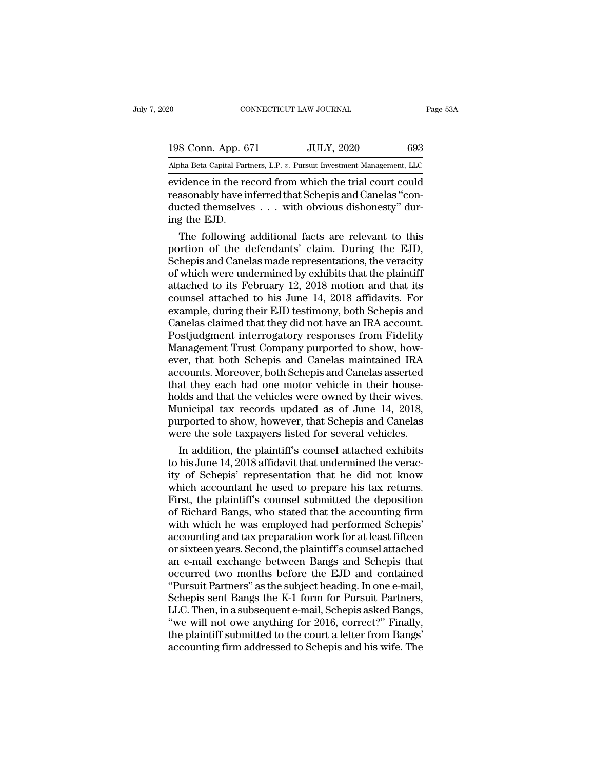| 20                 | CONNECTICUT LAW JOURNAL                                                 | Page 53A |
|--------------------|-------------------------------------------------------------------------|----------|
| 198 Conn. App. 671 | <b>JULY, 2020</b>                                                       | 693      |
|                    | Alpha Beta Capital Partners, L.P. v. Pursuit Investment Management, LLC |          |

Valy 7, 2020 CONNECTICUT LAW JOURNAL Page 53A<br>
198 Conn. App. 671 JULY, 2020 693<br>
Alpha Beta Capital Partners, L.P. *v.* Pursuit Investment Management, LLC<br>
evidence in the record from which the trial court could Equals 2020 CONNECTICUT LAW JOURNAL Page 53A<br>
198 Conn. App. 671 JULY, 2020 693<br>
Alpha Beta Capital Partners, L.P. v. Pursuit Investment Management, LLC<br>
evidence in the record from which the trial court could<br>
reasonably 198 Conn. App. 671 JULY, 2020 693<br>Alpha Beta Capital Partners, L.P. v. Pursuit Investment Management, LLC<br>evidence in the record from which the trial court could<br>reasonably have inferred that Schepis and Canelas "con-<br>duct 198 Conn. App. 671 JULY, 2020 693<br>
Alpha Beta Capital Partners, L.P. v. Pursuit Investment Management, LLC<br>
evidence in the record from which the trial court could<br>
reasonably have inferred that Schepis and Canelas "con-<br>  $\frac{198 \text{ Conn. App. } 6'}{\text{Alpha Beta Capital Part}}$ <br>
evidence in the re<br>
reasonably have in ducted themselve<br>
ing the EJD.<br>
The following bha Beta Capital Partners, L.P.  $v$ . Pursuit Investment Management, LLC<br>idence in the record from which the trial court could<br>asonably have inferred that Schepis and Canelas "con-<br>icted themselves  $\dots$  with obvious dishon evidence in the record from which the trial court could<br>reasonably have inferred that Schepis and Canelas "con-<br>ducted themselves  $\dots$  with obvious dishonesty" dur-<br>ing the EJD.<br>The following additional facts are relevant

evidence in the record from which the trial court could<br>reasonably have inferred that Schepis and Canelas "con-<br>ducted themselves . . . with obvious dishonesty" dur-<br>ing the EJD.<br>The following additional facts are relevant reasonably have inferred that Schepis and Canelas "conducted themselves  $\dots$  with obvious dishonesty" during the EJD.<br>The following additional facts are relevant to this portion of the defendants' claim. During the EJD, S ducted themselves . . . with obvious dishonesty" during the EJD.<br>
The following additional facts are relevant to this<br>
portion of the defendants' claim. During the EJD,<br>
Schepis and Canelas made representations, the veraci ing the EJD.<br>The following additional facts are relevant to this<br>portion of the defendants' claim. During the EJD,<br>Schepis and Canelas made representations, the veracity<br>of which were undermined by exhibits that the plaint The following additional facts are relevant to this<br>portion of the defendants' claim. During the EJD,<br>Schepis and Canelas made representations, the veracity<br>of which were undermined by exhibits that the plaintiff<br>attached portion of the defendants' claim. During the EJD,<br>Schepis and Canelas made representations, the veracity<br>of which were undermined by exhibits that the plaintiff<br>attached to its February 12, 2018 motion and that its<br>counsel Schepis and Canelas made representations, the veracity<br>of which were undermined by exhibits that the plaintiff<br>attached to its February 12, 2018 motion and that its<br>counsel attached to his June 14, 2018 affidavits. For<br>exa of which were undermined by exhibits that the plaintiff<br>attached to its February 12, 2018 motion and that its<br>counsel attached to his June 14, 2018 affidavits. For<br>example, during their EJD testimony, both Schepis and<br>Cane attached to its February 12, 2018 motion and that its<br>counsel attached to his June 14, 2018 affidavits. For<br>example, during their EJD testimony, both Schepis and<br>Canelas claimed that they did not have an IRA account.<br>Postj counsel attached to his June 14, 2018 affidavits. For<br>example, during their EJD testimony, both Schepis and<br>Canelas claimed that they did not have an IRA account.<br>Postjudgment interrogatory responses from Fidelity<br>Manageme example, during their EJD testimony, both Schepis and<br>Canelas claimed that they did not have an IRA account.<br>Postjudgment interrogatory responses from Fidelity<br>Management Trust Company purported to show, how-<br>ever, that bo Canelas claimed that they did not have an IRA account.<br>Postjudgment interrogatory responses from Fidelity<br>Management Trust Company purported to show, how-<br>ever, that both Schepis and Canelas maintained IRA<br>accounts. Moreov Postjudgment interrogatory responses from Fidelity<br>Management Trust Company purported to show, how-<br>ever, that both Schepis and Canelas maintained IRA<br>accounts. Moreover, both Schepis and Canelas asserted<br>that they each ha Management Trust Company purported to show, how-<br>ever, that both Schepis and Canelas maintained IRA<br>accounts. Moreover, both Schepis and Canelas asserted<br>that they each had one motor vehicle in their house-<br>holds and that ever, that both Schepis and Canelas maintained IRA accounts. Moreover, both Schepis and Canelas asserted that they each had one motor vehicle in their house-<br>holds and that the vehicles were owned by their wives.<br>Municipal counts. Moreover, both Schepis and Canelas asserted<br>at they each had one motor vehicle in their house-<br>lds and that the vehicles were owned by their wives.<br>unicipal tax records updated as of June 14, 2018,<br>reported to show that they each had one motor vehicle in their house-<br>holds and that the vehicles were owned by their wives.<br>Municipal tax records updated as of June 14, 2018,<br>purported to show, however, that Schepis and Canelas<br>were the s

holds and that the vehicles were owned by their wives.<br>Municipal tax records updated as of June 14, 2018,<br>purported to show, however, that Schepis and Canelas<br>were the sole taxpayers listed for several vehicles.<br>In additio Municipal tax records updated as of June 14, 2018,<br>purported to show, however, that Schepis and Canelas<br>were the sole taxpayers listed for several vehicles.<br>In addition, the plaintiff's counsel attached exhibits<br>to his Jun purported to show, however, that Schepis and Canelas<br>were the sole taxpayers listed for several vehicles.<br>In addition, the plaintiff's counsel attached exhibits<br>to his June 14, 2018 affidavit that undermined the verac-<br>ity were the sole taxpayers listed for several vehicles.<br>
In addition, the plaintiff's counsel attached exhibits<br>
to his June 14, 2018 affidavit that undermined the verac-<br>
ity of Schepis' representation that he did not know<br> In addition, the plaintiff's counsel attached exhibits<br>to his June 14, 2018 affidavit that undermined the verac-<br>ity of Schepis' representation that he did not know<br>which accountant he used to prepare his tax returns.<br>Firs to his June 14, 2018 affidavit that undermined the veracity of Schepis' representation that he did not know which accountant he used to prepare his tax returns.<br>First, the plaintiff's counsel submitted the deposition of Ri ity of Schepis' representation that he did not know<br>which accountant he used to prepare his tax returns.<br>First, the plaintiff's counsel submitted the deposition<br>of Richard Bangs, who stated that the accounting firm<br>with wh which accountant he used to prepare his tax returns.<br>First, the plaintiff's counsel submitted the deposition<br>of Richard Bangs, who stated that the accounting firm<br>with which he was employed had performed Schepis'<br>accountin First, the plaintiff's counsel submitted the deposition<br>of Richard Bangs, who stated that the accounting firm<br>with which he was employed had performed Schepis'<br>accounting and tax preparation work for at least fifteen<br>or si of Richard Bangs, who stated that the accounting firm<br>
with which he was employed had performed Schepis'<br>
accounting and tax preparation work for at least fifteen<br>
or sixteen years. Second, the plaintiff's counsel attached with which he was employed had performed Schepis'<br>accounting and tax preparation work for at least fifteen<br>or sixteen years. Second, the plaintiff's counsel attached<br>an e-mail exchange between Bangs and Schepis that<br>occurr accounting and tax preparation work for at least fifteen<br>or sixteen years. Second, the plaintiff's counsel attached<br>an e-mail exchange between Bangs and Schepis that<br>occurred two months before the EJD and contained<br>"Pursui or sixteen years. Second, the plaintiff's counsel attached<br>an e-mail exchange between Bangs and Schepis that<br>occurred two months before the EJD and contained<br>"Pursuit Partners" as the subject heading. In one e-mail,<br>Schepi an e-mail exchange between Bangs and Schepis that<br>occurred two months before the EJD and contained<br>"Pursuit Partners" as the subject heading. In one e-mail,<br>Schepis sent Bangs the K-1 form for Pursuit Partners,<br>LLC. Then, occurred two months before the EJD and contained<br>"Pursuit Partners" as the subject heading. In one e-mail,<br>Schepis sent Bangs the K-1 form for Pursuit Partners,<br>LLC. Then, in a subsequent e-mail, Schepis asked Bangs,<br>"we w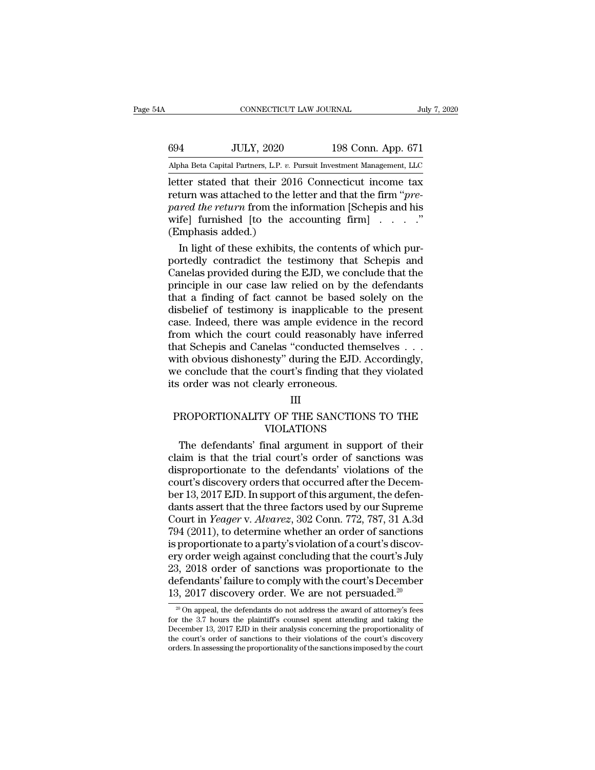# EN CONNECTICUT LAW JOURNAL July 7, 2020<br>694 JULY, 2020 198 Conn. App. 671<br>Alpha Beta Capital Partners, L.P. v. Pursuit Investment Management, LLC

CONNECTICUT LAW JOURNAL July 7, 2020<br>
Alpha Beta Capital Partners, L.P. *v.* Pursuit Investment Management, LLC<br>
Letter stated that their 2016 Connecticut income tax CONNECTICUT LAW JOURNAL July 7, 2020<br>
694 JULY, 2020 198 Conn. App. 671<br>
Alpha Beta Capital Partners, L.P. v. Pursuit Investment Management, LLC<br>
Letter stated that their 2016 Connecticut income tax<br>
return was attached to Fernando Beta Capital Partners, L.P. v. Pursuit Investment Management, LLC<br>
Ripha Beta Capital Partners, L.P. v. Pursuit Investment Management, LLC<br>
Letter stated that their 2016 Connecticut income tax<br>
return was attached *pared the return* from the information [Schepis and his  $\frac{694}{\text{Alpha Beta Capital Patterns, L.P. } v. \text{ Pursuit Investment Management, LLC}}$ <br>
letter stated that their 2016 Connecticut income tax<br>
return was attached to the letter and that the firm "*pre-*<br> *pared the return* from the information [Schepis and his<br>
wife] furni Mpha Beta Capital Partners, L.P. v.<br>
letter stated that their 20.<br>
return was attached to the l<br>
pared the return from the i<br>
wife] furnished [to the a<br>
(Emphasis added.)<br>
In light of these exhibits In the stated that their 2016 Connecticut income tax<br>turn was attached to the letter and that the firm "*pre-*<br>red the return from the information [Schepis and his<br>fe] furnished [to the accounting firm]  $\ldots$  ."<br>mphasis a letter stated that their 2016 Connecticut income tax<br>return was attached to the letter and that the firm "*pre-*<br>pared the return from the information [Schepis and his<br>wife] furnished [to the accounting firm]  $\ldots$ ."<br>(Emp

return was attached to the letter and that the firm "*pre-*<br>pared the return from the information [Schepis and his<br>wife] furnished [to the accounting firm]  $\ldots$ ."<br>(Emphasis added.)<br>In light of these exhibits, the content pared the return from the information [Schepis and his<br>wife] furnished [to the accounting firm]  $\ldots$ ."<br>(Emphasis added.)<br>In light of these exhibits, the contents of which pur-<br>portedly contradict the testimony that Schep wife] furnished [to the accounting firm]  $\ldots$   $\ldots$  "<br>(Emphasis added.)<br>In light of these exhibits, the contents of which pur-<br>portedly contradict the testimony that Schepis and<br>Canelas provided during the EJD, we conclu (Emphasis added.)<br>In light of these exhibits, the contents of which pur-<br>portedly contradict the testimony that Schepis and<br>Canelas provided during the EJD, we conclude that the<br>principle in our case law relied on by the d In light of these exhibits, the contents of which pur-<br>portedly contradict the testimony that Schepis and<br>Canelas provided during the EJD, we conclude that the<br>principle in our case law relied on by the defendants<br>that a f portedly contradict the testimony that Schepis and<br>Canelas provided during the EJD, we conclude that the<br>principle in our case law relied on by the defendants<br>that a finding of fact cannot be based solely on the<br>disbelief Canelas provided during the EJD, we conclude that the principle in our case law relied on by the defendants that a finding of fact cannot be based solely on the disbelief of testimony is inapplicable to the present case. principle in our case law relied on by the defendants<br>that a finding of fact cannot be based solely on the<br>disbelief of testimony is inapplicable to the present<br>case. Indeed, there was ample evidence in the record<br>from whi that a finding of fact cannot be based solely on the disbelief of testimony is inapplicable to the present case. Indeed, there was ample evidence in the record from which the court could reasonably have inferred that Sche disbelief of testimony is inapplicable to<br>case. Indeed, there was ample evidence<br>from which the court could reasonably l<br>that Schepis and Canelas "conducted the<br>with obvious dishonesty" during the EJD.<br>we conclude that the From which the court collar reasonably have interfed<br>hat Schepis and Canelas "conducted themselves . . .<br>with obvious dishonesty" during the EJD. Accordingly,<br>we conclude that the court's finding that they violated<br>as orde

### III

### VIOLATIONS

Exercise that the court's finding that they violated<br>
For der was not clearly erroneous.<br>
III<br>
The defendants' of THE SANCTIONS TO THE<br>
VIOLATIONS<br>
The defendants' final argument in support of their<br>
tim is that the trial its order was not clearly erroneous.<br>
III<br>
PROPORTIONALITY OF THE SANCTIONS TO THE<br>
VIOLATIONS<br>
The defendants' final argument in support of their<br>
claim is that the trial court's order of sanctions was<br>
disproportionate t FROPORTIONALITY OF THE SANCTIONS TO THE<br>VIOLATIONS<br>The defendants' final argument in support of their<br>claim is that the trial court's order of sanctions was<br>disproportionate to the defendants' violations of the<br>court's dis m<br>PROPORTIONALITY OF THE SANCTIONS TO THE<br>VIOLATIONS<br>The defendants' final argument in support of their<br>claim is that the trial court's order of sanctions was<br>disproportionate to the defendants' violations of the<br>court's d PROPORTIONALITY OF THE SANCTIONS TO THE<br>VIOLATIONS<br>The defendants' final argument in support of their<br>claim is that the trial court's order of sanctions was<br>disproportionate to the defendants' violations of the<br>court's dis VIOLATIONS<br>The defendants' final argument in support of their<br>claim is that the trial court's order of sanctions was<br>disproportionate to the defendants' violations of the<br>court's discovery orders that occurred after the De The defendants' final argument in support of their<br>claim is that the trial court's order of sanctions was<br>disproportionate to the defendants' violations of the<br>court's discovery orders that occurred after the Decem-<br>ber 13 claim is that the trial court's order of sanctions was<br>disproportionate to the defendants' violations of the<br>court's discovery orders that occurred after the Decem-<br>ber 13, 2017 EJD. In support of this argument, the defendisproportionate to the defendants' violations of the<br>court's discovery orders that occurred after the Decem-<br>ber 13, 2017 EJD. In support of this argument, the defen-<br>dants assert that the three factors used by our Suprem court's discovery orders that occurred after the December 13, 2017 EJD. In support of this argument, the defendants assert that the three factors used by our Supreme Court in *Yeager v. Alvarez*, 302 Conn. 772, 787, 31 A.3 ber 13, 2017 EJD. In support of this argument, the defendants assert that the three factors used by our Supreme<br>Court in *Yeager v. Alvarez*, 302 Conn. 772, 787, 31 A.3d<br>794 (2011), to determine whether an order of sancti dants assert that the three factors used by our Supreme<br>Court in *Yeager v. Alvarez*, 302 Conn. 772, 787, 31 A.3d<br>794 (2011), to determine whether an order of sanctions<br>is proportionate to a party's violation of a court's Court in *Yeager v. Alvarez*, 302 Conn. 772, 787, 31 A.3d 794 (2011), to determine whether an order of sanctions is proportionate to a party's violation of a court's discovery order weigh against concluding that the court 2018 order weigh against concluding that the court's July<br>
3, 2018 order of sanctions was proportionate to the<br>
efendants' failure to comply with the court's December<br>
3, 2017 discovery order. We are not persuaded.<sup>20</sup><br>
2 23, 2018 order of sanctions was proportionate to the defendants' failure to comply with the court's December 13, 2017 discovery order. We are not persuaded.<sup>20</sup>  $\frac{20}{100}$  appeal, the defendants do not address the award

defendants' failure to comply with the court's December 13, 2017 discovery order. We are not persuaded.<sup>20</sup><br><sup>20</sup> On appeal, the defendants do not address the award of attorney's fees for the 3.7 hours the plaintiff's coun defendants Tallure to comply with the court's December<br>13, 2017 discovery order. We are not persuaded.<sup>20</sup><br><sup>20</sup> On appeal, the defendants do not address the award of attorney's fees<br>for the 3.7 hours the plaintiff's couns 13, 2017 discovery order. We are not persuaded.<sup>20</sup><br><sup>20</sup> On appeal, the defendants do not address the award of attorney's fees<br>for the 3.7 hours the plaintiff's counsel spent attending and taking the<br>December 13, 2017 EJD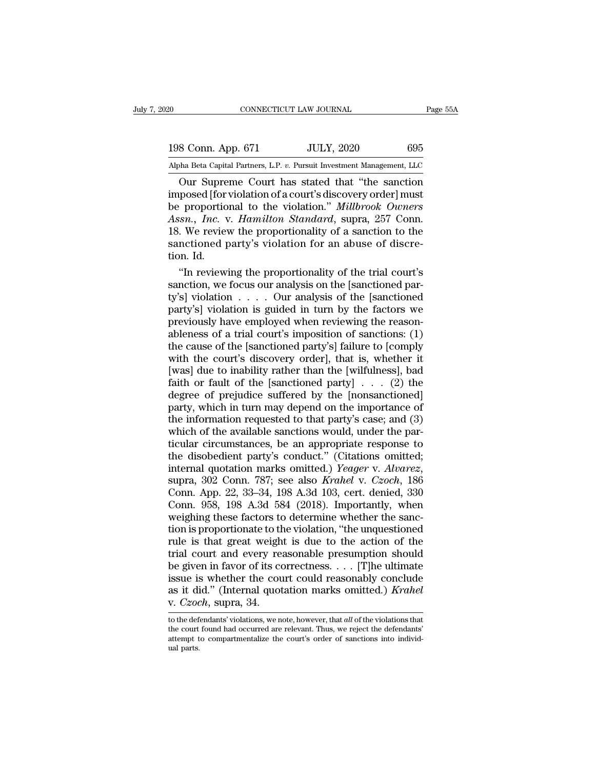| 20                 | CONNECTICUT LAW JOURNAL                                                 | Page 55A |
|--------------------|-------------------------------------------------------------------------|----------|
|                    |                                                                         |          |
| 198 Conn. App. 671 | <b>JULY, 2020</b>                                                       | 695      |
|                    | Alpha Beta Capital Partners, L.P. v. Pursuit Investment Management, LLC |          |
|                    | Our Supreme Court has stated that "the sanction"                        |          |

CONNECTICUT LAW JOURNAL Page 55A<br>
8 Conn. App. 671 JULY, 2020 695<br>
bha Beta Capital Partners, L.P. v. Pursuit Investment Management, LLC<br>
Our Supreme Court has stated that "the sanction<br>
posed [for violation of a court's d 198 Conn. App. 671 JULY, 2020 695<br>
Alpha Beta Capital Partners, L.P. v. Pursuit Investment Management, LLC<br>
Our Supreme Court has stated that "the sanction<br>
imposed [for violation of a court's discovery order] must<br>
be pro 198 Conn. App. 671 JULY, 2020 695<br>
Alpha Beta Capital Partners, L.P. v. Pursuit Investment Management, LLC<br>
Our Supreme Court has stated that "the sanction<br>
imposed [for violation of a court's discovery order] must<br>
be pro 198 Conn. App. 671 JULY, 2020 695<br> *Alpha Beta Capital Partners, L.P. v. Pursuit Investment Management, LLC*<br> *Our Supreme Court has stated that "the sanction*<br>
imposed [for violation of a court's discovery order] must<br>
be Alpha Beta Capital Partners, L.P. v. Pursuit Investment Management, LLC<br>
Our Supreme Court has stated that "the sanction<br>
imposed [for violation of a court's discovery order] must<br>
be proportional to the violation." *Millb* Alpha Beta Capital Partners, L.P. v. Pursuit Investment Management, LLC<br>
Our Supreme Court has stated that "the sanction<br>
imposed [for violation of a court's discovery order] must<br>
be proportional to the violation." *Millb* Our Supre<br>imposed [for<br>be proportio<br>Assn., Inc. v<br>18. We review<br>sanctioned p<br>tion. Id.<br>"In review! posed [for violation of a court's discovery order] must<br>
"The proportional to the violation." Millbrook Owners<br>
Inc. v. Hamilton Standard, supra, 257 Conn.<br>
"We review the proportionality of a sanction to the<br>
nectioned pa be proportional to the violation." Millbrook Owners<br>Assn., Inc. v. Hamilton Standard, supra, 257 Conn.<br>18. We review the proportionality of a sanction to the<br>sanctioned party's violation for an abuse of discre-<br>tion. Id.<br>

Assn., Inc. v. Hamilton Standard, supra, 257 Conn.<br>18. We review the proportionality of a sanction to the<br>sanctioned party's violation for an abuse of discre-<br>tion. Id.<br>"In reviewing the proportionality of the trial court 18. We review the proportionality of a sanction to the<br>sanctioned party's violation for an abuse of discre-<br>tion. Id.<br>"In reviewing the proportionality of the trial court's<br>sanction, we focus our analysis on the [sanction sanctioned party's violation for an abuse of discretion. Id.<br>
"In reviewing the proportionality of the trial court's<br>
sanction, we focus our analysis on the [sanctioned party's] violation  $\ldots$ . Our analysis of the [sanct tion. Id.<br>
"In reviewing the proportionality of the trial court's<br>
sanction, we focus our analysis on the [sanctioned par-<br>
ty's] violation  $\ldots$ . Our analysis of the [sanctioned<br>
party's] violation is guided in turn by t "In reviewing the proportionality of the trial court's<br>sanction, we focus our analysis on the [sanctioned par-<br>ty's] violation  $\ldots$ . Our analysis of the [sanctioned<br>party's] violation is guided in turn by the factors we<br> sanction, we focus our analysis on the [sanctioned party's] violation  $\ldots$ . Our analysis of the [sanctioned party's] violation is guided in turn by the factors we previously have employed when reviewing the reasonablenes ty's] violation . . . . Our analysis of the [sanctioned party's] violation is guided in turn by the factors we previously have employed when reviewing the reason-<br>ableness of a trial court's imposition of sanctions: (1) t party's] violation is guided in turn by the factors we<br>previously have employed when reviewing the reason-<br>ableness of a trial court's imposition of sanctions: (1)<br>the cause of the [sanctioned party's] failure to [comply<br> previously have employed when reviewing the reason-<br>ableness of a trial court's imposition of sanctions: (1)<br>the cause of the [sanctioned party's] failure to [comply<br>with the court's discovery order], that is, whether it<br> ableness of a trial court's imposition of sanctions: (1)<br>the cause of the [sanctioned party's] failure to [comply<br>with the court's discovery order], that is, whether it<br>[was] due to inability rather than the [wilfulness], the cause of the [sanctioned party's] failure to [comply<br>with the court's discovery order], that is, whether it<br>[was] due to inability rather than the [wilfulness], bad<br>faith or fault of the [sanctioned party]  $\ldots$  (2) t with the court's discovery order], that is, whether it<br>[was] due to inability rather than the [wilfulness], bad<br>faith or fault of the [sanctioned party]  $\ldots$  (2) the<br>degree of prejudice suffered by the [nonsanctioned]<br>pa [was] due to inability rather than the [wilfulness], bad<br>faith or fault of the [sanctioned party]  $\ldots$  (2) the<br>degree of prejudice suffered by the [nonsanctioned]<br>party, which in turn may depend on the importance of<br>the faith or fault of the [sanctioned party]  $\ldots$  (2) the<br>degree of prejudice suffered by the [nonsanctioned]<br>party, which in turn may depend on the importance of<br>the information requested to that party's case; and (3)<br>which degree of prejudice suffered by the [nonsanctioned]<br>party, which in turn may depend on the importance of<br>the information requested to that party's case; and (3)<br>which of the available sanctions would, under the par-<br>ticula the information requested to that party's case; and (3) which of the available sanctions would, under the particular circumstances, be an appropriate response to the disobedient party's conduct." (Citations omitted; intern which of the available sanctions would, under the par-<br>ticular circumstances, be an appropriate response to<br>the disobedient party's conduct." (Citations omitted;<br>internal quotation marks omitted.) *Yeager v. Alvarez*,<br>supr ticular circumstances, be an appropriate response to<br>the disobedient party's conduct." (Citations omitted;<br>internal quotation marks omitted.) *Yeager v. Alvarez*,<br>supra, 302 Conn. 787; see also *Krahel v. Czoch*, 186<br>Conn. the disobedient party's conduct." (Citations omitted;<br>internal quotation marks omitted.) *Yeager v. Alvarez*,<br>supra, 302 Conn. 787; see also *Krahel v. Czoch*, 186<br>Conn. App. 22, 33–34, 198 A.3d 103, cert. denied, 330<br>Conn internal quotation marks omitted.) Yeager v. Alvarez,<br>supra, 302 Conn. 787; see also Krahel v. Czoch, 186<br>Conn. App. 22, 33–34, 198 A.3d 103, cert. denied, 330<br>Conn. 958, 198 A.3d 584 (2018). Importantly, when<br>weighing the supra, 302 Conn. 787; see also *Krahel* v. *Czoch*, 186<br>Conn. App. 22, 33–34, 198 A.3d 103, cert. denied, 330<br>Conn. 958, 198 A.3d 584 (2018). Importantly, when<br>weighing these factors to determine whether the sanc-<br>tion is Conn. App. 22, 33–34, 198 A.3d 103, cert. denied, 330<br>Conn. 958, 198 A.3d 584 (2018). Importantly, when<br>weighing these factors to determine whether the sanc-<br>tion is proportionate to the violation, "the unquestioned<br>rule Conn. 958, 198 A.3d 584 (2018). Importantly, when<br>weighing these factors to determine whether the sanc-<br>tion is proportionate to the violation, "the unquestioned<br>rule is that great weight is due to the action of the<br>trial weighing these factors to determine whether the sanction is proportionate to the violation, "the unquestioned rule is that great weight is due to the action of the trial court and every reasonable presumption should be giv tion is proportionate to the<br>rule is that great weigh<br>trial court and every realided<br>the given in favor of its contains is whether the court<br>as it did." (Internal quot<br>v. *Czoch*, supra, 34. be given in favor of its correctness. . . . . [T]he ultimate<br>issue is whether the court could reasonably conclude<br>as it did." (Internal quotation marks omitted.) *Krahel*<br>v. *Czoch*, supra, 34.<br>to the defendants' violation as it did." (Internal quotation marks omitted.) Krahel v.  $Czoch$ , supra, 34.

issue is whether the court could reasonably conclude<br>as it did." (Internal quotation marks omitted.) *Krahel*<br>v. Czoch, supra, 34.<br>to the defendants' violations, we note, however, that *all* of the violations that<br>the cou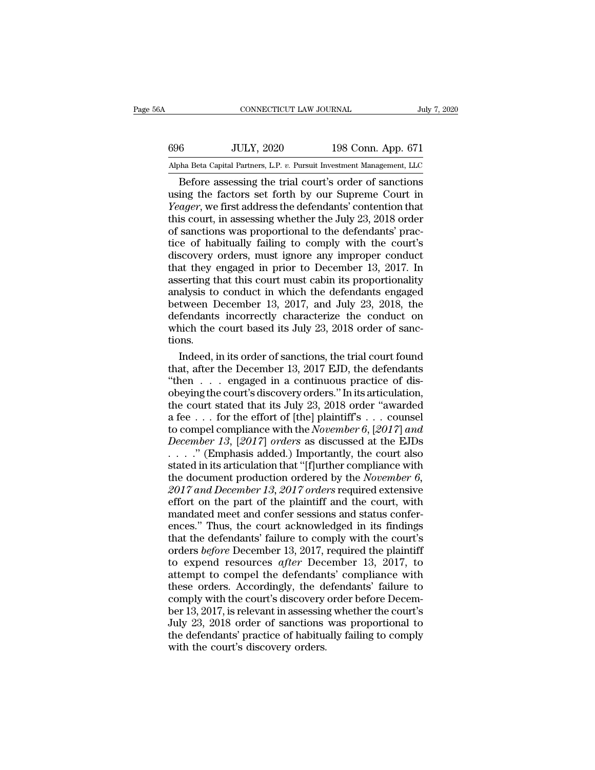|     | CONNECTICUT LAW JOURNAL                                                 |                    | July 7, 2020 |
|-----|-------------------------------------------------------------------------|--------------------|--------------|
|     |                                                                         |                    |              |
| 696 | <b>JULY, 2020</b>                                                       | 198 Conn. App. 671 |              |
|     | Alpha Beta Capital Partners, L.P. v. Pursuit Investment Management, LLC |                    |              |
|     | Before assessing the trial court's order of sanctions                   |                    |              |

CONNECTICUT LAW JOURNAL July 7, 2020<br>
6 JULY, 2020 198 Conn. App. 671<br>
bha Beta Capital Partners, L.P. v. Pursuit Investment Management, LLC<br>
Before assessing the trial court's order of sanctions<br>
ing the factors set forth US G96 JULY, 2020 198 Conn. App. 671<br>
Alpha Beta Capital Partners, L.P. v. Pursuit Investment Management, LLC<br>
Before assessing the trial court's order of sanctions<br>
using the factors set forth by our Supreme Court in<br> *Ye Alpha Beta Capital Partners, L.P. v. Pursuit Investment Management, LLC*<br>*Alpha Beta Capital Partners, L.P. v. Pursuit Investment Management, LLC*<br>*Before assessing the trial court's order of sanctions*<br>using the factors  $t_{\rm 2}$  JULY, 2020 198 Conn. App. 671<br>
Alpha Beta Capital Partners, L.P. v. Pursuit Investment Management, LLC<br>
Before assessing the trial court's order of sanctions<br>
using the factors set forth by our Supreme Court in<br> of sanctions was proportional to the defendants' contains was proportional to Before assessing the trial court's order of sanctions using the factors set forth by our Supreme Court in *Yeager*, we first address the defenda Alpha Beta Capital Partners, L.P.  $v$ . Pursuit Investment Management, LLC<br>
Before assessing the trial court's order of sanctions<br>
using the factors set forth by our Supreme Court in<br> *Yeager*, we first address the defenda Before assessing the trial court's order of sanctions<br>using the factors set forth by our Supreme Court in<br>*Yeager*, we first address the defendants' contention that<br>this court, in assessing whether the July 23, 2018 order<br> using the factors set forth by our Supreme Court in *Yeager*, we first address the defendants' contention that this court, in assessing whether the July 23, 2018 order of sanctions was proportional to the defendants' pract *Yeager*, we first address the defendants' contention that<br>this court, in assessing whether the July 23, 2018 order<br>of sanctions was proportional to the defendants' prac-<br>tice of habitually failing to comply with the cour this court, in assessing whether the July 23, 2018 order<br>of sanctions was proportional to the defendants' prac-<br>tice of habitually failing to comply with the court's<br>discovery orders, must ignore any improper conduct<br>that of sanctions was proportional to the defendants' practice of habitually failing to comply with the court's discovery orders, must ignore any improper conduct that they engaged in prior to December 13, 2017. In asserting th tice of habitually failing to comply with the court's<br>discovery orders, must ignore any improper conduct<br>that they engaged in prior to December 13, 2017. In<br>asserting that this court must cabin its proportionality<br>analysis discovery orders, must ignore any improper conduct<br>that they engaged in prior to December 13, 2017. In<br>asserting that this court must cabin its proportionality<br>analysis to conduct in which the defendants engaged<br>between De tions. serting that this court must cabin its proportionality<br>alysis to conduct in which the defendants engaged<br>tween December 13, 2017, and July 23, 2018, the<br>fendants incorrectly characterize the conduct on<br>nich the court based analysis to conduct in which the defendants engaged<br>between December 13, 2017, and July 23, 2018, the<br>defendants incorrectly characterize the conduct on<br>which the court based its July 23, 2018 order of sanc-<br>tions.<br>Indeed,

between December 13, 2017, and July 23, 2018, the<br>defendants incorrectly characterize the conduct on<br>which the court based its July 23, 2018 order of sanc-<br>tions.<br>Indeed, in its order of sanctions, the trial court found<br>th defendants incorrectly characterize the conduct on<br>which the court based its July 23, 2018 order of sanc-<br>tions.<br>Indeed, in its order of sanctions, the trial court found<br>that, after the December 13, 2017 EJD, the defendant which the court based its July 23, 2018 order of sanctions.<br>
Indeed, in its order of sanctions, the trial court found<br>
that, after the December 13, 2017 EJD, the defendants<br>
"then . . . engaged in a continuous practice of tions.<br>
Indeed, in its order of sanctions, the trial court found<br>
that, after the December 13, 2017 EJD, the defendants<br>
"then . . . engaged in a continuous practice of dis-<br>
obeying the court's discovery orders." In its Indeed, in its order of sanctions, the trial court found<br>that, after the December 13, 2017 EJD, the defendants<br>"then  $\dots$  engaged in a continuous practice of dis-<br>obeying the court's discovery orders." In its articulation that, after the December 13, 2017 EJD, the defendants<br>
"then  $\dots$  engaged in a continuous practice of dis-<br>
obeying the court's discovery orders." In its articulation,<br>
the court stated that its July 23, 2018 order "award "then . . . engaged in a continuous practice of dis-<br>obeying the court's discovery orders." In its articulation,<br>the court stated that its July 23, 2018 order "awarded<br>a fee . . . for the effort of [the] plaintiff's . . . obeying the court's discovery orders." In its articulation,<br>the court stated that its July 23, 2018 order "awarded<br>a fee . . . for the effort of [the] plaintiff's . . . counsel<br>to compel compliance with the *November* 6, the court stated that its July 23, 2018 order "awarded<br>a fee . . . for the effort of [the] plaintiff's . . . counsel<br>to compel compliance with the *November 6*, [2017] and<br>*December 13*, [2017] orders as discussed at the *2017* and *December 13, 2017* orders required extensive effort of [the] plaintiff's . . . counsel to compel compliance with the *November 6, [2017] and December 13, [2017] orders* as discussed at the EJDs . . . . . " (Emp to compel compliance with the *November* 6,  $[2017]$  and *December 13*,  $[2017]$  orders as discussed at the EJDs . . . . ." (Emphasis added.) Importantly, the court also stated in its articulation that "[f]urther complian December 13, [2017] orders as discussed at the EJDs . . . ." (Emphasis added.) Importantly, the court also stated in its articulation that "[f]urther compliance with the document production ordered by the *November 6*, 20 ....." (Emphasis added.) Importantly, the court also<br>stated in its articulation that "[f]urther compliance with<br>the document production ordered by the *November 6,*<br> $2017$  and *December 13, 2017 orders* required extensive stated in its articulation that "[f]urther compliance with<br>the document production ordered by the *November 6*,<br> $2017$  and *December 13*,  $2017$  orders required extensive<br>effort on the part of the plaintiff and the court, the document production ordered by the *November 6,*<br>2017 and December 13, 2017 orders required extensive<br>effort on the part of the plaintiff and the court, with<br>mandated meet and confer sessions and status confer-<br>ences." 2017 and December 13, 2017 orders required extensive<br>effort on the part of the plaintiff and the court, with<br>mandated meet and confer sessions and status confer-<br>ences." Thus, the court acknowledged in its findings<br>that th effort on the part of the plaintiff and the court, with<br>mandated meet and confer sessions and status confer-<br>ences." Thus, the court acknowledged in its findings<br>that the defendants' failure to comply with the court's<br>ord mandated meet and confer sessions and status confer-<br>ences." Thus, the court acknowledged in its findings<br>that the defendants' failure to comply with the court's<br>orders *before* December 13, 2017, required the plaintiff<br>to mandated meet and confer sessions and status conferences." Thus, the court acknowledged in its findings that the defendants' failure to comply with the court's orders *before* December 13, 2017, required the plaintiff to that the defendants' failure to comply with the court's<br>orders *before* December 13, 2017, required the plaintiff<br>to expend resources *after* December 13, 2017, to<br>attempt to compel the defendants' compliance with<br>these or orders *before* December 13, 2017, required the plaintiff<br>to expend resources *after* December 13, 2017, to<br>attempt to compel the defendants' compliance with<br>these orders. Accordingly, the defendants' failure to<br>comply wi to expend resources *after* December 13, 2017, to<br>attempt to compel the defendants' compliance with<br>these orders. Accordingly, the defendants' failure to<br>comply with the court's discovery order before Decem-<br>ber 13, 2017, attempt to compel the defendan<br>these orders. Accordingly, the de<br>comply with the court's discovery<br>ber 13, 2017, is relevant in assessing<br>July 23, 2018 order of sanctions<br>the defendants' practice of habitua<br>with the court'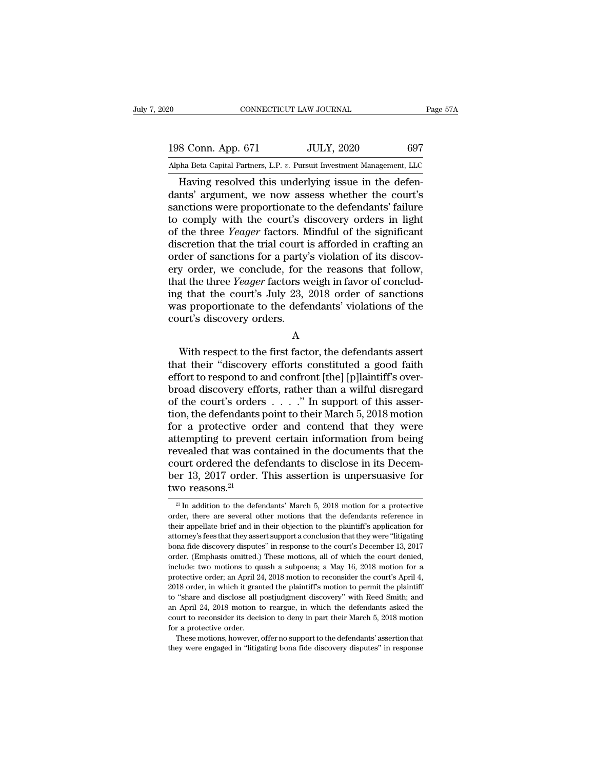| 20 |                    | CONNECTICUT LAW JOURNAL                                                 | Page 57A |
|----|--------------------|-------------------------------------------------------------------------|----------|
|    |                    |                                                                         |          |
|    | 198 Conn. App. 671 | <b>JULY, 2020</b>                                                       | 697      |
|    |                    | Alpha Beta Capital Partners, L.P. v. Pursuit Investment Management, LLC |          |
|    |                    | Having resolved this underlying issue in the defen-                     |          |

CONNECTICUT LAW JOURNAL<br>
8 Conn. App. 671 JULY, 2020 697<br>
Tha Beta Capital Partners, L.P. v. Pursuit Investment Management, LLC<br>
Having resolved this underlying issue in the defen-<br>
Institute argument, we now assess whethe 198 Conn. App. 671 JULY, 2020 697<br>
Alpha Beta Capital Partners, L.P. v. Pursuit Investment Management, LLC<br>
Having resolved this underlying issue in the defendants' argument, we now assess whether the court's<br>
sanctions we 198 Conn. App. 671 JULY, 2020 697<br>
Alpha Beta Capital Partners, L.P. v. Pursuit Investment Management, LLC<br>
Having resolved this underlying issue in the defendants' argument, we now assess whether the court's<br>
sanctions w 198 Conn. App. 671 JULY, 2020 697<br>
Alpha Beta Capital Partners, L.P. v. Pursuit Investment Management, LLC<br>
Having resolved this underlying issue in the defen-<br>
dants' argument, we now assess whether the court's<br>
sanction Alpha Beta Capital Partners, L.P. v. Pursuit Investment Management, LLC<br>Having resolved this underlying issue in the defen-<br>dants' argument, we now assess whether the court's<br>sanctions were proportionate to the defendants' Alpha Beta Capital Partners, L.P.  $v$ . Pursuit Investment Management, LLC<br>
Having resolved this underlying issue in the defen-<br>
dants' argument, we now assess whether the court's<br>
sanctions were proportionate to the defen Having resolved this underlying issue in the defendants' argument, we now assess whether the court's sanctions were proportionate to the defendants' failure to comply with the court's discovery orders in light of the three dants' argument, we now assess whether the court's<br>sanctions were proportionate to the defendants' failure<br>to comply with the court's discovery orders in light<br>of the three *Yeager* factors. Mindful of the significant<br>disc sanctions were proportionate to the defendants' failure<br>to comply with the court's discovery orders in light<br>of the three *Yeager* factors. Mindful of the significant<br>discretion that the trial court is afforded in crafting to comply with the court's discovery orders in light<br>of the three *Yeager* factors. Mindful of the significant<br>discretion that the trial court is afforded in crafting an<br>order of sanctions for a party's violation of its di of the three *Yeager* factors. Mindful of the significant discretion that the trial court is afforded in crafting an order of sanctions for a party's violation of its discovery order, we conclude, for the reasons that foll discretion that the trial court i<br>order of sanctions for a party'<br>ery order, we conclude, for t<br>that the three *Yeager* factors w<br>ing that the court's July 23,<br>was proportionate to the defe<br>court's discovery orders. of the three *Yeager* factors weigh in favor of conclud-<br>g that the court's July 23, 2018 order of sanctions<br>as proportionate to the defendants' violations of the<br>urt's discovery orders.<br>A<br>With respect to the first factor,

A

that the three retuyer racteds weight in favor of concretating that the court's July 23, 2018 order of sanctions<br>was proportionate to the defendants' violations of the court's discovery orders.<br>A<br>With respect to the first responsive to the defendants' violations of the<br>court's discovery orders.<br>A<br>With respect to the first factor, the defendants assert<br>that their "discovery efforts constituted a good faith<br>effort to respond to and confront [ A<br>
was proportionate to the determinants violations of the<br>
court's discovery orders.<br>
A<br>
With respect to the first factor, the defendants assert<br>
that their "discovery efforts constituted a good faith<br>
effort to respond A<br>
With respect to the first factor, the defendants assert<br>
that their "discovery efforts constituted a good faith<br>
effort to respond to and confront [the] [p]laintiff's over-<br>
broad discovery efforts, rather than a wilful A<br>With respect to the first factor, the defendants assert<br>that their "discovery efforts constituted a good faith<br>effort to respond to and confront [the] [p]laintiff's over-<br>broad discovery efforts, rather than a wilful dis With respect to the first factor, the defendants assert<br>that their "discovery efforts constituted a good faith<br>effort to respond to and confront [the] [p]laintiff's over-<br>broad discovery efforts, rather than a wilful disr that their "discovery efforts constituted a good faith<br>effort to respond to and confront [the] [p]laintiff's over-<br>broad discovery efforts, rather than a wilful disregard<br>of the court's orders  $\dots$ ." In support of this as effort to respond to and confront [the] [p]laintiff's over-<br>broad discovery efforts, rather than a wilful disregard<br>of the court's orders  $\dots$ ." In support of this asser-<br>tion, the defendants point to their March 5, 2018 broad discovery efforts, rather than a wilful disregard<br>of the court's orders  $\ldots$ ." In support of this asser-<br>tion, the defendants point to their March 5, 2018 motion<br>for a protective order and contend that they were<br>at % of the court's orders  $\ldots$ ." In support of this assertion, the defendants point to their March 5, 2018 motion for a protective order and contend that they were attempting to prevent certain information from being revea tion, the defendants por a protective or<br>attempting to prever<br>revealed that was covert ordered the defeating to the defeating<br>ber 13, 2017 order.<br>two reasons.<sup>21</sup> evealed that was contained in the documents that the<br>ourt ordered the defendants to disclose in its Decem-<br>er 13, 2017 order. This assertion is unpersuasive for<br>vo reasons.<sup>21</sup><br><sup>21</sup> In addition to the defendants' March 5, court ordered the defendants to disclose in its December 13, 2017 order. This assertion is unpersuasive for two reasons.<sup>21</sup><br> $\frac{2!}{1!}$  In addition to the defendants' March 5, 2018 motion for a protective order, there ar

ber 13, 2017 order. This assertion is unpersuasive for<br>two reasons.<sup>21</sup><br> $\frac{2!}{1!}$  In addition to the defendants' March 5, 2018 motion for a protective<br>order, there are several other motions that the defendants reference two reasons.<sup>21</sup><br>
<sup>21</sup> In addition to the defendants' March 5, 2018 motion for a protective<br>
order, there are several other motions that the defendants reference in<br>
their appellate brief and in their objection to the pla **EXAMPLE 18.18.18.18.18.19.**<br>
<sup>21</sup> In addition to the defendants' March 5, 2018 motion for a protective order, there are several other motions that the defendants reference in their appellate brief and in their objection <sup>21</sup> In addition to the defendants' March 5, 2018 motion for a protective order, there are several other motions that the defendants reference in their appellate brief and in their objection to the plaintiff's application order, there are several other motions that the defendants reference in their appellate brief and in their objection to the plaintiff's application for attorney's fees that they assert support a conclusion that they were " their appellate brief and in their objection to the plaintiff's application for attorney's fees that they assert support a conclusion that they were "litigating bona fide discovery disputes" in response to the court's Dece attorney's fees that they assert support a conclusion that they were "litigating bona fide discovery disputes" in response to the court's December 13, 2017 order. (Emphasis omitted.) These motions, all of which the court d to bona fide discovery disputes" in response to the court's December 13, 2017<br>order. (Emphasis omitted.) These motions, all of which the court denied,<br>include: two motions to quash a subpoena; a May 16, 2018 motion for a<br>p back conder. (Emphasis omitted.) These motions, all of which the court denied, include: two motions to quash a subpoena; a May 16, 2018 motion for a protective order; an April 24, 2018 motion to reconsider the court's Apri court to reconsider its decision to deny in part their March 2018 motion for a protective order; an April 24, 2018 motion to reconsider the court's April 4, 2018 order, in which it granted the plaintiff's motion to permit include: two motions to quash a subpoena; a May 16, 2018 motion for a protective order; an April 24, 2018 motion to reconsider the court's April 4, 2018 order, in which it granted the plaintiff's motion to permit the plai 2018 order, in which it granted the plaintiff's motion to permit the plaintiff to "share and disclose all postjudgment discovery" with Reed Smith; and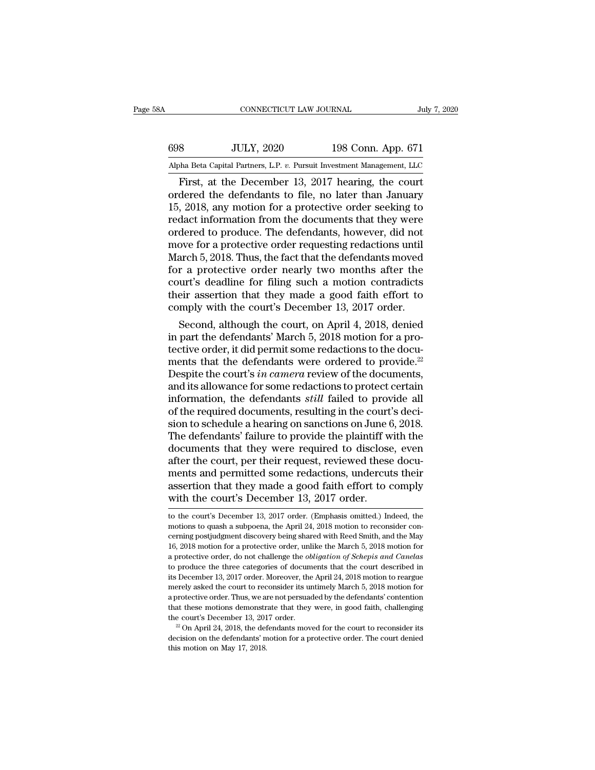|     | CONNECTICUT LAW JOURNAL                                                 |                    | July 7, 2020 |
|-----|-------------------------------------------------------------------------|--------------------|--------------|
| 698 | <b>JULY, 2020</b>                                                       | 198 Conn. App. 671 |              |
|     | Alpha Beta Capital Partners, L.P. v. Pursuit Investment Management, LLC |                    |              |
|     | First at the December 13, 2017 hearing the court                        |                    |              |

First, at the December 13, 2017 hearing, the court<br>dered the defendants to file, no later than January<br>2018 any motion for a protective order social to<br>2018 any motion for a protective order social to ordered the defendants to file, no later than January<br>
198 Conn. App. 671<br>
198 Conn. App. 671<br>
198 Conn. App. 671<br>
198 Conn. App. 671<br>
198 Conn. App. 671<br>
15 Trist, at the December 13, 2017 hearing, the court<br>
15, 2018, an  $198$  Conn. App. 671<br>
Alpha Beta Capital Partners, L.P. v. Pursuit Investment Management, LLC<br>
First, at the December 13, 2017 hearing, the court<br>
ordered the defendants to file, no later than January<br>
15, 2018, any motio  $\frac{1000}{\text{Alpha Beta Capital Partners, L.P. } v.}$  Pursuit Investment Management, LLC<br>First, at the December 13, 2017 hearing, the court<br>ordered the defendants to file, no later than January<br>15, 2018, any motion for a protective order seeking Alpha Beta Capital Partners, L.P. v. Pursuit Investment Management, LLC<br>First, at the December 13, 2017 hearing, the court<br>ordered the defendants to file, no later than January<br>15, 2018, any motion for a protective order Alpha Beta Capital Partners, L.P.  $v$ . Pursuit Investment Management, LLC<br>
First, at the December 13, 2017 hearing, the court<br>
ordered the defendants to file, no later than January<br>
15, 2018, any motion for a protective o First, at the December 13, 2017 hearing, the court<br>ordered the defendants to file, no later than January<br>15, 2018, any motion for a protective order seeking to<br>redact information from the documents that they were<br>ordered t ordered the defendants to file, no later than January<br>15, 2018, any motion for a protective order seeking to<br>redact information from the documents that they were<br>ordered to produce. The defendants, however, did not<br>move fo 15, 2018, any motion for a protective order seeking to<br>redact information from the documents that they were<br>ordered to produce. The defendants, however, did not<br>move for a protective order requesting redactions until<br>Marc redact information from the documents that they were<br>ordered to produce. The defendants, however, did not<br>move for a protective order requesting redactions until<br>March 5, 2018. Thus, the fact that the defendants moved<br>for ordered to produce. The defendants, however, did not<br>move for a protective order requesting redactions until<br>March 5, 2018. Thus, the fact that the defendants moved<br>for a protective order nearly two months after the<br>court' ove for a protective order requesting redactions until<br>arch 5, 2018. Thus, the fact that the defendants moved<br>r a protective order nearly two months after the<br>urt's deadline for filing such a motion contradicts<br>eir asserti march 5, 2018. Thus, the ract that the defendants moved<br>for a protective order nearly two months after the<br>court's deadline for filing such a motion contradicts<br>their assertion that they made a good faith effort to<br>comply

for a protective order nearly two months after the<br>court's deadline for filing such a motion contradicts<br>their assertion that they made a good faith effort to<br>comply with the court's December 13, 2017 order.<br>Second, altho court's deadline for filing such a motion contradicts<br>their assertion that they made a good faith effort to<br>comply with the court's December 13, 2017 order.<br>Second, although the court, on April 4, 2018, denied<br>in part the their assertion that they made a good faith effort to<br>comply with the court's December 13, 2017 order.<br>Second, although the court, on April 4, 2018, denied<br>in part the defendants' March 5, 2018 motion for a pro-<br>tective or comply with the court's December 13, 2017 order.<br>
Second, although the court, on April 4, 2018, denied<br>
in part the defendants' March 5, 2018 motion for a pro-<br>
tective order, it did permit some redactions to the document Second, although the court, on April 4, 2018, denied<br>in part the defendants' March 5, 2018 motion for a pro-<br>tective order, it did permit some redactions to the docu-<br>ments that the defendants were ordered to provide.<sup>22</sup><br> in part the defendants' March 5, 2018 motion for a pro-<br>tective order, it did permit some redactions to the documents that the defendants were ordered to provide.<sup>22</sup><br>Despite the court's *in camera* review of the document tective order, it did permit some redactions to the documents that the defendants were ordered to provide.<sup>22</sup><br>Despite the court's *in camera* review of the documents,<br>and its allowance for some redactions to protect certa ments that the defendants were ordered to provide.<sup>22</sup><br>Despite the court's *in camera* review of the documents,<br>and its allowance for some redactions to protect certain<br>information, the defendants *still* failed to provid Despite the court's *in camera* review of the documents,<br>and its allowance for some redactions to protect certain<br>information, the defendants *still* failed to provide all<br>of the required documents, resulting in the court and its allowance for some redactions to protect certain<br>information, the defendants *still* failed to provide all<br>of the required documents, resulting in the court's deci-<br>sion to schedule a hearing on sanctions on June 6 information, the defendants *still* failed to provide all<br>of the required documents, resulting in the court's deci-<br>sion to schedule a hearing on sanctions on June 6, 2018.<br>The defendants' failure to provide the plaintiff of the required documents, resulting in the court's decision to schedule a hearing on sanctions on June 6, 2018.<br>The defendants' failure to provide the plaintiff with the documents that they were required to disclose, even sion to schedule a hearing on sanctions on June (<br>The defendants' failure to provide the plaintiff w<br>documents that they were required to disclose<br>after the court, per their request, reviewed these<br>ments and permitted some after the court, per their request, reviewed these documents and permitted some redactions, undercuts their assertion that they made a good faith effort to comply with the court's December 13, 2017 order.<br>to the court's De ments and permitted some redactions, undercuts their<br>assertion that they made a good faith effort to comply<br>with the court's December 13, 2017 order.<br>to the court's December 13, 2017 order. (Emphasis omitted.) Indeed, the<br>

assertion that they made a good faith effort to comply<br>with the court's December 13, 2017 order.<br>to the court's December 13, 2017 order. (Emphasis omitted.) Indeed, the<br>motions to quash a subpoena, the April 24, 2018 motio with the court's December 13, 2017 order.<br>
to the court's December 13, 2017 order.<br>
to the court's December 13, 2017 order. (Emphasis omitted.) Indeed, the<br>
motions to quash a subpoena, the April 24, 2018 motion to reconsi with the COUT S December 15, 2017 Order.<br>to the court's December 13, 2017 order. (Emphasis omitted.) Indeed, the<br>motions to quash a subpoena, the April 24, 2018 motion to reconsider con-<br>cerning postjudgment discovery bein to the court's December 13, 2017 order. (Emphasis omitted.) Indeed, the motions to quash a subpoena, the April 24, 2018 motion to reconsider concerning postjudgment discovery being shared with Reed Smith, and the May 16, 2 motions to quash a subpoena, the April 24, 2018 motion to reconsider concerning postjudgment discovery being shared with Reed Smith, and the May 16, 2018 motion for a protective order, unlike the March 5, 2018 motion for a cerning postjudgment discovery being shared with Reed Smith, and the May 16, 2018 motion for a protective order, unlike the March 5, 2018 motion for a protective order, do not challenge the *obligation of Schepis and Canel* 16, 2018 motion for a protective order, unlike the March 5, 2018 motion for a protective order, do not challenge the *obligation of Schepis and Canelas* to produce the three categories of documents that the court describe to protective order, do not challenge the *obligation of Schepis and Canelas* a protective order, do not challenge the *obligation of Schepis and Canelas* to produce the three categories of documents that the court describ to produce the three categories of documents that the court described in its December 13, 2017 order. Moreover, the April 24, 2018 motion to reargue merely asked the court to reconsider its untimely March 5, 2018 motion fo merely asked the court to reconsider its untimely March 5, 2018 motion for a protective order. Thus, we are not persuaded by the defendants' contention that these motions demonstrate that they were, in good faith, challen merely asked the court to reconsider its untimely March 5, 2018 motion for a protective order. Thus, we are not persuaded by the defendants' contention that these motions demonstrate that they were, in good faith, challen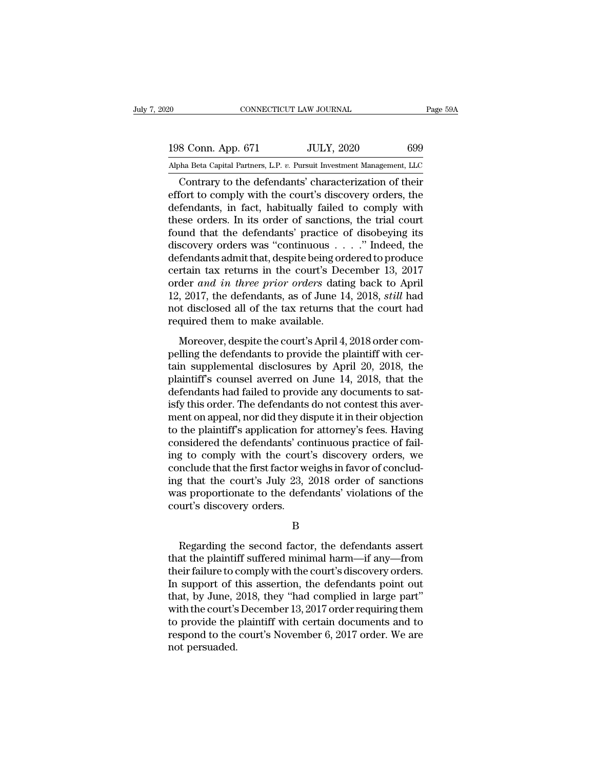## 198 Conn. App. 671 JULY, 2020 699<br>Alpha Beta Capital Partners, L.P. v. Pursuit Investment Management, LLC Valy 7, 2020 CONNECTICUT LAW JOURNAL Page 59A<br>
198 Conn. App. 671 JULY, 2020 699<br>
Alpha Beta Capital Partners, L.P. *v.* Pursuit Investment Management, LLC<br>
Contrary to the defendants' characterization of their

CONNECTICUT LAW JOURNAL Page 59A<br>
8 Conn. App. 671 JULY, 2020 699<br>
Joha Beta Capital Partners, L.P. v. Pursuit Investment Management, LLC<br>
Contrary to the defendants' characterization of their<br>
fort to comply with the cour 198 Conn. App. 671 JULY, 2020 699<br>
Alpha Beta Capital Partners, L.P. v. Pursuit Investment Management, LLC<br>
Contrary to the defendants' characterization of their<br>
effort to comply with the court's discovery orders, the<br>
de 198 Conn. App. 671 JULY, 2020 699<br>
Alpha Beta Capital Partners, L.P. v. Pursuit Investment Management, LLC<br>
Contrary to the defendants' characterization of their<br>
effort to comply with the court's discovery orders, the<br>
d 198 Conn. App. 671 JULY, 2020 699<br>
Alpha Beta Capital Partners, L.P. v. Pursuit Investment Management, LLC<br>
Contrary to the defendants' characterization of their<br>
effort to comply with the court's discovery orders, the<br>
de Alpha Beta Capital Partners, L.P. v. Pursuit Investment Management, LLC<br>
Contrary to the defendants' characterization of their<br>
effort to comply with the court's discovery orders, the<br>
defendants, in fact, habitually fail Alpha Beta Capital Partners, L.P. v. Pursuit Investment Management, LLC<br>
Contrary to the defendants' characterization of their<br>
effort to comply with the court's discovery orders, the<br>
defendants, in fact, habitually fail Contrary to the defendants' characterization of their<br>effort to comply with the court's discovery orders, the<br>defendants, in fact, habitually failed to comply with<br>these orders. In its order of sanctions, the trial court<br> effort to comply with the court's discovery orders, the<br>defendants, in fact, habitually failed to comply with<br>these orders. In its order of sanctions, the trial court<br>found that the defendants' practice of disobeying its<br> defendants, in fact, habitually failed to comply with<br>these orders. In its order of sanctions, the trial court<br>found that the defendants' practice of disobeying its<br>discovery orders was "continuous . . . ." Indeed, the<br>def these orders. In its order of sanctions, the trial court<br>found that the defendants' practice of disobeying its<br>discovery orders was "continuous . . . . ." Indeed, the<br>defendants admit that, despite being ordered to produce found that the defendants' practice of disobeying its<br>discovery orders was "continuous . . . ." Indeed, the<br>defendants admit that, despite being ordered to produce<br>certain tax returns in the court's December 13, 2017<br>orde discovery orders was "continuous . . defendants admit that, despite being order certain tax returns in the court's Decorder and in three prior orders datinered 12, 2017, the defendants, as of June 14 not disclosed all of t Train tax returns in the court's December 13, 2017<br>therefore and in three prior orders dating back to April<br>1, 2017, the defendants, as of June 14, 2018, *still* had<br>1, 2017, the defendants, as of June 14, 2018, *still* h percention in the defendants is becomed to, 251.<br>
order and in three prior orders dating back to April<br>
12, 2017, the defendants, as of June 14, 2018, still had<br>
not disclosed all of the tax returns that the court had<br>
re

12, 2017, the defendants, as of June 14, 2018, *still* had<br>not disclosed all of the tax returns that the court had<br>required them to make available.<br>Moreover, despite the court's April 4, 2018 order com-<br>pelling the defend plantiff's counsel and field the plantiff's counsel and field on the defendants of a plantiff with certain supplemental disclosures by April 20, 2018, the plaintiff's counsel averred on June 14, 2018, that the defendants h required them to make available.<br>Moreover, despite the court's April 4, 2018 order com-<br>pelling the defendants to provide the plaintiff with cer-<br>tain supplemental disclosures by April 20, 2018, the<br>plaintiff's counsel ave Moreover, despite the court's April 4, 2018 order compelling the defendants to provide the plaintiff with certain supplemental disclosures by April 20, 2018, the plaintiff's counsel averred on June 14, 2018, that the defen Moreover, despite the court's April 4, 2018 order compelling the defendants to provide the plaintiff with certain supplemental disclosures by April 20, 2018, the plaintiff's counsel averred on June 14, 2018, that the defen pelling the defendants to provide the plaintiff with certain supplemental disclosures by April 20, 2018, the plaintiff's counsel averred on June 14, 2018, that the defendants had failed to provide any documents to satisfy tain supplemental disclosures by April 20, 2018, the plaintiff's counsel averred on June 14, 2018, that the defendants had failed to provide any documents to satisfy this order. The defendants do not contest this averment plaintiff's counsel averred on June 14, 2018, that the<br>defendants had failed to provide any documents to sat-<br>isfy this order. The defendants do not contest this aver-<br>ment on appeal, nor did they dispute it in their objec defendants had failed to provide any documents to satisfy this order. The defendants do not contest this averment on appeal, nor did they dispute it in their objection to the plaintiff's application for attorney's fees. Ha isfy this order. The defendants do not contest this aver-<br>ment on appeal, nor did they dispute it in their objection<br>to the plaintiff's application for attorney's fees. Having<br>considered the defendants' continuous practice ment on appeal, nor did they dispute it in their objection<br>to the plaintiff's application for attorney's fees. Having<br>considered the defendants' continuous practice of fail-<br>ing to comply with the court's discovery orders, to the plaintiff's application fo<br>considered the defendants' comply with the court<br>conclude that the first factor w<br>ing that the court's July 23,<br>was proportionate to the defe<br>court's discovery orders. nclude that the first factor weighs in favor of concluder<br>g that the court's July 23, 2018 order of sanctions<br>as proportionate to the defendants' violations of the<br>urt's discovery orders.<br>B<br>Regarding the second factor, the

B

ing that the court's July 23, 2018 order of sanctions<br>was proportionate to the defendants' violations of the<br>court's discovery orders.<br>B<br>Regarding the second factor, the defendants assert<br>that the plaintiff suffered minima was proportionate to the defendants' violations of the<br>court's discovery orders.<br>B<br>Regarding the second factor, the defendants assert<br>that the plaintiff suffered minimal harm—if any—from<br>their failure to comply with the co B<br>B<br>Regarding the second factor, the defendants assert<br>that the plaintiff suffered minimal harm—if any—from<br>their failure to comply with the court's discovery orders.<br>In support of this assertion, the defendants point out<br> B<br>
B<br>
Regarding the second factor, the defendants assert<br>
that the plaintiff suffered minimal harm—if any—from<br>
their failure to comply with the court's discovery orders.<br>
In support of this assertion, the defendants point Regarding the second factor, the defendants assert<br>that the plaintiff suffered minimal harm—if any—from<br>their failure to comply with the court's discovery orders.<br>In support of this assertion, the defendants point out<br>tha Regarding the second factor, the defendants assert<br>that the plaintiff suffered minimal harm—if any—from<br>their failure to comply with the court's discovery orders.<br>In support of this assertion, the defendants point out<br>that that the plaintiff suffered minimal harm—if any—from<br>their failure to comply with the court's discovery orders.<br>In support of this assertion, the defendants point out<br>that, by June, 2018, they "had complied in large part"<br> their failure to **c**<br>In support of t<br>that, by June, '<br>with the court's<br>to provide the<br>respond to the<br>not persuaded.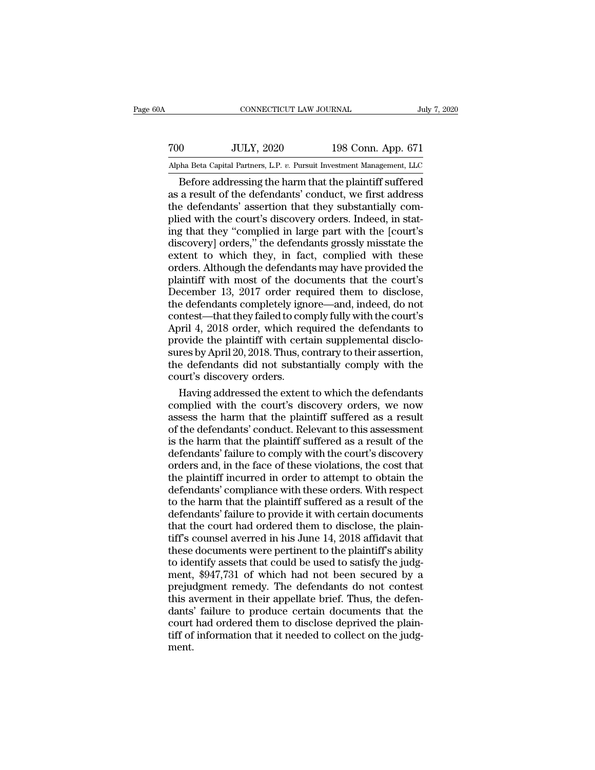## 198 CONNECTICUT LAW JOURNAL July 7, 2020<br>198 Conn. App. 671<br>2014 Alpha Beta Capital Partners, L.P. v. Pursuit Investment Management, LLC CONNECTICUT LAW JOURNAL July 7, 2020<br>  $\begin{array}{r} \text{July 7, 2020} \ \text{Alpha Beta Capital Patterns, L.P. } v. \text{ Pursuit Investment Management, LLC} \ \end{array}$ <br>
Before addressing the harm that the plaintiff suffered

CONNECTICUT LAW JOURNAL July 7, 2020<br>
O JULY, 2020 198 Conn. App. 671<br>
Dha Beta Capital Partners, L.P. v. Pursuit Investment Management, LLC<br>
Before addressing the harm that the plaintiff suffered<br>
a result of the defendan Transfer and the defendants' conduct of the defendants' alpha Beta Capital Partners, L.P. v. Pursuit Investment Management, LLC<br>
Before addressing the harm that the plaintiff suffered<br>
as a result of the defendants' conduc To the defendants' assertion that the plaintiff suffered as a result of the defendants' conduct, we first address<br>the defendants' assertion that they substantially complied with the court's discovery orders. Indeed, in st From Tables 2020 198 Conn. App. 671<br>Alpha Beta Capital Partners, L.P. v. Pursuit Investment Management, LLC<br>Before addressing the harm that the plaintiff suffered<br>as a result of the defendants' conduct, we first address<br>th ISO COME THPP. 011<br>
Alpha Beta Capital Partners, L.P. v. Pursuit Investment Management, LLC<br>
Before addressing the harm that the plaintiff suffered<br>
as a result of the defendants' conduct, we first address<br>
the defendants' Alpha Beta Capital Partners, L.P. v. Pursuit Investment Management, LLC<br>Before addressing the harm that the plaintiff suffered<br>as a result of the defendants' conduct, we first address<br>the defendants' assertion that they su Before addressing the harm that the plaintiff suffered<br>as a result of the defendants' conduct, we first address<br>the defendants' assertion that they substantially com-<br>plied with the court's discovery orders. Indeed, in sta as a result of the defendants' conduct, we first address<br>the defendants' assertion that they substantially com-<br>plied with the court's discovery orders. Indeed, in stat-<br>ing that they "complied in large part with the [cour the defendants' assertion that they substantially complied with the court's discovery orders. Indeed, in stating that they "complied in large part with the [court's discovery] orders," the defendants grossly misstate the e plied with the court's discovery orders. Indeed, in stating that they "complied in large part with the [court's discovery] orders," the defendants grossly misstate the extent to which they, in fact, complied with these ord ing that they "complied in large part with the [court's discovery] orders," the defendants grossly misstate the extent to which they, in fact, complied with these orders. Although the defendants may have provided the plain discovery] orders," the defendants grossly misstate the<br>extent to which they, in fact, complied with these<br>orders. Although the defendants may have provided the<br>plaintiff with most of the documents that the court's<br>Decembe extent to which they, in fact, complied with these<br>orders. Although the defendants may have provided the<br>plaintiff with most of the documents that the court's<br>December 13, 2017 order required them to disclose,<br>the defendan orders. Although the defendants may have provided the plaintiff with most of the documents that the court's December 13, 2017 order required them to disclose, the defendants completely ignore—and, indeed, do not contest—th plaintiff with most of the documents that the court's<br>December 13, 2017 order required them to disclose,<br>the defendants completely ignore—and, indeed, do not<br>contest—that they failed to comply fully with the court's<br>April December 13, 2017 order required them to disclose,<br>the defendants completely ignore—and, indeed, do not<br>contest—that they failed to comply fully with the court's<br>April 4, 2018 order, which required the defendants to<br>provid the defendants completely igno<br>contest—that they failed to con<br>April 4, 2018 order, which rec<br>provide the plaintiff with cert<br>sures by April 20, 2018. Thus, co<br>the defendants did not substa<br>court's discovery orders.<br>Having ntest—that they failed to comply fully with the court's<br>pril 4, 2018 order, which required the defendants to<br>ovide the plaintiff with certain supplemental disclo-<br>res by April 20, 2018. Thus, contrary to their assertion,<br>e April 4, 2018 order, which required the defendants to<br>provide the plaintiff with certain supplemental disclo-<br>sures by April 20, 2018. Thus, contrary to their assertion,<br>the defendants did not substantially comply with the

provide the plaintiff with certain supplemental disclosures by April 20, 2018. Thus, contrary to their assertion, the defendants did not substantially comply with the court's discovery orders.<br>Having addressed the extent t sures by April 20, 2018. Thus, contrary to their assertion,<br>the defendants did not substantially comply with the<br>court's discovery orders.<br>Having addressed the extent to which the defendants<br>complied with the court's disco the defendants did not substantially comply with the court's discovery orders.<br>
Having addressed the extent to which the defendants<br>
complied with the court's discovery orders, we now<br>
assess the harm that the plaintiff su court's discovery orders.<br>'Having addressed the extent to which the defendants<br>complied with the court's discovery orders, we now<br>assess the harm that the plaintiff suffered as a result<br>of the defendants' conduct. Relevant Having addressed the extent to which the defendants<br>complied with the court's discovery orders, we now<br>assess the harm that the plaintiff suffered as a result<br>of the defendants' conduct. Relevant to this assessment<br>is the complied with the court's discovery orders, we now<br>assess the harm that the plaintiff suffered as a result<br>of the defendants' conduct. Relevant to this assessment<br>is the harm that the plaintiff suffered as a result of the<br> assess the harm that the plaintiff suffered as a result<br>of the defendants' conduct. Relevant to this assessment<br>is the harm that the plaintiff suffered as a result of the<br>defendants' failure to comply with the court's disc of the defendants' conduct. Relevant to this assessment<br>is the harm that the plaintiff suffered as a result of the<br>defendants' failure to comply with the court's discovery<br>orders and, in the face of these violations, the c is the harm that the plaintiff suffered as a result of the defendants' failure to comply with the court's discovery orders and, in the face of these violations, the cost that the plaintiff incurred in order to attempt to o defendants' failure to comply with the court's discovery<br>orders and, in the face of these violations, the cost that<br>the plaintiff incurred in order to attempt to obtain the<br>defendants' compliance with these orders. With re orders and, in the face of these violations, the cost that<br>the plaintiff incurred in order to attempt to obtain the<br>defendants' compliance with these orders. With respect<br>to the harm that the plaintiff suffered as a result the plaintiff incurred in order to attempt to obtain the defendants' compliance with these orders. With respect to the harm that the plaintiff suffered as a result of the defendants' failure to provide it with certain docu defendants' compliance with these orders. With respect<br>to the harm that the plaintiff suffered as a result of the<br>defendants' failure to provide it with certain documents<br>that the court had ordered them to disclose, the pl to the harm that the plaintiff suffered as a result of the defendants' failure to provide it with certain documents that the court had ordered them to disclose, the plaintiff's counsel averred in his June 14, 2018 affidavi defendants' failure to provide it with certain documents<br>that the court had ordered them to disclose, the plain-<br>tiff's counsel averred in his June 14, 2018 affidavit that<br>these documents were pertinent to the plaintiff's that the court had ordered them to disclose, the plaintiff's counsel averred in his June 14, 2018 affidavit that these documents were pertinent to the plaintiff's ability to identify assets that could be used to satisfy th tiff's counsel averred in his June 14, 2018 affidavit that<br>these documents were pertinent to the plaintiff's ability<br>to identify assets that could be used to satisfy the judg-<br>ment, \$947,731 of which had not been secured b these documents were pertinent to the plaintiff's ability<br>to identify assets that could be used to satisfy the judg-<br>ment, \$947,731 of which had not been secured by a<br>prejudgment remedy. The defendants do not contest<br>this to identify assets that could be used to satisfy the judgment, \$947,731 of which had not been secured by a prejudgment remedy. The defendants do not contest this averment in their appellate brief. Thus, the defendants' fai ment.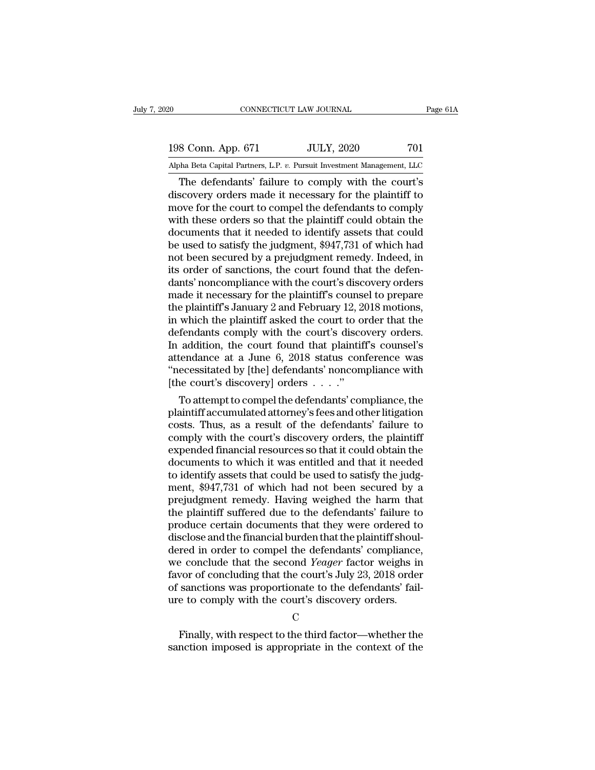| 20                 | CONNECTICUT LAW JOURNAL                                                 | Page 61A |
|--------------------|-------------------------------------------------------------------------|----------|
|                    |                                                                         |          |
| 198 Conn. App. 671 | <b>JULY, 2020</b>                                                       | 701      |
|                    | Alpha Beta Capital Partners, L.P. v. Pursuit Investment Management, LLC |          |
|                    | The defendants' failure to comply with the court's                      |          |

CONNECTICUT LAW JOURNAL Page 61A<br>
8 Conn. App. 671 JULY, 2020 701<br>
July, 2020 701<br>
The defendants' failure to comply with the court's<br>
scovery orders made it necessary for the plaintiff to<br>
pyo for the court to complete de 198 Conn. App. 671 JULY, 2020 701<br>
Alpha Beta Capital Partners, L.P. v. Pursuit Investment Management, LLC<br>
The defendants' failure to comply with the court's<br>
discovery orders made it necessary for the plaintiff to<br>
move 198 Conn. App. 671 JULY, 2020 701<br>Alpha Beta Capital Partners, L.P.  $v$ . Pursuit Investment Management, LLC<br>The defendants' failure to comply with the court's<br>discovery orders made it necessary for the plaintiff to<br>move f 198 Conn. App. 671 JULY, 2020 701<br>
Alpha Beta Capital Partners, L.P. v. Pursuit Investment Management, LLC<br>
The defendants' failure to comply with the court's<br>
discovery orders made it necessary for the plaintiff to<br>
move Alpha Beta Capital Partners, L.P. v. Pursuit Investment Management, LLC<br>The defendants' failure to comply with the court's<br>discovery orders made it necessary for the plaintiff to<br>move for the court to compel the defendants Alpha Beta Capital Partners, L.P. v. Pursuit Investment Management, LLC<br>
The defendants' failure to comply with the court's<br>
discovery orders made it necessary for the plaintiff to<br>
move for the court to compel the defend The defendants' failure to comply with the court's<br>discovery orders made it necessary for the plaintiff to<br>move for the court to compel the defendants to comply<br>with these orders so that the plaintiff could obtain the<br>docu discovery orders made it necessary for the plaintiff to<br>move for the court to compel the defendants to comply<br>with these orders so that the plaintiff could obtain the<br>documents that it needed to identify assets that could<br> move for the court to compel the defendants to comply<br>with these orders so that the plaintiff could obtain the<br>documents that it needed to identify assets that could<br>be used to satisfy the judgment, \$947,731 of which had<br>n with these orders so that the plaintiff could obtain the<br>documents that it needed to identify assets that could<br>be used to satisfy the judgment, \$947,731 of which had<br>not been secured by a prejudgment remedy. Indeed, in<br>it documents that it needed to identify assets that could<br>be used to satisfy the judgment, \$947,731 of which had<br>not been secured by a prejudgment remedy. Indeed, in<br>its order of sanctions, the court found that the defen-<br>dan be used to satisfy the judgment, \$947,731 of which had<br>not been secured by a prejudgment remedy. Indeed, in<br>its order of sanctions, the court found that the defen-<br>dants' noncompliance with the court's discovery orders<br>mad not been secured by a prejudgment remedy. Indeed, in<br>its order of sanctions, the court found that the defen-<br>dants' noncompliance with the court's discovery orders<br>made it necessary for the plaintiff's counsel to prepare<br>t its order of sanctions, the court found that the defendants' noncompliance with the court's discovery orders<br>made it necessary for the plaintiff's counsel to prepare<br>the plaintiff's January 2 and February 12, 2018 motions, dants' noncompliance with the court's discovery orders<br>made it necessary for the plaintiff's counsel to prepare<br>the plaintiff's January 2 and February 12, 2018 motions,<br>in which the plaintiff asked the court to order that made it necessary for the plaintiff's counsel to prepare<br>the plaintiff's January 2 and February 12, 2018 motions,<br>in which the plaintiff asked the court to order that the<br>defendants comply with the court's discovery order the plaintiff's January 2 and February 12, 2<br>in which the plaintiff asked the court to ordefendants comply with the court's disco<br>In addition, the court found that plaintif<br>attendance at a June 6, 2018 status con<br>"necessi which the plaintiff asked the court to order that the<br>fendants comply with the court's discovery orders.<br>addition, the court found that plaintiff's counsel's<br>tendance at a June 6, 2018 status conference was<br>ecessitated by derendants comply with the court's discovery orders.<br>In addition, the court found that plaintiff's counsel's<br>attendance at a June 6, 2018 status conference was<br>"necessitated by [the] defendants' noncompliance with<br>[the cou

In addition, the court found that plaintiff s counsers<br>attendance at a June 6, 2018 status conference was<br>"necessitated by [the] defendants' noncompliance with<br>[the court's discovery] orders  $\dots$ ."<br>To attempt to compel th attendance at a June 6, 2018 status conference was<br>
"necessitated by [the] defendants' noncompliance with<br>
[the court's discovery] orders . . . ."<br>
To attempt to compel the defendants' compliance, the<br>
plaintiff accumulate These interestivated by [the] detendants noncompliance with<br>
[the court's discovery] orders  $\dots$ ."<br>
To attempt to compel the defendants' compliance, the<br>
plaintiff accumulated attorney's fees and other litigation<br>
costs. To attempt to compel the defendants' compliance, the<br>plaintiff accumulated attorney's fees and other litigation<br>costs. Thus, as a result of the defendants' failure to<br>comply with the court's discovery orders, the plaintif To attempt to compel the defendants' compliance, the plaintiff accumulated attorney's fees and other litigation costs. Thus, as a result of the defendants' failure to comply with the court's discovery orders, the plaintiff plaintiff accumulated attorney's fees and other litigation<br>costs. Thus, as a result of the defendants' failure to<br>comply with the court's discovery orders, the plaintiff<br>expended financial resources so that it could obtain costs. Thus, as a result of the defendants' failure to<br>comply with the court's discovery orders, the plaintiff<br>expended financial resources so that it could obtain the<br>documents to which it was entitled and that it needed<br> comply with the court's discovery orders, the plaintiff<br>expended financial resources so that it could obtain the<br>documents to which it was entitled and that it needed<br>to identify assets that could be used to satisfy the ju expended financial resources so that it could obtain the<br>documents to which it was entitled and that it needed<br>to identify assets that could be used to satisfy the judg-<br>ment, \$947,731 of which had not been secured by a<br>pr documents to which it was entitled and that it needed<br>to identify assets that could be used to satisfy the judg-<br>ment, \$947,731 of which had not been secured by a<br>prejudgment remedy. Having weighed the harm that<br>the plaint to identify assets that could be used to satisfy the judgment, \$947,731 of which had not been secured by a prejudgment remedy. Having weighed the harm that the plaintiff suffered due to the defendants' failure to produce c ment, \$947,731 of which had not been secured by a<br>prejudgment remedy. Having weighed the harm that<br>the plaintiff suffered due to the defendants' failure to<br>produce certain documents that they were ordered to<br>disclose and t prejudgment remedy. Having weighed the harm that<br>the plaintiff suffered due to the defendants' failure to<br>produce certain documents that they were ordered to<br>disclose and the financial burden that the plaintiff shoul-<br>dere the plaintiff suffered due to the defendants' failure to<br>produce certain documents that they were ordered to<br>disclose and the financial burden that the plaintiff shoul-<br>dered in order to compel the defendants' compliance,<br> produce certain documents that they were ordered to<br>disclose and the financial burden that the plaintiff shoul-<br>dered in order to compel the defendants' compliance<br>we conclude that the second *Yeager* factor weighs ir<br>favo Finally, with respect to the third factor weighs in<br>Finally, with the court's July 23, 2018 order<br>sanctions was proportionate to the defendants' fail-<br>e to comply with the court's discovery orders.<br>C<br>Finally, with respect favor of concluding that the court's July 23, 2018 order<br>of sanctions was proportionate to the defendants' fail-<br>ure to comply with the court's discovery orders.<br> $C$ <br>Finally, with respect to the third factor—whether the<br>s

C<sub>c</sub>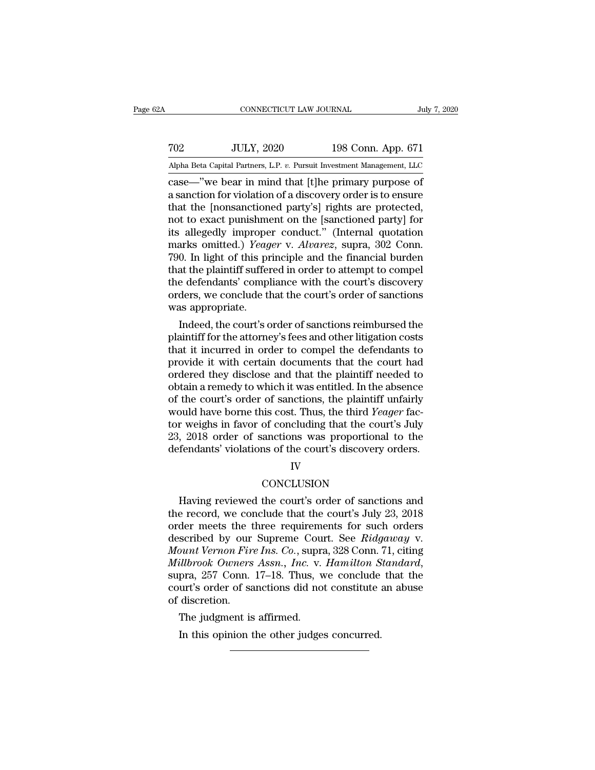## 198 CONNECTICUT LAW JOURNAL July 7, 2020<br>198 Conn. App. 671<br>2014 Alpha Beta Capital Partners, L.P. v. Pursuit Investment Management, LLC CONNECTICUT LAW JOURNAL July 7, 2020<br>
TO2 JULY, 2020 198 Conn. App. 671<br>
Alpha Beta Capital Partners, L.P. *v.* Pursuit Investment Management, LLC<br>
Case—"we bear in mind that [t]he primary purpose of

connecticut LAW JOURNAL July 7, 2020<br>
TO2 JULY, 2020 198 Conn. App. 671<br>
Alpha Beta Capital Partners, L.P. v. Pursuit Investment Management, LLC<br>
Case—''we bear in mind that [t]he primary purpose of<br>
a sanction for violati TO2 JULY, 2020 198 Conn. App. 671<br>Alpha Beta Capital Partners, L.P. v. Pursuit Investment Management, LLC<br>Case—"we bear in mind that [t]he primary purpose of<br>a sanction for violation of a discovery order is to ensure<br>that To<br>  $198$  Conn. App. 671<br>
Alpha Beta Capital Partners, L.P. v. Pursuit Investment Management, LLC<br>  $\case$ —"we bear in mind that [t]he primary purpose of<br>
a sanction for violation of a discovery order is to ensure<br>
that the  $\nonumber 702$  JULY, 2020 198 Conn. App. 671<br>
Alpha Beta Capital Partners, L.P. v. Pursuit Investment Management, LLC<br>
case—"we bear in mind that [t]he primary purpose of<br>
a sanction for violation of a discovery order is to en Alpha Beta Capital Partners, L.P. v. Pursuit Investment Management, LLC<br>
case—"we bear in mind that [t]he primary purpose of<br>
a sanction for violation of a discovery order is to ensure<br>
that the [nonsanctioned party's] ri Alpha Beta Capital Partners, L.P. *v.* Pursuit Investment Management, LLC<br>
case—"we bear in mind that [t]he primary purpose of<br>
a sanction for violation of a discovery order is to ensure<br>
that the [nonsanctioned party's] r case—"we bear in mind that [t]he primary purpose of<br>a sanction for violation of a discovery order is to ensure<br>that the [nonsanctioned party's] rights are protected,<br>not to exact punishment on the [sanctioned party] for<br>it a sanction for violation of a discovery order is to ensure<br>that the [nonsanctioned party's] rights are protected,<br>not to exact punishment on the [sanctioned party] for<br>its allegedly improper conduct." (Internal quotation<br>m that the [nonsanctioned party's] rights are protected,<br>not to exact punishment on the [sanctioned party] for<br>its allegedly improper conduct." (Internal quotation<br>marks omitted.) *Yeager v. Alvarez*, supra, 302 Conn.<br>790. I not to exact punishment on the [sanctioned party] for<br>its allegedly improper conduct." (Internal quotation<br>marks omitted.) *Yeager* v. *Alvarez*, supra, 302 Conn.<br>790. In light of this principle and the financial burden<br>th its allegedly imprope<br>marks omitted.) *Yeag*<br>790. In light of this pr<br>that the plaintiff suffer<br>the defendants' compl<br>orders, we conclude th<br>was appropriate.<br>Indeed, the court's c In the court's order of sanction and the financial burden<br>
0. In light of this principle and the financial burden<br>
at the plaintiff suffered in order to attempt to compel<br>
e defendants' compliance with the court's discover poor. In light of this principle and the imancial burden<br>that the plaintiff suffered in order to attempt to compel<br>the defendants' compliance with the court's discovery<br>orders, we conclude that the court's order of sanctio

that the plaintiff suffered in order to attempt to compet<br>the defendants' compliance with the court's discovery<br>orders, we conclude that the court's order of sanctions<br>was appropriate.<br>Indeed, the court's order of sanction the defendants compliance with the court's discovery<br>orders, we conclude that the court's order of sanctions<br>was appropriate.<br>Indeed, the court's order of sanctions reimbursed the<br>plaintiff for the attorney's fees and othe orders, we conclude that the court's order of sanctions<br>was appropriate.<br>Indeed, the court's order of sanctions reimbursed the<br>plaintiff for the attorney's fees and other litigation costs<br>that it incurred in order to compe was appropriate.<br>
Indeed, the court's order of sanctions reimbursed the<br>
plaintiff for the attorney's fees and other litigation costs<br>
that it incurred in order to compel the defendants to<br>
provide it with certain document Indeed, the court's order of sanctions reimbursed the plaintiff for the attorney's fees and other litigation costs that it incurred in order to compel the defendants to provide it with certain documents that the court had plaintiff for the attorney's fees and other litigation costs<br>that it incurred in order to compel the defendants to<br>provide it with certain documents that the court had<br>ordered they disclose and that the plaintiff needed to that it incurred in order to compel the defendants to<br>provide it with certain documents that the court had<br>ordered they disclose and that the plaintiff needed to<br>obtain a remedy to which it was entitled. In the absence<br>of provide it with certain documents that the court had<br>ordered they disclose and that the plaintiff needed to<br>obtain a remedy to which it was entitled. In the absence<br>of the court's order of sanctions, the plaintiff unfairly ordered they disclose and that the plaintiff needed to obtain a remedy to which it was entitled. In the absence of the court's order of sanctions, the plaintiff unfairly would have borne this cost. Thus, the third *Yeager* r weighs in favor of concluding that the court's July<br>, 2018 order of sanctions was proportional to the<br>fendants' violations of the court's discovery orders.<br>W<br>CONCLUSION<br>Having reviewed the court's order of sanctions and<br>

### IV

### **CONCLUSION**

23, 2018 order of sanctions was proportional to the<br>defendants' violations of the court's discovery orders.<br> $$\rm IV$$ <br> $$\rm CONCLUSION$$ <br>Having reviewed the court's order of sanctions and<br>the record, we conclude that the court's July defendants' violations of the court's discovery orders.<br>
IV<br>
CONCLUSION<br>
Having reviewed the court's order of sanctions and<br>
the record, we conclude that the court's July 23, 2018<br>
order meets the three requirements for su IV<br>CONCLUSION<br>Having reviewed the court's order of sanctions and<br>the record, we conclude that the court's July 23, 2018<br>order meets the three requirements for such orders<br>described by our Supreme Court. See *Ridgaway* v.<br> CONCLUSION<br>
Having reviewed the court's order of sanctions and<br>
the record, we conclude that the court's July 23, 2018<br>
order meets the three requirements for such orders<br>
described by our Supreme Court. See *Ridgaway* v.<br> *Milliprook Owners Assn., Inc.* v. *Hamilton Standard,* suppreme Court's July 23, 2018 order meets the three requirements for such orders described by our Supreme Court. See *Ridgaway* v. *Mount Vernon Fire Ins. Co.*, supr the record, we conclude that the court's July 23, 2018<br>order meets the three requirements for such orders<br>described by our Supreme Court. See *Ridgaway* v.<br>*Mount Vernon Fire Ins. Co.*, supra, 328 Conn. 71, citing<br>*Millbro* order meets the t<br>described by our<br>*Mount Vernon Firm*<br>*Millbrook Owners*<br>supra, 257 Conn.<br>court's order of sa<br>of discretion.<br>The judgment is scribed by our Supreme Countier Vernon Fire Ins. Co., supraill<br>brook Owners Assn., Inc. v.<br>pra, 257 Conn. 17–18. Thus, we unt's order of sanctions did not<br>discretion.<br>The judgment is affirmed.<br>In this opinion the other jud illbrook Owners Assn., Inc. v. Hamilton S<br>pra, 257 Conn. 17–18. Thus, we conclude<br>urt's order of sanctions did not constitute is<br>discretion.<br>The judgment is affirmed.<br>In this opinion the other judges concurred.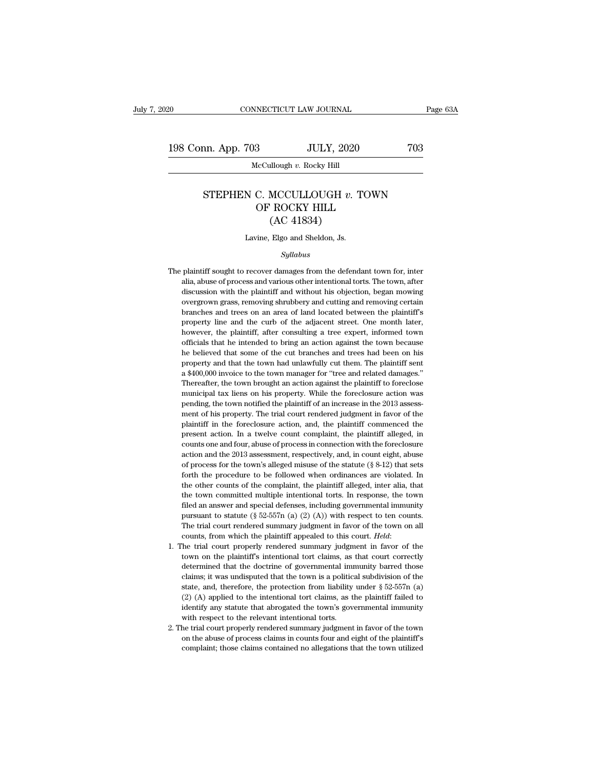### 11. App. 703 JULY, 2020 703<br>
McCullough *v.* Rocky Hill<br>
STEPHEN C. MCCULLOUGH *v.* TOWN<br>
OF ROCKY HILL<br>
(AC 41834)  $\begin{array}{lll} \text{JULY, 2020} \\ \text{IcCulough } v. \text{ Rocky Hill} \\ \text{C. MCCULLOUGH } v. \text{ TOWN} \\ \text{OF ROCKY HILL} \\ \text{(AC 41834)} \end{array}$  $\begin{array}{c} \textrm{JULY, 2020} \\ \textrm{m} \\ \textrm{m} \\ \textrm{MCCULLOUGH}\ v. \\ \textrm{N} \\ \textrm{CCLLLOUGH}\ v. \\ \textrm{R} \\ \textrm{CCHY HILL} \\ \textrm{(AC 41834)} \\ \textrm{Eigo and Sheldon, Js.} \end{array}$ STEPHEN C. MCCULLOUGH  $v$ . TOWN<br>OF ROCKY HILL<br>(AC 41834)<br>Lavine, Elgo and Sheldon, Js.

### *Syllabus*

- ${\rm (AC~41834)}$  Lavine, Elgo and Sheldon, Js.<br> $Syllabus$ <br>The plaintiff sought to recover damages from the defendant town for, inter<br>alia, abuse of process and various other intentional torts. The town, after Lavine, Elgo and Sheldon, Js.<br> *Syllabus*<br>
plaintiff sought to recover damages from the defendant town for, inter<br>
alia, abuse of process and various other intentional torts. The town, after<br>
discussion with the plaintiff Lavine, Elgo and Sheldon, Js.<br>
Syllabus<br>
plaintiff sought to recover damages from the defendant town for, inter<br>
alia, abuse of process and various other intentional torts. The town, after<br>
discussion with the plaintiff an Syllabus<br>plaintiff sought to recover damages from the defendant town for, inter<br>alia, abuse of process and various other intentional torts. The town, after<br>discussion with the plaintiff and without his objection, began mow *Syltabus*<br>
branches plaintiff sought to recover damages from the defendant town for, inter<br>
alia, abuse of process and various other intentional torts. The town, after<br>
discussion with the plaintiff and without his object plaintiff sought to recover damages from the defendant town for, inter<br>alia, abuse of process and various other intentional torts. The town, after<br>discussion with the plaintiff and without his objection, began mowing<br>overg alia, abuse of process and various other intentional torts. The town, after discussion with the plaintiff and without his objection, began mowing overgrown grass, removing shrubbery and cutting and removing certain branche discussion with the plaintiff and without his objection, began mowing<br>overgrown grass, removing shrubbery and cutting and removing certain<br>branches and trees on an area of land located between the plaintiff's<br>property line devergown grass, removing shrubbery and cutting and removing certain<br>branches and trees on an area of land located between the plaintiff's<br>property line and the curb of the adjacent street. One month later,<br>however, the pl branches and trees on an area of land located between the plaintiff's property line and the curb of the adjacent street. One month later, however, the plaintiff, after consulting a tree expert, informed town officials that property line and the curb of the adjacent street. One month later, however, the plaintiff, after consulting a tree expert, informed town officials that he intended to bring an action against the town because he believed t property the plaintiff, after consulting a tree expert, informed town<br>officials that he intended to bring an action against the town because<br>he believed that some of the cut branches and trees had been on his<br>property and noficials that he intended to bring an action against the town because<br>the believed that some of the cut branches and trees had been on his<br>property and that the town had unlawfully cut them. The plaintiff sent<br>a \$400,000 be believed that some of the cut branches and trees had been on his property and that the town had unlawfully cut them. The plaintiff sent a \$400,000 invoice to the town manager for "tree and related damages." Thereafter, ment of his property and that the town had unlawfully cut them. The plaintiff sent a \$400,000 invoice to the town manager for "tree and related damages." Thereafter, the town brought an action against the plaintiff to fore plantiff in the foreclosure action, and, the plaintiff of oreclosure action, as \$400,000 invoice to the town manager for "tree and related damages." Thereafter, the town brought an action against the plaintiff to foreclosu Thereafter, the town brought an action against the plaintiff to foreclose municipal tax liens on his property. While the foreclosure action was pending, the town notified the plaintiff of an increase in the 2013 assessment municipal tax liens on his property. While the foreclosure action was<br>pending, the town notified the plaintiff of an increase in the 2013 assess-<br>ment of his property. The trial court rendered judgment in favor of the<br>plai pending, the town notified the plaintiff of an increase in the 2013 assessment of his property. The trial court rendered judgment in favor of the plaintiff in the foreclosure action, and, the plaintiff commenced the prese ment of his property. The trial court rendered judgment in favor of the plaintiff in the foreclosure action, and, the plaintiff commenced the present action. In a twelve count complaint, the plaintiff alleged, in counts o plaintiff in the foreclosure action, and, the plaintiff commenced the present action. In a twelve count complaint, the plaintiff alleged, in counts one and four, abuse of process in connection with the foreclosure action a persent action. In a twelve count complaint, the plaintiff alleged, in counts one and four, abuse of process in connection with the foreclosure action and the 2013 assessment, respectively, and, in count eight, abuse of p Frocunts one and four, abuse of process in connection with the foreclosure action and the 2013 assessment, respectively, and, in count eight, abuse of process for the town's alleged misuse of the statute (§ 8-12) that sets action and the 2013 assessment, respectively, and, in count eight, abuse<br>of process for the town's alleged misuse of the statute (§ 8-12) that sets<br>forth the procedure to be followed when ordinances are violated. In<br>the o pursuant of process for the town's alleged misuse of the statute (§ 8-12) that sets forth the procedure to be followed when ordinances are violated. In the other counts of the complaint, the plaintiff alleged, inter alia, For the procedure to be followed when ordinances are violated. In the other counts of the complaint, the plaintiff alleged, inter alia, that the town committed multiple intentional torts. In response, the town filed an an the other counts of the complaint, the plaintiff alleged, inter alia, that the town committed multiple intentional torts. In response, the town filed an answer and special defenses, including governmental immunity pursuant filed an answer and special defenses, including governmental immunity<br>pursuant to statute (§ 52-557n (a) (2) (A)) with respect to ten counts.<br>The trial court rendered summary judgment in favor of the town on all<br>counts, f
- pursuant to statute (§ 52-557n (a) (2) (A)) with respect to ten counts.<br>The trial court rendered summary judgment in favor of the town on all<br>counts, from which the plaintiff appealed to this court. *Held*:<br>The trial cour The trial court rendered summary judgment in favor of the town on all counts, from which the plaintiff appealed to this court. *Held*:<br>The trial court properly rendered summary judgment in favor of the town on the plainti The trial court rendered summary judgment in favor of the town on all counts, from which the plaintiff appealed to this court. *Held*:<br>1. The trial court properly rendered summary judgment in favor of the town on the plai The trial court properly rendered summary judgment in favor of the town on the plaintiff's intentional tort claims, as that court correctly determined that the doctrine of governmental immunity barred those claims; it was from on the plaintiff's intentional tort claims, as that court correctly determined that the doctrine of governmental immunity barred those claims; it was undisputed that the town is a political subdivision of the state, determined that the doctrine of governmental immunity barred those claims; it was undisputed that the town is a political subdivision of the state, and, therefore, the protection from liability under  $\S$  52-557n (a) (2) ( claims; it was undisputed that the town is a political subdivision of the state, and, therefore, the protection from liability under  $\S$  52-557n (a) (2) (A) applied to the intentional tort claims, as the plaintiff failed state, and, therefore, the protection from liability under  $\S$  52-557n (a) (2) (A) applied to the intentional tort claims, as the plaintiff failed to identify any statute that abrogated the town's governmental immunity wi (2) (A) applied to the intentional tort claims, as the plaintiff failed to identify any statute that abrogated the town's governmental immunity with respect to the relevant intentional torts.<br>he trial court properly rende
-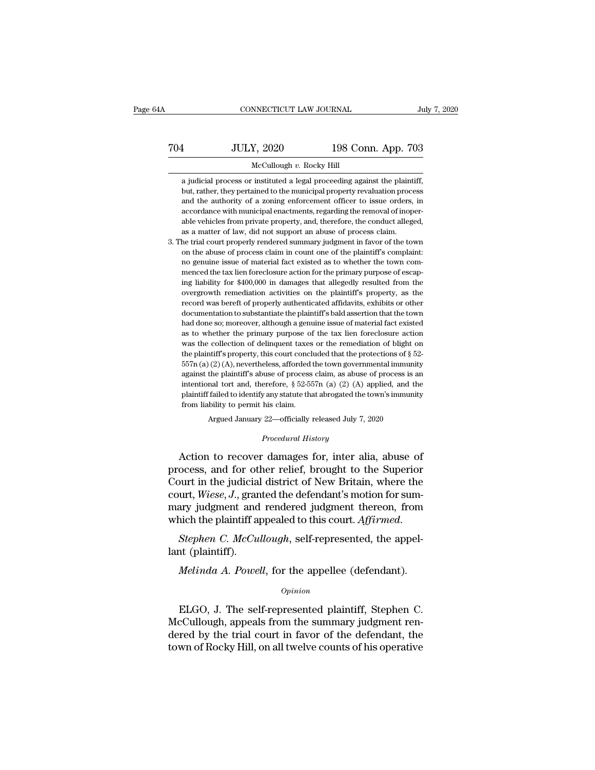### EXECUTE CONNECTICUT LAW JOURNAL July 7, 2020<br>
704 JULY, 2020 198 Conn. App. 703<br>
McCullough v. Rocky Hill CONNECTICUT LAW JOURNAL<br>11 JULY, 2020 198 Conn. App. 703<br>198 Conn. App. 703<br>198 Conn. App. 703<br>11 a judicial process or instituted a legal proceeding against the plaintiff.

1 JULY, 2020 198 Conn. App. 703<br>McCullough v. Rocky Hill<br>a judicial process or instituted a legal proceeding against the plaintiff,<br>but, rather, they pertained to the municipal property revaluation process **but, 1998 Conn. App. 703**<br>
McCullough v. Rocky Hill<br>
a judicial process or instituted a legal proceeding against the plaintiff,<br>
but, rather, they pertained to the municipal property revaluation process<br>
and the authority **and the authority of a zoning enforcement officer to issue orders**, in accordance with municipal enactments, regarding the removal of inoperation or accordance with municipal enactments, regarding the removal of inoperati McCullough v. Rocky Hill<br>a judicial process or instituted a legal proceeding against the plaintiff,<br>but, rather, they pertained to the municipal property revaluation process<br>and the authority of a zoning enforcement office McCullough  $v$ . Rocky Hill<br>a judicial process or instituted a legal proceeding against the plaintiff,<br>but, rather, they pertained to the municipal property revaluation process<br>and the authority of a zoning enforcement off a judicial process or instituted a legal proceeding against the plaint<br>but, rather, they pertained to the municipal property revaluation proce<br>and the authority of a zoning enforcement officer to issue orders,<br>accordance w 3. The trial court properly evaluation process and the authority of a zoning enforcement officer to issue orders, in accordance with municipal enactments, regarding the removal of inoperable vehicles from private property, For the authority of a zoning enforcement officer to issue orders, in accordance with municipal enactments, regarding the removal of inoperable vehicles from private property, and, therefore, the conduct alleged, as a matt

accordance with municipal enactments, regarding the removal of inoperable vehicles from private property, and, therefore, the conduct alleged, as a matter of law, did not support an abuse of process claim.<br>The trial court able vehicles from private property, and, therefore, the conduct alleged, as a matter of law, did not support an abuse of process claim.<br>he trial court properly rendered summary judgment in favor of the town on the abuse o as a matter of law, did not support an abuse of process claim.<br>As a matter of law, did not support an abuse of process claim.<br>The trial court properly rendered summary judgment in favor of the town<br>on the abuse of process he trial court properly rendered summary judgment in favor of the town<br>on the abuse of process claim in count one of the plaintiff's complaint:<br>no genuine issue of material fact existed as to whether the town com-<br>menced t record was bereft of process claim in count one of the plaintiff's complaint:<br>no genuine issue of material fact existed as to whether the town com-<br>menced the tax lien foreclosure action for the primary purpose of escap-<br>i on denotine issue of material fact existed as to whether the town com-<br>menced the tax lien foreclosure action for the primary purpose of escap-<br>ing liability for \$400,000 in damages that allegedly resulted from the<br>overgro menced the tax lien foreclosure action for the primary purpose of escaping liability for \$400,000 in damages that allegedly resulted from the overgrowth remediation activities on the plaintiff's property, as the record was ing liability for \$400,000 in damages that allegedly resulted from the overgrowth remediation activities on the plaintiff's property, as the record was bereft of properly authenticated affidavits, exhibits or other documen ary core with remediation activities on the plaintiff's property, as the record was bereft of properly authenticated affidavits, exhibits or other documentation to substantiate the plaintiff's bald assertion that the town record was bereft of properly authenticated affidavits, exhibits or other documentation to substantiate the plaintiff's bald assertion that the town had done so; moreover, although a genuine issue of material fact existed Follow and Solution to substantiate the plaintiff's bald assertion that the town had done so; moreover, although a genuine issue of material fact existed as to whether the primary purpose of the tax lien foreclosure action and done so; moreover, although a genuine issue of material fact existed as to whether the primary purpose of the tax lien foreclosure action was the collection of delinquent taxes or the remediation of blight on the plai as to whether the primary purpose of the tax lien foreclosure action<br>as to whether the primary purpose of the tax lien foreclosure action<br>was the collection of delinquent taxes or the remediation of blight on<br>the plaintif was the collection of delinquent taxes or the remediation of blight on<br>the plaintiff's property, this court concluded that the protections of § 52-<br>557n (a) (2) (A), nevertheless, afforded the town governmental immunity<br>a From linear terms of the plaintiff's property, this court concline the plaintiff's property, this court concline against the plaintiff's abuse of process intentional tort and, therefore,  $\S$  52-55 plaintiff failed to iden % against the plaintiff's abuse of process claim, as abuse of process is an intentional tort and, therefore, § 52-557n (a) (2) (A) applied, and the plaintiff failed to identify any statute that abrogated the town's immuni differential to recover the state of process chain, as abuse of process is an intentional tort and, therefore,  $\S$  52-557n (a) (2) (A) applied, and the plaintiff failed to identify any statute that abrogated the town's im

Argued January 22—officially released July 7, 2020<br>*Procedural History*<br>Action to recover damages for, inter alia, abuse of plaintiff failed to identify any statute that abrogated the town's immunity<br>from liability to permit his claim.<br>Argued January 22—officially released July 7, 2020<br>*Procedural History*<br>Action to recover damages for, inter a from liability to permit his claim.<br>
Argued January 22—officially released July 7, 2020<br>
Procedural History<br>
Action to recover damages for, inter alia, abuse of<br>
process, and for other relief, brought to the Superior<br>
Cour Argued January 22—officially released July 7, 2020<br>*Procedural History*<br>Action to recover damages for, inter alia, abuse of<br>process, and for other relief, brought to the Superior<br>Court in the judicial district of New Brita Procedural History<br>Action to recover damages for, inter alia, abuse of<br>process, and for other relief, brought to the Superior<br>Court in the judicial district of New Britain, where the<br>court, Wiese, J., granted the defendant Action to recover damages for, inter alia, abuse of process, and for other relief, brought to the Superior Court in the judicial district of New Britain, where the court, *Wiese*, *J*., granted the defendant's motion for s process, and for our<br>Court in the judicial<br>court, *Wiese*, *J*., gran<br>mary judgment and<br>which the plaintiff a<br>*Stephen C. McCuant* (plaintiff).<br>*Melinda A. Power Melinda A. Powell,* for the defendant's motion for sumary judgment and rendered judgment thereon, from<br>inch the plaintiff appealed to this court. Affirmed.<br>*Stephen C. McCullough*, self-represented, the appel-<br>at (plainti

### *Opinion*

Stephen C. McCullough, self-represented, the appel-<br>
it (plaintiff).<br> *Melinda A. Powell*, for the appellee (defendant).<br> *Opinion*<br>
ELGO, J. The self-represented plaintiff, Stephen C.<br>
cCullough, appeals from the summary Melinda A. Powell, for the appellee (defendant).<br> *Opinion*<br>
ELGO, J. The self-represented plaintiff, Stephen C.<br>
McCullough, appeals from the summary judgment ren-<br>
dered by the trial court in favor of the defendant, the<br> Melinda A. Powell, for the appellee (defendant).<br>
Opinion<br>
ELGO, J. The self-represented plaintiff, Stephen C.<br>
McCullough, appeals from the summary judgment ren-<br>
dered by the trial court in favor of the defendant, the<br>
t Melinda A. Powell, for the appellee (defendant).<br>
Opinion<br>
ELGO, J. The self-represented plaintiff, Stephen C.<br>
McCullough, appeals from the summary judgment ren-<br>
dered by the trial court in favor of the defendant, the<br>
t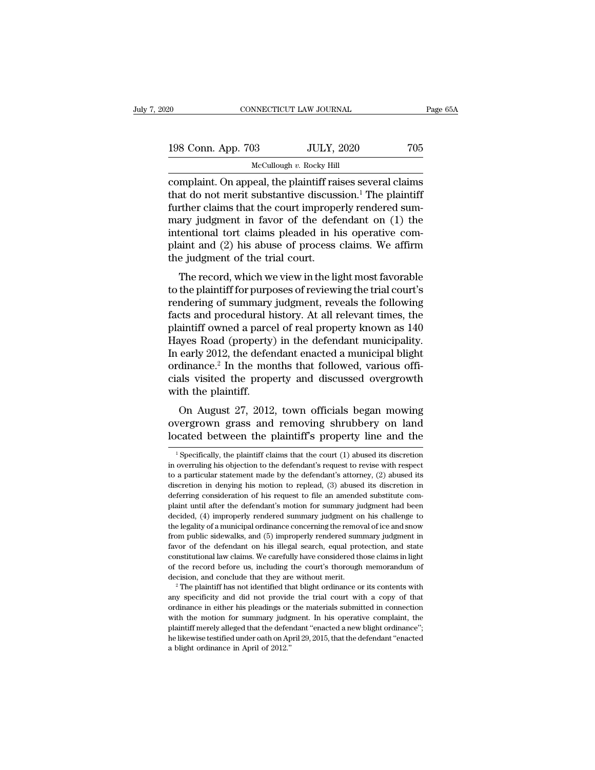| 20                                                                                                                                                                                         | CONNECTICUT LAW JOURNAL     | Page 65A |
|--------------------------------------------------------------------------------------------------------------------------------------------------------------------------------------------|-----------------------------|----------|
| 198 Conn. App. 703                                                                                                                                                                         | <b>JULY, 2020</b>           | 705      |
|                                                                                                                                                                                            | McCullough $v$ . Rocky Hill |          |
| complaint. On appeal, the plaintiff raises several claims<br>that do not merit substantive discussion. <sup>1</sup> The plaintiff<br>further elaims that the court improperly rendered sum |                             |          |

198 Conn. App. 703 JULY, 2020 705<br>
McCullough v. Rocky Hill<br>
complaint. On appeal, the plaintiff raises several claims<br>
that do not merit substantive discussion.<sup>1</sup> The plaintiff<br>
further claims that the court improperly 198 Conn. App. 703 JULY, 2020 705<br>
McCullough v. Rocky Hill<br>
complaint. On appeal, the plaintiff raises several claims<br>
that do not merit substantive discussion.<sup>1</sup> The plaintiff<br>
further claims that the court improperly 198 Conn. App. 703 JULY, 2020 705<br>
McCullough v. Rocky Hill<br>
complaint. On appeal, the plaintiff raises several claims<br>
that do not merit substantive discussion.<sup>1</sup> The plaintiff<br>
further claims that the court improperly McCullough v. Rocky Hill<br>
complaint. On appeal, the plaintiff raises several claims<br>
that do not merit substantive discussion.<sup>1</sup> The plaintiff<br>
further claims that the court improperly rendered sum-<br>
mary judgment in fav metulough v. Rocky Hill<br>complaint. On appeal, the plaintiff raises several claims<br>that do not merit substantive discussion.<sup>1</sup> The plaintiff<br>further claims that the court improperly rendered sum-<br>mary judgment in favor of complaint. On appeal, the plaintiff rainting that do not merit substantive discuss<br>further claims that the court imprope<br>mary judgment in favor of the defection<br>intentional tort claims pleaded in h<br>plaint and (2) his abuse at do not incrit substantive discussion. The plantificant<br>reflect claims that the court improperly rendered sum-<br>ary judgment in favor of the defendant on (1) the<br>tentional tort claims pleaded in his operative com-<br>aint an Further claims that the Court Improperty rendered summary judgment in favor of the defendant on (1) the<br>intentional tort claims pleaded in his operative com-<br>plaint and (2) his abuse of process claims. We affirm<br>the judgme

relative for the differential of  $(1)$  the<br>intentional tort claims pleaded in his operative com-<br>plaint and (2) his abuse of process claims. We affirm<br>the judgment of the trial court.<br>The record, which we view in the ligh michional fort claims preaded in his operative com-<br>plaint and (2) his abuse of process claims. We affirm<br>the judgment of the trial court.<br>The record, which we view in the light most favorable<br>to the plaintiff for purposes plaint and (2) his abase of process elamis. We all the judgment of the trial court.<br>
The record, which we view in the light most favorable<br>
to the plaintiff for purposes of reviewing the trial court's<br>
rendering of summar The record, which we view in the light most favorable<br>to the plaintiff for purposes of reviewing the trial court's<br>rendering of summary judgment, reveals the following<br>facts and procedural history. At all relevant times, The record, which we view in the light most favorable<br>to the plaintiff for purposes of reviewing the trial court's<br>rendering of summary judgment, reveals the following<br>facts and procedural history. At all relevant times, t to the plaintiff for purposes of reviewing the trial court's<br>rendering of summary judgment, reveals the following<br>facts and procedural history. At all relevant times, the<br>plaintiff owned a parcel of real property known as rendering of summary judgment, reveals the following<br>facts and procedural history. At all relevant times, the<br>plaintiff owned a parcel of real property known as 140<br>Hayes Road (property) in the defendant municipality.<br>In e facts and procedural h<br>plaintiff owned a parce<br>Hayes Road (property)<br>In early 2012, the defer<br>ordinance.<sup>2</sup> In the mon<br>cials visited the prope<br>with the plaintiff.<br>On August 27, 2012 minim owned a pareer of real property known as Tro<br>wyes Road (property) in the defendant municipality.<br>early 2012, the defendant enacted a municipal blight<br>dinance.<sup>2</sup> In the months that followed, various offi-<br>als visited rayes noad (property) in the detendant mainterpanty.<br>In early 2012, the defendant enacted a municipal blight<br>ordinance.<sup>2</sup> In the months that followed, various offi-<br>cials visited the property and discussed overgrowth<br>with In carry 2012, are determine that followed, various officials visited the property and discussed overgrowth with the plaintiff.<br>On August 27, 2012, town officials began mowing overgrown grass and removing shrubbery on lan

On August 27, 2012, town officials began mowing<br>overgrown grass and removing shrubbery on land<br>located between the plaintiff's property line and the<br> $\frac{1}{1}$ Specifically, the plaintiff claims that the court (1) abused it On August 27, 2012, town officials began mowing<br>overgrown grass and removing shrubbery on land<br>located between the plaintiff's property line and the<br> $\frac{1}{1}$  Specifically, the plaintiff claims that the court (1) abused i

overgrown grass and removing shrubbery on land<br>located between the plaintiff's property line and the<br><sup>1</sup>Specifically, the plaintiff claims that the court (1) abused its discretion<br>in overruling his objection to the defenda docated between the plaintiff's property line and the  $\frac{1}{1}$  specifically, the plaintiff claims that the court (1) abused its discretion in overruling his objection to the defendant's request to revise with respect to <sup>1</sup> Specifically, the plaintiff claims that the court (1) abused its discretion in overruling his objection to the defendant's request to revise with respect to a particular statement made by the defendant's attorney, (2) <sup>1</sup> Specifically, the plaintiff claims that the court (1) abused its discretion in overruling his objection to the defendant's request to revise with respect to a particular statement made by the defendant's attorney, (2) in overruling his objection to the defendant's request to revise with respect to a particular statement made by the defendant's attorney, (2) abused its discretion in denying his motion to replead, (3) abused its discretio the legality of a municipal ordinance concerning the removal of ice and snow above to a particular statement made by the defendant's attorney, (2) abused its discretion in deferring consideration of his request to file an discretion in denying his motion to replead, (3) abused its discretion in deferring consideration of his request to file an amended substitute complaint until after the defendant's motion for summary judgment had been deci deferring consideration of his request to file an amended substitute com-<br>plaint until after the defendant's motion for summary judgment had been<br>decided, (4) improperly rendered summary judgment on his challenge to<br>the le plaint until after the defendant's motion for summary judgment had been<br>decided, (4) improperly rendered summary judgment on his challenge to<br>the legality of a municipal ordinance concerning the removal of ice and snow<br>fro decided,  $(4)$  improperly rendered summary judgment on his challenge to the legality of a municipal ordinance concerning the removal of ice and snow from public sidewalks, and  $(5)$  improperly rendered summary judgment in the legality of a municipal ordinance concerning the removal of ice and snow<br>from public sidewalks, and (5) improperly rendered summary judgment in<br>favor of the defendant on his illegal search, equal protection, and state<br> Favor of the defendant on his illegal search, equal protection, and state constitutional law claims. We carefully have considered those claims in light of the record before us, including the court's thorough memorandum of

constitutional law claims. We carefully have considered those claims in light<br>of the record before us, including the court's thorough memorandum of<br>decision, and conclude that they are without merit.<br><sup>2</sup> The plaintiff has of the record before us, including the court's thorough memorandum of decision, and conclude that they are without merit.<br>
<sup>2</sup> The plaintiff has not identified that blight ordinance or its contents with any specificity and decision, and conclude that they are without merit.<br>
<sup>2</sup> The plaintiff has not identified that blight ordinance or its contents with<br>
<sup>2</sup> The plaintiff has not identified that blight ordinance or its contents with<br>
any spe <sup>2</sup> The plaintiff has not identified that blight ordinance or its contents with any specificity and did not provide the trial court with a copy of that ordinance in either his pleadings or the materials submitted in conne a be principly and did not provided and provided ordinance in either his pleadings or with the motion for summary judg plaintiff merely alleged that the deference in Kenting and blight ordinance in April of 2012."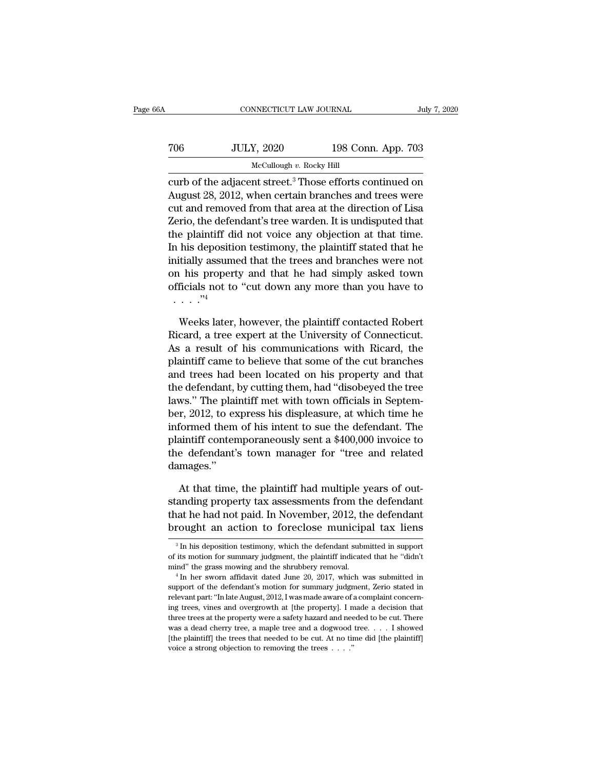| 6A  | CONNECTICUT LAW JOURNAL                                              |                    | July 7, 2020 |
|-----|----------------------------------------------------------------------|--------------------|--------------|
| 706 | <b>JULY, 2020</b>                                                    | 198 Conn. App. 703 |              |
|     | McCullough $v$ . Rocky Hill                                          |                    |              |
|     | curb of the adjacent street. <sup>3</sup> Those efforts continued on |                    |              |

CONNECTICUT LAW JOURNAL July 7, 2020<br>
TO JULY, 2020 198 Conn. App. 703<br>
McCullough v. Rocky Hill<br>
Curb of the adjacent street.<sup>3</sup> Those efforts continued on<br>
August 28, 2012, when certain branches and trees were  $\n T06$   $\n JULY, 2020$   $\n 198 \text{ Conn. App. 703}$ <br>  $\frac{Mc \text{Culough } v. \text{ Rocky Hill}}{\text{curb of the adjacent street.<sup>3</sup> Those efforts continued on} \text{August } 28, 2012, \text{ when certain branches and trees were cut and removed from that area at the direction of Lisa} \n Zorio, the deformation target is undiquuted that.$ To the solution of the adjacent street.<sup>3</sup> Those efforts continued on<br>August 28, 2012, when certain branches and trees were<br>cut and removed from that area at the direction of Lisa<br>Zerio, the defendant's tree warden. It is  $\frac{JULY, 2020}{NcCulough v. Rocky Hill}$ <br>  $\frac{NcCulough v. Rocky Hill}{Curb of the adjacent street.<sup>3</sup> Those efforts continued on August 28, 2012, when certain branches and trees were cut and removed from that area at the direction of Lisa Zeroi, the defendant's tree warden. It is undisputed that the plaintiff did not voice any objection at that time. In his deposition totimony, the plaintiff stated that he$ McCullough  $v$ . Rocky Hill<br>
curb of the adjacent street.<sup>3</sup> Those efforts continued on<br>
August 28, 2012, when certain branches and trees were<br>
cut and removed from that area at the direction of Lisa<br>
Zerio, the defendant' In the adjacent street.<sup>3</sup> Those efforts continued on<br>August 28, 2012, when certain branches and trees were<br>cut and removed from that area at the direction of Lisa<br>Zerio, the defendant's tree warden. It is undisputed that curb of the adjacent street.<sup>3</sup> Those efforts continued on<br>August 28, 2012, when certain branches and trees were<br>cut and removed from that area at the direction of Lisa<br>Zerio, the defendant's tree warden. It is undisputed August 28, 2012, when certain branches and trees were<br>cut and removed from that area at the direction of Lisa<br>Zerio, the defendant's tree warden. It is undisputed that<br>the plaintiff did not voice any objection at that time cut and removed from that area at the direction of Lisa<br>Zerio, the defendant's tree warden. It is undisputed that<br>the plaintiff did not voice any objection at that time.<br>In his deposition testimony, the plaintiff stated t erio, the defermed the plaintiff diamons in this deposition<br>in this deposition<br>in this propert<br>fficials not to  $\cdots$ <br> $\cdots$ <br> $\cdots$ <br>Weeks later. his deposition testimony, the plaintiff stated that he<br>itially assumed that the trees and branches were not<br>in this property and that he had simply asked town<br>ficials not to "cut down any more than you have to<br> $\cdot \cdot \cdot$ ."<br> initially assumed that the trees and branches were not<br>on his property and that he had simply asked town<br>officials not to "cut down any more than you have to<br> $\cdots$ ."<sup>4</sup><br>Weeks later, however, the plaintiff contacted Robert

on his property and that he had simply asked town<br>officials not to "cut down any more than you have to<br> $\cdots$ ."<sup>4</sup><br>Weeks later, however, the plaintiff contacted Robert<br>Ricard, a tree expert at the University of Connecticut officials not to "cut down any more than you have to<br>  $\cdots$ ."<sup>4</sup><br>
Weeks later, however, the plaintiff contacted Robert<br>
Ricard, a tree expert at the University of Connecticut.<br>
As a result of his communications with Ricar weeks later, however, the plaintiff contacted Robert<br>Ricard, a tree expert at the University of Connecticut.<br>As a result of his communications with Ricard, the<br>plaintiff came to believe that some of the cut branches<br>and t Weeks later, however, the plaintiff contacted Robert<br>Ricard, a tree expert at the University of Connecticut.<br>As a result of his communications with Ricard, the<br>plaintiff came to believe that some of the cut branches<br>and tr Weeks later, however, the plaintiff contacted Robert<br>Ricard, a tree expert at the University of Connecticut.<br>As a result of his communications with Ricard, the<br>plaintiff came to believe that some of the cut branches<br>and tr Ricard, a tree expert at the University of Connecticut.<br>As a result of his communications with Ricard, the<br>plaintiff came to believe that some of the cut branches<br>and trees had been located on his property and that<br>the de As a result of his communications with Ricard, the<br>plaintiff came to believe that some of the cut branches<br>and trees had been located on his property and that<br>the defendant, by cutting them, had "disobeyed the tree<br>laws." plaintiff came to believe that some of the cut branches<br>and trees had been located on his property and that<br>the defendant, by cutting them, had "disobeyed the tree<br>laws." The plaintiff met with town officials in Septem-<br>be and trees had been located on his property and that<br>the defendant, by cutting them, had "disobeyed the tree<br>laws." The plaintiff met with town officials in Septem-<br>ber, 2012, to express his displeasure, at which time he<br>in damages.'' ber, 2012, to express his displeasure, at which time he informed them of his intent to sue the defendant. The plaintiff contemporaneously sent a  $$400,000$  invoice to the defendant's town manager for "tree and related dam informed them of his intent to sue the defendant. The<br>plaintiff contemporaneously sent a \$400,000 invoice to<br>the defendant's town manager for "tree and related<br>damages."<br>At that time, the plaintiff had multiple years of ou

plaintiff contemporaneously sent a \$400,000 invoice to<br>the defendant's town manager for "tree and related<br>damages."<br>At that time, the plaintiff had multiple years of out-<br>standing property tax assessments from the defendan the defendant's town manager for "tree and related<br>damages."<br>At that time, the plaintiff had multiple years of out-<br>standing property tax assessments from the defendant<br>that he had not paid. In November, 2012, the defendan standing property tax assessments from the defendant<br>that he had not paid. In November, 2012, the defendant<br>brought an action to foreclose municipal tax liens<br> $\frac{3 \text{ In his deposition testimony, which the defendant submitted in support}}{3 \text{ Ito}}$  of its motion for summary judgme

that he had not paid. In November, 2012, the defendant<br>brought an action to foreclose municipal tax liens<br> $\frac{1}{10}$  in his deposition testimony, which the defendant submitted in support<br>of its motion for summary judgment that he had not paid. In November, 2012, the defendant<br>brought an action to foreclose municipal tax liens<br> $\frac{1}{\pi}$  In his deposition testimony, which the defendant submitted in support<br>of its motion for summary judgment

Support of the defendant of the defendant submitted in support<br>
<sup>3</sup> In his deposition testimony, which the defendant submitted in support<br>
of its motion for summary judgment, the plaintiff indicated that he "didn't<br>
<sup>4</sup> I <sup>3</sup> In his deposition testimony, which the defendant submitted in support of its motion for summary judgment, the plaintiff indicated that he "didn't mind" the grass mowing and the shrubbery removal.  $4$  In her sworn affi of its motion for summary judgment, the plaintiff indicated that he "didn't mind" the grass mowing and the shrubbery removal.<br>
<sup>4</sup> In her sworn affidavit dated June 20, 2017, which was submitted in support of the defendant mind" the grass mowing and the shrubbery removal.<br>
<sup>4</sup> In her sworn affidavit dated June 20, 2017, which was submitted in<br>
support of the defendant's motion for summary judgment, Zerio stated in<br>
relevant part: "In late A <sup>1</sup> In her sworn affidavit dated June 20, 2017, which was submitted in support of the defendant's motion for summary judgment, Zerio stated in relevant part: "In late August, 2012, I was made aware of a complaint concerni support of the defendant's motion for summary judgment, Zerio stated in relevant part: "In late August, 2012, I was made aware of a complaint concerning trees, vines and overgrowth at [the property]. I made a decision tha relevant part: "In late August, 2012, I was made aware of a complaint concern-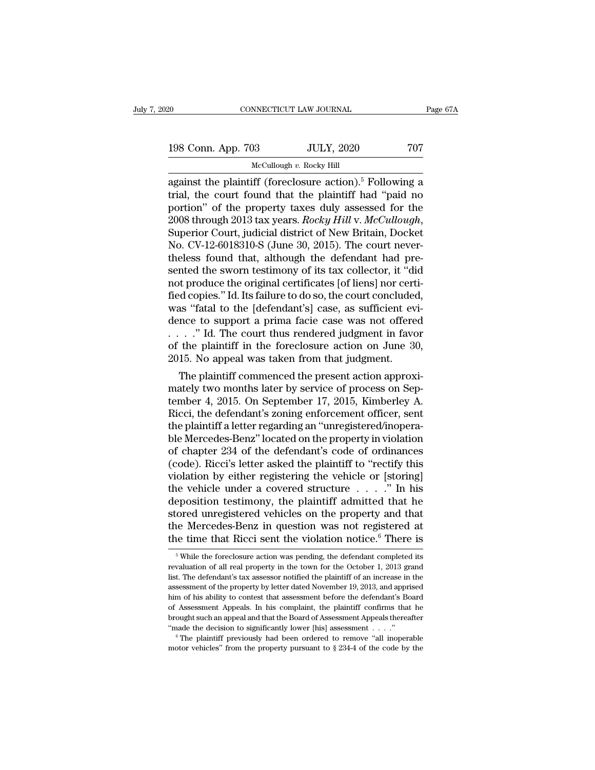EXECUTE CONNECTICUT LAW JOURNAL Page 67A<br>198 Conn. App. 703 JULY, 2020 707<br>McCullough v. Rocky Hill CONNECTICUT LAW JOURNAL<br>
198 Conn. App. 703 JULY, 2020 707<br>
McCullough *v.* Rocky Hill<br>
against the plaintiff (foreclosure action).<sup>5</sup> Following a

connectricut LAW JOURNAL Page 67A<br>
198 Conn. App. 703 JULY, 2020 707<br>
McCullough v. Rocky Hill<br>
against the plaintiff (foreclosure action).<sup>5</sup> Following a<br>
trial, the court found that the plaintiff had "paid no<br>
nortion" o 198 Conn. App. 703 JULY, 2020 707<br>
McCullough v. Rocky Hill<br>
against the plaintiff (foreclosure action).<sup>5</sup> Following a<br>
trial, the court found that the plaintiff had "paid no<br>
portion" of the property taxes duly assessed 198 Conn. App. 703 JULY, 2020 707<br>
McCullough v. Rocky Hill<br>
against the plaintiff (foreclosure action).<sup>5</sup> Following a<br>
trial, the court found that the plaintiff had "paid no<br>
portion" of the property taxes duly assessed <sup>2020</sup> 198 Conn. App. 703 JULY, 2020 707<br>
<sup>McCullough v. Rocky Hill<br> **Example 31** against the plaintiff (foreclosure action).<sup>5</sup> Following a<br>
trial, the court found that the plaintiff had "paid no<br>
portion" of the property</sup> McCullough v. Rocky Hill<br>against the plaintiff (foreclosure action).<sup>5</sup> Following a<br>trial, the court found that the plaintiff had "paid no<br>portion" of the property taxes duly assessed for the<br>2008 through 2013 tax years. against the plaintiff (foreclosure action).<sup>5</sup> Following a trial, the court found that the plaintiff had "paid no portion" of the property taxes duly assessed for the 2008 through 2013 tax years. *Rocky Hill v. McCullough* trial, the court found that the plaintiff had "paid no<br>portion" of the property taxes duly assessed for the<br>2008 through 2013 tax years. *Rocky Hill* v. *McCullough*,<br>Superior Court, judicial district of New Britain, Docke portion" of the property taxes duly assessed for the 2008 through 2013 tax years. *Rocky Hill* v. *McCullough*, Superior Court, judicial district of New Britain, Docket No. CV-12-6018310-S (June 30, 2015). The court nevert 2008 through 2013 tax years. *Rocky Hill v. McCullough*,<br>Superior Court, judicial district of New Britain, Docket<br>No. CV-12-6018310-S (June 30, 2015). The court never-<br>theless found that, although the defendant had pre-<br>se Superior Court, judicial district of New Britain, Docket<br>No. CV-12-6018310-S (June 30, 2015). The court never-<br>theless found that, although the defendant had pre-<br>sented the sworn testimony of its tax collector, it "did<br>no No. CV-12-6018310-S (June 30, 2015). The court never-<br>theless found that, although the defendant had pre-<br>sented the sworn testimony of its tax collector, it "did<br>not produce the original certificates [of liens] nor certi theless found that, although the defendant had presented the sworn testimony of its tax collector, it "did not produce the original certificates [of liens] nor certified copies." Id. Its failure to do so, the court conclud sented the sworn testimony of its tax collector, it "did<br>not produce the original certificates [of liens] nor certi-<br>fied copies." Id. Its failure to do so, the court concluded,<br>was "fatal to the [defendant's] case, as suf not produce the original certificates [of liens] nor cert<br>fied copies." Id. Its failure to do so, the court conclude<br>was "fatal to the [defendant's] case, as sufficient ev<br>dence to support a prima facie case was not offere as "fatal to the [defendant's] case, as sufficient evi-<br>nce to support a prima facie case was not offered<br> $\therefore$  " Id. The court thus rendered judgment in favor<br>the plaintiff in the foreclosure action on June 30,<br>15. No ap was Tatal to the [defendant s] case, as sufficient evidence to support a prima facie case was not offered  $\ldots$  ... " Id. The court thus rendered judgment in favor of the plaintiff in the foreclosure action on June 30, 20

dence to support a prima racie case was not oriered<br>  $\ldots$ ." Id. The court thus rendered judgment in favor<br>
of the plaintiff in the foreclosure action on June 30,<br>
2015. No appeal was taken from that judgment.<br>
The plaint  $R$  is a contribution of the plaintiff in the foreclosure action on June 30, 2015. No appeal was taken from that judgment.<br>The plaintiff commenced the present action approximately two months later by service of process on of the plaintiff and the foreclosure action on June 30,<br>2015. No appeal was taken from that judgment.<br>The plaintiff commenced the present action approxi-<br>mately two months later by service of process on Sep-<br>tember 4, 2015 2015. No appear was taken from that judgment.<br>
The plaintiff commenced the present action approximately two months later by service of process on September 4, 2015. On September 17, 2015, Kimberley A.<br>
Ricci, the defendant The plaintiff commenced the present action approximately two months later by service of process on September 4, 2015. On September 17, 2015, Kimberley A.<br>Ricci, the defendant's zoning enforcement officer, sent the plaintif mately two months later by service of process on September 4, 2015. On September 17, 2015, Kimberley A.<br>Ricci, the defendant's zoning enforcement officer, sent<br>the plaintiff a letter regarding an "unregistered/inopera-<br>ble tember 4, 2015. On September 17, 2015, Kimberley A.<br>Ricci, the defendant's zoning enforcement officer, sent<br>the plaintiff a letter regarding an "unregistered/inopera-<br>ble Mercedes-Benz" located on the property in violation Ricci, the defendant's zoning enforcement officer, sent<br>the plaintiff a letter regarding an "unregistered/inopera-<br>ble Mercedes-Benz" located on the property in violation<br>of chapter 234 of the defendant's code of ordinance the plaintiff a letter regarding an "unregistered/inopera-<br>ble Mercedes-Benz" located on the property in violation<br>of chapter 234 of the defendant's code of ordinances<br>(code). Ricci's letter asked the plaintiff to "rectify ble Mercedes-Benz" located on the property in violation<br>of chapter 234 of the defendant's code of ordinances<br>(code). Ricci's letter asked the plaintiff to "rectify this<br>violation by either registering the vehicle or [stor % of chapter 234 of the defendant's code of ordinances (code). Ricci's letter asked the plaintiff to "rectify this violation by either registering the vehicle or [storing] the vehicle under a covered structure  $\ldots$  ." In (code). Ricci's letter asked the plaintiff to "rectify this violation by either registering the vehicle or [storing] the vehicle under a covered structure  $\ldots$ ." In his deposition testimony, the plaintiff admitted that h eposition testimony, the plaintiff admitted that he ored unregistered vehicles on the property and that the Mercedes-Benz in question was not registered at the time that Ricci sent the violation notice.<sup>6</sup> There is  $\frac{5}{3$ stored unregistered vehicles on the property and that<br>the Mercedes-Benz in question was not registered at<br>the time that Ricci sent the violation notice.<sup>6</sup> There is<br><sup>5</sup> While the foreclosure action was pending, the defenda

the Mercedes-Benz in question was not registered at the time that Ricci sent the violation notice.<sup>6</sup> There is  $\frac{1}{\sqrt{5}}$  while the foreclosure action was pending, the defendant completed its revaluation of all real pro The time that Ricci sent the violation notice.<sup>6</sup> There is<br>
<sup>5</sup> While the foreclosure action was pending, the defendant completed its<br>
revaluation of all real property in the town for the October 1, 2013 grand<br>
list. The d The Unite Unite Contest the VIOIaLIOIT HOLCE. There is<br>
<sup>5</sup> While the foreclosure action was pending, the defendant completed its<br>
revaluation of all real property in the town for the October 1, 2013 grand<br>
list. The defen  $\overline{5}$  While the foreclosure action was pending, the defendant completed its revaluation of all real property in the town for the October 1, 2013 grand list. The defendant's tax assessor notified the plaintiff of an inc  $^5$  While the foreclosure action was pending, the defendant completed its revaluation of all real property in the town for the October 1, 2013 grand list. The defendant's tax assessor notified the plaintiff of an increas First The defendant's tax assessor notified the plaintiff of an increase in the assessment of the property by letter dated November 19, 2013, and apprised him of his ability to contest that assessment before the defendant % of Assessment Appeals. In his complaint, the plaintiff confirms that he brought such an appeal and that the Board of Assessment Appeals thereafter "made the decision to significantly lower [his] assessment  $\ldots$ ."<br>
<sup>6</sup>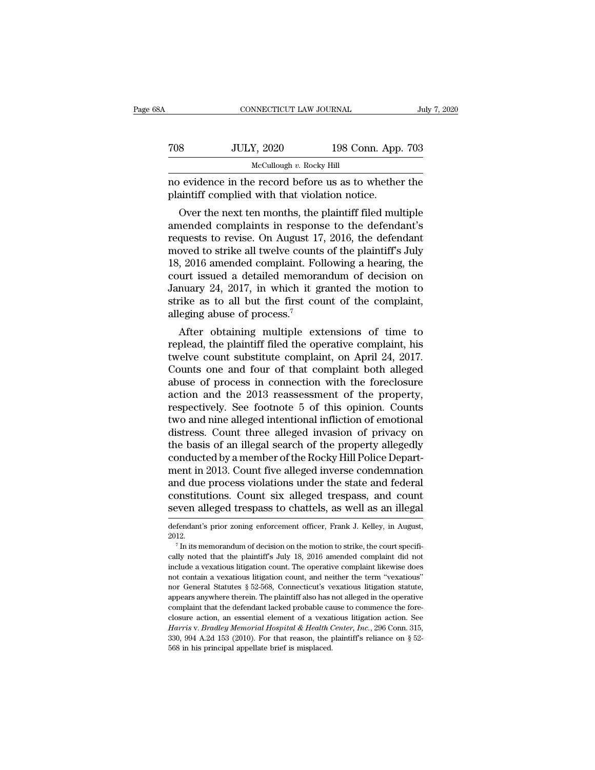CONNECTICUT LAW JOURNAL July 7, 2020<br>
TOS JULY, 2020 198 Conn. App. 703<br>
McCullough v. Rocky Hill<br>
The record before us as to whether the plaintiff complied with that violation notice. TOS JULY, 2020 198 Conn. App<br>
McCullough v. Rocky Hill<br>
no evidence in the record before us as to whethe<br>
plaintiff complied with that violation notice.<br>
Over the next ten months, the plaintiff filed mul

 $\frac{\text{JULY, 2020}}{\text{McCulough } v. \text{ Rocky Hill}}$ <br>
bevidence in the record before us as to whether the aintiff complied with that violation notice.<br>
Over the next ten months, the plaintiff filed multiple nended complaints in response to TOS JULY, 2020 198 Conn. App. 703<br>
McCullough v. Rocky Hill<br>
no evidence in the record before us as to whether the<br>
plaintiff complied with that violation notice.<br>
Over the next ten months, the plaintiff filed multiple<br>
a  $\frac{1}{2}$  McCullough *v*. Rocky Hill<br>no evidence in the record before us as to whether the<br>plaintiff complied with that violation notice.<br>Over the next ten months, the plaintiff filed multiple<br>amended complaints in respon mo evidence in the record before us as to whether the plaintiff complied with that violation notice.<br>Over the next ten months, the plaintiff filed multiple amended complaints in response to the defendant's requests to revi no evidence in the record before us as to whether the<br>plaintiff complied with that violation notice.<br>Over the next ten months, the plaintiff filed multiple<br>amended complaints in response to the defendant's<br>requests to revi plantif complied with that violation houce.<br>
Over the next ten months, the plaintiff filed multiple<br>
amended complaints in response to the defendant's<br>
requests to revise. On August 17, 2016, the defendant<br>
moved to strike Over the next ten months, the plaintiff filed multiple<br>amended complaints in response to the defendant's<br>requests to revise. On August 17, 2016, the defendant<br>moved to strike all twelve counts of the plaintiff's July<br>18, amended complaints in response to the defendant's<br>requests to revise. On August 17, 2016, the defendant<br>moved to strike all twelve counts of the plaintiff's July<br>18, 2016 amended complaint. Following a hearing, the<br>court i requests to revise. On August 17<br>moved to strike all twelve counts<br>18, 2016 amended complaint. Fol<br>court issued a detailed memora<br>January 24, 2017, in which it g<br>strike as to all but the first cou<br>alleging abuse of process by 2016 amended complaint. Following a hearing, the<br>
urt issued a detailed memorandum of decision on<br>
muary 24, 2017, in which it granted the motion to<br>
rike as to all but the first count of the complaint,<br>
eging abuse of replead, the plaintiff filed the operative complaint, contour and January 24, 2017, in which it granted the motion to strike as to all but the first count of the complaint, alleging abuse of process.<sup>7</sup><br>After obtaining mul

France count issued a detailed inemforandum of decision on<br>January 24, 2017, in which it granted the motion to<br>strike as to all but the first count of the complaint,<br>alleging abuse of process.<sup>7</sup><br>After obtaining multiple e Bandary 24, 2017, in which it granted the motion to<br>strike as to all but the first count of the complaint,<br>alleging abuse of process.<sup>7</sup><br>After obtaining multiple extensions of time to<br>replead, the plaintiff filed the oper strike as to an but the first count of the complaint,<br>alleging abuse of process.<sup>7</sup><br>After obtaining multiple extensions of time to<br>replead, the plaintiff filed the operative complaint, his<br>twelve count substitute complain an<br>eging abuse of process.<br>After obtaining multiple extensions of time to<br>replead, the plaintiff filed the operative complaint, his<br>twelve count substitute complaint, on April 24, 2017.<br>Counts one and four of that complain After obtaining multiple extensions of time to<br>replead, the plaintiff filed the operative complaint, his<br>twelve count substitute complaint, on April 24, 2017.<br>Counts one and four of that complaint both alleged<br>abuse of pro replead, the plaintiff filed the operative complaint, his<br>twelve count substitute complaint, on April 24, 2017.<br>Counts one and four of that complaint both alleged<br>abuse of process in connection with the foreclosure<br>action twelve count substitute complaint, on April 24, 2017.<br>Counts one and four of that complaint both alleged<br>abuse of process in connection with the foreclosure<br>action and the 2013 reassessment of the property,<br>respectively. S Counts one and four of that complaint both alleged<br>abuse of process in connection with the foreclosure<br>action and the 2013 reassessment of the property,<br>respectively. See footnote 5 of this opinion. Counts<br>two and nine all abuse of process in connection with the foreclosure<br>action and the 2013 reassessment of the property,<br>respectively. See footnote 5 of this opinion. Counts<br>two and nine alleged intentional infliction of emotional<br>distress. action and the 2013 reassessment of the property,<br>respectively. See footnote 5 of this opinion. Counts<br>two and nine alleged intentional infliction of emotional<br>distress. Count three alleged invasion of privacy on<br>the basis respectively. See footnote 5 of this opinion. Counts<br>two and nine alleged intentional infliction of emotional<br>distress. Count three alleged invasion of privacy on<br>the basis of an illegal search of the property allegedly<br>co two and nine alleged intentional infliction of emotional<br>distress. Count three alleged invasion of privacy on<br>the basis of an illegal search of the property allegedly<br>conducted by a member of the Rocky Hill Police Depart-<br> distress. Count three alleged invasion of privacy on<br>the basis of an illegal search of the property allegedly<br>conducted by a member of the Rocky Hill Police Depart-<br>ment in 2013. Count five alleged inverse condemnation<br>and ment in 2013. Count five alleged inverse condemnation<br>and due process violations under the state and federal<br>constitutions. Count six alleged trespass, and count<br>seven alleged trespass to chattels, as well as an illegal<br>de Superinted in the model of the model of the motion of decision on the motion of strike, the court specifi-<br>12. This memorandum of decision on the motion to strike, the court specifi-<br>11y noted that the plaintiff's July 18,

<sup>2012.</sup>

seven alleged trespass to chattels, as well as an illegal<br>defendant's prior zoning enforcement officer, Frank J. Kelley, in August,<br>2012.<br><sup>7</sup> In its memorandum of decision on the motion to strike, the court specifi-<br>cally Severt anteged trespass to chatters, as wen as an inegar<br>defendant's prior zoning enforcement officer, Frank J. Kelley, in August,<br>2012.<br><sup>7</sup> In its memorandum of decision on the motion to strike, the court specifi-<br>cally n defendant's prior zoning enforcement officer, Frank J. Kelley, in August,<br>2012.<br><sup>7</sup> In its memorandum of decision on the motion to strike, the court specifically noted that the plaintiff's July 18, 2016 amended complaint d nor General Statutes § 52-568, Connecticut's vexatious litigation statutes § 52-568, Connecticuty vexatious litigation statute, appears anywhere therein. The operative complaint likewise does not contain a vexatious litiga The issue of the mean of decision on the motion to strike, the court specifically noted that the plaintiff's July 18, 2016 amended complaint did not include a vexatious litigation count. The operative complaint likewise do cally noted that the plaintiff's July 18, 2016 amended complaint did not<br>include a vexatious litigation count. The operative complaint likewise does<br>not contain a vexatious litigation count, and neither the term "vexatious exations litigation count. The operative complaint likewise does<br>not contain a vexatious litigation count, and neither the term "vexatious"<br>nor General Statutes § 52-568, Connecticut's vexatious litigation statute,<br>appear include a vexatious litigation count. The operative complaint likewise does not contain a vexatious litigation count, and neither the term "vexatious" nor General Statutes § 52-568, Connecticut's vexatious litigation stat nor General Statutes § 52-568, Connecticut's vexatious litigation statute, appears anywhere therein. The plaintiff also has not alleged in the operative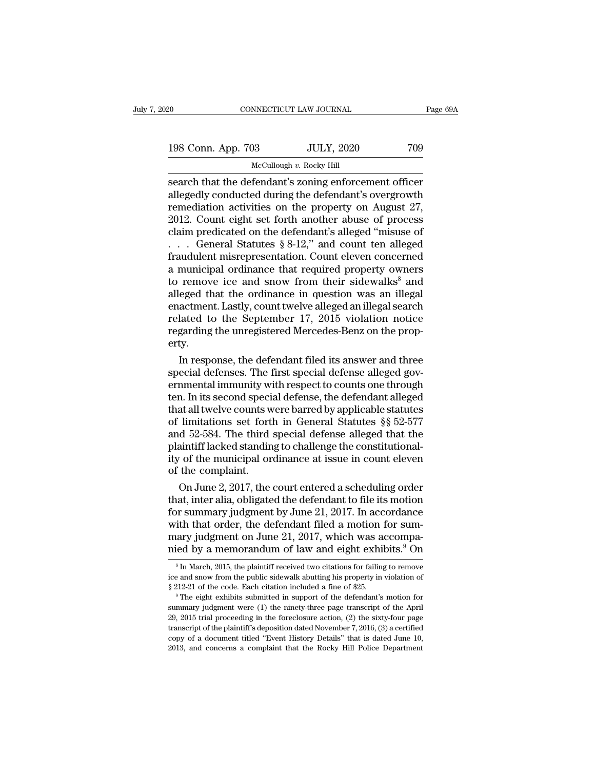| 20                 | CONNECTICUT LAW JOURNAL                                | Page 69A |
|--------------------|--------------------------------------------------------|----------|
| 198 Conn. App. 703 | <b>JULY, 2020</b>                                      | 709      |
|                    | McCullough $v$ . Rocky Hill                            |          |
|                    | search that the defendant's zoning enforcement officer |          |

Fage 69A<br>
Search that the defendant's zoning enforcement officer<br>
allegedly conducted during the defendant's overgrowth<br>
the remodistion activities on the property on August 27 198 Conn. App. 703 JULY, 2020 709<br>
McCullough v. Rocky Hill<br>
search that the defendant's zoning enforcement officer<br>
allegedly conducted during the defendant's overgrowth<br>
remediation activities on the property on August 198 Conn. App. 703 JULY, 2020 709<br>
McCullough v. Rocky Hill<br>
search that the defendant's zoning enforcement officer<br>
allegedly conducted during the defendant's overgrowth<br>
remediation activities on the property on August 198 Conn. App. 703 JULY, 2020 709<br>
McCullough v. Rocky Hill<br>
search that the defendant's zoning enforcement officer<br>
allegedly conducted during the defendant's overgrowth<br>
remediation activities on the property on August McCullough v. Rocky Hill<br>
search that the defendant's zoning enforcement officer<br>
allegedly conducted during the defendant's overgrowth<br>
remediation activities on the property on August 27,<br>
2012. Count eight set forth an Mccullough v. Rocky Hill<br>search that the defendant's zoning enforcement officer<br>allegedly conducted during the defendant's overgrowth<br>remediation activities on the property on August 27,<br>2012. Count eight set forth anothe search that the defendant's zoning enforcement officer<br>allegedly conducted during the defendant's overgrowth<br>remediation activities on the property on August 27,<br>2012. Count eight set forth another abuse of process<br>claim p allegedly conducted during the defendant's overgrowth<br>remediation activities on the property on August 27,<br>2012. Count eight set forth another abuse of process<br>claim predicated on the defendant's alleged "misuse of<br> $\dots$  G remediation activities on the property on August 27,<br>2012. Count eight set forth another abuse of process<br>claim predicated on the defendant's alleged "misuse of<br> $\ldots$  General Statutes § 8-12," and count ten alleged<br>fraudu 2012. Count eight set forth another abuse of process<br>claim predicated on the defendant's alleged "misuse of<br> $\ldots$  General Statutes § 8-12," and count ten alleged<br>fraudulent misrepresentation. Count eleven concerned<br>a muni claim predicated on the defendant's alleged "misuse of<br>
. . . General Statutes § 8-12," and count ten alleged<br>
fraudulent misrepresentation. Count eleven concerned<br>
a municipal ordinance that required property owners<br>
to r ... General Statutes § 8-12," and count ten alleged<br>fraudulent misrepresentation. Count eleven concerned<br>a municipal ordinance that required property owners<br>to remove ice and snow from their sidewalks<sup>8</sup> and<br>alleged that fraudulent misrepresentation. Count eleven concerned<br>a municipal ordinance that required property owners<br>to remove ice and snow from their sidewalks<sup>8</sup> and<br>alleged that the ordinance in question was an illegal<br>enactment. L erty. remove ice and snow from their sidewalks° and<br>eged that the ordinance in question was an illegal<br>actment. Lastly, count twelve alleged an illegal search<br>lated to the September 17, 2015 violation notice<br>garding the unregist alleged that the ordinance in question was an illegal<br>enactment. Lastly, count twelve alleged an illegal search<br>related to the September 17, 2015 violation notice<br>regarding the unregistered Mercedes-Benz on the prop-<br>erty.

enactment. Lastly, count twelve alleged an illegal search<br>related to the September 17, 2015 violation notice<br>regarding the unregistered Mercedes-Benz on the prop-<br>erty.<br>In response, the defendant filed its answer and three related to the September 17, 2015 violation notice<br>regarding the unregistered Mercedes-Benz on the prop-<br>erty.<br>In response, the defendant filed its answer and three<br>special defenses. The first special defense alleged gov-<br> regarding the unregistered Mercedes-Benz on the property.<br>
In response, the defendant filed its answer and three<br>
special defenses. The first special defense alleged gov-<br>
ernmental immunity with respect to counts one thro erty.<br>
In response, the defendant filed its answer and three<br>
special defenses. The first special defense alleged gov-<br>
ernmental immunity with respect to counts one through<br>
ten. In its second special defense, the defenda In response, the defendant filed its answer and three<br>special defenses. The first special defense alleged gov-<br>ernmental immunity with respect to counts one through<br>ten. In its second special defense, the defendant alleged special defenses. The first special defense alleged governmental immunity with respect to counts one through ten. In its second special defense, the defendant alleged that all twelve counts were barred by applicable statut ernmental immunity with respect to counts one through<br>ten. In its second special defense, the defendant alleged<br>that all twelve counts were barred by applicable statutes<br>of limitations set forth in General Statutes §§ 52-5 ten. In its second speci<br>that all twelve counts w<br>of limitations set fort<br>and 52-584. The third<br>plaintiff lacked standin<br>ity of the municipal or<br>of the complaint.<br>On June 2, 2017, the at all twelve counts were barred by applicable statutes<br>limitations set forth in General Statutes §§ 52-577<br>d 52-584. The third special defense alleged that the<br>aintiff lacked standing to challenge the constitutional-<br>of t of limitations set forth in General Statutes §§ 52-577<br>and 52-584. The third special defense alleged that the<br>plaintiff lacked standing to challenge the constitutional-<br>ity of the municipal ordinance at issue in count elev

and 52-584. The third special defense alleged that the<br>plaintiff lacked standing to challenge the constitutional-<br>ity of the municipal ordinance at issue in count eleven<br>of the complaint.<br>On June 2, 2017, the court entere plaintiff lacked standing to challenge the constitutionality of the municipal ordinance at issue in count eleven<br>of the complaint.<br>On June 2, 2017, the court entered a scheduling order<br>that, inter alia, obligated the defen ity of the municipal ordinance at issue in count eleven<br>of the complaint.<br>On June 2, 2017, the court entered a scheduling order<br>that, inter alia, obligated the defendant to file its motion<br>for summary judgment by June 21, of the complaint.<br>
On June 2, 2017, the court entered a scheduling order<br>
that, inter alia, obligated the defendant to file its motion<br>
for summary judgment by June 21, 2017. In accordance<br>
with that order, the defendant or summary judgment by June 21, 2017. In accordance<br>ith that order, the defendant filed a motion for sum-<br>ary judgment on June 21, 2017, which was accompa-<br>ied by a memorandum of law and eight exhibits.<sup>9</sup> On<br><sup>8</sup> In March with that order, the defendant filed a motion for summary judgment on June 21, 2017, which was accompa-<br>nied by a memorandum of law and eight exhibits.<sup>9</sup> On<br><sup>8</sup> In March, 2015, the plaintiff received two citations for fa

mary judgment on June 21, 2017, which was accompa-<br>
nied by a memorandum of law and eight exhibits.<sup>9</sup> On<br>
<sup>8</sup> In March, 2015, the plaintiff received two citations for failing to remove<br>
ice and snow from the public sidew

nied by a memorandum of law and eight exhibits.<sup>9</sup> On<br>
<sup>8</sup> In March, 2015, the plaintiff received two citations for failing to remove<br>
ice and snow from the public sidewalk abutting his property in violation of<br>  $$212-21$ <sup>8</sup> In March, 2015, the plaintiff received two citations for failing to remove<br>ice and snow from the public sidewalk abutting his property in violation of<br>§ 212-21 of the code. Each citation included a fine of \$25.<br><sup>9</sup> Th ice and snow from the public sidewalk abutting his property in violation of  $\S$  212-21 of the code. Each citation included a fine of  $\S$ 25.<br>
<sup>9</sup> The eight exhibits submitted in support of the defendant's motion for summar Section the code. Each citation included a fine of \$25.<br>
<sup>9</sup> The eight exhibits submitted in support of the defendant's motion for summary judgment were (1) the ninety-three page transcript of the April 29, 2015 trial pro <sup>9</sup> The eight exhibits submitted in support of the defendant's motion for summary judgment were (1) the ninety-three page transcript of the April 29, 2015 trial proceeding in the foreclosure action, (2) the sixty-four pag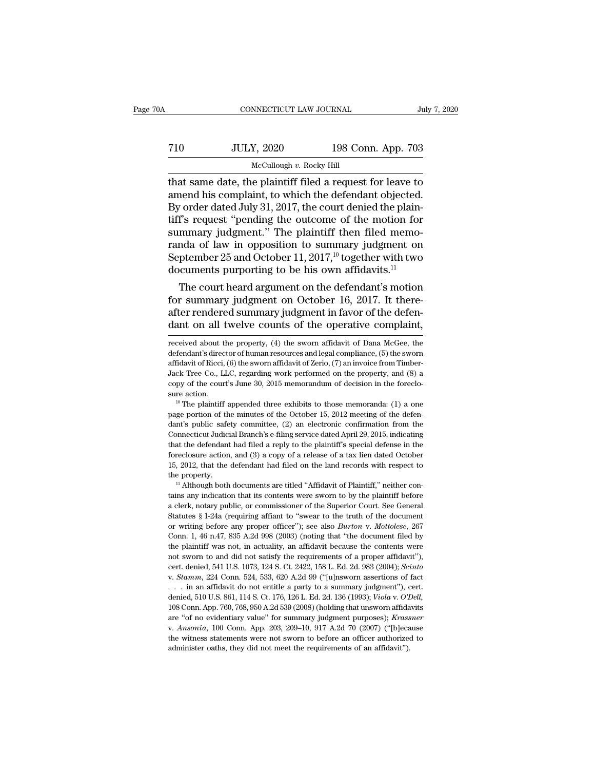| ЭA  | CONNECTICUT LAW JOURNAL                                   |                    | July 7, 2020 |
|-----|-----------------------------------------------------------|--------------------|--------------|
| 710 | <b>JULY, 2020</b>                                         | 198 Conn. App. 703 |              |
|     | McCullough $v$ . Rocky Hill                               |                    |              |
|     | that same date the plaintiff filed a request for leave to |                    |              |

CONNECTICUT LAW JOURNAL July 7, 2020<br>  $\frac{July \ 7, 2020}{NcCullough \ v. \text{ Rocky Hill}}$ <br>
that same date, the plaintiff filed a request for leave to<br>
amend his complaint, to which the defendant objected.<br>
By order dated July 31, 2017, the c T10 JULY, 2020 198 Conn. App. 703<br>
McCullough v. Rocky Hill<br>
that same date, the plaintiff filed a request for leave to<br>
amend his complaint, to which the defendant objected.<br>
By order dated July 31, 2017, the court denie T10 JULY, 2020 198 Conn. App. 703<br>
McCullough v. Rocky Hill<br>
that same date, the plaintiff filed a request for leave to<br>
amend his complaint, to which the defendant objected.<br>
By order dated July 31, 2017, the court denie The Taurus TULY, 2020 198 Conn. App. 703<br>
McCullough v. Rocky Hill<br>
that same date, the plaintiff filed a request for leave to<br>
amend his complaint, to which the defendant objected.<br>
By order dated July 31, 2017, the cour SUCT, 2020<br>
McCullough v. Rocky Hill<br>
that same date, the plaintiff filed a request for leave to<br>
amend his complaint, to which the defendant objected.<br>
By order dated July 31, 2017, the court denied the plain-<br>
tiff's re  $\frac{\text{McCullogah } v. \text{ Rocky Hill}}{\text{that same date, the plaintiff field a request for leave to  
amend his complaint, to which the defendant objected.}$ <br>By order dated July 31, 2017, the court denied the plain-<br>tiff's request "pending the outcome of the motion for<br>summary judgment." The plaintiff then filed memo-<br>randa o that same date, the plaintiff filed a request for leave to<br>amend his complaint, to which the defendant objected.<br>By order dated July 31, 2017, the court denied the plain-<br>tiff's request "pending the outcome of the motion f amend his complaint, to which the defendant objected.<br>By order dated July 31, 2017, the court denied the plain-<br>tiff's request "pending the outcome of the motion for<br>summary judgment." The plaintiff then filed memo-<br>randa The court defined argument of the motion for<br>f's request "pending the outcome of the motion for<br>mmary judgment." The plaintiff then filed memo-<br>nda of law in opposition to summary judgment on<br>ptember 25 and October 11, 20 for summary judgment." The plaintiff then filed memoranda of law in opposition to summary judgment on September 25 and October 11, 2017,<sup>10</sup> together with two documents purporting to be his own affidavits.<sup>11</sup><br>The court h

summary judgment. The plaintif then filed memo-<br>randa of law in opposition to summary judgment on<br>September 25 and October 11, 2017,<sup>10</sup> together with two<br>documents purporting to be his own affidavits.<sup>11</sup><br>The court heard randa of faw in opposition to summary judgment on<br>September 25 and October 11, 2017,<sup>10</sup> together with two<br>documents purporting to be his own affidavits.<sup>11</sup><br>The court heard argument on the defendant's motion<br>for summary The court heard argument on the defendant's motion<br>for summary judgment on October 16, 2017. It there-<br>after rendered summary judgment in favor of the defen-<br>dant on all twelve counts of the operative complaint,<br>received a for summary judgment on October 16, 2017. It there-<br>after rendered summary judgment in favor of the defen-<br>dant on all twelve counts of the operative complaint,<br>received about the property, (4) the sworn affidavit of Dana

Jack Tree Co., LLC, regarding work performed on the property, and (8) a copy of the court's June 30, 2015 memorandum of decision in the foreclosure action.<br>
<sup>10</sup> The plaintiff appended three exhibits to those memoranda: ( copy of the court's June 30, 2015 memorandum of decision in the foreclosure action.<br><sup>10</sup> The plaintiff appended three exhibits to those memoranda: (1) a one page portion of the minutes of the October 15, 2012 meeting of t sure action.<br>
<sup>10</sup> The plaintiff appended three exhibits to those memoranda: (1) a one<br>
page portion of the minutes of the October 15, 2012 meeting of the defen-<br>
dant's public safety committee, (2) an electronic confirma <sup>10</sup> The plaintiff appended three exhibits to those memoranda: (1) a one page portion of the minutes of the October 15, 2012 meeting of the defendant's public safety committee, (2) an electronic confirmation from the Conn page portion of the minutes of the October 15, 2012 meeting of the defendant's public safety committee, (2) an electronic confirmation from the Connecticut Judicial Branch's e-filing service dated April 29, 2015, indicatin dant's public safety committee, (2) an electronic confirmation from the Connecticut Judicial Branch's e-filing service dated April 29, 2015, indicating that the defendant had filed a reply to the plaintiff's special defens that the defendant had filed a reply to the plaintiff's special defense in the foreclosure action, and (3) a copy of a release of a tax lien dated October 15, 2012, that the defendant had filed on the land records with re

a clerk, notary and (3) a copy of a release of a tax lien dated October 15, 2012, that the defendant had filed on the land records with respect to the property.<br><sup>11</sup> Although both documents are titled "Affidavit of Plainti 15, 2012, that the defendant had filed on the land records with respect to the property.<br>
<sup>11</sup> Although both documents are titled "Affidavit of Plaintiff," neither contains any indication that its contents were sworn to b or writing before any proper officer''); see also *Burton* v. *Mottolese, 267*<br>Contains any indication that its contents were sworn to by the plaintiff before<br>a clerk, notary public, or commissioner of the Superior Court. <sup>11</sup> Although both documents are titled "Affidavit of Plaintiff," neither contains any indication that its contents were sworn to by the plaintiff before a clerk, notary public, or commissioner of the Superior Court. See the plaintiff was not in actuality, and affidavit because the contents were sworn to by the plaintiff before a clerk, notary public, or commissioner of the Superior Court. See General Statutes § 1-24a (requiring affiant t a clerk, notary public, or commissioner of the Superior Court. See General Statutes  $\S 1-24a$  (requiring affiant to "swear to the truth of the document or writing before any proper officer"); see also *Burton* v. *Mottole* cert. denied, 541 U.S. 1073, 124 S. Ct. 2422, 158 L. Ed. 2d. 983 (2004); *Stanum*, 224 Conn. 1, 46 n.47, 835 A.2d 998 (2003) (noting that "the document filed by the plaintiff was not, in actuality, an affidavit because the or writing before any proper officer"); see also *Burton* v. *Mottolese*, 267 Conn. 1, 46 n.47, 835 A.2d 998 (2003) (noting that "the document filed by the plaintiff was not, in actuality, an affidavit because the contents Conn. 1, 46 n.47, 835 A.2d 998 (2003) (noting that "the document filed by the plaintiff was not, in actuality, an affidavit because the contents were not sworn to and did not satisfy the requirements of a proper affidavit the plaintiff was not, in actuality, an affidavit because the contents were<br>not sworn to and did not satisfy the requirements of a proper affidavit"),<br>cert. denied, 541 U.S. 1073, 124 S. Ct. 2422, 158 L. Ed. 2d. 983 (2004) not sworn to and did not satisfy the requirements of a proper affidavit"), cert. denied, 541 U.S. 1073, 124 S. Ct. 2422, 158 L. Ed. 2d. 983 (2004); *Scinto* v. *Stamm*, 224 Conn. 524, 533, 620 A.2d 99 ("[u]nsworn assertio cert. denied, 541 U.S. 1073, 124 S. Ct. 2422, 158 L. Ed. 2d. 983 (2004); *Scinto*<br>v. *Stamm*, 224 Conn. 524, 533, 620 A.2d 99 ("[u]nsworn assertions of fact<br>... in an affidavit do not entitle a party to a summary judgment" the with an affidavit do not entitle a party to a summary judgment"), cert.<br>denied, 510 U.S. 861, 114 S. Ct. 176, 126 L. Ed. 2d. 136 (1993); *Viola v. O'Dell*,<br>108 Conn. App. 760, 768, 950 A.2d 539 (2008) (holding that un denied, 510 U.S. 861, 114 S. Ct. 176, 126 L. Ed. 2d. 136 (1993); *Viola v. O'Dell*, 108 Conn. App. 760, 768, 950 A.2d 539 (2008) (holding that unsworn affidavits are "of no evidentiary value" for summary judgment purposes

after rendered summary judgment in favor of the defendant on all twelve counts of the operative complaint,<br>received about the property, (4) the sworn affidavit of Dana McGee, the<br>defendant's director of human resources and dant on all twelve counts of the operative complaint,<br>received about the property, (4) the sworn affidavit of Dana McGee, the<br>defendant's director of human resources and legal compliance, (5) the sworn<br>affidavit of Ricci, received about the property,  $(4)$  the sworn affidavit of Dana McGee, the defendant's director of human resources and legal compliance,  $(5)$  the sworn affidavit of Ricci,  $(6)$  the sworn affidavit of Zerio,  $(7)$  an invo received about the property, (4) the sworn affidavit of Dana McGee, the defendant's director of human resources and legal compliance, (5) the sworn affidavit of Ricci, (6) the sworn affidavit of Zerio, (7) an invoice from affidavit of Ricci, (6) the sworn affidavit of Zerio, (7) an invoice from Timber-<br>Jack Tree Co., LLC, regarding work performed on the property, and (8) a<br>copy of the court's June 30, 2015 memorandum of decision in the for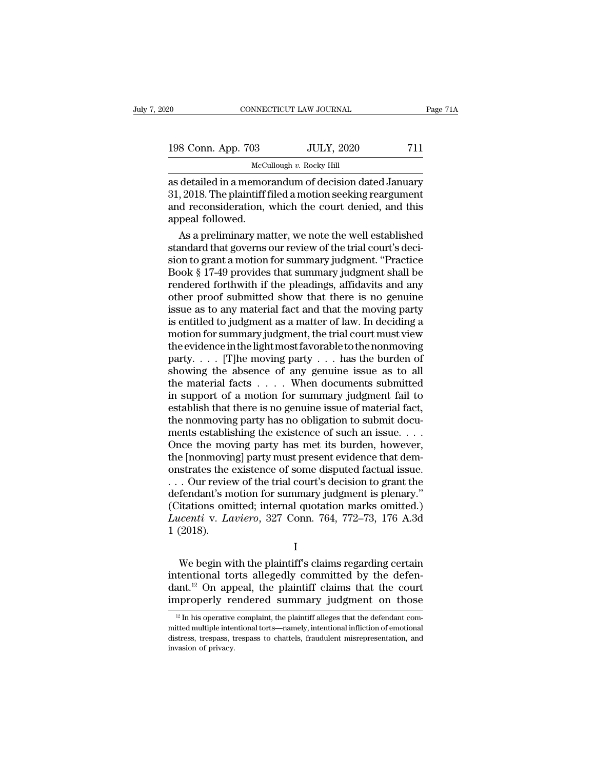| 20                 | CONNECTICUT LAW JOURNAL                               | Page 71A |
|--------------------|-------------------------------------------------------|----------|
|                    |                                                       |          |
| 198 Conn. App. 703 | <b>JULY, 2020</b>                                     | 711      |
|                    | McCullough $v$ . Rocky Hill                           |          |
|                    | as detailed in a memorandum of decision dated January |          |

connecticut LAW JOURNAL Page 71A<br>
198 Conn. App. 703 JULY, 2020 711<br>
McCullough v. Rocky Hill<br>
as detailed in a memorandum of decision dated January<br>
31, 2018. The plaintiff filed a motion seeking reargument<br>
and reconside 198 Conn. App. 703 JULY, 2020 711<br>McCullough v. Rocky Hill<br>as detailed in a memorandum of decision dated January<br>31, 2018. The plaintiff filed a motion seeking reargument<br>and reconsideration, which the court denied, and th 198 Conn. App. 703 JULY, 2020 711<br>
McCullough v. Rocky Hill<br>
as detailed in a memorandum of decision dated January<br>
31, 2018. The plaintiff filed a motion seeking reargument<br>
and reconsideration, which the court denied, a 198 Conn. App. 703<br>MeCu<br>as detailed in a memor<br>31, 2018. The plaintiff for<br>and reconsideration,<br>appeal followed.<br>As a preliminary ma McCullough  $v$ . Rocky Hill<br>detailed in a memorandum of decision dated January<br>, 2018. The plaintiff filed a motion seeking reargument<br>d reconsideration, which the court denied, and this<br>peal followed.<br>As a preliminary mat standard in a memorandum of decision dated January<br>31, 2018. The plaintiff filed a motion seeking reargument<br>and reconsideration, which the court denied, and this<br>appeal followed.<br>As a preliminary matter, we note the well

as detailed in a memorandum of decision dated January<br>31, 2018. The plaintiff filed a motion seeking reargument<br>and reconsideration, which the court denied, and this<br>appeal followed.<br>As a preliminary matter, we note the we 31, 2018. The plaintiff filed a motion seeking reargument<br>and reconsideration, which the court denied, and this<br>appeal followed.<br>As a preliminary matter, we note the well established<br>standard that governs our review of the and reconsideration, which the court denied, and this<br>appeal followed.<br>As a preliminary matter, we note the well established<br>standard that governs our review of the trial court's deci-<br>sion to grant a motion for summary ju appeal followed.<br>As a preliminary matter, we note the well established<br>standard that governs our review of the trial court's deci-<br>sion to grant a motion for summary judgment. "Practice<br>Book § 17-49 provides that summary j As a preliminary matter, we note the well established<br>standard that governs our review of the trial court's deci-<br>sion to grant a motion for summary judgment. "Practice<br>Book § 17-49 provides that summary judgment shall be<br> standard that governs our review of the trial court's decision to grant a motion for summary judgment. "Practice Book § 17-49 provides that summary judgment shall be rendered forthwith if the pleadings, affidavits and any sion to grant a motion for summary judgment. "Practice<br>Book § 17-49 provides that summary judgment shall be<br>rendered forthwith if the pleadings, affidavits and any<br>other proof submitted show that there is no genuine<br>issue Book § 17-49 provides that summary judgment shall be<br>rendered forthwith if the pleadings, affidavits and any<br>other proof submitted show that there is no genuine<br>issue as to any material fact and that the moving party<br>is e rendered forthwith if the pleadings, affidavits and any<br>other proof submitted show that there is no genuine<br>issue as to any material fact and that the moving party<br>is entitled to judgment as a matter of law. In deciding a other proof submitted show that there is no genuine<br>issue as to any material fact and that the moving party<br>is entitled to judgment as a matter of law. In deciding a<br>motion for summary judgment, the trial court must view<br> issue as to any material fact and that the moving party<br>is entitled to judgment as a matter of law. In deciding a<br>motion for summary judgment, the trial court must view<br>the evidence in the light most favorable to the nonm is entitled to judgment as a matter of law. In deciding a<br>motion for summary judgment, the trial court must view<br>the evidence in the light most favorable to the nonmoving<br>party.... [T]he moving party ... has the burden of motion for summary judgment, the trial court must view<br>the evidence in the light most favorable to the nonmoving<br>party.... [T]he moving party ... has the burden of<br>showing the absence of any genuine issue as to all<br>the ma the evidence in the light most favorable to the nonmoving<br>party.  $\dots$  [T]he moving party  $\dots$  has the burden of<br>showing the absence of any genuine issue as to all<br>the material facts  $\dots$ . When documents submitted<br>in suppo party. . . . [T]he moving party . . . has the burden of showing the absence of any genuine issue as to all the material facts . . . . When documents submitted in support of a motion for summary judgment fail to establish showing the absence of any genuine issue as to all<br>the material facts  $\dots$ . When documents submitted<br>in support of a motion for summary judgment fail to<br>establish that there is no genuine issue of material fact,<br>the nonmo the material facts  $\dots$ . When documents submitted<br>in support of a motion for summary judgment fail to<br>establish that there is no genuine issue of material fact,<br>the nonmoving party has no obligation to submit docu-<br>ments in support of a motion for summary judgment fail to<br>establish that there is no genuine issue of material fact,<br>the nonmoving party has no obligation to submit docu-<br>ments establishing the existence of such an issue. . . .<br> establish that there is no genuine issue of material fact,<br>the nonmoving party has no obligation to submit docu-<br>ments establishing the existence of such an issue. . . .<br>Once the moving party has met its burden, however,<br>t the nonmoving party has no obligation to submit documents establishing the existence of such an issue....<br>Once the moving party has met its burden, however,<br>the [nonmoving] party must present evidence that dem-<br>onstrates ments establishing the existence of such an issue. . . . Once the moving party has met its burden, however, the [nonmoving] party must present evidence that demonstrates the existence of some disputed factual issue. . . . Once the moving party has met its burden, however,<br>the [nonmoving] party must present evidence that dem-<br>onstrates the existence of some disputed factual issue.<br>... Our review of the trial court's decision to grant the<br>def the [nonmovir<br>onstrates the<br>... Our reviev<br>defendant's m<br>(Citations om<br>Lucenti v. La<br>1 (2018). . Our review of the trial court s decision to grant the<br>fendant's motion for summary judgment is plenary."<br>itations omitted; internal quotation marks omitted.)<br>*icenti* v. *Laviero*, 327 Conn. 764, 772–73, 176 A.3d<br>(2018)

I

detendant s modori for summary judgment is plenary.<br>
(Citations omitted; internal quotation marks omitted.)<br>
Lucenti v. Laviero, 327 Conn. 764, 772–73, 176 A.3d<br>
1 (2018).<br>
I<br>
We begin with the plaintiff's claims regarding Lucenti v. Laviero, 327 Conn. 764, 772–73, 176 A.3d<br>1 (2018).<br> $I$ <br>We begin with the plaintiff's claims regarding certain<br>intentional torts allegedly committed by the defen-<br>dant.<sup>12</sup> On appeal, the plaintiff claims that t Latenti V. Latend, 527 Coluit. 704, 772-75, 170 A.5d<br>1 (2018).<br>I<br>We begin with the plaintiff's claims regarding certain<br>intentional torts allegedly committed by the defen-<br>dant.<sup>12</sup> On appeal, the plaintiff claims that th We begin with the plaintiff's claims regarding certain<br>tentional torts allegedly committed by the defen-<br>ant.<sup>12</sup> On appeal, the plaintiff claims that the court<br>approperly rendered summary judgment on those<br> $\frac{12}{10}$  In intentional torts allegedly committed by the defen-<br>dant.<sup>12</sup> On appeal, the plaintiff claims that the court<br>improperly rendered summary judgment on those<br> $\frac{12 \text{ In his operative complaint, the plaintiff alleles that the defendant com-  
mitted multiple intentional torts—namely, intentional inflation of emotional  
diffeses, tespass, tespass to chattels, fraudulent misrepresentation, and$ improperly rendered summary judgment on those

dant.<sup>12</sup> On appeal, the plaintiff claims that the court improperly rendered summary judgment on those  $\frac{12 \text{ In his operative complaint, the plaintiff alleles that the defendant committed multiple intentional torts—namely, intentional inflation of emotional distress, trespass, trespass to chattels, fraudulent misrepresentation, and invasion of privacy.$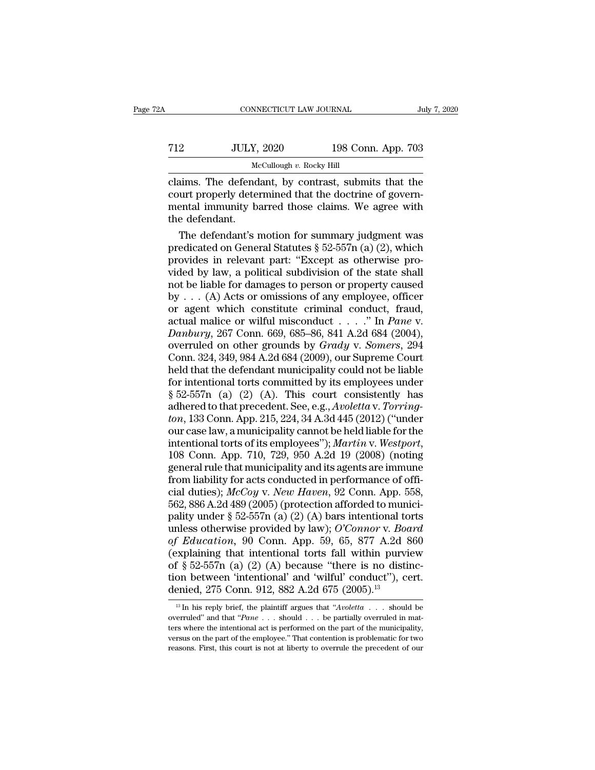| łА  | CONNECTICUT LAW JOURNAL                           |                    | July 7, 2020 |
|-----|---------------------------------------------------|--------------------|--------------|
| 712 | <b>JULY, 2020</b>                                 | 198 Conn. App. 703 |              |
|     | McCullough $v$ . Rocky Hill                       |                    |              |
|     | claims The defendant by contrast submits that the |                    |              |

CONNECTICUT LAW JOURNAL July 7, 2020<br>
T12 JULY, 2020 198 Conn. App. 703<br>
McCullough v. Rocky Hill<br>
Claims. The defendant, by contrast, submits that the<br>
court properly determined that the doctrine of govern-<br>
mental immuni T12 JULY, 2020 198 Conn. App. 703<br>
McCullough v. Rocky Hill<br>
Claims. The defendant, by contrast, submits that the<br>
court properly determined that the doctrine of govern-<br>
mental immunity barred those claims. We agree with<br> T12 JULY, 2020 198 Conn. App. 703<br>
McCullough v. Rocky Hill<br>
claims. The defendant, by contrast, submits that the<br>
court properly determined that the doctrine of govern-<br>
mental immunity barred those claims. We agree with Term TVLV,<br>
THE MARK Claims. The defend<br>
court properly determental immunity bath<br>
the defendant.<br>
The defendant's r McCullough v. Rocky Hill<br>
McCullough v. Rocky Hill<br>
imms. The defendant, by contrast, submits that the<br>
urt properly determined that the doctrine of govern-<br>
ental immunity barred those claims. We agree with<br>
edefendant.<br> predications. The defendant, by contrast, submits that the<br>court properly determined that the doctrine of govern-<br>mental immunity barred those claims. We agree with<br>the defendant.<br>The defendant's motion for summary judgmen

claims. The defendant, by contrast, submits that the<br>court properly determined that the doctrine of govern-<br>mental immunity barred those claims. We agree with<br>the defendant.<br>The defendant's motion for summary judgment was court properly determined that the doctrine of govern-<br>mental immunity barred those claims. We agree with<br>the defendant.<br>The defendant's motion for summary judgment was<br>predicated on General Statutes § 52-557n (a) (2), whi mental immunity barred those claims. We agree with<br>the defendant.<br>The defendant's motion for summary judgment was<br>predicated on General Statutes § 52-557n (a) (2), which<br>provides in relevant part: "Except as otherwise pro the defendant.<br>
The defendant's motion for summary judgment was<br>
predicated on General Statutes § 52-557n (a) (2), which<br>
provides in relevant part: "Except as otherwise pro-<br>
vided by law, a political subdivision of the The defendant's motion for summary judgment was<br>predicated on General Statutes § 52-557n (a) (2), which<br>provides in relevant part: "Except as otherwise pro-<br>vided by law, a political subdivision of the state shall<br>not be predicated on General Statutes § 52-557n (a) (2), which<br>provides in relevant part: "Except as otherwise pro-<br>vided by law, a political subdivision of the state shall<br>not be liable for damages to person or property caused<br>b provides in relevant part: "Except as otherwise provided by law, a political subdivision of the state shall<br>not be liable for damages to person or property caused<br>by . . . (A) Acts or omissions of any employee, officer<br>or vided by law, a political subdivision of the state shall<br>not be liable for damages to person or property caused<br>by  $\ldots$  (A) Acts or omissions of any employee, officer<br>or agent which constitute criminal conduct, fraud,<br>ac not be liable for damages to person or property caused<br>by . . . (A) Acts or omissions of any employee, officer<br>or agent which constitute criminal conduct, fraud,<br>actual malice or wilful misconduct . . . . " In *Pane v.<br>Da* by . . . (A) Acts or omissions of any employee, officer<br>or agent which constitute criminal conduct, fraud,<br>actual malice or wilful misconduct . . . . " In *Pane v.*<br>Danbury, 267 Conn. 669, 685–86, 841 A.2d 684 (2004),<br>ove or agent which constitute criminal conduct, fraud,<br>actual malice or wilful misconduct . . . ." In Pane v.<br>Danbury, 267 Conn. 669, 685–86, 841 A.2d 684 (2004),<br>overruled on other grounds by *Grady* v. *Somers*, 294<br>Conn. 3 actual malice or wilful misconduct . . . ." In *Pane v.*<br> *Danbury*, 267 Conn. 669, 685–86, 841 A.2d 684 (2004),<br>
overruled on other grounds by *Grady v. Somers*, 294<br>
Conn. 324, 349, 984 A.2d 684 (2009), our Supreme Cour Danbury, 267 Conn. 669, 685–86, 841 A.2d 684 (2004),<br>overruled on other grounds by *Grady* v. *Somers*, 294<br>Conn. 324, 349, 984 A.2d 684 (2009), our Supreme Court<br>held that the defendant municipality could not be liable<br>fo overruled on other grounds by *Grady* v. *Somers*, 294<br>Conn. 324, 349, 984 A.2d 684 (2009), our Supreme Court<br>held that the defendant municipality could not be liable<br>for intentional torts committed by its employees under<br> Conn. 324, 349, 984 A.2d 684 (2009), our Supreme Court<br>held that the defendant municipality could not be liable<br>for intentional torts committed by its employees under<br>§ 52-557n (a) (2) (A). This court consistently has<br>adh held that the defendant municipality could not be liable<br>for intentional torts committed by its employees under<br>§ 52-557n (a) (2) (A). This court consistently has<br>adhered to that precedent. See, e.g., *Avoletta v. Torring-*§ 52-557n (a) (2) (A). This court consistently has<br>adhered to that precedent. See, e.g., *Avoletta v. Torring-<br>ton*, 133 Conn. App. 215, 224, 34 A.3d 445 (2012) ("under<br>our case law, a municipality cannot be held liable f adhered to that precedent. See, e.g., *Avoletta v. Torring-*<br>ton, 133 Conn. App. 215, 224, 34 A.3d 445 (2012) ("under<br>our case law, a municipality cannot be held liable for the<br>intentional torts of its employees"); *Martin ton*, 133 Conn. App. 215, 224, 34 A.3d 445 (2012) ("under<br>our case law, a municipality cannot be held liable for the<br>intentional torts of its employees"); *Martin v. Westport*,<br>108 Conn. App. 710, 729, 950 A.2d 19 (2008) our case law, a municipality cannot be held liable for the<br>intentional torts of its employees"); *Martin v. Westport*,<br>108 Conn. App. 710, 729, 950 A.2d 19 (2008) (noting<br>general rule that municipality and its agents are intentional torts of its employees"); *Martin v. Westport*,<br>108 Conn. App. 710, 729, 950 A.2d 19 (2008) (noting<br>general rule that municipality and its agents are immune<br>from liability for acts conducted in performance of 108 Conn. App. 710, 729, 950 A.2d 19 (2008) (noting<br>general rule that municipality and its agents are immune<br>from liability for acts conducted in performance of offi-<br>cial duties); *McCoy v. New Haven*, 92 Conn. App. 558,<br> general rule that municipality and its agents are immune<br>from liability for acts conducted in performance of offi-<br>cial duties); *McCoy v. New Haven*, 92 Conn. App. 558,<br>562, 886 A.2d 489 (2005) (protection afforded to mun from liability for acts conducted in performance of official duties);  $McCoy$  v. New Haven, 92 Conn. App. 558, 562, 886 A.2d 489 (2005) (protection afforded to municipality under § 52-557n (a) (2) (A) bars intentional torts cial duties);  $McCoy$  v. New Haven, 92 Conn. App. 558, 562, 886 A.2d 489 (2005) (protection afforded to munici-<br>pality under § 52-557n (a) (2) (A) bars intentional torts<br>unless otherwise provided by law);  $O'Connor$  v. Board<br>o 562, 886 A.2d 489 (2005) (protection afforded to municipality under § 52-557n (a) (2) (A) bars intentional torts unless otherwise provided by law); O'Connor v. Board of Education, 90 Conn. App. 59, 65, 877 A.2d 860 (expla pality under § 52-557n (a) (2) (A) bars intentional to<br>unless otherwise provided by law); *O'Connor* v. *Boof Education*, 90 Conn. App. 59, 65, 877 A.2d {<br>(explaining that intentional torts fall within purvi<br>of § 52-557n Explaining that intentional torts fall within purview f § 52-557n (a) (2) (A) because "there is no distinction<br>on between 'intentional' and 'wilful' conduct''), cert.<br>enied, 275 Conn. 912, 882 A.2d 675 (2005).<sup>13</sup><br><sup>13</sup> In of § 52-557n (a) (2) (A) because "there is no distinction between 'intentional' and 'wilful' conduct"), cert.<br>denied, 275 Conn. 912, 882 A.2d 675 (2005).<sup>13</sup><br><sup>13</sup> In his reply brief, the plaintiff argues that "*Avoletta*

tion between 'intentional' and 'wilful' conduct''), cert.<br>
denied, 275 Conn. 912, 882 A.2d 675 (2005).<sup>13</sup><br>
<sup>13</sup> In his reply brief, the plaintiff argues that "*Avoletta* . . . should be<br>
overruled" and that "*Pane* . . . denied, 275 Conn. 912, 882 A.2d 675 (2005).<sup>13</sup><br>
<sup>13</sup> In his reply brief, the plaintiff argues that "*Avoletta* . . . should be overruled" and that "*Pane* . . . should . . . be partially overruled in matters where the in overruled" and that " $Pane \ldots$  should  $\ldots$  be partially overruled in mat-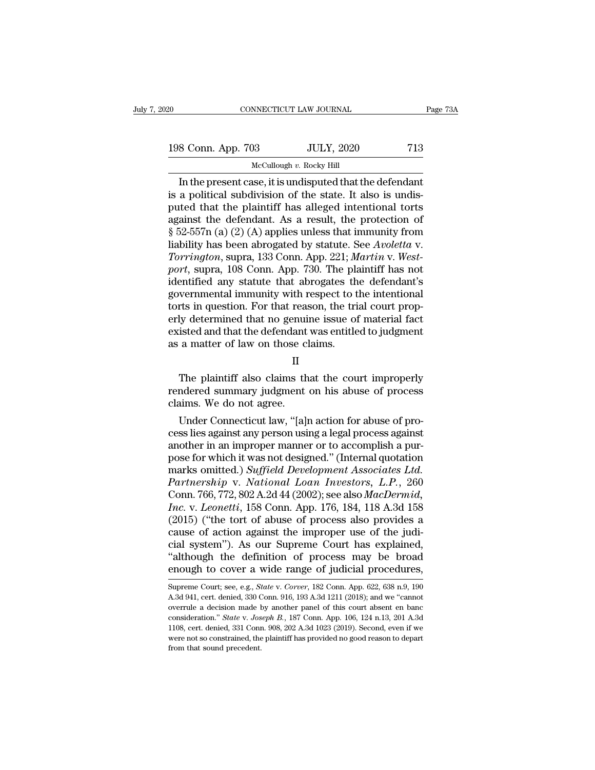| 20                                                      | CONNECTICUT LAW JOURNAL     | Page 73A |
|---------------------------------------------------------|-----------------------------|----------|
| 198 Conn. App. 703                                      | <b>JULY, 2020</b>           | 713      |
|                                                         | McCullough $v$ . Rocky Hill |          |
| In the present case it is undisputed that the defendant |                             |          |

CONNECTICUT LAW JOURNAL Page 73/<br>
8 Conn. App. 703 JULY, 2020 713<br>
McCullough v. Rocky Hill<br>
In the present case, it is undisputed that the defendant<br>
a political subdivision of the state. It also is undis-198 Conn. App. 703 JULY, 2020 713<br>
McCullough v. Rocky Hill<br>
In the present case, it is undisputed that the defendant<br>
is a political subdivision of the state. It also is undis-<br>
puted that the plaintiff has alleged inten 198 Conn. App. 703 JULY, 2020 713<br>
McCullough v. Rocky Hill<br>
In the present case, it is undisputed that the defendant<br>
is a political subdivision of the state. It also is undis-<br>
puted that the plaintiff has alleged inten 198 Conn. App. 703 JULY, 2020 713<br>
McCullough v. Rocky Hill<br>
In the present case, it is undisputed that the defendant<br>
is a political subdivision of the state. It also is undis-<br>
puted that the plaintiff has alleged inten **EXECUTE ACCULUS AND ACCULUS AND ACCULUS ASSET ASSET ASSET ASSET AND IN THE PRESENT CASE, it is undisputed that the defendant** is a political subdivision of the state. It also is undisputed that the plaintiff has alleged McCullough v. Rocky Hill<br>
is a political subdivision of the state. It also is undis-<br>
puted that the plaintiff has alleged intentional torts<br>
against the defendant. As a result, the protection of<br>
§ 52-557n (a) (2) (A) app In the present case, it is undisputed that the defendant<br>is a political subdivision of the state. It also is undis-<br>puted that the plaintiff has alleged intentional torts<br>against the defendant. As a result, the protection is a political subdivision of the state. It also is undis-<br>puted that the plaintiff has alleged intentional torts<br>against the defendant. As a result, the protection of<br>§ 52-557n (a) (2) (A) applies unless that immunity fro puted that the plaintiff has alleged intentional torts<br>against the defendant. As a result, the protection of<br>§ 52-557n (a) (2) (A) applies unless that immunity from<br>liability has been abrogated by statute. See Avoletta v.<br> against the defendant. As a result, the protection of  $\S$  52-557n (a) (2) (A) applies unless that immunity from liability has been abrogated by statute. See *Avoletta v.* Torrington, supra, 133 Conn. App. 221; *Martin v.*  $\S$  52-557n (a) (2) (A) applies unless that immunity from<br>liability has been abrogated by statute. See *Avoletta v.*<br>Torrington, supra, 133 Conn. App. 221; *Martin v. West-*<br>port, supra, 108 Conn. App. 730. The plaintiff liability has been abrogated by statute. See Avoletta v.<br>Torrington, supra, 133 Conn. App. 221; Martin v. West-<br>port, supra, 108 Conn. App. 730. The plaintiff has not<br>identified any statute that abrogates the defendant's<br>g Torrington, supra, 133 Conn. App. 221; *Martin* v. West-<br>port, supra, 108 Conn. App. 730. The plaintiff has not<br>identified any statute that abrogates the defendant's<br>governmental immunity with respect to the intentional<br>to port, supra, 108 Conn. App. 730. The plaid<br>entified any statute that abrogates the governmental immunity with respect to t<br>torts in question. For that reason, the tri-<br>erly determined that no genuine issue of<br>existed and t The plaintiff also claims that the court property determined that no genuine issue of material fact<br>isted and that the defendant was entitled to judgment<br>a matter of law on those claims.<br>II<br>The plaintiff also claims that t rely determined that no genuine issue of material fact<br>existed and that the defendant was entitled to judgment<br>as a matter of law on those claims.<br>II<br>The plaintiff also claims that the court improperly<br>rendered summary jud

II

existed and that the defendant<br>as a matter of law on those cl<br>II<br>The plaintiff also claims the<br>rendered summary judgment<br>claims. We do not agree.<br>Under Connecticut law, "[a] a matter of law on those claims.<br>
II<br>
The plaintiff also claims that the court improperly<br>
indered summary judgment on his abuse of process<br>
aims. We do not agree.<br>
Under Connecticut law, "[a]n action for abuse of pro-<br>
ss

II<br>The plaintiff also claims that the court improperly<br>rendered summary judgment on his abuse of process<br>claims. We do not agree.<br>Under Connecticut law, "[a]n action for abuse of pro-<br>cess lies against any person using a l The plaintiff also claims that the court improperly<br>rendered summary judgment on his abuse of process<br>claims. We do not agree.<br>Under Connecticut law, "[a]n action for abuse of pro-<br>cess lies against any person using a leg The plaintif also claims that the court improperty<br>rendered summary judgment on his abuse of process<br>claims. We do not agree.<br>Under Connecticut law, "[a]n action for abuse of pro-<br>cess lies against any person using a lega rendered summary judgment on his abuse of process<br>claims. We do not agree.<br>Under Connecticut law, "[a]n action for abuse of pro-<br>cess lies against any person using a legal process against<br>another in an improper manner or t claims. We do not agree.<br>
Under Connecticut law, "[a]n action for abuse of process lies against any person using a legal process against<br>
another in an improper manner or to accomplish a pur-<br>
pose for which it was not des Under Connecticut law, "[a]n action for abuse of process lies against any person using a legal process against<br>another in an improper manner or to accomplish a pur-<br>pose for which it was not designed." (Internal quotation<br> cess lies against any person using a legal process against<br>another in an improper manner or to accomplish a pur-<br>pose for which it was not designed." (Internal quotation<br>marks omitted.) *Suffield Development Associates Ltd* another in an improper manner or to accomplish a pur-<br>pose for which it was not designed." (Internal quotation<br>marks omitted.) *Suffield Development Associates Ltd.*<br>Partnership v. *National Loan Investors*, *L.P.*, 260<br>Co pose for which it was not designed." (Internal quotation<br>marks omitted.) Suffield Development Associates Ltd.<br>Partnership v. National Loan Investors, L.P., 260<br>Conn. 766, 772, 802 A.2d 44 (2002); see also MacDermid,<br>Inc. v marks omitted.) Suffield Development Associates Ltd.<br>Partnership v. National Loan Investors, L.P., 260<br>Conn. 766, 772, 802 A.2d 44 (2002); see also MacDermid,<br>Inc. v. Leonetti, 158 Conn. App. 176, 184, 118 A.3d 158<br>(2015) Partnership v. National Loan Investors, L.P., 260<br>Conn. 766, 772, 802 A.2d 44 (2002); see also MacDermid,<br>Inc. v. Leonetti, 158 Conn. App. 176, 184, 118 A.3d 158<br>(2015) ("the tort of abuse of process also provides a<br>cause Conn. 766, 772, 802 A.2d 44 (2002); see also *MacDermid*,<br>*Inc.* v. *Leonetti*, 158 Conn. App. 176, 184, 118 A.3d 158<br>(2015) ("the tort of abuse of process also provides a<br>cause of action against the improper use of the j cause of action against the improper use of the judi-<br>cial system"). As our Supreme Court has explained,<br>"although the definition of process may be broad<br>enough to cover a wide range of judicial procedures,<br>Supreme Court; cial system"). As our Supreme Court has explained,<br>"although the definition of process may be broad<br>enough to cover a wide range of judicial procedures,<br>Supreme Court; see, e.g., *State* v. Corver, 182 Conn. App. 622, 638

"although the definition of process may be broad enough to cover a wide range of judicial procedures, Supreme Court; see, e.g., *State v. Corver*, 182 Conn. App. 622, 638 n.9, 190 A.3d 941, cert. denied, 330 Conn. 916, 19 enough to cover a wide range of judicial procedures,<br>
Supreme Court; see, e.g., *State* v. *Corver*, 182 Conn. App. 622, 638 n.9, 190<br>
A.3d 941, cert. denied, 330 Conn. 916, 193 A.3d 1211 (2018); and we "cannot<br>
overrule a ENOUGH TO COVET a WIGE Tange OI JUGICIAI procedures,<br>Supreme Court; see, e.g., *State v. Corver*, 182 Conn. App. 622, 638 n.9, 190<br>A.3d 941, cert. denied, 330 Conn. 916, 193 A.3d 1211 (2018); and we "cannot<br>overrule a deci Supreme Court; see, e.g., *State v. Corver*, 182 Conn. App. 622, 638 n.9, 190 A.3d 941, cert. denied, 330 Conn. 916, 193 A.3d 1211 (2018); and we "cannot overrule a decision made by another panel of this court absent en b overrule a decision made by another panel of this court absent en banc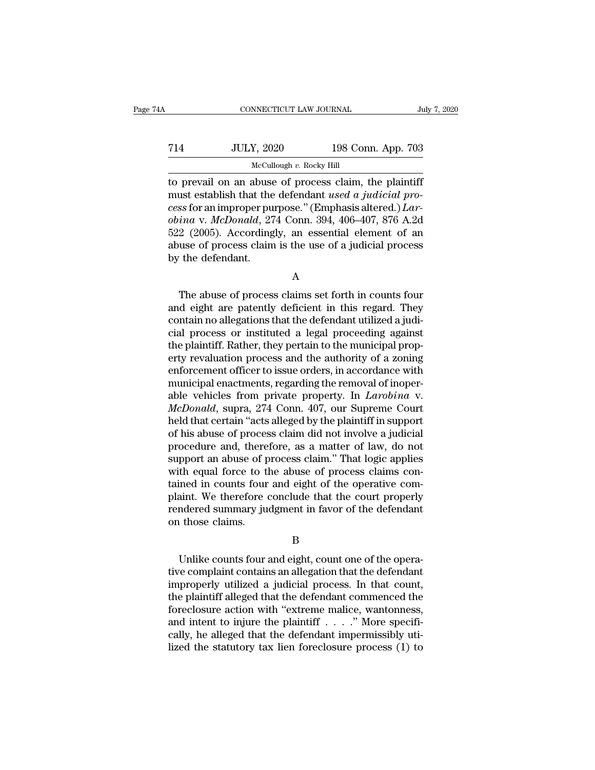| łΑ  | CONNECTICUT LAW JOURNAL                                                                                                                                                     |                    | July 7, 2020 |
|-----|-----------------------------------------------------------------------------------------------------------------------------------------------------------------------------|--------------------|--------------|
| 714 | <b>JULY, 2020</b>                                                                                                                                                           | 198 Conn. App. 703 |              |
|     | McCullough $v$ . Rocky Hill                                                                                                                                                 |                    |              |
|     | to prevail on an abuse of process claim, the plaintiff<br>must establish that the defendant used a judicial pro-<br>$\cos f$ or an improporpurpose " (Emphasis altered) Lar |                    |              |

T14 JULY, 2020 198 Conn. App. 703<br>
McCullough *v*. Rocky Hill<br>
to prevail on an abuse of process claim, the plaintiff<br>
must establish that the defendant *used a judicial pro-*<br>
cess for an improper purpose." (Emphasis alte *ceculough v. Rocky Hill*<br> *ceculough v. Rocky Hill*<br> *co* prevail on an abuse of process claim, the plaintiff<br>
must establish that the defendant used a judicial process for an improper purpose.'' (Emphasis altered.) *Lar-SOBIT 14* JULY, 2020 198 Conn. App. 703<br> *McCullough v. Rocky Hill*<br> **o** prevail on an abuse of process claim, the plaintiff<br>
must establish that the defendant *used a judicial process* for an improper purpose." (Emphasis  $\frac{1}{2}$  McCullough v. Rocky Hill<br>to prevail on an abuse of process claim, the plaintiff<br>must establish that the defendant used a judicial process for an improper purpose." (Emphasis altered.) Lar-<br>obina v. McDonald, 274 McCullough v. Rocky Hill<br>to prevail on an abuse of process claim, the plaintiff<br>must establish that the defendant used a judicial pro-<br>cess for an improper purpose." (Emphasis altered.) Lar-<br>obina v. McDonald, 274 Conn. 3 to prevail on an abuse of process claim, the plaintiff<br>must establish that the defendant used a judicial process for an improper purpose." (Emphasis altered.)  $Lar-  
obina v. McDonald, 274 Conn. 394, 406-407, 876 A.2d  
522 (2005). Accordingly, an essential element of an  
ab$ *ina* v. *McDonald*, 274 Conn. 394, 406–407, 876 A.2d<br>
2 (2005). Accordingly, an essential element of an<br>
use of process claim is the use of a judicial process<br>
the defendant.<br>
A<br>
The abuse of process claims set forth in

 $522$  (2005). Accordingly, an essential element of an<br>abuse of process claim is the use of a judicial process<br>by the defendant.<br>A<br>The abuse of process claims set forth in counts four<br>and eight are patently deficient in th abuse of process claim is the use of a judicial process<br>by the defendant.<br>A<br>The abuse of process claims set forth in counts four<br>and eight are patently deficient in this regard. They<br>contain no allegations that the defenda A<br>
cial process claims set forth in counts four<br>
and eight are patently deficient in this regard. They<br>
contain no allegations that the defendant utilized a judi-<br>
cial process or instituted a legal proceeding against<br>
the A<br>
The abuse of process claims set forth in counts four<br>
and eight are patently deficient in this regard. They<br>
contain no allegations that the defendant utilized a judi-<br>
cial process or instituted a legal proceeding agai revaluation and eight are patently deficient in this regard. They contain no allegations that the defendant utilized a judicial process or instituted a legal proceeding against the plaintiff. Rather, they pertain to the mu The abuse of process claims set forth in counts four<br>and eight are patently deficient in this regard. They<br>contain no allegations that the defendant utilized a judi-<br>cial process or instituted a legal proceeding against<br>t and eight are patently deficient in this regard. They<br>contain no allegations that the defendant utilized a judi-<br>cial process or instituted a legal proceeding against<br>the plaintiff. Rather, they pertain to the municipal pr contain no allegations that the defendant utilized a judicial process or instituted a legal proceeding against<br>the plaintiff. Rather, they pertain to the municipal prop-<br>erty revaluation process and the authority of a zoni relative or instituted a legal proceeding against<br>the plaintiff. Rather, they pertain to the municipal prop-<br>erty revaluation process and the authority of a zoning<br>enforcement officer to issue orders, in accordance with<br>mu the plaintiff. Rather, they pertain to the municipal property revaluation process and the authority of a zoning<br>enforcement officer to issue orders, in accordance with<br>municipal enactments, regarding the removal of inopererty revaluation process and the authority of a zoning<br>enforcement officer to issue orders, in accordance with<br>municipal enactments, regarding the removal of inoper-<br>able vehicles from private property. In *Larobina* v.<br>*M* enforcement officer to issue orders, in accordance with<br>municipal enactments, regarding the removal of inoper-<br>able vehicles from private property. In *Larobina* v.<br>*McDonald*, supra, 274 Conn. 407, our Supreme Court<br>held municipal enactments, regarding the removal of inoperable vehicles from private property. In *Larobina* v.<br>McDonald, supra, 274 Conn. 407, our Supreme Court<br>held that certain "acts alleged by the plaintiff in support<br>of hi able vehicles from private property. In *Larobina* v.<br>McDonald, supra, 274 Conn. 407, our Supreme Court<br>held that certain "acts alleged by the plaintiff in support<br>of his abuse of process claim did not involve a judicial<br>p *McDonald*, supra, 274 Conn. 407, our Supreme Court<br>held that certain "acts alleged by the plaintiff in support<br>of his abuse of process claim did not involve a judicial<br>procedure and, therefore, as a matter of law, do not<br> held that certain "acts alleged by the plaintiff in support<br>of his abuse of process claim did not involve a judicial<br>procedure and, therefore, as a matter of law, do not<br>support an abuse of process claim." That logic appli of his abuse of process claim did not involve a judicial<br>procedure and, therefore, as a matter of law, do not<br>support an abuse of process claim." That logic applies<br>with equal force to the abuse of process claims con-<br>tain procedure and, there<br>support an abuse of p<br>with equal force to tl<br>tained in counts four<br>plaint. We therefore q<br>rendered summary ju<br>on those claims. In the counts four and eight of the operative compaint. We therefore conclude that the court properly<br>Indered summary judgment in favor of the defendant<br>In those claims.<br>B<br>Unlike counts four and eight, count one of the ope

### B

plaint. We therefore conclude that the court properly<br>rendered summary judgment in favor of the defendant<br>on those claims.<br>B<br>Unlike counts four and eight, count one of the opera-<br>tive complaint contains an allegation that rendered summary judgment in favor of the defendant<br>on those claims.<br>B<br>Unlike counts four and eight, count one of the opera-<br>tive complaint contains an allegation that the defendant<br>improperly utilized a judicial process. B<br>B<br>Unlike counts four and eight, count one of the operative complaint contains an allegation that the defendant<br>improperly utilized a judicial process. In that count,<br>the plaintiff alleged that the defendant commenced the B<br>
Unlike counts four and eight, count one of the operative complaint contains an allegation that the defendant<br>
improperly utilized a judicial process. In that count,<br>
the plaintiff alleged that the defendant commenced th Unlike counts four and eight, count one of the operative complaint contains an allegation that the defendant improperly utilized a judicial process. In that count, the plaintiff alleged that the defendant commenced the fo Unlike counts four and eight, count one of the operative complaint contains an allegation that the defendant improperly utilized a judicial process. In that count, the plaintiff alleged that the defendant commenced the fo tive complaint contains an allegation that the defendant<br>improperly utilized a judicial process. In that count,<br>the plaintiff alleged that the defendant commenced the<br>foreclosure action with "extreme malice, wantonness,<br>an

A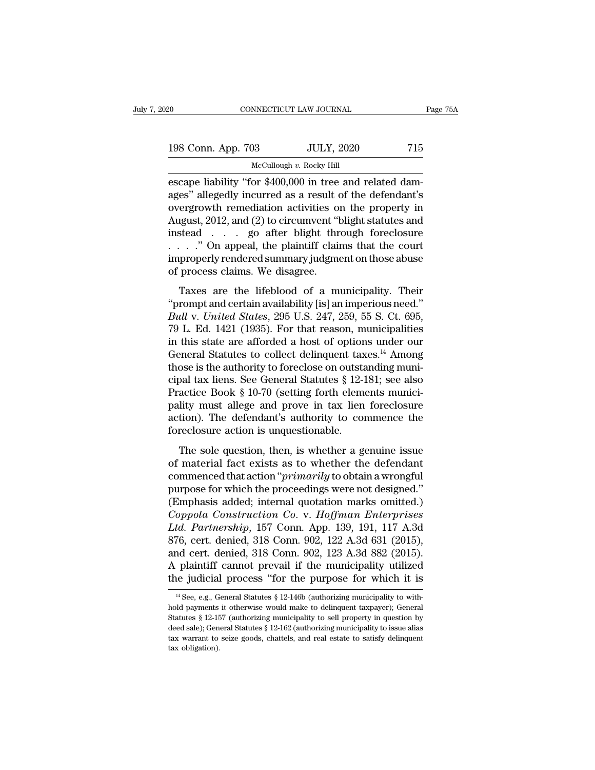| 20                 |                             | CONNECTICUT LAW JOURNAL                                  | Page 75A |
|--------------------|-----------------------------|----------------------------------------------------------|----------|
|                    |                             |                                                          |          |
| 198 Conn. App. 703 |                             | <b>JULY, 2020</b>                                        | 715      |
|                    | McCullough $v$ . Rocky Hill |                                                          |          |
|                    |                             | escape liability "for \$400,000 in tree and related dam- |          |

Espansive CONNECTICUT LAW JOURNAL<br>
198 Conn. App. 703 JULY, 2020 715<br>
McCullough v. Rocky Hill<br>
escape liability "for \$400,000 in tree and related dam-<br>
ages" allegedly incurred as a result of the defendant's<br>
experiency i 198 Conn. App. 703 JULY, 2020 715<br>
McCullough v. Rocky Hill<br>
escape liability "for \$400,000 in tree and related dam-<br>
ages" allegedly incurred as a result of the defendant's<br>
overgrowth remediation activities on the prope 198 Conn. App. 703 JULY, 2020 715<br>
McCullough v. Rocky Hill<br>
escape liability "for \$400,000 in tree and related dam-<br>
ages" allegedly incurred as a result of the defendant's<br>
overgrowth remediation activities on the prope 198 Conn. App. 703 JULY, 2020 715<br>
McCullough v. Rocky Hill<br>
escape liability "for \$400,000 in tree and related dam-<br>
ages" allegedly incurred as a result of the defendant's<br>
overgrowth remediation activities on the prope McCullough v. Rocky Hill<br>escape liability "for \$400,000 in tree and related dam-<br>ages" allegedly incurred as a result of the defendant's<br>overgrowth remediation activities on the property in<br>August, 2012, and (2) to circum Example 10. Reculough v. Rocky Hill<br>escape liability "for \$400,000 in tree and related dam-<br>ages" allegedly incurred as a result of the defendant's<br>overgrowth remediation activities on the property in<br>August, 2012, and (2 escape liability "for \$400,000 in tree and related dam-<br>ages" allegedly incurred as a result of the defendant's<br>overgrowth remediation activities on the property in<br>August, 2012, and (2) to circumvent "blight statutes and<br> of process claims. We disagree. Eigeboral Femeration derivates on the property in<br>gust, 2012, and (2) to circumvent "blight statutes and<br>stead . . . . go after blight through foreclosure<br>. . ." On appeal, the plaintiff claims that the court<br>properly ren Figure, 2012, and (2) to enclusive to high statutes and<br>
instead  $\ldots$  go after blight through foreclosure<br>  $\ldots$ .'' On appeal, the plaintiff claims that the court<br>
improperly rendered summary judgment on those abuse<br>
of

*Bullet Compare in the plaintiff claims that the court* improperly rendered summary judgment on those abuse<br>of process claims. We disagree.<br>Taxes are the lifeblood of a municipality. Their<br>"prompt and certain availability  $\therefore$   $\therefore$  on appear, are plantant claims and are coardinary improperly rendered summary judgment on those abuse<br>of process claims. We disagree.<br>Taxes are the lifeblood of a municipality. Their<br>"prompt and certain availa Traxes claims. We disagree.<br>
Taxes are the lifeblood of a municipality. Their<br>
"prompt and certain availability [is] an imperious need."<br> *Bull v. United States*, 295 U.S. 247, 259, 55 S. Ct. 695,<br>
79 L. Ed. 1421 (1935). Taxes are the lifeblood of a municipality. Their<br>
"prompt and certain availability [is] an imperious need."<br> *Bull v. United States*, 295 U.S. 247, 259, 55 S. Ct. 695,<br>
79 L. Ed. 1421 (1935). For that reason, municipaliti Taxes are the lifeblood of a municipality. Their<br>"prompt and certain availability [is] an imperious need."<br>Bull v. United States, 295 U.S. 247, 259, 55 S. Ct. 695,<br>79 L. Ed. 1421 (1935). For that reason, municipalities<br>in "prompt and certain availability [is] an imperious need."<br> *Bull v. United States*, 295 U.S. 247, 259, 55 S. Ct. 695,<br>
79 L. Ed. 1421 (1935). For that reason, municipalities<br>
in this state are afforded a host of options u Bull v. United States, 295 U.S. 247, 259, 55 S. Ct. 695, 79 L. Ed. 1421 (1935). For that reason, municipalities<br>in this state are afforded a host of options under our<br>General Statutes to collect delinquent taxes.<sup>14</sup> Amon 79 L. Ed. 1421 (1935). For that reason, municipalities<br>in this state are afforded a host of options under our<br>General Statutes to collect delinquent taxes.<sup>14</sup> Among<br>those is the authority to foreclose on outstanding muni in this state are afforded a host of options under our<br>General Statutes to collect delinquent taxes.<sup>14</sup> Among<br>those is the authority to foreclose on outstanding muni-<br>cipal tax liens. See General Statutes  $\S 12$ -181; see General Statutes to collect delinquent tax<br>those is the authority to foreclose on outsta<br>cipal tax liens. See General Statutes  $\S$  12-1<br>Practice Book  $\S$  10-70 (setting forth elemerality must allege and prove in tax lien<br> but a site contently be forced to the solelon and tax liens. See General Statutes § 12-181; see also actice Book § 10-70 (setting forth elements municility must allege and prove in tax lien foreclosure tion). The defendan Fractice Book § 10-70 (setting forth elements municipality must allege and prove in tax lien foreclosure action). The defendant's authority to commence the foreclosure action is unquestionable.<br>The sole question, then, is

pality must allege and prove in tax lien foreclosure<br>action). The defendant's authority to commence the<br>foreclosure action is unquestionable.<br>The sole question, then, is whether a genuine issue<br>of material fact exists as t pure, mass angle and prove in all herr references<br>action). The defendant's authority to commence the<br>foreclosure action is unquestionable.<br>The sole question, then, is whether a genuine issue<br>of material fact exists as to foreclosure action is unquestionable.<br>
The sole question, then, is whether a genuine issue<br>
of material fact exists as to whether the defendant<br>
commenced that action "*primarily* to obtain a wrongful<br>
purpose for which t The sole question, then, is whether a genuine issue<br>of material fact exists as to whether the defendant<br>commenced that action "*primarily* to obtain a wrongful<br>purpose for which the proceedings were not designed."<br>(Emphasi The sole question, then, is whether a genuine issue<br>of material fact exists as to whether the defendant<br>commenced that action "*primarily* to obtain a wrongful<br>purpose for which the proceedings were not designed."<br>(Emphasi of material fact exists as to whether the defendant<br>commenced that action "*primarily* to obtain a wrongful<br>purpose for which the proceedings were not designed."<br>(Emphasis added; internal quotation marks omitted.)<br>*Coppola* commenced that action "*primarily* to obtain a wrongful<br>purpose for which the proceedings were not designed."<br>(Emphasis added; internal quotation marks omitted.)<br>*Coppola Construction Co.* v. *Hoffman Enterprises*<br>Ltd. Par purpose for which the proceedings were not designed."<br>(Emphasis added; internal quotation marks omitted.)<br>Coppola Construction Co. v. Hoffman Enterprises<br>Ltd. Partnership, 157 Conn. App. 139, 191, 117 A.3d<br>876, cert. denie (Emphasis added; internal quotation marks omitted.)<br>Coppola Construction Co. v. Hoffman Enterprises<br>Ltd. Partnership, 157 Conn. App. 139, 191, 117 A.3d<br>876, cert. denied, 318 Conn. 902, 122 A.3d 631 (2015),<br>and cert. deni 876, cert. denied, 318 Conn. 902, 122 A.3d 631 (2015), and cert. denied, 318 Conn. 902, 123 A.3d 882 (2015). A plaintiff cannot prevail if the municipality utilized the judicial process "for the purpose for which it is  $\$ and cert. denied, 318 Conn. 902, 123 A.3d 882 (2015).<br>A plaintiff cannot prevail if the municipality utilized<br>the judicial process "for the purpose for which it is<br> $\frac{14 \text{ See, e.g., General Statistics § 12-146b (authorizing municipality to with-  
hold payments it otherwise would make to delinquent taxpayers); General  
Statistics § 12-$ 

A plaintiff cannot prevail if the municipality utilized<br>the judicial process "for the purpose for which it is<br> $\frac{14}{18}$ See, e.g., General Statutes § 12-146b (authorizing municipality to with-<br>hold payments it otherwise the judicial process "for the purpose for which it is<br> $\frac{14 \text{ See, e.g., General Statistics } 12-146b \text{ (authorizing municipality to with-  
hold payments it otherwise would make to delinquent taxpayers); General  
Statistics § 12-157 (authorizing municipality to sell property in question by  
deed sale); General Statistics § 12-162 (authorizing municipality to issue alias  
tax warrant to seize goods, chattels, and real estate to satisfy delinquent  
tax obligation).$ <sup>14</sup> See, e.g., General Statutes § 12-146b (authorizing municipality to with-<br>hold payments it otherwise would make to delinquent taxpayer); General<br>Statutes § 12-157 (authorizing municipality to sell property in question <sup>14</sup> See, e.g., G<br>hold payments<br>Statutes § 12-18<br>deed sale); Gen<br>tax warrant to<br>tax obligation).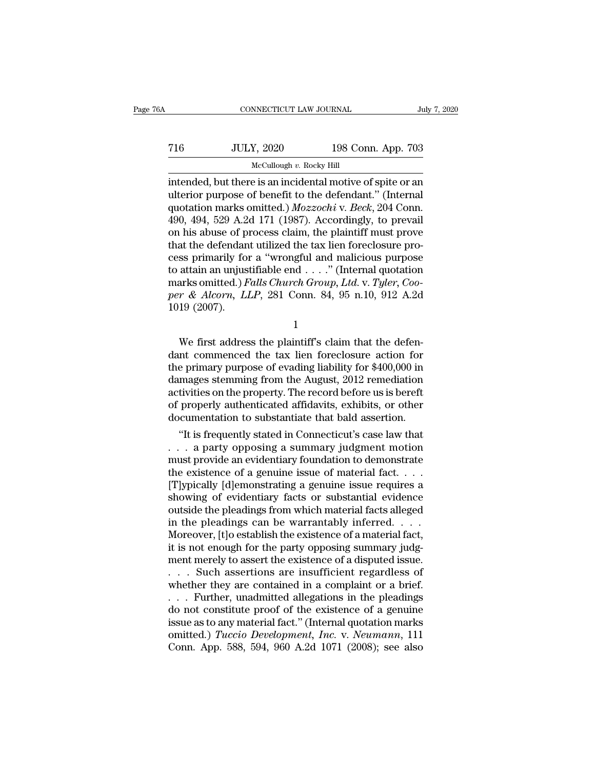CONNECTICUT LAW JOURNAL July 7, 2020<br>
THE JULY, 2020 198 Conn. App. 703<br>
McCullough v. Rocky Hill<br>
intended, but there is an incidental motive of spite or an<br>
ulterior purpose of benefit to the defendant." (Internal<br>
musta T16 JULY, 2020 198 Conn. App. 703<br>
McCullough v. Rocky Hill<br>
intended, but there is an incidental motive of spite or an<br>
ulterior purpose of benefit to the defendant.'' (Internal<br>
quotation marks omitted.) *Mozzochi* v. T16 JULY, 2020 198 Conn. App. 703<br>
McCullough *v*. Rocky Hill<br>
intended, but there is an incidental motive of spite or an<br>
ulterior purpose of benefit to the defendant." (Internal<br>
quotation marks omitted.) *Mozzochi* v.  $\frac{JULY, 2020}{NcCullough v. Rocky Hill}$ <br>
intended, but there is an incidental motive of spite or an<br>
ulterior purpose of benefit to the defendant." (Internal<br>
quotation marks omitted.)  $Mozzochi v. Beck, 204$  Conn.<br>
490, 494, 529 A.2d 171 (19 MeCullough v. Rocky Hill<br>intended, but there is an incidental motive of spite or an<br>ulterior purpose of benefit to the defendant." (Internal<br>quotation marks omitted.) Mozzochi v. Beck, 204 Conn.<br>490, 494, 529 A.2d 171 (19 McCullough v. Rocky Hill<br>intended, but there is an incidental motive of spite or an<br>ulterior purpose of benefit to the defendant." (Internal<br>quotation marks omitted.)  $Mozzochi$  v. Beck, 204 Conn.<br>490, 494, 529 A.2d 171 (198 intended, but there is an incidental motive of spite or an<br>ulterior purpose of benefit to the defendant." (Internal<br>quotation marks omitted.)  $Mozzochi$  v. Beck, 204 Conn.<br>490, 494, 529 A.2d 171 (1987). Accordingly, to preva ulterior purpose of benefit to the defendant." (Internal<br>quotation marks omitted.) *Mozzochi* v. *Beck*, 204 Conn.<br>490, 494, 529 A.2d 171 (1987). Accordingly, to prevail<br>on his abuse of process claim, the plaintiff must pr quotation marks omitted.) *Mozzochi* v. *Beck*, 204 Conn.<br>490, 494, 529 A.2d 171 (1987). Accordingly, to prevail<br>on his abuse of process claim, the plaintiff must prove<br>that the defendant utilized the tax lien foreclosure 490, 494, 529 A.2d 171 (1987). Accordingly, to prevail<br>on his abuse of process claim, the plaintiff must prove<br>that the defendant utilized the tax lien foreclosure pro-<br>cess primarily for a "wrongful and malicious purpose<br> on his abuse of p<br>that the defendan<br>cess primarily for<br>to attain an unjus<br>marks omitted.) F<br>per & Alcorn, Li<br>1019 (2007). attain an unjustifiable end . . . ." (Internal quotation<br>arks omitted.) *Falls Church Group, Ltd.* v. *Tyler, Coor*<br> $r \&$  *Alcorn, LLP,* 281 Conn. 84, 95 n.10, 912 A.2d<br>19 (2007).<br>1<br>We first address the plaintiff's claim

1

marks omitted.) *Falls Church Group*, *Ltd.* v. *Tyler*, *Cooper & Alcorn*, *LLP*, 281 Conn. 84, 95 n.10, 912 A.2d<br>1019 (2007).<br>1<br>We first address the plaintiff's claim that the defen-<br>dant commenced the tax lien foreclos per & Alcorn, LLP, 281 Conn. 84, 95 n.10, 912 A.2d<br>1019 (2007).<br>1<br>We first address the plaintiff's claim that the defen-<br>dant commenced the tax lien foreclosure action for<br>the primary purpose of evading liability for \$400 1019 (2007).<br>  $\frac{1}{1019}$  (2007).<br>  $\frac{1}{1019}$  we first address the plaintiff's claim that the defendant commenced the tax lien foreclosure action for<br>
the primary purpose of evading liability for \$400,000 in<br>
damages s 1<br>We first address the plaintiff's claim that the defen-<br>dant commenced the tax lien foreclosure action for<br>the primary purpose of evading liability for \$400,000 in<br>damages stemming from the August, 2012 remediation<br>activi <sup>1</sup><br>We first address the plaintiff's claim that the defen-<br>dant commenced the tax lien foreclosure action for<br>the primary purpose of evading liability for \$400,000 in<br>damages stemming from the August, 2012 remediation<br>acti We first address the plaintiff's claim that the defendant commenced the tax lien foreclosure action for the primary purpose of evading liability for \$400,000 in damages stemming from the August, 2012 remediation activities Int commenced the tax lien foreclosure action for<br>
e primary purpose of evading liability for \$400,000 in<br>
mages stemming from the August, 2012 remediation<br>
tivities on the property. The record before us is bereft<br>
properl the primary purpose of evading hability for \$400,000 in<br>damages stemming from the August, 2012 remediation<br>activities on the property. The record before us is bereft<br>of properly authenticated affidavits, exhibits, or other

damages stemming from the August, 2012 remediation<br>activities on the property. The record before us is bereft<br>of properly authenticated affidavits, exhibits, or other<br>documentation to substantiate that bald assertion.<br>"It activities on the property. The record before us is bereful of properly authenticated affidavits, exhibits, or other documentation to substantiate that bald assertion.<br>
"It is frequently stated in Connecticut's case law th or properly authenticated amdavits, exhibits, or other<br>documentation to substantiate that bald assertion.<br>"It is frequently stated in Connecticut's case law that<br>... a party opposing a summary judgment motion<br>must provide documentation to substantiate that baid assertion.<br>
"It is frequently stated in Connecticut's case law that<br>
. . . . a party opposing a summary judgment motion<br>
must provide an evidentiary foundation to demonstrate<br>
the ex "It is frequently stated in Connecticut's case law that<br>  $\dots$  a party opposing a summary judgment motion<br>
must provide an evidentiary foundation to demonstrate<br>
the existence of a genuine issue of material fact.<br>  $\Box$ ]<br>
[  $\ldots$  a party opposing a summary judgment motion<br>must provide an evidentiary foundation to demonstrate<br>the existence of a genuine issue of material fact.  $\ldots$ <br>[T]ypically [d]emonstrating a genuine issue requires a<br>showin must provide an evidentiary foundation to demonstrate<br>the existence of a genuine issue of material fact. . . .<br>[T]ypically [d]emonstrating a genuine issue requires a<br>showing of evidentiary facts or substantial evidence<br>out the existence of a genuine issue of material fact. . . . [T]ypically [d]emonstrating a genuine issue requires a showing of evidentiary facts or substantial evidence outside the pleadings from which material facts alleged i [T]ypically [d]emonstrating a genuine issue requires a<br>showing of evidentiary facts or substantial evidence<br>outside the pleadings from which material facts alleged<br>in the pleadings can be warrantably inferred. . . .<br>Moreov showing of evidentiary facts or substantial evidence<br>outside the pleadings from which material facts alleged<br>in the pleadings can be warrantably inferred. . . .<br>Moreover, [t]o establish the existence of a material fact,<br>it outside the pleadings from which material facts alleged<br>in the pleadings can be warrantably inferred. . . .<br>Moreover, [t]o establish the existence of a material fact,<br>it is not enough for the party opposing summary judg-<br> . . . Further, unadmitted allegations in the pleadings Moreover, [t]o establish the existence of a material fact,<br>it is not enough for the party opposing summary judg-<br>ment merely to assert the existence of a disputed issue.<br>. . . . Such assertions are insufficient regardless it is not enough for the party opposing summary judgment merely to assert the existence of a disputed issue.<br>  $\dots$  Such assertions are insufficient regardless of whether they are contained in a complaint or a brief.<br>  $\dots$ ment merely to assert the existence of a disputed issue.<br>
. . . . Such assertions are insufficient regardless of<br>
whether they are contained in a complaint or a brief.<br>
. . . Further, unadmitted allegations in the pleading Conn. App. 588, 594, 960 A.2d 1071 (2008); see also also also also also also and matrice all egations in the pleadings do not constitute proof of the existence of a genuine issue as to any material fact." (Internal quotat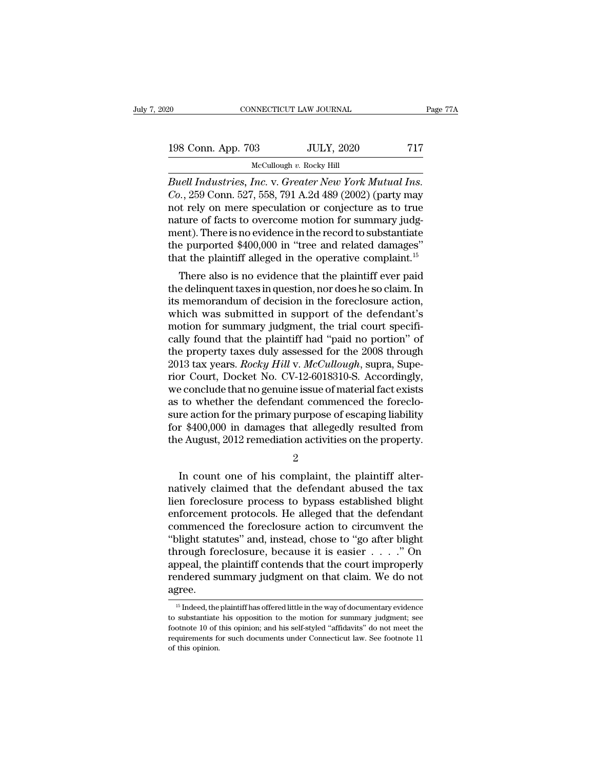| 20                                                        | CONNECTICUT LAW JOURNAL     | Page 77A |
|-----------------------------------------------------------|-----------------------------|----------|
| 198 Conn. App. 703                                        | <b>JULY, 2020</b>           | 717      |
|                                                           | McCullough $v$ . Rocky Hill |          |
| <b>Buell Industries Inc y Greater New York Mutual Ins</b> |                             |          |

<sup>20</sup> CONNECTICUT LAW JOURNAL Page 7<sup>'</sup><br> **Buell Industries, Inc. v. Greater New York Mutual Ins.**<br> *Buell Industries, Inc.* v. *Greater New York Mutual Ins.*<br> *Co.*, 259 Conn. 527, 558, 791 A.2d 489 (2002) (party may not re **Co.**, 259 Conn. 527, 558, 791 A.2d 489 (2002) (party may<br> **Co.**, 259 Conn. 527, 558, 791 A.2d 489 (2002) (party may<br>
not rely on mere speculation or conjecture as to true<br>
nature of facts to evercome motion for summary ju 198 Conn. App. 703 JULY, 2020 717<br>
McCullough v. Rocky Hill<br>
Buell Industries, Inc. v. Greater New York Mutual Ins.<br>
Co., 259 Conn. 527, 558, 791 A.2d 489 (2002) (party may<br>
not rely on mere speculation or conjecture as t 198 Conn. App. 703 JULY, 2020 717<br>
McCullough v. Rocky Hill<br>
Buell Industries, Inc. v. Greater New York Mutual Ins.<br>
Co., 259 Conn. 527, 558, 791 A.2d 489 (2002) (party may<br>
not rely on mere speculation or conjecture as t McCullough v. Rocky Hill<br>
Buell Industries, Inc. v. Greater New York Mutual Ins.<br>
Co., 259 Conn. 527, 558, 791 A.2d 489 (2002) (party may<br>
not rely on mere speculation or conjecture as to true<br>
nature of facts to overcome  $\frac{\text{McCullogh } v. \text{ Rocky Hill}}{\text{Buell } Industries, Inc. v. *Greater New York Mutual Ins. Co.*, 259 Conn. 527, 558, 791 A.2d 489 (2002) (party may not rely on mere speculation or conjecture as to true nature of facts to overcome motion for summary judgment). There is no evidence in the record to substantiate the purported $400,000 in "tree and related damages" that the plaintiff alleged in the operative complaint.<sup>15</sup>$ Buell Industries, Inc. v. Greater New York Mutual Ins.<br>Co., 259 Conn. 527, 558, 791 A.2d 489 (2002) (party may<br>not rely on mere speculation or conjecture as to true<br>nature of facts to overcome motion for summary judg-<br>ment  $\alpha$ , 259 COIII. 527, 558, 791 A.2d 489 (2002) (party may<br>to rely on mere speculation or conjecture as to true<br>ture of facts to overcome motion for summary judg-<br>ent). There is no evidence in the record to substantiate<br>e flot fely on fliere speculation of conjecture as to true<br>nature of facts to overcome motion for summary judg-<br>ment). There is no evidence in the record to substantiate<br>the purported \$400,000 in "tree and related damages"<br>t

rature of facts to overcome inotion for summary judg-<br>ment). There is no evidence in the record to substantiate<br>the purported \$400,000 in "tree and related damages"<br>that the plaintiff alleged in the operative complaint.<sup>15</sup> ment). There is no evidence in the record to substantiate<br>the purported \$400,000 in "tree and related damages"<br>that the plaintiff alleged in the operative complaint.<sup>15</sup><br>There also is no evidence that the plaintiff ever pa that the plaintiff alleged in the operative complaint.<sup>15</sup><br>There also is no evidence that the plaintiff ever paid<br>the delinquent taxes in question, nor does he so claim. In<br>its memorandum of decision in the foreclosure ac There also is no evidence that the plaintiff ever paid<br>the delinquent taxes in question, nor does he so claim. In<br>its memorandum of decision in the foreclosure action,<br>which was submitted in support of the defendant's<br>mot There also is no evidence that the plaintiff ever paid<br>the delinquent taxes in question, nor does he so claim. In<br>its memorandum of decision in the foreclosure action,<br>which was submitted in support of the defendant's<br>mot the delinquent taxes in question, nor does he so claim. In<br>its memorandum of decision in the foreclosure action,<br>which was submitted in support of the defendant's<br>motion for summary judgment, the trial court specifi-<br>cally its memorandum of decision in the foreclosure action,<br>which was submitted in support of the defendant's<br>motion for summary judgment, the trial court specifi-<br>cally found that the plaintiff had "paid no portion" of<br>the prop which was submitted in support of the defendant's<br>motion for summary judgment, the trial court specifi-<br>cally found that the plaintiff had "paid no portion" of<br>the property taxes duly assessed for the 2008 through<br>2013 tax motion for summary judgment, the trial court specifically found that the plaintiff had "paid no portion" of<br>the property taxes duly assessed for the 2008 through<br>2013 tax years. *Rocky Hill v. McCullough*, supra, Supe-<br>rio cally found that the plaintiff had "paid no portion" of<br>the property taxes duly assessed for the 2008 through<br>2013 tax years. *Rocky Hill v. McCullough*, supra, Supe-<br>rior Court, Docket No. CV-12-6018310-S. Accordingly,<br>we the property taxes duly assessed for the 2008 through<br>2013 tax years. *Rocky Hill* v. *McCullough*, supra, Superior Court, Docket No. CV-12-6018310-S. Accordingly,<br>we conclude that no genuine issue of material fact exists<br> 2013 tax years. *Rocky Hill v. McCullough*, supra, Superior Court, Docket No. CV-12-6018310-S. Accordingly, we conclude that no genuine issue of material fact exists as to whether the defendant commenced the foreclosure ac to whether the defendant commenced the foreclore action for the primary purpose of escaping liability  $\frac{1}{8}400,000$  in damages that allegedly resulted from e August, 2012 remediation activities on the property.<br>2<br>In co

2

sure action for the primary purpose of escaping liability<br>for \$400,000 in damages that allegedly resulted from<br>the August, 2012 remediation activities on the property.<br> $\frac{2}{100}$ <br>In count one of his complaint, the plainti for \$400,000 in damages that allegedly resulted from<br>the August,  $2012$  remediation activities on the property.<br> $2$ <br>In count one of his complaint, the plaintiff alter-<br>natively claimed that the defendant abused the tax<br>li the August, 2012 remediation activities on the property.<br>
2<br>
In count one of his complaint, the plaintiff alter-<br>
natively claimed that the defendant abused the tax<br>
lien forcelosure process to bypass established blight<br>
e 2<br>
In count one of his complaint, the plaintiff alter-<br>
natively claimed that the defendant abused the tax<br>
lien foreclosure process to bypass established blight<br>
enforcement protocols. He alleged that the defendant<br>
comm In count one of his complaint, the plaintiff alternatively claimed that the defendant abused the tax<br>lien foreclosure process to bypass established blight<br>enforcement protocols. He alleged that the defendant<br>commenced the In count one of his complaint, the plaintiff alternatively claimed that the defendant abused the tax<br>lien foreclosure process to bypass established blight<br>enforcement protocols. He alleged that the defendant<br>commenced the natively claimed that the defendant abused the tax<br>lien foreclosure process to bypass established blight<br>enforcement protocols. He alleged that the defendant<br>commenced the foreclosure action to circumvent the<br>"blight statu lien foreclosure process to bypass established blight<br>enforcement protocols. He alleged that the defendant<br>commenced the foreclosure action to circumvent the<br>"blight statutes" and, instead, chose to "go after blight<br>throug agree. provided, the plaintiff contends that the court improperly<br>propeal, the plaintiff contends that the court improperly<br>prodered summary judgment on that claim. We do not<br>gree.<br> $\frac{15}{10}$  Indeed, the plaintiff has offered l appeal, the plaintiff contends that the court improperly<br>rendered summary judgment on that claim. We do not<br>agree.<br><sup>15</sup> Indeed, the plaintiff has offered little in the way of documentary evidence<br>to substantiate his opposi

for the discreeniant on that claim. We do not agree.<br>
I<sup>5</sup> Indeed, the plaintiff has offered little in the way of documentary evidence<br>
to substantiate his opposition to the motion for summary judgment; see<br>
footnote 10 of agree.<br>
<sup>15</sup> Indeed, the plaintiff has offered little in the way of documentary evidence<br>
to substantiate his opposition to the motion for summary judgment; see<br>
footnote 10 of this opinion; and his self-styled "affidavits defice.<br>
<sup>15</sup> Indeed, the<br>
to substantiate<br>
footnote 10 of t<br>
requirements for<br>
of this opinion.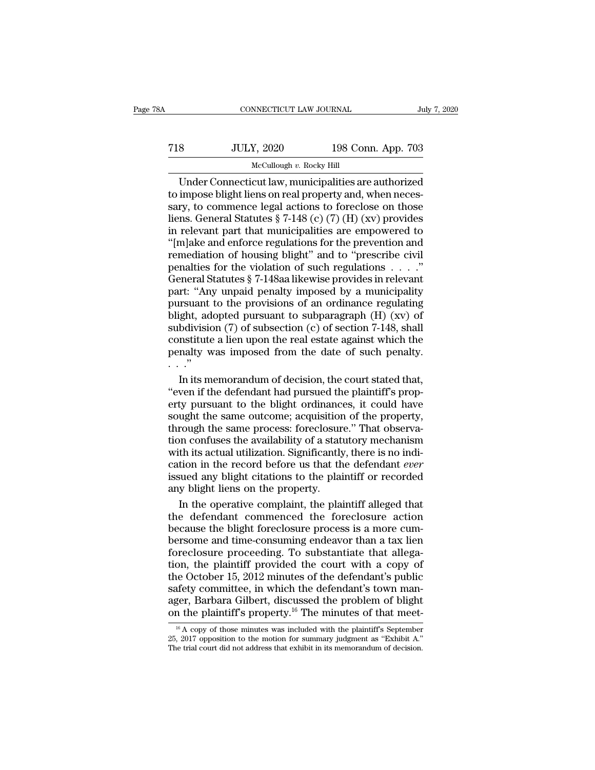| 3A  | CONNECTICUT LAW JOURNAL                             |                    | July 7, 2020 |
|-----|-----------------------------------------------------|--------------------|--------------|
| 718 | <b>JULY, 2020</b>                                   | 198 Conn. App. 703 |              |
|     | McCullough $v$ . Rocky Hill                         |                    |              |
|     | Under Connecticut law municipalities are authorized |                    |              |

CONNECTICUT LAW JOURNAL July 7, 2020<br>
SULLY, 2020 198 Conn. App. 703<br>
McCullough v. Rocky Hill<br>
Under Connecticut law, municipalities are authorized<br>
impose blight liens on real property and, when neces-<br>
to commence legal The Term of the SC and the ULY, 2020<br>
Tectulough v. Rocky Hill<br>
Tectulough v. Rocky Hill<br>
Tectulough v. Rocky Hill<br>
Tectulough v. Rocky Hill<br>
Tectulough v. Rocky Hill<br>
Tectulough v. Rocky Hill<br>
Tectulough v. Rocky Andre a T18 JULY, 2020 198 Conn. App. 703<br>
McCullough v. Rocky Hill<br>
Under Connecticut law, municipalities are authorized<br>
to impose blight liens on real property and, when neces-<br>
sary, to commence legal actions to foreclose on The Term of the prevention of the prevention of  $\frac{198 \text{ Conn.} \text{ App. 703}}{\text{Under Connecticut law, municipalities are authorized to impose a bight liens on real property and, when necessary, to commence legal actions to foreclose on those liens. General Statistics  $\S$  7-148 (c) (7) (H) (xv) provides in relevant part that municipalities are removed to "Inlate and enforce regulations for the prevention and$ For the section of the section of the prevention of housing blight" and to "prescribe civil"<br>
The Connecticut law, municipalities are authorized<br>
to impose blight liens on real property and, when neces-<br>
sary, to commence McCullough v. Rocky Hill<br>
Under Connecticut law, municipalities are authorized<br>
to impose blight liens on real property and, when neces-<br>
sary, to commence legal actions to foreclose on those<br>
liens. General Statutes § 7-Under Connecticut law, municipalities are authorized<br>to impose blight liens on real property and, when neces-<br>sary, to commence legal actions to foreclose on those<br>liens. General Statutes § 7-148 (c) (7) (H) (xv) provides to impose blight liens on real property and, when necessary, to commence legal actions to foreclose on those liens. General Statutes  $\S 7-148$  (c) (7) (H) (xv) provides in relevant part that municipalities are empowered t sary, to commence legal actions to foreclose on those<br>liens. General Statutes § 7-148 (c) (7) (H) (xv) provides<br>in relevant part that municipalities are empowered to<br>"[m]ake and enforce regulations for the prevention and<br> liens. General Statutes § 7-148 (c) (7) (H) (xv) provides<br>in relevant part that municipalities are empowered to<br>"[m]ake and enforce regulations for the prevention and<br>remediation of housing blight" and to "prescribe civil in relevant part that municipalities are empowered to<br>
"[m]ake and enforce regulations for the prevention and<br>
remediation of housing blight" and to "prescribe civil<br>
penalties for the violation of such regulations . . . "[m]ake and enforce regulations for the prevention and<br>remediation of housing blight" and to "prescribe civil<br>penalties for the violation of such regulations  $\dots$ ."<br>General Statutes § 7-148aa likewise provides in relevant remediation of housing blight" and to "prescribe civil<br>penalties for the violation of such regulations  $\dots$ ."<br>General Statutes § 7-148aa likewise provides in relevant<br>part: "Any unpaid penalty imposed by a municipality<br>pu penalties for the violation of such regulations . . . ."<br>General Statutes § 7-148aa likewise provides in relevant<br>part: "Any unpaid penalty imposed by a municipality<br>pursuant to the provisions of an ordinance regulating<br>b General Statutes § 7-148aa likewise provides in relevant<br>part: "Any unpaid penalty imposed by a municipality<br>pursuant to the provisions of an ordinance regulating<br>blight, adopted pursuant to subparagraph (H) (xv) of<br>subdiv part: "Any<br>pursuant<br>blight, ad<br>subdivisic<br>constitute<br>penalty w<br>..."<br>In its m In its memoral in the provisions of an ordinance regulating<br>
In its memoral in the subparagraph (H) (xv) of<br>
In its memorandum of decision, the court stated that,<br>
In its memorandum of decision, the court stated that,<br>
Ver blight, adopted pursuant to subparagraph (H) (xv) of<br>subdivision (7) of subsection (c) of section 7-148, shall<br>constitute a lien upon the real estate against which the<br>penalty was imposed from the date of such penalty.<br> $\$ 

subdivision (7) of subsection (c) of section 7-148, shall<br>constitute a lien upon the real estate against which the<br>penalty was imposed from the date of such penalty.<br> $\cdot \cdot \cdot$ "<br>In its memorandum of decision, the court stat constitute a lien upon the real estate against which the<br>penalty was imposed from the date of such penalty.<br> $\ldots$ "<br>In its memorandum of decision, the court stated that,<br>"even if the defendant had pursued the plaintiff's p penalty was imposed from the date of such penalty.<br>  $\ldots$ "<br>
In its memorandum of decision, the court stated that,<br>
"even if the defendant had pursued the plaintiff's property<br>
pursuant to the blight ordinances, it could h . . ."<br>In its memorandum of decision, the court stated that,<br>"even if the defendant had pursued the plaintiff's prop-<br>erty pursuant to the blight ordinances, it could have<br>sought the same outcome; acquisition of the prope In its memorandum of decision, the court stated that,<br>"even if the defendant had pursued the plaintiff's prop-<br>erty pursuant to the blight ordinances, it could have<br>sought the same outcome; acquisition of the property,<br>thr "even if the defendant had pursued the plaintiff's property pursuant to the blight ordinances, it could have sought the same outcome; acquisition of the property, through the same process: foreclosure." That observation co erty pursuant to the blight ordinances, it could have<br>sought the same outcome; acquisition of the property,<br>through the same process: foreclosure." That observa-<br>tion confuses the availability of a statutory mechanism<br>with erty pursuant to the blight ordinances, it could have<br>sought the same outcome; acquisition of the property,<br>through the same process: foreclosure." That observa-<br>tion confuses the availability of a statutory mechanism<br>with rough the same process: foreclosure." That observa-<br>on confuses the availability of a statutory mechanism<br>th its actual utilization. Significantly, there is no indi-<br>tion in the record before us that the defendant *ever*<br>s tion confuses the availability of a statutory mechanism<br>with its actual utilization. Significantly, there is no indi-<br>cation in the record before us that the defendant *ever*<br>issued any blight citations to the plaintiff or

with its actual utilization. Significantly, there is no indication in the record before us that the defendant *ever* issued any blight citations to the plaintiff or recorded any blight liens on the property.<br>In the operati cation in the record before us that the defendant *ever*<br>issued any blight citations to the plaintiff or recorded<br>any blight liens on the property.<br>In the operative complaint, the plaintiff alleged that<br>the defendant comme issued any blight citations to the plaintiff or recorded<br>any blight liens on the property.<br>In the operative complaint, the plaintiff alleged that<br>the defendant commenced the foreclosure action<br>because the blight foreclosur any blight liens on the property.<br>In the operative complaint, the plaintiff alleged that<br>the defendant commenced the foreclosure action<br>because the blight foreclosure process is a more cum-<br>bersome and time-consuming endea In the operative complaint, the plaintiff alleged that<br>the defendant commenced the foreclosure action<br>because the blight foreclosure process is a more cum-<br>bersome and time-consuming endeavor than a tax lien<br>foreclosure pr the defendant commenced the foreclosure action<br>because the blight foreclosure process is a more cum-<br>bersome and time-consuming endeavor than a tax lien<br>foreclosure proceeding. To substantiate that allega-<br>tion, the plain Free ause the blight foreclosure process is a more cum-<br>because the blight foreclosure process is a more cum-<br>bersome and time-consuming endeavor than a tax lien<br>foreclosure proceeding. To substantiate that allega-<br>tion, t bersome and time-consuming endeavor than a tax lien<br>foreclosure proceeding. To substantiate that allega-<br>tion, the plaintiff provided the court with a copy of<br>the October 15, 2012 minutes of the defendant's public<br>safety 16 A copy of the minutes of the defendant's public<br>the minute minute was included with the problem of blight<br>in the plaintiff's property.<sup>16</sup> The minutes of that meet-<br><sup>16</sup> A copy of those minutes was included with the pl Example 19 committee, in which the defendant's town manager, Barbara Gilbert, discussed the problem of blight<br>on the plaintiff's property.<sup>16</sup> The minutes of that meet-<br><sup>16</sup> A copy of those minutes was included with the p

ager, Barbara Gilbert, discussed the problem of blight<br>on the plaintiff's property.<sup>16</sup> The minutes of that meet-<br> $\frac{16 \text{ A copy of those minutes was included with the plaintiff's September}}{25,2017 opposition to the motion for summary judgment as "Exhibit A." The trial court did not address that exhibit in its memorandum of decision.}$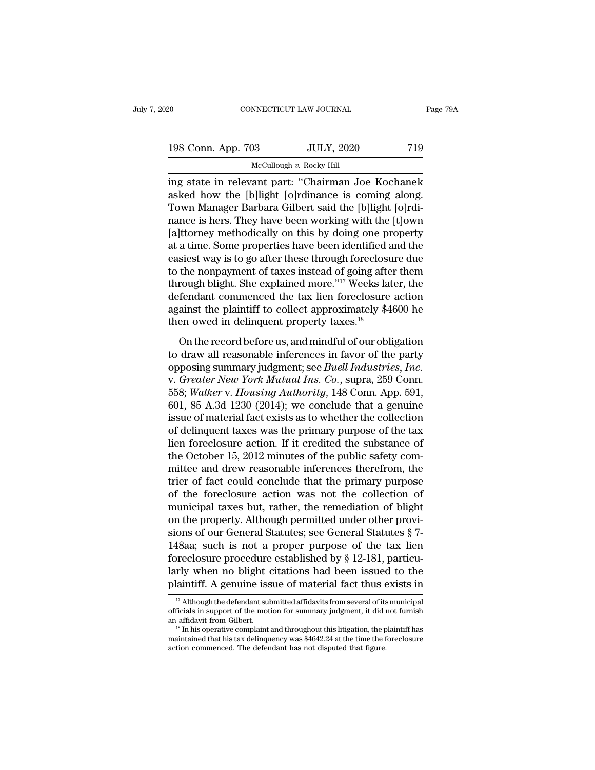| 20                                                                                                                                                                    | CONNECTICUT LAW JOURNAL     | Page 79A |
|-----------------------------------------------------------------------------------------------------------------------------------------------------------------------|-----------------------------|----------|
| 198 Conn. App. 703                                                                                                                                                    | <b>JULY, 2020</b>           | 719      |
|                                                                                                                                                                       | McCullough $v$ . Rocky Hill |          |
| ing state in relevant part: "Chairman Joe Kochanek<br>asked how the [b] light [o] rdinance is coming along.<br>Town Manager Rarbara Cilbert said the [bllight [olgdi] |                             |          |

198 Conn. App. 703 JULY, 2020 719<br>
McCullough v. Rocky Hill<br>
ing state in relevant part: "Chairman Joe Kochanek<br>
asked how the [b]light [o]rdinance is coming along.<br>
Town Manager Barbara Gilbert said the [b]light [o]rdina 198 Conn. App. 703 JULY, 2020 719<br>
McCullough v. Rocky Hill<br>
ing state in relevant part: "Chairman Joe Kochanek<br>
asked how the [b]light [o]rdinance is coming along.<br>
Town Manager Barbara Gilbert said the [b]light [o]rdi-<br> 198 Conn. App. 703 JULY, 2020 719<br>
McCullough v. Rocky Hill<br>
ing state in relevant part: "Chairman Joe Kochanek<br>
asked how the [b]light [o]rdinance is coming along.<br>
Town Manager Barbara Gilbert said the [b]light [o]rdina  $\frac{1}{2}$  McCullough v. Rocky Hill<br>ing state in relevant part: "Chairman Joe Kochanek<br>asked how the [b]light [o]rdinance is coming along.<br>Town Manager Barbara Gilbert said the [b]light [o]rdi-<br>nance is hers. They have bee Meculough v. Rocky Hill<br>ing state in relevant part: "Chairman Joe Kochanek<br>asked how the [b]light [o]rdinance is coming along.<br>Town Manager Barbara Gilbert said the [b]light [o]rdi-<br>nance is hers. They have been working wi ing state in relevant part: "Chairman Joe Kochanek<br>asked how the [b]light [o]rdinance is coming along.<br>Town Manager Barbara Gilbert said the [b]light [o]rdi-<br>nance is hers. They have been working with the [t]own<br>[a]ttorney asked how the [b]light [o]rdinance is coming along.<br>Town Manager Barbara Gilbert said the [b]light [o]rdinance is hers. They have been working with the [t]own<br>[a]ttorney methodically on this by doing one property<br>at a time Town Manager Barbara Gilbert said the [b]light [o]rdinance is hers. They have been working with the [t]own<br>[a]ttorney methodically on this by doing one property<br>at a time. Some properties have been identified and the<br>easi nance is hers. They have been working with the [t]own<br>[a]ttorney methodically on this by doing one property<br>at a time. Some properties have been identified and the<br>easiest way is to go after these through foreclosure due<br> [a]ttorney methodically on this by doing one property<br>at a time. Some properties have been identified and the<br>easiest way is to go after these through foreclosure due<br>to the nonpayment of taxes instead of going after them at a time. Some properties have been identified and the easiest way is to go after these through foreclosure due to the nonpayment of taxes instead of going after them through blight. She explained more."<sup>17</sup> Weeks later, the nonpayment of taxes instead of going after them<br>rough blight. She explained more."<sup>17</sup> Weeks later, the<br>fendant commenced the tax lien foreclosure action<br>ainst the plaintiff to collect approximately \$4600 he<br>en owed i to the nonpayment of takes instead of going after all through blight. She explained more."<sup>17</sup> Weeks later, the defendant commenced the tax lien foreclosure action against the plaintiff to collect approximately \$4600 he t

only and the tax lien foreclosure action<br>against the plaintiff to collect approximately \$4600 he<br>then owed in delinquent property taxes.<sup>18</sup><br>On the record before us, and mindful of our obligation<br>to draw all reasonable inf against the plaintiff to collect approximately \$4600 he<br>then owed in delinquent property taxes.<sup>18</sup><br>On the record before us, and mindful of our obligation<br>to draw all reasonable inferences in favor of the party<br>opposing su different over the probability of 1500 net<br>then owed in delinquent property taxes.<sup>18</sup><br>On the record before us, and mindful of our obligation<br>to draw all reasonable inferences in favor of the party<br>opposing summary judgmen on the record before us, and mindful of our obligation<br>to draw all reasonable inferences in favor of the party<br>opposing summary judgment; see *Buell Industries*, *Inc.*<br>v. *Greater New York Mutual Ins. Co.*, supra, 259 Con On the record before us, and mindful of our obligation<br>to draw all reasonable inferences in favor of the party<br>opposing summary judgment; see *Buell Industries*, *Inc.*<br>v. *Greater New York Mutual Ins. Co.*, supra, 259 Con to draw all reasonable inferences in favor of the party<br>opposing summary judgment; see *Buell Industries*, *Inc.*<br>v. *Greater New York Mutual Ins. Co.*, supra, 259 Conn.<br>558; *Walker v. Housing Authority*, 148 Conn. App. 5 opposing summary judgment; see *Buell Industries, Inc.*<br>v. *Greater New York Mutual Ins. Co.*, supra, 259 Conn.<br>558; *Walker v. Housing Authority*, 148 Conn. App. 591,<br>601, 85 A.3d 1230 (2014); we conclude that a genuine<br>i v. *Greater New York Mutual Ins. Co.*, supra, 259 Conn.<br>558; *Walker v. Housing Authority*, 148 Conn. App. 591,<br>601, 85 A.3d 1230 (2014); we conclude that a genuine<br>issue of material fact exists as to whether the collectio 558; Walker v. Housing Authority, 148 Conn. App. 591, 601, 85 A.3d 1230 (2014); we conclude that a genuine issue of material fact exists as to whether the collection of delinquent taxes was the primary purpose of the tax l 601, 85 A.3d 1230 (2014); we conclude that a genuine<br>issue of material fact exists as to whether the collection<br>of delinquent taxes was the primary purpose of the tax<br>lien foreclosure action. If it credited the substance issue of material fact exists as to whether the collection<br>of delinquent taxes was the primary purpose of the tax<br>lien foreclosure action. If it credited the substance of<br>the October 15, 2012 minutes of the public safety c of delinquent taxes was the primary purpose of the tax<br>lien foreclosure action. If it credited the substance of<br>the October 15, 2012 minutes of the public safety com-<br>mittee and drew reasonable inferences therefrom, the<br>tr lien foreclosure action. If it credited the substance of<br>the October 15, 2012 minutes of the public safety com-<br>mittee and drew reasonable inferences therefrom, the<br>trier of fact could conclude that the primary purpose<br>of the October 15, 2012 minutes of the public safety com-<br>mittee and drew reasonable inferences therefrom, the<br>trier of fact could conclude that the primary purpose<br>of the foreclosure action was not the collection of<br>municip mittee and drew reasonable inferences therefrom, the<br>trier of fact could conclude that the primary purpose<br>of the foreclosure action was not the collection of<br>municipal taxes but, rather, the remediation of blight<br>on the p trier of fact could conclude that the primary purpose<br>of the foreclosure action was not the collection of<br>municipal taxes but, rather, the remediation of blight<br>on the property. Although permitted under other provi-<br>sions of the foreclosure action was not the collection of<br>municipal taxes but, rather, the remediation of blight<br>on the property. Although permitted under other provi-<br>sions of our General Statutes; see General Statutes § 7-<br>148 municipal taxes but, rather, the remediation of blight<br>on the property. Although permitted under other provi-<br>sions of our General Statutes; see General Statutes § 7-<br>148aa; such is not a proper purpose of the tax lien<br>fo 18aa; such is not a proper purpose of the tax lien<br>preclosure procedure established by  $\S$  12-181, particu-<br>rly when no blight citations had been issued to the<br>laintiff. A genuine issue of material fact thus exists in<br> $\frac$ foreclosure procedure established by  $\S$  12-181, particularly when no blight citations had been issued to the plaintiff. A genuine issue of material fact thus exists in  $\frac{17}{17}$  Although the defendant submitted affidav Larly when no blight citations had been issued to the plaintiff. A genuine issue of material fact thus exists in<br> $\frac{1}{10}$  athough the defendant submitted affidavits from several of its municipal<br>officials in support of

 $^{17}$  Although the defendant submitted affidavits from several of its municipal officials in support of the motion for summary judgment, it did not furnish an affidavit from Gilbert.<br>  $^{18}$  In his operative complaint an

plaintiff. A genuine issue of material fact thus exists in<br>  $\frac{17}{17}$  Although the defendant submitted affidavits from several of its municipal<br>
officials in support of the motion for summary judgment, it did not furnis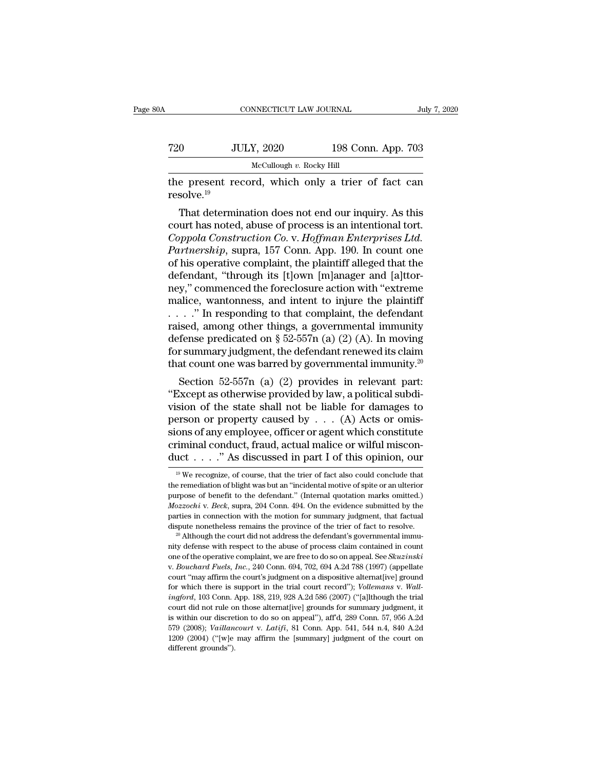| )A  | CONNECTICUT LAW JOURNAL     |                    | July 7, 2020 |
|-----|-----------------------------|--------------------|--------------|
| 720 | <b>JULY, 2020</b>           | 198 Conn. App. 703 |              |
|     | McCullough $v$ . Rocky Hill |                    |              |

 $\frac{\text{JULY, 2020}}{\text{McCullough } v. \text{ Rocky Hill}}$ <br>
e present record, which only a trier of fact can<br>
solve.<sup>19</sup><br>
That determination does not end our inquiry. As this<br>
urt has noted, abuse of process is an intentional tort. T20 JULY, 2020 198 Conn. App. 703<br>
McCullough v. Rocky Hill<br>
the present record, which only a trier of fact can<br>
resolve.<sup>19</sup><br>
That determination does not end our inquiry. As this<br>
court has noted, abuse of process is an *McCullough v. Rocky Hill*<br> *Collough v. Rocky Hill*<br> *Coppola* Construction does not end our inquiry. As this<br>
court has noted, abuse of process is an intentional tort.<br> *Coppola Construction Co.* v. *Hoffman Enterprises Partia* (*Partiace Conduct Apple 190.6)*<br> *Partial determination does not end our inquiry. As this*<br> *Partnership, supra, 157 Conn. App. 190. In count one*<br> *Partnership, supra, 157 Conn. App. 190. In count one*<br> *Partner* the present record, which only a ther of fact can<br>resolve.<sup>19</sup><br>That determination does not end our inquiry. As this<br>court has noted, abuse of process is an intentional tort.<br>*Coppola Construction Co.* v. *Hoffman Enterpris* resolve.<br>
That determination does not end our inquiry. As this<br>
court has noted, abuse of process is an intentional tort.<br>
Coppola Construction Co. v. Hoffman Enterprises Ltd.<br>
Partnership, supra, 157 Conn. App. 190. In co That determination does not end our inquiry. As this<br>court has noted, abuse of process is an intentional tort.<br>Coppola Construction Co. v. Hoffman Enterprises Ltd.<br>Partnership, supra, 157 Conn. App. 190. In count one<br>of hi court has noted, abuse of process is an intentional tort.<br>Coppola Construction Co. v. Hoffman Enterprises Ltd.<br>Partnership, supra, 157 Conn. App. 190. In count one<br>of his operative complaint, the plaintiff alleged that th Coppola Construction Co. v. Hoffman Enterprises Ltd.<br>Partnership, supra, 157 Conn. App. 190. In count one<br>of his operative complaint, the plaintiff alleged that the<br>defendant, "through its [t]own [m]anager and [a]ttor-<br>ne Partnership, supra, 157 Conn. App. 190. In count one<br>of his operative complaint, the plaintiff alleged that the<br>defendant, "through its [t]own [m]anager and [a]ttor-<br>ney," commenced the foreclosure action with "extreme<br>ma of his operative complaint, the plaintiff alleged that the<br>defendant, "through its [t]own [m]anager and [a]ttor-<br>ney," commenced the foreclosure action with "extreme<br>malice, wantonness, and intent to injure the plaintiff<br> defendant, "through its [t]own [m]anager and [a]ttor-<br>ney," commenced the foreclosure action with "extreme<br>malice, wantonness, and intent to injure the plaintiff<br> $\ldots$ ." In responding to that complaint, the defendant<br>rais ney," commenced the foreclosure action with "extreme<br>malice, wantonness, and intent to injure the plaintiff<br>..." In responding to that complaint, the defendant<br>raised, among other things, a governmental immunity<br>defense p ance, wantomess, and ment to injure the plant.<br>  $\therefore$  'In responding to that complaint, the defendant<br>
ised, among other things, a governmental immunity<br>
fense predicated on § 52-557n (a) (2) (A). In moving<br>
r summary jud  $\therefore$  The responding to that complaint, the detendant<br>
raised, among other things, a governmental immunity<br>
defense predicated on § 52-557n (a) (2) (A). In moving<br>
for summary judgment, the defendant renewed its claim<br>
th

raised, among other things, a governmental minimity<br>defense predicated on § 52-557n (a) (2) (A). In moving<br>for summary judgment, the defendant renewed its claim<br>that count one was barred by governmental immunity.<sup>20</sup><br>Sect deferise predicated on § 52-557n (a) (2) (A). In moving<br>for summary judgment, the defendant renewed its claim<br>that count one was barred by governmental immunity.<sup>20</sup><br>Section 52-557n (a) (2) provides in relevant part:<br>"Exc for summary judgment, the detendant renewed its claim<br>that count one was barred by governmental immunity.<sup>20</sup><br>Section 52-557n (a) (2) provides in relevant part:<br>"Except as otherwise provided by law, a political subdi-<br>vis criangle was barred by governmental minimity.<br>Section 52-557n (a) (2) provides in relevant part:<br>"Except as otherwise provided by law, a political subdi-<br>vision of the state shall not be liable for damages to<br>person or pr Section 52-557n (a) (2) provides in relevant part:<br>
"Except as otherwise provided by law, a political subdi-<br>
vision of the state shall not be liable for damages to<br>
person or property caused by . . . (A) Acts or omis-<br>
s erson or property caused by . . . (A) Acts or omis-<br>ons of any employee, officer or agent which constitute<br>riminal conduct, fraud, actual malice or wilful miscon-<br>uct . . . . " As discussed in part I of this opinion, our<br> sions of any employee, officer or agent which constitute<br>criminal conduct, fraud, actual malice or wilful miscon-<br>duct . . . . " As discussed in part I of this opinion, our<br><sup>19</sup> We recognize, of course, that the trier of

criminal conduct, fraud, actual malice or wilful misconduct . . . . " As discussed in part I of this opinion, our  $\frac{19}{10}$  We recognize, of course, that the trier of fact also could conclude that the remediation of bli **duct** . . . . . " As discussed in part I of this opinion, our  $\frac{19}{19}$  We recognize, of course, that the trier of fact also could conclude that the remediation of blight was but an "incidental motive of spite or an ult <sup>19</sup> We recognize, of course, that the trier of fact also could conclude that e remediation of blight was but an "incidental motive of spite or an ulterior arpose of benefit to the defendant." (Internal quotation marks om <sup>19</sup> We recognize, of course, that the trier of fact also could conclude that the remediation of blight was but an "incidental motive of spite or an ulterior purpose of benefit to the defendant." (Internal quotation marks nurpose of benefit to the defendant." (Internal quotation marks omitted.)<br> *Mozzochi* v. *Beck*, supra, 204 Conn. 494. On the evidence submitted by the<br>
parties in connection with the motion for summary judgment, that fact

*Mozzochi v. Beck*, supra, 204 Conn. 494. On the evidence submitted by the parties in connection with the motion for summary judgment, that factual dispute nonetheless remains the province of the trier of fact to resolve.<br> dispute nonetheless remains the province of the trier of fact to resolve.<br><sup>20</sup> Although the court did not address the defendant's governmental immu-<br>nity defense with respect to the abuse of process claim contained in cou <sup>20</sup> Although the court did not address the defendant's governmental immu-<br><sup>20</sup> Although the court did not address the defendant's governmental immu-<br>nity defense with respect to the abuse of process claim contained in cou *ingford*, 103 Conn. App. 188, 219, 928 A.2d 586 (2007) ("[a]lthough the trial count one of the operative complaint, we are free to do so on appeal. See *Skuzinski* v. *Bouchard Fuels*, *Inc.*, 240 Conn. 694, 702, 694 A.2d court did not rule on the same of the operative complaint, we are free to do so on appeal. See *Skuzinski* v. *Bouchard Fuels*, *Inc.*, 240 Conn. 694, 702, 694 A.2d 788 (1997) (appellate court "may affirm the court's judg v. *Bouchard Fuels, Inc.*, 240 Conn. 694, 702, 694 A.2d 788 (1997) (appellate court "may affirm the court's judgment on a dispositive alternat[ive] ground for which there is support in the trial court record"); *Vollemans* Francourt "may affirm the court's judgment on a dispositive alternat[ive] ground<br>for which there is support in the trial court record"); *Vollemans v. Wall-*<br>*ingford*, 103 Conn. App. 188, 219, 928 A.2d 586 (2007) ("[a]lth for which there is support in the trial court record"); *Vollemans* v. *Wall-*<br>ingford, 103 Conn. App. 188, 219, 928 A.2d 586 (2007) ("[a]lthough the trial<br>court did not rule on those alternat[ive] grounds for summary judg for which there is support in the trial court record"); *Vollemans* v. Wall-<br>*ingford*, 103 Conn. App. 188, 219, 928 A.2d 586 (2007) ("[a]lthough the trial<br>court did not rule on those alternat[ive] grounds for summary jud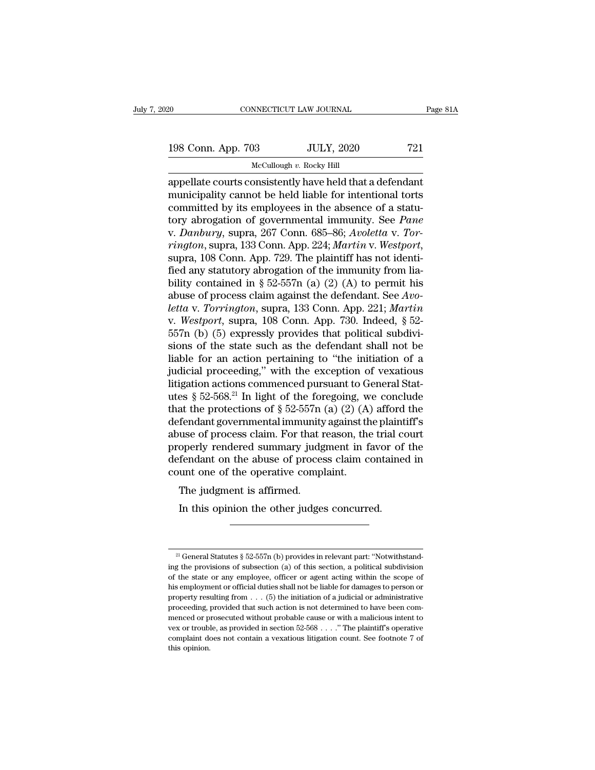EXECUTE CONNECTICUT LAW JOURNAL Page 81A<br>198 Conn. App. 703 JULY, 2020 721<br>McCullough v. Rocky Hill CONNECTICUT LAW JOURNAL<br>
198 Conn. App. 703 JULY, 2020 721<br>
McCullough *v.* Rocky Hill<br>
appellate courts consistently have held that a defendant

consistently have held that a defendant<br>appellate courts consistently have held that a defendant<br>appellate courts consistently have held that a defendant<br>municipality cannot be held liable for intentional torts<br>committed b 198 Conn. App. 703 JULY, 2020 721<br>
McCullough v. Rocky Hill<br>
appellate courts consistently have held that a defendant<br>
municipality cannot be held liable for intentional torts<br>
committed by its employees in the absence of 198 Conn. App. 703 JULY, 2020 721<br>
McCullough v. Rocky Hill<br>
appellate courts consistently have held that a defendant<br>
municipality cannot be held liable for intentional torts<br>
committed by its employees in the absence of 198 Conn. App. 703 JULY, 2020 721<br>
McCullough v. Rocky Hill<br>
appellate courts consistently have held that a defendant<br>
municipality cannot be held liable for intentional torts<br>
committed by its employees in the absence of MeCullough *v.* Rocky Hill<br>
appellate courts consistently have held that a defendant<br>
municipality cannot be held liable for intentional torts<br>
committed by its employees in the absence of a statu-<br>
tory abrogation of gove *rington*, *rington*, *rington*, *rington*, *rington*, and the pelotic municipality cannot be held liable for intentional torts committed by its employees in the absence of a statutory abrogation of governmental immunity. municipality cannot be held liable for intentional torts<br>committed by its employees in the absence of a statu-<br>tory abrogation of governmental immunity. See *Pane*<br>v. Danbury, supra, 267 Conn. 685–86; Avoletta v. Tor-<br>rin committed by its employees in the absence of a statu-<br>tory abrogation of governmental immunity. See *Pane*<br>v. Danbury, supra, 267 Conn. 685–86; Avoletta v. Tor-<br>rington, supra, 133 Conn. App. 224; Martin v. Westport,<br>supr tory abrogation of governmental immunity. See *Pane*<br>v. Danbury, supra, 267 Conn. 685–86; Avoletta v. Tor-<br>rington, supra, 133 Conn. App. 224; Martin v. Westport,<br>supra, 108 Conn. App. 729. The plaintiff has not identi-<br>fi *v. Danbury,* supra, 267 Conn. 685–86; *Avoletta v. Tor-*<br>*rington*, supra, 133 Conn. App. 224; *Martin v. Westport*,<br>supra, 108 Conn. App. 729. The plaintiff has not identi-<br>fied any statutory abrogation of the immunity rington, supra, 133 Conn. App. 224; *Martin* v. *Westport*, supra, 108 Conn. App. 729. The plaintiff has not identified any statutory abrogation of the immunity from liability contained in § 52-557n (a) (2) (A) to permit h supra, 108 Conn. App. 729. The plaintiff has not identi-<br>fied any statutory abrogation of the immunity from lia-<br>bility contained in § 52-557n (a) (2) (A) to permit his<br>abuse of process claim against the defendant. See Av fied any statutory abrogation of the immunity from liability contained in § 52-557n (a) (2) (A) to permit his abuse of process claim against the defendant. See Avoletta v. Torrington, supra, 133 Conn. App. 221; *Martin* v bility contained in § 52-557n (a) (2) (A) to permit his<br>abuse of process claim against the defendant. See Avo-<br>letta v. Torrington, supra, 133 Conn. App. 221; Martin<br>v. Westport, supra, 108 Conn. App. 730. Indeed, § 52-<br>5 abuse of process claim against the defendant. See Avo-<br>letta v. Torrington, supra, 133 Conn. App. 221; Martin<br>v. Westport, supra, 108 Conn. App. 730. Indeed, § 52-<br>557n (b) (5) expressly provides that political subdivi-<br>s letta v. Torrington, supra, 133 Conn. App. 221; *Martin* v. *Westport*, supra, 108 Conn. App. 730. Indeed, § 52-557n (b) (5) expressly provides that political subdivisions of the state such as the defendant shall not be l v. Westport, supra, 108 Conn. App. 730. Indeed, § 52-<br>557n (b) (5) expressly provides that political subdivisions of the state such as the defendant shall not be<br>liable for an action pertaining to "the initiation of a<br>jud 557n (b) (5) expressly provides that political subdivisions of the state such as the defendant shall not be liable for an action pertaining to "the initiation of a judicial proceeding," with the exception of vexatious lit sions of the state such as the defendant shall not be<br>liable for an action pertaining to "the initiation of a<br>judicial proceeding," with the exception of vexatious<br>litigation actions commenced pursuant to General Stat-<br>ut liable for an action pertaining to "the initiation of a<br>judicial proceeding," with the exception of vexatious<br>litigation actions commenced pursuant to General Stat-<br>utes § 52-568.<sup>21</sup> In light of the foregoing, we conclud judicial proceeding," with the exception of vexatious<br>litigation actions commenced pursuant to General Stat-<br>utes  $\S 52{\text -}568$ .<sup>21</sup> In light of the foregoing, we conclude<br>that the protections of  $\S 52{\text -}557n$  (a) (2) (A litigation actions commenced pursuant to General Stat-<br>utes  $\S$  52-568.<sup>21</sup> In light of the foregoing, we conclude<br>that the protections of  $\S$  52-557n (a) (2) (A) afford the<br>defendant governmental immunity against the pla utes § 52-568.<sup>21</sup> In light of the foregoing, w<br>that the protections of § 52-557n (a) (2) (A)<br>defendant governmental immunity against th<br>abuse of process claim. For that reason, the<br>properly rendered summary judgment in f at the protections of y 32-55711<br>fendant governmental immunity<br>use of process claim. For that r<br>operly rendered summary judg<br>fendant on the abuse of proces<br>unt one of the operative compl<br>The judgment is affirmed.<br>In this o In this opinion. For that reason, the trial cooperly rendered summary judgment in favor of fendant on the abuse of process claim contained.<br>The judgment is affirmed.<br>In this opinion the other judges concurred.

In this opinion the other judges concurred.<br>
21 General Statutes § 52-557n (b) provides in relevant part: "Notwithstand-<br>
31 de provisions of subsection (a) of this section, a political subdivision In this opinion the other judges concurred.<br>  $\frac{1}{2}$  General Statutes § 52-557n (b) provides in relevant part: "Notwithstand-<br>
ing the provisions of subsection (a) of this section, a political subdivision<br>
of the state <sup>21</sup> General Statutes § 52-557n (b) provides in relevant part: "Notwithstanding the provisions of subsection (a) of this section, a political subdivision of the state or any employee, officer or agent acting within the sc <sup>21</sup> General Statutes § 52-557n (b) provides in relevant part: "Notwithstanding the provisions of subsection (a) of this section, a political subdivision of the state or any employee, officer or agent acting within the sc <sup>21</sup> General Statutes § 52-557n (b) provides in relevant part: "Notwithstanding the provisions of subsection (a) of this section, a political subdivision of the state or any employee, officer or agent acting within the sc <sup>21</sup> General Statutes § 52-557n (b) provides in relevant part: "Notwithstanding the provisions of subsection (a) of this section, a political subdivision of the state or any employee, officer or agent acting within the sc ment is provisions of subsection (a) of this section, a political subdivision<br>of the state or any employee, officer or agent acting within the scope of<br>his employment or official duties shall not be liable for damages to and the state or any employee, officer or agent acting within the scope of his employment or official duties shall not be liable for damages to person or property resulting from . . . (5) the initiation of a judicial or a of the state or any employee, officer or agent acting within the scope of his employment or official duties shall not be liable for damages to person or property resulting from  $\dots$  (5) the initiation of a judicial or adm property resulting from  $\dots$  (5) the initiation of a judicial or administrative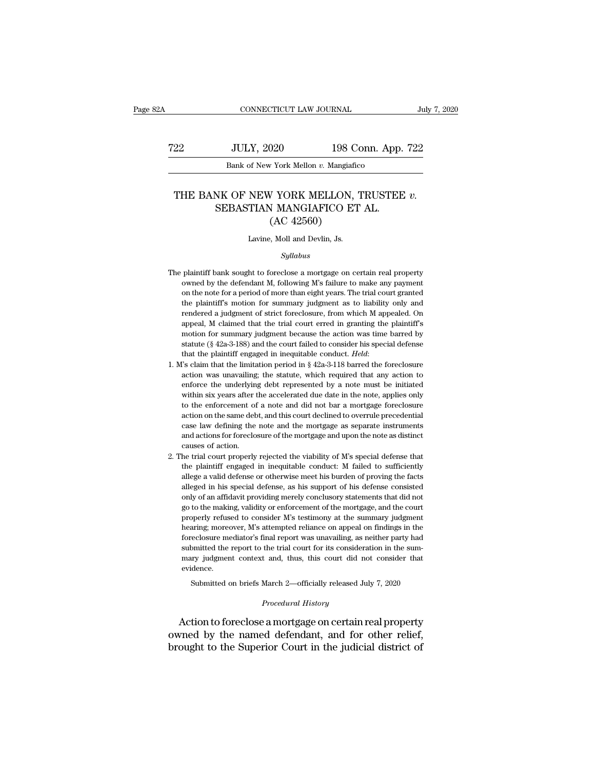# EXECUTE CONNECTICUT LAW JOURNAL July 7, 2020<br>T22 JULY, 2020 198 Conn. App. 722<br>Bank of New York Mellon v. Mangiafico EXECTICUT LAW JOURNAL<br>Bank of New York Mellon *v.* Mangiafico<br>Bank of New York Mellon *v.* Mangiafico

## THE BANK OF NEW YORK MELLON, TRUSTEE *v.*<br>SEBASTIAN MANGIAFICO ET AL. JULY, 2020 198 Conn. App.<br>
Bank of New York Mellon v. Mangiafico<br>
NK OF NEW YORK MELLON, TRUSTEE<br>
SEBASTIAN MANGIAFICO ET AL. (AC 42560) 020 198 C<br>
V York Mellon v. Mangiafic<br>
V YORK MELLON, '<br>
V MANGIAFICO ET<br>
(AC 42560)<br>
, Moll and Devlin, Js. THE BANK OF NEW YORK MELLON, TRUSTEE  $v$ .<br>SEBASTIAN MANGIAFICO ET AL.<br>(AC 42560)<br>Lavine, Moll and Devlin, Js.

### *Syllabus*

- $\rm (AC~42560)$ <br>Lavine, Moll and Devlin, Js.<br> $Syllabus$ <br>The plaintiff bank sought to foreclose a mortgage on certain real property<br>owned by the defendant M, following M's failure to make any payment Lavine, Moll and Devlin, Js.<br>Syllabus<br>plaintiff bank sought to foreclose a mortgage on certain real property<br>owned by the defendant M, following M's failure to make any payment<br>on the note for a period of more than eight y Lavine, Moll and Devlin, Js.<br>
Syllabus<br>
plaintiff bank sought to foreclose a mortgage on certain real property<br>
owned by the defendant M, following M's failure to make any payment<br>
on the note for a period of more than eig  $Syllabus$  plaintiff bank sought to foreclose a mortgage on certain real property<br>owned by the defendant M, following M's failure to make any payment<br>on the note for a period of more than eight years. The trial court granted<br>t *Syltabus*<br>plaintiff bank sought to foreclose a mortgage on certain real property<br>owned by the defendant M, following M's failure to make any payment<br>on the note for a period of more than eight years. The trial court grant plaintiff bank sought to foreclose a mortgage on certain real property<br>owned by the defendant M, following M's failure to make any payment<br>on the note for a period of more than eight years. The trial court granted<br>the plai powned by the defendant M, following M's failure to make any payment<br>on the note for a period of more than eight years. The trial court granted<br>the plaintiff's motion for summary judgment as to liability only and<br>rendered on the note for a period of more than eight years. The trial court granted the plaintiff's motion for summary judgment as to liability only and rendered a judgment of strict foreclosure, from which M appealed. On appeal, the plaintiff's motion for summary judgment as to liability only and rendered a judgment of strict foreclosure, from which M appealed. On appeal, M claimed that the trial court erred in granting the plaintiff's motion for appeal, M claimed that the trial court erred in granting the plaintiff's motion for summary judgment because the action was time barred by statute (§ 42a-3-188) and the court failed to consider his special defense that th
- enforce the underlying dependence the accelerated by statute (§ 42a-3-188) and the court failed to consider his special defense that the plaintiff engaged in inequitable conduct. *Held*: *S* claim that the limitation peri statute (§ 42a-3-188) and the court failed to consider his special defense<br>that the plaintiff engaged in inequitable conduct. *Held*:<br>The claim that the limitation period in § 42a-3-118 barred the foreclosure<br>action was u that the plaintiff engaged in inequitable conduct. *Held*:<br>
"S claim that the limitation period in  $\S$  42a-3-118 barred the foreclosure<br>
action was unavailing; the statute, which required that any action to<br>
enforce the u I's claim that the limitation period in  $\S$  42a-3-118 barred the foreclosure action was unavailing; the statute, which required that any action to enforce the underlying debt represented by a note must be initiated within action was unavailing; the statute, which required that any action to enforce the underlying debt represented by a note must be initiated within six years after the accelerated due date in the note, applies only to the enf enforce the underlying debt represented by a note must be initiated enforce the underlying debt represented by a note must be initiated within six years after the accelerated due date in the note, applies only to the enfor % within six years after the accelerated due date in the note, applies only<br>to the enforcement of a note and did not bar a mortgage foreclosure<br>action on the same debt, and this court declined to overrule precedential<br>cas to the enforcement of a note and did not bar a mortgage foreclosure<br>action on the same debt, and this court declined to overrule precedential<br>case law defining the note and the mortgage as separate instruments<br>and actions action on the same debt, and this court declined to overrule precedential case law defining the note and the mortgage as separate instruments and actions for foreclosure of the mortgage and upon the note as distinct causes
- case law defining the note and the mortgage as separate instruments<br>and actions for foreclosure of the mortgage and upon the note as distinct<br>causes of action.<br>he trial court properly rejected the viability of M's special and actions for foreclosure of the mortgage and upon the note as distinct causes of action.<br>
he trial court properly rejected the viability of M's special defense that<br>
the plaintiff engaged in inequitable conduct: M faile causes of action.<br>
he trial court properly rejected the viability of M's special defense that<br>
the plaintiff engaged in inequitable conduct: M failed to sufficiently<br>
allege a valid defense or otherwise meet his burden of he trial court properly rejected the viability of M's special defense that the plaintiff engaged in inequitable conduct: M failed to sufficiently allege a valid defense or otherwise meet his burden of proving the facts all the plaintiff engaged in inequitable conduct: M failed to sufficiently allege a valid defense or otherwise meet his burden of proving the facts alleged in his special defense, as his support of his defense consisted only o allege a valid defense or otherwise meet his burden of proving the facts alleged in his special defense, as his support of his defense consisted only of an affidavit providing merely conclusory statements that did not go t alleged in his special defense, as his support of his defense consisted only of an affidavit providing merely conclusory statements that did not go to the making, validity or enforcement of the mortgage, and the court prop submitted the report of the report of the mortgage, and the court properly of an affidavit providing merely conclusory statements that did not go to the making, validity or enforcement of the mortgage, and the court proper and yo to the making, validity or enforcement of the mortgage, and the court properly refused to consider M's testimony at the summary judgment hearing; moreover, M's attempted reliance on appeal on findings in the forecl evidence. aring; moreover, M's attempted reliance on appeal on findings in the eclosure mediator's final report was unavailing, as neither party had bomitted the report to the trial court for its consideration in the sum-<br>try judgme mary judgment context and, thus, this court did not consider that<br>evidence.<br>Submitted on briefs March 2—officially released July 7, 2020<br>*Procedural History*<br>Action to foreclose a mortgage on certain real property submitted the report to the trial court for its consideration in the summary judgment context and, thus, this court did not consider that<br>evidence.<br>Submitted on briefs March 2—officially released July 7, 2020<br>*Procedural H*

mary judgment context and, thus, this court did not consider that<br>evidence.<br>Submitted on briefs March 2—officially released July 7, 2020<br> $\emph{Proceedural History}$ <br>Action to foreclose a mortgage on certain real property<br>owned by the named evidence.<br>
Submitted on briefs March 2—officially released July 7, 2020<br> *Procedural History*<br>
Action to foreclose a mortgage on certain real property<br>
owned by the named defendant, and for other relief,<br>
brought to the Su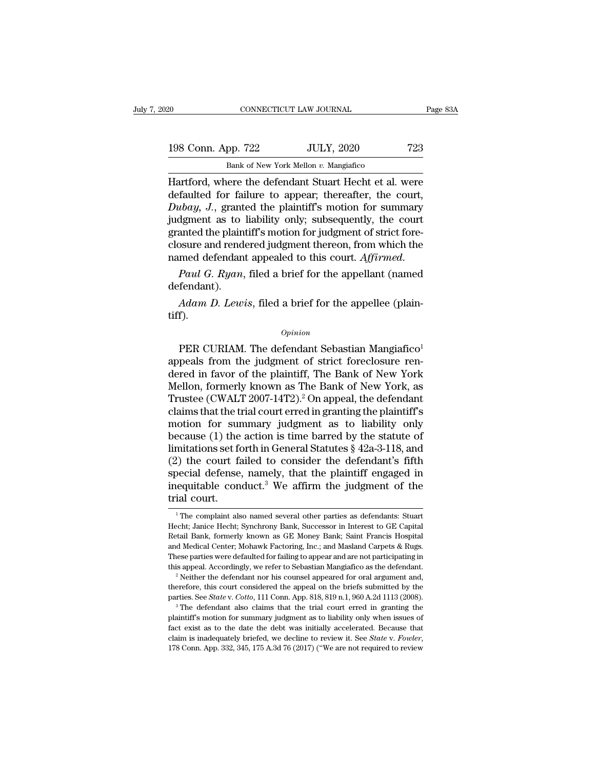| 20                 | CONNECTICUT LAW JOURNAL                                                                                                                                                  | Page 83A |
|--------------------|--------------------------------------------------------------------------------------------------------------------------------------------------------------------------|----------|
| 198 Conn. App. 722 | <b>JULY, 2020</b>                                                                                                                                                        | 723      |
|                    | Bank of New York Mellon v. Mangiafico                                                                                                                                    |          |
|                    | Hartford, where the defendant Stuart Hecht et al. were<br>defaulted for failure to appear; thereafter, the court,<br>Dubay, L graphed the plaintiff's metion for summary |          |

198 Conn. App. 722 JULY, 2020 723<br>
Bank of New York Mellon v. Mangiafico<br>
Hartford, where the defendant Stuart Hecht et al. were<br>
defaulted for failure to appear; thereafter, the court,<br>
Dubay, J., granted the plaintiff's 198 Conn. App. 722 JULY, 2020 723<br> **Bank of New York Mellon v. Mangiafico**<br> **Hartford, where the defendant Stuart Hecht et al. were**<br> **defaulted for failure to appear; thereafter, the court,**<br> *Dubay, J.*, granted the plai 198 Conn. App. 722 JULY, 2020 723<br>
Bank of New York Mellon  $v$ . Mangiafico<br>
Hartford, where the defendant Stuart Hecht et al. were<br>
defaulted for failure to appear; thereafter, the court,<br>  $Dubay$ ,  $J$ ., granted the plainti Bank of New York Mellon v. Mangiafico<br>Hartford, where the defendant Stuart Hecht et al. were<br>defaulted for failure to appear; thereafter, the court,<br> $Dubay$ , J., granted the plaintiff's motion for summary<br>judgment as to lia Bank of New York Mellon v. Mangiafico<br>Hartford, where the defendant Stuart Hecht et al. were<br>defaulted for failure to appear; thereafter, the court,<br> $Dubay$ , J., granted the plaintiff's motion for summary<br>judgment as to liabi Hartford, where the defendant Stuart Hecht et al. were<br>defaulted for failure to appear; thereafter, the court,<br>*Pubay*, *J*., granted the plaintiff's motion for summary<br>judgment as to liability only; subsequently, the cour anted the plaintiff's motion for judgment of strict fore-<br>anted the plaintiff's motion for judgment of strict fore-<br>by summer and rendered judgment thereon, from which the<br>med defendant appealed to this court. *Affirmed.*<br>

defendant).

tiff).

### *Opinion*

Paul G. Ryan, filed a brief for the appellant (named<br>fendant).<br>Adam D. Lewis, filed a brief for the appellee (plain-<br>f).<br>Opinion<br>PER CURIAM. The defendant Sebastian Mangiafico<sup>1</sup><br>peals from the judgment of strict foreclosu defendant).<br>
Adam D. Lewis, filed a brief for the appellee (plain-<br>
tiff).<br>
Opinion<br>
PER CURIAM. The defendant Sebastian Mangiafico<sup>1</sup><br>
appeals from the judgment of strict foreclosure ren-<br>
dered in favor of the plaintiff, *Adam D. Lewis*, filed a brief for the appellee (plain-<br>tiff).<br> $\frac{opinion}{}$ <br>PER CURIAM. The defendant Sebastian Mangiafico<sup>1</sup><br>appeals from the judgment of strict foreclosure ren-<br>dered in favor of the plaintiff, The Bank of Meant D. Leaves, mea a stict for the appence (plant<br>tiff).<br> $opinion$ <br> $PER CURIAM. The defendant Sebastian Mangiafico<sup>1</sup> appears from the judgment of strict foreclosure rendered in favor of the plaintiff, The Bank of New York. Mellon, formerly known as The Bank of New York, as Trustee (CWALT 2007-14T2).<sup>2</sup> On appeal, the defendant claims that the trial court orrod in granting the plaintiff's.$  $\Omega_{\text{spinion}}$ <br>
PER CURIAM. The defendant Sebastian Mangiafico<sup>1</sup><br>
appeals from the judgment of strict foreclosure ren-<br>
dered in favor of the plaintiff, The Bank of New York<br>
Mellon, formerly known as The Bank of New York, **EXAM.** The defendant Sebastian Mangiafico<sup>1</sup><br>appeals from the judgment of strict foreclosure rendered in favor of the plaintiff, The Bank of New York<br>Mellon, formerly known as The Bank of New York, as<br>Trustee (CWALT 2007 PER CURIAM. The defendant Sebastian Mangiafico<sup>1</sup><br>appeals from the judgment of strict foreclosure ren-<br>dered in favor of the plaintiff, The Bank of New York<br>Mellon, formerly known as The Bank of New York, as<br>Trustee (CWAL appeals from the judgment of strict foreclosure rendered in favor of the plaintiff, The Bank of New York Mellon, formerly known as The Bank of New York, as Trustee (CWALT 2007-14T2).<sup>2</sup> On appeal, the defendant claims tha dered in favor of the plaintiff, The Bank of New York<br>Mellon, formerly known as The Bank of New York, as<br>Trustee (CWALT 2007-14T2).<sup>2</sup> On appeal, the defendant<br>claims that the trial court erred in granting the plaintiff's<br> Mellon, formerly known as The Bank of New York, as<br>Trustee (CWALT 2007-14T2).<sup>2</sup> On appeal, the defendant<br>claims that the trial court erred in granting the plaintiff's<br>motion for summary judgment as to liability only<br>beca Trustee (CWALT 2007-14T2).<sup>2</sup> On appeal, the defendant<br>claims that the trial court erred in granting the plaintiff's<br>motion for summary judgment as to liability only<br>because (1) the action is time barred by the statute of claims that the trial court erred in granting the plaintiff's<br>motion for summary judgment as to liability only<br>because (1) the action is time barred by the statute of<br>limitations set forth in General Statutes  $\S$  42a-3-11 motion for sure<br>because (1) the<br>limitations set for<br>(2) the court fa<br>special defense,<br>inequitable con<br>trial court. 2) the court failed to consider the defendant's fifth<br>pecial defense, namely, that the plaintiff engaged in<br>equitable conduct.<sup>3</sup> We affirm the judgment of the<br>ial court.<br><sup>1</sup>The complaint also named several other parties special defense, namely, that the plaintiff engaged in<br>inequitable conduct.<sup>3</sup> We affirm the judgment of the<br>trial court.<br><sup>1</sup>The complaint also named several other parties as defendants: Stuart<br>Hecht; Janice Hecht; Synchro

inequitable conduct.<sup>3</sup> We affirm the judgment of the<br>trial court.<br><sup>1</sup>The complaint also named several other parties as defendants: Stuart<br>Hecht; Janice Hecht; Synchrony Bank, Successor in Interest to GE Capital<br>Retail Ban Irial Court.<br>
<sup>1</sup> The complaint also named several other parties as defendants: Stuart<br>
Hecht; Janice Hecht; Synchrony Bank, Successor in Interest to GE Capital<br>
Retail Bank, formerly known as GE Money Bank; Saint Francis The count.<br>
The complaint also named several other parties as defendants: Stuart<br>
Hecht; Janice Hecht; Synchrony Bank, Successor in Interest to GE Capital<br>
Retail Bank, formerly known as GE Money Bank; Saint Francis Hospit <sup>1</sup> The complaint also named several other parties as defendants: Stuart Hecht; Janice Hecht; Synchrony Bank, Successor in Interest to GE Capital Retail Bank, formerly known as GE Money Bank; Saint Francis Hospital and Me Retail Bank, formerly known as GE Money Bank; Saint Francis Hospital<br>and Medical Center; Mohawk Factoring, Inc.; and Masland Carpets & Rugs.<br>These parties were defaulted for failing to appear and are not participating in<br> and Medical Center; Mohawk Factoring, Inc.; and Masland Carpets & Rugs.<br>These parties were defaulted for failing to appear and are not participating in<br>this appeal. Accordingly, we refer to Sebastian Mangiafico as the defe

this appeal. Accordingly, we refer to Sebastian Mangiafico as the defendant.<br><sup>2</sup> Neither the defendant nor his counsel appeared for oral argument and, therefore, this court considered the appeal on the briefs submitted by therefore, this court considered the appeal on the briefs submitted by the parties. See *State* v. *Cotto*, 111 Conn. App. 818, 819 n.1, 960 A.2d 1113 (2008).<br><sup>3</sup> The defendant also claims that the trial court erred in gr therefore, this court considered the appeal on the briefs submitted by the parties. See *State* v. *Cotto*, 111 Conn. App. 818, 819 n.1, 960 A.2d 1113 (2008). <sup>3</sup> The defendant also claims that the trial court erred in gra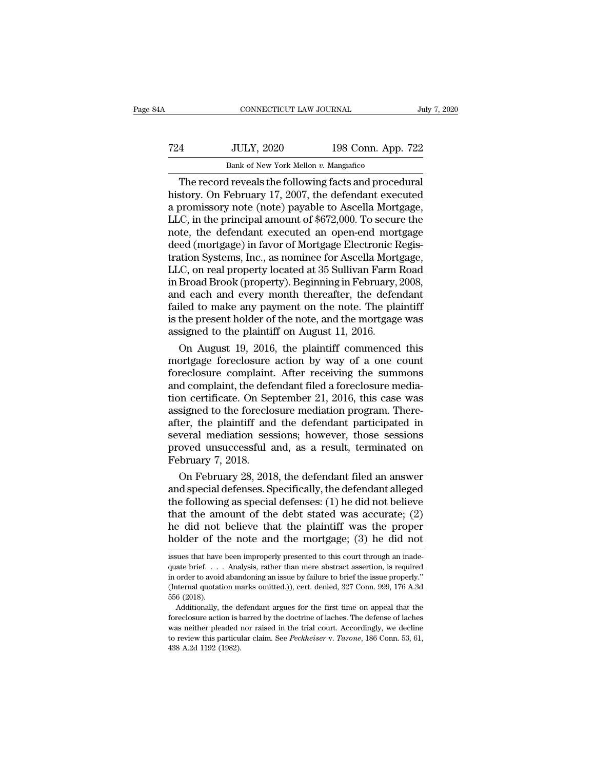| 4Α  | CONNECTICUT LAW JOURNAL                               |                    | July 7, 2020 |
|-----|-------------------------------------------------------|--------------------|--------------|
| 724 | <b>JULY, 2020</b>                                     | 198 Conn. App. 722 |              |
|     | Bank of New York Mellon v. Mangiafico                 |                    |              |
|     | The record reveals the following facts and procedural |                    |              |

CONNECTICUT LAW JOURNAL July 7, 20<br>
4<br>
JULY, 2020 198 Conn. App. 722<br>
Bank of New York Mellon v. Mangiafico<br>
The record reveals the following facts and procedural<br>
story. On February 17, 2007, the defendant executed<br>
promi T24 JULY, 2020 198 Conn. App. 722<br>Bank of New York Mellon v. Mangiafico<br>The record reveals the following facts and procedural<br>history. On February 17, 2007, the defendant executed<br>a promissory note (note) payable to Ascell  $\frac{724}{\text{Bank of New York Melon } v. \text{ Mangiafico}}$ <br>Bank of New York Mellon  $v.$  Mangiafico<br>The record reveals the following facts and procedural<br>history. On February 17, 2007, the defendant executed<br>a promissory note (note) payable to Ascella T24 JULY, 2020 198 Conn. App. 722<br>
Bank of New York Mellon v. Mangiafico<br>
The record reveals the following facts and procedural<br>
history. On February 17, 2007, the defendant executed<br>
a promissory note (note) payable to As Bank of New York Mellon v. Mangiafico<br>
The record reveals the following facts and procedural<br>
history. On February 17, 2007, the defendant executed<br>
a promissory note (note) payable to Ascella Mortgage,<br>
LLC, in the princi Bank of New York Mellon v. Mangiafico<br>The record reveals the following facts and procedural<br>history. On February 17, 2007, the defendant executed<br>a promissory note (note) payable to Ascella Mortgage,<br>LLC, in the principal The record reveals the following facts and procedural<br>history. On February 17, 2007, the defendant executed<br>a promissory note (note) payable to Ascella Mortgage,<br>LLC, in the principal amount of \$672,000. To secure the<br>note history. On February 17, 2007, the defendant executed<br>a promissory note (note) payable to Ascella Mortgage,<br>LLC, in the principal amount of \$672,000. To secure the<br>note, the defendant executed an open-end mortgage<br>deed (mo a promissory note (note) payable to Ascella Mortgage,<br>LLC, in the principal amount of \$672,000. To secure the<br>note, the defendant executed an open-end mortgage<br>deed (mortgage) in favor of Mortgage Electronic Regis-<br>tration LLC, in the principal amount of \$672,000. To secure the<br>note, the defendant executed an open-end mortgage<br>deed (mortgage) in favor of Mortgage Electronic Regis-<br>tration Systems, Inc., as nominee for Ascella Mortgage,<br>LLC, note, the defendant executed an open-end mortgage<br>deed (mortgage) in favor of Mortgage Electronic Registration Systems, Inc., as nominee for Ascella Mortgage,<br>LLC, on real property located at 35 Sullivan Farm Road<br>in Broad deed (mortgage) in favor of Mortgage Electronic Registration Systems, Inc., as nominee for Ascella Mortgage, LLC, on real property located at 35 Sullivan Farm Road in Broad Brook (property). Beginning in February, 2008, an tration Systems, Inc., as nominee for Ascella Mort<br>LLC, on real property located at 35 Sullivan Farm<br>in Broad Brook (property). Beginning in February,<br>and each and every month thereafter, the defer<br>failed to make any payme C, on real property located at 35 Sullivan Farm Road<br>Broad Brook (property). Beginning in February, 2008,<br>d each and every month thereafter, the defendant<br>lied to make any payment on the note. The plaintiff<br>the present hol in Broad Brook (property). Beginning in February, 2008,<br>and each and every month thereafter, the defendant<br>failed to make any payment on the note. The plaintiff<br>is the present holder of the note, and the mortgage was<br>assig

and each and every month thereatter, the detendant<br>failed to make any payment on the note. The plaintiff<br>is the present holder of the note, and the mortgage was<br>assigned to the plaintiff on August 11, 2016.<br>On August 19, 2 failed to make any payment on the note. The plaintiff<br>is the present holder of the note, and the mortgage was<br>assigned to the plaintiff on August 11, 2016.<br>On August 19, 2016, the plaintiff commenced this<br>mortgage foreclos is the present holder of the note, and the mortgage was<br>assigned to the plaintiff on August 11, 2016.<br>On August 19, 2016, the plaintiff commenced this<br>mortgage foreclosure action by way of a one count<br>foreclosure complaint assigned to the plaintiff on August 11, 2016.<br>
On August 19, 2016, the plaintiff commenced this<br>
mortgage foreclosure action by way of a one count<br>
foreclosure complaint. After receiving the summons<br>
and complaint, the def On August 19, 2016, the plaintiff commenced this<br>mortgage foreclosure action by way of a one count<br>foreclosure complaint. After receiving the summons<br>and complaint, the defendant filed a foreclosure media-<br>tion certificate mortgage foreclosure action by way of a one count<br>foreclosure complaint. After receiving the summons<br>and complaint, the defendant filed a foreclosure media-<br>tion certificate. On September 21, 2016, this case was<br>assigned t foreclosure complaint. After receiving the summons<br>and complaint, the defendant filed a foreclosure media-<br>tion certificate. On September 21, 2016, this case was<br>assigned to the foreclosure mediation program. There-<br>after, and complaint, the deferoion certificate. On Sequences<br>assigned to the foreclove after, the plaintiff and<br>several mediation sesproved unsuccessful at<br>February 7, 2018. On February 28, 201 on certificate. On September 21, 2016, this case was<br>signed to the foreclosure mediation program. There-<br>ter, the plaintiff and the defendant participated in<br>veral mediation sessions; however, those sessions<br>oved unsuccess assigned to the foreclosure mediation program. There-<br>after, the plaintiff and the defendant participated in<br>several mediation sessions; however, those sessions<br>proved unsuccessful and, as a result, terminated on<br>February

atter, the plaintiff and the defendant participated in<br>several mediation sessions; however, those sessions<br>proved unsuccessful and, as a result, terminated on<br>February 7, 2018.<br>On February 28, 2018, the defendant filed an several mediation sessions; however, those sessions<br>proved unsuccessful and, as a result, terminated on<br>February 7, 2018.<br>On February 28, 2018, the defendant filed an answer<br>and special defenses. Specifically, the defendan proved unsuccessful and, as a result, terminated on<br>February 7, 2018.<br>On February 28, 2018, the defendant filed an answer<br>and special defenses. Specifically, the defendant alleged<br>the following as special defenses: (1) he February 7, 2018.<br>
On February 28, 2018, the defendant filed an answer<br>
and special defenses. Specifically, the defendant alleged<br>
the following as special defenses: (1) he did not believe<br>
that the amount of the debt sta the following as special defenses: (1) he did not believe<br>that the amount of the debt stated was accurate; (2)<br>he did not believe that the plaintiff was the proper<br>holder of the note and the mortgage; (3) he did not<br>issue that the amount of the debt stated was accurate; (2) he did not believe that the plaintiff was the proper holder of the note and the mortgage; (3) he did not issues that have been improperly presented to this court throug

he did not believe that the plaintiff was the proper holder of the note and the mortgage; (3) he did not issues that have been improperly presented to this court through an inadequate brief.... Analysis, rather than mere a (Internal quotation marks omitted.)), cert. denied, 327 Conn. 999, 176 A.3d 556 (2018). % issues that have been improperly presented to this court through an inade-<br>quate brief.... Analysis, rather than mere abstract assertion, is required<br>in order to avoid abandoning an issue by failure to brief the issue p sues that have been improperly presented to this court through an inade-<br>ate brief. . . . Analysis, rather than mere abstract assertion, is required<br>order to avoid abandoning an issue by failure to brief the issue properl quate brief. . . . Analysis, rather than mere abstract assertion, is required<br>in order to avoid abandoning an issue by failure to brief the issue properly."<br>(Internal quotation marks omitted.)), cert. denied, 327 Conn. 99

in order to avoid abandoning an issue by failure to brief the issue properly."<br>
(Internal quotation marks omitted.)), cert. denied, 327 Conn. 999, 176 A.3d<br>
556 (2018).<br>
Additionally, the defendant argues for the first ti (Internal quotation marks omitted.)), cert. denied, 327 Conn. 999, 176 A.3d 556 (2018).<br>Additionally, the defendant argues for the first time on appeal that the foreclosure action is barred by the doctrine of laches. The d foreclosure action is barred by the doctrine of laches. The defense of laches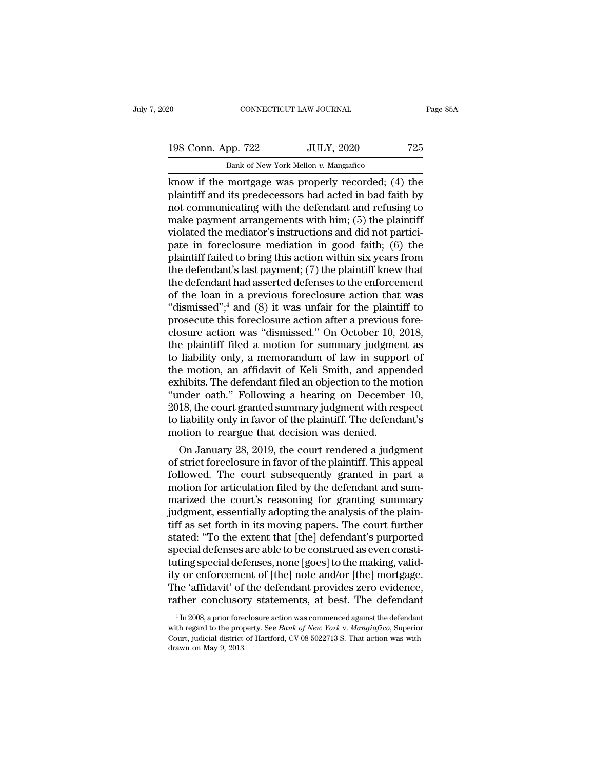EXECUTE CONNECTICUT LAW JOURNAL Page 85A<br>198 Conn. App. 722 JULY, 2020 725<br>Bank of New York Mellon v. Mangiafico EXECTICUT LAW JOURNAL<br>Bank of New York Mellon *v. Mangiafico*<br>Bank of New York Mellon *v. Mangiafico*<br>mortgage was properly recorded: (4)

EXECUTE EXECUTE LAW JOURNAL Page 85A<br>
198 Conn. App. 722 JULY, 2020 725<br>
Bank of New York Mellon v. Mangiafico<br>
Know if the mortgage was properly recorded; (4) the<br>
plaintiff and its predecessors had acted in bad faith by<br> 198 Conn. App. 722 JULY, 2020 725<br>Bank of New York Mellon v. Mangiafico<br>know if the mortgage was properly recorded; (4) the<br>plaintiff and its predecessors had acted in bad faith by<br>not communicating with the defendant and 198 Conn. App. 722 JULY, 2020 725<br>
Bank of New York Mellon v. Mangiafico<br>
know if the mortgage was properly recorded; (4) the<br>
plaintiff and its predecessors had acted in bad faith by<br>
not communicating with the defendant 198 Conn. App. 722 JULY, 2020 725<br>
Bank of New York Mellon v. Mangiafico<br>
know if the mortgage was properly recorded; (4) the<br>
plaintiff and its predecessors had acted in bad faith by<br>
not communicating with the defendant Bank of New York Mellon v. Mangiafico<br>
know if the mortgage was properly recorded; (4) the<br>
plaintiff and its predecessors had acted in bad faith by<br>
not communicating with the defendant and refusing to<br>
make payment arra Bank of New York Mellon v. Mangiafico<br>
know if the mortgage was properly recorded; (4) the<br>
plaintiff and its predecessors had acted in bad faith by<br>
not communicating with the defendant and refusing to<br>
make payment arra know if the mortgage was properly recorded; (4) the<br>plaintiff and its predecessors had acted in bad faith by<br>not communicating with the defendant and refusing to<br>make payment arrangements with him; (5) the plaintiff<br>violat plaintiff and its predecessors had acted in bad faith by<br>not communicating with the defendant and refusing to<br>make payment arrangements with him; (5) the plaintiff<br>violated the mediator's instructions and did not partici-<br> not communicating with the defendant and refusing to<br>make payment arrangements with him; (5) the plaintiff<br>violated the mediator's instructions and did not partici-<br>pate in foreclosure mediation in good faith; (6) the<br>pla make payment arrangements with him; (5) the plaintiff<br>violated the mediator's instructions and did not partici-<br>pate in foreclosure mediation in good faith; (6) the<br>plaintiff failed to bring this action within six years f violated the mediator's instructions and did not partici-<br>pate in foreclosure mediation in good faith; (6) the<br>plaintiff failed to bring this action within six years from<br>the defendant's last payment; (7) the plaintiff kn pate in foreclosure mediation in good faith; (6) the plaintiff failed to bring this action within six years from the defendant's last payment; (7) the plaintiff knew that the defendant had asserted defenses to the enforce plaintiff failed to bring this action within six years from<br>the defendant's last payment; (7) the plaintiff knew that<br>the defendant had asserted defenses to the enforcement<br>of the loan in a previous foreclosure action that the defendant's last payment; (7) the plaintiff knew that<br>the defendant had asserted defenses to the enforcement<br>of the loan in a previous foreclosure action that was<br>"dismissed";<sup>4</sup> and (8) it was unfair for the plaintiff the defendant had asserted defenses to the enforcement<br>of the loan in a previous foreclosure action that was<br>"dismissed";<sup>4</sup> and (8) it was unfair for the plaintiff to<br>prosecute this foreclosure action after a previous for of the loan in a previous foreclosure action that was<br>
"dismissed",<sup>4</sup> and (8) it was unfair for the plaintiff to<br>
prosecute this foreclosure action after a previous fore-<br>
closure action was "dismissed." On October 10, 20 "dismissed";<sup>4</sup> and (8) it was unfair for the plaintiff to<br>prosecute this foreclosure action after a previous fore-<br>closure action was "dismissed." On October 10, 2018,<br>the plaintiff filed a motion for summary judgment as prosecute this foreclosure action after a previous fore-<br>closure action was "dismissed." On October 10, 2018,<br>the plaintiff filed a motion for summary judgment as<br>to liability only, a memorandum of law in support of<br>the mo closure action was "dismissed." On October 10, 2018,<br>the plaintiff filed a motion for summary judgment as<br>to liability only, a memorandum of law in support of<br>the motion, an affidavit of Keli Smith, and appended<br>exhibits. the plaintiff filed a motion for summary judgment as<br>to liability only, a memorandum of law in support of<br>the motion, an affidavit of Keli Smith, and appended<br>exhibits. The defendant filed an objection to the motion<br>"under to liability only, a memorandum of law in suppo<br>the motion, an affidavit of Keli Smith, and apper<br>exhibits. The defendant filed an objection to the me<br>"under oath." Following a hearing on Decembe<br>2018, the court granted su e motion, an amdavit of Kell Smith, and appended<br>hibits. The defendant filed an objection to the motion<br>nder oath." Following a hearing on December 10,<br>18, the court granted summary judgment with respect<br>liability only in exhibits. The defendant filed an objection to the motion<br>"under oath." Following a hearing on December 10,<br>2018, the court granted summary judgment with respect<br>to liability only in favor of the plaintiff. The defendant's<br>

under oath. Following a nearing on December 10,<br>2018, the court granted summary judgment with respect<br>to liability only in favor of the plaintiff. The defendant's<br>motion to reargue that decision was denied.<br>On January 28, 2018, the court granted summary judgment with respect<br>to liability only in favor of the plaintiff. The defendant's<br>motion to reargue that decision was denied.<br>On January 28, 2019, the court rendered a judgment<br>of strict fo to hability only in favor of the plaintiff. The defendant s<br>motion to reargue that decision was denied.<br>On January 28, 2019, the court rendered a judgment<br>of strict foreclosure in favor of the plaintiff. This appeal<br>follow motion to reargue that decision was denied.<br>
On January 28, 2019, the court rendered a judgment<br>
of strict foreclosure in favor of the plaintiff. This appeal<br>
followed. The court subsequently granted in part a<br>
motion for On January 28, 2019, the court rendered a judgment<br>of strict foreclosure in favor of the plaintiff. This appeal<br>followed. The court subsequently granted in part a<br>motion for articulation filed by the defendant and sum-<br>mar of strict foreclosure in favor of the plaintiff. This appeal<br>followed. The court subsequently granted in part a<br>motion for articulation filed by the defendant and sum-<br>marized the court's reasoning for granting summary<br>jud followed. The court subsequently granted in part a<br>motion for articulation filed by the defendant and sum-<br>marized the court's reasoning for granting summary<br>judgment, essentially adopting the analysis of the plain-<br>tiff a motion for articulation filed by the defendant and sum-<br>marized the court's reasoning for granting summary<br>judgment, essentially adopting the analysis of the plain-<br>tiff as set forth in its moving papers. The court further marized the court's reasoning for granting summary<br>judgment, essentially adopting the analysis of the plain-<br>tiff as set forth in its moving papers. The court further<br>stated: "To the extent that [the] defendant's purported judgment, essentially adopting the analysis of the plain-<br>tiff as set forth in its moving papers. The court further<br>stated: "To the extent that [the] defendant's purported<br>special defenses are able to be construed as even tiff as set forth in its moving papers. The court further<br>stated: "To the extent that [the] defendant's purported<br>special defenses are able to be construed as even consti-<br>tuting special defenses, none [goes] to the making tting special defenses, none [goes] to the making, valid-<br>y or enforcement of [the] note and/or [the] mortgage.<br>he 'affidavit' of the defendant provides zero evidence,<br>tther conclusory statements, at best. The defendant<br><sup>4</sup> ity or enforcement of [the] note and/or [the] mortgage.<br>The 'affidavit' of the defendant provides zero evidence,<br>rather conclusory statements, at best. The defendant<br><sup>4</sup> In 2008, a prior foreclosure action was commenced ag

The 'affidavit' of the defendant provides zero evidence,<br>rather conclusory statements, at best. The defendant<br> $\frac{4 \ln 2008}{\ln 2008}$ , a prior foreclosure action was commenced against the defendant<br>with regard to the prope rather conclusory statements, at best. The defendant  $\frac{4 \ln 2008}{\ln 2008}$ , a prior foreclosure action was commenced against the defendant with regard to the property. See *Bank of New York v. Mangiafico*, Superior Court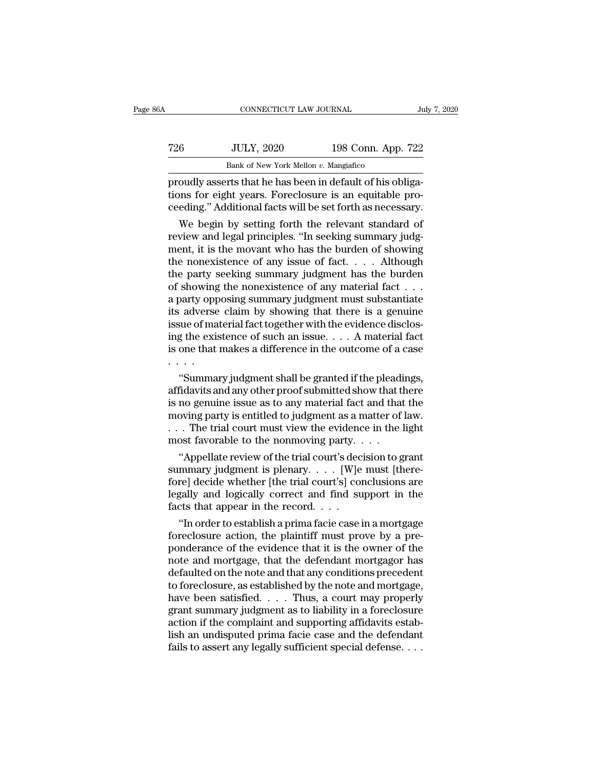| 36A | CONNECTICUT LAW JOURNAL                                    |                    | July 7, 2020 |
|-----|------------------------------------------------------------|--------------------|--------------|
| 726 | <b>JULY, 2020</b>                                          | 198 Conn. App. 722 |              |
|     | Bank of New York Mellon v. Mangiafico                      |                    |              |
|     | proudly asserts that he has been in default of his obliga- |                    |              |

FREE CONNECTICUT LAW JOURNAL<br>
PRODUCED AND THE SERVICE OF THE HARD OF THE HARD OF THE HARD OF THE HARD BEEN IN A SUBJEM<br>
PROUDLY ASSERTS THAT ARE A BOOK TO A SUBJEM OF THE SUBJEM OF THE SUBJEM OF THE SUBJEM OF THE SUBJEM O T26 JULY, 2020 198 Conn. App. 722<br>Bank of New York Mellon v. Mangiafico<br>proudly asserts that he has been in default of his obliga-<br>tions for eight years. Foreclosure is an equitable pro-<br>ceeding." Additional facts will be The Taurest Committee of New York Mellon v. Mangiafico<br>The Shank of New York Mellon v. Mangiafico<br>Through asserts that he has been in default of his obliga-<br>tions for eight years. Foreclosure is an equitable pro-<br>Compared  $U_L$ , 2020  $198$  Conn. App. 722<br>Bank of New York Mellon  $v$ . Mangiafico<br>
oudly asserts that he has been in default of his obliga-<br>
oudly asserts that he has been in default of his obliga-<br>
outing.'' Additional facts will

Bank of New York Mellon  $v$ . Mangiafico<br>proudly asserts that he has been in default of his obliga-<br>tions for eight years. Foreclosure is an equitable pro-<br>ceeding." Additional facts will be set forth as necessary.<br>We begi ment, it is the moval system in default of his obligations for eight years. Foreclosure is an equitable proceeding." Additional facts will be set forth as necessary.<br>We begin by setting forth the relevant standard of revie proudly asserts that he has been in detault of his obliga-<br>tions for eight years. Foreclosure is an equitable pro-<br>ceeding." Additional facts will be set forth as necessary.<br>We begin by setting forth the relevant standard tions for eight years. Foreclosure is an equitable proceeding." Additional facts will be set forth as necessary.<br>
We begin by setting forth the relevant standard of<br>
review and legal principles. "In seeking summary judg-<br> ceeding." Additional facts will be set forth as necessary.<br>
We begin by setting forth the relevant standard of<br>
review and legal principles. "In seeking summary judg-<br>
ment, it is the movant who has the burden of showing<br> We begin by setting forth the relevant standard of<br>review and legal principles. "In seeking summary judgment, it is the movant who has the burden of showing<br>the nonexistence of any issue of fact. . . . . Although<br>the part review and legal principles. "In seeking summary judgment, it is the movant who has the burden of showing<br>the nonexistence of any issue of fact. . . . . Although<br>the party seeking summary judgment has the burden<br>of showin ment, it is the movant who has the burden of showing<br>the nonexistence of any issue of fact. . . . Although<br>the party seeking summary judgment has the burden<br>of showing the nonexistence of any material fact . . .<br>a party o the nonexistence of any issue of fact. . . . Although<br>the party seeking summary judgment has the burden<br>of showing the nonexistence of any material fact . . .<br>a party opposing summary judgment must substantiate<br>its advers the party seeking summary judgment has the burden<br>of showing the nonexistence of any material fact  $\dots$ <br>a party opposing summary judgment must substantiate<br>its adverse claim by showing that there is a genuine<br>issue of mat of showing<br>a party opp<br>its adverse<br>issue of ma<br>ing the exis<br>is one that<br>"Summa" Characterial summary judgment must substantiate<br>
suce of material fact together with the evidence disclosing the existence of such an issue.... A material fact<br>
one that makes a difference in the outcome of a case<br>
...<br>
" its adverse claim by showing that there is a genune<br>issue of material fact together with the evidence disclos-<br>ing the existence of such an issue. . . . A material fact<br>is one that makes a difference in the outcome of a c

issue of material fact together with the evidence disclosing the existence of such an issue.  $\dots$  A material fact is one that makes a difference in the outcome of a case  $\dots$ <br>"Summary judgment shall be granted if the plea mg the existence of such an issue. . . . A material fact<br>is one that makes a difference in the outcome of a case<br> $\cdots$ <br>"Summary judgment shall be granted if the pleadings,<br>affidavits and any other proof submitted show tha is one that makes a difference in the outcome of a case<br>
. . . . .<br>
"Summary judgment shall be granted if the pleadings,<br>
affidavits and any other proof submitted show that there<br>
is no genuine issue as to any material fac "Summary judgment shall be granted if the pleadiaf<br>fidavits and any other proof submitted show that the nonving party is entitled to judgment as a matter of<br> $\dots$  The trial court must view the evidence in the l<br>most favora "Summary judgment shall be granted if the pleadings,<br>fidavits and any other proof submitted show that there<br>no genuine issue as to any material fact and that the<br>oving party is entitled to judgment as a matter of law.<br>. T athdavits and any other proof submitted show that there<br>is no genuine issue as to any material fact and that the<br>moving party is entitled to judgment as a matter of law.<br>. . . . The trial court must view the evidence in th

is no genune issue as to any material fact and that the<br>moving party is entitled to judgment as a matter of law.<br>. . . The trial court must view the evidence in the light<br>most favorable to the nonmoving party. . . .<br>"Appe moving party is entitled to judgment as a matter of law.<br>
. . . The trial court must view the evidence in the light<br>
most favorable to the nonmoving party. . . .<br>
"Appellate review of the trial court's decision to grant<br> ... The trial court must view the evidence most favorable to the nonmoving party. . "Appellate review of the trial court's decord. ... [W] fore] decide whether [the trial court's] con legally and logically correct and fin "Appellate review of the trial court's decision to grant<br>
"Appellate review of the trial court's decision to grant<br>
remary judgment is plenary.... [W]e must [there-<br>
re] decide whether [the trial court's] conclusions are<br> "Appellate review of the trial court's decision to grant<br>summary judgment is plenary.... [W]e must [there-<br>fore] decide whether [the trial court's] conclusions are<br>legally and logically correct and find support in the<br>fac

summary judgment is plenary. . . . . [W]e must [there-<br>fore] decide whether [the trial court's] conclusions are<br>legally and logically correct and find support in the<br>facts that appear in the record. . . .<br>"In order to esta fore] decide whether [the trial court's] conclusions are<br>legally and logically correct and find support in the<br>facts that appear in the record. . . .<br>"In order to establish a prima facie case in a mortgage<br>foreclosure acti degally and logically correct and find support in the facts that appear in the record. . . .<br>
"In order to establish a prima facie case in a mortgage foreclosure action, the plaintiff must prove by a pre-<br>
ponderance of t facts that appear in the record.  $\dots$ <br>"In order to establish a prima facie case in a mortgage<br>foreclosure action, the plaintiff must prove by a pre-<br>ponderance of the evidence that it is the owner of the<br>note and mortgage "In order to establish a prima facie case in a mortgage<br>foreclosure action, the plaintiff must prove by a pre-<br>ponderance of the evidence that it is the owner of the<br>note and mortgage, that the defendant mortgagor has<br>def foreclosure action, the plaintiff must prove by a pre-<br>ponderance of the evidence that it is the owner of the<br>note and mortgage, that the defendant mortgagor has<br>defaulted on the note and that any conditions precedent<br>to f ponderance of the evidence that it is the owner of the<br>note and mortgage, that the defendant mortgagor has<br>defaulted on the note and that any conditions precedent<br>to foreclosure, as established by the note and mortgage,<br>ha note and mortgage, that the defendant mortgagor has<br>defaulted on the note and that any conditions precedent<br>to foreclosure, as established by the note and mortgage,<br>have been satisfied. . . . Thus, a court may properly<br>gra defaulted on the note and that any conditions precedent<br>to foreclosure, as established by the note and mortgage,<br>have been satisfied. . . . . Thus, a court may properly<br>grant summary judgment as to liability in a foreclosu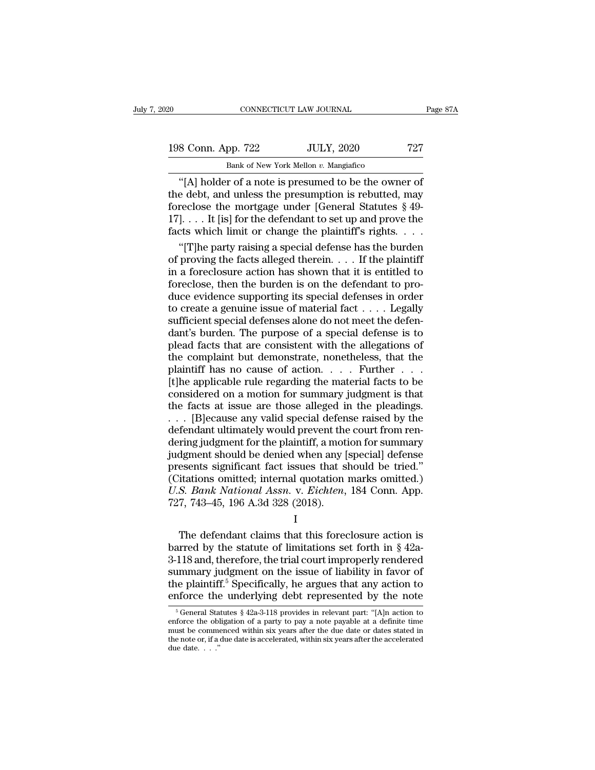| 20                 | CONNECTICUT LAW JOURNAL                              | Page 87A |
|--------------------|------------------------------------------------------|----------|
|                    |                                                      |          |
| 198 Conn. App. 722 | <b>JULY, 2020</b>                                    | 727      |
|                    | Bank of New York Mellon v. Mangiafico                |          |
|                    | "[A] holder of a note is presumed to be the owner of |          |

CONNECTICUT LAW JOURNAL Page 87<br>
8 Conn. App. 722 JULY, 2020 727<br>
Bank of New York Mellon v. Mangiafico<br>
"[A] holder of a note is presumed to be the owner of<br>
e debt, and unless the presumption is rebutted, may<br>
reclose th 198 Conn. App. 722 JULY, 2020 727<br>Bank of New York Mellon v. Mangiafico<br>"[A] holder of a note is presumed to be the owner of<br>the debt, and unless the presumption is rebutted, may<br>foreclose the mortgage under [General Statu 198 Conn. App. 722 JULY, 2020 727<br>
Bank of New York Mellon v. Mangiafico<br>
"[A] holder of a note is presumed to be the owner of<br>
the debt, and unless the presumption is rebutted, may<br>
foreclose the mortgage under [General 198 Conn. App. 722 JULY, 2020 727<br>
Bank of New York Mellon v. Mangiafico<br>
"[A] holder of a note is presumed to be the owner of<br>
the debt, and unless the presumption is rebutted, may<br>
foreclose the mortgage under [General For Coldit. Tipp. 122 **Books** 121, 2020<br>
Bank of New York Mellon v. Mangiafico<br>
"[A] holder of a note is presumed to be the owner of<br>
the debt, and unless the presumption is rebutted, may<br>
foreclose the mortgage under [Ge "[A] holder of a note is presumed to be the owner of<br>
e debt, and unless the presumption is rebutted, may<br>
reclose the mortgage under [General Statutes § 49-<br>
].... It [is] for the defendant to set up and prove the<br>
cts w "[A] holder of a note is presumed to be the owner of<br>the debt, and unless the presumption is rebutted, may<br>foreclose the mortgage under [General Statutes § 49-<br>17].... It [is] for the defendant to set up and prove the<br>fac

the debt, and unless the presumption is rebutted, may<br>foreclose the mortgage under [General Statutes  $\S$  49-<br>17].... It [is] for the defendant to set up and prove the<br>facts which limit or change the plaintiff's rights.... foreclose the mortgage under [General Statutes  $\S$  49-<br>17].... It [is] for the defendant to set up and prove the<br>facts which limit or change the plaintiff's rights....<br>"[T]he party raising a special defense has the burden 17].... It [is] for the defendant to set up and prove the<br>facts which limit or change the plaintiff's rights....<br>"[T]he party raising a special defense has the burden<br>of proving the facts alleged therein.... If the plaint facts which limit or change the plaintiff's rights. . . .<br>"[T]he party raising a special defense has the burden<br>of proving the facts alleged therein. . . . If the plaintiff<br>in a foreclosure action has shown that it is ent "[T]he party raising a special defense has the burden<br>of proving the facts alleged therein. . . . If the plaintiff<br>in a foreclosure action has shown that it is entitled to<br>foreclose, then the burden is on the defendant to of proving the facts alleged therein.  $\dots$  If the plaintiff<br>in a foreclosure action has shown that it is entitled to<br>foreclose, then the burden is on the defendant to pro-<br>duce evidence supporting its special defenses in in a foreclosure action has shown that it is entitled to<br>foreclose, then the burden is on the defendant to pro-<br>duce evidence supporting its special defenses in order<br>to create a genuine issue of material fact  $\dots$ . Legal foreclose, then the burden is on the defendant to produce evidence supporting its special defenses in order<br>to create a genuine issue of material fact  $\dots$ . Legally<br>sufficient special defenses alone do not meet the defenduce evidence supporting its special defenses in order<br>to create a genuine issue of material fact . . . . Legally<br>sufficient special defenses alone do not meet the defen-<br>dant's burden. The purpose of a special defense is to create a genuine issue of material fact . . . . Legally<br>sufficient special defenses alone do not meet the defen-<br>dant's burden. The purpose of a special defense is to<br>plead facts that are consistent with the allegation sufficient special defenses alone do not meet the defendant's burden. The purpose of a special defense is to plead facts that are consistent with the allegations of the complaint but demonstrate, nonetheless, that the plai dant's burden. The purpose of a special defense is to<br>plead facts that are consistent with the allegations of<br>the complaint but demonstrate, nonetheless, that the<br>plaintiff has no cause of action. . . . . Further . . .<br>[t] plead facts that are consistent with the allegations of<br>the complaint but demonstrate, nonetheless, that the<br>plaintiff has no cause of action. . . . . Further . . .<br>[t]he applicable rule regarding the material facts to be the complaint but demonstrate, nonetheless, that the plaintiff has no cause of action. . . . . Further . . . . [t]he applicable rule regarding the material facts to be considered on a motion for summary judgment is that t plaintiff has no cause of action. . . . . Further . . . .<br>[t]he applicable rule regarding the material facts to be considered on a motion for summary judgment is that<br>the facts at issue are those alleged in the pleadings.<br> If the applicable rule regarding the material facts to be considered on a motion for summary judgment is that the facts at issue are those alleged in the pleadings.<br>  $\ldots$  [B]ecause any valid special defense raised by the presented on a motion for summary judgment is that<br>the facts at issue are those alleged in the pleadings.<br>... [B]ecause any valid special defense raised by the<br>defendant ultimately would prevent the court from ren-<br>dering the facts at issue are those alleged in the pleadings.<br>  $\ldots$  [B]ecause any valid special defense raised by the<br>
defendant ultimately would prevent the court from ren-<br>
dering judgment for the plaintiff, a motion for summ *U.S.* Because any valid special defense raised by the defendant ultimately would prevent the court from rendering judgment for the plaintiff, a motion for summary judgment should be denied when any [special] defense prese defendant ultimately would prevent the<br>dering judgment for the plaintiff, a moti<br>judgment should be denied when any [<br>presents significant fact issues that si<br>(Citations omitted; internal quotation<br>U.S. Bank National Assn. Example in Should be defined when any [spectal] defense<br>esents significant fact issues that should be tried."<br>itations omitted; internal quotation marks omitted.)<br>S. Bank National Assn. v. Eichten, 184 Conn. App.<br>7, 743–4

I

presents significant fact issues that should be tried.<br>
(Citations omitted; internal quotation marks omitted.)<br>
U.S. Bank National Assn. v. Eichten, 184 Conn. App.<br>
727, 743–45, 196 A.3d 328 (2018).<br>
I<br>
The defendant claim U.S. *Bank National Assn.* v. *Eichten*, 184 Conn. App.<br>727, 743–45, 196 A.3d 328 (2018).<br>1<br>The defendant claims that this foreclosure action is<br>barred by the statute of limitations set forth in § 42a-<br>3-118 and, therefor U.S. Bank National Assn. V. Etchien, 184 Conn. App.<br>
727, 743–45, 196 A.3d 328 (2018).<br>
I<br>
The defendant claims that this foreclosure action is<br>
barred by the statute of limitations set forth in § 42a-<br>
3-118 and, therefo The defendant claims that this foreclosure action is<br>
barred by the statute of limitations set forth in § 42a-<br>
3-118 and, therefore, the trial court improperly rendered<br>
summary judgment on the issue of liability in favo I<br>
The defendant claims that this foreclosure action is<br>
barred by the statute of limitations set forth in § 42a-<br>
3-118 and, therefore, the trial court improperly rendered<br>
summary judgment on the issue of liability in f 118 and, therefore, the trial court improperly rendered<br>ummary judgment on the issue of liability in favor of<br>the plaintiff.<sup>5</sup> Specifically, he argues that any action to<br>force the underlying debt represented by the note<br> summary judgment on the issue of liability in favor of<br>the plaintiff.<sup>5</sup> Specifically, he argues that any action to<br>enforce the underlying debt represented by the note<br><sup>5</sup> General Statutes § 42a-3-118 provides in relevant

Suntinary judgment on the issue of hability in favor of<br>the plaintiff.<sup>5</sup> Specifically, he argues that any action to<br>enforce the underlying debt represented by the note<br> $\frac{1}{2}$ <br> $\frac{1}{2}$ <br> $\frac{1}{2}$ <br> $\frac{1}{2}$  General Stat the plaintiff.<sup>5</sup> Specifically, he argues that any action to enforce the underlying debt represented by the note  $\frac{1}{\sqrt{5}}$  General Statutes § 42a-3-118 provides in relevant part: "[A]n action to enforce the obligation **enforce** the  $\frac{1}{6}$  General Sta enforce the oble must be commented the note or, if a due date....."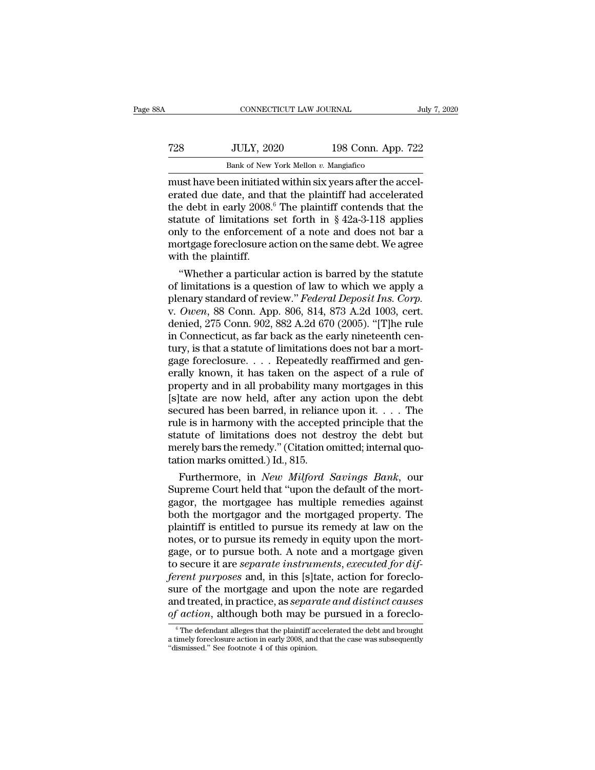| 8A  | CONNECTICUT LAW JOURNAL                                    |                    | July 7, 2020 |
|-----|------------------------------------------------------------|--------------------|--------------|
| 728 | <b>JULY, 2020</b>                                          | 198 Conn. App. 722 |              |
|     | Bank of New York Mellon v. Mangiafico                      |                    |              |
|     | must have been initiated within six years after the accel- |                    |              |

CONNECTICUT LAW JOURNAL<br>
TO MULY, 2020 198 Conn. App. 722<br>
Bank of New York Mellon v. Mangiafico<br>
must have been initiated within six years after the accelerated<br>
erated due date, and that the plaintiff had accelerated<br>
th Fractional Hall and that the plaintiff had accelerated due date, and that the plaintiff had accelerated the debt in early  $2008.6$  The plaintiff contends that the statute of limitations set forth in  $8.422-3.118$  applies T28 JULY, 2020 198 Conn. App. 722<br>
Bank of New York Mellon v. Mangiafico<br>
must have been initiated within six years after the accelerated<br>
erated due date, and that the plaintiff had accelerated<br>
the debt in early 2008.<sup>6</sup> T28 JULY, 2020 198 Conn. App. 722<br>Bank of New York Mellon v. Mangiafico<br>must have been initiated within six years after the accel-<br>erated due date, and that the plaintiff had accelerated<br>the debt in early 2008.<sup>6</sup> The pla Bank of New York Mellon v. Mangiafico<br>
must have been initiated within six years after the accelerated<br>
the debt in early 2008.<sup>6</sup> The plaintiff had accelerated<br>
the debt in early 2008.<sup>6</sup> The plaintiff contends that the<br> Bank of New York Mellon v. Mangiafico<br>must have been initiated within six years after the accelerated<br>due date, and that the plaintiff had accelerated<br>the debt in early 2008.<sup>6</sup> The plaintiff contends that the<br>statute of must have been initiated within six years after the accelerated due date, and that the plaintiff had accelerated the debt in early  $2008.<sup>6</sup>$  The plaintiff contends that the statute of limitations set forth in  $\frac{6}{4}$ ated due date, and that the plaintiff nad accelerated<br>
e debt in early 2008.<sup>6</sup> The plaintiff contends that the<br>
atute of limitations set forth in § 42a-3-118 applies<br>
ly to the enforcement of a note and does not bar a<br>
o the debt in early 2008. The plaintiff contends that the<br>statute of limitations set forth in § 42a-3-118 applies<br>only to the enforcement of a note and does not bar a<br>mortgage foreclosure action on the same debt. We agree<br>w

statute of limitations set forth in § 42a-3-118 applies<br>only to the enforcement of a note and does not bar a<br>mortgage foreclosure action on the same debt. We agree<br>with the plaintiff.<br>"Whether a particular action is barred only to the enforcement of a note and does not bar a<br>mortgage foreclosure action on the same debt. We agree<br>with the plaintiff.<br>"Whether a particular action is barred by the statute<br>of limitations is a question of law to w mortgage foreclosure action on the same debt. We agree<br>with the plaintiff.<br>"Whether a particular action is barred by the statute<br>of limitations is a question of law to which we apply a<br>plenary standard of review." *Federal* with the plaintiff.<br>
"Whether a particular action is barred by the statute<br>
of limitations is a question of law to which we apply a<br>
plenary standard of review." *Federal Deposit Ins. Corp.*<br>
v. *Owen*, 88 Conn. App. 806, "Whether a particular action is barred by the statute<br>of limitations is a question of law to which we apply a<br>plenary standard of review." *Federal Deposit Ins. Corp.*<br>v. Owen, 88 Conn. App. 806, 814, 873 A.2d 1003, cert. of limitations is a question of law to which we apply a<br>plenary standard of review." *Federal Deposit Ins. Corp.*<br>v. *Owen*, 88 Conn. App. 806, 814, 873 A.2d 1003, cert.<br>denied, 275 Conn. 902, 882 A.2d 670 (2005). "[T]he r plenary standard of review." *Federal Deposit Ins. Corp.*<br>v. *Owen*, 88 Conn. App. 806, 814, 873 A.2d 1003, cert.<br>denied, 275 Conn. 902, 882 A.2d 670 (2005). "[T]he rule<br>in Connecticut, as far back as the early nineteenth v. Owen, 88 Conn. App. 806, 814, 873 A.2d 1003, cert.<br>denied, 275 Conn. 902, 882 A.2d 670 (2005). "[T]he rule<br>in Connecticut, as far back as the early nineteenth cen-<br>tury, is that a statute of limitations does not bar a m denied, 275 Conn. 902, 882 A.2d 670 (2005). "[T]he rule<br>in Connecticut, as far back as the early nineteenth cen-<br>tury, is that a statute of limitations does not bar a mort-<br>gage foreclosure. . . . Repeatedly reaffirmed an in Connecticut, as far back as the early nineteenth century, is that a statute of limitations does not bar a mortgage foreclosure. . . . Repeatedly reaffirmed and generally known, it has taken on the aspect of a rule of p tury, is that a statute of limitations does not bar a mortgage foreclosure. . . . Repeatedly reaffirmed and generally known, it has taken on the aspect of a rule of property and in all probability many mortgages in this [ gage foreclosure.... Repeatedly reaffirmed and generally known, it has taken on the aspect of a rule of property and in all probability many mortgages in this [s]tate are now held, after any action upon the debt secured h erally known, it has taken on the aspect of a rule of property and in all probability many mortgages in this [s]tate are now held, after any action upon the debt secured has been barred, in reliance upon it.  $\ldots$  The rul property and in all probability man<br>[s]tate are now held, after any ac<br>secured has been barred, in relianc<br>rule is in harmony with the accepte<br>statute of limitations does not de<br>merely bars the remedy." (Citation o<br>tation tate are now held, after any action upon the debt<br>cured has been barred, in reliance upon it. . . . The<br>le is in harmony with the accepted principle that the<br>atutte of limitations does not destroy the debt but<br>erely bars t secured nas been barred, in renance upon it.  $\ldots$  The<br>rule is in harmony with the accepted principle that the<br>statute of limitations does not destroy the debt but<br>merely bars the remedy." (Citation omitted; internal quo-

rule is in narmony with the accepted principle that the<br>statute of limitations does not destroy the debt but<br>merely bars the remedy." (Citation omitted; internal quo-<br>tation marks omitted.) Id., 815.<br>Furthermore, in *New M* statute of limitations does not destroy the debt but<br>merely bars the remedy." (Citation omitted; internal quo-<br>tation marks omitted.) Id., 815.<br>Furthermore, in *New Milford Savings Bank*, our<br>Supreme Court held that "upon merely bars the remedy." (Citation omitted; internal quotation marks omitted.) Id., 815.<br>
Furthermore, in *New Milford Savings Bank*, our<br>
Supreme Court held that "upon the default of the mort-<br>
gagor, the mortgagee has m ration marks omitted.) id., 815.<br>Furthermore, in *New Milford Savings Bank*, our<br>Supreme Court held that "upon the default of the mort-<br>gagor, the mortgagee has multiple remedies against<br>both the mortgagor and the mortgage Furthermore, in *New Milford Savings Bank*, our<br>Supreme Court held that "upon the default of the mort-<br>gagor, the mortgagee has multiple remedies against<br>both the mortgagor and the mortgaged property. The<br>plaintiff is enti Supreme Court held that "upon the default of the mortgagor, the mortgagee has multiple remedies against both the mortgagor and the mortgaged property. The plaintiff is entitled to pursue its remedy at law on the mortgage, gagor, the mortgagee has multiple remedies against<br>both the mortgagor and the mortgaged property. The<br>plaintiff is entitled to pursue its remedy at law on the<br>notes, or to pursue its remedy in equity upon the mort-<br>gage, o both the mortgagor and the mortgaged property. The<br>plaintiff is entitled to pursue its remedy at law on the<br>notes, or to pursue its remedy in equity upon the mort-<br>gage, or to pursue both. A note and a mortgage given<br>to se plaintiff is entitled to pursue its remedy at law on the<br>notes, or to pursue its remedy in equity upon the mort-<br>gage, or to pursue both. A note and a mortgage given<br>to secure it are *separate instruments*, *executed for d* notes, or to pursue its remedy in equity upon the mortgage, or to pursue both. A note and a mortgage given to secure it are *separate instruments, executed for dif-ferent purposes* and, in this [s]tate, action for foreclo-Frent purposes and, in this [s]tate, action for foreclo-<br>ire of the mortgage and upon the note are regarded<br>and treated, in practice, as *separate and distinct causes*<br> $f$  *action*, although both may be pursued in a forec sure of the mortgage and upon the note are regarded and treated, in practice, as *separate and distinct causes* of *action*, although both may be pursued in a foreclo-<br>  $\frac{1}{6}$  The defendant alleges that the plaintiff a Sure of the mortgage and upon<br>
and treated, in practice, as *separe*<br>
of action, although both may be<br>
<sup>6</sup> The defendant alleges that the plaintiff as<br>
a timely foreclosure action in early 2008, and<br>
"dismissed." See footn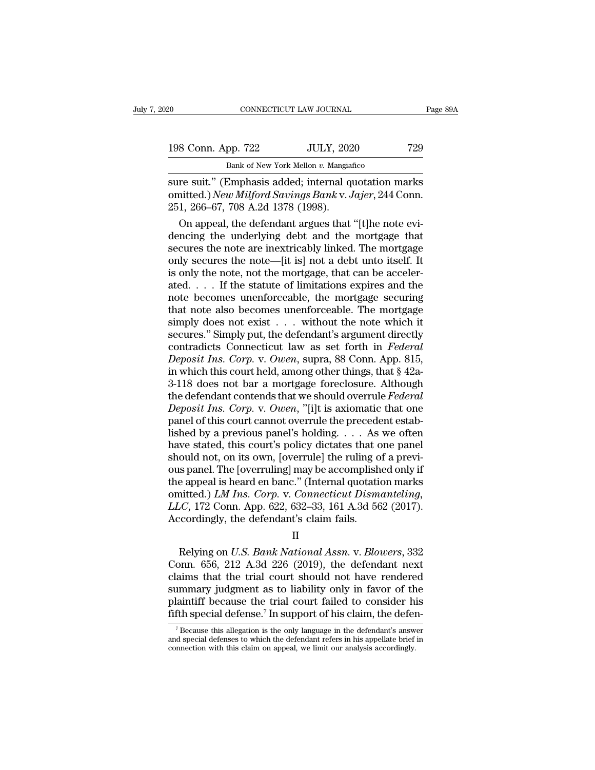| 20                                                     | CONNECTICUT LAW JOURNAL               | Page 89A |
|--------------------------------------------------------|---------------------------------------|----------|
| 198 Conn. App. 722                                     | <b>JULY, 2020</b>                     | 729      |
|                                                        | Bank of New York Mellon v. Mangiafico |          |
| sure suit " (Emphasis added: internal quotation marks) |                                       |          |

sure suit.'' (Emphasis added; internal quotation marks 198 Conn. App. 722 JULY, 2020 729<br>Bank of New York Mellon v. Mangiafico<br>sure suit." (Emphasis added; internal quotation marks<br>omitted.) *New Milford Savings Bank* v. *Jajer*, 244 Conn.<br>251, 266–67, 708 A.2d 1378 (1998). 198 Conn. App. 722 JULY, 202<br>
Bank of New York Mellon v. Mangial<br>
sure suit." (Emphasis added; internal qu<br>
omitted.) New Milford Savings Bank v. J<br>
251, 266–67, 708 A.2d 1378 (1998).<br>
On appeal, the defendant argues that 8 Conn. App. 722 JULY, 2020 729<br>
Bank of New York Mellon v. Mangiafico<br>
re suit." (Emphasis added; internal quotation marks<br>
nitted.) New Milford Savings Bank v. Jajer, 244 Conn.<br>
1, 266–67, 708 A.2d 1378 (1998).<br>
On appea

Bank of New York Mellon v. Mangiafico<br>
sure suit." (Emphasis added; internal quotation marks<br>
omitted.) *New Milford Savings Bank v. Jajer*, 244 Conn.<br>
251, 266–67, 708 A.2d 1378 (1998).<br>
On appeal, the defendant argues t sure suit." (Emphasis added; internal quotation marks<br>omitted.) New Milford Savings Bank v. Jajer, 244 Conn.<br>251, 266–67, 708 A.2d 1378 (1998).<br>On appeal, the defendant argues that "[t]he note evi-<br>dencing the underlying d sure suit." (Emphasis added; internal quotation marks<br>omitted.) *New Milford Savings Bank v. Jajer*, 244 Conn.<br>251, 266–67, 708 A.2d 1378 (1998).<br>On appeal, the defendant argues that "[t]he note evi-<br>dencing the underlying omitted.) New Milford Savings Bank v. Jajer, 244 Conn.<br>251, 266–67, 708 A.2d 1378 (1998).<br>On appeal, the defendant argues that "[t]he note evi-<br>dencing the underlying debt and the mortgage that<br>secures the note are inextr 251, 266–67, 708 A.2d 1378 (1998).<br>
On appeal, the defendant argues that "[t]he note evi-<br>
dencing the underlying debt and the mortgage that<br>
secures the note are inextricably linked. The mortgage<br>
only secures the note—[i On appeal, the defendant argues that "[t]he note evi-<br>dencing the underlying debt and the mortgage that<br>secures the note are inextricably linked. The mortgage<br>only secures the note—[it is] not a debt unto itself. It<br>is on dencing the underlying debt and the mortgage that<br>secures the note are inextricably linked. The mortgage<br>only secures the note—[it is] not a debt unto itself. It<br>is only the note, not the mortgage, that can be acceler-<br>at secures the note are inextricably linked. The mortgage<br>only secures the note—[it is] not a debt unto itself. It<br>is only the note, not the mortgage, that can be acceler-<br>ated. . . . If the statute of limitations expires an only secures the note—[it is] not a debt unto itself. It<br>is only the note, not the mortgage, that can be acceler-<br>ated.... If the statute of limitations expires and the<br>note becomes unenforceable, the mortgage securing<br>th is only the note, not the mortgage, that can be accelerated. . . . . If the statute of limitations expires and the note becomes unenforceable, the mortgage securing that note also becomes unenforceable. The mortgage simpl ated. . . . . If the statute of limitations expires and the<br>note becomes unenforceable, the mortgage securing<br>that note also becomes unenforceable. The mortgage<br>simply does not exist . . . without the note which it<br>secures note becomes unenforceable, the mortgage securing<br>that note also becomes unenforceable. The mortgage<br>simply does not exist . . . without the note which it<br>secures." Simply put, the defendant's argument directly<br>contradicts that note also becomes unenforceable. The mortgage<br>simply does not exist . . . without the note which it<br>secures." Simply put, the defendant's argument directly<br>contradicts Connecticut law as set forth in *Federal*<br>Deposi simply does not exist . . . without the note which it<br>secures." Simply put, the defendant's argument directly<br>contradicts Connecticut law as set forth in *Federal*<br>Deposit Ins. Corp. v. Owen, supra, 88 Conn. App. 815,<br>in w **Example 12** Simply put, the defendant's argument directly<br>
contradicts Connecticut law as set forth in *Federal*<br> *Deposit Ins. Corp.* v. *Owen*, supra, 88 Conn. App. 815,<br>
in which this court held, among other things, th contradicts Connecticut law as set forth in *Federal*<br>*Deposit Ins. Corp.* v. *Owen*, supra, 88 Conn. App. 815,<br>in which this court held, among other things, that § 42a-<br>3-118 does not bar a mortgage foreclosure. Although<br> Deposit Ins. Corp. v. Owen, supra, 88 Conn. App. 815,<br>in which this court held, among other things, that § 42a-<br>3-118 does not bar a mortgage foreclosure. Although<br>the defendant contends that we should overrule *Federal*<br>D in which this court held, among other things, that  $\S$  42a-<br>3-118 does not bar a mortgage foreclosure. Although<br>the defendant contends that we should overrule *Federal*<br>Deposit Ins. Corp. v. Owen, "[i]t is axiomatic that 3-118 does not bar a mortgage foreclosure. Although<br>the defendant contends that we should overrule *Federal*<br>Deposit Ins. Corp. v. Owen, "[i]t is axiomatic that one<br>panel of this court cannot overrule the precedent estabthe defendant contends that we should overrule *Federal* Deposit Ins. Corp. v. Owen, "[i]t is axiomatic that one panel of this court cannot overrule the precedent established by a previous panel's holding.  $\dots$  As we ofte Deposit Ins. Corp. v. Owen, "[i]t is axiomatic that one<br>panel of this court cannot overrule the precedent estab-<br>lished by a previous panel's holding. . . . As we often<br>have stated, this court's policy dictates that one p panel of this court cannot overrule the precedent established by a previous panel's holding.  $\ldots$  As we often have stated, this court's policy dictates that one panel should not, on its own, [overrule] the ruling of a pr Lucker by a previous panel's holding. . . . . As we often<br>have stated, this court's policy dictates that one panel<br>should not, on its own, [overrule] the ruling of a previ-<br>ous panel. The [overruling] may be accomplished o have stated, this court's policy dictates that c<br>should not, on its own, [overrule] the ruling o<br>ous panel. The [overruling] may be accomplish<br>the appeal is heard en banc." (Internal quotatio<br>omitted.) *LM Ins. Corp.* v. rely appeal is heard en banc." (Internal quotation marks<br>nitted.) *LM Ins. Corp.* v. *Connecticut Dismanteling*,<br>i.C, 172 Conn. App. 622, 632–33, 161 A.3d 562 (2017).<br>ccordingly, the defendant's claim fails.<br>II<br>Relying on

### II

Example 15 heard off ballet. (Internal quotation marks<br>
omitted.) *LM Ins. Corp.* v. *Connecticut Dismanteling*,<br> *LLC*, 172 Conn. App. 622, 632–33, 161 A.3d 562 (2017).<br>
Accordingly, the defendant's claim fails.<br>
II<br>
Rely CLAIM THE TERRIFT OF THE TRIST CONDITIONS (2017).<br>
Accordingly, the defendant's claim fails.<br>
II<br>
Relying on U.S. Bank National Assn. v. Blowers, 332<br>
Conn. 656, 212 A.3d 226 (2019), the defendant next<br>
claims that the tr Superiories and the defendant's claim fails.<br>
II<br>
Relying on *U.S. Bank National Assn.* v. *Blowers*, 332<br>
Conn. 656, 212 A.3d 226 (2019), the defendant next<br>
claims that the trial court should not have rendered<br>
summary Freedoungry, the determinant 3 claim rans.<br>
II<br>
Relying on *U.S. Bank National Assn.* v. *Blowers*, 332<br>
Conn. 656, 212 A.3d 226 (2019), the defendant next<br>
claims that the trial court should not have rendered<br>
summary jud Figure 11 II<br>
Relying on *U.S. Bank National Assn.* v. *Blowers*, 332<br>
Conn. 656, 212 A.3d 226 (2019), the defendant next<br>
claims that the trial court should not have rendered<br>
summary judgment as to liability only in fav aims that the trial court should not have rendered<br>immary judgment as to liability only in favor of the<br>laintiff because the trial court failed to consider his<br>fth special defense.<sup>7</sup> In support of his claim, the defen-<br><sup>7</sup> summary judgment as to liability only in favor of the plaintiff because the trial court failed to consider his fifth special defense.<sup>7</sup> In support of his claim, the defendant's appellate brief in  $\frac{1}{\pi}$  Because this summary judgment as to hability only in favor of the<br>plaintiff because the trial court failed to consider hifth special defense.<sup>7</sup> In support of his claim, the defen<br><sup>7</sup> Because this allegation is the only language in the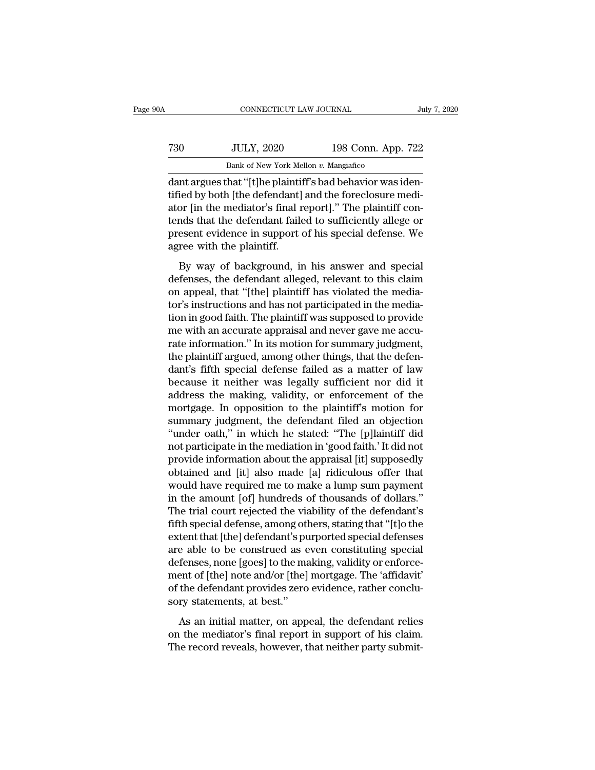| 0A  | CONNECTICUT LAW JOURNAL               |                    | July 7, 2020 |
|-----|---------------------------------------|--------------------|--------------|
| 730 | <b>JULY, 2020</b>                     | 198 Conn. App. 722 |              |
|     | Bank of New York Mellon v. Mangiafico |                    |              |

CONNECTICUT LAW JOURNAL<br>
Bank of New York Mellon *v.* Mangiafico<br>
dant argues that "[t]he plaintiff's bad behavior was iden-<br>
tified by both [the defendant] and the foreclosure medi-<br>
tor [in the mediator's final report] " The Times of New York Mellon v. Mangiafico<br>Bank of New York Mellon v. Mangiafico<br>dant argues that "[t]he plaintiff's bad behavior was identified by both [the defendant] and the foreclosure medi-<br>ator [in the mediator's fin  $\begin{array}{lll}\n\text{730} & \text{JULY, } 2020 & \text{198 Conn. App. 722} \\
\hline\n\text{Bank of New York Mellon } v. \text{ Mangiafico} \\
\text{dant argues that "[t]he plaintiff's bad behavior was identified by both [the defendant] and the foreclosure mediator [in the mediator's final report]." The plaintiff contents that the defendant failed to sufficiently alleged or present evidence in support of his special defense. We\n\end{array}$ Tata and the defendant  $\frac{198 \text{ Conn.} \text{ App. } 722}{\text{Bank of New York Mellon } v. \text{ Mangiafico}}$ <br>
dant argues that "[t]he plaintiff's bad behavior was identified by both [the defendant] and the foreclosure mediator [in the mediator's final report]." Bank of New York Mellon  $v$ . Mangiafico<br>dant argues that "[t]he plaintiff's bad behavior was iden-<br>tified by both [the defendant] and the foreclosure medi-<br>ator [in the mediator's final report]." The plaintiff con-<br>tends Bank of New York Me<br>dant argues that "[t]he plainti:<br>tified by both [the defendant]<br>ator [in the mediator's final r<br>tends that the defendant faile<br>present evidence in support<br>agree with the plaintiff.<br>By way of background, Figure 2022 and 1970 planting 3 state strategies that its state.<br>
Hed by both [the defendant] and the foreclosure medi-<br>
or [in the mediator's final report]." The plaintiff con-<br>
nds that the defendant failed to sufficient and the mediator's final report]." The plaintiff contends that the defendant failed to sufficiently allege or<br>present evidence in support of his special defense. We<br>agree with the plaintiff.<br>By way of background, in his an

above the distribution of the mediator of the defendant failed to sufficiently allege or present evidence in support of his special defense. We agree with the plaintiff.<br>By way of background, in his answer and special defe torial that the deterministic conducted in support of his special defense. We agree with the plaintiff.<br>By way of background, in his answer and special defenses, the defendant alleged, relevant to this claim<br>on appeal, tha Example is the plaintiff.<br>By way of background, in his answer and special<br>defenses, the defendant alleged, relevant to this claim<br>on appeal, that "[the] plaintiff has violated the media-<br>tor's instructions and has not part By way of background, in his answer and special<br>defenses, the defendant alleged, relevant to this claim<br>on appeal, that "[the] plaintiff has violated the media-<br>tor's instructions and has not participated in the media-<br>tio By way of background, in his answer and special<br>defenses, the defendant alleged, relevant to this claim<br>on appeal, that "[the] plaintiff has violated the media-<br>tor's instructions and has not participated in the media-<br>tio defenses, the defendant alleged, relevant to this claim<br>on appeal, that "[the] plaintiff has violated the media-<br>tor's instructions and has not participated in the media-<br>tion in good faith. The plaintiff was supposed to p on appeal, that "[the] plaintiff has violated the media-<br>tor's instructions and has not participated in the media-<br>tion in good faith. The plaintiff was supposed to provide<br>me with an accurate appraisal and never gave me a tor's instructions and has not participated in the mediation in good faith. The plaintiff was supposed to provide<br>me with an accurate appraisal and never gave me accurate information." In its motion for summary judgment,<br>t tion in good faith. The plaintiff was supposed to provide<br>me with an accurate appraisal and never gave me accu-<br>rate information." In its motion for summary judgment,<br>the plaintiff argued, among other things, that the defe me with an accurate appraisal and never gave me accurate information." In its motion for summary judgment, the plaintiff argued, among other things, that the defendant's fifth special defense failed as a matter of law beca rate information." In its motion for summary judgment,<br>the plaintiff argued, among other things, that the defen-<br>dant's fifth special defense failed as a matter of law<br>because it neither was legally sufficient nor did it<br>a the plaintiff argued, among other things, that the defen-<br>dant's fifth special defense failed as a matter of law<br>because it neither was legally sufficient nor did it<br>address the making, validity, or enforcement of the<br>mort dant's fifth special defense failed as a matter of law<br>because it neither was legally sufficient nor did it<br>address the making, validity, or enforcement of the<br>mortgage. In opposition to the plaintiff's motion for<br>summary because it neither was legally sufficient nor did it<br>address the making, validity, or enforcement of the<br>mortgage. In opposition to the plaintiff's motion for<br>summary judgment, the defendant filed an objection<br>"under oath, address the making, validity, or enforcement of the<br>mortgage. In opposition to the plaintiff's motion for<br>summary judgment, the defendant filed an objection<br>"under oath," in which he stated: "The [p]laintiff did<br>not partic mortgage. In opposition to the plaintiff's motion for<br>summary judgment, the defendant filed an objection<br>"under oath," in which he stated: "The [p]laintiff did<br>not participate in the mediation in 'good faith.' It did not<br>p summary judgment, the defendant filed an objection<br>"under oath," in which he stated: "The [p]laintiff did<br>not participate in the mediation in 'good faith.' It did not<br>provide information about the appraisal [it] supposedly "under oath," in which he stated: "The [p]laintiff did<br>not participate in the mediation in 'good faith.' It did not<br>provide information about the appraisal [it] supposedly<br>obtained and [it] also made [a] ridiculous offer t not participate in the mediation in 'good faith.' It did not<br>provide information about the appraisal [it] supposedly<br>obtained and [it] also made [a] ridiculous offer that<br>would have required me to make a lump sum payment<br>i provide information about the appraisal [it] supposedly<br>obtained and [it] also made [a] ridiculous offer that<br>would have required me to make a lump sum payment<br>in the amount [of] hundreds of thousands of dollars."<br>The tria obtained and [it] also made [a] ridiculous offer that<br>would have required me to make a lump sum payment<br>in the amount [of] hundreds of thousands of dollars."<br>The trial court rejected the viability of the defendant's<br>fifth would have required me to make a lump sum payment<br>in the amount [of] hundreds of thousands of dollars."<br>The trial court rejected the viability of the defendant's<br>fifth special defense, among others, stating that "[t]o the<br> in the amount [of] hundreds of thousands of dollars."<br>The trial court rejected the viability of the defendant's<br>fifth special defense, among others, stating that "[t]o the<br>extent that [the] defendant's purported special de The trial court rejected the viability of the defendant's<br>fifth special defense, among others, stating that "[t]o the<br>extent that [the] defendant's purported special defenses<br>are able to be construed as even constituting s fifth special defense, among otlextent that [the] defendant's pu<br>are able to be construed as e<br>defenses, none [goes] to the ma<br>ment of [the] note and/or [the]<br>of the defendant provides zero<br>sory statements, at best.''<br>As a e able to be construed as even constituting special<br>fenses, none [goes] to the making, validity or enforce-<br>ent of [the] note and/or [the] mortgage. The 'affidavit'<br>the defendant provides zero evidence, rather conclu-<br>ry s defenses, none [goes] to the making, validity or enforce-<br>ment of [the] note and/or [the] mortgage. The 'affidavit'<br>of the defendant provides zero evidence, rather conclu-<br>sory statements, at best."<br>As an initial matter, o ment of [the] note and/or [the] mortgage. The 'affidavit'<br>of the defendant provides zero evidence, rather conclu-<br>sory statements, at best."<br>As an initial matter, on appeal, the defendant relies<br>on the mediator's final rep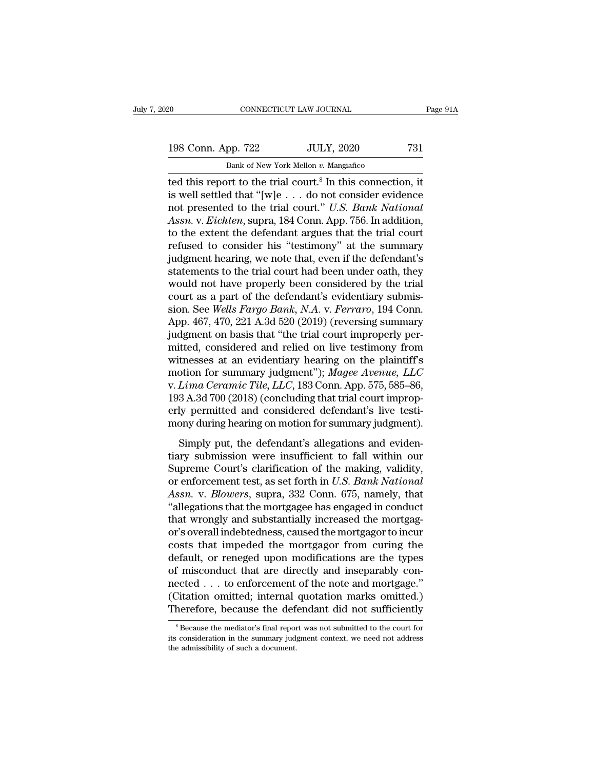EXECUTE CONNECTICUT LAW JOURNAL Page 91A<br>198 Conn. App. 722 JULY, 2020 731<br>Bank of New York Mellon v. Mangiafico EXECTICUT LAW JOURNAL<br>Bank of New York Mellon *v. Mangiafico*<br>Bank of New York Mellon *v. Mangiafico*<br>Art to the trial court <sup>8</sup> In this connection

Fage 91/<br>
198 Conn. App. 722 JULY, 2020 731<br>
Bank of New York Mellon v. Mangiafico<br>
ted this report to the trial court.<sup>8</sup> In this connection, it<br>
is well settled that "[w]e . . . do not consider evidence<br>
not presented to 198 Conn. App. 722 JULY, 2020 731<br>
Bank of New York Mellon v. Mangiafico<br>
ted this report to the trial court.<sup>8</sup> In this connection, it<br>
is well settled that "[w]e . . . do not consider evidence<br>
not presented to the trial 198 Conn. App. 722 JULY, 2020 731<br>
Bank of New York Mellon v. Mangiafico<br>
ted this report to the trial court.<sup>8</sup> In this connection, it<br>
is well settled that "[w]e . . . do not consider evidence<br>
not presented to the trial <sup>298</sup> Conn. App. 722 *JULY*, 2020 731<br>
<sup>Bank of New York Mellon *v*. Mangiafico<br> **Eichter** this report to the trial court.<sup>8</sup> In this connection, it<br>
is well settled that "[w]e . . . do not consider evidence<br>
not presented</sup> Bank of New York Mellon v. Mangiafico<br>
ted this report to the trial court.<sup>8</sup> In this connection, it<br>
is well settled that "[w]e . . . do not consider evidence<br>
not presented to the trial court." U.S. Bank National<br>
Assn. Bank of New York Mellon v. Mangalaco<br>ted this report to the trial court.<sup>8</sup> In this connection, it<br>is well settled that "[w]e . . . do not consider evidence<br>not presented to the trial court." U.S. Bank National<br>Assn. v. E ted this report to the trial court.<sup>8</sup> In this connection, it<br>is well settled that "[w]e  $\dots$  do not consider evidence<br>not presented to the trial court." U.S. Bank National<br>Assn. v. Eichten, supra, 184 Conn. App. 756. In is well settled that "[w]e  $\ldots$  do not consider evidence<br>not presented to the trial court." U.S. Bank National<br>Assn. v. Eichten, supra, 184 Conn. App. 756. In addition,<br>to the extent the defendant argues that the trial c not presented to the trial court." U.S. Bank National<br>Assn. v. Eichten, supra, 184 Conn. App. 756. In addition,<br>to the extent the defendant argues that the trial court<br>refused to consider his "testimony" at the summary<br>ju Assn. v. *Eichten*, supra, 184 Conn. App. 756. In addition,<br>to the extent the defendant argues that the trial court<br>refused to consider his "testimony" at the summary<br>judgment hearing, we note that, even if the defendant' to the extent the defendant argues that the trial court<br>refused to consider his "testimony" at the summary<br>judgment hearing, we note that, even if the defendant's<br>statements to the trial court had been under oath, they<br>wou refused to consider his "testimony" at the summary<br>judgment hearing, we note that, even if the defendant's<br>statements to the trial court had been under oath, they<br>would not have properly been considered by the trial<br>court judgment hearing, we note that, even if the defendant's statements to the trial court had been under oath, they would not have properly been considered by the trial court as a part of the defendant's evidentiary submission statements to the trial court had been under oath, they<br>would not have properly been considered by the trial<br>court as a part of the defendant's evidentiary submis-<br>sion. See Wells Fargo Bank, N.A. v. Ferraro, 194 Conn.<br>App would not have properly been considered by the trial<br>court as a part of the defendant's evidentiary submis-<br>sion. See *Wells Fargo Bank*, *N.A.* v. *Ferraro*, 194 Conn.<br>App. 467, 470, 221 A.3d 520 (2019) (reversing summary court as a part of the defendant's evidentiary submis-<br>sion. See *Wells Fargo Bank*, *N.A.* v. *Ferraro*, 194 Conn.<br>App. 467, 470, 221 A.3d 520 (2019) (reversing summary<br>judgment on basis that "the trial court improperly p sion. See *Wells Fargo Bank*, *N.A.* v. *Ferraro*, 194 Conn.<br>App. 467, 470, 221 A.3d 520 (2019) (reversing summary<br>judgment on basis that "the trial court improperly per-<br>mitted, considered and relied on live testimony fro App. 467, 470, 221 A.3d 520 (2019) (reversing summary<br>judgment on basis that "the trial court improperly per-<br>mitted, considered and relied on live testimony from<br>witnesses at an evidentiary hearing on the plaintiff's<br>mot judgment on basis that "the trial court improperly permitted, considered and relied on live testimony from witnesses at an evidentiary hearing on the plaintiff's motion for summary judgment"); *Magee Avenue, LLC* v. *Lima* mitted, considered and relied on live testimony from<br>witnesses at an evidentiary hearing on the plaintiff's<br>motion for summary judgment''); Magee Avenue, LLC<br>v. Lima Ceramic Tile, LLC, 183 Conn. App. 575, 585–86,<br>193 A.3d Simply put, the defendant's allegations and evidence and China Ceramic Tile, LLC, 183 Conn. App. 575, 585–86, 3 A.3d 700 (2018) (concluding that trial court improp-<br>ly permitted and considered defendant's live testi-<br>only the *action for summary judgment y, mayor Thomas,*  $\Delta E$ <br>v. *Lima Ceramic Tile, LLC*, 183 Conn. App. 575, 585–86, 193 A.3d 700 (2018) (concluding that trial court improperly permitted and considered defendant's live testi

Superior 1 at the making intervalse of the making intervalse of 193 A.3d 700 (2018) (concluding that trial court improperly permitted and considered defendant's live testimony during hearing on motion for summary judgment The Fig. 100 (2010) (concluding that that court improperly permitted and considered defendant's live testi-<br>mony during hearing on motion for summary judgment).<br>Simply put, the defendant's allegations and eviden-<br>tiary sub *Assn.* v. *Blowers*, superinteed and considered detendants five test mony during hearing on motion for summary judgment).<br>
Simply put, the defendant's allegations and evidentiary submission were insufficient to fall withi Simply put, the defendant's allegations and evidentiary submission were insufficient to fall within our Supreme Court's clarification of the making, validity, or enforcement test, as set forth in  $U.S. Bank National Assn$ . v. Blowers, su Simply put, the defendant's allegations and evidentiary submission were insufficient to fall within our Supreme Court's clarification of the making, validity, or enforcement test, as set forth in  $U.S. Bank National Assn. v. Blowers, supra, 332 Conn. 67$ tiary submission were insufficient to fall within our<br>Supreme Court's clarification of the making, validity,<br>or enforcement test, as set forth in *U.S. Bank National*<br>Assn. v. *Blowers*, supra, 332 Conn. 675, namely, that<br> Supreme Court's clarification of the making, validity,<br>or enforcement test, as set forth in *U.S. Bank National*<br>Assn. v. Blowers, supra, 332 Conn. 675, namely, that<br>"allegations that the mortgagee has engaged in conduct<br>t or enforcement test, as set forth in *U.S. Bank National*<br>Assn. v. *Blowers*, supra, 332 Conn. 675, namely, that<br>"allegations that the mortgagee has engaged in conduct<br>that wrongly and substantially increased the mortgag-<br> Assn. v. *Blowers*, supra, 332 Conn. 675, namely, that "allegations that the mortgagee has engaged in conduct that wrongly and substantially increased the mortgagor's overall indebtedness, caused the mortgagor to incurrec "allegations that the mortgagee has engaged in conduct<br>that wrongly and substantially increased the mortgag-<br>or's overall indebtedness, caused the mortgagor to incur<br>costs that impeded the mortgagor from curing the<br>defaul that wrongly and substantially increased the mortgag-<br>or's overall indebtedness, caused the mortgagor to incur<br>costs that impeded the mortgagor from curing the<br>default, or reneged upon modifications are the types<br>of miscon or's overall indebtedness, caused the mortgagor to incur<br>costs that impeded the mortgagor from curing the<br>default, or reneged upon modifications are the types<br>of misconduct that are directly and inseparably con-<br>nected . . Following that are directly and inseparably con-<br>ected  $\ldots$  to enforcement of the note and mortgage."<br>Citation omitted; internal quotation marks omitted.)<br>herefore, because the defendant did not sufficiently<br> $\frac{1}{8}$ <br>Be nected . . . to enforcement of the note and mortgage."<br>(Citation omitted; internal quotation marks omitted.)<br>Therefore, because the defendant did not sufficiently<br> $B_{\text{Because the mediator's final report was not submitted to the court for}$  its consideration in the summary jud

<sup>(</sup>Citation omitted; internal<br>Therefore, because the def<br><sup>8</sup>Because the mediator's final report<br>its consideration in the summary judge<br>the admissibility of such a document.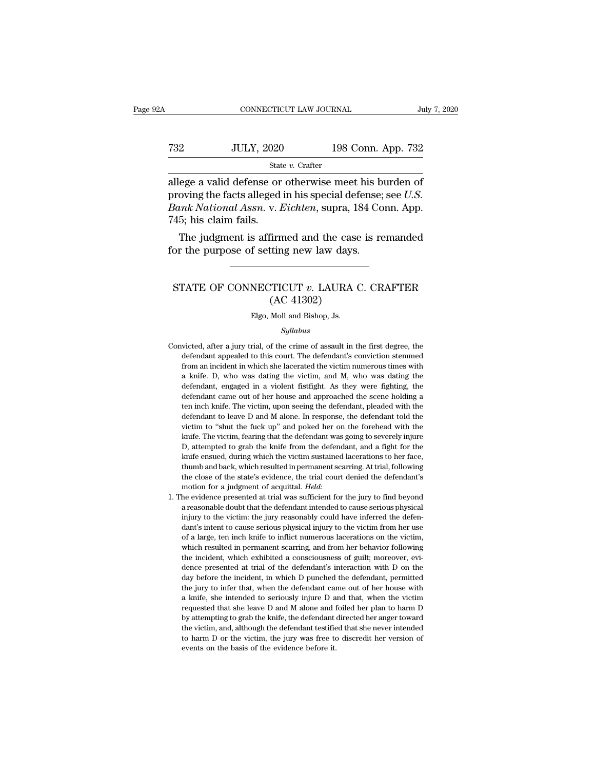# EXECUTE CONNECTICUT LAW JOURNAL July 7, 2020<br>
732 JULY, 2020 198 Conn. App. 732<br>
8tate v. Crafter State *v.* Crafter

CONNECTICUT LAW JOURNAL July 7, 2020<br>
T32 JULY, 2020 198 Conn. App. 732<br>
State v. Crafter<br>
allege a valid defense or otherwise meet his burden of<br>
proving the facts alleged in his special defense; see U.S.<br>
Bank National A From Table 2020<br>
proving the facts alleged in his special defense; see *U.S.*<br> *Bank National Assn.* v. *Eichten*, supra, 184 Conn. App.<br>
745: his claim fails *Bank National Assn.* v. *Eichten*, supra, 198 Conn. App. 732<br> **Bank National Assn.** v. *Eichten*, supra, 184 Conn. App. 745; his claim fails. T32 JULY, 2020<br>
stat<br>
allege a valid defense or<br>
proving the facts alleged<br>
Bank National Assn. v. 1<br>
745; his claim fails.<br>
The judgment is affirm State v. Crafter<br>
ege a valid defense or otherwise meet his burden of<br>
oving the facts alleged in his special defense; see  $U.S.$ <br>  $m k National Assn. v. Eichten, supra, 184 Conn. App.$ <br>
5; his claim fails.<br>
The judgment is affirmed and the case is rema For the purpose of otherwise meet his behaving the facts alleged in his special defense;<br>Bank National Assn. v. Eichten, supra, 184 Co<br>745; his claim fails.<br>The judgment is affirmed and the case is refor the purpose of set

# STATE OF CONNECTICUT *v*. LAURA C. CRAFTER<br>
The judgment is affirmed and the case is remanded<br>
or the purpose of setting new law days.<br>
STATE OF CONNECTICUT *v*. LAURA C. CRAFTER<br>
(AC 41302) firmed and the case<br>tting new law days.<br>TICUT v. LAURA (<br>(AC 41302)<br>Moll and Bishop, Js. STATE OF CONNECTICUT  $v$ . LAURA C. CRAFTER<br>(AC 41302)<br>Elgo, Moll and Bishop, Js.

### *Syllabus*

- STATE OF CONNECTICUT *V*. LAURA C. CRAFTER (AC 41302)<br>
Elgo, Moll and Bishop, Js.<br>
Syllabus<br>
Convicted, after a jury trial, of the crime of assault in the first degree, the<br>
defendant appealed to this court. The defendant  $(AC 41302)$ <br>Elgo, Moll and Bishop, Js.<br>Syllabus<br>victed, after a jury trial, of the crime of assault in the first degree, the<br>defendant appealed to this court. The defendant's conviction stemmed<br>from an incident in which s Elgo, Moll and Bishop, Js.<br>
Syllabus<br>
victed, after a jury trial, of the crime of assault in the first degree, the<br>
defendant appealed to this court. The defendant's conviction stemmed<br>
from an incident in which she lacera *Syllabus*<br>*Syllabus*<br>wicted, after a jury trial, of the crime of assault in the first degree, the<br>defendant appealed to this court. The defendant's conviction stemmed<br>from an incident in which she lacerated the victim num *Syllabus*<br>*Syllabus*<br>victed, after a jury trial, of the crime of assault in the first degree, the<br>defendant appealed to this court. The defendant's conviction stemmed<br>from an incident in which she lacerated the victim num victed, after a jury trial, of the crime of assault in the first degree, the defendant appealed to this court. The defendant's conviction stemmed from an incident in which she lacerated the victim numerous times with a kni The viction, then a years and the victim, the defendant and the staglete, the defendant appealed to this court. The defendant's conviction stemmed from an incident in which she lacerated the victim numerous times with a kn definant appearation and Court. The defendant is conviction standard from an incident in which she lacerated the victim numerous times with a knife. D, who was dating the victim, and M, who was dating the defendant, engage The fuck up and M alone. The fuck up and M alone the fuck up the defendant, engaged in a violent fistfight. As they were fighting, the defendant came out of her house and approached the scene holding a ten inch knife. The defendant, engaged in a violent fistfight. As they were fighting, the defendant, engaged in a violent fistfight. As they were fighting, the defendant came out of her house and approached the scene holding a ten inch knife. defendant, engaged in a violent instagnt. The dry were righting, the defendant came out of her house and approached the scene holding a ten inch knife. The victim, upon seeing the defendant, pleaded with the defendant to l definant clane of the house and approached are seen holding to the inch knife. The victim, upon seeing the defendant, pleaded with the defendant to leave D and M alone. In response, the defendant told the victim to "shut t the defendant to leave D and M alone. In response, the defendant to the victim to "shut the fuck up" and poked her on the forehead with the knife. The victim, fearing that the defendant was going to severely injure D, atte determinate of eact *D* and *n* above. In response, are determined too die victim to "shut the fuck up" and poked her on the forehead with the knife. The victim, fearing that the defendant was going to severely injure D, a knife. The victim, fearing that the defendant was going to severely injure D, attempted to grab the knife from the defendant, and a fight for the knife ensued, during which the victim sustained lacerations to her face, thu  $\mu$ , attempted to glub and hier from and defendant, and a right for the knife ensued, during which the victim sustained lacerations to her face, thumb and back, which resulted in permanent scarring. At trial, following t
- % knife ensued, during which the victim sustained lacerations to her face, thumb and back, which resulted in permanent scarring. At trial, following the close of the state's evidence, the trial court denied the defendant' dantly and back, which restated in permittent setting. Fit that, following<br>the close of the state's evidence, the trial court denied the defendant's<br>motion for a judgment of acquittal. *Held*:<br>he evidence presented at tria and the evidence presented at trial was sufficient for the jury to find beyond a reasonable doubt that the defendant intended to cause serious physical injury to the victim: the jury reasonably could have inferred the defe model for a jaagnetic of acquitant for the jury to find beyond<br>he evidence presented at trial was sufficient for the jury to find beyond<br>a reasonable doubt that the defendant intended to cause serious physical<br>injury to th a reasonable doubt that the defendant intended to cause serious physical<br>injury to the victim: the jury reasonably could have inferred the defen-<br>dant's intent to cause serious physical injury to the victim from her use<br>o dence presented at trial of the defendant's interaction with D on the defendant's intent to cause serious physical injury to the victim from her use of a large, ten inch knife to inflict numerous lacerations on the victim, day before the incident, in which punched the defendant, permitted at defendant's intent to cause serious physical injury to the victim from her use of a large, ten inch knife to inflict numerous lacerations on the victim, data is finct to clade schools physical hijdly to the victim hometa as<br>of a large, ten inch knife to inflict numerous lacerations on the victim,<br>which resulted in permanent scarring, and from her behavior following<br>the inc a knife, she intended to seriously injure D and the victime presented that she incident, which exhibited a consciousness of guilt; moreover, evidence presented at trial of the defendant's interaction with D on the day befo which resulted in permantent searing, and non-ten-benavior bolowing<br>the incident, which exhibited a consciousness of guilt; moreover, evi-<br>dence presented at trial of the defendant's interaction with D on the<br>day before th the metal of the defendant's interaction with D on the day before the incident, in which D punched the defendant, permitted the jury to infer that, when the defendant came out of her house with a knife, she intended to ser day before the incident, in which D punched the defendant, permitted the jury to infer that, when the defendant came out of her house with a knife, she intended to seriously injure D and that, when the victim requested tha day before are increasing, in which D partenced are determinant, permitted the jury to infer that, when the defendant came out of her house with a knife, she intended to seriously injure D and that, when the victim request at shift, the basis of the basis of the basis of the basis of the basis of the basis of the evidence basis of the evidence before it.<br>The basis of the evidence basis of the evidence before it.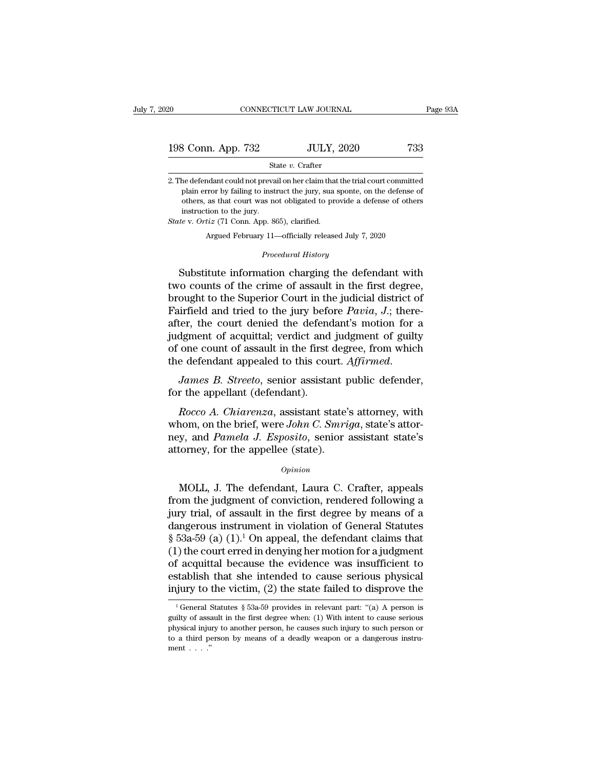# EXECUTE 2000 CONNECTICUT LAW JOURNAL Page 93A<br>198 Conn. App. 732 JULY, 2020 733<br>State v. Crafter

State *v.* Crafter

2. The defendant could not prevail on her claim that the trial court committed<br>2. The defendant could not prevail on her claim that the trial court committed<br>plain error by failing to instruct the jury, sua sponte, on the  $\frac{3 \text{ Conn. App. 732}}{\text{State } v. \text{ Crafter}}$ <br>
he defendant could not prevail on her claim that the trial court committed<br>
plain error by failing to instruct the jury, sua sponte, on the defense of<br>
others, as that court was not obliga **Solution** Compact State v. Crafter<br>
State v. Crafter<br>
To defendant could not prevail on her claim that the trial court committed<br>
plain error by failing to instruct the jury, sua sponte, on the defense of<br>
others, as tha instruction of the defendant could not prevail<br>plain error by failing to instruction<br>others, as that court was no<br>instruction to the jury.<br>e v. Ortiz (71 Conn. App. 8 State *v*. Crafter<br>2. The defendant could not prevail on her claim that<br>plain error by failing to instruct the jury, sua s<br>others, as that court was not obligated to pre<br>instruction to the jury.<br>*State* v. *Ortiz* (71 Conn Argued February 11—officially released July 7, 2020<br>The argued February 11—officially release of other<br>tion to the jury.<br>This is that court was not obligated to provide a defense of other<br>tion to the jury.<br>The S65), clarif % others, as that court was not obligated to provide a defense of others<br>
instruction to the jury.<br> *Procedural History*<br> *Procedural History*<br> **Procedural History**<br> **Procedural History**<br> **Procedural History**<br> **Procedural** 

plant chor by laming to instruct the Jury, sua sponte, of the defense of others<br>of others, as that court was not obligated to provide a defense of others<br>instruction to the jury.<br>*Lev. Ortiz* (71 Conn. App. 865), clarified instruction to the jury.<br>
State v. Ortiz (71 Conn. App. 865), clarified.<br>
Argued February 11—officially released July 7, 2020<br>
Procedural History<br>
Substitute information charging the defendant with<br>
two counts of the crim State v. Ortiz (71 Conn. App. 865), clarified.<br>
Argued February 11—officially released July 7, 2020<br>
Procedural History<br>
Substitute information charging the defendant with<br>
two counts of the crime of assault in the first d Argued February 11—officially released July 7, 2020<br>*Procedural History*<br>Substitute information charging the defendant with<br>two counts of the crime of assault in the first degree,<br>brought to the Superior Court in the judic *Procedural History*<br>
Substitute information charging the defendant with<br>
two counts of the crime of assault in the first degree,<br>
brought to the Superior Court in the judicial district of<br>
Fairfield and tried to the jury Froceaard fissory<br>Substitute information charging the defendant with<br>two counts of the crime of assault in the first degree,<br>brought to the Superior Court in the judicial district of<br>Fairfield and tried to the jury before Substitute information charging the defendant with<br>two counts of the crime of assault in the first degree,<br>brought to the Superior Court in the judicial district of<br>Fairfield and tried to the jury before  $Pavia$ ,  $J$ ; theretwo counts of the crime of assault in the first degree,<br>brought to the Superior Court in the judicial district of<br>Fairfield and tried to the jury before *Pavia*, *J*.; there-<br>after, the court denied the defendant's motion Famely and they to the jury bend after, the court denied the defend<br>judgment of acquittal; verdict and<br>of one count of assault in the first<br>the defendant appealed to this cou<br>*James B. Streeto*, senior assista<br>for the appe *Rocco A. Chiarenza*, assistant state's attorney, and *Pamela I. Fenosita*, and *Pamela I. Fenositant public defender,*<br>*Rocco A. Chiarenza*, assistant state's attorney, with nom, on the brief, were *John C. Smriga*, state

of one count of assault in the first degree, from which<br>the defendant appealed to this court. *Affirmed.*<br>James *B. Streeto*, senior assistant public defender,<br>for the appellant (defendant).<br>Rocco *A. Chiarenza*, assistant the defendant appealed to this court. *Affirmed.*<br>James B. Streeto, senior assistant public defender,<br>for the appellant (defendant).<br>Rocco A. Chiarenza, assistant state's attorney, with<br>whom, on the brief, were John C. Smr James B. Streeto, senior assistant properties for the appellant (defendant).<br>Rocco A. Chiarenza, assistant state'<br>whom, on the brief, were John C. Smring, and Pamela J. Esposito, senior<br>attorney, for the appellee (state).<br> Rocco A. Chiarenza, assistant state's attorney, with<br>nom, on the brief, were John C. Smriga, state's attor-<br>y, and Pamela J. Esposito, senior assistant state's<br>torney, for the appellee (state).<br> $o_{pinion}$ <br>MOLL, J. The defenda

### *Opinion*

whom, on the brief, were *John C. Smriga*, state's attor-<br>ney, and *Pamela J. Esposito*, senior assistant state's<br>attorney, for the appellee (state).<br> $opinion$ <br> $MOLL$ , J. The defendant, Laura C. Crafter, appeals<br>from the judgme mey, and *Pamela J. Esposito*, senior assistant state's<br>attorney, for the appellee (state).<br> $\frac{opinion}{opinon}$ <br>MOLL, J. The defendant, Laura C. Crafter, appeals<br>from the judgment of conviction, rendered following a<br>jury trial, opinion<br>
opinion<br>
MOLL, J. The defendant, Laura C. Crafter, appeals<br>
from the judgment of conviction, rendered following a<br>
jury trial, of assault in the first degree by means of a<br>
dangerous instrument in violation of Gen <sup>Opinion</sup><br>
MOLL, J. The defendant, Laura C. Crafter, appeals<br>
from the judgment of conviction, rendered following a<br>
jury trial, of assault in the first degree by means of a<br>
dangerous instrument in violation of General S MOLL, J. The defendant, Laura C. Crafter, appeals<br>from the judgment of conviction, rendered following a<br>jury trial, of assault in the first degree by means of a<br>dangerous instrument in violation of General Statutes<br> $\$ 53$ MOLL, J. The defendant, Laura C. Crafter, appeals<br>from the judgment of conviction, rendered following a<br>jury trial, of assault in the first degree by means of a<br>dangerous instrument in violation of General Statutes<br> $\$ 53$ from the judgment of conviction, rendered following a<br>jury trial, of assault in the first degree by means of a<br>dangerous instrument in violation of General Statutes<br> $\S 53a-59$  (a) (1).<sup>1</sup> On appeal, the defendant claims t jury trial, of assault in the first degree by means of a dangerous instrument in violation of General Statutes  $\S$  53a-59 (a) (1).<sup>1</sup> On appeal, the defendant claims that (1) the court erred in denying her motion for a ju 1) the court erred in denying her motion for a judgment f acquittal because the evidence was insufficient to stablish that she intended to cause serious physical jury to the victim, (2) the state failed to disprove the  $\$ of acquittal because the evidence was insufficient to establish that she intended to cause serious physical injury to the victim, (2) the state failed to disprove the  $\frac{1}{1}$  General Statutes § 53a-59 provides in releva

establish that she intended to cause serious physical<br>injury to the victim, (2) the state failed to disprove the<br> $\frac{1}{1}$ General Statutes § 53a-59 provides in relevant part: "(a) A person is<br>guilty of assault in the firs in type to the victim, (2) the state failed to disprove the  $\frac{1}{1}$  General Statutes § 53a-59 provides in relevant part: "(a) A person is guilty of assault in the first degree when: (1) With intent to cause serious phys guilty of assault in the first degree when:  $(1)$  With intent to cause serious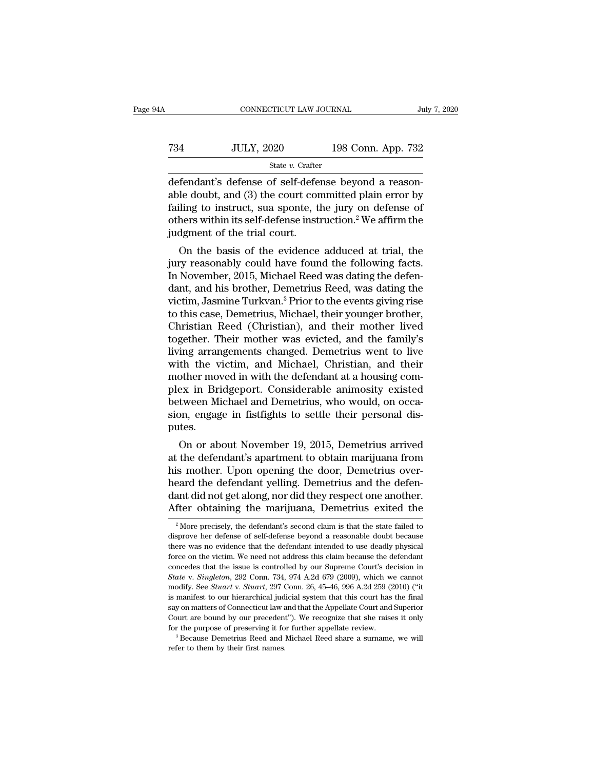| А   | CONNECTICUT LAW JOURNAL |                    | July 7, 2020 |
|-----|-------------------------|--------------------|--------------|
| 734 | <b>JULY, 2020</b>       | 198 Conn. App. 732 |              |
|     | State $v$ . Crafter     |                    |              |

 $\begin{array}{c|c} \text{COMPECTICUT LAW JOURNAL} & & & \text{Ju} \\ \hline \text{734} & \text{JULY, } 2020 & \text{198 Conn. App. 732} \\ \hline \text{State } v. \text{ Crafter} \\ \hline \text{defendant's defense of self-defense beyond a reasonable doubt, and (3) the court committed plain error by failing to instruct, such that they are a defence of the input.} \end{array}$ T34 JULY, 2020 198 Conn. App. 732<br>
State v. Crafter<br>
defendant's defense of self-defense beyond a reason-<br>
able doubt, and (3) the court committed plain error by<br>
failing to instruct, sua sponte, the jury on defense of<br>
o Failing 100 Fig. 2020 and 198 Conn. App. 732<br>
State v. Crafter<br>
defendant's defense of self-defense beyond a reason-<br>
able doubt, and (3) the court committed plain error by<br>
failing to instruct, sua sponte, the jury on de T34 JULY, 2020 198 Conn. App. 732<br>
State v. Crafter<br>
defendant's defense of self-defense beyond a reason-<br>
able doubt, and (3) the court committed plain error by<br>
failing to instruct, sua sponte, the jury on defense of<br>
o State *v*. Crafter State *v*. Crafter defendant's defense of self-defeable doubt, and (3) the court correlating to instruct, sua sponte, to others within its self-defense instruction on the basis of the evidence fendant's defense of self-defense beyond a reason-<br>le doubt, and (3) the court committed plain error by<br>ling to instruct, sua sponte, the jury on defense of<br>hers within its self-defense instruction.<sup>2</sup> We affirm the<br>dgment defendant s deferse of sen-deferse beyond a reason-<br>able doubt, and (3) the court committed plain error by<br>failing to instruct, sua sponte, the jury on defense of<br>others within its self-defense instruction.<sup>2</sup> We affirm th

able doubt, and (5) the court committed plain error by<br>failing to instruct, sua sponte, the jury on defense of<br>others within its self-defense instruction.<sup>2</sup> We affirm the<br>judgment of the trial court.<br>On the basis of the e raining to instruct, sua sponte, the jury on defense of<br>others within its self-defense instruction.<sup>2</sup> We affirm the<br>judgment of the trial court.<br>On the basis of the evidence adduced at trial, the<br>jury reasonably could hav buters whill its sen-deferise instruction. We arrifly the judgment of the trial court.<br>
On the basis of the evidence adduced at trial, the<br>
jury reasonably could have found the following facts.<br>
In November, 2015, Michael on the basis of the evidence adduced at trial, the<br>jury reasonably could have found the following facts.<br>In November, 2015, Michael Reed was dating the defen-<br>dant, and his brother, Demetrius Reed, was dating the<br>victim, J On the basis of the evidence adduced at trial, the<br>jury reasonably could have found the following facts.<br>In November, 2015, Michael Reed was dating the defen-<br>dant, and his brother, Demetrius Reed, was dating the<br>victim, J jury reasonably could have found the following facts.<br>In November, 2015, Michael Reed was dating the defen-<br>dant, and his brother, Demetrius Reed, was dating the<br>victim, Jasmine Turkvan.<sup>3</sup> Prior to the events giving rise<br> In November, 2015, Michael Reed was dating the defen-<br>dant, and his brother, Demetrius Reed, was dating the<br>victim, Jasmine Turkvan.<sup>3</sup> Prior to the events giving rise<br>to this case, Demetrius, Michael, their younger brothe dant, and his brother, Demetrius Reed, was dating the victim, Jasmine Turkvan.<sup>3</sup> Prior to the events giving rise to this case, Demetrius, Michael, their younger brother, Christian, Reed (Christian), and their mother lived victim, Jasmine Turkvan.<sup>3</sup> Prior to the events giving rise<br>to this case, Demetrius, Michael, their younger brother,<br>Christian Reed (Christian), and their mother lived<br>together. Their mother was evicted, and the family's<br>l to this case, Demetrius, Michael, their younger brother,<br>Christian Reed (Christian), and their mother lived<br>together. Their mother was evicted, and the family's<br>living arrangements changed. Demetrius went to live<br>with the Christian Reed (Christian), and their mother lived<br>together. Their mother was evicted, and the family's<br>living arrangements changed. Demetrius went to live<br>with the victim, and Michael, Christian, and their<br>mother moved in together. Their mother was evicted, and the family's<br>living arrangements changed. Demetrius went to live<br>with the victim, and Michael, Christian, and their<br>mother moved in with the defendant at a housing com-<br>plex in Bridg putes. or about November 19, 2015, Demetrius arrived the defendant's apartments.<br>On or about November 19, 2015, Demetrius arrived the defendant's apartments.<br>On or about November 19, 2015, Demetrius arrived the defendant's apartm mouter moved in with the defendant at a nousing complex in Bridgeport. Considerable animosity existed<br>between Michael and Demetrius, who would, on occa-<br>sion, engage in fistfights to settle their personal dis-<br>putes.<br>On or

plex in Bridgeport. Considerable animosity existed<br>between Michael and Demetrius, who would, on occa-<br>sion, engage in fistfights to settle their personal dis-<br>putes.<br>On or about November 19, 2015, Demetrius arrived<br>at the between Michael and Deffielnus, who would, on occasion, engage in fistfights to settle their personal disputes.<br>On or about November 19, 2015, Demetrius arrived<br>at the defendant's apartment to obtain marijuana from<br>his mot sion, engage in instignts to settie their personal disputes.<br>
On or about November 19, 2015, Demetrius arrived<br>
at the defendant's apartment to obtain marijuana from<br>
his mother. Upon opening the door, Demetrius over-<br>
hea On or about November 19, 2015, Demetrius arrived<br>at the defendant's apartment to obtain marijuana from<br>his mother. Upon opening the door, Demetrius over-<br>heard the defendant yelling. Demetrius and the defen-<br>dant did not g is mother. Upon opening the door, Demetrius over-<br>eard the defendant yelling. Demetrius and the defen-<br>ant did not get along, nor did they respect one another.<br>fter obtaining the marijuana, Demetrius exited the<br><sup>2</sup>More pre heard the defendant yelling. Demetrius and the defendant did not get along, nor did they respect one another.<br>After obtaining the marijuana, Demetrius exited the<br> $\frac{2}{\sqrt{3}}$  More precisely, the defendant's second claim i

dant did not get along, nor did they respect one another.<br>After obtaining the marijuana, Demetrius exited the<br><sup>2</sup>More precisely, the defendant's second claim is that the state failed to<br>disprove her defense of self-defense After obtaining the marijuana, Demetrius exited the<br>
<sup>2</sup>More precisely, the defendant's second claim is that the state failed to<br>
disprove her defense of self-defense beyond a reasonable doubt because<br>
there was no evidenc Extreme Concerning the Internal Concernities extreme in the state of  $\frac{1}{2}$  More precisely, the defendant's second claim is that the state failed to disprove her defense of self-defense beyond a reasonable doubt becaus <sup>2</sup> More precisely, the defendant's second claim is that the state failed to disprove her defense of self-defense beyond a reasonable doubt because there was no evidence that the defendant intended to use deadly physical disprove her defense of self-defense beyond a reasonable doubt because<br>there was no evidence that the defendant intended to use deadly physical<br>force on the victim. We need not address this claim because the defendant<br>conc is many we was no evidence that the defendant intended to use deadly physical force on the victim. We need not address this claim because the defendant concedes that the issue is controlled by our Supreme Court's decision force on the victim. We need not address this claim because the defendant concedes that the issue is controlled by our Supereme Court's decision in *State* v. *Singleton*, 292 Conn. 734, 974 A.2d 679 (2009), which we cann concedes that the issue is controlled by our Supreme Court's decision in *State* v. *Singleton*, 292 Conn. 734, 974 A.2d 679 (2009), which we cannot modify. See *Stuart v. Stuart*, 297 Conn. 26, 45–46, 996 A.2d 259 (2010) *State v. Singleton, 292 Conn. 734, 974 A.2d 679 (2009), which we cannot modify. See Stuart v. Stuart, 297 Conn. 26, 45–46, 996 A.2d 259 (2010) ("it is manifest to our hierarchical judicial system that this court has the* is manifest to our hierarchical judicial system that this court has the final say on matters of Connecticut law and that the Appellate Court and Superior Court are bound by our precedent"). We recognize that she raises it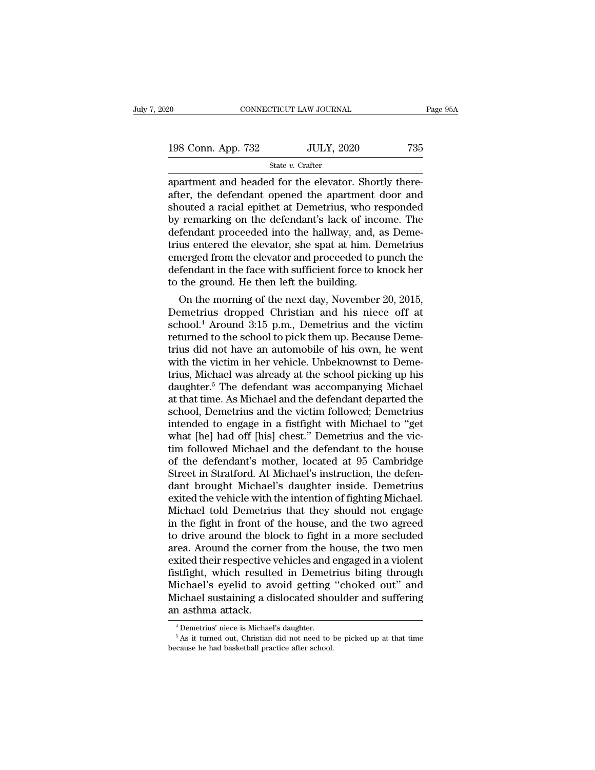| 20                 | CONNECTICUT LAW JOURNAL | Page 95A |
|--------------------|-------------------------|----------|
| 198 Conn. App. 732 | <b>JULY, 2020</b>       | 735      |
|                    | State $v$ . Crafter     |          |

connectricut LAW JOURNAL<br>
198 Conn. App. 732 JULY, 2020 735<br>
35 State v. Crafter<br>
2021 T35<br>
2021 State v. Crafter<br>
2021 T35<br>
2021 State v. Crafter<br>
2021 T35<br>
2021 T35<br>
2021 T45<br>
2021 T45<br>
2021 T45<br>
2021 T45<br>
2021 T45<br>
2021 198 Conn. App. 732 JULY, 2020 735<br>
State v. Crafter<br>
apartment and headed for the elevator. Shortly there-<br>
after, the defendant opened the apartment door and<br>
shouted a racial epithet at Demetrius, who responded<br>
by rema 198 Conn. App. 732 JULY, 2020 735<br>
State v. Crafter<br>
apartment and headed for the elevator. Shortly there-<br>
after, the defendant opened the apartment door and<br>
shouted a racial epithet at Demetrius, who responded<br>
by rema 198 Conn. App. 732 JULY, 2020 735<br>
State v. Crafter<br>
apartment and headed for the elevator. Shortly there-<br>
after, the defendant opened the apartment door and<br>
shouted a racial epithet at Demetrius, who responded<br>
by rema  $\begin{array}{c}\n\hline\n\text{state } v. \text{Order} \\
\hline\n\text{state } v. \text{Order} \\
\hline\n\text{apartment and headed for the elevator. Shortly thereafter, the defendant opened the apartment door and  
shouted a racial epithet at Demetrius, who responded  
by remarking on the defendant's lack of income. The  
defendant proceeded into the halfway, and, as Deme-  
trius entered the elevator, she spat at him. Demetrius  
emarded from the elevator and proceeded to much the$ state  $v$ . Crafter<br>apartment and headed for the elevator. Shortly there-<br>after, the defendant opened the apartment door and<br>shouted a racial epithet at Demetrius, who responded<br>by remarking on the defendant's lack of inco apartment and headed for the elevator. Shortly there-<br>after, the defendant opened the apartment door and<br>shouted a racial epithet at Demetrius, who responded<br>by remarking on the defendant's lack of income. The<br>defendant pr after, the defendant opened the apartment door and<br>shouted a racial epithet at Demetrius, who responded<br>by remarking on the defendant's lack of income. The<br>defendant proceeded into the hallway, and, as Deme-<br>trius entered shouted a racial epithet at Demetrius, who re<br>by remarking on the defendant's lack of inco<br>defendant proceeded into the hallway, and, a<br>trius entered the elevator, she spat at him. D<br>emerged from the elevator and proceeded Femarking on the detendant s lack of income. The<br>fendant proceeded into the hallway, and, as Deme-<br>us entered the elevator, she spat at him. Demetrius<br>nerged from the elevator and proceeded to punch the<br>fendant in the fac defendant proceeded mto the nailway, and, as Deme-<br>trius entered the elevator, she spat at him. Demetrius<br>emerged from the elevator and proceeded to punch the<br>defendant in the face with sufficient force to knock her<br>to the

trius entered the elevator, sne spat at nim. Demetrius<br>emerged from the elevator and proceeded to punch the<br>defendant in the face with sufficient force to knock her<br>to the ground. He then left the building.<br>On the morning emerged from the elevator and proceeded to punch the<br>defendant in the face with sufficient force to knock her<br>to the ground. He then left the building.<br>On the morning of the next day, November 20, 2015,<br>Demetrius dropped C defendant in the face with sufficient force to knock her<br>to the ground. He then left the building.<br>On the morning of the next day, November 20, 2015,<br>Demetrius dropped Christian and his niece off at<br>school.<sup>4</sup> Around 3:15 to the ground. He then left the building.<br>
On the morning of the next day, November 20, 2015,<br>
Demetrius dropped Christian and his niece off at<br>
school.<sup>4</sup> Around 3:15 p.m., Demetrius and the victim<br>
returned to the schoo On the morning of the next day, November 20, 2015,<br>Demetrius dropped Christian and his niece off at<br>school.<sup>4</sup> Around 3:15 p.m., Demetrius and the victim<br>returned to the school to pick them up. Because Deme-<br>trius did not Demetrius dropped Christian and his niece off at school.<sup>4</sup> Around 3:15 p.m., Demetrius and the victim returned to the school to pick them up. Because Demetrius did not have an automobile of his own, he went with the victi school.<sup>4</sup> Around 3:15 p.m., Demetrius and the victim<br>returned to the school to pick them up. Because Deme-<br>trius did not have an automobile of his own, he went<br>with the victim in her vehicle. Unbeknownst to Deme-<br>trius, M returned to the school to pick them up. Because Demetrius did not have an automobile of his own, he went<br>with the victim in her vehicle. Unbeknownst to Demetrius, Michael was already at the school picking up his<br>daughter.<sup></sup> trius did not have an automobile of his own, he went<br>with the victim in her vehicle. Unbeknownst to Deme-<br>trius, Michael was already at the school picking up his<br>daughter.<sup>5</sup> The defendant was accompanying Michael<br>at that with the victim in her vehicle. Unbeknownst to Demetrius, Michael was already at the school picking up his daughter.<sup>5</sup> The defendant was accompanying Michael at that time. As Michael and the defendant departed the school, trius, Michael was already at the school picking up his<br>daughter.<sup>5</sup> The defendant was accompanying Michael<br>at that time. As Michael and the defendant departed the<br>school, Demetrius and the victim followed; Demetrius<br>inten daughter.<sup>5</sup> The defendant was accompanying Michael<br>at that time. As Michael and the defendant departed the<br>school, Demetrius and the victim followed; Demetrius<br>intended to engage in a fistfight with Michael to "get<br>what [ at that time. As Michael and the defendant departed the school, Demetrius and the victim followed; Demetrius intended to engage in a fistfight with Michael to "get what [he] had off [his] chest." Demetrius and the victim f school, Demetrius and the victim followed; Demetrius<br>intended to engage in a fistfight with Michael to "get<br>what [he] had off [his] chest." Demetrius and the vic-<br>tim followed Michael and the defendant to the house<br>of the intended to engage in a fistfight with Michael to "get<br>what [he] had off [his] chest." Demetrius and the vic-<br>tim followed Michael and the defendant to the house<br>of the defendant's mother, located at 95 Cambridge<br>Street in what [he] had off [his] chest." Demetrius and the victim followed Michael and the defendant to the house<br>of the defendant's mother, located at 95 Cambridge<br>Street in Stratford. At Michael's instruction, the defen-<br>dant bro tim followed Michael and the defendant to the house<br>of the defendant's mother, located at 95 Cambridge<br>Street in Stratford. At Michael's instruction, the defen-<br>dant brought Michael's daughter inside. Demetrius<br>exited the of the defendant's mother, located at 95 Cambridge<br>Street in Stratford. At Michael's instruction, the defen-<br>dant brought Michael's daughter inside. Demetrius<br>exited the vehicle with the intention of fighting Michael.<br>Mich Street in Stratford. At Michael's instruction, the defendant brought Michael's daughter inside. Demetrius<br>exited the vehicle with the intention of fighting Michael.<br>Michael told Demetrius that they should not engage<br>in the dant brought Michael's daughter inside. Demetrius<br>exited the vehicle with the intention of fighting Michael.<br>Michael told Demetrius that they should not engage<br>in the fight in front of the house, and the two agreed<br>to driv exited the vehicle with the intention of fighting Michael.<br>Michael told Demetrius that they should not engage<br>in the fight in front of the house, and the two agreed<br>to drive around the block to fight in a more secluded<br>are Michael told Demetrius that they should not engage<br>in the fight in front of the house, and the two agreed<br>to drive around the block to fight in a more secluded<br>area. Around the corner from the house, the two men<br>exited the in the fight in front of the house, and the two agreed<br>to drive around the block to fight in a more secluded<br>area. Around the corner from the house, the two men<br>exited their respective vehicles and engaged in a violent<br>fis to drive around the blow<br>area. Around the corne<br>exited their respective v<br>fistfight, which resulte<br>Michael's eyelid to av<br>Michael sustaining a di<br>an asthma attack. fistfight, which resulted in Demetrius biting through Michael's eyelid to avoid getting "choked out" and Michael sustaining a dislocated shoulder and suffering an asthma attack.<br>As it turned out, Christian did not need to Michael sustaining a dislocated shoulder and suffering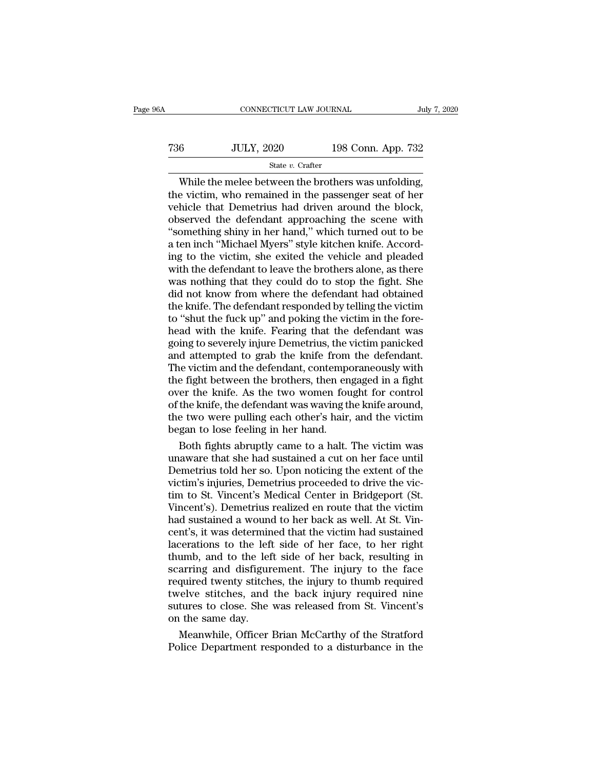|     | CONNECTICUT LAW JOURNAL |                    | July 7, 2020 |
|-----|-------------------------|--------------------|--------------|
|     |                         |                    |              |
| 736 | <b>JULY, 2020</b>       | 198 Conn. App. 732 |              |
|     | State $v$ . Crafter     |                    |              |

## State *v.* Crafter

While the melee between the brothers was unfolding, Tasket victim, 2020 and the victim, who remained in the passenger seat of her vehicle that Demetrius had driven around the block, observed the defendant approaching the scape with Vehicle that Demetrius had driven around the block,<br>
while the melee between the brothers was unfolding,<br>
the victim, who remained in the passenger seat of her<br>
vehicle that Demetrius had driven around the block,<br>
observe T36 JULY, 2020 198 Conn. App. 732<br>
State v. Crafter<br>
While the melee between the brothers was unfolding,<br>
the victim, who remained in the passenger seat of her<br>
vehicle that Demetrius had driven around the block,<br>
observe While the melee between the brothers was unfolding,<br>
the victim, who remained in the passenger seat of her<br>
vehicle that Demetrius had driven around the block,<br>
observed the defendant approaching the scene with<br>
"somethin State v. Crafter<br>While the melee between the brothers was unfolding,<br>the victim, who remained in the passenger seat of her<br>vehicle that Demetrius had driven around the block,<br>observed the defendant approaching the scene wi While the melee between the brothers was unfolding,<br>the victim, who remained in the passenger seat of her<br>vehicle that Demetrius had driven around the block,<br>observed the defendant approaching the scene with<br>"something shi the victim, who remained in the passenger seat of her vehicle that Demetrius had driven around the block, observed the defendant approaching the scene with "something shiny in her hand," which turned out to be a ten inch " vehicle that Demetrius had driven around the block,<br>observed the defendant approaching the scene with<br>"something shiny in her hand," which turned out to be<br>a ten inch "Michael Myers" style kitchen knife. Accord-<br>ing to the observed the defendant approaching the scene with<br>"something shiny in her hand," which turned out to be<br>a ten inch "Michael Myers" style kitchen knife. Accord-<br>ing to the victim, she exited the vehicle and pleaded<br>with the "something shiny in her hand," which turned out to be<br>a ten inch "Michael Myers" style kitchen knife. Accord-<br>ing to the victim, she exited the vehicle and pleaded<br>with the defendant to leave the brothers alone, as there<br>w a ten inch "Michael Myers" style kitchen knife. According to the victim, she exited the vehicle and pleaded with the defendant to leave the brothers alone, as there was nothing that they could do to stop the fight. She did ing to the victim, she exited the vehicle and pleaded<br>with the defendant to leave the brothers alone, as there<br>was nothing that they could do to stop the fight. She<br>did not know from where the defendant had obtained<br>the kn with the defendant to leave the brothers alone, as there was nothing that they could do to stop the fight. She did not know from where the defendant had obtained the knife. The defendant responded by telling the victim to was nothing that they could do to stop the fight. She<br>did not know from where the defendant had obtained<br>the knife. The defendant responded by telling the victim<br>to "shut the fuck up" and poking the victim in the fore-<br>hea did not know from where the defendant had obtained<br>the knife. The defendant responded by telling the victim<br>to "shut the fuck up" and poking the victim in the fore-<br>head with the knife. Fearing that the defendant was<br>going the knife. The defendant responded by telling the victim<br>to "shut the fuck up" and poking the victim in the fore-<br>head with the knife. Fearing that the defendant was<br>going to severely injure Demetrius, the victim panicked<br> to "shut the fuck up" and poking the victim in the fore-<br>head with the knife. Fearing that the defendant was<br>going to severely injure Demetrius, the victim panicked<br>and attempted to grab the knife from the defendant.<br>The v head with the knife. Fearing that the defendant was<br>going to severely injure Demetrius, the victim panicked<br>and attempted to grab the knife from the defendant.<br>The victim and the defendant, contemporaneously with<br>the fight going to severely injure Demetrius, the victim panicked<br>and attempted to grab the knife from the defendant.<br>The victim and the defendant, contemporaneously with<br>the fight between the brothers, then engaged in a fight<br>over and attempted to grab the knife from<br>The victim and the defendant, contempo<br>the fight between the brothers, then en<br>over the knife. As the two women fou<br>of the knife, the defendant was waving th<br>the two were pulling each o ie victim and the defendant, contemporaneously with<br>e fight between the brothers, then engaged in a fight<br>er the knife. As the two women fought for control<br>the knife, the defendant was waving the knife around,<br>e two were p the fight between the brothers, then engaged in a fight<br>over the knife. As the two women fought for control<br>of the knife, the defendant was waving the knife around,<br>the two were pulling each other's hair, and the victim<br>be

over the knife. As the two women fought for control<br>of the knife, the defendant was waving the knife around,<br>the two were pulling each other's hair, and the victim<br>began to lose feeling in her hand.<br>Both fights abruptly ca of the knife, the defendant was waving the knife around,<br>the two were pulling each other's hair, and the victim<br>began to lose feeling in her hand.<br>Both fights abruptly came to a halt. The victim was<br>unaware that she had su the two were pulling each other's hair, and the victim<br>began to lose feeling in her hand.<br>Both fights abruptly came to a halt. The victim was<br>unaware that she had sustained a cut on her face until<br>Demetrius told her so. Up began to lose feeling in her hand.<br>Both fights abruptly came to a halt. The victim was<br>unaware that she had sustained a cut on her face until<br>Demetrius told her so. Upon noticing the extent of the<br>victim's injuries, Demetr Both fights abruptly came to a halt. The victim was unaware that she had sustained a cut on her face until Demetrius told her so. Upon noticing the extent of the victim is injuries, Demetrius proceeded to drive the victim unaware that she had sustained a cut on her face until<br>Demetrius told her so. Upon noticing the extent of the<br>victim's injuries, Demetrius proceeded to drive the vic-<br>tim to St. Vincent's Medical Center in Bridgeport (St.<br> Demetrius told her so. Upon noticing the extent of the victim's injuries, Demetrius proceeded to drive the victim to St. Vincent's Medical Center in Bridgeport (St. Vincent's). Demetrius realized en route that the victim h victim's injuries, Demetrius proceeded to drive the victim<br>to St. Vincent's Medical Center in Bridgeport (St.<br>Vincent's). Demetrius realized en route that the victim<br>had sustained a wound to her back as well. At St. Vin-<br>c tim to St. Vincent's Medical Center in Bridgeport (St. Vincent's). Demetrius realized en route that the victim<br>had sustained a wound to her back as well. At St. Vincent's, it was determined that the victim had sustained<br>la Vincent's). Demetrius realized en route that the victim<br>had sustained a wound to her back as well. At St. Vin-<br>cent's, it was determined that the victim had sustained<br>lacerations to the left side of her face, to her right<br> had sustained a wound to her back as well. At St. Vincent's, it was determined that the victim had sustained<br>lacerations to the left side of her face, to her right<br>thumb, and to the left side of her back, resulting in<br>scar cent's, it was determined that the victim had sustained<br>lacerations to the left side of her face, to her right<br>thumb, and to the left side of her back, resulting in<br>scarring and disfigurement. The injury to the face<br>requir lacerations to the left<br>thumb, and to the left<br>scarring and disfigur<br>required twenty stitch<br>twelve stitches, and<br>sutures to close. She<br>on the same day.<br>Meanwhile, Officer umb, and to the left side of her back, resulting in<br>arring and disfigurement. The injury to the face<br>quired twenty stitches, the injury to thumb required<br>relve stitches, and the back injury required nine<br>tures to close. S scarring and disfigurement. The injury to the face<br>required twenty stitches, the injury to thumb required<br>twelve stitches, and the back injury required nine<br>sutures to close. She was released from St. Vincent's<br>on the same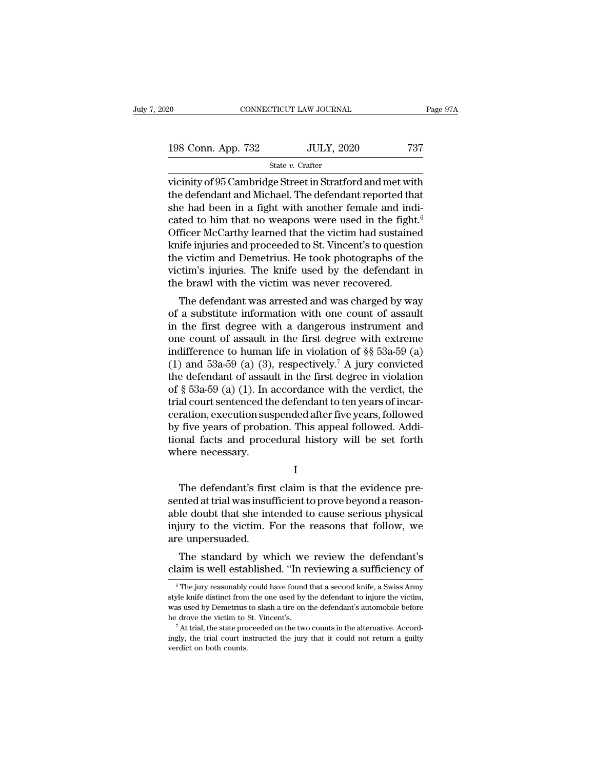| 20                 | CONNECTICUT LAW JOURNAL | Page 97A |
|--------------------|-------------------------|----------|
| 198 Conn. App. 732 | <b>JULY, 2020</b>       | 737      |
|                    | State $v$ . Crafter     |          |

vicinity of 95 Cambridge Street in Stratford and met with<br>
the defendant and Michael. The defendant reported that<br>
state begins a fight with another female and indi-198 Conn. App. 732 JULY, 2020 737<br>
State v. Crafter<br>
vicinity of 95 Cambridge Street in Stratford and met with<br>
the defendant and Michael. The defendant reported that<br>
she had been in a fight with another female and indi-198 Conn. App. 732 JULY, 2020 737<br>
State v. Crafter<br>
vicinity of 95 Cambridge Street in Stratford and met with<br>
the defendant and Michael. The defendant reported that<br>
she had been in a fight with another female and indi-198 Conn. App. 732 JULY, 2020 737<br>
State v. Crafter<br>
vicinity of 95 Cambridge Street in Stratford and met with<br>
the defendant and Michael. The defendant reported that<br>
she had been in a fight with another female and indi-State v. Crafter<br>
vicinity of 95 Cambridge Street in Stratford and met with<br>
the defendant and Michael. The defendant reported that<br>
she had been in a fight with another female and indi-<br>
cated to him that no weapons were state v. Cratter<br>vicinity of 95 Cambridge Street in Stratford and met with<br>the defendant and Michael. The defendant reported that<br>she had been in a fight with another female and indi-<br>cated to him that no weapons were use vicinity of 95 Cambridge Street in Stratford and met with<br>the defendant and Michael. The defendant reported that<br>she had been in a fight with another female and indi-<br>cated to him that no weapons were used in the fight.<sup>6</sup> the defendant and Michael. The defendant reported that<br>she had been in a fight with another female and indi-<br>cated to him that no weapons were used in the fight.<sup>6</sup><br>Officer McCarthy learned that the victim had sustained<br>kn she had been in a fight with another female and ind<br>cated to him that no weapons were used in the fight<br>Officer McCarthy learned that the victim had sustaine<br>knife injuries and proceeded to St. Vincent's to questio<br>the vic Ficer McCarthy learned that the victim had sustained<br>ife injuries and proceeded to St. Vincent's to question<br>e victim and Demetrius. He took photographs of the<br>tim's injuries. The knife used by the defendant in<br>e brawl wit of a substitute information with original cone count of assumed and proceeded to St. Vincent's to question the victim and Demetrius. He took photographs of the victim's injuries. The knife used by the defendant in the braw

Killie injuries and proceeded to st. Vincent s to question<br>the victim and Demetrius. He took photographs of the<br>victim's injuries. The knife used by the defendant in<br>the brawl with the victim was never recovered.<br>The defe The victim and Demetrius. He took photographs of the<br>victim's injuries. The knife used by the defendant in<br>the brawl with the victim was never recovered.<br>The defendant was arrested and was charged by way<br>of a substitute i Figure 1. The Kille used by the defendant in<br>the brawl with the victim was never recovered.<br>The defendant was arrested and was charged by way<br>of a substitute information with one count of assault<br>in the first degree with The defendant was arrested and was charged by way<br>of a substitute information with one count of assault<br>in the first degree with a dangerous instrument and<br>one count of assault in the first degree with extreme<br>indifferenc The defendant was arrested and was charged by way<br>of a substitute information with one count of assault<br>in the first degree with a dangerous instrument and<br>one count of assault in the first degree with extreme<br>indifferenc of a substitute information with one count of assault<br>in the first degree with a dangerous instrument and<br>one count of assault in the first degree with extreme<br>indifference to human life in violation of §§ 53a-59 (a)<br>(1) in the first degree with a dangerous instrument and<br>one count of assault in the first degree with extreme<br>indifference to human life in violation of §§ 53a-59 (a)<br>(1) and 53a-59 (a) (3), respectively.<sup>7</sup> A jury convicted<br> one count of assault in the first degree with extreme<br>indifference to human life in violation of §§ 53a-59 (a)<br>(1) and 53a-59 (a) (3), respectively.<sup>7</sup> A jury convicted<br>the defendant of assault in the first degree in viol indifference to human life in violation of §§ 53a-59 (a) (1) and 53a-59 (a) (3), respectively.<sup>7</sup> A jury convicted the defendant of assault in the first degree in violation of § 53a-59 (a) (1). In accordance with the verd (1) and 53a-59 (a) (3), respectively.<sup>7</sup> A jury convicted the defendant of assault in the first degree in violation of  $\S$  53a-59 (a) (1). In accordance with the verdict, the trial court sentenced the defendant to ten yea the defendant of assau<br>of § 53a-59 (a) (1). In a<br>trial court sentenced th<br>ceration, execution sus<br>by five years of probat<br>tional facts and proce<br>where necessary. ration, execution suspended after five years, followed<br>
five years of probation. This appeal followed. Addi-<br>
In the set forth<br>
The defendant's first claim is that the evidence pre-<br>
The defendant's first claim is that the

I

by five years of probation. This appeal followed. Additional facts and procedural history will be set forth where necessary.<br>
I<br>
The defendant's first claim is that the evidence presented at trial was insufficient to prove tional facts and procedural history will be set forth<br>where necessary.<br>I<br>The defendant's first claim is that the evidence pre-<br>sented at trial was insufficient to prove beyond a reason-<br>able doubt that she intended to caus I<br>I<br>The defendant's first claim is that the evidence pre-<br>sented at trial was insufficient to prove beyond a reason-<br>able doubt that she intended to cause serious physical<br>injury to the victim. For the reasons that follow, The defendant's firs<br>sented at trial was insulable doubt that she int<br>injury to the victim. F<br>are unpersuaded.<br>The standard by wl The defendant's first claim is that the evidence pre-<br>nted at trial was insufficient to prove beyond a reason-<br>le doubt that she intended to cause serious physical<br>jury to the victim. For the reasons that follow, we<br>e unpe The detendant s first claim is that the evidence pre-<br>sented at trial was insufficient to prove beyond a reason-<br>able doubt that she intended to cause serious physical<br>injury to the victim. For the reasons that follow, we<br>

For the standard by which we review the defendant's<br>aim is well established. "In reviewing a sufficiency of<br> $\frac{6}{10}$  The jury reasonably could have found that a second knife, a Swiss Army<br>yie knife distinct from the one

The standard by which we review the defendant's<br>claim is well established. "In reviewing a sufficiency of<br> $\frac{1}{\pi}$   $\frac{1}{\pi}$  The jury reasonably could have found that a second knife, a Swiss Army<br>style knife distinct f The standard by which we review the defendant's claim is well established. "In reviewing a sufficiency of  $\degree$  The jury reasonably could have found that a second knife, a Swiss Army style knife distinct from the one used Fire bedridata of  $\mathcal{Y}$  which we fevre we did determined bedrief of the victim is well established. "In reviewing a sufficiency of  $\sigma$   $\mathcal{Y}$  in  $\mathcal{Y}$  is the distinct from the one used by the defendant to injure <sup>6</sup> The jury reasonably could have found that a second knife, a Swiss Army style knife distinct from the one used by the defendant to injure the victim, was used by Demetrius to slash a tire on the defendant's automobile style knife distinct from the one used by the defendant to injure the victim, was used by Demetrius to slash a tire on the defendant's automobile before he drove the victim to St. Vincent's.<br>That trial, the state proceede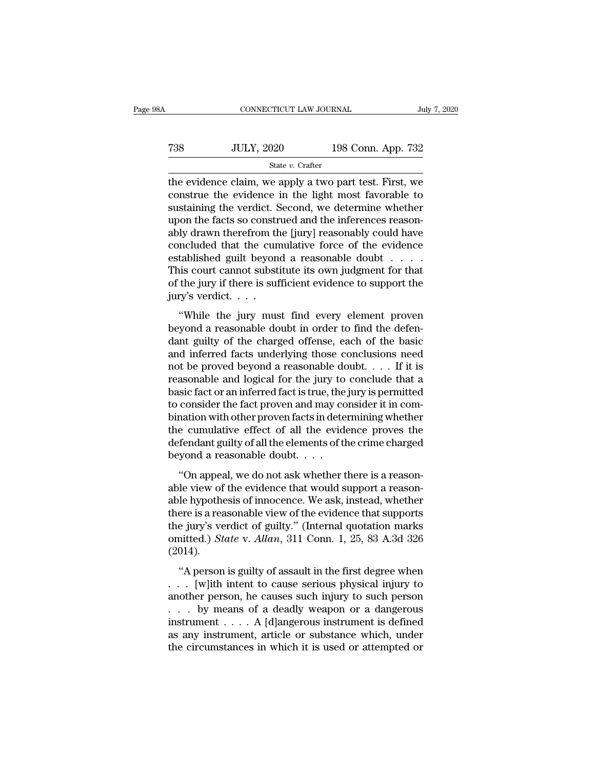# $\begin{tabular}{ll} \multicolumn{2}{l} \multicolumn{2}{l}{{\text{CONNECTICUT LAW JOURNAL}}} & July 7, 2020 \\ \multicolumn{2}{l}{\text{July 7, 2020}} & 198 \text{ Conn. App. 732} \\ & State $v$. Crafter \end{tabular}$ State *v.* Crafter

TREE CONNECTICUT LAW JOURNAL July 7, 2020<br>
TREE SUITY, 2020 198 Conn. App. 732<br>
State v. Crafter<br>
The evidence claim, we apply a two part test. First, we<br>
construe the evidence in the light most favorable to<br>
sustaining t Tas  $JULY$ , 2020 198 Conn. App. 732<br>
State v. Crafter<br>
the evidence claim, we apply a two part test. First, we<br>
construe the evidence in the light most favorable to<br>
sustaining the verdict. Second, we determine whether<br>
up T38 JULY, 2020 198 Conn. App. 732<br>
State v. Crafter<br>
the evidence claim, we apply a two part test. First, we<br>
construe the evidence in the light most favorable to<br>
sustaining the verdict. Second, we determine whether<br>
upo T38 JULY, 2020 198 Conn. App. 732<br>  $\frac{\text{State } v. \text{ Crafter}}{\text{the evidence claim, we apply a two part test. First, we}$ <br>
construe the evidence in the light most favorable to<br>
sustaining the verdict. Second, we determine whether<br>
upon the facts so construed and the infer State v. Crafter<br>
the evidence claim, we apply a two part test. First, we<br>
construe the evidence in the light most favorable to<br>
sustaining the verdict. Second, we determine whether<br>
upon the facts so construed and the in state v. Cratter<br>the evidence claim, we apply a two part test. First, we<br>construe the evidence in the light most favorable to<br>sustaining the verdict. Second, we determine whether<br>upon the facts so construed and the infere the evidence claim, we apply a two part test. First, we construe the evidence in the light most favorable to sustaining the verdict. Second, we determine whether upon the facts so construed and the inferences reasonably dr construe the evidence in the light most favorable to<br>sustaining the verdict. Second, we determine whether<br>upon the facts so construed and the inferences reason-<br>ably drawn therefrom the [jury] reasonably could have<br>conclud sustaining the verdict. Second, we determine whether<br>upon the facts so construed and the inferences reason-<br>ably drawn therefrom the [jury] reasonably could have<br>concluded that the cumulative force of the evidence<br>establis upon the facts so constr<br>ably drawn therefrom th<br>concluded that the cun<br>established guilt beyon<br>This court cannot subst:<br>of the jury if there is suf<br>jury's verdict. . . . .<br>"While the jury mus  $\mu$  must find the interestion are grady reasonably count rate<br>
included that the cumulative force of the evidence<br>
tablished guilt beyond a reasonable doubt  $\dots$ .<br>
is court cannot substitute its own judgment for that<br>
th established guilt beyond a reasonable doubt  $\dots$ .<br>This court cannot substitute its own judgment for that<br>of the jury if there is sufficient evidence to support the<br>jury's verdict.  $\dots$ <br>"While the jury must find every elem

This court cannot substitute its own judgment for that<br>of the jury if there is sufficient evidence to support the<br>jury's verdict....<br>"While the jury must find every element proven<br>beyond a reasonable doubt in order to fin Fins coard cannot substance its own judgment for that<br>of the jury if there is sufficient evidence to support the<br>jury's verdict....<br>"While the jury must find every element proven<br>beyond a reasonable doubt in order to find jury's verdict. . . .<br>
"While the jury must find every element proven<br>
beyond a reasonable doubt in order to find the defen-<br>
dant guilty of the charged offense, each of the basic<br>
and inferred facts underlying those conc "While the jury must find every element proven<br>beyond a reasonable doubt in order to find the defen-<br>dant guilty of the charged offense, each of the basic<br>and inferred facts underlying those conclusions need<br>not be proved "While the jury must find every element proven<br>beyond a reasonable doubt in order to find the defen-<br>dant guilty of the charged offense, each of the basic<br>and inferred facts underlying those conclusions need<br>not be proved beyond a reasonable doubt in order to find the defendant guilty of the charged offense, each of the basic and inferred facts underlying those conclusions need not be proved beyond a reasonable doubt.  $\dots$  If it is reasona dant guilty of the charged offense, each of the basic<br>and inferred facts underlying those conclusions need<br>not be proved beyond a reasonable doubt. . . . If it is<br>reasonable and logical for the jury to conclude that a<br>bas and inferred facts underlying those conclusions need<br>not be proved beyond a reasonable doubt. . . . If it is<br>reasonable and logical for the jury to conclude that a<br>basic fact or an inferred fact is true, the jury is permi not be proved beyond a reasonable doubt. . . . . If it is<br>reasonable and logical for the jury to conclude that a<br>basic fact or an inferred fact is true, the jury is permitted<br>to consider the fact proven and may consider i reasonable and logical for the jury to<br>basic fact or an inferred fact is true, the<br>to consider the fact proven and may co<br>bination with other proven facts in dete<br>the cumulative effect of all the evide<br>defendant guilty of See hact of an interfect hact is a rec, and ying a permatted<br>
consider the fact proven and may consider it in com-<br>
nation with other proven facts in determining whether<br>
e cumulative effect of all the evidence proves the bination with other proven and may consider it in combination with other proven facts in determining whether<br>the cumulative effect of all the evidence proves the<br>defendant guilty of all the elements of the crime charged<br>be

the cumulative effect of all the evidence proves the<br>defendant guilty of all the elements of the crime charged<br>beyond a reasonable doubt.  $\dots$ <br>"On appeal, we do not ask whether there is a reason-<br>able view of the evidence defendant guilty of all the elements of the crime charged<br>beyond a reasonable doubt. . . .<br>"On appeal, we do not ask whether there is a reason-<br>able view of the evidence that would support a reason-<br>able hypothesis of inn beyond a reasonable doubt. . . .<br>
"On appeal, we do not ask whether there is a reasonable view of the evidence that would support a reason-<br>
able hypothesis of innocence. We ask, instead, whether<br>
there is a reasonable vi "On appeal, we do not ask whether there is a reasonable view of the evidence that would support a reasonable hypothesis of innocence. We ask, instead, whether there is a reasonable view of the evidence that supports the ju (2014). Le view of the criterice that would support a reason<br>
le hypothesis of innocence. We ask, instead, whether<br>
ere is a reasonable view of the evidence that supports<br>
e jury's verdict of guilty." (Internal quotation marks<br>
ni there is a reasonable view of the evidence that supports<br>there is a reasonable view of the evidence that supports<br>the jury's verdict of guilty." (Internal quotation marks<br>omitted.) *State* v. *Allan*, 311 Conn. 1, 25, 83

the jury's verdict of guilty." (Internal quotation marks<br>omitted.) *State* v. *Allan*, 311 Conn. 1, 25, 83 A.3d 326<br>(2014).<br>"A person is guilty of assault in the first degree when<br>... [w]ith intent to cause serious physic omitted.) *State* v. *Allan*, 311 Conn. 1, 25, 83 A.3d 326 (2014).<br>
"A person is guilty of assault in the first degree when<br>
... [w]ith intent to cause serious physical injury to<br>
another person, he causes such injury to (2014).<br>
"A person is guilty of assault in the first degree when<br>  $\ldots$  [w]ith intent to cause serious physical injury to<br>
another person, he causes such injury to such person<br>  $\ldots$  by means of a deadly weapon or a dange "A person is guilty of assault in the first degree when  $\dots$  [w]ith intent to cause serious physical injury to another person, he causes such injury to such person  $\dots$  by means of a deadly weapon or a dangerous instrumen "A person is guilty of assault in the first degree when  $\ldots$  [w]ith intent to cause serious physical injury to another person, he causes such injury to such person  $\ldots$  by means of a deadly weapon or a dangerous instrum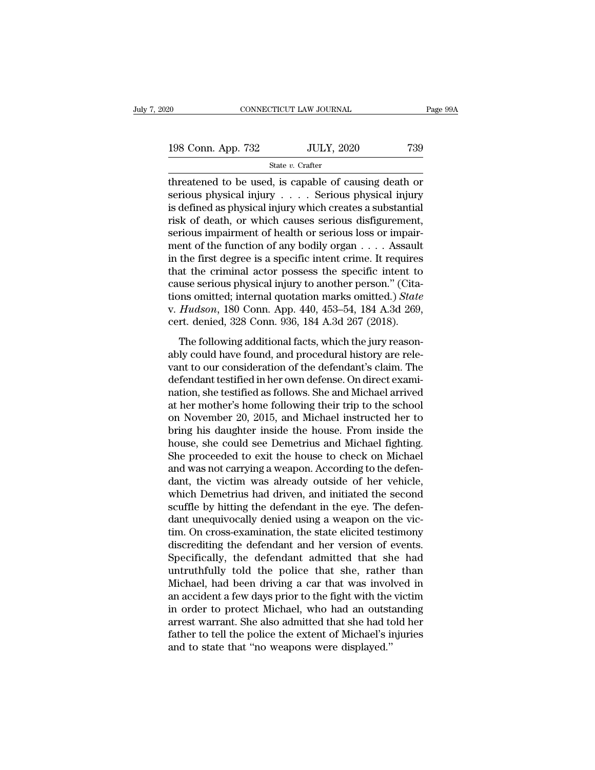| 20                 | CONNECTICUT LAW JOURNAL |                   | Page 99A |  |
|--------------------|-------------------------|-------------------|----------|--|
| 198 Conn. App. 732 |                         | <b>JULY, 2020</b> | 739      |  |
|                    | State $v$ . Crafter     |                   |          |  |

CONNECTICUT LAW JOURNAL Page 99A<br>
198 Conn. App. 732 JULY, 2020 739<br>
State v. Crafter<br>
threatened to be used, is capable of causing death or<br>
serious physical injury . . . . . Serious physical injury<br>
is defined as physica 198 Conn. App. 732 JULY, 2020 739<br>
State v. Crafter<br>
threatened to be used, is capable of causing death or<br>
serious physical injury . . . . . Serious physical injury<br>
is defined as physical injury which creates a substant 198 Conn. App. 732 JULY, 2020 739<br>
State v. Crafter<br>
threatened to be used, is capable of causing death or<br>
serious physical injury . . . . . Serious physical injury<br>
is defined as physical injury which creates a substant 198 Conn. App. 732 JULY, 2020 739<br>
State v. Crafter<br>
threatened to be used, is capable of causing death or<br>
serious physical injury . . . . Serious physical injury<br>
is defined as physical injury which creates a substantia State v. Crafter<br>
State v. Crafter<br>
threatened to be used, is capable of causing death or<br>
serious physical injury . . . . . Serious physical injury<br>
is defined as physical injury which creates a substantial<br>
risk of deat state *v*. Cratter<br>threatened to be used, is capable of causing death or<br>serious physical injury . . . . . Serious physical injury<br>is defined as physical injury which creates a substantial<br>risk of death, or which causes s threatened to be used, is capable of causing death or<br>serious physical injury  $\dots$  Serious physical injury<br>is defined as physical injury which creates a substantial<br>risk of death, or which causes serious disfigurement,<br>se serious physical injury  $\ldots$  Serious physical injury<br>is defined as physical injury which creates a substantial<br>risk of death, or which causes serious disfigurement,<br>serious impairment of health or serious loss or impairis defined as physical injury which creates a substantial<br>risk of death, or which causes serious disfigurement,<br>serious impairment of health or serious loss or impair-<br>ment of the function of any bodily organ  $\dots$ . Assaul risk of death, or which causes serious disfigurement,<br>serious impairment of health or serious loss or impair-<br>ment of the function of any bodily organ . . . . Assault<br>in the first degree is a specific intent crime. It requ serious impairment of health or serious loss or impairment of the function of any bodily organ . . . . Assault<br>in the first degree is a specific intent crime. It requires<br>that the criminal actor possess the specific intent ment of the function of any bodily organ  $\dots$ . Assault<br>in the first degree is a specific intent crime. It requires<br>that the criminal actor possess the specific intent to<br>cause serious physical injury to another person." ( at the criminal actor possess the specific intent to<br>at the criminal actor possess the specific intent to<br>use serious physical injury to another person." (Cita-<br>ms omitted; internal quotation marks omitted.) State<br>Hudson, ally the entimate actor possess are specific matrix to<br>cause serious physical injury to another person." (Cita-<br>tions omitted; internal quotation marks omitted.) *State*<br>v. *Hudson*, 180 Conn. App. 440, 453–54, 184 A.3d 26

caase serious priysted rightly to director person. (Crations omitted; internal quotation marks omitted.) State<br>v. Hudson, 180 Conn. App. 440, 453–54, 184 A.3d 269,<br>cert. denied, 328 Conn. 936, 184 A.3d 267 (2018).<br>The foll v. *Hudson*, 180 Conn. App. 440, 453–54, 184 A.3d 269, cert. denied, 328 Conn. 936, 184 A.3d 267 (2018).<br>The following additional facts, which the jury reasonably could have found, and procedural history are relevant to ou nation, 155 Collar, 1<sub>1</sub>pp. 115, 155 C, 151 Theat 250,<br>cert. denied, 328 Conn. 936, 184 A.3d 267 (2018).<br>The following additional facts, which the jury reason-<br>ably could have found, and procedural history are rele-<br>vant The following additional facts, which the jury reasonably could have found, and procedural history are relevant to our consideration of the defendant's claim. The defendant testified in her own defense. On direct examinati The following additional facts, which the jury reasonably could have found, and procedural history are relevant to our consideration of the defendant's claim. The defendant testified in her own defense. On direct examinati ably could have found, and procedural history are relevant to our consideration of the defendant's claim. The defendant testified in her own defense. On direct examination, she testified as follows. She and Michael arrived vant to our consideration of the defendant's claim. The<br>defendant testified in her own defense. On direct exami-<br>nation, she testified as follows. She and Michael arrived<br>at her mother's home following their trip to the sc defendant testified in her own defense. On direct examination, she testified as follows. She and Michael arrived<br>at her mother's home following their trip to the school<br>on November 20, 2015, and Michael instructed her to<br>b nation, she testified as follows. She and Michael arrived<br>at her mother's home following their trip to the school<br>on November 20, 2015, and Michael instructed her to<br>bring his daughter inside the house. From inside the<br>hou at her mother's home following their trip to the school<br>on November 20, 2015, and Michael instructed her to<br>bring his daughter inside the house. From inside the<br>house, she could see Demetrius and Michael fighting.<br>She proc on November 20, 2015, and Michael instructed her to<br>bring his daughter inside the house. From inside the<br>house, she could see Demetrius and Michael fighting.<br>She proceeded to exit the house to check on Michael<br>and was not bring his daughter inside the house. From inside the house, she could see Demetrius and Michael fighting.<br>She proceeded to exit the house to check on Michael<br>and was not carrying a weapon. According to the defen-<br>dant, the house, she could see Demetrius and Michael fighting.<br>She proceeded to exit the house to check on Michael<br>and was not carrying a weapon. According to the defen-<br>dant, the victim was already outside of her vehicle,<br>which Dem She proceeded to exit the house to check on Michael<br>and was not carrying a weapon. According to the defen-<br>dant, the victim was already outside of her vehicle,<br>which Demetrius had driven, and initiated the second<br>scuffle b and was not carrying a weapon. According to the defendant, the victim was already outside of her vehicle, which Demetrius had driven, and initiated the second scuffle by hitting the defendant in the eye. The defendant uneq dant, the victim was already outside of her vehicle,<br>which Demetrius had driven, and initiated the second<br>scuffle by hitting the defendant in the eye. The defen-<br>dant unequivocally denied using a weapon on the vic-<br>tim. On which Demetrius had driven, and initiated the second<br>scuffle by hitting the defendant in the eye. The defen-<br>dant unequivocally denied using a weapon on the vic-<br>tim. On cross-examination, the state elicited testimony<br>disc scuffle by hitting the defendant in the eye. The defendant unequivocally denied using a weapon on the victim. On cross-examination, the state elicited testimony discrediting the defendant and her version of events. Specifi dant unequivocally denied using a weapon on the victim. On cross-examination, the state elicited testimony<br>discrediting the defendant and her version of events.<br>Specifically, the defendant admitted that she had<br>untruthfull tim. On cross-examination, the state elicited testimony<br>discrediting the defendant and her version of events.<br>Specifically, the defendant admitted that she had<br>untruthfully told the police that she, rather than<br>Michael, ha discrediting the defendant and her version of events.<br>Specifically, the defendant admitted that she had<br>untruthfully told the police that she, rather than<br>Michael, had been driving a car that was involved in<br>an accident a Specifically, the defendant admitted that she had<br>untruthfully told the police that she, rather than<br>Michael, had been driving a car that was involved in<br>an accident a few days prior to the fight with the victim<br>in order t untruthfully told the police that she, rather<br>Michael, had been driving a car that was invol<br>an accident a few days prior to the fight with the<br>in order to protect Michael, who had an outst:<br>arrest warrant. She also admitt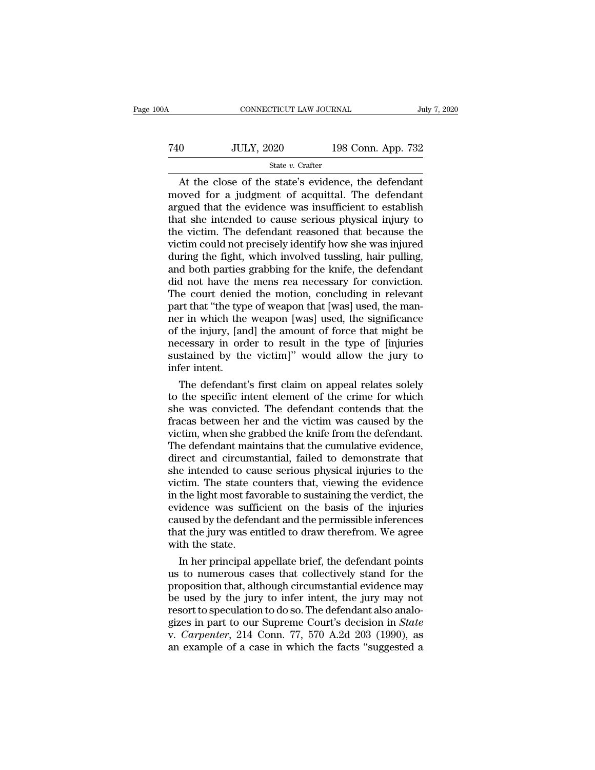| 00 <sub>A</sub> | CONNECTICUT LAW JOURNAL |                    | July 7, 2020 |
|-----------------|-------------------------|--------------------|--------------|
| 740             | <b>JULY, 2020</b>       | 198 Conn. App. 732 |              |
|                 | State $v$ . Crafter     |                    |              |

CONNECTICUT LAW JOURNAL July 7, 2020<br>
O JULY, 2020 198 Conn. App. 732<br>
State v. Crafter<br>
At the close of the state's evidence, the defendant<br>
oved for a judgment of acquittal. The defendant<br>
guod that the evidence was insu Ta and Taurist to the state values of the state's evidence, the defendant<br>
moved for a judgment of acquittal. The defendant<br>
argued that the evidence was insufficient to establish<br>
that she intended to cause serious physi T40 JULY, 2020 198 Conn. App. 732<br>
State v. Crafter<br>
At the close of the state's evidence, the defendant<br>
moved for a judgment of acquittal. The defendant<br>
argued that the evidence was insufficient to establish<br>
that she T40 JULY, 2020 198 Conn. App. 732<br>
State v. Crafter<br>
At the close of the state's evidence, the defendant<br>
moved for a judgment of acquittal. The defendant<br>
argued that the evidence was insufficient to establish<br>
that she State v. Crafter<br>
At the close of the state's evidence, the defendant<br>
moved for a judgment of acquittal. The defendant<br>
argued that the evidence was insufficient to establish<br>
that she intended to cause serious physical State  $v$ . Crafter<br>
At the close of the state's evidence, the defendant<br>
moved for a judgment of acquittal. The defendant<br>
argued that the evidence was insufficient to establish<br>
that she intended to cause serious physica At the close of the state's evidence, the defendant<br>moved for a judgment of acquittal. The defendant<br>argued that the evidence was insufficient to establish<br>that she intended to cause serious physical injury to<br>the victim. moved for a judgment of acquittal. The defendant<br>argued that the evidence was insufficient to establish<br>that she intended to cause serious physical injury to<br>the victim. The defendant reasoned that because the<br>victim could argued that the evidence was insufficient to establish<br>that she intended to cause serious physical injury to<br>the victim. The defendant reasoned that because the<br>victim could not precisely identify how she was injured<br>durin that she intended to cause serious physical injury to<br>the victim. The defendant reasoned that because the<br>victim could not precisely identify how she was injured<br>during the fight, which involved tussling, hair pulling,<br>and the victim. The defendant reasoned that because the victim could not precisely identify how she was injured during the fight, which involved tussling, hair pulling, and both parties grabbing for the knife, the defendant di victim could not precisely identify how she was injured<br>during the fight, which involved tussling, hair pulling,<br>and both parties grabbing for the knife, the defendant<br>did not have the mens rea necessary for conviction.<br>Th during the fight, which involved tussling, hair pulling,<br>and both parties grabbing for the knife, the defendant<br>did not have the mens rea necessary for conviction.<br>The court denied the motion, concluding in relevant<br>part t and both parties grabbing for the knife, the defendant<br>did not have the mens rea necessary for conviction.<br>The court denied the motion, concluding in relevant<br>part that "the type of weapon that [was] used, the man-<br>ner in did not have the mens rea necessary for conviction.<br>The court denied the motion, concluding in relevant<br>part that "the type of weapon that [was] used, the man-<br>ner in which the weapon [was] used, the significance<br>of the in The court denies<br>part that "the typ<br>ner in which the<br>of the injury, [an<br>necessary in orc<br>sustained by the<br>infer intent.<br>The defendant It that "the type of weapon that [was] used, the man-<br>
It in which the weapon [was] used, the significance<br>
the injury, [and] the amount of force that might be<br>
cessary in order to result in the type of [injuries<br>
stained ner in which the weapon [was] used, the significance<br>of the injury, [and] the amount of force that might be<br>necessary in order to result in the type of [injuries<br>sustained by the victim]" would allow the jury to<br>infer inte

of the injury, [and] the amount of force that might be<br>necessary in order to result in the type of [injuries<br>sustained by the victim]" would allow the jury to<br>infer intent.<br>The defendant's first claim on appeal relates sol necessary in order to result in the type of [injuries<br>sustained by the victim]" would allow the jury to<br>infer intent.<br>The defendant's first claim on appeal relates solely<br>to the specific intent element of the crime for whi sustained by the victim]" would allow the jury to<br>infer intent.<br>The defendant's first claim on appeal relates solely<br>to the specific intent element of the crime for which<br>she was convicted. The defendant contends that the<br> infer intent.<br>The defendant's first claim on appeal relates solely<br>to the specific intent element of the crime for which<br>she was convicted. The defendant contends that the<br>fracas between her and the victim was caused by th The defendant's first claim on appeal relates solely<br>to the specific intent element of the crime for which<br>she was convicted. The defendant contends that the<br>fracas between her and the victim was caused by the<br>victim, when to the specific intent element of the crime for which<br>she was convicted. The defendant contends that the<br>fracas between her and the victim was caused by the<br>victim, when she grabbed the knife from the defendant.<br>The defend she was convicted. The defendant contends that the<br>fracas between her and the victim was caused by the<br>victim, when she grabbed the knife from the defendant.<br>The defendant maintains that the cumulative evidence,<br>direct and fracas between her and the victim was caused by the victim, when she grabbed the knife from the defendant.<br>The defendant maintains that the cumulative evidence, direct and circumstantial, failed to demonstrate that she int victim, when she grabbed the knife from the defendant.<br>The defendant maintains that the cumulative evidence,<br>direct and circumstantial, failed to demonstrate that<br>she intended to cause serious physical injuries to the<br>vict The defendant maintains that the cumulative evidence,<br>direct and circumstantial, failed to demonstrate that<br>she intended to cause serious physical injuries to the<br>victim. The state counters that, viewing the evidence<br>in th direct and circumstantial, failed to demonstrate that<br>she intended to cause serious physical injuries to the<br>victim. The state counters that, viewing the evidence<br>in the light most favorable to sustaining the verdict, the<br> she intended to cau<br>victim. The state co<br>in the light most fav<br>evidence was suffic<br>caused by the defen<br>that the jury was en<br>with the state.<br>In her principal a tim. The state counters that, viewing the evidence<br>the light most favorable to sustaining the verdict, the<br>idence was sufficient on the basis of the injuries<br>used by the defendant and the permissible inferences<br>at the jury in the light most favorable to sustaining the verdict, the<br>evidence was sufficient on the basis of the injuries<br>caused by the defendant and the permissible inferences<br>that the jury was entitled to draw therefrom. We agree<br>

evidence was sufficient on the basis of the injuries<br>caused by the defendant and the permissible inferences<br>that the jury was entitled to draw therefrom. We agree<br>with the state.<br>In her principal appellate brief, the defen caused by the defendant and the permissible inferences<br>that the jury was entitled to draw therefrom. We agree<br>with the state.<br>In her principal appellate brief, the defendant points<br>us to numerous cases that collectively st that the jury was entitled to draw therefrom. We agree<br>with the state.<br>In her principal appellate brief, the defendant points<br>us to numerous cases that collectively stand for the<br>proposition that, although circumstantial with the state.<br>In her principal appellate brief, the defendant points<br>us to numerous cases that collectively stand for the<br>proposition that, although circumstantial evidence may<br>be used by the jury to infer intent, the ju In her principal appellate brief, the defendant points<br>us to numerous cases that collectively stand for the<br>proposition that, although circumstantial evidence may<br>be used by the jury to infer intent, the jury may not<br>resor us to numerous cases that collectively stand for the<br>proposition that, although circumstantial evidence may<br>be used by the jury to infer intent, the jury may not<br>resort to speculation to do so. The defendant also analo-<br>gi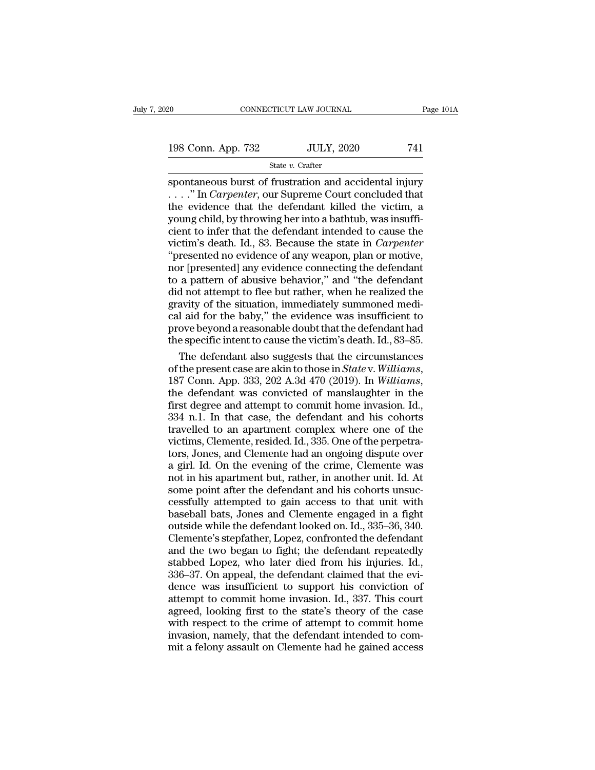| 20                 | CONNECTICUT LAW JOURNAL | Page 101A |  |
|--------------------|-------------------------|-----------|--|
|                    |                         |           |  |
| 198 Conn. App. 732 | <b>JULY, 2020</b>       | 741       |  |
|                    | State $v$ . Crafter     |           |  |

Figure 101A<br>
Spontaneous burst of frustration and accidental injury<br>
Spontaneous burst of frustration and accidental injury<br>
...." In *Carpenter*, our Supreme Court concluded that<br>
the evidence that the defendant killed th 198 Conn. App. 732 JULY, 2020 741<br>
State v. Crafter<br>
spontaneous burst of frustration and accidental injury<br>
...." In *Carpenter*, our Supreme Court concluded that<br>
the evidence that the defendant killed the victim, a<br>
you 198 Conn. App. 732 JULY, 2020 741<br>
State v. Crafter<br>
spontaneous burst of frustration and accidental injury<br>
...." In *Carpenter*, our Supreme Court concluded that<br>
the evidence that the defendant killed the victim, a<br>
yo 198 Conn. App. 732 JULY, 2020 741<br>
State v. Crafter<br>
Spontaneous burst of frustration and accidental injury<br>  $\ldots$ ." In *Carpenter*, our Supreme Court concluded that<br>
the evidence that the defendant killed the victim, a<br> Solution of the defendant intended to cause the<br>spontaneous burst of frustration and accidental injury<br> $\ldots$ ." In *Carpenter*, our Supreme Court concluded that<br>the evidence that the defendant killed the victim, a<br>young ch state *v*. Crafter<br>
spontaneous burst of frustration and accidental injury<br>  $\dots$ ." In *Carpenter*, our Supreme Court concluded that<br>
the evidence that the defendant killed the victim, a<br>
young child, by throwing her into spontaneous burst of frustration and accidental injury<br>  $\ldots$ ." In *Carpenter*, our Supreme Court concluded that<br>
the evidence that the defendant killed the victim, a<br>
young child, by throwing her into a bathtub, was insu ...." In *Carpenter*, our Supreme Court concluded that<br>the evidence that the defendant killed the victim, a<br>young child, by throwing her into a bathtub, was insuffi-<br>cient to infer that the defendant intended to cause the the evidence that the defendant killed the victim, a<br>young child, by throwing her into a bathtub, was insuffi-<br>cient to infer that the defendant intended to cause the<br>victim's death. Id., 83. Because the state in *Carpente* young child, by throwing her into a bathtub, was insufficient to infer that the defendant intended to cause the victim's death. Id., 83. Because the state in *Carpenter* "presented no evidence of any weapon, plan or motive cient to infer that the defendant intended to cause the victim's death. Id., 83. Because the state in *Carpenter* "presented no evidence of any weapon, plan or motive, nor [presented] any evidence connecting the defendant victim's death. Id., 83. Because the state in *Carpenter*<br>"presented no evidence of any weapon, plan or motive,<br>nor [presented] any evidence connecting the defendant<br>to a pattern of abusive behavior," and "the defendant<br>di "presented no evidence of any weapon, plan or motive,<br>nor [presented] any evidence connecting the defendant<br>to a pattern of abusive behavior," and "the defendant<br>did not attempt to flee but rather, when he realized the<br>gra nor [presented] any evidence connecting the defendant<br>to a pattern of abusive behavior," and "the defendant<br>did not attempt to flee but rather, when he realized the<br>gravity of the situation, immediately summoned medi-<br>cal a pattern of abusive behavior," and "the defendant<br>d not attempt to flee but rather, when he realized the<br>avity of the situation, immediately summoned medi-<br>l aid for the baby," the evidence was insufficient to<br>ove beyond

did not attempt to flee but rather, when he realized the<br>gravity of the situation, immediately summoned medi-<br>cal aid for the baby," the evidence was insufficient to<br>prove beyond a reasonable doubt that the defendant had<br>t prove beyond a reasonable doubt that the defendant had<br>the specific intent to cause the victim's death. Id., 83–85.<br>The defendant also suggests that the circumstances<br>of the present case are akin to those in *State* v. Wil the specific intent to cause the victim's death. Id., 83–85.<br>
The defendant also suggests that the circumstances<br>
of the present case are akin to those in *State* v. Williams,<br>
187 Conn. App. 333, 202 A.3d 470 (2019). In The defendant also suggests that the circumstances<br>of the present case are akin to those in *State* v. Williams,<br>187 Conn. App. 333, 202 A.3d 470 (2019). In *Williams*,<br>the defendant was convicted of manslaughter in the<br>fi of the present case are akin to those in *State* v. *Williams*, 187 Conn. App. 333, 202 A.3d 470 (2019). In *Williams*, the defendant was convicted of manslaughter in the first degree and attempt to commit home invasion. 187 Conn. App. 333, 202 A.3d 470 (2019). In *Williams*, the defendant was convicted of manslaughter in the first degree and attempt to commit home invasion. Id., 334 n.1. In that case, the defendant and his cohorts travel the defendant was convicted of manslaughter in the<br>first degree and attempt to commit home invasion. Id.,<br>334 n.1. In that case, the defendant and his cohorts<br>travelled to an apartment complex where one of the<br>victims, Cle first degree and attempt to commit home invasion. Id., 334 n.1. In that case, the defendant and his cohorts travelled to an apartment complex where one of the victims, Clemente, resided. Id., 335. One of the perpetrators,  $334$  n.1. In that case, the defendant and his cohorts<br>travelled to an apartment complex where one of the<br>victims, Clemente, resided. Id.,  $335$ . One of the perpetra-<br>tors, Jones, and Clemente had an ongoing dispute over<br> travelled to an apartment complex where one of the<br>victims, Clemente, resided. Id., 335. One of the perpetra-<br>tors, Jones, and Clemente had an ongoing dispute over<br>a girl. Id. On the evening of the crime, Clemente was<br>not victims, Clemente, resided. Id., 335. One of the perpetra-<br>tors, Jones, and Clemente had an ongoing dispute over<br>a girl. Id. On the evening of the crime, Clemente was<br>not in his apartment but, rather, in another unit. Id. tors, Jones, and Clemente had an ongoing dispute over<br>a girl. Id. On the evening of the crime, Clemente was<br>not in his apartment but, rather, in another unit. Id. At<br>some point after the defendant and his cohorts unsuc-<br>ce a girl. Id. On the evening of the crime, Clemente was<br>not in his apartment but, rather, in another unit. Id. At<br>some point after the defendant and his cohorts unsuc-<br>cessfully attempted to gain access to that unit with<br>bas not in his apartment but, rather, in another unit. Id. At<br>some point after the defendant and his cohorts unsuc-<br>cessfully attempted to gain access to that unit with<br>baseball bats, Jones and Clemente engaged in a fight<br>outs some point after the defendant and his cohorts unsuccessfully attempted to gain access to that unit with baseball bats, Jones and Clemente engaged in a fight outside while the defendant looked on. Id., 335–36, 340. Clement cessfully attempted to gain access to that unit with<br>baseball bats, Jones and Clemente engaged in a fight<br>outside while the defendant looked on. Id., 335–36, 340.<br>Clemente's stepfather, Lopez, confronted the defendant<br>and baseball bats, Jones and Clemente engaged in a fight<br>outside while the defendant looked on. Id., 335–36, 340.<br>Clemente's stepfather, Lopez, confronted the defendant<br>and the two began to fight; the defendant repeatedly<br>stab outside while the defendant looked on. Id., 335–36, 340.<br>Clemente's stepfather, Lopez, confronted the defendant<br>and the two began to fight; the defendant repeatedly<br>stabbed Lopez, who later died from his injuries. Id.,<br>336 Clemente's stepfather, Lopez, confronted the defendant<br>and the two began to fight; the defendant repeatedly<br>stabbed Lopez, who later died from his injuries. Id.,<br>336–37. On appeal, the defendant claimed that the evi-<br>dence and the two began to fight; the defendant repeatedly<br>stabbed Lopez, who later died from his injuries. Id.,<br>336–37. On appeal, the defendant claimed that the evi-<br>dence was insufficient to support his conviction of<br>attempt stabbed Lopez, who later died from his injuries. Id., 336–37. On appeal, the defendant claimed that the evidence was insufficient to support his conviction of attempt to commit home invasion. Id., 337. This court agreed, l 336–37. On appeal, the defendant claimed that the evidence was insufficient to support his conviction of attempt to commit home invasion. Id., 337. This court agreed, looking first to the state's theory of the case with re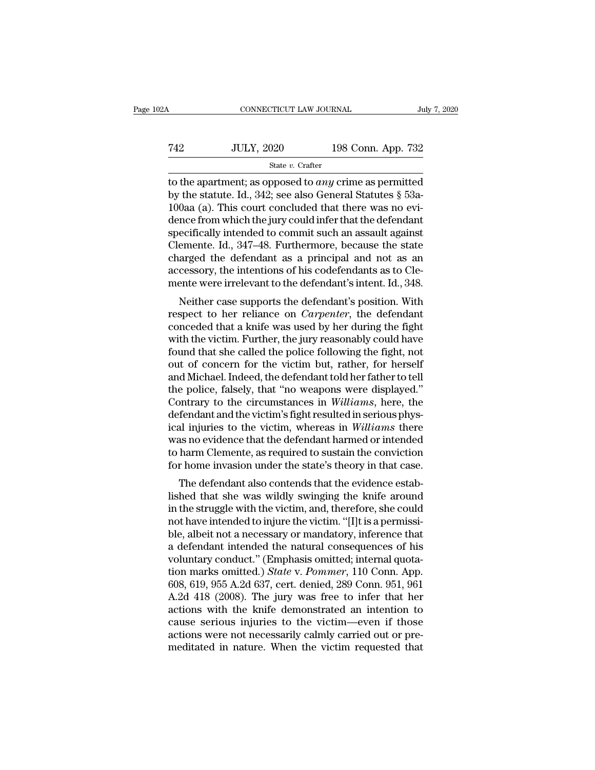| 02A | CONNECTICUT LAW JOURNAL |                    | July 7, 2020 |
|-----|-------------------------|--------------------|--------------|
| 742 | <b>JULY, 2020</b>       | 198 Conn. App. 732 |              |
|     | State $v$ . Crafter     |                    |              |

THE CONNECTICUT LAW JOURNAL July 7, 2020<br>
THE 3020 THE 3020<br>
State v. Crafter<br>
To the apartment; as opposed to *any* crime as permitted<br>
by the statute. Id., 342; see also General Statutes § 53a-<br>
100as (a). This court con For  $\frac{100 \times 100}{198}$  Conn. App. 732<br>
State v. Crafter<br>
to the apartment; as opposed to *any* crime as permitted<br>
by the statute. Id., 342; see also General Statutes § 53a-<br>
100aa (a). This court concluded that there wa 742 JULY, 2020 198 Conn. App. 732<br>
State v. Crafter<br>
to the apartment; as opposed to *any* crime as permitted<br>
by the statute. Id., 342; see also General Statutes § 53a-<br>
100aa (a). This court concluded that there was no Ta and the state v. Crafter<br>
dence from which the apartment; as opposed to *any* crime as permitted<br>
by the statute. Id., 342; see also General Statutes § 53a-<br>
100aa (a). This court concluded that there was no evidence f State v. Crafter<br>
state v. Crafter<br>
to the apartment; as opposed to *any* crime as permitted<br>
by the statute. Id., 342; see also General Statutes § 53a-<br>
100aa (a). This court concluded that there was no evi-<br>
dence from state v. Cratter<br>to the apartment; as opposed to *any* crime as permitted<br>by the statute. Id., 342; see also General Statutes § 53a-<br>100aa (a). This court concluded that there was no evi-<br>dence from which the jury could i to the apartment; as opposed to *any* crime as permitted<br>by the statute. Id., 342; see also General Statutes § 53a-<br>100aa (a). This court concluded that there was no evi-<br>dence from which the jury could infer that the def by the statute. Id., 342; see also General Statutes § 53a-100aa (a). This court concluded that there was no evidence from which the jury could infer that the defendant specifically intended to commit such an assault agains 100aa (a). This court concluded that there was no evi-<br>dence from which the jury could infer that the defendant<br>specifically intended to commit such an assault against<br>Clemente. Id., 347–48. Furthermore, because the state<br> Find a position of the defendant such an assault against<br>exifically intended to commit such an assault against<br>emente. Id., 347–48. Furthermore, because the state<br>arged the defendant as a principal and not as an<br>cessory, t Specifically interded to column such an assault against<br>Clemente. Id., 347–48. Furthermore, because the state<br>charged the defendant as a principal and not as an<br>accessory, the intentions of his codefendants as to Cle-<br>ment

charged the defendant as a principal and not as an accessory, the intentions of his codefendants as to Clemente were irrelevant to the defendant's intent. Id., 348.<br>Neither case supports the defendant's position. With resp charged the defendant as a principar and not as an accessory, the intentions of his codefendants as to Clemente were irrelevant to the defendant's intent. Id., 348.<br>Neither case supports the defendant's position. With resp accessory, the intentions of its coderendants as to clemente were irrelevant to the defendant's intent. Id., 348.<br>Neither case supports the defendant's position. With<br>respect to her reliance on *Carpenter*, the defendant<br>c Neither case supports the defendant's mient. Id., 548.<br>Neither case supports the defendant's position. With<br>respect to her reliance on *Carpenter*, the defendant<br>conceded that a knife was used by her during the fight<br>with Neither case supports the defendant's position. With<br>respect to her reliance on *Carpenter*, the defendant<br>conceded that a knife was used by her during the fight<br>with the victim. Further, the jury reasonably could have<br>fo respect to her reliance on *Carpenter*, the defendant<br>conceded that a knife was used by her during the fight<br>with the victim. Further, the jury reasonably could have<br>found that she called the police following the fight, no conceded that a knife was used by her during the fight<br>with the victim. Further, the jury reasonably could have<br>found that she called the police following the fight, not<br>out of concern for the victim but, rather, for herse with the victim. Further, the jury reasonably could have<br>found that she called the police following the fight, not<br>out of concern for the victim but, rather, for herself<br>and Michael. Indeed, the defendant told her father t found that she called the police following the fight, not<br>out of concern for the victim but, rather, for herself<br>and Michael. Indeed, the defendant told her father to tell<br>the police, falsely, that "no weapons were display out of concern for the victim but, rather, for herself<br>and Michael. Indeed, the defendant told her father to tell<br>the police, falsely, that "no weapons were displayed."<br>Contrary to the circumstances in *Williams*, here, th and Michael. Indeed, the defendant told her father to tell<br>the police, falsely, that "no weapons were displayed."<br>Contrary to the circumstances in *Williams*, here, the<br>defendant and the victim's fight resulted in serious the police, falsely, that "no weapons were displayed."<br>Contrary to the circumstances in *Williams*, here, the<br>defendant and the victim's fight resulted in serious phys-<br>ical injuries to the victim, whereas in *Williams* th France in *Watams*, here, the fendant and the victim's fight resulted in serious phys-<br>al injuries to the victim, whereas in *Williams* there<br>as no evidence that the defendant harmed or intended<br>harm Clemente, as required defendant and the victim's light resulted in serious physical injuries to the victim, whereas in *Williams* there was no evidence that the defendant harmed or intended to harm Clemente, as required to sustain the convictio

in the struggle with the defendant harmed or intended<br>to harm Clemente, as required to sustain the conviction<br>for home invasion under the state's theory in that case.<br>The defendant also contends that the evidence estab-<br>li was no evidence that the detendant narmed or intended<br>to harm Clemente, as required to sustain the conviction<br>for home invasion under the state's theory in that case.<br>The defendant also contends that the evidence estab-<br>li beinant clearence, as required to sustain the conviction<br>for home invasion under the state's theory in that case.<br>The defendant also contends that the evidence estab-<br>lished that she was wildly swinging the knife around<br>in The defendant also contends that the evidence established that she was wildly swinging the knife around<br>in the struggle with the victim, and, therefore, she could<br>not have intended to injure the victim. "[I]t is a permiss The defendant also contends that the evidence established that she was wildly swinging the knife around<br>in the struggle with the victim, and, therefore, she could<br>not have intended to injure the victim. "[I]t is a permiss lished that she was wildly swinging the knife around<br>in the struggle with the victim, and, therefore, she could<br>not have intended to injure the victim. "[I]t is a permissi-<br>ble, albeit not a necessary or mandatory, inferen in the struggle with the victim, and, therefore, she could<br>not have intended to injure the victim. "[I]t is a permissi-<br>ble, albeit not a necessary or mandatory, inference that<br>a defendant intended the natural consequences not have intended to injure the victim. "[I]t is a permissi-<br>ble, albeit not a necessary or mandatory, inference that<br>a defendant intended the natural consequences of his<br>voluntary conduct." (Emphasis omitted; internal quo ble, albeit not a necessary or mandatory, inference that<br>a defendant intended the natural consequences of his<br>voluntary conduct." (Emphasis omitted; internal quota-<br>tion marks omitted.) *State* v. *Pommer*, 110 Conn. App.<br> a defendant intended the natural consequences of his<br>voluntary conduct." (Emphasis omitted; internal quota-<br>tion marks omitted.) *State* v. *Pommer*, 110 Conn. App.<br>608, 619, 955 A.2d 637, cert. denied, 289 Conn. 951, 961<br> voluntary conduct." (Emphasis omitted; internal quotation marks omitted.) *State* v. *Pommer*, 110 Conn. App. 608, 619, 955 A.2d 637, cert. denied, 289 Conn. 951, 961 A.2d 418 (2008). The jury was free to infer that her ac tion marks omitted.) *State v. Pommer*, 110 Conn. App. 608, 619, 955 A.2d 637, cert. denied, 289 Conn. 951, 961 A.2d 418 (2008). The jury was free to infer that her actions with the knife demonstrated an intention to caus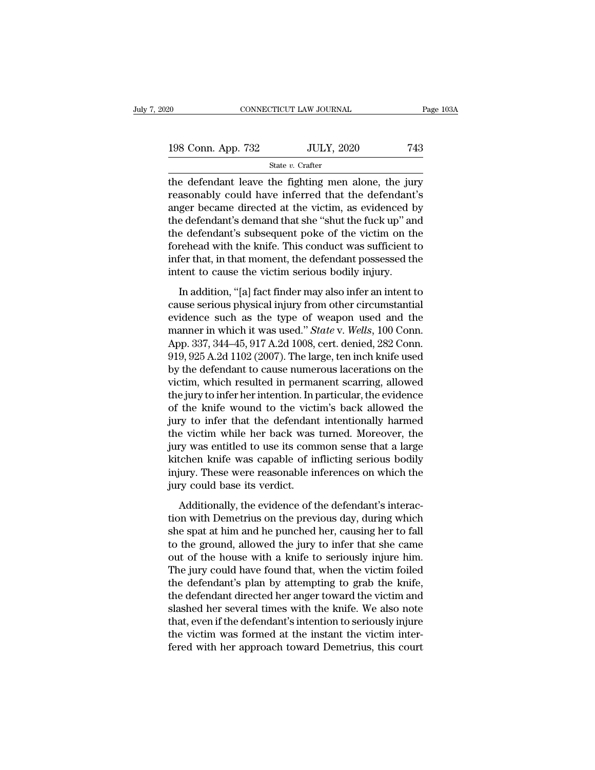| 120                | CONNECTICUT LAW JOURNAL | Page 103A |
|--------------------|-------------------------|-----------|
| 198 Conn. App. 732 | <b>JULY, 2020</b>       | 743       |
|                    | State $v$ . Crafter     |           |

EXECTE AN JOURNAL Page 103A<br>
198 Conn. App. 732 JULY, 2020 743<br>
State v. Crafter<br>
the defendant leave the fighting men alone, the jury<br>
reasonably could have inferred that the defendant's<br>
anger because directed at the vi 198 Conn. App. 732 JULY, 2020 743<br>
State v. Crafter<br>
the defendant leave the fighting men alone, the jury<br>
reasonably could have inferred that the defendant's<br>
anger became directed at the victim, as evidenced by<br>
the def 198 Conn. App. 732 JULY, 2020 743<br>
State v. Crafter<br>
the defendant leave the fighting men alone, the jury<br>
reasonably could have inferred that the defendant's<br>
anger became directed at the victim, as evidenced by<br>
the def 198 Conn. App. 732 JULY, 2020 743<br>
State v. Crafter<br>
the defendant leave the fighting men alone, the jury<br>
reasonably could have inferred that the defendant's<br>
anger became directed at the victim, as evidenced by<br>
the def State v. Crafter<br>the defendant leave the fighting men alone, the jury<br>reasonably could have inferred that the defendant's<br>anger became directed at the victim, as evidenced by<br>the defendant's demand that she "shut the fuck state v. Cratter<br>the defendant leave the fighting men alone, the jury<br>reasonably could have inferred that the defendant's<br>anger became directed at the victim, as evidenced by<br>the defendant's demand that she "shut the fuck the defendant leave the fighting men alone, the jury<br>reasonably could have inferred that the defendant's<br>anger became directed at the victim, as evidenced by<br>the defendant's demand that she "shut the fuck up" and<br>the defen reasonably could have inferred that the defendant<br>anger became directed at the victim, as evidenced b<br>the defendant's demand that she "shut the fuck up" an<br>the defendant's subsequent poke of the victim on th<br>forehead with is a defendant's demand that she "shut the fuck up" and<br>e defendant's subsequent poke of the victim on the<br>rehead with the knife. This conduct was sufficient to<br>fer that, in that moment, the defendant possessed the<br>tent to the defendant's subsequent poke of the victim on the<br>forehead with the knife. This conduct was sufficient to<br>infer that, in that moment, the defendant possessed the<br>intent to cause the victim serious bodily injury.<br>In addi

forehead with the knife. This conduct was sufficient to<br>infer that, in that moment, the defendant possessed the<br>intent to cause the victim serious bodily injury.<br>In addition, "[a] fact finder may also infer an intent to<br>c infer that, in that moment, the defendant possessed the<br>intent to cause the victim serious bodily injury.<br>In addition, "[a] fact finder may also infer an intent to<br>cause serious physical injury from other circumstantial<br>ev The main of the victim serious bodily injury.<br>
In addition, "[a] fact finder may also infer an intent to<br>
cause serious physical injury from other circumstantial<br>
evidence such as the type of weapon used and the<br>
manner in In addition, "[a] fact finder may also infer an intent to<br>cause serious physical injury from other circumstantial<br>evidence such as the type of weapon used and the<br>manner in which it was used." *State* v. *Wells*, 100 Conn In addition, "[a] fact finder may also infer an intent to<br>cause serious physical injury from other circumstantial<br>evidence such as the type of weapon used and the<br>manner in which it was used." *State* v. Wells, 100 Conn.<br> cause serious physical injury from other circumstantial<br>evidence such as the type of weapon used and the<br>manner in which it was used." *State* v. *Wells*, 100 Conn.<br>App. 337, 344–45, 917 A.2d 1008, cert. denied, 282 Conn.<br> evidence such as the type of weapon used and the<br>manner in which it was used." *State* v. *Wells*, 100 Conn.<br>App. 337, 344–45, 917 A.2d 1008, cert. denied, 282 Conn.<br>919, 925 A.2d 1102 (2007). The large, ten inch knife use manner in which it was used." *State* v. *Wells*, 100 Conn.<br>App. 337, 344–45, 917 A.2d 1008, cert. denied, 282 Conn.<br>919, 925 A.2d 1102 (2007). The large, ten inch knife used<br>by the defendant to cause numerous lacerations App. 337, 344–45, 917 A.2d 1008, cert. denied, 282 Conn.<br>919, 925 A.2d 1102 (2007). The large, ten inch knife used<br>by the defendant to cause numerous lacerations on the<br>victim, which resulted in permanent scarring, allowed 919, 925 A.2d 1102 (2007). The large, ten inch knife used<br>by the defendant to cause numerous lacerations on the<br>victim, which resulted in permanent scarring, allowed<br>the jury to infer her intention. In particular, the evid by the defendant to cause numerous lacerations on the<br>victim, which resulted in permanent scarring, allowed<br>the jury to infer her intention. In particular, the evidence<br>of the knife wound to the victim's back allowed the<br>j victim, which resulted in permanent scarring, allowed<br>the jury to infer her intention. In particular, the evidence<br>of the knife wound to the victim's back allowed the<br>jury to infer that the defendant intentionally harmed<br>t the jury to infer her intention. In particular, the evidence<br>of the knife wound to the victim's back allowed the<br>jury to infer that the defendant intentionally harmed<br>the victim while her back was turned. Moreover, the<br>jur of the knife wound to the victi<br>jury to infer that the defendant<br>the victim while her back was<br>jury was entitled to use its com<br>kitchen knife was capable of in<br>injury. These were reasonable in<br>jury could base its verdict.<br> e victim while her back was turned. Moreover, the<br>ry was entitled to use its common sense that a large<br>tchen knife was capable of inflicting serious bodily<br>jury. These were reasonable inferences on which the<br>ry could base the properties is common sense that a large<br>that a large kitchen knife was capable of inflicting serious bodily<br>injury. These were reasonable inferences on which the<br>jury could base its verdict.<br>Additionally, the evidence

she shows a spate of inflicting serious bodily<br>injury. These were reasonable inferences on which the<br>jury could base its verdict.<br>Additionally, the evidence of the defendant's interac-<br>tion with Demetrius on the previous injury. These were reasonable inferences on which the<br>jury could base its verdict.<br>Additionally, the evidence of the defendant's interac-<br>tion with Demetrius on the previous day, during which<br>she spat at him and he punched jury could base its verdict.<br>Additionally, the evidence of the defendant's interaction with Demetrius on the previous day, during which<br>she spat at him and he punched her, causing her to fall<br>to the ground, allowed the jur Additionally, the evidence of the defendant's interaction with Demetrius on the previous day, during which she spat at him and he punched her, causing her to fall to the ground, allowed the jury to infer that she came out Additionally, the evidence of the defendant's interaction with Demetrius on the previous day, during which she spat at him and he punched her, causing her to fall to the ground, allowed the jury to infer that she came out tion with Demetrius on the previous day, during which<br>she spat at him and he punched her, causing her to fall<br>to the ground, allowed the jury to infer that she came<br>out of the house with a knife to seriously injure him.<br>Th she spat at him and he punched her, causing her to fall<br>to the ground, allowed the jury to infer that she came<br>out of the house with a knife to seriously injure him.<br>The jury could have found that, when the victim foiled<br>t to the ground, allowed the jury to infer that she came<br>out of the house with a knife to seriously injure him.<br>The jury could have found that, when the victim foiled<br>the defendant's plan by attempting to grab the knife,<br>the out of the house with a knife to seriously injure him.<br>The jury could have found that, when the victim foiled<br>the defendant's plan by attempting to grab the knife,<br>the defendant directed her anger toward the victim and<br>sla The jury could have found that, when the victim foiled<br>the defendant's plan by attempting to grab the knife,<br>the defendant directed her anger toward the victim and<br>slashed her several times with the knife. We also note<br>tha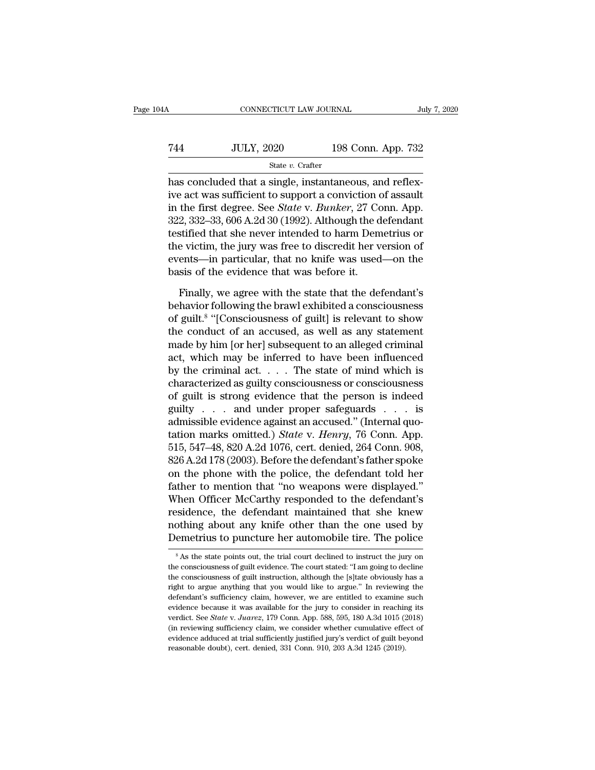# CONNECTICUT LAW JOURNAL July 7, 2020<br>
744 JULY, 2020 198 Conn. App. 732<br>
State v. Crafter State *v.* Crafter

CONNECTICUT LAW JOURNAL<br>
THE STATE STATE STATE STATE STATE STATE STATE STATE STATE STATE STATE STATE STATE STATE STATE STATE STATE STATE STATE STATE STATE STATE STATE STATE STATE STATE STATE STATE STATE STATE STATE STATE S <sup>744</sup> JULY, 2020 198 Conn. App. 732<br>
<sup>State v. Crafter<br>
has concluded that a single, instantaneous, and reflex-<br>
ive act was sufficient to support a conviction of assault<br>
in the first degree. See *State v. Bunker*, 27 Co</sup> Tasker v. Crafter<br>
State v. Crafter<br>
has concluded that a single, instantaneous, and reflex-<br>
ive act was sufficient to support a conviction of assault<br>
in the first degree. See *State* v. *Bunker*, 27 Conn. App.<br>
322, 332 322, 332–33, 606 A.2d 30 (1992). Although the viergin of the view was sufficient to support a conviction of assault in the first degree. See *State v. Bunker*, 27 Conn. App. 322, 332–33, 606 A.2d 30 (1992). Although the d State v. Crafter<br>has concluded that a single, instantaneous, and reflex-<br>ive act was sufficient to support a conviction of assault<br>in the first degree. See *State* v. *Bunker*, 27 Conn. App.<br>322, 332–33, 606 A.2d 30 (1992 state v. Cratter<br>has concluded that a single, instantaneous, and reflex-<br>ive act was sufficient to support a conviction of assault<br>in the first degree. See *State* v. *Bunker*, 27 Conn. App.<br>322, 332–33, 606 A.2d 30 (1992 has concluded that a single, instantaneous, and reflex-<br>ive act was sufficient to support a conviction of assault<br>in the first degree. See *State v. Bunker*, 27 Conn. App.<br>322, 332–33, 606 A.2d 30 (1992). Although the defe ive act was sufficient to support a conviction of<br>in the first degree. See *State* v. *Bunker*, 27 Cc<br>322, 332–33, 606 A.2d 30 (1992). Although the d<br>testified that she never intended to harm Dem<br>the victim, the jury was f 2, 332–33, 606 A.2d 30 (1992). Although the defendant<br>stified that she never intended to harm Demetrius or<br>e victim, the jury was free to discredit her version of<br>ents—in particular, that no knife was used—on the<br>sis of t testified that she never intended to harm Demetrius or<br>the victim, the jury was free to discredit her version of<br>events—in particular, that no knife was used—on the<br>basis of the evidence that was before it.<br>Finally, we agr

the victim, the<br>events—in par<br>basis of the ev<br>Finally, we a<br>behavior follow<br>of guilt.<sup>8</sup> "[Con<br>the conduct of (a), the jury was free to discredit her version of<br>
in particular, that no knife was used—on the<br>
the evidence that was before it.<br>
The evidence that was before it.<br>
We agree with the state that the defendant's<br>
following events—in particular, that no knife was used—on the<br>basis of the evidence that was before it.<br>Finally, we agree with the state that the defendant's<br>behavior following the brawl exhibited a consciousness<br>of guilt.<sup>8</sup> "[Cons basis of the evidence that was before it.<br>
Finally, we agree with the state that the defendant's<br>
behavior following the brawl exhibited a consciousness<br>
of guilt.<sup>8</sup> "[Consciousness of guilt] is relevant to show<br>
the con Finally, we agree with the state that the defendant's<br>behavior following the brawl exhibited a consciousness<br>of guilt.<sup>8</sup> "[Consciousness of guilt] is relevant to show<br>the conduct of an accused, as well as any statement<br>m Finally, we agree with the state that the defendant's<br>behavior following the brawl exhibited a consciousness<br>of guilt.<sup>8</sup> "[Consciousness of guilt] is relevant to show<br>the conduct of an accused, as well as any statement<br>m behavior following the brawl exhibited a consciousness<br>of guilt.<sup>8</sup> "[Consciousness of guilt] is relevant to show<br>the conduct of an accused, as well as any statement<br>made by him [or her] subsequent to an alleged criminal<br>a of guilt.<sup>8</sup> "[Consciousness of guilt] is relevant to show<br>the conduct of an accused, as well as any statement<br>made by him [or her] subsequent to an alleged criminal<br>act, which may be inferred to have been influenced<br>by t the conduct of an accused, as well as any statement<br>made by him [or her] subsequent to an alleged criminal<br>act, which may be inferred to have been influenced<br>by the criminal act.... The state of mind which is<br>characterize made by him [or her] subsequent to an alleged criminal<br>act, which may be inferred to have been influenced<br>by the criminal act.... The state of mind which is<br>characterized as guilty consciousness or consciousness<br>of guilt act, which may be inferred to have been influenced<br>by the criminal act. . . . The state of mind which is<br>characterized as guilty consciousness or consciousness<br>of guilt is strong evidence that the person is indeed<br>guilty . by the criminal act. . . . The state of mind which is<br>characterized as guilty consciousness or consciousness<br>of guilt is strong evidence that the person is indeed<br>guilty . . . and under proper safeguards . . . is<br>admissib characterized as guilty consciousness or consciousness<br>of guilt is strong evidence that the person is indeed<br>guilty . . . and under proper safeguards . . . is<br>admissible evidence against an accused." (Internal quo-<br>tation of guilt is strong evidence that the person is indeed<br>guilty . . . and under proper safeguards . . . is<br>admissible evidence against an accused." (Internal quo-<br>tation marks omitted.) *State* v. *Henry*, 76 Conn. App.<br>515, guilty . . . and under proper safeguards . . . is<br>admissible evidence against an accused." (Internal quo-<br>tation marks omitted.) *State* v. *Henry*, 76 Conn. App.<br>515, 547–48, 820 A.2d 1076, cert. denied, 264 Conn. 908,<br>82 admissible evidence against an accused." (Internal quotation marks omitted.) *State* v. *Henry*, 76 Conn. App.<br>515, 547–48, 820 A.2d 1076, cert. denied, 264 Conn. 908,<br>826 A.2d 178 (2003). Before the defendant's father spo tation marks omitted.) *State* v. *Henry*, 76 Conn. App.<br>515, 547–48, 820 A.2d 1076, cert. denied, 264 Conn. 908,<br>826 A.2d 178 (2003). Before the defendant's father spoke<br>on the phone with the police, the defendant told he 515, 547–48, 820 A.2d 1076, cert. denied, 264 Conn. 908, 826 A.2d 178 (2003). Before the defendant's father spoke on the phone with the police, the defendant told her father to mention that "no weapons were displayed." Whe 826 A.2d 178 (2003). Before the defendant's father spoke<br>on the phone with the police, the defendant told her<br>father to mention that "no weapons were displayed."<br>When Officer McCarthy responded to the defendant's<br>residenc When Officer McCarthy responded to the defendant's<br>residence, the defendant maintained that she knew<br>nothing about any knife other than the one used by<br>Demetrius to puncture her automobile tire. The police residence, the defendant maintained that she knew<br>nothing about any knife other than the one used by<br>Demetrius to puncture her automobile tire. The police<br><sup>8</sup>As the state points out, the trial court declined to instruct th

nothing about any knife other than the one used by<br>Demetrius to puncture her automobile tire. The police<br><sup>8</sup>As the state points out, the trial court declined to instruct the jury on<br>the consciousness of guilt evidence. The **Demetrius to puncture her automobile tire. The police**<br><sup>8</sup> As the state points out, the trial court declined to instruct the jury on<br>the consciousness of guilt evidence. The court stated: "I am going to decline<br>the consci Definement is to puncture fier automobile tife. The point of  $\frac{1}{2}$  is a set of  $\frac{1}{2}$  is a set of  $\frac{1}{2}$  is a set of  $\frac{1}{2}$  is a set of  $\frac{1}{2}$  is a set of  $\frac{1}{2}$  is the consciousness of guilt instructio <sup>8</sup> As the state points out, the trial court declined to instruct the jury on the consciousness of guilt evidence. The court stated: "I am going to decline the consciousness of guilt instruction, although the [s]tate obvi the consciousness of guilt evidence. The court stated: "I am going to decline the consciousness of guilt instruction, although the [s]tate obviously has a right to argue anything that you would like to argue." In reviewing the consciousness of guilt instruction, although the [s]tate obviously has a right to argue anything that you would like to argue." In reviewing the defendant's sufficiency claim, however, we are entitled to examine such evidence adduced at trial sufficiently justified jury's verdict of guilt energies.<br>
defendant's sufficiency claim, however, we are entitled to examine such<br>
evidence because it was available for the jury to consider in re defendant's sufficiency claim, however, we are entitled to examine such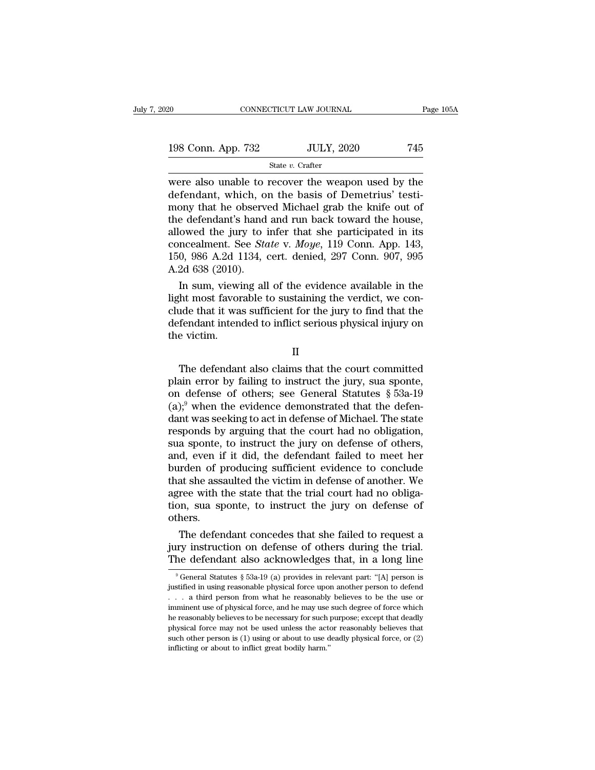| 20                 | CONNECTICUT LAW JOURNAL | Page 105A |
|--------------------|-------------------------|-----------|
| 198 Conn. App. 732 | <b>JULY, 2020</b>       | 745       |
|                    | State $v$ . Crafter     |           |

EXECTE AN SOURNAL Page 105A<br>
198 Conn. App. 732 JULY, 2020 745<br>
State v. Crafter<br>
were also unable to recover the weapon used by the<br>
defendant, which, on the basis of Demetrius' testi-<br>
mony that he observed Michael stab 198 Conn. App. 732 JULY, 2020 745<br>
State v. Crafter<br>
were also unable to recover the weapon used by the<br>
defendant, which, on the basis of Demetrius' testi-<br>
mony that he observed Michael grab the knife out of<br>
the defend 198 Conn. App. 732 JULY, 2020 745<br>
State v. Crafter<br>
were also unable to recover the weapon used by the<br>
defendant, which, on the basis of Demetrius' testi-<br>
mony that he observed Michael grab the knife out of<br>
the defend 198 Conn. App. 732 JULY, 2020 745<br>
State v. Crafter<br>
were also unable to recover the weapon used by the<br>
defendant, which, on the basis of Demetrius' testi-<br>
mony that he observed Michael grab the knife out of<br>
the defend Solution 14pp. 152 and 142<br>
State v. Crafter<br>
were also unable to recover the weapon used by the<br>
defendant, which, on the basis of Demetrius' testi-<br>
mony that he observed Michael grab the knife out of<br>
the defendant's h State *v*. Crafter<br>were also unable to recover the weapon used by the<br>defendant, which, on the basis of Demetrius' testi-<br>mony that he observed Michael grab the knife out of<br>the defendant's hand and run back toward the hou were also unable to recover the weapon used by the<br>defendant, which, on the basis of Demetrius' testi-<br>mony that he observed Michael grab the knife out of<br>the defendant's hand and run back toward the house,<br>allowed the jur defendant, which, or<br>mony that he observe<br>the defendant's hand<br>allowed the jury to i<br>concealment. See *Sto*<br>150, 986 A.2d 1134, or<br>A.2d 638 (2010).<br>In sum, viewing all ony that he observed Michael grab the knife out of<br>e defendant's hand and run back toward the house,<br>owed the jury to infer that she participated in its<br>ncealment. See *State* v. *Moye*, 119 Conn. App. 143,<br>0, 986 A.2d 113 the defendant's hand and run back toward the house,<br>allowed the jury to infer that she participated in its<br>concealment. See *State* v. *Moye*, 119 Conn. App. 143,<br>150, 986 A.2d 1134, cert. denied, 297 Conn. 907, 995<br>A.2d

allowed the jury to infer that she participated in its<br>concealment. See *State* v. *Moye*, 119 Conn. App. 143,<br>150, 986 A.2d 1134, cert. denied, 297 Conn. 907, 995<br>A.2d 638 (2010).<br>In sum, viewing all of the evidence avail concealment. See *State v. Moye*, 119 Conn. App. 143, 150, 986 A.2d 1134, cert. denied, 297 Conn. 907, 995 A.2d 638 (2010).<br>In sum, viewing all of the evidence available in the light most favorable to sustaining the verdi 150, 986 A.2d 1<br>A.2d 638 (2010)<br>In sum, viewi<br>light most favor<br>clude that it wa<br>defendant intenthe victim. In sun, viewing an of the evidence avalable in the<br>ht most favorable to sustaining the verdict, we con-<br>ide that it was sufficient for the jury to find that the<br>fendant intended to inflict serious physical injury on<br>e vic

II

means the statement of statement of the jury to find that the defendant intended to inflict serious physical injury on the victim.<br>
II<br>
The defendant also claims that the court committed plain error by failing to instruct on defendant intended to inflict serious physical injury on<br>the victim.<br> $II$ <br>The defendant also claims that the court committed<br>plain error by failing to instruct the jury, sua sponte,<br>on defense of others; see General Sta (a); The defendant also claims that the court committed<br>plain error by failing to instruct the jury, sua sponte,<br>on defense of others; see General Statutes  $\S$  53a-19<br>(a); when the evidence demonstrated that the defen-<br>da II<br>
The defendant also claims that the court committed<br>
plain error by failing to instruct the jury, sua sponte,<br>
on defense of others; see General Statutes § 53a-19<br>
(a);<sup>9</sup> when the evidence demonstrated that the defen-<br> The defendant also claims that the court committed<br>plain error by failing to instruct the jury, sua sponte,<br>on defense of others; see General Statutes  $\S$  53a-19<br>(a);<sup>9</sup> when the evidence demonstrated that the defen-<br>dant The defendant also claims that the court committed<br>plain error by failing to instruct the jury, sua sponte,<br>on defense of others; see General Statutes  $\S$  53a-19<br>(a);<sup>9</sup> when the evidence demonstrated that the defen-<br>dant plain error by failing to instruct the jury, sua sponte,<br>on defense of others; see General Statutes § 53a-19<br>(a);<sup>9</sup> when the evidence demonstrated that the defen-<br>dant was seeking to act in defense of Michael. The state<br>r on defense of others; see General Statutes  $\S$  53a-19<br>(a);<sup>9</sup> when the evidence demonstrated that the defen-<br>dant was seeking to act in defense of Michael. The state<br>responds by arguing that the court had no obligation,<br>s (a);<sup>9</sup> when the evidence demonstrated that the defendant was seeking to act in defense of Michael. The state responds by arguing that the court had no obligation, sua sponte, to instruct the jury on defense of others, an dant was seeking to act in defense of Michael. The state<br>responds by arguing that the court had no obligation,<br>sua sponte, to instruct the jury on defense of others,<br>and, even if it did, the defendant failed to meet her<br>bu responds by arguing that the court had no obligation,<br>sua sponte, to instruct the jury on defense of others,<br>and, even if it did, the defendant failed to meet her<br>burden of producing sufficient evidence to conclude<br>that sh others. d, even if it did, the defendant failed to meet her<br>irden of producing sufficient evidence to conclude<br>at she assaulted the victim in defense of another. We<br>ree with the state that the trial court had no obliga-<br>in, sua sp burden of producing sufficient evidence to conclude<br>that she assaulted the victim in defense of another. We<br>agree with the state that the trial court had no obliga-<br>tion, sua sponte, to instruct the jury on defense of<br>othe that she assaulted the victim in defense of another. We<br>agree with the state that the trial court had no obliga-<br>tion, sua sponte, to instruct the jury on defense of<br>others.<br>The defendant concedes that she failed to reque

The defendant concedes that she failed to request a<br>try instruction on defense of others during the trial.<br>he defendant also acknowledges that, in a long line<br> $\frac{9}{9}$ General Statutes § 53a-19 (a) provides in relevant pa The defendant concedes that she failed to request a<br>jury instruction on defense of others during the trial.<br>The defendant also acknowledges that, in a long line<br> $\frac{1}{9}$  General Statutes § 53a-19 (a) provides in relevant

jury instruction on defense of others during the trial.<br>The defendant also acknowledges that, in a long line<br> $\frac{1}{9}$  General Statutes § 53a-19 (a) provides in relevant part: "[A] person is<br>justified in using reasonable The defendant also acknowledges that, in a long line<br>  $\frac{1}{2}$  of General Statutes § 53a-19 (a) provides in relevant part: "[A] person is<br>
justified in using reasonable physical force upon another person to defend<br>  $\ldots$ The determinant also acknowledges that, in a long line<br>  $9$  General Statutes § 53a-19 (a) provides in relevant part: "[A] person is<br>
justified in using reasonable physical force upon another person to defend<br>  $\ldots$  a thir <sup>9</sup> General Statutes § 53a-19 (a) provides in relevant part: "[A] person is justified in using reasonable physical force upon another person to defend . . . . a third person from what he reasonably believes to be the use justified in using reasonable physical force upon another person to defend . . . . a third person from what he reasonably believes to be the use or imminent use of physical force, and he may use such degree of force which ... a third person from what he reasonably believes to be the use or imminent use of physical force, and he may use such degree of force which he reasonably believes to be necessary for such purpose; except that deadly ph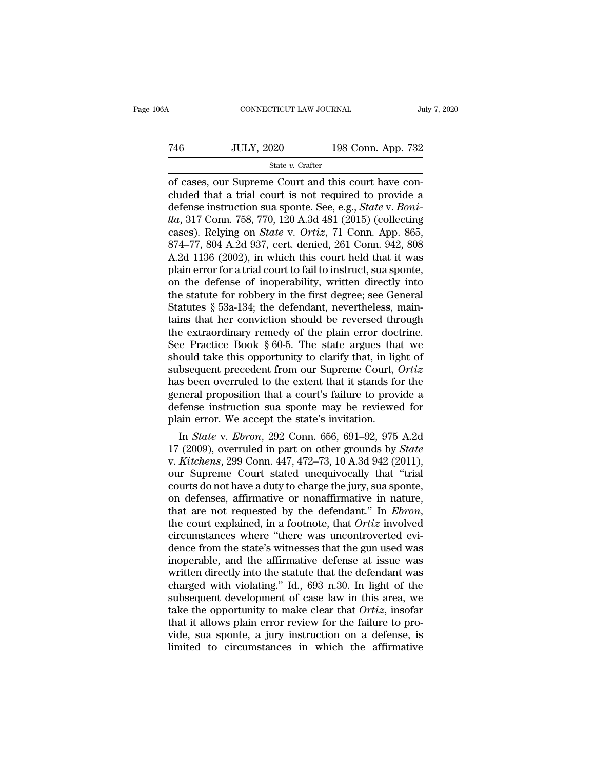# CONNECTICUT LAW JOURNAL July 7, 2020<br>
746 JULY, 2020 198 Conn. App. 732<br>
State v. Crafter

State *v.* Crafter

CONNECTICUT LAW JOURNAL<br>
THE CONNECTICUT COURNAL<br>
State v. Crafter<br>
State v. Crafter<br>
State v. Crafter<br>
Court and this court have con-<br>
cluded that a trial court is not required to provide a<br>
defense instruction sug sponto T46 JULY, 2020 198 Conn. App. 732<br>
State v. Crafter<br>
of cases, our Supreme Court and this court have concluded that a trial court is not required to provide a<br>
defense instruction sua sponte. See, e.g., *State v. Boni-<br>
l* Taske v. Crafter<br>
State v. Crafter<br>
of cases, our Supreme Court and this court have concluded that a trial court is not required to provide a<br>
defense instruction sua sponte. See, e.g., *State* v. *Boni-*<br> *Ha*, 317 Conn. **198 Conn. App. 732**<br> **of cases, our Supreme Court and this court have concluded that a trial court is not required to provide a<br>
defense instruction sua sponte. See, e.g.,** *State v. Boni-<br>
lla***, 317 Conn. 758, 770, 120 A.** State *v.* Crafter<br>
of cases, our Supreme Court and this court have con-<br>
cluded that a trial court is not required to provide a<br>
defense instruction sua sponte. See, e.g., *State* v. *Boni-*<br> *lla*, 317 Conn. 758, 770, 12 state v. Crafter<br>
of cases, our Supreme Court and this court have con-<br>
cluded that a trial court is not required to provide a<br>
defense instruction sua sponte. See, e.g., *State v. Boni-*<br> *lla*, 317 Conn. 758, 770, 120 A. of cases, our Supreme Court and this court have concluded that a trial court is not required to provide a defense instruction sua sponte. See, e.g., *State* v. *Bonilla*, 317 Conn. 758, 770, 120 A.3d 481 (2015) (collecting cluded that a trial court is not required to provide a<br>defense instruction sua sponte. See, e.g., *State* v. *Boni-<br>lla*, 317 Conn. 758, 770, 120 A.3d 481 (2015) (collecting<br>cases). Relying on *State* v. *Ortiz*, 71 Conn. defense instruction sua sponte. See, e.g., *State* v. *Boni-<br>lla*, 317 Conn. 758, 770, 120 A.3d 481 (2015) (collecting<br>cases). Relying on *State* v. *Ortiz*, 71 Conn. App. 865,<br>874–77, 804 A.2d 937, cert. denied, 261 Conn. lla, 317 Conn. 758, 770, 120 A.3d 481 (2015) (collecting<br>cases). Relying on *State* v. *Ortiz*, 71 Conn. App. 865,<br>874–77, 804 A.2d 937, cert. denied, 261 Conn. 942, 808<br>A.2d 1136 (2002), in which this court held that it w cases). Relying on *State* v. *Ortiz*, 71 Conn. App. 865, 874–77, 804 A.2d 937, cert. denied, 261 Conn. 942, 808 A.2d 1136 (2002), in which this court held that it was plain error for a trial court to fail to instruct, sua 874–77, 804 A.2d 937, cert. denied, 261 Conn. 942, 808<br>A.2d 1136 (2002), in which this court held that it was<br>plain error for a trial court to fail to instruct, sua sponte,<br>on the defense of inoperability, written directl A.2d 1136 (2002), in which this court held that it was<br>plain error for a trial court to fail to instruct, sua sponte,<br>on the defense of inoperability, written directly into<br>the statute for robbery in the first degree; see plain error for a trial court to fail to instruct, sua sponte,<br>on the defense of inoperability, written directly into<br>the statute for robbery in the first degree; see General<br>Statutes § 53a-134; the defendant, nevertheless on the defense of inoperability, written directly into<br>the statute for robbery in the first degree; see General<br>Statutes § 53a-134; the defendant, nevertheless, main-<br>tains that her conviction should be reversed through<br>t the statute for robbery in the first degree; see General<br>Statutes § 53a-134; the defendant, nevertheless, main-<br>tains that her conviction should be reversed through<br>the extraordinary remedy of the plain error doctrine.<br>See Statutes § 53a-134; the defendant, nevertheless, maintains that her conviction should be reversed through the extraordinary remedy of the plain error doctrine.<br>See Practice Book § 60-5. The state argues that we should tak tains that her conviction should be reversed through<br>the extraordinary remedy of the plain error doctrine.<br>See Practice Book  $\S 60-5$ . The state argues that we<br>should take this opportunity to clarify that, in light of<br>sub the extraordinary remedy of the plain error doctrine.<br>See Practice Book  $\S 60-5$ . The state argues that we should take this opportunity to clarify that, in light of subsequent precedent from our Supreme Court, *Ortiz* has See Practice Book § 60-5. The state argues that we should take this opportunity to clarify that, in light of subsequent precedent from our Supreme Court, *Ortiz* has been overruled to the extent that it stands for the gen ould take this opportunity to clarity that, in light of<br>bsequent precedent from our Supreme Court, *Ortiz*<br>s been overruled to the extent that it stands for the<br>neral proposition that a court's failure to provide a<br>fense i subsequent precedent from our supreme Court, *Ortiz*<br>has been overruled to the extent that it stands for the<br>general proposition that a court's failure to provide a<br>defense instruction sua sponte may be reviewed for<br>plain

has been overruled to the extent that it stands for the<br>general proposition that a court's failure to provide a<br>defense instruction sua sponte may be reviewed for<br>plain error. We accept the state's invitation.<br>In *State* v general proposition that a court's failure to provide a<br>defense instruction sua sponte may be reviewed for<br>plain error. We accept the state's invitation.<br>In *State* v. *Ebron*, 292 Conn. 656, 691–92, 975 A.2d<br>17 (2009), ov defense instruction sua sponte may be reviewed for<br>plain error. We accept the state's invitation.<br>In *State* v. *Ebron*, 292 Conn. 656, 691–92, 975 A.2d<br>17 (2009), overruled in part on other grounds by *State*<br>v. *Kitchen* plain error. we accept the state's invitation.<br>
In *State* v. *Ebron*, 292 Conn. 656, 691–92, 975 A.2d<br>
17 (2009), overruled in part on other grounds by *State*<br>
v. *Kitchens*, 299 Conn. 447, 472–73, 10 A.3d 942 (2011),<br> In *State v. Ebron*, 292 Conn. 656, 691–92, 975 A.2d<br>17 (2009), overruled in part on other grounds by *State*<br>v. *Kitchens*, 299 Conn. 447, 472–73, 10 A.3d 942 (2011),<br>our Supreme Court stated unequivocally that "trial<br>cou v. *Kitchens*, 299 Conn. 447, 472–73, 10 A.3d 942 (2011),<br>our Supreme Court stated unequivocally that "trial<br>courts do not have a duty to charge the jury, sua sponte,<br>on defenses, affirmative or nonaffirmative in nature,<br>t our Supreme Court stated unequivocally that "trial<br>courts do not have a duty to charge the jury, sua sponte,<br>on defenses, affirmative or nonaffirmative in nature,<br>that are not requested by the defendant." In *Ebron*,<br>the c courts do not have a duty to charge the jury, sua sponte,<br>on defenses, affirmative or nonaffirmative in nature,<br>that are not requested by the defendant." In *Ebron*,<br>the court explained, in a footnote, that *Ortiz* involv on defenses, affirmative or nonaffirmative in nature,<br>that are not requested by the defendant." In *Ebron*,<br>the court explained, in a footnote, that  $Ortiz$  involved<br>circumstances where "there was uncontroverted evi-<br>dence that are not requested by the defendant." In *Ebron*,<br>the court explained, in a footnote, that *Ortiz* involved<br>circumstances where "there was uncontroverted evi-<br>dence from the state's witnesses that the gun used was<br>ino the court explained, in a footnote, that  $Ortiz$  involved<br>circumstances where "there was uncontroverted evi-<br>dence from the state's witnesses that the gun used was<br>inoperable, and the affirmative defense at issue was<br>writte circumstances where "there was uncontroverted evi-<br>dence from the state's witnesses that the gun used was<br>inoperable, and the affirmative defense at issue was<br>written directly into the statute that the defendant was<br>charge dence from the state's witnesses that the gun used was<br>inoperable, and the affirmative defense at issue was<br>written directly into the statute that the defendant was<br>charged with violating." Id., 693 n.30. In light of the<br> inoperable, and the affirmative defense at issue was<br>written directly into the statute that the defendant was<br>charged with violating." Id., 693 n.30. In light of the<br>subsequent development of case law in this area, we<br>tak written directly into the statute that the defendant was charged with violating." Id., 693 n.30. In light of the subsequent development of case law in this area, we take the opportunity to make clear that *Ortiz*, insofar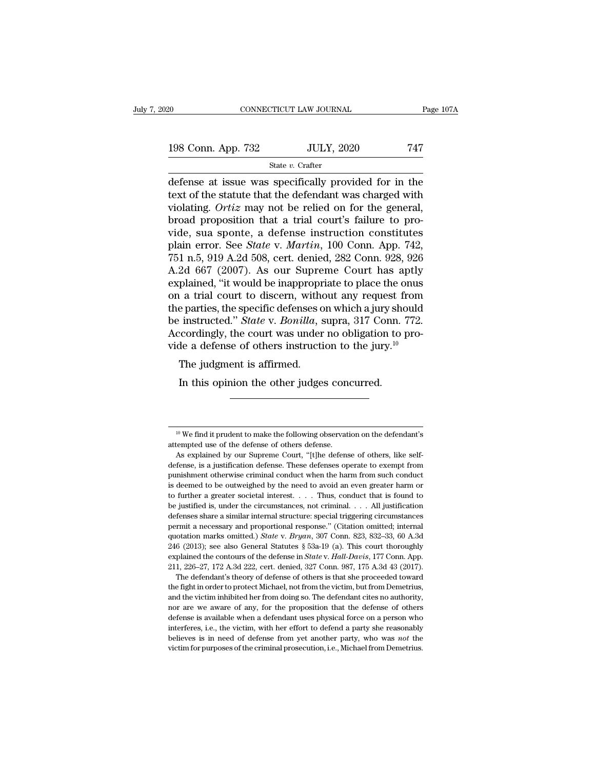| 20                 | CONNECTICUT LAW JOURNAL |                   | Page 107A |
|--------------------|-------------------------|-------------------|-----------|
| 198 Conn. App. 732 |                         | <b>JULY, 2020</b> | 747       |
|                    | State $v$ . Crafter     |                   |           |

connectricut LAW JOURNAL Page 107A<br>
198 Conn. App. 732 JULY, 2020 747<br>
State v. Crafter<br>
defense at issue was specifically provided for in the<br>
text of the statute that the defendant was charged with<br>
violating Ortics may 198 Conn. App. 732 JULY, 2020 747<br>
State v. Crafter<br>
defense at issue was specifically provided for in the<br>
text of the statute that the defendant was charged with<br>
violating. *Ortiz* may not be relied on for the general, 198 Conn. App. 732 JULY, 2020 747<br>
State v. Crafter<br>
defense at issue was specifically provided for in the<br>
text of the statute that the defendant was charged with<br>
violating. *Ortiz* may not be relied on for the general, 198 Conn. App. 732 JULY, 2020 747<br>
State v. Crafter<br>
defense at issue was specifically provided for in the<br>
text of the statute that the defendant was charged with<br>
violating. *Ortiz* may not be relied on for the general, State v. Crafter<br>
State v. Crafter<br>
defense at issue was specifically provided for in the<br>
text of the statute that the defendant was charged with<br>
violating. Ortiz may not be relied on for the general,<br>
broad proposition state *v*. Cratter<br>defense at issue was specifically provided for in the<br>text of the statute that the defendant was charged with<br>violating. *Ortiz* may not be relied on for the general,<br>broad proposition that a trial court defense at issue was specifically provided for in the<br>text of the statute that the defendant was charged with<br>violating. *Ortiz* may not be relied on for the general,<br>broad proposition that a trial court's failure to pro-<br> text of the statute that the defendant was charged with<br>violating. *Ortiz* may not be relied on for the general,<br>broad proposition that a trial court's failure to pro-<br>vide, sua sponte, a defense instruction constitutes<br>pl violating. *Ortiz* may not be relied on for the general,<br>broad proposition that a trial court's failure to pro-<br>vide, sua sponte, a defense instruction constitutes<br>plain error. See *State* v. *Martin*, 100 Conn. App. 742,<br> broad proposition that a trial court's failure to pro-<br>vide, sua sponte, a defense instruction constitutes<br>plain error. See *State* v. *Martin*, 100 Conn. App. 742,<br>751 n.5, 919 A.2d 508, cert. denied, 282 Conn. 928, 926<br>A vide, sua sponte, a defense instruction constitutes<br>plain error. See *State* v. *Martin*, 100 Conn. App. 742,<br>751 n.5, 919 A.2d 508, cert. denied, 282 Conn. 928, 926<br>A.2d 667 (2007). As our Supreme Court has aptly<br>explaine plain error. See *State* v. *Martin*, 100 Conn. App. 742,<br>751 n.5, 919 A.2d 508, cert. denied, 282 Conn. 928, 926<br>A.2d 667 (2007). As our Supreme Court has aptly<br>explained, "it would be inappropriate to place the onus<br>on a 751 n.5, 919 A.2d 508, cert. denied, 282 Conn. 928, 926<br>A.2d 667 (2007). As our Supreme Court has aptly<br>explained, "it would be inappropriate to place the onus<br>on a trial court to discern, without any request from<br>the par A.2d 667 (2007). As our Supreme Court has aptly explained, "it would be inappropriate to place the onus on a trial court to discern, without any request from the parties, the specific defenses on which a jury should be in  $\mu$  a trial court to discern, with<br>e parties, the specific defenses of instructed." *State v. Bonilla*, secordingly, the court was under<br>the a defense of others instruction.<br>The judgment is affirmed.<br>In this opinion the Equality shead in the specific defenses on which a jury show instructed." *State* v. *Bonilla*, supra, 317 Conn. '<br>coordingly, the court was under no obligation to p<br>de a defense of others instruction to the jury.<sup>10</sup><br>The

246 (2013); see also General Statutes § 53a-19 (a). This court thoroughly explained the contours of the defense in *State* v. *Hall-Davis*, 177 Conn. App. 211, 226–27, 172 A.3d 222, cert. denied, 327 Conn. 987, 175 A.3d 4 explained the contours of the defense in *State* v. *Hall-Davis*, 177 Conn. App. 211, 226–27, 172 A.3d 222, cert. denied, 327 Conn. 987, 175 A.3d 43 (2017). The defendant's theory of defense of others is that she proceede 211, 226–27, 172 A.3d 222, cert. denied, 327 Conn. 987, 175 A.3d 43 (2017).<br>211, 226–27, 172 A.3d 222, cert. denied, 327 Conn. 987, 175 A.3d 43 (2017).<br>The defendant's theory of defense of others is that she proceeded towa The defendant's theory of defense of others is that she proceeded toward the fight in order to protect Michael, not from the victim, but from Demetrius, and the victim inhibited her from doing so. The defendant cites no a the fight in order to protect Michael, not from the victim, but from Demetrius, and the victim inhibited her from doing so. The defendant cites no authority, nor are we aware of any, for the proposition that the defense of and the victim inhibited her from doing so. The defendant cites no authority, nor are we aware of any, for the proposition that the defense of others defense is available when a defendant uses physical force on a person w

In this opinion the other judges concurred.<br>
<sup>10</sup> We find it prudent to make the following observation on the defendant's<br>
tempted use of the defense of others defense. attempted use of the defense of others defense.<br>As explained by our Supreme Court, "[t]he defense.

 $\frac{10 \text{ We find it prudent to make the following observation on the defendant's  
tempted use of the defense of others defense. As explained by our Supreme Court, "[t]he defense of others, like self-  
fense, is a justification defense. These defense operate to exempt from$ <sup>10</sup> We find it prudent to make the following observation on the defendant's attempted use of the defense of others defense.<br>As explained by our Supreme Court, "[t]he defense of others, like self-defense, is a justificati <sup>10</sup> We find it prudent to make the following observation on the defendant's attempted use of the defense of others defense.<br>As explained by our Supreme Court, "[t]he defense of others, like self-defense, is a justificati <sup>10</sup> We find it prudent to make the following observation on the defendant's attempted use of the defense of others defense.<br>As explained by our Supreme Court, "[t]he defense of others, like self-defense, is a justificati to further a greater societal interest. . . . Thus, conduct that is found to As explained by our Supreme Court, "[t]he defense of others, like self-<br>defense, is a justification defense. These defenses operate to exempt from<br>punishment otherwise criminal conduct when the harm from such conduct<br>is d defense, is a justification defense. These defenses operate to exempt from punishment otherwise criminal conduct when the harm from such conduct is deemed to be outweighed by the need to avoid an even greater harm or to fu punishment otherwise criminal conduct when the harm from such conduct<br>is deemed to be outweighed by the need to avoid an even greater harm or<br>to further a greater societal interest. . . . Thus, conduct that is found to<br>be is deemed to be outweighed by the need to avoid an even greater harm or<br>to further a greater societal interest. . . . Thus, conduct that is found to<br>be justified is, under the circumstances, not criminal. . . . All justifi to further a greater societal interest. . . . Thus, conduct that is found to be justified is, under the circumstances, not criminal. . . . All justification defenses share a similar internal structure: special triggering be justified is, under the circumstances, not criminal. . . . All justification defenses share a similar internal structure: special triggering circumstances permit a necessary and proportional response." (Citation omitted 211, 226–27, 172 A.3d 222, cert. denied, 327 Conn. 823, 332–33, 60 A.3d 246 (2013); see also General Structure: special triggering circumstances permit a necessary and proportional response." (Citation omitted; internal q rmit a necessary and proportional response." (Citation omitted; internal otation marks omitted.) *State* v. *Bryan*, 307 Conn. 823, 832–33, 60 A.3d 6 (2013); see also General Statutes § 53a-19 (a). This court thoroughly p quotation marks omitted.) *State v. Bryan*, 307 Conn. 823, 832–33, 60 A.3d 246 (2013); see also General Statutes § 53a-19 (a). This court thoroughly explained the contours of the defense in *State v. Hall-Davis*, 177 Conn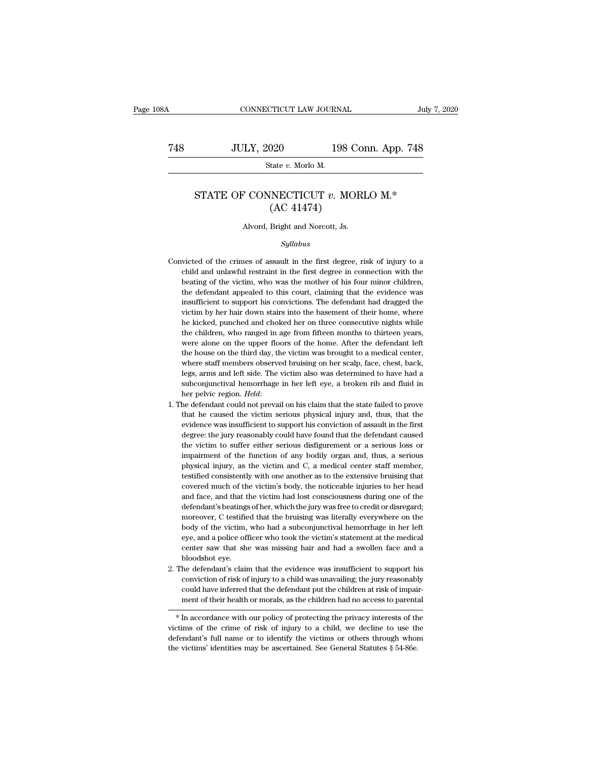# STATE OF CONNECTICUT *v*. MORLO M.\* (AC 41474)  $\begin{array}{ll}\n 020 & 198 \text{ C} \\
 \text{Rate } v. \text{ Morlo M.} \\
 \text{INECTICUT } v. \text{ MOD} \\
 \text{(AC 41474)} \\
 \text{Bright and Norcott, Js.}\n \end{array}$ State v. Morlo M.<br>
STATE OF CONNECTICUT v. MORLO M.\*<br>
(AC 41474)<br>
Alvord, Bright and Norcott, Js.

### *Syllabus*

- $(AC 41474)$ <br>Alvord, Bright and Norcott, Js.<br>Syllabus<br>Convicted of the crimes of assault in the first degree, risk of injury to a<br>child and unlawful restraint in the first degree in connection with the Alvord, Bright and Norcott, Js.<br>
Syllabus<br>
victed of the crimes of assault in the first degree, risk of injury to a<br>
child and unlawful restraint in the first degree in connection with the<br>
beating of the victim, who was t Alvord, Bright and Norcott, Js.<br>
Syllabus<br>
victed of the crimes of assault in the first degree, risk of injury to a<br>
child and unlawful restraint in the first degree in connection with the<br>
beating of the victim, who was t Syllabus<br>
since defendant appearance with the first degree, risk of injury to a<br>
child and unlawful restraint in the first degree in connection with the<br>
beating of the victim, who was the mother of his four minor children sytuables of the crimes of assault in the first degree, risk of injury to a child and unlawful restraint in the first degree in connection with the beating of the victim, who was the mother of his four minor children, the victed of the crimes of assault in the first degree, risk of injury to a child and unlawful restraint in the first degree in connection with the beating of the victim, who was the mother of his four minor children, the def child and unlawful restraint in the first degree in connection with the beating of the victim, who was the mother of his four minor children, the defendant appealed to this court, claiming that the evidence was insufficien child and unlawful restraint in the first degree in connection with the beating of the victim, who was the mother of his four minor children, the defendant appealed to this couvrt, claiming that the evidence was insufficie the defendant appealed to this court, claiming that the evidence was insufficient to support his convictions. The defendant had dragged the victim by her hair down stairs into the basement of their home, where he kicked, p insufficient to support his convictions. The defendant had dragged the victim by her hair down stairs into the basement of their home, where he kicked, punched and choked her on three consecutive nights while the children, wictim by her hair down stairs into the basement of their home, where he kicked, punched and choked her on three consecutive nights while the children, who ranged in age from fifteen months to thirteen years, were alone on he kicked, punched and choked her on three consecutive nights while<br>the children, who ranged in age from fifteen months to thirteen years,<br>were alone on the upper floors of the home. After the defendant left<br>the house on t the children, who ranged in age from fifteen months to thirteen years, were alone on the upper floors of the home. After the defendant left the house on the third day, the victim was brought to a medical center, where sta were alone on the upper floors of the home. After the defendant left<br>the house on the third day, the victim was brought to a medical center,<br>where staff members observed bruising on her scalp, face, chest, back,<br>legs, arms where staff members observed bruising on her scalp, face, chest, back, legs, arms and left side. The victim also was determined to have had a subconjunctival hemorrhage in her left eye, a broken rib and fluid in her pelvic
- legs, arms and left side. The victim also was determined to have had a subconjunctival hemorrhage in her left eye, a broken rib and fluid in her pelvic region. *Held*:<br>he defendant could not prevail on his claim that the s subconjunctival hemorrhage in her left eye, a broken rib and fluid in<br>her pelvic region. *Held*:<br>the defendant could not prevail on his claim that the state failed to prove<br>that he caused the victim serious physical injury the pelvic region. *Held*:<br>the defendant could not prevail on his claim that the state failed to prove<br>that he caused the victim serious physical injury and, thus, that the<br>evidence was insufficient to support his convicti he defendant could not prevail on his claim that the state failed to prove that he caused the victim serious physical injury and, thus, that the evidence was insufficient to support his conviction of assault in the first d that he caused the victim serious physical injury and, thus, that the evidence was insufficient to support his conviction of assault in the first degree: the jury reasonably could have found that the defendant caused the v evidence was insufficient to support his conviction of assault in the first degree: the jury reasonably could have found that the defendant caused the victim to suffer either serious disfigurement or a serious loss or impa degree: the jury reasonably could have found that the defendant caused<br>the victim to suffer either serious disfigurement or a serious loss or<br>impairment of the function of any bodily organ and, thus, a serious<br>physical inj the victim to suffer either serious disfigurement or a serious loss or impairment of the function of any bodily organ and, thus, a serious physical injury, as the victim and C, a medical center staff member, testified cons impairment of the function of any bodily organ and, thus, a serious<br>physical injury, as the victim and C, a medical center staff member,<br>testified consistently with one another as to the extensive bruising that<br>covered muc physical injury, as the victim and C, a medical center staff member, testified consistently with one another as to the extensive bruising that covered much of the victim's body, the noticeable injuries to her head and face testified consistently with one another as to the extensive bruising that covered much of the victim's body, the noticeable injuries to her head and face, and that the victim had lost consciousness during one of the defend covered much of the victim's body, the noticeable injuries to her head and face, and that the victim had lost consciousness during one of the defendant's beatings of her, which the jury was free to credit or disregard; mor and face, and that the victim had lost consciousness during one of the defendant's beatings of her, which the jury was free to credit or disregard; moreover, C testified that the bruising was literally everywhere on the bo and face, and that the victim had lost consciousness during one of the defendant's beatings of her, which the jury was free to credit or disregard; moreover, C testified that the bruising was literally everywhere on the bo moreover, C testified that the bruising was literally everywhere on the body of the victim, who had a subconjunctival hemorrhage in her left eye, and a police officer who took the victim's statement at the medical center s body of the victim, who had a subconjunctival hemorrhage in her left<br>eye, and a police officer who took the victim's statement at the medical<br>center saw that she was missing hair and had a swollen face and a<br>bloodshot eye.
- eye, and a police officer who took the victim's statement at the medical<br>center saw that she was missing hair and had a swollen face and a<br>bloodshot eye.<br>The defendant's claim that the evidence was insufficient to support ment of the their health or morals, as the children had no access to parental conviction of risk of injury to a child was unavailing; the jury reasonably could have inferred that the defendant put the children at risk of i 2. The defendant scialling that the evidence was insulficient to support his<br>conviction of risk of injury to a child was unavailing; the jury reasonably<br>could have inferred that the defendant put the children at risk of im

conviction of risk of injury to a child was unavailing; the jury reasonably<br>could have inferred that the defendant put the children at risk of impair-<br>ment of their health or morals, as the children had no access to parent  $*$  In accordance with our policy of protecting the privacy interests of the victims of the crime of risk of injury to a child, we decline to use the defendant's full name or to identify the victims or others through whom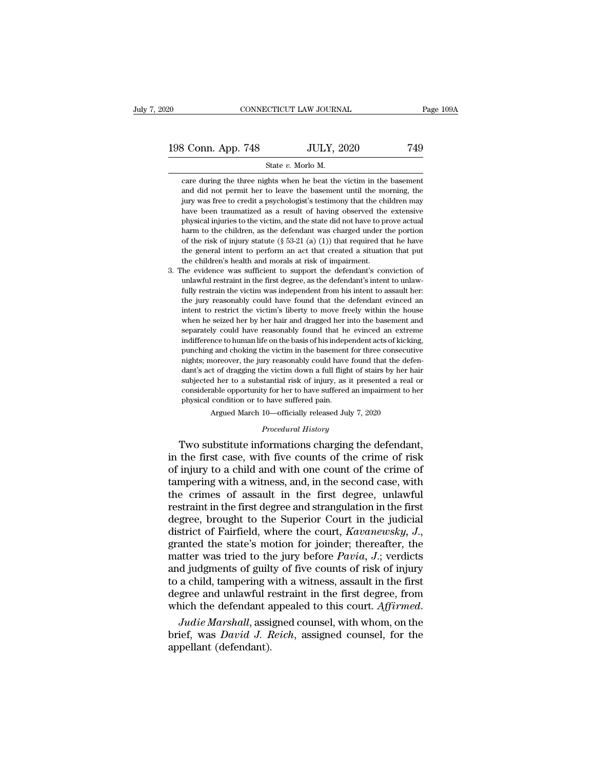EXECUTE 2000 CONNECTICUT LAW JOURNAL Page 109A<br>198 Conn. App. 748 JULY, 2020 749<br>State v. Morlo M. CONNECTICUT LAW JOURNAL<br>
State *v.* Morlo M.<br>
State *v.* Morlo M.<br>
Care during the three nights when he beat the victim in the basement

**care during the three nights when he beat the victim in the basement**<br>care during the three nights when he beat the victim in the basement<br>and did not permit her to leave the basement until the morning, the 3 Conn. App. 748 JULY, 2020 749<br>State v. Morlo M.<br>care during the three nights when he beat the victim in the basement<br>and did not permit her to leave the basement until the morning, the<br>jury was free to credit a psycholo  $\frac{3 \text{ Conn. App. 748}}{\text{State } v. \text{ Morlo M.}}$ <br>  $\frac{3 \text{ State } v. \text{ Morlo M.}}{\text{care during the three nights when he beat the victim in the basement and did not permit her to leave the basement until the morning, the jury was free to credit a psychologist's testimony that the children may have been transmitted as a result of having observed the extensive$ State  $v$ . Morlo M.<br>
care during the three nights when he beat the victim in the basement<br>
and did not permit her to leave the basement until the morning, the<br>
jury was free to credit a psychologist's testimony that the c State  $v$ . Morlo M.<br>
care during the three nights when he beat the victim in the basement<br>
and did not permit her to leave the basement until the morning, the<br>
jury was free to credit a psychologist's testimony that the c care during the three nights when he beat the victim in the basement<br>and did not permit her to leave the basement until the morning, the<br>jury was free to credit a psychologist's testimony that the children may<br>have been t and did not permit her to leave the basement until the morning, the jury was free to credit a psychologist's testimony that the children may have been traumatized as a result of having observed the extensive physical inju the general intent to perform and that created a situation that was free to credit a psychologist's testimony that the children may have been traumatized as a result of having observed the extensive physical injuries to t flave been traumatized as a result of having observed the physical injuries to the victim, and the state did not have to po harm to the children, as the defendant was charged under t of the risk of injury statute (§ 53-21 mave been tradinatized as a result of naving observed the extensive<br>physical injuries to the victim, and the state did not have to prove actual<br>harm to the children, as the defendant was charged under the portion<br>of the r physical nyunes to the victint, and the state that have to prove actual harm to the children, as the defendant was charged under the portion of the risk of injury statute ( $\S$  53-21 (a) (1)) that required that he have the

full the risk of injury statute (§ 53-21 (a) (1)) that required that he have the general intent to perform an act that created a situation that put the children's health and morals at risk of impairment.<br>The evidence was of the risk of hijury statute ( $\frac{1}{3}$   $55-21$  ( $\frac{1}{a}$ ) (1)) that required that he have the general intent to perform an act that created a situation that put the children's health and morals at risk of impairment.<br>T intert to perform an act that created a shuation that put<br>the children's health and morals at risk of impairment.<br>The evidence was sufficient to support the defendant's intent to unlaw-<br>fully restrain the victim was indepe the children's health and hotals at itsk of impairment.<br>The evidence was sufficient to support the defendant's conviction of<br>unlawfully restraint in the first degree, as the defendant's intent to unlaw-<br>fully restrain the separately could have reasonably found that he evinced an extreme individual restraint in the first degree, as the defendant's intent to unlaw-<br>fully restrain the victim was independent from his intent to assault her:<br>the unlawful restraint in the first degree, as the defendant's intent to unlawfully restrain the victim was independent from his intent to assault her: the jury reasonably could have found that the defendant evinced an intent range is a many restant are victim was inteperted in forth its interit to assaut her.<br>The jury reasonably could have found that the defendant evinced an<br>intent to restrict the victim's liberty to move freely within the hou include yary reasonably count have found that the defendant evinced and intent to restrict the victim's liberty to move freely within the house when he seized her by her hair and dragged her into the basement and separatel methe to restrict the victim's hocking to move freely whilm the holds<br>when he seized her by her hair and dragged her into the basement and<br>separately could have reasonably found that he evinced an extreme<br>indifference to h when he seazed her by her han and dragged her hits die basement and separately could have reasonably found that he evinced an extreme indifference to human life on the basis of his independent acts of kicking, punching and separately collid rave reasonably found that it cwhiced an extreme<br>indifference to human life on the basis of his independent acts of kicking,<br>punching and choking the victim in the basement for three consecutive<br>nights; m mainterence to maniar inte on the basis of his interpretational<br>punching and choking the victim in the basement<br>rights; moreover, the jury reasonably could have<br>dant's act of dragging the victim down a full fligh<br>subjected Frace<br>over, the jury reasonably could have found that the defect of dragging the victim down a full flight of stairs by her had<br>her to a substantial risk of injury, as it presented a real<br>able opportunity for her to have % subjected her to a substantial risk of injury, as it presented a real or considerable opportunity for her to have suffered an impairment to her physical condition or to have suffered pain.<br>Argued March 10—officially rel dant's act of dragging the victim down a full flight of stairs by her hair<br>subjected her to a substantial risk of injury, as it presented a real or<br>considerable opportunity for her to have suffered an impairment to her<br>phy

subjected her to a substantial risk of injury, as it presented a real or<br>considerable opportunity for her to have suffered an impairment to her<br>physical condition or to have suffered pain.<br>Argued March 10—officially releas considerable opportunity for her to have suffered an impairment to her<br>physical condition or to have suffered pain.<br>Argued March 10—officially released July 7, 2020<br>*Procedural History*<br>Two substitute informations charging Figure March 10—officially released July 7, 2020<br> *Procedural History*<br>
Two substitute informations charging the defendant,<br>
in the first case, with five counts of the crime of risk<br>
of injury to a child and with one count *Procedural History*<br>*Procedural History*<br>Two substitute informations charging the defendant,<br>in the first case, with five counts of the crime of risk<br>of injury to a child and with one count of the crime of<br>tampering with *Procedural History*<br>Two substitute informations charging the defendant,<br>in the first case, with five counts of the crime of risk<br>of injury to a child and with one count of the crime of<br>tampering with a witness, and, in th Two substitute informations charging the defendant,<br>in the first case, with five counts of the crime of risk<br>of injury to a child and with one count of the crime of<br>tampering with a witness, and, in the second case, with<br> in the first case, with five counts of the crime of risk<br>of injury to a child and with one count of the crime of<br>tampering with a witness, and, in the second case, with<br>the crimes of assault in the first degree, unlawful<br>r tampering with a witness, and, in the second case, with<br>the crimes of assault in the first degree, unlawful<br>restraint in the first degree and strangulation in the first<br>degree, brought to the Superior Court in the judicial the crimes of assault in the first degree, unlawful<br>restraint in the first degree and strangulation in the first<br>degree, brought to the Superior Court in the judicial<br>district of Fairfield, where the court, *Kavanewsky*, restraint in the first degree and strangulation in the first<br>degree, brought to the Superior Court in the judicial<br>district of Fairfield, where the court, *Kavanewsky*, *J.*,<br>granted the state's motion for joinder; thereaf degree, brought to the Superior Court in the judicial<br>district of Fairfield, where the court, *Kavanewsky*, *J.*,<br>granted the state's motion for joinder; thereafter, the<br>matter was tried to the jury before *Pavia*, *J.*; v district of Fairfield, where the court, *Kavanewsky*, *J*., granted the state's motion for joinder; thereafter, the matter was tried to the jury before *Pavia*, *J*.; verdicts and judgments of guilty of five counts of risk matter was tried to the jury before *Pavia*, *J.*; verdicts<br>and judgments of guilty of five counts of risk of injury<br>to a child, tampering with a witness, assault in the first<br>degree and unlawful restraint in the first deg and judgments of guilt<br>to a child, tampering w<br>degree and unlawful r<br>which the defendant a<br>*Judie Marshall*, assi<br>brief, was *David J. K*<br>appellant (defendant).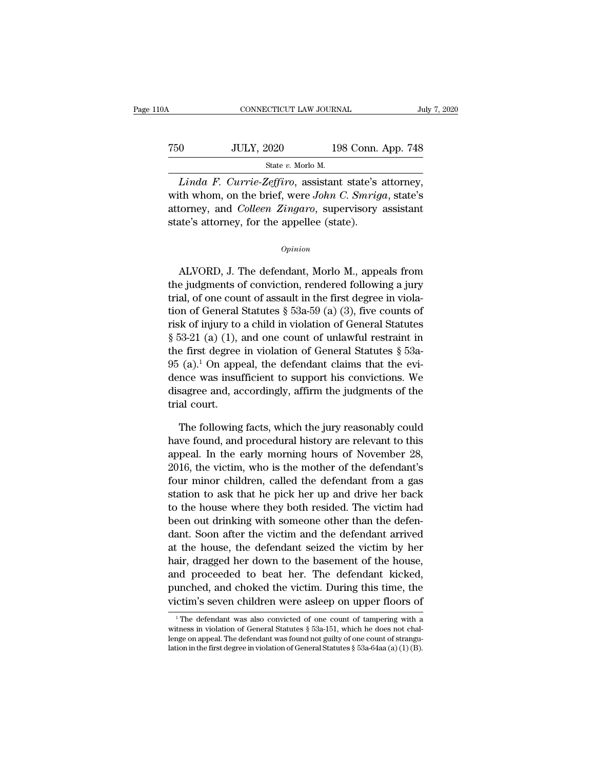| 10A | CONNECTICUT LAW JOURNAL                           |                    | July 7, 2020 |
|-----|---------------------------------------------------|--------------------|--------------|
| 750 | <b>JULY, 2020</b>                                 | 198 Conn. App. 748 |              |
|     | State v. Morlo M.                                 |                    |              |
|     | Linda F Currie-Zeffiro assistant state's attorney |                    |              |

*CONNECTICUT LAW JOURNAL July 7, 2*<br> *Linda F. Currie-Zeffiro*, assistant state's attorney,<br> *Linda F. Currie-Zeffiro*, assistant state's attorney,<br>
th whom, on the brief, were *John C. Smriga*, state's T50 JULY, 2020 198 Conn. App. 748<br>
State *v.* Morlo M.<br> *Linda F. Currie-Zeffiro*, assistant state's attorney,<br>
with whom, on the brief, were *John C. Smriga*, state's<br>
attorney, and *Colleen Zingaro*, supervisory assistan <sup>750</sup> JULY, 2020 198 Conn. App. 748<br>
<sup>State v. Morlo M.<br> *Linda F. Currie-Zeffiro*, assistant state's attorney,<br>
with whom, on the brief, were John C. Smriga, state's<br>
attorney, and *Colleen Zingaro*, supervisory assistant</sup> T50 JULY, 2020 198 Conn.<br>
State v. Morlo M.<br>
Linda F. Currie-Zeffiro, assistant state's<br>
with whom, on the brief, were John C. Smrig<br>
attorney, and Colleen Zingaro, supervisory<br>
state's attorney, for the appellee (state). th whom, on the brief, were *John C. Smriga*, state's<br>torney, and *Colleen Zingaro*, supervisory assistant<br>te's attorney, for the appellee (state).<br> $o$ <sub>*Opinion*<br>ALVORD, J. The defendant, Morlo M., appeals from<br>e judgments</sub>

### *Opinion*

attorney, and *Colleen Zingaro*, supervisory assistant<br>state's attorney, for the appellee (state).<br> $opinion$ <br>ALVORD, J. The defendant, Morlo M., appeals from<br>the judgments of conviction, rendered following a jury<br>trial, of one state's attorney, for the appellee (state).<br>  $\frac{Option}{1}$ <br>
ALVORD, J. The defendant, Morlo M., appeals from<br>
the judgments of conviction, rendered following a jury<br>
trial, of one count of assault in the first degree in viola *Opinion*<br>
ALVORD, J. The defendant, Morlo M., appeals from<br>
the judgments of conviction, rendered following a jury<br>
trial, of one count of assault in the first degree in viola-<br>
tion of General Statutes § 53a-59 (a) (3), *Opinion*<br>ALVORD, J. The defendant, Morlo M., appeals from<br>the judgments of conviction, rendered following a jury<br>trial, of one count of assault in the first degree in viola-<br>tion of General Statutes § 53a-59 (a) (3), fiv ALVORD, J. The defendant, Morlo M., appeals from<br>the judgments of conviction, rendered following a jury<br>trial, of one count of assault in the first degree in viola-<br>tion of General Statutes § 53a-59 (a) (3), five counts o ALVORD, J. The defendant, Morio M., appeals from<br>the judgments of conviction, rendered following a jury<br>trial, of one count of assault in the first degree in viola-<br>tion of General Statutes § 53a-59 (a) (3), five counts o the judgments of conviction, rendered following a jury<br>trial, of one count of assault in the first degree in viola-<br>tion of General Statutes § 53a-59 (a) (3), five counts of<br>risk of injury to a child in violation of Gener trial, or one count or assault in the first degree in violation of General Statutes § 53a-59 (a) (3), five counts of risk of injury to a child in violation of General Statutes § 53-21 (a) (1), and one count of unlawful re tion of General statutes  $\frac{1}{2}$  53a-59 (a) (3), five counts of<br>risk of injury to a child in violation of General Statutes<br> $\frac{1}{2}$  53-21 (a) (1), and one count of unlawful restraint in<br>the first degree in violation of risk of injury to<br> $\S$  53-21 (a) (1),<br>the first degree<br>95 (a).<sup>1</sup> On app<br>dence was insu<br>disagree and, ac<br>trial court.<br>The following % e first degree in violation of General Statutes  $\S$  53a-<br>
(a).<sup>1</sup> On appeal, the defendant claims that the evi-<br>
nce was insufficient to support his convictions. We<br>
sagree and, accordingly, affirm the judgments of the<br> 95 (a).<sup>1</sup> On appeal, the defendant claims that the evi-<br>dence was insufficient to support his convictions. We<br>disagree and, accordingly, affirm the judgments of the<br>trial court.<br>The following facts, which the jury reason

dence was insufficient to support his convictions. We<br>disagree and, accordingly, affirm the judgments of the<br>trial court.<br>The following facts, which the jury reasonably could<br>have found, and procedural history are relevant disagree and, accordingly, affirm the judgments of the<br>trial court.<br>The following facts, which the jury reasonably could<br>have found, and procedural history are relevant to this<br>appeal. In the early morning hours of Novembe trial court.<br>The following facts, which the jury reasonably could<br>have found, and procedural history are relevant to this<br>appeal. In the early morning hours of November 28,<br>2016, the victim, who is the mother of the defend The following facts, which the jury reasonably could<br>have found, and procedural history are relevant to this<br>appeal. In the early morning hours of November 28,<br>2016, the victim, who is the mother of the defendant's<br>four mi The following facts, which the jury reasonably could<br>have found, and procedural history are relevant to this<br>appeal. In the early morning hours of November 28,<br>2016, the victim, who is the mother of the defendant's<br>four mi have found, and procedural history are relevant to this<br>appeal. In the early morning hours of November 28,<br>2016, the victim, who is the mother of the defendant's<br>four minor children, called the defendant from a gas<br>station appear. In the early morning nours of November 28,<br>2016, the victim, who is the mother of the defendant's<br>four minor children, called the defendant from a gas<br>station to ask that he pick her up and drive her back<br>to the ho zoro, the victim, who is the mother of the defendant is<br>four minor children, called the defendant from a gas<br>station to ask that he pick her up and drive her back<br>to the house where they both resided. The victim had<br>been o having the set of the set of the set of the base station to ask that he pick her up and drive her back<br>to the house where they both resided. The victim had<br>been out drinking with someone other than the defen-<br>dant. Soon af station to ask that he pick her up and drive her back<br>to the house where they both resided. The victim had<br>been out drinking with someone other than the defen-<br>dant. Soon after the victim and the defendant arrived<br>at the h to the nouse where they both resided. The victim had<br>been out drinking with someone other than the defen-<br>dant. Soon after the victim and the defendant arrived<br>at the house, the defendant seized the victim by her<br>hair, dra been out armxing with someone other than the defendant<br>dat the house, the defendant seized the victim by her<br>hair, dragged her down to the basement of the house,<br>and proceeded to beat her. The defendant kicked,<br>punched, an arr, dragged ner down to the basement of the house,<br>nd proceeded to beat her. The defendant kicked,<br>unched, and choked the victim. During this time, the<br>ctim's seven children were asleep on upper floors of<br><sup>1</sup>The defendant and proceeded to beat her. The defendant kicked,<br>punched, and choked the victim. During this time, the<br>victim's seven children were asleep on upper floors of<br> $\frac{1}{1}$ The defendant was also convicted of one count of tampe

punched, and choked the victim. During this time, the victim's seven children were asleep on upper floors of  $\frac{1}{1}$  The defendant was also convicted of one count of tampering with a witness in violation of General Stat victim's seven children were asleep on upper floors of<br>The defendant was also convicted of one count of tampering with a<br>witness in violation of General Statutes § 53a-151, which he does not chal-<br>lenge on appeal. The def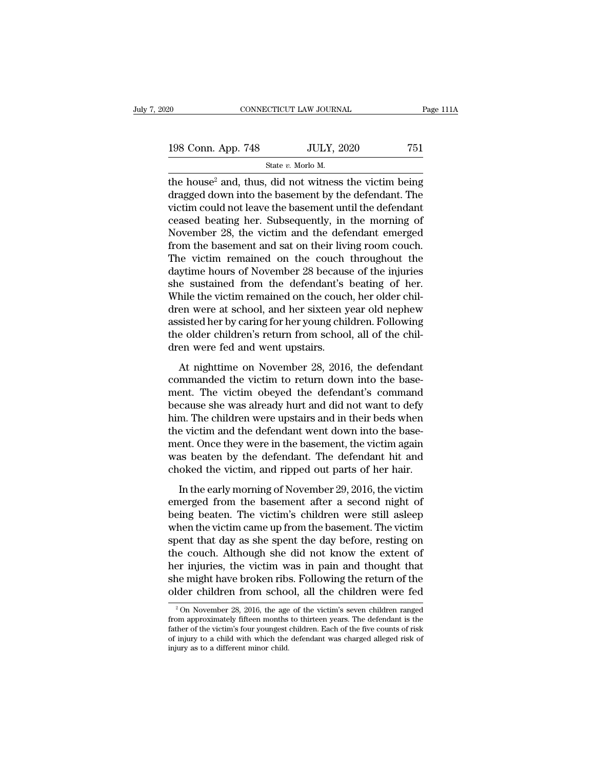| 20                                                               | CONNECTICUT LAW JOURNAL | Page 111A |
|------------------------------------------------------------------|-------------------------|-----------|
| 198 Conn. App. 748                                               | <b>JULY, 2020</b>       | 751       |
|                                                                  | State v. Morlo M.       |           |
| the house <sup>2</sup> and thus did not witness the victim being |                         |           |

CONNECTICUT LAW JOURNAL Page 111A<br>198 Conn. App. 748 JULY, 2020 751<br>State v. Morlo M.<br>The house<sup>2</sup> and, thus, did not witness the victim being<br>dragged down into the basement by the defendant. The<br>victim could not leave the 198 Conn. App. 748 JULY, 2020 751<br>
State v. Morlo M.<br>
the house<sup>2</sup> and, thus, did not witness the victim being<br>
dragged down into the basement by the defendant. The<br>
victim could not leave the basement until the defendant 198 Conn. App. 748 JULY, 2020 751<br>
State v. Morlo M.<br>
the house<sup>2</sup> and, thus, did not witness the victim being<br>
dragged down into the basement by the defendant. The<br>
victim could not leave the basement until the defendant 198 Conn. App. 748 JULY, 2020 751<br>
State v. Morlo M.<br>
the house<sup>2</sup> and, thus, did not witness the victim being<br>
dragged down into the basement by the defendant. The<br>
victim could not leave the basement until the defendant State v. Morlo M.<br>
The house<sup>2</sup> and, thus, did not witness the victim being<br>
dragged down into the basement by the defendant. The<br>
victim could not leave the basement until the defendant<br>
ceased beating her. Subsequently, state v. Morto M.<br>
the house<sup>2</sup> and, thus, did not witness the victim being<br>
dragged down into the basement by the defendant. The<br>
victim could not leave the basement until the defendant<br>
ceased beating her. Subsequently, the house<sup>2</sup> and, thus, did not witness the victim being<br>dragged down into the basement by the defendant. The<br>victim could not leave the basement until the defendant<br>ceased beating her. Subsequently, in the morning of<br>Nove dragged down into the basement by the defendant. The<br>victim could not leave the basement until the defendant<br>ceased beating her. Subsequently, in the morning of<br>November 28, the victim and the defendant emerged<br>from the ba victim could not leave the basement until the defendant<br>ceased beating her. Subsequently, in the morning of<br>November 28, the victim and the defendant emerged<br>from the basement and sat on their living room couch.<br>The victim ceased beating her. Subsequently, in the morning of<br>November 28, the victim and the defendant emerged<br>from the basement and sat on their living room couch.<br>The victim remained on the couch throughout the<br>daytime hours of N November 28, the victim and the defendant emerged<br>from the basement and sat on their living room couch.<br>The victim remained on the couch throughout the<br>daytime hours of November 28 because of the injuries<br>she sustained fro from the basement and sat on their living room couch.<br>The victim remained on the couch throughout the<br>daytime hours of November 28 because of the injuries<br>she sustained from the defendant's beating of her.<br>While the victim The victim remained on the couch throughout the<br>daytime hours of November 28 because of the injuries<br>she sustained from the defendant's beating of her.<br>While the victim remained on the couch, her older chil-<br>dren were at s daytime hours of November 28 becaus<br>she sustained from the defendant's<br>While the victim remained on the coucl<br>dren were at school, and her sixteen y<br>assisted her by caring for her young chil<br>the older children's return fro Let be victim remained on the couch, her older chil-<br>thile the victim remained on the couch, her older chil-<br>en were at school, and her sixteen year old nephew<br>sisted her by caring for her young children. Following<br>e older Find the victim tomalited of the coden, net older children were at school, and her sixteen year old nephew<br>assisted her by caring for her young children. Following<br>the older children's return from school, all of the chil-<br>

ment were as sensor, and her sincern year ora nephew<br>assisted her by caring for her young children. Following<br>the older children's return from school, all of the chil-<br>dren were fed and went upstairs.<br>At nighttime on Novem dissisted fier by earnig for fier young emanch. To do wing<br>the older children's return from school, all of the chil-<br>dren were fed and went upstairs.<br>At nighttime on November 28, 2016, the defendant<br>commanded the victim to dre state emanetic redain from sensor, an or are only<br>dren were fed and went upstairs.<br>At nighttime on November 28, 2016, the defendant<br>commanded the victim to return down into the base-<br>ment. The victim obeyed the defenda At nighttime on November 28, 2016, the defendant<br>commanded the victim to return down into the base-<br>ment. The victim obeyed the defendant's command<br>because she was already hurt and did not want to defy<br>him. The children we At nighttime on November 28, 2016, the defendant<br>commanded the victim to return down into the base-<br>ment. The victim obeyed the defendant's command<br>because she was already hurt and did not want to defy<br>him. The children we commanded the victim to return down into the base-<br>ment. The victim obeyed the defendant's command<br>because she was already hurt and did not want to defy<br>him. The children were upstairs and in their beds when<br>the victim and ment. The victim obeyed the defendant's command<br>because she was already hurt and did not want to defy<br>him. The children were upstairs and in their beds when<br>the victim and the defendant went down into the base-<br>ment. Once In The children were upstairs and in their beds when<br>a victim and the defendant went down into the base-<br>ent. Once they were in the basement, the victim again<br>as beaten by the defendant. The defendant hit and<br>oked the vict rand the victim and the defendant went down into the basement. Once they were in the basement, the victim again was beaten by the defendant. The defendant hit and choked the victim, and ripped out parts of her hair.<br>In the

the victim and the defendant were downt into the state<br>ment. Once they were in the basement, the victim again<br>was beaten by the defendant. The defendant hit and<br>choked the victim, and ripped out parts of her hair.<br>In the e ment once any were in the statement, the victim tigant<br>was beaten by the defendant. The defendant hit and<br>choked the victim, and ripped out parts of her hair.<br>In the early morning of November 29, 2016, the victim<br>emerged f speaked the victim, and ripped out parts of her hair.<br>In the early morning of November 29, 2016, the victim<br>emerged from the basement after a second night of<br>being beaten. The victim's children were still asleep<br>when the In the early morning of November 29, 2016, the victim<br>emerged from the basement after a second night of<br>being beaten. The victim's children were still asleep<br>when the victim came up from the basement. The victim<br>spent that In the early morning of November 29, 2016, the victim<br>emerged from the basement after a second night of<br>being beaten. The victim's children were still asleep<br>when the victim came up from the basement. The victim<br>spent that emerged from the basement after a second night of<br>being beaten. The victim's children were still asleep<br>when the victim came up from the basement. The victim<br>spent that day as she spent the day before, resting on<br>the couch being beaten. The victim's children were still asleep<br>when the victim came up from the basement. The victim<br>spent that day as she spent the day before, resting on<br>the couch. Although she did not know the extent of<br>her inj ie couch. Although she did not know the extent of<br>er injuries, the victim was in pain and thought that<br>ne might have broken ribs. Following the return of the<br>ider children from school, all the children were fed<br> $\frac{20 \text{ N}}$ her injuries, the victim was in pain and thought that<br>she might have broken ribs. Following the return of the<br>older children from school, all the children were fed<br> $\frac{20n}{100}$  November 28, 2016, the age of the victim's older children from school, all the children were fed

she might have broken ribs. Following the return of the older children from school, all the children were fed<br> $\frac{1}{2}$  On November 28, 2016, the age of the victim's seven children ranged<br>from approximately fifteen months  ${}^{2}$  On November 28, 2016, the age of the victim's seven children ranged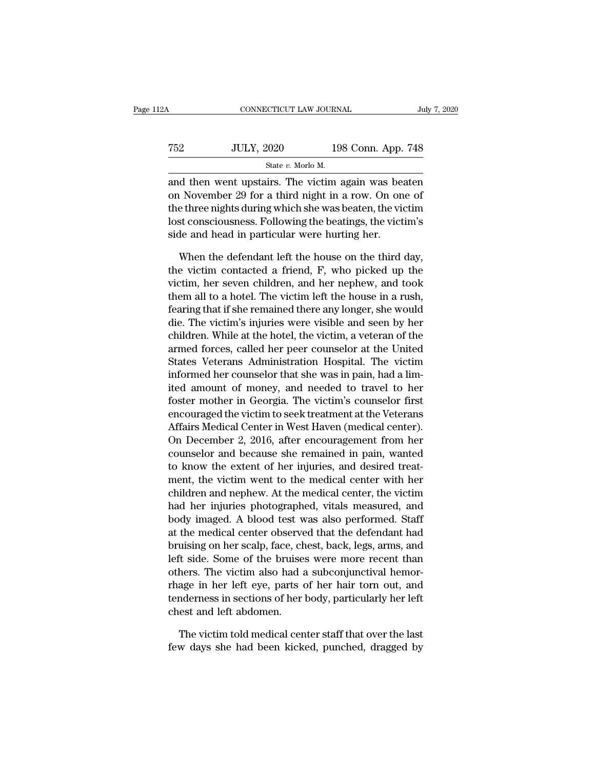|                   |                    | July 7, 2020                                 |
|-------------------|--------------------|----------------------------------------------|
| <b>JULY, 2020</b> | 198 Conn. App. 748 |                                              |
|                   |                    |                                              |
|                   |                    | CONNECTICUT LAW JOURNAL<br>State v. Morlo M. |

and then went upstairs. The victim again was beaten T52 JULY, 2020 198 Conn. App. 748<br>
State v. Morlo M.<br>
and then went upstairs. The victim again was beaten<br>
on November 29 for a third night in a row. On one of<br>
the three nights during which she was beaten, the victim<br>
le T52 JULY, 2020 198 Conn. App. 748<br>
State v. Morlo M.<br>
and then went upstairs. The victim again was beaten<br>
on November 29 for a third night in a row. On one of<br>
the three nights during which she was beaten, the victim<br>
lo T52 JULY, 2020 198 Conn. App. 748<br>
State v. Morlo M.<br>
and then went upstairs. The victim again was beaten<br>
on November 29 for a third night in a row. On one of<br>
the three nights during which she was beaten, the victim<br>
lo State  $v$ . Morlo M.<br>
and then went upstairs. The victim again was bead on November 29 for a third night in a row. On on<br>
the three nights during which she was beaten, the videost consciousness. Following the beatings, the d then went upstairs. The victim again was beaten<br>
November 29 for a third night in a row. On one of<br>
e three nights during which she was beaten, the victim<br>
st consciousness. Following the beatings, the victim's<br>
le and h on November 29 for a third night in a row. On one of<br>the three nights during which she was beaten, the victim<br>lost consciousness. Following the beatings, the victim's<br>side and head in particular were hurting her.<br>When the

the three nights during which she was beaten, the victim<br>lost consciousness. Following the beatings, the victim's<br>side and head in particular were hurting her.<br>When the defendant left the house on the third day,<br>the victim lost consciousness. Following the beatings, the victim's<br>side and head in particular were hurting her.<br>When the defendant left the house on the third day,<br>the victim contacted a friend, F, who picked up the<br>victim, her sev side and head in particular were hurting her.<br>
When the defendant left the house on the third day,<br>
the victim contacted a friend, F, who picked up the<br>
victim, her seven children, and her nephew, and took<br>
them all to a h When the defendant left the house on the third day,<br>the victim contacted a friend, F, who picked up the<br>victim, her seven children, and her nephew, and took<br>them all to a hotel. The victim left the house in a rush,<br>fearing When the defendant left the house on the third day,<br>the victim contacted a friend, F, who picked up the<br>victim, her seven children, and her nephew, and took<br>them all to a hotel. The victim left the house in a rush,<br>fearing the victim contacted a friend, F, who picked up the<br>victim, her seven children, and her nephew, and took<br>them all to a hotel. The victim left the house in a rush,<br>fearing that if she remained there any longer, she would<br>di victim, her seven children, and her nephew, and took<br>them all to a hotel. The victim left the house in a rush,<br>fearing that if she remained there any longer, she would<br>die. The victim's injuries were visible and seen by he them all to a hotel. The victim left the house in a rush,<br>fearing that if she remained there any longer, she would<br>die. The victim's injuries were visible and seen by her<br>children. While at the hotel, the victim, a veteran fearing that if she remained there any longer, she would<br>die. The victim's injuries were visible and seen by her<br>children. While at the hotel, the victim, a veteran of the<br>armed forces, called her peer counselor at the Uni die. The victim's injuries were visible and seen by her<br>children. While at the hotel, the victim, a veteran of the<br>armed forces, called her peer counselor at the United<br>States Veterans Administration Hospital. The victim<br>i children. While at the hotel, the victim, a veteran of the<br>armed forces, called her peer counselor at the United<br>States Veterans Administration Hospital. The victim<br>informed her counselor that she was in pain, had a lim-<br>i armed forces, called her peer counselor at the United<br>States Veterans Administration Hospital. The victim<br>informed her counselor that she was in pain, had a lim-<br>ited amount of money, and needed to travel to her<br>foster mot States Veterans Administration Hospital. The victim<br>informed her counselor that she was in pain, had a lim-<br>ited amount of money, and needed to travel to her<br>foster mother in Georgia. The victim's counselor first<br>encourage informed her counselor that she was in pain, had a limited amount of money, and needed to travel to her foster mother in Georgia. The victim's counselor first encouraged the victim to seek treatment at the Veterans Affairs ted amount of money, and needed to travel to her<br>foster mother in Georgia. The victim's counselor first<br>encouraged the victim to seek treatment at the Veterans<br>Affairs Medical Center in West Haven (medical center).<br>On Dece foster mother in Georgia. The victim's counselor first<br>encouraged the victim to seek treatment at the Veterans<br>Affairs Medical Center in West Haven (medical center).<br>On December 2, 2016, after encouragement from her<br>counse encouraged the victim to seek treatment at the Veterans<br>Affairs Medical Center in West Haven (medical center).<br>On December 2, 2016, after encouragement from her<br>counselor and because she remained in pain, wanted<br>to know th Affairs Medical Center in West Haven (medical center).<br>On December 2, 2016, after encouragement from her<br>counselor and because she remained in pain, wanted<br>to know the extent of her injuries, and desired treat-<br>ment, the v On December 2, 2016, after encouragement from her<br>counselor and because she remained in pain, wanted<br>to know the extent of her injuries, and desired treat-<br>ment, the victim went to the medical center with her<br>children and counselor and because she remained in pain, wanted<br>to know the extent of her injuries, and desired treat-<br>ment, the victim went to the medical center with her<br>children and nephew. At the medical center, the victim<br>had her to know the extent of her injuries, and desired treat-<br>ment, the victim went to the medical center with her<br>children and nephew. At the medical center, the victim<br>had her injuries photographed, vitals measured, and<br>body im ment, the victim went to the medical center with her<br>children and nephew. At the medical center, the victim<br>had her injuries photographed, vitals measured, and<br>body imaged. A blood test was also performed. Staff<br>at the med children and nephew. At the medical center, the victim<br>had her injuries photographed, vitals measured, and<br>body imaged. A blood test was also performed. Staff<br>at the medical center observed that the defendant had<br>bruising had her injuries photographed, vitals measured, and<br>body imaged. A blood test was also performed. Staff<br>at the medical center observed that the defendant had<br>bruising on her scalp, face, chest, back, legs, arms, and<br>left s body maged. A blood test was also performed. Staff<br>at the medical center observed that the defendant had<br>bruising on her scalp, face, chest, back, legs, arms, and<br>left side. Some of the bruises were more recent than<br>others at the medical center observe<br>bruising on her scalp, face, ch<br>left side. Some of the bruise:<br>others. The victim also had a<br>rhage in her left eye, parts of<br>tenderness in sections of her l<br>chest and left abdomen.<br>The victim The victim also had a subconjunctival hemoralien. The victim also had a subconjunctival hemoral medical center staff that over the last and left abdomen.<br>The victim told medical center staff that over the last we days she others. The victim also had a subconjunctival hemorrhage in her left eye, parts of her hair torn out, and tenderness in sections of her body, particularly her left chest and left abdomen.<br>The victim told medical center sta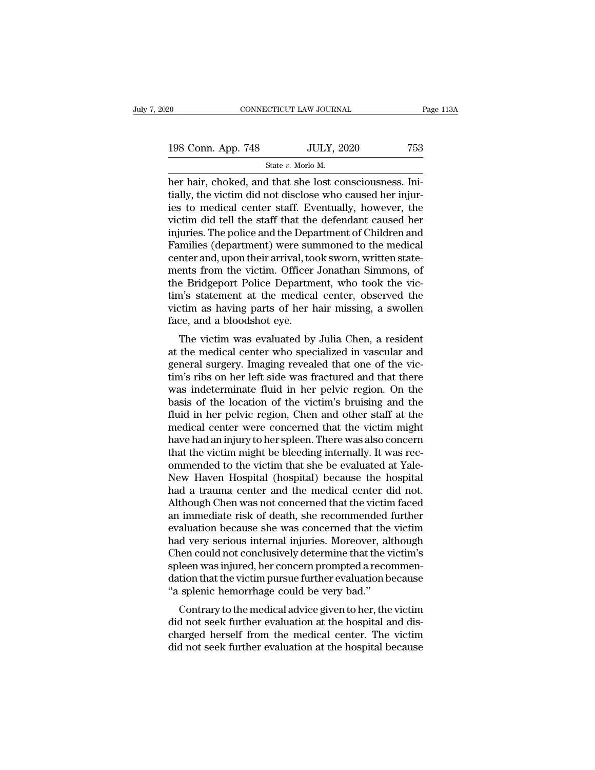| 20                 | CONNECTICUT LAW JOURNAL                              | Page 113A |
|--------------------|------------------------------------------------------|-----------|
| 198 Conn. App. 748 | <b>JULY, 2020</b>                                    | 753       |
|                    | State v. Morlo M.                                    |           |
|                    | her hair choked and that she lost consciousness Ini- |           |

EXECUTE AN JOURNAL<br>
Her hair, choked, and that she lost consciousness. Initially, the victim did not disclose who caused her injuries to modical content toff. Eventually, however, the 198 Conn. App. 748 JULY, 2020 753<br>
State v. Morlo M.<br>
her hair, choked, and that she lost consciousness. Initially, the victim did not disclose who caused her injur-<br>
ties to medical center staff. Eventually, however, the 198 Conn. App. 748 JULY, 2020 753<br>
State v. Morlo M.<br>
her hair, choked, and that she lost consciousness. Initially, the victim did not disclose who caused her injuries to medical center staff. Eventually, however, the vic 198 Conn. App. 748 JULY, 2020 753<br>
state v. Morlo M.<br>
her hair, choked, and that she lost consciousness. Initially, the victim did not disclose who caused her injur-<br>
ies to medical center staff. Eventually, however, the<br> State v. Morlo M.<br>
State v. Morlo M.<br>
her hair, choked, and that she lost consciousness. Initially, the victim did not disclose who caused her injur-<br>
ies to medical center staff. Eventually, however, the<br>
victim did tell State  $v$ . Morlo M.<br>
Ther hair, choked, and that she lost consciousness. Initially, the victim did not disclose who caused her injur-<br>
ies to medical center staff. Eventually, however, the<br>
victim did tell the staff that her hair, choked, and that she lost consciousness. Initially, the victim did not disclose who caused her injuries to medical center staff. Eventually, however, the victim did tell the staff that the defendant caused her in tially, the victim did not disclose who caused her injuries to medical center staff. Eventually, however, the victim did tell the staff that the defendant caused her injuries. The police and the Department of Children and ies to medical center staff. Eventually, however, the victim did tell the staff that the defendant caused her injuries. The police and the Department of Children and Families (department) were summoned to the medical cente victim did tell the staff that the defendant caused her<br>injuries. The police and the Department of Children and<br>Families (department) were summoned to the medical<br>center and, upon their arrival, took sworn, written state-<br> injuries. The police and the Department of Children and<br>Families (department) were summoned to the medical<br>center and, upon their arrival, took sworn, written state-<br>ments from the victim. Officer Jonathan Simmons, of<br>the Families (department) were sur<br>center and, upon their arrival, to<br>ments from the victim. Officer<br>the Bridgeport Police Departm<br>tim's statement at the medical<br>victim as having parts of her l<br>face, and a bloodshot eye.<br>The v The victim was evaluated by Julia Chen, a resident<br>the victim was evaluated by Julia Chen, a resident<br>the victim as having parts of her hair missing, a swollen<br>ce, and a bloodshot eye.<br>The victim was evaluated by Julia Che ments from the victim. Office Department, who took the vic-<br>tim's statement at the medical center, observed the<br>victim as having parts of her hair missing, a swollen<br>face, and a bloodshot eye.<br>The victim was evaluated by J

tim's statement at the medical center, observed the victim's statement at the medical center, observed the victim as having parts of her hair missing, a swollen face, and a bloodshot eye.<br>The victim was evaluated by Julia the statement at the medical center, observed the<br>victim as having parts of her hair missing, a swollen<br>face, and a bloodshot eye.<br>The victim was evaluated by Julia Chen, a resident<br>at the medical center who specialized in Face, and a bloodshot eye.<br>
The victim was evaluated by Julia Chen, a resident<br>
at the medical center who specialized in vascular and<br>
general surgery. Imaging revealed that one of the vic-<br>
tim's ribs on her left side was race, and a bloodshot eye.<br>The victim was evaluated by Julia Chen, a resident<br>at the medical center who specialized in vascular and<br>general surgery. Imaging revealed that one of the vic-<br>tim's ribs on her left side was fra The victim was evaluated by Julia Chen, a resident<br>at the medical center who specialized in vascular and<br>general surgery. Imaging revealed that one of the vic-<br>tim's ribs on her left side was fractured and that there<br>was i at the medical center who specialized in vascular and<br>general surgery. Imaging revealed that one of the vic-<br>tim's ribs on her left side was fractured and that there<br>was indeterminate fluid in her pelvic region. On the<br>bas general surgery. Imaging revealed that one of the victim's ribs on her left side was fractured and that there was indeterminate fluid in her pelvic region. On the basis of the location of the victim's bruising and the flui tim's ribs on her left side was fractured and that there was indeterminate fluid in her pelvic region. On the basis of the location of the victim's bruising and the fluid in her pelvic region, Chen and other staff at the m was indeterminate fluid in her pelvic region. On the basis of the location of the victim's bruising and the fluid in her pelvic region, Chen and other staff at the medical center were concerned that the victim might have h basis of the location of the victim's bruising and the<br>fluid in her pelvic region, Chen and other staff at the<br>medical center were concerned that the victim might<br>have had an injury to her spleen. There was also concern<br>th fluid in her pelvic region, Chen and other staff at the medical center were concerned that the victim might have had an injury to her spleen. There was also concern<br>that the victim might be bleeding internally. It was reco medical center were concerned that the victim might<br>have had an injury to her spleen. There was also concern<br>that the victim might be bleeding internally. It was rec-<br>ommended to the victim that she be evaluated at Yale-<br>N have had an injury to her spleen. There was also concern<br>that the victim might be bleeding internally. It was rec-<br>ommended to the victim that she be evaluated at Yale-<br>New Haven Hospital (hospital) because the hospital<br>ha that the victim might be bleeding internally. It was rec-<br>ommended to the victim that she be evaluated at Yale-<br>New Haven Hospital (hospital) because the hospital<br>had a trauma center and the medical center did not.<br>Althoug ommended to the victim that she be evaluated at Yale-New Haven Hospital (hospital) because the hospital<br>had a trauma center and the medical center did not.<br>Although Chen was not concerned that the victim faced<br>an immediate New Haven Hospital (hospital) because the hospital<br>had a trauma center and the medical center did not.<br>Although Chen was not concerned that the victim faced<br>an immediate risk of death, she recommended further<br>evaluation be had a trauma center and the medical center did not.<br>Although Chen was not concerned that the victim faced<br>an immediate risk of death, she recommended further<br>evaluation because she was concerned that the victim<br>had very se Although Chen was not concerned that the victim faced<br>an immediate risk of death, she recommended further<br>evaluation because she was concerned that the victim<br>had very serious internal injuries. Moreover, although<br>Chen cou an immediate risk of death, she recommended if evaluation because she was concerned that the had very serious internal injuries. Moreover, alt Chen could not conclusively determine that the v spleen was injured, her concer andation because she was concerned that the victim<br>d very serious internal injuries. Moreover, although<br>ten rould not conclusively determine that the victim's<br>leen was injured, her concern prompted a recommen-<br>tion that th rad very serious internat injuries. Moreover, antiought<br>Chen could not conclusively determine that the victim's<br>spleen was injured, her concern prompted a recommen-<br>dation that the victim pursue further evaluation because<br>

chen collectual for concrusively determine that the victim is<br>spleen was injured, her concern prompted a recommen-<br>dation that the victim pursue further evaluation because<br>"a splenic hemorrhage could be very bad."<br>Contrary spieen was injured, her concern prompted a recommendation that the victim pursue further evaluation because "a splenic hemorrhage could be very bad."<br>Contrary to the medical advice given to her, the victim did not seek fur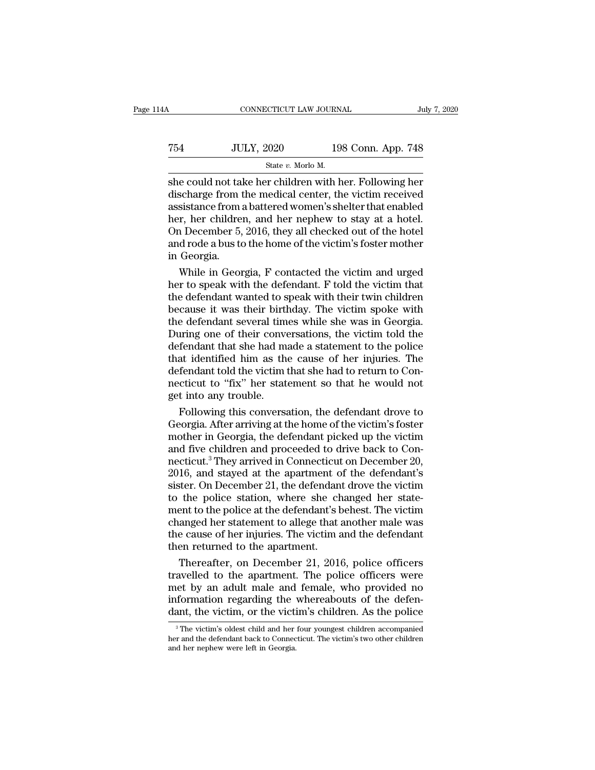## CONNECTICUT LAW JOURNAL July 7, 2020<br>
754 JULY, 2020 198 Conn. App. 748<br>
State v. Morlo M. STICUT LAW JOURN.<br>2020 19.<br>State *v.* Morlo M.<br>Pr Children with h

She could not take her children with her. Following her<br>
she could not take her children with her. Following her<br>
discharge from the medical center, the victim received<br>
assistance from a battered women's shelter that enab  $354$  JULY, 2020 198 Conn. App. 748<br>  $\frac{1}{3}$  State v. Morlo M.<br>
She could not take her children with her. Following her<br>
discharge from the medical center, the victim received<br>
assistance from a battered women's shelter T54 JULY, 2020 198 Conn. App. 748<br>
State v. Morlo M.<br>
She could not take her children with her. Following her<br>
discharge from the medical center, the victim received<br>
assistance from a battered women's shelter that enable T54 JULY, 2020 198 Conn. App. 748<br>
State v. Morlo M.<br>
She could not take her children with her. Following her<br>
discharge from the medical center, the victim received<br>
assistance from a battered women's shelter that enable State v. Morlo M.<br>
State v. Morlo M.<br>
She could not take her children with her. Following her<br>
discharge from the medical center, the victim received<br>
assistance from a battered women's shelter that enabled<br>
her, her chil State v. Morlo M.<br>
She could not take her children with her. Following her<br>
discharge from the medical center, the victim received<br>
assistance from a battered women's shelter that enabled<br>
her, her children, and her nephe she could not tal<br>discharge from t<br>assistance from t<br>her, her childre<br>On December 5,<br>and rode a bus to<br>in Georgia.<br>While in Geor scharge from the medical center, the victim received<br>sistance from a battered women's shelter that enabled<br>r, her children, and her nephew to stay at a hotel.<br>a December 5, 2016, they all checked out of the hotel<br>d rode a assistance from a battered women's shelter that enabled<br>her, her children, and her nephew to stay at a hotel.<br>On December 5, 2016, they all checked out of the hotel<br>and rode a bus to the home of the victim's foster mother<br>

her, her children, and her nephew to stay at a hotel.<br>On December 5, 2016, they all checked out of the hotel<br>and rode a bus to the home of the victim's foster mother<br>in Georgia.<br>While in Georgia, F contacted the victim and On December 5, 2016, they all checked out of the hotel<br>and rode a bus to the home of the victim's foster mother<br>in Georgia.<br>While in Georgia, F contacted the victim and urged<br>her to speak with the defendant. F told the vic and rode a bus to the home of the victim's foster mother<br>in Georgia.<br>While in Georgia, F contacted the victim and urged<br>her to speak with the defendant. F told the victim that<br>the defendant wanted to speak with their twin in Georgia.<br>
While in Georgia, F contacted the victim and urged<br>
her to speak with the defendant. F told the victim that<br>
the defendant wanted to speak with their twin children<br>
because it was their birthday. The victim sp While in Georgia, F contacted the victim and urged<br>her to speak with the defendant. F told the victim that<br>the defendant wanted to speak with their twin children<br>because it was their birthday. The victim spoke with<br>the def her to speak with the defendant. F told the victim that<br>the defendant wanted to speak with their twin children<br>because it was their birthday. The victim spoke with<br>the defendant several times while she was in Georgia.<br>Duri the defendant wanted to speak with their twin children<br>because it was their birthday. The victim spoke with<br>the defendant several times while she was in Georgia.<br>During one of their conversations, the victim told the<br>defen because it was their birthday. The victim spoke with<br>the defendant several times while she was in Georgia.<br>During one of their conversations, the victim told the<br>defendant that she had made a statement to the police<br>that i the defendant several tim<br>During one of their conve<br>defendant that she had m<br>that identified him as the<br>defendant told the victim<br>necticut to "fix" her stat<br>get into any trouble.<br>Following this conversa in the victim told the fendant that she had made a statement to the police<br>at identified him as the cause of her injuries. The<br>fendant told the victim that she had to return to Con-<br>cticut to "fix" her statement so that he defendant that she had made a statement to the police<br>that identified him as the cause of her injuries. The<br>defendant told the victim that she had to return to Con-<br>necticut to "fix" her statement so that he would not<br>get

that identified him as the cause of her injuries. The<br>defendant told the victim that she had to return to Con-<br>necticut to "fix" her statement so that he would not<br>get into any trouble.<br>Following this conversation, the def defendant told the victim that she had to return to Con-<br>necticut to "fix" her statement so that he would not<br>get into any trouble.<br>Following this conversation, the defendant drove to<br>Georgia. After arriving at the home of necticut to "fix" her statement so that he would not<br>get into any trouble.<br>Following this conversation, the defendant drove to<br>Georgia. After arriving at the home of the victim's foster<br>mother in Georgia, the defendant pic get into any trouble.<br>
Following this conversation, the defendant drove to<br>
Georgia. After arriving at the home of the victim's foster<br>
mother in Georgia, the defendant picked up the victim<br>
and five children and proceeded Following this conversation, the defendant drove to<br>Georgia. After arriving at the home of the victim's foster<br>mother in Georgia, the defendant picked up the victim<br>and five children and proceeded to drive back to Con-<br>nec Georgia. After arriving at the home of the victim's foster mother in Georgia, the defendant picked up the victim and five children and proceeded to drive back to Connecticut.<sup>3</sup> They arrived in Connecticut on December 20, mother in Georgia, the defendant picked up the victim<br>and five children and proceeded to drive back to Con-<br>necticut.<sup>3</sup> They arrived in Connecticut on December 20,<br>2016, and stayed at the apartment of the defendant's<br>sist and five children and proceeded to drive back to Connecticut.<sup>3</sup> They arrived in Connecticut on December 20, 2016, and stayed at the apartment of the defendant's sister. On December 21, the defendant drove the victim to th necticut.<sup>3</sup> They arrived in Connecticut on December 20, 2016, and stayed at the apartment of the defendant's sister. On December 21, the defendant drove the victim to the police station, where she changed her statement to 2016, and stayed at the apartment o<br>sister. On December 21, the defendan<br>to the police station, where she ch<br>ment to the police at the defendant's k<br>changed her statement to allege that :<br>the cause of her injuries. The vic ster. On December 21, the defendant drove the victim<br>the police station, where she changed her state-<br>ent to the police at the defendant's behest. The victim<br>anged her statement to allege that another male was<br>e cause of h to the police station, where she changed her statement to the police at the defendant's behest. The victim<br>changed her statement to allege that another male was<br>the cause of her injuries. The victim and the defendant<br>then

ment to the police at the defendant's behest. The victim<br>changed her statement to allege that another male was<br>the cause of her injuries. The victim and the defendant<br>then returned to the apartment.<br>Thereafter, on December changed her statement to allege that another male was<br>the cause of her injuries. The victim and the defendant<br>then returned to the apartment.<br>Thereafter, on December 21, 2016, police officers<br>travelled to the apartment. Th the cause of her injuries. The victim and the defendant<br>then returned to the apartment.<br>Thereafter, on December 21, 2016, police officers<br>travelled to the apartment. The police officers were<br>met by an adult male and female travelled to the apartment. The police officers were<br>met by an adult male and female, who provided no<br>information regarding the whereabouts of the defen-<br>dant, the victim, or the victim's children. As the police<br> $\frac{1}{3}$ met by an adult male and female, who provided no dant, the victim, or the victim's children. As the police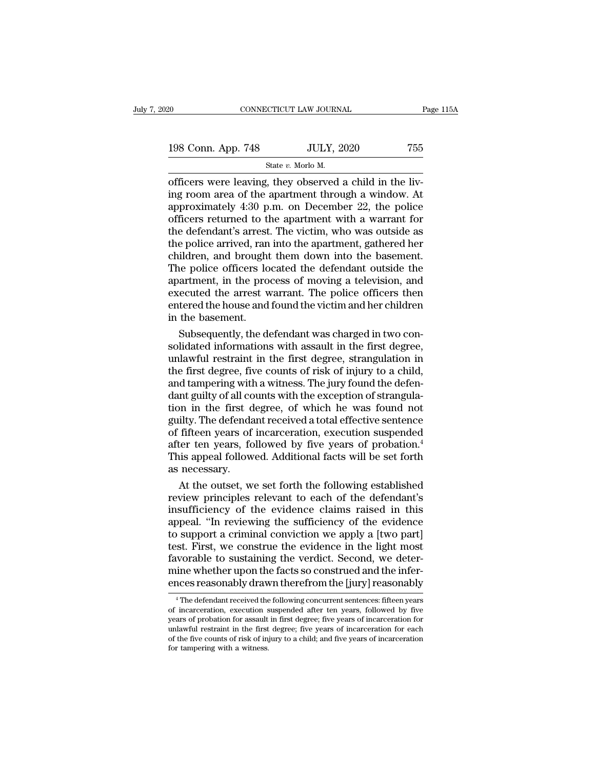| 20                                                      | CONNECTICUT LAW JOURNAL | Page 115A |
|---------------------------------------------------------|-------------------------|-----------|
| 198 Conn. App. 748                                      | <b>JULY, 2020</b>       | 755       |
|                                                         | State v. Morlo M.       |           |
| officers were leaving they observed a child in the liv- |                         |           |

CONNECTICUT LAW JOURNAL<br>
198 Conn. App. 748 JULY, 2020 755<br>
State v. Morlo M.<br>
State v. Morlo M.<br>
State v. Morlo M.<br>
State v. Morlo M.<br>
State v. Morlo M.<br>
State v. Morlo M.<br>
All in the liv-<br>
ing room area of the apartment 198 Conn. App. 748 JULY, 2020 755<br>
State v. Morlo M.<br>
officers were leaving, they observed a child in the living room area of the apartment through a window. At<br>
approximately 4:30 p.m. on December 22, the police<br>
officer 198 Conn. App. 748 JULY, 2020 755<br>
State v. Morlo M.<br>
officers were leaving, they observed a child in the liv-<br>
ing room area of the apartment through a window. At<br>
approximately 4:30 p.m. on December 22, the police<br>
offi 198 Conn. App. 748 JULY, 2020 755<br>
State v. Morlo M.<br>
officers were leaving, they observed a child in the living room area of the apartment through a window. At<br>
approximately 4:30 p.m. on December 22, the police<br>
officer State v. Morlo M.<br>
State v. Morlo M.<br>
State v. Morlo M.<br>
Ing room area of the apartment through a window. At<br>
approximately 4:30 p.m. on December 22, the police<br>
officers returned to the apartment with a warrant for<br>
the State v. Morlo M.<br>
State v. Morlo M.<br>
State v. Morlo M.<br>
State v. Morlo M.<br>
State arrived, a child in the liv-<br>
ing room area of the apartment through a window. At<br>
approximately 4:30 p.m. on December 22, the police<br>
offi officers were leaving, they observed a child in the living room area of the apartment through a window. At approximately 4:30 p.m. on December 22, the police officers returned to the apartment with a warrant for the defend ing room area of the apartment through a window. At<br>approximately 4:30 p.m. on December 22, the police<br>officers returned to the apartment with a warrant for<br>the defendant's arrest. The victim, who was outside as<br>the police approximately 4:30 p.m. on December 22, the police<br>officers returned to the apartment with a warrant for<br>the defendant's arrest. The victim, who was outside as<br>the police arrived, ran into the apartment, gathered her<br>child officers returned to the apartment with a warrant for<br>the defendant's arrest. The victim, who was outside as<br>the police arrived, ran into the apartment, gathered her<br>children, and brought them down into the basement.<br>The p the defendant's arrest. The victim, who was outside as<br>the police arrived, ran into the apartment, gathered her<br>children, and brought them down into the basement.<br>The police officers located the defendant outside the<br>apart the police arrived, ran<br>children, and brought<br>The police officers lo<br>apartment, in the pro<br>executed the arrest w<br>entered the house and<br>in the basement.<br>Subsequently, the de ildren, and brought them down into the basement.<br>
he police officers located the defendant outside the<br>
artment, in the process of moving a television, and<br>
ecuted the arrest warrant. The police officers then<br>
tered the ho The police officers located the defendant outside the<br>apartment, in the process of moving a television, and<br>executed the arrest warrant. The police officers then<br>entered the house and found the victim and her children<br>in t

apartment, in the process of moving a television, and<br>executed the arrest warrant. The police officers then<br>entered the house and found the victim and her children<br>in the basement.<br>Subsequently, the defendant was charged i executed the arrest warrant. The police officers then<br>entered the house and found the victim and her children<br>in the basement.<br>Subsequently, the defendant was charged in two con-<br>solidated informations with assault in the entered the house and found the victim and her children<br>in the basement.<br>Subsequently, the defendant was charged in two con-<br>solidated informations with assault in the first degree,<br>unlawful restraint in the first degree, in the basement.<br>Subsequently, the defendant was charged in two consolidated informations with assault in the first degree,<br>unlawful restraint in the first degree, strangulation in<br>the first degree, five counts of risk of Subsequently, the defendant was charged in two consolidated informations with assault in the first degree, unlawful restraint in the first degree, strangulation in the first degree, five counts of risk of injury to a child solidated informations with assault in the first degree,<br>unlawful restraint in the first degree, strangulation in<br>the first degree, five counts of risk of injury to a child,<br>and tampering with a witness. The jury found the unlawful restraint in the first degree, strangulation in<br>the first degree, five counts of risk of injury to a child,<br>and tampering with a witness. The jury found the defen-<br>dant guilty of all counts with the exception of s the first degree, five counts of risk of injury to a child,<br>and tampering with a witness. The jury found the defen-<br>dant guilty of all counts with the exception of strangula-<br>tion in the first degree, of which he was found and tampering with a witness. The jury found the defendant guilty of all counts with the exception of strangulation in the first degree, of which he was found not guilty. The defendant received a total effective sentence o dant guilty of all co<br>tion in the first d<br>guilty. The defenda<br>of fifteen years of<br>after ten years, fo<br>This appeal follow<br>as necessary.<br>At the outset, w In the first degree, of which he was found not<br>ilty. The defendant received a total effective sentence<br>fifteen years of incarceration, execution suspended<br>ter ten years, followed by five years of probation.<sup>4</sup><br>is appeal f guilty. The defendant received a total effective sentence<br>of fifteen years of incarceration, execution suspended<br>after ten years, followed by five years of probation.<sup>4</sup><br>This appeal followed. Additional facts will be set f

of fifteen years of incarceration, execution suspended<br>after ten years, followed by five years of probation.<sup>4</sup><br>This appeal followed. Additional facts will be set forth<br>as necessary.<br>At the outset, we set forth the followi after ten years, followed by five years of probation.<sup>4</sup><br>This appeal followed. Additional facts will be set forth<br>as necessary.<br>At the outset, we set forth the following established<br>review principles relevant to each of th This appeal followed. Additional facts will be set forth<br>as necessary.<br>At the outset, we set forth the following established<br>review principles relevant to each of the defendant's<br>insufficiency of the evidence claims raised as necessary.<br>
At the outset, we set forth the following established<br>
review principles relevant to each of the defendant's<br>
insufficiency of the evidence claims raised in this<br>
appeal. "In reviewing the sufficiency of the At the outset, we set forth the following established<br>review principles relevant to each of the defendant's<br>insufficiency of the evidence claims raised in this<br>appeal. "In reviewing the sufficiency of the evidence<br>to suppo review principles relevant to each of the defendant's<br>insufficiency of the evidence claims raised in this<br>appeal. "In reviewing the sufficiency of the evidence<br>to support a criminal conviction we apply a [two part]<br>test. F insufficiency of the evidence claims raised in this<br>appeal. "In reviewing the sufficiency of the evidence<br>to support a criminal conviction we apply a [two part]<br>test. First, we construe the evidence in the light most<br>favor est. First, we construe the evidence in the light most<br>worable to sustaining the verdict. Second, we deter-<br>ine whether upon the facts so construed and the infer-<br>nces reasonably drawn therefrom the [jury] reasonably<br><sup>4</sup>Th favorable to sustaining the verdict. Second, we deter-<br>mine whether upon the facts so construed and the infer-<br>ences reasonably drawn therefrom the [jury] reasonably<br><sup>4</sup> The defendant received the following concurrent sent

mine whether upon the facts so construed and the inferences reasonably drawn therefrom the [jury] reasonably  $\overline{ }$   $\overline{ }$  The defendant received the following concurrent sentences: fifteen years of incarceration, execu ences reasonably drawn therefrom the [jury] reasonably  $\frac{4}{1}$  The defendant received the following concurrent sentences: fifteen years of incarceration, execution suspended after ten years, followed by five years of pro ences reasonably drawn therefrom the [jury] reasonably<br>
<sup>4</sup> The defendant received the following concurrent sentences: fifteen years<br>
of incarceration, execution suspended after ten years, followed by five<br>
years of probat years of probation for assault in first degree; five years of incarceration for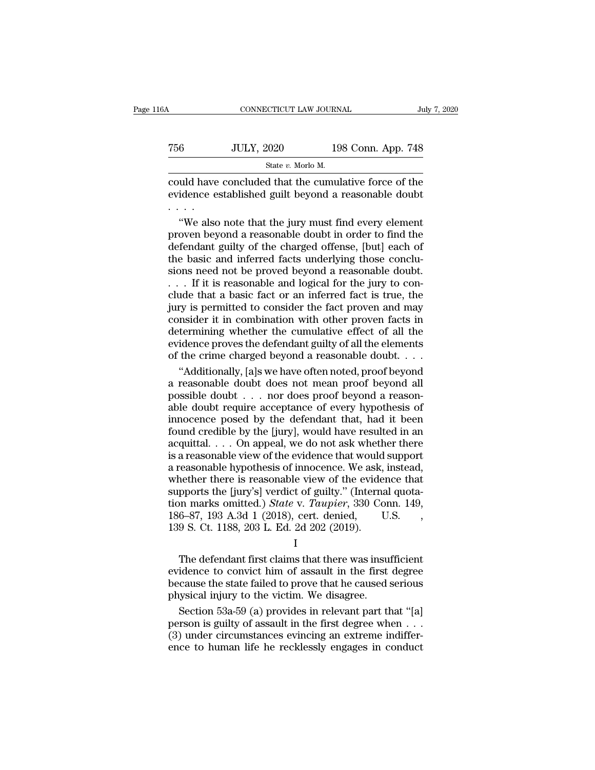| l6A | CONNECTICUT LAW JOURNAL                               |                    | July 7, 2020 |
|-----|-------------------------------------------------------|--------------------|--------------|
| 756 | <b>JULY, 2020</b>                                     | 198 Conn. App. 748 |              |
|     | State v. Morlo M.                                     |                    |              |
|     | could have concluded that the cumulative force of the |                    |              |

CONNECTICUT LAW JOURNAL July 7, 2020<br>T56 JULY, 2020 198 Conn. App. 748<br>State v. Morlo M.<br>Could have concluded that the cumulative force of the<br>evidence established guilt beyond a reasonable doubt FERREY TO STATE THEORY OF THE STATE OF THE STATE OF THE STATE OF THE STATE OF THE STATE OF THE STATE OF THE STATE OF THE STATE OF THE STATE OF THE STATE OF THE STATE OF THE STATE OF THE STATE OF THE STATE OF THE STATE OF T . . . .  $\frac{\text{JULY, 2020}}{\text{State } v. \text{ Morlo M.}}$ <br>
and have concluded that the cumulative force of the idence established guilt beyond a reasonable doubt<br>  $\cdot \cdot$ <br>
"We also note that the jury must find every element<br>
oven beyond a reasonab

State v. Morlo M.<br>
could have concluded that the cumulative force of the<br>
evidence established guilt beyond a reasonable doubt<br>  $\cdots$ <br>
"We also note that the jury must find every element<br>
proven beyond a reasonable doubt state v. Mond M.<br>
could have concluded that the cumulative force of the<br>
evidence established guilt beyond a reasonable doubt<br>
....<br>
"We also note that the jury must find every element<br>
proven beyond a reasonable doubt in could have concluded that the cumulative force of the evidence established guilt beyond a reasonable doubt<br>
....<br>
... "We also note that the jury must find every element<br>
proven beyond a reasonable doubt in order to find evidence established guilt beyond a reasonable doubt<br>
....<br>
"We also note that the jury must find every element<br>
proven beyond a reasonable doubt in order to find the<br>
defendant guilty of the charged offense, [but] each of . . . . .<br>
"We also note that the jury must find every element<br>
proven beyond a reasonable doubt in order to find the<br>
defendant guilty of the charged offense, [but] each of<br>
the basic and inferred facts underlying those "We also note that the jury must find every element<br>proven beyond a reasonable doubt in order to find the<br>defendant guilty of the charged offense, [but] each of<br>the basic and inferred facts underlying those conclu-<br>sions proven beyond a reasonable doubt in order to find the defendant guilty of the charged offense, [but] each of the basic and inferred facts underlying those conclusions need not be proved beyond a reasonable doubt.<br>... If i defendant guilty of the charged offense, [but] each of<br>the basic and inferred facts underlying those conclu-<br>sions need not be proved beyond a reasonable doubt.<br>. . . If it is reasonable and logical for the jury to con-<br>cl the basic and inferred facts underlying those conclusions need not be proved beyond a reasonable doubt.<br>  $\dots$  If it is reasonable and logical for the jury to conclude that a basic fact or an inferred fact is true, the jur sions need not be proved beyond a reasonable doubt.<br>  $\ldots$  If it is reasonable and logical for the jury to conclude that a basic fact or an inferred fact is true, the jury is permitted to consider the fact proven and may If it is reasonable and logical for the jury to conclude that a basic fact or an inferred fact is true, the jury is permitted to consider the fact proven and may consider it in combination with other proven facts in deter le that a basic fact or an inferred fact is true, the<br>ry is permitted to consider the fact proven and may<br>msider it in combination with other proven facts in<br>termining whether the cumulative effect of all the<br>idence proves jury is permitted to consider the fact proven and may<br>consider it in combination with other proven facts in<br>determining whether the cumulative effect of all the<br>evidence proves the defendant guilty of all the elements<br>of t

consider it in combination with other proven facts in determining whether the cumulative effect of all the evidence proves the defendant guilty of all the elements of the crime charged beyond a reasonable doubt.... "Addit determining whether the cumulative effect of all the evidence proves the defendant guilty of all the elements<br>of the crime charged beyond a reasonable doubt. . . .<br>"Additionally, [a]s we have often noted, proof beyond<br>a re evidence proves the defendant guilty of all the elements<br>of the crime charged beyond a reasonable doubt. . . .<br>"Additionally, [a]s we have often noted, proof beyond<br>a reasonable doubt does not mean proof beyond all<br>possib of the crime charged beyond a reasonable doubt. . . .<br>"Additionally, [a]s we have often noted, proof beyond all<br>a reasonable doubt does not mean proof beyond all<br>possible doubt . . . nor does proof beyond a reason-<br>able do "Additionally, [a]s we have often noted, proof beyond<br>a reasonable doubt does not mean proof beyond all<br>possible doubt . . . nor does proof beyond a reason-<br>able doubt require acceptance of every hypothesis of<br>innocence p a reasonable doubt does not mean proof beyond all<br>possible doubt  $\ldots$  nor does proof beyond a reason-<br>able doubt require acceptance of every hypothesis of<br>innocence posed by the defendant that, had it been<br>found credible a reasonable doubt  $\dots$  nor does proof beyond a reasonable doubt require acceptance of every hypothesis of innocence posed by the defendant that, had it been found credible by the [jury], would have resulted in an acquitt able doubt require acceptance of every hypothesis of innocence posed by the defendant that, had it been<br>found credible by the [jury], would have resulted in an<br>acquittal.... On appeal, we do not ask whether there<br>is a rea innocence posed by the defendant that, had it been<br>found credible by the [jury], would have resulted in an<br>acquittal.... On appeal, we do not ask whether there<br>is a reasonable view of the evidence that would support<br>a rea found credible by the [jury], would have resulted in an acquittal. . . . On appeal, we do not ask whether there is a reasonable view of the evidence that would support a reasonable hypothesis of innocence. We ask, instead, Example 1.1 a.e. On appeal, we do not ask whether there is a reasonable view of the evidence that would support a reasonable hypothesis of innocence. We ask, instead, whether there is reasonable view of the evidence that is a reasonable view of the evidence that would<br>a reasonable hypothesis of innocence. We ask,<br>whether there is reasonable view of the evide<br>supports the [jury's] verdict of guilty." (Internation marks omitted.) *State* v. nether there is reasonable view of the evidence that<br>pports the [jury's] verdict of guilty." (Internal quota-<br>on marks omitted.) *State* v. *Taupier*, 330 Conn. 149,<br>6–87, 193 A.3d 1 (2018), cert. denied, U.S.<br>9 S. Ct. 118

I and the set of  $\mathbf{I}$ 

supports the [Jury s] verdict of guilty." (Internal quotation marks omitted.) *State v. Taupier*, 330 Conn. 149, 186–87, 193 A.3d 1 (2018), cert. denied, U.S. , 139 S. Ct. 1188, 203 L. Ed. 2d 202 (2019).<br>
I<br>
The defendant tion marks omitted.) *State* v. Taupier, 330 Conn. 149, 186–87, 193 A.3d 1 (2018), cert. denied, U.S. , 139 S. Ct. 1188, 203 L. Ed. 2d 202 (2019).<br>
I<br>
The defendant first claims that there was insufficient evidence to con 186–87, 193 A.3d 1 (2018), cert. denied, comparison of the victim. If the defendant first claims that there was insure vidence to convict him of assault in the first because the state failed to prove that he caused sphysi The defendant first claims that there was insufficient<br>idence to convict him of assault in the first degree<br>cause the state failed to prove that he caused serious<br>ysical injury to the victim. We disagree.<br>Section 53a-59 ( The defendant first claims that there was insufficient<br>evidence to convict him of assault in the first degree<br>because the state failed to prove that he caused serious<br>physical injury to the victim. We disagree.<br>Section 53 The defendant first claims that there was insufficient<br>evidence to convict him of assault in the first degree<br>because the state failed to prove that he caused serious<br>physical injury to the victim. We disagree.<br>Section 53

evidence to convict him of assault in the first degree<br>because the state failed to prove that he caused serious<br>physical injury to the victim. We disagree.<br>Section 53a-59 (a) provides in relevant part that "[a]<br>person is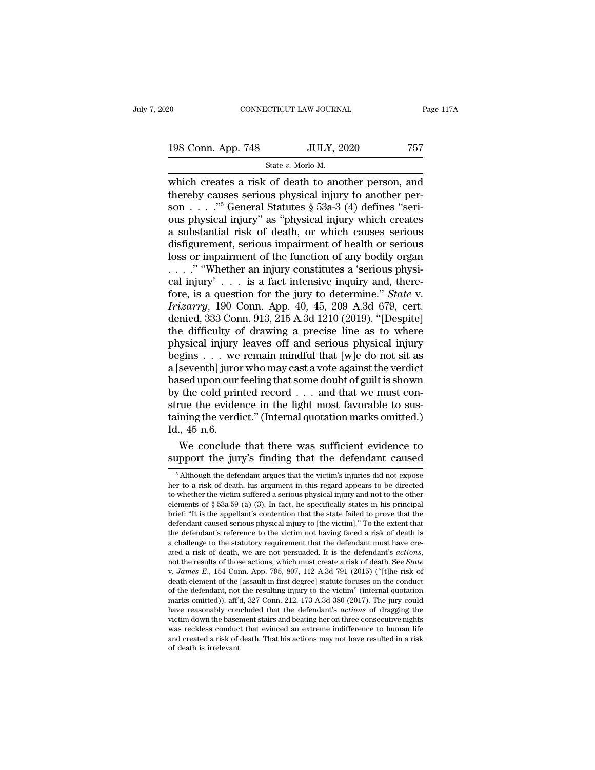EXECUTE 2000 CONNECTICUT LAW JOURNAL Page 117A<br>198 Conn. App. 748 JULY, 2020 757<br>State v. Morlo M. STICUT LAW JOURN.<br>JULY, 2<br>State *v.* Morlo M.<br>of death to and

CONNECTICUT LAW JOURNAL Page 117A<br>
198 Conn. App. 748 JULY, 2020 757<br>
State v. Morlo M.<br>
which creates a risk of death to another person, and<br>
thereby causes serious physical injury to another person<br>
"<sup>5</sup> Conoral Statutes thereby causes serious physical injury to another per-198 Conn. App. 748 JULY, 2020 757<br>
State v. Morlo M.<br>
which creates a risk of death to another person, and<br>
thereby causes serious physical injury to another person . . . . ."<br>
Substantial risk of death or which causes se 198 Conn. App. 748 JULY, 2020 757<br>
State v. Morlo M.<br>
which creates a risk of death to another person, and<br>
thereby causes serious physical injury to another person . . . . ."<sup>5</sup> General Statutes § 53a-3 (4) defines "seri State v. Morlo M.<br>
State v. Morlo M.<br>
Which creates a risk of death to another person, and<br>
thereby causes serious physical injury to another per-<br>
son . . . . ."<sup>5</sup> General Statutes § 53a-3 (4) defines "seri-<br>
ous physic State v. Morlo M.<br>
Which creates a risk of death to another person, and<br>
thereby causes serious physical injury to another per-<br>
son . . . . ."<sup>5</sup> General Statutes § 53a-3 (4) defines "seri-<br>
ous physical injury" as "phys which creates a risk of death to another person, and<br>thereby causes serious physical injury to another per-<br>son . . . . "<sup>5</sup> General Statutes § 53a-3 (4) defines "seri-<br>ous physical injury" as "physical injury which creat thereby causes serious physical injury to another person . . . . ."<sup>5</sup> General Statutes § 53a-3 (4) defines "serious physical injury" as "physical injury which creates a substantial risk of death, or which causes serious cal injury' . . . is a fact intensive inquiry and, thereous physical injury" as "physical injury which creates<br>a substantial risk of death, or which causes serious<br>disfigurement, serious impairment of health or serious<br>loss or impairment of the function of any bodily organ<br>.... *I* a substantial risk of death, or which causes serious<br>disfigurement, serious impairment of health or serious<br>loss or impairment of the function of any bodily organ<br> $\ldots$ ." "Whether an injury constitutes a 'serious physi disfigurement, serious impairment of health or serious<br>loss or impairment of the function of any bodily organ<br> $\ldots$ ." "Whether an injury constitutes a 'serious physi-<br>cal injury'  $\ldots$  is a fact intensive inquiry and, the loss or impairment of the function of any bodily organ<br>  $\ldots$  ." "Whether an injury constitutes a 'serious physical injury'  $\ldots$  is a fact intensive inquiry and, there-<br>
fore, is a question for the jury to determine." *S* ...." "Whether an injury constitutes a 'serious physical injury'... is a fact intensive inquiry and, therefore, is a question for the jury to determine." *State v.*<br>*Irizarry*, 190 Conn. App. 40, 45, 209 A.3d 679, cert.<br>d cal injury'... is a fact intensive inquiry and, therefore, is a question for the jury to determine." *State* v.<br>*Irizarry*, 190 Conn. App. 40, 45, 209 A.3d 679, cert.<br>denied, 333 Conn. 913, 215 A.3d 1210 (2019). "[Despite fore, is a question for the jury to determine." *State* v.<br> *Irizarry*, 190 Conn. App. 40, 45, 209 A.3d 679, cert.<br>
denied, 333 Conn. 913, 215 A.3d 1210 (2019). "[Despite]<br>
the difficulty of drawing a precise line as to w Irizarry, 190 Conn. App. 40, 45, 209 A.3d 679, cert.<br>denied, 333 Conn. 913, 215 A.3d 1210 (2019). "[Despite]<br>the difficulty of drawing a precise line as to where<br>physical injury leaves off and serious physical injury<br>begi denied, 333 Conn. 913, 215 A.3d 1210 (2019). "[Despite]<br>the difficulty of drawing a precise line as to where<br>physical injury leaves off and serious physical injury<br>begins . . . we remain mindful that [w]e do not sit as<br>a the difficulty of drawing a precise line as to where<br>physical injury leaves off and serious physical injury<br>begins . . . we remain mindful that [w]e do not sit as<br>a [seventh] juror who may cast a vote against the verdict<br> physical injury leaves off and serious physical injury<br>begins . . . we remain mindful that [w]e do not sit as<br>a [seventh] juror who may cast a vote against the verdict<br>based upon our feeling that some doubt of guilt is sho begins . . . we<br>a [seventh] juron<br>based upon our :<br>by the cold prin<br>strue the evider<br>taining the verdi<br>Id., 45 n.6.<br>We conclude seventh] juror who may cast a vote against the verdict<br>sed upon our feeling that some doubt of guilt is shown<br>the cold printed record  $\dots$  and that we must con-<br>ue the evidence in the light most favorable to sus-<br>ining th based upon our feeling that some doubt of guilt is shown<br>by the cold printed record  $\ldots$  and that we must con-<br>strue the evidence in the light most favorable to sus-<br>taining the verdict." (Internal quotation marks omitte

<sup>1., 45</sup> n.6.<br>
We conclude that there was sufficient evidence to<br>
upport the jury's finding that the defendant caused<br>  $\frac{1}{2}$ <br>
Although the defendant argues that the victim's injuries did not expose<br>
r to a risk of death 1d., 45 n.6.<br>We conclude that there was sufficient evidence to<br>support the jury's finding that the defendant caused<br> $\frac{1}{100}$ <br>his argument in this regard appears to be directed<br>to whether the victim suffered a serious p We conclude that there was sufficient evidence to support the jury's finding that the defendant caused  $\frac{1}{10}$  Although the defendant argues that the victim's injuries did not expose her to a risk of death, his argumen We conclude that there was sufficient evidence to support the jury's finding that the defendant caused  $\frac{1}{3}$  Although the defendant argues that the victim's injuries did not expose ther to a risk of death, his argumen support the jury's finding that the defendant caused<br>
<sup>5</sup> Although the defendant argues that the victim's injuries did not expose<br>
her to a risk of death, his argument in this regard appears to be directed<br>
to whether the <sup>5</sup> Although the defendant argues that the victim's injuries did not expose her to a risk of death, his argument in this regard appears to be directed to whether the victim suffered a serious physical injury and not to th " Although the defendant argues that the victim's injuries did not expose<br>her to a risk of death, his argument in this regard appears to be directed<br>to whether the victim suffered a serious physical injury and not to the her to a risk of death, his argument in this regard appears to be directed<br>to whether the victim suffered a serious physical injury and not to the other<br>elements of  $\S$  53a-59 (a) (3). In fact, he specifically states in h to whether the victim suitered a serious physical injury and not to the other<br>elements of § 53a-59 (a) (3). In fact, he specifically states in his principal<br>brief: "It is the appellant's contention that the state failed t defendant caused serious physical in<br>jury to [the victim]." To the extent that the defendant's reference to the victim not having faced a risk of death is<br>a challenge to the statutory requirement that the defendant must h the defendant is reference to the victim not having faced a risk of death is<br>a challenge to the statutory requirement that the defendant must have cre-<br>ated a risk of death, we are not persuaded. It is the defendant's *ac* a challenge to the statutory requirement that the defendant must have created a risk of death, we are not persuaded. It is the defendant's *actions*, mot the results of those actions, which must create a risk of death. See ated a risk of death, we are not persuaded. It is the detendant's *actions*, not the results of those actions, which must create a risk of death. See *State* v. *James E.*, 154 Conn. App. 795, 807, 112 A.3d 791 (2015) ("[t not the results of those actions, which must create a risk of death. See *State* v. *James E.*, 154 Conn. App. 795, 807, 112 A.3d 791 (2015) ("[t]he risk of death element of the [assault in first degree] statute focuses o *w. James E.*, 154 Conn. App. 795, 807, 112 A.3d 791 (2015) ("[t]he risk of death element of the [assault in first degree] statute focuses on the conduct of the defendant, not the resulting injury to the victim" (internal death element of the [assault in linst degree] statute focuses on the conduct<br>of the defendant, not the resulting injury to the victim" (internal quotation<br>marks omitted)), aff<sup>d</sup>, 327 Conn. 212, 173 A.3d 380 (2017). The j marks omitted)), aff'd, 327 Conn. 212, 173 A.3d 380 (2017). The jury could have reasonably concluded that the defendant's *actions* of dragging the victim down the basement stairs and beating her on three consecutive nigh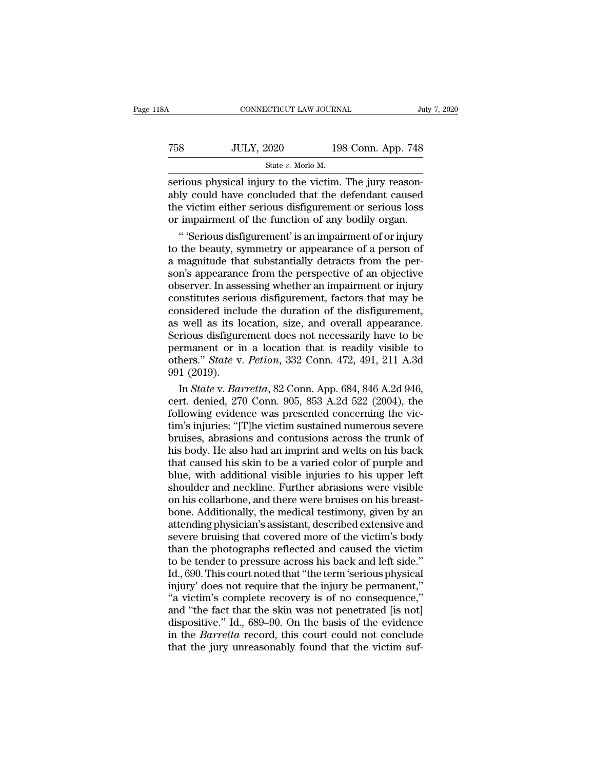|                   |                    | July 7, 2020                                 |
|-------------------|--------------------|----------------------------------------------|
| <b>JULY, 2020</b> | 198 Conn. App. 748 |                                              |
|                   |                    |                                              |
|                   |                    | CONNECTICUT LAW JOURNAL<br>State v. Morlo M. |

SERIEG CONNECTICUT LAW JOURNAL<br>
SERIEG MANA SERIEG MANA SERIOUS PHysical injury to the victim. The jury reason-<br>
Serious physical injury to the victim. The jury reason-<br>
Serious physical injury to the victim. The jury reas TES JULY, 2020 198 Conn. App. 748<br>
State v. Morlo M.<br>
State v. Morlo M.<br>
State v. Morlo M.<br>
State v. Morlo M.<br>
State v. Morlo M.<br>
State victim. The jury reason-<br>
ably could have concluded that the defendant caused<br>
the vic T58 JULY, 2020 198 Conn. App. 748<br>
State v. Morlo M.<br>
Serious physical injury to the victim. The jury reasonably could have concluded that the defendant caused<br>
the victim either serious disfigurement or serious loss<br>
or To state v. Morlo M.<br>
State v. Morlo M.<br>
State v. Morlo M.<br>
Serious physical injury to the victim. The jury reasonably could have concluded that the defendant caused<br>
the victim either serious disfigurement or serious los State  $v$ . Morlo M.<br>
Frious physical injury to the victim. The jury reason-<br>
ly could have concluded that the defendant caused<br>
e victim either serious disfigurement or serious loss<br>
impairment of the function of any bodi Example 18 and all the victim. The jury reasonably could have concluded that the defendant caused<br>the victim either serious disfigurement or serious loss<br>or impairment of the function of any bodily organ.<br>"Serious disfigur

serious physical injury to the victim. The jury reasonably could have concluded that the defendant caused<br>the victim either serious disfigurement or serious loss<br>or impairment of the function of any bodily organ.<br>"Serious ably could have concluded that the defendant caused<br>the victim either serious disfigurement or serious loss<br>or impairment of the function of any bodily organ.<br>"Serious disfigurement' is an impairment of or injury<br>to the be the victim either serious disfigurement or serious loss<br>or impairment of the function of any bodily organ.<br>"Serious disfigurement' is an impairment of or injury<br>to the beauty, symmetry or appearance of a person of<br>a magnit or impairment of the function of any bodily organ.<br>
" 'Serious disfigurement' is an impairment of or injury<br>
to the beauty, symmetry or appearance of a person of<br>
a magnitude that substantially detracts from the per-<br>
son' " Serious disfigurement' is an impairment of or injury<br>to the beauty, symmetry or appearance of a person of<br>a magnitude that substantially detracts from the per-<br>son's appearance from the perspective of an objective<br>observ to the beauty, symmetry or appearance of a person of<br>a magnitude that substantially detracts from the per-<br>son's appearance from the perspective of an objective<br>observer. In assessing whether an impairment or injury<br>consti a magnitude that substantially detracts from the person's appearance from the perspective of an objective observer. In assessing whether an impairment or injury constitutes serious disfigurement, factors that may be consi son's appearance from the perspective of an objective<br>observer. In assessing whether an impairment or injury<br>constitutes serious disfigurement, factors that may be<br>considered include the duration of the disfigurement,<br>as w observer. In assessing whether an impairment or injury constitutes serious disfigurement, factors that may be considered include the duration of the disfigurement, as well as its location, size, and overall appearance. Ser constitutes seric<br>considered inclu<br>as well as its lo<br>Serious disfigure<br>permanent or in<br>others." *State* v.<br>991 (2019).<br>In *State* v. Ban msidered include the duration of the disfigurement,<br>well as its location, size, and overall appearance.<br>rious disfigurement does not necessarily have to be<br>rmanent or in a location that is readily visible to<br>hers." *State* as well as its location, size, and overall appearance.<br>Serious disfigurement does not necessarily have to be<br>permanent or in a location that is readily visible to<br>others." *State* v. *Petion*, 332 Conn. 472, 491, 211 A.3d<br>

Serious disfigurement does not necessarily have to be<br>permanent or in a location that is readily visible to<br>others." *State v. Petion*, 332 Conn. 472, 491, 211 A.3d<br>991 (2019).<br>In *State v. Barretta*, 82 Conn. App. 684, 84 permanent or in a location that is readily visible to<br>others." *State* v. *Petion*, 332 Conn. 472, 491, 211 A.3d<br>991 (2019).<br>In *State* v. *Barretta*, 82 Conn. App. 684, 846 A.2d 946,<br>cert. denied, 270 Conn. 905, 853 A.2d others." *State v. Petion*, 332 Conn. 472, 491, 211 A.3d<br>991 (2019).<br>In *State v. Barretta*, 82 Conn. App. 684, 846 A.2d 946,<br>cert. denied, 270 Conn. 905, 853 A.2d 522 (2004), the<br>following evidence was presented concernin 991 (2019).<br>
In *State* v. *Barretta*, 82 Conn. App. 684, 846 A.2d 946,<br>
cert. denied, 270 Conn. 905, 853 A.2d 522 (2004), the<br>
following evidence was presented concerning the vic-<br>
tim's injuries: "[T]he victim sustained In *State* v. *Barretta*, 82 Conn. App. 684, 846 A.2d 946,<br>cert. denied, 270 Conn. 905, 853 A.2d 522 (2004), the<br>following evidence was presented concerning the vic-<br>tim's injuries: "[T]he victim sustained numerous severe<br> cert. denied, 270 Conn. 905, 853 A.2d 522 (2004), the following evidence was presented concerning the victim's injuries: "[T]he victim sustained numerous severe bruises, abrasions and contusions across the trunk of his bod following evidence was presented concerning the victim's injuries: "[T]he victim sustained numerous severe<br>bruises, abrasions and contusions across the trunk of<br>his body. He also had an imprint and welts on his back<br>that c tim's injuries: "[T]he victim sustained numerous severe<br>bruises, abrasions and contusions across the trunk of<br>his body. He also had an imprint and welts on his back<br>that caused his skin to be a varied color of purple and<br>b bruises, abrasions and contusions across the trunk of<br>his body. He also had an imprint and welts on his back<br>that caused his skin to be a varied color of purple and<br>blue, with additional visible injuries to his upper left<br> his body. He also had an imprint and welts on his back<br>that caused his skin to be a varied color of purple and<br>blue, with additional visible injuries to his upper left<br>shoulder and neckline. Further abrasions were visible<br> that caused his skin to be a varied color of purple and<br>blue, with additional visible injuries to his upper left<br>shoulder and neckline. Further abrasions were visible<br>on his collarbone, and there were bruises on his breast blue, with additional visible injuries to his upper left<br>shoulder and neckline. Further abrasions were visible<br>on his collarbone, and there were bruises on his breast-<br>bone. Additionally, the medical testimony, given by an shoulder and neckline. Further abrasions were visible<br>on his collarbone, and there were bruises on his breast-<br>bone. Additionally, the medical testimony, given by an<br>attending physician's assistant, described extensive and on his collarbone, and there were bruises on his breast-<br>bone. Additionally, the medical testimony, given by an<br>attending physician's assistant, described extensive and<br>severe bruising that covered more of the victim's bod bone. Additionally, the medical testimony, given by an attending physician's assistant, described extensive and severe bruising that covered more of the victim's body than the photographs reflected and caused the victim to attending physician's assistant, described extensive and<br>severe bruising that covered more of the victim's body<br>than the photographs reflected and caused the victim<br>to be tender to pressure across his back and left side.'' severe bruising that covered more of the victim's body<br>than the photographs reflected and caused the victim<br>to be tender to pressure across his back and left side."<br>Id., 690. This court noted that "the term 'serious physic than the photographs reflected and caused the victim<br>to be tender to pressure across his back and left side."<br>Id., 690. This court noted that "the term 'serious physical<br>injury' does not require that the injury be permanen to be tender to pressure across his back and left side."<br>Id., 690. This court noted that "the term 'serious physical<br>injury' does not require that the injury be permanent,"<br>"a victim's complete recovery is of no consequenc Id., 690. This court noted that "the term 'serious physical<br>injury' does not require that the injury be permanent,"<br>"a victim's complete recovery is of no consequence,"<br>and "the fact that the skin was not penetrated [is no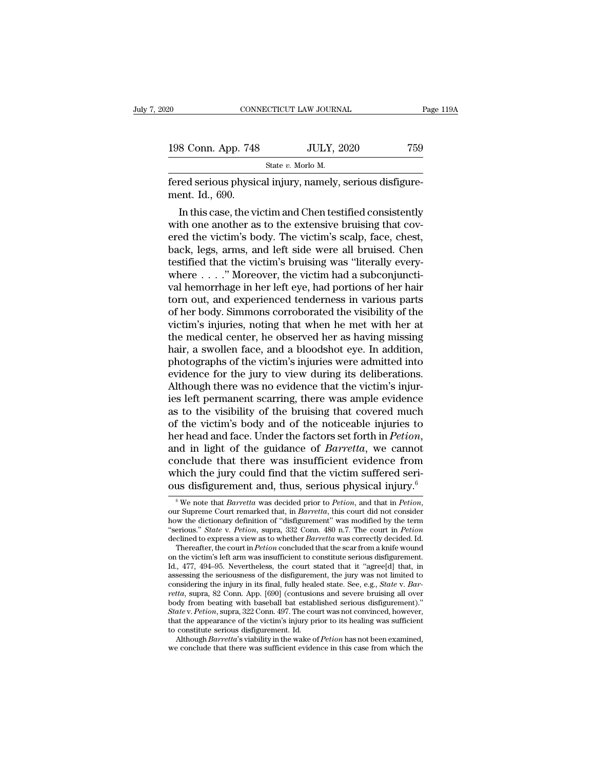| 20                 | CONNECTICUT LAW JOURNAL |                                                           | Page 119A |
|--------------------|-------------------------|-----------------------------------------------------------|-----------|
| 198 Conn. App. 748 |                         | <b>JULY, 2020</b>                                         | 759       |
|                    | State v. Morlo M.       |                                                           |           |
| ment. Id., 690.    |                         | fered serious physical injury, namely, serious disfigure- |           |
|                    |                         | In this case, the victim and Chen testified consistently  |           |

 $\frac{\text{State } v \text{. Morlo M.}}{\text{State } v \text{. Morlo M.}}$ <br>
Fed serious physical injury, namely, serious disfigure-<br>
Ent. Id., 690.<br>
In this case, the victim and Chen testified consistently<br>
th one another as to the extensive bruising that cove 198 Conn. App. 748 JULY, 2020 759<br>
State v. Morlo M.<br>
fered serious physical injury, namely, serious disfigure-<br>
ment. Id., 690.<br>
In this case, the victim and Chen testified consistently<br>
with one another as to the extens State v. Morlo M.<br>
fered serious physical injury, namely, serious disfigurement. Id., 690.<br>
In this case, the victim and Chen testified consistently<br>
with one another as to the extensive bruising that cov-<br>
ered the victi fered serious physical injury, namely, serious disfigurement. Id., 690.<br>In this case, the victim and Chen testified consistently<br>with one another as to the extensive bruising that cov-<br>ered the victim's body. The victim's rered serious physical injury, namely, serious disingurement. Id., 690.<br>In this case, the victim and Chen testified consistently<br>with one another as to the extensive bruising that cov-<br>ered the victim's body. The victim's ment. 1d., 690.<br>
In this case, the victim and Chen testified consistently<br>
with one another as to the extensive bruising that cov-<br>
ered the victim's body. The victim's scalp, face, chest,<br>
back, legs, arms, and left side In this case, the victim and Chen testified consistently<br>with one another as to the extensive bruising that cov-<br>ered the victim's body. The victim's scalp, face, chest,<br>back, legs, arms, and left side were all bruised. C with one another as to the extensive bruising that covered the victim's body. The victim's scalp, face, chest, back, legs, arms, and left side were all bruised. Chen testified that the victim's bruising was "literally ever ered the victim's body. The victim's scalp, face, chest,<br>back, legs, arms, and left side were all bruised. Chen<br>testified that the victim's bruising was "literally every-<br>where  $\dots$ ." Moreover, the victim had a subconjunc back, legs, arms, and left side were all bruised. Chen<br>testified that the victim's bruising was "literally every-<br>where  $\ldots$ ." Moreover, the victim had a subconjuncti-<br>val hemorrhage in her left eye, had portions of her testified that the victim's bruising was "literally every-<br>where  $\ldots$ ." Moreover, the victim had a subconjuncti-<br>val hemorrhage in her left eye, had portions of her hair<br>torn out, and experienced tenderness in various pa where  $\dots$  ." Moreover, the victim had a subconjunctival hemorrhage in her left eye, had portions of her hair torn out, and experienced tenderness in various parts of her body. Simmons corroborated the visibility of the v val hemorrhage in her left eye, had portions of her hair<br>torn out, and experienced tenderness in various parts<br>of her body. Simmons corroborated the visibility of the<br>victim's injuries, noting that when he met with her at<br> torn out, and experienced tenderness in various parts<br>of her body. Simmons corroborated the visibility of the<br>victim's injuries, noting that when he met with her at<br>the medical center, he observed her as having missing<br>hai of her body. Simmons corroborated the visibility of the victim's injuries, noting that when he met with her at the medical center, he observed her as having missing hair, a swollen face, and a bloodshot eye. In addition, p victim's injuries, noting that when he met with her at<br>the medical center, he observed her as having missing<br>hair, a swollen face, and a bloodshot eye. In addition,<br>photographs of the victim's injuries were admitted into<br>e the medical center, he observed her as having missing<br>hair, a swollen face, and a bloodshot eye. In addition,<br>photographs of the victim's injuries were admitted into<br>evidence for the jury to view during its deliberations.<br> hair, a swollen face, and a bloodshot eye. In addition,<br>photographs of the victim's injuries were admitted into<br>evidence for the jury to view during its deliberations.<br>Although there was no evidence that the victim's injur photographs of the victim's injuries were admitted into<br>evidence for the jury to view during its deliberations.<br>Although there was no evidence that the victim's injur-<br>ies left permanent scarring, there was ample evidence<br> Although there was no evidence that the victim's injuries left permanent scarring, there was ample evidence as to the visibility of the bruising that covered much of the victim's body and of the noticeable injuries to her ies left permanent scarring, there was ample evidence<br>as to the visibility of the bruising that covered much<br>of the victim's body and of the noticeable injuries to<br>her head and face. Under the factors set forth in *Petion* as to the visibility of the bruising that covered much<br>of the victim's body and of the noticeable injuries to<br>her head and face. Under the factors set forth in *Petion*,<br>and in light of the guidance of *Barretta*, we cann and in light of the guidance of *Barretta*, we cannot<br>conclude that there was insufficient evidence from<br>which the jury could find that the victim suffered seri-<br>ous disfigurement and, thus, serious physical injury.<sup>6</sup><br> $\$ 

which the jury could find that the victim suffered seri-<br>ous disfigurement and, thus, serious physical injury.<sup>6</sup><br> $\sqrt[6]{\ }$   $\sqrt[6]{\ }$  we note that *Barretta* was decided prior to *Petion*, and that in *Petion*,<br>our Suprem Which the jury could find that the victim suffered seri-<br>
ous disfigurement and, thus, serious physical injury.<sup>6</sup><br>
<sup>6</sup> We note that *Barretta* was decided prior to *Petion*, and that in *Petion*,<br>
our Supreme Court remark **OUS disfigurement and, thus, serious physical injury.**<sup>6</sup><br>  $\overline{\phantom{a}}$  We note that *Barretta* was decided prior to *Petion*, and that in *Petion*,<br>
our Supreme Court remarked that, in *Barretta*, this court did not cons Thereafter, the court in *Petion*, and that in *Petion*, and that in *Petion*, if we note that *Barretta* was decided prior to *Petion*, and that in *Petion*, we the dictionary definition of "disfigurement" was modified by <sup>6</sup> We note that *Barretta* was decided prior to *Petion*, and that in *Petion*, our Supreme Court remarked that, in *Barretta*, this court did not consider how the dictionary definition of "disfigurement" was modified by

our Supreme Court remarked that, in *Barretta*, this court did not consider<br>how the dictionary definition of "disfigurement" was modified by the term<br>"serious." *State v. Petion*, supra, 332 Conn. 480 n.7. The court in *Pe* how the dictionary definition of "disfigurement" was modified by the term "serious." *State v. Petion*, supra, 332 Conn. 480 n.7. The court in *Petion* declined to express a view as to whether *Barretta* was correctly dec "serious." *State* v. *Petion*, supra, 332 Conn. 480 n.7. The court in *Petion* declined to express a view as to whether *Barretta* was correctly decided. Id. Thereafter, the court in *Petion* concluded that the scar from declined to express a view as to whether *Barretta* was correctly decided. Id.<br>
Thereafter, the court in *Petion* concluded that the scar from a knife wound<br>
on the victim's left arm was insufficient to constitute serious Thereafter, the court in *Petion* concluded that the scar from a knife wound<br>on the victim's left arm was insufficient to constitute serious disfigurement.<br>Id., 477, 494–95. Nevertheless, the court stated that it "agree[d] on the victim's left arm was insufficient to constitute serious disfigurement.<br>Id., 477, 494–95. Nevertheless, the court stated that it "agree[d] that, in<br>assessing the seriousness of the disfigurement, the jury was not li Id., 477, 494–95. Nevertheless, the court stated that it "agree[d] that, in assessing the seriousness of the disfigurement, the jury was not limited to considering the injury in its final, fully healed state. See, e.g., assessing the seriousness of the disfigureme<br>considering the injury in its final, fully heale<br>*retta*, supra, 82 Conn. App. [690] (contusion<br>body from beating with baseball bat establ<br> $State$  v.  $Petion$ , supra, 322 Conn. 497. Th msidering the injury in its final, fully healed state. See, e.g., *State v. Bartha*, supra, 82 Conn. App. [690] (contusions and severe bruising all over ddy from beating with baseball bat established serious disfigurement) retta, supra, 82 Conn. App. [690] (contusions and severe bruising all over body from beating with baseball bat established serious disfigurement)."<br>State v. Petion, supra, 322 Conn. 497. The court was not convinced, howeve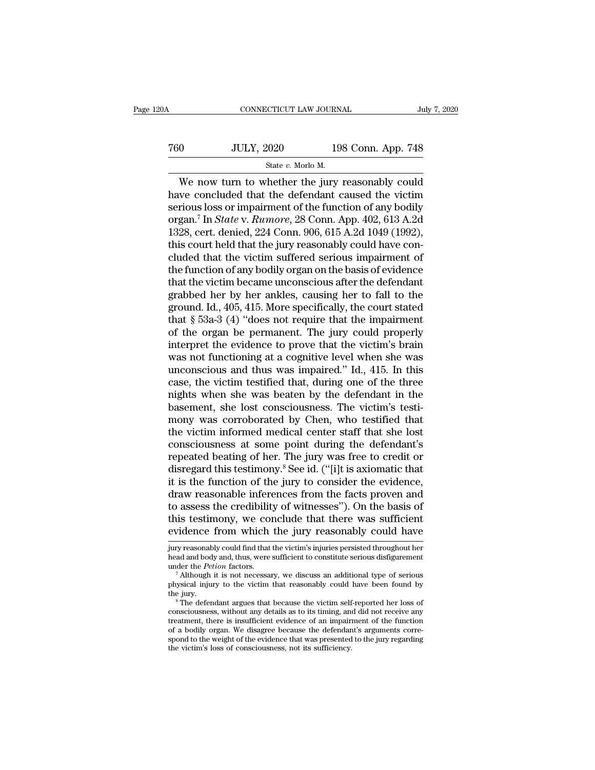## CONNECTICUT LAW JOURNAL July 7, 2020<br>
760 JULY, 2020 198 Conn. App. 748<br>
State v. Morlo M. STICUT LAW JOURN.<br>2020 19.<br>State *v.* Morlo M.<br>Thether the jury

CONNECTICUT LAW JOURNAL July 7, 2020<br>
O JULY, 2020 198 Conn. App. 748<br>
State v. Morlo M.<br>
We now turn to whether the jury reasonably could<br>
we concluded that the defendant caused the victim<br>
rious loss or impairment of th  $\begin{array}{r} \text{760} & \text{JULY, } 2020 & \text{198 Conn. App. 748} \\ \text{State } v. \text{ Morlo M.} \end{array}$ <br>We now turn to whether the jury reasonably could have concluded that the defendant caused the victim serious loss or impairment of the function of any bo T60 JULY, 2020 198 Conn. App. 748<br>
State v. Morlo M.<br>
We now turn to whether the jury reasonably could<br>
have concluded that the defendant caused the victim<br>
serious loss or impairment of the function of any bodily<br>
organ. organ.<sup>7</sup> In *State* v. *Rumore*, 28 Conn. App. 402, 613 A.2d State v. Morlo M.<br>
State v. Morlo M.<br>
We now turn to whether the jury reasonably could<br>
have concluded that the defendant caused the victim<br>
serious loss or impairment of the function of any bodily<br>
organ.<sup>7</sup> In *State* v State v. Morlo M.<br>
We now turn to whether the jury reasonably could<br>
have concluded that the defendant caused the victim<br>
serious loss or impairment of the function of any bodily<br>
organ.<sup>7</sup> In *State* v. *Rumore*, 28 Conn We now turn to whether the jury reasonably could<br>have concluded that the defendant caused the victim<br>serious loss or impairment of the function of any bodily<br>organ.<sup>7</sup> In *State* v. *Rumore*, 28 Conn. App. 402, 613 A.2d<br>13 have concluded that the defendant caused the victim<br>serious loss or impairment of the function of any bodily<br>organ.<sup>7</sup> In *State* v. *Rumore*, 28 Conn. App. 402, 613 A.2d<br>1328, cert. denied, 224 Conn. 906, 615 A.2d 1049 (1 serious loss or impairment of the function of any bodily<br>organ.<sup>7</sup> In *State* v. *Rumore*, 28 Conn. App. 402, 613 A.2d<br>1328, cert. denied, 224 Conn. 906, 615 A.2d 1049 (1992),<br>this court held that the jury reasonably could organ.<sup>7</sup> In *State* v. *Rumore*, 28 Conn. App. 402, 613 A.2d<br>1328, cert. denied, 224 Conn. 906, 615 A.2d 1049 (1992),<br>this court held that the jury reasonably could have con-<br>cluded that the victim suffered serious impair 1328, cert. denied, 224 Conn. 906, 615 A.2d 1049 (1992),<br>this court held that the jury reasonably could have con-<br>cluded that the victim suffered serious impairment of<br>the function of any bodily organ on the basis of evid this court held that the jury reasonably could have concluded that the victim suffered serious impairment of the function of any bodily organ on the basis of evidence that the victim became unconscious after the defendant cluded that the victim suffered serious impairment of<br>the function of any bodily organ on the basis of evidence<br>that the victim became unconscious after the defendant<br>grabbed her by her ankles, causing her to fall to the<br>g the function of any bodily organ on the basis of evidence<br>that the victim became unconscious after the defendant<br>grabbed her by her ankles, causing her to fall to the<br>ground. Id., 405, 415. More specifically, the court st that the victim became unconscious after the defendant<br>grabbed her by her ankles, causing her to fall to the<br>ground. Id., 405, 415. More specifically, the court stated<br>that § 53a-3 (4) "does not require that the impairment grabbed her by her ankles, causing her to fall to the<br>ground. Id., 405, 415. More specifically, the court stated<br>that § 53a-3 (4) "does not require that the impairment<br>of the organ be permanent. The jury could properly<br>int ground. Id., 405, 415. More specifically, the court stated<br>that § 53a-3 (4) "does not require that the impairment<br>of the organ be permanent. The jury could properly<br>interpret the evidence to prove that the victim's brain<br>w that § 53a-3 (4) "does not require that the impairment<br>of the organ be permanent. The jury could properly<br>interpret the evidence to prove that the victim's brain<br>was not functioning at a cognitive level when she was<br>uncons of the organ be permanent. The jury could properly<br>interpret the evidence to prove that the victim's brain<br>was not functioning at a cognitive level when she was<br>unconscious and thus was impaired." Id., 415. In this<br>case, t interpret the evidence to prove that the victim's brain<br>was not functioning at a cognitive level when she was<br>unconscious and thus was impaired." Id., 415. In this<br>case, the victim testified that, during one of the three<br>n was not functioning at a cognitive level when she was unconscious and thus was impaired." Id., 415. In this case, the victim testified that, during one of the three nights when she was beaten by the defendant in the baseme unconscious and thus was impaired." Id., 415. In this<br>case, the victim testified that, during one of the three<br>nights when she was beaten by the defendant in the<br>basement, she lost consciousness. The victim's testi-<br>mony w case, the victim testified that, during one of the three<br>nights when she was beaten by the defendant in the<br>basement, she lost consciousness. The victim's testi-<br>mony was corroborated by Chen, who testified that<br>the victim mights when she was beaten by the defendant in the basement, she lost consciousness. The victim's testimony was corroborated by Chen, who testified that the victim informed medical center staff that she lost consciousness basement, she lost consciousness. The victim's testi-<br>mony was corroborated by Chen, who testified that<br>the victim informed medical center staff that she lost<br>consciousness at some point during the defendant's<br>repeated bea mony was corroborated by Chen, who testified that<br>the victim informed medical center staff that she lost<br>consciousness at some point during the defendant's<br>repeated beating of her. The jury was free to credit or<br>disregard the victim informed medical center staff that she lost<br>consciousness at some point during the defendant's<br>repeated beating of her. The jury was free to credit or<br>disregard this testimony.<sup>8</sup> See id. ("[i]t is axiomatic tha consciousness at some point during the defendant's<br>repeated beating of her. The jury was free to credit or<br>disregard this testimony.<sup>8</sup> See id. ("[i]t is axiomatic that<br>it is the function of the jury to consider the eviden repeated beating of her. The jury was free to credit or<br>disregard this testimony.<sup>8</sup> See id. ("[i]t is axiomatic that<br>it is the function of the jury to consider the evidence,<br>draw reasonable inferences from the facts prove draw reasonable inferences from the facts proven and<br>to assess the credibility of witnesses"). On the basis of<br>this testimony, we conclude that there was sufficient<br>evidence from which the jury reasonably could have<br>jury r to assess the credibility of witnesses"). On the basis of<br>this testimony, we conclude that there was sufficient<br>evidence from which the jury reasonably could have<br>jury reasonably could find that the victim's injuries pers this testimony, we conclude that there was sufficient<br>evidence from which the jury reasonably could have<br>jury reasonably could find that the victim's injuries persisted throughout her<br>head and body and, thus, were sufficie

evidence from which the jury reasonably could have<br>
jury reasonably could find that the victim's injuries persisted throughout her<br>
head and body and, thus, were sufficient to constitute serious disfigurement<br>
under the *P* The general control of the self-reported her loss of the defendant argues that because the victim's injuries persisted throughout her head and body and, thus, were sufficient to constitute serious disfigurement under the

head and body and, thus, were sufficient to constitute serious disfigurement<br>under the *Petion* factors.<br><sup>7</sup> Although it is not necessary, we discuss an additional type of serious<br>physical injury to the victim that reasona is a the *Tetion* factors.<br>
<sup>7</sup> Although it is not necessary, we discuss an additional type of serious<br>
physical injury to the victim that reasonably could have been found by<br>
the jury.<br>
<sup>8</sup> The defendant argues that becau  $^\tau$ Although it is not necessary, we discuss an additional type of serious physical injury to the victim that reasonably could have been found by the jury. <br>  $^\circ$  The defendant argues that because the victim self-reported physical injury to the victim that reasonably could have been found by<br>the jury.<br><sup>8</sup> The defendant argues that because the victim self-reported her loss of<br>consciousness, without any details as to its timing, and did not r the jury.<br>
<sup>8</sup> The defendant argues that because the victim self<br>
consciousness, without any details as to its timing, and<br>
treatment, there is insufficient evidence of an impair<br>
of a bodily organ. We disagree because the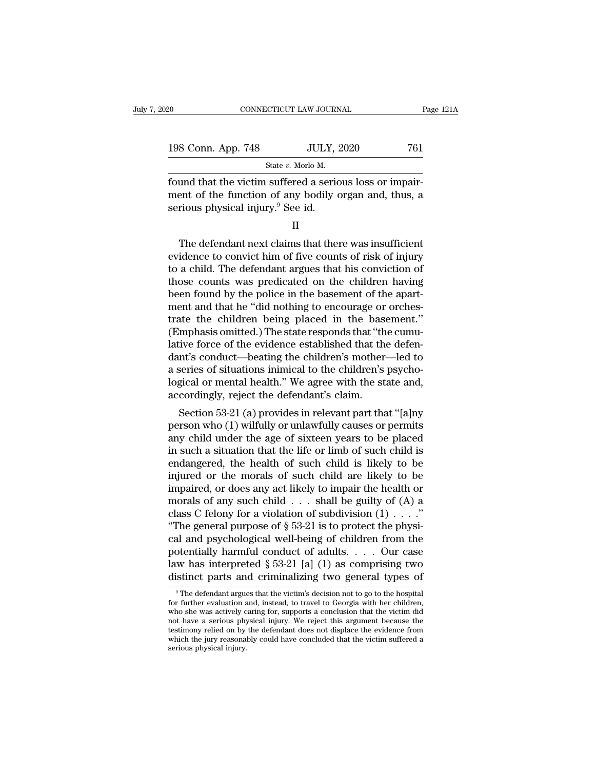| 20                 | CONNECTICUT LAW JOURNAL                                  | Page 121A |
|--------------------|----------------------------------------------------------|-----------|
|                    |                                                          |           |
| 198 Conn. App. 748 | <b>JULY, 2020</b>                                        | 761       |
|                    | State v. Morlo M.                                        |           |
|                    | found that the victim suffered a serious loss or imnair- |           |

Found that the victim suffered a serious loss or impair-<br>
state v. Morlo M.<br>
found that the victim suffered a serious loss or impair-<br>
ment of the function of any bodily organ and, thus, a<br>
serious physical injury  $\frac{9}{2}$ 198 Conn. App. 748 JULY, 2020 761<br>
State v. Morlo M.<br>
found that the victim suffered a serious loss or impair-<br>
ment of the function of any bodily organ and, thus, a<br>
serious physical injury.<sup>9</sup> See id. 198 Conn. App. 748 JULY, 198 Conn. App. 748 JULY, 198 State v. Morlo M.<br>
State v. Morlo M.<br>
found that the victim suffered a serie ment of the function of any bodily of serious physical injury.<sup>9</sup> See id. State v. Morlo M.<br>
und that the victim suffered a serious loss or impair-<br>
ent of the function of any bodily organ and, thus, a<br>
rious physical injury.<sup>9</sup> See id.<br>
II<br>
The defendant next claims that there was insufficient

II

found that the victim suffered a serious loss or impair-<br>ment of the function of any bodily organ and, thus, a<br>serious physical injury.<sup>9</sup> See id.<br>II<br>The defendant next claims that there was insufficient<br>evidence to convic ment of the function of any bodily organ and, thus, a<br>serious physical injury.<sup>9</sup> See id.<br>II<br>The defendant next claims that there was insufficient<br>evidence to convict him of five counts of risk of injury<br>to a child. The de serious physical injury.<sup>9</sup> See id.<br>
II<br>
The defendant next claims that there was insufficient<br>
evidence to convict him of five counts of risk of injury<br>
to a child. The defendant argues that his conviction of<br>
those count II<br>
The defendant next claims that there was insufficient<br>
evidence to convict him of five counts of risk of injury<br>
to a child. The defendant argues that his conviction of<br>
those counts was predicated on the children havi ment and that there was insufficient<br>evidence to convict him of five counts of risk of injury<br>to a child. The defendant argues that his conviction of<br>those counts was predicated on the children having<br>been found by the pol The defendant next claims that there was insufficient<br>evidence to convict him of five counts of risk of injury<br>to a child. The defendant argues that his conviction of<br>those counts was predicated on the children having<br>been evidence to convict him of five counts of risk of injury<br>to a child. The defendant argues that his conviction of<br>those counts was predicated on the children having<br>been found by the police in the basement of the apart-<br>men to a child. The defendant argues that his conviction of those counts was predicated on the children having been found by the police in the basement of the apartment and that he "did nothing to encourage or orchestrate the those counts was predicated on the children having<br>been found by the police in the basement of the apart-<br>ment and that he "did nothing to encourage or orches-<br>trate the children being placed in the basement."<br>(Emphasis om been found by the police in the basement of the apartment and that he "did nothing to encourage or orchestrate the children being placed in the basement."<br>(Emphasis omitted.) The state responds that "the cumulative force o ment and that he "did nothing to encourage or orchestrate the children being placed in the basement."<br>(Emphasis omitted.) The state responds that "the cumulative force of the evidence established that the defendant's condu trate the children being placed in the base<br>(Emphasis omitted.) The state responds that "th<br>lative force of the evidence established that th<br>dant's conduct—beating the children's mother-<br>a series of situations inimical to miphasis omitted.) The state responds that the culture<br>ive force of the evidence established that the defen-<br>nt's conduct—beating the children's mother—led to<br>series of situations inimical to the children's psycho-<br>gical o rative force of the evidence established that the defendant's conduct—beating the children's mother—led to a series of situations inimical to the children's psychological or mental health." We agree with the state and, acc

ant s conduct—beating the children's informer—led to<br>a series of situations inimical to the children's psycho-<br>logical or mental health." We agree with the state and,<br>accordingly, reject the defendant's claim.<br>Section 53-2 a series or situations infinical to the childrents psychological or mental health." We agree with the state and, accordingly, reject the defendant's claim.<br>Section 53-21 (a) provides in relevant part that "[a]ny person who rendships and the health. We agree with the state and,<br>accordingly, reject the defendant's claim.<br>Section 53-21 (a) provides in relevant part that "[a]ny<br>person who (1) wilfully or unlawfully causes or permits<br>any child un accordingly, reject the defendant sciall.<br>
Section 53-21 (a) provides in relevant part that "[a]ny<br>
person who (1) wilfully or unlawfully causes or permits<br>
any child under the age of sixteen years to be placed<br>
in such a Section 53-21 (a) provides in relevant part that "[a]ny<br>person who (1) wilfully or unlawfully causes or permits<br>any child under the age of sixteen years to be placed<br>in such a situation that the life or limb of such child person who (1) wilfully or unlawfully causes or permits<br>any child under the age of sixteen years to be placed<br>in such a situation that the life or limb of such child is<br>endangered, the health of such child is likely to be any child under the age of sixteen years to be placed<br>in such a situation that the life or limb of such child is<br>endangered, the health of such child is likely to be<br>injured or the morals of such child are likely to be<br>im in such a situation that the life or limb of such child is<br>
endangered, the health of such child is likely to be<br>
injured or the morals of such child are likely to be<br>
impaired, or does any act likely to impair the health endangered, the health of such child is likely to be<br>injured or the morals of such child are likely to be<br>impaired, or does any act likely to impair the health or<br>morals of any such child . . . shall be guilty of (A) a<br>cl injured or the morals of such child are likely to be<br>impaired, or does any act likely to impair the health or<br>morals of any such child . . . . shall be guilty of (A) a<br>class C felony for a violation of subdivision  $(1)$  . impaired, or does any act likely to impair the health or<br>morals of any such child . . . shall be guilty of (A) a<br>class C felony for a violation of subdivision  $(1)$  . . . ."<br>"The general purpose of § 53-21 is to protect t morals of any such child . . . shall be guilty of (A) a<br>class C felony for a violation of subdivision (1) . . . ."<br>"The general purpose of § 53-21 is to protect the physi-<br>cal and psychological well-being of children from al and psychological well-being of children from the<br>otentially harmful conduct of adults. . . . Our case<br>w has interpreted  $\S 53-21$  [a] (1) as comprising two<br>stinct parts and criminalizing two general types of<br> $\S$ <sup>9</sup>The potentially harmful conduct of adults. . . . . Our case<br>law has interpreted  $\S 53-21$  [a] (1) as comprising two<br>distinct parts and criminalizing two general types of<br><sup>9</sup>The defendant argues that the victim's decision not

However, the sheet of additions. The was actively carrier of  $\S 53-21$  [a] (1) as comprising two distinct parts and criminalizing two general types of  $\overline{\ }$ <sup>9</sup> The defendant argues that the victim's decision not to go t distinct parts and criminalizing two general types of<br>  $\overline{\phantom{a}}$  <sup>9</sup>The defendant argues that the victim's decision not to go to the hospital<br>
for further evaluation and, instead, to travel to Georgia with her children, distinct parts and criminalizing two general types of<br>
<sup>9</sup>The defendant argues that the victim's decision not to go to the hospital<br>
for further evaluation and, instead, to travel to Georgia with her children,<br>
who she was The defendant argues that the victim's decision not to go to the hospital for further evaluation and, instead, to travel to Georgia with her children, who she was actively caring for, supports a conclusion that the victim for further evaluation and, instead, to travel to Georgia with her children, who she was actively caring for, supports a conclusion that the victim did not have a serious physical injury. We reject this argument because th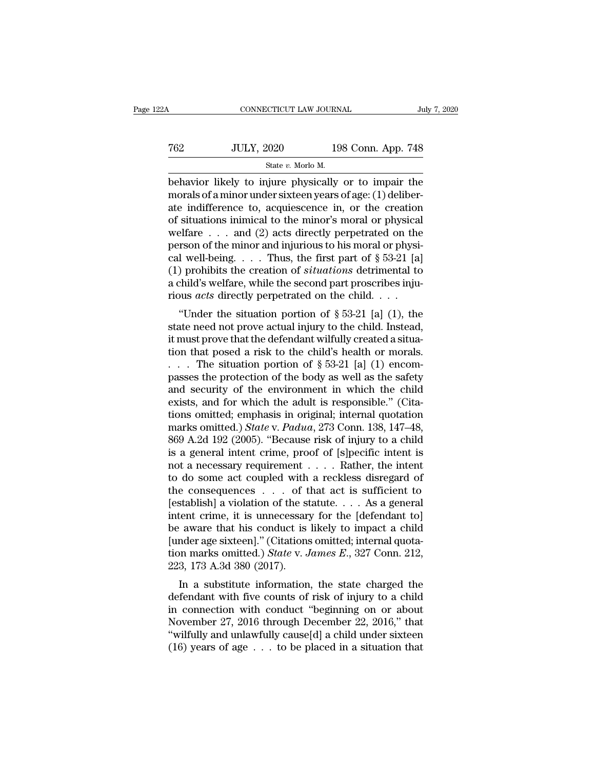| ïΑ  | CONNECTICUT LAW JOURNAL                               |                    | July 7, 2020 |
|-----|-------------------------------------------------------|--------------------|--------------|
| 762 | <b>JULY, 2020</b>                                     | 198 Conn. App. 748 |              |
|     | State v. Morlo M.                                     |                    |              |
|     | hehavior likely to injure physically or to impair the |                    |              |

CONNECTICUT LAW JOURNAL July 7, 2020<br>
T62 JULY, 2020 198 Conn. App. 748<br>
State v. Morlo M.<br>
behavior likely to injure physically or to impair the<br>
morals of a minor under sixteen years of age: (1) deliber-<br>
ate indifferenc T62 JULY, 2020 198 Conn. App. 748<br>
State v. Morlo M.<br>
behavior likely to injure physically or to impair the<br>
morals of a minor under sixteen years of age: (1) deliber-<br>
ate indifference to, acquiescence in, or the creatio T62 JULY, 2020 198 Conn. App. 748<br>
State v. Morlo M.<br>
behavior likely to injure physically or to impair the<br>
morals of a minor under sixteen years of age: (1) deliber-<br>
ate indifference to, acquiescence in, or the creatio T62 JULY, 2020 198 Conn. App. 748<br>
State v. Morlo M.<br>
behavior likely to injure physically or to impair the<br>
morals of a minor under sixteen years of age: (1) deliber-<br>
ate indifference to, acquiescence in, or the creatio State v. Morlo M.<br>State v. Morlo M.<br>Dehavior likely to injure physically or to impair the<br>morals of a minor under sixteen years of age: (1) deliber-<br>ate indifference to, acquiescence in, or the creation<br>of situations inim state v. Morio M.<br>
behavior likely to injure physically or to impair the<br>
morals of a minor under sixteen years of age: (1) deliber-<br>
ate indifference to, acquiescence in, or the creation<br>
of situations inimical to the mi behavior likely to injure physically or to impair the<br>morals of a minor under sixteen years of age: (1) deliber-<br>ate indifference to, acquiescence in, or the creation<br>of situations inimical to the minor's moral or physica morals of a minor under sixteen years of age: (1) deliberate indifference to, acquiescence in, or the creation<br>of situations inimical to the minor's moral or physical<br>welfare . . . and (2) acts directly perpetrated on the ate indifference to, acquiescence in, or the creation<br>of situations inimical to the minor's moral or physical<br>welfare . . . and (2) acts directly perpetrated on the<br>person of the minor and injurious to his moral or physiof situations inimical to the minor's moral or physical welfare . . . and (2) acts directly perpetrated on the person of the minor and injurious to his moral or physical well-being. . . . Thus, the first part of  $\S 53-21$ First example in a simulation of the minor and injurious to his moral or physi-<br>
I well-being. . . . Thus, the first part of § 53-21 [a]<br>
) prohibits the creation of *situations* detrimental to<br>
child's welfare, while the person of the fillion and hijurious to fils inotal of physical well-being.... Thus, the first part of § 53-21 [a] (1) prohibits the creation of *situations* detrimental to a child's welfare, while the second part proscrib

cal wen-being.  $\therefore$  Thus, the first part of  $\frac{1}{8}$  55-21 [a] (1) prohibits the creation of *situations* detrimental to a child's welfare, while the second part proscribes injurious *acts* directly perpetrated on the c (1) promints the creation of stratitions definiental to<br>a child's welfare, while the second part proscribes inju-<br>rious *acts* directly perpetrated on the child. . . .<br>"Under the situation portion of § 53-21 [a] (1), the<br> a child s wender, while the second part proscribes inju-<br>rious *acts* directly perpetrated on the child. . . .<br>"Under the situation portion of § 53-21 [a] (1), the<br>state need not prove actual injury to the child. Instead, parameter is state that the situation portion of  $\S$  53-21 [a] (1), the state need not prove actual injury to the child. Instead, it must prove that the defendant wilfully created a situation that posed a risk to the chil "Under the situation portion of  $\S$  53-21 [a] (1), the<br>state need not prove actual injury to the child. Instead,<br>it must prove that the defendant wilfully created a situa-<br>tion that posed a risk to the child's health or m state need not prove actual injury to the child. Instead,<br>it must prove that the defendant wilfully created a situa-<br>tion that posed a risk to the child's health or morals.<br>... The situation portion of  $\S 53-21$  [a] (1) e it must prove that the defendant wilfully created a situation that posed a risk to the child's health or morals.<br>
... The situation portion of  $\S$  53-21 [a] (1) encompasses the protection of the body as well as the safety tion that posed a risk to the child's health or morals.<br>
. . . . The situation portion of § 53-21 [a] (1) encom-<br>
passes the protection of the body as well as the safety<br>
and security of the environment in which the child<br> ... The situation portion of § 53-21 [a] (1) encompasses the protection of the body as well as the safety and security of the environment in which the child exists, and for which the adult is responsible." (Citations omit passes the protection of the body as well as the safety<br>and security of the environment in which the child<br>exists, and for which the adult is responsible." (Cita-<br>tions omitted; emphasis in original; internal quotation<br>ma and security of the environment in which the child<br>exists, and for which the adult is responsible." (Cita-<br>tions omitted; emphasis in original; internal quotation<br>marks omitted.) State v. Padua, 273 Conn. 138, 147–48,<br>869 exists, and for which the adult is responsible." (Citations omitted; emphasis in original; internal quotation<br>marks omitted.) *State* v. *Padua*, 273 Conn. 138, 147–48,<br>869 A.2d 192 (2005). "Because risk of injury to a ch tions omitted; emphasis in original; internal quotation<br>marks omitted.) *State* v. *Padua*, 273 Conn. 138, 147–48,<br>869 A.2d 192 (2005). "Because risk of injury to a child<br>is a general intent crime, proof of [s]pecific int marks omitted.) *State* v. *Padua*, 273 Conn. 138, 147–48, 869 A.2d 192 (2005). "Because risk of injury to a child is a general intent crime, proof of [s]pecific intent is not a necessary requirement . . . . . Rather, the 869 A.2d 192 (2005). "Because risk of injury to a child<br>is a general intent crime, proof of [s]pecific intent is<br>not a necessary requirement . . . . . Rather, the intent<br>to do some act coupled with a reckless disregard of is a general intent crime, proof of [s]pecific intent is<br>not a necessary requirement . . . . Rather, the intent<br>to do some act coupled with a reckless disregard of<br>the consequences . . . of that act is sufficient to<br>[esta not a necessary requirement . . . . . Rather, the intent<br>to do some act coupled with a reckless disregard of<br>the consequences . . . . of that act is sufficient to<br>[establish] a violation of the statute. . . . As a general to do some act coupled with a reckless disregard of<br>the consequences . . . of that act is sufficient to<br>[establish] a violation of the statute. . . . As a general<br>intent crime, it is unnecessary for the [defendant to]<br>be a the consequences  $\ldots$  of t<br>[establish] a violation of the st<br>intent crime, it is unnecessar;<br>be aware that his conduct is<br>[under age sixteen]." (Citations<br>tion marks omitted.) *State* v. J<br>223, 173 A.3d 380 (2017).<br>In a Example 1 a violation of the statute.  $\ldots$  As a general tent crime, it is unnecessary for the [defendant to] aware that his conduct is likely to impact a child nder age sixteen]." (Citations omitted; internal quota-<br>nn m ment crime, it is unlecessary for the [defendant to]<br>be aware that his conduct is likely to impact a child<br>[under age sixteen]." (Citations omitted; internal quota-<br>tion marks omitted.) *State v. James E.*, 327 Conn. 212,

be aware that his conduct is likely to impact a child<br>
[under age sixteen]." (Citations omitted; internal quota-<br>
tion marks omitted.) *State v. James E.*, 327 Conn. 212,<br>
223, 173 A.3d 380 (2017).<br>
In a substitute inform Funder age sixteen]. (Chations omitted, internal quotation marks omitted.) State v. James E., 327 Conn. 212, 223, 173 A.3d 380 (2017).<br>
In a substitute information, the state charged the defendant with five counts of risk 223, 173 A.3d 380 (2017).<br>
In a substitute information, the state charged the<br>
defendant with five counts of risk of injury to a child<br>
in connection with conduct "beginning on or about<br>
November 27, 2016 through December 223, 173 A.3d 380 (2017).<br>
In a substitute information, the state charged the<br>
defendant with five counts of risk of injury to a child<br>
in connection with conduct "beginning on or about<br>
November 27, 2016 through December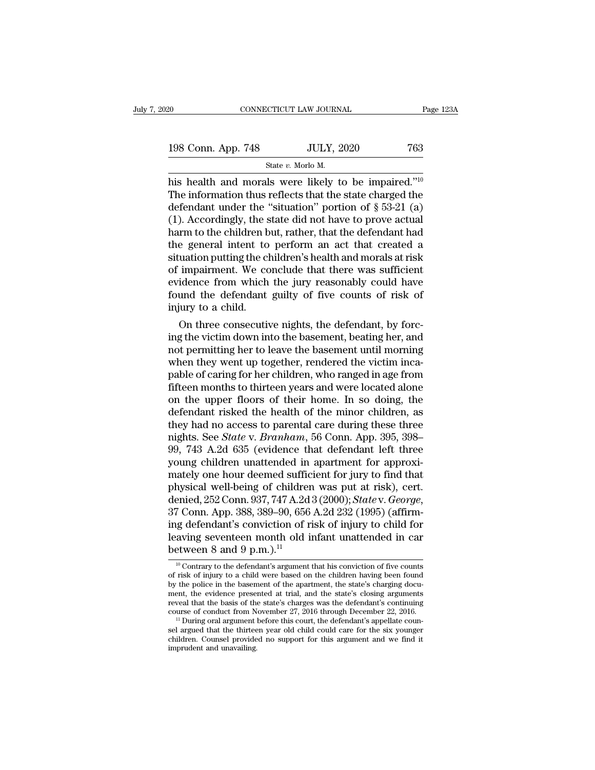| 20 |                    | CONNECTICUT LAW JOURNAL                                          | Page 123A |
|----|--------------------|------------------------------------------------------------------|-----------|
|    | 198 Conn. App. 748 | <b>JULY, 2020</b>                                                | 763       |
|    |                    | State v. Morlo M.                                                |           |
|    |                    | his health and morals were likely to be impaired." <sup>10</sup> |           |

EXECTE AN OVENAL Page 123<br>
198 Conn. App. 748 JULY, 2020 763<br>
State v. Morlo M.<br>
his health and morals were likely to be impaired.''<sup>10</sup><br>
The information thus reflects that the state charged the<br>
defendant under the "situ 198 Conn. App. 748 JULY, 2020 763<br>
State v. Morlo M.<br>
his health and morals were likely to be impaired."<sup>10</sup><br>
The information thus reflects that the state charged the<br>
defendant under the "situation" portion of  $\S 53-21$  198 Conn. App. 748 JULY, 2020 763<br>
State v. Morlo M.<br>
his health and morals were likely to be impaired."<sup>10</sup><br>
The information thus reflects that the state charged the<br>
defendant under the "situation" portion of § 53-21 (a 198 Conn. App. 748 JULY, 2020 763<br>
State v. Morlo M.<br>
his health and morals were likely to be impaired."<sup>10</sup><br>
The information thus reflects that the state charged the<br>
defendant under the "situation" portion of § 53-21 (a State v. Morlo M.<br>State v. Morlo M.<br>The information thus reflects that the state charged the<br>defendant under the "situation" portion of § 53-21 (a)<br>(1). Accordingly, the state did not have to prove actual<br>harm to the chil State v. Morlo M.<br>
his health and morals were likely to be impaired."<sup>10</sup><br>
The information thus reflects that the state charged the<br>
defendant under the "situation" portion of § 53-21 (a)<br>
(1). Accordingly, the state did his health and morals were likely to be impaired."<sup>10</sup><br>The information thus reflects that the state charged the<br>defendant under the "situation" portion of  $\S 53-21$  (a)<br>(1). Accordingly, the state did not have to prove ac The information thus reflects that the state charged the<br>defendant under the "situation" portion of  $\S$  53-21 (a)<br>(1). Accordingly, the state did not have to prove actual<br>harm to the children but, rather, that the defenda defendant under the "situation" portion of  $\S$  53-21 (a)<br>(1). Accordingly, the state did not have to prove actual<br>harm to the children but, rather, that the defendant had<br>the general intent to perform an act that created (1). Accordingly, the state did not have to prove actual<br>harm to the children but, rather, that the defendant had<br>the general intent to perform an act that created a<br>situation putting the children's health and morals at ri harm to the children b<br>the general intent to<br>situation putting the cl<br>of impairment. We co<br>evidence from which<br>found the defendant<br>injury to a child.<br>On three consecutiv e general mient to perform an act that created a<br>uation putting the children's health and morals at risk<br>impairment. We conclude that there was sufficient<br>idence from which the jury reasonably could have<br>und the defendant situation putting the chuidren s neath and morals at risk<br>of impairment. We conclude that there was sufficient<br>evidence from which the jury reasonably could have<br>found the defendant guilty of five counts of risk of<br>injury

or impairment. We conclude that there was surficient<br>evidence from which the jury reasonably could have<br>found the defendant guilty of five counts of risk of<br>injury to a child.<br>On three consecutive nights, the defendant, by evidence from which the jury reasonably could have<br>found the defendant guilty of five counts of risk of<br>injury to a child.<br>On three consecutive nights, the defendant, by forc-<br>ing the victim down into the basement, beating parameter of their home. In so doing the<br>control on three consecutive nights, the defendant, by forc-<br>ing the victim down into the basement, beating her, and<br>not permitting her to leave the basement until morning<br>when they figury to a child.<br>
On three consecutive nights, the defendant, by forcing the victim down into the basement, beating her, and<br>
not permitting her to leave the basement until morning<br>
when they went up together, rendered t On three consecutive nights, the defendant, by forcing the victim down into the basement, beating her, and not permitting her to leave the basement until morning when they went up together, rendered the victim incapable of ing the victim down into the basement, beating her, and<br>not permitting her to leave the basement until morning<br>when they went up together, rendered the victim inca-<br>pable of caring for her children, who ranged in age from<br> not permitting her to leave the basement until morning<br>when they went up together, rendered the victim inca-<br>pable of caring for her children, who ranged in age from<br>fifteen months to thirteen years and were located alone<br> when they went up together, rendered the victim inca-<br>pable of caring for her children, who ranged in age from<br>fifteen months to thirteen years and were located alone<br>on the upper floors of their home. In so doing, the<br>def pable of caring for her children, who ranged in age from<br>fifteen months to thirteen years and were located alone<br>on the upper floors of their home. In so doing, the<br>defendant risked the health of the minor children, as<br>the fifteen months to thirteen years and were located alone<br>on the upper floors of their home. In so doing, the<br>defendant risked the health of the minor children, as<br>they had no access to parental care during these three<br>night on the upper floors of their home. In so doing, the<br>defendant risked the health of the minor children, as<br>they had no access to parental care during these three<br>nights. See *State* v. *Branham*, 56 Conn. App. 395, 398–<br>99 defendant risked the health of the minor children, as<br>they had no access to parental care during these three<br>nights. See *State* v. *Branham*, 56 Conn. App. 395, 398–<br>99, 743 A.2d 635 (evidence that defendant left three<br>yo they had no access to parental care during these three<br>nights. See *State* v. *Branham*, 56 Conn. App. 395, 398–<br>99, 743 A.2d 635 (evidence that defendant left three<br>young children unattended in apartment for approxi-<br>mate 99, 743 A.2d 635 (evidence that defendant left three<br>young children unattended in apartment for approxi-<br>mately one hour deemed sufficient for jury to find that<br>physical well-being of children was put at risk), cert.<br>deni young children unattended in apartment for approximately one hour deemed sufficient for jury to find that physical well-being of children was put at risk), cert.<br>denied, 252 Conn. 937, 747 A.2d 3 (2000); *State* v. *Georg* mately one hour deemed suffice<br>physical well-being of childrer<br>denied, 252 Conn. 937, 747 A.2d<br>37 Conn. App. 388, 389–90, 656<br>ing defendant's conviction of r<br>leaving seventeen month old i<br>between 8 and 9 p.m.).<sup>11</sup> 7 Conn. App. 388, 389–90, 656 A.2d 232 (1995) (affirm-<br>ig defendant's conviction of risk of injury to child for<br>aving seventeen month old infant unattended in car<br>etween 8 and 9 p.m.).<sup>11</sup><br><sup>10</sup> Contrary to the defendant's ing defendant's conviction of risk of injury to child for<br>leaving seventeen month old infant unattended in car<br>between 8 and 9 p.m.).<sup>11</sup><br> $\frac{10}{10}$  Contrary to the defendant's argument that his conviction of five counts

by the police in the basement of the apartment, the state's charging docu-<br>the police in the basement of the apartment of the counts<br>of risk of injury to a child were based on the children having been found<br>by the police Ieaving seventeen month old infant unattended in car<br>between 8 and 9 p.m.).<sup>11</sup><br> $^{10}$ Contrary to the defendant's argument that his conviction of five counts<br>of risk of injury to a child were based on the children having **between 8 and 9 p.m.).**<sup>11</sup><br>
<sup>10</sup> Contrary to the defendant's argument that his conviction of five counts<br>
of risk of injury to a child were based on the children having been found<br>
by the police in the basement of the a <sup>10</sup> Contrary to the defendant's argument that his conviction of five counts of risk of injury to a child were based on the children having been found by the police in the basement of the apartment, the state's charging d of risk of injury to a child were based on the children having been found<br>by the police in the basement of the apartment, the state's charging docu-<br>ment, the evidence presented at trial, and the state's closing arguments<br> by the police in the basement of the apartment, the state's charging document, the evidence presented at trial, and the state's closing arguments reveal that the basis of the state's charges was the defendant's continuing

reveal that the basis of the state's charges was the defendant's continuing<br>course of conduct from November 27, 2016 through December 22, 2016.<br><sup>11</sup> During oral argument before this court, the defendant's appellate counse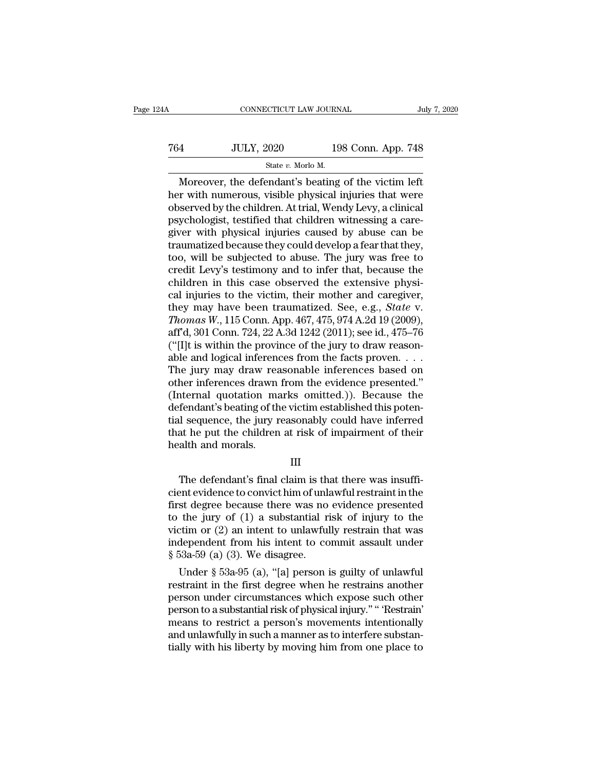## CONNECTICUT LAW JOURNAL July 7, 2020<br>
764 JULY, 2020 198 Conn. App. 748<br>
State v. Morlo M. STICUT LAW JOURN.<br>2020 19.<br>State *v.* Morlo M.<br>Prodant's beating

 $\begin{array}{r|l} \text{COMRECTICUT LAW JOURNAL} & \text{July 7, 2020} \ \end{array}$ <br>4  $\begin{array}{r|l} \text{JULY, 2020} & \text{198 Conn. App. 748} \ \end{array}$ <br>State v. Morlo M.<br>Moreover, the defendant's beating of the victim left<br>r with numerous, visible physical injuries that were  $\frac{1000 \text{ JULY, } 2020}{\text{State } v. \text{ Morlo M.}}$ <br>Moreover, the defendant's beating of the victim left<br>her with numerous, visible physical injuries that were<br>observed by the children. At trial, Wendy Levy, a clinical<br>nsychologist, t T64 JULY, 2020 198 Conn. App. 748<br>
State v. Morlo M.<br>
Moreover, the defendant's beating of the victim left<br>
her with numerous, visible physical injuries that were<br>
observed by the children. At trial, Wendy Levy, a clinica For the UCLY, 2020 and the UCLY, 2020<br>
State v. Morlo M.<br>
Moreover, the defendant's beating of the victim left<br>
her with numerous, visible physical injuries that were<br>
observed by the children. At trial, Wendy Levy, a cli State v. Morlo M.<br>State v. Morlo M.<br>Moreover, the defendant's beating of the victim left<br>her with numerous, visible physical injuries that were<br>observed by the children. At trial, Wendy Levy, a clinical<br>psychologist, test State v. Morlo M.<br>
Moreover, the defendant's beating of the victim left<br>
her with numerous, visible physical injuries that were<br>
observed by the children. At trial, Wendy Levy, a clinical<br>
psychologist, testified that chi Moreover, the defendant's beating of the victim left<br>her with numerous, visible physical injuries that were<br>observed by the children. At trial, Wendy Levy, a clinical<br>psychologist, testified that children witnessing a care her with numerous, visible physical injuries that were<br>observed by the children. At trial, Wendy Levy, a clinical<br>psychologist, testified that children witnessing a care-<br>giver with physical injuries caused by abuse can be observed by the children. At trial, Wendy Levy, a clinical<br>psychologist, testified that children witnessing a care-<br>giver with physical injuries caused by abuse can be<br>traumatized because they could develop a fear that the psychologist, testified that children witnessing a care-<br>giver with physical injuries caused by abuse can be<br>traumatized because they could develop a fear that they,<br>too, will be subjected to abuse. The jury was free to<br>cr giver with physical injuries caused by abuse can be<br>traumatized because they could develop a fear that they,<br>too, will be subjected to abuse. The jury was free to<br>credit Levy's testimony and to infer that, because the<br>chil *Traumatized because they could develop a fear that they,*<br>too, will be subjected to abuse. The jury was free to<br>credit Levy's testimony and to infer that, because the<br>children in this case observed the extensive physi-<br>ca too, will be subjected to abuse. The jury was free to<br>credit Levy's testimony and to infer that, because the<br>children in this case observed the extensive physi-<br>cal injuries to the victim, their mother and caregiver,<br>they credit Levy's testimony and to infer that, because the children in this case observed the extensive physical injuries to the victim, their mother and caregiver, they may have been traumatized. See, e.g., *State v. Thomas* children in this case observed the extensive physical injuries to the victim, their mother and caregiver, they may have been traumatized. See, e.g., *State v. Thomas W.*, 115 Conn. App. 467, 475, 974 A.2d 19 (2009), aff'd cal injuries to the victim, their mother and caregiver,<br>they may have been traumatized. See, e.g., *State* v.<br>*Thomas W.*, 115 Conn. App. 467, 475, 974 A.2d 19 (2009),<br>aff'd, 301 Conn. 724, 22 A.3d 1242 (2011); see id., 4 they may have been traumatized. See, e.g., *State* v.<br> *Thomas W.*, 115 Conn. App. 467, 475, 974 A.2d 19 (2009),<br>
aff'd, 301 Conn. 724, 22 A.3d 1242 (2011); see id., 475–76<br>
("[I]t is within the province of the jury to dr Thomas W., 115 Conn. App. 467, 475, 974 A.2d 19 (2009),<br>aff'd, 301 Conn. 724, 22 A.3d 1242 (2011); see id., 475–76<br>("[I]t is within the province of the jury to draw reason-<br>able and logical inferences from the facts prove aff'd, 301 Conn. 724, 22 A.3d 1242 (2011); see id., 475–76<br>("[I]t is within the province of the jury to draw reason-<br>able and logical inferences from the facts proven. . . .<br>The jury may draw reasonable inferences based on ("[I]t is within the province of the jury to draw reasonable and logical inferences from the facts proven. . . . The jury may draw reasonable inferences based on other inferences drawn from the evidence presented."<br>(Inter able and logical inferences from the facts proven. . . . The jury may draw reasonable inferences based on other inferences drawn from the evidence presented."<br>(Internal quotation marks omitted.)). Because the defendant's b The jury may draw rea<br>other inferences drawn<br>(Internal quotation ma<br>defendant's beating of th<br>tial sequence, the jury r<br>that he put the children<br>health and morals. fendant's beating of the victim established this poten-<br>
I sequence, the jury reasonably could have inferred<br>
at he put the children at risk of impairment of their<br>
alth and morals.<br>
III<br>
The defendant's final claim is tha

### III

tial sequence, the jury reasonably could have inferred<br>that he put the children at risk of impairment of their<br>health and morals.<br> $III$ <br>The defendant's final claim is that there was insuffi-<br>cient evidence to convict him of that he put the children at risk of impairment of their<br>health and morals.<br> $III$ <br>The defendant's final claim is that there was insuffi-<br>cient evidence to convict him of unlawful restraint in the<br>first degree because there w to the first degree because there was insufficient evidence to convict him of unlawful restraint in the first degree because there was no evidence presented to the jury of (1) a substantial risk of injury to the victim or III<br>The defendant's final claim is that there was insuffi-<br>cient evidence to convict him of unlawful restraint in the<br>first degree because there was no evidence presented<br>to the jury of (1) a substantial risk of injury to III<br>The defendant's final claim is that there was insuffi-<br>cient evidence to convict him of unlawful restraint in the<br>first degree because there was no evidence presented<br>to the jury of (1) a substantial risk of injury to The defendant's final claim is th<br>cient evidence to convict him of unla<br>first degree because there was no<br>to the jury of (1) a substantial ri<br>victim or (2) an intent to unlawful<br>independent from his intent to co<br> $\$ 53a-5$ ent evidence to convict nim of unlawful restraint in the<br>st degree because there was no evidence presented<br>the jury of (1) a substantial risk of injury to the<br>tim or (2) an intent to unlawfully restrain that was<br>dependent restrate the particle was no evidence presented<br>to the jury of (1) a substantial risk of injury to the<br>victim or (2) an intent to unlawfully restrain that was<br>independent from his intent to commit assault under<br> $\S 53a-59$ 

to the jury of (1) a substantial risk of injury to the<br>victim or (2) an intent to unlawfully restrain that was<br>independent from his intent to commit assault under<br> $\$  53a-59 (a) (3). We disagree.<br>Under  $\$  53a-95 (a), "[ person to a substantial risk of physical injury." "<br>
and the substantial risk of physical index of physical index of physical risk of physical injury."<br>  $\alpha$  and  $\alpha$  substantial risk of physical injury." "Restrain'<br>
mean maependent from his intent to commit assault under<br>
§ 53a-59 (a) (3). We disagree.<br>
Under § 53a-95 (a), "[a] person is guilty of unlawful<br>
restraint in the first degree when he restrains another<br>
person under circumstance  $\frac{1}{3}$  and  $\frac{1}{3}$ . We alsagree.<br>
Under  $\frac{5}{3}$  53a-95 (a), "[a] person is guilty of unlawful<br>
restraint in the first degree when he restrains another<br>
person under circumstances which expose such other<br>
person to Under  $\S$  53a-95 (a), "[a] person is guilty of unlawful restraint in the first degree when he restrains another person under circumstances which expose such other person to a substantial risk of physical injury." "Restrai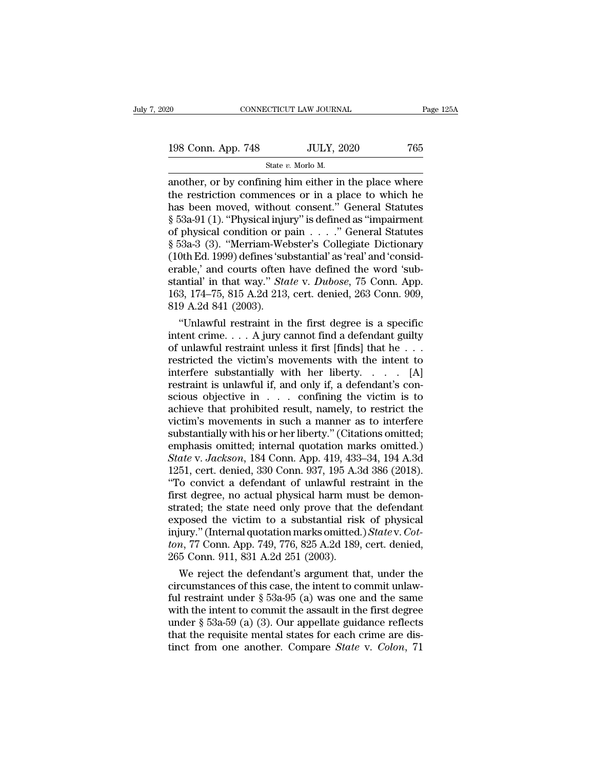| 20                                                    | CONNECTICUT LAW JOURNAL | Page 125A |
|-------------------------------------------------------|-------------------------|-----------|
| 198 Conn. App. 748                                    | <b>JULY, 2020</b>       | 765       |
|                                                       | State v. Morlo M.       |           |
| another or by confining him either in the place where |                         |           |

connectricut LAW JOURNAL Page 125A<br>
198 Conn. App. 748 JULY, 2020 765<br>
State v. Morlo M.<br>
another, or by confining him either in the place where<br>
the restriction commences or in a place to which he<br>
has been moved without 198 Conn. App. 748 JULY, 2020 765<br>
State v. Morlo M.<br>
another, or by confining him either in the place where<br>
the restriction commences or in a place to which he<br>
has been moved, without consent." General Statutes<br>  $8.532$ 198 Conn. App. 748 JULY, 2020 765<br>
State v. Morlo M.<br>
another, or by confining him either in the place where<br>
the restriction commences or in a place to which he<br>
has been moved, without consent." General Statutes<br>
§ 53a-198 Conn. App. 748 JULY, 2020 765<br>
State v. Morlo M.<br>
another, or by confining him either in the place where<br>
the restriction commences or in a place to which he<br>
has been moved, without consent." General Statutes<br>
§ 53a-State v. Morlo M.<br>
State v. Morlo M.<br>
another, or by confining him either in the place where<br>
the restriction commences or in a place to which he<br>
has been moved, without consent." General Statutes<br>
§ 53a-91 (1). "Physica State v. Morlo M.<br>
another, or by confining him either in the place where<br>
the restriction commences or in a place to which he<br>
has been moved, without consent." General Statutes<br>
§ 53a-91 (1). "Physical injury" is define another, or by confining him either in the place where<br>the restriction commences or in a place to which he<br>has been moved, without consent." General Statutes<br> $$53a-91 (1)$ . "Physical injury" is defined as "impairment<br>of ph the restriction commences or in a place to which he<br>has been moved, without consent." General Statutes<br> $$53a-91 (1)$ . "Physical injury" is defined as "impairment<br>of physical condition or pain . . . ." General Statutes<br> $$53$ has been moved, without consent." General Statutes § 53a-91 (1). "Physical injury" is defined as "impairment of physical condition or pain . . . ." General Statutes § 53a-3 (3). "Merriam-Webster's Collegiate Dictionary (10  $\S$  53a-91 (1). "Physical injury" is defined as "impairment<br>of physical condition or pain . . . ." General Statutes<br> $\S$  53a-3 (3). "Merriam-Webster's Collegiate Dictionary<br>(10th Ed. 1999) defines 'substantial' as 'real' a % of physical condition or p<br>\$ 53a-3 (3). "Merriam-We<br>(10th Ed. 1999) defines 'su<br>erable,' and courts often<br>stantial' in that way." *Sta*<br>163, 174–75, 815 A.2d 213<br>819 A.2d 841 (2003). "Unlawful restraint in  $0$ : "Werriam-Webster's Collegiate Dictionary<br>  $0$ th Ed. 1999) defines 'substantial' as 'real' and 'consid-<br>
able,' and courts often have defined the word 'sub-<br>
antial' in that way." *State* v. *Dubose*, 75 Conn. App.<br>
3 (10th Ed. 1999) defines 'substantial' as 'real' and 'considerable,' and courts often have defined the word 'substantial' in that way." *State v. Dubose*, 75 Conn. App. 163, 174–75, 815 A.2d 213, cert. denied, 263 Conn. 90

erable, and courts often have defined the word 'sub-<br>stantial' in that way." *State v. Dubose*, 75 Conn. App.<br>163, 174–75, 815 A.2d 213, cert. denied, 263 Conn. 909,<br>819 A.2d 841 (2003).<br>"Unlawful restraint in the first d stantial' in that way." *State v. Dubose*, '/5 Conn. App.<br>163, 174–75, 815 A.2d 213, cert. denied, 263 Conn. 909,<br>819 A.2d 841 (2003).<br>"Unlawful restraint in the first degree is a specific<br>intent crime.... A jury cannot f 163, 174–75, 815 A.2d 213, cert. denied, 263 Conn. 909,<br>819 A.2d 841 (2003).<br>"Unlawful restraint in the first degree is a specific<br>intent crime.... A jury cannot find a defendant guilty<br>of unlawful restraint unless it fir 819 A.2d 841 (2003).<br>
"Unlawful restraint in the first degree is a specific<br>
intent crime.... A jury cannot find a defendant guilty<br>
of unlawful restraint unless it first [finds] that he ...<br>
restricted the victim's movem "Unlawful restraint in the first degree is a specific<br>intent crime.... A jury cannot find a defendant guilty<br>of unlawful restraint unless it first [finds] that he ...<br>restricted the victim's movements with the intent to<br>i intent crime. . . . A jury cannot find a defendant guilty<br>of unlawful restraint unless it first [finds] that he . . .<br>restricted the victim's movements with the intent to<br>interfere substantially with her liberty. . . . . of unlawful restraint unless it first [finds] that he . . . restricted the victim's movements with the intent to interfere substantially with her liberty. . . . . [A] restraint is unlawful if, and only if, a defendant's c restricted the victim's movements with the intent to interfere substantially with her liberty. . . . . [A] restraint is unlawful if, and only if, a defendant's conscious objective in . . . confining the victim is to achie interfere substantially with her liberty. . . . . [A]<br>restraint is unlawful if, and only if, a defendant's con-<br>scious objective in . . . confining the victim is to<br>achieve that prohibited result, namely, to restrict the<br> restraint is unlawful if, and only if, a defendant's considerations objective in . . . . confining the victim is to achieve that prohibited result, namely, to restrict the victim's movements in such a manner as to interfer scious objective in . . . confining the victim is to<br>achieve that prohibited result, namely, to restrict the<br>victim's movements in such a manner as to interfere<br>substantially with his or her liberty." (Citations omitted;<br>e achieve that prohibited result, namely, to restrict the victim's movements in such a manner as to interfere substantially with his or her liberty." (Citations omitted; emphasis omitted; internal quotation marks omitted.) S victim's movements in such a manner as to interfere<br>substantially with his or her liberty." (Citations omitted;<br>emphasis omitted; internal quotation marks omitted.)<br>State v. Jackson, 184 Conn. App. 419, 433–34, 194 A.3d<br>12 substantially with his or her liberty." (Citations omitted;<br>emphasis omitted; internal quotation marks omitted.)<br>State v. Jackson, 184 Conn. App. 419, 433–34, 194 A.3d<br>1251, cert. denied, 330 Conn. 937, 195 A.3d 386 (2018) emphasis omitted; internal quotation marks omitted.)<br>State v. Jackson, 184 Conn. App. 419, 433–34, 194 A.3d<br>1251, cert. denied, 330 Conn. 937, 195 A.3d 386 (2018).<br>"To convict a defendant of unlawful restraint in the<br>first State v. *Jackson*, 184 Conn. App. 419, 433–34, 194 A.3d<br>1251, cert. denied, 330 Conn. 937, 195 A.3d 386 (2018).<br>"To convict a defendant of unlawful restraint in the<br>first degree, no actual physical harm must be demon-<br>str 1251, cert. denied, 330 Conn. 937, 195 A.3d 386 (2018).<br>
"To convict a defendant of unlawful restraint in the<br>
first degree, no actual physical harm must be demon-<br>
strated; the state need only prove that the defendant<br>
ex "To convict a defendant of unlawful refirst degree, no actual physical harm mu<br>strated; the state need only prove that t<br>exposed the victim to a substantial risi<br>injury." (Internal quotation marks omitted<br>*ton*, 77 Conn. A st degree, no actual physical harm must be demon-<br>rated; the state need only prove that the defendant<br>posed the victim to a substantial risk of physical<br>iury." (Internal quotation marks omitted.) *State* v. *Cot-*<br> $n$ , 77 strated; the state need only prove that the defendant<br>exposed the victim to a substantial risk of physical<br>injury." (Internal quotation marks omitted.) State v. Cot-<br>ton, 77 Conn. App. 749, 776, 825 A.2d 189, cert. denied

exposed the victim to a substantial risk of physical<br>injury." (Internal quotation marks omitted.) State v. Cot-<br>ton, 77 Conn. App. 749, 776, 825 A.2d 189, cert. denied,<br>265 Conn. 911, 831 A.2d 251 (2003).<br>We reject the de injury." (Internal quotation marks omitted.) State v. Cotton, 77 Conn. App. 749, 776, 825 A.2d 189, cert. denied, 265 Conn. 911, 831 A.2d 251 (2003).<br>We reject the defendant's argument that, under the circumstances of thi ton, 77 Conn. App. 749, 776, 825 A.2d 189, cert. denied,<br>265 Conn. 911, 831 A.2d 251 (2003).<br>We reject the defendant's argument that, under the<br>circumstances of this case, the intent to commit unlaw-<br>ful restraint under § 265 Conn. 911, 831 A.2d 251 (2003).<br>We reject the defendant's argument that, under the<br>circumstances of this case, the intent to commit unlaw-<br>ful restraint under § 53a-95 (a) was one and the same<br>with the intent to commi We reject the defendant's argument that, under the circumstances of this case, the intent to commit unlaw-<br>ful restraint under  $\S$  53a-95 (a) was one and the same<br>with the intent to commit the assault in the first degree<br>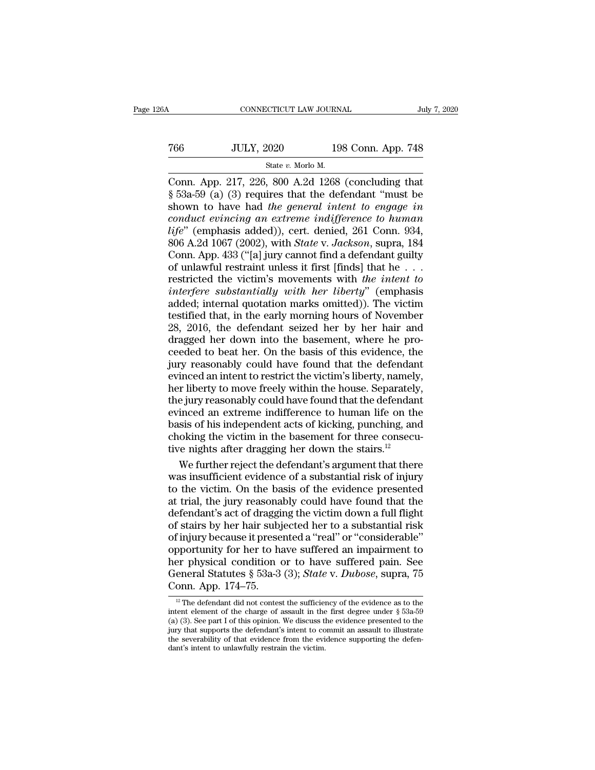## CONNECTICUT LAW JOURNAL July 7, 2020<br>
766 JULY, 2020 198 Conn. App. 748<br>
State v. Morlo M. STICUT LAW JOURN.<br>2020 19.<br>State *v.* Morlo M.<br>800 A 2d 1268

CONNECTICUT LAW JOURNAL July 7, 2020<br>
T66 JULY, 2020 198 Conn. App. 748<br>
State v. Morlo M.<br>
Conn. App. 217, 226, 800 A.2d 1268 (concluding that<br>
§ 53a-59 (a) (3) requires that the defendant "must be<br>
shown to have had the <sup>766</sup> JULY, 2020 198 Conn. App. 748<br>
<sup>State v. Morlo M.<br>
Conn. App. 217, 226, 800 A.2d 1268 (concluding that  $\S$  53a-59 (a) (3) requires that the defendant "must be<br>
shown to have had *the general intent to engage in*<br>
co</sup> T66 JULY, 2020 198 Conn. App. 748<br>
<sup>State v. Morlo M.</sup><br>
Conn. App. 217, 226, 800 A.2d 1268 (concluding that<br>
§ 53a-59 (a) (3) requires that the defendant "must be<br>
shown to have had *the general intent to engage in*<br>
condu *conducted Fig. 2020 conducted Fig. 2020 conducted Fig. 2020 conducted Fig. 217, 226, 800 A.2d 1268 (concluding that*  $\S$  53a-59 (a) (3) requires that the defendant "must be shown to have had *the general intent to e* **150 Conn.** App. 140<br> **life** v. Morlo M.<br> **Conn.** App. 217, 226, 800 A.2d 1268 (concluding that<br>
§ 53a-59 (a) (3) requires that the defendant "must be<br>
shown to have had *the general intent to engage in*<br> *conduct evincin* State v. Morlo M.<br>Conn. App. 217, 226, 800 A.2d 1268 (concluding that<br>§ 53a-59 (a) (3) requires that the defendant "must be<br>shown to have had *the general intent to engage in*<br>conduct evincing an extreme indifference to hu Conn. App. 217, 226, 800 A.2d 1268 (concluding that  $\S$  53a-59 (a) (3) requires that the defendant "must be shown to have had *the general intent to engage in* conduct evincing an extreme indifference to human life" (emph § 53a-59 (a) (3) requires that the defendant "must be<br>shown to have had *the general intent to engage in*<br>conduct evincing an extreme indifference to human<br>life" (emphasis added)), cert. denied, 261 Conn. 934,<br>806 A.2d 10 shown to have had *the general intent to engage in*<br>conduct evincing an extreme indifference to human<br>life" (emphasis added)), cert. denied, 261 Conn. 934,<br>806 A.2d 1067 (2002), with *State v. Jackson*, supra, 184<br>Conn. A *conduct evincing an extreme indifference to human life"* (emphasis added)), cert. denied, 261 Conn. 934, 806 A.2d 1067 (2002), with *State v. Jackson*, supra, 184 Conn. App. 433 ("[a] jury cannot find a defendant guilty o *life*" (emphasis added)), cert. denied, 261 Conn. 934, 806 A.2d 1067 (2002), with *State* v. *Jackson*, supra, 184 Conn. App. 433 ("[a] jury cannot find a defendant guilty of unlawful restraint unless it first [finds] th 806 A.2d 1067 (2002), with *State* v. *Jackson*, supra, 184<br>Conn. App. 433 ("[a] jury cannot find a defendant guilty<br>of unlawful restraint unless it first [finds] that he . . .<br>restricted the victim's movements with *the* Conn. App. 433 ("[a] jury cannot find a defendant guilty<br>of unlawful restraint unless it first [finds] that he  $\ldots$ <br>restricted the victim's movements with *the intent to*<br>interfere substantially with her liberty" (emphas of unlawful restraint unless it first [finds] that he ...<br>restricted the victim's movements with the intent to<br>interfere substantially with her liberty" (emphasis<br>added; internal quotation marks omitted)). The victim<br>test restricted the victim's movements with *the intent to*<br>interfere substantially with her liberty" (emphasis<br>added; internal quotation marks omitted)). The victim<br>testified that, in the early morning hours of November<br>28, 20 interfere substantially with her liberty" (emphasis<br>added; internal quotation marks omitted)). The victim<br>testified that, in the early morning hours of November<br>28, 2016, the defendant seized her by her hair and<br>dragged he added; internal quotation marks omitted)). The victim<br>testified that, in the early morning hours of November<br>28, 2016, the defendant seized her by her hair and<br>dragged her down into the basement, where he pro-<br>ceeded to be testified that, in the early morning hours of November<br>28, 2016, the defendant seized her by her hair and<br>dragged her down into the basement, where he pro-<br>ceeded to beat her. On the basis of this evidence, the<br>jury reason 28, 2016, the defendant seized her by her hair and dragged her down into the basement, where he proceeded to beat her. On the basis of this evidence, the jury reasonably could have found that the defendant evinced an inten dragged her down into the basement, where he pro-<br>ceeded to beat her. On the basis of this evidence, the<br>jury reasonably could have found that the defendant<br>evinced an intent to restrict the victim's liberty, namely,<br>her l ceeded to beat her. On the basis of this evidence, the<br>jury reasonably could have found that the defendant<br>evinced an intent to restrict the victim's liberty, namely,<br>her liberty to move freely within the house. Separately jury reasonably could have found that the defendant<br>evinced an intent to restrict the victim's liberty, namely,<br>her liberty to move freely within the house. Separately,<br>the jury reasonably could have found that the defenda be evinced an intent to restrict the victim's liberty, namely<br>her liberty to move freely within the house. Separately<br>the jury reasonably could have found that the defendan<br>evinced an extreme indifference to human life on r liberty to move freely within the house. Separately,<br>e jury reasonably could have found that the defendant<br>inced an extreme indifference to human life on the<br>sis of his independent acts of kicking, punching, and<br>oking th the jury reasonably could have found that the defendant<br>evinced an extreme indifference to human life on the<br>basis of his independent acts of kicking, punching, and<br>choking the victim in the basement for three consecu-<br>tiv

evinced an extreme indifference to human life on the<br>basis of his independent acts of kicking, punching, and<br>choking the victim in the basement for three consecu-<br>tive nights after dragging her down the stairs.<sup>12</sup><br>We furt basis of his independent acts of kicking, punching, and<br>choking the victim in the basement for three consecu-<br>tive nights after dragging her down the stairs.<sup>12</sup><br>We further reject the defendant's argument that there<br>was i choking the victim in the basement for three consecutive nights after dragging her down the stairs.<sup>12</sup><br>We further reject the defendant's argument that there<br>was insufficient evidence of a substantial risk of injury<br>to the tive nights after dragging her down the stairs.<sup>12</sup><br>We further reject the defendant's argument that there<br>was insufficient evidence of a substantial risk of injury<br>to the victim. On the basis of the evidence presented<br>at t We further reject the defendant's argument that there<br>was insufficient evidence of a substantial risk of injury<br>to the victim. On the basis of the evidence presented<br>at trial, the jury reasonably could have found that the<br> was insufficient evidence of a substantial risk of injury<br>to the victim. On the basis of the evidence presented<br>at trial, the jury reasonably could have found that the<br>defendant's act of dragging the victim down a full fl to the victim. On the basis of the evidence presented<br>at trial, the jury reasonably could have found that the<br>defendant's act of dragging the victim down a full flight<br>of stairs by her hair subjected her to a substantial at trial, the jury reasonably could have found that the defendant's act of dragging the victim down a full flight of stairs by her hair subjected her to a substantial risk of injury because it presented a "real" or "consid defendant's act of draggi<br>of stairs by her hair subj<br>of injury because it prese<br>opportunity for her to ha<br>her physical condition of<br>General Statutes  $\S$  53a-3<br>Conn. App. 174–75. % opportunity for her to have suffered an impairment to<br>her physical condition or to have suffered pain. See<br>General Statutes § 53a-3 (3); *State* v. *Dubose*, supra, 75<br>Conn. App. 174–75.<br> $\frac{12}{12}$ The defendant did not

her physical condition or to have suffered pain. See<br>General Statutes § 53a-3 (3); *State* v. *Dubose*, supra, 75<br>Conn. App. 174–75.<br><sup>12</sup> The defendant did not contest the sufficiency of the evidence as to the<br>intent elem General Statutes § 53a-3 (3); *State v. Dubose*, supra, 75<br>Conn. App. 174–75.<br><sup>12</sup> The defendant did not contest the sufficiency of the evidence as to the<br>intent element of the charge of assault in the first degree under General Statutes § 53a-3 (3); *State* v. *Dubose*, supra, 75<br>Conn. App. 174–75.<br><sup>12</sup> The defendant did not contest the sufficiency of the evidence as to the<br>intent element of the charge of assault in the first degree unde Conn. App. 174–75.<br>
<sup>12</sup> The defendant did not contest the sufficiency of the evidence as to the intent element of the charge of assault in the first degree under § 53a-59 (a) (3). See part I of this opinion. We discuss t The defendant did not contest the sufficies<br>intent element of the charge of assault in the<br>(a) (3). See part I of this opinion. We discuss the victim.<br>the severability of that evidence from the evident's intent to unlawfu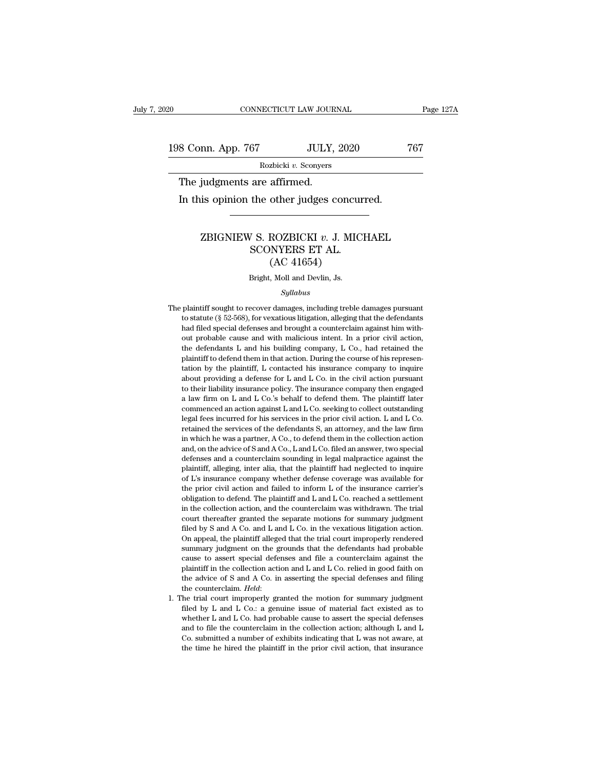EXECUTE 2000 CONNECTICUT LAW JOURNAL Page 127A<br>198 Conn. App. 767 JULY, 2020 767<br>Rozbicki v. Sconyers CONNECTICUT LAW JOUR<br>
8 Conn. App. 767 JULY,<br>
Rozbicki v. Sconyers<br>
The judgments are affirmed.<br>
In this opinion the other judges c 8 Conn. App. 767 JULY, 2020<br>
Rozbicki v. Sconyers<br>
The judgments are affirmed.<br>
In this opinion the other judges concurred.

Rozbicki *v.* Sconyers

### ZBIGNIEW S. ROZBICKI *v.* J. MICHAEL are affirmed.<br>
the other judges concur:<br>
SCONYERS ET AL.<br>
(AC 41654) ammed.<br>
other judges concu<br>
ROZBICKI v. J. MI(<br>
NYERS ET AL.<br>
(AC 41654)<br>
, Moll and Devlin, Js.  $\begin{minipage}{.4\linewidth} \begin{tabular}{l} ZBIGNIEW S. ROZBICKI $v$. J. MICHAEL \\ SCONYERS ET AL. \\ (AC 41654) \\ \text{Bright, Moll and Devlin, Js. \end{tabular}$

### *Syllabus*

- SCONTERS ET AL.<br>
(AC 41654)<br>
Bright, Moll and Devlin, Js.<br>
Syllabus<br>
The plaintiff sought to recover damages, including treble damages pursuant<br>
to statute (§ 52-568), for vexatious litigation, alleging that the defendants  $(AC 41654)$ <br>Bright, Moll and Devlin, Js.<br>Syllabus<br>plaintiff sought to recover damages, including treble damages pursuant<br>to statute (§ 52-568), for vexatious litigation, alleging that the defendants<br>had filed special defe The plaintiff sought to recover damages, including treble damages pursuant to statute ( $\S$  52-568), for vexatious litigation, alleging that the defendants had filed special defenses and brought a counterclaim against him Syllabus<br>
Syllabus<br>
plaintiff sought to recover damages, including treble damages pursuant<br>
to statute (§ 52-568), for vexatious litigation, alleging that the defendants<br>
had filed special defenses and brought a countercla  $Syllabus$ <br>baintiff sought to recover damages, including treble damages pursuant<br>to statute (§ 52-568), for vexatious litigation, alleging that the defendants<br>had filed special defenses and brought a counterclaim against him w plaintiff sought to recover damages, including treble damages pursuant<br>to statute (§ 52-568), for vexatious litigation, alleging that the defendants<br>had filed special defenses and brought a counterclaim against him with-<br> plantati sougar to recover admitges, increasing a cost to statute (§ 52-568), for vexatious litigation, alleging that the defendants had filed special defenses and brought a counterclaim against him without probable cause had filed special defenses and brought a counterclaim against him without probable cause and with malicious intent. In a prior civil action, the defendants L and his building company, L Co., had retained the plaintiff to their liability insurance of the insurance company then engaged a law firm on Leplantiff to defend them in that action. During the course of his representation by the plaintiff, L contacted his insurance company to inquire a law firm on L and L Co.'s behalf to defend them. The plaintiff later and the plaintiff to defend them in that action. During the course of his representation by the plaintiff, L contacted his insurance company to inquir company, a commenced an action against L and L Co. seeking to company to impulsion by the plaintiff, L contacted his insurance company to inquire about providing a defense for L and L Co. in the civil action pursuant to th plantal for detected for his action. During the course of his representation by the plaintiff, L contacted his insurance company to inquire about providing a defense for L and L Co. in the civil action pursuant to their li retained the services of the defendants S, an attorney, and the law firm on L and L Co. is the civil action pursuant to their liability insurance policy. The insurance company then engaged a law firm on L and L Co.'s behal in which he was a partner, A Co., Land L Co. The interval existence of their liability insurance policy. The insurance company then engaged a law firm on L and L Co.'s behalf to defend them. The plaintiff later commenced a and, on the advice of S and A Co., L and L Co. filed an answer, two special defenses and a counterchanged an action against L and L Co. seeking to collect outstanding legal fees incurred for his services in the prior civil a law link of *L* and *L* co. *s* behand of defend them. The plantal hadded commenced an action against L and L Co. seeking to collect outstanding legal fees incurred for his services in the prior civil action. L and L Co. begal fees incurred of his services in the prior civil action. L and L Co.<br>legal fees incurred for his services in the prior civil action. L and L Co.<br>retained the services of the defendants S, an attorney, and the law fir retained the services in the prior civil action. Lead L content<br>retained the services of the defendants S, an attorney, and the law firm<br>in which he was a partner, A Co., to defend them in the collection action<br>and, on the relative the was a partner, A Co., to defend them in the collection action and, on the advice of S and A Co., L and L Co. filed an answer, two special defenses and a counterclaim sounding in legal malpractice against the p and, on the advice of S and A Co., L and L Co. filed an answer, two special defenses and a counterclaim sounding in legal malpractice against the plaintiff, alleging, inter alia, that the plaintiff had neglected to inquire defenses and a counterclaim sounding in legal malpractice against the plaintiff, alleging, inter alia, that the plaintiff had neglected to inquire of L's insurance company whether defense coverage was available for the pri definitions and a counterclaint soliding in legal mappactice against the plaintiff, alleging, inter alia, that the plaintiff had neglected to inquire of L's insurance company whether defense coverage was available for the plantant, ancgling, inter and, that are plantant had reglected to inquire<br>of L's insurance company whether defense coverage was available for<br>the prior civil action and failed to inform L of the insurance carrier's<br>obligat on as instanted company whether deterise coverage was available for<br>the prior civil action and failed to inform L of the insurance carrier's<br>obligation to defend. The plaintiff and L and L Co. reached a settlement<br>in the c are prior two action and failed to morint B of alc instanct carriers<br>obligation to defend. The plaintiff and L and L Co. reached a settlement<br>in the collection action, and the counterclaim was withdrawn. The trial<br>court th following the collection and the counterclaim was withdrawn. The trial<br>court thereafter granted the separate motions for summary judgment<br>filed by S and A Co. and L and L Co. in the vexatious litigation action.<br>On appeal, m are concetion action, and the connectednin was winited awit. The this court thereafter granted the separate motions for summary judgment. On appeal, the plaintiff alleged that the trial court improperly rendered summary filed by S and A Co. and L and L Co. in the vexatious litigation action.<br>On appeal, the plaintiff alleged that the trial court improperly rendered<br>summary judgment on the grounds that the defendants had probable<br>cause to Incu by 5 and A co. and *E* and *E* co. in the vexatious nigation action.<br>
On appeal, the plaintiff alleged that the trial court improperly rendered<br>
summary judgment on the grounds that the defendants had probable<br>
cause filed by L and L Co. had probable cause to assert special defenses and file a counterclaim against the plaintiff in the collection action and L and L Co. relied in good faith on the advice of S and A Co. in asserting the
- classe to assert special detenses and the a counteretain against the plaintiff in the collection action and L and L Co. relied in good faith on the advice of S and A Co. in asserting the special defenses and filing the cou plantant in the concettion action and L and L oo. Fence in good ration of<br>the advice of S and A Co. in asserting the special defenses and filing<br>the counterclaim. Held:<br>filed by L and L Co.: a genuine issue of material fac the counterclaim. *Held:*<br>the counterclaim. *Held:*<br>the trial court improperly granted the motion for summary judgment<br>filed by L and L Co.: a genuine issue of material fact existed as to<br>whether L and L Co. had probable c the counterclaim. *Held*:<br>
1. The trial court improperly granted the motion for summary judgment<br>
filed by L and L Co.: a genuine issue of material fact existed as to<br>
whether L and L Co. had probable cause to assert the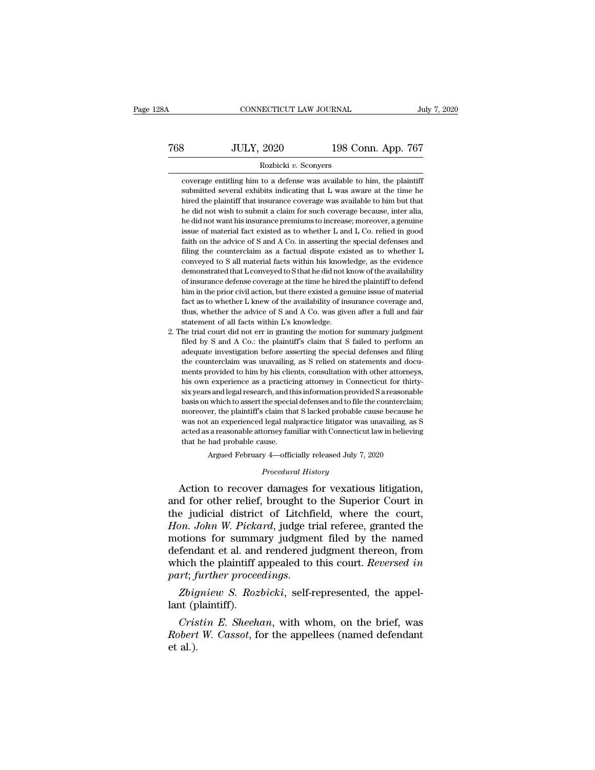# CONNECTICUT LAW JOURNAL July 7, 2020<br>
768 JULY, 2020 198 Conn. App. 767<br>
Rozbicki v. Sconyers

### Rozbicki *v.* Sconyers

 $3$  JULY, 2020 198 Conn. App. 767<br>Rozbicki v. Sconyers<br>coverage entitling him to a defense was available to him, the plaintiff<br>submitted several exhibits indicating that L was aware at the time he submitted several exhibits indicating that L was aware at the plaintiff submitted several exhibits indicating that L was aware at the time he head the plaintiff that insurance coverage was available to him but that **HULY, 2020** 198 Conn. App. 767<br>Rozbicki v. Sconyers<br>coverage entitling him to a defense was available to him, the plaintiff<br>submitted several exhibits indicating that L was aware at the time he<br>hired the plaintiff that i  $\blacksquare$ <br>  $\blacksquare$ <br>
Rozbicki  $v$ . Sconyers<br>
coverage entitling him to a defense was available to him, the plaintiff<br>
submitted several exhibits indicating that L was aware at the time he<br>
hired the plaintiff that insurance co Rozbicki v. Sconyers<br>
coverage entitling him to a defense was available to him, the plaintiff<br>
submitted several exhibits indicating that L was aware at the time he<br>
hired the plaintiff that insurance coverage was availabl coverage entitling him to a defense was available to him, the plaintiff submitted several exhibits indicating that L was aware at the time he hired the plaintiff that insurance coverage was available to him but that he did submitted several exhibits indicating that L was aware at the time he hired the plaintiff that insurance coverage was available to him but that he did not wish to submit a claim for such coverage because, inter alia, he di subhidied several exists indicating diat D was aware at are the relation shined the plaintiff that insurance coverage was available to him but that he did not wish to submit a claim for such coverage because, inter alia, h conveyed to S all material facts within his knowledge, inter alla, the did not wish to submit a claim for such coverage because, inter alla, he did not want his insurance premiums to increase; moreover, a genuine issue of demonstrated that L conveyed to S that he did not know of the availability of the did not want his insurance premiums to increase; moreover, a genuine issue of material fact existed as to whether L and L Co. relied in good In the matrix what is insulated premiums to increase, moreover, a genuine<br>issue of material fact existed as to whether L and L Co. relied in good<br>faith on the advice of S and A Co. in asserting the special defenses and<br>fil faith on the advice of S and A Co. in asserting the special defenses and filing the counterclaim as a factual dispute existed as to whether L conveyed to S all material facts within his knowledge, as the evidence demonstr faction the article of B and H co. In asserting the special detenses and filing the counterclaim as a factual dispute existed as to whether L conveyed to S all material facts within his knowledge, as the evidence demonstra thus, whether the advice of S and A Co. was given after a full and fair statement of all material facts within his knowledge, as the evidence demonstrated that L conveyed to S that he did not know of the availability of in demonstrated that L conveyed to S that he did not keep demonstrated that L conveyed to S that he did not keep of mission of the section of the availability of insthus, whether L knew of the availability of insthus, whether 2. The trial court did not err in granting the motion for summary judgment field the plaintiff to defend him in the prior civil action, but there existed a genuine issue of material fact as to whether L knew of the availab or mountance decrise coverage at alle line in three are plantim to decrine thin in the prior civil action, but there existed a genuine issue of material fact as to whether L knew of the availability of insurance coverage a

flact as to whether L knew of the availability of insurance coverage and, thus, whether the advice of S and A Co. was given after a full and fair statement of all facts within L's knowledge.<br>
he trial court did not err in the counterclaim was unavailing, or insurance coverage and, thus, whether the advice of S and A Co. was given after a full and fair statement of all facts within L's knowledge.<br>The trial court did not err in granting the m ment of all facts within L's knowledge.<br>
the trial court did not err in granting the motion for summary judgment<br>
filed by S and A Co.: the plaintiff's claim that S failed to perform an<br>
adequate investigation before asser statement of an facts whall *D*s knowledge.<br>
the trial court did not err in granting the motion for summary judgment<br>
filed by S and A Co.: the plaintiff's claim that S failed to perform an<br>
adequate investigation before a filed by S and A Co.: the plaintiff's claim that S failed to perform an adequate investigation before asserting the special defenses and filing the counterclaim was unavailing, as S relied on statements and documents provi basis on which to assert the special defenses and filing adequate investigation before asserting the special defenses and filing the counterclaim was unavailing, as S relied on statements and documents provided to him by h anciquate investigation before asserting the special defenses and times<br>the counterclaim was unavailing, as S relied on statements and docu-<br>ments provided to him by his clients, consultation with other attorneys,<br>his own the countertaint was unavailing, as 5 rened on statements and documents provided to him by his clients, consultation with other attorneys, his own experience as a practicing attorney in Connecticut for thirty-<br>six years an Actual as provided as a range attents, constantiant with other attorneys, this own experience as a practicing attorney in Connecticut for thirty-<br>six years and legal research, and this information provided S a reasonable<br>b the solution of the periodic state.<br>Six years and legal research, and the had solved moreover, the plaintiff's claim that<br>was not an experienced legal malacted as a reasonable attorney fan<br>that he had probable cause.<br>Argue which to assert the special defenses and to file the counterclain<br>er, the plaintiff's claim that S lacked probable cause because h<br>an experienced legal malpractice litigator was unavailing, as<br>a reasonable attorney familia moreover, the plaintiff's claim that S lacked probable cause because he<br>was not an experienced legal malpractice litigator was unavailing, as S<br>acted as a reasonable attorney familiar with Connecticut law in believing<br>that moreover, the plaintiff's claim that S lacked probable cause because he<br>was not an experienced legal malpractice litigator was unavailing, as S<br>acted as a reasonable attorney familiar with Connecticut law in believing<br>that

was not an experienced legal malpractice litigator was unavailing, as S<br>acted as a reasonable attorney familiar with Connecticut law in believing<br>that he had probable cause.<br>Argued February 4—officially released July 7, 20 Action to recover damages for vexatious litigation,<br>and for other relief, brought to the Superior Court in<br>the judicial district of Litchfield, where the court,<br> $H$ on. John W. Pickard, judge trial referee, granted the<br>moti *Argued February 4—officially released July 7, 2020*<br>*Procedural History*<br>*Procedural History*<br>**Action to recover damages for vexatious litigation,<br>and for other relief, brought to the Superior Court in<br>the judicial distri** *Procedural History*<br>*Procedural History*<br>Action to recover damages for vexatious litigation,<br>and for other relief, brought to the Superior Court in<br>the judicial district of Litchfield, where the court,<br>*Hon. John W. Picka* Procedural History<br>Action to recover damages for vexatious litigation,<br>and for other relief, brought to the Superior Court in<br>the judicial district of Litchfield, where the court,<br>Hon. John W. Pickard, judge trial referee, Action to recover damages for vexatious litigation,<br>and for other relief, brought to the Superior Court in<br>the judicial district of Litchfield, where the court,<br>*Hon. John W. Pickard*, judge trial referee, granted the<br>moti and for other relief, brought to the Superior Court in<br>the judicial district of Litchfield, where the court,<br>*Hon. John W. Pickard*, judge trial referee, granted the<br>motions for summary judgment filed by the named<br>defendan Hon. John W. Picka<br>motions for summa<br>defendant et al. and<br>which the plaintiff a<br>part; further procee<br>Zbigniew S. Roz<br>lant (plaintiff).<br>Cristin E. Sheeh *Cristia* For sammary galgneric fired by the name of fendant et al. and rendered judgment thereon, from inch the plaintiff appealed to this court. *Reversed in critically further proceedings.*<br> *Zbigniew S. Rozbicki*, se

*Robert W. Cassot, for the appellees (named defendant et al., further proceedings.*<br> *Zbigniew S. Rozbicki*, self-represented, the appel-<br>
lant (plaintiff).<br> *Cristin E. Sheehan*, with whom, on the brief, was *Robert W. Ca*  $part; f$ <br>  $Zbig$ <br>  $lant (p$ <br>  $Cris$ <br>  $Robert$  al.).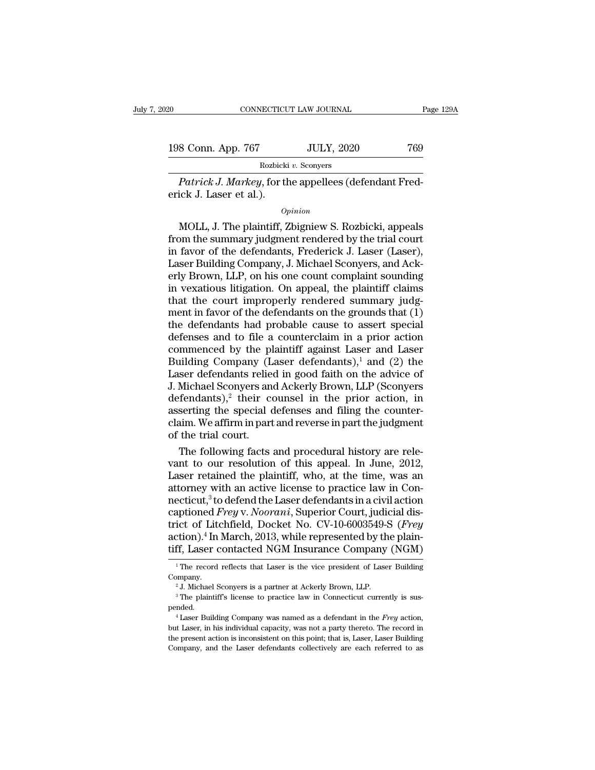| 20                   |  | CONNECTICUT LAW JOURNAL | Page 129A |
|----------------------|--|-------------------------|-----------|
|                      |  |                         |           |
| 198 Conn. App. 767   |  | <b>JULY, 2020</b>       | 769       |
| Rozbicki v. Sconyers |  |                         |           |

*Patrick J. Markey*, for the appellees (defendant Fred-<br> *Patrick J. Markey*, for the appellees (defendant Fred-<br> *Patrick J. Markey*, for the appellees (defendant Fred-<br> *Patrick J. Laser et al.*). 198 Conn. App. 767<br>Rozbicki<br>Patrick J. Markey, for the<br>rick J. Laser et al.).

### *Opinion*

8 Conn. App. 767 JULY, 2020 769<br>
Rozbicki v. Sconyers<br>
Patrick J. Markey, for the appellees (defendant Fred-<br>
ick J. Laser et al.).<br>  $\frac{opinion}{opinion}$ <br>
MOLL, J. The plaintiff, Zbigniew S. Rozbicki, appeals<br>
opinion<br>
the summary From Text<br>
Reprick J. Markey, for the appellees (defendant Frederick J. Laser et al.).<br>
opinion<br>
MOLL, J. The plaintiff, Zbigniew S. Rozbicki, appeals<br>
from the summary judgment rendered by the trial court<br>
in favor of the Patrick J. Markey, for the appellees (defendant Frederick J. Laser et al.).<br>
opinion<br>
MOLL, J. The plaintiff, Zbigniew S. Rozbicki, appeals<br>
from the summary judgment rendered by the trial court<br>
in favor of the defendants Farrick J. Markey, for the appenees (detendant Fred-<br>erick J. Laser et al.).<br>Opinion<br>MOLL, J. The plaintiff, Zbigniew S. Rozbicki, appeals<br>from the summary judgment rendered by the trial court<br>in favor of the defendants, F opinion<br>
MOLL, J. The plaintiff, Zbigniew S. Rozbicki, appeals<br>
from the summary judgment rendered by the trial court<br>
in favor of the defendants, Frederick J. Laser (Laser),<br>
Laser Building Company, J. Michael Sconyers, a opinion<br>
MOLL, J. The plaintiff, Zbigniew S. Rozbicki, appeals<br>
from the summary judgment rendered by the trial court<br>
in favor of the defendants, Frederick J. Laser (Laser),<br>
Laser Building Company, J. Michael Sconyers, a MOLL, J. The plaintiff, Zbigniew S. Rozbicki, appeals<br>from the summary judgment rendered by the trial court<br>in favor of the defendants, Frederick J. Laser (Laser),<br>Laser Building Company, J. Michael Sconyers, and Ack-<br>erly from the summary judgment rendered by the trial court<br>in favor of the defendants, Frederick J. Laser (Laser),<br>Laser Building Company, J. Michael Sconyers, and Ack-<br>erly Brown, LLP, on his one count complaint sounding<br>in ve in favor of the defendants, Frederick J. Laser (Laser),<br>Laser Building Company, J. Michael Sconyers, and Ack-<br>erly Brown, LLP, on his one count complaint sounding<br>in vexatious litigation. On appeal, the plaintiff claims<br>th Laser Building Company, J. Michael Sconyers, and Ackerly Brown, LLP, on his one count complaint sounding<br>in vexatious litigation. On appeal, the plaintiff claims<br>that the court improperly rendered summary judg-<br>ment in fa erly Brown, LLP, on his one count complaint sounding<br>in vexatious litigation. On appeal, the plaintiff claims<br>that the court improperly rendered summary judg-<br>ment in favor of the defendants on the grounds that (1)<br>the def in vexatious litigation. On appeal, the plaintiff claims<br>that the court improperly rendered summary judg-<br>ment in favor of the defendants on the grounds that  $(1)$ <br>the defendants had probable cause to assert special<br>defen that the court improperly rendered summary judgment in favor of the defendants on the grounds that (1) the defendants had probable cause to assert special defenses and to file a counterclaim in a prior action commenced by ment in favor of the defendants on the grounds that (1)<br>the defendants had probable cause to assert special<br>defenses and to file a counterclaim in a prior action<br>commenced by the plaintiff against Laser and Laser<br>Building the defendants had probable cause to assert special<br>defenses and to file a counterclaim in a prior action<br>commenced by the plaintiff against Laser and Laser<br>Building Company (Laser defendants),<sup>1</sup> and (2) the<br>Laser defend defenses and to file a counterclaim in a prior action<br>commenced by the plaintiff against Laser and Laser<br>Building Company (Laser defendants),<sup>1</sup> and (2) the<br>Laser defendants relied in good faith on the advice of<br>J. Michael commenced by the plaintiff against Laser and Laser<br>Building Company (Laser defendants),<sup>1</sup> and (2) the<br>Laser defendants relied in good faith on the advice of<br>J. Michael Sconyers and Ackerly Brown, LLP (Sconyers<br>defendants Building Company (L<br>Laser defendants relie<br>J. Michael Sconyers an<br>defendants),<sup>2</sup> their conservating the special of<br>claim. We affirm in part<br>of the trial court.<br>The following facts ser defendants relied in good faith on the advice of<br>Michael Sconyers and Ackerly Brown, LLP (Sconyers<br>fendants),<sup>2</sup> their counsel in the prior action, in<br>serting the special defenses and filing the counter-<br>aim. We affirm J. Michael Sconyers and Ackerly Brown, LLP (Sconyers<br>defendants),<sup>2</sup> their counsel in the prior action, in<br>asserting the special defenses and filing the counter-<br>claim. We affirm in part and reverse in part the judgment<br>of

defendants),<sup>2</sup> their counsel in the prior action, in<br>asserting the special defenses and filing the counter-<br>claim. We affirm in part and reverse in part the judgment<br>of the trial court.<br>The following facts and procedural asserting the special defenses and filing the counter-<br>claim. We affirm in part and reverse in part the judgment<br>of the trial court.<br>The following facts and procedural history are rele-<br>vant to our resolution of this appe claim. We affirm in part and reverse in part the judgment<br>of the trial court.<br>The following facts and procedural history are rele-<br>vant to our resolution of this appeal. In June, 2012,<br>Laser retained the plaintiff, who, a of the trial court.<br>The following facts and procedural history are relevant to our resolution of this appeal. In June, 2012,<br>Laser retained the plaintiff, who, at the time, was an<br>attorney with an active license to practic The following facts and procedural history are rele-<br>vant to our resolution of this appeal. In June, 2012,<br>Laser retained the plaintiff, who, at the time, was an<br>attorney with an active license to practice law in Con-<br>nect vant to our resolution of this appeal. In June, 2012,<br>Laser retained the plaintiff, who, at the time, was an<br>attorney with an active license to practice law in Con-<br>necticut,<sup>3</sup> to defend the Laser defendants in a civil ac Laser retained the plaintiff, who, at the time, was an attorney with an active license to practice law in Connecticut,<sup>3</sup> to defend the Laser defendants in a civil action captioned *Frey v. Noorani*, Superior Court, judic captioned *Frey v. Noorani*, Superior Court, judicial district of Litchfield, Docket No. CV-10-6003549-S (*Frey* action).<sup>4</sup> In March, 2013, while represented by the plaintiff, Laser contacted NGM Insurance Company (NGM)<br> action).<sup>4</sup> In March, 2013, while represented by the plaintiff, Laser contacted NGM Insurance Company (NGM)<br><sup>1</sup> The record reflects that Laser is the vice president of Laser Building Company.<br><sup>2</sup> J. Michael Sconyers is a

Company.

pended.

<sup>&</sup>lt;sup>1</sup> The record reflects that Laser is the vice president of Laser Building Company.<br><sup>2</sup> J. Michael Sconyers is a partner at Ackerly Brown, LLP.<br><sup>3</sup> The plaintiff's license to practice law in Connecticut currently is suspe Company.<br>
<sup>2</sup> J. Michael Sconyers is a partner at Ackerly Brown, LLP.<br>
<sup>3</sup> The plaintiff's license to practice law in Connecticut currently is suspended.<br>
<sup>4</sup> Laser Building Company was named as a defendant in the *Frey* <sup>2</sup> J. Michael Sconyers is a partner at Ackerly Brown, LLP.<br><sup>3</sup> The plaintiff's license to practice law in Connecticut currently is sus-<br>pended.<br><sup>4</sup> Laser Building Company was named as a defendant in the *Frey* action,<br>bu <sup>3</sup> The plaintiff's license to practice law in Connecticut currently is suspended.<br><sup>4</sup> Laser Building Company was named as a defendant in the *Frey* action, but Laser, in his individual capacity, was not a party thereto.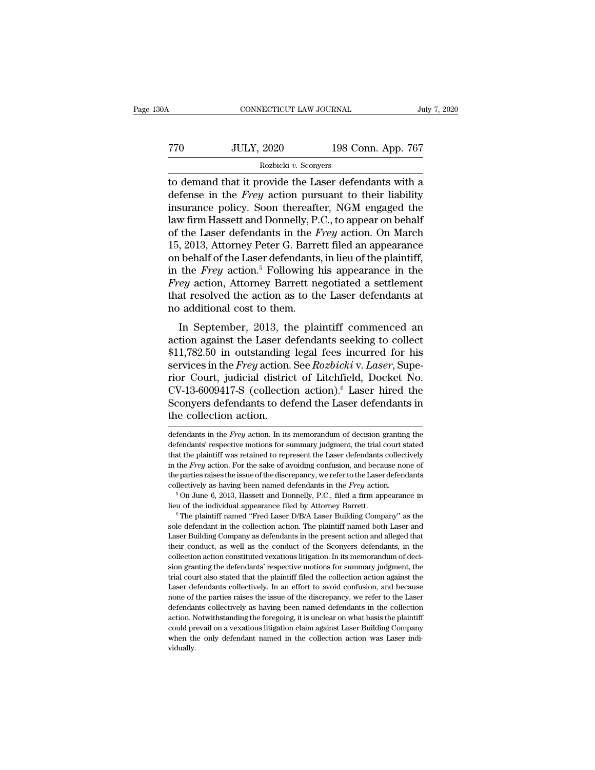### CONNECTICUT LAW JOURNAL July 7, 2020<br>
Transform JULY, 2020 198 Conn. App. 767<br>
Rozbicki v. Sconyers Rozbicki *v.* Sconyers

to demand that it provide the Laser defendants with a Transaction 198 Conn. App. 767<br>
Transaction 198 Conn. App. 767<br>
The <sup>Rozbicki</sup> *v*. Sconyers<br>
The *Frey* action pursuant to their liability<br>
insurance policy. Soon thereafter, NGM engaged the<br>
law firm Hassett and Donnolly Trance policy. The series of the Laser defendants with a defense in the *Frey* action pursuant to their liability insurance policy. Soon thereafter, NGM engaged the law firm Hassett and Donnelly, P.C., to appear on behalf France Box 198 Conn. App. 767<br>
Rozbicki v. Sconyers<br>
to demand that it provide the Laser defendants with a<br>
defense in the *Frey* action pursuant to their liability<br>
insurance policy. Soon thereafter, NGM engaged the<br>
law Rozbicki v. Sconyers<br>
to demand that it provide the Laser defendants with a<br>
defense in the *Frey* action pursuant to their liability<br>
insurance policy. Soon thereafter, NGM engaged the<br>
law firm Hassett and Donnelly, P.C.  $\frac{1}{15}$  Rozbicki v. Sconyers<br>to demand that it provide the Laser defendants with a<br>defense in the *Frey* action pursuant to their liability<br>insurance policy. Soon thereafter, NGM engaged the<br>law firm Hassett and Donnel to demand that it provide the Laser defendants with a defense in the *Frey* action pursuant to their liability insurance policy. Soon thereafter, NGM engaged the law firm Hassett and Donnelly, P.C., to appear on behalf of defense in the *Frey* action pursuant to their liability<br>insurance policy. Soon thereafter, NGM engaged the<br>law firm Hassett and Donnelly, P.C., to appear on behalf<br>of the Laser defendants in the *Frey* action. On March<br>15 insurance policy. Soon thereafter, NGM engaged the<br>law firm Hassett and Donnelly, P.C., to appear on behalf<br>of the Laser defendants in the *Frey* action. On March<br>15, 2013, Attorney Peter G. Barrett filed an appearance<br>on law firm Hassett and Donnelly, P.C., to appear on behalf<br>of the Laser defendants in the *Frey* action. On March<br>15, 2013, Attorney Peter G. Barrett filed an appearance<br>on behalf of the Laser defendants, in lieu of the pla of the Laser defendants in the  $I$ <br>15, 2013, Attorney Peter G. Barre<br>on behalf of the Laser defendants<br>in the *Frey* action.<sup>5</sup> Following l<br>*Frey* action, Attorney Barrett ne<br>that resolved the action as to th<br>no additiona EVENTIFY LET G. Barrett fied an appearance in the behalf of the Laser defendants, in lieu of the plaintiff, the *Frey* action, Attorney Barrett negotiated a settlement at resolved the action as to the Laser defendants at on behan of the Laser defendants, in het of the plantin,<br>in the *Frey* action.<sup>5</sup> Following his appearance in the<br>*Frey* action, Attorney Barrett negotiated a settlement<br>that resolved the action as to the Laser defendants

*Frey* action. To<br>*Frey* action, Attorney Barrett negotiated a settlement<br>that resolved the action as to the Laser defendants at<br>no additional cost to them.<br>In September, 2013, the plaintiff commenced an<br>action against th services in the *Frey* action, Attorney Barrett hegotiated a settement<br>that resolved the action as to the Laser defendants at<br>no additional cost to them.<br>In September, 2013, the plaintiff commenced an<br>action against the La ria resolved the action as to the Laser detendants at<br>no additional cost to them.<br>In September, 2013, the plaintiff commenced an<br>action against the Laser defendants seeking to collect<br>\$11,782.50 in outstanding legal fees i In September, 2013, the plaintiff commenced an<br>action against the Laser defendants seeking to collect<br>\$11,782.50 in outstanding legal fees incurred for his<br>services in the *Frey* action. See *Rozbicki* v. *Laser*, Supe-<br>r In September, 2013, the plaintiff commenced an action against the Laser defendants seeking to collect \$11,782.50 in outstanding legal fees incurred for his services in the *Frey* action. See *Rozbicki* v. *Laser*, Superio action against the Laser definition and the *Frey* action.<br>
services in the *Frey* action.<br>
rior Court, judicial distric<br>
CV-13-6009417-S (collectic<br>
Sconyers defendants to define collection action. rior Court, judicial district of Litchfield, Docket No.<br>CV-13-6009417-S (collection action).<sup>6</sup> Laser hired the<br>Sconyers defendants to defend the Laser defendants in<br>the collection action.<br>defendants in the *Frey* action.  $CV-13-6009417-S$  (collection action).<sup>6</sup> Laser hired the<br>Sconyers defendants to defend the Laser defendants in<br>the collection action.<br>defendants in the *Frey* action. In its memorandum of decision granting the<br>defendants'

Sconyers defendants to defend the Laser defendants in<br>the collection action.<br>defendants in the *Frey* action. In its memorandum of decision granting the<br>defendants' respective motions for summary judgment, the trial court the collection action.<br>
defendants in the *Frey* action. In its memorandum of decision granting the<br>
defendants' respective motions for summary judgment, the trial court stated<br>
that the plaintiff was retained to represent defendants in the *Frey* action. In its memorandum of decision granting the defendants' respective motions for summary judgment, the trial court stated that the plaintiff was retained to represent the Laser defendants coll defendants in the *Frey* action. In its memorandum of decision granting the defendants' respective motions for summary judgment, the trial court stated that the plaintiff was retained to represent the Laser defendants coll that the plaintiff was retained to represent the Laser defendants collectively<br>in the *Frey* action. For the sake of avoiding confusion, and because none of<br>the parties raises the issue of the discrepancy, we refer to the

The parties raises the issue of the discrepancy, we refer to the Laser defendants collectively as having been named defendants in the *Frey* action.<br>
<sup>5</sup> On June 6, 2013, Hassett and Donnelly, P.C., filed a firm appearanc Laser Building Company as the conduct of the *Frey* action.<br>
<sup>5</sup> On June 6, 2013, Hassett and Donnelly, P.C., filed a firm appearance in lieu of the individual appearance filed by Attorney Barrett.<br>
<sup>6</sup> The plaintiff name <sup>5</sup> On June 6, 2013, Hassett and Donnelly, P.C., filed a firm appearance in lieu of the individual appearance filed by Attorney Barrett.<br><sup>6</sup> The plaintiff named "Fred Laser D/B/A Laser Building Company" as the sole defend lieu of the individual appearance filed by Attorney Barrett.<br>
<sup>6</sup> The plaintiff named "Fred Laser D/B/A Laser Building Company" as the sole defendant in the collection action. The plaintiff named both Laser and Laser Build <sup>s</sup> The plaintiff named "Fred Laser D/B/A Laser Building Company" as the sole defendant in the collection action. The plaintiff named both Laser and Laser Building Company as defendants in the present action and alleged t sole defendant in the collection action. The plaintiff named both Laser and Laser Building Company as defendants in the present action and alleged that their conduct, as well as the conduct of the Sconyers defendants, in t Laser Building Company as defendants in the present action and alleged that their conduct, as well as the conduct of the Sconyers defendants, in the collection action constituted vexatious litigation. In its memorandum of their conduct, as well as the conduct of the Sconyers defendants, in the collection action constituted vexatious litigation. In its memorandum of decision granting the defendants' respective motions for summary judgment, t collection action constituted vexatious litigation. In its memorandum of decision granting the defendants' respective motions for summary judgment, the trial court also stated that the plaintiff filed the collection action sion granting the defendants' respective motions for summary judgment, the trial court also stated that the plaintiff filed the collection action against the Laser defendants collectively. In an effort to avoid confusion, Example and so stated that the plaintiff filed the collection action against the Laser defendants collectively. In an effort to avoid confusion, and because none of the parties raises the issue of the discrepancy, we refer Laser defendants collectively. In an effort to avoid confusion, and because vidually.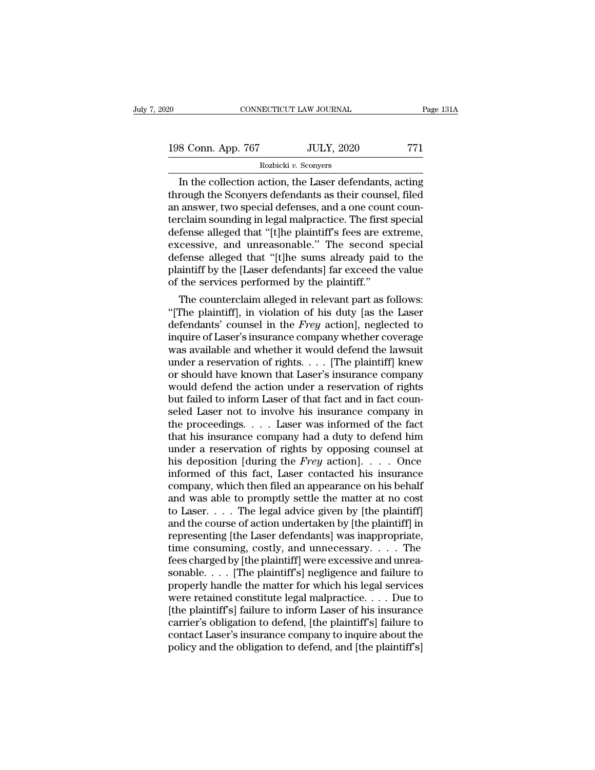EXECUTE CONNECTICUT LAW JOURNAL Page 131A<br>
198 Conn. App. 767 JULY, 2020 771<br>
Rozbicki v. Sconyers

### Rozbicki *v.* Sconyers

CONNECTICUT LAW JOURNAL Page 131A<br>
8 Conn. App. 767 JULY, 2020 771<br>
Rozbicki v. Sconyers<br>
In the collection action, the Laser defendants, acting<br>
rough the Sconyers defendants as their counsel, filed<br>
answor two spocial de 198 Conn. App. 767 JULY, 2020 771<br>Rozbicki v. Sconyers<br>In the collection action, the Laser defendants, acting<br>through the Sconyers defendants as their counsel, filed<br>an answer, two special defenses, and a one count coun-<br>t 198 Conn. App. 767 JULY, 2020 771<br>
Rozbicki v. Sconyers<br>
In the collection action, the Laser defendants, acting<br>
through the Sconyers defendants as their counsel, filed<br>
an answer, two special defenses, and a one count co 198 Conn. App. 767 JULY, 2020 771<br>
Rozbicki v. Sconyers<br>
In the collection action, the Laser defendants, acting<br>
through the Sconyers defendants as their counsel, filed<br>
an answer, two special defenses, and a one count co Rozbicki v. Sconyers<br>
In the collection action, the Laser defendants, acting<br>
through the Sconyers defendants as their counsel, filed<br>
an answer, two special defenses, and a one count coun-<br>
terclaim sounding in legal mal Fozbicki v. Sconyers<br>
In the collection action, the Laser defendants, acting<br>
through the Sconyers defendants as their counsel, filed<br>
an answer, two special defenses, and a one count coun-<br>
terclaim sounding in legal mal In the collection action, the Laser defendants, acting<br>through the Sconyers defendants as their counsel, filed<br>an answer, two special defenses, and a one count coun-<br>terclaim sounding in legal malpractice. The first specia through the Sconyers defendants as their counsel, filed<br>an answer, two special defenses, and a one count coun-<br>terclaim sounding in legal malpractice. The first special<br>defense alleged that "[t]he plaintiff's fees are extr an answer, two special defenses, and a one coun<br>terclaim sounding in legal malpractice. The first s<br>defense alleged that "[t]he plaintiff's fees are ex<br>excessive, and unreasonable." The second s<br>defense alleged that "[t]he relaim sounding in legal maipractice. The first special<br>fense alleged that "[t]he plaintiff's fees are extreme,<br>cessive, and unreasonable." The second special<br>fense alleged that "[t]he sums already paid to the<br>aintiff by t defense alleged that [t] the plaintiff s rees are extreme,<br>excessive, and unreasonable." The second special<br>defense alleged that "[t]he sums already paid to the<br>plaintiff by the [Laser defendants] far exceed the value<br>of t

excessive, and unreasonable. The second special<br>defense alleged that "[t]he sums already paid to the<br>plaintiff by the [Laser defendants] far exceed the value<br>of the services performed by the plaintiff."<br>The counterclaim al defense alleged that [t]ne sums already paid to the<br>plaintiff by the [Laser defendants] far exceed the value<br>of the services performed by the plaintiff."<br>The counterclaim alleged in relevant part as follows:<br>"[The plaintif plaintif by the [Laser defendants] far exceed the value<br>of the services performed by the plaintiff."<br>The counterclaim alleged in relevant part as follows:<br>"[The plaintiff], in violation of his duty [as the Laser<br>defendant or the services performed by the plaintiff.<br>
The counterclaim alleged in relevant part as follows:<br>
"[The plaintiff], in violation of his duty [as the Laser<br>
defendants' counsel in the *Frey* action], neglected to<br>
inquire The counterclaim alleged in relevant part as follows:<br>"[The plaintiff], in violation of his duty [as the Laser<br>defendants' counsel in the *Frey* action], neglected to<br>inquire of Laser's insurance company whether coverage<br> "[The plaintiff], in violation of his duty [as the Laser<br>defendants' counsel in the *Frey* action], neglected to<br>inquire of Laser's insurance company whether coverage<br>was available and whether it would defend the lawsuit<br> defendants' counsel in the *Frey* action], neglected to inquire of Laser's insurance company whether coverage was available and whether it would defend the lawsuit under a reservation of rights. . . . [The plaintiff] knew inquire of Laser's insurance company whether coverage<br>was available and whether it would defend the lawsuit<br>under a reservation of rights. . . . [The plaintiff] knew<br>or should have known that Laser's insurance company<br>woul was available and whether it would defend the lawsuit<br>under a reservation of rights. . . . [The plaintiff] knew<br>or should have known that Laser's insurance company<br>would defend the action under a reservation of rights<br>but under a reservation of rights. . . . [The plaintiff] knew<br>or should have known that Laser's insurance company<br>would defend the action under a reservation of rights<br>but failed to inform Laser of that fact and in fact counor should have known that Laser's insurance company<br>would defend the action under a reservation of rights<br>but failed to inform Laser of that fact and in fact coun-<br>seled Laser not to involve his insurance company in<br>the p would defend the action under a reservation of rights<br>but failed to inform Laser of that fact and in fact coun-<br>seled Laser not to involve his insurance company in<br>the proceedings. . . . Laser was informed of the fact<br>tha but failed to inform Laser of that fact and in fact counseled Laser not to involve his insurance company in the proceedings.  $\dots$  Laser was informed of the fact that his insurance company had a duty to defend him under a seled Laser not to involve his insurance company in<br>the proceedings. . . . Laser was informed of the fact<br>that his insurance company had a duty to defend him<br>under a reservation of rights by opposing counsel at<br>his deposi the proceedings. . . . Laser was informed of the fact<br>that his insurance company had a duty to defend him<br>under a reservation of rights by opposing counsel at<br>his deposition [during the *Frey* action]. . . . Once<br>informed that his insurance company had a duty to defend him<br>under a reservation of rights by opposing counsel at<br>his deposition [during the  $Frey$  action]....Once<br>informed of this fact, Laser contacted his insurance<br>company, which under a reservation of rights by opposing counsel at<br>his deposition [during the *Frey* action]. . . . Once<br>informed of this fact, Laser contacted his insurance<br>company, which then filed an appearance on his behalf<br>and was his deposition [during the *Frey* action]. . . . Once<br>informed of this fact, Laser contacted his insurance<br>company, which then filed an appearance on his behalf<br>and was able to promptly settle the matter at no cost<br>to Las informed of this fact, Laser contacted his insurance<br>company, which then filed an appearance on his behalf<br>and was able to promptly settle the matter at no cost<br>to Laser. . . . The legal advice given by [the plaintiff]<br>and company, which then filed an appearance on his behalf<br>and was able to promptly settle the matter at no cost<br>to Laser. . . . The legal advice given by [the plaintiff]<br>and the course of action undertaken by [the plaintiff] and was able to promptly settle the matter at no cost<br>to Laser. . . . The legal advice given by [the plaintiff]<br>and the course of action undertaken by [the plaintiff] in<br>representing [the Laser defendants] was inappropria to Laser. . . . . The legal advice given by [the plaintiff]<br>and the course of action undertaken by [the plaintiff] in<br>representing [the Laser defendants] was inappropriate,<br>time consuming, costly, and unnecessary. . . . T and the course of action undertaken by [the plaintiff] in<br>representing [the Laser defendants] was inappropriate,<br>time consuming, costly, and unnecessary. . . . The<br>fees charged by [the plaintiff] were excessive and unrearepresenting [the Laser defendants] was inappropriate,<br>time consuming, costly, and unnecessary. . . . The<br>fees charged by [the plaintiff] were excessive and unrea-<br>sonable. . . . [The plaintiff's] negligence and failure t time consuming, costly, and unnecessary. . . . . The<br>fees charged by [the plaintiff] were excessive and unrea-<br>sonable. . . . [The plaintiff's] negligence and failure to<br>properly handle the matter for which his legal serv fees charged by [the plaintiff] were excessive and unrea-<br>sonable. . . . [The plaintiff's] negligence and failure to<br>properly handle the matter for which his legal services<br>were retained constitute legal malpractice. . . . sonable.  $\dots$  [The plaintiff's] negligence and failure to properly handle the matter for which his legal services were retained constitute legal malpractice.  $\dots$  Due to [the plaintiff's] failure to inform Laser of his in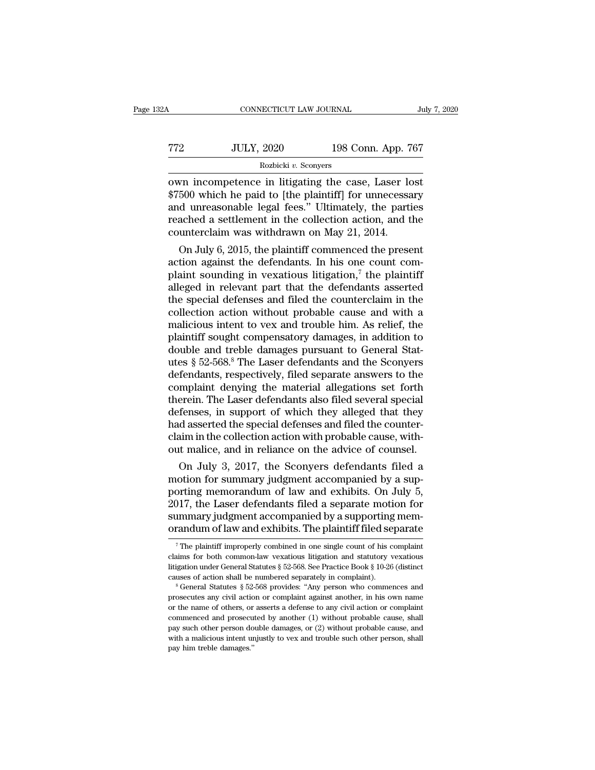| Α   | CONNECTICUT LAW JOURNAL |                    | July 7, 2020 |  |
|-----|-------------------------|--------------------|--------------|--|
| 772 | <b>JULY, 2020</b>       | 198 Conn. App. 767 |              |  |
|     | Rozbicki v. Sconyers    |                    |              |  |

CONNECTICUT LAW JOURNAL July 7, 2020<br>
TT2 JULY, 2020 198 Conn. App. 767<br>
Rozbicki v. Sconyers<br>
own incompetence in litigating the case, Laser lost<br>
\$7500 which he paid to [the plaintiff] for unnecessary<br>
and unreasonable l TT2 JULY, 2020 198 Conn. App. 767<br>Rozbicki v. Sconyers<br>
Nown incompetence in litigating the case, Laser lost<br>
198 Conn. App. 767<br>
Which he paid to [the plaintiff] for unnecessary<br>
2003 which he paid to [the plaintiff] for TT2 JULY, 2020 198 Conn. App. 767<br>Rozbicki v. Sconyers<br>
own incompetence in litigating the case, Laser lost<br>\$7500 which he paid to [the plaintiff] for unnecessary<br>
and unreasonable legal fees.'' Ultimately, the parties<br>
r Transfer 1988 Conn. App. 767<br>
Rozbicki v. Sconyers<br>
own incompetence in litigating the case, Laser lost<br>
\$7500 which he paid to [the plaintiff] for unnecessary<br>
and unreasonable legal fees." Ultimately, the parties<br>
reach Example 12020 and the case, Laser 1 Reveals. The contract provides the case, Laser 1<br>
87500 which he paid to [the plaintiff] for unnecessand unreasonable legal fees." Ultimately, the particle reached a settlement in the c or incompetence in litigating the case, Laser lost<br>500 which he paid to [the plaintiff] for unnecessary<br>d unreasonable legal fees." Ultimately, the parties<br>ached a settlement in the collection action, and the<br>unterclaim w own incompetence in itigating the case, Laser lost<br>\$7500 which he paid to [the plaintiff] for unnecessary<br>and unreasonable legal fees." Ultimately, the parties<br>reached a settlement in the collection action, and the<br>counter

 $\frac{1}{2}$  and unreasonable legal fees." Ultimately, the parties<br>reached a settlement in the collection action, and the<br>counterclaim was withdrawn on May 21, 2014.<br>On July 6, 2015, the plaintiff commenced the present<br>actio and unreasonable legal rees. Ultimately, the parties<br>reached a settlement in the collection action, and the<br>counterclaim was withdrawn on May 21, 2014.<br>On July 6, 2015, the plaintiff commenced the present<br>action against t reached a settlement in the collection action, and the<br>counterclaim was withdrawn on May 21, 2014.<br>On July 6, 2015, the plaintiff commenced the present<br>action against the defendants. In his one count com-<br>plaint sounding i countercialm was withdrawn on may  $21$ ,  $2014$ .<br>
On July 6, 2015, the plaintiff commenced the present<br>
action against the defendants. In his one count com-<br>
plaint sounding in vexatious litigation,<sup>7</sup> the plaintiff<br>
alleg On July 6, 2015, the plaintiff commenced the present<br>action against the defendants. In his one count com-<br>plaint sounding in vexatious litigation,<sup>7</sup> the plaintiff<br>alleged in relevant part that the defendants asserted<br>the action against the defendants. In his one count complaint sounding in vexatious litigation,<sup>7</sup> the plaintiff alleged in relevant part that the defendants asserted the special defenses and filed the counterclaim in the col plaint sounding in vexatious litigation,<sup>7</sup> the plaintiff<br>alleged in relevant part that the defendants asserted<br>the special defenses and filed the counterclaim in the<br>collection action without probable cause and with a<br>ma alleged in relevant part that the defendants asserted<br>the special defenses and filed the counterclaim in the<br>collection action without probable cause and with a<br>malicious intent to vex and trouble him. As relief, the<br>plain the special defenses and filed the counterclaim in the collection action without probable cause and with a malicious intent to vex and trouble him. As relief, the plaintiff sought compensatory damages, in addition to doubl collection action without probable cause and with a<br>malicious intent to vex and trouble him. As relief, the<br>plaintiff sought compensatory damages, in addition to<br>double and treble damages pursuant to General Stat-<br>utes § 5 malicious intent to vex and trouble him. As relief, the plaintiff sought compensatory damages, in addition to double and treble damages pursuant to General Statutes § 52-568.<sup>8</sup> The Laser defendants and the Sconyers defend plaintiff sought compensatory damages, in addition to<br>double and treble damages pursuant to General Stat-<br>utes § 52-568.<sup>8</sup> The Laser defendants and the Sconyers<br>defendants, respectively, filed separate answers to the<br>comp double and treble damages pursuant to General Stat-<br>utes § 52-568.<sup>8</sup> The Laser defendants and the Sconyers<br>defendants, respectively, filed separate answers to the<br>complaint denying the material allegations set forth<br>there utes  $\S$  52-568.<sup>8</sup> The Laser defendants and the Sconyers defendants, respectively, filed separate answers to the complaint denying the material allegations set forth therein. The Laser defendants also filed several speci defendants, respectively, filed separate answers to the complaint denying the material allegations set forth therein. The Laser defendants also filed several special defenses, in support of which they alleged that they had mplant denying the material allegations set forth<br>erein. The Laser defendants also filed several special<br>fenses, in support of which they alleged that they<br>d asserted the special defenses and filed the counter-<br>aim in the therein. The Laser defendants also filed several special<br>defenses, in support of which they alleged that they<br>had asserted the special defenses and filed the counter-<br>claim in the collection action with probable cause, wit

defenses, in support of which they alleged that they<br>had asserted the special defenses and filed the counter-<br>claim in the collection action with probable cause, with-<br>out malice, and in reliance on the advice of counsel.<br> had asserted the special defenses and filed the counter-<br>claim in the collection action with probable cause, with-<br>out malice, and in reliance on the advice of counsel.<br>On July 3, 2017, the Sconyers defendants filed a<br>moti claim in the collection action with probable cause, with-<br>out malice, and in reliance on the advice of counsel.<br>On July 3, 2017, the Sconyers defendants filed a<br>motion for summary judgment accompanied by a sup-<br>porting mem out malice, and in reliance on the advice of counsel.<br>
On July 3, 2017, the Sconyers defendants filed a<br>
motion for summary judgment accompanied by a sup-<br>
porting memorandum of law and exhibits. On July 5,<br>
2017, the Lase orting memorandum of law and exhibits. On July 5,<br>)17, the Laser defendants filed a separate motion for<br>immary judgment accompanied by a supporting mem-<br>randum of law and exhibits. The plaintiff filed separate<br><sup>7</sup>The plain 2017, the Laser defendants filed a separate motion for summary judgment accompanied by a supporting memorandum of law and exhibits. The plaintiff filed separate  $\frac{1}{7}$  The plaintiff improperly combined in one single co

summary judgment accompanied by a supporting memorandum of law and exhibits. The plaintiff filed separate<br>The plaintiff improperly combined in one single count of his complaint<br>claims for both common-law vexatious litigati call be numbered separately in complaint of a supporting mean of action shall be numbered in one single count of his complaint claims for both common-law vexatious litigation and statutory vexatious litigation under Gener <sup>7</sup> The plaintiff improperly combined in one single count of his complaint claims for both common-law vexatious litigation and statutory vexatious litigation under General Statutes  $\S$  52-568. See Practice Book  $\S$  10-26

claims for both common-law vexatious litigation and statutory vexatious litigation under General Statutes § 52-568. See Practice Book § 10-26 (distinct causes of action shall be numbered separately in complaint).<br><sup>8</sup> Gene litigation under General Statutes § 52-568. See Practice Book § 10-26 (distinct causes of action shall be numbered separately in complaint). <br><sup>8</sup> General Statutes § 52-568 provides: "Any person who commences and prosecute reauses of action shall be numbered separately in complaint).<br>
<sup>8</sup> General Statutes § 52-568 provides: "Any person who commences and<br>
prosecutes any civil action or complaint against another, in his own name<br>
or the name o <sup>8</sup> General Statutes § 52-568 provides: "Any person who commences and prosecutes any civil action or complaint against another, in his own name or the name of others, or asserts a defense to any civil action or complaint prosecutes any civil action<br>or the name of others, or<br>commenced and prosecu<br>pay such other person do<br>with a malicious intent ur<br>pay him treble damages."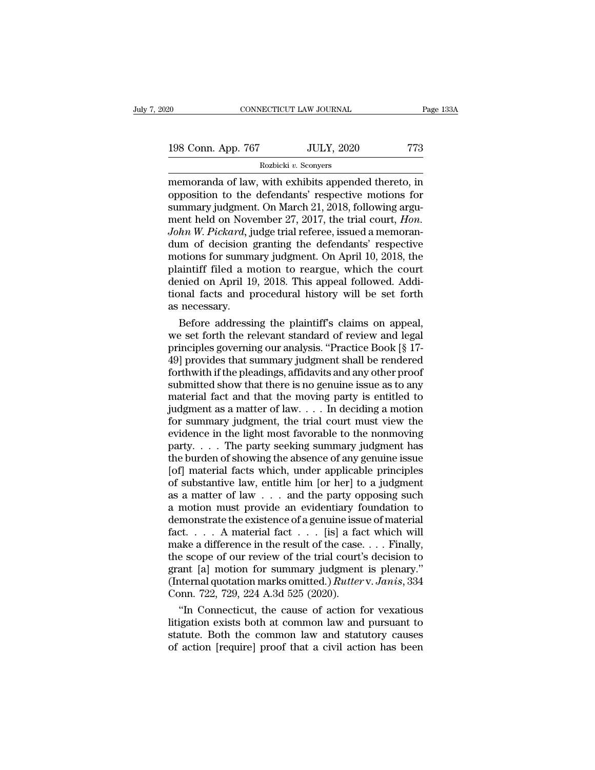EXECUTE CONNECTICUT LAW JOURNAL Page 133A<br>198 Conn. App. 767 JULY, 2020 773<br>Rozbicki v. Sconyers

Rozbicki *v.* Sconyers

EXECUTE CONNECTICUT LAW JOURNAL Page 133A<br>
198 Conn. App. 767 JULY, 2020 773<br>
Rozbicki v. Sconyers<br>
memoranda of law, with exhibits appended thereto, in<br>
opposition to the defendants' respective motions for<br>
summary judgme 198 Conn. App. 767 JULY, 2020 773<br>Rozbicki v. Sconyers<br>memoranda of law, with exhibits appended thereto, in<br>opposition to the defendants' respective motions for<br>summary judgment. On March 21, 2018, following argu-<br>ment hel 198 Conn. App. 767 JULY, 2020 773<br>
Rozbicki v. Sconyers<br>
memoranda of law, with exhibits appended thereto, in<br>
opposition to the defendants' respective motions for<br>
summary judgment. On March 21, 2018, following argu-<br>
me 198 Conn. App. 767 JULY, 2020 773<br>
Rozbicki v. Sconyers<br>
memoranda of law, with exhibits appended thereto, in<br>
opposition to the defendants' respective motions for<br>
summary judgment. On March 21, 2018, following argu-<br>
men *Rozbicki v. Sconyers*<br> *Rozbicki v. Sconyers*<br> *John W. With exhibits appended thereto, in*<br> *Deposition to the defendants' respective motions for*<br> *Summary judgment.* On March 21, 2018, following argument held on Novemb Rozbicki v. Sconyers<br>
memoranda of law, with exhibits appended thereto, in<br>
opposition to the defendants' respective motions for<br>
summary judgment. On March 21, 2018, following argu-<br>
ment held on November 27, 2017, the t memoranda of law, with exhibits appended thereto, in<br>opposition to the defendants' respective motions for<br>summary judgment. On March 21, 2018, following argu-<br>ment held on November 27, 2017, the trial court, *Hon.*<br>John W. opposition to the defendants' respective motions for<br>summary judgment. On March 21, 2018, following argu-<br>ment held on November 27, 2017, the trial court, *Hon.*<br>John W. Pickard, judge trial referee, issued a memoran-<br>dum summary judgment. On March 21, 2018, following argument held on November 27, 2017, the trial court, *Hon.*<br>John W. Pickard, judge trial referee, issued a memorandum of decision granting the defendants' respective<br>motions f ment held on November 27, 2017, the trial court, *Hon.*<br>
John W. Pickard, judge trial referee, issued a memorandum of decision granting the defendants' respective<br>
motions for summary judgment. On April 10, 2018, the<br>
plai John W. Pickard, ju<br>dum of decision<br>motions for summ<br>plaintiff filed a m<br>denied on April 19<br>tional facts and p<br>as necessary.<br>Before addressi m of decision granting the defendants' respective<br>otions for summary judgment. On April 10, 2018, the<br>aintiff filed a motion to reargue, which the court<br>mied on April 19, 2018. This appeal followed. Addi-<br>mal facts and pro motions for summary judgment. On April 10, 2018, the<br>plaintiff filed a motion to reargue, which the court<br>denied on April 19, 2018. This appeal followed. Addi-<br>tional facts and procedural history will be set forth<br>as neces

plaintiff filed a motion to reargue, which the court<br>denied on April 19, 2018. This appeal followed. Addi-<br>tional facts and procedural history will be set forth<br>as necessary.<br>Before addressing the plaintiff's claims on app denied on April 19, 2018. This appeal followed. Additional facts and procedural history will be set forth<br>as necessary.<br>Before addressing the plaintiff's claims on appeal,<br>we set forth the relevant standard of review and l tional facts and procedural history will be set forth<br>as necessary.<br>Before addressing the plaintiff's claims on appeal,<br>we set forth the relevant standard of review and legal<br>principles governing our analysis. "Practice Bo as necessary.<br>
Before addressing the plaintiff's claims on appeal,<br>
we set forth the relevant standard of review and legal<br>
principles governing our analysis. "Practice Book [§ 17-<br>
49] provides that summary judgment shall Before addressing the plaintiff's claims on appeal,<br>we set forth the relevant standard of review and legal<br>principles governing our analysis. "Practice Book [§ 17-<br>49] provides that summary judgment shall be rendered<br>fort we set forth the relevant standard of review and legal<br>principles governing our analysis. "Practice Book [§ 17-49] provides that summary judgment shall be rendered<br>forthwith if the pleadings, affidavits and any other proof principles governing our analysis. "Practice Book [§ 17-49] provides that summary judgment shall be rendered forthwith if the pleadings, affidavits and any other proof submitted show that there is no genuine issue as to an 49] provides that summary judgment shall be rendered<br>forthwith if the pleadings, affidavits and any other proof<br>submitted show that there is no genuine issue as to any<br>material fact and that the moving party is entitled t forthwith if the pleadings, affidavits and any other proof<br>submitted show that there is no genuine issue as to any<br>material fact and that the moving party is entitled to<br>judgment as a matter of law. . . . In deciding a mo submitted show that there is no genuine issue as to any<br>material fact and that the moving party is entitled to<br>judgment as a matter of law.... In deciding a motion<br>for summary judgment, the trial court must view the<br>evide material fact and that the moving party is entitled to<br>judgment as a matter of law. . . . In deciding a motion<br>for summary judgment, the trial court must view the<br>evidence in the light most favorable to the nonmoving<br>part judgment as a matter of law. . . . In deciding a motion<br>for summary judgment, the trial court must view the<br>evidence in the light most favorable to the nonmoving<br>party. . . . The party seeking summary judgment has<br>the bur for summary judgment, the trial court must view the<br>evidence in the light most favorable to the nonmoving<br>party. . . . The party seeking summary judgment has<br>the burden of showing the absence of any genuine issue<br>[of] mat evidence in the light most favorable to the nonmoving<br>party. . . . The party seeking summary judgment has<br>the burden of showing the absence of any genuine issue<br>[of] material facts which, under applicable principles<br>of su party. . . . The party seeking summary judgment has<br>the burden of showing the absence of any genuine issue<br>[of] material facts which, under applicable principles<br>of substantive law, entitle him [or her] to a judgment<br>as a the burden of showing the absence of any genuine issue<br>[of] material facts which, under applicable principles<br>of substantive law, entitle him [or her] to a judgment<br>as a matter of law  $\dots$  and the party opposing such<br>a mo [of] material facts which, under applicable principles<br>of substantive law, entitle him [or her] to a judgment<br>as a matter of law  $\ldots$  and the party opposing such<br>a motion must provide an evidentiary foundation to<br>demonst of substantive law, entitle him [or her] to a judgment<br>as a matter of law . . . and the party opposing such<br>a motion must provide an evidentiary foundation to<br>demonstrate the existence of a genuine issue of material<br>fact. as a matter of law . . . and the party opposing such<br>a motion must provide an evidentiary foundation to<br>demonstrate the existence of a genuine issue of material<br>fact. . . . A material fact . . . [is] a fact which will<br>mak a motion must provide an evidentiary foundation to<br>demonstrate the existence of a genuine issue of material<br>fact.... A material fact ... [is] a fact which will<br>make a difference in the result of the case.... Finally,<br>the s demonstrate the existence of a genuine issue.<br>
fact.... A material fact ... [is] a fact<br>
make a difference in the result of the case.<br>
the scope of our review of the trial court'<br>
grant [a] motion for summary judgment<br>
(I ct. . . . . A material fact . . . [is] a fact which will<br>ake a difference in the result of the case. . . . Finally,<br>e scope of our review of the trial court's decision to<br>ant [a] motion for summary judgment is plenary."<br>t make a difference in the result of the case.... Finally,<br>the scope of our review of the trial court's decision to<br>grant [a] motion for summary judgment is plenary."<br>(Internal quotation marks omitted.) *Rutter v. Janis*, 3

the scope of our review of the trial court's decision to<br>grant [a] motion for summary judgment is plenary."<br>(Internal quotation marks omitted.)  $Rutterv. Janis$ , 334<br>Conn. 722, 729, 224 A.3d 525 (2020).<br>"In Connecticut, the cause grant [a] motion for summary judgment is plenary."<br>(Internal quotation marks omitted.) Rutter v. Janis, 334<br>Conn. 722, 729, 224 A.3d 525 (2020).<br>"In Connecticut, the cause of action for vexatious<br>litigation exists both at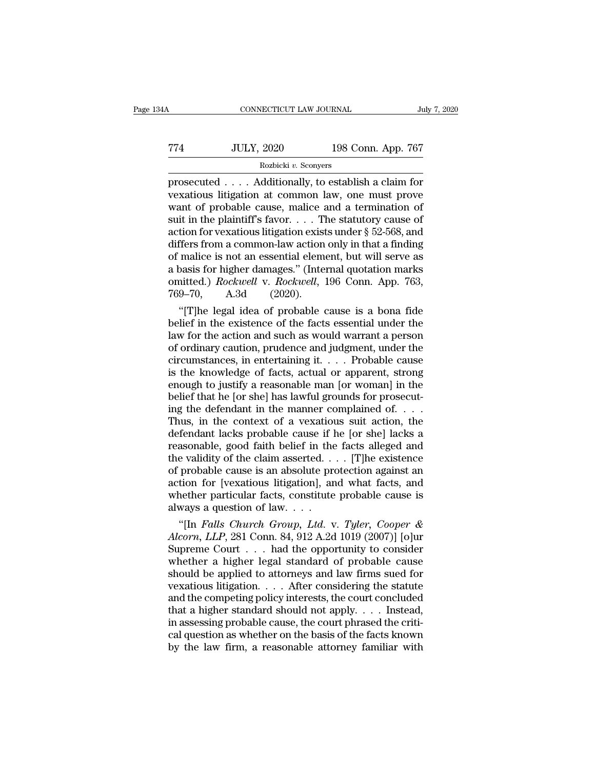# CONNECTICUT LAW JOURNAL July 7, 2020<br>
774 JULY, 2020 198 Conn. App. 767<br>
Rozbicki v. Sconyers

### Rozbicki *v.* Sconyers

FRA FRANCH CONNECTICUT LAW JOURNAL July 7, 2020<br>
PROBLEM: THE READ FRANCH CONNECTICLY READ FRANCH CONNECTION READ FRANCH CONNECTION PROBABLY CONNECTION CONNECTION CONNECTION CONNECTION CONNECTION CONNECTION CONNECTION CONN Very 2020 198 Conn. App. 767<br>
Very 2020 198 Conn. App. 767<br>
Prosecuted . . . . Additionally, to establish a claim for<br>
vexatious litigation at common law, one must prove<br>
want of probable cause, malice and a termination of TT4 JULY, 2020 198 Conn. App. 767<br>
Rozbicki v. Sconyers<br>
prosecuted . . . . Additionally, to establish a claim for<br>
vexatious litigation at common law, one must prove<br>
want of probable cause, malice and a termination of<br> Tranger Mullet in the plaintiff's favor. . . . . The stablish a claim for vexatious litigation at common law, one must prove want of probable cause, malice and a termination of suit in the plaintiff's favor. . . . The sta Rozbicki v. Sconyers<br>
Rozbicki v. Sconyers<br>
prosecuted . . . . Additionally, to establish a claim for<br>
vexatious litigation at common law, one must prove<br>
want of probable cause, malice and a termination of<br>
suit in the p Rozbicki v. Sconyers<br>prosecuted . . . . Additionally, to establish a claim for<br>vexatious litigation at common-law, one must prove<br>want of probable cause, malice and a termination of<br>suit in the plaintiff's favor. . . . Th prosecuted . . . . Additionally, to establish a claim for<br>vexatious litigation at common law, one must prove<br>want of probable cause, malice and a termination of<br>suit in the plaintiff's favor. . . . The statutory cause of<br> vexatious litigation at common law, one must prove<br>want of probable cause, malice and a termination of<br>suit in the plaintiff's favor.... The statutory cause of<br>action for vexatious litigation exists under  $\S 52-568$ , and<br> want of probable cause, malice and a termination of<br>suit in the plaintiff's favor. . . . The statutory cause of<br>action for vexatious litigation exists under § 52-568, and<br>differs from a common-law action only in that a fin % suit in the plaintiff's favor. . . . The<br>action for vexatious litigation exist<br>differs from a common-law action<br>of malice is not an essential elem<br>a basis for higher damages." (Inte<br>omitted.) *Rockwell* v. *Rockwell*,<br>76 tion for vexatious litigation exists under  $\S$  52-568, and<br>ffers from a common-law action only in that a finding<br>malice is not an essential element, but will serve as<br>passis for higher damages." (Internal quotation marks<br> differs from a common-law action only in that a finding<br>of malice is not an essential element, but will serve as<br>a basis for higher damages." (Internal quotation marks<br>omitted.) *Rockwell* v. *Rockwell*, 196 Conn. App. 763

of malice is not an essential element, but will serve as<br>a basis for higher damages." (Internal quotation marks<br>omitted.) *Rockwell* v. *Rockwell*, 196 Conn. App. 763,<br>769–70, A.3d (2020).<br>"[T]he legal idea of probable cau a basis for higher damages." (Internal quotation marks<br>
omitted.) *Rockwell* v. *Rockwell*, 196 Conn. App. 763,<br>
769–70, A.3d (2020).<br>
"[T]he legal idea of probable cause is a bona fide<br>
belief in the existence of the fac omitted.) *Rockwell* v. *Rockwell*, 196 Conn. App. 763,<br>769–70, A.3d (2020).<br>"[T]he legal idea of probable cause is a bona fide<br>belief in the existence of the facts essential under the<br>law for the action and such as would 769–70, A.3d (2020).<br>
"[T]he legal idea of probable cause is a bona fide<br>
belief in the existence of the facts essential under the<br>
law for the action and such as would warrant a person<br>
of ordinary caution, prudence and "[T]he legal idea of probable cause is a bona fide<br>belief in the existence of the facts essential under the<br>law for the action and such as would warrant a person<br>of ordinary caution, prudence and judgment, under the<br>circu belief in the existence of the facts essential under the<br>law for the action and such as would warrant a person<br>of ordinary caution, prudence and judgment, under the<br>circumstances, in entertaining it. . . . Probable cause<br> law for the action and such as would warrant a person<br>of ordinary caution, prudence and judgment, under the<br>circumstances, in entertaining it. . . . Probable cause<br>is the knowledge of facts, actual or apparent, strong<br>eno of ordinary caution, prudence and judgment, under the circumstances, in entertaining it. . . . Probable cause<br>is the knowledge of facts, actual or apparent, strong<br>enough to justify a reasonable man [or woman] in the<br>beli circumstances, in entertaining it. . . . Probable cause<br>is the knowledge of facts, actual or apparent, strong<br>enough to justify a reasonable man [or woman] in the<br>belief that he [or she] has lawful grounds for prosecut-<br>i is the knowledge of facts, actual or apparent, strong<br>enough to justify a reasonable man [or woman] in the<br>belief that he [or she] has lawful grounds for prosecut-<br>ing the defendant in the manner complained of. . . .<br>Thus enough to justify a reasonable man [or woman] in the<br>belief that he [or she] has lawful grounds for prosecut-<br>ing the defendant in the manner complained of. . . .<br>Thus, in the context of a vexatious suit action, the<br>defen belief that he [or she] has lawful grounds for prosecuting the defendant in the manner complained of. . . . Thus, in the context of a vexatious suit action, the defendant lacks probable cause if he [or she] lacks a reason ing the defendant in the manner complained of. . . . Thus, in the context of a vexatious suit action, the defendant lacks probable cause if he [or she] lacks a reasonable, good faith belief in the facts alleged and the va Thus, in the context of a vexatious suit action, the defendant lacks probable cause if he [or she] lacks a reasonable, good faith belief in the facts alleged and the validity of the claim asserted. . . . [T]he existence o defendant lacks probable cause if I<br>reasonable, good faith belief in the<br>the validity of the claim asserted. .<br>of probable cause is an absolute pre<br>action for [vexatious litigation], ar<br>whether particular facts, constitute asonable, good faith belief in the facts alleged and<br>
e validity of the claim asserted. . . . [T]he existence<br>
probable cause is an absolute protection against an<br>
tion for [vexatious litigation], and what facts, and<br>
neth *Alcorn, LLP*, 281 Conn. 84, 912 A.2d 1019 (2007)] [o]ure Supplember 2 higher a higher a higher a higher a higher a higher a higher a higher a higher a higher lagal standard of probable cause is whether particular facts, c

of probable cause is an absolute protection against an<br>action for [vexatious litigation], and what facts, and<br>whether particular facts, constitute probable cause is<br>always a question of law....<br>"[In *Falls Church Group, L* action for [vexatious litigation], and what facts, and<br>whether particular facts, constitute probable cause is<br>always a question of law....<br>"[In Falls Church Group, Ltd. v. Tyler, Cooper &<br>Alcorn, LLP, 281 Conn. 84, 912 A. whether particular facts, constitute probable cause is<br>always a question of law  $\dots$ .<br>"[In *Falls Church Group, Ltd. v. Tyler, Cooper &<br>Alcorn, LLP,* 281 Conn. 84, 912 A.2d 1019 (2007)] [o]ur<br>Supreme Court  $\dots$  had the op always a question of law. . . .<br>
"[In *Falls Church Group, Ltd. v. Tyler, Cooper &*<br>
Alcorn, LLP, 281 Conn. 84, 912 A.2d 1019 (2007)] [o]ur<br>
Supreme Court . . . had the opportunity to consider<br>
whether a higher legal stand "[In *Falls Church Group, Ltd. v. Tyler, Cooper &*<br>Alcorn, LLP, 281 Conn. 84, 912 A.2d 1019 (2007)] [o]ur<br>Supreme Court . . . had the opportunity to consider<br>whether a higher legal standard of probable cause<br>should be app Alcorn, LLP, 281 Conn. 84, 912 A.2d 1019 (2007)] [o]ur<br>Supreme Court . . . had the opportunity to consider<br>whether a higher legal standard of probable cause<br>should be applied to attorneys and law firms sued for<br>vexatious Supreme Court  $\dots$  had the opportunity to consider<br>whether a higher legal standard of probable cause<br>should be applied to attorneys and law firms sued for<br>vexatious litigation.  $\dots$  After considering the statute<br>and the c whether a higher legal standard of probable cause<br>should be applied to attorneys and law firms sued for<br>vexatious litigation. . . . After considering the statute<br>and the competing policy interests, the court concluded<br>tha should be applied to attorneys and law firms sued for vexatious litigation.  $\dots$  After considering the statute and the competing policy interests, the court concluded that a higher standard should not apply.  $\dots$  Instead,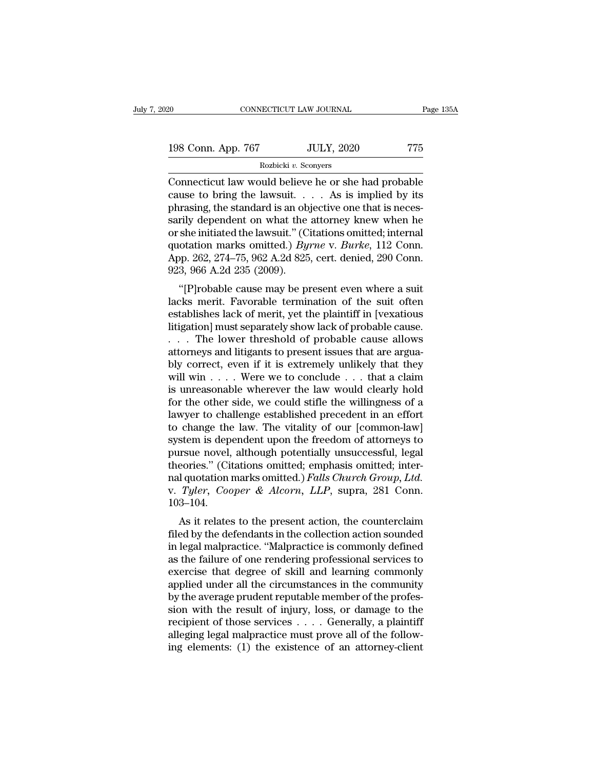EXECUTE 2000 CONNECTICUT LAW JOURNAL Page 135A<br>198 Conn. App. 767 JULY, 2020 775<br>Rozbicki v. Sconyers

Rozbicki *v.* Sconyers

CONNECTICUT LAW JOURNAL Page 135A<br>
198 Conn. App. 767 JULY, 2020 775<br>
Rozbicki v. Sconyers<br>
Connecticut law would believe he or she had probable<br>
cause to bring the lawsuit. . . . . As is implied by its<br>
phrasing the stand 198 Conn. App. 767 JULY, 2020 775<br>
Rozbicki v. Sconyers<br>
Connecticut law would believe he or she had probable<br>
cause to bring the lawsuit. . . . . As is implied by its<br>
phrasing, the standard is an objective one that is ne 198 Conn. App. 767 JULY, 2020 775<br>
Rozbicki v. Sconyers<br>
Connecticut law would believe he or she had probable<br>
cause to bring the lawsuit. . . . . As is implied by its<br>
phrasing, the standard is an objective one that is n 198 Conn. App. 767 JULY, 2020 775<br>
Rozbicki v. Sconyers<br>
Connecticut law would believe he or she had probable<br>
cause to bring the lawsuit. . . . . As is implied by its<br>
phrasing, the standard is an objective one that is n **Example 1980**<br>
Rozbicki v. Sconyers<br>
Connecticut law would believe he or she had probable<br>
cause to bring the lawsuit.... As is implied by its<br>
phrasing, the standard is an objective one that is neces-<br>
sarily dependent Rozbicki v. Sconyers<br>
Connecticut law would believe he or she had probable<br>
cause to bring the lawsuit. . . . . As is implied by its<br>
phrasing, the standard is an objective one that is neces-<br>
sarily dependent on what the Connecticut law would believe he or she had probable cause to bring the lawsuit. . . . . As is implied by its phrasing, the standard is an objective one that is necessarily dependent on what the attorney knew when he or s cause to bring the lawsuit.<br>
phrasing, the standard is an ob<br>
sarily dependent on what the<br>
or she initiated the lawsuit." (C<br>
quotation marks omitted.) By:<br>
App. 262, 274–75, 962 A.2d 825<br>
923, 966 A.2d 235 (2009).<br>
"[P] Training, the standard is an objective one that is neces-<br>
rily dependent on what the attorney knew when he<br>
she initiated the lawsuit." (Citations omitted; internal<br>
otation marks omitted.) *Byrne* v. *Burke*, 112 Conn.<br> sany dependent on what the attorney knew when he<br>or she initiated the lawsuit." (Citations omitted; internal<br>quotation marks omitted.) *Byrne* v. *Burke*, 112 Conn.<br>App. 262, 274–75, 962 A.2d 825, cert. denied, 290 Conn.<br>9

or she mitated the lawsuit. (Chations omitted, internation marks omitted.) *Byrne* v. *Burke*, 112 Conn.<br>App. 262, 274–75, 962 A.2d 825, cert. denied, 290 Conn.<br>923, 966 A.2d 235 (2009).<br>"[P]robable cause may be present ev quotation marks omitted.) By the v. Burke, 112 Com.<br>App. 262, 274–75, 962 A.2d 825, cert. denied, 290 Conn.<br>923, 966 A.2d 235 (2009).<br>"[P]robable cause may be present even where a suit<br>lacks merit. Favorable termination o App. 202, 274–75, 302 A.2d 625, cert. defined, 250 Confi.<br>923, 966 A.2d 235 (2009).<br>"[P]robable cause may be present even where a suit<br>lacks merit. Favorable termination of the suit often<br>establishes lack of merit, yet th <sup>925</sup>, <sup>900</sup> A.2d <sup>255</sup> (200<sup>9</sup>).<br>
"[P]robable cause may be present even where a suit lacks merit. Favorable termination of the suit often establishes lack of merit, yet the plaintiff in [vexatious litigation] must separa "[P]robable cause may be present even where a suit<br>lacks merit. Favorable termination of the suit often<br>establishes lack of merit, yet the plaintiff in [vexatious<br>litigation] must separately show lack of probable cause.<br>lacks merit. Favorable termination of the suit often<br>establishes lack of merit, yet the plaintiff in [vexatious<br>litigation] must separately show lack of probable cause.<br>. . . . The lower threshold of probable cause allows establishes lack of merit, yet the plaintiff in [vexatious<br>litigation] must separately show lack of probable cause.<br>. . . . The lower threshold of probable cause allows<br>attorneys and litigants to present issues that are a litigation] must separately show lack of probable cause.<br>  $\dots$  The lower threshold of probable cause allows<br>
attorneys and litigants to present issues that are argua-<br>
bly correct, even if it is extremely unlikely that th . . . The lower threshold of probable cause allows<br>attorneys and litigants to present issues that are argua-<br>bly correct, even if it is extremely unlikely that they<br>will win . . . . Were we to conclude . . . that a claim<br> attorneys and litigants to present issues that are arguably correct, even if it is extremely unlikely that they<br>will win  $\dots$ . Were we to conclude  $\dots$  that a claim<br>is unreasonable wherever the law would clearly hold<br>for bly correct, even if it is extremely unlikely that they<br>will win . . . . Were we to conclude . . . that a claim<br>is unreasonable wherever the law would clearly hold<br>for the other side, we could stifle the willingness of a<br>l will win . . . . Were we to conclude . . . that a claim<br>is unreasonable wherever the law would clearly hold<br>for the other side, we could stifle the willingness of a<br>lawyer to challenge established precedent in an effort<br>t is unreasonable wherever the law would clearly hold<br>for the other side, we could stifle the willingness of a<br>lawyer to challenge established precedent in an effort<br>to change the law. The vitality of our [common-law]<br>syste for the other side, we could stifle the willingness of a lawyer to challenge established precedent in an effort to change the law. The vitality of our [common-law] system is dependent upon the freedom of attorneys to pursu lawyer to challenge established precedent in an effort<br>to change the law. The vitality of our [common-law]<br>system is dependent upon the freedom of attorneys to<br>pursue novel, although potentially unsuccessful, legal<br>theorie 103–104. Such is dependent upon the freedom of attorneys to<br>trivate novel, although potentially unsuccessful, legal<br>eories." (Citations omitted; emphasis omitted; inter-<br>l quotation marks omitted.) Falls Church Group, Ltd.<br>Tyler, C pursue nover, antiough potentially unsuccessiut, regard<br>theories." (Citations omitted: emphasis omitted; inter-<br>nal quotation marks omitted.) *Falls Church Group, Ltd.*<br>v. *Tyler, Cooper & Alcorn, LLP*, supra, 281 Conn.<br>10

theories. (Chanons omitted, emphasis omitted, inter-<br>nal quotation marks omitted.) *Falls Church Group, Ltd.*<br>v. *Tyler, Cooper & Alcorn, LLP*, supra, 281 Conn.<br>103–104.<br>As it relates to the present action, the counterclai as the failure of one rendering professional services to exercise that degree of skill and learning commonly applied under all the circumstances in the community applied under all the circumstances in the community applied exercise that degree of skill and learning commonly applied under all the average product and the content of the reference of skill and learning commonly applied under all the circumstances in the commonly applied under a As it relates to the present action, the counterclaim<br>filed by the defendants in the collection action sounded<br>in legal malpractice. "Malpractice is commonly defined<br>as the failure of one rendering professional services to As it relates to the present action, the counterclaim<br>filed by the defendants in the collection action sounded<br>in legal malpractice. "Malpractice is commonly defined<br>as the failure of one rendering professional services to filed by the defendants in the collection action sounded<br>in legal malpractice. "Malpractice is commonly defined<br>as the failure of one rendering professional services to<br>exercise that degree of skill and learning commonly<br>a in legal malpractice. "Malpractice is commonly defined<br>as the failure of one rendering professional services to<br>exercise that degree of skill and learning commonly<br>applied under all the circumstances in the community<br>by th as the failure of one rendering professional services to exercise that degree of skill and learning commonly applied under all the circumstances in the community by the average prudent reputable member of the profession w exercise that degree of skill and learning commonly<br>applied under all the circumstances in the community<br>by the average prudent reputable member of the profes-<br>sion with the result of injury, loss, or damage to the<br>recipie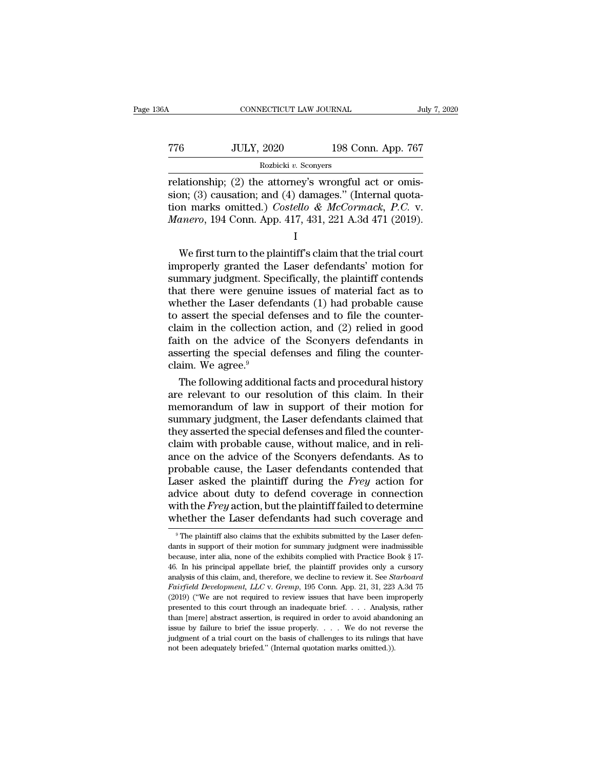|     | CONNECTICUT LAW JOURNAL |                    | July 7, 2020 |  |
|-----|-------------------------|--------------------|--------------|--|
|     |                         |                    |              |  |
| 776 | <b>JULY, 2020</b>       | 198 Conn. App. 767 |              |  |
|     | Rozbicki v. Sconyers    |                    |              |  |

relationship; (2) the attorney's wrongful act or omis-<br>
relationship; (2) the attorney's wrongful act or omis-<br>
relationship; (2) the attorney's wrongful act or omis-<br>
sion; (3) causation; and (4) damages." (Internal quota TT6 JULY, 2020 198 Conn. App. 767<br>Rozbicki v. Sconyers<br>relationship; (2) the attorney's wrongful act or omis-<br>sion; (3) causation; and (4) damages.'' (Internal quota-<br>tion marks omitted.) *Costello & McCormack*, *P.C.* v.<br> Transfer Mullary, 2020 198 Conn. App. 767<br>
Rozbicki v. Sconyers<br>
Telationship; (2) the attorney's wrongful act or omission; (3) causation; and (4) damages." (Internal quotation marks omitted.) *Costello & McCormack, P.C. Manero*, 194 Conn. App. 767<br> *Rozbicki v. Sconyers*<br> *Rozbicki v. Sconyers*<br> *Rozbicki v. Sconyers*<br> *Rozbicki v. Sconyers*<br> *Rozbicki v. Sconyers*<br> *Manero*, 194 Conn. App. 417, 431, 221 A.3d 471 (2019).<br> *I* Muslim to the attorney's wrongful act or omis-<br>
Solon; (3) causation; and (4) damages." (Internal quota-<br>
Internal quota-<br>
First turn to the plaintiff's claim that the trial court<br>
properly granted the Laser defendants' m

I and the set of  $\mathbf I$ 

For the Lastricty granted the distribution marks omitted.) Costello & McCormack, P.C. v.<br>
Manero, 194 Conn. App. 417, 431, 221 A.3d 471 (2019).<br>
I<br>
We first turn to the plaintiff's claim that the trial court<br>
improperly g summarks omitted.) Costello & McCormack, P.C. v.<br>Manero, 194 Conn. App. 417, 431, 221 A.3d 471 (2019).<br> $\frac{1}{1}$ <br>We first turn to the plaintiff's claim that the trial court<br>improperly granted the Laser defendants' motion *Manero*, 194 Conn. App. 417, 431, 221 A.3d 471 (2019).<br>  $I$ <br>
We first turn to the plaintiff's claim that the trial court<br>
improperly granted the Laser defendants' motion for<br>
summary judgment. Specifically, the plaintiff We first turn to the plaintiff's claim that the trial court<br>
I<br>
We first turn to the plaintiff's claim that the trial court<br>
improperly granted the Laser defendants' motion for<br>
summary judgment. Specifically, the plainti I<br>We first turn to the plaintiff's claim that the trial court<br>improperly granted the Laser defendants' motion for<br>summary judgment. Specifically, the plaintiff contends<br>that there were genuine issues of material fact as to We first turn to the plaintiff's claim that the trial court<br>improperly granted the Laser defendants' motion for<br>summary judgment. Specifically, the plaintiff contends<br>that there were genuine issues of material fact as to<br>w improperly granted the Laser defendants' motion for<br>summary judgment. Specifically, the plaintiff contends<br>that there were genuine issues of material fact as to<br>whether the Laser defendants (1) had probable cause<br>to asser summary judgment. Specifically, the plaintiff contends<br>that there were genuine issues of material fact as to<br>whether the Laser defendants (1) had probable cause<br>to assert the special defenses and to file the counter-<br>claim that there were genuin<br>whether the Laser defe<br>to assert the special de<br>claim in the collection<br>faith on the advice of<br>asserting the special de<br>claim. We agree.<sup>9</sup><br>The following addition nether the Laser defendants (1) had probable cause<br>assert the special defenses and to file the counter-<br>im in the collection action, and (2) relied in good<br>th on the advice of the Sconyers defendants in<br>serting the special to assert the special defenses and to file the counter-<br>claim in the collection action, and (2) relied in good<br>faith on the advice of the Sconyers defendants in<br>asserting the special defenses and filing the counter-<br>claim.

claim in the collection action, and (2) relied in good<br>faith on the advice of the Sconyers defendants in<br>asserting the special defenses and filing the counter-<br>claim. We agree.<sup>9</sup><br>The following additional facts and procedu faith on the advice of the Sconyers defendants in<br>asserting the special defenses and filing the counter-<br>claim. We agree.<sup>9</sup><br>The following additional facts and procedural history<br>are relevant to our resolution of this clai asserting the special defenses and filing the counter-<br>claim. We agree.<sup>9</sup><br>The following additional facts and procedural history<br>are relevant to our resolution of this claim. In their<br>memorandum of law in support of their claim. We agree."<br>The following additional facts and procedural history<br>are relevant to our resolution of this claim. In their<br>memorandum of law in support of their motion for<br>summary judgment, the Laser defendants claimed The following additional facts and procedural history<br>are relevant to our resolution of this claim. In their<br>memorandum of law in support of their motion for<br>summary judgment, the Laser defendants claimed that<br>they asserte are relevant to our resolution of this claim. In their<br>memorandum of law in support of their motion for<br>summary judgment, the Laser defendants claimed that<br>they asserted the special defenses and filed the counter-<br>claim wi memorandum of law in support of their motion for<br>summary judgment, the Laser defendants claimed that<br>they asserted the special defenses and filed the counter-<br>claim with probable cause, without malice, and in reli-<br>ance on summary judgment, the Laser defendants claimed that<br>they asserted the special defenses and filed the counter-<br>claim with probable cause, without malice, and in reli-<br>ance on the advice of the Sconyers defendants. As to<br>pro they asserted the special defenses and filed the counter-<br>claim with probable cause, without malice, and in reli-<br>ance on the advice of the Sconyers defendants. As to<br>probable cause, the Laser defendants contended that<br>Las claim with probable cause, without malice, and in reli-<br>ance on the advice of the Sconyers defendants. As to<br>probable cause, the Laser defendants contended that<br>Laser asked the plaintiff during the *Frey* action for<br>advice aser asked the plaintiff during the *Frey* action for dvice about duty to defend coverage in connection ith the *Frey* action, but the plaintiff failed to determine hether the Laser defendants had such coverage and  $\degree$  T advice about duty to defend coverage in connection<br>with the *Frey* action, but the plaintiff failed to determine<br>whether the Laser defendants had such coverage and<br> $^{\circ}$ The plaintiff also claims that the exhibits submitt

with the *Frey* action, but the plaintiff failed to determine whether the Laser defendants had such coverage and  $\overline{\ }$  The plaintiff also claims that the exhibits submitted by the Laser defendants in support of their mo Whether the Laser defendants had such coverage and<br>
<sup>9</sup> The plaintiff also claims that the exhibits submitted by the Laser defendants in support of their motion for summary judgment were inadmissible because, inter alia, The plaintiff also claims that the exhibits submitted by the Laser defendants in support of their motion for summary judgment were inadmissible because, inter alia, none of the exhibits complied with Practice Book § 17-46. <sup>9</sup> The plaintiff also claims that the exhibits submitted by the Laser defendants in support of their motion for summary judgment were inadmissible because, inter alia, none of the exhibits complied with Practice Book § 1 dants in support of their motion for summary judgment were inadmissible because, inter alia, none of the exhibits complied with Practice Book § 17-46. In his principal appellate brief, the plaintiff provides only a cursor because, inter alia, none of the exhibits complied with Practice Book § 17-46. In his principal appellate brief, the plaintiff provides only a cursory analysis of this claim, and, therefore, we decline to review it. See 46. In his principal appellate brief, the plaintiff provides only a cursory analysis of this claim, and, therefore, we decline to review it. See *Starboard Fairfield Development*,  $LLC$  v. *Gremp*, 195 Conn. App. 21, 31, 2 Finallysis of this claim, and, therefore, we decline to review it. See *Starbord* Fairfield Development, LLC v. Gremp, 195 Conn. App. 21, 31, 223 A.3d 75 (2019) ("We are not required to review issues that have been improp Fairfield Development, LLC v. Gremp, 195 Conn. App. 21, 31, 223 A.3d 75 (2019) ("We are not required to review issues that have been improperly presented to this court through an inadequate brief. . . . Analysis, rather t (2019) ("We are not required to review issues that have been improperly presented to this court through an inadequate brief. . . . Analysis, rather than [mere] abstract assertion, is required in order to avoid abandoning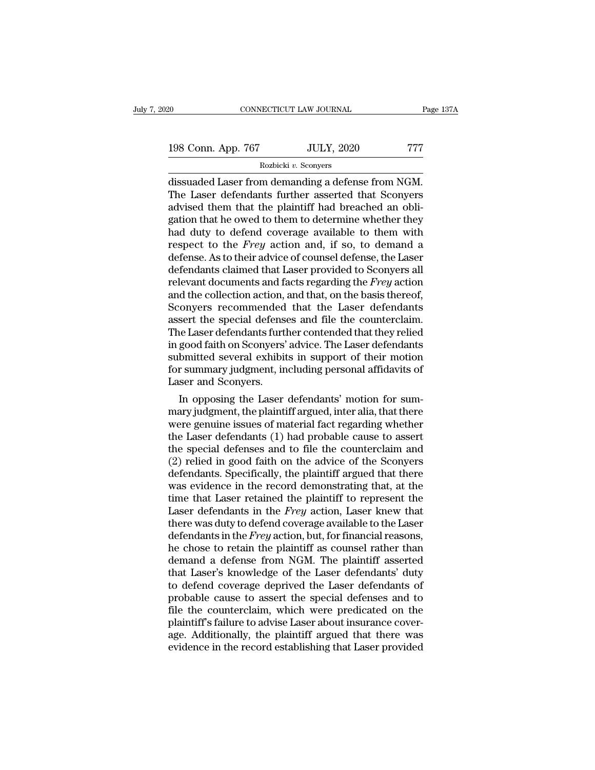EXECUTE 2000 CONNECTICUT LAW JOURNAL Page 137A<br>198 Conn. App. 767 JULY, 2020 777<br>Rozbicki v. Sconyers

Rozbicki *v.* Sconyers

contract the JOURNAL Page 13<br>
198 Conn. App. 767 JULY, 2020 777<br>
Rozbicki v. Sconyers<br>
dissuaded Laser from demanding a defense from NGM.<br>
The Laser defendants further asserted that Sconyers<br>
advised them that the plaintif 198 Conn. App. 767 JULY, 2020 777<br>Rozbicki v. Sconyers<br>dissuaded Laser from demanding a defense from NGM.<br>The Laser defendants further asserted that Sconyers<br>advised them that the plaintiff had breached an obli-<br>gation tha 198 Conn. App. 767 JULY, 2020 777<br>
Rozbicki v. Sconyers<br>
dissuaded Laser from demanding a defense from NGM.<br>
The Laser defendants further asserted that Sconyers<br>
advised them that the plaintiff had breached an obli-<br>
gati 198 Conn. App. 767 JULY, 2020 777<br>
Rozbicki v. Sconyers<br>
dissuaded Laser from demanding a defense from NGM.<br>
The Laser defendants further asserted that Sconyers<br>
advised them that the plaintiff had breached an obli-<br>
gati Rozbicki v. Sconyers<br>
dissuaded Laser from demanding a defense from NGM.<br>
The Laser defendants further asserted that Sconyers<br>
advised them that the plaintiff had breached an obli-<br>
gation that he owed to them to determin Rozbicki v. Sconyers<br>dissuaded Laser from demanding a defense from NGM.<br>The Laser defendants further asserted that Sconyers<br>advised them that the plaintiff had breached an obli-<br>gation that he owed to them to determine whe dissuaded Laser from demanding a defense from NGM.<br>The Laser defendants further asserted that Sconyers<br>advised them that the plaintiff had breached an obli-<br>gation that he owed to them to determine whether they<br>had duty to The Laser defendants further asserted that Sconyers<br>advised them that the plaintiff had breached an obli-<br>gation that he owed to them to determine whether they<br>had duty to defend coverage available to them with<br>respect to advised them that the plaintiff had breached an obligation that he owed to them to determine whether they<br>had duty to defend coverage available to them with<br>respect to the *Frey* action and, if so, to demand a<br>defense. As gation that he owed to them to determine whether they<br>had duty to defend coverage available to them with<br>respect to the *Frey* action and, if so, to demand a<br>defense. As to their advice of counsel defense, the Laser<br>defend had duty to defend coverage available to them with<br>respect to the *Frey* action and, if so, to demand a<br>defense. As to their advice of counsel defense, the Laser<br>defendants claimed that Laser provided to Sconyers all<br>relev respect to the *Frey* action and, if so, to demand a defense. As to their advice of counsel defense, the Laser defendants claimed that Laser provided to Sconyers all relevant documents and facts regarding the *Frey* action defense. As to their advice of counsel defense, the Laser<br>defendants claimed that Laser provided to Sconyers all<br>relevant documents and facts regarding the *Frey* action<br>and the collection action, and that, on the basis th defendants claimed that Laser provided to Sconyers all<br>relevant documents and facts regarding the *Frey* action<br>and the collection action, and that, on the basis thereof,<br>Sconyers recommended that the Laser defendants<br>asse relevant documents and facts regarding the *Frey* action<br>and the collection action, and that, on the basis thereof,<br>Sconyers recommended that the Laser defendants<br>assert the special defenses and file the counterclaim.<br>The and the collection action, and that, on the basis thereof,<br>Sconyers recommended that the Laser defendants<br>assert the special defenses and file the counterclaim.<br>The Laser defendants further contended that they relied<br>in go Sconyers recommended<br>assert the special defensements<br>The Laser defendants furtlin good faith on Sconyers'<br>submitted several exhibit<br>for summary judgment, in<br>Laser and Sconyers.<br>In opposing the Laser Sert the special defenses and file the counterclaim.<br>In the Laser defendants further contended that they relied<br>good faith on Sconyers' advice. The Laser defendants<br>bmitted several exhibits in support of their motion<br>r sum The Laser detendants further contended that they relied<br>in good faith on Sconyers' advice. The Laser defendants<br>submitted several exhibits in support of their motion<br>for summary judgment, including personal affidavits of<br>L

In good faith on Sconyers' advice. The Laser detendants<br>submitted several exhibits in support of their motion<br>for summary judgment, including personal affidavits of<br>Laser and Sconyers.<br>In opposing the Laser defendants' mot submitted several exhibits in support of their motion<br>for summary judgment, including personal affidavits of<br>Laser and Sconyers.<br>In opposing the Laser defendants' motion for sum-<br>mary judgment, the plaintiff argued, inter for summary judgment, including personal affidavits of<br>Laser and Sconyers.<br>In opposing the Laser defendants' motion for sum-<br>mary judgment, the plaintiff argued, inter alia, that there<br>were genuine issues of material fact Laser and Sconyers.<br>
In opposing the Laser defendants' motion for summary judgment, the plaintiff argued, inter alia, that there<br>
were genuine issues of material fact regarding whether<br>
the Laser defendants (1) had probabl In opposing the Laser defendants' motion for sum-<br>mary judgment, the plaintiff argued, inter alia, that there<br>were genuine issues of material fact regarding whether<br>the Laser defendants (1) had probable cause to assert<br>the mary judgment, the plaintiff argued, inter alia, that there<br>were genuine issues of material fact regarding whether<br>the Laser defendants (1) had probable cause to assert<br>the special defenses and to file the counterclaim and were genuine issues of material fact regarding whether<br>the Laser defendants (1) had probable cause to assert<br>the special defenses and to file the counterclaim and<br> $(2)$  relied in good faith on the advice of the Sconyers<br>d the Laser defendants (1) had probable cause to assert<br>the special defenses and to file the counterclaim and<br>(2) relied in good faith on the advice of the Sconyers<br>defendants. Specifically, the plaintiff argued that there<br>w the special defenses and to file the counterclaim and (2) relied in good faith on the advice of the Sconyers<br>defendants. Specifically, the plaintiff argued that there<br>was evidence in the record demonstrating that, at the<br> (2) relied in good faith on the advice of the Sconyers<br>defendants. Specifically, the plaintiff argued that there<br>was evidence in the record demonstrating that, at the<br>time that Laser retained the plaintiff to represent th defendants. Specifically, the plaintiff argued that there was evidence in the record demonstrating that, at the time that Laser retained the plaintiff to represent the Laser defendants in the *Frey* action, Laser knew that was evidence in the record demonstrating that, at the<br>time that Laser retained the plaintiff to represent the<br>Laser defendants in the *Frey* action, Laser knew that<br>there was duty to defend coverage available to the Laser time that Laser retained the plaintiff to represent the Laser defendants in the *Frey* action, Laser knew that there was duty to defend coverage available to the Laser defendants in the *Frey* action, but, for financial re Laser defendants in the *Frey* action, Laser knew that<br>there was duty to defend coverage available to the Laser<br>defendants in the *Frey* action, but, for financial reasons,<br>he chose to retain the plaintiff as counsel rath there was duty to defend coverage available to the Laser<br>defendants in the *Frey* action, but, for financial reasons,<br>he chose to retain the plaintiff as counsel rather than<br>demand a defense from NGM. The plaintiff asserte defendants in the *Frey* action, but, for financial reasons,<br>he chose to retain the plaintiff as counsel rather than<br>demand a defense from NGM. The plaintiff asserted<br>that Laser's knowledge of the Laser defendants' duty<br>to he chose to retain the plaintiff as counsel rather than<br>demand a defense from NGM. The plaintiff asserted<br>that Laser's knowledge of the Laser defendants' duty<br>to defend coverage deprived the Laser defendants of<br>probable ca demand a defense from NGM. The plaintiff asserted<br>that Laser's knowledge of the Laser defendants' duty<br>to defend coverage deprived the Laser defendants of<br>probable cause to assert the special defenses and to<br>file the count that Laser's knowledge of the Laser defendants' duty<br>to defend coverage deprived the Laser defendants of<br>probable cause to assert the special defenses and to<br>file the counterclaim, which were predicated on the<br>plaintiff's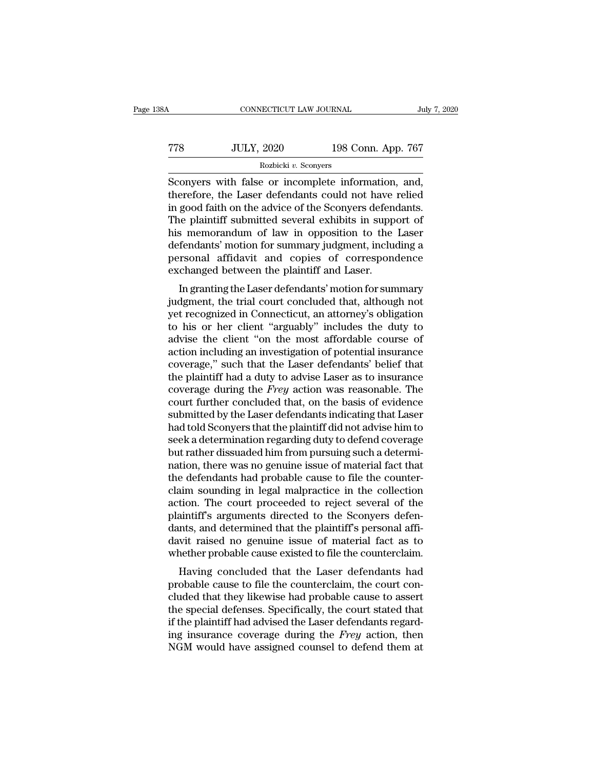### CONNECTICUT LAW JOURNAL July 7, 2020<br>
TT8 JULY, 2020 198 Conn. App. 767<br>
Rozbicki v. Sconyers Rozbicki *v.* Sconyers

CONNECTICUT LAW JOURNAL July 7, 2<br>
THE SCONY TROUGHT TO BE SCONING THE SCONGER SCONY<br>
SCONY TROUGHT TO BE SCONING TO BE SCONING TO BE SCONING TO BE SCONING THE SCONING TO BE SCONING TO BE SCONING TO BE SCONING TO BE SCONIN TT8 JULY, 2020 198 Conn. App. 767<br>Rozbicki v. Sconyers<br>Sconyers with false or incomplete information, and,<br>therefore, the Laser defendants could not have relied<br>in good faith on the advice of the Sconyers defendants.<br>The p TT8 JULY, 2020 198 Conn. App. 767<br>
Rozbicki v. Sconyers<br>
Sconyers with false or incomplete information, and,<br>
therefore, the Laser defendants could not have relied<br>
in good faith on the advice of the Sconyers defendants.<br> The Taurus Sconsetz and Tau<br>
The plaintiff submitted several exhibits in support of the plaintiff submitted several exhibits in support of<br>
the plaintiff submitted several exhibits in support of<br>
this memorandum of law in  $\frac{1}{100}$  Rozbicki v. Sconyers<br>Sconyers with false or incomplete information, and,<br>therefore, the Laser defendants could not have relied<br>in good faith on the advice of the Sconyers defendants.<br>The plaintiff submitted se  $\frac{\text{Kozbeck } v. \text{ Sooyers}}{\text{Sconyers with false or incomplete information, and, therefore, the Laser defendants could not have relied in good faith on the advice of the Sconyers defendants. The plaintiff submitted several exhibits in support of his memorandum of law in opposition to the Laser defendants' motion for summary judgment, including a personal affidavit and copies of correspondence exchanged between the plaintiff and User.$ Sconyers with false or incomplete information, and,<br>therefore, the Laser defendants could not have relied<br>in good faith on the advice of the Sconyers defendants.<br>The plaintiff submitted several exhibits in support of<br>his m therefore, the Laser defendants could not have<br>in good faith on the advice of the Sconyers defen<br>The plaintiff submitted several exhibits in supp<br>his memorandum of law in opposition to the<br>defendants' motion for summary ju good rath of the advice of the Sconyers defendants.<br>
ie plaintiff submitted several exhibits in support of<br>
s memorandum of law in opposition to the Laser<br>
fendants' motion for summary judgment, including a<br>
strained a res The plantificant subhidited several exhibits in support of<br>his memorandum of law in opposition to the Laser<br>defendants' motion for summary judgment, including a<br>personal affidavit and copies of correspondence<br>exchanged bet

Ins memorantum of faw in opposition to the Easer<br>defendants' motion for summary judgment, including a<br>personal affidavit and copies of correspondence<br>exchanged between the plaintiff and Laser.<br>In granting the Laser defenda defendants inotion for summary judgment, including a<br>personal affidavit and copies of correspondence<br>exchanged between the plaintiff and Laser.<br>In granting the Laser defendants' motion for summary<br>judgment, the trial court personar amuavit and copies of correspondence<br>exchanged between the plaintiff and Laser.<br>In granting the Laser defendants' motion for summary<br>judgment, the trial court concluded that, although not<br>yet recognized in Connect Exchanged between the plantum and Laser.<br>
In granting the Laser defendants' motion for summary<br>
judgment, the trial court concluded that, although not<br>
yet recognized in Connecticut, an attorney's obligation<br>
to his or her In granting the Laser defendants' motion for summary<br>judgment, the trial court concluded that, although not<br>yet recognized in Connecticut, an attorney's obligation<br>to his or her client "arguably" includes the duty to<br>advis judgment, the trial court concluded that, although not<br>yet recognized in Connecticut, an attorney's obligation<br>to his or her client "arguably" includes the duty to<br>advise the client "on the most affordable course of<br>action yet recognized in Connecticut, an attorney's obligation<br>to his or her client "arguably" includes the duty to<br>advise the client "on the most affordable course of<br>action including an investigation of potential insurance<br>cove to his or her client "arguably" includes the duty to<br>advise the client "on the most affordable course of<br>action including an investigation of potential insurance<br>coverage," such that the Laser defendants' belief that<br>the p advise the client "on the most affordable course of<br>action including an investigation of potential insurance<br>coverage," such that the Laser defendants' belief that<br>the plaintiff had a duty to advise Laser as to insurance<br>c action including an investigation of potential insurance<br>coverage," such that the Laser defendants' belief that<br>the plaintiff had a duty to advise Laser as to insurance<br>coverage during the *Frey* action was reasonable. The coverage," such that the Laser defendants' belief that<br>the plaintiff had a duty to advise Laser as to insurance<br>coverage during the *Frey* action was reasonable. The<br>court further concluded that, on the basis of evidence<br>s the plaintiff had a duty to advise Laser as to insurance<br>coverage during the *Frey* action was reasonable. The<br>court further concluded that, on the basis of evidence<br>submitted by the Laser defendants indicating that Laser<br> coverage during the *Frey* action was reasonable. The<br>court further concluded that, on the basis of evidence<br>submitted by the Laser defendants indicating that Laser<br>had told Sconyers that the plaintiff did not advise him t court further concluded that, on the basis of evidence<br>submitted by the Laser defendants indicating that Laser<br>had told Sconyers that the plaintiff did not advise him to<br>seek a determination regarding duty to defend covera submitted by the Laser defendants indicating that Laser<br>had told Sconyers that the plaintiff did not advise him to<br>seek a determination regarding duty to defend coverage<br>but rather dissuaded him from pursuing such a determ had told Sconyers that the plaintiff did not advise him to<br>seek a determination regarding duty to defend coverage<br>but rather dissuaded him from pursuing such a determi-<br>nation, there was no genuine issue of material fact t seek a determination regarding duty to defend coverage<br>but rather dissuaded him from pursuing such a determination, there was no genuine issue of material fact that<br>the defendants had probable cause to file the counter-<br>cl but rather dissuaded him from pursuing such a determination, there was no genuine issue of material fact that the defendants had probable cause to file the counterclaim sounding in legal malpractice in the collection actio nation, there was no genuine issue of material fact that<br>the defendants had probable cause to file the counter-<br>claim sounding in legal malpractice in the collection<br>action. The court proceeded to reject several of the<br>pla the defendants had probable cause to file the counter-<br>claim sounding in legal malpractice in the collection<br>action. The court proceeded to reject several of the<br>plaintiff's arguments directed to the Sconyers defen-<br>dants, and sounding in legal mappacuce in the conection<br>tion. The court proceeded to reject several of the<br>aintiff's arguments directed to the Sconyers defen-<br>nts, and determined that the plaintiff's personal affi-<br>wit raised no action. The court proceeded to reject several of the<br>plaintiff's arguments directed to the Sconyers defen-<br>dants, and determined that the plaintiff's personal affi-<br>davit raised no genuine issue of material fact as to<br>whet

plantin s arguments unected to the sconyers defendants, and determined that the plaintiff's personal affidavit raised no genuine issue of material fact as to whether probable cause existed to file the counterclaim.<br>Having the specifically, the court stated that<br>the probable cause existed to file the counterclaim.<br>Having concluded that the Laser defendants had<br>probable cause to file the counterclaim, the court con-<br>cluded that they likewise whether probable cause existed to file the counterclaim.<br>
Having concluded that the Laser defendants had<br>
probable cause to file the counterclaim, the court con-<br>
cluded that they likewise had probable cause to assert<br>
the Frequency in the United Counterclaint.<br>Having concluded that the Laser defendants had<br>probable cause to file the counterclaim, the court con-<br>cluded that they likewise had probable cause to assert<br>the special defenses. Spe Having concluded that the Laser defendants had probable cause to file the counterclaim, the court concluded that they likewise had probable cause to assert the special defenses. Specifically, the court stated that if the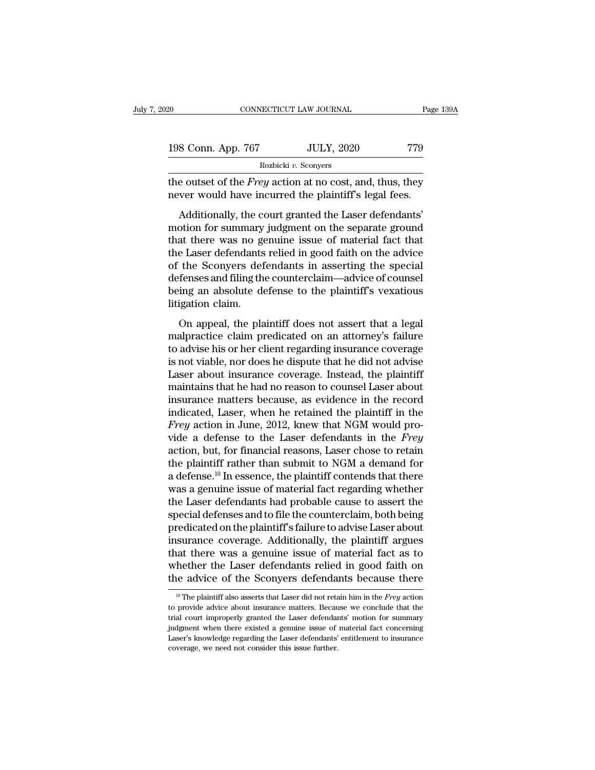| 20<br>CONNECTICUT LAW JOURNAL<br><b>JULY, 2020</b><br>198 Conn. App. 767                                                  |           |
|---------------------------------------------------------------------------------------------------------------------------|-----------|
|                                                                                                                           | Page 139A |
|                                                                                                                           |           |
|                                                                                                                           | 779       |
| Rozbicki v. Sconyers                                                                                                      |           |
| the outset of the <i>Frey</i> action at no cost, and, thus, they<br>never would have incurred the plaintiff's legal fees. |           |
| Additionally, the court granted the Laser defendants'                                                                     |           |
| motion for summary judgment on the separate ground<br>that there weg no conving igns of material fact that                |           |

198 Conn. App. 767 JULY, 2020 779<br>
Rozbicki v. Sconyers<br>
the outset of the *Frey* action at no cost, and, thus, they<br>
never would have incurred the plaintiff's legal fees.<br>
Additionally, the court granted the Laser defend Rozbicki v. Sconyers<br>the outset of the *Frey* action at no cost, and, thus, they<br>never would have incurred the plaintiff's legal fees.<br>Additionally, the court granted the Laser defendants'<br>motion for summary judgment on t the outset of the *Frey* action at no cost, and, thus, they<br>never would have incurred the plaintiff's legal fees.<br>Additionally, the court granted the Laser defendants'<br>motion for summary judgment on the separate ground<br>tha are bases of the *Frog* action at no cost, and, and, and, and<br>never would have incurred the plaintiff's legal fees.<br>Additionally, the court granted the Laser defendants'<br>motion for summary judgment on the separate ground<br>t Additionally, the court granted the Laser defendants'<br>motion for summary judgment on the separate ground<br>that there was no genuine issue of material fact that<br>the Laser defendants relied in good faith on the advice<br>of the Additionally, the court granted the Laser defendants'<br>motion for summary judgment on the separate ground<br>that there was no genuine issue of material fact that<br>the Laser defendants relied in good faith on the advice<br>of the motion for summary<br>that there was no ge<br>the Laser defendants<br>of the Sconyers def<br>defenses and filing th<br>being an absolute de<br>litigation claim.<br>On appeal, the pla Example 18 and a left that a legal algorithm and the Sconyers defendants in asserting the special fenses and filing the counterclaim—advice of counsel<br>ing an absolute defense to the plaintiff's vexatious igation claim.<br>On and the Sconyers defendants in asserting the special<br>defenses and filing the counterclaim—advice of counsel<br>being an absolute defense to the plaintiff's vexatious<br>litigation claim.<br>On appeal, the plaintiff does not assert

or are seen, ers detendants in asserting the special<br>defenses and filing the counterclaim—advice of counsel<br>being an absolute defense to the plaintiff's vexatious<br>litigation claim.<br>On appeal, the plaintiff does not assert determises and ring are coancered and advice of coaliser<br>being an absolute defense to the plaintiff's vexatious<br>litigation claim.<br>On appeal, the plaintiff does not assert that a legal<br>malpractice claim predicated on an att Laser about the plaintiff does not assert that a legal<br>malpractice claim predicated on an attorney's failure<br>to advise his or her client regarding insurance coverage<br>is not viable, nor does he dispute that he did not advis magazion claim.<br>
On appeal, the plaintiff does not assert that a legal<br>
malpractice claim predicated on an attorney's failure<br>
to advise his or her client regarding insurance coverage<br>
is not viable, nor does he dispute th On appeal, the plaintiff does not assert that a legal<br>malpractice claim predicated on an attorney's failure<br>to advise his or her client regarding insurance coverage<br>is not viable, nor does he dispute that he did not advis malpractice claim predicated on an attorney's failure<br>to advise his or her client regarding insurance coverage<br>is not viable, nor does he dispute that he did not advise<br>Laser about insurance coverage. Instead, the plaintif to advise his or her client regarding insurance coverage<br>is not viable, nor does he dispute that he did not advise<br>Laser about insurance coverage. Instead, the plaintiff<br>maintains that he had no reason to counsel Laser abo is not viable, nor does he dispute that he did not advise<br>Laser about insurance coverage. Instead, the plaintiff<br>maintains that he had no reason to counsel Laser about<br>insurance matters because, as evidence in the record<br>i Laser about insurance coverage. Instead, the plaintiff<br>maintains that he had no reason to counsel Laser about<br>insurance matters because, as evidence in the record<br>indicated, Laser, when he retained the plaintiff in the<br>*F* maintains that he had no reason to counsel Laser about<br>insurance matters because, as evidence in the record<br>indicated, Laser, when he retained the plaintiff in the<br> $Frey$  action in June, 2012, knew that NGM would pro-<br>vide insurance matters because, as evidence in the record<br>indicated, Laser, when he retained the plaintiff in the<br>*Frey* action in June, 2012, knew that NGM would pro-<br>vide a defense to the Laser defendants in the *Frey*<br>actio indicated, Laser, when he retained the plaintiff in the *Frey* action in June, 2012, knew that NGM would provide a defense to the Laser defendants in the *Frey* action, but, for financial reasons, Laser chose to retain th *Frey* action in June, 2012, knew that NGM would provide a defense to the Laser defendants in the *Frey* action, but, for financial reasons, Laser chose to retain the plaintiff rather than submit to NGM a demand for a defe vide a defense to the Laser defendants in the *Frey*<br>action, but, for financial reasons, Laser chose to retain<br>the plaintiff rather than submit to NGM a demand for<br>a defense.<sup>10</sup> In essence, the plaintiff contends that th action, but, for financial reasons, Laser chose to retain<br>the plaintiff rather than submit to NGM a demand for<br>a defense.<sup>10</sup> In essence, the plaintiff contends that there<br>was a genuine issue of material fact regarding whe the plaintiff rather than submit to NGM a demand for<br>a defense.<sup>10</sup> In essence, the plaintiff contends that there<br>was a genuine issue of material fact regarding whether<br>the Laser defendants had probable cause to assert the a defense.<sup>10</sup> In essence, the plaintiff contends that there was a genuine issue of material fact regarding whether the Laser defendants had probable cause to assert the special defenses and to file the counterclaim, both was a genuine issue of material fact regarding whether<br>the Laser defendants had probable cause to assert the<br>special defenses and to file the counterclaim, both being<br>predicated on the plaintiff's failure to advise Laser a the Laser defendants had probable cause to assert the special defenses and to file the counterclaim, both being predicated on the plaintiff's failure to advise Laser about insurance coverage. Additionally, the plaintiff a surance coverage. Additionally, the plaintiff argues<br>aat there was a genuine issue of material fact as to<br>hether the Laser defendants relied in good faith on<br>le advice of the Sconyers defendants because there<br><sup>10</sup> The plai that there was a genuine issue of material fact as to whether the Laser defendants relied in good faith on the advice of the Sconyers defendants because there  $\frac{10 \text{ T}}{10 \text{ T}}$  The plaintiff also asserts that Laser did

whether the Laser defendants relied in good faith on<br>the advice of the Sconyers defendants because there<br> $\frac{10 \text{ T}}{10 \text{ T}}$  The plaintiff also asserts that Laser did not retain him in the *Frey* action<br>to provide advice the advice of the Sconyers defendants because there<br>  $\frac{10}{10}$  The plaintiff also asserts that Laser did not retain him in the *Frey* action<br>
to provide advice about insurance matters. Because we conclude that the<br>
tria <sup>10</sup> The plaintiff also asserts that Laser did not retain him in the *Frey* action<br>to provide advice about insurance matters. Because we conclude that the<br>trial court improperly granted the Laser defendants' motion for sum <sup>10</sup> The plaintiff also asserts that Laser did not ret<br>to provide advice about insurance matters. Becausing the laser defendant<br>judgment when there existed a genuine issue of<br>Laser's knowledge regarding the Laser defendan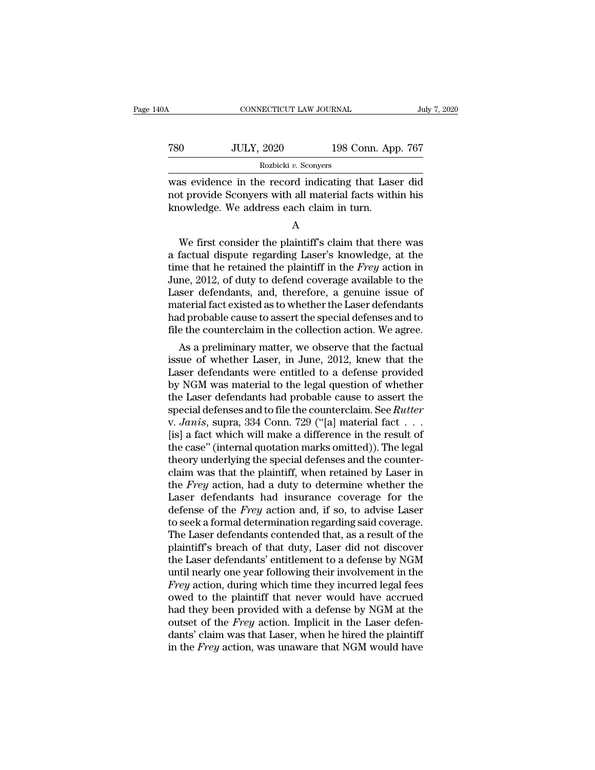| 40A | CONNECTICUT LAW JOURNAL |                    | July 7, 2020 |  |
|-----|-------------------------|--------------------|--------------|--|
| 780 | <b>JULY, 2020</b>       | 198 Conn. App. 767 |              |  |
|     | Rozbicki v. Sconyers    |                    |              |  |

CONNECTICUT LAW JOURNAL July 7, 2020<br>
TROUGHT TELLY, 2020 198 Conn. App. 767<br>
Rozbicki v. Sconyers<br>
Was evidence in the record indicating that Laser did<br>
not provide Sconyers with all material facts within his<br>
knowledge W not reaches the sconyers was evidence in the record indicating that Laser did not provide Sconyers with all material facts within his knowledge. We address each claim in turn. knowledge. We address each claim in turn. Rozbicki v. Sconyers<br>
as evidence in the record indicating that Laser did<br>
t provide Sconyers with all material facts within his<br>
invested claim in turn.<br>
A<br>
We first consider the plaintiff's claim that there was<br>
factual

A

was evidence in the record indicating that Laser did<br>not provide Sconyers with all material facts within his<br>knowledge. We address each claim in turn.<br> $A$ <br>We first consider the plaintiff's claim that there was<br>a factual d not provide Sconyers with all material facts within his<br>
knowledge. We address each claim in turn.<br>
A<br>
We first consider the plaintiff's claim that there was<br>
a factual dispute regarding Laser's knowledge, at the<br>
time tha knowledge. We address each claim in turn.<br>
A<br>
We first consider the plaintiff's claim that there was<br>
a factual dispute regarding Laser's knowledge, at the<br>
time that he retained the plaintiff in the *Frey* action in<br>
June A<br>
We first consider the plaintiff's claim that there was<br>
a factual dispute regarding Laser's knowledge, at the<br>
time that he retained the plaintiff in the *Frey* action in<br>
June, 2012, of duty to defend coverage availabl A<br>We first consider the plaintiff's claim that there was<br>a factual dispute regarding Laser's knowledge, at the<br>time that he retained the plaintiff in the *Frey* action in<br>June, 2012, of duty to defend coverage available to We first consider the plaintiff's claim that there was<br>a factual dispute regarding Laser's knowledge, at the<br>time that he retained the plaintiff in the *Frey* action in<br>June, 2012, of duty to defend coverage available to t a factual dispute regarding Laser's knowledge, at the<br>time that he retained the plaintiff in the *Frey* action in<br>June, 2012, of duty to defend coverage available to the<br>Laser defendants, and, therefore, a genuine issue of me that he retained the plaintiff in the *Frey* action in<br>me, 2012, of duty to defend coverage available to the<br>ser defendants, and, therefore, a genuine issue of<br>aterial fact existed as to whether the Laser defendants<br>d p June, 2012, or duty to detend coverage available to the<br>Laser defendants, and, therefore, a genuine issue of<br>material fact existed as to whether the Laser defendants<br>had probable cause to assert the special defenses and to

Laser defendants, and, therefore, a genuine issue of<br>material fact existed as to whether the Laser defendants<br>had probable cause to assert the special defenses and to<br>file the counterclaim in the collection action. We agre material ract existed as to whether the Laser detendants<br>had probable cause to assert the special defenses and to<br>file the counterclaim in the collection action. We agree.<br>As a preliminary matter, we observe that the fact rad probable cause to assert the special defenses and to<br>file the counterclaim in the collection action. We agree.<br>As a preliminary matter, we observe that the factual<br>issue of whether Laser, in June, 2012, knew that the<br>L nie the counterciain in the collection action. We agree.<br>As a preliminary matter, we observe that the factual<br>issue of whether Laser, in June, 2012, knew that the<br>Laser defendants were entitled to a defense provided<br>by NGM As a preliminary matter, we observe that the factual<br>issue of whether Laser, in June, 2012, knew that the<br>Laser defendants were entitled to a defense provided<br>by NGM was material to the legal question of whether<br>the Laser issue of whether Laser, in June, 2012, knew that the Laser defendants were entitled to a defense provided by NGM was material to the legal question of whether the Laser defendants had probable cause to assert the special Laser defendants were entitled to a defense provided<br>by NGM was material to the legal question of whether<br>the Laser defendants had probable cause to assert the<br>special defenses and to file the counterclaim. See *Rutter*<br>v by NGM was material to the legal question of whether<br>the Laser defendants had probable cause to assert the<br>special defenses and to file the counterclaim. See *Rutter*<br>v. Janis, supra, 334 Conn. 729 ("[a] material fact . . the Laser defendants had probable cause to assert the special defenses and to file the counterclaim. See *Rutter* v. *Janis*, supra, 334 Conn. 729 ("[a] material fact  $\dots$  [is] a fact which will make a difference in the r special defenses and to file the counterclaim. See *Rutter*<br>v. Janis, supra, 334 Conn. 729 ("[a] material fact . . .<br>[is] a fact which will make a difference in the result of<br>the case" (internal quotation marks omitted)). v. Janis, supra, 334 Conn. 729 ("[a] material fact  $\ldots$  is] a fact which will make a difference in the result of the case" (internal quotation marks omitted)). The legal theory underlying the special defenses and the cou [is] a fact which will make a difference in the result of<br>the case" (internal quotation marks omitted)). The legal<br>theory underlying the special defenses and the counter-<br>claim was that the plaintiff, when retained by Lase the case" (internal quotation marks omitted)). The legal<br>theory underlying the special defenses and the counter-<br>claim was that the plaintiff, when retained by Laser in<br>the *Frey* action, had a duty to determine whether th theory underlying the special defenses and the counter-<br>claim was that the plaintiff, when retained by Laser in<br>the *Frey* action, had a duty to determine whether the<br>Laser defendants had insurance coverage for the<br>defense claim was that the plaintiff, when retained by Laser in<br>the *Frey* action, had a duty to determine whether the<br>Laser defendants had insurance coverage for the<br>defense of the *Frey* action and, if so, to advise Laser<br>to see the *Frey* action, had a duty to determine whether the Laser defendants had insurance coverage for the defense of the *Frey* action and, if so, to advise Laser to seek a formal determination regarding said coverage. The La Laser defendants had insurance coverage for the<br>defense of the *Frey* action and, if so, to advise Laser<br>to seek a formal determination regarding said coverage.<br>The Laser defendants contended that, as a result of the<br>plain defense of the *Frey* action and, if so, to advise Laser<br>to seek a formal determination regarding said coverage.<br>The Laser defendants contended that, as a result of the<br>plaintiff's breach of that duty, Laser did not discov to seek a formal determination regarding said coverage.<br>The Laser defendants contended that, as a result of the<br>plaintiff's breach of that duty, Laser did not discover<br>the Laser defendants' entitlement to a defense by NGM<br> The Laser defendants contended that, as a result of the plaintiff's breach of that duty, Laser did not discover the Laser defendants' entitlement to a defense by NGM until nearly one year following their involvement in the plaintiff's breach of that duty, Laser did not discover<br>the Laser defendants' entitlement to a defense by NGM<br>until nearly one year following their involvement in the<br>*Frey* action, during which time they incurred legal fe the Laser defendants' entitlement to a defense by NGM<br>until nearly one year following their involvement in the<br>*Frey* action, during which time they incurred legal fees<br>owed to the plaintiff that never would have accrued<br>h until nearly one year following their involvement in the *Frey* action, during which time they incurred legal fees owed to the plaintiff that never would have accrued had they been provided with a defense by NGM at the out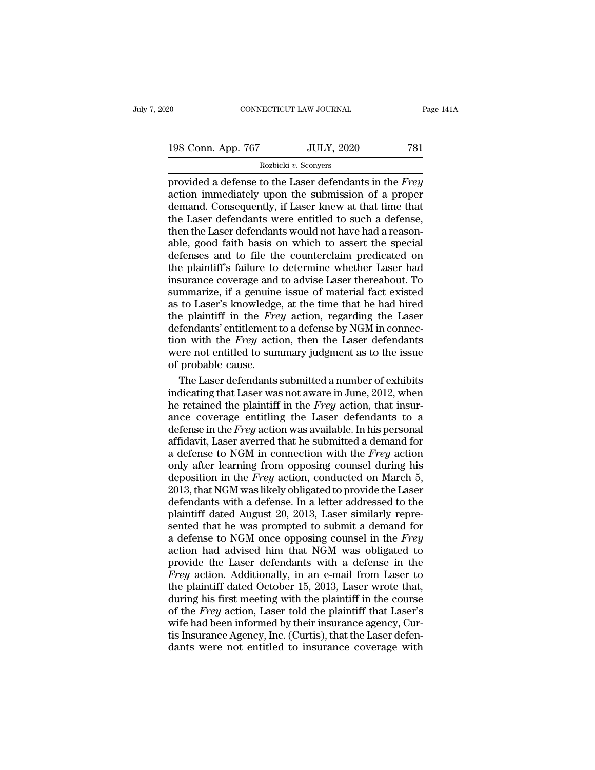EXECUTE CONNECTICUT LAW JOURNAL Page 141A<br>198 Conn. App. 767 JULY, 2020 781<br>Rozbicki v. Sconyers

Rozbicki *v.* Sconyers

Provided a defense to the Laser defendants in the *Frey*<br>defined a defense to the Laser defendants in the *Frey*<br>action immediately upon the submission of a proper<br>demand Consequently if Laser know at that time that 198 Conn. App. 767 JULY, 2020 781<br>Rozbicki v. Sconyers<br>provided a defense to the Laser defendants in the *Frey*<br>action immediately upon the submission of a proper<br>demand. Consequently, if Laser knew at that time that<br>the 198 Conn. App. 767 JULY, 2020 781<br>
Rozbicki v. Sconyers<br>
provided a defense to the Laser defendants in the *Frey*<br>
action immediately upon the submission of a proper<br>
demand. Consequently, if Laser knew at that time that<br> 198 Conn. App. 767 JULY, 2020 781<br>
Rozbicki v. Sconyers<br>
provided a defense to the Laser defendants in the *Frey*<br>
action immediately upon the submission of a proper<br>
demand. Consequently, if Laser knew at that time that<br> For the Bosticki v. Sconvers<br>
For the Laser defendants in the Frey<br>
action immediately upon the submission of a proper<br>
demand. Consequently, if Laser knew at that time that<br>
the Laser defendants were entitled to such a d Rozbicki v. Sconyers<br>provided a defense to the Laser defendants in the Frey<br>action immediately upon the submission of a proper<br>demand. Consequently, if Laser knew at that time that<br>the Laser defendants were entitled to su provided a defense to the Laser defendants in the *Frey*<br>action immediately upon the submission of a proper<br>demand. Consequently, if Laser knew at that time that<br>the Laser defendants were entitled to such a defense,<br>then t Example 1 and a proper demand. Consequently, if Laser knew at that time that<br>the Laser defendants were entitled to such a defense,<br>then the Laser defendants would not have had a reason-<br>able, good faith basis on which to a demand. Consequently, if Laser knew at that time that<br>the Laser defendants were entitled to such a defense,<br>then the Laser defendants would not have had a reason-<br>able, good faith basis on which to assert the special<br>defen the Laser defendants were entitled to such a defense,<br>then the Laser defendants would not have had a reason-<br>able, good faith basis on which to assert the special<br>defenses and to file the counterclaim predicated on<br>the pla then the Laser defendants would not have had a reasonable, good faith basis on which to assert the special<br>defenses and to file the counterclaim predicated on<br>the plaintiff's failure to determine whether Laser had<br>insuranc able, good faith basis on which to assert the special<br>defenses and to file the counterclaim predicated on<br>the plaintiff's failure to determine whether Laser had<br>insurance coverage and to advise Laser thereabout. To<br>summari defenses and to file the counterclaim predicated on<br>the plaintiff's failure to determine whether Laser had<br>insurance coverage and to advise Laser thereabout. To<br>summarize, if a genuine issue of material fact existed<br>as to the plaintiff's failure to determine whether Laser had<br>insurance coverage and to advise Laser thereabout. To<br>summarize, if a genuine issue of material fact existed<br>as to Laser's knowledge, at the time that he had hired<br>the insurance coverage and to advise Laser thereabout. To<br>summarize, if a genuine issue of material fact existed<br>as to Laser's knowledge, at the time that he had hired<br>the plaintiff in the *Frey* action, regarding the Laser<br>d summarize, if a genuine<br>as to Laser's knowledge<br>the plaintiff in the  $Free$ <br>defendants' entitlement<br>tion with the  $Free$  acti<br>were not entitled to sun<br>of probable cause.<br>The Laser defendants to Laser's knowledge, at the time that he had hired<br>e plaintiff in the *Frey* action, regarding the Laser<br>fendants' entitlement to a defense by NGM in connec-<br>on with the *Frey* action, then the Laser defendants<br>per not e the plaintiff in the *Frey* action, regarding the Laser<br>defendants' entitlement to a defense by NGM in connec-<br>tion with the *Frey* action, then the Laser defendants<br>were not entitled to summary judgment as to the issue<br>o

defendants' entitlement to a defense by NGM in connection with the *Frey* action, then the Laser defendants<br>were not entitled to summary judgment as to the issue<br>of probable cause.<br>The Laser defendants submitted a number o tion with the *Frey* action, then the Laser defendants<br>were not entitled to summary judgment as to the issue<br>of probable cause.<br>The Laser defendants submitted a number of exhibits<br>indicating that Laser was not aware in Ju were not entitled to summary judgment as to the issue<br>of probable cause.<br>The Laser defendants submitted a number of exhibits<br>indicating that Laser was not aware in June, 2012, when<br>he retained the plaintiff in the *Frey* a of probable cause.<br>
The Laser defendants submitted a number of exhibits<br>
indicating that Laser was not aware in June, 2012, when<br>
he retained the plaintiff in the *Frey* action, that insur-<br>
ance coverage entitling the La The Laser defendants submitted a number of exhibits<br>indicating that Laser was not aware in June, 2012, when<br>he retained the plaintiff in the *Frey* action, that insur-<br>ance coverage entitling the Laser defendants to a<br>def indicating that Laser was not aware in June, 2012, when<br>he retained the plaintiff in the *Frey* action, that insur-<br>ance coverage entitling the Laser defendants to a<br>defense in the *Frey* action was available. In his pers he retained the plaintiff in the *Frey* action, that insurance coverage entitling the Laser defendants to a defense in the *Frey* action was available. In his personal affidavit, Laser averred that he submitted a demand fo ance coverage entitling the Laser defendants to a<br>defense in the *Frey* action was available. In his personal<br>affidavit, Laser averred that he submitted a demand for<br>a defense to NGM in connection with the *Frey* action<br>o defense in the *Frey* action was available. In his personal affidavit, Laser averred that he submitted a demand for a defense to NGM in connection with the *Frey* action only after learning from opposing counsel during his affidavit, Laser averred that he submitted a demand for<br>a defense to NGM in connection with the *Frey* action<br>only after learning from opposing counsel during his<br>deposition in the *Frey* action, conducted on March 5,<br>2013 a defense to NGM in connection with the *Frey* action<br>only after learning from opposing counsel during his<br>deposition in the *Frey* action, conducted on March 5,<br>2013, that NGM was likely obligated to provide the Laser<br>def only after learning from opposing counsel during his<br>deposition in the *Frey* action, conducted on March 5,<br>2013, that NGM was likely obligated to provide the Laser<br>defendants with a defense. In a letter addressed to the<br>p deposition in the *Frey* action, conducted on March 5, 2013, that NGM was likely obligated to provide the Laser<br>defendants with a defense. In a letter addressed to the<br>plaintiff dated August 20, 2013, Laser similarly repr 2013, that NGM was likely obligated to provide the Laser<br>defendants with a defense. In a letter addressed to the<br>plaintiff dated August 20, 2013, Laser similarly repre-<br>sented that he was prompted to submit a demand for<br>a defendants with a defense. In a letter addressed to the plaintiff dated August 20, 2013, Laser similarly represented that he was prompted to submit a demand for a defense to NGM once opposing counsel in the *Frey* action h plaintiff dated August 20, 2013, Laser similarly represented that he was prompted to submit a demand for<br>a defense to NGM once opposing counsel in the *Frey*<br>action had advised him that NGM was obligated to<br>provide the Las sented that he was prompted to submit a demand for<br>a defense to NGM once opposing counsel in the *Frey*<br>action had advised him that NGM was obligated to<br>provide the Laser defendants with a defense in the<br>*Frey* action. Ad a defense to NGM once opposing counsel in the *Frey*<br>action had advised him that NGM was obligated to<br>provide the Laser defendants with a defense in the<br>*Frey* action. Additionally, in an e-mail from Laser to<br>the plaintiff action had advised him that NGM was obligated to<br>provide the Laser defendants with a defense in the<br>*Frey* action. Additionally, in an e-mail from Laser to<br>the plaintiff dated October 15, 2013, Laser wrote that,<br>during hi provide the Laser defendants with a defense in the *Frey* action. Additionally, in an e-mail from Laser to the plaintiff dated October 15, 2013, Laser wrote that, during his first meeting with the plaintiff in the course o *Frey* action. Additionally, in an e-mail from Laser to the plaintiff dated October 15, 2013, Laser wrote that, during his first meeting with the plaintiff in the course of the *Frey* action, Laser told the plaintiff that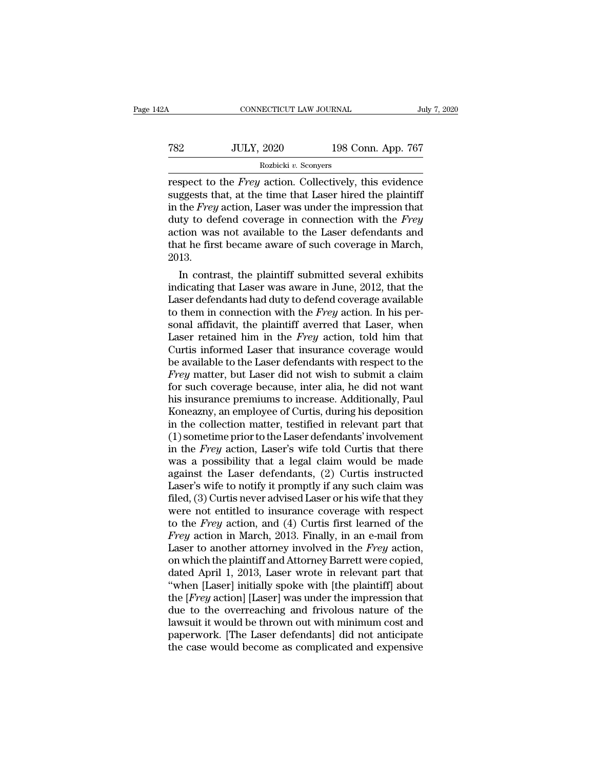|     | CONNECTICUT LAW JOURNAL |                    | July 7, 2020 |  |
|-----|-------------------------|--------------------|--------------|--|
|     |                         |                    |              |  |
| 782 | <b>JULY, 2020</b>       | 198 Conn. App. 767 |              |  |
|     | Rozbicki v. Sconyers    |                    |              |  |

respect to the *Frey* action. Collectively, this evidence<br>
respect to the *Frey* action. Collectively, this evidence<br>
respect to the *Frey* action. Collectively, this evidence<br>
suggests that, at the time that Laser hired t  $\begin{array}{lll}\n\text{3.3}\quad & \text{JULY, 2020} & \text{198 Conn. App. 767} \\
\hline\n& \text{Rozbicki } v. \text{ Sconyers} \\
\text{respect to the } \text{Frey action. Collectively, this evidence} \\
\text{suggests that, at the time that Laser hired the plaintiff} \\
\text{in the } \text{Frey action, Laser was under the impression that} \\
\text{duty to defend coverage in connection with the } \text{Fyz21} \\
\end{array}$ T82 JULY, 2020 198 Conn. App. 767<br>
Rozbicki v. Sconyers<br>
respect to the *Frey* action. Collectively, this evidence<br>
suggests that, at the time that Laser hired the plaintiff<br>
in the *Frey* action, Laser was under the impre duty, 2020 198 Conn. App. 767<br>
Rozbicki v. Sconyers<br>
respect to the *Frey* action. Collectively, this evidence<br>
suggests that, at the time that Laser hired the plaintiff<br>
in the *Frey* action, Laser was under the impressio Rozbicki v. Sconyers<br>
Rozbicki v. Sconyers<br>
respect to the *Frey* action. Collectively, this evidence<br>
suggests that, at the time that Laser hired the plaintiff<br>
in the *Frey* action, Laser was under the impression that<br> Rozbicki v. Sconyers<br>respect to the *Frey* action. Collectively, this evidence<br>suggests that, at the time that Laser hired the plaintiff<br>in the *Frey* action, Laser was under the impression that<br>duty to defend coverage in 2013. ggests that, at the time that Laser fured the plaintiff<br>the *Frey* action, Laser was under the impression that<br>ty to defend coverage in connection with the *Frey*<br>tion was not available to the Laser defendants and<br>at he fi in the *Frey* action, Laser was under the impression that<br>duty to defend coverage in connection with the *Frey*<br>action was not available to the Laser defendants and<br>that he first became aware of such coverage in March,<br>20

duty to defend coverage in connection with the *Frey*<br>action was not available to the Laser defendants and<br>that he first became aware of such coverage in March,<br>2013.<br>In contrast, the plaintiff submitted several exhibits<br>i action was not available to the Laser defendants and<br>that he first became aware of such coverage in March,<br>2013.<br>In contrast, the plaintiff submitted several exhibits<br>indicating that Laser was aware in June, 2012, that the that he first became aware of such coverage in march,<br>2013.<br>In contrast, the plaintiff submitted several exhibits<br>indicating that Laser was aware in June, 2012, that the<br>Laser defendants had duty to defend coverage availa 2013.<br>In contrast, the plaintiff submitted several exhibits<br>indicating that Laser was aware in June, 2012, that the<br>Laser defendants had duty to defend coverage available<br>to them in connection with the *Frey* action. In hi In contrast, the plaintiff submitted several exhibits<br>indicating that Laser was aware in June, 2012, that the<br>Laser defendants had duty to defend coverage available<br>to them in connection with the *Frey* action. In his per indicating that Laser was aware in June, 2012, that the Laser defendants had duty to defend coverage available<br>to them in connection with the *Frey* action. In his personal affidavit, the plaintiff averred that Laser, when Laser defendants had duty to defend coverage available<br>to them in connection with the *Frey* action. In his per-<br>sonal affidavit, the plaintiff averred that Laser, when<br>Laser retained him in the *Frey* action, told him tha to them in connection with the *Frey* action. In his personal affidavit, the plaintiff averred that Laser, when<br>Laser retained him in the *Frey* action, told him that<br>Curtis informed Laser that insurance coverage would<br>be sonal affidavit, the plaintiff averred that Laser, when<br>Laser retained him in the *Frey* action, told him that<br>Curtis informed Laser that insurance coverage would<br>be available to the Laser defendants with respect to the<br>*F* Laser retained him in the *Frey* action, told him that<br>Curtis informed Laser that insurance coverage would<br>be available to the Laser defendants with respect to the<br>*Frey* matter, but Laser did not wish to submit a claim<br>f Curtis informed Laser that insurance coverage would<br>be available to the Laser defendants with respect to the<br>*Frey* matter, but Laser did not wish to submit a claim<br>for such coverage because, inter alia, he did not want<br>hi be available to the Laser defendants with respect to the *Frey* matter, but Laser did not wish to submit a claim for such coverage because, inter alia, he did not want his insurance premiums to increase. Additionally, Paul *Frey* matter, but Laser did not wish to submit a claim<br>for such coverage because, inter alia, he did not want<br>his insurance premiums to increase. Additionally, Paul<br>Koneazny, an employee of Curtis, during his deposition<br>i for such coverage because, inter alia, he did not want<br>his insurance premiums to increase. Additionally, Paul<br>Koneazny, an employee of Curtis, during his deposition<br>in the collection matter, testified in relevant part that his insurance premiums to increase. Additionally, Paul<br>Koneazny, an employee of Curtis, during his deposition<br>in the collection matter, testified in relevant part that<br>(1) sometime prior to the Laser defendants' involvemen Koneazny, an employee of Curtis, during his deposition<br>in the collection matter, testified in relevant part that<br>(1) sometime prior to the Laser defendants' involvement<br>in the *Frey* action, Laser's wife told Curtis that in the collection matter, testified in relevant part that (1) sometime prior to the Laser defendants' involvement<br>in the *Frey* action, Laser's wife told Curtis that there<br>was a possibility that a legal claim would be mad (1) sometime prior to the Laser defendants' involvement<br>in the *Frey* action, Laser's wife told Curtis that there<br>was a possibility that a legal claim would be made<br>against the Laser defendants, (2) Curtis instructed<br>Lase in the *Frey* action, Laser's wife told Curtis that there<br>was a possibility that a legal claim would be made<br>against the Laser defendants, (2) Curtis instructed<br>Laser's wife to notify it promptly if any such claim was<br>file *Frey* action is a head in would be made against the Laser defendants, (2) Curtis instructed Laser's wife to notify it promptly if any such claim was filed, (3) Curtis never advised Laser or his wife that they were not ent against the Laser defendants, (2) Curtis instructed<br>Laser's wife to notify it promptly if any such claim was<br>filed, (3) Curtis never advised Laser or his wife that they<br>were not entitled to insurance coverage with respect<br> Laser's wife to notify it promptly if any such claim was<br>filed, (3) Curtis never advised Laser or his wife that they<br>were not entitled to insurance coverage with respect<br>to the *Frey* action, and (4) Curtis first learned filed, (3) Curtis never advised Laser or his wife that they<br>were not entitled to insurance coverage with respect<br>to the *Frey* action, and (4) Curtis first learned of the<br>*Frey* action in March, 2013. Finally, in an e-mail were not entitled to insurance coverage with respect<br>to the *Frey* action, and (4) Curtis first learned of the<br>*Frey* action in March, 2013. Finally, in an e-mail from<br>Laser to another attorney involved in the *Frey* actio to the *Frey* action, and (4) Curtis first learned of the *Frey* action in March, 2013. Finally, in an e-mail from Laser to another attorney involved in the *Frey* action, on which the plaintiff and Attorney Barrett were c *Frey* action in March, 2013. Finally, in an e-mail from Laser to another attorney involved in the *Frey* action, on which the plaintiff and Attorney Barrett were copied, dated April 1, 2013, Laser wrote in relevant part t Laser to another attorney involved in the *Frey* action,<br>on which the plaintiff and Attorney Barrett were copied,<br>dated April 1, 2013, Laser wrote in relevant part that<br>"when [Laser] initially spoke with [the plaintiff] ab on which the plaintiff and Attorney Barrett were copied,<br>dated April 1, 2013, Laser wrote in relevant part that<br>"when [Laser] initially spoke with [the plaintiff] about<br>the [*Frey* action] [Laser] was under the impression dated April 1, 2013, Laser wrote in relevant part that<br>"when [Laser] initially spoke with [the plaintiff] about<br>the [*Frey* action] [Laser] was under the impression that<br>due to the overreaching and frivolous nature of the<br>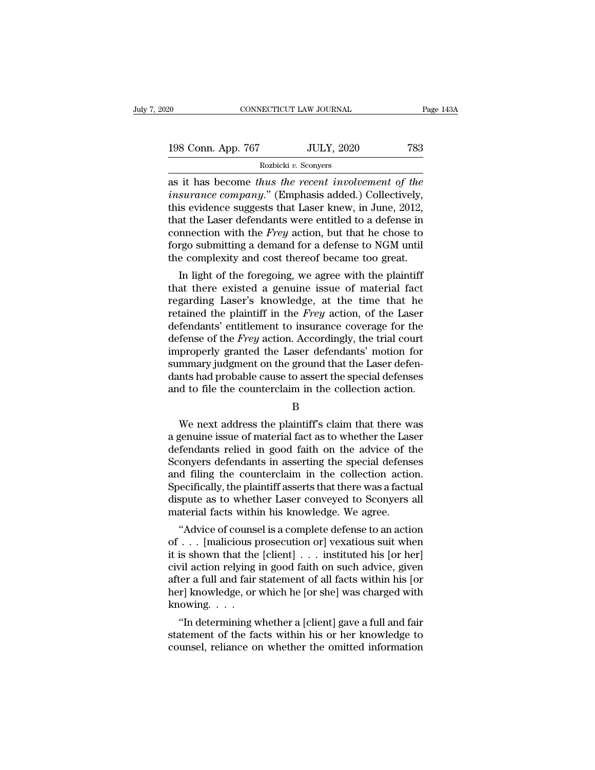EXECUTE CONNECTICUT LAW JOURNAL Page 143A<br>198 Conn. App. 767 JULY, 2020 783<br>Rozbicki v. Sconyers

Rozbicki *v.* Sconyers

connectricut LAW JOURNAL Page 143A<br>
198 Conn. App. 767 JULY, 2020 783<br>
Rozbicki v. Sconyers<br>
as it has become *thus the recent involvement of the*<br> *insurance company.*" (Emphasis added.) Collectively,<br>
this oridones sugge **198 Conn. App. 767** JULY, 2020 783<br> *Rozbicki v. Sconyers*<br> **as it has become thus the recent involvement of the insurance company.'' (Emphasis added.) Collectively, this evidence suggests that Laser knew, in June, 2012** 198 Conn. App. 767 JULY, 2020 783<br>
Rozbicki v. Sconyers<br>
as it has become thus the recent involvement of the<br>
insurance company." (Emphasis added.) Collectively,<br>
this evidence suggests that Laser knew, in June, 2012,<br>
th 198 Conn. App. 767 JULY, 2020 783<br>
Rozbicki v. Sconyers<br>
as it has become thus the recent involvement of the<br>
insurance company." (Emphasis added.) Collectively,<br>
this evidence suggests that Laser knew, in June, 2012,<br>
th Rozbicki v. Sconyers<br>
as it has become thus the *recent involvement of the*<br>
insurance company." (Emphasis added.) Collectively,<br>
this evidence suggests that Laser knew, in June, 2012,<br>
that the Laser defendants were entit For a demand for a defendant submitting in surface in the submitting in surface company." (Emphasis added.) Collectively, this evidence suggests that Laser knew, in June, 2012, that the Laser defendants were entitled to a as it has become *thus the recent involvement of the*<br>*insurance company.*" (Emphasis added.) Collectively,<br>this evidence suggests that Laser knew, in June, 2012,<br>that the Laser defendants were entitled to a defense in<br>co Surance company. (Emphasis added.) Conectively,<br>is evidence suggests that Laser knew, in June, 2012,<br>at the Laser defendants were entitled to a defense in<br>mnection with the *Frey* action, but that he chose to<br>rgo submittin that the Laser defendants were entitled to a defense in<br>connection with the *Frey* action, but that he chose to<br>forgo submitting a demand for a defense to NGM until<br>the complexity and cost thereof became too great.<br>In lig

regarding the Frey action, but that he chose to<br>forgo submitting a demand for a defense to NGM until<br>the complexity and cost thereof became too great.<br>In light of the foregoing, we agree with the plaintiff<br>that there exist connection with the *Frey* action, out that he chose to<br>forgo submitting a demand for a defense to NGM until<br>the complexity and cost thereof became too great.<br>In light of the foregoing, we agree with the plaintiff<br>that the defendants' and cost thereof became too great.<br>
In light of the foregoing, we agree with the plaintiff<br>
that there existed a genuine issue of material fact<br>
regarding Laser's knowledge, at the time that he<br>
retained the pl In light of the foregoing, we agree with the plaintiff<br>that there existed a genuine issue of material fact<br>regarding Laser's knowledge, at the time that he<br>retained the plaintiff in the *Frey* action, of the Laser<br>defendan In light of the foregoing, we agree with the plaintiff<br>that there existed a genuine issue of material fact<br>regarding Laser's knowledge, at the time that he<br>retained the plaintiff in the *Frey* action, of the Laser<br>defenda that there existed a genuine issue of material fact<br>regarding Laser's knowledge, at the time that he<br>retained the plaintiff in the *Frey* action, of the Laser<br>defendants' entitlement to insurance coverage for the<br>defense o regarding Laser's knowledge, at the time that he<br>retained the plaintiff in the *Frey* action, of the Laser<br>defendants' entitlement to insurance coverage for the<br>defense of the *Frey* action. Accordingly, the trial court<br>im retained the plaintiff in the *Frey* action, of the Laser<br>defendants' entitlement to insurance coverage for the<br>defense of the *Frey* action. Accordingly, the trial court<br>improperly granted the Laser defendants' motion fo properly granted the Laser defendants' motion for<br>mmary judgment on the ground that the Laser defen-<br>nts had probable cause to assert the special defenses<br>d to file the counterclaim in the collection action.<br>B<br>We next addr

### B

summary judgment on the ground that the Laser defendants had probable cause to assert the special defenses<br>and to file the counterclaim in the collection action.<br>B<br>We next address the plaintiff's claim that there was<br>a gen dants had probable cause to assert the special defenses<br>and to file the counterclaim in the collection action.<br>B<br>We next address the plaintiff's claim that there was<br>a genuine issue of material fact as to whether the Laser and to file the counterclaim in the collection action.<br>B<br>We next address the plaintiff's claim that there was<br>a genuine issue of material fact as to whether the Laser<br>defendants relied in good faith on the advice of the<br>Sc B<br>
B<br>
We next address the plaintiff's claim that there was<br>
a genuine issue of material fact as to whether the Laser<br>
defendants relied in good faith on the advice of the<br>
Sconyers defendants in asserting the special defen B<br>We next address the plaintiff's claim that there was<br>a genuine issue of material fact as to whether the Laser<br>defendants relied in good faith on the advice of the<br>Sconyers defendants in asserting the special defenses<br>and We next address the plaintiff's claim that there was<br>a genuine issue of material fact as to whether the Laser<br>defendants relied in good faith on the advice of the<br>Sconyers defendants in asserting the special defenses<br>and f a genuine issue of material fact as to whether the Last defendants relied in good faith on the advice of the Sconyers defendants in asserting the special defens and filing the counterclaim in the collection action Specific The advice of the defendants rened in good ratin on the advice of the converse defendants in asserting the special defenses defiling the counterclaim in the collection action.<br>
secifically, the plaintiff asserts that there sconyers derendants in asserting the special derenses<br>and filing the counterclaim in the collection action.<br>Specifically, the plaintiff asserts that there was a factual<br>dispute as to whether Laser conveyed to Sconyers all<br>

and fillng the counterclaim in the collection action.<br>Specifically, the plaintiff asserts that there was a factual<br>dispute as to whether Laser conveyed to Sconyers all<br>material facts within his knowledge. We agree.<br>"Advice spectrically, the plaintiff asserts that there was a factual<br>dispute as to whether Laser conveyed to Sconyers all<br>material facts within his knowledge. We agree.<br>"Advice of counsel is a complete defense to an action<br>of . . after a full and fair statement of all facts within his knowledge. We agree.<br>
"Advice of counsel is a complete defense to an action<br>
of . . . [malicious prosecution or] vexatious suit when<br>
it is shown that the [client] . material facts within his knowledge. we agree.<br>
"Advice of counsel is a complete defense to an action<br>
of . . . [malicious prosecution or] vexatious suit when<br>
it is shown that the [client] . . . instituted his [or her]<br>
c "Advice of counse"<br>
of . . . [malicious p<br>
it is shown that the<br>
civil action relying<br>
after a full and fair<br>
her] knowledge, or<br>
knowing. . . .<br>
"In determining v ... [mancious prosecution or] vexatious suit when<br>is shown that the [client] ... instituted his [or her]<br>vil action relying in good faith on such advice, given<br>ter a full and fair statement of all facts within his [or<br>r] k It is shown that the [client] . . . Instituted his [or her]<br>civil action relying in good faith on such advice, given<br>after a full and fair statement of all facts within his [or<br>her] knowledge, or which he [or she] was char civil action relying in good latin on such advice, given<br>after a full and fair statement of all facts within his [or<br>her] knowledge, or which he [or she] was charged with<br>knowing....<br>"In determining whether a [client] gave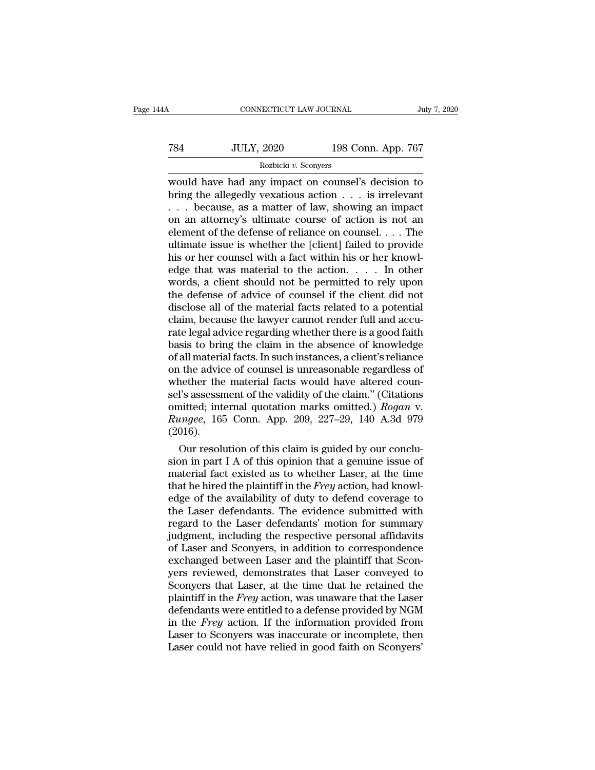CONNECTICUT LAW JOURNAL July 7, 2020<br>
784 JULY, 2020 198 Conn. App. 767<br>
Rozbicki v. Sconyers Rozbicki *v.* Sconyers

CONNECTICUT LAW JOURNAL July 7, 2020<br>
T84 JULY, 2020 198 Conn. App. 767<br>
Rozbicki v. Sconyers<br>
Would have had any impact on counsel's decision to<br>
bring the allegedly vexatious action . . . is irrelevant<br>
because as a matt FRA JULY, 2020 198 Conn. App. 767<br>Rozbicki v. Sconyers<br>would have had any impact on counsel's decision to<br>bring the allegedly vexatious action . . . is irrelevant<br>. . . because, as a matter of law, showing an impact<br>on an 784 JULY, 2020 198 Conn. App. 767<br>
Rozbicki v. Sconyers<br>
would have had any impact on counsel's decision to<br>
bring the allegedly vexatious action  $\ldots$  is irrelevant<br>  $\ldots$  because, as a matter of law, showing an impact<br> TERN TREE THE SUCKER OF A 2020<br>
TROZDICK U. SCONVETS<br>
SUCKER AND TREE TREE TREE WOULD have had any impact on counsel's decision to<br>
bring the allegedly vexatious action . . . is irrelevant<br>
. . . because, as a matter of l Experience of the defense of reliance on counsel's decision to<br>bring the allegedly vexatious action  $\ldots$  is irrelevant<br> $\ldots$  because, as a matter of law, showing an impact<br>on an attorney's ultimate course of action is no  $\frac{1}{100}$  Rozbicki v. Sconyers<br>
would have had any impact on counsel's decision to<br>
bring the allegedly vexatious action . . . is irrelevant<br>
. . . because, as a matter of law, showing an impact<br>
on an attorney's ultima would have had any impact on counsel's decision to<br>bring the allegedly vexatious action  $\dots$  is irrelevant<br> $\dots$  because, as a matter of law, showing an impact<br>on an attorney's ultimate course of action is not an<br>element o bring the allegedly vexatious action . . . is irrelevant<br>
. . . because, as a matter of law, showing an impact<br>
on an attorney's ultimate course of action is not an<br>
element of the defense of reliance on counsel. . . . Th when the cause, as a matter of law, showing an impact<br>on an attorney's ultimate course of action is not an<br>element of the defense of reliance on counsel. . . . The<br>ultimate issue is whether the [client] failed to provide<br> on an attorney's ultimate course of action is not an element of the defense of reliance on counsel. . . . The ultimate issue is whether the [client] failed to provide his or her counsel with a fact within his or her knowl element of the defense of reliance on counsel. . . . The ultimate issue is whether the [client] failed to provide<br>his or her counsel with a fact within his or her knowl-<br>edge that was material to the action. . . . In othe ultimate issue is whether the [client] failed to provide<br>his or her counsel with a fact within his or her knowl-<br>edge that was material to the action. . . . In other<br>words, a client should not be permitted to rely upon<br>the his or her counsel with a fact within his or her knowledge that was material to the action. . . . In other words, a client should not be permitted to rely upon the defense of advice of counsel if the client did not disclo edge that was material to the action. . . . . In other<br>words, a client should not be permitted to rely upon<br>the defense of advice of counsel if the client did not<br>disclose all of the material facts related to a potential<br>c words, a client should not be permitted to rely upon<br>the defense of advice of counsel if the client did not<br>disclose all of the material facts related to a potential<br>claim, because the lawyer cannot render full and accu-<br>r the defense of advice of counsel if the client did not<br>disclose all of the material facts related to a potential<br>claim, because the lawyer cannot render full and accu-<br>rate legal advice regarding whether there is a good fa disclose all of the material facts related to a potential<br>claim, because the lawyer cannot render full and accu-<br>rate legal advice regarding whether there is a good faith<br>basis to bring the claim in the absence of knowledg claim, because the lawyer cannot render full and accurate legal advice regarding whether there is a good faith<br>basis to bring the claim in the absence of knowledge<br>of all material facts. In such instances, a client's relia rate legal advice regarding whether there is a good faith<br>basis to bring the claim in the absence of knowledge<br>of all material facts. In such instances, a client's reliance<br>on the advice of counsel is unreasonable regardle basis to bring the claim in the absence of knowledge<br>of all material facts. In such instances, a client's reliance<br>on the advice of counsel is unreasonable regardless of<br>whether the material facts would have altered coun-<br> (2016). The advice of counsel is unreasonable regardless of<br>nether the material facts would have altered coun-<br>l's assessment of the validity of the claim." (Citations<br>itted; internal quotation marks omitted.) *Rogan v.*<br>ungee, 16 whether the material facts would have altered counsel's assessment of the validity of the claim." (Citations omitted; internal quotation marks omitted.) Rogan v.<br>
Rungee, 165 Conn. App. 209, 227–29, 140 A.3d 979<br>
(2016).<br>

set's assessment of the validity of the claim." (Citations<br>
omitted; internal quotation marks omitted.) Rogan v.<br>
Rungee, 165 Conn. App. 209, 227–29, 140 A.3d 979<br>
(2016).<br>
Our resolution of this claim is guided by our co omitted; internal quotation marks omitted.) *Rogan* v.<br> *Rungee*, 165 Conn. App. 209, 227–29, 140 A.3d 979<br>
(2016).<br>
Our resolution of this claim is guided by our conclu-<br>
sion in part I A of this opinion that a genuine is *Eungee*, 165 Conn. App. 209, 227–29, 140 A.3d 979<br>(2016).<br>Our resolution of this claim is guided by our conclusion in part I A of this opinion that a genuine issue of<br>material fact existed as to whether Laser, at the tim (2016).<br>
Our resolution of this claim is guided by our conclusion in part I A of this opinion that a genuine issue of<br>
material fact existed as to whether Laser, at the time<br>
that he hired the plaintiff in the *Frey* acti Our resolution of this claim is guided by our conclusion in part I A of this opinion that a genuine issue of material fact existed as to whether Laser, at the time that he hired the plaintiff in the *Frey* action, had kno sion in part I A of this opinion that a genuine issue of<br>material fact existed as to whether Laser, at the time<br>that he hired the plaintiff in the *Frey* action, had knowl-<br>edge of the availability of duty to defend covera material fact existed as to whether Laser, at the time<br>that he hired the plaintiff in the *Frey* action, had knowl-<br>edge of the availability of duty to defend coverage to<br>the Laser defendants. The evidence submitted with<br>r that he hired the plaintiff in the *Frey* action, had knowledge of the availability of duty to defend coverage to the Laser defendants. The evidence submitted with regard to the Laser defendants' motion for summary judgme edge of the availability of duty to defend coverage to<br>the Laser defendants. The evidence submitted with<br>regard to the Laser defendants' motion for summary<br>judgment, including the respective personal affidavits<br>of Laser an the Laser defendants. The evidence submitted with<br>regard to the Laser defendants' motion for summary<br>judgment, including the respective personal affidavits<br>of Laser and Sconyers, in addition to correspondence<br>exchanged bet regard to the Laser defendants' motion for summary<br>judgment, including the respective personal affidavits<br>of Laser and Sconyers, in addition to correspondence<br>exchanged between Laser and the plaintiff that Scon-<br>yers revie judgment, including the respective personal affidavits<br>of Laser and Sconyers, in addition to correspondence<br>exchanged between Laser and the plaintiff that Scon-<br>yers reviewed, demonstrates that Laser conveyed to<br>Sconyers t of Laser and Sconyers, in addition to correspondence<br>exchanged between Laser and the plaintiff that Scon-<br>yers reviewed, demonstrates that Laser conveyed to<br>Sconyers that Laser, at the time that he retained the<br>plaintiff i exchanged between Laser and the plaintiff that Scon-<br>yers reviewed, demonstrates that Laser conveyed to<br>Sconyers that Laser, at the time that he retained the<br>plaintiff in the *Frey* action, was unaware that the Laser<br>defen yers reviewed, demonstrates that Laser conveyed to<br>Sconyers that Laser, at the time that he retained the<br>plaintiff in the *Frey* action, was unaware that the Laser<br>defendants were entitled to a defense provided by NGM<br>in t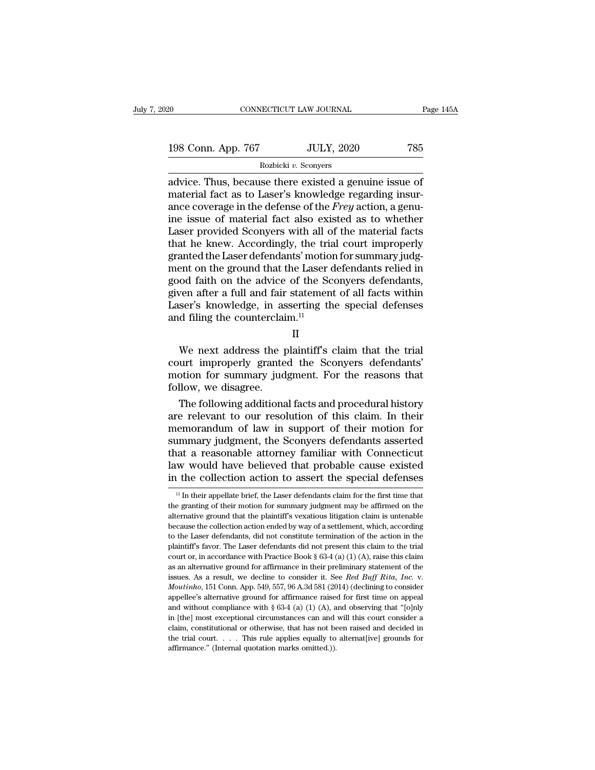| CONNECTICUT LAW JOURNAL<br>20 |  | Page 145A            |     |  |
|-------------------------------|--|----------------------|-----|--|
|                               |  |                      |     |  |
| 198 Conn. App. 767            |  | <b>JULY, 2020</b>    | 785 |  |
|                               |  | Rozbicki v. Sconyers |     |  |

connectricut LAW JOURNAL Page 145<br>
198 Conn. App. 767 JULY, 2020 785<br>
Rozbicki v. Sconyers<br>
advice. Thus, because there existed a genuine issue of<br>
material fact as to Laser's knowledge regarding insur-198 Conn. App. 767 JULY, 2020 785<br>Rozbicki v. Sconyers<br>advice. Thus, because there existed a genuine issue of<br>material fact as to Laser's knowledge regarding insur-<br>ance coverage in the defense of the *Frey* action, a gen 198 Conn. App. 767 JULY, 2020 785<br>
Rozbicki v. Sconyers<br>
advice. Thus, because there existed a genuine issue of<br>
material fact as to Laser's knowledge regarding insur-<br>
ance coverage in the defense of the *Frey* action, a 198 Conn. App. 767 JULY, 2020 785<br>
Rozbicki v. Sconyers<br>
advice. Thus, because there existed a genuine issue of<br>
material fact as to Laser's knowledge regarding insur-<br>
ance coverage in the defense of the *Frey* action, a Rozbicki v. Sconyers<br>
Rozbicki v. Sconyers<br>
advice. Thus, because there existed a genuine issue of<br>
material fact as to Laser's knowledge regarding insur-<br>
ance coverage in the defense of the *Frey* action, a genu-<br>
ine i Rozbicki v. Sconyers<br>
advice. Thus, because there existed a genuine issue of<br>
material fact as to Laser's knowledge regarding insur-<br>
ance coverage in the defense of the *Frey* action, a genu-<br>
ine issue of material fact advice. Thus, because there existed a genuine issue of<br>material fact as to Laser's knowledge regarding insur-<br>ance coverage in the defense of the *Frey* action, a genu-<br>ine issue of material fact also existed as to whether material fact as to Laser's knowledge regarding insurance coverage in the defense of the *Frey* action, a genu-<br>ine issue of material fact also existed as to whether<br>Laser provided Sconyers with all of the material facts<br>t ance coverage in the defense of the *Frey* action, a genu-<br>ine issue of material fact also existed as to whether<br>Laser provided Sconyers with all of the material facts<br>that he knew. Accordingly, the trial court improperly<br> ine issue of material fact also existed as to whether<br>Laser provided Sconyers with all of the material facts<br>that he knew. Accordingly, the trial court improperly<br>granted the Laser defendants' motion for summary judg-<br>ment Laser provided Sconyers with all of the material facts<br>that he knew. Accordingly, the trial court improperly<br>granted the Laser defendants' motion for summary judg-<br>ment on the ground that the Laser defendants relied in<br>go that he knew. Accordingly, the triagranted the Laser defendants' motion<br>ment on the ground that the Laser c<br>good faith on the advice of the Sc<br>given after a full and fair statemen<br>Laser's knowledge, in asserting th<br>and fi EXECUTE AT ON the ground that the Laser detendants reflect in<br>
od faith on the advice of the Sconyers defendants,<br>
ser's knowledge, in asserting the special defenses<br>
d filing the counterclaim.<sup>11</sup><br>
II<br>
We next address the

II

given after a full and fair statement of all facts within<br>Laser's knowledge, in asserting the special defenses<br>and filing the counterclaim.<sup>11</sup><br>II<br>We next address the plaintiff's claim that the trial<br>court improperly grant Laser's knowledge, in asserting the special defenses<br>and filing the counterclaim.<sup>11</sup><br>II<br>We next address the plaintiff's claim that the trial<br>court improperly granted the Sconyers defendants'<br>motion for summary judgment. Laser's knowledge, in asserting the special defenses<br>and filing the counterclaim.<sup>11</sup><br>II<br>We next address the plaintiff's claim that the trial<br>court improperly granted the Sconyers defendants'<br>motion for summary judgment. II<br>We next address the plaintiff's claim that the trial<br>urt improperly granted the Sconyers defendants'<br>otion for summary judgment. For the reasons that<br>llow, we disagree.<br>The following additional facts and procedural hist We next address the plaintiff's claim that the trial<br>court improperly granted the Sconyers defendants'<br>motion for summary judgment. For the reasons that<br>follow, we disagree.<br>The following additional facts and procedural hi

We next address the plaintiff's claim that the trial<br>court improperly granted the Sconyers defendants'<br>motion for summary judgment. For the reasons that<br>follow, we disagree.<br>The following additional facts and procedural hi court improperly granted the Sconyers defendants'<br>motion for summary judgment. For the reasons that<br>follow, we disagree.<br>The following additional facts and procedural history<br>are relevant to our resolution of this claim. I motion for summary judgment. For the reasons that<br>follow, we disagree.<br>The following additional facts and procedural history<br>are relevant to our resolution of this claim. In their<br>memorandum of law in support of their moti follow, we disagree.<br>
The following additional facts and procedural history<br>
are relevant to our resolution of this claim. In their<br>
memorandum of law in support of their motion for<br>
summary judgment, the Sconyers defendan The following additional facts and procedural history<br>are relevant to our resolution of this claim. In their<br>memorandum of law in support of their motion for<br>summary judgment, the Sconyers defendants asserted<br>that a reaso 11 In their appellate brief, the Sconyers defendants asserted that a reasonable attorney familiar with Connecticut w would have believed that probable cause existed the collection action to assert the special defenses  $\frac$ that a reasonable attorney familiar with Connecticut<br>law would have believed that probable cause existed<br>in the collection action to assert the special defenses<br> $\frac{1}{1}$  In their appellate brief, the Laser defendants cla

law would have believed that probable cause existed<br>in the collection action to assert the special defenses<br> $\frac{1}{n}$  In their appellate brief, the Laser defendants claim for the first time that<br>the granting of their moti In the collection action to assert the special defenses<br>  $\frac{1}{10}$  In their appellate brief, the Laser defendants claim for the first time that<br>
the granting of their motion for summary judgment may be affirmed on the<br>
a In the COHECLION action to assert the special defenses<br> $\frac{1}{10}$  in their appellate brief, the Laser defendants claim for the first time that<br>the granting of their motion for summary judgment may be affirmed on the<br>alter <sup>11</sup> In their appellate brief, the Laser defendants claim for the first time that the granting of their motion for summary judgment may be affirmed on the alternative ground that the plaintiff's vexatious litigation claim For example of their motion for summary judgment may be affirmed on the alternative ground that the plaintiff's vexatious litigation claim is untenable because the collection action ended by way of a settlement, which, ac and alternative ground that the plaintiff's vexatious litigation claim is untenable because the collection action ended by way of a settlement, which, according to the Laser defendants, did not constitute termination of t is because the collection action ended by way of a settlement, which, according to the Laser defendants, did not constitute termination of the action in the plaintiff's favor. The Laser defendants did not present this clai plaintiff's favor. The Laser defendants did not present this claim to the trial court or, in accordance with Practice Book § 63-4 (a) (1) (A), raise this claim as an alternative ground for affirmance in their preliminary product or, in accordance with Practice Book § 63-4 (a) (1) (A), raise this claim<br>as an alternative ground for affirmance in their preliminary statement of the<br>issues. As a result, we decline to consider it. See *Red Buff* as an alternative ground for affirmance in their preliminary statement of the issues. As a result, we decline to consider it. See *Red Buff Rita, Inc.* v. *Moutinho,* 151 Conn. App. 549, 557, 96 A.3d 581 (2014) (declining issues. As a result, we decline to consider it. See *Red Buff Rita*, *Inc.* v. *Moutinho*, 151 Conn. App. 549, 557, 96 A.3d 581 (2014) (declining to consider appellee's alternative ground for affirmance raised for first t issues. As a result, we decline to consider it. See *Red Buff Rita, Inc.* v. *Moutinho*, 151 Conn. App. 549, 557, 96 A.3d 581 (2014) (declining to consider appellee's alternative ground for affirmance raised for first tim appellee's alternative ground for affirmance raised for first time on appeal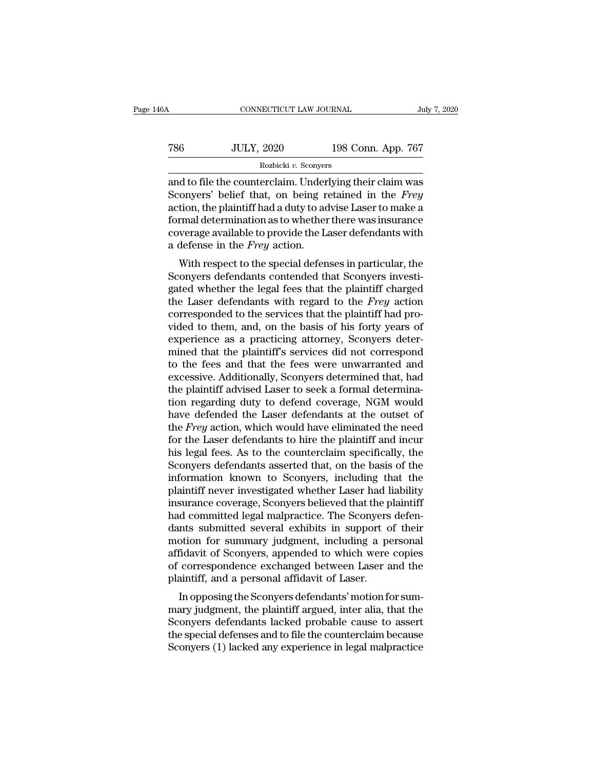### CONNECTICUT LAW JOURNAL July 7, 2020<br>
786 JULY, 2020 198 Conn. App. 767<br>
Rozbicki v. Sconyers Rozbicki *v.* Sconyers

CONNECTICUT LAW JOURNAL July 7, 2020<br>
TROBER TO THE CONNECTICUT LAW JOURNAL<br>
TO THE COUNTER TO THE COUNTERNATION OF THE COUNTERNATION OF THE CLAIM WAS<br>
SCONCETS' belief that, on being retained in the *Frey*<br>
Scongers' beli Tash Tar Tall 2020<br>
Scone 198 Conn. App. 767<br>
Sconyers' belief that, on being retained in the *Frey*<br>
action, the plaintiff had a duty to advise Laser to make a<br>
formal determination as to whether there was insurance  $\noindent \overline{198} \overline{198} \overline{198} \overline{198} \overline{198} \overline{198} \overline{198} \overline{198} \overline{198} \overline{198} \overline{198} \overline{198} \overline{198} \overline{198} \overline{198} \overline{198} \overline{198} \overline{198} \overline{198} \overline{198} \overline{198} \overline{198} \overline{198} \overline{198} \overline{198} \overline{198} \overline{198} \$ For THE TREE THE THE SERVIE 2020<br>
For TROZbicki v. Sconyers<br>
and to file the counterclaim. Underlying their claim was<br>
Sconyers' belief that, on being retained in the *Frey*<br>
action, the plaintiff had a duty to advise Las Rozbicki v. Sconyers<br>
and to file the counterclaim. Underlying their claim was<br>
Sconyers' belief that, on being retained in the *Frey*<br>
action, the plaintiff had a duty to advise Laser to make a<br>
formal determination as t Rozbicki v. Sconyer<br>and to file the counterclaim. Under<br>Sconyers' belief that, on being r<br>action, the plaintiff had a duty to action.<br>formal determination as to whether<br>coverage available to provide the L<br>a defense in the of the the counterclaim. Underlying their claim was<br>onyers' belief that, on being retained in the *Frey*<br>tion, the plaintiff had a duty to advise Laser to make a<br>rmal determination as to whether there was insurance<br>verage Sconyers beneficial, off being retained in the  $Treg$ <br>action, the plaintiff had a duty to advise Laser to make a<br>formal determination as to whether there was insurance<br>coverage available to provide the Laser defendants with

action, the plaintiff had a duly to advise Laser to make a<br>formal determination as to whether there was insurance<br>coverage available to provide the Laser defendants with<br>a defense in the *Frey* action.<br>With respect to the formal determination as to whether there was insurance<br>coverage available to provide the Laser defendants with<br>a defense in the *Frey* action.<br>With respect to the special defenses in particular, the<br>Sconyers defendants con coverage available to provide the Laser defendants with<br>a defense in the *Frey* action.<br>With respect to the special defenses in particular, the<br>Sconyers defendants contended that Sconyers investi-<br>gated whether the legal f with respect to the special defenses in particular, the<br>Sconyers defendants contended that Sconyers investigated whether the legal fees that the plaintiff charged<br>the Laser defendants with regard to the *Frey* action<br>corre With respect to the special defenses in particular, the<br>Sconyers defendants contended that Sconyers investi-<br>gated whether the legal fees that the plaintiff charged<br>the Laser defendants with regard to the *Frey* action<br>cor Sconyers defendants contended that Sconyers investigated whether the legal fees that the plaintiff charged<br>the Laser defendants with regard to the *Frey* action<br>corresponded to the services that the plaintiff had pro-<br>vide gated whether the legal fees that the plaintiff charged<br>the Laser defendants with regard to the *Frey* action<br>corresponded to the services that the plaintiff had pro-<br>vided to them, and, on the basis of his forty years of<br> the Laser defendants with regard to the *Frey* action<br>corresponded to the services that the plaintiff had pro-<br>vided to them, and, on the basis of his forty years of<br>experience as a practicing attorney, Sconyers deter-<br>min corresponded to the services that the plaintiff had provided to them, and, on the basis of his forty years of experience as a practicing attorney, Sconyers determined that the plaintiff's services did not correspond to the vided to them, and, on the basis of his forty years of<br>experience as a practicing attorney, Sconyers deter-<br>mined that the plaintiff's services did not correspond<br>to the fees and that the fees were unwarranted and<br>excessiv experience as a practicing attorney, Sconyers determined that the plaintiff's services did not correspond<br>to the fees and that the fees were unwarranted and<br>excessive. Additionally, Sconyers determined that, had<br>the plaint mined that the plaintiff's services did not correspond<br>to the fees and that the fees were unwarranted and<br>excessive. Additionally, Sconyers determined that, had<br>the plaintiff advised Laser to seek a formal determina-<br>tion to the fees and that the fees were unwarranted and<br>excessive. Additionally, Sconyers determined that, had<br>the plaintiff advised Laser to seek a formal determina-<br>tion regarding duty to defend coverage, NGM would<br>have defen excessive. Additionally, Sconyers determined that, had<br>the plaintiff advised Laser to seek a formal determina-<br>tion regarding duty to defend coverage, NGM would<br>have defended the Laser defendants at the outset of<br>the *Frey* the plaintiff advised Laser to seek a formal determination regarding duty to defend coverage, NGM would<br>have defended the Laser defendants at the outset of<br>the *Frey* action, which would have eliminated the need<br>for the La tion regarding duty to defend coverage, NGM would<br>have defended the Laser defendants at the outset of<br>the *Frey* action, which would have eliminated the need<br>for the Laser defendants to hire the plaintiff and incur<br>his leg have defended the Laser defendants at the outset of<br>the *Frey* action, which would have eliminated the need<br>for the Laser defendants to hire the plaintiff and incur<br>his legal fees. As to the counterclaim specifically, the<br> the *Frey* action, which would have eliminated the need<br>for the Laser defendants to hire the plaintiff and incur<br>his legal fees. As to the counterclaim specifically, the<br>Sconyers defendants asserted that, on the basis of t for the Laser defendants to hire the plaintiff and incur<br>his legal fees. As to the counterclaim specifically, the<br>Sconyers defendants asserted that, on the basis of the<br>information known to Sconyers, including that the<br>pla his legal fees. As to the counterclaim specifically, the<br>Sconyers defendants asserted that, on the basis of the<br>information known to Sconyers, including that the<br>plaintiff never investigated whether Laser had liability<br>ins Sconyers defendants asserted that, on the basis of the<br>information known to Sconyers, including that the<br>plaintiff never investigated whether Laser had liability<br>insurance coverage, Sconyers believed that the plaintiff<br>had information known to Sconyers, including that the<br>plaintiff never investigated whether Laser had liability<br>insurance coverage, Sconyers believed that the plaintiff<br>had committed legal malpractice. The Sconyers defen-<br>dants plaintiff never investigated whether Laser had liability<br>insurance coverage, Sconyers believed that the plaintiff<br>had committed legal malpractice. The Sconyers defen-<br>dants submitted several exhibits in support of their<br>mo insurance coverage, Sconyers believed that the p<br>had committed legal malpractice. The Sconyers<br>dants submitted several exhibits in support o<br>motion for summary judgment, including a per<br>affidavit of Sconyers, appended to w In opposing the scontinuous continuous submitted several exhibits in support of their<br>Didavit of Sconyers, appended to which were copies<br>correspondence exchanged between Laser and the<br>aintiff, and a personal affidavit of L motion for summary judgment, including a personal<br>affidavit of Sconyers, appended to which were copies<br>of correspondence exchanged between Laser and the<br>plaintiff, and a personal affidavit of Laser.<br>In opposing the Sconyer

motion for summary judgment, including a personal<br>affidavit of Sconyers, appended to which were copies<br>of correspondence exchanged between Laser and the<br>plaintiff, and a personal affidavit of Laser.<br>In opposing the Sconyer amuavit of Sconyers, appended to writer were copies<br>of correspondence exchanged between Laser and the<br>plaintiff, and a personal affidavit of Laser.<br>In opposing the Sconyers defendants' motion for sum-<br>mary judgment, the pl of correspondence exchanged between Laser and the<br>plaintiff, and a personal affidavit of Laser.<br>In opposing the Sconyers defendants' motion for sum-<br>mary judgment, the plaintiff argued, inter alia, that the<br>Sconyers defend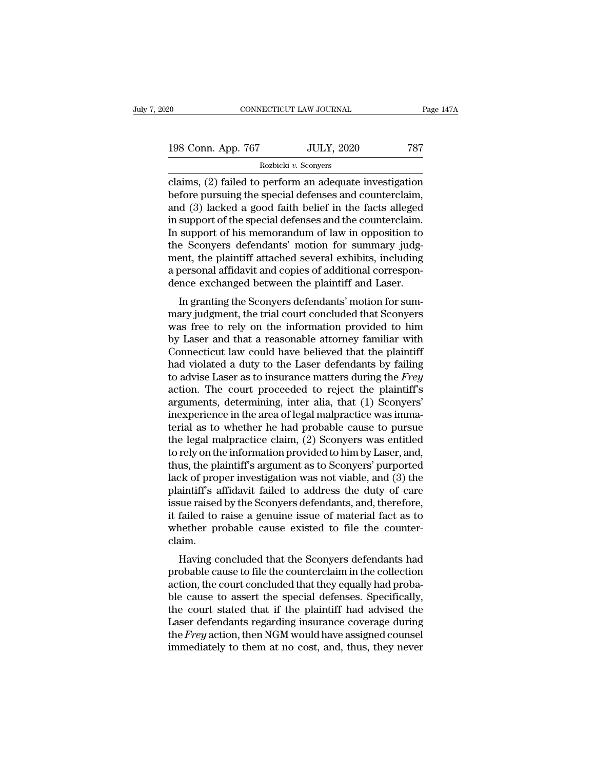| 20                 | CONNECTICUT LAW JOURNAL | Page 147A |
|--------------------|-------------------------|-----------|
| 198 Conn. App. 767 | <b>JULY, 2020</b>       | 787       |
|                    | Rozbicki v. Sconyers    |           |

connectricut LAW JOURNAL Page 147A<br>
198 Conn. App. 767 JULY, 2020 787<br>
Rozbicki v. Sconyers<br>
Claims, (2) failed to perform an adequate investigation<br>
before pursuing the special defenses and counterclaim,<br>
and (3) locked a 198 Conn. App. 767 JULY, 2020 787<br>Rozbicki v. Sconvers<br>Claims, (2) failed to perform an adequate investigation<br>before pursuing the special defenses and counterclaim,<br>and (3) lacked a good faith belief in the facts alleged 198 Conn. App. 767 JULY, 2020 787<br>
Rozbicki v. Sconyers<br>
claims, (2) failed to perform an adequate investigation<br>
before pursuing the special defenses and counterclaim,<br>
and (3) lacked a good faith belief in the facts all 198 Conn. App. 767 JULY, 2020 787<br>
Rozbicki v. Sconyers<br>
claims, (2) failed to perform an adequate investigation<br>
before pursuing the special defenses and counterclaim,<br>
and (3) lacked a good faith belief in the facts alle Rozbicki v. Sconyers<br>
Claims, (2) failed to perform an adequate investigation<br>
before pursuing the special defenses and counterclaim,<br>
and (3) lacked a good faith belief in the facts alleged<br>
in support of the special def  $\frac{\text{Rozbick } v. \text{ Sconvers}}{\text{claims}, (2) \text{ failed to perform an adequate investigation}}$ <br>
before pursuing the special defenses and counterclaim,<br>
and (3) lacked a good faith belief in the facts alleged<br>
in support of the special defenses and the counterclaim.<br>
In suppo claims, (2) failed to perform an adequate investigation<br>before pursuing the special defenses and counterclaim,<br>and (3) lacked a good faith belief in the facts alleged<br>in support of the special defenses and the counterclaim before pursuing the special defenses and counterclaim,<br>and (3) lacked a good faith belief in the facts alleged<br>in support of the special defenses and the counterclaim.<br>In support of his memorandum of law in opposition to<br>t and (3) lacked a good faith belief in the facts alleged<br>in support of the special defenses and the counterclaim.<br>In support of his memorandum of law in opposition to<br>the Sconyers defendants' motion for summary judg-<br>ment, support of the spectral defenses and the countercrannities<br>support of his memorandum of law in opposition to<br>e Sconyers defendants' motion for summary judg-<br>ent, the plaintiff attached several exhibits, including<br>personal m support of its inentofantum of law in opposition to<br>the Sconyers defendants' motion for summary judg-<br>ment, the plaintiff attached several exhibits, including<br>a personal affidavit and copies of additional correspon-<br>denc

the Sconyers defendants motion for summary judg-<br>ment, the plaintiff attached several exhibits, including<br>a personal affidavit and copies of additional correspon-<br>dence exchanged between the plaintiff and Laser.<br>In grantin ment, the plantificant attached several exhibits, including<br>a personal affidavit and copies of additional correspon-<br>dence exchanged between the plaintiff and Laser.<br>In granting the Sconyers defendants' motion for sum-<br>mar a personal amdavit and copies of additional correspondence exchanged between the plaintiff and Laser.<br>In granting the Sconyers defendants' motion for summary judgment, the trial court concluded that Sconyers<br>was free to re dence exchanged between the plantificant and Laser.<br>In granting the Sconyers defendants' motion for sum-<br>mary judgment, the trial court concluded that Sconyers<br>was free to rely on the information provided to him<br>by Laser a In granting the Sconyers defendants' motion for sum-<br>mary judgment, the trial court concluded that Sconyers<br>was free to rely on the information provided to him<br>by Laser and that a reasonable attorney familiar with<br>Connecti mary judgment, the trial court concluded that Sconyers<br>was free to rely on the information provided to him<br>by Laser and that a reasonable attorney familiar with<br>Connecticut law could have believed that the plaintiff<br>had vi was free to rely on the information provided to him<br>by Laser and that a reasonable attorney familiar with<br>Connecticut law could have believed that the plaintiff<br>had violated a duty to the Laser defendants by failing<br>to adv by Laser and that a reasonable attorney familiar with<br>Connecticut law could have believed that the plaintiff<br>had violated a duty to the Laser defendants by failing<br>to advise Laser as to insurance matters during the *Frey* Connecticut law could have believed that the plaintiff<br>had violated a duty to the Laser defendants by failing<br>to advise Laser as to insurance matters during the  $Frey$ <br>action. The court proceeded to reject the plaintiff's<br>a had violated a duty to the Laser defendants by failing<br>to advise Laser as to insurance matters during the *Frey*<br>action. The court proceeded to reject the plaintiff's<br>arguments, determining, inter alia, that (1) Sconyers'<br> to advise Laser as to insurance matters during the *Frey*<br>action. The court proceeded to reject the plaintiff's<br>arguments, determining, inter alia, that (1) Sconyers'<br>inexperience in the area of legal malpractice was imma action. The court proceeded to reject the plaintiff's<br>arguments, determining, inter alia, that (1) Sconyers'<br>inexperience in the area of legal malpractice was imma-<br>terial as to whether he had probable cause to pursue<br>the arguments, determining, inter alia, that (1) Sconyers'<br>inexperience in the area of legal malpractice was imma-<br>terial as to whether he had probable cause to pursue<br>the legal malpractice claim, (2) Sconyers was entitled<br>to inexperience in the area of legal malpractice was imma-<br>terial as to whether he had probable cause to pursue<br>the legal malpractice claim, (2) Sconyers was entitled<br>to rely on the information provided to him by Laser, and,<br> terial as to whether he had probable cause to pursue<br>the legal malpractice claim, (2) Sconyers was entitled<br>to rely on the information provided to him by Laser, and,<br>thus, the plaintiff's argument as to Sconyers' purported the legal malpractice claim, (2) Sconyers was entitled<br>to rely on the information provided to him by Laser, and,<br>thus, the plaintiff's argument as to Sconyers' purported<br>lack of proper investigation was not viable, and (3) to rely on the information provided to him by Laser, and, thus, the plaintiff's argument as to Sconyers' purported lack of proper investigation was not viable, and (3) the plaintiff's affidavit failed to address the duty o claim. Ex of proper investigation was not viable, and  $(3)$  the aintiff's affidavit failed to address the duty of care<br>sue raised by the Sconyers defendants, and, therefore,<br>failed to raise a genuine issue of material fact as to plantif is amount raned to address the duy of care<br>issue raised by the Sconyers defendants, and, therefore,<br>it failed to raise a genuine issue of material fact as to<br>whether probable cause existed to file the counter-<br>clai

issue raised by the Sconyers defendants, and, therefore,<br>it failed to raise a genuine issue of material fact as to<br>whether probable cause existed to file the counter-<br>claim.<br>Having concluded that the Sconyers defendants ha It lated to fase a genuite issue of inaterial fact as to<br>whether probable cause existed to file the counter-<br>claim.<br>Having concluded that the Sconyers defendants had<br>probable cause to file the counterclaim in the collectio whether probable cause existed to the the counter-<br>claim.<br>Having concluded that the Sconyers defendants had<br>probable cause to file the counterclaim in the collection<br>action, the court concluded that they equally had proba-Having concluded that the Sconyers defendants had<br>probable cause to file the counterclaim in the collection<br>action, the court concluded that they equally had proba-<br>ble cause to assert the special defenses. Specifically,<br>t Having concluded that the Sconyers defendants had<br>probable cause to file the counterclaim in the collection<br>action, the court concluded that they equally had proba-<br>ble cause to assert the special defenses. Specifically,<br>t probable cause to file the counterclaim in the collection<br>action, the court concluded that they equally had proba-<br>ble cause to assert the special defenses. Specifically,<br>the court stated that if the plaintiff had advised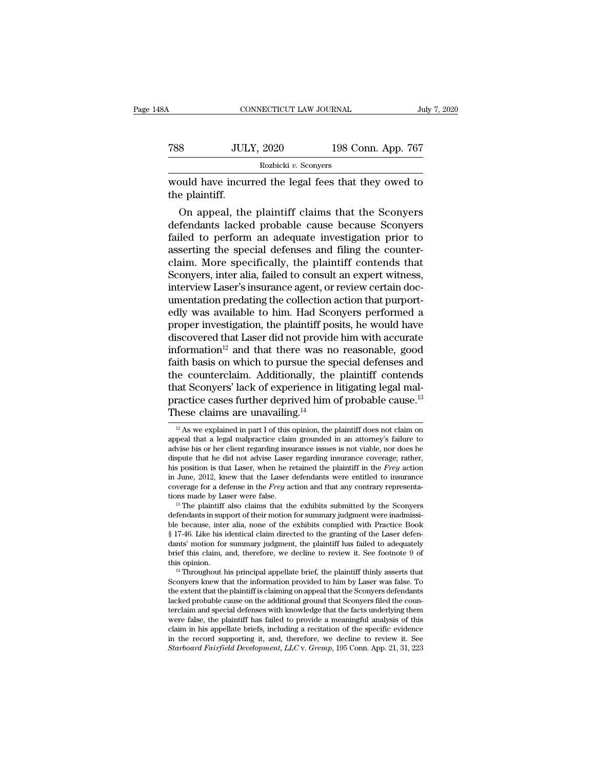|                | CONNECTICUT LAW JOURNAL                              |                    | July 7, 2020 |
|----------------|------------------------------------------------------|--------------------|--------------|
| 788            | <b>JULY, 2020</b>                                    | 198 Conn. App. 767 |              |
|                | Rozbicki v. Sconyers                                 |                    |              |
| the plaintiff. | would have incurred the legal fees that they owed to |                    |              |
|                | On appeal, the plaintiff claims that the Sconyers    |                    |              |

Subsemiestry, 2020 198 Conn. App. 767<br>
Rozbicki v. Sconyers<br>
Duld have incurred the legal fees that they owed to<br>
e plaintiff.<br>
On appeal, the plaintiff claims that the Sconyers<br>
fendants lacked probable cause because Scon  $\begin{array}{lll}\n\text{788} & \text{JULY, } 2020 & \text{198 Conn. App. 767} \\
\hline\n& \text{Rozbicki } v. \text{ Sconyers} \\
\hline\n\text{would have incurred the legal fees that they owed to the plaintiff.} \\
\text{On appeal, the plaintiff claims that the Sconyers definedants lacked probable cause because Sconyers failed to perform an adequate investigation prior to asserting the special defenses and filing the counter.\n$ For a Republicance Resolution and the plaintiff.<br>
Sconvers<br>
the plaintiff.<br>
On appeal, the plaintiff claims that the Sconvers<br>
defendants lacked probable cause because Sconvers<br>
failed to perform an adequate investigation would have incurred the legal fees that they owed to<br>the plaintiff.<br>On appeal, the plaintiff claims that the Sconyers<br>defendants lacked probable cause because Sconyers<br>failed to perform an adequate investigation prior to<br>a would nave incurred the legal lees that they owed to<br>the plaintiff.<br>On appeal, the plaintiff claims that the Sconyers<br>defendants lacked probable cause because Sconyers<br>failed to perform an adequate investigation prior to<br>a Inter plaintiff claims that the Sconyers<br>defendants lacked probable cause because Sconyers<br>failed to perform an adequate investigation prior to<br>asserting the special defenses and filing the counter-<br>claim. More specificall On appeal, the plaintiff claims that the Sconyers<br>defendants lacked probable cause because Sconyers<br>failed to perform an adequate investigation prior to<br>asserting the special defenses and filing the counter-<br>claim. More sp defendants lacked probable cause because Sconyers<br>failed to perform an adequate investigation prior to<br>asserting the special defenses and filing the counter-<br>claim. More specifically, the plaintiff contends that<br>Sconyers, failed to perform an adequate investigation prior to<br>asserting the special defenses and filing the counter-<br>claim. More specifically, the plaintiff contends that<br>Sconyers, inter alia, failed to consult an expert witness,<br>i asserting the special defenses and filing the counter-<br>claim. More specifically, the plaintiff contends that<br>Sconyers, inter alia, failed to consult an expert witness,<br>interview Laser's insurance agent, or review certain d claim. More specifically, the plaintiff contends that<br>Sconyers, inter alia, failed to consult an expert witness,<br>interview Laser's insurance agent, or review certain doc-<br>umentation predating the collection action that pur Sconyers, inter alia, failed to consult an expert witness,<br>interview Laser's insurance agent, or review certain doc-<br>umentation predating the collection action that purport-<br>edly was available to him. Had Sconyers performe interview Laser's insurance agent, or review certain doc-<br>umentation predating the collection action that purport-<br>edly was available to him. Had Sconyers performed a<br>proper investigation, the plaintiff posits, he would ha umentation predating the collection action that purport-<br>edly was available to him. Had Sconyers performed a<br>proper investigation, the plaintiff posits, he would have<br>discovered that Laser did not provide him with accurate edly was available to him. Had Sconyers performed a<br>proper investigation, the plaintiff posits, he would have<br>discovered that Laser did not provide him with accurate<br>information<sup>12</sup> and that there was no reasonable, good<br>f proper investigation, the plaintiff posits, he would have discovered that Laser did not provide him with accurate information<sup>12</sup> and that there was no reasonable, good faith basis on which to pursue the special defenses discovered that Laser did not provide<br>information<sup>12</sup> and that there was no<br>faith basis on which to pursue the sp<br>the counterclaim. Additionally, the<br>that Sconyers' lack of experience in<br>practice cases further deprived hi 12 As we explained in part I of this opinion, the plaintiff contends<br>
22 As we explained in part I of this opinion, the plaintiff does not claim on<br>
22 As we explained in part I of this opinion, the plaintiff does not cla that Sconyers' lack of experience in litigating legal mal-<br>practice cases further deprived him of probable cause.<sup>13</sup><br>These claims are unavailing.<sup>14</sup><br> $\frac{12}{12}$  As we explained in part I of this opinion, the plaintiff d

practice cases further deprived him of probable cause.<sup>13</sup><br>practice cases further deprived him of probable cause.<sup>13</sup><br> $\frac{1}{12}$  As we explained in part I of this opinion, the plaintiff does not claim on<br>appeal that a leg practice cases further deprived full of probable cause.<sup>23</sup><br>These claims are unavailing.<sup>14</sup><br> $\frac{12}{12}$  As we explained in part I of this opinion, the plaintiff does not claim on<br>appeal that a legal malpractice claim gro These claims are unavailing.<sup>14</sup><br>
<sup>12</sup> As we explained in part I of this opinion, the plaintiff does not claim on appeal that a legal malpractice claim grounded in an attorney's failure to advise his or her client regardi <sup>12</sup> As we explained in part I of this opinion, the plaintiff does not claim on appeal that a legal malpractice claim grounded in an attorney's failure to advise his or her client regarding insurance issues is not viable, <sup>12</sup> As we explained in part 1 of this opinion, the plaintiff does not claim on appeal that a legal malpractice claim grounded in an attorney's failure to advise his or her client regarding insurance issues is not viable, appeal that a legal malpractice claim grounded in an attorney's failure to advise his or her client regarding insurance issues is not viable, nor does he dispute that he did not advise Laser regarding insurance coverage; his position is that Laser, when he retained the plaintiff in the *Frey* action in June, 2012, knew that the Laser defendants were entitled to insurance coverage for a defense in the *Frey* action and that any contrary re

his position is that Laser, when he retained the plaintiff in the *Frey* action<br>in June, 2012, knew that the Laser defendants were entitled to insurance<br>coverage for a defense in the *Frey* action and that any contrary re % coverage for a defense in the *Frey* action and that any contrary representations made by Laser were false.<br><sup>13</sup> The plaintiff also claims that the exhibits submitted by the Sconyers defendants in support of their motio coverage for a defense in the *Frey* action and that any contrary representations made by Laser were false.<br><sup>13</sup> The plaintiff also claims that the exhibits submitted by the Sconyers defendants in support of their motion tions made by Laser were talse.<br>
<sup>13</sup> The plaintiff also claims that the exhibits submitted by the Sconyers defendants in support of their motion for summary judgment were inadmissible because, inter alia, none of the exh <sup>19</sup> The plaintiff also claims that the exhibits submitted by the Sconyers defendants in support of their motion for summary judgment were inadmissible because, inter alia, none of the exhibits complied with Practice Book ble because, inter alia, none of the exhibits complied with Practice Book § 17-46. Like his identical claim directed to the granting of the Laser defendants' motion for summary judgment, the plaintiff has failed to adequat

 $\S$  17-46. Like his identical claim directed to the granting of the Laser defendants' motion for summary judgment, the plaintiff has failed to adequately brief this claim, and, therefore, we decline to review it. See foot this opinion.<br>
<sup>14</sup> Throughout his principal appellate brief, the plaintiff thinly asserts that Sconyers knew that the information provided to him by Laser was false. To the extent that the plaintiff is claiming on appeal brief this claim, and, therefore, we decline to review it. See footnote 9 of<br>this opinion.<br><sup>14</sup> Throughout his principal appellate brief, the plaintiff thinly asserts that<br>Sconyers knew that the information provided to him this opinion.<br>
<sup>14</sup> Throughout his principal appellate brief, the plaintiff thinly asserts that<br>
Sconyers knew that the information provided to him by Laser was false. To<br>
the extent that the plaintiff is claiming on appe <sup>14</sup> Throughout his principal appellate brief, the plaintiff thinly asserts that Sconyers knew that the information provided to him by Laser was false. To the extent that the plaintiff is claiming on appeal that the Scony Sconyers knew that the information provided to him by Laser was false. To<br>the extent that the plaintiff is claiming on appeal that the Sconyers defendants<br>lacked probable cause on the additional ground that Sconyers filed *Starboard Fairfield Development, LLC v. Gremp*, 195 Conn. App. 21, 31, 223 *Starboard Fairfield Development, LLC v. Gremp*, 195 Conn. App. 21, 31, 223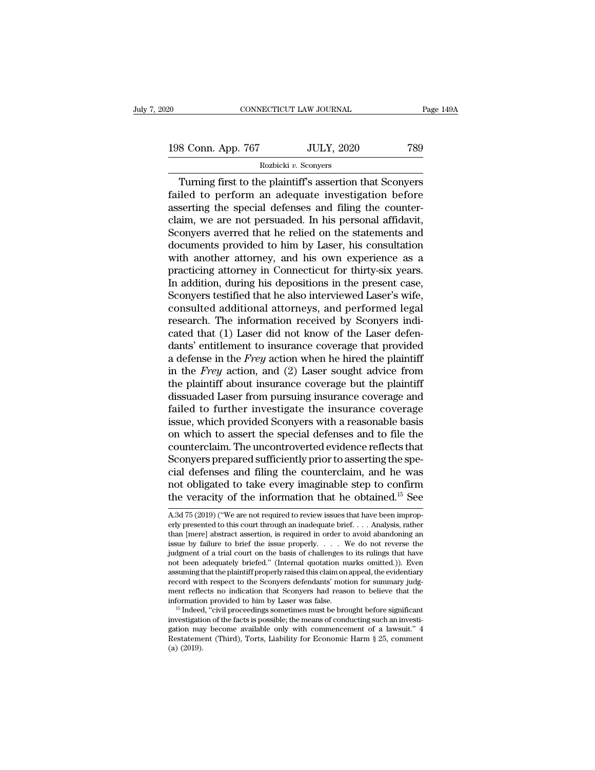EXECUTE CONNECTICUT LAW JOURNAL Page 149A<br>198 Conn. App. 767 JULY, 2020 789<br>Rozbicki v. Sconyers

## Rozbicki *v.* Sconyers

CONNECTICUT LAW JOURNAL Page 149A<br>
8 Conn. App. 767 JULY, 2020 789<br>
Rozbicki v. Sconyers<br>
Turning first to the plaintiff's assertion that Sconyers<br>
iled to perform an adequate investigation before<br>
serting the special defe 198 Conn. App. 767 JULY, 2020 789<br>Rozbicki v. Sconyers<br>Turning first to the plaintiff's assertion that Sconyers<br>failed to perform an adequate investigation before<br>asserting the special defenses and filing the counter-<br>clai 198 Conn. App. 767 JULY, 2020 789<br>
Rozbicki v. Sconyers<br>
Turning first to the plaintiff's assertion that Sconyers<br>
failed to perform an adequate investigation before<br>
asserting the special defenses and filing the counter-198 Conn. App. 767 JULY, 2020 789<br>
Rozbicki v. Sconyers<br>
Turning first to the plaintiff's assertion that Sconyers<br>
failed to perform an adequate investigation before<br>
asserting the special defenses and filing the counter-Rozbicki v. Sconyers<br>
Turning first to the plaintiff's assertion that Sconyers<br>
failed to perform an adequate investigation before<br>
asserting the special defenses and filing the counter-<br>
claim, we are not persuaded. In h Rozbicki v. Sconyers<br>
Turning first to the plaintiff's assertion that Sconyers<br>
failed to perform an adequate investigation before<br>
asserting the special defenses and filing the counter-<br>
claim, we are not persuaded. In h Turning first to the plaintiff's assertion that Sconyers<br>failed to perform an adequate investigation before<br>asserting the special defenses and filing the counter-<br>claim, we are not persuaded. In his personal affidavit,<br>Sco failed to perform an adequate investigation before asserting the special defenses and filing the counter-<br>claim, we are not persuaded. In his personal affidavit,<br>Sconyers averred that he relied on the statements and<br>docume asserting the special defenses and filing the counter-<br>claim, we are not persuaded. In his personal affidavit,<br>Sconyers averred that he relied on the statements and<br>documents provided to him by Laser, his consultation<br>with claim, we are not persuaded. In his personal affidavit,<br>Sconyers averred that he relied on the statements and<br>documents provided to him by Laser, his consultation<br>with another attorney, and his own experience as a<br>practici Sconyers averred that he relied on the statements and<br>documents provided to him by Laser, his consultation<br>with another attorney, and his own experience as a<br>practicing attorney in Connecticut for thirty-six years.<br>In addi documents provided to him by Laser, his consultation<br>with another attorney, and his own experience as a<br>practicing attorney in Connecticut for thirty-six years.<br>In addition, during his depositions in the present case,<br>Scon with another attorney, and his own experience as a<br>practicing attorney in Connecticut for thirty-six years.<br>In addition, during his depositions in the present case,<br>Sconyers testified that he also interviewed Laser's wife, practicing attorney in Connecticut for thirty-six years.<br>In addition, during his depositions in the present case,<br>Sconyers testified that he also interviewed Laser's wife,<br>consulted additional attorneys, and performed leg In addition, during his depositions in the present case,<br>Sconyers testified that he also interviewed Laser's wife,<br>consulted additional attorneys, and performed legal<br>research. The information received by Sconyers indi-<br>ca Sconyers testified that he also interviewed Laser's wife,<br>consulted additional attorneys, and performed legal<br>research. The information received by Sconyers indi-<br>cated that (1) Laser did not know of the Laser defen-<br>dants consulted additional attorneys, and performed legal<br>research. The information received by Sconyers indi-<br>cated that (1) Laser did not know of the Laser defen-<br>dants' entitlement to insurance coverage that provided<br>a defens research. The information received by Sconyers indicated that (1) Laser did not know of the Laser defendants' entitlement to insurance coverage that provided a defense in the *Frey* action when he hired the plaintiff in t cated that (1) Laser did not know of the Laser defen-<br>dants' entitlement to insurance coverage that provided<br>a defense in the *Frey* action when he hired the plaintiff<br>in the *Frey* action, and (2) Laser sought advice from dants' entitlement to insurance coverage that provided<br>a defense in the *Frey* action when he hired the plaintiff<br>in the *Frey* action, and (2) Laser sought advice from<br>the plaintiff about insurance coverage but the plaint a defense in the *Frey* action when he hired the plaintiff<br>in the *Frey* action, and (2) Laser sought advice from<br>the plaintiff about insurance coverage but the plaintiff<br>dissuaded Laser from pursuing insurance coverage<br>fa in the *Frey* action, and (2) Laser sought advice from<br>the plaintiff about insurance coverage but the plaintiff<br>dissuaded Laser from pursuing insurance coverage and<br>failed to further investigate the insurance coverage<br>iss the plaintiff about insurance coverage but the plaintiff<br>dissuaded Laser from pursuing insurance coverage and<br>failed to further investigate the insurance coverage<br>issue, which provided Sconyers with a reasonable basis<br>on w dissuaded Laser from pursuing insurance coverage and<br>failed to further investigate the insurance coverage<br>issue, which provided Sconyers with a reasonable basis<br>on which to assert the special defenses and to file the<br>count failed to further investigate the insurance coverage<br>issue, which provided Sconyers with a reasonable basis<br>on which to assert the special defenses and to file the<br>counterclaim. The uncontroverted evidence reflects that<br>Sc issue, which provided Sconyers with a reasonable basis<br>on which to assert the special defenses and to file the<br>counterclaim. The uncontroverted evidence reflects that<br>Sconyers prepared sufficiently prior to asserting the Sconyers prepared sufficiently prior to asserting the spe-<br>cial defenses and filing the counterclaim, and he was<br>not obligated to take every imaginable step to confirm<br>the veracity of the information that he obtained.<sup>15</sup> cial defenses and filing the counterclaim, and he was<br>not obligated to take every imaginable step to confirm<br>the veracity of the information that he obtained.<sup>15</sup> See<br> $\overline{A.3d}$  75 (2019) ("We are not required to review

Than into be interesting that the every imaginable step to confirm<br>the veracity of the information that he obtained.<sup>15</sup> See<br> $\overline{A.3d.75(2019)}$  ("We are not required to review issues that have been improp-<br>erly presented if the vertextly of the information that he obtained.<sup>15</sup> See<br>A.3d 75 (2019) ("We are not required to review issues that have been improperly presented to this court through an inadequate brief.... Analysis, rather<br>than [ the veractly of the information that he obtained.<sup>13</sup> See  $\overline{A.3d.75(2019)}$  ("We are not required to review issues that have been improperly presented to this court through an inadequate brief.... Analysis, rather than  $A.3d$  75 (2019) ("We are not required to review issues that have been improperly presented to this court through an inadequate brief. . . . Analysis, rather than [mere] abstract assertion, is required in order to avoid a A.3d 75 (2019) ("We are not required to review issues that have been improperly presented to this court through an inadequate brief.... Analysis, rather than [mere] abstract assertion, is required in order to avoid abandon erly presented to this court through an inadequate brief. . . . Analysis, rather than [mere] abstract assertion, is required in order to avoid abandoning an issue by failure to brief the issue properly. . . . We do not re than [mere] abstract assertion, is required in order to avoid abandoning an issue by failure to brief the issue properly.  $\ldots$  We do not reverse the judgment of a trial court on the basis of challenges to its rulings tha issue by failure to brief the issue properly.  $\ldots$  We do not reverse the judgment of a trial court on the basis of challenges to its rulings that have not been adequately briefed." (Internal quotation marks omitted.)). E assuming that the plaintiff properly raised this claim on appeal, the evidentiary record with respect to the Sconyers defendants' motion for summary judgment reflects no indication that Sconyers had reason to believe that

assuming that the plaintiff properly raised this claim on appeal, the evidentiary<br>record with respect to the Sconyers defendants' motion for summary judg-<br>ment reflects no indication that Sconyers had reason to believe tha record with respect to the Sconyers defendants' motion for summary judgment reflects no indication that Sconyers had reason to believe that the information provided to him by Laser was false.<br><sup>15</sup> Indeed, "civil proceedin investigation of the facts is possible; the means of conducting such an investigation may become available only with commencement of a lawsuit." 4 Restatement (Third), Torts, Liability for Economic Harm  $\S 25$ , comment (a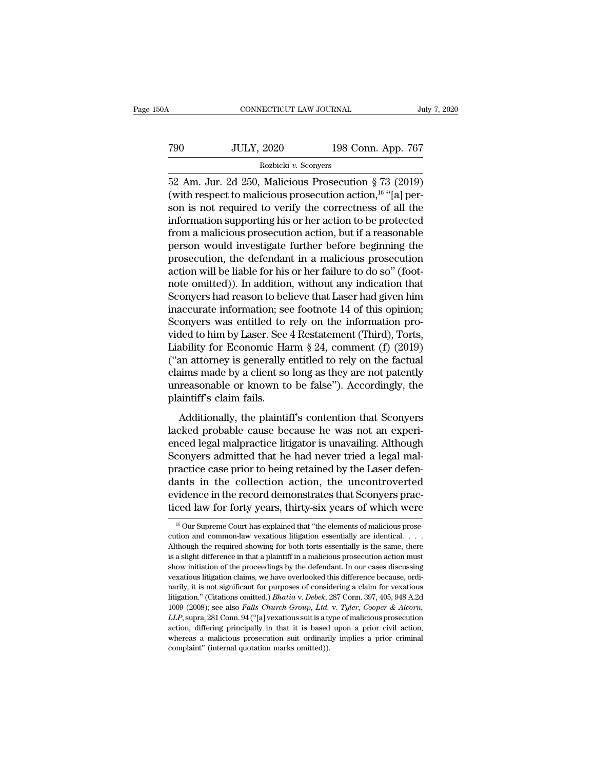## CONNECTICUT LAW JOURNAL July 7, 2020<br>
790 JULY, 2020 198 Conn. App. 767<br>
Rozbicki v. Sconyers Rozbicki *v.* Sconyers

52 Am. Jur. 2d 250, Malicious Prosecution § 73 (2019)<br>
Sam. Jur. 2d 250, Malicious Prosecution § 73 (2019)<br>
52 Am. Jur. 2d 250, Malicious Prosecution § 73 (2019)<br>
(with respect to malicious prosecution action,<sup>16</sup> "[a] per (With respect to malicious prosecution action,<sup>16</sup> <sup>Rozbicki v</sup>. Sconvers<br>
(with respect to malicious prosecution  $\S 73$  (2019)<br>
(with respect to malicious prosecution action,<sup>16</sup> "[a] per-<br>
son is not required to verify For THE TWE THE THE SCONE THE THE SCONE THE REPORT THE SCONE THE SET ALL THE SCOTE SET ALL THE SCOTE THAT THE SCOTE SCOTE SCOTE SCOTE SCOTE SCOTE SCOTE SCOTE SCOTE SCOTE SCOTE SCOTE SCOTE SCOTE SCOTE SCOTE SCOTE SCOTE SCO From TVLX, 2020 198 Conn. App. 767<br>
Rozbicki v. Sconyers<br>
52 Am. Jur. 2d 250, Malicious Prosecution  $\S 73$  (2019)<br>
(with respect to malicious prosecution action, <sup>16</sup> "[a] per-<br>
son is not required to verify the correctne From a malicious prosecution and increase the correct of all the information supporting his or her action to be protected<br>from a malicious prosecution action,  $16$  "[a] person is not required to verify the correctness of Fozbicki v. Sconyers<br>
52 Am. Jur. 2d 250, Malicious Prosecution § 73 (2019)<br>
(with respect to malicious prosecution action,<sup>16</sup> "[a] per-<br>
son is not required to verify the correctness of all the<br>
information supporting h 52 Am. Jur. 2d 250, Malicious Prosecution § 73 (2019)<br>(with respect to malicious prosecution action,<sup>16</sup> "[a] per-<br>son is not required to verify the correctness of all the<br>information supporting his or her action to be pr (with respect to malicious prosecution action,<sup>16</sup> "[a] person is not required to verify the correctness of all the information supporting his or her action to be protected from a malicious prosecution action, but if a re son is not required to verify the correctness of all the<br>information supporting his or her action to be protected<br>from a malicious prosecution action, but if a reasonable<br>person would investigate further before beginning t information supporting his or her action to be protected<br>from a malicious prosecution action, but if a reasonable<br>person would investigate further before beginning the<br>prosecution, the defendant in a malicious prosecution<br> from a malicious prosecution action, but if a reasonable<br>person would investigate further before beginning the<br>prosecution, the defendant in a malicious prosecution<br>action will be liable for his or her failure to do so" (f person would investigate further before beginning the<br>prosecution, the defendant in a malicious prosecution<br>action will be liable for his or her failure to do so" (foot-<br>note omitted)). In addition, without any indication prosecution, the defendant in a malicious prosecution<br>action will be liable for his or her failure to do so" (foot-<br>note omitted)). In addition, without any indication that<br>Sconyers had reason to believe that Laser had giv action will be liable for his or her failure to do so" (foot-<br>note omitted)). In addition, without any indication that<br>Sconyers had reason to believe that Laser had given him<br>inaccurate information; see footnote 14 of this note omitted)). In addition, without any indication that<br>Sconyers had reason to believe that Laser had given him<br>inaccurate information; see footnote 14 of this opinion;<br>Sconyers was entitled to rely on the information pro Sconyers had reason to believe that Laser had given him<br>inaccurate information; see footnote 14 of this opinion;<br>Sconyers was entitled to rely on the information pro-<br>vided to him by Laser. See 4 Restatement (Third), Torts inaccurate information; see footnote 14 of this opinion;<br>Sconyers was entitled to rely on the information pro-<br>vided to him by Laser. See 4 Restatement (Third), Torts,<br>Liability for Economic Harm § 24, comment (f) (2019)<br>( Sconyers was entitled to<br>vided to him by Laser. See<br>Liability for Economic Ha<br>("an attorney is generally elaims made by a client so<br>unreasonable or known to<br>plaintiff's claim fails.<br>Additionally, the plainti Additionally for Economic Harm § 24, comment (f) (2019)<br>an attorney is generally entitled to rely on the factual<br>aims made by a client so long as they are not patently<br>reasonable or known to be false"). Accordingly, the<br>ai Continue that  $\frac{1}{3}$   $\frac{1}{2}$ , contribute (*f*) (2019)<br>("an attorney is generally entitled to rely on the factual<br>claims made by a client so long as they are not patently<br>unreasonable or known to be false"). According

(an assinct) is generally entaited to rely on the factual<br>claims made by a client so long as they are not patently<br>unreasonable or known to be false"). Accordingly, the<br>plaintiff's claim fails.<br>Additionally, the plaintiff' Edata hade by a chent so long as ancy are not patchary<br>unreasonable or known to be false"). Accordingly, the<br>plaintiff's claim fails.<br>Additionally, the plaintiff's contention that Sconyers<br>lacked probable cause because he matured or habom to be hase *j*. Recordingly, are plaintiff's claim fails.<br>Additionally, the plaintiff's contention that Sconyers<br>lacked probable cause because he was not an experienced legal malpractice litigator is unava Additionally, the plaintiff's contention that Sconyers<br>lacked probable cause because he was not an experi-<br>enced legal malpractice litigator is unavailing. Although<br>Sconyers admitted that he had never tried a legal mal-<br>pr Additionally, the plaintiff's contention that Sconyers<br>lacked probable cause because he was not an experi-<br>enced legal malpractice litigator is unavailing. Although<br>Sconyers admitted that he had never tried a legal mal-<br>pr lacked probable cause because he was not an experi-<br>enced legal malpractice litigator is unavailing. Although<br>Sconyers admitted that he had never tried a legal mal-<br>practice case prior to being retained by the Laser defenpractice case prior to being retained by the Laser defendants in the collection action, the uncontroverted evidence in the record demonstrates that Sconyers practiced law for forty years, thirty-six years of which were  $\$ dants in the collection action, the uncontroverted<br>evidence in the record demonstrates that Sconyers prac-<br>ticed law for forty years, thirty-six years of which were<br> $\frac{16}{10}$  Our Supreme Court has explained that "the el

evidence in the record demonstrates that Sconyers practiced law for forty years, thirty-six years of which were<br> $\frac{16}{10}$ Our Supreme Court has explained that "the elements of malicious prosecution and common-law vexatio is a slight difference in that a plaintiff in a malicious prosecution and common-law vexatious litigation essentially are identical.  $\ldots$  Although the required showing for both torts essentially is the same, there is a s show initiation of the proceedings by the defendant. In our cases discussing Although the required showing for both torts essentially is the same, there is a slight difference in that a plaintiff in a malicious prosecution action must show initiation of the proceedings by the defendant. In our cas cution and common-law vexatious litigation essentially are identical....<br>Although the required showing for both torts essentially is the same, there<br>is a slight difference in that a plaintiff in a malicious prosecution act Although the required showing for both torts essentially is the same, there is a slight difference in that a plaintiff in a malicious prosecution action must show initiation of the proceedings by the defendant. In our case <sup>1</sup> is a slight difference in that a plaintiff in a malicious prosecution action must show initiation of the proceedings by the defendant. In our cases discussing vexatious litigation claims, we have overlooked this differ *LLP*, supra, 281 Conn. 94 ("[a] vexatious suit is a type of malician proceedings by the defendant. In our cases discussing vexatious litigation claims, we have overlooked this difference because, ordinarily, it is not sig vexations litigation claims, we have overlooked this difference because, ordinarily, it is not significant for purposes of considering a claim for vexations litigation." (Citations omitted.) *Bhatia* v. *Debek*, 287 Conn. narily, it is not significant for purposes of considering a claim for vexatious 1009 (2008); see also Falls Church Group, Ltd. v. Tyler, Cooper & Alcorn,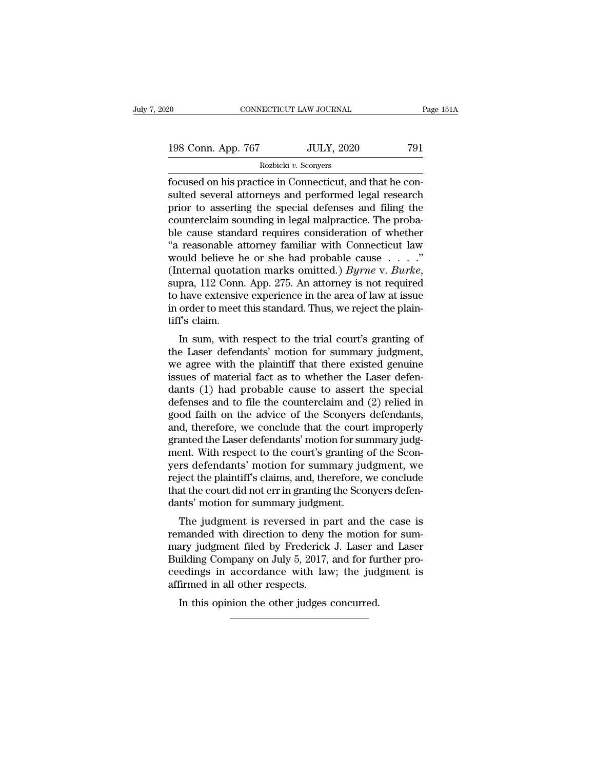| 20                 | CONNECTICUT LAW JOURNAL | Page 151A |
|--------------------|-------------------------|-----------|
| 198 Conn. App. 767 | <b>JULY, 2020</b>       | 791       |
|                    | Rozbicki v. Sconyers    |           |

For the Southeast Connecticut CAW JOURNAL<br>198 Conn. App. 767 JULY, 2020 791<br>198 Connecticut, and that he con-<br>198 Focused on his practice in Connecticut, and that he con-<br>199 Southed Several attorneys and performed legal r 198 Conn. App. 767 JULY, 2020 791<br>Rozbicki v. Sconyers<br>focused on his practice in Connecticut, and that he consulted several attorneys and performed legal research<br>prior to asserting the special defenses and filing the<br>cou 198 Conn. App. 767 JULY, 2020 791<br>
Rozbicki v. Sconyers<br>
focused on his practice in Connecticut, and that he consulted several attorneys and performed legal research<br>
prior to asserting the special defenses and filing the 198 Conn. App. 767 JULY, 2020 791<br>
Rozbicki v. Sconyers<br>
focused on his practice in Connecticut, and that he consulted several attorneys and performed legal research<br>
prior to asserting the special defenses and filing the  $\frac{1}{2}$  Rozbicki v. Sconyers<br>
focused on his practice in Connecticut, and that he con-<br>
sulted several attorneys and performed legal research<br>
prior to asserting the special defenses and filing the<br>
counterclaim soundin <sup>Rozbicki</sup> *v*. Sconyers<br>
focused on his practice in Connecticut, and that he con-<br>
sulted several attorneys and performed legal research<br>
prior to asserting the special defenses and filing the<br>
counterclaim sounding in l focused on his practice in Connecticut, and that he consulted several attorneys and performed legal research<br>prior to asserting the special defenses and filing the<br>counterclaim sounding in legal malpractice. The proba-<br>bl sulted several attorneys and performed legal research<br>prior to asserting the special defenses and filing the<br>counterclaim sounding in legal malpractice. The proba-<br>ble cause standard requires consideration of whether<br>"a re counterclaim sounding in legal malpractice. The probable cause standard requires consideration of whether<br>"a reasonable attorney familiar with Connecticut law<br>would believe he or she had probable cause . . . ."<br>(Internal ble cause standard requires consideration of whether<br>"a reasonable attorney familiar with Connecticut law<br>would believe he or she had probable cause  $\dots$ ."<br>(Internal quotation marks omitted.) *Byrne* v. *Burke*,<br>supra, 11 % a reasonable a<br>would believe h<br>(Internal quotat<br>supra, 112 Conn<br>to have extensiv<br>in order to meet<br>tiff's claim.<br>In sum, with : Dulti believe the of site had probable cause  $\ldots$  internal quotation marks omitted.) Byrne v. Burke, pra, 112 Conn. App. 275. An attorney is not required have extensive experience in the area of law at issue order to mee (internal quotation filars of sulfited.)  $Dg$  ine v.  $Du$  ine,<br>supra, 112 Conn. App. 275. An attorney is not required<br>to have extensive experience in the area of law at issue<br>in order to meet this standard. Thus, we rejec

supra, 112 Colul. App. 275. All attorney is not required<br>to have extensive experience in the area of law at issue<br>in order to meet this standard. Thus, we reject the plain-<br>tiff's claim.<br>In sum, with respect to the trial c to have extensive experience in the area of law at issue<br>in order to meet this standard. Thus, we reject the plain-<br>tiff's claim.<br>In sum, with respect to the trial court's granting of<br>the Laser defendants' motion for summa definite the standard countries, we reject the plant-<br>tiff's claim.<br>In sum, with respect to the trial court's granting of<br>the Laser defendants' motion for summary judgment,<br>we agree with the plaintiff that there existed ge In sum, with respect to the trial court's granting of<br>the Laser defendants' motion for summary judgment,<br>we agree with the plaintiff that there existed genuine<br>issues of material fact as to whether the Laser defen-<br>dants ( In sum, with respect to the trial court's granting of<br>the Laser defendants' motion for summary judgment,<br>we agree with the plaintiff that there existed genuine<br>issues of material fact as to whether the Laser defen-<br>dants ( the Laser defendants' motion for summary judgment,<br>we agree with the plaintiff that there existed genuine<br>issues of material fact as to whether the Laser defen-<br>dants (1) had probable cause to assert the special<br>defenses a we agree with the plaintiff that there existed genuine<br>issues of material fact as to whether the Laser defen-<br>dants (1) had probable cause to assert the special<br>defenses and to file the counterclaim and (2) relied in<br>good issues of material fact as to whether the Laser defendants (1) had probable cause to assert the special defenses and to file the counterclaim and (2) relied in good faith on the advice of the Sconyers defendants, and, ther dants (1) had probable cause to assert the special<br>defenses and to file the counterclaim and (2) relied in<br>good faith on the advice of the Sconyers defendants,<br>and, therefore, we conclude that the court improperly<br>granted defenses and to file the counterclaim and (2) relied in<br>good faith on the advice of the Sconyers defendants,<br>and, therefore, we conclude that the court improperly<br>granted the Laser defendants' motion for summary judg-<br>ment good faith on the advice of the Sconyers defendants,<br>and, therefore, we conclude that the court improperly<br>granted the Laser defendants' motion for summary judg-<br>ment. With respect to the court's granting of the Scon-<br>yers and, therefore, we conclude that the court<br>granted the Laser defendants' motion for sument. With respect to the court's granting<br>yers defendants' motion for summary jud<br>reject the plaintiff's claims, and, therefore, v<br>that anted the Laser detendants inotion for summary judge-<br>ent. With respect to the court's granting of the Scon-<br>rs defendants' motion for summary judgment, we<br>ject the plaintiff's claims, and, therefore, we conclude<br>at the co remanded with direction for summary judgment, we<br>reject the plaintiff's claims, and, therefore, we conclude<br>that the court did not err in granting the Sconyers defen-<br>dants' motion for summary judgment.<br>The judgment is rev

by the plaintiff's claims, and, therefore, we conclude<br>that the court did not err in granting the Sconyers defen-<br>dants' motion for summary judgment.<br>The judgment is reversed in part and the case is<br>remanded with direction reject the plantin's claims, and, therefore, we conclude<br>that the court did not err in granting the Sconyers defen-<br>dants' motion for summary judgment.<br>The judgment is reversed in part and the case is<br>remanded with directi cellar the court dual not err in granting the sconyers defendants' motion for summary judgment.<br>The judgment is reversed in part and the case is<br>remanded with direction to deny the motion for sum-<br>mary judgment filed by Fr The judgment is reversed in parameters.<br>The judgment is reversed in parameters with direction to deny t<br>mary judgment filed by Frederick<br>Building Company on July 5, 2017,<br>ceedings in accordance with lave<br>affirmed in all ot The judgment is reversed in part and the monded with direction to deny the motion ary judgment filed by Frederick J. Laser a ilding Company on July 5, 2017, and for funding in accordance with law; the judges in all other r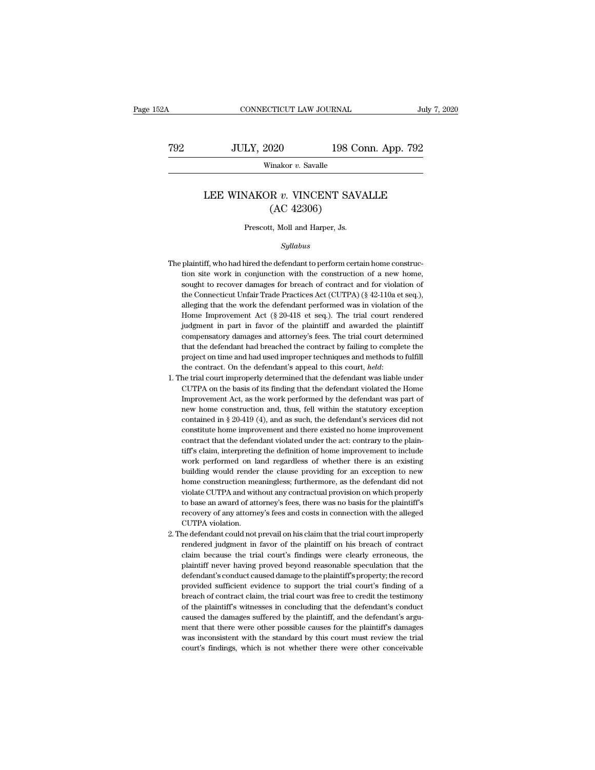CONNECTICUT LAW JOURNAL July 7, 2020<br>
T92 JULY, 2020 198 Conn. App. 792<br>
Winakor v. Savalle

Winakor *v.* Savalle

## JULY, 2020 198 Conn. App. 792<br>Winakor *v.* Savalle<br>LEE WINAKOR *v.* VINCENT SAVALLE<br>(AC 42306)  $\begin{array}{ll}\n 020 & 198 \text{ C} \\
 \text{inakor } v. \text{ Savalle} \\
 \text{R } v. \text{ VINCENT SAV} \\
 \text{(AC 42306)} \\
 \text{t, Moll and Harper, Js.}\n \end{array}$ LEE WINAKOR  $v$ . VINCENT SAVALLE<br>(AC 42306)<br>Prescott, Moll and Harper, Js.

## *Syllabus*

- $(AC 42306)$ <br>Prescott, Moll and Harper, Js.<br> $Syllabus$ <br>The plaintiff, who had hired the defendant to perform certain home construc-<br>tion site work in conjunction with the construction of a new home, Frescott, Moll and Harper, Js.<br>
Syllabus<br>
plaintiff, who had hired the defendant to perform certain home construc-<br>
tion site work in conjunction with the construction of a new home,<br>
sought to recover damages for breach o Frescott, Moll and Harper, Js.<br>Syllabus<br>plaintiff, who had hired the defendant to perform certain home construc-<br>tion site work in conjunction with the construction of a new home,<br>sought to recover damages for breach of co  $Syllabus$ <br>plaintiff, who had hired the defendant to perform certain home construc-<br>tion site work in conjunction with the construction of a new home,<br>sought to recover damages for breach of contract and for violation of<br>the C symmus<br>plaintiff, who had hired the defendant to perform certain home construc-<br>tion site work in conjunction with the construction of a new home,<br>sought to recover damages for breach of contract and for violation of<br>the C plaintiff, who had hired the defendant to perform certain home construction site work in conjunction with the construction of a new home, sought to recover damages for breach of contract and for violation of the Connecticu tion site work in conjunction with the construction of a new home, sought to recover damages for breach of contract and for violation of the Connecticut Unfair Trade Practices Act (CUTPA) (§ 42-110a et seq.), alleging tha sought to recover damages for breach of contract and for violation of<br>the Connecticut Unfair Trade Practices Act (CUTPA) (§ 42-110a et seq.),<br>alleging that the work the defendant performed was in violation of the<br>Home Impr the Connecticut Unfair Trade Practices Act (CUTPA) (§ 42-110a et seq.), alleging that the work the defendant performed was in violation of the Home Improvement Act (§ 20-418 et seq.). The trial court rendered judgment in the Connecticut Unfair Trade Practices Act (CUTPA) (§ 42-110a et seq.), alleging that the work the defendant performed was in violation of the Home Improvement Act (§ 20-418 et seq.). The trial court rendered judgment in Home Improvement Act (§ 20-418 et seq.). The trial court rendered judgment in part in favor of the plaintiff and awarded the plaintiff compensatory damages and attorney's fees. The trial court determined that the defendan compensatory damages and attorney's fees. The trial court determined<br>that the defendant had breached the contract by failing to complete the<br>project on time and had used improper techniques and methods to fulfill<br>the contr
- that the defendant had breached the contract by failing to complete the project on time and had used improper techniques and methods to fulfill the contract. On the defendant's appeal to this court, *held*: he trial court project on time and had used improper techniques and methods to fulfill<br>the contract. On the defendant's appeal to this court, *held*:<br>he trial court improperly determined that the defendant was liable under<br>CUTPA on the b the contract. On the defendant's appeal to this court, *held*:<br>the trial court improperly determined that the defendant was liable under<br>CUTPA on the basis of its finding that the defendant violated the Home<br>Improvement A he trial court improperly determined that the defendant was liable under CUTPA on the basis of its finding that the defendant violated the Home Improvement Act, as the work performed by the defendant was part of new home c CUTPA on the basis of its finding that the defendant violated the Home<br>Improvement Act, as the work performed by the defendant was part of<br>new home construction and, thus, fell within the statutory exception<br>contained in Improvement Act, as the work performed by the defendant was part of<br>new home construction and, thus, fell within the statutory exception<br>contained in  $\S 20-419$  (4), and as such, the defendant's services did not<br>constitut new home construction and, thus, fell within the statutory exception contained in § 20-419 (4), and as such, the defendant's services did not constitute home improvement and there existed no home improvement contract that contained in  $\S 20-419$  (4), and as such, the defendant's services did not constitute home improvement and there existed no home improvement contract that the defendant violated under the act: contrary to the plaintiff's constitute home improvement and there existed no home improvement contract that the defendant violated under the act: contrary to the plaintiff's claim, interpreting the definition of home improvement to include work perfo contract that the defendant violated under the act: contrary to the plain-<br>tiff's claim, interpreting the definition of home improvement to include<br>work performed on land regardless of whether there is an existing<br>building tiff's claim, interpreting the definition of home improvement to include work performed on land regardless of whether there is an existing building would render the clause providing for an exception to new home constructio work performed on land regardless of whether there is an existing building would render the clause providing for an exception to new home construction meaningless; furthermore, as the defendant did not violate CUTPA and wi building would render<br>home construction me<br>violate CUTPA and with<br>to base an award of att<br>recovery of any attorne<br>CUTPA violation.<br>he defendant could not home construction meaningless; furthermore, as the defendant did not violate CUTPA and without any contractual provision on which properly to base an award of attorney's fees, there was no basis for the plaintiff's recover violate CUTPA and without any contractual provision on which properly<br>to base an award of attorney's fees, there was no basis for the plaintiff's<br>recovery of any attorney's fees and costs in connection with the alleged<br>CUT
- to base an award of attorney's fees, there was no basis for the plaintiff's<br>recovery of any attorney's fees and costs in connection with the alleged<br>CUTPA violation.<br>he defendant could not prevail on his claim that the tri recovery of any attorney's fees and costs in connection with the alleged CUTPA violation.<br>
he defendant could not prevail on his claim that the trial court improperly<br>
rendered judgment in favor of the plaintiff on his bre CUTPA violation.<br>
he defendant could not prevail on his claim that the trial court improperly<br>
rendered judgment in favor of the plaintiff on his breach of contract<br>
claim because the trial court's findings were clearly er he defendant could not prevail on his claim that the trial court improperly rendered judgment in favor of the plaintiff on his breach of contract claim because the trial court's findings were clearly erroneous, the plainti rendered judgment in favor of the plaintiff on his breach of contract<br>claim because the trial court's findings were clearly erroneous, the<br>plaintiff never having proved beyond reasonable speculation that the<br>defendant's co claim because the trial court's findings were clearly erroneous, the plaintiff never having proved beyond reasonable speculation that the defendant's conduct caused damage to the plaintiff's property; the record provided s plaintiff never having proved beyond reasonable speculation that the defendant's conduct caused damage to the plaintiff's property; the record provided sufficient evidence to support the trial court's finding of a breach o defendant's conduct caused damage to the plaintiff's property; the record provided sufficient evidence to support the trial court's finding of a breach of contract claim, the trial court was free to credit the testimony of provided sufficient evidence to support the trial court's finding of a<br>breach of contract claim, the trial court was free to credit the testimony<br>of the plaintiff's witnesses in concluding that the defendant's conduct<br>caus breach of contract claim, the trial court was free to credit the testimony of the plaintiff's witnesses in concluding that the defendant's conduct caused the damages suffered by the plaintiff, and the defendant's argument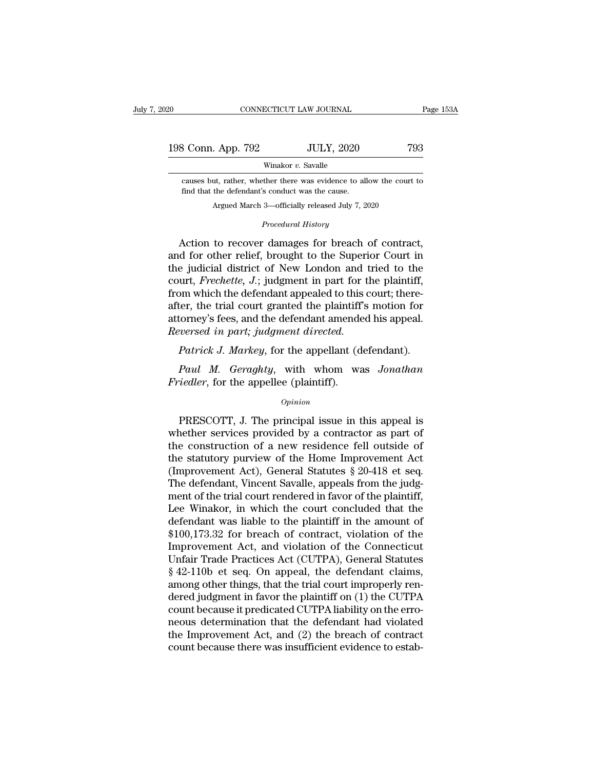| 20                 | CONNECTICUT LAW JOURNAL | Page 153A |
|--------------------|-------------------------|-----------|
|                    |                         |           |
| 198 Conn. App. 792 | <b>JULY, 2020</b>       | 793       |
|                    | Winakor v. Savalle      |           |

3 Conn. App. 792 JULY, 2020 793<br>Winakor v. Savalle<br>causes but, rather, whether there was evidence to allow the court to<br>find that the defendant's conduct was the cause. Find that the defendant's conduct was evidence to all find that the defendant's conduct was the cause.<br>Argued March 3—officially released July 7, 2 App.  $792$  JULY,  $2020$   $792$  Winakor v. Savalle<br>ut, rather, whether there was evidence to allow the court<br>the defendant's conduct was the cause.<br>Argued March 3—officially released July 7, 2020 % causes but, rather, whether there was evidence to allow the court to<br>find that the defendant's conduct was the cause.<br>Argued March 3—officially released July 7, 2020<br>*Procedural History*<br>Action to recover damages for bre

Winakor v. Savalle<br>
causes but, rather, whether there was evidence to allow the court to<br>
find that the defendant's conduct was the cause.<br>
Argued March 3—officially released July 7, 2020<br> *Procedural History*<br>
Action to r causes but, rather, whether there was evidence to allow the court to<br>find that the defendant's conduct was the cause.<br>Argued March 3—officially released July 7, 2020<br>*Procedural History*<br>Action to recover damages for breac find that the defendant's conduct was the cause.<br>
Argued March 3—officially released July 7, 2020<br>
Procedural History<br>
Action to recover damages for breach of contract,<br>
and for other relief, brought to the Superior Court Argued March 3—officially released July 7, 2020<br> *Frocedural History*<br> **Action to recover damages for breach of contract,<br>
and for other relief, brought to the Superior Court in<br>
the judicial district of New London and tri** Frocedural History<br>Action to recover damages for breach of contract,<br>and for other relief, brought to the Superior Court in<br>the judicial district of New London and tried to the<br>court, Frechette, J.; judgment in part for th Froceaard History<br>Action to recover damages for breach of contract,<br>and for other relief, brought to the Superior Court in<br>the judicial district of New London and tried to the<br>court, Frechette, J.; judgment in part for the Action to recover damages for breach of contract,<br>and for other relief, brought to the Superior Court in<br>the judicial district of New London and tried to the<br>court, *Frechette*, J.; judgment in part for the plaintiff,<br>from and for other relief, brought to the Supericate in part for the judicial district of New London and t court, *Frechette, J.*; judgment in part for the from which the defendant appealed to this cafter, the trial court grant *Patrick J. Patrick J.*; *Judgment* in part for the plaintiff, bm which the defendant appealed to this court; there-<br>ter, the trial court granted the plaintiff's motion for torney's fees, and the defendant amended his a *Paul M. Germannian* appealed to this court; there-<br>ter, the trial court granted the plaintiff's motion for<br>torney's fees, and the defendant amended his appeal.<br>*Patrick J. Markey*, for the appellant (defendant).<br>*Paul M.* Friedler, the trial court granted the plaintiff<br>attorney's fees, and the defendant amende<br>*Reversed in part; judgment directed.*<br>*Patrick J. Markey*, for the appellant (d<br>*Paul M. Geraghty*, with whom was<br>*Friedler*, for t

## *Opinion*

Patrick J. Markey, for the appellant (defendant).<br>
Paul M. Geraghty, with whom was Jonathan<br>
iedler, for the appellee (plaintiff).<br>
Opinion<br>
PRESCOTT, J. The principal issue in this appeal is<br>
nether services provided by a Paul M. Geraghty, with whom was Jonathan<br>Friedler, for the appellee (plaintiff).<br> $o_{pinion}$ <br>PRESCOTT, J. The principal issue in this appeal is<br>whether services provided by a contractor as part of<br>the construction of a new re Paul M. Geraghty, with whom was Jonathan<br>Friedler, for the appellee (plaintiff).<br> $opinion$ <br>PRESCOTT, J. The principal issue in this appeal is<br>whether services provided by a contractor as part of<br>the construction of a new resid Friedler, for the appellee (plaintiff).<br>  $\phi_{pinion}$ <br>
PRESCOTT, J. The principal issue in this appeal is<br>
whether services provided by a contractor as part of<br>
the construction of a new residence fell outside of<br>
the statuto Opinion<br>
Opinion<br>
PRESCOTT, J. The principal issue in this appeal is<br>
whether services provided by a contractor as part of<br>
the construction of a new residence fell outside of<br>
the statutes where the Home Improvement Act<br> PRESCOTT, J. The principal issue in this appeal is<br>whether services provided by a contractor as part of<br>the construction of a new residence fell outside of<br>the statutory purview of the Home Improvement Act<br>(Improvement Ac PRESCOTT, J. The principal issue in this appeal is<br>whether services provided by a contractor as part of<br>the construction of a new residence fell outside of<br>the statutory purview of the Home Improvement Act<br>(Improvement Ac whether services provided by a contractor as part of<br>the construction of a new residence fell outside of<br>the statutory purview of the Home Improvement Act<br>(Improvement Act), General Statutes  $\S 20-418$  et seq.<br>The defenda the construction of a new residence fell outside of<br>the statutory purview of the Home Improvement Act<br>(Improvement Act), General Statutes § 20-418 et seq.<br>The defendant, Vincent Savalle, appeals from the judg-<br>ment of the the statutory purview of the Home Improvement Act<br>(Improvement Act), General Statutes § 20-418 et seq.<br>The defendant, Vincent Savalle, appeals from the judg-<br>ment of the trial court rendered in favor of the plaintiff,<br>Lee (Improvement Act), General Statutes  $\S 20-418$  et seq.<br>The defendant, Vincent Savalle, appeals from the judgment of the trial court rendered in favor of the plaintiff,<br>Lee Winakor, in which the court concluded that the<br>de The defendant, Vincent Savalle, appeals from the judgment of the trial court rendered in favor of the plaintiff, Lee Winakor, in which the court concluded that the defendant was liable to the plaintiff in the amount of \$10 ment of the trial court rendered in favor of the plaintiff,<br>Lee Winakor, in which the court concluded that the<br>defendant was liable to the plaintiff in the amount of<br>\$100,173.32 for breach of contract, violation of the<br>Imp Lee Winakor, in which the court concluded that the<br>defendant was liable to the plaintiff in the amount of<br>\$100,173.32 for breach of contract, violation of the<br>Improvement Act, and violation of the Connecticut<br>Unfair Trade defendant was liable to the plaintiff in the amount of \$100,173.32 for breach of contract, violation of the Improvement Act, and violation of the Connecticut Unfair Trade Practices Act (CUTPA), General Statutes § 42-110b e \$100,173.32 for breach of contract, violation of the Improvement Act, and violation of the Connecticut Unfair Trade Practices Act (CUTPA), General Statutes  $§$  42-110b et seq. On appeal, the defendant claims, among other Improvement Act, and violation of the Connecticut<br>Unfair Trade Practices Act (CUTPA), General Statutes<br>§ 42-110b et seq. On appeal, the defendant claims,<br>among other things, that the trial court improperly ren-<br>dered judgm Unfair Trade Practices Act (CUTPA), General Statutes<br>§ 42-110b et seq. On appeal, the defendant claims,<br>among other things, that the trial court improperly ren-<br>dered judgment in favor the plaintiff on (1) the CUTPA<br>count  $§$  42-110b et seq. On appeal, the defendant claims,<br>among other things, that the trial court improperly ren-<br>dered judgment in favor the plaintiff on (1) the CUTPA<br>count because it predicated CUTPA liability on the erro-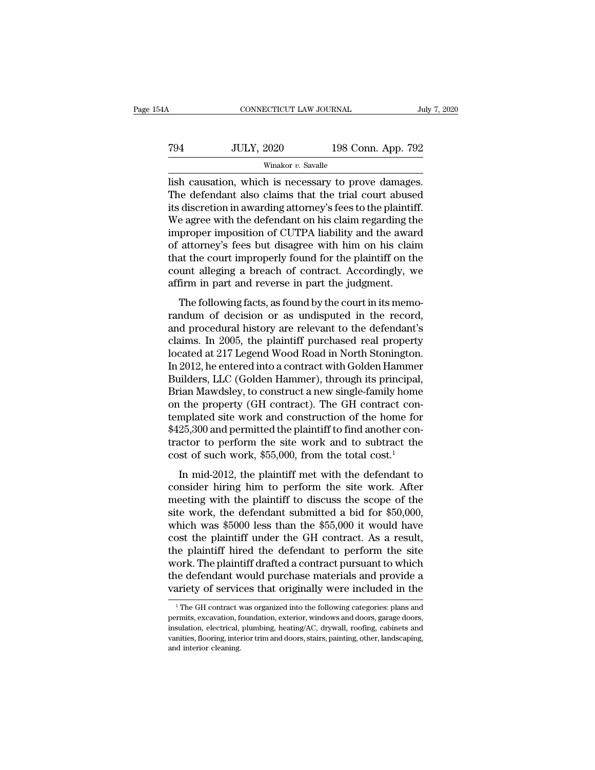| 54A | CONNECTICUT LAW JOURNAL |                    | July 7, 2020 |
|-----|-------------------------|--------------------|--------------|
|     |                         |                    |              |
| 794 | <b>JULY, 2020</b>       | 198 Conn. App. 792 |              |
|     | Winakor v. Savalle      |                    |              |

CONNECTICUT LAW JOURNAL July 7, 2<br>
T94 JULY, 2020 198 Conn. App. 792<br>
Winakor v. Savalle<br>
Ilish causation, which is necessary to prove damages.<br>
The defendant also claims that the trial court abused<br>
its discretion in awar The defendant also claims that the trial court abused<br>ish causation, which is necessary to prove damages.<br>The defendant also claims that the trial court abused<br>its discretion in awarding attorney's fees to the plaintiff.<br> its discretion in awarding attorney's fees to the plaintiff.  $\nu$   $\overline{U}$   $\overline{U}$   $\overline{U}$   $\overline{U}$   $\overline{U}$   $\overline{U}$   $\overline{U}$   $\overline{U}$   $\overline{U}$   $\overline{U}$   $\overline{U}$   $\overline{U}$   $\overline{U}$   $\overline{U}$   $\overline{U}$   $\overline{U}$   $\overline{U}$   $\overline{U}$   $\overline{U}$   $\overline{U}$   $\overline{U}$   $\overline{U}$   $\overline{U}$   $\overline{U}$  Vinakor v. Savalle<br>
lish causation, which is necessary to prove damages.<br>
The defendant also claims that the trial court abused<br>
its discretion in awarding attorney's fees to the plaintiff.<br>
We agree with the defendant on WINDAKOF *v*. Savalle<br>
lish causation, which is necessary to prove damages.<br>
The defendant also claims that the trial court abused<br>
its discretion in awarding attorney's fees to the plaintiff.<br>
We agree with the defendant lish causation, which is necessary to prove damages.<br>The defendant also claims that the trial court abused<br>its discretion in awarding attorney's fees to the plaintiff.<br>We agree with the defendant on his claim regarding the The defendant also claims that the trial court abused<br>its discretion in awarding attorney's fees to the plaintiff.<br>We agree with the defendant on his claim regarding the<br>improper imposition of CUTPA liability and the award its discretion in awarding attorney's fees to the plaintif<br>We agree with the defendant on his claim regarding th<br>improper imposition of CUTPA liability and the awar<br>of attorney's fees but disagree with him on his clain<br>tha Eaglet With the detendant of this chain regarding the<br>proper imposition of CUTPA liability and the award<br>attorney's fees but disagree with him on his claim<br>at the court improperly found for the plaintiff on the<br>unt allegin randum of attorney's fees but disagree with him on his claim<br>that the court improperly found for the plaintiff on the<br>count alleging a breach of contract. Accordingly, we<br>affirm in part and reverse in part the judgment.<br>T

or attorney's rees but usagice with rink of his claim<br>that the court improperly found for the plaintiff on the<br>count alleging a breach of contract. Accordingly, we<br>affirm in part and reverse in part the judgment.<br>The follo claims are count improperty found for the plaintiff of the<br>count alleging a breach of contract. Accordingly, we<br>affirm in part and reverse in part the judgment.<br>The following facts, as found by the court in its memo-<br>randu Example a breach of contract. Recordingty, we<br>affirm in part and reverse in part the judgment.<br>The following facts, as found by the court in its memo-<br>randum of decision or as undisputed in the record,<br>and procedural histo The following facts, as found by the court in its memo-<br>randum of decision or as undisputed in the record,<br>and procedural history are relevant to the defendant's<br>claims. In 2005, the plaintiff purchased real property<br>locat The following facts, as found by the court in its memo-<br>randum of decision or as undisputed in the record,<br>and procedural history are relevant to the defendant's<br>claims. In 2005, the plaintiff purchased real property<br>locat randum of decision or as undisputed in the record,<br>and procedural history are relevant to the defendant's<br>claims. In 2005, the plaintiff purchased real property<br>located at 217 Legend Wood Road in North Stonington.<br>In 2012, and procedural history are relevant to the defendant's<br>claims. In 2005, the plaintiff purchased real property<br>located at 217 Legend Wood Road in North Stonington.<br>In 2012, he entered into a contract with Golden Hammer<br>Buil claims. In 2005, the plaintiff purchased real property<br>located at 217 Legend Wood Road in North Stonington.<br>In 2012, he entered into a contract with Golden Hammer<br>Builders, LLC (Golden Hammer), through its principal,<br>Brian located at 217 Legend Wood Road in North Stonington.<br>In 2012, he entered into a contract with Golden Hammer<br>Builders, LLC (Golden Hammer), through its principal,<br>Brian Mawdsley, to construct a new single-family home<br>on the In 2012, he entered into a contract with Golden Hammer<br>Builders, LLC (Golden Hammer), through its principal,<br>Brian Mawdsley, to construct a new single-family home<br>on the property (GH contract). The GH contract con-<br>templat Builders, LLC (Golden Hammer), through its principal,<br>Brian Mawdsley, to construct a new single-family home<br>on the property (GH contract). The GH contract con-<br>templated site work and construction of the home for<br>\$425,300 In manufactor, it constructs a file with the property (GH contract). The GH contract con-<br>mplated site work and construction of the home for<br>25,300 and permitted the plaintiff to find another con-<br>actor to perform the sit on the property (or contract). The orientate con-<br>templated site work and construction of the home for<br>\$425,300 and permitted the plaintiff to find another con-<br>tractor to perform the site work and to subtract the<br>cost of

\$425,300 and permitted the plaintiff to find another con-<br>\$425,300 and permitted the plaintiff to find another con-<br>tractor to perform the site work and to subtract the<br>cost of such work, \$55,000, from the total cost.<sup>1</sup><br>  $\mu$  25,500 and permitted are plant to mediatorier contractor to perform the site work and to subtract the cost of such work, \$55,000, from the total cost.<sup>1</sup><br>In mid-2012, the plaintiff met with the defendant to consider cost of such work, \$55,000, from the total cost.<sup>1</sup><br>In mid-2012, the plaintiff met with the defendant to<br>consider hiring him to perform the site work. After<br>meeting with the plaintiff to discuss the scope of the<br>site work In mid-2012, the plaintiff met with the defendant to consider hiring him to perform the site work. After meeting with the plaintiff to discuss the scope of the site work, the defendant submitted a bid for \$50,000, which w In mid-2012, the plaintiff met with the defendant to<br>consider hiring him to perform the site work. After<br>meeting with the plaintiff to discuss the scope of the<br>site work, the defendant submitted a bid for \$50,000,<br>which wa consider hiring him to perform the site work. After<br>meeting with the plaintiff to discuss the scope of the<br>site work, the defendant submitted a bid for \$50,000,<br>which was \$5000 less than the \$55,000 it would have<br>cost the meeting with the plaintiff to discuss the scope of the<br>site work, the defendant submitted a bid for \$50,000,<br>which was \$5000 less than the \$55,000 it would have<br>cost the plaintiff under the GH contract. As a result,<br>the pl site work, the defendant submitted a bid for \$50,000,<br>which was \$5000 less than the \$55,000 it would have<br>cost the plaintiff under the GH contract. As a result,<br>the plaintiff hired the defendant to perform the site<br>work. T ie plaintiff hired the defendant to perform the site<br>ork. The plaintiff drafted a contract pursuant to which<br>he defendant would purchase materials and provide a<br>ariety of services that originally were included in the<br><sup>1</sup>Th work. The plaintiff drafted a contract pursuant to which<br>the defendant would purchase materials and provide a<br>variety of services that originally were included in the<br><sup>1</sup>The GH contract was organized into the following cat

the defendant would purchase materials and provide a<br>variety of services that originally were included in the<br><sup>1</sup>The GH contract was organized into the following categories: plans and<br>permits, excavation, foundation, exter variety of services that originally were included in the article of services that originally were included in the  $\frac{1}{1}$  The GH contract was organized into the following categories: plans and permits, excavation, founda  $^1$  The GH contract was organized into the following categories: plans and permits, excavation, foundation, exterior, windows and doors, garage doors, insulation, electrical, plumbing, heating/AC, drywall, roofing, cabin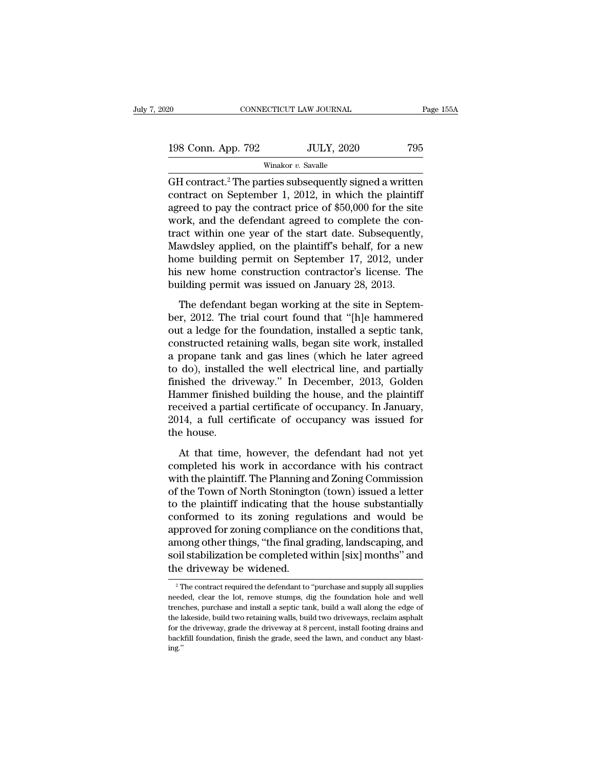| 20                 | CONNECTICUT LAW JOURNAL |                   | Page 155A |
|--------------------|-------------------------|-------------------|-----------|
| 198 Conn. App. 792 |                         | <b>JULY, 2020</b> | 795       |
|                    | Winakor v. Savalle      |                   |           |

CONNECTICUT LAW JOURNAL Page 155A<br>
198 Conn. App. 792 JULY, 2020 795<br>
Winakor v. Savalle<br>
GH contract.<sup>2</sup> The parties subsequently signed a written<br>
contract on September 1, 2012, in which the plaintiff 198 Conn. App. 792 JULY, 2020 795<br>Winakor v. Savalle<br>GH contract.<sup>2</sup> The parties subsequently signed a written<br>contract on September 1, 2012, in which the plaintiff<br>agreed to pay the contract price of \$50,000 for the site 198 Conn. App. 792 JULY, 2020 795<br>Winakor v. Savalle<br>GH contract.<sup>2</sup> The parties subsequently signed a written<br>contract on September 1, 2012, in which the plaintiff<br>agreed to pay the contract price of \$50,000 for the site 198 Conn. App. 792 JULY, 2020 795<br>Winakor v. Savalle<br>GH contract.<sup>2</sup> The parties subsequently signed a written<br>contract on September 1, 2012, in which the plaintiff<br>agreed to pay the contract price of \$50,000 for the site Winakor v. Savalle<br>
GH contract.<sup>2</sup> The parties subsequently signed a written<br>
contract on September 1, 2012, in which the plaintiff<br>
agreed to pay the contract price of \$50,000 for the site<br>
work, and the defendant agree WHERE THE PARTIES SUBSEQUENTLY Signed a written<br>
contract on September 1, 2012, in which the plaintiff<br>
agreed to pay the contract price of \$50,000 for the site<br>
work, and the defendant agreed to complete the con-<br>
tract GH contract.<sup>2</sup> The parties subsequently signed a written<br>contract on September 1, 2012, in which the plaintiff<br>agreed to pay the contract price of \$50,000 for the site<br>work, and the defendant agreed to complete the con-<br> contract on September 1, 2012, in which the plaintiff<br>agreed to pay the contract price of \$50,000 for the site<br>work, and the defendant agreed to complete the con-<br>tract within one year of the start date. Subsequently,<br>Mawd agreed to pay the contract price of \$50,000 for the sit<br>work, and the defendant agreed to complete the con<br>tract within one year of the start date. Subsequently<br>Mawdsley applied, on the plaintiff's behalf, for a nev<br>home b First, and the defendant begined to definite the sentiant explorer that date. Subsequently, awdsley applied, on the plaintiff's behalf, for a new me building permit on September 17, 2012, under show home construction contr between the state of the band factor subsequently,<br>Mawdsley applied, on the plaintiff's behalf, for a new<br>home building permit on September 17, 2012, under<br>his new home construction contractor's license. The<br>building permi

namazer, effered, on the frame solid, 17, 2012, under<br>home building permit on September 17, 2012, under<br>his new home construction contractor's license. The<br>building permit was issued on January 28, 2013.<br>The defendant bega France retaining present to the present of the building permit was issued on January 28, 2013.<br>The defendant began working at the site in September, 2012. The trial court found that "[h]e hammered<br>out a ledge for the found a propane tank and gas lines (which he later agreed to do), installed the driven will be driven as a propane tank and gas lines (which he later agreed to do), installed the well electrical line, and partially finished the The defendant began working at the site in September, 2012. The trial court found that "[h]e hammered<br>out a ledge for the foundation, installed a septic tank,<br>constructed retaining walls, began site work, installed<br>a propa The defendant began working at the site in Septem-<br>ber, 2012. The trial court found that "[h]e hammered<br>out a ledge for the foundation, installed a septic tank,<br>constructed retaining walls, began site work, installed<br>a pro ber, 2012. The trial court found that "[h]e hammered<br>out a ledge for the foundation, installed a septic tank,<br>constructed retaining walls, began site work, installed<br>a propane tank and gas lines (which he later agreed<br>to d out a ledge for the foundation, installed a septic tank, constructed retaining walls, began site work, installed a propane tank and gas lines (which he later agreed to do), installed the well electrical line, and partially constructed retaining walls, began site work, installed<br>a propane tank and gas lines (which he later agreed<br>to do), installed the well electrical line, and partially<br>finished the driveway." In December, 2013, Golden<br>Hammer a propane tank<br>to do), installed<br>finished the dr<br>Hammer finishe<br>received a parti<br>2014, a full cer<br>the house.<br>At that time, ished the driveway." In December, 2013, Golden<br>ished the driveway." In December, 2013, Golden<br>immer finished building the house, and the plaintiff<br>ceived a partial certificate of occupancy. In January,<br>14, a full certifica Frammer finished building the house, and the plaintiff<br>received a partial certificate of occupancy. In January,<br>2014, a full certificate of occupancy was issued for<br>the house.<br>At that time, however, the defendant had not y

Fractived a partial certificate of occupancy. In January,<br>2014, a full certificate of occupancy was issued for<br>the house.<br>At that time, however, the defendant had not yet<br>completed his work in accordance with his contract<br> 2014, a full certificate of occupancy was issued for<br>the house.<br>At that time, however, the defendant had not yet<br>completed his work in accordance with his contract<br>with the plaintiff. The Planning and Zoning Commission<br>of the house.<br>
At that time, however, the defendant had not yet<br>
completed his work in accordance with his contract<br>
with the plaintiff. The Planning and Zoning Commission<br>
of the Town of North Stonington (town) issued a lett At that time, however, the defendant had not yet<br>completed his work in accordance with his contract<br>with the plaintiff. The Planning and Zoning Commission<br>of the Town of North Stonington (town) issued a letter<br>to the plain At that time, however, the defendant had not yet<br>completed his work in accordance with his contract<br>with the plaintiff. The Planning and Zoning Commission<br>of the Town of North Stonington (town) issued a letter<br>to the plain completed his work in accordance with his contract<br>with the plaintiff. The Planning and Zoning Commission<br>of the Town of North Stonington (town) issued a letter<br>to the plaintiff indicating that the house substantially<br>conf with the plaintiff. The Planning and Zoning Commission<br>of the Town of North Stonington (town) issued a letter<br>to the plaintiff indicating that the house substantially<br>conformed to its zoning regulations and would be<br>approv of the Town of North Stoningto<br>to the plaintiff indicating that<br>conformed to its zoning regu<br>approved for zoning compliance<br>among other things, "the final gi<br>soil stabilization be completed v<br>the driveway be widened.<br><sup>2</sup>Th approved for zoning compliance on the conditions that,<br>among other things, "the final grading, landscaping, and<br>soil stabilization be completed within [six] months" and<br>the driveway be widened.<br><sup>2</sup>The contract required the among other things, "the final grading, landscaping, and<br>soil stabilization be completed within [six] months" and<br>the driveway be widened.<br><sup>2</sup> The contract required the defendant to "purchase and supply all supplies<br>needed

soil stabilization be completed within [six] months" and<br>the driveway be widened.<br><sup>2</sup> The contract required the defendant to "purchase and supply all supplies<br>needed, clear the lot, remove stumps, dig the foundation hole a The driveway be widened.<br>
<sup>2</sup> The contract required the defendant to "purchase and supply all supplies needed, clear the lot, remove stumps, dig the foundation hole and well trenches, purchase and install a septic tank, bu The driveway be widefied.<br>
<sup>2</sup> The contract required the defendant to "purchase and supply all supplies needed, clear the lot, remove stumps, dig the foundation hole and well trenches, purchase and install a septic tank, b <sup>2</sup> The contract required the defendant to "purchase and supply all supplies needed, clear the lot, remove stumps, dig the foundation hole and well trenches, purchase and install a septic tank, build a wall along the edge ing.''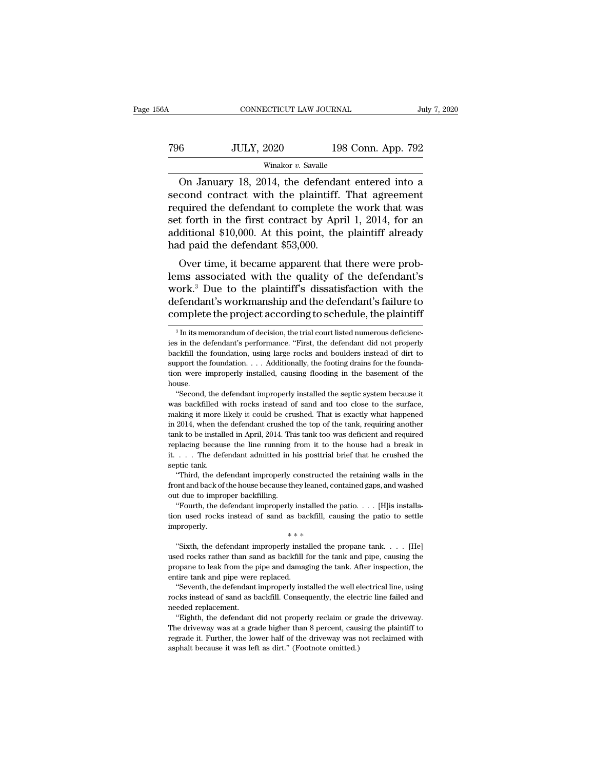## CONNECTICUT LAW JOURNAL July 7, 2020<br>
796 JULY, 2020 198 Conn. App. 792<br>
Winakor v. Savalle Winakor *v.* Savalle

CONNECTICUT LAW JOURNAL July 7, 2020<br>
6 JULY, 2020 198 Conn. App. 792<br>
Winakor v. Savalle<br>
On January 18, 2014, the defendant entered into a<br>
cond contract with the plaintiff. That agreement<br>
muired the defendant to comple The second contract with the plaintiff. That agreement<br>second contract with the plaintiff. That agreement<br>required the defendant to complete the work that was<br>set forth in the first contract by April 1, 2014, for an Table TV and TV and TV and TV and TV and TV and TV and TV and Second contract with the plaintiff. That agreement required the defendant to complete the work that was set forth in the first contract by April 1, 2014, for a The same state of the first contract with the plaintiff. That agreement<br>required the defendant to complete the work that was<br>set forth in the first contract by April 1, 2014, for an<br>additional \$10,000. At this point, the Winakor v. Savalle<br>
On January 18, 2014, the defendant entered into a<br>
second contract with the plaintiff. That agreement<br>
required the defendant to complete the work that was<br>
set forth in the first contract by April 1, maker *v*. Savalle<br>
On January 18, 2014, the defendance<br>
second contract with the plaintiff.<br>
required the defendant to complete the set forth in the first contract by App<br>
additional \$10,000. At this point, the<br>
had paid on January 18, 2014, the defendant entered into a<br>cond contract with the plaintiff. That agreement<br>quired the defendant to complete the work that was<br>t forth in the first contract by April 1, 2014, for an<br>ditional \$10,000. second contract with the plaintiff. That agreement<br>required the defendant to complete the work that was<br>set forth in the first contract by April 1, 2014, for an<br>additional \$10,000. At this point, the plaintiff already<br>had

required the defendant to complete the work that was<br>set forth in the first contract by April 1, 2014, for an<br>additional \$10,000. At this point, the plaintiff already<br>had paid the defendant \$53,000.<br>Over time, it became ap set forth in the first contract by April 1, 2014, for all<br>additional \$10,000. At this point, the plaintiff already<br>had paid the defendant \$53,000.<br>Over time, it became apparent that there were prob-<br>lems associated with th additional  $\phi$ 10,000. At this point, the plaintiff arready<br>had paid the defendant \$53,000.<br>Over time, it became apparent that there were prob-<br>lems associated with the quality of the defendant's<br>work.<sup>3</sup> Due to the plain lems associated with the quality of the defendant's work.<sup>3</sup> Due to the plaintiff's dissatisfaction with the defendant's workmanship and the defendant's failure to complete the project according to schedule, the plaintiff work.<sup>3</sup> Due to the plaintiff's dissatisfaction with the defendant's workmanship and the defendant's failure to complete the project according to schedule, the plaintiff  $\frac{3}{1}$  In its memorandum of decision, the trial

The defendant admitted in his posttrial brief that he crushed the price tank.<br>
"Third, the defendant improperly constructed the retaining walls in the<br>
"Third, the defendant improperly constructed the retaining walls in th the vertex in the possible tank.<br>
"Third, the defendant improperly constructed the retaining walls in the<br>
front and back of the house because they leaned, contained gaps, and washed<br>
out due to improper backfilling.<br>
"Fou

Fractional back of the house because they leaned, cout due to improper backfilling.<br>
"Fourth, the defendant improperly installed the tion used rocks instead of sand as backfill, calmproperly.<br>
"Sixth, the defendant imprope It due to improper backfilling.<br>
"Fourth, the defendant improperly installed the patio.... [H] is installa-<br>
if the to improper backfilling.<br>
"Sixth, the defendant improperly installed the propane tank.... [He]<br>
ed rocks

used rocks instead of sand as backfill, causing the patio to settle<br>improperly.<br>"Fourth, the defendant improperly installed the propane tank.... [He]<br>"Sixth, the defendant improperly installed the propane tank.... [He]<br>use propane to leak from the pipe and damaging the pairs  $\cdot \cdot \cdot \cdot$  [1-] the matrice improperly.<br>
"Sixth, the defendant improperly installed the propane tank.  $\dots$  [He] used rocks rather than sand as backfill for the tank and entire tank and the state of the state of the state of the state with the state were replaced.<br>The propane to leak from the pipe and damagentire tank and pipe were replaced.<br>"Seventh, the defendant improperly instant  $**$ <br>
"Sixth, the defendant improperly installed the propane tank. . . . [He]<br>
ed rocks rather than sand as backfill for the tank and pipe, causing the<br>
opane to leak from the pipe and damaging the tank. After inspection, "Sixth, the defendant improperly installed the propane tank. . . . [He] used rocks rather than sand as backfill for the tank and pipe, causing the propane to leak from the pipe and damaging the tank. After inspection, the need rocks rather than sa<br>propane to leak from the pentire tank and pipe were<br>"Seventh, the defendant<br>rocks instead of sand as b<br>needed replacement.<br>"Eighth, the defendant

propane to leak from the pipe and damaging the tank. After inspection, the entire tank and pipe were replaced.<br>
"Seventh, the defendant improperly installed the well electrical line, using rocks instead of sand as backfill

Frequenties tank and pipe were replaced.<br>
"Seventh, the defendant improperly installed the well electrical line, using<br>
rocks instead of sand as backfill. Consequently, the electric line failed and<br>
reeded replacement.<br>
"E "Seventh, the defendant improperly installed the well electrical line, using<br>rocks instead of sand as backfill. Consequently, the electric line failed and<br>needed replacement.<br>"Eighth, the defendant did not properly reclaim rocks instead of sand as backfill. Consequently, the electric line failed and needed replacement.<br>
"Eighth, the defendant did not properly reclaim or grade the driveway.<br>
The driveway was at a grade higher than 8 percent,

defendant's workmanship and the defendant's failure to<br>complete the project according to schedule, the plaintiff<br><sup>3</sup>In its memorandum of decision, the trial court listed numerous deficienc-<br>ies in the defendant's performan **Example the project according to schedule, the plaintiff**<br><sup>3</sup> In its memorandum of decision, the trial court listed numerous deficienc-<br>ies in the defendant's performance. "First, the defendant did not properly<br>backfill t  $^3$ In its memorandum of decision, the trial court listed numerous deficiencies in the defendant's performance. "First, the defendant did not properly backfill the foundation, using large rocks and boulders instead of dir house. is in the defendant's performance. "First, the defendant did not properly ckfill the foundation, using large rocks and boulders instead of dirt to pport the foundation. . . . Additionally, the footing drains for the founda where the foundation, using large rocks and boulders instead of dirt to support the foundation.  $\ldots$  Additionally, the footing drains for the foundation were improperly installed, causing flooding in the basement of the

making it more likely it. Additionally, the footing drains for the foundation were improperly installed, causing flooding in the basement of the house.<br>
"Second, the defendant improperly installed the septic system becaus in 2014, when the defendant crushed the septic system because it was backfilled with rocks instead of sand and too close to the surface, making it more likely it could be crushed. That is exactly what happened in 2014, whe The instant of the defendant improperly installed the septic system because it was backfilled with rocks instead of sand and too close to the surface, making it more likely it could be crushed. That is exactly what happene "Second, the defendant improperly installed the septic system because it was backfilled with rocks instead of sand and too close to the surface, making it more likely it could be crushed. That is exactly what happened in was backfilled with rocks instead of sand and too close to the surface, making it more likely it could be crushed. That is exactly what happened in 2014, when the defendant crushed the top of the tank, requiring another t was backfilled with rocks instead of sand and too close to the surface, making it more likely it could be crushed. That is exactly what happened in 2014, when the defendant crushed the top of the tank, requiring another t 2014, when the defendant crushed the top of the tank, requiring another and the best in April, 2014. This tank too was deficient and required placing because the line running from it to the house had a break in  $\ldots$ . The from the house had a break thank to be installed in April, 2014. This tank too was deficient and required replacing because the line running from it to the house had a break in it. . . . The defendant admitted in his post replacing because the line running 1<br>replacing because the line running 1<br>it.... The defendant admitted in h<br>septic tank.<br>"Third, the defendant improperly contrained both the house because the<br>out due to improper backfilli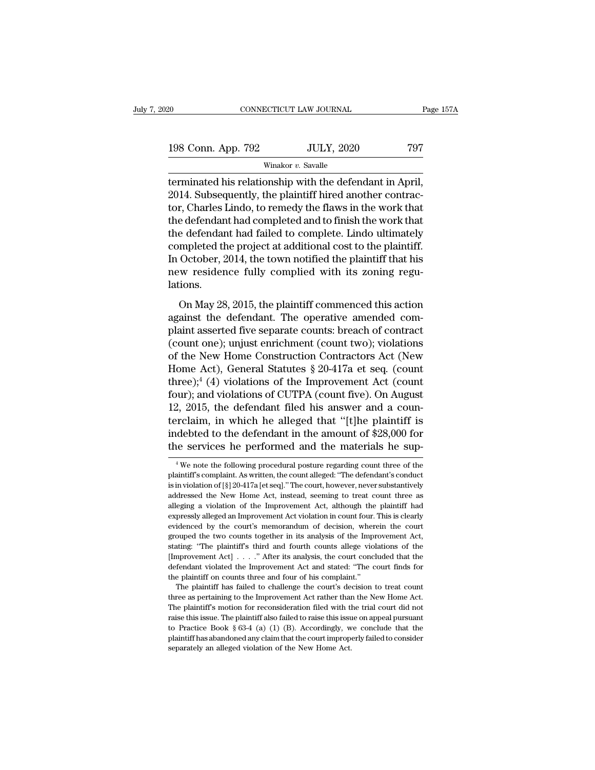| 20                 | CONNECTICUT LAW JOURNAL | Page 157A |
|--------------------|-------------------------|-----------|
| 198 Conn. App. 792 | <b>JULY, 2020</b>       | 797       |
|                    | Winakor v. Savalle      |           |

Figure 20<br>
terminated his relationship with the defendant in April,<br>
2014. Subsequently, the plaintiff hired another contractor. Charles Linda to remody the flaws in the work that 2020 198 Conn. App. 792 JULY, 2020 797<br>
Winakor v. Savalle<br>
2014. Subsequently, the plaintiff hired another contrac-<br>
2014. Subsequently, the plaintiff hired another contrac-<br>
2014. Subsequently, the plaintiff hired anothe 198 Conn. App. 792 JULY, 2020 797<br>Winakor v. Savalle<br>terminated his relationship with the defendant in April,<br>2014. Subsequently, the plaintiff hired another contrac-<br>tor, Charles Lindo, to remedy the flaws in the work th 198 Conn. App. 792 JULY, 2020 797<br>
Winakor v. Savalle<br>
terminated his relationship with the defendant in April,<br>
2014. Subsequently, the plaintiff hired another contractor, Charles Lindo, to remedy the flaws in the work t  $\frac{1}{2}$  Winakor v. Savalle<br>terminated his relationship with the defendant in April,<br>2014. Subsequently, the plaintiff hired another contrac-<br>tor, Charles Lindo, to remedy the flaws in the work that<br>the defendant had com WIRRAGE WE SAVAILE (WIRRAGET AT APPLI).<br>
19014. Subsequently, the plaintiff hired another contractor, Charles Lindo, to remedy the flaws in the work that<br>
the defendant had completed and to finish the work that<br>
the defen terminated his relationship with the defendant in April,<br>2014. Subsequently, the plaintiff hired another contractor, Charles Lindo, to remedy the flaws in the work that<br>the defendant had completed and to finish the work th 2014. Subsequently, the plaintiff hired another contractor, Charles Lindo, to remedy the flaws in the work that the defendant had completed and to finish the work that the defendant had failed to complete. Lindo ultimately lations. Experimental divergence and to the matrix the work diale<br>e defendant had failed to complete. Lindo ultimately<br>mpleted the project at additional cost to the plaintiff.<br>October, 2014, the town notified the plaintiff that his and definition and target of completed the project at additional cost to the plaintiff.<br>In October, 2014, the town notified the plaintiff that his<br>new residence fully complied with its zoning regu-<br>lations.<br>On May 28, 2015

In October, 2014, the town notified the plaintiff that his<br>new residence fully complied with its zoning regu-<br>lations.<br>On May 28, 2015, the plaintiff commenced this action<br>against the defendant. The operative amended com-(count one); understand the principal and the mean one) and the set of contractions.<br>
On May 28, 2015, the plaintiff commenced this action<br>
against the defendant. The operative amended com-<br>
plaint asserted five separate c Lations.<br>
On May 28, 2015, the plaintiff commenced this action<br>
against the defendant. The operative amended com-<br>
plaint asserted five separate counts: breach of contract<br>
(count one); unjust enrichment (count two); viol On May 28, 2015, the plaintiff commenced this action<br>against the defendant. The operative amended com-<br>plaint asserted five separate counts: breach of contract<br>(count one); unjust enrichment (count two); violations<br>of the On May 28, 2015, the plaintiff commenced this action<br>against the defendant. The operative amended com-<br>plaint asserted five separate counts: breach of contract<br>(count one); unjust enrichment (count two); violations<br>of the against the defendant. The operative amended com-<br>plaint asserted five separate counts: breach of contract<br>(count one); unjust enrichment (count two); violations<br>of the New Home Construction Contractors Act (New<br>Home Act), plaint asserted five separate counts: breach of contract<br>(count one); unjust enrichment (count two); violations<br>of the New Home Construction Contractors Act (New<br>Home Act), General Statutes § 20-417a et seq. (count<br>three); (count one); unjust enrichment (count two); violations<br>of the New Home Construction Contractors Act (New<br>Home Act), General Statutes  $\S 20-417a$  et seq. (count<br>three);<sup>4</sup> (4) violations of the Improvement Act (count<br>four) of the New Home Construction Contractors Act (New Home Act), General Statutes § 20-417a et seq. (count three);<sup>4</sup> (4) violations of the Improvement Act (count four); and violations of CUTPA (count five). On August 12, 201 Home Act), General Statutes § 20-417a et seq. (count<br>three);<sup>4</sup> (4) violations of the Improvement Act (count<br>four); and violations of CUTPA (count five). On August<br>12, 2015, the defendant filed his answer and a coun-<br>terc 12, 2015, the defendant filed his answer and a counterclaim, in which he alleged that "[t]he plaintiff is indebted to the defendant in the amount of \$28,000 for the services he performed and the materials he sup-<br>  $\frac{4}{1$ terclaim, in which he alleged that "[t]he plaintiff is<br>indebted to the defendant in the amount of \$28,000 for<br>the services he performed and the materials he sup-<br><sup>4</sup>We note the following procedural posture regarding count

indebted to the defendant in the amount of \$28,000 for<br>the services he performed and the materials he sup-<br><sup>4</sup>We note the following procedural posture regarding count three of the<br>plaintiff's complaint. As written, the co the services he performed and the materials he sup-<br>
<sup>4</sup>We note the following procedural posture regarding count three of the<br>
plaintiff's complaint. As written, the count alleged: "The defendant's conduct<br>
is in violatio The Services the performed and the intaterials the sup-<br>
<sup>4</sup> We note the following procedural posture regarding count three of the<br>
plaintiff's complaint. As written, the count alleged: "The defendant's conduct<br>
is in viol <sup>4</sup> We note the following procedural posture regarding count three of the plaintiff's complaint. As written, the count alleged: "The defendant's conduct is in violation of  $[\S]$  20-417a [et seq]." The court, however, neve plaintiff's complaint. As written, the count alleged: "The defendant's conduct<br>is in violation of [§] 20-417a [et seq]." The court, however, never substantively<br>addressed the New Home Act, instead, seeming to treat count t premium is in violation of  $[\S] 20-417a$  [et seq]." The court, however, never substantively addressed the New Home Act, instead, seeming to treat count three as alleging a violation of the Improvement Act, although the pl addressed the New Home Act, instead, seeming to treat count three as alleging a violation of the Improvement Act, although the plaintiff had expressly alleged an Improvement Act violation in count four. This is clearly evi alleging a violation of the Improvement Act, although the plaintiff had expressly alleged an Improvement Act violation in count four. This is clearly evidenced by the court's memorandum of decision, wherein the court group expressly alleged an Improvement Act violation in count four. This is clearly evidenced by the court's memorandum of decision, wherein the court grouped the two counts together in its analysis of the Improvement Act, stati evidenced by the court's memorandum of decision, wherevidenced by the court's memorandum of decision, wherever approximating: "The plaintiff's third and fourth counts allege viol [Improvement Act] . . . ." After its analys ouped the two counts together in its analysis of the Improvement Act, atting: "The plaintiff's third and fourth counts allege violations of the mprovement Act]  $\ldots$ ." After its analysis, the court concluded that the fend stating: "The plaintiff's third and fourth counts allege violations of the [Improvement Act]  $\ldots$ ." After its analysis, the court concluded that the defendant violated the Improvement Act and stated: "The court finds for

<sup>[</sup>Improvement Act]  $\dots$  " After its analysis, the court concluded that the defendant violated the Improvement Act and stated: "The court finds for the plaintiff on counts three and four of his complaint." The plaintiff has defendant violated the Improvement Act and stated: "The court finds for<br>the plaintiff on counts three and four of his complaint."<br>The plaintiff has failed to challenge the court's decision to treat count<br>three as pertaini the plaintiff on counts three and four of his complaint."<br>The plaintiff on counts three and four of his complaint."<br>The plaintiff has failed to challenge the court's decision to treat count<br>three as pertaining to the Impro The plaintiff has failed to challenge the court's decision to treat count<br>three as pertaining to the Improvement Act rather than the New Home Act.<br>The plaintiff's motion for reconsideration filed with the trial court did three as pertaining to the Improvement Act rather than<br>three as pertaining to the Improvement Act rather than<br>The plaintiff's motion for reconsideration filed with th<br>raise this issue. The plaintiff also failed to raise th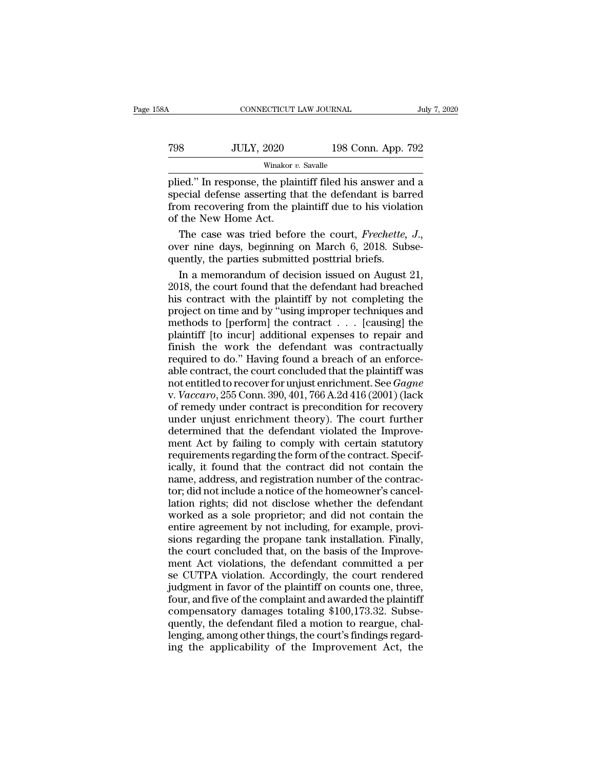| 3A  | CONNECTICUT LAW JOURNAL |                    | July 7, 2020 |
|-----|-------------------------|--------------------|--------------|
|     |                         |                    |              |
| 798 | <b>JULY, 2020</b>       | 198 Conn. App. 792 |              |
|     | Winakor v. Savalle      |                    |              |

FRIENT CONNECTICUT LAW JOURNAL July 7, 2020<br>
TOP JULY, 2020 198 Conn. App. 792<br>
Winakor v. Savalle<br>
plied.'' In response, the plaintiff filed his answer and a<br>
special defense asserting that the defendant is barred<br>
from r  $\begin{tabular}{ll} \hline 798 & \multicolumn{1}{l}{} \text{JULY, 2020} & \multicolumn{1}{l}{} \text{198 Conn. App. 792} \\ & \multicolumn{1}{l}{} \text{Winakor } v. \text{ Savalle} \\ \hline \text{plied." In response, the plaintiff filed his answer and a special defense asserting that the defendant is barred} \\ \hline \text{from recovering from the plaintiff due to his violation} \\ \hline \text{of the New Home Act} \end{tabular}$ From From TVLX, 2020 and 198 Conn. App. 792<br>
Winakor v. Savalle<br>
plied." In response, the plaintiff filed his answer and a<br>
special defense asserting that the defendant is barred<br>
from recovering from the plaintiff due to  $\begin{tabular}{c} T98 & \quad JULY, 2020 \\ \hline \hline \text{winakor } v \\ \text{plied.} \end{tabular}$  <br> winakor  $v$ <br> <br> plied." In response, the plais <br> <br> special defense asserting the from recovering from the p<br> of the New Home Act.<br> <br> The case was tried before Winakor v. Savalle<br>
plied." In response, the plaintiff filed his answer and a<br>
special defense asserting that the defendant is barred<br>
from recovering from the plaintiff due to his violation<br>
of the New Home Act.<br>
The case plied." In response, the plaintiff filed his answer an special defense asserting that the defendant is bar from recovering from the plaintiff due to his violat of the New Home Act.<br>The case was tried before the court, *Fre* 

Eclique asserting that the defendant is barred<br>om recovering from the plaintiff due to his violation<br>the New Home Act.<br>The case was tried before the court, Frechette, J.,<br>rer nine days, beginning on March 6, 2018. Subse-<br>e

From recovering from the plaintiff due to fits violation<br>of the New Home Act.<br>The case was tried before the court, *Frechette*, J.,<br>over nine days, beginning on March 6, 2018. Subse-<br>quently, the parties submitted posttria of the New Home Act.<br>The case was tried before the court, *Frechette*, J.,<br>over nine days, beginning on March 6, 2018. Subse-<br>quently, the parties submitted posttrial briefs.<br>In a memorandum of decision issued on August 21 The case was tried before the court, *Frechette*, *J.*,<br>over nine days, beginning on March 6, 2018. Subse-<br>quently, the parties submitted posttrial briefs.<br>In a memorandum of decision issued on August 21,<br>2018, the court over nine days, beginning on March 6, 2018. Subsequently, the parties submitted posttrial briefs.<br>In a memorandum of decision issued on August 21,<br>2018, the court found that the defendant had breached<br>his contract with the quently, the parties submitted posttrial briefs.<br>In a memorandum of decision issued on August 21,<br>2018, the court found that the defendant had breached<br>his contract with the plaintiff by not completing the<br>project on time In a memorandum of decision issued on August 21,<br>2018, the court found that the defendant had breached<br>his contract with the plaintiff by not completing the<br>project on time and by "using improper techniques and<br>methods to 2018, the court found that the defendant had breached<br>his contract with the plaintiff by not completing the<br>project on time and by "using improper techniques and<br>methods to [perform] the contract  $\ldots$  [causing] the<br>plain Following the plaintiff by not completing the<br>project on time and by "using improper techniques and<br>methods to [perform] the contract  $\ldots$  [causing] the<br>plaintiff [to incur] additional expenses to repair and<br>finish the w notice that the **perform** and by "using improper techniques and<br>methods to [perform] the contract . . . [causing] the<br>plaintiff [to incur] additional expenses to repair and<br>finish the work the defendant was contractually<br>r progressive the contract contract contract contract in the plaintiff [to incur] additional expenses to repair and finish the work the defendant was contractually required to do." Having found a breach of an enforceable con plaintiff [to incur] additional expenses to repair and<br>finish the work the defendant was contractually<br>required to do." Having found a breach of an enforce-<br>able contract, the court concluded that the plaintiff was<br>not en finish the work the defendant was contractually<br>required to do." Having found a breach of an enforce-<br>able contract, the court concluded that the plaintiff was<br>not entitled to recover for unjust enrichment. See *Gagne*<br>v. required to do." Having found a breach of an enforce-<br>able contract, the court concluded that the plaintiff was<br>not entitled to recover for unjust enrichment. See *Gagne*<br>v. *Vaccaro*, 255 Conn. 390, 401, 766 A.2d 416 (20 Following the contract, the court concluded that the plaintiff was<br>not entitled to recover for unjust enrichment. See *Gagne*<br>v. *Vaccaro*, 255 Conn. 390, 401, 766 A.2d 416 (2001) (lack<br>of remedy under contract is precond and entitled to recover for unjust enrichment. See *Gagne* v. *Vaccaro*, 255 Conn. 390, 401, 766 A.2d 416 (2001) (lack of remedy under contract is precondition for recovery under unjust enrichment theory). The court furth ically, it found that the contract did not contract of temedy under contract is precondition for recovery<br>under unjust enrichment theory). The court further<br>determined that the defendant violated the Improve-<br>ment Act by f name of remedy under contract is precondition for recovery<br>of remedy under contract is precondition for recovery<br>under unjust enrichment theory). The court further<br>determined that the defendant violated the Improve-<br>ment A or remeay ander containe is precomment of technical<br>under unjust enrichment theory). The court further<br>determined that the defendant violated the Improve-<br>ment Act by failing to comply with certain statutory<br>requirements r determined that the defendant violated the Improve-<br>ment Act by failing to comply with certain statutory<br>requirements regarding the form of the contract. Specif-<br>ically, it found that the contract did not contain the<br>name, ment Act by failing to comply with certain statutory<br>requirements regarding the form of the contract. Specifically, it found that the contract did not contain the<br>name, address, and registration number of the contrac-<br>tor; requirements regarding the form of the contract. Specifically, it found that the contract did not contain the name, address, and registration number of the contractor; did not include a notice of the homeowner's cancellati Form of the contract of the contract of point<br>ically, it found that the contract did not contain the<br>name, address, and registration number of the contrac-<br>tor; did not include a notice of the homeowner's cancel-<br>lation ri Fourty, a Fourtain and the statistical was the contractor; did not include a notice of the homeowner's cancellation rights; did not disclose whether the defendant worked as a sole proprietor; and did not contain the entire manter, and text, and regularized induced of the committed committed toring that the defendant worked as a sole proprietor; and did not contain the entire agreement by not including, for example, provisions regarding the p sex, aarloed and according the therm of effendant<br>action rights; did not disclose whether the defendant<br>worked as a sole proprietor; and did not contain the<br>entire agreement by not including, for example, provi-<br>sions rega morked as a sole proprietor; and did not contain the<br>entire agreement by not including, for example, provi-<br>sions regarding the propane tank installation. Finally,<br>the court concluded that, on the basis of the Improve-<br>men Fourier as a set proprietor, and five osition per<br>entire agreement by not including, for example, provisions regarding the propane tank installation. Finally,<br>the court concluded that, on the basis of the Improve-<br>ment Ac chara agreement by the metalling, for emangle, provides sions regarding the propane tank installation. Finally, the court concluded that, on the basis of the Improvement Act violations, the defendant committed a per se CUT read a model and states in the basis of the Improvement Act violations, the defendant committed a per<br>se CUTPA violation. Accordingly, the court rendered<br>judgment in favor of the plaintiff on counts one, three,<br>four, and f and Act violations, the defendant committed a per<br>se CUTPA violation. Accordingly, the court rendered<br>judgment in favor of the plaintiff on counts one, three,<br>four, and five of the complaint and awarded the plaintiff<br>compe se CUTPA violation. Accordingly, the court rendered<br>judgment in favor of the plaintiff on counts one, three,<br>four, and five of the complaint and awarded the plaintiff<br>compensatory damages totaling \$100,173.32. Subse-<br>quent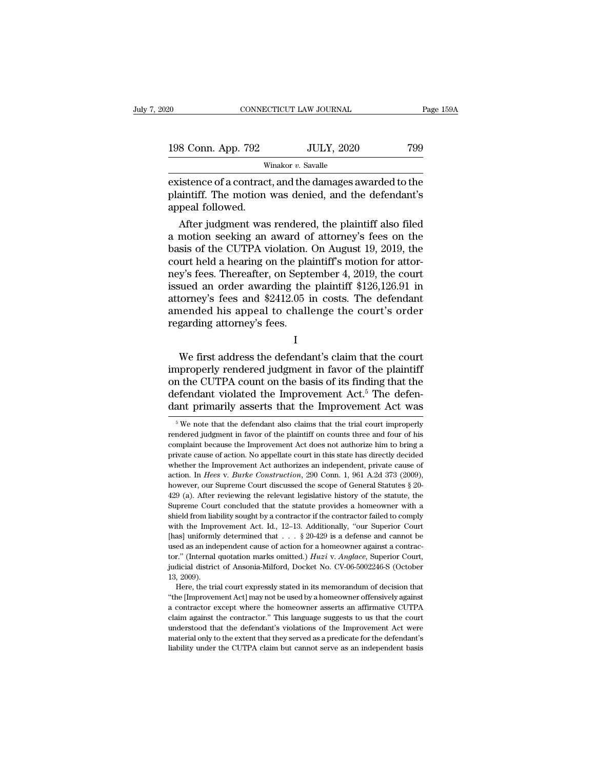| 20                 | CONNECTICUT LAW JOURNAL |                   | Page 159A |
|--------------------|-------------------------|-------------------|-----------|
|                    |                         |                   |           |
| 198 Conn. App. 792 |                         | <b>JULY, 2020</b> | 799       |
|                    | Winakor v. Savalle      |                   |           |

EXECUTE 2000 EONNECTICUT LAW JOURNAL Page 159A<br>
198 Conn. App. 792 JULY, 2020 799<br>
Winakor v. Savalle<br>
existence of a contract, and the damages awarded to the<br>
plaintiff. The motion was denied, and the defendant's<br>
appeal 198 Conn. App. 792 JULY, 2020 799<br>Winakor v. Savalle<br>existence of a contract, and the damages awarded to the plaintiff. The motion was denied, and the defendant's<br>appeal followed. 198 Conn. App. 792<br>wexistence of a contract<br>plaintiff. The motion<br>appeal followed.<br>After judgment was  $\begin{array}{r} \text{8 Conn. App. 792} \text{ Winakor } v. \text{ Savalle} \ \end{array}$ <br>  $\begin{array}{r} \text{Winakor } v. \text{ Savalle} \ \end{array}$ <br>  $\begin{array}{r} \text{distance of a contract, and the damages awarded to the  
\n a unit if. The motion was denied, and the defendant's  
\n peak of the old. \end{array}$ <br>  $\begin{array}{r} \text{After judgment was rendered, the plaintiff also filed  
\n motion seeking an award of, the plaintiff also filed  
\n sies of the CUTPA violation. On August 19–2019, the$ 

 $\frac{W_{\text{inakor } v. \text{ Savalle}}{W_{\text{inakor } v. \text{ Savalle}}}$ <br>
existence of a contract, and the damages awarded to the<br>
plaintiff. The motion was denied, and the defendant's<br>
appeal followed.<br>
After judgment was rendered, the plaintiff also existence of a contract, and the damages awarded to the<br>plaintiff. The motion was denied, and the defendant's<br>appeal followed.<br>After judgment was rendered, the plaintiff also filed<br>a motion seeking an award of attorney's f existence of a contract, and the damages awarded to the<br>plaintiff. The motion was denied, and the defendant's<br>appeal followed.<br>After judgment was rendered, the plaintiff also filed<br>a motion seeking an award of attorney's f plaintiff. The motion was denied, and the defendant's<br>appeal followed.<br>After judgment was rendered, the plaintiff also filed<br>a motion seeking an award of attorney's fees on the<br>basis of the CUTPA violation. On August 19, 2 appeal followed.<br>
After judgment was rendered, the plaintiff also filed<br>
a motion seeking an award of attorney's fees on the<br>
basis of the CUTPA violation. On August 19, 2019, the<br>
court held a hearing on the plaintiff's m After judgment was rendered, the plaintiff also filed<br>a motion seeking an award of attorney's fees on the<br>basis of the CUTPA violation. On August 19, 2019, the<br>court held a hearing on the plaintiff's motion for attor-<br>ney' a motion seeking an award of attorney's fees on the<br>basis of the CUTPA violation. On August 19, 2019, the<br>court held a hearing on the plaintiff's motion for attor-<br>ney's fees. Thereafter, on September 4, 2019, the court<br>is basis of the CUTPA violation.<br>court held a hearing on the pla<br>ney's fees. Thereafter, on Septa<br>issued an order awarding the<br>attorney's fees and \$2412.05 i<br>amended his appeal to chall<br>regarding attorney's fees. solven a contributed an order awarding the plaintiff \$126,126.91 in<br>torney's fees and \$2412.05 in costs. The defendant<br>nended his appeal to challenge the court's order<br>garding attorney's fees.<br>I<br>We first address the defend

I

improperly rendered in the basis of the planning intervalses and \$2412.05 in costs. The defendant<br>amended his appeal to challenge the court's order<br>regarding attorney's fees.<br>I<br>We first address the defendant's claim that and the CUTPA count of the Improvement of the defendant<br>  $\frac{1}{1}$ <br>
We first address the defendant's claim that the court<br>
improperly rendered judgment in favor of the plaintiff<br>
on the CUTPA count on the basis of its fin regarding attorney's fees.<br>
I<br>
We first address the defendant's claim that the court<br>
improperly rendered judgment in favor of the plaintiff<br>
on the CUTPA count on the basis of its finding that the<br>
defendant violated the I<br>
We first address the defendant's claim that the court<br>
improperly rendered judgment in favor of the plaintiff<br>
on the CUTPA count on the basis of its finding that the<br>
defendant violated the Improvement Act.<sup>5</sup> The def mproperly rendered judgment in favor of the plaintiff<br>in the CUTPA count on the basis of its finding that the<br>efendant violated the Improvement Act.<sup>5</sup> The defen-<br>ant primarily asserts that the Improvement Act was<br><sup>5</sup>We no on the CUTPA count on the basis of its finding that the defendant violated the Improvement Act.<sup>5</sup> The defendant primarily asserts that the Improvement Act was  $\frac{1}{5}$  We note that the defendant also claims that the tri

defendant violated the Improvement Act.<sup>5</sup> The defendant primarily asserts that the Improvement Act was  $\frac{1}{\sqrt{2}}$  we note that the defendant also claims that the trial court improperly rendered judgment in favor of the dant primarily asserts that the Improvement Act was<br>
<sup>5</sup> We note that the defendant also claims that the trial court improperly<br>
rendered judgment in favor of the plaintiff on counts three and four of his<br>
complaint becaus We note that the defendant also claims that the trial court improperly<br>
<sup>5</sup> We note that the defendant also claims that the trial court improperly<br>
rendered judgment in favor of the plaintiff on counts three and four of h <sup>5</sup> We note that the defendant also claims that the trial court improperly rendered judgment in favor of the plaintiff on counts three and four of his complaint because the Improvement Act does not authorize him to bring rendered judgment in favor of the plaintiff on counts three and four of his complaint because the Improvement Act does not authorize him to bring a private cause of action. No appellate court in this state has directly de complaint because the Improvement Act does not authorize him to bring a private cause of action. No appellate court in this state has directly decided whether the Improvement Act authorizes an independent, private cause o by private cause of action. No appellate court in this state has directly decided whether the Improvement Act authorizes an independent, private cause of action. In *Hees v. Burke Construction*, 290 Conn. 1, 961 A.2d 373 Fried from the Improvement Act authorizes an independent, private cause of action. In *Hees v. Burke Construction*, 290 Conn. 1, 961 A.2d 373 (2009), however, our Supreme Court discussed the scope of General Statutes § 20with the Improvement Act. Id., 12–13. Additionally, "our Superior Court (has a sticked the scope of General Statutes § 20-429 (a). After reviewing the relevant legislative history of the statute, the Supreme Court conclud however, our Supreme Court discussed the scope of General Statutes § 20-429 (a). After reviewing the relevant legislative history of the statute, the Supreme Court concluded that the statute provides a homeowner with a shi 429 (a). After reviewing the relevant legislative history of the statute, the Supreme Court concluded that the statute provides a homeowner with a shield from liability sought by a contractor if the contractor failed to c Eupreme Court concluded that the statute provides a homeowner with a Shield from liability sought by a contractor if the contractor failed to comply with the Improvement Act. Id., 12–13. Additionally, "our Superior Court [ shield from liability sought by a contractor if the contractor failed to comply with the Improvement Act. Id., 12–13. Additionally, "our Superior Court [has] uniformly determined that  $\ldots$  § 20-429 is a defense and canno with the Impromediate Internal<br>
13, 2009).<br>
13, 2009).<br>
14, 2009).<br>
14, Here, the tria as a uniformly determined that  $\ldots$  \$ 20-429 is a defense and cannot be ed as an independent cause of action for a homeowner against a contraction.<br>The trial quotation marks omitted.) *Huzi* v. *Anglace*, Superior Court, Final and independent cause of action for a homeowner against a contracture." (Internal quotation marks omitted.) *Huzi* v. *Anglace*, Superior Court, judicial district of Ansonia-Milford, Docket No. CV-06-5002246-S (Octo

a contractor except where the homeowner asserts an affirmative CUTPA<br>contractor except where the homeowners of the homeowner of decision that<br>interest the trial court expressly stated in its memorandum of decision that<br>"t tor." (Internal quotation marks omitted.)  $Huzi$  v. Anglace, Superior Court, judicial district of Ansonia-Milford, Docket No. CV-06-5002246-S (October 13, 2009).<br>Here, the trial court expressly stated in its memorandum of understood that the defendant's violations of the Improvement Act and the Improvement Act means of the Improvement Act were the homeowner offensively against a contractor except where the homeowner asserts an affirmative C First, the trial court expressly stated in its memorandum of decision that "the [Improvement Act] may not be used by a homeowner offensively against a contractor except where the homeowner asserts an affirmative CUTPA clai "He [Improvement Act] may not be used by a homeowner offensively against<br>a contractor except where the homeowner asserts an affirmative CUTPA<br>claim against the contractor." This language suggests to us that the court<br>under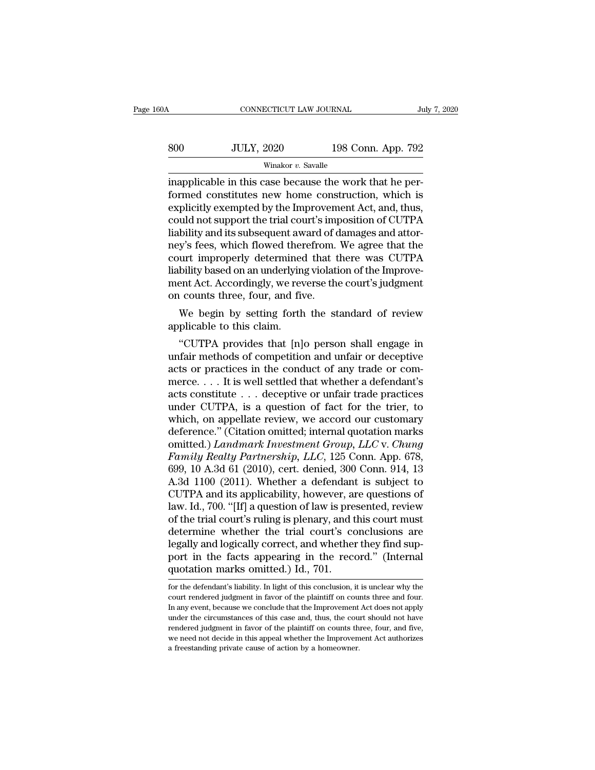## EXECUTE CONNECTICUT LAW JOURNAL July 7, 2020<br>800 JULY, 2020 198 Conn. App. 792<br>Winakor v. Savalle Winakor *v.* Savalle

CONNECTICUT LAW JOURNAL<br>
SOO JULY, 2020 198 Conn. App. 792<br>
Winakor v. Savalle<br>
inapplicable in this case because the work that he per-<br>
formed constitutes new home construction, which is<br>
explicitly exampted by the Improv  $f(x) = \frac{1000}{100}$   $\frac{1000}{100}$   $\frac{1000}{100}$   $\frac{1000}{100}$   $\frac{1000}{100}$   $\frac{1000}{100}$   $\frac{1000}{100}$   $\frac{1000}{100}$   $\frac{1000}{100}$   $\frac{1000}{100}$   $\frac{1000}{100}$   $\frac{1000}{100}$   $\frac{1000}{100}$   $\frac{1000}{100}$   $\frac{100$ Soom  $\frac{JULY, 2020}{Winakor v. Savalle}$  and I98 Conn. App. 792<br>
inapplicable in this case because the work that he performed constitutes new home construction, which is<br>
explicitly exempted by the Improvement Act, and, thus,<br>
could Soon support the trial court's savalle<br>
Support that he per-<br>
inapplicable in this case because the work that he per-<br>
formed constitutes new home construction, which is<br>
explicitly exempted by the Improvement Act, and, t Winakor v. Savalle<br>
inapplicable in this case because the work that he per-<br>
formed constitutes new home construction, which is<br>
explicitly exempted by the Improvement Act, and, thus,<br>
could not support the trial court's whater  $v$ . Savalle<br>inapplicable in this case because the work that he per-<br>formed constitutes new home construction, which is<br>explicitly exempted by the Improvement Act, and, thus,<br>could not support the trial court's imp inapplicable in this case because the work that he performed constitutes new home construction, which is explicitly exempted by the Improvement Act, and, thus, could not support the trial court's imposition of CUTPA liabil formed constitutes new home construction, which is<br>explicitly exempted by the Improvement Act, and, thus,<br>could not support the trial court's imposition of CUTPA<br>liability and its subsequent award of damages and attor-<br>ney explicitly exempted by the Improvement Act, and, thus,<br>could not support the trial court's imposition of CUTPA<br>liability and its subsequent award of damages and attor-<br>ney's fees, which flowed therefrom. We agree that the<br> could not support the trial court's impliability and its subsequent award of comey's fees, which flowed therefrom.<br>court improperly determined that the liability based on an underlying violation<br>ment Act. Accordingly, we r bunty and its subsequent award of damages and attor-<br>y's fees, which flowed therefrom. We agree that the<br>urt improperly determined that there was CUTPA<br>bility based on an underlying violation of the Improve-<br>ent Act. Acco rey's rees, which nowed therefourt improperly determined<br>liability based on an underlying<br>ment Act. Accordingly, we rev<br>on counts three, four, and fiv<br>We begin by setting forth<br>applicable to this claim.<br>"CUTPA provides tha bility based on an underlying violation of the Improve-<br>
ent Act. Accordingly, we reverse the court's judgment<br>
counts three, four, and five.<br>
We begin by setting forth the standard of review<br>
plicable to this claim.<br>
"CU

ment Act. Accordingly, we reverse the court's judgment<br>on counts three, four, and five.<br>We begin by setting forth the standard of review<br>applicable to this claim.<br>"CUTPA provides that [n]o person shall engage in<br>unfair met on counts three, four, and five.<br>
We begin by setting forth the standard of review<br>
applicable to this claim.<br>
"CUTPA provides that [n]o person shall engage in<br>
unfair methods of competition and unfair or deceptive<br>
acts We begin by setting forth the standard of review<br>applicable to this claim.<br>"CUTPA provides that [n]o person shall engage in<br>unfair methods of competition and unfair or deceptive<br>acts or practices in the conduct of any tra we begin by setting forth the standard of review<br>applicable to this claim.<br>"CUTPA provides that [n]o person shall engage in<br>unfair methods of competition and unfair or deceptive<br>acts or practices in the conduct of any tra applicable to this claim.<br>
"CUTPA provides that [n]o person shall engage in<br>
unfair methods of competition and unfair or deceptive<br>
acts or practices in the conduct of any trade or com-<br>
merce.... It is well settled that w "CUTPA provides that [n]o person shall engage in<br>unfair methods of competition and unfair or deceptive<br>acts or practices in the conduct of any trade or com-<br>merce.... It is well settled that whether a defendant's<br>acts con unfair methods of competition and unfair or deceptive<br>acts or practices in the conduct of any trade or com-<br>merce.... It is well settled that whether a defendant's<br>acts constitute ... deceptive or unfair trade practices<br>u acts or practices in the conduct of any trade or com-<br>merce. . . . It is well settled that whether a defendant's<br>acts constitute . . . deceptive or unfair trade practices<br>under CUTPA, is a question of fact for the trier, t merce. . . . It is well settled that whether a defendant's<br>acts constitute . . . deceptive or unfair trade practices<br>under CUTPA, is a question of fact for the trier, to<br>which, on appellate review, we accord our customary<br> acts constitute . . . deceptive or unfair trade practices<br>under CUTPA, is a question of fact for the trier, to<br>which, on appellate review, we accord our customary<br>deference." (Citation omitted; internal quotation marks<br>omi under CUTPA, is a question of fact for the trier, to<br>which, on appellate review, we accord our customary<br>deference." (Citation omitted; internal quotation marks<br>omitted.) *Landmark Investment Group, LLC* v. *Chung<br>Family R* which, on appellate review, we accord our customary<br>deference." (Citation omitted; internal quotation marks<br>omitted.) *Landmark Investment Group*, *LLC* v. *Chung*<br>Family Realty Partnership, *LLC*, 125 Conn. App. 678,<br>699, deference." (Citation omitted; internal quotation marks<br>omitted.) Landmark Investment Group, LLC v. Chung<br>Family Realty Partnership, LLC, 125 Conn. App. 678,<br>699, 10 A.3d 61 (2010), cert. denied, 300 Conn. 914, 13<br>A.3d 110 omitted.) *Landmark Investment Group, LLC v. Chung*<br>Family Realty Partnership, LLC, 125 Conn. App. 678,<br>699, 10 A.3d 61 (2010), cert. denied, 300 Conn. 914, 13<br>A.3d 1100 (2011). Whether a defendant is subject to<br>CUTPA and Family Realty Partnership, LLC, 125 Conn. App. 678,<br>699, 10 A.3d 61 (2010), cert. denied, 300 Conn. 914, 13<br>A.3d 1100 (2011). Whether a defendant is subject to<br>CUTPA and its applicability, however, are questions of<br>law. Id 699, 10 A.3d 61 (2010), cert. denied, 300 Conn. 914, 13 A.3d 1100 (2011). Whether a defendant is subject to CUTPA and its applicability, however, are questions of law. Id., 700. "[If] a question of law is presented, revie A.3d 1100 (2011). Whether a defendant is subject to<br>CUTPA and its applicability, however, are questions of<br>law. Id., 700. "[If] a question of law is presented, review<br>of the trial court's ruling is plenary, and this court CUTPA and its applicability, however, a<br>law. Id., 700. "[If] a question of law is pre<br>of the trial court's ruling is plenary, and t<br>determine whether the trial court's co<br>legally and logically correct, and whether<br>port in determine whether the trial court's conclusions are<br>legally and logically correct, and whether they find sup-<br>port in the facts appearing in the record." (Internal<br>quotation marks omitted.) Id., 701.<br>for the defendant's li legally and logically correct, and whether they find support in the facts appearing in the record." (Internal<br>quotation marks omitted.) Id., 701.<br>for the defendant's liability. In light of this conclusion, it is unclear wh

port in the facts appearing in the record." (Internal quotation marks omitted.) Id., 701.<br>In any event, but is unclear why the court rendered judgment in favor of the plaintiff on counts three and four.<br>In any event, becau quotation marks omitted.) Id., 701.<br>
for the defendant's liability. In light of this conclusion, it is unclear why the<br>
court rendered judgment in favor of the plaintiff on counts three and four.<br>
In any event, because we quotation marks officient. The conclusion, it is unclear why the for the defendant's liability. In light of this conclusion, it is unclear why the court rendered judgment in favor of the plaintiff on counts three and four. for the defendant's liability. In light of this conclusion, it is unclear why the court rendered judgment in favor of the plaintiff on counts three and four. In any event, because we conclude that the Improvement Act does court rendered judgment in favor of the plaintiff on counts three and four.<br>In any event, because we conclude that the Improvement Act does not apply<br>under the circumstances of this case and, thus, the court should not hav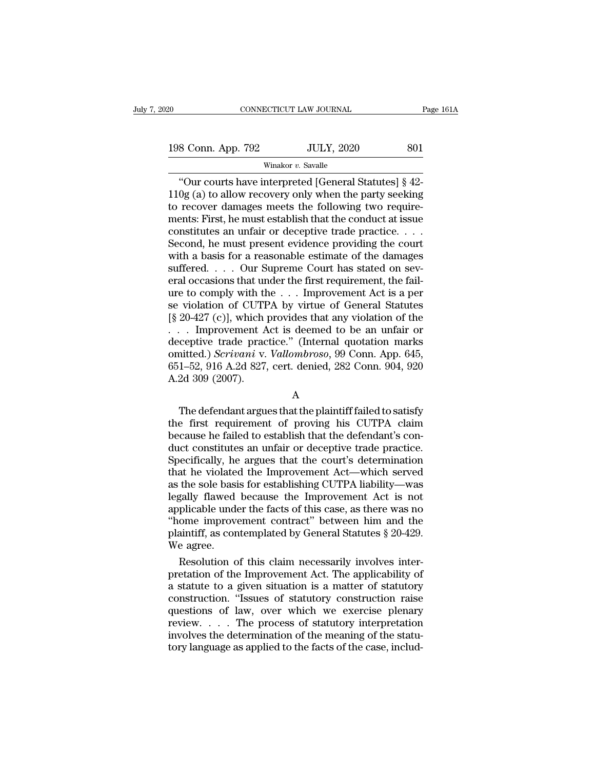EXECUTE CONNECTICUT LAW JOURNAL Page 161A<br>198 Conn. App. 792 JULY, 2020 801<br>Winakor v. Savalle

## Winakor *v.* Savalle

CONNECTICUT LAW JOURNAL Page 16<br>
8 Conn. App. 792 JULY, 2020 801<br>
Winakor v. Savalle<br>
"Our courts have interpreted [General Statutes] § 42-<br>
0g (a) to allow recovery only when the party seeking<br>
recover damages meets the f 198 Conn. App. 792 JULY, 2020 801<br>Winakor v. Savalle<br>"Our courts have interpreted [General Statutes] § 42-<br>110g (a) to allow recovery only when the party seeking<br>to recover damages meets the following two require-<br>ments: F 198 Conn. App. 792 JULY, 2020 801<br>Winakor v. Savalle<br>"Our courts have interpreted [General Statutes]  $\S$  42-<br>110g (a) to allow recovery only when the party seeking<br>to recover damages meets the following two require-<br>ments 198 Conn. App. 792 JULY, 2020 801<br>Winakor v. Savalle<br>"Our courts have interpreted [General Statutes]  $\S$  42-<br>110g (a) to allow recovery only when the party seeking<br>to recover damages meets the following two require-<br>ments For Configure 1992. The second winds or  $v$ . Savalle<br>
"Our courts have interpreted [General Statutes] § 42-<br>
110g (a) to allow recovery only when the party seeking<br>
to recover damages meets the following two require-<br>
men Winakor v. Savalle<br>
"Our courts have interpreted [General Statutes] § 42-<br>
110g (a) to allow recovery only when the party seeking<br>
to recover damages meets the following two require-<br>
ments: First, he must establish that "Our courts have interpreted [General Statutes]  $\S$  42-<br>110g (a) to allow recovery only when the party seeking<br>to recover damages meets the following two require-<br>ments: First, he must establish that the conduct at issue<br> 110g (a) to allow recovery only when the party seeking<br>to recover damages meets the following two require-<br>ments: First, he must establish that the conduct at issue<br>constitutes an unfair or deceptive trade practice. . . . to recover damages meets the following two requirements: First, he must establish that the conduct at issue constitutes an unfair or deceptive trade practice. . . . Second, he must present evidence providing the court wit ments: First, he must establish that the conduct at issue<br>constitutes an unfair or deceptive trade practice. . . .<br>Second, he must present evidence providing the court<br>with a basis for a reasonable estimate of the damages constitutes an unfair or deceptive trade practice. . . . Second, he must present evidence providing the court<br>with a basis for a reasonable estimate of the damages<br>suffered. . . . Our Supreme Court has stated on sev-<br>eral Second, he must present evidence providing the court<br>with a basis for a reasonable estimate of the damages<br>suffered.... Our Supreme Court has stated on sev-<br>eral occasions that under the first requirement, the fail-<br>ure t with a basis for a reasonable estimate of the damages<br>suffered.... Our Supreme Court has stated on sev-<br>eral occasions that under the first requirement, the fail-<br>ure to comply with the ... Improvement Act is a per<br>se vio suffered.... Our Supreme Court has stated on several occasions that under the first requirement, the failure to comply with the ... Improvement Act is a per<br>se violation of CUTPA by virtue of General Statutes<br>[§ 20-427 (c) eral occasions that under the first requirement, the fail-<br>ure to comply with the . . . Improvement Act is a per<br>se violation of CUTPA by virtue of General Statutes<br>[§ 20-427 (c)], which provides that any violation of the<br> ure to comply with the . . . Improvement Act is a per<br>se violation of CUTPA by virtue of General Statutes<br>[§ 20-427 (c)], which provides that any violation of the<br>. . . Improvement Act is deemed to be an unfair or<br>deceptiv se violation of CUTF<br>  $[\$ 20-427 \text{ (c)}], \text{ which }$ <br>  $\dots$  Improvement A<br>
deceptive trade prace omitted.) Scrivani v.<br>
651–52, 916 A.2d 827,<br>
A.2d 309 (2007). The defendant argues that the plaintiff failed to satisfy<br>
argues that the plaintiff failed to satisfy<br>
The defendant argues that the plaintiff failed to satisfy<br>
First requirement of proving his CUTPA claim<br>
cause he fail

## A

deceptive trade practice. (Internat quotation marks<br>
omitted.) *Scrivani* v. *Vallombroso*, 99 Conn. App. 645,<br>
651–52, 916 A.2d 827, cert. denied, 282 Conn. 904, 920<br>
A.2d 309 (2007).<br>
A<br>
The defendant argues that the pla because he failed to establish that the defendant of proving that the defendant argues that the plaintiff failed to satisfy<br>the first requirement of proving his CUTPA claim<br>because he failed to establish that the defendant ducted 309 (2007).<br>
A<br>
The defendant argues that the plaintiff failed to satisfy<br>
the first requirement of proving his CUTPA claim<br>
because he failed to establish that the defendant's con-<br>
duct constitutes an unfair or d A<br>
Specifical dotations and the court of proving the first requirement of proving his CUTPA claim<br>
because he failed to establish that the defendant's con-<br>
duct constitutes an unfair or deceptive trade practice.<br>
Specific A<br>
The defendant argues that the plaintiff failed to satisfy<br>
the first requirement of proving his CUTPA claim<br>
because he failed to establish that the defendant's con-<br>
duct constitutes an unfair or deceptive trade practi The defendant argues that the plaintiff failed to satisfy<br>the first requirement of proving his CUTPA claim<br>because he failed to establish that the defendant's con-<br>duct constitutes an unfair or deceptive trade practice.<br>Sp the first requirement of proving his CUTPA claim<br>because he failed to establish that the defendant's con-<br>duct constitutes an unfair or deceptive trade practice.<br>Specifically, he argues that the court's determination<br>that because he failed to establish that the defendant's conduct constitutes an unfair or deceptive trade practice.<br>Specifically, he argues that the court's determination<br>that he violated the Improvement Act—which served<br>as the duct constitutes an unfair or deceptive trade practice.<br>Specifically, he argues that the court's determination<br>that he violated the Improvement Act—which served<br>as the sole basis for establishing CUTPA liability—was<br>legall Specifically, he argues that the court's determination<br>that he violated the Improvement Act—which served<br>as the sole basis for establishing CUTPA liability—was<br>legally flawed because the Improvement Act is not<br>applicable u that he violate<br>as the sole basi<br>legally flawed<br>applicable und<br>"home improve<br>plaintiff, as con<br>We agree.<br>Resolution o the sole basis for establishing CUTPA liability—was<br>gally flawed because the Improvement Act is not<br>plicable under the facts of this case, as there was no<br>ome improvement contract" between him and the<br>aintiff, as contempla legally flawed because the Improvement Act is not<br>applicable under the facts of this case, as there was no<br>"home improvement contract" between him and the<br>plaintiff, as contemplated by General Statutes § 20-429.<br>We agree.<br>

applicable under the facts of this case, as there was no<br>
"home improvement contract" between him and the<br>
plaintiff, as contemplated by General Statutes § 20-429.<br>
We agree.<br>
Resolution of this claim necessarily involves "home improvement contract" between him and the<br>plaintiff, as contemplated by General Statutes § 20-429.<br>We agree.<br>Resolution of this claim necessarily involves inter-<br>pretation of the Improvement Act. The applicability of plaintiff, as contemplated by General Statutes § 20-429.<br>We agree.<br>Resolution of this claim necessarily involves inter-<br>pretation of the Improvement Act. The applicability of<br>a statute to a given situation is a matter of s We agree.<br>
Resolution of this claim necessarily involves inter-<br>
pretation of the Improvement Act. The applicability of<br>
a statute to a given situation is a matter of statutory<br>
construction. "Issues of statutory construct Resolution of this claim necessarily involves inter-<br>pretation of the Improvement Act. The applicability of<br>a statute to a given situation is a matter of statutory<br>construction. "Issues of statutory construction raise<br>que pretation of the Improvement Act. The applicability of<br>a statute to a given situation is a matter of statutory<br>construction. "Issues of statutory construction raise<br>questions of law, over which we exercise plenary<br>review.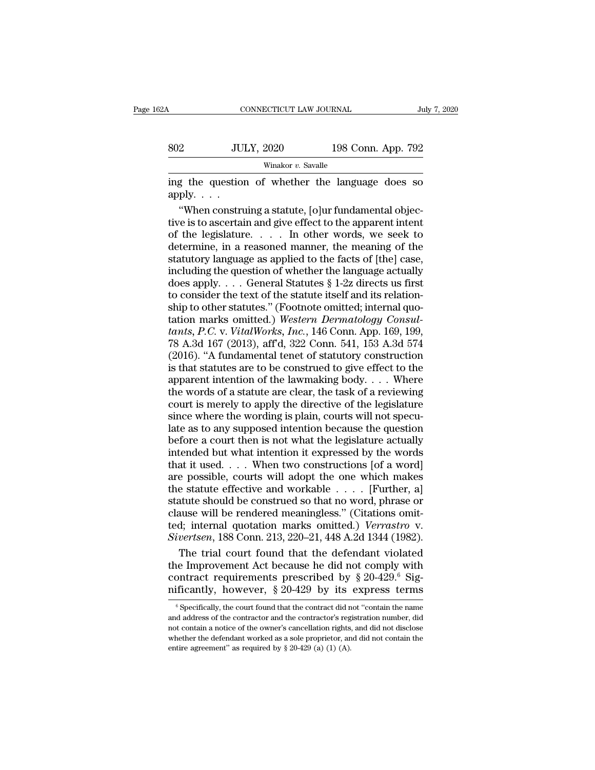|     | CONNECTICUT LAW JOURNAL |                    | July 7, 2020 |
|-----|-------------------------|--------------------|--------------|
|     |                         |                    |              |
| 802 | <b>JULY, 2020</b>       | 198 Conn. App. 792 |              |
|     | Winakor v. Savalle      |                    |              |

CONNECTICUT LAW JOURNAL July 7, 2020<br>
SO2 JULY, 2020 198 Conn. App. 792<br>
Winakor v. Savalle<br>
ing the question of whether the language does so<br>
apply.... apply and the question of the question of the distribution of the construction of the construction of the construction of the construction of the construction of the construction of the construction of the construction of

 $\frac{198 \text{ Conn. App. } 792}{\text{Winakor } v. \text{ Savalle}}$ <br>
g the question of whether the language does so<br>
ply....<br>
"When construing a statute, [o]ur fundamental objec-<br>
re is to ascertain and give effect to the apparent intent<br>
the legislat SO2 JULY, 2020 198 Conn. App. 792<br>
winakor v. Savalle<br>
ing the question of whether the language does so<br>
apply. . . .<br>
"When construing a statute, [o]ur fundamental objective is to ascertain and give effect to the apparen  $\frac{1}{2}$ <br>
winakor v. Savalle<br>
ing the question of whether the language does so<br>
apply. . . .<br>
"When construing a statute, [o]ur fundamental objec-<br>
tive is to ascertain and give effect to the apparent intent<br>
of the legi WHEREOT V. Savalle<br>
ing the question of whether the language does so<br>
apply. . . .<br>
"When construing a statute, [o]ur fundamental objec-<br>
tive is to ascertain and give effect to the apparent intent<br>
of the legislature. . ing the question of whether the language does so<br>apply. . . .<br>"When construing a statute, [o]ur fundamental objec-<br>tive is to ascertain and give effect to the apparent intent<br>of the legislature. . . . . In other words, we apply. . . . .<br>
"When construing a statute, [o]ur fundamental objective is to ascertain and give effect to the apparent intent<br>
of the legislature. . . . . In other words, we seek to<br>
determine, in a reasoned manner, the "When construing a statute, [o]ur fundamental objective is to ascertain and give effect to the apparent intent<br>of the legislature. . . . . In other words, we seek to<br>determine, in a reasoned manner, the meaning of the<br>sta tive is to ascertain and give effect to the apparent intent<br>of the legislature. . . . . In other words, we seek to<br>determine, in a reasoned manner, the meaning of the<br>statutory language as applied to the facts of [the] ca of the legislature.... In other words, we seek to<br>determine, in a reasoned manner, the meaning of the<br>statutory language as applied to the facts of [the] case,<br>including the question of whether the language actually<br>does determine, in a reasoned manner, the meaning of the<br>statutory language as applied to the facts of [the] case,<br>including the question of whether the language actually<br>does apply. . . . General Statutes § 1-2z directs us fir **Example 12** and the facts of [the] case,<br>including the question of whether the language actually<br>does apply. . . . General Statutes § 1-2z directs us first<br>to consider the text of the statute itself and its relation-<br>ship including the question of whether the language actually<br>does apply. . . . General Statutes § 1-2z directs us first<br>to consider the text of the statute itself and its relation-<br>ship to other statutes." (Footnote omitted; i does apply. . . . General Statutes  $\S$  1-2z directs us first<br>to consider the text of the statute itself and its relation-<br>ship to other statutes." (Footnote omitted; internal quo-<br>tation marks omitted.) Western Dermatolog to consider the text of the statute itself and its relation-<br>ship to other statutes." (Footnote omitted; internal quo-<br>tation marks omitted.) Western Dermatology Consul-<br>tants, P.C. v. VitalWorks, Inc., 146 Conn. App. 169 ship to other statutes." (Footnote omitted; internal quotation marks omitted.) Western Dermatology Consultants, P.C. v. VitalWorks, Inc., 146 Conn. App. 169, 199, 78 A.3d 167 (2013), aff'd, 322 Conn. 541, 153 A.3d 574 (20 tation marks omitted.) Western Dermatology Consul-<br>tants, P.C. v. VitalWorks, Inc., 146 Conn. App. 169, 199,<br>78 A.3d 167 (2013), aff'd, 322 Conn. 541, 153 A.3d 574<br>(2016). "A fundamental tenet of statutory construction<br>is tants, P.C. v. VitalWorks, Inc., 146 Conn. App. 169, 199, 78 A.3d 167 (2013), aff'd, 322 Conn. 541, 153 A.3d 574 (2016). "A fundamental tenet of statutory construction is that statutes are to be construed to give effect t 78 A.3d 167 (2013), aff<sup>7</sup>d, 322 Conn. 541, 153 A.3d 574 (2016). "A fundamental tenet of statutory construction is that statutes are to be construed to give effect to the apparent intention of the lawmaking body.... Where (2016). "A fundamental tenet of statutory construction<br>is that statutes are to be construed to give effect to the<br>apparent intention of the lawmaking body.  $\dots$  Where<br>the words of a statute are clear, the task of a review is that statutes are to be construed to give effect to the apparent intention of the lawmaking body.  $\dots$  Where the words of a statute are clear, the task of a reviewing court is merely to apply the directive of the legis apparent intention of the lawmaking body. . . . Where<br>the words of a statute are clear, the task of a reviewing<br>court is merely to apply the directive of the legislature<br>since where the wording is plain, courts will not s the words of a statute are clear, the task of a reviewing<br>court is merely to apply the directive of the legislature<br>since where the wording is plain, courts will not specu-<br>late as to any supposed intention because the que court is merely to apply the directive of the legislature<br>since where the wording is plain, courts will not speculate as to any supposed intention because the question<br>before a court then is not what the legislature actua since where the wording is plain, courts will not speculate as to any supposed intention because the question<br>before a court then is not what the legislature actually<br>intended but what intention it expressed by the words<br> late as to any supposed intention because the question<br>before a court then is not what the legislature actually<br>intended but what intention it expressed by the words<br>that it used.... When two constructions [of a word]<br>are late as to any supposed intention because the question<br>before a court then is not what the legislature actually<br>intended but what intention it expressed by the words<br>that it used.... When two constructions [of a word]<br>are intended but what intention it expressed by the words<br>that it used. . . . When two constructions [of a word]<br>are possible, courts will adopt the one which makes<br>the statute effective and workable . . . . [Further, a]<br>statu that it used. . . . When two constructions [of a word]<br>are possible, courts will adopt the one which makes<br>the statute effective and workable . . . . [Further, a]<br>statute should be construed so that no word, phrase or<br>clau e possible, courts will adopt the one which makes<br>e statute effective and workable . . . . [Further, a]<br>atute should be construed so that no word, phrase or<br>ause will be rendered meaningless." (Citations omit-<br>d; internal the statute effective and workable . . . . . [Further, a]<br>statute should be construed so that no word, phrase or<br>clause will be rendered meaningless." (Citations omit-<br>ted; internal quotation marks omitted.) *Verrastro* v

statute should be construed so that no word, phrase or clause will be rendered meaningless." (Citations omitted; internal quotation marks omitted.) *Verrastro* v. *Sivertsen*, 188 Conn. 213, 220–21, 448 A.2d 1344 (1982). clause will be rendered meaningless." (Citations omit-<br>ted; internal quotation marks omitted.) *Verrastro* v.<br>Sivertsen, 188 Conn. 213, 220–21, 448 A.2d 1344 (1982).<br>The trial court found that the defendant violated<br>the I The trial court found that the defendant violated<br>ne Improvement Act because he did not comply with<br>ontract requirements prescribed by § 20-429.<sup>6</sup> Sig-<br>ificantly, however, § 20-429 by its express terms<br> $\frac{6}{5}$  Specific the Improvement Act because he did not comply with<br>contract requirements prescribed by  $\S 20-429.$  Sig-<br>nificantly, however,  $\S 20-429$  by its express terms<br> $\frac{1}{\pi}$  specifically, the court found that the contract did n

contract requirements prescribed by  $\S 20-429$ . Significantly, however,  $\S 20-429$  by its express terms  $\overline{\ }$  specifically, the court found that the contract did not "contain the name and address of the contractor and t mificantly, however, § 20-429 by its express terms<br>  $\frac{1}{2}$  specifically, the court found that the contract did not "contain the name<br>
and address of the contractor and the contractor's registration number, did<br>
not con Finite antity,  $100 \text{W} \text{eV} \text{eF}$ ,  $8 \text{ } 20\text{-}429 \text{ }$  by  $118$ <br>  $\degree$  Specifically, the court found that the contract did n<br>
and address of the contractor and the contractor's reg<br>
not contain a notice of the owner'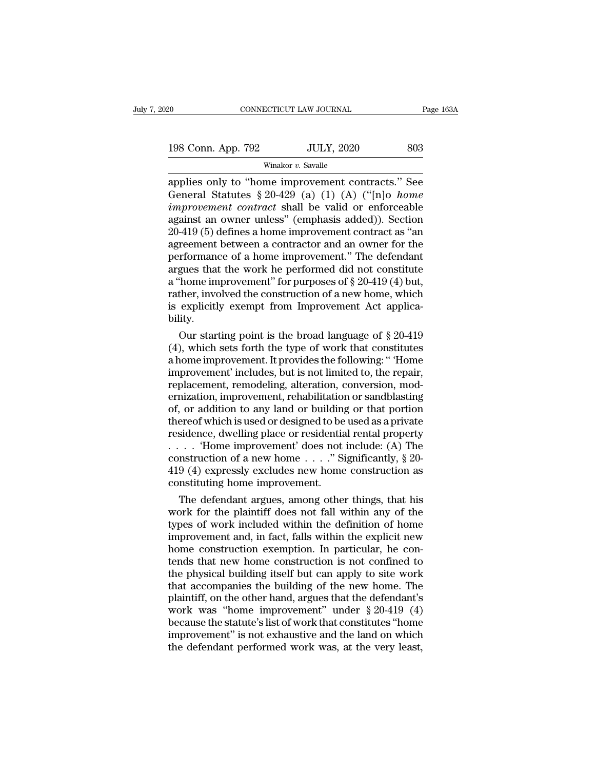| 20                 | CONNECTICUT LAW JOURNAL |                   | Page 163A |
|--------------------|-------------------------|-------------------|-----------|
| 198 Conn. App. 792 |                         | <b>JULY, 2020</b> | 803       |
|                    | Winakor v. Savalle      |                   |           |

EXECUTE EXECUTE EXECUTE EN ESTE DESIRED AND RESERVING DESIRED AND NULLY, 2020 and the Vinakor v. Savaller applies only to "home improvement contracts." See General Statutes § 20-429 (a) (1) (A) ("[n]o *home* 198 Conn. App. 792 JULY, 2020 803<br>
Winakor v. Savalle<br>
applies only to "home improvement contracts." See<br>
General Statutes § 20-429 (a) (1) (A) ("[n]o *home*<br>
improvement contract shall be valid or enforceable<br>
against an *imakor v. Savalle*<br> *imakor v. Savalle*<br> *improvement contracts."* See<br> *General Statutes* § 20-429 (a) (1) (A) ("[n]o *home*<br> *improvement contract* shall be valid or enforceable<br>
against an owner unless" (emphasis added 198 Conn. App. 792 JULY, 2020 803<br>Winakor v. Savalle<br>applies only to "home improvement contracts." See<br>General Statutes  $\S 20-429$  (a) (1) (A) ("[n]o *home*<br>*improvement contract* shall be valid or enforceable<br>against an  $\frac{1}{2020}$  winakor v. Savalle<br>
applies only to "home improvement contracts." See<br>
General Statutes § 20-429 (a) (1) (A) ("[n]o *home*<br> *improvement contract* shall be valid or enforceable<br>
against an owner unless" (emph Winakor v. Savalle<br>
applies only to "home improvement contracts." See<br>
General Statutes § 20-429 (a) (1) (A) ("[n]o *home*<br>
improvement contract shall be valid or enforceable<br>
against an owner unless" (emphasis added)). S applies only to "home improvement contracts." See<br>General Statutes § 20-429 (a) (1) (A) ("[n]o *home*<br>*improvement contract* shall be valid or enforceable<br>against an owner unless" (emphasis added)). Section<br>20-419 (5) def General Statutes § 20-429 (a) (1) (A) ("[n]o *home*<br>*improvement contract* shall be valid or enforceable<br>against an owner unless" (emphasis added)). Section<br>20-419 (5) defines a home improvement contract as "an<br>agreement improvement contract shall be valid or enforceable<br>against an owner unless" (emphasis added)). Section<br>20-419 (5) defines a home improvement contract as "an<br>agreement between a contractor and an owner for the<br>performance o against an owner unless" (emphasis added)). Section 20-419 (5) defines a home improvement contract as "an agreement between a contractor and an owner for the performance of a home improvement." The defendant argues that th 20-419 (5) defines a home improvement contract as "an agreement between a contractor and an owner for the performance of a home improvement." The defendant argues that the work he performed did not constitute a "home impr bility. rformance of a home improvement." The defendant<br>gues that the work he performed did not constitute<br>'home improvement'' for purposes of § 20-419 (4) but,<br>ther, involved the construction of a new home, which<br>explicitly exem argues that the work he performed did not constitute<br>a "home improvement" for purposes of § 20-419 (4) but,<br>rather, involved the construction of a new home, which<br>is explicitly exempt from Improvement Act applica-<br>bility.

a "home improvement" for purposes of  $\S 20-419$  (4) but,<br>rather, involved the construction of a new home, which<br>is explicitly exempt from Improvement Act applica-<br>bility.<br>Our starting point is the broad language of  $\S 20$ rather, involved the construction of a new home, which<br>is explicitly exempt from Improvement Act applica-<br>bility.<br>Our starting point is the broad language of § 20-419<br>(4), which sets forth the type of work that constitutes is explicitly exempt from Improvement Act applica-<br>bility.<br>Our starting point is the broad language of § 20-419<br>(4), which sets forth the type of work that constitutes<br>a home improvement. It provides the following: "Home<br>i bility.<br>
Our starting point is the broad language of § 20-419<br>
(4), which sets forth the type of work that constitutes<br>
a home improvement. It provides the following: " Home<br>
improvement' includes, but is not limited to, t Our starting point is the broad language of  $\S 20-419$ <br>(4), which sets forth the type of work that constitutes<br>a home improvement. It provides the following: "Home<br>improvement' includes, but is not limited to, the repair, (4), which sets forth the type of work that constitutes<br>a home improvement. It provides the following: " Home<br>improvement' includes, but is not limited to, the repair,<br>replacement, remodeling, alteration, conversion, moda home improvement. It provides the following: " Home<br>improvement' includes, but is not limited to, the repair,<br>replacement, remodeling, alteration, conversion, mod-<br>ernization, improvement, rehabilitation or sandblasting improvement' includes, but is not limited to, the repair,<br>replacement, remodeling, alteration, conversion, mod-<br>ernization, improvement, rehabilitation or sandblasting<br>of, or addition to any land or building or that portio replacement, remodeling, alteration, conversion, modernization, improvement, rehabilitation or sandblasting<br>of, or addition to any land or building or that portion<br>thereof which is used or designed to be used as a private<br> ernization, improvement, rehabilitation or sandblasting<br>of, or addition to any land or building or that portion<br>thereof which is used or designed to be used as a private<br>residence, dwelling place or residential rental pro of, or addition to any land or building<br>thereof which is used or designed to be<br>residence, dwelling place or residentia<br> $\ldots$ . "Home improvement" does not<br>construction of a new home  $\ldots$ ." Si<br>419 (4) expressly excludes n ereof which is used or designed to be used as a private<br>sidence, dwelling place or residential rental property<br>... "Home improvement" does not include: (A) The<br>nstruction of a new home ...." Significantly, § 20-<br>9 (4) expr residence, dwelling place or residential rental property<br>  $\dots$  . Thome improvement' does not include: (A) The<br>
construction of a new home  $\dots$ . "Significantly, § 20-<br>
419 (4) expressly excludes new home construction as<br>
c

.... Thome improvement' does not include: (A) The<br>construction of a new home ...." Significantly, § 20-<br>419 (4) expressly excludes new home construction as<br>constituting home improvement.<br>The defendant argues, among other construction of a new home  $\ldots$ ." Significantly, § 20-<br>419 (4) expressly excludes new home construction as<br>constituting home improvement.<br>The defendant argues, among other things, that his<br>work for the plaintiff does not 419 (4) expressly excludes new home construction as<br>constituting home improvement.<br>The defendant argues, among other things, that his<br>work for the plaintiff does not fall within any of the<br>types of work included within th constituting home improvement.<br>The defendant argues, among other things, that his<br>work for the plaintiff does not fall within any of the<br>types of work included within the definition of home<br>improvement and, in fact, falls The defendant argues, among other things, that his<br>work for the plaintiff does not fall within any of the<br>types of work included within the definition of home<br>improvement and, in fact, falls within the explicit new<br>home co work for the plaintiff does not fall within any of the<br>types of work included within the definition of home<br>improvement and, in fact, falls within the explicit new<br>home construction exemption. In particular, he con-<br>tends types of work included within the definition of home<br>improvement and, in fact, falls within the explicit new<br>home construction exemption. In particular, he con-<br>tends that new home construction is not confined to<br>the physi improvement and, in fact, falls within the explicit new<br>home construction exemption. In particular, he con-<br>tends that new home construction is not confined to<br>the physical building itself but can apply to site work<br>that home construction exemption. In particular, he con-<br>tends that new home construction is not confined to<br>the physical building itself but can apply to site work<br>that accompanies the building of the new home. The<br>plaintiff, tends that new home construction is not confined to<br>the physical building itself but can apply to site work<br>that accompanies the building of the new home. The<br>plaintiff, on the other hand, argues that the defendant's<br>work the physical building itself but can apply to site work<br>that accompanies the building of the new home. The<br>plaintiff, on the other hand, argues that the defendant's<br>work was "home improvement" under  $\S 20-419$  (4)<br>because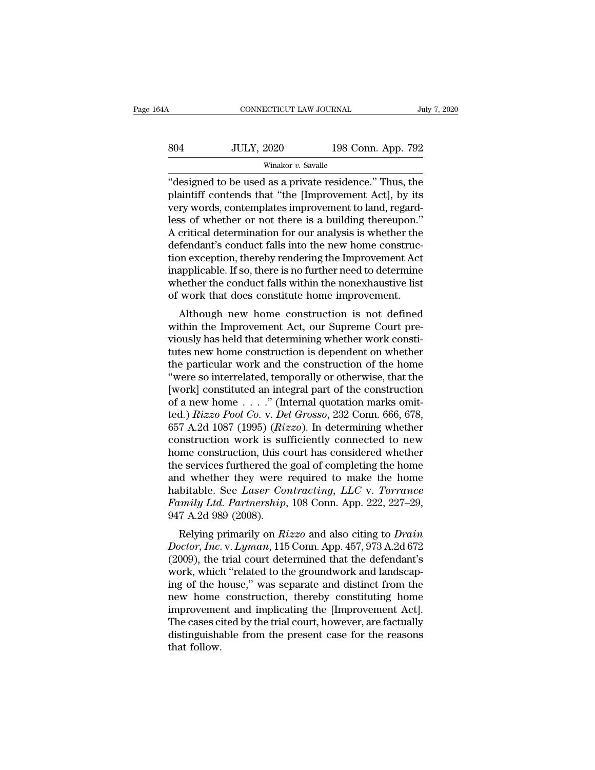| .64A | CONNECTICUT LAW JOURNAL |                    | July 7, 2020 |
|------|-------------------------|--------------------|--------------|
| 804  | <b>JULY, 2020</b>       | 198 Conn. App. 792 |              |
|      | Winakor v. Savalle      |                    |              |

CONNECTICUT LAW JOURNAL July 7, 2020<br>
SO4 JULY, 2020 198 Conn. App. 792<br>
Winakor v. Savalle<br>
"designed to be used as a private residence." Thus, the<br>
plaintiff contends that "the [Improvement Act], by its<br>
words contemplat 804 JULY, 2020 198 Conn. App. 792<br>Winakor v. Savalle<br>"designed to be used as a private residence." Thus, the<br>plaintiff contends that "the [Improvement Act], by its<br>very words, contemplates improvement to land, regard-<br>loss  $\nu$  very words, contemplates in the set of the set of the set of the plaintiff contends that "the [Improvement Act], by its<br>very words, contemplates improvement to land, regard-<br>less of whether or not there is a building SO4 JULY, 2020 198 Conn. App. 792<br>
Winakor v. Savalle<br>
"designed to be used as a private residence." Thus, the<br>
plaintiff contends that "the [Improvement Act], by its<br>
very words, contemplates improvement to land, regard-Winakor v. Savalle<br>
"designed to be used as a private residence." Thus, the<br>
plaintiff contends that "the [Improvement Act], by its<br>
very words, contemplates improvement to land, regard-<br>
less of whether or not there is a WINDERT WINDERT WE WANKED THE CONDUCT THIS THE MEDIATRE THIS SERVICE THIS PREVIOUSLY WORDS, contemplates improvement to land, regardless of whether or not there is a building thereupon."<br>A critical determination for our a "designed to be used as a private residence." Thus, the plaintiff contends that "the [Improvement Act], by its<br>very words, contemplates improvement to land, regard-<br>less of whether or not there is a building thereupon."<br>A plaintiff contends that "the [Improvement Act], by its<br>very words, contemplates improvement to land, regard-<br>less of whether or not there is a building thereupon."<br>A critical determination for our analysis is whether the<br>d very words, contemplates improvement to land, regard-<br>less of whether or not there is a building thereupon."<br>A critical determination for our analysis is whether the<br>defendant's conduct falls into the new home construc-<br>ti less of whether or not there is a building thereupon."<br>A critical determination for our analysis is whether the<br>defendant's conduct falls into the new home construc-<br>tion exception, thereby rendering the Improvement Act<br>in Eritical determination for our analysis is whether the<br>fendant's conduct falls into the new home construc-<br>on exception, thereby rendering the Improvement Act<br>applicable. If so, there is no further need to determine<br>nether detendant s' conduct rans mio the flew none construction exception, thereby rendering the Improvement Act<br>inapplicable. If so, there is no further need to determine<br>whether the conduct falls within the nonexhaustive list<br>o

violing that imapplicable. If so, there is no further need to determine<br>whether the conduct falls within the nonexhaustive list<br>of work that does constitute home improvement.<br>Although new home construction is not defined<br>w mappincable. If so, there is no further heed to determine<br>whether the conduct falls within the nonexhaustive list<br>of work that does constitute home improvement.<br>Although new home construction is not defined<br>within the Impr of work that does constitute home improvement.<br>
Although new home construction is not defined<br>
within the Improvement Act, our Supreme Court pre-<br>
viously has held that determining whether work consti-<br>
tutes new home cons of work that does construct noine improvement.<br>
Although new home construction is not defined<br>
within the Improvement Act, our Supreme Court pre-<br>
viously has held that determining whether work consti-<br>
tutes new home cons Although new home construction is not defined<br>within the Improvement Act, our Supreme Court pre-<br>viously has held that determining whether work consti-<br>tutes new home construction is dependent on whether<br>the particular wo within the Improvement Act, our Supreme Court previously has held that determining whether work constitutes new home construction is dependent on whether the particular work and the construction of the home "were so inter viously has held that determining whether work constitutes new home construction is dependent on whether<br>the particular work and the construction of the home<br>"were so interrelated, temporally or otherwise, that the<br>[work] tutes new home construction is dependent on whether<br>the particular work and the construction of the home<br>"were so interrelated, temporally or otherwise, that the<br>[work] constituted an integral part of the construction<br>of a the particular work and the construction of the home<br>
"were so interrelated, temporally or otherwise, that the<br>
[work] constituted an integral part of the construction<br>
of a new home  $\ldots$ ." (Internal quotation marks omit "were so interrelated, temporally or otherwise, that the<br>[work] constituted an integral part of the construction<br>of a new home  $\ldots$ ." (Internal quotation marks omit-<br>ted.)  $Rizzo Pool Co. v. Del Grosso, 232$  Conn. 666, 678,<br>657 A.2d 1087 [work] constituted an integral part of the construction<br>of a new home . . . ." (Internal quotation marks omit-<br>ted.)  $Rizzo Pool Co. v. Del Grosso, 232 Com. 666, 678,$ <br>657 A.2d 1087 (1995)  $(Rizzo)$ . In determining whether<br>construction work is of a new home  $\dots$ ." (Internal quotation marks omit-<br>ted.)  $Rizzo Pool Co. v. Del Grosso, 232 Conn. 666, 678,$ <br>657 A.2d 1087 (1995)  $(Rizzo)$ . In determining whether<br>construction work is sufficiently connected to new<br>home construction, this cou ted.) *Rizzo Pool Co.* v. *Del Grosso*, 232 Conn. 666, 678, 657 A.2d 1087 (1995) (*Rizzo*). In determining whether construction work is sufficiently connected to new home construction, this court has considered whether the 657 A.2d 1087 (1995) (*Rizzo*). In determining whether construction work is sufficiently connected to new home construction, this court has considered whether the services furthered the goal of completing the home and whet construction work is sum<br>home construction, this c<br>the services furthered the<br>and whether they were<br>habitable. See *Laser Co:<br>Family Ltd. Partnership*,<br>947 A.2d 989 (2008).<br>Relying primarily on Ri relying primarily on *Rizzo* and also citing the home<br>Relying primarily Ltd. Partnership, 108 Conn. App. 222, 227–29,<br>T A.2d 989 (2008).<br>Relying primarily on *Rizzo* and also citing to *Drain*<br>potor, *Inc.* v. *Lyman*, 115 Interest furthered the goal of completing the nome<br>
and whether they were required to make the home<br>
habitable. See *Laser Contracting*, *LLC* v. *Torrance*<br> *Family Ltd. Partnership*, 108 Conn. App. 222, 227–29,<br>
947 A.2d

and whether they were required to make the none<br>habitable. See *Laser Contracting*, *LLC* v. *Torrance*<br>*Family Ltd. Partnership*, 108 Conn. App. 222, 227–29,<br>947 A.2d 989 (2008).<br>Relying primarily on *Rizzo* and also citi Habitable. See *Laser Contructing*, *LLC v. 1011ance*<br>Family *Ltd. Partnership*, 108 Conn. App. 222, 227–29,<br>947 A.2d 989 (2008).<br>Relying primarily on *Rizzo* and also citing to *Drain*<br>*Doctor, Inc. v. Lyman*, 115 Conn. A Funtily Lia. Furthership, 103 Colin. App. 222, 221–23,<br>947 A.2d 989 (2008).<br>Relying primarily on *Rizzo* and also citing to *Drain*<br>Doctor, Inc. v. Lyman, 115 Conn. App. 457, 973 A.2d 672<br>(2009), the trial court determine Belying primarily on *Rizzo* and also citing to *Drain*<br>Doctor, Inc. v. Lyman, 115 Conn. App. 457, 973 A.2d 672<br>(2009), the trial court determined that the defendant's<br>work, which "related to the groundwork and landscap-<br> Relying primarily on *Rizzo* and also citing to *Drain*<br>Doctor, Inc. v. Lyman, 115 Conn. App. 457, 973 A.2d 672<br>(2009), the trial court determined that the defendant's<br>work, which "related to the groundwork and landscap-<br> Doctor, Inc. v. Lyman, 115 Conn. App. 457, 973 A.2d 672 (2009), the trial court determined that the defendant's work, which "related to the groundwork and landscaping of the house," was separate and distinct from the new h (2009), the trial court determined that the defendant's work, which "related to the groundwork and landscaping of the house," was separate and distinct from the new home construction, thereby constituting home improvement work, whicl<br>ing of the h<br>new home<br>improvemen<br>The cases ci<br>distinguisha<br>that follow.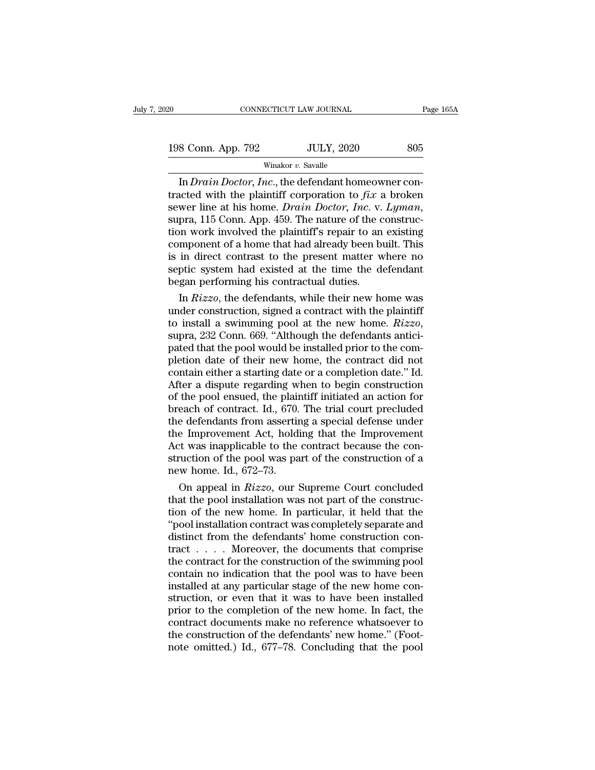| 20                 | CONNECTICUT LAW JOURNAL | Page 165A |
|--------------------|-------------------------|-----------|
| 198 Conn. App. 792 | <b>JULY, 2020</b>       | 805       |
|                    | Winakor v. Savalle      |           |

EXECUTE CONNECTICUT LAW JOURNAL<br>
<u>IN 1992 JULY, 2020</u> 805<br>
ULY, 2020 805<br>
In *Drain Doctor, Inc.*, the defendant homeowner con-<br>
Incted with the plaintiff corporation to *fix* a broken<br>
Were line at his home *Drain Doctor* 198 Conn. App. 792 JULY, 2020 805<br>Winakor v. Savalle<br>In *Drain Doctor, Inc.*, the defendant homeowner con-<br>tracted with the plaintiff corporation to *fix* a broken<br>sewer line at his home. *Drain Doctor, Inc.* v. *Lyman*,<br>s Sexual ULY, 2020 805<br> *Winakor v. Savalle*<br>
In *Drain Doctor, Inc.*, the defendant homeowner con-<br>
tracted with the plaintiff corporation to *fix* a broken<br>
sewer line at his home. *Drain Doctor, Inc.* v. *Lyman*,<br>
supra, For Somma Tapp. 1923 For South 1.4pp. 1923<br>
Winakor v. Savalle<br>
In Drain Doctor, Inc., the defendant homeowner con-<br>
tracted with the plaintiff corporation to fix a broken<br>
sewer line at his home. Drain Doctor, Inc. v. Ly Winakor v. Savalle<br>
In *Drain Doctor*, *Inc.*, the defendant homeowner con-<br>
tracted with the plaintiff corporation to *fix* a broken<br>
sewer line at his home. *Drain Doctor*, *Inc.* v. *Lyman*,<br>
supra, 115 Conn. App. 459. In *Drain Doctor, Inc.*, the defendant homeowner con-<br>tracted with the plaintiff corporation to *fix* a broken<br>sewer line at his home. *Drain Doctor, Inc.* v. *Lyman*,<br>supra, 115 Conn. App. 459. The nature of the construc tracted with the plaintiff corporation to *fix* a broken<br>sewer line at his home. *Drain Doctor*, *Inc.* v. *Lyman*,<br>supra, 115 Conn. App. 459. The nature of the construc-<br>tion work involved the plaintiff's repair to an ex sewer line at his home. *Drain Doctor*, *Inc.* v. supra, 115 Conn. App. 459. The nature of the control work involved the plaintiff's repair to an component of a home that had already been but is in direct contrast to the pra, 115 Conn. App. 459. The nature of the construction<br>work involved the plaintiff's repair to an existing<br>mponent of a home that had already been built. This<br>in direct contrast to the present matter where no<br>ptic system tion work involved the plaintiff's repair to an existing<br>component of a home that had already been built. This<br>is in direct contrast to the present matter where no<br>septic system had existed at the time the defendant<br>began

component of a home that had already been built. This<br>is in direct contrast to the present matter where no<br>septic system had existed at the time the defendant<br>began performing his contractual duties.<br>In *Rizzo*, the defend septic system had existed at the time the defendant<br>began performing his contractual duties.<br>In  $Rizzo$ , the defendants, while their new home was<br>under construction, signed a contract with the plaintiff<br>to install a swimmin began performing his contractual duties.<br>
In  $Rizzo$ , the defendants, while their new home was<br>
under construction, signed a contract with the plaintiff<br>
to install a swimming pool at the new home.  $Rizzo$ ,<br>
supra, 232 Conn. In  $Rizzo$ , the defendants, while their new home was<br>under construction, signed a contract with the plaintiff<br>to install a swimming pool at the new home.  $Rizzo$ ,<br>supra, 232 Conn. 669. "Although the defendants antici-<br>pated t under construction, signed a contract with the plaintiff<br>to install a swimming pool at the new home.  $Rizzo$ ,<br>supra, 232 Conn. 669. "Although the defendants antici-<br>pated that the pool would be installed prior to the com-<br>p to install a swimming pool at the new home.  $Rizzo$ ,<br>supra, 232 Conn. 669. "Although the defendants antici-<br>pated that the pool would be installed prior to the com-<br>pletion date of their new home, the contract did not<br>conta supra, 232 Conn. 669. "Although the defendants antici-<br>pated that the pool would be installed prior to the com-<br>pletion date of their new home, the contract did not<br>contain either a starting date or a completion date." Id. pated that the pool would be installed prior to the completion date of their new home, the contract did not contain either a starting date or a completion date." Id.<br>After a dispute regarding when to begin construction of pletion date of their new home, the contract did not contain either a starting date or a completion date." Id.<br>After a dispute regarding when to begin construction of the pool ensued, the plaintiff initiated an action for contain either a starting date or a completion date." Id.<br>After a dispute regarding when to begin construction<br>of the pool ensued, the plaintiff initiated an action for<br>breach of contract. Id., 670. The trial court preclu After a dispute regarding when to begin construction<br>of the pool ensued, the plaintiff initiated an action for<br>breach of contract. Id., 670. The trial court precluded<br>the defendants from asserting a special defense under<br> % of the pool ensued, the plain<br>breach of contract. Id., 670.<br>the defendants from assertin<br>the Improvement Act, holdi<br>Act was inapplicable to the<br>struction of the pool was pa<br>new home. Id., 672–73.<br>On appeal in  $Rizzo$ , our e defendants from asserting a special defense under<br>e defendants from asserting a special defense under<br>e Improvement Act, holding that the Improvement<br>t was inapplicable to the contract because the con-<br>ruction of the poo the defendants from asserting a special defense under<br>the Improvement Act, holding that the Improvement<br>Act was inapplicable to the contract because the con-<br>struction of the pool was part of the construction of a<br>new hom

the Improvement Act, holding that the Improvement<br>Act was inapplicable to the contract because the construction of the pool was part of the construction of a<br>new home. Id., 672–73.<br>On appeal in  $Rizzo$ , our Supreme Court co Act was inapplicable to the contract because the construction of the pool was part of the construction of a<br>
new home. Id., 672–73.<br>
On appeal in  $Rizeo$ , our Supreme Court concluded<br>
that the pool installation was not part struction of the pool was part of the construction of a<br>new home. Id., 672–73.<br>On appeal in  $Rizzo$ , our Supreme Court concluded<br>that the pool installation was not part of the construc-<br>tion of the new home. In particular, new home. Id.,  $672-73$ .<br>
On appeal in *Rizzo*, our Supreme Court concluded<br>
that the pool installation was not part of the construc-<br>
tion of the new home. In particular, it held that the<br>
"pool installation contract was On appeal in  $Rizzo$ , our Supreme Court concluded<br>that the pool installation was not part of the construc-<br>tion of the new home. In particular, it held that the<br>"pool installation contract was completely separate and<br>distin that the pool installation was not part of the construction of the new home. In particular, it held that the "pool installation contract was completely separate and distinct from the defendants' home construction contract tion of the new home. In particular, it held that the "pool installation contract was completely separate and distinct from the defendants' home construction contract  $\ldots$ . Moreover, the documents that comprise the contr "pool installation contract was completely separate and<br>distinct from the defendants' home construction con-<br>tract  $\ldots$ . Moreover, the documents that comprise<br>the contract for the construction of the swimming pool<br>contai distinct from the defendants' home construction contract . . . . . Moreover, the documents that comprise the contract for the construction of the swimming pool contain no indication that the pool was to have been installe tract  $\dots$  . Moreover, the documents that comprise<br>the contract for the construction of the swimming pool<br>contain no indication that the pool was to have been<br>installed at any particular stage of the new home con-<br>structi the contract for the construction of the swimming pool<br>contain no indication that the pool was to have been<br>installed at any particular stage of the new home con-<br>struction, or even that it was to have been installed<br>prior contain no indication that the pool was to have been<br>installed at any particular stage of the new home con-<br>struction, or even that it was to have been installed<br>prior to the completion of the new home. In fact, the<br>contra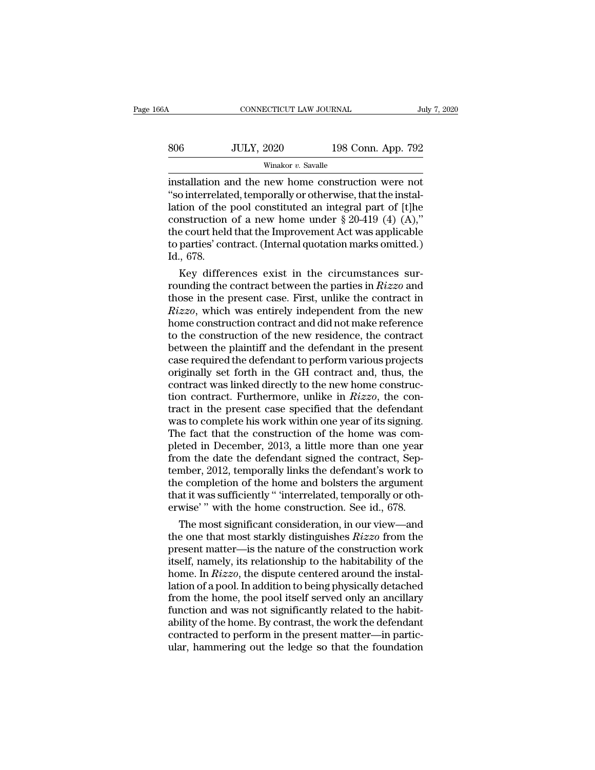|     | CONNECTICUT LAW JOURNAL |                    | July 7, 2020 |
|-----|-------------------------|--------------------|--------------|
|     |                         |                    |              |
| 806 | <b>JULY, 2020</b>       | 198 Conn. App. 792 |              |
|     | Winakor v. Savalle      |                    |              |

 $\begin{tabular}{ll} \multicolumn{2}{l}{{\text{conv}{\sf{ECTICUT~LAW JOURNAL}}}} & \multicolumn{2}{l}{\text{July 7, 202}}\\ \hline & {\text{Winkor } v.~\text{Savalle}}\\ & \multicolumn{2}{l}{\text{Winkor } v.~\text{Savalle}}\\ & \multicolumn{2}{l}{\text{installation and the new home construction were not}}\\ & \text{``so interrelated, temporally or otherwise, that the installation of the pool constituted an integral part of (blue)\\ \end{tabular}$ SO SO SUCE TO U.S. THE SOLE OF STREET WARRY 1998 Conn. App. 792<br>
"Winakor v. Savalle<br>
"So interrelated, temporally or otherwise, that the installation of the pool constituted an integral part of [t]he<br>
construction of a ne 806 JULY, 2020 198 Conn. App. 792<br>Winakor v. Savalle<br>installation and the new home construction were not<br>"so interrelated, temporally or otherwise, that the installation of the pool constituted an integral part of [t]he<br>c SO6 JULY, 2020 198 Conn. App. 792<br>Winakor v. Savalle<br>installation and the new home construction were not<br>"so interrelated, temporally or otherwise, that the instal-<br>lation of the pool constituted an integral part of [t]he Winakor v. Savalle<br>
installation and the new home construction were not<br>
"so interrelated, temporally or otherwise, that the instal-<br>
lation of the pool constituted an integral part of [t]he<br>
construction of a new home un Winakor v. Savalle<br>
installation and the new home construction were not<br>
"so interrelated, temporally or otherwise, that the instal-<br>
lation of the pool constituted an integral part of [t]he<br>
construction of a new home un installation a<br>
"so interrelat"<br>
lation of the<br>
construction<br>
the court held<br>
to parties' contains, Key differ<br>
Key differ o interrelated, temporally or otherwise, that the instal-<br>ion of the pool constituted an integral part of [t]he<br>nstruction of a new home under § 20-419 (4) (A),"<br>e court held that the Improvement Act was applicable<br>partie lation of the pool constituted an integral part of [t]he<br>construction of a new home under  $\S 20-419$  (4) (A),"<br>the court held that the Improvement Act was applicable<br>to parties' contract. (Internal quotation marks omitted

construction of a new home under  $\S 20-419$  (4) (A),"<br>the court held that the Improvement Act was applicable<br>to parties' contract. (Internal quotation marks omitted.)<br>Id., 678.<br>Key differences exist in the circumstances s the court held that the Improvement Act was applicable<br>to parties' contract. (Internal quotation marks omitted.)<br>Id., 678.<br>Key differences exist in the circumstances sur-<br>rounding the contract between the parties in *Rizzo* to parties' contract. (Internal quotation marks omitted.)<br>Id., 678.<br>Key differences exist in the circumstances sur-<br>rounding the contract between the parties in  $Rizzo$  and<br>those in the present case. First, unlike the contr 1d., 678.<br>
Key differences exist in the circumstances sur-<br>
rounding the contract between the parties in  $Rizzo$  and<br>
those in the present case. First, unlike the contract in<br>  $Rizzo$ , which was entirely independent from the Key differences exist in the circumstances sur-<br>rounding the contract between the parties in  $Rizzo$  and<br>those in the present case. First, unlike the contract in<br> $Rizzo$ , which was entirely independent from the new<br>home const rounding the contract between the parties in  $Rizzo$  and<br>those in the present case. First, unlike the contract in<br> $Rizzo$ , which was entirely independent from the new<br>home construction contract and did not make reference<br>to t those in the present case. First, unlike the contract in  $Rizzo$ , which was entirely independent from the new home construction contract and did not make reference to the construction of the new residence, the contract betw  $Rizzo$ , which was entirely independent from the new<br>home construction contract and did not make reference<br>to the construction of the new residence, the contract<br>between the plaintiff and the defendant in the present<br>case r home construction contract and did not make reference<br>to the construction of the new residence, the contract<br>between the plaintiff and the defendant in the present<br>case required the defendant to perform various projects<br>or to the construction of the new residence, the contract<br>between the plaintiff and the defendant in the present<br>case required the defendant to perform various projects<br>originally set forth in the GH contract and, thus, the<br> between the plaintiff and the defendant in the present<br>case required the defendant to perform various projects<br>originally set forth in the GH contract and, thus, the<br>contract was linked directly to the new home construc-<br>t case required the defendant to perform various projects<br>originally set forth in the GH contract and, thus, the<br>contract was linked directly to the new home construc-<br>tion contract. Furthermore, unlike in  $Rizzo$ , the con-<br>t originally set forth in the GH contract and, thus, the contract was linked directly to the new home construction contract. Furthermore, unlike in *Rizzo*, the contract in the present case specified that the defendant was t contract was linked directly to the new home construction contract. Furthermore, unlike in  $Rizzo$ , the contract in the present case specified that the defendant was to complete his work within one year of its signing. The tion contract. Furthermore, unlike in  $Rizzo$ , the contract in the present case specified that the defendant<br>was to complete his work within one year of its signing.<br>The fact that the construction of the home was com-<br>plete tract in the present case specified that the defendant<br>was to complete his work within one year of its signing.<br>The fact that the construction of the home was com-<br>pleted in December, 2013, a little more than one year<br>from was to complete his work within one year of its signing.<br>The fact that the construction of the home was completed in December, 2013, a little more than one year<br>from the date the defendant signed the contract, Sep-<br>tember, The fact that the construction of the home was completed in December, 2013, a little more than one year from the date the defendant signed the contract, September, 2012, temporally links the defendant's work to the complet eted in December, 2013, a little more than one year<br>om the date the defendant signed the contract, Sep-<br>mber, 2012, temporally links the defendant's work to<br>e completion of the home and bolsters the argument<br>at it was suff from the date the defendant signed the contract, September, 2012, temporally links the defendant's work to the completion of the home and bolsters the argument that it was sufficiently " interrelated, temporally or otherwi

tember, 2012, temporally links the defendant's work to<br>the completion of the home and bolsters the argument<br>that it was sufficiently " 'interrelated, temporally or oth-<br>erwise' " with the home construction. See id., 678.<br> the completion of the home and bolsters the argument<br>that it was sufficiently " 'interrelated, temporally or otherwise' " with the home construction. See id., 678.<br>The most significant consideration, in our view—and<br>the o that it was sufficiently " 'interrelated, temporally or otherwise' " with the home construction. See id., 678.<br>The most significant consideration, in our view—and<br>the one that most starkly distinguishes *Rizzo* from the<br>pr erwise"" with the home construction. See id., 678.<br>
The most significant consideration, in our view—and<br>
the one that most starkly distinguishes  $Rizzo$  from the<br>
present matter—is the nature of the construction work<br>
itsel The most significant consideration, in our view—and<br>the one that most starkly distinguishes  $Rizzo$  from the<br>present matter—is the nature of the construction work<br>itself, namely, its relationship to the habitability of the<br> the one that most starkly distinguishes  $Rizzo$  from the present matter—is the nature of the construction work itself, namely, its relationship to the habitability of the home. In  $Rizzo$ , the dispute centered around the inst present matter—is the nature of the construction work<br>itself, namely, its relationship to the habitability of the<br>home. In *Rizzo*, the dispute centered around the instal-<br>lation of a pool. In addition to being physically itself, namely, its relationship to the habitability of the home. In  $Rizzo$ , the dispute centered around the installation of a pool. In addition to being physically detached from the home, the pool itself served only an an home. In *Rizzo*, the dispute centered around the installation of a pool. In addition to being physically detached from the home, the pool itself served only an ancillary function and was not significantly related to the h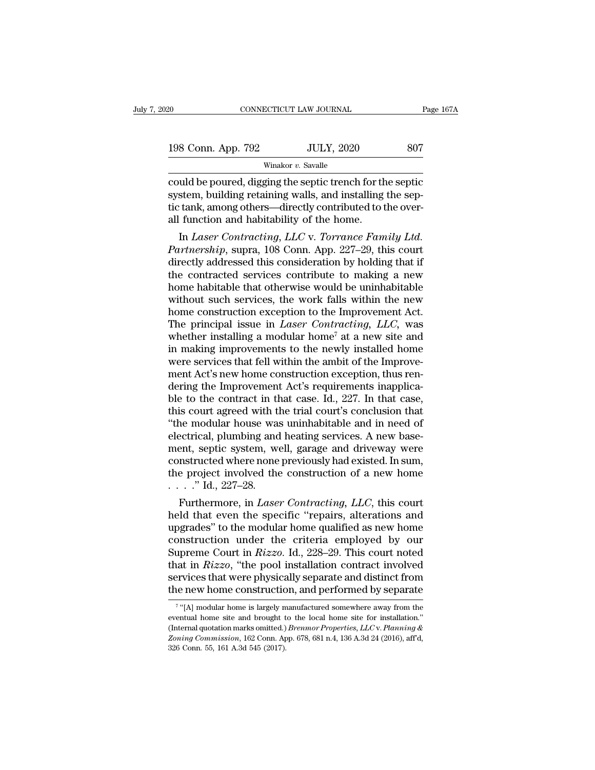| 20                 | CONNECTICUT LAW JOURNAL |                   | Page 167A |
|--------------------|-------------------------|-------------------|-----------|
|                    |                         |                   |           |
| 198 Conn. App. 792 |                         | <b>JULY, 2020</b> | 807       |
|                    | Winakor v. Savalle      |                   |           |

condition and the power of the septies of the septies of the power of the septies of the septies of the septies of the septies of the septies of the septies of the septies of the septies of the septies of the septies of th 198 Conn. App. 792 JULY, 2020 807<br>Winakor v. Savalle<br>Could be poured, digging the septic trench for the septic<br>system, building retaining walls, and installing the sep-<br>tic tank, among others—directly contributed to the ov 198 Conn. App. 792 JULY, 2020 807<br>Winakor v. Savalle<br>
could be poured, digging the septic trench for the septic<br>
system, building retaining walls, and installing the sep-<br>
tic tank, among others—directly contributed to th  $\begin{tabular}{l} $198$ Conn. App. 792 \hspace{3.8cm} JULY, 2020 \hspace{3.2cm} \rule$ \hline \rule[-.2ex]{0pt}{2ex} \rule[-.2ex]{0pt}{2ex} \rule[-.2ex]{0pt}{2ex} \rule[-.2ex]{0pt}{2ex} \rule[-.2ex]{0pt}{2ex} \rule[-.2ex]{0pt}{2ex} \rule[-.2ex]{0pt}{2ex} \rule[-.2ex]{0pt}{2ex} \rule[-.2ex]{0pt}{2ex} \rule[-.2ex]{0pt}{2ex} \rule[-.2ex]{0pt}{2ex} \rule[-.2ex]{0pt}{2ex} \rule[-.2ex]{0pt}{$ Vinakor v. Savalle<br>
uld be poured, digging the septic trench for the septic<br>
stem, building retaining walls, and installing the sep-<br>
tank, among others—directly contributed to the over-<br>
function and habitability of the h resould be poured, digging the septic trench for the septic<br>system, building retaining walls, and installing the sep-<br>tic tank, among others—directly contributed to the over-<br>all function and habitability of the home.<br>In

could be poured, digging the septic trench for the septic<br>system, building retaining walls, and installing the sep-<br>tic tank, among others—directly contributed to the over-<br>all function and habitability of the home.<br>In *La* system, building retaining walls, and installing the sep-<br>tic tank, among others—directly contributed to the over-<br>all function and habitability of the home.<br>In *Laser Contracting*, *LLC* v. *Torrance Family Ltd.*<br>Partners the tank, among others—alrectly contributed to the over-<br>all function and habitability of the home.<br>In *Laser Contracting*, *LLC* v. *Torrance Family Ltd.*<br>*Partnership*, supra, 108 Conn. App. 227–29, this court<br>directly a all function and nabitability of the nome.<br>
In *Laser Contracting*, *LLC* v. *Torrance Family Ltd.*<br> *Partnership*, supra, 108 Conn. App. 227–29, this court<br>
directly addressed this consideration by holding that if<br>
the co In *Laser Contracting*, *LLC* v. *Torrance Family Ltd.*<br>*Partnership*, supra, 108 Conn. App. 227–29, this court<br>directly addressed this consideration by holding that if<br>the contracted services contribute to making a new<br>h Partnership, supra, 108 Conn. App. 227–29, this court<br>directly addressed this consideration by holding that if<br>the contracted services contribute to making a new<br>home habitable that otherwise would be uninhabitable<br>without directly addressed this consideration by holding that if<br>the contracted services contribute to making a new<br>home habitable that otherwise would be uninhabitable<br>without such services, the work falls within the new<br>home con the contracted services contribute to making a new<br>home habitable that otherwise would be uninhabitable<br>without such services, the work falls within the new<br>home construction exception to the Improvement Act.<br>The principal home habitable that otherwise would be uninhabitable<br>without such services, the work falls within the new<br>home construction exception to the Improvement Act.<br>The principal issue in *Laser Contracting*, *LLC*, was<br>whether without such services, the work falls within the new<br>home construction exception to the Improvement Act.<br>The principal issue in *Laser Contracting*, *LLC*, was<br>whether installing a modular home<sup>7</sup> at a new site and<br>in mak home construction exception to the Improvement Act.<br>The principal issue in *Laser Contracting*, *LLC*, was<br>whether installing a modular home<sup>7</sup> at a new site and<br>in making improvements to the newly installed home<br>were ser The principal issue in *Laser Contracting*, *LLC*, was<br>whether installing a modular home<sup>7</sup> at a new site and<br>in making improvements to the newly installed home<br>were services that fell within the ambit of the Improve-<br>men whether installing a modular home<sup>7</sup> at a new site and<br>in making improvements to the newly installed home<br>were services that fell within the ambit of the Improve-<br>ment Act's new home construction exception, thus ren-<br>deri in making improvements to the newly installed home<br>were services that fell within the ambit of the Improve-<br>ment Act's new home construction exception, thus ren-<br>dering the Improvement Act's requirements inapplica-<br>ble to were services that fell within the ambit of the Improvement Act's new home construction exception, thus rendering the Improvement Act's requirements inapplicable to the contract in that case. Id., 227. In that case, this c ment Act's new home construction exception, thus rendering the Improvement Act's requirements inapplica-<br>ble to the contract in that case. Id., 227. In that case,<br>this court agreed with the trial court's conclusion that<br>"t dering the Improvement Act's requirements inapplica-<br>ble to the contract in that case. Id., 227. In that case,<br>this court agreed with the trial court's conclusion that<br>"the modular house was uninhabitable and in need of<br>el ble to the contract in that case. Id., 227. In that case, this court agreed with the trial court's conclusion that "the modular house was uninhabitable and in need of electrical, plumbing and heating services. A new basem this court agreed with the modular house was<br>electrical, plumbing and<br>ment, septic system, we<br>constructed where none<br>the project involved the<br> $\ldots$ ." Id., 227–28.<br>Furthermore, in *Lase* ne modular house was uninhabitable and in need of<br>ectrical, plumbing and heating services. A new base-<br>ent, septic system, well, garage and driveway were<br>nstructed where none previously had existed. In sum,<br>e project invol electrical, plumbing and heating services. A new base-<br>ment, septic system, well, garage and driveway were<br>constructed where none previously had existed. In sum,<br>the project involved the construction of a new home<br> $\dots$ ."

ment, septic system, well, garage and driveway were<br>
constructed where none previously had existed. In sum,<br>
the project involved the construction of a new home<br>  $\ldots$  " Id., 227–28.<br>
Furthermore, in *Laser Contracting*, constructed where none previously had existed. In sum,<br>the project involved the construction of a new home<br>...." Id., 227–28.<br>Furthermore, in *Laser Contracting*, *LLC*, this court<br>held that even the specific "repairs, al the project involved the construction of a new nome<br>
. . . . " Id., 227–28.<br>
Furthermore, in *Laser Contracting*, *LLC*, this court<br>
held that even the specific "repairs, alterations and<br>
upgrades" to the modular home qual Furthermore, in *Laser Contracting*, *LLC*, this court<br>held that even the specific "repairs, alterations and<br>upgrades" to the modular home qualified as new home<br>construction under the criteria employed by our<br>Supreme Cour Furthermore, in *Laser Contracting*, *LLC*, this court<br>held that even the specific "repairs, alterations and<br>upgrades" to the modular home qualified as new home<br>construction under the criteria employed by our<br>Supreme Court held that even the specific "repairs, alterations and<br>upgrades" to the modular home qualified as new home<br>construction under the criteria employed by our<br>Supreme Court in *Rizzo*. Id., 228–29. This court noted<br>that in *Ri* preme Court in *Rizzo*. Id., 228–29. This court noted<br>at in *Rizzo*, "the pool installation contract involved<br>vices that were physically separate and distinct from<br>enew home construction, and performed by separate<br>"[A] mod that in *Rizzo*, "the pool installation contract involved<br>services that were physically separate and distinct from<br>the new home construction, and performed by separate<br> $\frac{1}{\pi}$  "[A] modular home is largely manufactured the new home construction, and performed by separate

<sup>&</sup>lt;sup>7</sup> "[A] modular home is largely manufactured somewhere away from the services that were physically separate and distinct from<br>the new home construction, and performed by separate<br> $\frac{1}{\tau}$ <sup>*u*</sup>[A] modular home is largely manufactured somewhere away from the<br>eventual home site and brought t The Hew Hoffle Construction<br>  $\frac{1}{2}$   $\pi$  "[A] modular home is largely m<br>
eventual home site and brought the (Internal quotation marks omitted.)<br> *Zoning Commission*, 162 Conn. Ap<br>
326 Conn. 55, 161 A.3d 545 (2017).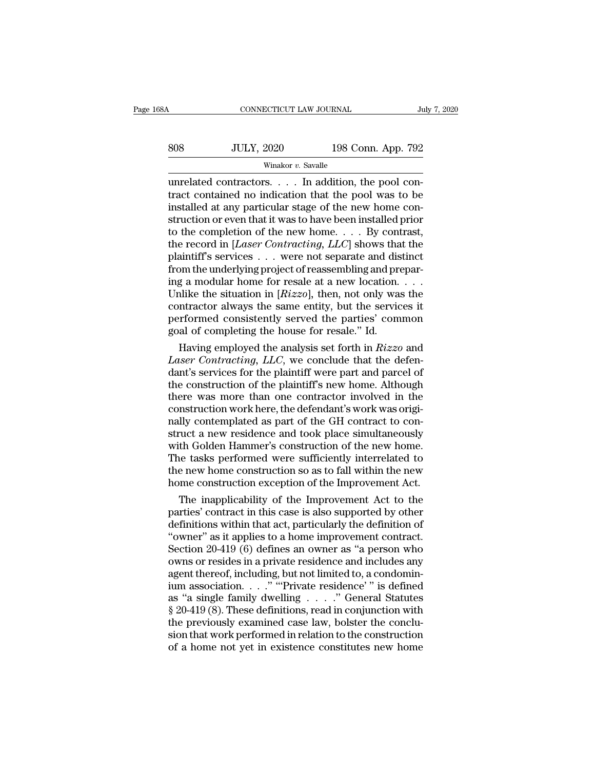|     | CONNECTICUT LAW JOURNAL |                    | July 7, 2020 |
|-----|-------------------------|--------------------|--------------|
|     |                         |                    |              |
| 808 | <b>JULY, 2020</b>       | 198 Conn. App. 792 |              |
|     | Winakor v. Savalle      |                    |              |

CONNECTICUT LAW JOURNAL<br>
ULLY, 2020 198 Conn. App. 792<br>
Winakor v. Savalle<br>
Unrelated contractors. . . . In addition, the pool con-<br>
tract contained no indication that the pool was to be<br>
installed at any particular stage  $\noindent\textbf{308}\quad\textbf{JULY, 2020}\quad\textbf{198 Conn. App. 792}\quad\text{Winakor }v.\text{ Savalle}\n\text{unrelated contracts.}\n\dots.\nIn addition, the pool contract contained no indication that the pool was to be installed at any particular stage of the new home construction or even that it was to have been installed prior.$  $\frac{\text{JULY, 2020}}{\text{Winakor } v \cdot \text{Savalle}}$ <br>
unrelated contractors. . . . In addition, the pool contract contained no indication that the pool was to be installed at any particular stage of the new home construction or even that struction or even that it was to have been installed that it was to have been installed at any particular stage of the new home construction or even that it was to have been installed prior to the completion of the new ho  $\frac{1}{100}$  Winakor v. Savalle<br>
unrelated contractors. . . . In addition, the pool con-<br>
tract contained no indication that the pool was to be<br>
installed at any particular stage of the new home con-<br>
struction or even tha Winakor v. Savalle<br>
unrelated contractors. . . . In addition, the pool con-<br>
tract contained no indication that the pool was to be<br>
installed at any particular stage of the new home con-<br>
struction or even that it was to h unrelated contractors. . . . In addition, the pool contract contained no indication that the pool was to be installed at any particular stage of the new home construction or even that it was to have been installed prior t tract contained no indication that the pool was to be<br>installed at any particular stage of the new home con-<br>struction or even that it was to have been installed prior<br>to the completion of the new home.... By contrast,<br>th installed at any particular stage of the new home construction or even that it was to have been installed prior<br>to the completion of the new home.... By contrast,<br>the record in [*Laser Contracting*, *LLC*] shows that the<br> struction or even that it was to have been installed prior<br>to the completion of the new home. . . . By contrast,<br>the record in [*Laser Contracting*, *LLC*] shows that the<br>plaintiff's services . . . were not separate and di to the completion of the new home. . . . By contrast,<br>the record in [*Laser Contracting*, *LLC*] shows that the<br>plaintiff's services . . . were not separate and distinct<br>from the underlying project of reassembling and pre the record in [*Laser Contracting, LLC*] shows that the plaintiff's services . . . were not separate and distinct from the underlying project of reassembling and preparing a modular home for resale at a new location. . . plaintiff's services  $\ldots$  were not separate and disfrom the underlying project of reassembling and press in the service for resale at a new location.<br>Unlike the situation in [ $Rizzo$ ], then, not only was contractor always Im the underlying project of reassembling and prepar-<br>g a modular home for resale at a new location. . . .<br>hlike the situation in *[Rizzo*], then, not only was the<br>ntractor always the same entity, but the services it<br>rfor ing a modular home for resale at a new location. . . . Unlike the situation in [*Rizzo*], then, not only was the contractor always the same entity, but the services it performed consistently served the parties' common goal

Unlike the situation in  $[Rizz0]$ , then, not only was the<br>contractor always the same entity, but the services it<br>performed consistently served the parties' common<br>goal of completing the house for resale." Id.<br>Having employe contractor always the same entity, but the services it<br>performed consistently served the parties' common<br>goal of completing the house for resale." Id.<br>Having employed the analysis set forth in *Rizzo* and<br>*Laser Contractin* performed consistently served the parties' common<br>goal of completing the house for resale." Id.<br>Having employed the analysis set forth in *Rizzo* and<br>*Laser Contracting, LLC*, we conclude that the defen-<br>dant's services fo goal of completing the house for resale." Id.<br>
Having employed the analysis set forth in  $Rizzo$  and<br> *Laser Contracting*, *LLC*, we conclude that the defen-<br>
dant's services for the plaintiff were part and parcel of<br>
the c Having employed the analysis set forth in *Rizzo* and<br>*Laser Contracting*, *LLC*, we conclude that the defen-<br>dant's services for the plaintiff were part and parcel of<br>the construction of the plaintiff's new home. Although Laser Contracting, LLC, we conclude that the defen-<br>dant's services for the plaintiff were part and parcel of<br>the construction of the plaintiff's new home. Although<br>there was more than one contractor involved in the<br>constr dant's services for the plaintiff were part and parcel of<br>the construction of the plaintiff's new home. Although<br>there was more than one contractor involved in the<br>construction work here, the defendant's work was origi-<br>na the construction of the plaintiff's new home. Although<br>there was more than one contractor involved in the<br>construction work here, the defendant's work was origi-<br>nally contemplated as part of the GH contract to con-<br>struct there was more than one contractor involved in the construction work here, the defendant's work was originally contemplated as part of the GH contract to construct a new residence and took place simultaneously with Golden construction work here, the defendant's work was originally contemplated as part of the GH contract to construct a new residence and took place simultaneously with Golden Hammer's construction of the new home.<br>The tasks pe Illy contemplated as part of the GH contract to con-<br>ruct a new residence and took place simultaneously<br>th Golden Hammer's construction of the new home.<br>le tasks performed were sufficiently interrelated to<br>e new home const struct a new residence and took place simultaneously<br>with Golden Hammer's construction of the new home.<br>The tasks performed were sufficiently interrelated to<br>the new home construction so as to fall within the new<br>home cons

with Golden Hammer's construction of the new home.<br>The tasks performed were sufficiently interrelated to<br>the new home construction so as to fall within the new<br>home construction exception of the Improvement Act.<br>The inappl The tasks performed were sufficiently interrelated to<br>the new home construction so as to fall within the new<br>home construction exception of the Improvement Act.<br>The inapplicability of the Improvement Act to the<br>parties' co the new home construction so as to fall within the new<br>home construction exception of the Improvement Act.<br>The inapplicability of the Improvement Act to the<br>parties' contract in this case is also supported by other<br>definit home construction exception of the Improvement Act.<br>The inapplicability of the Improvement Act to the<br>parties' contract in this case is also supported by other<br>definitions within that act, particularly the definition of<br>"o The inapplicability of the Improvement Act to the parties' contract in this case is also supported by other definitions within that act, particularly the definition of "owner" as it applies to a home improvement contract. parties' contract in this case is also supported by other<br>definitions within that act, particularly the definition of<br>"owner" as it applies to a home improvement contract.<br>Section 20-419 (6) defines an owner as "a person definitions within that act, particularly the definition of<br>
"owner" as it applies to a home improvement contract.<br>
Section 20-419 (6) defines an owner as "a person who<br>
owns or resides in a private residence and includes "owner" as it applies to a home improvement contract.<br>Section 20-419 (6) defines an owner as "a person who<br>owns or resides in a private residence and includes any<br>agent thereof, including, but not limited to, a condomin-<br> Section 20-419 (6) defines an owner as "a person who<br>owns or resides in a private residence and includes any<br>agent thereof, including, but not limited to, a condomin-<br>ium association. . . . " "Private residence' " is defi owns or resides in a private residence and includes any<br>agent thereof, including, but not limited to, a condomin-<br>ium association. . . . " "Private residence" " is defined<br>as "a single family dwelling . . . ." General Sta agent thereof, including, but not limited to, a condomin-<br>ium association. . . . " "Private residence' " is defined<br>as "a single family dwelling . . . ." General Statutes<br>§ 20-419 (8). These definitions, read in conjunctio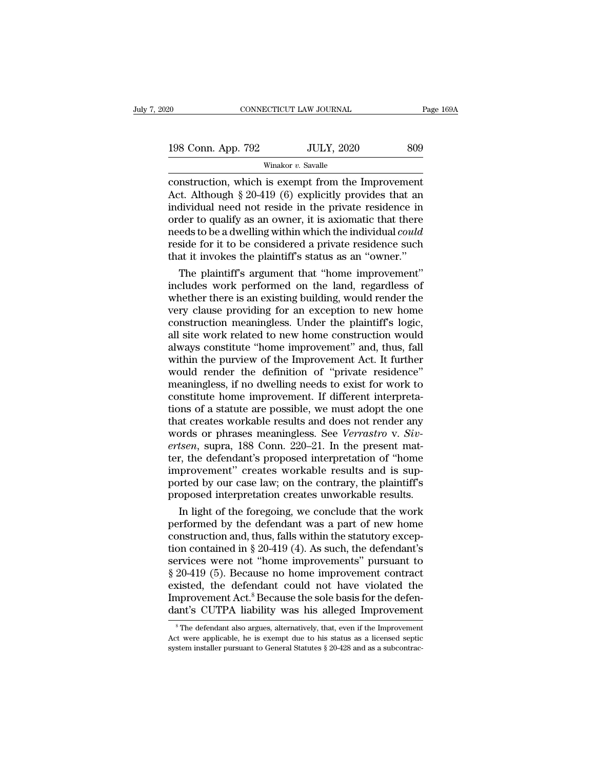| 20                 | CONNECTICUT LAW JOURNAL | Page 169A |  |
|--------------------|-------------------------|-----------|--|
|                    |                         |           |  |
| 198 Conn. App. 792 | <b>JULY, 2020</b>       | 809       |  |
|                    | Winakor v. Savalle      |           |  |

construction and the UK of the Improvement<br>
Construction, which is exempt from the Improvement<br>
Act. Although § 20-419 (6) explicitly provides that an<br>
individual nood not reside in the private residence in 198 Conn. App. 792 JULY, 2020 809<br>Winakor v. Savalle<br>
construction, which is exempt from the Improvement<br>
Act. Although § 20-419 (6) explicitly provides that an<br>
individual need not reside in the private residence in<br>
ord 198 Conn. App. 792 JULY, 2020 809<br>
Winakor v. Savalle<br>
construction, which is exempt from the Improvement<br>
Act. Although § 20-419 (6) explicitly provides that an<br>
individual need not reside in the private residence in<br>
or 198 Conn. App. 792 JULY, 2020 809<br>
Winakor v. Savalle<br>
construction, which is exempt from the Improvement<br>
Act. Although § 20-419 (6) explicitly provides that an<br>
individual need not reside in the private residence in<br>
or winakor v. Savalle<br>
construction, which is exempt from the Improvement<br>
Act. Although § 20-419 (6) explicitly provides that an<br>
individual need not reside in the private residence in<br>
order to qualify as an owner, it is ax Winakor v. Savalle<br>construction, which is exempt from the Improvement<br>Act. Although § 20-419 (6) explicitly provides that an<br>individual need not reside in the private residence in<br>order to qualify as an owner, it is axiom construction, which is exempt from the Improvement<br>Act. Although  $\S 20-419$  (6) explicitly provides that an<br>individual need not reside in the private residence in<br>order to qualify as an owner, it is axiomatic that there<br>n E. Although § 20-419 (6) explicitly provides that an dividual need not reside in the private residence in der to qualify as an owner, it is axiomatic that there eds to be a dwelling within which the individual *could* sid individual need not reside in the private residence in<br>order to qualify as an owner, it is axiomatic that there<br>needs to be a dwelling within which the individual *could*<br>reside for it to be considered a private residence

order to quality as an owner, it is axiomatic that there<br>needs to be a dwelling within which the individual *could*<br>reside for it to be considered a private residence such<br>that it invokes the plaintiff's status as an "owne needs to be a dwelling within which the individual *could*<br>reside for it to be considered a private residence such<br>that it invokes the plaintiff's status as an "owner."<br>The plaintiff's argument that "home improvement"<br>incl reside for it to be considered a private residence such<br>that it invokes the plaintiff's status as an "owner."<br>The plaintiff's argument that "home improvement"<br>includes work performed on the land, regardless of<br>whether ther that it invokes the plaintiff's status as an "owner."<br>
The plaintiff's argument that "home improvement"<br>
includes work performed on the land, regardless of<br>
whether there is an existing building, would render the<br>
very cla The plaintiff's argument that "home improvement"<br>includes work performed on the land, regardless of<br>whether there is an existing building, would render the<br>very clause providing for an exception to new home<br>construction me includes work performed on the land, regardless of<br>whether there is an existing building, would render the<br>very clause providing for an exception to new home<br>construction meaningless. Under the plaintiff's logic,<br>all site whether there is an existing building, would render the<br>very clause providing for an exception to new home<br>construction meaningless. Under the plaintiff's logic,<br>all site work related to new home construction would<br>always very clause providing for an exception to new home<br>construction meaningless. Under the plaintiff's logic,<br>all site work related to new home construction would<br>always constitute "home improvement" and, thus, fall<br>within the construction meaningless. Under the plaintiff's logic,<br>all site work related to new home construction would<br>always constitute "home improvement" and, thus, fall<br>within the purview of the Improvement Act. It further<br>would r all site work related to new home construction would<br>always constitute "home improvement" and, thus, fall<br>within the purview of the Improvement Act. It further<br>would render the definition of "private residence"<br>meaningless always constitute "home improvement" and, thus, fall<br>within the purview of the Improvement Act. It further<br>would render the definition of "private residence"<br>meaningless, if no dwelling needs to exist for work to<br>constitut within the purview of the Improvement Act. It further would render the definition of "private residence" meaningless, if no dwelling needs to exist for work to constitute home improvement. If different interpretations of a would render the definition of "private residence"<br>meaningless, if no dwelling needs to exist for work to<br>constitute home improvement. If different interpreta-<br>tions of a statute are possible, we must adopt the one<br>that cr meaningless, if no dwelling needs to exist for work to<br>constitute home improvement. If different interpreta-<br>tions of a statute are possible, we must adopt the one<br>that creates workable results and does not render any<br>word constitute home improvement. If different interpreta-<br>tions of a statute are possible, we must adopt the one<br>that creates workable results and does not render any<br>words or phrases meaningless. See *Verrastro* v. Siv-<br>*erts* tions of a statute are possible, we must adopt the one<br>that creates workable results and does not render any<br>words or phrases meaningless. See *Verrastro* v. Siv-<br>ertsen, supra, 188 Conn. 220–21. In the present mat-<br>ter, t that creates workable results and does not render any<br>words or phrases meaningless. See *Verrastro* v. Siv-<br>*ertsen*, supra, 188 Conn. 220–21. In the present mat-<br>ter, the defendant's proposed interpretation of "home<br>impro ords or phrases meaningless. See *Verrastro* v. Siv-<br>tsen, supra, 188 Conn. 220–21. In the present mat-<br>r, the defendant's proposed interpretation of "home<br>provement" creates workable results and is sup-<br>provement" create ertsen, supra, 188 Conn. 220–21. In the present matter, the defendant's proposed interpretation of "home<br>improvement" creates workable results and is sup-<br>ported by our case law; on the contrary, the plaintiff's<br>proposed i

ter, the defendant's proposed interpretation of "home<br>improvement" creates workable results and is sup-<br>ported by our case law; on the contrary, the plaintiff's<br>proposed interpretation creates unworkable results.<br>In light improvement" creates workable results and is sup-<br>ported by our case law; on the contrary, the plaintiff's<br>proposed interpretation creates unworkable results.<br>In light of the foregoing, we conclude that the work<br>performed ported by our case law; on the contrary, the plaintiff's<br>proposed interpretation creates unworkable results.<br>In light of the foregoing, we conclude that the work<br>performed by the defendant was a part of new home<br>constructi proposed interpretation creates unworkable results.<br>
In light of the foregoing, we conclude that the work<br>
performed by the defendant was a part of new home<br>
construction and, thus, falls within the statutory excep-<br>
tion In light of the foregoing, we conclude that the work<br>performed by the defendant was a part of new home<br>construction and, thus, falls within the statutory excep-<br>tion contained in § 20-419 (4). As such, the defendant's<br>ser performed by the defendant was a part of new home construction and, thus, falls within the statutory exception contained in § 20-419 (4). As such, the defendant's services were not "home improvements" pursuant to § 20-419 construction and, thus, falls within the statutory exception contained in § 20-419 (4). As such, the defendant's services were not "home improvements" pursuant to § 20-419 (5). Because no home improvement contract existed 20-419 (5). Because no home improvement contract<br>xisted, the defendant could not have violated the<br>nprovement Act.<sup>8</sup> Because the sole basis for the defen-<br>ant's CUTPA liability was his alleged Improvement<br><sup>8</sup> The defendan existed, the defendant could not have violated the<br>Improvement Act.<sup>8</sup> Because the sole basis for the defen-<br>dant's CUTPA liability was his alleged Improvement<br><sup>8</sup> The defendant also argues, alternatively, that, even if th

Improvement Act.<sup>8</sup> Because the sole basis for the defendant's CUTPA liability was his alleged Improvement  $\frac{}{\text{s} \text{ The defendant also argues, alternatively, that, even if the Important Act were applicable, he is exempt due to his status as a licensed septic system installer pursuit to General Statistics § 20-428 and as a subcontrac-$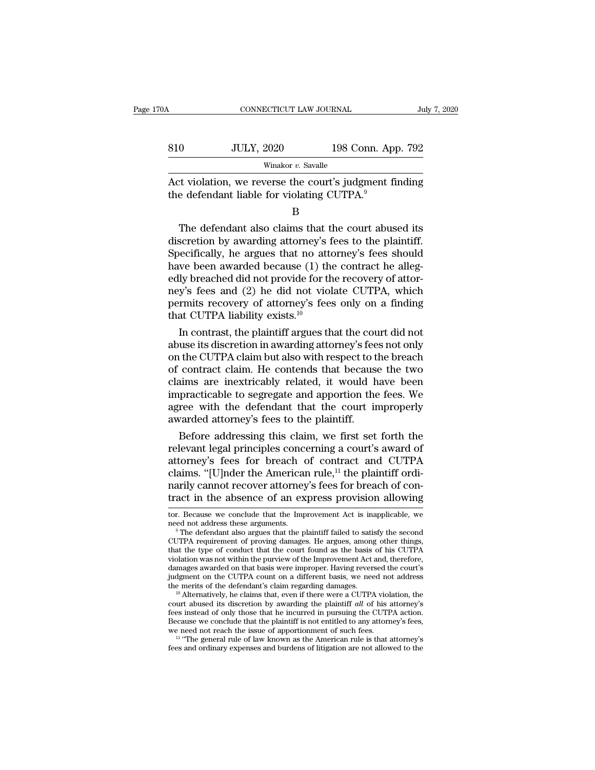| 70A | CONNECTICUT LAW JOURNAL                                                                                          |                    | July 7, 2020 |
|-----|------------------------------------------------------------------------------------------------------------------|--------------------|--------------|
| 810 | <b>JULY, 2020</b>                                                                                                | 198 Conn. App. 792 |              |
|     | Winakor v. Savalle                                                                                               |                    |              |
|     | Act violation, we reverse the court's judgment finding<br>the defendant liable for violating CUTPA. <sup>9</sup> |                    |              |
|     | В                                                                                                                |                    |              |

 $U_{\text{Unl}}$ , 2020  $\mu$  198 Conn. App. 792<br>
Winakor v. Savalle<br>
Et violation, we reverse the court's judgment finding<br>
e defendant liable for violating CUTPA.<sup>9</sup><br>
B<br>
The defendant also claims that the court abused its<br>
scre Winakor v. Savalle<br>Act violation, we reverse the court's judgment finding<br>the defendant liable for violating CUTPA.<sup>9</sup><br>B<br>The defendant also claims that the court abused its<br>discretion by awarding attorney's fees to the pl Act violation, we reverse the court's judgment finding<br>the defendant liable for violating CUTPA.<sup>9</sup><br>B<br>The defendant also claims that the court abused its<br>discretion by awarding attorney's fees to the plaintiff.<br>Specificall have been awarding CUTPA.<sup>9</sup><br>B<br>The defendant also claims that the court abused its<br>discretion by awarding attorney's fees to the plaintiff.<br>Specifically, he argues that no attorney's fees should<br>have been awarded because ( B<br>B<br>B<br>The defendant also claims that the court abused its<br>discretion by awarding attorney's fees to the plaintiff.<br>Specifically, he argues that no attorney's fees should<br>have been awarded because (1) the contract he alleg-B<br>The defendant also claims that the court abused its<br>discretion by awarding attorney's fees to the plaintiff.<br>Specifically, he argues that no attorney's fees should<br>have been awarded because (1) the contract he alleg-<br>edl The defendant also claims that the court abused its<br>discretion by awarding attorney's fees to the plaintiff.<br>Specifically, he argues that no attorney's fees should<br>have been awarded because (1) the contract he alleg-<br>edly discretion by awarding attorney's if Specifically, he argues that no attornate have been awarded because (1) the edity breached did not provide for the ney's fees and (2) he did not viol permits recovery of attorney's fee ectrically, he argues that no attorney's tees should<br>we been awarded because (1) the contract he alleg-<br>ly breached did not provide for the recovery of attor-<br>y's fees and (2) he did not violate CUTPA, which<br>rmits recovery have been awarded because (1) the contract he allegedly breached did not provide for the recovery of attorney's fees and (2) he did not violate CUTPA, which permits recovery of attorney's fees only on a finding that CUTPA

edly breached did not provide for the recovery of attor-<br>ney's fees and (2) he did not violate CUTPA, which<br>permits recovery of attorney's fees only on a finding<br>that CUTPA liability exists.<sup>10</sup><br>In contrast, the plaintiff ney's tees and (2) he did not violate CUTPA, which<br>permits recovery of attorney's fees only on a finding<br>that CUTPA liability exists.<sup>10</sup><br>In contrast, the plaintiff argues that the court did not<br>abuse its discretion in awa permits recovery of attorney's fees only on a finding<br>that CUTPA liability exists.<sup>10</sup><br>In contrast, the plaintiff argues that the court did not<br>abuse its discretion in awarding attorney's fees not only<br>on the CUTPA claim b that CUTPA liability exists.<sup>10</sup><br>In contrast, the plaintiff argues that the court did not<br>abuse its discretion in awarding attorney's fees not only<br>on the CUTPA claim but also with respect to the breach<br>of contract claim. In contrast, the plaintiff argues that the court did not<br>abuse its discretion in awarding attorney's fees not only<br>on the CUTPA claim but also with respect to the breach<br>of contract claim. He contends that because the two<br> abuse its discretion in awarding attorney's fee<br>on the CUTPA claim but also with respect to t<br>of contract claim. He contends that because<br>claims are inextricably related, it would h<br>impracticable to segregate and apportion is the CUTPA claim but also with respect to the breach<br>contract claim. He contends that because the two<br>aims are inextricably related, it would have been<br>practicable to segregate and apportion the fees. We<br>ree with the def of contract claim. He contends that because the two<br>claims are inextricably related, it would have been<br>impracticable to segregate and apportion the fees. We<br>agree with the defendant that the court improperly<br>awarded attor

claims are inextricably related, it would have been<br>impracticable to segregate and apportion the fees. We<br>agree with the defendant that the court improperly<br>awarded attorney's fees to the plaintiff.<br>Before addressing this mpracticable to segregate and apportion the tees. We<br>agree with the defendant that the court improperly<br>awarded attorney's fees to the plaintiff.<br>Before addressing this claim, we first set forth the<br>relevant legal princip agree with the detendant that the court improperly<br>awarded attorney's fees to the plaintiff.<br>Before addressing this claim, we first set forth the<br>relevant legal principles concerning a court's award of<br>attorney's fees for awarded attorney's tees to the plantiff.<br>
Before addressing this claim, we first set forth the<br>
relevant legal principles concerning a court's award of<br>
attorney's fees for breach of contract and CUTPA<br>
claims. "[U]nder th attorney's fees for breach of contract and CUTPA<br>claims. "[U]nder the American rule,<sup>11</sup> the plaintiff ordi-<br>narily cannot recover attorney's fees for breach of con-<br>tract in the absence of an express provision allowing<br>to claims. "[U]nder the American rule,<sup>11</sup> the plaintiff ordinarily cannot recover attorney's fees for breach of contract in the absence of an express provision allowing<br>tor. Because we conclude that the Improvement Act is i

narily cannot recover attorney's fees for breach of contract in the absence of an express provision allowing<br>tor. Because we conclude that the Improvement Act is inapplicable, we<br>need not address these arguments.<br><sup>9</sup> The d tract in the absence of an express provision allowing<br>tor. Because we conclude that the Improvement Act is inapplicable, we<br>need not address these arguments.<br><sup>9</sup> The defendant also argues that the plaintiff failed to satis From Because we conclude that the Improvement Act is inapplicable, we<br>need not address these arguments.<br><sup>9</sup> The defendant also argues that the plaintiff failed to satisfy the second<br>CUTPA requirement of proving damages. He tor. Because we conclude that the Improvement Act is inapplicable, we need not address these arguments.<br>
<sup>9</sup> The defendant also argues that the plaintiff failed to satisfy the second CUTPA requirement of proving damages. H CUTPA requirement of proving damages. He argues, among other things, that the type of conduct that the court found as the basis of his CUTPA violation was not within the purview of the Improvement Act and, therefore, dama <sup>9</sup> The defendant also argues that the plaintiff failed to satisfy the second CUTPA requirement of proving damages. He argues, among other things, that the type of conduct that the court found as the basis of his CUTPA vi that the type of conduct that the court found as the basis of his CUTPA<br>violation was not within the purview of the Improvement Act and, therefore,<br>damages awarded on that basis were improper. Having reversed the court's<br>j

violation was not within the purview of the Improvement Act and, therefore, damages awarded on that basis were improper. Having reversed the court's judgment on the CUTPA count on a different basis, we need not address th damages awarded on that basis were improper. Having reversed the court's<br>judgment on the CUTPA count on a different basis, we need not address<br>the merits of the defendant's claim regarding damages.<br><sup>10</sup> Alternatively, he judgment on the CUTPA count on a different basis, we need not address<br>the merits of the defendant's claim regarding damages.<br><sup>10</sup> Alternatively, he claims that, even if there were a CUTPA violation, the<br>court abused its d court abused its discretion by awarding the plaintiff *all* of his attorney's fees instead of only those that he incurred in pursuing the CUTPA action. Because we conclude that the plaintiff is not entitled to any attorne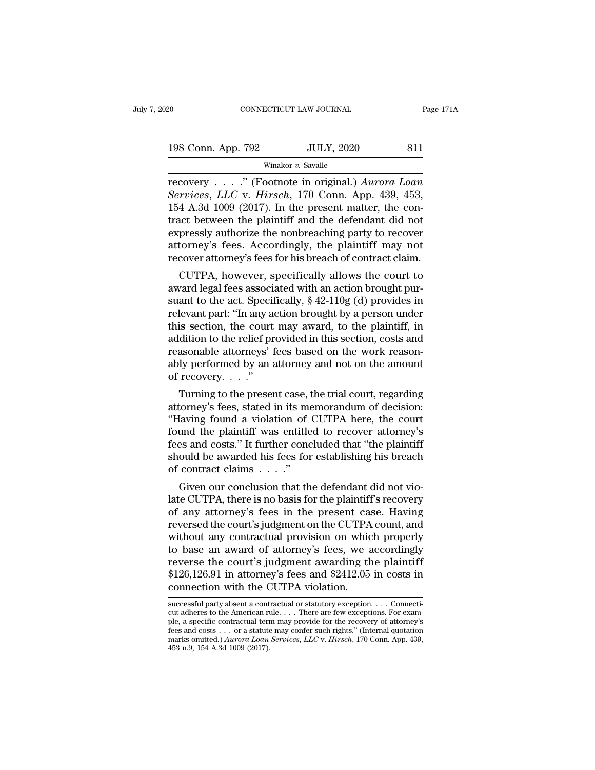EXECUTE CONNECTICUT LAW JOURNAL Page 171A<br>198 Conn. App. 792 JULY, 2020 811<br>Winakor v. Savalle

Winakor *v.* Savalle

recovery . . . . . " (Footnote in original.) *Aurora Loan*<br> *Services, LLC v. Hirsch,* 170 Conn. App. 439, 453,<br>
154 A 34 1000 (2017) In the present metter the construction *Services*, *LLC* v. *Hirsch*, 170 Conn. App. 2020<br>*Winakor v. Savalle*<br>*Services*, *LLC* v. *Hirsch*, 170 Conn. App. 439, 453, 154 A.3d 1009 (2017). In the present matter, the contract between the plaintiff and the defend 198 Conn. App. 792 JULY, 2020 811<br>
Winakor v. Savalle<br>
recovery . . . . . " (Footnote in original.) Aurora Loan<br>
Services, LLC v. Hirsch, 170 Conn. App. 439, 453,<br>
154 A.3d 1009 (2017). In the present matter, the con-<br>
tr 198 Conn. App. 792 JULY, 2020 811<br>
Winakor v. Savalle<br>
recovery . . . . . " (Footnote in original.) Aurora Loan<br>
Services, LLC v. Hirsch, 170 Conn. App. 439, 453,<br>
154 A.3d 1009 (2017). In the present matter, the con-<br>
tr Winakor v. Savalle<br>
recovery . . . . " (Footnote in original.) Aurora Loan<br>
Services, LLC v. Hirsch, 170 Conn. App. 439, 453,<br>
154 A.3d 1009 (2017). In the present matter, the con-<br>
tract between the plaintiff and the def At the mask of v. Savalle<br>
are covery  $\ldots$  ." (Footnote in original.) Aurora Loan<br>
Services, LLC v. Hirsch, 170 Conn. App. 439, 453,<br>
154 A.3d 1009 (2017). In the present matter, the con-<br>
tract between the plaintiff and recovery  $\ldots$ ." (Footnote in original.) Aurora Loan Services, LLC v. Hirsch, 170 Conn. App. 439, 453, 154 A.3d 1009 (2017). In the present matter, the contract between the plaintiff and the defendant did not expressly au Truces, *LLC* v. *Hirsch*, 170 Colin. App. 459, 455, 456, 4 A.3d 1009 (2017). In the present matter, the con-<br>act between the plaintiff and the defendant did not<br>pressly authorize the nonbreaching party to recover<br>torney' 194 A.5d 1009 (2017). In the present matter, the contract between the plaintiff and the defendant did not expressly authorize the nonbreaching party to recover attorney's fees. Accordingly, the plaintiff may not recover a

ract between the plaintin and the defendant did not<br>expressly authorize the nonbreaching party to recover<br>attorney's fees. Accordingly, the plaintiff may not<br>recover attorney's fees for his breach of contract claim.<br>CUTPA, expressly authorize the honbreaching party to recover<br>attorney's fees. Accordingly, the plaintiff may not<br>recover attorney's fees for his breach of contract claim.<br>CUTPA, however, specifically allows the court to<br>award leg attorney's rees. Accordingly, the plaintiff may not<br>recover attorney's fees for his breach of contract claim.<br>CUTPA, however, specifically allows the court to<br>award legal fees associated with an action brought pur-<br>suant t recover attorney s rees for fus breach of contract claim.<br>CUTPA, however, specifically allows the court to<br>award legal fees associated with an action brought pur-<br>suant to the act. Specifically, § 42-110g (d) provides in<br>r CUTPA, however, specifically allows the court to award legal fees associated with an action brought pursuant to the act. Specifically,  $\S$  42-110g (d) provides in relevant part: "In any action brought by a person under th award legal fees associated with an action brought pursuant to the act. Specifically,  $\S$  42-110g (d) provides in relevant part: "In any action brought by a person under this section, the court may award, to the plaintiff suant to the act. Speciifield reached the count addition to the relief preasonable attorneys' if ably performed by an and recovery. . . ."<br>Turning to the preasonable attorneys' if ably performed by an and recovery. . . ." Evant part: In any action brought by a person under<br>is section, the court may award, to the plaintiff, in<br>dition to the relief provided in this section, costs and<br>asonable attorneys' fees based on the work reason-<br>ly perfo ration to the relief provided in this section, costs and<br>reasonable attorneys' fees based on the work reason-<br>ably performed by an attorney and not on the amount<br>of recovery. . . ."<br>Turning to the present case, the trial c

addition to the refler provided in this section, costs and<br>reasonably performed by an attorney and not on the amount<br>of recovery...."<br>Turning to the present case, the trial court, regarding<br>attorney's fees, stated in its m reasonable attorneys rees based on the work reasonably performed by an attorney and not on the amount<br>of recovery. . . ."<br>Turning to the present case, the trial court, regarding<br>attorney's fees, stated in its memorandum o ferommed by an attorney and not on the amount<br>of recovery.  $\dots$ .''<br>Turning to the present case, the trial court, regarding<br>attorney's fees, stated in its memorandum of decision:<br>"Having found a violation of CUTPA here, th of recovery. . . .<br>Turning to the present case, the trial court, regarding<br>attorney's fees, stated in its memorandum of decision:<br>"Having found a violation of CUTPA here, the court<br>found the plaintiff was entitled to recov Turning to the present case, attorney's fees, stated in its measure "Having found a violation of found the plaintiff was entitle fees and costs." It further condensional be awarded his fees for of contract claims  $\ldots$ ." flaving found a violation of CUTPA here, the court<br>laving found a violation of CUTPA here, the court<br>und the plaintiff was entitled to recover attorney's<br>es and costs." It further concluded that "the plaintiff<br>ould be awar Having found a violation of CUTPA nere, the court<br>found the plaintiff was entitled to recover attorney's<br>fees and costs." It further concluded that "the plaintiff<br>should be awarded his fees for establishing his breach<br>of

Frees and costs." It further concluded that "the plaintiff<br>should be awarded his fees for establishing his breach<br>of contract claims . . . ."<br>Given our conclusion that the defendant did not vio-<br>late CUTPA, there is no bas rees and costs. It further concluded that the plaintiff<br>should be awarded his fees for establishing his breach<br>of contract claims . . . ."<br>Given our conclusion that the defendant did not vio-<br>late CUTPA, there is no basis should be awarded fils fees for establishing fils breach<br>of contract claims  $\ldots$ ."<br>Given our conclusion that the defendant did not vio-<br>late CUTPA, there is no basis for the plaintiff's recovery<br>of any attorney's fees in or contract ciams  $\ldots$ .<br>
Given our conclusion that the defendant did not vio-<br>
late CUTPA, there is no basis for the plaintiff's recovery<br>
of any attorney's fees in the present case. Having<br>
reversed the court's judgment Given our conclusion that the defendant did not vio-<br>late CUTPA, there is no basis for the plaintiff's recovery<br>of any attorney's fees in the present case. Having<br>reversed the court's judgment on the CUTPA count, and<br>witho late CUTPA, there is no basis for the plaintiff's recovery<br>of any attorney's fees in the present case. Having<br>reversed the court's judgment on the CUTPA count, and<br>without any contractual provision on which properly<br>to bas of any attorney's fees in the present care<br>reversed the court's judgment on the CUTPA<br>without any contractual provision on whic<br>to base an award of attorney's fees, we a<br>reverse the court's judgment awarding th<br>\$126,126.91 to base an award of attorney's fees, we accordingly<br>reverse the court's judgment awarding the plaintiff<br>\$126,126.91 in attorney's fees and \$2412.05 in costs in<br>connection with the CUTPA violation.<br>successful party absent a reverse the court's judgment awarding the plaintiff<br>\$126,126.91 in attorney's fees and \$2412.05 in costs in<br>connection with the CUTPA violation.<br>successful party absent a contractual or statutory exception. . . . Connecti-

Feverse the court s judgment awarding the plannt.<br>
\$126,126.91 in attorney's fees and \$2412.05 in costs in<br>
connection with the CUTPA violation.<br>  $\frac{1}{2}$ <br>
successful party absent a contractual or statutory exception.... \$126,126.91 in attorney's fees and \$2412.05 in costs in<br>connection with the CUTPA violation.<br>successful party absent a contractual or statutory exception.... Connecti-<br>cut adheres to the American rule.... There are few ex connection with the CUTPA violation.<br>
successful party absent a contractual or statutory exception. . . . Connecti-<br>
cut adheres to the American rule. . . . There are few exceptions. For exam-<br>
ple, a specific contractual Successful party absent a context and successful party absent a context adheres to the American ruple, a specific contractual terres and costs . . . or a statute marks omitted.) *Aurora Loan* 453 n.9, 154 A.3d 1009 (2017).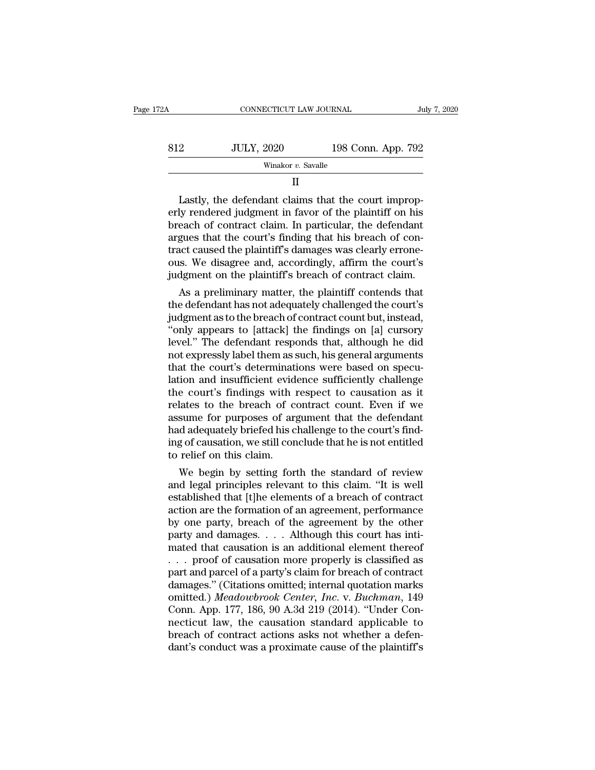| 172A | CONNECTICUT LAW JOURNAL |                    | July 7, 2020 |
|------|-------------------------|--------------------|--------------|
| 812  | <b>JULY, 2020</b>       | 198 Conn. App. 792 |              |
|      | Winakor v. Savalle      |                    |              |
|      |                         |                    |              |

Example 198 Conn. App. 792<br>
Example 2020<br>
Example 2020<br>
Example 198 Conn. App. 792<br>
Example 11<br>
Example 11<br>
Lastly, the defendant claims that the court improperly rendered judgment in favor of the plaintiff on his<br>
breach Breach of contract claims that the court improperly rendered judgment in favor of the plaintiff on his breach of contract claim. In particular, the defendant argues that the court's finding that his breach of contract cla Winakor v. Savalle<br>
II<br>
Lastly, the defendant claims that the court improperly<br>
rendered judgment in favor of the plaintiff on his<br>
breach of contract claim. In particular, the defendant<br>
argues that the court's finding th II<br>Lastly, the defendant claims that the court improperly rendered judgment in favor of the plaintiff on his<br>breach of contract claim. In particular, the defendant<br>argues that the court's finding that his breach of con-<br>tr II<br>Lastly, the defendant claims that the court improp-<br>erly rendered judgment in favor of the plaintiff on his<br>breach of contract claim. In particular, the defendant<br>argues that the court's finding that his breach of con-<br> Lastly, the defendant claims that the court improperly rendered judgment in favor of the plaintiff on his breach of contract claim. In particular, the defendant argues that the court's finding that his breach of contract c is predicted ying the matter of the plaintiff on his<br>each of contract claim. In particular, the defendant<br>gues that the court's finding that his breach of con-<br>act caused the plaintiff's damages was clearly errone-<br>is. We breach of contract claim. In particular, the defendant<br>argues that the court's finding that his breach of con-<br>tract caused the plaintiff's damages was clearly errone-<br>ous. We disagree and, accordingly, affirm the court's<br>

argues that the court's imaing that his breach of contract caused the plaintiff's damages was clearly errone-<br>ous. We disagree and, accordingly, affirm the court's<br>judgment on the plaintiff's breach of contract claim.<br>As a tract caused the plaintiff's damages was clearly errone-<br>ous. We disagree and, accordingly, affirm the court's<br>judgment on the plaintiff's breach of contract claim.<br>As a preliminary matter, the plaintiff contends that<br>the ous. We disagree and, accordingly, affirm the court's<br>judgment on the plaintiff's breach of contract claim.<br>As a preliminary matter, the plaintiff contends that<br>the defendant has not adequately challenged the court's<br>judgm Judgment on the plaintiff s breach of contract claim.<br>
As a preliminary matter, the plaintiff contends that<br>
the defendant has not adequately challenged the court's<br>
judgment as to the breach of contract count but, instead As a preliminary matter, the plaintiff contends that<br>the defendant has not adequately challenged the court's<br>judgment as to the breach of contract count but, instead,<br>"only appears to [attack] the findings on [a] cursory<br>l the defendant has not adequately challenged the court's<br>judgment as to the breach of contract count but, instead,<br>"only appears to [attack] the findings on [a] cursory<br>level." The defendant responds that, although he did<br>n judgment as to the breach of contract count but, instead,<br>"only appears to [attack] the findings on [a] cursory<br>level." The defendant responds that, although he did<br>not expressly label them as such, his general arguments<br>t "only appears to [attack] the findings on [a] cursory<br>level." The defendant responds that, although he did<br>not expressly label them as such, his general arguments<br>that the court's determinations were based on specu-<br>lation level." The defendant responds that, although he did<br>not expressly label them as such, his general arguments<br>that the court's determinations were based on specu-<br>lation and insufficient evidence sufficiently challenge<br>the not expressly label them as such, his general arguments<br>that the court's determinations were based on specu-<br>lation and insufficient evidence sufficiently challenge<br>the court's findings with respect to causation as it<br>rela that the court's determinations were based on speculation and insufficient evidence sufficiently challenge the court's findings with respect to causation as it relates to the breach of contract count. Even if we assume for lation and insufficient evid<br>the court's findings with<br>relates to the breach of correlates to the breach of correlates<br>assume for purposes of arg<br>had adequately briefed his correlation, we still conce<br>to relief on this cla e court's maings with respect to causation as it<br>lates to the breach of contract count. Even if we<br>sume for purposes of argument that the defendant<br>d adequately briefed his challenge to the court's find-<br>g of causation, we relates to the breach of contract count. Even if we<br>assume for purposes of argument that the defendant<br>had adequately briefed his challenge to the court's find-<br>ing of causation, we still conclude that he is not entitled<br>t

assume for purposes of argument that the defendant<br>had adequately briefed his challenge to the court's find-<br>ing of causation, we still conclude that he is not entitled<br>to relief on this claim.<br>We begin by setting forth th mad adequately briefed his challenge to the court's find-<br>ing of causation, we still conclude that he is not entitled<br>to relief on this claim.<br>We begin by setting forth the standard of review<br>and legal principles relevant Ing or causation, we still conclude that he is not entitled<br>to relief on this claim.<br>We begin by setting forth the standard of review<br>and legal principles relevant to this claim. "It is well<br>established that [t]he elements to rener on this claim.<br>We begin by setting forth the standard of review<br>and legal principles relevant to this claim. "It is well<br>established that [t]he elements of a breach of contract<br>action are the formation of an agree We begin by setting forth the standard of review<br>and legal principles relevant to this claim. "It is well<br>established that [t]he elements of a breach of contract<br>action are the formation of an agreement, performance<br>by on and legal principles relevant to this claim. "It is well<br>established that [t]he elements of a breach of contract<br>action are the formation of an agreement, performance<br>by one party, breach of the agreement by the other<br>par established that [t]he elements of a breach of contract<br>action are the formation of an agreement, performance<br>by one party, breach of the agreement by the other<br>party and damages. . . . Although this court has inti-<br>mated action are the formation of an agreement, performance<br>by one party, breach of the agreement by the other<br>party and damages.... Although this court has inti-<br>mated that causation is an additional element thereof<br> $\ldots$  proo by one party, breach of the agreement by the other<br>party and damages. . . . Although this court has inti-<br>mated that causation is an additional element thereof<br>. . . proof of causation more properly is classified as<br>part a party and damages. . . . . Although this court has inti-<br>mated that causation is an additional element thereof<br>. . . proof of causation more properly is classified as<br>part and parcel of a party's claim for breach of contr mated that causation is an additional element thereof  $\ldots$  proof of causation more properly is classified as<br>part and parcel of a party's claim for breach of contract<br>damages." (Citations omitted; internal quotation mark . . . proof of causation more properly is classified as part and parcel of a party's claim for breach of contract damages." (Citations omitted; internal quotation marks omitted.) *Meadowbrook Center*, *Inc.* v. *Buchman*, part and parcel of a party's claim for breach of contract<br>damages." (Citations omitted; internal quotation marks<br>omitted.) *Meadowbrook Center*, *Inc.* v. *Buchman*, 149<br>Conn. App. 177, 186, 90 A.3d 219 (2014). "Under Con-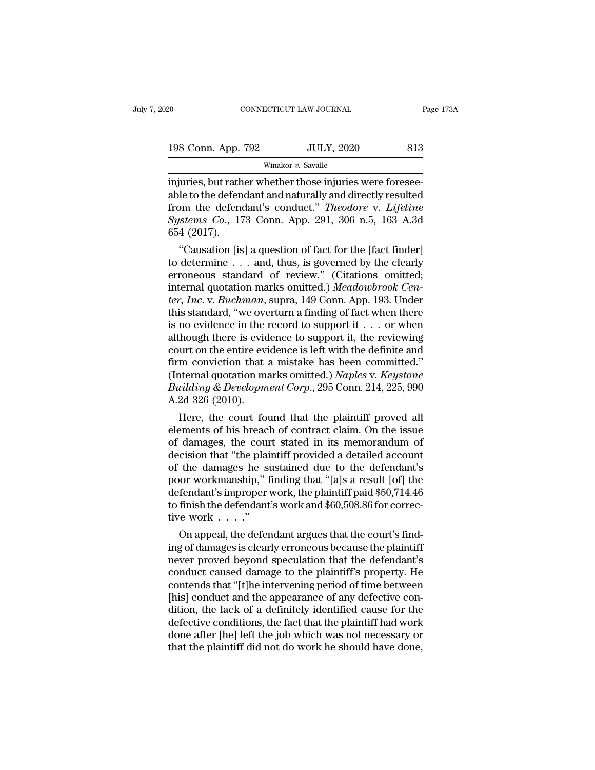# EXECUTE 2000 CONNECTICUT LAW JOURNAL Page 173A<br>198 Conn. App. 792 JULY, 2020 813<br>Winakor v. Savalle

Winakor *v.* Savalle

EMBRED CONNECTICUT LAW JOURNAL<br>
198 Conn. App. 792 JULY, 2020 813<br>
198 Conn. App. 792 JULY, 2020 813<br>
injuries, but rather whether those injuries were foresee-<br>
able to the defendant and naturally and directly resulted<br>
fr 198 Conn. App. 792 JULY, 2020 813<br>Winakor v. Savalle<br>injuries, but rather whether those injuries were foresee-<br>able to the defendant and naturally and directly resulted<br>from the defendant's conduct." *Theodore v. Lifeline* From the defendant of the defendant of the defendant of the defendant of the defendant of the defendant's conduct.'' *Theodore* v. *Lifeline*<br>From the defendant's conduct.'' *Theodore* v. *Lifeline*<br>From the defendant's co *Systems Co.*, 173 Conn. App. 2020<br> *Systems Co.*, 173 Conn. App. 291, 306 n.5, 163 A.3d 654 (2017). minimizes, but rather<br>injuries, but rather<br>able to the defend<br>from the defend<br> $\frac{Systems\ Co.}$ , 17<br>654 (2017).<br>"Causation [is quries, but rather whether those injuries were foresee-<br>le to the defendant and naturally and directly resulted<br>om the defendant's conduct." *Theodore* v. *Lifeline*<br>stems Co., 173 Conn. App. 291, 306 n.5, 163 A.3d<br>4 (2017 mjuries, but rather whether those injuries were foresee-<br>able to the defendant and naturally and directly resulted<br>from the defendant's conduct." *Theodore v. Lifeline*<br>Systems Co., 173 Conn. App. 291, 306 n.5, 163 A.3d<br>6

able to the defendant and naturally and directly resulted<br>from the defendant's conduct." *Theodore v. Lifeline*<br>Systems Co., 173 Conn. App. 291, 306 n.5, 163 A.3d<br>654 (2017).<br>"Causation [is] a question of fact for the [fac Irom the defendant's conduct." *Theodore V. Litterne*<br> *Systems Co.*, 173 Conn. App. 291, 306 n.5, 163 A.3d<br>
654 (2017).<br>
"Causation [is] a question of fact for the [fact finder]<br>
to determine . . . and, thus, is governed *terms Co., 173 Conn. App. 291, 306 n.5, 163 A.3d*<br>654 (2017).<br>"Causation [is] a question of fact for the [fact finder]<br>to determine . . . and, thus, is governed by the clearly<br>erroneous standard of review." (Citations omi  $654 (2017)$ .<br>
"Causation [is] a question of fact for the [fact finder]<br>
to determine . . . and, thus, is governed by the clearly<br>
erroneous standard of review." (Citations omitted;<br>
internal quotation marks omitted.) *Mea* "Causation [is] a question of fact for the [fact finder]<br>to determine . . . and, thus, is governed by the clearly<br>erroneous standard of review." (Citations omitted;<br>internal quotation marks omitted.) *Meadowbrook Cen-<br>ter* to determine . . . and, thus, is governed by the clearly<br>erroneous standard of review." (Citations omitted;<br>internal quotation marks omitted.) *Meadowbrook Cen-*<br>ter, *Inc.* v. *Buchman*, supra, 149 Conn. App. 193. Under<br> erroneous standard of review." (Citations omitted;<br>internal quotation marks omitted.) Meadowbrook Center, Inc. v. Buchman, supra, 149 Conn. App. 193. Under<br>this standard, "we overturn a finding of fact when there<br>is no ev internal quotation marks omitted.) Meadowbrook Center, Inc. v. Buchman, supra, 149 Conn. App. 193. Under this standard, "we overturn a finding of fact when there is no evidence in the record to support it  $\ldots$  or when al ter, Inc. v. *Buchman*, supra, 149 Conn. App. 193. Under<br>this standard, "we overturn a finding of fact when there<br>is no evidence in the record to support it  $\ldots$  or when<br>although there is evidence to support it, the revi this standard, "we overturn a finding of fact when there is no evidence in the record to support it . . . or when although there is evidence to support it, the reviewing court on the entire evidence is left with the defin is no evidence in the although there is evidence<br>court on the entire evidence firm conviction that<br>(Internal quotation mainting the property of the property<br>A.2d 326 (2010). Here, the court for mough there is evidence to support it, the reviewing<br>urt on the entire evidence is left with the definite and<br>m conviction that a mistake has been committed."<br>termal quotation marks omitted.) *Naples* v. *Keystone*<br>idding court on the entire evidence is left with the definite and<br>firm conviction that a mistake has been committed."<br>(Internal quotation marks omitted.) *Naples v. Keystone*<br>Building & Development Corp., 295 Conn. 214, 225, 990<br>

firm conviction that a mistake has been committed.<br>
(Internal quotation marks omitted.) *Naples v. Keystone*<br> *Building & Development Corp.*, 295 Conn. 214, 225, 990<br>
A.2d 326 (2010).<br>
Here, the court found that the plain (internal quotation marks omitted.) *Napies V. Reystone*<br> *Building & Development Corp.*, 295 Conn. 214, 225, 990<br>
A.2d 326 (2010).<br>
Here, the court found that the plaintiff proved all<br>
elements of his breach of contract Buttaing & Development Corp., 295 Conn. 214, 225, 990<br>A.2d 326 (2010).<br>Here, the court found that the plaintiff proved all<br>elements of his breach of contract claim. On the issue<br>of damages, the court stated in its memoran A.2d 326 (2010).<br>
Here, the court found that the plaintiff proved all<br>
elements of his breach of contract claim. On the issue<br>
of damages, the court stated in its memorandum of<br>
decision that "the plaintiff provided a deta Here, the court found that the plaintiff proved all<br>elements of his breach of contract claim. On the issue<br>of damages, the court stated in its memorandum of<br>decision that "the plaintiff provided a detailed account<br>of the d elements of his breach of contract claim. On the issue<br>of damages, the court stated in its memorandum of<br>decision that "the plaintiff provided a detailed account<br>of the damages he sustained due to the defendant's<br>poor wor of damages, the cour<br>decision that "the plai<br>of the damages he su<br>poor workmanship," f<br>defendant's improper<br>to finish the defendant<br>tive work . . . ."<br>On appeal, the defer cision that the plaintiff provided a detailed account<br>the damages he sustained due to the defendant's<br>or workmanship," finding that "[a]s a result [of] the<br>fendant's improper work, the plaintiff paid \$50,714.46<br>finish the or the damages he sustained due to the defendant's<br>poor workmanship," finding that "[a]s a result [of] the<br>defendant's improper work, the plaintiff paid \$50,714.46<br>to finish the defendant's work and \$60,508.86 for correc-<br>

poor workmansnip, Imding that [a]s a result [or] the<br>defendant's improper work, the plaintiff paid \$50,714.46<br>to finish the defendant's work and \$60,508.86 for correc-<br>tive work . . . . "<br>On appeal, the defendant argues th defendant s improper work, the plaintiff paid \$50,714.46<br>to finish the defendant's work and \$60,508.86 for correc-<br>tive work . . . ."<br>On appeal, the defendant argues that the court's find-<br>ing of damages is clearly erroneo to finish the defendant s work and \$60,508.86 for corrective work  $\ldots$ ."<br>
On appeal, the defendant argues that the court's find-<br>
ing of damages is clearly erroneous because the plaintiff<br>
never proved beyond speculation  $\alpha$  to appeal, the defendant argues that the court's finding of damages is clearly erroneous because the plaintiff never proved beyond speculation that the defendant's conduct caused damage to the plaintiff's property. H On appeal, the defendant argues that the court's find-<br>ing of damages is clearly erroneous because the plaintiff<br>never proved beyond speculation that the defendant's<br>conduct caused damage to the plaintiff's property. He<br>co ing of damages is clearly erroneous because the plaintiff<br>never proved beyond speculation that the defendant's<br>conduct caused damage to the plaintiff's property. He<br>contends that "[t]he intervening period of time between<br>[ never proved beyond speculation that the defendant's<br>conduct caused damage to the plaintiff's property. He<br>contends that "[t]he intervening period of time between<br>[his] conduct and the appearance of any defective con-<br>diti conduct caused damage to the plaintiff's property. He contends that "[t]he intervening period of time between [his] conduct and the appearance of any defective condition, the lack of a definitely identified cause for the d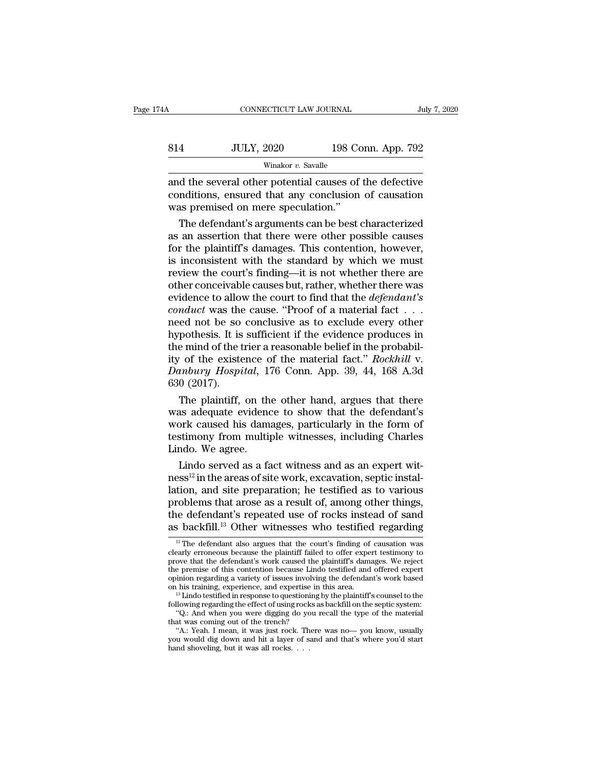| ΆA  | CONNECTICUT LAW JOURNAL |                    | July 7, 2020 |
|-----|-------------------------|--------------------|--------------|
|     |                         |                    |              |
| 814 | <b>JULY, 2020</b>       | 198 Conn. App. 792 |              |
|     | Winakor v. Savalle      |                    |              |

CONNECTICUT LAW JOURNAL July 7, 2020<br>
S14 JULY, 2020 198 Conn. App. 792<br>
Winakor v. Savalle<br>
and the several other potential causes of the defective<br>
conditions, ensured that any conclusion of causation<br>
was promised on mo S14 JULY, 2020 198 Conn. App. 792<br>Winakor v. Savalle<br>and the several other potential causes of the defective<br>conditions, ensured that any conclusion of causation<br>was premised on mere speculation." 814 JULY, 2020 198 Co.<br>
Winakor v. Savalle<br>
and the several other potential causes of<br>
conditions, ensured that any conclusion<br>
was premised on mere speculation.''<br>
The defendant's arguments can be best o  $300$   $198$  Conn. App. 792<br>
Winakor v. Savalle<br>
d the several other potential causes of the defective<br>
mditions, ensured that any conclusion of causation<br>
as premised on mere speculation."<br>
The defendant's arguments can b

Winakor v. Savalle<br>
and the several other potential causes of the defective<br>
conditions, ensured that any conclusion of causation<br>
was premised on mere speculation."<br>
The defendant's arguments can be best characterized<br>
a For the several other potential causes of the defective<br>conditions, ensured that any conclusion of causation<br>was premised on mere speculation."<br>The defendant's arguments can be best characterized<br>as an assertion that there and the several other potential causes of the defective<br>conditions, ensured that any conclusion of causation<br>was premised on mere speculation."<br>The defendant's arguments can be best characterized<br>as an assertion that there conditions, ensured that any conclusion of causation<br>was premised on mere speculation."<br>The defendant's arguments can be best characterized<br>as an assertion that there were other possible causes<br>for the plaintiff's damages. was premised on mere speculation."<br>
The defendant's arguments can be best characterized<br>
as an assertion that there were other possible causes<br>
for the plaintiff's damages. This contention, however,<br>
is inconsistent with t The defendant's arguments can be best characterized<br>as an assertion that there were other possible causes<br>for the plaintiff's damages. This contention, however,<br>is inconsistent with the standard by which we must<br>review the as an assertion that there were other possible causes<br>for the plaintiff's damages. This contention, however,<br>is inconsistent with the standard by which we must<br>review the court's finding—it is not whether there are<br>other c for the plaintiff's damages. This contention, however,<br>is inconsistent with the standard by which we must<br>review the court's finding—it is not whether there are<br>other conceivable causes but, rather, whether there was<br>evid is inconsistent with the standard by which we must<br>review the court's finding—it is not whether there are<br>other conceivable causes but, rather, whether there was<br>evidence to allow the court to find that the *defendant's*<br> review the court's finding—it is not whether there are<br>other conceivable causes but, rather, whether there was<br>evidence to allow the court to find that the *defendant's*<br>*conduct* was the cause. "Proof of a material fact. other conceivable causes but, rather, whether there was<br>evidence to allow the court to find that the *defendant's*<br>conduct was the cause. "Proof of a material fact...<br>need not be so conclusive as to exclude every other<br>hyp evidence to allow the court to find that the *defendant's*<br>conduct was the cause. "Proof of a material fact . . .<br>need not be so conclusive as to exclude every other<br>hypothesis. It is sufficient if the evidence produces in conduct was the<br>need not be so<br>hypothesis. It is<br>the mind of the t<br>ity of the existe<br>Danbury Hospi<br>630 (2017).<br>The plaintiff, ed not be so conclusive as to exclude every other<br>pothesis. It is sufficient if the evidence produces in<br>e mind of the trier a reasonable belief in the probabil-<br>of the existence of the material fact." Rockhill v.<br>unbury H hypothesis. It is sufficient if the evidence produces in<br>the mind of the trier a reasonable belief in the probabil-<br>ity of the existence of the material fact." Rockhill v.<br>Danbury Hospital, 176 Conn. App. 39, 44, 168 A.3d<br>

the mind of the trier a reasonable belief in the probabil-<br>ity of the existence of the material fact." Rockhill v.<br>Danbury Hospital, 176 Conn. App. 39, 44, 168 A.3d<br>630 (2017).<br>The plaintiff, on the other hand, argues that ity of the existence of the material fact." *Rockhill v.*<br>Danbury Hospital, 176 Conn. App. 39, 44, 168 A.3d<br>630 (2017).<br>The plaintiff, on the other hand, argues that there<br>was adequate evidence to show that the defendant's Danbury Hospital, 1'<br>630 (2017).<br>The plaintiff, on th<br>was adequate evidence<br>work caused his damatestimony from multip<br>Lindo. We agree.<br>Lindo served as a fa The plaintiff, on the other hand, argues that there<br>as adequate evidence to show that the defendant's<br>ork caused his damages, particularly in the form of<br>stimony from multiple witnesses, including Charles<br>ndo. We agree.<br>L The plaintiff, on the other hand, argues that there<br>was adequate evidence to show that the defendant's<br>work caused his damages, particularly in the form of<br>testimony from multiple witnesses, including Charles<br>Lindo. We ag

was adequate evidence to show that the defendant's<br>work caused his damages, particularly in the form of<br>testimony from multiple witnesses, including Charles<br>Lindo. We agree.<br>Lindo served as a fact witness and as an expert work caused his damages, particularly in the form of<br>testimony from multiple witnesses, including Charles<br>Lindo. We agree.<br>Lindo served as a fact witness and as an expert wit-<br>ness<sup>12</sup> in the areas of site work, excavation testimony from multiple witnesses, including Charles<br>Lindo. We agree.<br>Lindo served as a fact witness and as an expert wit-<br>ness<sup>12</sup> in the areas of site work, excavation, septic instal-<br>lation, and site preparation; he te Lindo. We agree.<br>
Lindo served as a fact witness and as an expert wit-<br>
ness<sup>12</sup> in the areas of site work, excavation, septic instal-<br>
lation, and site preparation; he testified as to various<br>
problems that arose as a re tion, and site preparation; he testified as to various<br>roblems that arose as a result of, among other things,<br>e defendant's repeated use of rocks instead of sand<br>is backfill.<sup>13</sup> Other witnesses who testified regarding<br><sup>12</sup> problems that arose as a result of, among other things,<br>the defendant's repeated use of rocks instead of sand<br>as backfill.<sup>13</sup> Other witnesses who testified regarding<br> $\frac{12}{}$  The defendant also argues that the court's f

the defendant's repeated use of rocks instead of sand<br>as backfill.<sup>13</sup> Other witnesses who testified regarding<br> $\frac{12}{12}$ The defendant also argues that the court's finding of causation was<br>clearly erroneous because the p the defendant's repeated use of rocks instead of sand<br>as backfill.<sup>13</sup> Other witnesses who testified regarding<br> $\frac{12}{12}$  The defendant also argues that the court's finding of causation was<br>clearly erroneous because the as backfill.<sup>13</sup> Other witnesses who testified regarding<br>
<sup>12</sup> The defendant also argues that the court's finding of causation was<br>
clearly erroneous because the plaintiff failed to offer expert testimony to<br>
prove that t <sup>13</sup> The defendant also argues that the court's finding of causation was clearly erroneous because the plaintiff failed to offer expert testimony to prove that the defendant's work caused the plaintiff's damages. We rejec clearly erroneous because the plaintiff failed to offer expert testimony to<br>prove that the defendant's work caused the plaintiff's damages. We reject<br>the premise of this contention because Lindo testified and offered exper For the difference when the plaintiff's damages. We reject<br>e premise of this contention because Lindo testified and offered expert<br>inion regarding a variety of issues involving the defendant's work based<br>his training, exp

<sup>%</sup> on his training, experience, and expertise in this area.<br>  $^{13}$  Lindo testified in response to questioning by the plaintiff's counsel to the following regarding the effect of using rocks as backfill on the septic syste From the strain of states involving the defendant's work based<br>
inion regarding a variety of issues involving the defendant's work based<br>
<sup>13</sup> Lindo testified in response to questioning by the plaintiff's counsel to the<br>
I

by a both straining, experience, and expertise in this area.<br>
<sup>13</sup> Lindo testified in response to questioning by the plaintiff's counsel to the following regarding the effect of using rocks as backfill on the septic syste <sup>13</sup> Lindo testified in response to questionial is lindo testified in response to questionial following regarding the effect of using rock "Q: And when you were digging do yo that was coming out of the trench? "A.: Yeah.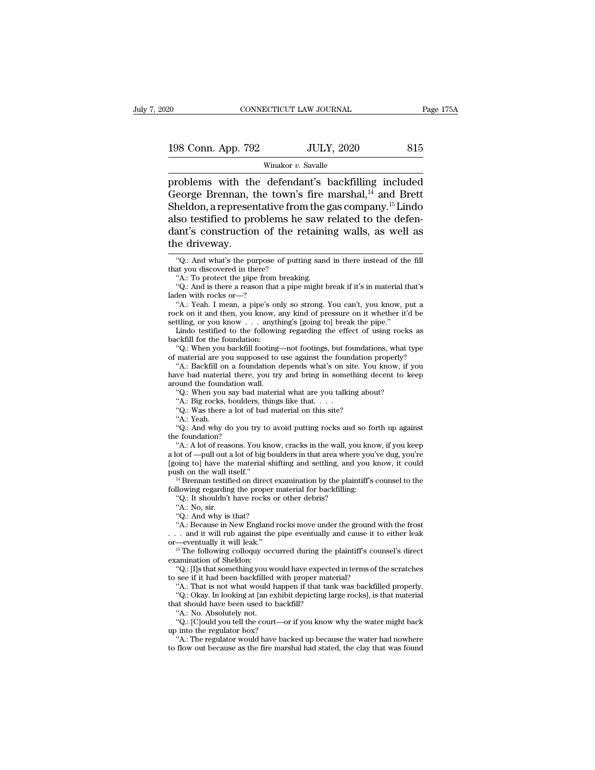Page 175A<br>
198 Conn. App. 792 JULY, 2020 815<br>
Winakor v. Savalle<br>
problems with the defendant's backfilling included<br>
George Brennan, the town's fire marshal,<sup>14</sup> and Brett<br>
Sheldon a representative from the gas company <sup></sup> 198 Conn. App. 792 JULY, 2020 815<br>Winakor v. Savalle<br>problems with the defendant's backfilling included<br>George Brennan, the town's fire marshal,<sup>14</sup> and Brett<br>Sheldon, a representative from the gas company.<sup>15</sup> Lindo<br>also 198 Conn. App. 792 JULY, 2020 815<br>Winakor v. Savalle<br>problems with the defendant's backfilling included<br>George Brennan, the town's fire marshal,<sup>14</sup> and Brett<br>Sheldon, a representative from the gas company.<sup>15</sup> Lindo<br>also 198 Conn. App. 792 JULY, 2020 815<br>Winakor v. Savalle<br>problems with the defendant's backfilling included<br>George Brennan, the town's fire marshal,<sup>14</sup> and Brett<br>Sheldon, a representative from the gas company.<sup>15</sup> Lindo<br>also  $\frac{\text{Winakor } v. \text{ Savalle}}{\text{Winakor } v. \text{ Savalle}}$ <br>
problems with the defendant's backfilling included<br>
George Brennan, the town's fire marshal,<sup>14</sup> and Brett<br>
Sheldon, a representative from the gas company.<sup>15</sup> Lindo<br>
also testified problems with the<br>George Brennan, the Sheldon, a represent<br>also testified to prodant's construction<br>the driveway.<br>The driveway. heldon, a representative from the gas company.<sup>15</sup> Lindo<br>so testified to problems he saw related to the defen-<br>ant's construction of the retaining walls, as well as<br>it you discovered in there?<br>"A: To protect the pipe from also testified to problems he<br>dant's construction of the r<br>the driveway.<br>"Q: And what's the purpose of putt<br>that you discovered in there?<br>"A.: To protect the pipe from breaki So testined to problems he saw.<br>
ant's construction of the retaini:<br>
ie driveway.<br>
"Q.: And what's the purpose of putting sance the pipe from breaking.<br>
"Q.: And is there a reason that a pipe might to the with rocks or  $\sim$ ant's construction of the retaining walls, as well as<br>
ie driveway.<br>
"Q.: And what's the purpose of putting sand in there instead of the fill<br>
at you discovered in there?<br>
"A.: To protect the pipe from breaking.<br>
"Q.: And

the driveway.<br>
"Q: And what's the purpose<br>
that you discovered in there?<br>
"A: To protect the pipe from<br>
"Q: And is there a reason that<br>
laden with rocks or—?<br>
"A: Yeah. I mean, a pipe's or<br>
"A: Yeah. I and then you know

"Q: And what's the purpose of putting sand in there instead of the fill<br>
at you discovered in there?<br>
"A.: To protect the pipe from breaking.<br>
"Q: And is there a reason that a pipe might break if it's in material that's<br> "Q: And what's the purpose of putting sand in there instead of the fill<br>that you discovered in there?<br>"A.: To protect the pipe from breaking.<br>"Q: And is there a reason that a pipe might break if it's in material that's<br>la that you discovered in there?<br>
"A.: To protect the pipe from breaking.<br>
"Q.: And is there a reason that a pipe might break if it's in material laden with rocks or--?<br>
"A.: Yeah. I mean, a pipe's only so strong. You can't, "A.: To protect the pipe from breaking.<br>"Q.: And is there a reason that a pipe might break if it's in material that's<br>den with rocks or—?<br>"A.: Yeah. I mean, a pipe's only so strong. You can't, you know, put a<br>ck on it and "A.: To protect the pipe from breaking.<br>
"Q.: And is there a reason that a pipe might break if it's in material that's<br>
laden with rocks or—?<br>
"A.: Yeah. I mean, a pipe's only so strong. You can't, you know, put a<br>
rock o The with rocks or the with rocks or the with rocks or the with real of the with real of the with the set of it and then, you know, any kind of pressure on it whether it'd be tiling, or you know . . . anything's [going to] "A.: Yeah. I mean, a pipe's only so strong. You can't, you know, put a rock on it and then, you know, any kind of pressure on it whether it'd be settling, or you know . . . anything's [going to] break the pipe."<br>Lindo tes

ck on it and then, you know, any kind of pressure on it whether it'd be ttling, or you know . . . anything's [going to] break the pipe."<br>
Lindo testified to the following regarding the effect of using rocks as<br>
ckfill for settling, or you know . . . anything's [going to] break the pipe."<br>
Lindo testified to the following regarding the effect of using rocks as<br>
backfill for the foundation:<br>
"Q.: When you backfill footing—not footings, but fo Lindo testified to the followin<br>backfill for the foundation:<br>"Q.: When you backfill footing-<br>of material are you supposed to<br>"A.: Backfill on a foundation of<br>have bad material there, you try<br>around the foundation wall.<br>"Q ckfill for the foundation:<br>
"Q.: When you backfill footing—not footings, but foundations, what ty<br>
material are you supposed to use against the foundation properly?<br>
"A.: Backfill on a foundation depends what's on site. Y "Q.: When you backfill footing—not footings, but for material are you supposed to use against the foun "A.: Backfill on a foundation depends what's on si<br>we bad material there, you try and bring in some ound the foundatio material are you supposed to use against the foundation<br>
"A.: Backfill on a foundation depends what's on site. You<br>
we bad material there, you try and bring in something dound the foundation wall.<br>
"Q.: When you say bad m "A.: Backfill or<br>we bad materia<br>ound the found<br>"Q.: When you<br>"A.: Big rocks,<br>"Q.: And why or<br>"Q.: And why or foundation? We bad material there, you try and bring in something decent to keep<br>
ound the foundation wall.<br>
"Q.: When you say bad material what are you talking about?<br>
"A.: Big rocks, boulders, things like that....<br>
"Q.: Was there a

around the foundation w<br>
"Q.: When you say bad<br>
"A.: Big rocks, boulder<br>
"Q.: Was there a lot of<br>
"A.: Yeah.<br>
"Q.: And why do you the foundation?<br>
"A.: A lot of reasons. Y<br>
"A.: A lot of reasons. Y

"Q: When you say bad material what are you talking about?<br>"A.: Big rocks, boulders, things like that. . . .<br>"Q: Was there a lot of bad material on this site?<br>"A.: Yeah.<br>"Q: And why do you try to avoid putting rocks and so "A.: Big rocks, boulders, things like that  $\dots$  .<br>
"Q.: Was there a lot of bad material on this site?"<br>
"A.: Yeah.<br>
"Q.: And why do you try to avoid putting rocks and so forth up against<br>
the foundation?<br>
"A.: A lot of re "Q: Was there a lot of bad material on this site?<br>
"A: Yeah.<br>
"Q: And why do you try to avoid putting rocks and so forth up against<br>
the foundation?<br>
"A: A lot of reasons. You know, cracks in the wall, you know, if you ke "A.: Yeah.<br>
"Q.: And why do you try to avoid putting rocks and so forth up against<br>
the foundation?<br>
"A.: A lot of reasons. You know, cracks in the wall, you know, if you keep<br>
a lot of —pull out a lot of big boulders in the foundation?<br>
"A.: A lot of reasons. You know, cracks in the wall, you know<br>
a lot of —pull out a lot of big boulders in that area where you<br>
[going to] have the material shifting and settling, and you l<br>
push on the w "A.: A lot of reasons. You know, cracks in the wall, you ot of —pull out a lot of big boulders in that area where<br>oing to] have the material shifting and settling, and y<br>sh on the wall itself."<br><sup>14</sup> Brennan testified on d a lot of —pull out a lot of big boulders in that area where you've dug, you're [going to] have the material shifting and settling, and you know, it could push on the wall itself."<br>
<sup>14</sup> Brennan testified on direct examina bing to] have the material shift<br>sh on the wall itself."<br><sup>14</sup> Brennan testified on direct ex<br>llowing regarding the proper n<br>"Q.: It shouldn't have rocks or<br>"A.: No, sir.<br>"Q.: And why is that?<br>"A.: Because in New England r<br>

Example 18: Heat is set the wall itself."<br>
"A.: Because in New England rocks are other debris?<br>
"Q.: It shouldn't have rocks or other debris?<br>
"A.: No, sir.<br>
"Q.: And why is that?<br>
"A.: Because in New England rocks move u <sup>14</sup> Brennan testified on direct examination by the plaintiff's counsel to the following regarding the proper material for backfilling:<br>
"Q: It shouldn't have rocks or other debris?<br>
"A: No, sir.<br>
"Q: And why is that?<br>
"A following regarding the proper material for backfilling:<br>
"Q.: It shouldn't have rocks or other debris?<br>
"A.: No, sir.<br>
"Q.: And why is that?<br>
"A.: Because in New England rocks move under the ground with the frost<br>
... an "A.: No, sir.<br>
"Q.: And why is that?<br>
"A.: Because in New Englan<br>
... and it will rub against the or-<br>
eventually it will leak."<br>
<sup>15</sup> The following colloquy of<br>
examination of Sheldon:<br>
"Q.: [I]s that something you<br>
"C.! "Q: And why is that?<br>"A: Because in New England rocks move under the ground with the frost<br>"A: Because in New England rocks move under the ground with the frost<br>amination is twill leak."<br>"The following colloquy occurred du "A.: Because in New England rocks move under the ground with a set it to see it will rub against the pipe eventually and cause it to or—eventually it will leak."<br>
<sup>15</sup> The following colloquy occurred during the plaintiff'

. and it will rub against the pipe eventually and cause it to either leak—eventually it will leak."<br>
<sup>15</sup> The following colloquy occurred during the plaintiff's counsel's direct amination of Sheldon:<br>
"Q.: [I]s that somet ---<br>
"We be the following colloquy occurred during the plaintiff's counsel's direct<br>
amination of Sheldon:<br>
"Q.: [I]s that something you would have expected in terms of the scratches<br>
see if it had been backfilled with pro <sup>15</sup> The following colloquy occurred during the examination of Sheldon:<br>
"Q.: [I]s that something you would have expecte to see if it had been backfilled with proper mate<br>
"A.: That is not what would happen if that tan<br>
" amination of Sheldon:<br>
"Q.: [I]s that something you w<br>
see if it had been backfilled<br>
"A.: That is not what would l<br>
"Q.: Okay. In looking at [an e:<br>
"Q.: [C]ould you tell the court<br>
"Q.: [C]ould you tell the court<br>
"Q.: [ "Q: [I]s that something you would have expected in terms of the scratches<br>see if it had been backfilled with proper material?<br>"A: That is not what would happen if that tank was backfilled properly.<br>"Q: Okay. In looking at to see if it had been backfilled with<br>
"A.: That is not what would happ<br>
"Q.: Okay. In looking at [an exhibit<br>
that should have been used to back<br>
"A.: No. Absolutely not.<br>
"Q.: [C]ould you tell the court—or<br>
up into the "A.: That is not what would happen if that tank was backfilled properly.<br>"Q.: Okay. In looking at [an exhibit depicting large rocks], is that material<br>at should have been used to backfill?<br>"A.: No. Absolutely not.<br>"Q.: [C "A.: That is not what would happen if that tank was backfilled properly.<br>
"Q.: Okay. In looking at [an exhibit depicting large rocks], is that material<br>
that should have been used to backfill?<br>
"A.: No. Absolutely not.<br>
"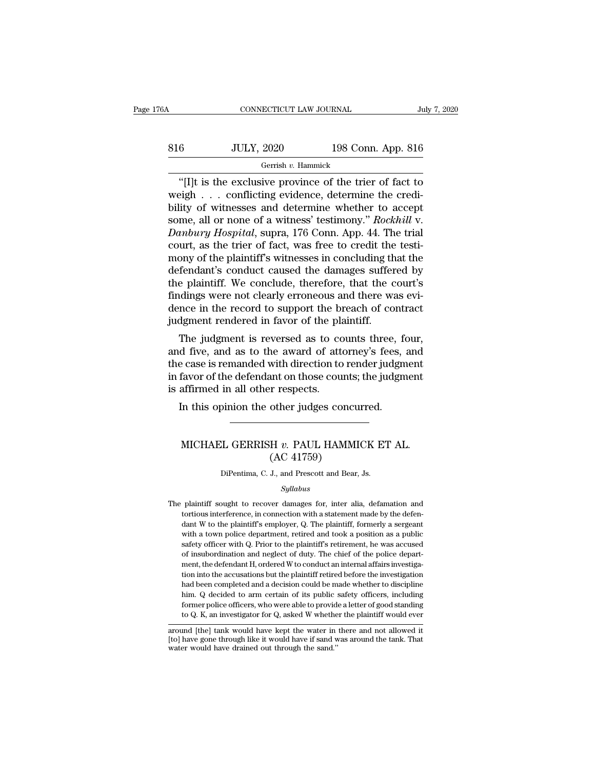## CONNECTICUT LAW JOURNAL July 7, 2020<br>816 JULY, 2020 198 Conn. App. 816<br>Gerrish v. Hammick Gerrish *v.* Hammick

CONNECTICUT LAW JOURNAL July 7, 2020<br>
6 JULY, 2020 198 Conn. App. 816<br>
<sup>Gerrish v.</sup> Hammick<br>
"[I]t is the exclusive province of the trier of fact to<br>
eigh . . . conflicting evidence, determine the credi-<br>
itty of witnesses 816 JULY, 2020 198 Conn. App. 816<br>
Gerrish v. Hammick<br>
"[I]t is the exclusive province of the trier of fact to weigh . . . conflicting evidence, determine the credi-<br>
bility of witnesses and determine whether to accept<br>
s 816 JULY, 2020 198 Conn. App. 816<br>
Gerrish v. Hammick<br>
"[I]t is the exclusive province of the trier of fact to<br>
weigh . . . conflicting evidence, determine the credi-<br>
bility of witnesses and determine whether to accept<br> S16 JULY, 2020 198 Conn. App. 816<br>
Gerrish v. Hammick<br>
"[I]t is the exclusive province of the trier of fact to<br>
weigh . . . conflicting evidence, determine the credi-<br>
bility of witnesses and determine whether to accept<br>
s *Gerrish v. Hammick*<br> *Cerrish v. Hammick*<br> **Weigh ...** conflicting evidence, determine the credi-<br>
bility of witnesses and determine whether to accept<br>
some, all or none of a witness' testimony." *Rockhill* v.<br> *Danbury H* "[I]t is the exclusive province of the trier of fact to weigh  $\ldots$  conflicting evidence, determine the credibility of witnesses and determine whether to accept some, all or none of a witness' testimony." *Rockhill* v. *D* "[I]t is the exclusive province of the trier of fact to weigh . . . conflicting evidence, determine the credibility of witnesses and determine whether to accept some, all or none of a witness' testimony." *Rockhill* v. *D* weigh . . . conflicting evidence, determine the credibility of witnesses and determine whether to accept<br>some, all or none of a witness' testimony." Rockhill v.<br>Danbury Hospital, supra, 176 Conn. App. 44. The trial<br>court, bility of witnesses and determine whether to accept<br>some, all or none of a witness' testimony." Rockhill v.<br>Danbury Hospital, supra, 176 Conn. App. 44. The trial<br>court, as the trier of fact, was free to credit the testi-<br>m some, all or none of a witness' testimony." *Rockhill v.*<br>Danbury Hospital, supra, 176 Conn. App. 44. The trial<br>court, as the trier of fact, was free to credit the testi-<br>mony of the plaintiff's witnesses in concluding tha Danbury Hospital, supra, 176 Conn. App. 44. The trial court, as the trier of fact, was free to credit the testimony of the plaintiff's witnesses in concluding that the defendant's conduct caused the damages suffered by the court, as the trier of fact, was free to credit the<br>mony of the plaintiff's witnesses in concluding th<br>defendant's conduct caused the damages suffer<br>the plaintiff. We conclude, therefore, that the c<br>findings were not clear Figure 1. We conclude the damages suffered by<br>the plaintiff. We conclude, therefore, that the court's<br>dings were not clearly erroneous and there was evi-<br>nce in the record to support the breach of contract<br>dgment rendered defendant s' conduct caused the dantages suffred by<br>the plaintiff. We conclude, therefore, that the court's<br>findings were not clearly erroneous and there was evi-<br>dence in the record to support the breach of contract<br>judgm

the plantim. We conclude, therefore, that the court's<br>findings were not clearly erroneous and there was evi-<br>dence in the record to support the breach of contract<br>judgment rendered in favor of the plaintiff.<br>The judgment i in favor of the plaintiff.<br>
The judgment rendered in favor of the plaintiff.<br>
The judgment is reversed as to counts three, four,<br>
and five, and as to the award of attorney's fees, and<br>
the case is remanded with direction t defice in the record to support the bijudgment rendered in favor of the plast<br>The judgment is reversed as to co<br>and five, and as to the award of attacher case is remanded with direction to<br>in favor of the defendant on thos The judgment is reversed as to counts three, for the dive, and as to the award of attorney's fees, e case is remanded with direction to render judgm favor of the defendant on those counts; the judgm affirmed in all other r *E* case is remanded with direction to render judgment<br>favor of the defendant on those counts; the judgment<br>affirmed in all other respects.<br>In this opinion the other judges concurred.<br>MICHAEL GERRISH *v*. PAUL HAMMICK ET A

## ant on those counts;<br>r respects.<br>other judges concu<br>H v. PAUL HAMMI<br>(AC 41759)<br>J., and Prescott and Bear, MICHAEL GERRISH  $v$ . PAUL HAMMICK ET AL.<br>(AC 41759)<br>DiPentima, C. J., and Prescott and Bear, Js.

## *Syllabus*

MICITAELI GERRISIT  $v$ . I ACL TRIMMICK ET AL.<br>
(AC 41759)<br>
DiPentima, C. J., and Prescott and Bear, Js.<br>
Syllabus<br>
The plaintiff sought to recover damages for, inter alia, defamation and<br>
tortious interference, in connect (AC  $41'$ (59)<br>DiPentima, C. J., and Prescott and Bear, Js.<br>Syllabus<br>plaintiff sought to recover damages for, inter alia, defamation and<br>tortious interference, in connection with a statement made by the defen-<br>dant W to th DiPentima, C. J., and Prescott and Bear, Js.<br>Syllabus<br>plaintiff' sought to recover damages for, inter alia, defamation and<br>tortious interference, in connection with a statement made by the defen-<br>dant W to the plaintiff's *Syllabus*<br>*Syllabus*<br>plaintiff sought to recover damages for, inter alia, defamation and<br>tortious interference, in connection with a statement made by the defen-<br>dant W to the plaintiff's employer, Q. The plaintiff, forme Syllabus<br>plaintiff sought to recover damages for, inter alia, defamation and<br>tortious interference, in connection with a statement made by the defen-<br>dant W to the plaintiff's employer, Q. The plaintiff, formerly a sergean plaintiff sought to recover damages for, inter alia, defamation and tortious interference, in connection with a statement made by the defendant W to the plaintiff's employer, Q. The plaintiff, formerly a sergeant with a to plantari solgate of ecover damages for, their dam, detailed to defendant W to the plaintiff's employer, Q. The plaintiff, formerly a sergeant with a town police department, retired and took a position as a public safety of or about the plaintiff's employer, Q. The plaintiff, formerly a sergeant with a town police department, retired and took a position as a public safety officer with Q. Prior to the plaintiff's retirement, he was accused of had been completed and a decision could be made whether to discipline and took a position constant a town police department, he was accused of insubordination and neglect of duty. The chief of the police department, the d hair a complete deparation, rearcal and solid position as a passed safety officer with Q. Prior to the plaintiff's retirement, he was accused of insubordination and neglect of duty. The chief of the police department, the of insubordination and neglect of duty. The chief of the police department, the defendant H, ordered W to conduct an internal affairs investigation into the accusations but the plaintiff retired before the investigation ha of insubordination and neglect of duty. The chief of the police department, the defendant H, ordered W to conduct an internal affairs investigation into the accusations but the plaintiff retired before the investigation h tion into the accusations but the plaintiff retired before the investigation<br>had been completed and a decision could be made whether to discipline<br>him. Q decided to arm certain of its public safety officers, including<br>for had been completed and a decision could be made whether to discipline<br>him. Q decided to arm certain of its public safety officers, including<br>former police officers, who were able to provide a letter of good standing<br>to Q. him. Q decided to arm certain of its public if former police officers, who were able to provid to Q. K, an investigator for Q, asked W whethe around [the] tank would have kept the water in [to] have gone through like it w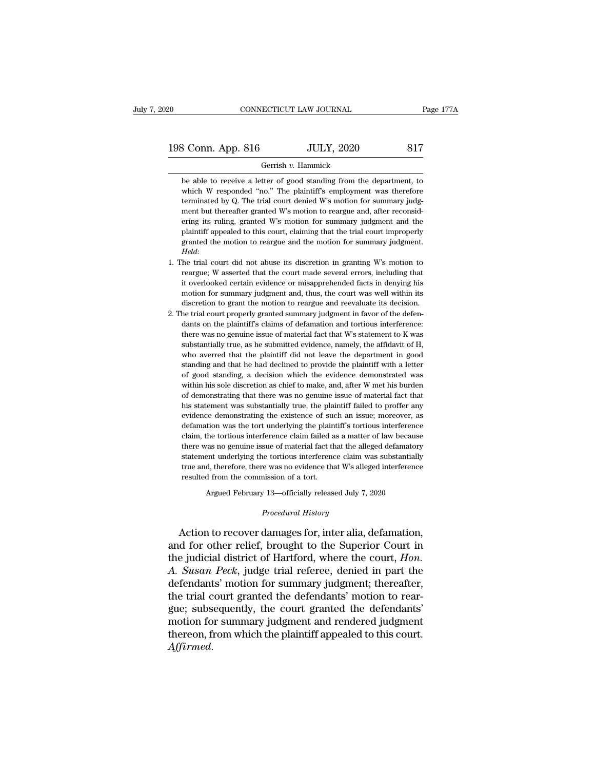## Gerrish *v.* Hammick

<sup>3</sup> Conn. App. 816 JULY, 2020 817<br>
Gerrish v. Hammick<br>
be able to receive a letter of good standing from the department, to<br>
which W responded "no." The plaintiff's employment was therefore  $\frac{3 \text{ Conn. App. 816}}{3 \text{ Gerrish } v. \text{ Hammick}}$ <br>be able to receive a letter of good standing from the department, to which W responded "no." The plaintiff's employment was therefore terminated by Q. The trial court denied W's motion 198 Conn. App. 816 JULY, 2020 817<br>
Gerrish v. Hammick<br>
be able to receive a letter of good standing from the department, to<br>
which W responded "no." The plaintiff's employment was therefore<br>
terminated by Q. The trial cou Gerrish v. Hammick<br>be able to receive a letter of good standing from the department, to<br>which W responded "no." The plaintiff's employment was therefore<br>terminated by Q. The trial court denied W's motion for summary judg-<br> Gerrish v. Hammick<br>be able to receive a letter of good standing from the department, to<br>which W responded "no." The plaintiff's employment was therefore<br>terminated by Q. The trial court denied W's motion for summary judg-<br> be able to receive a letter of good standing from the department, to which W responded "no." The plaintiff's employment was therefore terminated by Q. The trial court denied W's motion for summary judgement but thereafter which W responded "no." The plaintiff's employment was therefore<br>terminated by Q. The trial court denied W's motion for summary judgment<br>but thereafter granted W's motion to reargue and, after reconsid-<br>ering its ruling, g ment but thereafter granted W's motion to reargue and, after reconsidering its ruling, granted W's motion for summary judgment and the plaintiff appealed to this court, claiming that the trial court improperly granted the ering its ruling, granted W's motion for summary judgment and the plaintiff appealed to this court, claiming that the trial court improperly granted the motion to reargue and the motion for summary judgment. *Held*: the tr

- plaintiff appealed to this court, claiming that the trial court improperly granted the motion to reargue and the motion for summary judgment. *Held*:<br>he trial court did not abuse its discretion in granting W's motion to re granted the motion to reargue and the motion for summary judgment.<br>Held:<br>he trial court did not abuse its discretion in granting W's motion to<br>reargue; W asserted that the court made several errors, including that<br>it overl Held:<br>he trial court did not abuse its discretion in granting W's motion to<br>reargue; W asserted that the court made several errors, including that<br>it overlooked certain evidence or misapprehended facts in denying his<br>motio 2. The trial court did not abuse its discretion in granting W's motion to reargue; W asserted that the court made several errors, including that it overlooked certain evidence or misapprehended facts in denying his motion reargue; W asserted that the court made several errors, including that<br>it overlooked certain evidence or misapprehended facts in denying his<br>motion for summary judgment and, thus, the court was well within its<br>discretion
- it overlooked certain evidence or misapprehended facts in denying his<br>motion for summary judgment and, thus, the court was well within its<br>discretion to grant the motion to reargue and reevaluate its decision.<br>he trial cou motion for summary judgment and, thus, the court was well within its discretion to grant the motion to reargue and reevaluate its decision.<br>he trial court properly granted summary judgment in favor of the defendants on the discretion to grant the motion to reargue and reevaluate its decision.<br>he trial court properly granted summary judgment in favor of the defen-<br>dants on the plaintiff's claims of defamation and tortious interference:<br>there he trial court properly granted summary judgment in favor of the defendants on the plaintiff's claims of defamation and tortious interference: there was no genuine issue of material fact that W's statement to K was substan dants on the plaintiff's claims of defamation and tortious interference:<br>there was no genuine issue of material fact that W's statement to K was<br>substantially true, as he submitted evidence, namely, the affidavit of H,<br>who there was no genuine issue of material fact that W's statement to K was substantially true, as he submitted evidence, namely, the affidavit of H, who averred that the plaintiff did not leave the department in good standing substantially true, as he submitted evidence, namely, the affidavit of H, who averred that the plaintiff did not leave the department in good standing and that he had declined to provide the plaintiff with a letter of good who averred that the plaintiff did not leave the department in good standing and that he had declined to provide the plaintiff with a letter of good standing, a decision which the evidence demonstrated was within his sole extending and that he had declined to provide the plaintiff with a letter of good standing, a decision which the evidence demonstrated was within his sole discretion as chief to make, and, after W met his burden of demonst of good standing, a decision which the evidence demonstrated was within his sole discretion as chief to make, and, after W met his burden of demonstrating that there was no genuine issue of material fact that his statement or thin his sole discretion as chief to make, and, after W met his burden<br>of demonstrating that there was no genuine issue of material fact that<br>his statement was substantially true, the plaintiff failed to proffer any<br>evi of demonstrating that there was no genuine issue of material fact that his statement was substantially true, the plaintiff failed to proffer any evidence demonstrating the existence of such an issue; moreover, as defamatio or statement was substantially true, the plaintiff failed to proffer any evidence demonstrating the existence of such an issue; moreover, as defamation was the tort underlying the plaintiff's tortious interference claim, t evidence demonstrating the existence of such an issue; moreover, as<br>defamation was the tort underlying the plaintiff's tortious interference<br>claim, the tortious interference claim failed as a matter of law because<br>there w evidence demonstrating the existence of such an issue; moreover, as defamation was the tort underlying the plaintiff's tortious interference claim, the tortious interference claim failed as a matter of law because there w % true and, therefore, there was no evidence that W's alleged interference<br>resulted from the commission of a tort.<br>Argued February 13—officially released July 7, 2020<br> $Procedural History$

Argued February 13—officially released July 7, 2020<br>*Procedural History*<br>Action to recover damages for, inter alia, defamation, statement underlying the tortious interference claim was substantially<br>true and, therefore, there was no evidence that W's alleged interference<br>resulted from the commission of a tort.<br>Argued February 13—officially released true and, therefore, there was no evidence that W's alleged interference<br>resulted from the commission of a tort.<br>Argued February 13—officially released July 7, 2020<br>*Procedural History*<br>Action to recover damages for, inter Fraction the columission of a tort.<br>Argued February 13—officially released July 7, 2020<br>*Procedural History*<br>Action to recover damages for, inter alia, defamation,<br>and for other relief, brought to the Superior Court in<br>the *Argued February 13—officially released July 7, 2020*<br>*Procedural History*<br>*Action to recover damages for, inter alia, defamation,*<br>and for other relief, brought to the Superior Court in<br>the judicial district of Hartford, *Procedural History*<br>Action to recover damages for, inter alia, defamation,<br>and for other relief, brought to the Superior Court in<br>the judicial district of Hartford, where the court, *Hon*.<br>A. *Susan Peck*, judge trial ref and for other relief, brought to the Superior Court in<br>the judicial district of Hartford, where the court, *Hon*.<br>A. Susan Peck, judge trial referee, denied in part the<br>defendants' motion for summary judgment; thereafter,<br> Action to recover damages for, inter alia, defamation,<br>and for other relief, brought to the Superior Court in<br>the judicial district of Hartford, where the court, *Hon*.<br>A. *Susan Peck*, judge trial referee, denied in part and for other relief, brought to the Superior Court in<br>the judicial district of Hartford, where the court, *Hon*.<br>*A. Susan Peck*, judge trial referee, denied in part the<br>defendants' motion for summary judgment; thereafter the judicial district of Hartford, where the court, *Hon.*<br>A. Susan Peck, judge trial referee, denied in part the<br>defendants' motion for summary judgment; thereafter,<br>the trial court granted the defendants' motion to rear-*Affirmed*.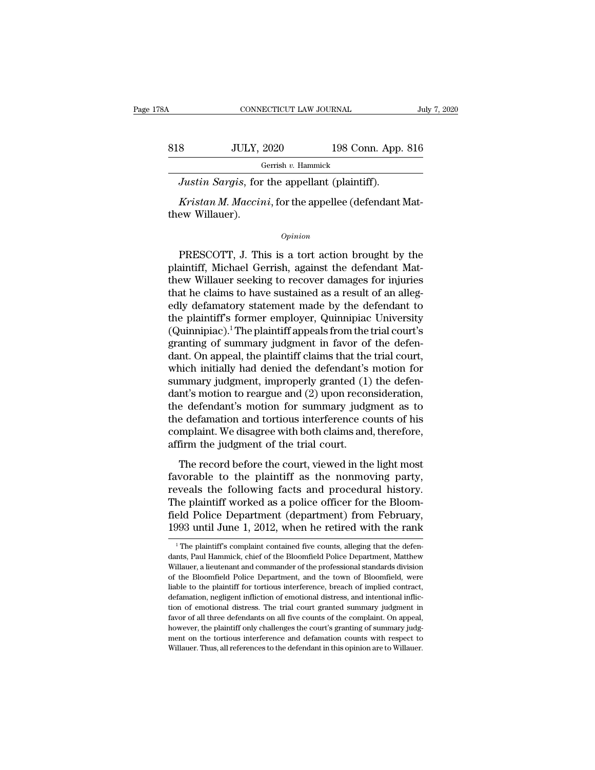# CONNECTICUT LAW JOURNAL July 7, 2020<br>818 JULY, 2020 198 Conn. App. 816<br>Gerrish v. Hammick *CONNECTICUT LAW JOURNAL*<br> *JULY, 2020* 198 Conn. App.<br> *Gerrish v. Hammick*<br> *Justin Sargis*, for the appellant (plaintiff).<br> *Kristan M. Maccini*, for the appellee (defendant)

Gerrish *v.* Hammick

*Kristan M. Maccini*, for the appellee (defendant Mateum Willauer).<br>*Kristan M. Maccini*, for the appellee (defendant Mateum Willauer). 818 JULY, 2<br>
Justin Sargis, for<br> *Histan M. Maccin*<br>
Thew Willauer).

## *Opinion*

*Justin Sargis*, for the appellant (plaintiff).<br> *Kristan M. Maccini*, for the appellee (defendant Mateum Willauer).<br> *Opinion*<br>
PRESCOTT, J. This is a tort action brought by the aintiff, Michael Gerrish, against the defen *Kristan M. Maccini*, for the appellee (defendant Matthew Willauer).<br>  $\frac{opinion}{\text{PRESCOTT}}$ , J. This is a tort action brought by the plaintiff, Michael Gerrish, against the defendant Matthew Willauer seeking to recover damages Kristan M. Maccini, for the appellee (defendant Matthew Willauer).<br>  $\frac{Opinion}{PRESCOTT}$ , J. This is a tort action brought by the plaintiff, Michael Gerrish, against the defendant Matthew Willauer seeking to recover damages for opinion<br>Opinion<br>PRESCOTT, J. This is a tort action brought by the<br>plaintiff, Michael Gerrish, against the defendant Mat-<br>thew Willauer seeking to recover damages for injuries<br>that he claims to have sustained as a result of **EXECOTT, J. This is a tort action brought by the plaintiff, Michael Gerrish, against the defendant Matthew Willauer seeking to recover damages for injuries that he claims to have sustained as a result of an allegedly def** PRESCOTT, J. This is a tort action brought by the<br>plaintiff, Michael Gerrish, against the defendant Mat-<br>thew Willauer seeking to recover damages for injuries<br>that he claims to have sustained as a result of an alleg-<br>edly PRESCOTT, J. This is a tort action brought by the<br>plaintiff, Michael Gerrish, against the defendant Mat-<br>thew Willauer seeking to recover damages for injuries<br>that he claims to have sustained as a result of an alleg-<br>edly plaintiff, Michael Gerrish, against the defendant Matthew Willauer seeking to recover damages for injuries<br>that he claims to have sustained as a result of an alleg-<br>edly defamatory statement made by the defendant to<br>the pl thew Willauer seeking to recover damages for injuries<br>that he claims to have sustained as a result of an alleg-<br>edly defamatory statement made by the defendant to<br>the plaintiff's former employer, Quinnipiac University<br>(Qui that he claims to have sustained as a result of an allegedly defamatory statement made by the defendant to the plaintiff's former employer, Quinnipiac University (Quinnipiac).<sup>1</sup> The plaintiff appeals from the trial court' edly defamatory statement made by the defendant to<br>the plaintiff's former employer, Quinnipiac University<br>(Quinnipiac).<sup>1</sup>The plaintiff appeals from the trial court's<br>granting of summary judgment in favor of the defen-<br>dan the plaintiff's former employer, Quinnipiac University<br>(Quinnipiac).<sup>1</sup> The plaintiff appeals from the trial court's<br>granting of summary judgment in favor of the defen-<br>dant. On appeal, the plaintiff claims that the trial (Quinnipiac).<sup>1</sup> The plaintiff appeals from the trial court's granting of summary judgment in favor of the defendant. On appeal, the plaintiff claims that the trial court, which initially had denied the defendant's motion granting of summary judgment in favor of the defen-<br>dant. On appeal, the plaintiff claims that the trial court,<br>which initially had denied the defendant's motion for<br>summary judgment, improperly granted (1) the defen-<br>dant dant. On appeal, the plaintiff claims that the trial court,<br>which initially had denied the defendant's motion for<br>summary judgment, improperly granted (1) the defen-<br>dant's motion to reargue and (2) upon reconsideration,<br>t which initially had denied the defendant's<br>summary judgment, improperly granted (1)<br>dant's motion to reargue and (2) upon recor<br>the defendant's motion for summary judg<br>the defamation and tortious interference co<br>complaint.  $T$  is motion to reargue and (2) upon reconsideration,<br>the defendant's motion for summary judgment as to<br>e defamation and tortious interference counts of his<br>mplaint. We disagree with both claims and, therefore,<br>firm the factor is related to the plane of the defendant's motion for summary judgment as to the defamation and tortious interference counts of his complaint. We disagree with both claims and, therefore, affirm the judgment of the

reveals the defamation and tortious interference counts of his<br>complaint. We disagree with both claims and, therefore,<br>affirm the judgment of the trial court.<br>The record before the court, viewed in the light most<br>favorable Example in the state of the trial court.<br>
Somplaint. We disagree with both claims and, therefore,<br>
affirm the judgment of the trial court.<br>
The record before the court, viewed in the light most<br>
favorable to the plaintiff firm the judgment of the trial court.<br>The record before the court, viewed in the light most<br>favorable to the plaintiff as the nonmoving party,<br>reveals the following facts and procedural history.<br>The plaintiff worked as a p The record before the court, viewed in the light most favorable to the plaintiff as the nonmoving party, reveals the following facts and procedural history.<br>The plaintiff worked as a police officer for the Bloom-<br>field Po reveals the following facts and procedural history.<br>The plaintiff worked as a police officer for the Bloom-<br>field Police Department (department) from February,<br>1993 until June 1, 2012, when he retired with the rank<br> $\frac{1}{$ The plaintiff worked as a police officer for the Bloom-<br>field Police Department (department) from February,<br>1993 until June 1, 2012, when he retired with the rank<br><sup>1</sup>The plaintiff's complaint contained five counts, allegin

field Police Department (department) from February,<br>1993 until June 1, 2012, when he retired with the rank<br><sup>1</sup>The plaintiff's complaint contained five counts, alleging that the defendants, Paul Hammick, chief of the Bloomf 1993 until June 1, 2012, when he retired with the rank<br>  $\overline{ }$  <sup>1</sup> The plaintiff's complaint contained five counts, alleging that the defendants, Paul Hammick, chief of the Bloomfield Police Department, Matthew Willauer, The plaintiff's complaint contained five counts, alleging that the Tarity<br>
<sup>1</sup> The plaintiff's complaint contained five counts, alleging that the defendants, Paul Hammick, chief of the Bloomfield Police Department, Matthew <sup>1</sup> The plaintiff's complaint contained five counts, alleging that the defendants, Paul Hammick, chief of the Bloomfield Police Department, Matthew Willauer, a lieutenant and commander of the professional standards divisi dants, Paul Hammick, chief of the Bloomfield Police Department, Matthew Willauer, a lieutenant and commander of the professional standards division of the Bloomfield Police Department, and the town of Bloomfield, were liab Willauer, a lieutenant and commander of the professional standards division<br>of the Bloomfield Police Department, and the town of Bloomfield, were<br>liable to the plaintiff for tortious interference, breach of implied contrac of the Bloomfield Police Department, and the town of Bloomfield, were liable to the plaintiff for tortious interference, breach of implied contract, defamation, negligent infliction of emotional distress, and intentional i is the total in the plaintiff for tortious interference, breach of implied contract, defamation, negligent infliction of emotional distress, and intentional infliction of emotional distress. The trial court granted summary tion of emotional distress. The trial court granted summary judgment in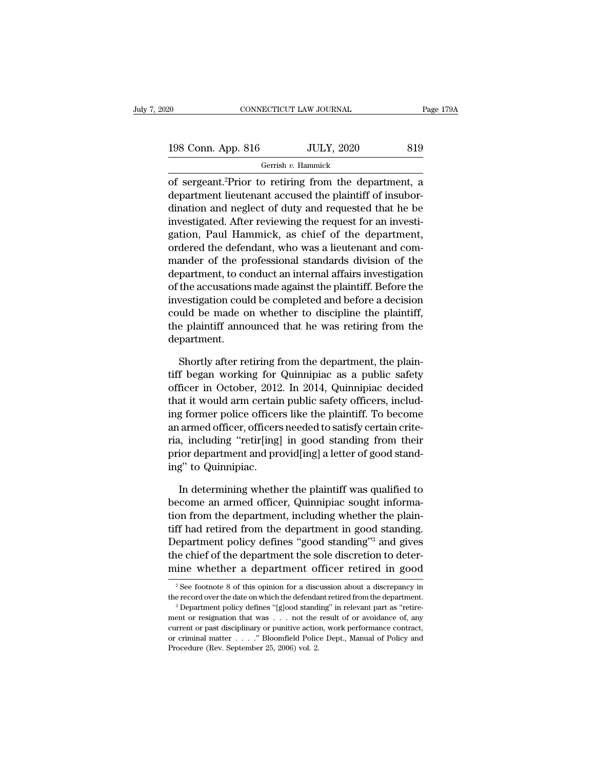| 20                 | CONNECTICUT LAW JOURNAL | Page 179A |
|--------------------|-------------------------|-----------|
| 198 Conn. App. 816 | <b>JULY, 2020</b>       | 819       |
|                    | Gerrish v. Hammick      |           |

connectricut LAW JOURNAL Page 179A<br>
198 Conn. App. 816 JULY, 2020 819<br>
Gerrish v. Hammick<br>
of sergeant.<sup>2</sup>Prior to retiring from the department, a<br>
department lieutenant accused the plaintiff of insubor-198 Conn. App. 816 JULY, 2020 819<br>
Gerrish v. Hammick<br>
of sergeant.<sup>2</sup>Prior to retiring from the department, a<br>
department lieutenant accused the plaintiff of insubor-<br>
dination and neglect of duty and requested that he b 198 Conn. App. 816 JULY, 2020 819<br>
Gerrish v. Hammick<br>
of sergeant.<sup>2</sup>Prior to retiring from the department, a<br>
department lieutenant accused the plaintiff of insubor-<br>
dination and neglect of duty and requested that he b 198 Conn. App. 816 JULY, 2020 819<br>
Gerrish v. Hammick<br>
of sergeant.<sup>2</sup>Prior to retiring from the department, a<br>
department lieutenant accused the plaintiff of insubor-<br>
dination and neglect of duty and requested that he b Gerrish v. Hammick<br>
of sergeant.<sup>2</sup>Prior to retiring from the department, a<br>
department lieutenant accused the plaintiff of insubor-<br>
dination and neglect of duty and requested that he be<br>
investigated. After reviewing th ordered the department, a<br>department lieutenant accused the plaintiff of insubor-<br>dination and neglect of duty and requested that he be<br>investigated. After reviewing the request for an investi-<br>gation, Paul Hammick, as chi of sergeant.<sup>2</sup>Prior to retiring from the department, a<br>department lieutenant accused the plaintiff of insubor-<br>dination and neglect of duty and requested that he be<br>investigated. After reviewing the request for an investi department lieutenant accused the plaintiff of insubor-<br>dination and neglect of duty and requested that he be<br>investigated. After reviewing the request for an investi-<br>gation, Paul Hammick, as chief of the department,<br>orde dination and neglect of duty and requested that he be<br>investigated. After reviewing the request for an investi-<br>gation, Paul Hammick, as chief of the department,<br>ordered the defendant, who was a lieutenant and com-<br>mander investigated. After reviewing the request for an investigation, Paul Hammick, as chief of the department, ordered the defendant, who was a lieutenant and compander of the professional standards division of the department, gation, Paul Hammick, as chief of the department,<br>ordered the defendant, who was a lieutenant and com-<br>mander of the professional standards division of the<br>department, to conduct an internal affairs investigation<br>of the ac ordered the defendant, who was a lieutenant and com-<br>mander of the professional standards division of the<br>department, to conduct an internal affairs investigation<br>of the accusations made against the plaintiff. Before the<br>i department. the accusations made against the plaintiff. Before the vestigation could be completed and before a decision wild be made on whether to discipline the plaintiff, e plaintiff announced that he was retiring from the partment. investigation could be completed and before a decision<br>could be made on whether to discipline the plaintiff,<br>the plaintiff announced that he was retiring from the<br>department.<br>Shortly after retiring from the department, the

could be made on whether to discipline the plaintiff,<br>the plaintiff announced that he was retiring from the<br>department.<br>Shortly after retiring from the department, the plain-<br>tiff began working for Quinnipiac as a public s the plaintiff announced that he was retiring from the<br>department.<br>Shortly after retiring from the department, the plain-<br>tiff began working for Quinnipiac as a public safety<br>officer in October, 2012. In 2014, Quinnipiac de department.<br>
Shortly after retiring from the department, the plain-<br>
tiff began working for Quinnipiac as a public safety<br>
officer in October, 2012. In 2014, Quinnipiac decided<br>
that it would arm certain public safety offi Shortly after retiring from the department, the plaintiff began working for Quinnipiac as a public safety officer in October, 2012. In 2014, Quinnipiac decided that it would arm certain public safety officers, including fo Shortly after retiring from the department, the plain-<br>tiff began working for Quinnipiac as a public safety<br>officer in October, 2012. In 2014, Quinnipiac decided<br>that it would arm certain public safety officers, includ-<br>in tiff began working for Quinnipiac as a public safety<br>officer in October, 2012. In 2014, Quinnipiac decided<br>that it would arm certain public safety officers, includ-<br>ing former police officers like the plaintiff. To become<br> officer in October, 2012<br>that it would arm certain<br>ing former police officer<br>an armed officer, officers<br>ria, including "retir[ing]<br>prior department and pre<br>ing" to Quinnipiac.<br>In determining whethe In determining whether halo satisfy certain crite-<br>i, including "retir[ing] in good standing from their<br>ior department and provid[ing] a letter of good stand-<br>g" to Quinnipiac.<br>In determining whether the plaintiff was qual an armed officer, officers needed to satisfy certain crite-<br>ria, including "retir[ing] in good standing from their<br>prior department and provid[ing] a letter of good stand-<br>ing" to Quinnipiac.<br>In determining whether the pla

ria, including "retir[ing] in good standing from their<br>prior department and provid[ing] a letter of good stand-<br>ing" to Quinnipiac.<br>In determining whether the plaintiff was qualified to<br>become an armed officer, Quinnipiac prior department and provid[ing] a letter of good stand-<br>ing" to Quinnipiac.<br>In determining whether the plaintiff was qualified to<br>become an armed officer, Quinnipiac sought informa-<br>tion from the department, including whe ing" to Quinnipiac.<br>
In determining whether the plaintiff was qualified to<br>
become an armed officer, Quinnipiac sought informa-<br>
tion from the department, including whether the plain-<br>
tiff had retired from the department In determining whether the plaintiff was qualified to<br>become an armed officer, Quinnipiac sought informa-<br>tion from the department, including whether the plain-<br>tiff had retired from the department in good standing.<br>Depart In determining whether the plaintiff was qualitied to<br>become an armed officer, Quinnipiac sought informa-<br>tion from the department, including whether the plain-<br>tiff had retired from the department in good standing.<br>Depar tiff had retired from the department in good standing.<br>Department policy defines "good standing"<sup>3</sup> and gives<br>the chief of the department the sole discretion to deter-<br>mine whether a department officer retired in good<br> $\frac$ 

the chief of the department the sole discretion to deter-<br>mine whether a department officer retired in good<br> $\frac{1}{2}$ See footnote 8 of this opinion for a discussion about a discrepancy in<br>the record over the date on which mine whether a department officer retired in good<br>
<sup>2</sup> See footnote 8 of this opinion for a discussion about a discrepancy in<br>
the record over the date on which the defendant retired from the department.<br>
<sup>3</sup> Department p <sup>2</sup> See footnote 8 of this opinion for a discussion about a discrepancy in<br><sup>2</sup> See footnote 8 of this opinion for a discussion about a discrepancy in<br>the record over the date on which the defendant retired from the departm <sup>2</sup> See footnote 8 of this opinion for a discussion about a discrepancy in the record over the date on which the defendant retired from the department.<br><sup>3</sup> Department policy defines "[g]ood standing" in relevant part as " the record over the date on which the defendant retired from the department.<br>
<sup>3</sup> Department policy defines "[g]ood standing" in relevant part as "retirement or resignation that was  $\dots$  not the result of or avoidance of,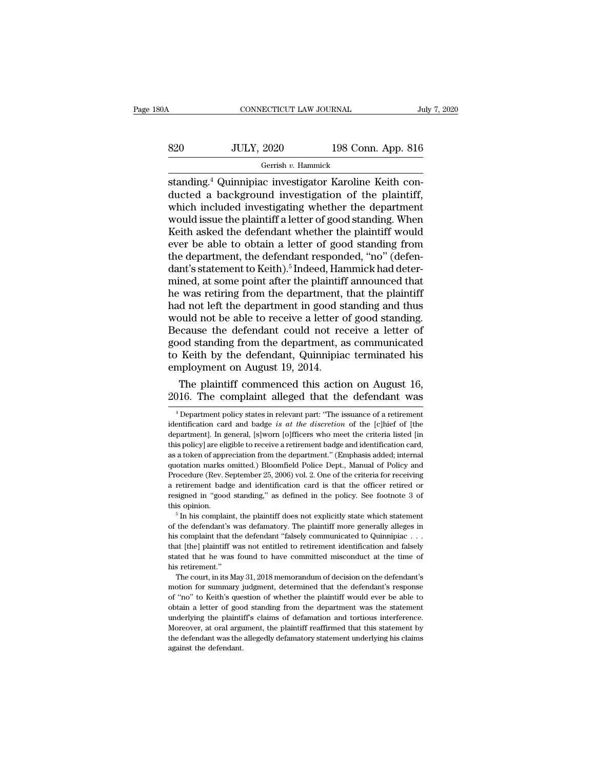# <sup>820</sup> JULY, 2020 198 Conn. App. 816

## Gerrish *v.* Hammick

 $\begin{array}{c|c} \multicolumn{1}{l}{{\text{CONRECTICUT LAW JOURNAL}}} & \multicolumn{1}{l}{J_1} \\ \hline & \multicolumn{1}{l}{\text{Gerrish } v. \text{ Hammick}}\\ \hline & \multicolumn{1}{l}{\text{Gerrish } v. \text{ Hammick}}\\ \hline & \multicolumn{1}{l}{\text{Staroling.}}^4 \text{ Quinnipiac investigation Karaoline Keith conducted a background investigation of the plaintiff, which included investigating whether the department of the algorithm.} \end{array}$  $\begin{array}{c|l} \text{320} & \text{JULY, 2020} & \text{198 Conn. App. 816} \\ \hline \text{Gerrish } v. \text{ Hammick} \end{array}$ <br>standing.<sup>4</sup> Quinnipiac investigator Karoline Keith conducted a background investigation of the plaintiff, which included investigating whether the which included investigating whether the department  $\noindent\text{S20}\quad\text{JULY, 2020}\quad\text{198 Conn. App. 816}\n\text{starting.<sup>4</sup> Quinnipiac investigation Karoline Keith conducted a background investigation of the plaintiff, which included investigating whether the department would issue the plaintiff a letter of good standing. When Keith asked the defendant whether the plaintiff would over be able to obtain a letter of good standing from.$ Gerrish v. Hammick<br>
Standing.<sup>4</sup> Quinnipiac investigator Karoline Keith con-<br>
ducted a background investigation of the plaintiff,<br>
which included investigating whether the department<br>
would issue the plaintiff a letter of Gerrish v. Hammick<br>standing.<sup>4</sup> Quinnipiac investigator Karoline Keith con-<br>ducted a background investigation of the plaintiff,<br>which included investigating whether the department<br>would issue the plaintiff a letter of goo standing.<sup>4</sup> Quinnipiac investigator Karoline Keith conducted a background investigation of the plaintiff, which included investigating whether the department would issue the plaintiff a letter of good standing. When Keith ducted a background investigation of the plaintiff,<br>which included investigating whether the department<br>would issue the plaintiff a letter of good standing. When<br>Keith asked the defendant whether the plaintiff would<br>ever b which included investigating whether the department<br>would issue the plaintiff a letter of good standing. When<br>Keith asked the defendant whether the plaintiff would<br>ever be able to obtain a letter of good standing from<br>the would issue the plaintiff a letter of good standing. When<br>Keith asked the defendant whether the plaintiff would<br>ever be able to obtain a letter of good standing from<br>the department, the defendant responded, "no" (defen-<br>da Keith asked the defendant whether the plaintiff would<br>ever be able to obtain a letter of good standing from<br>the department, the defendant responded, "no" (defen-<br>dant's statement to Keith).<sup>5</sup> Indeed, Hammick had deter-<br>m ever be able to obtain a letter of good standing from<br>the department, the defendant responded, "no" (defen-<br>dant's statement to Keith).<sup>5</sup> Indeed, Hammick had deter-<br>mined, at some point after the plaintiff announced that<br> the department, the defendant responded, "no" (defendant's statement to Keith).<sup>5</sup> Indeed, Hammick had determined, at some point after the plaintiff announced that he was retiring from the department, that the plaintiff ha dant's statement to Keith).<sup>5</sup> Indeed, Hammick had deter-<br>mined, at some point after the plaintiff announced that<br>he was retiring from the department, that the plaintiff<br>had not left the department in good standing and thu mined, at some point after the plaintiff announced that<br>he was retiring from the department, that the plaintiff<br>had not left the department in good standing and thus<br>would not be able to receive a letter of good standing.<br> he was retiring from the department,<br>had not left the department in good st<br>would not be able to receive a letter c<br>Because the defendant could not re<br>good standing from the department, a<br>to Keith by the defendant, Quinnip d not left the department in good standing and thus<br>build not be able to receive a letter of good standing.<br>ecause the defendant could not receive a letter of<br>od standing from the department, as communicated<br>Keith by the d would not be able to receive a letter of good standing.<br>Because the defendant could not receive a letter of<br>good standing from the department, as communicated<br>to Keith by the defendant, Quinnipiac terminated his<br>employment to Keith by the defendant, Quinnipiac terminated his<br>employment on August 19, 2014.<br>The plaintiff commenced this action on August 16,<br>2016. The complaint alleged that the defendant was<br> $\frac{40}{\text{Department policy states in relevant part: "The issue of a retirement  
identification card and badge is at the discretion of$ 

employment on August 19, 2014.<br>
The plaintiff commenced this action on August 16,<br>
2016. The complaint alleged that the defendant was<br>
<sup>4</sup> Department policy states in relevant part: "The issuance of a retirement<br>
identific The plaintiff commenced this action on August 16, 2016. The complaint alleged that the defendant was  $^{+}$ Department policy states in relevant part: "The issuance of a retirement identification card and badge *is at the d* 2016. The complaint alleged that the defendant was<br>  $^{4}$  Department policy states in relevant part: "The issuance of a retirement<br>
identification card and badge *is at the discretion* of the [c]hief of [the<br>
department]. 2010. The Complaint aneged that the defermant was<br>  $\overline{a}$  + Department policy states in relevant part: "The issuance of a retirement<br>
identification card and badge *is at the discretion* of the [c]hief of [the<br>
departme <sup>4</sup> Department policy states in relevant part: "The issuance of a retirement identification card and badge *is at the discretion* of the [c]hief of [the department]. In general, [s]worn [o]fficers who meet the criteria li identification card and badge *is at the discretion* of the [c]hief of [the department]. In general, [s]worn [o]fficers who meet the criteria listed [in this policy] are eligible to receive a retirement badge and identifi department]. In general, [s]worn [o]fficers who meet the criteria listed [in this policy] are eligible to receive a retirement badge and identification card, as a token of appreciation from the department." (Emphasis added this policy] are eligible to receive a retirement badge and identification card, as a token of appreciation from the department." (Emphasis added; internal quotation marks omitted.) Bloomfield Police Dept., Manual of Poli and a state of appreciation from the department." (Emphasis added; internal quotation marks omitted.) Bloomfield Police Dept., Manual of Policy and Procedure (Rev. September 25, 2006) vol. 2. One of the criteria for receiv Procedure (Rev. September 25, 2006) vol. 2. One of the criteria for receiving a retirement badge and identification card is that the officer retired or resigned in "good standing," as defined in the policy. See footnote 3

France (at the defendant of the defendant of the defendant of the defect retired or resigned in "good standing," as defined in the policy. See footnote 3 of this opinion.<br><sup>5</sup> In his complaint, the plaintiff does not explic The signed in "good standing," as defined in the policy. See footnote 3 of this opinion.<br>
<sup>5</sup> In his complaint, the plaintiff does not explicitly state which statement of the defendant's was defamatory. The plaintiff more stated that is opinion.<br>
<sup>5</sup> In his complaint, the plaintiff does not explicitly state which statement<br>
of the defendant's was defamatory. The plaintiff more generally alleges in<br>
his complaint that the defendant "falsely <sup>6</sup> <sup>5</sup> In his complaint,<br><sup>6</sup> <sup>5</sup> In his complaint that the<br>that [the] plaintiff were stated that he was<br>this retirement."<br>The court, in its M<sub>i</sub> the defendant's was defamatory. The plaintiff more generally alleges in<br>s complaint that the defendant "falsely communicated to Quinnipiac . . .<br>at [the] plaintiff was not entitled to retirement identification and falsely<br> his complaint that the defendant "falsely communicated to Quinnipiac...<br>that [the] plaintiff was not entitled to retirement identification and falsely<br>stated that he was found to have committed misconduct at the time of<br>h

of the plaintiff was not entitled to retirement identification and falsely<br>that [the] plaintiff was not entitled to retirement identification and falsely<br>stated that he was found to have committed misconduct at the time of stated that he was found to have committed misconduct at the time of<br>his retirement."<br>The court, in its May 31, 2018 memorandum of decision on the defendant's<br>motion for summary judgment, determined that the defendant's r his retirement."<br>
The court, in its May 31, 2018 memorandum of decision on the defendant's<br>
motion for summary judgment, determined that the defendant's response<br>
of "no" to Keith's question of whether the plaintiff would The court, in its May 31, 2018 memorandum of decision on the defendant's motion for summary judgment, determined that the defendant's response of "no" to Keith's question of whether the plaintiff would ever be able to obta motion for summary judgment, determined that the defendant's response of "no" to Keith's question of whether the plaintiff would ever be able to obtain a letter of good standing from the department was the statement underl of "no" to Keith's question of whether the plaintiff would ever be able to obtain a letter of good standing from the department was the statement underlying the plaintiff's claims of defamation and tortious interference. M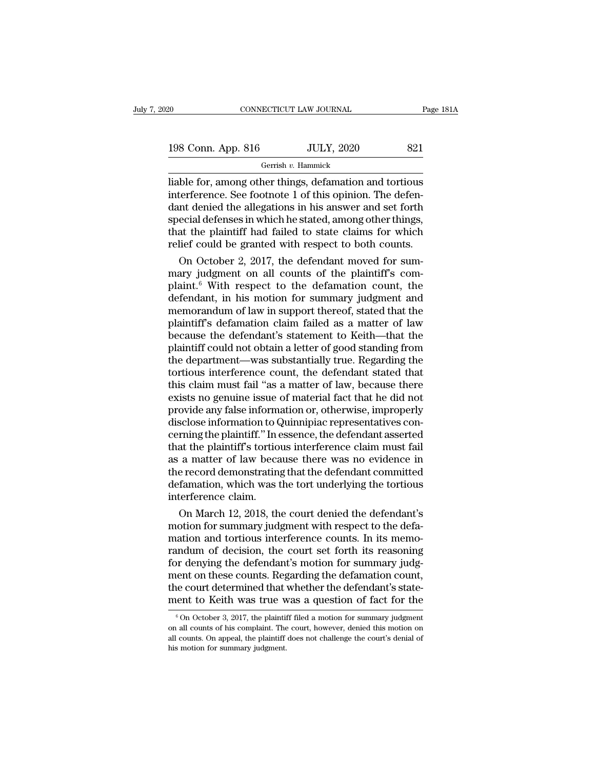$\begin{tabular}{l l l l} \hline & & & & & \mbox{\textbf{COMNECTICUT LAW JOURNAL}} \\\hline \hline & & & & \mbox{\textbf{Page 181A}} \\\hline \end{tabular}$  198 Conn. App. 816  $\begin{tabular}{l} \hline & & \mbox{\textbf{JULY, 2020}} \\\hline \end{tabular}$  Serrish v. Hammick

Gerrish *v.* Hammick

CONNECTICUT LAW JOURNAL Page 181A<br>
198 Conn. App. 816 JULY, 2020 821<br>
Gerrish v. Hammick<br>
liable for, among other things, defamation and tortious<br>
interference. See footnote 1 of this opinion. The defen-198 Conn. App. 816 JULY, 2020 821<br>
Gerrish v. Hammick<br>
liable for, among other things, defamation and tortious<br>
interference. See footnote 1 of this opinion. The defen-<br>
dant denied the allegations in his answer and set f 198 Conn. App. 816 JULY, 2020 821<br>
Gerrish v. Hammick<br>
liable for, among other things, defamation and tortious<br>
interference. See footnote 1 of this opinion. The defen-<br>
dant denied the allegations in his answer and set f 198 Conn. App. 816 JULY, 2020 821<br>
Gerrish v. Hammick<br>
liable for, among other things, defamation and tortious<br>
interference. See footnote 1 of this opinion. The defen-<br>
dant denied the allegations in his answer and set f Gerrish v. Hammick<br>
iable for, among other things, defamation and tortious<br>
interference. See footnote 1 of this opinion. The defen-<br>
dant denied the allegations in his answer and set forth<br>
special defenses in which he s Gerrish  $v$ . Hammick<br>liable for, among other things, defamation and tortious<br>interference. See footnote 1 of this opinion. The defen-<br>dant denied the allegations in his answer and set forth<br>special defenses in which he st ble for, among other things, defamation and tortious<br>terference. See footnote 1 of this opinion. The defen-<br>nt denied the allegations in his answer and set forth<br>ecial defenses in which he stated, among other things,<br>at t interference. See footnote 1 of this opinion. The defendant denied the allegations in his answer and set forth special defenses in which he stated, among other things, that the plaintiff had failed to state claims for whi

dant denied the allegations in his answer and set forth<br>special defenses in which he stated, among other things,<br>that the plaintiff had failed to state claims for which<br>relief could be granted with respect to both counts.<br> special defenses in which he stated, among other things,<br>that the plaintiff had failed to state claims for which<br>relief could be granted with respect to both counts.<br>On October 2, 2017, the defendant moved for sum-<br>mary ju that the plaintiff had failed to state claims for which<br>relief could be granted with respect to both counts.<br>On October 2, 2017, the defendant moved for sum-<br>mary judgment on all counts of the plaintiff's com-<br>plaint.<sup>6</sup> W relief could be granted with respect to both counts.<br>
On October 2, 2017, the defendant moved for sum-<br>
mary judgment on all counts of the plaintiff's com-<br>
plaint.<sup>6</sup> With respect to the defamation count, the<br>
defendant, On October 2, 2017, the defendant moved for sum-<br>mary judgment on all counts of the plaintiff's com-<br>plaint.<sup>6</sup> With respect to the defamation count, the<br>defendant, in his motion for summary judgment and<br>memorandum of law mary judgment on all counts of the plaintiff's complaint.<sup>6</sup> With respect to the defamation count, the defendant, in his motion for summary judgment and memorandum of law in support thereof, stated that the plaintiff's def plaint.<sup>6</sup> With respect to the defamation count, the defendant, in his motion for summary judgment and memorandum of law in support thereof, stated that the plaintiff's defamation claim failed as a matter of law because th defendant, in his motion for summary judgment and<br>memorandum of law in support thereof, stated that the<br>plaintiff's defamation claim failed as a matter of law<br>because the defendant's statement to Keith—that the<br>plaintiff c memorandum of law in support thereof, stated that the plaintiff's defamation claim failed as a matter of law because the defendant's statement to Keith—that the plaintiff could not obtain a letter of good standing from the plaintiff's defamation claim failed as a matter of law<br>because the defendant's statement to Keith—that the<br>plaintiff could not obtain a letter of good standing from<br>the department—was substantially true. Regarding the<br>tort because the defendant's statement to Keith—that the plaintiff could not obtain a letter of good standing from the department—was substantially true. Regarding the tortious interference count, the defendant stated that this plaintiff could not obtain a letter of good standing from<br>the department—was substantially true. Regarding the<br>tortious interference count, the defendant stated that<br>this claim must fail "as a matter of law, because there<br> the department—was substantially true. Regarding the tortious interference count, the defendant stated that this claim must fail "as a matter of law, because there exists no genuine issue of material fact that he did not p tortious interference count, the defendant stated that<br>this claim must fail "as a matter of law, because there<br>exists no genuine issue of material fact that he did not<br>provide any false information or, otherwise, improperl this claim must fail "as a matter of law, because there exists no genuine issue of material fact that he did not provide any false information or, otherwise, improperly disclose information to Quinnipiac representatives co exists no genuine issue of material fact that he did not<br>provide any false information or, otherwise, improperly<br>disclose information to Quinnipiac representatives con-<br>cerning the plaintiff." In essence, the defendant ass provide any false information or, otherwise, improperly<br>disclose information to Quinnipiac representatives con-<br>cerning the plaintiff." In essence, the defendant asserted<br>that the plaintiff's tortious interference claim mu disclose information to 0<br>cerning the plaintiff." In 0<br>that the plaintiff's tortio<br>as a matter of law beca<br>the record demonstrating<br>defamation, which was t<br>interference claim.<br>On March 12, 2018, th rning the plaintiff." In essence, the defendant asserted<br>at the plaintiff's tortious interference claim must fail<br>a matter of law because there was no evidence in<br>erecord demonstrating that the defendant committed<br>famation that the plaintiff's tortious interference claim must fail<br>as a matter of law because there was no evidence in<br>the record demonstrating that the defendant committed<br>defamation, which was the tort underlying the tortious<br>in

as a matter of law because there was no evidence in<br>the record demonstrating that the defendant committed<br>defamation, which was the tort underlying the tortious<br>interference claim.<br>On March 12, 2018, the court denied the d the record demonstrating that the defendant committed<br>defamation, which was the tort underlying the tortious<br>interference claim.<br>On March 12, 2018, the court denied the defendant's<br>motion for summary judgment with respect defamation, which was the tort underlying the tortious<br>interference claim.<br>On March 12, 2018, the court denied the defendant's<br>motion for summary judgment with respect to the defa-<br>mation and tortious interference counts. interference claim.<br>
On March 12, 2018, the court denied the defendant's<br>
motion for summary judgment with respect to the defa-<br>
mation and tortious interference counts. In its memo-<br>
randum of decision, the court set fort On March 12, 2018, the court denied the defendant's<br>motion for summary judgment with respect to the defa-<br>mation and tortious interference counts. In its memo-<br>randum of decision, the court set forth its reasoning<br>for deny motion for summary judgment with respect to the defa-<br>mation and tortious interference counts. In its memo-<br>randum of decision, the court set forth its reasoning<br>for denying the defendant's motion for summary judg-<br>ment on or denying the defendant's motion for summary judgment on these counts. Regarding the defamation count, the court determined that whether the defendant's statement to Keith was true was a question of fact for the  $\frac{6}{100$ ment on these counts. Regarding the defamation count,<br>the court determined that whether the defendant's state-<br>ment to Keith was true was a question of fact for the<br><sup>6</sup>On October 3, 2017, the plaintiff filed a motion for s

the court determined that whether the defendant's statement to Keith was true was a question of fact for the  $\degree$ On October 3, 2017, the plaintiff filed a motion for summary judgment on all counts of his complaint. The cou ment to Keith was true was a question of fact for the  $\frac{60n}{60n}$  October 3, 2017, the plaintiff filed a motion for summary judgment on all counts of his complaint. The court, however, denied this motion on all counts.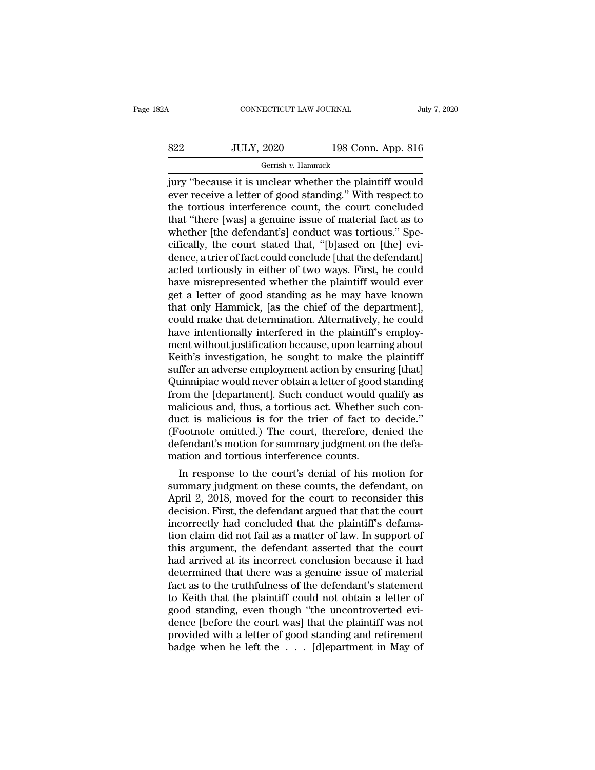## <sup>822</sup> JULY, 2020 198 Conn. App. 816 Gerrish *v.* Hammick

CONNECTICUT LAW JOURNAL July 7, 2020<br>
Separate in the Second Connect of the plaintiff would ever receive a letter of good standing." With respect to the tortious interference count the court concluded even  $\frac{198 \text{ Conn. App. } 816}{\text{Gerrish } v. \text{ Hammick}}$ <br>
i Gerrish v. Hammick<br>
i Gerrish v. Hammick<br>
i Gerrish v. Hammick<br>
ever receive a letter of good standing.'' With respect to<br>
the tortious interference count, the court concluded S22 JULY, 2020 198 Conn. App. 816<br>
Gerrish v. Hammick<br>
jury "because it is unclear whether the plaintiff would<br>
ever receive a letter of good standing." With respect to<br>
the tortious interference count, the court conclude Separation 198 Conn. App. 816<br>
There is a genuine is unclear whether the plaintiff would<br>
ever receive a letter of good standing." With respect to<br>
the tortious interference count, the court concluded<br>
that "there [was] a Gerrish v. Hammick<br>
The defendant of the plaintiff would<br>
ever receive a letter of good standing." With respect to<br>
the tortious interference count, the court concluded<br>
that "there [was] a genuine issue of material fact Gerrish v. Hammick<br>jury "because it is unclear whether the plaintiff would<br>ever receive a letter of good standing." With respect to<br>the tortious interference count, the court concluded<br>that "there [was] a genuine issue of jury "because it is unclear whether the plaintiff would<br>ever receive a letter of good standing." With respect to<br>the tortious interference count, the court concluded<br>that "there [was] a genuine issue of material fact as to ever receive a letter of good standing." With respect to<br>the tortious interference count, the court concluded<br>that "there [was] a genuine issue of material fact as to<br>whether [the defendant's] conduct was tortious." Spe-<br>c the tortious interference count, the court concluded<br>that "there [was] a genuine issue of material fact as to<br>whether [the defendant's] conduct was tortious." Spe-<br>cifically, the court stated that, "[b]ased on [the] evi-<br>d that "there [was] a genuine issue of material fact as to<br>whether [the defendant's] conduct was tortious." Spe-<br>cifically, the court stated that, "[b]ased on [the] evi-<br>dence, a trier of fact could conclude [that the defend whether [the defendant's] conduct was tortious." Specifically, the court stated that, "[b]ased on [the] evidence, a trier of fact could conclude [that the defendant] acted tortiously in either of two ways. First, he could cifically, the court stated that, "[b]ased on [the] evidence, a trier of fact could conclude [that the defendant]<br>acted tortiously in either of two ways. First, he could<br>have misrepresented whether the plaintiff would ever dence, a trier of fact could conclude [that the defendant] acted tortiously in either of two ways. First, he could have misrepresented whether the plaintiff would ever get a letter of good standing as he may have known tha acted tortiously in either of two ways. First, he could<br>have misrepresented whether the plaintiff would ever<br>get a letter of good standing as he may have known<br>that only Hammick, [as the chief of the department],<br>could mak have misrepresented whether the plaintiff would ever<br>get a letter of good standing as he may have known<br>that only Hammick, [as the chief of the department],<br>could make that determination. Alternatively, he could<br>have inten get a letter of good standing as he may have known<br>that only Hammick, [as the chief of the department],<br>could make that determination. Alternatively, he could<br>have intentionally interfered in the plaintiff's employ-<br>ment w that only Hammick, [as the chief of the department],<br>could make that determination. Alternatively, he could<br>have intentionally interfered in the plaintiff's employ-<br>ment without justification because, upon learning about<br>K could make that determination. Alternatively, he could<br>have intentionally interfered in the plaintiff's employ-<br>ment without justification because, upon learning about<br>Keith's investigation, he sought to make the plaintiff have intentionally interfered in the plaintiff's employment without justification because, upon learning about<br>Keith's investigation, he sought to make the plaintiff<br>suffer an adverse employment action by ensuring [that]<br>Q ment without justification because, upon learning about<br>Keith's investigation, he sought to make the plaintiff<br>suffer an adverse employment action by ensuring [that]<br>Quinnipiac would never obtain a letter of good standing<br> Keith's investigation, he sought to make the plaintiff<br>suffer an adverse employment action by ensuring [that]<br>Quinnipiac would never obtain a letter of good standing<br>from the [department]. Such conduct would qualify as<br>mal suffer an adverse employment action by ensuring [that] Quinnipiac would never obtain a letter of good standing from the [department]. Such conduct would qualify as malicious and, thus, a tortious act. Whether such conduct Quinnipiac would never obtain a letter of good<br>from the [department]. Such conduct would q<br>malicious and, thus, a tortious act. Whether s<br>duct is malicious is for the trier of fact to<br>(Footnote omitted.) The court, therefo om the [department]. Such conduct would quality as<br>alicious and, thus, a tortious act. Whether such con-<br>ict is malicious is for the trier of fact to decide."<br>ootnote omitted.) The court, therefore, denied the<br>fendant's mo malicious and, thus, a tortious act. Whether such conduct is malicious is for the trier of fact to decide."<br>(Footnote omitted.) The court, therefore, denied the<br>defendant's motion for summary judgment on the defa-<br>mation a

duct is mancious is for the trier of fact to decide.<br>
(Footnote omitted.) The court, therefore, denied the<br>
defendant's motion for summary judgment on the defa-<br>
mation and tortious interference counts.<br>
In response to the (Foothote omitted.) The court, therefore, denied the<br>defendant's motion for summary judgment on the defa-<br>mation and tortious interference counts.<br>In response to the court's denial of his motion for<br>summary judgment on the defendant s motion for summary judgment on the defamation and tortious interference counts.<br>In response to the court's denial of his motion for<br>summary judgment on these counts, the defendant, on<br>April 2, 2018, moved for t mation and tortious interference counts.<br>
In response to the court's denial of his motion for<br>
summary judgment on these counts, the defendant, on<br>
April 2, 2018, moved for the court to reconsider this<br>
decision. First, th In response to the court's denial of his motion for<br>summary judgment on these counts, the defendant, on<br>April 2, 2018, moved for the court to reconsider this<br>decision. First, the defendant argued that that the court<br>incorr summary judgment on these counts, the defendant, on<br>April 2, 2018, moved for the court to reconsider this<br>decision. First, the defendant argued that that the court<br>incorrectly had concluded that the plaintiff's defama-<br>tio April 2, 2018, moved for the court to reconsider this<br>decision. First, the defendant argued that that the court<br>incorrectly had concluded that the plaintiff's defama-<br>tion claim did not fail as a matter of law. In support decision. First, the defendant argued that that the court<br>incorrectly had concluded that the plaintiff's defama-<br>tion claim did not fail as a matter of law. In support of<br>this argument, the defendant asserted that the cour incorrectly had concluded that the plaintiff's defamation claim did not fail as a matter of law. In support of<br>this argument, the defendant asserted that the court<br>had arrived at its incorrect conclusion because it had<br>det tion claim did not fail as a matter of law. In support of<br>this argument, the defendant asserted that the court<br>had arrived at its incorrect conclusion because it had<br>determined that there was a genuine issue of material<br>fa this argument, the defendant asserted that the court<br>had arrived at its incorrect conclusion because it had<br>determined that there was a genuine issue of material<br>fact as to the truthfulness of the defendant's statement<br>to had arrived at its incorrect conclusion because it had<br>determined that there was a genuine issue of material<br>fact as to the truthfulness of the defendant's statement<br>to Keith that the plaintiff could not obtain a letter o determined that there was a genuine issue of material fact as to the truthfulness of the defendant's statement to Keith that the plaintiff could not obtain a letter of good standing, even though "the uncontroverted evidenc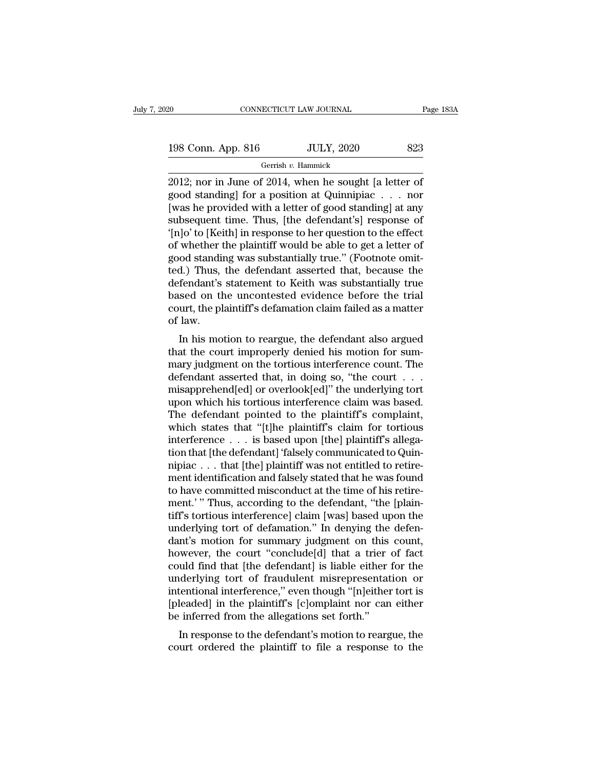| 20                 | CONNECTICUT LAW JOURNAL | Page 183A |
|--------------------|-------------------------|-----------|
| 198 Conn. App. 816 | <b>JULY, 2020</b>       | 823       |
|                    | Gerrish v. Hammick      |           |

2012; nor in June of 2014, when he sought [a letter of good standing] for a position at Quinnipiac . . . nor 198 Conn. App. 816 JULY, 2020 823<br>
Gerrish v. Hammick<br>
2012; nor in June of 2014, when he sought [a letter of good standing] for a position at Quinnipiac . . . nor<br>
[was he provided with a letter of good standing] at any<br> 198 Conn. App. 816 JULY, 2020 823<br>
Gerrish v. Hammick<br>
2012; nor in June of 2014, when he sought [a letter of good standing] for a position at Quinnipiac . . . nor<br>
[was he provided with a letter of good standing] at any<br> 198 Conn. App. 816 JULY, 2020 823<br>
Gerrish v. Hammick<br>
2012; nor in June of 2014, when he sought [a letter of good standing] for a position at Quinnipiac . . . nor<br>
[was he provided with a letter of good standing] at any<br> Gerrish v. Hammick<br>
2012; nor in June of 2014, when he sought [a letter of<br>
good standing] for a position at Quinnipiac . . . nor<br>
[was he provided with a letter of good standing] at any<br>
subsequent time. Thus, [the defen Gerrish v. Hammick<br>
2012; nor in June of 2014, when he sought [a letter of<br>
good standing] for a position at Quinnipiac . . . nor<br>
[was he provided with a letter of good standing] at any<br>
subsequent time. Thus, [the defen 2012; nor in June of 2014, when he sought [a letter of good standing] for a position at Quinnipiac . . . nor [was he provided with a letter of good standing] at any subsequent time. Thus, [the defendant's] response of  $^{\$ good standing] for a position at Quinnipiac  $\ldots$  nor<br>[was he provided with a letter of good standing] at any<br>subsequent time. Thus, [the defendant's] response of<br>"[n]o' to [Keith] in response to her question to the effec [was he provided with a letter of good standing] at any<br>subsequent time. Thus, [the defendant's] response of<br>'[n]o' to [Keith] in response to her question to the effect<br>of whether the plaintiff would be able to get a lette subsequent time. Thus, [the defendant's] response of '[n]o' to [Keith] in response to her question to the effect of whether the plaintiff would be able to get a letter of good standing was substantially true." (Footnote om '[n]o' to [Keith] in response to her question to the effect<br>of whether the plaintiff would be able to get a letter of<br>good standing was substantially true." (Footnote omit-<br>ted.) Thus, the defendant asserted that, because of whether t<br>good standii<br>ted.) Thus,<br>defendant's<br>based on th<br>court, the pl<br>of law.<br>In his mo Fourther Chain and Substantially true. (Fourther onlined.) Thus, the defendant asserted that, because the fendant's statement to Keith was substantially true sed on the uncontested evidence before the trial urt, the plaint ted.) Thus, the defendant asserted that, because the<br>defendant's statement to Keith was substantially true<br>based on the uncontested evidence before the trial<br>court, the plaintiff's defamation claim failed as a matter<br>of la

defendant s statement to Nentri was substantiary true<br>based on the uncontested evidence before the trial<br>court, the plaintiff's defamation claim failed as a matter<br>of law.<br>In his motion to reargue, the defendant also argue based on the uncontested evidence before the trial<br>court, the plaintiff's defamation claim failed as a matter<br>of law.<br>In his motion to reargue, the defendant also argued<br>that the court improperly denied his motion for sumcourt, the plaintin's detailed to that have as a matter<br>of law.<br>In his motion to reargue, the defendant also argued<br>that the court improperly denied his motion for sum-<br>mary judgment on the tortious interference count. The In his motion to reargue, the defendant also argued<br>that the court improperly denied his motion for sum-<br>mary judgment on the tortious interference count. The<br>defendant asserted that, in doing so, "the court . . .<br>misappre In his motion to reargue, the defendant also argued<br>that the court improperly denied his motion for sum-<br>mary judgment on the tortious interference count. The<br>defendant asserted that, in doing so, "the court  $\ldots$ <br>misappr that the court improperly denied his motion for summary judgment on the tortious interference count. The defendant asserted that, in doing so, "the court . . . . misapprehend[ed] or overlook[ed]" the underlying tort upon w mary judgment on the tortious interference count. The defendant asserted that, in doing so, "the court  $\ldots$  misapprehend[ed] or overlook[ed]" the underlying tort upon which his tortious interference claim was based. The defendant asserted that, in doing so, "the court . . . misapprehend[ed] or overlook[ed]" the underlying tort<br>upon which his tortious interference claim was based.<br>The defendant pointed to the plaintiff's complaint,<br>which s misapprehend[ed] or overlook[ed]" the underlying tort<br>upon which his tortious interference claim was based.<br>The defendant pointed to the plaintiff's complaint,<br>which states that "[t]he plaintiff's claim for tortious<br>interf upon which his tortious interference claim was based.<br>The defendant pointed to the plaintiff's complaint,<br>which states that "[t]he plaintiff's claim for tortious<br>interference . . . is based upon [the] plaintiff's allega-<br>t The defendant pointed to the plaintiff's complaint,<br>which states that "[t]he plaintiff's claim for tortious<br>interference  $\ldots$  is based upon [the] plaintiff's allega-<br>tion that [the defendant] 'falsely communicated to Qui which states that "[t]he plaintiff's claim for tortious<br>interference . . . is based upon [the] plaintiff's allega-<br>tion that [the defendant] 'falsely communicated to Quin-<br>nipiac . . . that [the] plaintiff was not entitle interference . . . is based upon [the] plaintiff's allegation that [the defendant] 'falsely communicated to Quinnipiac . . . that [the] plaintiff was not entitled to retirement identification and falsely stated that he was tion that [the defendant] 'falsely communicated to Quinnipiac . . . that [the] plaintiff was not entitled to retirement identification and falsely stated that he was found to have committed misconduct at the time of his r nipiac . . . that [the] plaintiff was not entitled to retire-<br>ment identification and falsely stated that he was found<br>to have committed misconduct at the time of his retire-<br>ment.' " Thus, according to the defendant, "the ment identification and falsely stated that he was found<br>to have committed misconduct at the time of his retire-<br>ment.' " Thus, according to the defendant, "the [plain-<br>tiff's tortious interference] claim [was] based upon to have committed misconduct at the time of his retirement.'" Thus, according to the defendant, "the [plain-<br>tiff's tortious interference] claim [was] based upon the<br>underlying tort of defamation." In denying the defen-<br>da ment.' " Thus, according to the defendant, "the [plain-<br>tiff's tortious interference] claim [was] based upon the<br>underlying tort of defamation." In denying the defen-<br>dant's motion for summary judgment on this count,<br>howev tiff's tortious interference] claim [was] based upon the<br>underlying tort of defamation." In denying the defen-<br>dant's motion for summary judgment on this count,<br>however, the court "conclude[d] that a trier of fact<br>could fi underlying tort of defamation." In denying the defen-<br>dant's motion for summary judgment on this count,<br>however, the court "conclude[d] that a trier of fact<br>could find that [the defendant] is liable either for the<br>underlyi dant's motion for summary judgment on this<br>however, the court "conclude[d] that a trier<br>could find that [the defendant] is liable either<br>underlying tort of fraudulent misrepresentat<br>intentional interference," even though " wever, the court conclude at a ther of fact<br>uld find that [the defendant] is liable either for the<br>derlying tort of fraudulent misrepresentation or<br>tentional interference," even though "[n]either tort is<br>leaded] in the pla could find that [the detendant] is hable entier for the underlying tort of fraudulent misrepresentation or intentional interference," even though "[n]either tort is [pleaded] in the plaintiff's [c]omplaint nor can either b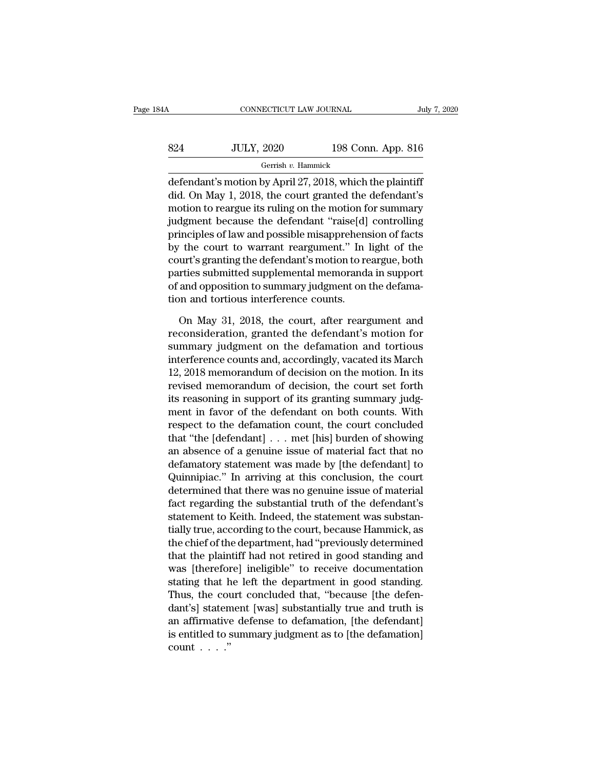# CONNECTICUT LAW JOURNAL July 7, 2020<br>824 JULY, 2020 198 Conn. App. 816<br>Gerrish v. Hammick Gerrish *v.* Hammick

 $\begin{array}{c|l}\n\text{CONRECTICUT LAW JOURNAL} & \text{July 7, 2020} \\
\hline\n\text{6-12} & \text{JULY, 2020} & \text{198 Conn. App. 816} \\
\hline\n\text{6-13} & \text{6-14} & \text{6-15} \\
\hline\n\text{4-14} & \text{4-15} & \text{6-16} \\
\text{4-15} & \text{4-16} & \text{6-16} \\
\text{4-16} & \text{4-16} & \text{6-16} \\
\text{4-17} & \text{4-17} & \text{4$  $\begin{array}{c} \text{324} & \text{JULY, 2020} & \text{198 Conn. App. 816} \\ \text{644} & \text{65} & \text{66} \\ \text{45} & \text{67} & \text{67} \\ \text{464} & \text{67} & \text{67} \\ \text{57} & \text{67} & \text{67} \\ \text{58} & \text{67} & \text{67} \\ \text{67} & \text{67} & \text{67} \\ \text{67} & \text{67} & \text{67} \\ \text{67} & \text{67} & \text{67} \\ \text{67$  $\frac{324}{\text{Gernish } v. \text{ Hammick}}$ <br>  $\frac{198 \text{ Conn. App. 816}}{\text{defendant's motion by April 27, 2018, which the plaintiff} \text{did. On May 1, 2018, the court granted the defendant's motion to reargue its ruling on the motion for summary judgment because the defendant "raise[d] controlling principles of law and possible mismorphism of facts.}$  $\frac{324}{\text{Gerrish } v. \text{ Hammick}}$ <br>
defendant's motion by April 27, 2018, which the plaintiff<br>
did. On May 1, 2018, the court granted the defendant's<br>
motion to reargue its ruling on the motion for summary<br>
judgment because the de Gerrish v. Hammick<br>
defendant's motion by April 27, 2018, which the plaintiff<br>
did. On May 1, 2018, the court granted the defendant's<br>
motion to reargue its ruling on the motion for summary<br>
judgment because the defendant behant's motion by April 27, 2018, which the plaintiff<br>did. On May 1, 2018, the court granted the defendant's<br>motion to reargue its ruling on the motion for summary<br>judgment because the defendant "raise[d] controlling<br>prin defendant's motion by April 27, 2018, which the plaintiff<br>did. On May 1, 2018, the court granted the defendant's<br>motion to reargue its ruling on the motion for summary<br>judgment because the defendant "raise[d] controlling<br>p did. On May 1, 2018, the court granted the defendant's<br>motion to reargue its ruling on the motion for summary<br>judgment because the defendant "raise[d] controlling<br>principles of law and possible misapprehension of facts<br>by motion to reargue its ruling on the motion for summary<br>judgment because the defendant "raise[d] controlling<br>principles of law and possible misapprehension of facts<br>by the court to warrant reargument." In light of the<br>court judgment because the defendant "raise[d]<br>principles of law and possible misapprehens<br>by the court to warrant reargument." In<br>court's granting the defendant's motion to re<br>parties submitted supplemental memoranda<br>of and opp The court to warrant reargument." In light of the<br>urt's granting the defendant's motion to reargue, both<br>rties submitted supplemental memoranda in support<br>and opposition to summary judgment on the defama-<br>n and tortious in court's granting the defendant's motion to reargue, both<br>parties submitted supplemental memoranda in support<br>of and opposition to summary judgment on the defama-<br>tion and tortious interference counts.<br>On May 31, 2018, the

parties submitted supplemental memoranda in support<br>of and opposition to summary judgment on the defama-<br>tion and tortious interference counts.<br>On May 31, 2018, the court, after reargument and<br>reconsideration, granted the of and opposition to summary judgment on the defamation and tortious interference counts.<br>
On May 31, 2018, the court, after reargument and<br>
reconsideration, granted the defendant's motion for<br>
summary judgment on the defa tion and tortious interference counts.<br>
On May 31, 2018, the court, after reargument and<br>
reconsideration, granted the defendant's motion for<br>
summary judgment on the defamation and tortious<br>
interference counts and, accor On May 31, 2018, the court, after reargument and<br>reconsideration, granted the defendant's motion for<br>summary judgment on the defamation and tortious<br>interference counts and, accordingly, vacated its March<br>12, 2018 memorand On May 31, 2018, the court, after reargument and<br>reconsideration, granted the defendant's motion for<br>summary judgment on the defamation and tortious<br>interference counts and, accordingly, vacated its March<br>12, 2018 memorand reconsideration, granted the defendant's motion for<br>summary judgment on the defamation and tortious<br>interference counts and, accordingly, vacated its March<br>12, 2018 memorandum of decision on the motion. In its<br>revised memo summary judgment on the defamation and tortious<br>interference counts and, accordingly, vacated its March<br>12, 2018 memorandum of decision on the motion. In its<br>revised memorandum of decision, the court set forth<br>its reasonin interference counts and, accordingly, vacated its March<br>12, 2018 memorandum of decision on the motion. In its<br>revised memorandum of decision, the court set forth<br>its reasoning in support of its granting summary judg-<br>ment 12, 2018 memorandum of decision on the motion. In its<br>revised memorandum of decision, the court set forth<br>its reasoning in support of its granting summary judg-<br>ment in favor of the defendant on both counts. With<br>respect t revised memorandum of decision, the court set forth<br>its reasoning in support of its granting summary judg-<br>ment in favor of the defendant on both counts. With<br>respect to the defamation count, the court concluded<br>that "the its reasoning in support of its granting summary judg-<br>
ment in favor of the defendant on both counts. With<br>
respect to the defamation count, the court concluded<br>
that "the [defendant] . . . met [his] burden of showing<br>
an ment in favor of the defendant on both counts. With<br>respect to the defamation count, the court concluded<br>that "the [defendant] . . . met [his] burden of showing<br>an absence of a genuine issue of material fact that no<br>defama respect to the defamation count, the court concluded<br>that "the [defendant] . . . met [his] burden of showing<br>an absence of a genuine issue of material fact that no<br>defamatory statement was made by [the defendant] to<br>Quinni that "the [defendant] . . . met [his] burden of showing<br>an absence of a genuine issue of material fact that no<br>defamatory statement was made by [the defendant] to<br>Quinnipiac." In arriving at this conclusion, the court<br>dete an absence of a genuine issue of material fact that no<br>defamatory statement was made by [the defendant] to<br>Quinnipiac." In arriving at this conclusion, the court<br>determined that there was no genuine issue of material<br>fact defamatory statement was made by [the defendant] to<br>Quinnipiac." In arriving at this conclusion, the court<br>determined that there was no genuine issue of material<br>fact regarding the substantial truth of the defendant's<br>stat Quinnipiac." In arriving at this conclusion, the court<br>determined that there was no genuine issue of material<br>fact regarding the substantial truth of the defendant's<br>statement to Keith. Indeed, the statement was substan-<br>t determined that there was no genuine issue of material<br>fact regarding the substantial truth of the defendant's<br>statement to Keith. Indeed, the statement was substan-<br>tially true, according to the court, because Hammick, as fact regarding the substantial truth of the defendant's<br>statement to Keith. Indeed, the statement was substan-<br>tially true, according to the court, because Hammick, as<br>the chief of the department, had "previously determine statement to Keith. Indeed, the statement was substantially true, according to the court, because Hammick, as<br>the chief of the department, had "previously determined<br>that the plaintiff had not retired in good standing and<br> tially true, according to the court, because Hammick, as<br>the chief of the department, had "previously determined<br>that the plaintiff had not retired in good standing and<br>was [therefore] ineligible" to receive documentation<br> the chief of the department, had "previously determined<br>that the plaintiff had not retired in good standing and<br>was [therefore] ineligible" to receive documentation<br>stating that he left the department in good standing.<br>Thu that the plaintiff had not retired in good standing and<br>was [therefore] ineligible" to receive documentation<br>stating that he left the department in good standing.<br>Thus, the court concluded that, "because [the defen-<br>dant' was [therefor<br>stating that h<br>Thus, the coudant's] statem<br>an affirmative<br>is entitled to s<br>count . . . . . "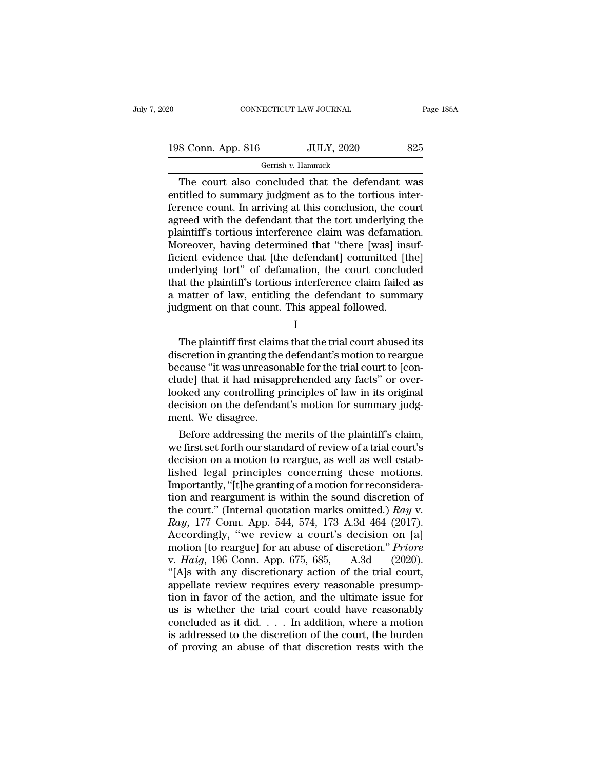| 20                 | CONNECTICUT LAW JOURNAL | Page 185A |
|--------------------|-------------------------|-----------|
| 198 Conn. App. 816 | <b>JULY, 2020</b>       | 825       |
|                    | Gerrish v. Hammick      |           |

CONNECTICUT LAW JOURNAL Page 185A<br>
8 Conn. App. 816 JULY, 2020 825<br>
Gerrish v. Hammick<br>
The court also concluded that the defendant was<br>
titled to summary judgment as to the tortious inter-198 Conn. App. 816 JULY, 2020 825<br>
Gerrish v. Hammick<br>
The court also concluded that the defendant was<br>
entitled to summary judgment as to the tortious inter-<br>
ference count. In arriving at this conclusion, the court<br>
agr 198 Conn. App. 816 JULY, 2020 825<br>
Gerrish v. Hammick<br>
The court also concluded that the defendant was<br>
entitled to summary judgment as to the tortious inter-<br>
ference count. In arriving at this conclusion, the court<br>
agr 198 Conn. App. 816 JULY, 2020 825<br>
Gerrish v. Hammick<br>
The court also concluded that the defendant was<br>
entitled to summary judgment as to the tortious inter-<br>
ference count. In arriving at this conclusion, the court<br>
agr For some replacement of the defendant was<br>
The court also concluded that the defendant was<br>
entitled to summary judgment as to the tortious inter-<br>
ference count. In arriving at this conclusion, the court<br>
agreed with the  $\begin{array}{l} \text{Gerrish } v. \text{ Hammick} \\ \text{The court also concluded that the defendant was entitled to summary judgment as to the tortious interference count. In arriving at this conclusion, the court agreed with the defendant that the tort underlying the plaintiff's tortious interference claim was defamation. Moreover, having determined that "there [was] insufficient evidence that [the defendant] committed [the] underlying tort" of defamation, the court concluded. \end{array}$ The court also concluded that the defendant was<br>entitled to summary judgment as to the tortious inter-<br>ference count. In arriving at this conclusion, the court<br>agreed with the defendant that the tort underlying the<br>plainti entitled to summary judgment as to the tortious inter-<br>ference count. In arriving at this conclusion, the court<br>agreed with the defendant that the tort underlying the<br>plaintiff's tortious interference claim was defamation. ference count. In arriving at this conclusion, the court<br>agreed with the defendant that the tort underlying the<br>plaintiff's tortious interference claim was defamation.<br>Moreover, having determined that "there [was] insuf-<br>f agreed with the defendant that the tort underlying the plaintiff's tortious interference claim was defamation.<br>Moreover, having determined that "there [was] insuf-<br>ficient evidence that [the defendant] committed [the]<br>unde plaintiff's tortious interference claim was defamation.<br>Moreover, having determined that "there [was] insuf-<br>ficient evidence that [the defendant] committed [the]<br>underlying tort" of defamation, the court concluded<br>that th derlying tort" of defamation, the court concluded<br>at the plaintiff's tortious interference claim failed as<br>matter of law, entitling the defendant to summary<br>dgment on that count. This appeal followed.<br>I<br>The plaintiff first

I

that the plaintiff's tortious interference claim failed as<br>a matter of law, entitling the defendant to summary<br>judgment on that count. This appeal followed.<br>I<br>The plaintiff first claims that the trial court abused its<br>disc a matter of law, entitling the defendant to summary<br>judgment on that count. This appeal followed.<br>I<br>The plaintiff first claims that the trial court abused its<br>discretion in granting the defendant's motion to reargue<br>becaus judgment on that count. This appeal followed.<br>
I<br>
The plaintiff first claims that the trial court abused its<br>
discretion in granting the defendant's motion to reargue<br>
because "it was unreasonable for the trial court to [c I<br>
I<br>
The plaintiff first claims that the trial court abused its<br>
discretion in granting the defendant's motion to reargue<br>
because "it was unreasonable for the trial court to [con-<br>
clude] that it had misapprehended any f I<br>The plaintiff first claims that the trial court abused its<br>discretion in granting the defendant's motion to reargue<br>because "it was unreasonable for the trial court to [con-<br>clude] that it had misapprehended any facts" o The plaintiff first claim<br>discretion in granting the<br>because "it was unreasor<br>clude] that it had misap<br>looked any controlling p<br>decision on the defendar<br>ment. We disagree.<br>Before addressing the scretion in granting the defendant s motion to reargue<br>cause "it was unreasonable for the trial court to [con-<br>ide] that it had misapprehended any facts" or over-<br>oked any controlling principles of law in its original<br>cisi because It was unreasonable for the trial court to [conclude] that it had misapprehended any facts" or over-<br>looked any controlling principles of law in its original<br>decision on the defendant's motion for summary judg-<br>men

clude] that it had misapprenended any facts" or over-<br>looked any controlling principles of law in its original<br>decision on the defendant's motion for summary judg-<br>ment. We disagree.<br>Before addressing the merits of the pla looked any controlling principles of law in its original<br>decision on the defendant's motion for summary judg-<br>ment. We disagree.<br>Before addressing the merits of the plaintiff's claim,<br>we first set forth our standard of rev decision on the detendant s motion for summary judgment. We disagree.<br>Before addressing the merits of the plaintiff's claim,<br>we first set forth our standard of review of a trial court's<br>decision on a motion to reargue, as ment. we disagree.<br>
Before addressing the merits of the plaintiff's claim,<br>
we first set forth our standard of review of a trial court's<br>
decision on a motion to reargue, as well as well estab-<br>
lished legal principles co Before addressing the merits of the plaintiff's claim,<br>we first set forth our standard of review of a trial court's<br>decision on a motion to reargue, as well as well estab-<br>lished legal principles concerning these motions.<br> *Ray*, 177 Conn. App. 544, 574, 173 A.3d 464 (2017).<br> *Ray*, 177 Conn. App. 544, 574, 173 A.3d 464 (2017).<br> *Ray*, 177 Conn. App. 544, 574, 173 A.3d 464 (2017).<br> *Ray*, 177 Conn. App. 544, 574, 173 A.3d 464 (2017).<br> *Ray*, decision on a motion to reargue, as well as well established legal principles concerning these motions.<br>Importantly, "[t]he granting of a motion for reconsideration and reargument is within the sound discretion of<br>the cou lished legal principles concerning these motions.<br>Importantly, "[t]he granting of a motion for reconsidera-<br>tion and reargument is within the sound discretion of<br>the court." (Internal quotation marks omitted.) *Ray* v.<br>*Ra* Importantly, "[t]he granting of a motion for reconsideration and reargument is within the sound discretion of<br>the court." (Internal quotation marks omitted.) *Ray* v.<br>*Ray*, 177 Conn. App. 544, 574, 173 A.3d 464 (2017).<br>Ac tion and reargument is within the sound discretion of<br>the court." (Internal quotation marks omitted.)  $Ray$  v.<br> $Ray$ , 177 Conn. App. 544, 574, 173 A.3d 464 (2017).<br>Accordingly, "we review a court's decision on [a]<br>motion [to the court." (Internal quotation marks omitted.)  $Ray$  v.<br>  $Ray$ , 177 Conn. App. 544, 574, 173 A.3d 464 (2017).<br>
Accordingly, "we review a court's decision on [a]<br>
motion [to reargue] for an abuse of discretion." *Priore*<br>
v. Ray, 177 Conn. App. 544, 574, 173 A.3d 464 (2017).<br>Accordingly, "we review a court's decision on [a]<br>motion [to reargue] for an abuse of discretion." *Priore*<br>v. Haig, 196 Conn. App. 675, 685, A.3d (2020).<br>"[A]s with any d Accordingly, "we review a court's decision on [a]<br>motion [to reargue] for an abuse of discretion." *Priore*<br>v. *Haig*, 196 Conn. App. 675, 685, A.3d (2020).<br>"[A]s with any discretionary action of the trial court,<br>appellat motion [to reargue] for an abuse of discretion." *Priore*<br>v. *Haig*, 196 Conn. App. 675, 685, A.3d (2020).<br>"[A]s with any discretionary action of the trial court,<br>appellate review requires every reasonable presump-<br>tion i v. Haig, 196 Conn. App. 675, 685, A.3d (2020).<br>
"[A]s with any discretionary action of the trial court,<br>
appellate review requires every reasonable presumption in favor of the action, and the ultimate issue for<br>
us is whe "[A]s with any discretionary action of the trial court, appellate review requires every reasonable presumption in favor of the action, and the ultimate issue for us is whether the trial court could have reasonably conclud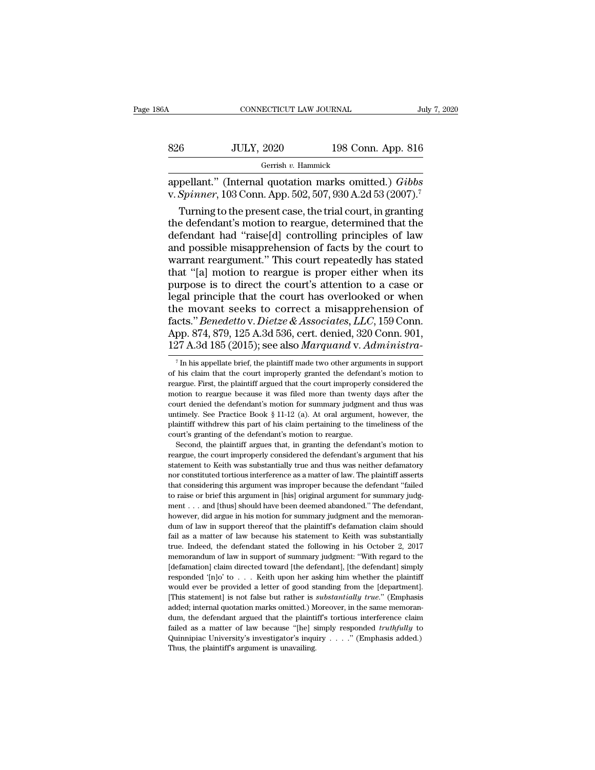|     | CONNECTICUT LAW JOURNAL |                    | July 7, 2020 |
|-----|-------------------------|--------------------|--------------|
|     |                         |                    |              |
| 826 | <b>JULY, 2020</b>       | 198 Conn. App. 816 |              |
|     | Gerrish v. Hammick      |                    |              |

connecticut LAW JOURNAL July 7, 2020<br>
826 JULY, 2020 198 Conn. App. 816<br>
Gerrish v. Hammick<br>
appellant.'' (Internal quotation marks omitted.) *Gibbs*<br>
v. *Spinner*, 103 Conn. App. 502, 507, 930 A.2d 53 (2007).<sup>7</sup> v. *Spinner*, 103 Conn. App. 816<br>
Serrish v. Hammick<br>
appellant." (Internal quotation marks omitted.) *Gibbs*<br>
v. *Spinner*, 103 Conn. App. 502, 507, 930 A.2d 53 (2007).<sup>7</sup><br>
Turning to the present case, the trial court, in

 $\frac{56}{90}$  JULY, 2020 198 Conn. App. 816<br>  $\frac{6}{9}$  Gerrish v. Hammick<br>
pellant." (Internal quotation marks omitted.) *Gibbs*<br> *Spinner*, 103 Conn. App. 502, 507, 930 A.2d 53 (2007).<sup>7</sup><br>
Turning to the present case, the 826 JULY, 2020 198 Conn. App. 816<br>
Gerrish v. Hammick<br>
appellant." (Internal quotation marks omitted.) *Gibbs*<br>
v. *Spinner*, 103 Conn. App. 502, 507, 930 A.2d 53 (2007).<sup>7</sup><br>
Turning to the present case, the trial court, Gerrish v. Hammick<br>
appellant." (Internal quotation marks omitted.) *Gibbs*<br>
v. *Spinner*, 103 Conn. App. 502, 507, 930 A.2d 53 (2007).<sup>7</sup><br>
Turning to the present case, the trial court, in granting<br>
the defendant's motion appellant." (Internal quotation marks omitted.)  $Gibbs$ <br>v.  $Spinner$ , 103 Conn. App. 502, 507, 930 A.2d 53 (2007).<sup>7</sup><br>Turning to the present case, the trial court, in granting<br>the defendant's motion to reargue, determined that t appellant." (Internal quotation marks omitted.)  $Gibbs$ <br>v. Spinner, 103 Conn. App. 502, 507, 930 A.2d 53 (2007).<sup>7</sup><br>Turning to the present case, the trial court, in granting<br>the defendant's motion to reargue, determined tha v. Spinner, 103 Conn. App. 502, 507, 930 A.2d 53 (2007).<br>
Turning to the present case, the trial court, in granting<br>
the defendant's motion to reargue, determined that the<br>
defendant had "raise[d] controlling principles of Turning to the present case, the trial court, in granting<br>the defendant's motion to reargue, determined that the<br>defendant had "raise[d] controlling principles of law<br>and possible misapprehension of facts by the court to<br>w the defendant's motion to reargue, determined that the defendant had "raise[d] controlling principles of law<br>and possible misapprehension of facts by the court to<br>warrant reargument." This court repeatedly has stated<br>that defendant had "raise[d] controlling principles of law<br>and possible misapprehension of facts by the court to<br>warrant reargument." This court repeatedly has stated<br>that "[a] motion to reargue is proper either when its<br>purpos and possible misapprehension of facts by the court to<br>warrant reargument." This court repeatedly has stated<br>that "[a] motion to reargue is proper either when its<br>purpose is to direct the court's attention to a case or<br>lega warrant reargument." This court repeatedly has stated<br>that "[a] motion to reargue is proper either when its<br>purpose is to direct the court's attention to a case or<br>legal principle that the court has overlooked or when<br>the warrant reargument." This court repeatedly has stated<br>that "[a] motion to reargue is proper either when its<br>purpose is to direct the court's attention to a case or<br>legal principle that the court has overlooked or when<br>the ne movant seeks to correct a misapprehension of ccts." *Benedetto* v. *Dietze* & *Associates, LLC*, 159 Conn. pp. 874, 879, 125 A.3d 536, cert. denied, 320 Conn. 901, 27 A.3d 185 (2015); see also *Marquand* v. *Administra* facts." *Benedetto* v. *Dietze* & *Associates, LLC*, 159 Conn.<br>App. 874, 879, 125 A.3d 536, cert. denied, 320 Conn. 901,<br>127 A.3d 185 (2015); see also *Marquand* v. *Administra*<sup>7</sup><br><sup>7</sup> In his appellate brief, the plaintif

App. 874, 879, 125 A.3d 536, cert. denied, 320 Conn. 901, 127 A.3d 185 (2015); see also *Marquand* v. *Administra*<sup>7</sup> In his appellate brief, the plaintiff made two other arguments in support of his claim that the court i motion to reargue because it was filed more than twenty days after the court denied, but after the plaintiff made two other arguments in support of his claim that the court improperly granted the defendant's motion to rea 127 A.30 169 (2019); see also *marquana* v. *Aamuntstra*—<br><sup>7</sup> In his appellate brief, the plaintiff made two other arguments in support of his claim that the court improperly granted the defendant's motion to reargue. Fir <sup>7</sup> In his appellate brief, the plaintiff made two other arguments in support of his claim that the court improperly granted the defendant's motion to reargue. First, the plaintiff argued that the court improperly conside of his claim that the court improperly granted the defendant's motion to reargue. First, the plaintiff argued that the court improperly considered the motion to reargue because it was filed more than twenty days after the reargue. First, the plaintiff argued that the court improperly considered the motion to reargue because it was filed more than twenty days after the court denied the defendant's motion for summary judgment and thus was un Example because it was filed more than twenty days after the uurt denied the defendant's motion for summary judgment and thus was timely. See Practice Book § 11-12 (a). At oral argument, however, the aintiff withdrew this recourt denied the defendant's motion for summary judgment and thus was untimely. See Practice Book  $\S 11-12$  (a). At oral argument, however, the plaintiff withdrew this part of his claim pertaining to the timeliness of t

untimely. See Practice Book § 11-12 (a). At oral argument, however, the plaintiff withdrew this part of his claim pertaining to the timeliness of the court's granting of the defendant's motion to reargue. Second, the plai plaintiff withdrew this part of his claim pertaining to the timeliness of the court's granting of the defendant's motion to reargue.<br>Second, the plaintiff argues that, in granting the defendant's motion to reargue, the cou From the plaintiff argues that, in granting the defendant's motion to reargue.<br>Second, the plaintiff argues that, in granting the defendant's motion to reargue, the court improperly considered the defendant's argument that Second, the plaintiff argues that, in granting the defendant's motion to reargue, the court improperly considered the defendant's argument that his statement to Keith was substantially true and thus was neither defamatory reargue, the court improperly considered the defendant's argument that his statement to Keith was substantially true and thus was neither defamatory nor constituted tortious interference as a matter of law. The plaintiff a boundary in the Vietnian substantially true and thus was neither defamatory<br>hor constituted tortious interference as a matter of law. The plaintiff asserts<br>that considering this argument was improper because the defendant not constituted tortious interference as a matter of law. The plaintiff assets that considering this argument was improper because the defendant "failed to raise or brief this argument in [his] original argument for summar fail as a matter of law because his statement to Teichlam and that considering this argument was improper because the defendant "failed to raise or brief this argument in [his] original argument for summary judgment . . . to raise or brief this argument in [his] original argument for summary judgment . . . and [thus] should have been deemed abandoned." The defendant, however, did argue in his motion for summary judgment and the memorandum ment . . . and [thus] should have been deemed abandoned." The defendant, however, did argue in his motion for summary judgment and the memorandum of law in support thereof that the plaintiff's defamation claim should fail However, did argue in his motion for summary judgment and the memorandum of law in support thereof that the plaintiff's defamation claim should fail as a matter of law because his statement to Keith was substantially true responded 'flow in support thereof that the plaintiff's defamation claim should fail as a matter of law because his statement to Keith was substantially true. Indeed, the defendant stated the following in his October 2, 20 fail as a matter of law because his statement to Keith was substantially true. Indeed, the defendant stated the following in his October 2, 2017 memorandum of law in support of summary judgment: "With regard to the [defam frue. Indeed, the defendant stated the following in his October 2, 2017<br>memorandum of law in support of summary judgment: "With regard to the<br>[defamation] claim directed toward [the defendant], [the defendant] simply<br>resp memorandum of law in support of summary judgment: "With regard to the [defamation] claim directed toward [the defendant], [the defendant] simply responded '[n]o' to . . . Keith upon her asking him whether the plaintiff wo [defamation] claim directed toward [the defendant], [the defendant] simply responded '[n]o' to . . . Keith upon her asking him whether the plaintiff would ever be provided a letter of good standing from the [department]. failed as a matter of law because "[he] simply, we determine the plaintiff would ever be provided a letter of good standing from the [department]. [This statement] is not false but rather is *substantially true.*" (Emphas would ever be provided a letter of good standing from the [department]. [This statement] is not false but rather is *substantially true.*" (Emphasis added; internal quotation marks omitted.) Moreover, in the same memorand [This statement] is not false but rather is *substantially true.*" (Emphasis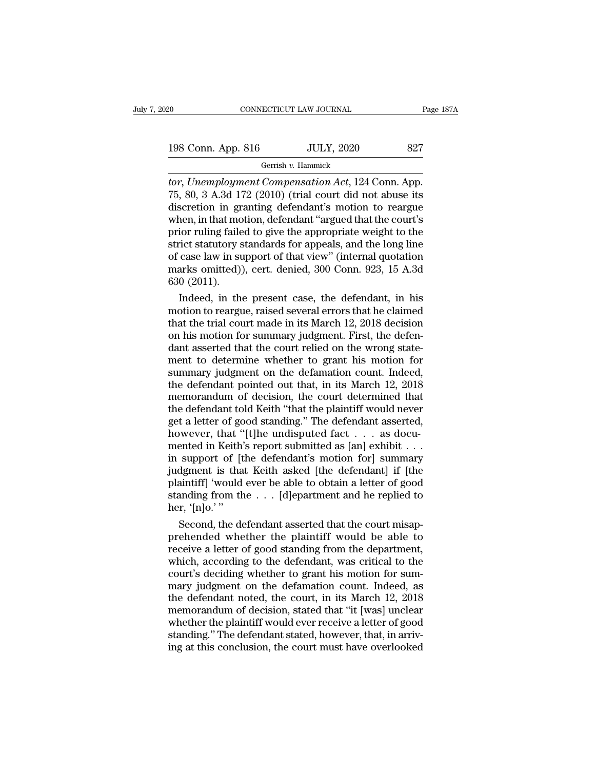EXECUTE 2000 CONNECTICUT LAW JOURNAL Page 187A<br>198 Conn. App. 816 JULY, 2020 827<br>Gerrish v. Hammick

Gerrish *v.* Hammick

<sup>20</sup> CONNECTICUT LAW JOURNAL Page 18<br> **198 Conn. App. 816** JULY, 2020 827<br>
<sup>Gerrish v. Hammick<br> *tor, Unemployment Compensation Act*, 124 Conn. App.<br>
75, 80, 3 A.3d 172 (2010) (trial court did not abuse its<br>
discretion in </sup> 198 Conn. App. 816 JULY, 2020 827<br>
Gerrish v. Hammick<br>
for, Unemployment Compensation Act, 124 Conn. App.<br>
75, 80, 3 A.3d 172 (2010) (trial court did not abuse its<br>
discretion in granting defendant's motion to reargue<br>
wh 198 Conn. App. 816 JULY, 2020 827<br>
Gerrish v. Hammick<br>
tor, Unemployment Compensation Act, 124 Conn. App.<br>
75, 80, 3 A.3d 172 (2010) (trial court did not abuse its<br>
discretion in granting defendant's motion to reargue<br>
wh 198 Conn. App. 816 JULY, 2020 827<br>
Gerrish v. Hammick<br>
for, Unemployment Compensation Act, 124 Conn. App.<br>
75, 80, 3 A.3d 172 (2010) (trial court did not abuse its<br>
discretion in granting defendant's motion to reargue<br>
wh For Collai, 14pp. 010<br>
Cerrish v. Hammick<br>
for, Unemployment Compensation Act, 124 Conn. App.<br>
75, 80, 3 A.3d 172 (2010) (trial court did not abuse its<br>
discretion in granting defendant's motion to reargue<br>
when, in that Gerrish v. Hammick<br>tor, Unemployment Compensation Act, 124 Conn. App.<br>75, 80, 3 A.3d 172 (2010) (trial court did not abuse its<br>discretion in granting defendant's motion to reargue<br>when, in that motion, defendant "argued t tor, Unemployment Compensation Act, 124 Conn. App.<br>75, 80, 3 A.3d 172 (2010) (trial court did not abuse its<br>discretion in granting defendant's motion to reargue<br>when, in that motion, defendant "argued that the court's<br>prio 75, 80, 3 A.3d 172 (2010) (trial court did not abuse its<br>discretion in granting defendant's motion to reargue<br>when, in that motion, defendant "argued that the court's<br>prior ruling failed to give the appropriate weight to t discretion in gr.<br>when, in that mo<br>prior ruling faile<br>strict statutory s<br>of case law in su<br>marks omitted))<br>630 (2011).<br>Indeed, in the nen, in that motion, defendant "argued that the court's<br>ior ruling failed to give the appropriate weight to the<br>rict statutory standards for appeals, and the long line<br>case law in support of that view" (internal quotation<br> prior ruling failed to give the appropriate weight to the<br>strict statutory standards for appeals, and the long line<br>of case law in support of that view" (internal quotation<br>marks omitted)), cert. denied, 300 Conn. 923, 15

strict statutory standards for appeals, and the long line<br>of case law in support of that view" (internal quotation<br>marks omitted)), cert. denied, 300 Conn. 923, 15 A.3d<br>630 (2011).<br>Indeed, in the present case, the defendan of case law in support of that view" (internal quotation<br>marks omitted)), cert. denied, 300 Conn. 923, 15 A.3d<br>630 (2011).<br>Indeed, in the present case, the defendant, in his<br>motion to reargue, raised several errors that he marks omitted)), cert. denied, 300 Conn. 923, 15 A.3d<br>630 (2011).<br>Indeed, in the present case, the defendant, in his<br>motion to reargue, raised several errors that he claimed<br>that the trial court made in its March 12, 2018 630 (2011).<br>Indeed, in the present case, the defendant, in his<br>motion to reargue, raised several errors that he claimed<br>that the trial court made in its March 12, 2018 decision<br>on his motion for summary judgment. First, t Indeed, in the present case, the defendant, in his<br>motion to reargue, raised several errors that he claimed<br>that the trial court made in its March 12, 2018 decision<br>on his motion for summary judgment. First, the defen-<br>dan motion to reargue, raised several errors that he claimed<br>that the trial court made in its March 12, 2018 decision<br>on his motion for summary judgment. First, the defen-<br>dant asserted that the court relied on the wrong state that the trial court made in its March 12, 2018 decision<br>on his motion for summary judgment. First, the defen-<br>dant asserted that the court relied on the wrong state-<br>ment to determine whether to grant his motion for<br>summa on his motion for summary judgment. First, the defendant asserted that the court relied on the wrong statement to determine whether to grant his motion for summary judgment on the defamation count. Indeed, the defendant po dant asserted that the court relied on the wrong statement to determine whether to grant his motion for summary judgment on the defamation count. Indeed, the defendant pointed out that, in its March 12, 2018 memorandum of ment to determine whether to grant his motion for<br>summary judgment on the defamation count. Indeed<br>the defendant pointed out that, in its March 12, 2018<br>memorandum of decision, the court determined tha<br>the defendant told K summary judgment on the defamation count. Indeed,<br>the defendant pointed out that, in its March 12, 2018<br>memorandum of decision, the court determined that<br>the defendant told Keith "that the plaintiff would never<br>get a lette the defendant pointed out that, in its March 12, 2018<br>memorandum of decision, the court determined that<br>the defendant told Keith "that the plaintiff would never<br>get a letter of good standing." The defendant asserted,<br>howe memorandum of decision, the court determined that<br>the defendant told Keith "that the plaintiff would never<br>get a letter of good standing." The defendant asserted,<br>however, that "[t]he undisputed fact . . . as docu-<br>mented the defendant told Keith "that the plaintiff would never<br>get a letter of good standing." The defendant asserted,<br>however, that "[t]he undisputed fact . . . as docu-<br>mented in Keith's report submitted as [an] exhibit . . .<br> get a letter of good standing." The defendant asserted,<br>however, that "[t]he undisputed fact . . . as docu-<br>mented in Keith's report submitted as [an] exhibit . . .<br>in support of [the defendant's motion for] summary<br>judgme however, that "<br>mented in Keith'<br>in support of [t<br>judgment is tha<br>plaintiff] 'would<br>standing from th<br>her, '[n]o.' "<br>Second, the de ented in Keith's report submitted as [an] exhibit . . . support of [the defendant's motion for] summary<br>dgment is that Keith asked [the defendant] if [the<br>aintiff] 'would ever be able to obtain a letter of good<br>anding fro in support of [the defendant's motion for] summary<br>judgment is that Keith asked [the defendant] if [the<br>plaintiff] 'would ever be able to obtain a letter of good<br>standing from the  $\dots$  [d]epartment and he replied to<br>her,

fudgment is that Keith asked [the defendant] if [the<br>plaintiff] 'would ever be able to obtain a letter of good<br>standing from the  $\dots$  [d]epartment and he replied to<br>her, '[n]o.'"<br>Second, the defendant asserted that the co plaintiff] 'would ever be able to obtain a letter of good<br>standing from the . . . [d]epartment and he replied to<br>her, '[n]o.' "<br>Second, the defendant asserted that the court misap-<br>prehended whether the plaintiff would be standing from the  $\ldots$  [d]epartment and he replied to<br>her, '[n]o.' "<br>Second, the defendant asserted that the court misap-<br>prehended whether the plaintiff would be able to<br>receive a letter of good standing from the depart her, '[n]o.'"<br>Second, the defendant asserted that the court misap-<br>prehended whether the plaintiff would be able to<br>receive a letter of good standing from the department,<br>which, according to the defendant, was critical to Second, the defendant asserted that the court misap-<br>prehended whether the plaintiff would be able to<br>receive a letter of good standing from the department,<br>which, according to the defendant, was critical to the<br>court's de prehended whether the plaintiff would be able to<br>receive a letter of good standing from the department,<br>which, according to the defendant, was critical to the<br>court's deciding whether to grant his motion for sum-<br>mary judg receive a letter of good standing from the department,<br>which, according to the defendant, was critical to the<br>court's deciding whether to grant his motion for sum-<br>mary judgment on the defamation count. Indeed, as<br>the defe which, according to the defendant, was critical to the court's deciding whether to grant his motion for summary judgment on the defamation count. Indeed, as the defendant noted, the court, in its March 12, 2018 memorandum court's deciding whether to grant his motion for summary judgment on the defamation count. Indeed, as the defendant noted, the court, in its March 12, 2018 memorandum of decision, stated that "it [was] unclear whether the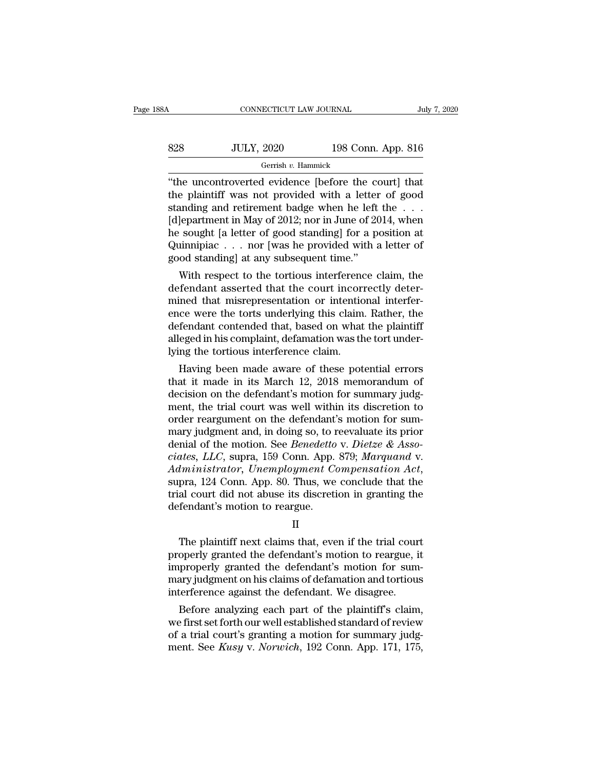# <sup>828</sup> JULY, 2020 198 Conn. App. 816 Gerrish *v.* Hammick

CONNECTICUT LAW JOURNAL July 7, 2020<br>  $328$  JULY, 2020 198 Conn. App. 816<br>
Gerrish v. Hammick<br>
The uncontroverted evidence [before the court] that<br>
the plaintiff was not provided with a letter of good<br>
standing and retire 828 JULY, 2020 198 Conn. App. 816<br>
Gerrish v. Hammick<br>
"the uncontroverted evidence [before the court] that<br>
the plaintiff was not provided with a letter of good<br>
standing and retirement badge when he left the ...<br>
Idloga S28 JULY, 2020 198 Conn. App. 816<br>
Gerrish v. Hammick<br>
"the uncontroverted evidence [before the court] that<br>
the plaintiff was not provided with a letter of good<br>
standing and retirement badge when he left the . . .<br>
[d]e Sex JULY, 2020 198 Conn. App. 816<br>
Gerrish v. Hammick<br>
"the uncontroverted evidence [before the court] that<br>
the plaintiff was not provided with a letter of good<br>
standing and retirement badge when he left the . . .<br>
[d]e For a letter of good standing] of a letter of good standing and retirement badge when he left the  $\ldots$  (d) lepartment in May of 2012; nor in June of 2014, when he sought [a letter of good standing] for a position at Quin Gerrish v. Hammick<br>
"the uncontroverted evidence [before the court] that<br>
the plaintiff was not provided with a letter of good<br>
standing and retirement badge when he left the . . .<br>
[d]epartment in May of 2012; nor in Jun "the uncontroverted evidence [before the c<br>the plaintiff was not provided with a letter<br>standing and retirement badge when he left<br>[d]epartment in May of 2012; nor in June of 20<br>he sought [a letter of good standing] for a e plaintiff was not provided with a letter of good<br>anding and retirement badge when he left the . . .<br>lepartment in May of 2012; nor in June of 2014, when<br>sought [a letter of good standing] for a position at<br>inimipiac . . standing and retirement badge when he left the  $\cdot \cdot \cdot$  [d]epartment in May of 2012; nor in June of 2014, when<br>he sought [a letter of good standing] for a position at<br>Quinnipiac  $\cdot \cdot \cdot$  nor [was he provided with a letter

partitient in may of 2012; nor in Julie of 2014, when<br>he sought [a letter of good standing] for a position at<br>Quinnipiac . . . nor [was he provided with a letter of<br>good standing] at any subsequent time."<br>With respect to t reading solution at Quinnipiac . . . nor [was he provided with a letter of good standing] at any subsequent time."<br>With respect to the tortious interference claim, the defendant asserted that the court incorrectly deter-<br>m  $Q$ uniniplac  $\ldots$  for [was ite provided with a letter of good standing] at any subsequent time."<br>With respect to the tortious interference claim, the defendant asserted that the court incorrectly deter-<br>mined that misrep good standing at any subsequent time.<br>With respect to the tortious interference claim, the<br>defendant asserted that the court incorrectly deter-<br>mined that misrepresentation or intentional interfer-<br>ence were the torts unde With respect to the tortious interference defendant asserted that the court incorn<br>mined that misrepresentation or intentio<br>ence were the torts underlying this claim<br>defendant contended that, based on what<br>alleged in his c Frendant asserted that the court incorrectly deter-<br>ined that misrepresentation or intentional interfer-<br>ce were the torts underlying this claim. Rather, the<br>fendant contended that, based on what the plaintiff<br>reged in his mined that misrepresentation or intentional interference were the torts underlying this claim. Rather, the defendant contended that, based on what the plaintiff alleged in his complaint, defamation was the tort underlying

ence were the torts underlying this claim. Kather, the<br>defendant contended that, based on what the plaintiff<br>alleged in his complaint, defamation was the tort under-<br>lying the tortious interference claim.<br>Having been made defendant contended that, based on what the plantifical<br>alleged in his complaint, defamation was the tort under-<br>lying the tortious interference claim.<br>Having been made aware of these potential errors<br>that it made in its M alleged in his complaint, detaination was the tort under-<br>lying the tortious interference claim.<br>Having been made aware of these potential errors<br>that it made in its March 12, 2018 memorandum of<br>decision on the defendant' Having been made aware of these potential errors<br>that it made in its March 12, 2018 memorandum of<br>decision on the defendant's motion for summary judg-<br>ment, the trial court was well within its discretion to<br>order reargume Having been made aware of these potential errors<br>that it made in its March 12, 2018 memorandum of<br>decision on the defendant's motion for summary judg-<br>ment, the trial court was well within its discretion to<br>order reargumen that it made in its March 12, 2018 memorandum of<br>decision on the defendant's motion for summary judg-<br>ment, the trial court was well within its discretion to<br>order reargument on the defendant's motion for sum-<br>mary judgmen decision on the defendant's motion for summary judgment, the trial court was well within its discretion to order reargument on the defendant's motion for summary judgment and, in doing so, to reevaluate its prior denial of order reargument on the defendant's motion for summary judgment and, in doing so, to reevaluate its prior<br>denial of the motion. See *Benedetto* v. *Dietze & Asso-*<br>ciates, LLC, supra, 159 Conn. App. 879; *Marquand* v.<br>Adm mary judgment and, in doing so, to reargue denial of the motion. See *Benedetto*<br>ciates, LLC, supra, 159 Conn. App.<br>Administrator, Unemployment Co<br>supra, 124 Conn. App. 80. Thus, we<br>trial court did not abuse its discreti<br>d *Uninistrator, Unemployment Compensation Act,*<br>pra, 124 Conn. App. 80. Thus, we conclude that the<br>al court did not abuse its discretion in granting the<br>fendant's motion to reargue.<br>II<br>The plaintiff next claims that, even i

## II

supra, 124 Conn. App. 80. Thus, we conclude that the<br>trial court did not abuse its discretion in granting the<br>defendant's motion to reargue.<br>II<br>The plaintiff next claims that, even if the trial court<br>properly granted the d trial court did not abuse its discretion in granting the<br>defendant's motion to reargue.<br>II<br>The plaintiff next claims that, even if the trial court<br>properly granted the defendant's motion to reargue, it<br>improperly granted t defendant's motion to reargue.<br>
II<br>
The plaintiff next claims that, even if the trial court<br>
properly granted the defendant's motion to reargue, it<br>
improperly granted the defendant's motion for sum-<br>
mary judgment on his II<br>II<br>The plaintiff next claims that, even if the trial cour<br>properly granted the defendant's motion to reargue, i<br>improperly granted the defendant's motion for sum<br>mary judgment on his claims of defamation and tortious<br>in The plaintiff next claims that, even if the trial court<br>operly granted the defendant's motion to reargue, it<br>properly granted the defendant's motion for sum-<br>ary judgment on his claims of defamation and tortious<br>terference The plaintiff next claims that, even if the trial court<br>properly granted the defendant's motion to reargue, it<br>improperly granted the defendant's motion for sum-<br>mary judgment on his claims of defamation and tortious<br>inte

properly granted the defendant's motion to reargue, it<br>improperly granted the defendant's motion for sum-<br>mary judgment on his claims of defamation and tortious<br>interference against the defendant. We disagree.<br>Before analy miproperly granted the detendant s motion for sum-<br>mary judgment on his claims of defamation and tortious<br>interference against the defendant. We disagree.<br>Before analyzing each part of the plaintiff's claim,<br>we first set f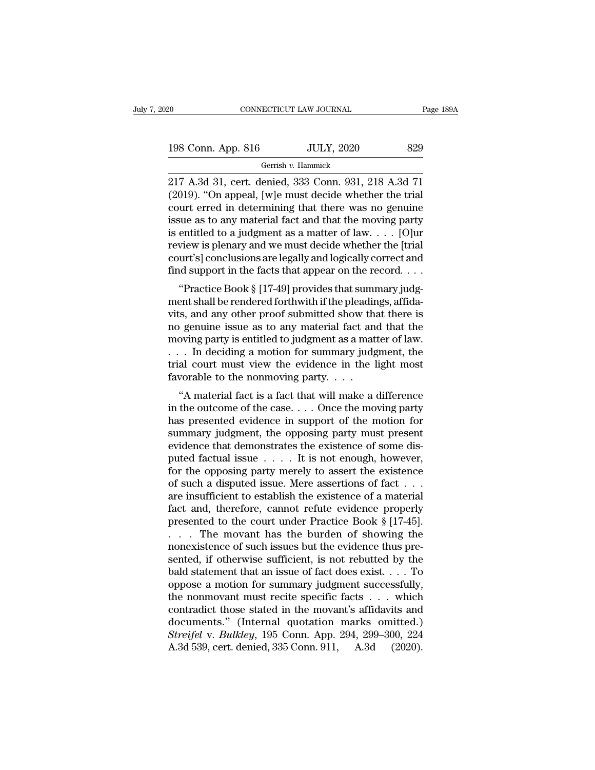| 20                 | CONNECTICUT LAW JOURNAL | Page 189A |  |
|--------------------|-------------------------|-----------|--|
|                    |                         |           |  |
| 198 Conn. App. 816 | <b>JULY, 2020</b>       | 829       |  |
|                    | Gerrish v. Hammick      |           |  |

20<br>
20 CONNECTICUT LAW JOURNAL Page 189A<br>
217 A.3d 31, cert. denied, 333 Conn. 931, 218 A.3d 71<br>
2019). "On appeal, [w]e must decide whether the trial<br>
2019). "On appeal, [w]e must decide whether the trial 198 Conn. App. 816 JULY, 2020 829<br>
Gerrish v. Hammick<br>
217 A.3d 31, cert. denied, 333 Conn. 931, 218 A.3d 71<br>
(2019). "On appeal, [w]e must decide whether the trial<br>
court erred in determining that there was no genuine<br>
i 198 Conn. App. 816 JULY, 2020 829<br>
Gerrish v. Hammick<br>
217 A.3d 31, cert. denied, 333 Conn. 931, 218 A.3d 71<br>
(2019). "On appeal, [w]e must decide whether the trial<br>
court erred in determining that there was no genuine<br>
i 198 Conn. App. 816 JULY, 2020 829<br>
Gerrish v. Hammick<br>
217 A.3d 31, cert. denied, 333 Conn. 931, 218 A.3d 71<br>
(2019). "On appeal, [w]e must decide whether the trial<br>
court erred in determining that there was no genuine<br>
i Gerrish v. Hammick<br>
217 A.3d 31, cert. denied, 333 Conn. 931, 218 A.3d 71<br>
(2019). "On appeal, [w]e must decide whether the trial<br>
court erred in determining that there was no genuine<br>
issue as to any material fact and th Gerrish v. Hammick<br>
217 A.3d 31, cert. denied, 333 Conn. 931, 218 A.3d 71<br>
(2019). "On appeal, [w]e must decide whether the trial<br>
court erred in determining that there was no genuine<br>
issue as to any material fact and th 217 A.3d 31, cert. denied, 333 Conn. 931, 218 A.3d 71 (2019). "On appeal, [w]e must decide whether the trial court erred in determining that there was no genuine issue as to any material fact and that the moving party is (2019). "On appeal, [w]e must decide whether the trial court erred in determining that there was no genuine issue as to any material fact and that the moving party is entitled to a judgment as a matter of law. . . . [O]ur Unit effect in determining that there was no genuine<br>sue as to any material fact and that the moving party<br>entitled to a judgment as a matter of law.  $\ldots$  [O]ur<br>view is plenary and we must decide whether the [trial<br>urt's ment shall be rendered forthwith if the pleadings, affida-<br>ment shall be rendered for the plenary and we must decide whether the [trial<br>court's] conclusions are legally and logically correct and<br>find support in the facts

is entitied to a judgment as a matter of law.  $\ldots$  [O] or review is plenary and we must decide whether the [trial court's] conclusions are legally and logically correct and find support in the facts that appear on the re no genuine is perfected to the model of the court's conclusions are legally and logically correct and find support in the facts that appear on the record. . . .<br>
"Practice Book § [17-49] provides that summary judgment shal find support in the facts that appear on the record. . . .<br>
"Practice Book § [17-49] provides that summary judgment shall be rendered forthwith if the pleadings, affidavits, and any other proof submitted show that there i . . . In deciding a motion for summary judgment, the "Practice Book § [17-49] provides that summary judgment shall be rendered forthwith if the pleadings, affidavits, and any other proof submitted show that there is no genuine issue as to any material fact and that the movi ment shall be rendered forthwith if the pleadir<br>vits, and any other proof submitted show tha<br>no genuine issue as to any material fact an<br>moving party is entitled to judgment as a mat<br> $\dots$  In deciding a motion for summary S, and any other proof subfidited show that there is<br>
by genuine issue as to any material fact and that the<br>
oving party is entitled to judgment as a matter of law.<br>
In deciding a motion for summary judgment, the<br>
al cour In the moving party is entitled to judgment as a matter of law.<br>  $\dots$  In deciding a motion for summary judgment, the<br>
trial court must view the evidence in the light most<br>
favorable to the nonmoving party.<br>
"A material fa

hoving party is entitled to judgment as a matter of law.<br>  $\dots$  In deciding a motion for summary judgment, the<br>
trial court must view the evidence in the light most<br>
favorable to the nonmoving party.<br>
"A material fact is a summary judgment, the<br>trial court must view the evidence in the light most<br>favorable to the nonmoving party....<br>"A material fact is a fact that will make a difference<br>in the outcome of the case.... Once the moving party<br>h favorable to the nonmoving party.  $\ldots$ <br>
"A material fact is a fact that will make a difference<br>
in the outcome of the case.  $\ldots$  Once the moving party<br>
has presented evidence in support of the motion for<br>
summary judgme From the outcome of the flotth<br>
"A material fact is a fact that will make a difference<br>
in the outcome of the case.... Once the moving party<br>
has presented evidence in support of the motion for<br>
summary judgment, the oppo "A material fact is a fact that will make a difference<br>in the outcome of the case.... Once the moving party<br>has presented evidence in support of the motion for<br>summary judgment, the opposing party must present<br>evidence th in the outcome of the case. . . . Once the moving party<br>has presented evidence in support of the motion for<br>summary judgment, the opposing party must present<br>evidence that demonstrates the existence of some dis-<br>puted fac has presented evidence in support of the motion for<br>summary judgment, the opposing party must present<br>evidence that demonstrates the existence of some dis-<br>puted factual issue  $\dots$  It is not enough, however,<br>for the oppos summary judgment, the opposing party must present<br>evidence that demonstrates the existence of some dis-<br>puted factual issue  $\dots$  . It is not enough, however,<br>for the opposing party merely to assert the existence<br>of such a evidence that demonstrates the existence of some dis-<br>puted factual issue  $\dots$  It is not enough, however,<br>for the opposing party merely to assert the existence<br>of such a disputed issue. Mere assertions of fact  $\dots$ <br>are in puted factual issue  $\dots$  . It is not enough, however,<br>for the opposing party merely to assert the existence<br>of such a disputed issue. Mere assertions of fact  $\dots$ <br>are insufficient to establish the existence of a material<br> for the opposing party merely to assert the existence<br>of such a disputed issue. Mere assertions of fact . . .<br>are insufficient to establish the existence of a material<br>fact and, therefore, cannot refute evidence properly<br> % of such a disputed issue. Mere assertions of fact  $\dots$  are insufficient to establish the existence of a material fact and, therefore, cannot refute evidence properly presented to the court under Practice Book § [17-45]. are insufficient to establish the existence of a material<br>fact and, therefore, cannot refute evidence properly<br>presented to the court under Practice Book § [17-45].<br>. . . . The movant has the burden of showing the<br>nonexist fact and, therefore, cannot refute evidence properly<br>presented to the court under Practice Book § [17-45].<br>... The movant has the burden of showing the<br>nonexistence of such issues but the evidence thus pre-<br>sented, if oth presented to the court under Practice Book  $\S$  [17-45].<br>
. . . . The movant has the burden of showing the<br>
nonexistence of such issues but the evidence thus pre-<br>
sented, if otherwise sufficient, is not rebutted by the<br>
b ... The movant has the burden of showing the<br>nonexistence of such issues but the evidence thus pre-<br>sented, if otherwise sufficient, is not rebutted by the<br>bald statement that an issue of fact does exist.... To<br>oppose a m nonexistence of such issues but the evidence thus pre-<br>sented, if otherwise sufficient, is not rebutted by the<br>bald statement that an issue of fact does exist.... To<br>oppose a motion for summary judgment successfully,<br>the sented, if otherwise sufficient, is not rebutted by the bald statement that an issue of fact does exist. . . . To oppose a motion for summary judgment successfully, the nonmovant must recite specific facts . . . which cont bald statement that an issue of fact does exist. . . . To<br>oppose a motion for summary judgment successfully,<br>the nonmovant must recite specific facts . . . which<br>contradict those stated in the movant's affidavits and<br>docu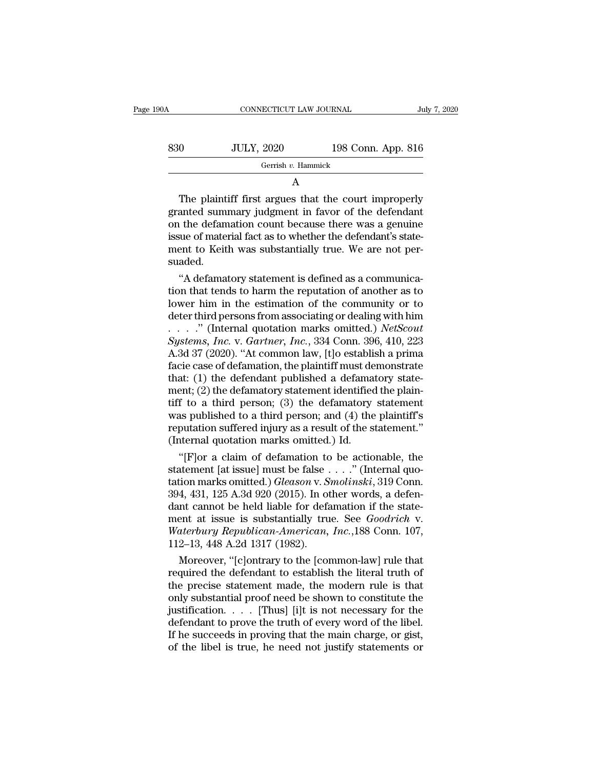| 190A | CONNECTICUT LAW JOURNAL |                    | July 7, 2020 |
|------|-------------------------|--------------------|--------------|
| 830  | <b>JULY, 2020</b>       | 198 Conn. App. 816 |              |
|      | Gerrish $v$ . Hammick   |                    |              |
|      | А                       |                    |              |

granted summary judgment in favor of the defendant<br>
issue of material fact as to whether the defendant<br>  $\frac{1}{2}$ <br>  $\frac{1}{2}$ <br>  $\frac{1}{2}$ <br>
The plaintiff first argues that the court improperly<br>
granted summary judgment in fa Saah Sullah, 2020 198 Conn. App. 816<br>
Gerrish v. Hammick<br>
A<br>
The plaintiff first argues that the court improperly<br>
granted summary judgment in favor of the defendant<br>
on the defamation count because there was a genuine<br>
i Gerrish  $v$ . Hammick<br>
A<br>
The plaintiff first argues that the court improperly<br>
granted summary judgment in favor of the defendant<br>
on the defamation count because there was a genuine<br>
issue of material fact as to whether A<br>
The plaintiff first argues that the court improperly<br>
granted summary judgment in favor of the defendant<br>
on the defamation count because there was a genuine<br>
issue of material fact as to whether the defendant's state-<br> suaded. The plaintiff first argues that the court improperly<br>granted summary judgment in favor of the defendant<br>on the defamation count because there was a genuine<br>issue of material fact as to whether the defendant's state-<br>ment t granted summary judgment in favor of the defendant<br>on the defamation count because there was a genuine<br>issue of material fact as to whether the defendant's state-<br>ment to Keith was substantially true. We are not per-<br>suade

on the defamation count because there was a genuine<br>issue of material fact as to whether the defendant's state-<br>ment to Keith was substantially true. We are not per-<br>suaded.<br>"A defamatory statement is defined as a communi determinds from associating the set of material rate are not per-<br>suaded.<br>"A defamatory statement is defined as a communication that tends to harm the reputation of another as to<br>lower him in the estimation of the communi ment to Keith was substantially true. We are not per-<br>suaded.<br>"A defamatory statement is defined as a communica-<br>tion that tends to harm the reputation of another as to<br>lower him in the estimation of the community or to<br>de suaded.<br>
"A defamatory statement is defined as a communication that tends to harm the reputation of another as to<br>
lower him in the estimation of the community or to<br>
deter third persons from associating or dealing with hi "A defamatory statement is defined as a communication that tends to harm the reputation of another as to lower him in the estimation of the community or to deter third persons from associating or dealing with him  $\dots$  ." tion that tends to harm the reputation of another as to<br>lower him in the estimation of the community or to<br>deter third persons from associating or dealing with him<br> $\ldots$  " (Internal quotation marks omitted.) *NetScout*<br>*S* lower him in the estimation of the community or to<br>deter third persons from associating or dealing with him<br> $\ldots$  ." (Internal quotation marks omitted.) *NetScout*<br>Systems, *Inc.* v. Gartner, *Inc.*, 334 Conn. 396, 410, 2 deter third persons from associating or dealing with him<br>  $\ldots$   $\ldots$  " (Internal quotation marks omitted.) *NetScout*<br> *Systems, Inc.* v. *Gartner, Inc.*, 334 Conn. 396, 410, 223<br>
A.3d 37 (2020). "At common law, [t]o est ...." (Internal quotation marks omitted.) *NetScout Systems, Inc.* v. *Gartner, Inc.*, 334 Conn. 396, 410, 223 A.3d 37 (2020). "At common law, [t]o establish a prima facie case of defamation, the plaintiff must demonstr Systems, Inc. v. Gartner, Inc., 334 Conn. 396, 410, 223<br>A.3d 37 (2020). "At common law, [t]o establish a prima<br>facie case of defamation, the plaintiff must demonstrate<br>that: (1) the defendant published a defamatory state-A.3d 37 (2020). "At common law, [t]o establish a prima<br>facie case of defamation, the plaintiff must demonstrate<br>that: (1) the defendant published a defamatory state-<br>ment; (2) the defamatory statement identified the plain facie case of defamation, the plaintiff must de<br>that: (1) the defendant published a defama<br>ment; (2) the defamatory statement identified<br>tiff to a third person; (3) the defamatory<br>was published to a third person; and (4) at: (1) the defendant published a defamatory state-<br>
ent; (2) the defamatory statement identified the plain-<br>
if to a third person; (3) the defamatory statement<br>
as published to a third person; and (4) the plaintiff's<br>
pu ment; (2) the defamatory statement identified the plain-<br>tiff to a third person; (3) the defamatory statement<br>was published to a third person; and (4) the plaintiff's<br>reputation suffered injury as a result of the statemen

tiff to a third person; (3) the detamatory statement<br>was published to a third person; and (4) the plaintiff's<br>reputation suffered injury as a result of the statement."<br>(Internal quotation marks omitted.) Id.<br>"[F]or a claim was published to a third person; and (4) the plaintiff's<br>reputation suffered injury as a result of the statement."<br>(Internal quotation marks omitted.) Id.<br>"[F]or a claim of defamation to be actionable, the<br>statement [at i reputation suffered injury as a result of the statement."<br>
(Internal quotation marks omitted.) Id.<br>
"[F]or a claim of defamation to be actionable, the<br>
statement [at issue] must be false . . . ." (Internal quo-<br>
tation ma (Internal quotation marks omitted.) Id.<br>
"[F]or a claim of defamation to be actionable, the<br>
statement [at issue] must be false . . . ." (Internal quo-<br>
tation marks omitted.) *Gleason v. Smolinski*, 319 Conn.<br>
394, 431, 1 <sup>"</sup>(F]or a claim of defamation to be actionable, the statement [at issue] must be false . . . ." (Internal quotation marks omitted.) *Gleason v. Smolinski*, 319 Conn. 394, 431, 125 A.3d 920 (2015). In other words, a defend statement [at issue] must be false.<br>tation marks omitted.) *Gleason v. S*<br>394, 431, 125 A.3d 920 (2015). In ot<br>dant cannot be held liable for defa<br>ment at issue is substantially tru<br>Waterbury Republican-American,<br>112–13, 4 tion marks omitted.) Gleason v. Smolinski, 319 Conn.<br>4, 431, 125 A.3d 920 (2015). In other words, a defen-<br>nt cannot be held liable for defamation if the state-<br>ent at issue is substantially true. See *Goodrich* v.<br>*aterb* 394, 431, 125 A.3d 920 (2015). In other words, a defendant cannot be held liable for defamation if the statement at issue is substantially true. See *Goodrich* v. *Waterbury Republican-American, Inc.*, 188 Conn. 107, 112–

dant cannot be held hable for detamation if the statement at issue is substantially true. See *Goodrich* v.<br> *Waterbury Republican-American, Inc.,*188 Conn. 107,<br>
112–13, 448 A.2d 1317 (1982).<br>
Moreover, "[c]ontrary to th ment at issue is substantially true. See *Goodrich* v.<br> *Waterbury Republican-American*, *Inc.*, 188 Conn. 107,<br>
112–13, 448 A.2d 1317 (1982).<br>
Moreover, "[c]ontrary to the [common-law] rule that<br>
required the defendant t Waterbury Republican-American, Inc., 188 Conn. 107,<br>112–13, 448 A.2d 1317 (1982).<br>Moreover, "[c]ontrary to the [common-law] rule that<br>required the defendant to establish the literal truth of<br>the precise statement made, th 112–13, 448 A.2d 1317 (1982).<br>
Moreover, "[c]ontrary to the [common-law] rule that<br>
required the defendant to establish the literal truth of<br>
the precise statement made, the modern rule is that<br>
only substantial proof nee Moreover, "[c]ontrary to the [common-law] rule that<br>required the defendant to establish the literal truth of<br>the precise statement made, the modern rule is that<br>only substantial proof need be shown to constitute the<br>justi required the defendant to establish the literal truth of<br>the precise statement made, the modern rule is that<br>only substantial proof need be shown to constitute the<br>justification. . . . [Thus] [i]t is not necessary for the<br>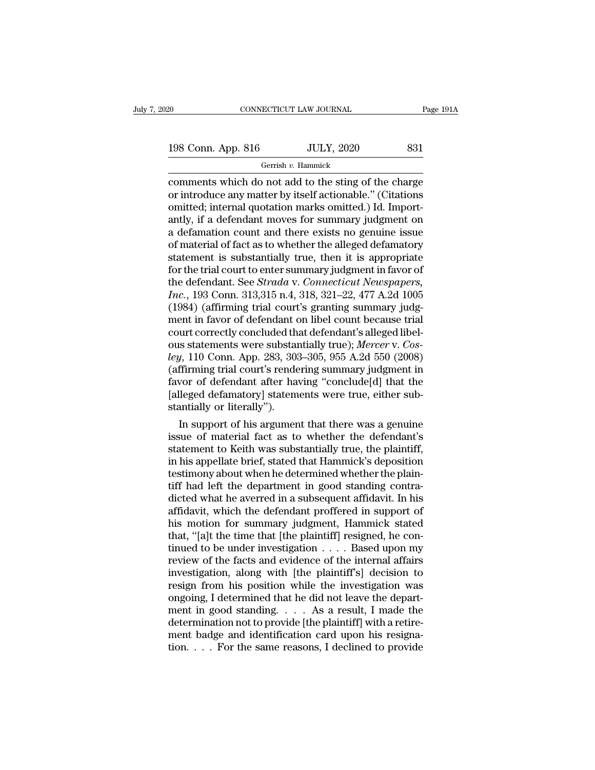Gerrish *v.* Hammick

comments which do not add to the sting of the charge<br>
comments which do not add to the sting of the charge<br>
comments which do not add to the sting of the charge<br>
or introduce any matter by itself actionable." (Citations<br>
c 198 Conn. App. 816 JULY, 2020 831<br>
Gerrish v. Hammick<br>
comments which do not add to the sting of the charge<br>
or introduce any matter by itself actionable.'' (Citations<br>
omitted; internal quotation marks omitted.) Id. Impor 198 Conn. App. 816 JULY, 2020 831<br>
Gerrish v. Hammick<br>
comments which do not add to the sting of the charge<br>
or introduce any matter by itself actionable." (Citations<br>
omitted; internal quotation marks omitted.) Id. Impor 198 Conn. App. 816 JULY, 2020 831<br>
Gerrish v. Hammick<br>
comments which do not add to the sting of the charge<br>
or introduce any matter by itself actionable." (Citations<br>
omitted; internal quotation marks omitted.) Id. Impor For some and  $\overline{C}$  definite  $\overline{C}$  definite  $\overline{C}$  definite  $\overline{C}$  count and  $\overline{C}$  counter the exists of the charge or introduce any matter by itself actionable." (Citations omitted; internal quotation marks o Gerrish v. Hammick<br>
comments which do not add to the sting of the charge<br>
or introduce any matter by itself actionable." (Citations<br>
omitted; internal quotation marks omitted.) Id. Import-<br>
antly, if a defendant moves for comments which do not add to the sting of the charge<br>or introduce any matter by itself actionable." (Citations<br>omitted; internal quotation marks omitted.) Id. Import-<br>antly, if a defendant moves for summary judgment on<br>a d or introduce any matter by itself actionable." (Citations<br>omitted; internal quotation marks omitted.) Id. Import-<br>antly, if a defendant moves for summary judgment on<br>a defamation count and there exists no genuine issue<br>of omitted; internal quotation marks omitted.) Id. Importantly, if a defendant moves for summary judgment on<br>a defamation count and there exists no genuine issue<br>of material of fact as to whether the alleged defamatory<br>statem antly, if a defendant moves for summary judgment on<br>a defamation count and there exists no genuine issue<br>of material of fact as to whether the alleged defamatory<br>statement is substantially true, then it is appropriate<br>for a defamation count and there exists no genuine issue<br>of material of fact as to whether the alleged defamatory<br>statement is substantially true, then it is appropriate<br>for the trial court to enter summary judgment in favor o of material of fact as to whether the alleged defamatory<br>statement is substantially true, then it is appropriate<br>for the trial court to enter summary judgment in favor of<br>the defendant. See *Strada* v. *Connecticut Newspap* statement is substantially true, then it is appropriate<br>for the trial court to enter summary judgment in favor of<br>the defendant. See *Strada* v. *Connecticut Newspapers*,<br>*Inc.*, 193 Conn. 313,315 n.4, 318, 321–22, 477 A.2 for the trial court to enter summary judgment in favor of<br>the defendant. See *Strada v. Connecticut Newspapers*,<br>*Inc.*, 193 Conn. 313,315 n.4, 318, 321–22, 477 A.2d 1005<br>(1984) (affirming trial court's granting summary ju the defendant. See *Strada* v. *Connecticut Newspapers,*<br>*Inc.*, 193 Conn. 313,315 n.4, 318, 321–22, 477 A.2d 1005<br>(1984) (affirming trial court's granting summary judg-<br>ment in favor of defendant on libel count because tr Inc., 193 Conn. 313,315 n.4, 318, 321–22, 477 A.2d 1005 (1984) (affirming trial court's granting summary judgment in favor of defendant on libel count because trial court correctly concluded that defendant's alleged libel (1984) (affirming trial court's granting summary judgment in favor of defendant on libel count because trial<br>court correctly concluded that defendant's alleged libel-<br>ous statements were substantially true); Mercer v. Cos ment in favor of defendant on libel count because trial<br>court correctly concluded that defendant's alleged libel-<br>ous statements were substantially true); Mercer v. Cos-<br>ley, 110 Conn. App. 283, 303–305, 955 A.2d 550 (2008 court correctly concluded th<br>ous statements were substan<br>ley, 110 Conn. App. 283, 30;<br>(affirming trial court's rende<br>favor of defendant after ha<br>[alleged defamatory] statem<br>stantially or literally'').<br>In support of his arg In support of his argument that there was a genuine<br>
In support of defendant after having "conclude[d] that the<br>
lleged defamatory] statements were true, either sub-<br>
antially or literally").<br>
In support of his argument t issue of material fact as to whether the plaintiff,<br>in this amount of the defendant after having "conclude[d] that the<br>falleged defamatory] statements were true, either sub-<br>stantially or literally").<br>In support of his arg

(affirming trial court's rendering summary judgment in<br>favor of defendant after having "conclude[d] that the<br>[alleged defamatory] statements were true, either sub-<br>stantially or literally").<br>In support of his argument that ravor of detendant after having "conclude[d] that the<br>[alleged defamatory] statements were true, either sub-<br>stantially or literally").<br>In support of his argument that there was a genuine<br>issue of material fact as to wheth [alleged detamatory] statements were true, either substantially or literally").<br>In support of his argument that there was a genuine<br>issue of material fact as to whether the defendant's<br>statement to Keith was substantially stantially or literally").<br>
In support of his argument that there was a genuine<br>
issue of material fact as to whether the defendant's<br>
statement to Keith was substantially true, the plaintiff,<br>
in his appellate brief, stat In support of his argument that there was a genuine<br>issue of material fact as to whether the defendant's<br>statement to Keith was substantially true, the plaintiff,<br>in his appellate brief, stated that Hammick's deposition<br>te issue of material fact as to whether the defendant's<br>statement to Keith was substantially true, the plaintiff,<br>in his appellate brief, stated that Hammick's deposition<br>testimony about when he determined whether the plain-<br> statement to Keith was substantially true, the plaintiff,<br>in his appellate brief, stated that Hammick's deposition<br>testimony about when he determined whether the plain-<br>tiff had left the department in good standing contrain his appellate brief, stated that Hammick's deposition<br>testimony about when he determined whether the plain-<br>tiff had left the department in good standing contra-<br>dicted what he averred in a subsequent affidavit. In his testimony about when he determined whether the plain-<br>tiff had left the department in good standing contra-<br>dicted what he averred in a subsequent affidavit. In his<br>affidavit, which the defendant proffered in support of<br>hi tiff had left the department in good standing contra-<br>dicted what he averred in a subsequent affidavit. In his<br>affidavit, which the defendant proffered in support of<br>his motion for summary judgment, Hammick stated<br>that, "[ dicted what he averred in a subsequent affidavit. In his<br>affidavit, which the defendant proffered in support of<br>his motion for summary judgment, Hammick stated<br>that, "[a]t the time that [the plaintiff] resigned, he con-<br>ti affidavit, which the defendant proffered in support of<br>his motion for summary judgment, Hammick stated<br>that, "[a]t the time that [the plaintiff] resigned, he con-<br>tinued to be under investigation  $\dots$ . Based upon my<br>revie his motion for summary judgment, Hammick stated<br>that, "[a]t the time that [the plaintiff] resigned, he con-<br>tinued to be under investigation  $\dots$ . Based upon my<br>review of the facts and evidence of the internal affairs<br>inv that, "[a]t the time that [the plaintiff] resigned, he continued to be under investigation . . . . Based upon my<br>review of the facts and evidence of the internal affairs<br>investigation, along with [the plaintiff's] decisio tinued to be under investigation  $\dots$  Based upon my<br>review of the facts and evidence of the internal affairs<br>investigation, along with [the plaintiff's] decision to<br>resign from his position while the investigation was<br>ong review of the facts and evidence of the internal affairs<br>investigation, along with [the plaintiff's] decision to<br>resign from his position while the investigation was<br>ongoing, I determined that he did not leave the departinvestigation, along with [the plaintiff's] decision to<br>resign from his position while the investigation was<br>ongoing, I determined that he did not leave the depart-<br>ment in good standing.  $\dots$  As a result, I made the<br>dete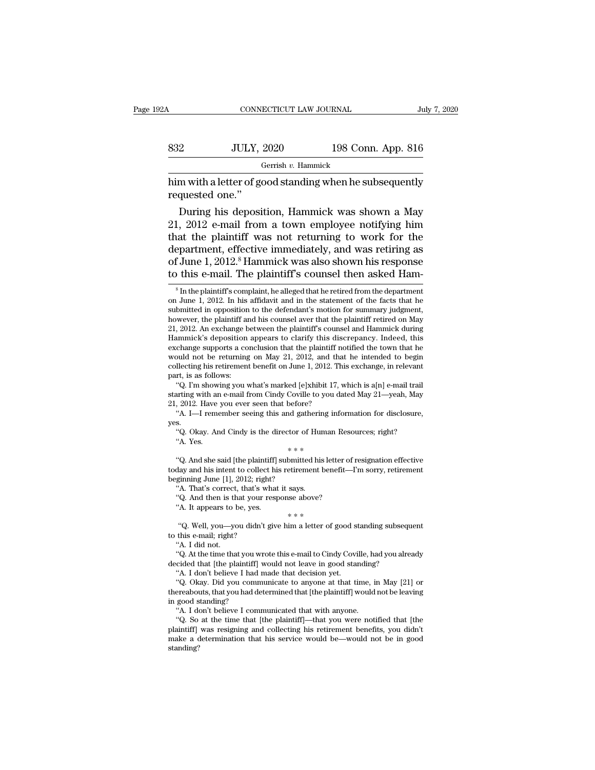## <sup>832</sup> JULY, 2020 198 Conn. App. 816 Gerrish *v.* Hammick CONNECTICUT LAW JOURNAL July 7, 2020<br>
B32 JULY, 2020 198 Conn. App. 816<br>
Gerrish v. Hammick<br>
him with a letter of good standing when he subsequently<br>
requested one." 832 JULY,<br>him with a letter of government<br>requested one."<br>During his deposi

DULY, 2020 198 Conn. App. 816<br>
Gerrish v. Hammick<br>
m with a letter of good standing when he subsequently<br>
quested one."<br>
During his deposition, Hammick was shown a May<br>
, 2012 e-mail from a town employee notifying him<br>
at  $32$  JULY, 2020 198 Conn. App. 816<br>
Gerrish v. Hammick<br>
him with a letter of good standing when he subsequently<br>
requested one."<br>
During his deposition, Hammick was shown a May<br>
21, 2012 e-mail from a town employee notify Gerrish v. Hammick<br>
him with a letter of good standing when he subsequently<br>
requested one."<br>
During his deposition, Hammick was shown a May<br>
21, 2012 e-mail from a town employee notifying him<br>
that the plaintiff was not him with a letter of good standing when he subsequently<br>requested one."<br>During his deposition, Hammick was shown a May<br>21, 2012 e-mail from a town employee notifying him<br>that the plaintiff was not returning to work for the him with a letter of good standing when he subsequently<br>requested one."<br>During his deposition, Hammick was shown a May<br>21, 2012 e-mail from a town employee notifying him<br>that the plaintiff was not returning to work for the requested one."<br>During his deposition, Hammick was shown a May<br>21, 2012 e-mail from a town employee notifying him<br>that the plaintiff was not returning to work for the<br>department, effective immediately, and was retiring as<br> aat the plaintiff was not returning to work for the epartment, effective immediately, and was retiring as f June 1, 2012.<sup>8</sup> Hammick was also shown his response this e-mail. The plaintiff's counsel then asked Ham<sup>s</sup> In th department, effective immediately, and was retiring as<br>of June 1, 2012.<sup>8</sup> Hammick was also shown his response<br>to this e-mail. The plaintiff's counsel then asked Ham-<br><sup>8</sup> In the plaintiff's complaint, he alleged that he re

would not be returning on May 21, 2012, and that he intended to begin collecting his retirement benefit on June 1, 2012. This exchange, in relevant part, is as follows:<br>"Q. I'm showing you what's marked [e]xhibit 17, which build not be returning on May 21, 2012, and that he intended to begin<br>
llecting his retirement benefit on June 1, 2012. This exchange, in relevant<br>
rt, is as follows:<br>
"Q. I'm showing you what's marked [e]xhibit 17, which rt, is as follows:<br>
"Q. I'm showing you what's marked [e]xhibit 17, which is a[n] e-mail trail<br>
arting with an e-mail from Cindy Coville to you dated May 21—yeah, May<br>
, 2012. Have you ever seen that before?<br>
"A. I—I remem "Q. I'm showing you what's marked [e]xhibit 1"<br>arting with an e-mail from Cindy Coville to you<br>, 2012. Have you ever seen that before?<br>"A. I—I remember seeing this and gathering in<br>s.<br>"Q. Okay. And Cindy is the director of

yes.

, 2012. Have you ever seen that before?<br>
"A. I—I remember seeing this and gathering information for disclosure,<br>
s.<br>
"Q. Okay. And Cindy is the director of Human Resources; right?<br>
"A. Yes.<br>
"4. Yes.<br>
"A. Yes.<br>
"A. Yes.<br>
" "A. I—I remember seeing this and gathering information for disclosure,<br>
yes.<br>
"Q. Okay. And Cindy is the director of Human Resources; right?<br>
"A. Yes.<br>
"Q. And she said [the plaintiff] submitted his letter of resignation "Q. Okay. And Cindy is the director of Human Resources; right? "A. Yes.<br> $***$  "Q. And she said [the plaintiff] submitted his letter of resignation effective today and his intent to collect his retirement benefit—I'm sorry, "Q. Okay. And Cindy is the director of Hum."<br>A. Yes.<br>"A. Yes.<br>"A. Yes.<br>"A. That's correct is retirement laying June [1], 2012; right?<br>"A. That's correct, that's what it says.<br>"Q. And then is that your response above? "A. Yes.<br>
"'Q. And she said [the plaintiff] submitted his letter of<br>
day and his intent to collect his retirement benefit—<br>
ginning June [1], 2012; right?<br>"A. That's correct, that's what it says.<br>"Q. And then is that your \* \* \*<br>
"Q. And she said [the plaintiff] submitted his let<br>
day and his intent to collect his retirement ben<br>
ginning June [1], 2012; right?<br>
"A. That's correct, that's what it says.<br>
"Q. And then is that your response abov

lay and his intent to collect his retirement benefit—I'm sorry, retirement<br>
sinning June [1], 2012; right?<br>
'A. That's correct, that's what it says.<br>
'Q. And then is that your response above?<br>
'A. It appears to be, yes.<br>
. beginning June [1], 2012; righ<br>
"A. That's correct, that's w<br>
"Q. And then is that your r<br>
"A. It appears to be, yes.<br>
"Q. Well, you—you didn't<br>
to this e-mail; right?<br>
"A. I did not.<br>
"A. It did not.<br>
"A. It did not. "A. That's correct,<br>"Q. And then is th"<br>A. It appears to b<br>"Q. Well, you—yo<br>this e-mail; right?<br>"A. I did not.<br>"Q. At the time tha

"Q. And then is that your response above?<br>
"A. It appears to be, yes.<br>
"Q. Well, you—you didn't give him a letter of good standing subsequent<br>
this e-mail; right?<br>"A. I did not.<br>"Q. At the time that you wrote this e-mail t "A. It appears to be, yes.<br>"<br>"Q. Well, you—you didn't give him a letter of good standing subseque to this e-mail; right?<br>"A. I did not. "<br>Q. At the time that you wrote this e-mail to Cindy Coville, had you alre<br>decided tha %. Well, you—you didn't give him a letter of good st<br>this e-mail; right?<br>"A. I did not. "Q. At the time that you wrote this e-mail to Cindy Covi<br>cided that [the plaintiff] would not leave in good stan<br>"A. I don't believe I

"Q. Well, you—you didn't give him a letter of good standing subsequent<br>this e-mail; right?<br>"A. I did not.<br>"Q. At the time that you wrote this e-mail to Cindy Coville, had you already<br>cided that [the plaintiff] would not le to this e-mail; right?<br>
"A. I did not.<br>
"Q. At the time that you wrote this e-mail to Cindy Coville, had you already<br>
decided that [the plaintiff] would not leave in good standing?<br>
"A. I don't believe I had made that deci "A. I did not.<br>"Q. At the time that you w<br>decided that [the plaintiff]<br>"A. I don't believe I had<br>"Q. Okay. Did you comm<br>thereabouts, that you had do<br>in good standing?<br>"A. I don't believe I com "Q. At the time that you wrote this e-mail to Cindy Coville, have idead that [the plaintiff] would not leave in good standing "A. I don't believe I had made that decision yet. "Q. Okay. Did you communicate to anyone at tha cided that [the plaintiff] would not leave in good standing?<br>"A. I don't believe I had made that decision yet.<br>"Q. Okay. Did you communicate to anyone at that time, in May [21] or<br>recabouts, that you had determined that [t

"A. I don't believe I had made that decision yet.<br>
"Q. Okay. Did you communicate to anyone at that time, in May [21] or<br>
thereabouts, that you had determined that [the plaintiff] would not be leaving<br>
in good standing?<br>
"A "Q. Okay. Did you communicate to anyone at that time, in May [21] or<br>thereabouts, that you had determined that [the plaintiff] would not be leaving<br>in good standing?<br>"A. I don't believe I communicated that with anyone.<br>"Q. standing?

of June 1, 2012.<sup>8</sup> Hammick was also shown his response<br>to this e-mail. The plaintiff's counsel then asked Ham-<br> $s_{\text{In the plaintiff's complaint, he alleged that he retired from the department on June 1, 2012. In his affidavit and in the statement of the facts that he submitted in opposition to the defendant's motion for summary judgment, however, the plaintiff and his course have that the plaintiff retired on May 21, 2012. An exchange between the plaintiff's course and Hammick during$ to this e-mail. The plaintiff's counsel then asked Ham-<br><sup>8</sup>In the plaintiff's complaint, he alleged that he retired from the department<br>on June 1, 2012. In his affidavit and in the statement of the facts that he<br>submitted to this e-mail. The plaintiff's counsel then asked Ham-<br><sup>8</sup> In the plaintiff's complaint, he alleged that he retired from the department<br>on June 1, 2012. In his affidavit and in the statement of the facts that he<br>submitted submitted in opposition to the defendant's motion for summary judgment, <sup>8</sup> In the plaintiff's complaint, he alleged that he retired from the department<br>on June 1, 2012. In his affidavit and in the statement of the facts that he<br>submitted in opposition to the defendant's motion for summary ju on June 1, 2012. In his affidavit and in the statement of the facts that he submitted in opposition to the defendant's motion for summary judgment, however, the plaintiff and his counsel aver that the plaintiff retired on however, the plaintiff and his counsel aver that the plaintiff retired on May 21, 2012. An exchange between the plaintiff's counsel and Hammick during Hammick's deposition appears to clarify this discrepancy. Indeed, this however, the plaintiff an<br>21, 2012. An exchange b<br>Hammick's deposition<br>exchange supports a co<br>would not be returning<br>collecting his retiremen<br>part, is as follows:<br>"Q. I'm showing you v , 2012. An exchange between the plaintiff's counsel and Hammick during<br>
ammick's deposition appears to clarify this discrepancy. Indeed, this<br>
change supports a conclusion that the plaintiff notified the town that he<br>
buld Hammick's deposition appears to clarify this discrepancy. Indeed, this exchange supports a conclusion that the plaintiff notified the town that he would not be returning on May 21, 2012, and that he intended to begin colle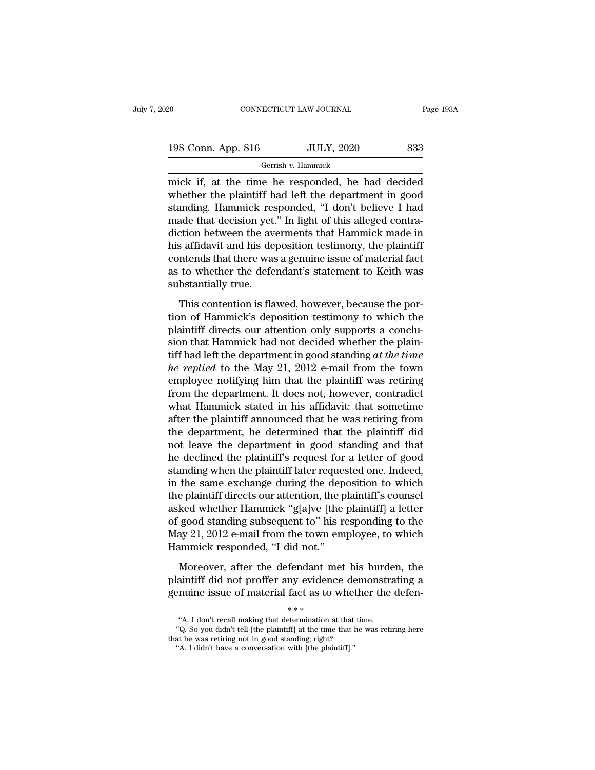| 20                 | CONNECTICUT LAW JOURNAL | Page 193A |  |
|--------------------|-------------------------|-----------|--|
|                    |                         |           |  |
| 198 Conn. App. 816 | <b>JULY, 2020</b>       | 833       |  |
|                    | Gerrish v. Hammick      |           |  |

CONNECTICUT LAW JOURNAL Page 1934<br>
198 Conn. App. 816 JULY, 2020 833<br>
Gerrish v. Hammick<br>
mick if, at the time he responded, he had decided<br>
whether the plaintiff had left the department in good<br>
standing Hammick responded 198 Conn. App. 816 JULY, 2020 833<br>
Gerrish v. Hammick<br>
mick if, at the time he responded, he had decided<br>
whether the plaintiff had left the department in good<br>
standing. Hammick responded, "I don't believe I had<br>
made th 198 Conn. App. 816 JULY, 2020 833<br>
Gerrish v. Hammick<br>
mick if, at the time he responded, he had decided<br>
whether the plaintiff had left the department in good<br>
standing. Hammick responded, "I don't believe I had<br>
made th 198 Conn. App. 816 JULY, 2020 833<br>
Gerrish v. Hammick<br>
mick if, at the time he responded, he had decided<br>
whether the plaintiff had left the department in good<br>
standing. Hammick responded, "I don't believe I had<br>
made th Gerrish v. Hammick<br>
The average of the average of the average of the average of the average of the average of the average of the average of the average of the average of the average in this affidavit and his deposition te Frammer Gerrish v. Hammer and decided<br>whether the plaintiff had left the department in good<br>standing. Hammick responded, "I don't believe I had<br>made that decision yet." In light of this alleged contra-<br>diction between the mick if, at the time he responded, he had decided<br>whether the plaintiff had left the department in good<br>standing. Hammick responded, "I don't believe I had<br>made that decision yet." In light of this alleged contra-<br>diction whether the plaintiff had left the department in good<br>standing. Hammick responded, "I don't believe I had<br>made that decision yet." In light of this alleged contra-<br>diction between the averments that Hammick made in<br>his aff standing. Hammick res<br>made that decision yet.<br>diction between the averal<br>his affidavit and his de<br>contends that there was<br>as to whether the defe<br>substantially true.<br>This contention is fla This content is flawed, however, because the por-<br>This affidavit and his deposition testimony, the plaintiff<br>metals that there was a genuine issue of material fact<br>to whether the defendant's statement to Keith was<br>bstantia this affidavit and his deposition testimony, the plaintiff<br>this affidavit and his deposition testimony, the plaintiff<br>contends that there was a genuine issue of material fact<br>as to whether the defendant's statement to Keit

matrix and the deposition testimony, are plainting<br>contends that there was a genuine issue of material fact<br>as to whether the defendant's statement to Keith was<br>substantially true.<br>This contention is flawed, however, becau as to whether the defendant's statement to Keith was<br>substantially true.<br>This contention is flawed, however, because the por-<br>tion of Hammick's deposition testimony to which the<br>plaintiff directs our attention only suppor substantially true.<br>
This contention is flawed, however, because the por-<br>
tion of Hammick's deposition testimony to which the<br>
plaintiff directs our attention only supports a conclu-<br>
sion that Hammick had not decided whe This contention is flawed, however, because the portion of Hammick's deposition testimony to which the plaintiff directs our attention only supports a conclusion that Hammick had not decided whether the plaintiff had left This contention is flawed, however, because the portion of Hammick's deposition testimony to which the plaintiff directs our attention only supports a conclusion that Hammick had not decided whether the plaintiff had left tion of Hammick's deposition testimony to which the plaintiff directs our attention only supports a conclusion that Hammick had not decided whether the plaintiff had left the department in good standing *at the time* he r plaintiff directs our attention only supports a conclusion that Hammick had not decided whether the plaintiff had left the department in good standing at the time the replied to the May 21, 2012 e-mail from the town employ sion that Hammick had not decided whether the plain-<br>tiff had left the department in good standing at the time<br>he replied to the May 21, 2012 e-mail from the town<br>employee notifying him that the plaintiff was retiring<br>from tiff had left the department in good standing *at the time*<br>*he replied* to the May 21, 2012 e-mail from the town<br>employee notifying him that the plaintiff was retiring<br>from the department. It does not, however, contradic the replied to the May 21, 2012 e-mail from the town<br>employee notifying him that the plaintiff was retiring<br>from the department. It does not, however, contradict<br>what Hammick stated in his affidavit: that sometime<br>after th employee notifying him that the plaintiff was retiring<br>from the department. It does not, however, contradict<br>what Hammick stated in his affidavit: that sometime<br>after the plaintiff announced that he was retiring from<br>the d from the department. It does not, however, contradict<br>what Hammick stated in his affidavit: that sometime<br>after the plaintiff announced that he was retiring from<br>the department, he determined that the plaintiff did<br>not lea what Hammick stated in his affidavit: that sometime<br>after the plaintiff announced that he was retiring from<br>the department, he determined that the plaintiff did<br>not leave the department in good standing and that<br>he decline after the plaintiff announced that he was retiring from<br>the department, he determined that the plaintiff did<br>not leave the department in good standing and that<br>he declined the plaintiff's request for a letter of good<br>stand the department, he determined that the plaintiff did<br>not leave the department in good standing and that<br>he declined the plaintiff's request for a letter of good<br>standing when the plaintiff later requested one. Indeed,<br>in t not leave the department in good standing and that<br>he declined the plaintiff's request for a letter of good<br>standing when the plaintiff later requested one. Indeed,<br>in the same exchange during the deposition to which<br>the p he declined the plaintiff's request for a letter of good<br>standing when the plaintiff later requested one. Indeed,<br>in the same exchange during the deposition to which<br>the plaintiff directs our attention, the plaintiff's cou standing when the plaintiff later reques<br>in the same exchange during the dep<br>the plaintiff directs our attention, the p<br>asked whether Hammick "g[a]ve [the<br>of good standing subsequent to" his re<br>May 21, 2012 e-mail from the e plaintiff directs our attention, the plaintiff's counsel<br>e plaintiff directs our attention, the plaintiff's counsel<br>ked whether Hammick "g[a]ve [the plaintiff] a letter<br>good standing subsequent to" his responding to the<br> asked whether Hammick "g[a]ve [the plaintiff] a letter<br>of good standing subsequent to" his responding to the<br>May 21, 2012 e-mail from the town employee, to which<br>Hammick responded, "I did not."<br>Moreover, after the defendan gence whence transment of gence  $\mu$  and  $\mu$  and  $\mu$  and  $\mu$  and  $\mu$  as to when  $\mu$  and  $\mu$  and  $\mu$  and  $\mu$  and  $\mu$  and  $\mu$  and  $\mu$  and  $\mu$  and  $\mu$  and  $\mu$  and  $\mu$  and  $\mu$  are  $\mu$  and  $\mu$  are  $\mu$  and  $\$ 

Moreover, after the defendant met his burden, the plaintiff did not proffer any evidence demonstrating a genuine issue of material fact as to whether the defen-<br>
\*\*\*<br>
"A. I don't recall making that determination at that ti Figure 1.1 The plane of material fact as to whether the defen-<br>  $***$ <br>
"A. I don't recall making that determination at that time.<br>
"Q. So you didn't tell [the plaintiff] at the time that he was retiring here<br>
"A. I didn't s planned in that he was retiring that determination at that that he was retiring not in good standing; right?<br>"A. I don't recall making that determination at that tire "Q. So you didn't tell [the plaintiff] at the time that

<sup>&</sup>quot;A. I don't recall making that determination at that time.<br>"Q. So you didn't tell [the plaintiff] at the time that he was at he was retiring not in good standing; right?<br>"A. I didn't have a conversation with [the plaintif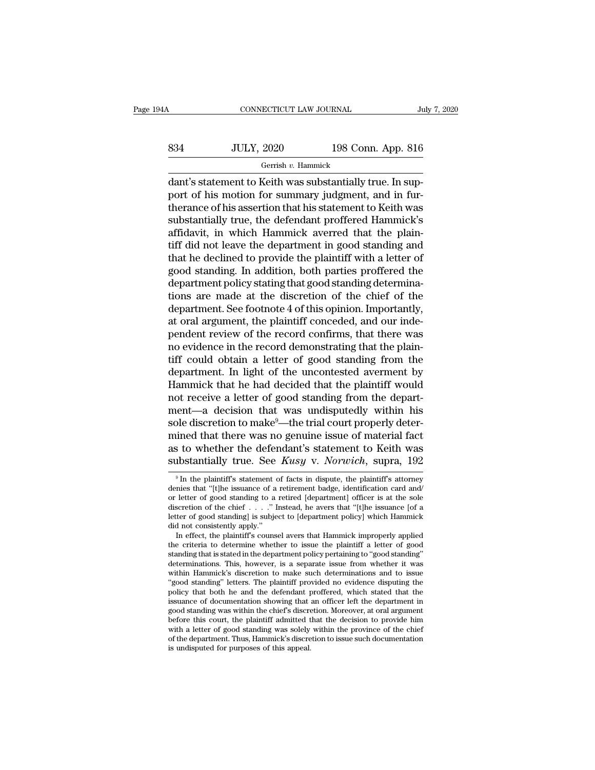# CONNECTICUT LAW JOURNAL July 7, 2020<br>834 JULY, 2020 198 Conn. App. 816<br>Gerrish v. Hammick Gerrish *v.* Hammick

 $\begin{array}{c|l} \multicolumn{1}{l}{{\small \textbf{COMRECTICUT LAW JOURNAL}} } & & & \multicolumn{1}{l}{\small \textbf{Jd}}\\ \hline & & & \multicolumn{1}{l}{\small \textbf{Gerrish }v} & \textbf{Hammick}\\ \hline & & & \multicolumn{1}{l}{\small \textbf{Gerrish }v} & \textbf{Hammick}\\ \hline & & & \multicolumn{1}{l}{\small \textbf{dant's statement to Keith was substantially true. In support of his motion for summary judgment, and in fur-} \small \textbf{thernneo of his assertion that his statement to Koith was} \end{array}$  $\n \begin{array}{ll}\n 334 & \text{JULY, } 2020 & \text{198 Conn. App. 816}\n \hline\n \text{Gerrish } v. \text{ Hammick}\n\end{array}$ <br>
dant's statement to Keith was substantially true. In support of his motion for summary judgment, and in fur-<br>
therance of his assertion that his s  $x = \frac{198 \text{ Conn. App. 816}}{\text{derish } v. \text{ Hammick}}$ <br>
dant's statement to Keith was substantially true. In support of his motion for summary judgment, and in furtherance of his assertion that his statement to Keith was substantially tru  $\noindent\hfill\text{S34}\quad\qquad \text{JULY, 2020}\quad\qquad \text{198 Conn. App. 816}\n\text{dant's statement to Keith was substantially true. In support of his motion for summary judgment, and in furthermore of his assertion that his statement to Keith was substantially true, the defendant profered Hammick's affidavit, in which Hammick averaged that the plain-tiff did not leave the department in good standing and$ Gerrish v. Hammick<br>
dant's statement to Keith was substantially true. In sup-<br>
port of his motion for summary judgment, and in fur-<br>
therance of his assertion that his statement to Keith was<br>
substantially true, the defen Gerrish v. Hammick<br>
dant's statement to Keith was substantially true. In sup-<br>
port of his motion for summary judgment, and in fur-<br>
therance of his assertion that his statement to Keith was<br>
substantially true, the defen dant's statement to Keith was substantially true. In support of his motion for summary judgment, and in furtherance of his assertion that his statement to Keith was substantially true, the defendant proffered Hammick's aff port of his motion for summary judgment, and in fur-<br>therance of his assertion that his statement to Keith was<br>substantially true, the defendant proffered Hammick's<br>affidavit, in which Hammick averred that the plain-<br>tiff therance of his assertion that his statement to Keith was<br>substantially true, the defendant proffered Hammick's<br>affidavit, in which Hammick averred that the plain-<br>tiff did not leave the department in good standing and<br>tha substantially true, the defendant proffered Hammick's<br>affidavit, in which Hammick averred that the plain-<br>tiff did not leave the department in good standing and<br>that he declined to provide the plaintiff with a letter of<br>go affidavit, in which Hammick averred that the plaintiff did not leave the department in good standing and that he declined to provide the plaintiff with a letter of good standing. In addition, both parties proffered the dep tiff did not leave the department in good standing and<br>that he declined to provide the plaintiff with a letter of<br>good standing. In addition, both parties proffered the<br>department policy stating that good standing determin that he declined to provide the plaintiff with a letter of<br>good standing. In addition, both parties proffered the<br>department policy stating that good standing determina-<br>tions are made at the discretion of the chief of the good standing. In addition, both parties proffered the<br>department policy stating that good standing determina-<br>tions are made at the discretion of the chief of the<br>department. See footnote 4 of this opinion. Importantly,<br>a department policy stating that good standing determinations are made at the discretion of the chief of the department. See footnote 4 of this opinion. Importantly, at oral argument, the plaintiff conceded, and our independ tions are made at the discretion of the chief of the<br>department. See footnote 4 of this opinion. Importantly,<br>at oral argument, the plaintiff conceded, and our inde-<br>pendent review of the record confirms, that there was<br>no department. See footnote 4 of this opinion. Importantly,<br>at oral argument, the plaintiff conceded, and our inde-<br>pendent review of the record confirms, that there was<br>no evidence in the record demonstrating that the plainat oral argument, the plaintiff conceded, and our inde-<br>pendent review of the record confirms, that there was<br>no evidence in the record demonstrating that the plain-<br>tiff could obtain a letter of good standing from the<br>dep pendent review of the record confirms, that there was<br>no evidence in the record demonstrating that the plain-<br>tiff could obtain a letter of good standing from the<br>department. In light of the uncontested averment by<br>Hammick no evidence in the record demonstrating that the plaintiff could obtain a letter of good standing from the department. In light of the uncontested averment by Hammick that he had decided that the plaintiff would not receiv tiff could obtain a letter of good standing from the<br>department. In light of the uncontested averment by<br>Hammick that he had decided that the plaintiff would<br>not receive a letter of good standing from the depart-<br>ment—a d department. In light of the uncontested averment by<br>Hammick that he had decided that the plaintiff would<br>not receive a letter of good standing from the depart-<br>ment—a decision that was undisputedly within his<br>sole discret Hammick that he had decided that the plaintiff would<br>not receive a letter of good standing from the depart-<br>ment—a decision that was undisputedly within his<br>sole discretion to make<sup>9</sup>—the trial court properly deter-<br>mined ble discretion to make<sup>3</sup>—the trial court properly deter-<br>ined that there was no genuine issue of material fact<br>s to whether the defendant's statement to Keith was<br>ubstantially true. See *Kusy v. Norwich*, supra, 192<br><sup>9</sup> mined that there was no genuine issue of material fact<br>as to whether the defendant's statement to Keith was<br>substantially true. See *Kusy* v. *Norwich*, supra, 192<br><sup>9</sup> In the plaintiff's statement of facts in dispute, the

as to whether the defendant's statement to Keith was substantially true. See *Kusy v. Norwich*, supra, 192<br>
<sup>9</sup> In the plaintiff's statement of facts in dispute, the plaintiff's attorney denies that "[t]he issuance of a r **substantially true. See** *Kusy* **v.** *Norwich***, supra, 192**<br>
<sup>9</sup> In the plaintiff's statement of facts in dispute, the plaintiff's attorney denies that "[t]he issuance of a retirement badge, identification card and/ or lett **substantially true.** See *Kusy* v. *Norwich*, supra, 192<br>
<sup>9</sup> In the plaintiff's statement of facts in dispute, the plaintiff's attorney<br>
denies that "[t]he issuance of a retirement badge, identification card and/<br>
or le <sup>9</sup> In the plaintiff's statement denies that "[t]he issuance of a or letter of good standing to a discretion of the chief  $\ldots$ ." I letter of good standing] is subjedid not consistently apply." In effect, the plaintiff's <sup>9</sup> In the plaintiff's statement of facts in dispute, the plaintiff's attorney mies that "[t]he issuance of a retirement badge, identification card and/ letter of good standing to a retired [department] officer is at the denies that "[t]he issuance of a retirement badge, identification card and/<br>or letter of good standing to a retired [department] officer is at the sole<br>discretion of the chief . . . ." Instead, he avers that "[t]he issuan

or letter of good standing to a retired [department] officer is at the sole discretion of the chief  $\ldots$ ." Instead, he avers that "[t]he issuance [of a letter of good standing] is subject to [department policy] which Ham letter of good standing] is subject to [department policy] which Hammick<br>did not consistently apply."<br>In effect, the plaintiff's counsel avers that Hammick improperly applied<br>the criteria to determine whether to issue the letter of good standing] is subject to [department policy] which Hammick<br>did not consistently apply."<br>In effect, the plaintiff's counsel avers that Hammick improperly applied<br>the criteria to determine whether to issue the did not consistently apply."<br>
In effect, the plaintiff's counsel avers that Hammick improperly applied<br>
the criteria to determine whether to issue the plaintiff a letter of good<br>
standing that is stated in the department p In effect, the plaintiff's counsel avers that Hammick improperly applied<br>the criteria to determine whether to issue the plaintiff a letter of good<br>standing that is stated in the department policy pertaining to "good standi the criteria to determine whether to issue the plaintiff a letter of good standing that is stated in the department policy pertaining to "good standing" determinations. This, however, is a separate issue from whether it wa standing that is stated in the department policy pertaining to "good standing"<br>determinations. This, however, is a separate issue from whether it was<br>within Hammick's discretion to make such determinations and to issue<br>"go determinations. This, however, is a separate issue from whether it was<br>within Hammick's discretion to make such determinations and to issue<br>"good standing" letters. The plaintiff provided no evidence disputing the<br>policy t within Hammick's discretion to make such determinations and to issue<br>"good standing" letters. The plaintiff provided no evidence disputing the<br>policy that both he and the defendant proffered, which stated that the<br>issuance "good standing" letters. The plaintiff provided no evidence disputing the policy that both he and the defendant proffered, which stated that the issuance of documentation showing that an officer left the department in good policy that both he and the defendant proffered, which stated that the issuance of documentation showing that an officer left the department in good standing was within the chief's discretion. Moreover, at oral argument be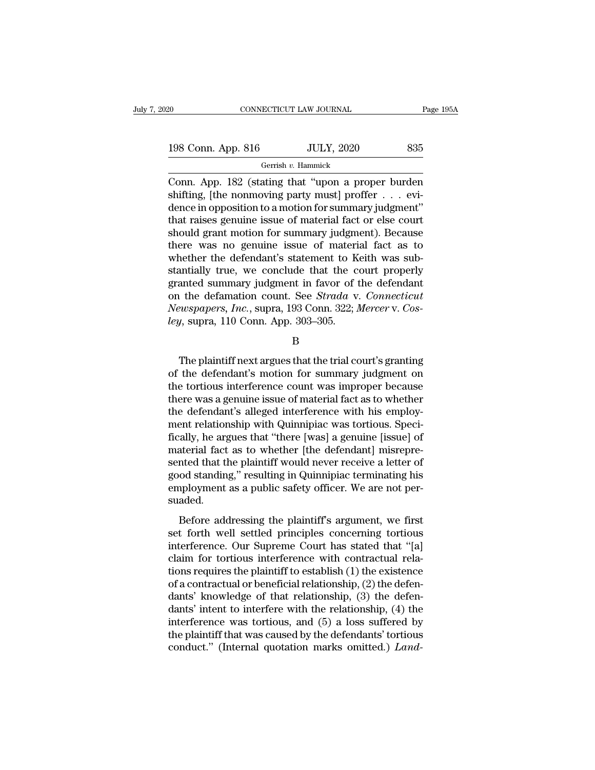198 Conn. App. 816 JULY, 2020 <sup>835</sup>

Gerrish *v.* Hammick

CONNECTICUT LAW JOURNAL Page 195A<br>
198 Conn. App. 816 JULY, 2020 835<br>
Gerrish v. Hammick<br>
Conn. App. 182 (stating that "upon a proper burden<br>
shifting, [the nonmoving party must] proffer . . . evi-198 Conn. App. 816 JULY, 2020 835<br>
Gerrish v. Hammick<br>
Conn. App. 182 (stating that "upon a proper burden<br>
shifting, [the nonmoving party must] proffer . . . evi-<br>
dence in opposition to a motion for summary judgment"<br>
th 198 Conn. App. 816 JULY, 2020 835<br>
Gerrish v. Hammick<br>
Conn. App. 182 (stating that "upon a proper burden<br>
shifting, [the nonmoving party must] proffer . . . evi-<br>
dence in opposition to a motion for summary judgment"<br>
th 198 Conn. App. 816 JULY, 2020 835<br>
Gerrish v. Hammick<br>
Conn. App. 182 (stating that "upon a proper burden<br>
shifting, [the nonmoving party must] proffer . . . evi-<br>
dence in opposition to a motion for summary judgment"<br>
th South mapp. 182 (stating that "upon a proper burden<br>
South motion for summary independent shifting, [the nonmoving party must] proffer . . . evidence in opposition to a motion for summary judgment"<br>
that raises genuine is Gerrish v. Hammick<br>
Conn. App. 182 (stating that "upon a proper burden<br>
shifting, [the nonmoving party must] proffer . . . evi-<br>
dence in opposition to a motion for summary judgment"<br>
that raises genuine issue of material Conn. App. 182 (stating that "upon a proper burden shifting, [the nonmoving party must] proffer  $\dots$  evidence in opposition to a motion for summary judgment" that raises genuine issue of material fact or else court should shifting, [the nonmoving party must] proffer . . . evidence in opposition to a motion for summary judgment"<br>that raises genuine issue of material fact or else court<br>should grant motion for summary judgment). Because<br>there dence in opposition to a motion for summary judgment"<br>that raises genuine issue of material fact or else court<br>should grant motion for summary judgment). Because<br>there was no genuine issue of material fact as to<br>whether th that raises genuine issue of material fact or else court<br>should grant motion for summary judgment). Because<br>there was no genuine issue of material fact as to<br>whether the defendant's statement to Keith was sub-<br>stantially t should grant motion for summary judgment). Because<br>there was no genuine issue of material fact as to<br>whether the defendant's statement to Keith was sub-<br>stantially true, we conclude that the court properly<br>granted summary there was no genuine issue of materi<br>whether the defendant's statement to K<br>stantially true, we conclude that the c<br>granted summary judgment in favor of t<br>on the defamation count. See *Strada* v.<br>*Newspapers*, *Inc.*, supr anted summary judgment in favor of the defendant<br>  $\alpha$  the defamation count. See *Strada* v. Connecticut<br> *ewspapers*, *Inc.*, supra, 193 Conn. 322; *Mercer* v. Cos-<br> *B*<br>
The plaintiff next argues that the trial court's

B

on the defamation count. See *Strada* v. Connecticut<br>
Newspapers, Inc., supra, 193 Conn. 322; Mercer v. Cos-<br>
ley, supra, 110 Conn. App. 303–305.<br>
B<br>
The plaintiff next argues that the trial court's granting<br>
of the defend Newspapers, Inc., supra, 193 Conn. 322; Mercer v. Cos-<br>ley, supra, 110 Conn. App. 303–305.<br>B<br>The plaintiff next argues that the trial court's granting<br>of the defendant's motion for summary judgment on<br>the tortious interfer ley, supra, 110 Conn. App. 303–305.<br>
B<br>
The plaintiff next argues that the trial court's granting<br>
of the defendant's motion for summary judgment on<br>
the tortious interference count was improper because<br>
there was a genuin B<br>
The plaintiff next argues that the trial court's granting<br>
of the defendant's motion for summary judgment on<br>
the tortious interference count was improper because<br>
there was a genuine issue of material fact as to whethe The plaintiff next argues that the trial court's granting<br>of the defendant's motion for summary judgment on<br>the tortious interference count was improper because<br>there was a genuine issue of material fact as to whether<br>the The plaintiff next argues that the trial court's granting<br>of the defendant's motion for summary judgment on<br>the tortious interference count was improper because<br>there was a genuine issue of material fact as to whether<br>the of the defendant's motion for summary judgment on<br>the tortious interference count was improper because<br>there was a genuine issue of material fact as to whether<br>the defendant's alleged interference with his employ-<br>ment rel the tortious interference count was improper because<br>there was a genuine issue of material fact as to whether<br>the defendant's alleged interference with his employ-<br>ment relationship with Quinnipiac was tortious. Speci-<br>fic there was a genuine issue of material fact as to whether<br>the defendant's alleged interference with his employ-<br>ment relationship with Quinnipiac was tortious. Speci-<br>fically, he argues that "there [was] a genuine [issue] o the defendant's alleged interference with his employment relationship with Quinnipiac was tortious. Specifically, he argues that "there [was] a genuine [issue] of material fact as to whether [the defendant] misrepresented suaded. Example 18 and the plaintiff (based and the plaintiff would never receive a letter of od standing," resulting in Quinnipiac terminating his uployment as a public safety officer. We are not peraded.<br>Before addressing the pl material race as to whelater price detendantly mistely sented that the plaintiff would never receive a letter of good standing," resulting in Quinnipiac terminating his employment as a public safety officer. We are not per

sented that the plant. Would never receive a letter of<br>good standing," resulting in Quinnipiac terminating his<br>employment as a public safety officer. We are not per-<br>suaded.<br>Before addressing the plaintiff's argument, we f good standing, Testinal in Canadian for tortinially rise<br>employment as a public safety officer. We are not per-<br>suaded.<br>Before addressing the plaintiff's argument, we first<br>set forth well settled principles concerning tort suaded.<br>
Before addressing the plaintiff's argument, we first<br>
set forth well settled principles concerning tortious<br>
interference. Our Supreme Court has stated that "[a]<br>
claim for tortious interference with contractual r Before addressing the plaintiff's argument, we first<br>set forth well settled principles concerning tortious<br>interference. Our Supreme Court has stated that "[a]<br>claim for tortious interference with contractual rela-<br>tions r Before addressing the plaintiff's argument, we first<br>set forth well settled principles concerning tortious<br>interference. Our Supreme Court has stated that "[a]<br>claim for tortious interference with contractual rela-<br>tions set forth well settled principles concerning tortious<br>interference. Our Supreme Court has stated that "[a]<br>claim for tortious interference with contractual rela-<br>tions requires the plaintiff to establish (1) the existence<br> interference. Our Supreme Court has stated that "[a]<br>claim for tortious interference with contractual rela-<br>tions requires the plaintiff to establish (1) the existence<br>of a contractual or beneficial relationship, (2) the claim for tortious interference with contractual rela-<br>tions requires the plaintiff to establish (1) the existence<br>of a contractual or beneficial relationship, (2) the defen-<br>dants' knowledge of that relationship, (3) the tions requires the plaintiff to establish  $(1)$  the existence<br>of a contractual or beneficial relationship,  $(2)$  the defen-<br>dants' knowledge of that relationship,  $(3)$  the defen-<br>dants' intent to interfere with the relat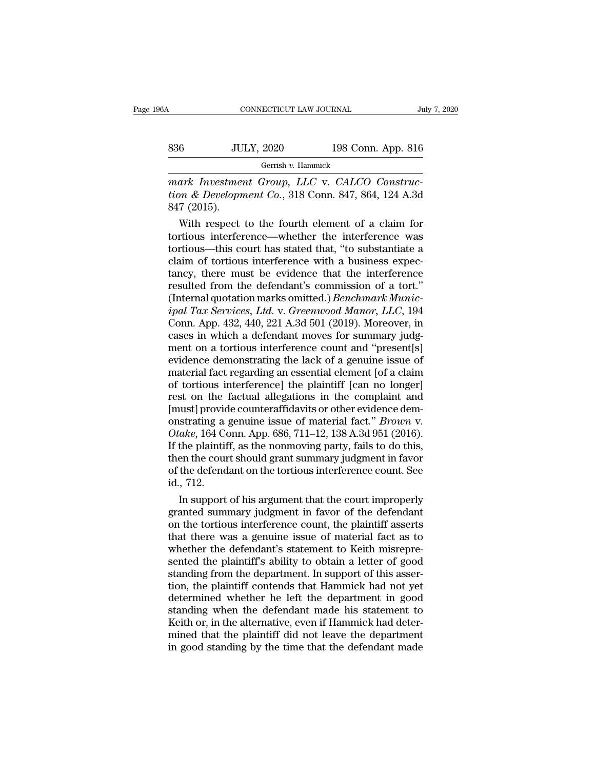| 06A | CONNECTICUT LAW JOURNAL |                    | July 7, 2020 |
|-----|-------------------------|--------------------|--------------|
| 836 | <b>JULY, 2020</b>       | 198 Conn. App. 816 |              |
|     | Gerrish v. Hammick      |                    |              |

<sup>11</sup><br>
836 JULY, 2020 198 Conn. App. 816<br>
<sup>Gerrish v. Hammick<br> *mark Investment Group, LLC* v. *CALCO Construc-*<br> *tion & Development Co.*, 318 Conn. 847, 864, 124 A.3d<br>
847 (2015)</sup> **tion 336 JULY, 2020** 198 Conn. App. 816<br> **tion & Development Co.**, 318 Conn. 847, 864, 124 A.3d<br> **tion & Development Co.**, 318 Conn. 847, 864, 124 A.3d<br>
847 (2015). 836 JU<br>
mark Investmention & Developm<br>
847 (2015).<br>
With respect  $U_L$   $U_L$   $V$ ,  $2020$   $198$  Conn. App. 816<br>  $V$  Gerrish v. Hammick<br>  $V$  ark Investment Group, LLC v. CALCO Construc-<br>  $W$  & Development Co., 318 Conn. 847, 864, 124 A.3d<br>  $V$  (2015).<br>
With respect to the fourth element of

Gerrish v. Hammick<br>
mark Investment Group, LLC v. CALCO Construc-<br>
tion & Development Co., 318 Conn. 847, 864, 124 A.3d<br>
847 (2015).<br>
With respect to the fourth element of a claim for<br>
tortious interference—whether the in mark Investment Group, LLC v. CALCO Construction & Development Co., 318 Conn. 847, 864, 124 A.3d<br>847 (2015).<br>With respect to the fourth element of a claim for<br>tortious interference—whether the interference was<br>tortious—thi mark Investment Group, LLC v. CALCO Construc-<br>tion & Development Co., 318 Conn. 847, 864, 124 A.3d<br>847 (2015).<br>With respect to the fourth element of a claim for<br>tortious interference—whether the interference was<br>tortious—t tion & Development Co., 318 Conn. 847, 864, 124 A.3d<br>847 (2015).<br>With respect to the fourth element of a claim for<br>tortious interference—whether the interference was<br>tortious—this court has stated that, "to substantiate a 847 (2015).<br>
With respect to the fourth element of a claim for<br>
tortious interference—whether the interference was<br>
tortious—this court has stated that, "to substantiate a<br>
claim of tortious interference with a business e With respect to the fourth element of a claim for<br>tortious interference—whether the interference was<br>tortious—this court has stated that, "to substantiate a<br>claim of tortious interference with a business expec-<br>tancy, ther *i* for the interference was tortious —this court has stated that, "to substantiate a claim of tortious interference with a business expectancy, there must be evidence that the interference resulted from the defendant's co tortious—this court has stated that, "to substantiate a<br>claim of tortious interference with a business expec-<br>tancy, there must be evidence that the interference<br>resulted from the defendant's commission of a tort."<br>(Intern claim of tortious interference with a business expectancy, there must be evidence that the interference<br>resulted from the defendant's commission of a tort."<br>(Internal quotation marks omitted.) *Benchmark Munic-<br>ipal Tax Se* tancy, there must be evidence that the interference<br>resulted from the defendant's commission of a tort."<br>(Internal quotation marks omitted.) *Benchmark Munic-<br>ipal Tax Services, Ltd.* v. *Greenwood Manor, LLC*, 194<br>Conn. A resulted from the defendant's commission of a tort."<br>(Internal quotation marks omitted.) *Benchmark Munic-*<br>ipal Tax Services, Ltd. v. Greenwood Manor, LLC, 194<br>Conn. App. 432, 440, 221 A.3d 501 (2019). Moreover, in<br>cases (Internal quotation marks omitted.) *Benchmark Munic-*<br>ipal Tax Services, Ltd. v. Greenwood Manor, LLC, 194<br>Conn. App. 432, 440, 221 A.3d 501 (2019). Moreover, in<br>cases in which a defendant moves for summary judg-<br>ment on *ipal Tax Services, Ltd.* v. *Greenwood Manor, LLC,* 194<br>Conn. App. 432, 440, 221 A.3d 501 (2019). Moreover, in<br>cases in which a defendant moves for summary judg-<br>ment on a tortious interference count and "present[s]<br>evid Conn. App. 432, 440, 221 A.3d 501 (2019). Moreover, in cases in which a defendant moves for summary judgment on a tortious interference count and "present[s] evidence demonstrating the lack of a genuine issue of material cases in which a defendant moves for summary judgment on a tortious interference count and "present[s] evidence demonstrating the lack of a genuine issue of material fact regarding an essential element [of a claim of tort ment on a tortious interference count and "present[s]<br>evidence demonstrating the lack of a genuine issue of<br>material fact regarding an essential element [of a claim<br>of tortious interference] the plaintiff [can no longer]<br>r evidence demonstrating the lack of a genuine issue of<br>material fact regarding an essential element [of a claim<br>of tortious interference] the plaintiff [can no longer]<br>rest on the factual allegations in the complaint and<br>[m material fact regarding an essential element [of a claim<br>of tortious interference] the plaintiff [can no longer]<br>rest on the factual allegations in the complaint and<br>[must] provide counteraffidavits or other evidence dem-<br> of tortious interference] the plaintiff [can no longer]<br>rest on the factual allegations in the complaint and<br>[must] provide counteraffidavits or other evidence dem-<br>onstrating a genuine issue of material fact." *Brown v.*<br> rest on the factual allegations in the complaint and<br>[must] provide counteraffidavits or other evidence dem-<br>onstrating a genuine issue of material fact." *Brown v.*<br>*Otake*, 164 Conn. App. 686, 711–12, 138 A.3d 951 (2016) [must] provid<br>onstrating a<br>*Otake*, 164 Co<br>If the plaintif<br>then the cour<br>of the defend<br>id., 712.<br>In support strating a genuine issue of material fact." *Brown v.*<br> *ake*, 164 Conn. App. 686, 711–12, 138 A.3d 951 (2016).<br>
the plaintiff, as the nonmoving party, fails to do this,<br>
en the court should grant summary judgment in favo Otake, 164 Conn. App. 686, 711–12, 138 A.3d 951 (2016).<br>If the plaintiff, as the nonmoving party, fails to do this,<br>then the court should grant summary judgment in favor<br>of the defendant on the tortious interference count

If the plaintiff, as the nonmoving party, fails to do this,<br>then the court should grant summary judgment in favor<br>of the defendant on the tortious interference count. See<br>id., 712.<br>In support of his argument that the court then the court should grant summary judgment in favor<br>of the defendant on the tortious interference count. See<br>id., 712.<br>In support of his argument that the court improperly<br>granted summary judgment in favor of the defenda of the defendant on the tortious interference count. See<br>id., 712.<br>In support of his argument that the court improperly<br>granted summary judgment in favor of the defendant<br>on the tortious interference count, the plaintiff a id., 712.<br>In support of his argument that the court improperly<br>granted summary judgment in favor of the defendant<br>on the tortious interference count, the plaintiff asserts<br>that there was a genuine issue of material fact as In support of his argument that the court improperly<br>granted summary judgment in favor of the defendant<br>on the tortious interference count, the plaintiff asserts<br>that there was a genuine issue of material fact as to<br>whethe granted summary judgment in favor of the defendant<br>on the tortious interference count, the plaintiff asserts<br>that there was a genuine issue of material fact as to<br>whether the defendant's statement to Keith misrepre-<br>sented on the tortious interference count, the plaintiff asserts<br>that there was a genuine issue of material fact as to<br>whether the defendant's statement to Keith misrepre-<br>sented the plaintiff's ability to obtain a letter of good that there was a genuine issue of material fact as to<br>whether the defendant's statement to Keith misrepre-<br>sented the plaintiff's ability to obtain a letter of good<br>standing from the department. In support of this asser-<br>t whether the defendant's statement to Keith misrepresented the plaintiff's ability to obtain a letter of good standing from the department. In support of this assertion, the plaintiff contends that Hammick had not yet deter sented the plaintiff's ability to obtain a letter of good<br>standing from the department. In support of this asser-<br>tion, the plaintiff contends that Hammick had not yet<br>determined whether he left the department in good<br>stan standing from the department. In support of this assertion, the plaintiff contends that Hammick had not yet determined whether he left the department in good standing when the defendant made his statement to Keith or, in t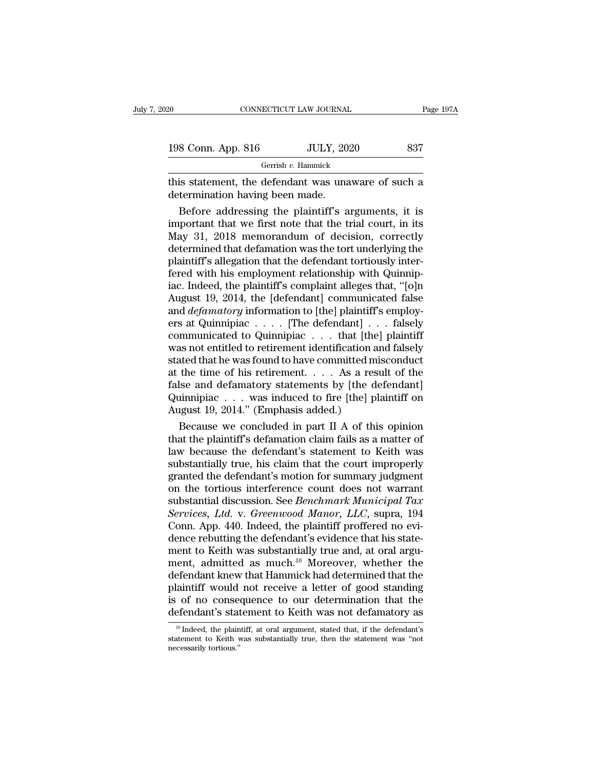| 20                 | CONNECTICUT LAW JOURNAL | Page 197A |  |
|--------------------|-------------------------|-----------|--|
|                    |                         |           |  |
| 198 Conn. App. 816 | <b>JULY, 2020</b>       | 837       |  |
|                    | Gerrish v. Hammick      |           |  |

CONNECTICUT LAW JOURNAL Page 197A<br>
198 Conn. App. 816 JULY, 2020 837<br>
Gerrish v. Hammick<br>
this statement, the defendant was unaware of such a<br>
determination having been made. 198 Conn. App. 816 JULY, 20<br>
Gerrish v. Hammick<br>
this statement, the defendant was una<br>
determination having been made.<br>
Before addressing the plaintiff's a

 $\frac{B \text{ Conn. App. 816}}{\text{Gerrish } v. \text{ Hammick}}$ <br>
is statement, the defendant was unaware of such a<br>
termination having been made.<br>
Before addressing the plaintiff's arguments, it is<br>
portant that we first note that the trial court, in 198 Conn. App. 816 JULY, 2020 837<br>
Gerrish v. Hammick<br>
this statement, the defendant was unaware of such a<br>
determination having been made.<br>
Before addressing the plaintiff's arguments, it is<br>
important that we first note Gerrish v. Hammick<br>
this statement, the defendant was unaware of such a<br>
determination having been made.<br>
Before addressing the plaintiff's arguments, it is<br>
important that we first note that the trial court, in its<br>
May determination having been made.<br>
determination having been made.<br>
Before addressing the plaintiff's arguments, it is<br>
important that we first note that the trial court, in its<br>
May 31, 2018 memorandum of decision, correctl this statement, the defendant was unaware of such a<br>determination having been made.<br>Before addressing the plaintiff's arguments, it is<br>important that we first note that the trial court, in its<br>May 31, 2018 memorandum of de determination having been made.<br>Before addressing the plaintiff's arguments, it is<br>important that we first note that the trial court, in its<br>May 31, 2018 memorandum of decision, correctly<br>determined that defamation was the Before addressing the plaintiff's arguments, it is<br>important that we first note that the trial court, in its<br>May 31, 2018 memorandum of decision, correctly<br>determined that defamation was the tort underlying the<br>plaintiff's important that we first note that the trial court, in its<br>May 31, 2018 memorandum of decision, correctly<br>determined that defamation was the tort underlying the<br>plaintiff's allegation that the defendant tortiously inter-<br>fe May 31, 2018 memorandum of decision, correctly<br>determined that defamation was the tort underlying the<br>plaintiff's allegation that the defendant tortiously inter-<br>fered with his employment relationship with Quinnip-<br>iac. In determined that defamation was the tort underlying the<br>plaintiff's allegation that the defendant tortiously inter-<br>fered with his employment relationship with Quinnip-<br>iac. Indeed, the plaintiff's complaint alleges that, " plaintiff's allegation that the defendant tortiously inter-<br>fered with his employment relationship with Quinnip-<br>iac. Indeed, the plaintiff's complaint alleges that, "[0]n<br>August 19, 2014, the [defendant] communicated fal Fered with his employment relationship with Quinnip-<br>iac. Indeed, the plaintiff's complaint alleges that, "[0]n<br>August 19, 2014, the [defendant] communicated false<br>and *defamatory* information to [the] plaintiff's employiac. Indeed, the plaintiff's complaint alleges that, "[0]n<br>August 19, 2014, the [defendant] communicated false<br>and *defamatory* information to [the] plaintiff's employ-<br>ers at Quinnipiac  $\ldots$  [The defendant]  $\ldots$  falsel August 19, 2014, the [defendant] communicated false<br>and *defamatory* information to [the] plaintiff's employ-<br>ers at Quinnipiac  $\ldots$  [The defendant]  $\ldots$  falsely<br>communicated to Quinnipiac  $\ldots$  that [the] plaintiff<br>was and *defamatory* information to [the] plaintiff's employers at Quinnipiac . . . . [The defendant] . . . falsely communicated to Quinnipiac . . . that [the] plaintiff was not entitled to retirement identification and false ers at Quinnipiac . . . . [The defendant] . . . falsely<br>communicated to Quinnipiac . . . that [the] plaintiff<br>was not entitled to retirement identification and falsely<br>stated that he was found to have committed misconduct<br> communicated to Quinnipiac . . . that [the was not entitled to retirement identification a stated that he was found to have committed mi at the time of his retirement. . . . As a res false and defamatory statements by [the as not entitled to retirement identification and falsely<br>ated that he was found to have committed misconduct<br>the time of his retirement.... As a result of the<br>lse and defamatory statements by [the defendant]<br>ininipiac ... stated that he was found to have committed misconduct<br>at the time of his retirement. . . . As a result of the<br>false and defamatory statements by [the defendant]<br>Quinnipiac . . . was induced to fire [the] plaintiff on<br>Augu

at the time of his retirement. . . . . As a result of the<br>false and defamatory statements by [the defendant]<br>Quinnipiac . . . was induced to fire [the] plaintiff on<br>August 19, 2014." (Emphasis added.)<br>Because we concluded false and defamatory statements by [the defendant]<br>Quinnipiac  $\ldots$  was induced to fire [the] plaintiff on<br>August 19, 2014." (Emphasis added.)<br>Because we concluded in part II A of this opinion<br>that the plaintiff's defamat Quinnipiac . . . was induced to fire [the] plaintiff on<br>August 19, 2014." (Emphasis added.)<br>Because we concluded in part II A of this opinion<br>that the plaintiff's defamation claim fails as a matter of<br>law because the defe August 19, 2014." (Emphasis added.)<br>Because we concluded in part II A of this opinion<br>that the plaintiff's defamation claim fails as a matter of<br>law because the defendant's statement to Keith was<br>substantially true, his c Because we concluded in part II A of this opinion<br>that the plaintiff's defamation claim fails as a matter of<br>law because the defendant's statement to Keith was<br>substantially true, his claim that the court improperly<br>grante *Services, Ltd.* v. *Greenwood Manor, Letter Services, Ltd.* v. *Greenwood Manor, Letter Services, Ltd.* v. *Greenwood Manor, LLC*, supra, 194 Conn. App. 440. Indeed, the plaintiff proffered no evidence reputting the defen law because the defendant's statement to Keith was<br>substantially true, his claim that the court improperly<br>granted the defendant's motion for summary judgment<br>on the tortious interference count does not warrant<br>substantial substantially true, his claim that the court improperly<br>granted the defendant's motion for summary judgment<br>on the tortious interference count does not warrant<br>substantial discussion. See *Benchmark Municipal Tax*<br>*Service* granted the defendant's motion for summary judgment<br>on the tortious interference count does not warrant<br>substantial discussion. See *Benchmark Municipal Tax*<br>*Services, Ltd.* v. *Greenwood Manor, LLC*, supra, 194<br>Conn. App on the tortious interference count does not warrant<br>substantial discussion. See *Benchmark Municipal Tax*<br>*Services, Ltd.* v. *Greenwood Manor, LLC*, supra, 194<br>Conn. App. 440. Indeed, the plaintiff proffered no evi-<br>dence substantial discussion. See *Benchmark Municipal Tax*<br>Services, Ltd. v. Greenwood Manor, LLC, supra, 194<br>Conn. App. 440. Indeed, the plaintiff proffered no evi-<br>dence rebutting the defendant's evidence that his state-<br>ment Services, Ltd. v. Greenwood Manor, LLC, supra, 194<br>Conn. App. 440. Indeed, the plaintiff proffered no evi-<br>dence rebutting the defendant's evidence that his state-<br>ment to Keith was substantially true and, at oral argu-<br>me Conn. App. 440. Indeed, the plaintiff proffered no evi-<br>dence rebutting the defendant's evidence that his state-<br>ment to Keith was substantially true and, at oral argu-<br>ment, admitted as much.<sup>10</sup> Moreover, whether the<br>de dence rebutting the defendant's evidence that his statement to Keith was substantially true and, at oral argument, admitted as much.<sup>10</sup> Moreover, whether the defendant knew that Hammick had determined that the plaintiff efendant knew that Hammick had determined that the<br>laintiff would not receive a letter of good standing<br>of no consequence to our determination that the<br>efendant's statement to Keith was not defamatory as<br><sup>10</sup> Indeed, the p plaintiff would not receive a letter of good standing<br>is of no consequence to our determination that the<br>defendant's statement to Keith was not defamatory as<br><sup>10</sup> Indeed, the plaintiff, at oral argument, stated that, if th

is of no consequence to our determination that the defendant's statement to Keith was not defamatory as  $\frac{10 \text{ Indeed, the plaintiff, at oral argument, stated that, if the defendant's statement to Keith was substantially true, then the statement was "not necessarily tortious."}$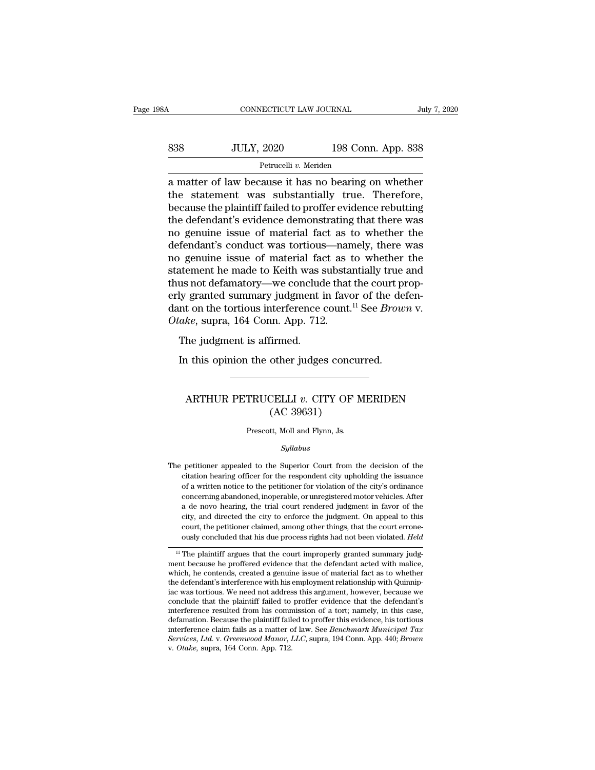| 98A | CONNECTICUT LAW JOURNAL |                    | July 7, 2020 |
|-----|-------------------------|--------------------|--------------|
| 838 | <b>JULY, 2020</b>       | 198 Conn. App. 838 |              |
|     | Petrucelli v. Meriden   |                    |              |

 $\begin{tabular}{ll} \multicolumn{2}{l}{{\text{conv6CrICUT LAW JOLPNAL}}} & \multicolumn{2}{l}{\text{July 7, 2020}}\\ \hline & {\text{S38}} & {\text{JULY, 2020}} & {\text{198 Conn. App. 838}}\\ \hline & \multicolumn{2}{l}{\text{Petucelli $v$. Meriden}}\\ \hline \end{tabular} \vline \text{a matter of law because it has no bearing on whether} \\ \hline the statement was substantially true. Therefore,} \\ \hline \end{tabular}$  $\begin{array}{r} \text{338} \\ \text{338} \end{array}$  JULY, 2020 198 Conn. App. 838<br>Petrucelli v. Meriden<br>a matter of law because it has no bearing on whether<br>the statement was substantially true. Therefore,<br>because the plaintiff failed to proff  $\begin{array}{r} \text{B38} & \text{JULY, } 2020 & \text{198 Conn. App. 838} \\ \hline \text{Petucelli } v. \text{ Meriden} \end{array}$ <br>a matter of law because it has no bearing on whether<br>the statement was substantially true. Therefore,<br>because the plaintiff failed to proffer evidenc S38 JULY, 2020 198 Conn. App. 838<br>
Petrucelli v. Meriden<br>
a matter of law because it has no bearing on whether<br>
the statement was substantially true. Therefore,<br>
because the plaintiff failed to proffer evidence rebutting<br> Petrucelli v. Meriden<br>
a matter of law because it has no bearing on whether<br>
the statement was substantially true. Therefore,<br>
because the plaintiff failed to proffer evidence rebutting<br>
the defendant's evidence demonstra Petrucelli v. Menden<br>
a matter of law because it has no bearing on whether<br>
the statement was substantially true. Therefore,<br>
because the plaintiff failed to proffer evidence rebutting<br>
the defendant's evidence demonstrati a matter of law because it has no bearing on whether<br>the statement was substantially true. Therefore,<br>because the plaintiff failed to proffer evidence rebutting<br>the defendant's evidence demonstrating that there was<br>no genu the statement was substantially true. Therefore,<br>because the plaintiff failed to proffer evidence rebutting<br>the defendant's evidence demonstrating that there was<br>no genuine issue of material fact as to whether the<br>defendan because the plaintiff failed to proffer evidence rebutting<br>the defendant's evidence demonstrating that there was<br>no genuine issue of material fact as to whether the<br>defendant's conduct was tortious—namely, there was<br>no ge the defendant's evidence demonstrating that there was<br>no genuine issue of material fact as to whether the<br>defendant's conduct was tortious—namely, there was<br>no genuine issue of material fact as to whether the<br>statement he no genuine issue of material fact as to whether the<br>defendant's conduct was tortious—namely, there was<br>no genuine issue of material fact as to whether the<br>statement he made to Keith was substantially true and<br>thus not defa defendant's conduct was tortious—nar<br>no genuine issue of material fact as t<br>statement he made to Keith was substa<br>thus not defamatory—we conclude that<br>erly granted summary judgment in fave<br>dant on the tortious interference Fundamental ratement he made to Keith was s<br>us not defamatory—we conclud<br>ly granted summary judgment is<br>int on the tortious interference of<br>*ake*, supra, 164 Conn. App. 712<br>The judgment is affirmed.<br>In this opinion the ot In this opinion the other judges conclude that the court ply granted summary judgment in favor of the detection of the detection of the tortious interference count.<sup>11</sup> See *Brow* ake, supra, 164 Conn. App. 712.<br>The judgm

## ke, supra, 164 Conn. App. 712.<br>he judgment is affirmed.<br>a this opinion the other judges concurred.<br>ARTHUR PETRUCELLI *v*. CITY OF MERIDEN<br>(AC 39631) firmed.<br>
other judges concu<br>
CELLI v. CITY OF I<br>
(AC 39631)<br>
tt, Moll and Flynn, Js. ARTHUR PETRUCELLI  $v$ . CITY OF MERIDEN<br>(AC 39631)<br>Prescott, Moll and Flynn, Js.

## *Syllabus*

 $(AC 39631)$ <br>Prescott, Moll and Flynn, Js.<br> $Syllabus$ <br>The petitioner appealed to the Superior Court from the decision of the citation hearing officer for the respondent city upholding the issuance Prescott, Moll and Flynn, Js.<br>
Syllabus<br>
petitioner appealed to the Superior Court from the decision of the<br>
citation hearing officer for the respondent city upholding the issuance<br>
of a written notice to the petitioner fo Prescott, Moll and Flynn, Js.<br>
Syllabus<br>
petitioner appealed to the Superior Court from the decision of the<br>
citation hearing officer for the respondent city upholding the issuance<br>
of a written notice to the petitioner fo Syllabus<br>
petitioner appealed to the Superior Court from the decision of the<br>
citation hearing officer for the respondent city upholding the issuance<br>
of a written notice to the petitioner for violation of the city's ordin sytuables<br>absolute the Superior Court from the decision of the<br>citation hearing officer for the respondent city upholding the issuance<br>of a written notice to the petitioner for violation of the city's ordinance<br>concerning petitioner appealed to the Superior Court from the decision of the citation hearing officer for the respondent city upholding the issuance of a written notice to the petitioner for violation of the city's ordinance concern exitation hearing officer for the respondent city upholding the issuance of a written notice to the petitioner for violation of the city's ordinance concerning abandoned, inoperable, or unregistered motor vehicles. After of a written notice to the petitioner for violation of the city's ordinance<br>concerning abandoned, inoperable, or unregistered motor vehicles. After<br>a de novo hearing, the trial court rendered judgment in favor of the<br>city, % concerning abandoned, inoperable, or unregistered motor vehicles. After a de novo hearing, the trial court rendered judgment in favor of the city, and directed the city to enforce the judgment. On appeal to this court, a de novo hearing, the trial court rendered judgment in favor of the city, and directed the city to enforce the judgment. On appeal to this court, the petitioner claimed, among other things, that the court errone-<br>ously co

city, and directed the city to enforce the judgment. On appeal to this court, the petitioner claimed, among other things, that the court errone-<br>ously concluded that his due process rights had not been violated. Held<br> $\frac{$ % court, the petitioner claimed, among other things, that the court errone-<br>ously concluded that his due process rights had not been violated. Held<br> $\frac{1}{11}$  The plaintiff argues that the court improperly granted summary ously concluded that his due process rights had not been violated. *Held*  $\overline{a}$  if The plaintiff argues that the court improperly granted summary judgment because he proffered evidence that the defendant acted with mal <sup>11</sup> The plaintiff argues that the court improperly granted summary judgment because he proffered evidence that the defendant acted with malice, which, he contends, created a genuine issue of material fact as to whether t <sup>11</sup> The plaintiff argues that the court improperly granted summary judgment because he proffered evidence that the defendant acted with malice, which, he contends, created a genuine issue of material fact as to whether t ment because he proffered evidence that the defendant acted with malice, which, he contends, created a genuine issue of material fact as to whether the defendant's interference with his employment relationship with Quinni which, he contends, created a genuine issue of material fact as to whether<br>the defendant's interference with his employment relationship with Quinnip-<br>iac was tortious. We need not address this argument, however, because w the defendant's interference with his employment relationship with Quinnip-<br>iac was tortious. We need not address this argument, however, because we<br>conclude that the plaintiff failed to proffer evidence that the defendant iac was tortious. We need not address<br>conclude that the plaintiff failed to<br>interference resulted from his comn<br>defamation. Because the plaintiff fail-<br>interference claim fails as a matter c<br>*Services, Ltd. v. Greenwood Ma*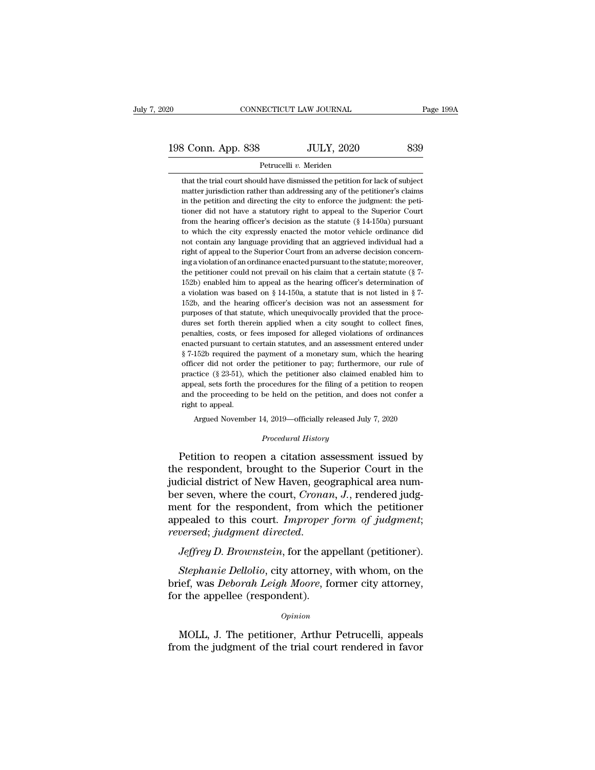## Petrucelli *v.* Meriden

that the trial court should have dismissed the petition for lack of subject<br>that the trial court should have dismissed the petition for lack of subject<br>in the jurisdiction rather than addressing any of the petitioner's cla matter jurisdiction rather than addressing any of the petitioner's claims in the petition rather than addressing any of the petitioner's claims in the petition and directing the city to enforce the judgment: the petitioner **198 Conn. App. 838** JULY, 2020 839<br>
Petrucelli v. Meriden<br>
that the trial court should have dismissed the petition for lack of subject<br>
matter jurisdiction rather than addressing any of the petitioner's claims<br>
in the pe Petrucelli v. Meriden<br>that the trial court should have dismissed the petition for lack of subject<br>matter jurisdiction rather than addressing any of the petitioner's claims<br>in the petition and directing the city to enforce Petrucelli v. Meriden<br>that the trial court should have dismissed the petition for lack of subject<br>matter jurisdiction rather than addressing any of the petitioner's claims<br>in the petition and directing the city to enforce that the trial court should have dismissed the petition for lack of subject<br>matter jurisdiction rather than addressing any of the petitioner's claims<br>in the petition and directing the city to enforce the judgment: the peti matter jurisdiction rather than addressing any of the petitioner's claims<br>in the petition and directing the city to enforce the judgment: the peti-<br>tioner did not have a statutory right to appeal to the Superior Court<br>from right of appeal to the Superior Court from an directing the city to enforce the judgment: the petitioner did not have a statutory right to appeal to the Superior Court from the hearing officer's decision as the statute  $(\$ in the period in the area statutory right to appeal to the Superior Court from the hearing officer's decision as the statute  $(\S 14-150a)$  pursuant to which the city expressly enacted the motor vehicle ordinance did not c from the hearing officer's decision as the statute (§ 14-150a) pursuant<br>to which the city expressly enacted the motor vehicle ordinance did<br>not contain any language providing that an aggrieved individual had a<br>right of ap 152b) enabled him to appeal as the motor vehicle ordinance did not contain any language providing that an aggrieved individual had a right of appeal to the Superior Court from an adverse decision concerning a violation of not contain any language providing that an aggrieved individual had a right of appeal to the Superior Court from an adverse decision concerning a violation of an ordinance enacted pursuant to the statute; moreover, the pe Fight of appeal to the Superior Court from an adverse decision concerning a violation of an ordinance enacted pursuant to the statute; moreover, the petitioner could not prevail on his claim that a certain statute (§ 7-15 ing a violation of an ordinance enacted pursuant to the statute; moreover, the petitioner could not prevail on his claim that a certain statute (§ 7-152b) enabled him to appeal as the hearing officer's determination of a dure is the petitioner could not prevail on his claim that a certain statute (§ 7-152b) enabled him to appeal as the hearing officer's determination of a violation was based on § 14-150a, a statute that is not listed in § If  $32b$ ) enabled him to appeal as the hearing officer's determination of a violation was based on § 14-150a, a statute that is not listed in § 7-152b, and the hearing officer's decision was not an assessment for purposes Encourage and the hearing officer's decision was not in statute that is not listed in §7-<br>152b, and the hearing officer's decision was not an assessment for<br>purposes of that statute, which unequivocally provided that the Figs. and the hearing officer's decision was not an assessment for purposes of that statute, which unequivocally provided that the procedures set forth therein applied when a city sought to collect fines, penalties, costs, below that statute, which unequivocally provided that the procedures set forth therein applied when a city sought to collect fines, penalties, costs, or fees imposed for alleged violations of ordinances enacted pursuant t purpet set forth therein applied when a city sought to collect fines,<br>dures set forth therein applied when a city sought to collect fines,<br>penalties, costs, or fees imposed for alleged violations of ordinances<br>enacted purs appeal ties, costs, or fees imposed for alleged violations of ordinances<br>enacted pursuant to certain statutes, and an assessment entered under<br>§7-152b required the payment of a monetary sum, which the hearing<br>officer did n enacted pursuant to certain statutes, and an assessment entered under<br>§7-152b required the payment of a monetary sum, which the hearing<br>officer did not order the petitioner to pay; furthermore, our rule of<br>practice (§23-51 § 7-152b required the officer did not order<br>practice (§ 23-51), wappeal, sets forth the and the proceeding<br>right to appeal.<br>Argued Novembe practice (§ 23-51), which the petitioner also claimed enabled him to appeal, sets forth the procedures for the filing of a petition to reopen and the proceeding to be held on the petition, and does not confer a right to a appeal, sets forth the procedures for the filing of a petition to reopen<br>and the proceeding to be held on the petition, and does not confer a<br>right to appeal.<br>Argued November 14, 2019—officially released July 7, 2020<br>*Proc* praeade (s 25 02), which are periable that the characteristic and the procedures for the filing of a petition to reopen<br>and the procedurg to be held on the petition, and does not confer a<br>right to appeal.<br>Argued November 1

and the proceeding to be held on the petition, and does not confer a<br>right to appeal.<br>Argued November 14, 2019—officially released July 7, 2020<br>*Procedural History*<br>Petition to reopen a citation assessment issued by<br>the re right to appeal.<br>
Argued November 14, 2019—officially released July 7, 2020<br>
Procedural History<br>
Petition to reopen a citation assessment issued by<br>
the respondent, brought to the Superior Court in the<br>
judicial district o Argued November 14, 2019—officially released July 7, 2020<br> *Procedural History*<br>
Petition to reopen a citation assessment issued by<br>
the respondent, brought to the Superior Court in the<br>
judicial district of New Haven, geo Procedural History<br>
Petition to reopen a citation assessment issued by<br>
the respondent, brought to the Superior Court in the<br>
judicial district of New Haven, geographical area num-<br>
ber seven, where the court, Cronan, J., Procedural History<br>Petition to reopen a citation assessment issued by<br>the respondent, brought to the Superior Court in the<br>judicial district of New Haven, geographical area num-<br>ber seven, where the court, *Cronan*, *J*., Petition to reopen a citation assessment issued by<br>the respondent, brought to the Superior Court in the<br>judicial district of New Haven, geographical area num-<br>ber seven, where the court, *Cronan*, *J*., rendered judg-<br>ment *Stephanie the court, Cronan, J., rendered judgent for the respondent, from which the petitioner*<br>pealed to this court. *Improper form of judgment*;<br>*versed; judgment directed.*<br>*Jeffrey D. Brownstein, for the appellant (p* ment for the respondent, from which the petitioner<br>appealed to this court. *Improper form of judgment*;<br>*reversed*; *judgment directed.*<br>*Jeffrey D. Brownstein*, for the appellant (petitioner).<br>*Stephanie Dellolio*, city a

appealed to this court. *Improper*<br>reversed; judgment directed.<br>Jeffrey D. Brownstein, for the app<br>Stephanie Dellolio, city attorney,<br>brief, was Deborah Leigh Moore, for<br>the appellee (respondent).<br>opinion Stephanie Dellolio, city attorney, with whom, on the<br>ief, was Deborah Leigh Moore, former city attorney,<br>r the appellee (respondent).<br>Opinion<br>MOLL, J. The petitioner, Arthur Petrucelli, appeals<br>bm the judgment of the trial Stephanie Dellolio, city attorney, with whom, on the<br>brief, was Deborah Leigh Moore, former city attorney,<br>for the appellee (respondent).<br> $o_{pinion}$ <br>MOLL, J. The petitioner, Arthur Petrucelli, appeals<br>from the judgment of the

## *Opinion*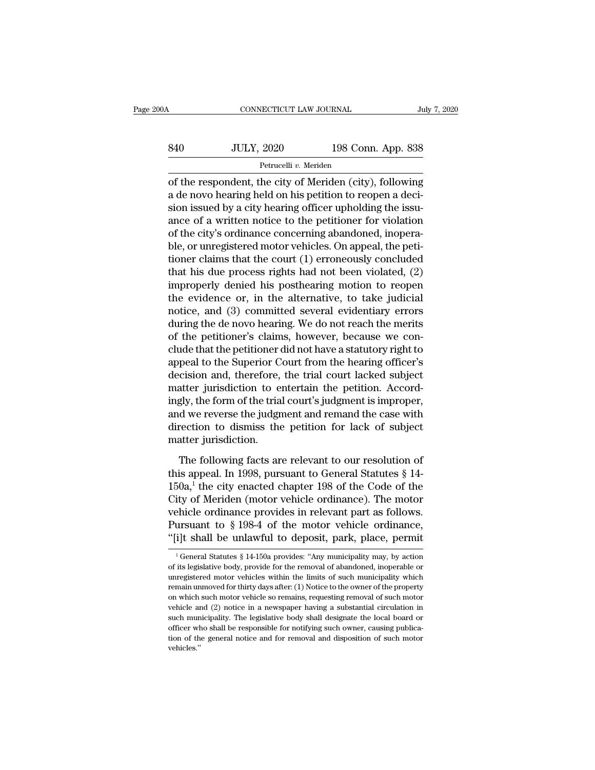| 0A  | CONNECTICUT LAW JOURNAL |                    | July 7, 2020 |
|-----|-------------------------|--------------------|--------------|
| 840 | <b>JULY, 2020</b>       | 198 Conn. App. 838 |              |
|     | Petrucelli v. Meriden   |                    |              |

CONNECTICUT LAW JOURNAL July 7, 2020<br>
S40 JULY, 2020 198 Conn. App. 838<br>
Petrucelli v. Meriden<br>
of the respondent, the city of Meriden (city), following<br>
a de novo hearing held on his petition to reopen a deci-840 JULY, 2020 198 Conn. App. 838<br>
Petrucelli v. Meriden<br>
of the respondent, the city of Meriden (city), following<br>
a de novo hearing held on his petition to reopen a deci-<br>
sion issued by a city hearing officer upholding SEN SEN SEN SEN SEN SEND THE SENSE OF SENSINGLENCE DETERMINIST OF the respondent, the city of Meriden (city), following a de novo hearing held on his petition to reopen a decision issued by a city hearing officer upholdin ance of a written notice to the petitioner for violation Petrucelli v. Meriden<br>
of the respondent, the city of Meriden (city), following<br>
a de novo hearing held on his petition to reopen a deci-<br>
sion issued by a city hearing officer upholding the issu-<br>
ance of a written notic between v. Meriden (city), following<br>of the respondent, the city of Meriden (city), following<br>a de novo hearing held on his petition to reopen a deci-<br>sion issued by a city hearing officer upholding the issu-<br>ance of a wr of the respondent, the city of Meriden (city), following<br>a de novo hearing held on his petition to reopen a deci-<br>sion issued by a city hearing officer upholding the issu-<br>ance of a written notice to the petitioner for vio a de novo hearing held on his petition to reopen a decision issued by a city hearing officer upholding the issu-<br>ance of a written notice to the petitioner for violation<br>of the city's ordinance concerning abandoned, inoper sion issued by a city hearing officer upholding the issu-<br>ance of a written notice to the petitioner for violation<br>of the city's ordinance concerning abandoned, inopera-<br>ble, or unregistered motor vehicles. On appeal, the ance of a written notice to the petitioner for violation<br>of the city's ordinance concerning abandoned, inopera-<br>ble, or unregistered motor vehicles. On appeal, the peti-<br>tioner claims that the court (1) erroneously conclud of the city's ordinance concerning abandoned, inopera-<br>ble, or unregistered motor vehicles. On appeal, the peti-<br>tioner claims that the court (1) erroneously concluded<br>that his due process rights had not been violated, (2) ble, or unregistered motor vehicles. On appeal, the petitioner claims that the court (1) erroneously concluded that his due process rights had not been violated, (2) improperly denied his posthearing motion to reopen the e tioner claims that the court (1) erroneously concluded<br>that his due process rights had not been violated, (2)<br>improperly denied his posthearing motion to reopen<br>the evidence or, in the alternative, to take judicial<br>notice, that his due process rights had not been violated, (2)<br>improperly denied his posthearing motion to reopen<br>the evidence or, in the alternative, to take judicial<br>notice, and (3) committed several evidentiary errors<br>during th improperly denied his posthearing motion to reopen<br>the evidence or, in the alternative, to take judicial<br>notice, and (3) committed several evidentiary errors<br>during the de novo hearing. We do not reach the merits<br>of the pe the evidence or, in the alternative, to take judicial<br>notice, and (3) committed several evidentiary errors<br>during the de novo hearing. We do not reach the merits<br>of the petitioner's claims, however, because we con-<br>clude t notice, and (3) committed several evidentiary errors<br>during the de novo hearing. We do not reach the merits<br>of the petitioner's claims, however, because we con-<br>clude that the petitioner did not have a statutory right to<br>a during the de novo hearing. We do not reach the merits<br>of the petitioner's claims, however, because we con-<br>clude that the petitioner did not have a statutory right to<br>appeal to the Superior Court from the hearing officer' of the petitioner's claims, however, because we conclude that the petitioner did not have a statutory right to appeal to the Superior Court from the hearing officer's decision and, therefore, the trial court lacked subject clude that the petitioner did not have a statutory right to<br>appeal to the Superior Court from the hearing officer's<br>decision and, therefore, the trial court lacked subject<br>matter jurisdiction to entertain the petition. Acc appeal to the Superior C<br>decision and, therefore,<br>matter jurisdiction to e<br>ingly, the form of the tria<br>and we reverse the judgr<br>direction to dismiss the<br>matter jurisdiction.<br>The following facts ar Fraction is entertain the petition. Accord-<br>gly, the form of the trial court's judgment is improper,<br>d we reverse the judgment and remand the case with<br>rection to dismiss the petition for lack of subject<br>atter jurisdictio ingly, the form of the trial court's judgment is improper,<br>and we reverse the judgment and remand the case with<br>direction to dismiss the petition for lack of subject<br>matter jurisdiction.<br>The following facts are relevant t

and we reverse the judgment and remand the case with<br>direction to dismiss the petition for lack of subject<br>matter jurisdiction.<br>The following facts are relevant to our resolution of<br>this appeal. In 1998, pursuant to Gener direction to dismiss the petition for lack of subject<br>matter jurisdiction.<br>The following facts are relevant to our resolution of<br>this appeal. In 1998, pursuant to General Statutes § 14-<br>150a,<sup>1</sup> the city enacted chapter 1 matter jurisdiction.<br>
The following facts are relevant to our resolution of<br>
this appeal. In 1998, pursuant to General Statutes § 14-<br>
150a,<sup>1</sup> the city enacted chapter 198 of the Code of the<br>
City of Meriden (motor vehic The following facts are relevant to our resolution of<br>this appeal. In 1998, pursuant to General Statutes  $\S$  14-<br>150a,<sup>1</sup> the city enacted chapter 198 of the Code of the<br>City of Meriden (motor vehicle ordinance). The moto The following facts are relevant to our resolution of<br>this appeal. In 1998, pursuant to General Statutes § 14-<br>150a,<sup>1</sup> the city enacted chapter 198 of the Code of the<br>City of Meriden (motor vehicle ordinance). The motor<br> City of Meriden (motor vehicle ordinance). The motor vehicle ordinance provides in relevant part as follows.<br>Pursuant to § 198-4 of the motor vehicle ordinance, "[i]t shall be unlawful to deposit, park, place, permit  $\frac{$ vehicle ordinance provides in relevant part as follows.<br>Pursuant to § 198-4 of the motor vehicle ordinance,<br>"[i]t shall be unlawful to deposit, park, place, permit<br> $\frac{1}{1}$ General Statutes § 14-150a provides: "Any munici

Pursuant to § 198-4 of the motor vehicle ordinance,<br>"[i]t shall be unlawful to deposit, park, place, permit<br> $\frac{1}{1}$ General Statutes § 14-150a provides: "Any municipality may, by action<br>of its legislative body, provide f "[i]t shall be unlawful to deposit, park, place, permit<br>  $\frac{1}{1}$  General Statutes § 14-150a provides: "Any municipality may, by action<br>
of its legislative body, provide for the removal of abandoned, inoperable or<br>
unreg The situation of the untawitation deposit, part, part, pace, perfilm<br>
<sup>1</sup> General Statutes § 14-150a provides: "Any municipality may, by action<br>
of its legislative body, provide for the removal of abandoned, inoperable or <sup>1</sup> General Statutes § 14-150a provides: "Any municipality may, by action of its legislative body, provide for the removal of abandoned, inoperable or unregistered motor vehicles within the limits of such municipality whi of its legislative body, provide for the removal of abandoned, inoperable or unregistered motor vehicles within the limits of such municipality which remain unmoved for thirty days after: (1) Notice to the owner of the pro unregistered motor vehicles within the limits of such municipality which<br>remain unmoved for thirty days after: (1) Notice to the owner of the property<br>on which such motor vehicle so remains, requesting removal of such mot remain unmoved for thirty days after: (1) Notice to the owner of the property vehicles.''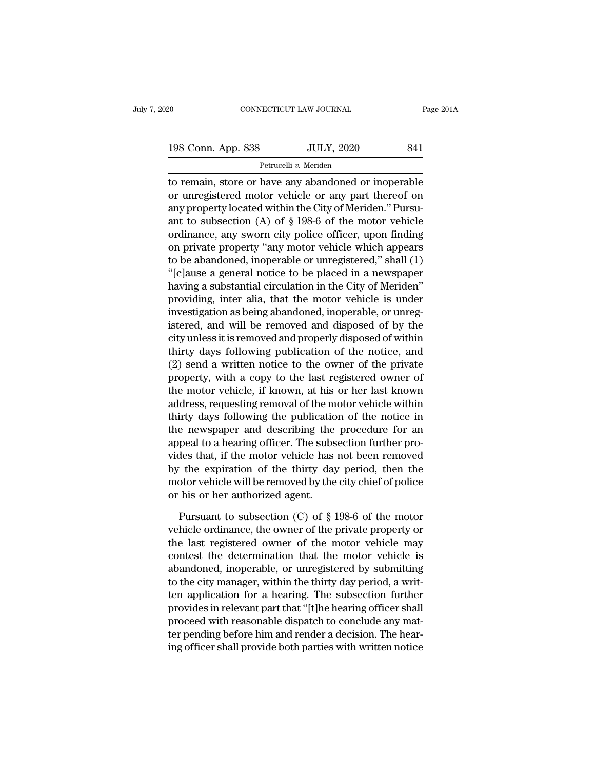Petrucelli *v.* Meriden

Fage 2014<br>
198 Conn. App. 838 JULY, 2020 841<br>
Petrucelli v. Meriden<br>
to remain, store or have any abandoned or inoperable<br>
or unregistered motor vehicle or any part thereof on<br>
any property leaded within the City of Meride 198 Conn. App. 838 JULY, 2020 841<br>Petrucelli v. Meriden<br>to remain, store or have any abandoned or inoperable<br>or unregistered motor vehicle or any part thereof on<br>any property located within the City of Meriden." Pursu-<br>an 198 Conn. App. 838 JULY, 2020 841<br>
Petrucelli v. Meriden<br>
to remain, store or have any abandoned or inoperable<br>
or unregistered motor vehicle or any part thereof on<br>
any property located within the City of Meriden.'' Pursu 198 Conn. App. 838 JULY, 2020 841<br>
Petrucelli v. Meriden<br>
to remain, store or have any abandoned or inoperable<br>
or unregistered motor vehicle or any part thereof on<br>
any property located within the City of Meriden." Pursu Petrucelli v. Meriden<br>
to remain, store or have any abandoned or inoperable<br>
or unregistered motor vehicle or any part thereof on<br>
any property located within the City of Meriden." Pursu-<br>
ant to subsection (A) of § 198-6 required by Merdian Controllery and the property of the property located within the City of Meriden." Pursuant to subsection (A) of  $\S$  198-6 of the motor vehicle ordinance, any sworn city police officer, upon finding on to remain, store or have any abandoned or inoperable<br>or unregistered motor vehicle or any part thereof on<br>any property located within the City of Meriden." Pursu-<br>ant to subsection (A) of § 198-6 of the motor vehicle<br>ordin or unregistered motor vehicle or any part thereof on<br>any property located within the City of Meriden." Pursu-<br>ant to subsection (A) of § 198-6 of the motor vehicle<br>ordinance, any sworn city police officer, upon finding<br>on any property located within the City of Meriden." Pursu-<br>ant to subsection (A) of § 198-6 of the motor vehicle<br>ordinance, any sworn city police officer, upon finding<br>on private property "any motor vehicle which appears<br>to ant to subsection (A) of  $\S$  198-6 of the motor vehicle<br>ordinance, any sworn city police officer, upon finding<br>on private property "any motor vehicle which appears<br>to be abandoned, inoperable or unregistered," shall (1)<br>" ordinance, any sworn city police officer, upon finding<br>on private property "any motor vehicle which appears<br>to be abandoned, inoperable or unregistered," shall (1)<br>"[c]ause a general notice to be placed in a newspaper<br>havi on private property "any motor vehicle which appears<br>to be abandoned, inoperable or unregistered," shall (1)<br>"[c]ause a general notice to be placed in a newspaper<br>having a substantial circulation in the City of Meriden"<br>pr to be abandoned, inoperable or unregistered," shall (1)<br>"[c]ause a general notice to be placed in a newspaper<br>having a substantial circulation in the City of Meriden"<br>providing, inter alia, that the motor vehicle is under<br> "[c]ause a general notice to be placed in a newspaper<br>having a substantial circulation in the City of Meriden"<br>providing, inter alia, that the motor vehicle is under<br>investigation as being abandoned, inoperable, or unreg-<br> having a substantial circulation in the City of Meriden"<br>providing, inter alia, that the motor vehicle is under<br>investigation as being abandoned, inoperable, or unreg-<br>istered, and will be removed and disposed of by the<br>ci providing, inter alia, that the motor vehicle is under<br>investigation as being abandoned, inoperable, or unreg-<br>istered, and will be removed and disposed of by the<br>city unless it is removed and properly disposed of within<br>t investigation as being abandoned, inoperable, or unregistered, and will be removed and disposed of by the city unless it is removed and properly disposed of within thirty days following publication of the notice, and (2) s istered, and will be removed and disposed of by the<br>city unless it is removed and properly disposed of within<br>thirty days following publication of the notice, and<br>(2) send a written notice to the owner of the private<br>prope city unless it is removed and properly disposed of within<br>thirty days following publication of the notice, and<br>(2) send a written notice to the owner of the private<br>property, with a copy to the last registered owner of<br>the thirty days following publication of the notice, and<br>(2) send a written notice to the owner of the private<br>property, with a copy to the last registered owner of<br>the motor vehicle, if known, at his or her last known<br>address (2) send a written notice to the owner of the private<br>property, with a copy to the last registered owner of<br>the motor vehicle, if known, at his or her last known<br>address, requesting removal of the motor vehicle within<br>thi property, with a copy to the last registered owner of<br>the motor vehicle, if known, at his or her last known<br>address, requesting removal of the motor vehicle within<br>thirty days following the publication of the notice in<br>the the motor vehicle, if known, at his or her last known<br>address, requesting removal of the motor vehicle within<br>thirty days following the publication of the notice in<br>the newspaper and describing the procedure for an<br>appeal address, requesting removal of the motor vehicle within<br>thirty days following the publication of the notice in<br>the newspaper and describing the procedure for an<br>appeal to a hearing officer. The subsection further pro-<br>vide thirty days following the publicatio<br>the newspaper and describing the<br>appeal to a hearing officer. The subs<br>vides that, if the motor vehicle has<br>by the expiration of the thirty day<br>motor vehicle will be removed by the<br>or h peal to a hearing officer. The subsection further pro-<br>des that, if the motor vehicle has not been removed<br>the expiration of the thirty day period, then the<br>otor vehicle will be removed by the city chief of police<br>his or h vides that, if the motor vehicle has not been removed<br>by the expiration of the thirty day period, then the<br>motor vehicle will be removed by the city chief of police<br>or his or her authorized agent.<br>Pursuant to subsection (C

by the expiration of the thirty day period, then the<br>motor vehicle will be removed by the city chief of police<br>or his or her authorized agent.<br>Pursuant to subsection (C) of  $\S$  198-6 of the motor<br>vehicle ordinance, the ow motor vehicle will be removed by the city chief of police<br>or his or her authorized agent.<br>Pursuant to subsection (C) of  $\S$  198-6 of the motor<br>vehicle ordinance, the owner of the private property or<br>the last registered ow or his or her authorized agent.<br>
Pursuant to subsection (C) of § 198-6 of the motor<br>
vehicle ordinance, the owner of the private property or<br>
the last registered owner of the motor vehicle may<br>
contest the determination th Pursuant to subsection (C) of  $\S$  198-6 of the motor<br>vehicle ordinance, the owner of the private property or<br>the last registered owner of the motor vehicle may<br>contest the determination that the motor vehicle is<br>abandoned Pursuant to subsection (C) of  $\S$  198-6 of the motor<br>vehicle ordinance, the owner of the private property or<br>the last registered owner of the motor vehicle may<br>contest the determination that the motor vehicle is<br>abandoned vehicle ordinance, the owner of the private property or<br>the last registered owner of the motor vehicle may<br>contest the determination that the motor vehicle is<br>abandoned, inoperable, or unregistered by submitting<br>to the cit the last registered owner of the motor vehicle may<br>contest the determination that the motor vehicle is<br>abandoned, inoperable, or unregistered by submitting<br>to the city manager, within the thirty day period, a writ-<br>ten app contest the determination that the motor vehicle is<br>abandoned, inoperable, or unregistered by submitting<br>to the city manager, within the thirty day period, a writ-<br>ten application for a hearing. The subsection further<br>prov abandoned, inoperable, or unregistered by submitting<br>to the city manager, within the thirty day period, a writ-<br>ten application for a hearing. The subsection further<br>provides in relevant part that "[t]he hearing officer sh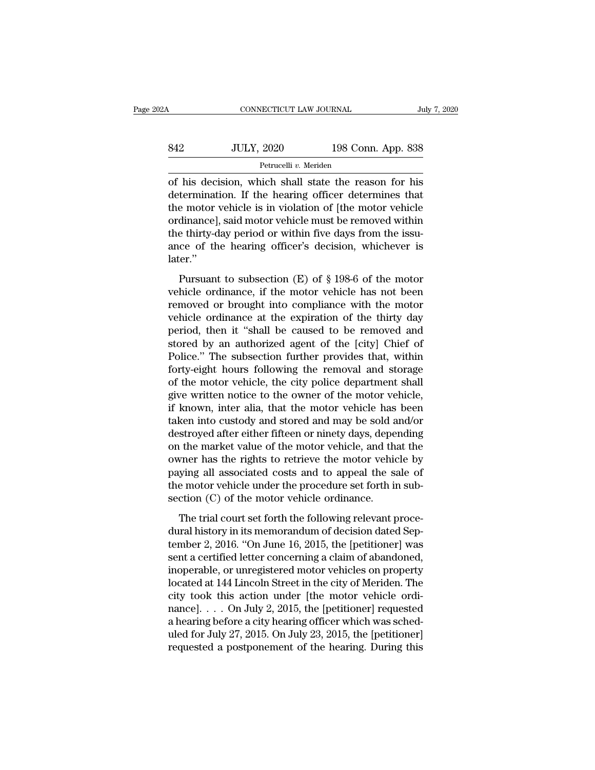| 02A | CONNECTICUT LAW JOURNAL |                    | July 7, 2020 |
|-----|-------------------------|--------------------|--------------|
|     |                         |                    |              |
| 842 | <b>JULY, 2020</b>       | 198 Conn. App. 838 |              |
|     | Petrucelli v. Meriden   |                    |              |

CONNECTICUT LAW JOURNAL July 7, 2020<br>  $342$  JULY, 2020 198 Conn. App. 838<br>
Petrucelli v. Meriden<br>
of his decision, which shall state the reason for his<br>
determination. If the hearing officer determines that<br>
the motor vob  $\begin{array}{r} \text{342} & \text{JULY, 2020} & \text{198 Conn. App. 838} \\ \text{Petrucelli } v. \text{ Meriden} \end{array}$  of his decision, which shall state the reason for his determination. If the hearing officer determines that the motor vehicle is in violation of [the mo  $t_{\text{H}}$   $\frac{198 \text{ Conn. App. 838}}{198 \text{ Conn. App. 838}}$ <br>  $\frac{238 \text{ Petrucelli } v. \text{ Meriden}}{100 \text{ Its}}$ <br>
of his decision, which shall state the reason for his<br>
determination. If the hearing officer determines that<br>
the motor vehicle is in vio  $\frac{\text{S42}}{\text{S42}}$  JULY, 2020 198 Conn. App. 838<br>
Petrucelli v. Meriden<br>
of his decision, which shall state the reason for his<br>
determination. If the hearing officer determines that<br>
the motor vehicle is in violation of [ Petrucelli  $v$ . Meriden<br>
of his decision, which shall state the reason for his<br>
determination. If the hearing officer determines that<br>
the motor vehicle is in violation of [the motor vehicle<br>
ordinance], said motor vehicl Funcem's. Meriden<br>of his decision, which shall state the reason for his<br>determination. If the hearing officer determines that<br>the motor vehicle is in violation of [the motor vehicle<br>ordinance], said motor vehicle must be later.'' Furnificantly in the notality of the motor vehicle<br>e motor vehicle is in violation of [the motor vehicle<br>dinance], said motor vehicle must be removed within<br>e thirty-day period or within five days from the issu-<br>ce of the ordinance], said motor vehicle must be removed within<br>the thirty-day period or within five days from the issu-<br>ance of the hearing officer's decision, whichever is<br>later."<br>Pursuant to subsection (E) of  $\S$  198-6 of the mo

the thirty-day period or within five days from the issu-<br>ance of the hearing officer's decision, whichever is<br>later."<br>Pursuant to subsection (E) of  $\S$  198-6 of the motor<br>vehicle ordinance, if the motor vehicle has not be ance of the hearing officer's decision, whichever is<br>later."<br>Pursuant to subsection (E) of  $\S$  198-6 of the motor<br>vehicle ordinance, if the motor vehicle has not been<br>removed or brought into compliance with the motor<br>vehi period, the model of the motor period, then it wishes the removed or brought into compliance with the motor vehicle ordinance at the expiration of the thirty day period, then it "shall be caused to be removed and stored by Pursuant to subsection (E) of  $\S$  198-6 of the motor<br>vehicle ordinance, if the motor vehicle has not been<br>removed or brought into compliance with the motor<br>vehicle ordinance at the expiration of the thirty day<br>period, the Pursuant to subsection (E) of § 198-6 of the motor<br>vehicle ordinance, if the motor vehicle has not been<br>removed or brought into compliance with the motor<br>vehicle ordinance at the expiration of the thirty day<br>period, then i vehicle ordinance, if the motor vehicle has not been<br>removed or brought into compliance with the motor<br>vehicle ordinance at the expiration of the thirty day<br>period, then it "shall be caused to be removed and<br>stored by an a removed or brought into compliance with the motor<br>vehicle ordinance at the expiration of the thirty day<br>period, then it "shall be caused to be removed and<br>stored by an authorized agent of the [city] Chief of<br>Police." The s vehicle ordinance at the expiration of the thirty day<br>period, then it "shall be caused to be removed and<br>stored by an authorized agent of the [city] Chief of<br>Police." The subsection further provides that, within<br>forty-eigh period, then it "shall be caused to be removed and<br>stored by an authorized agent of the [city] Chief of<br>Police." The subsection further provides that, within<br>forty-eight hours following the removal and storage<br>of the motor stored by an authorized agent of the [city] Chief of<br>Police." The subsection further provides that, within<br>forty-eight hours following the removal and storage<br>of the motor vehicle, the city police department shall<br>give wri Police." The subsection further provides that, within<br>forty-eight hours following the removal and storage<br>of the motor vehicle, the city police department shall<br>give written notice to the owner of the motor vehicle,<br>if kno forty-eight hours following the removal and storage<br>of the motor vehicle, the city police department shall<br>give written notice to the owner of the motor vehicle,<br>if known, inter alia, that the motor vehicle has been<br>taken of the motor vehicle, the city police department shall<br>give written notice to the owner of the motor vehicle,<br>if known, inter alia, that the motor vehicle has been<br>taken into custody and stored and may be sold and/or<br>destr give written notice to the owner of the motor vehicle,<br>if known, inter alia, that the motor vehicle has been<br>taken into custody and stored and may be sold and/or<br>destroyed after either fifteen or ninety days, depending<br>on if known, inter alia, that the motor vehicle has been<br>taken into custody and stored and may be sold and/or<br>destroyed after either fifteen or ninety days, depending<br>on the market value of the motor vehicle, and that the<br>own taken into custody and stored and may be sold a<br>destroyed after either fifteen or ninety days, depe<br>on the market value of the motor vehicle, and th.<br>owner has the rights to retrieve the motor vehic<br>paying all associated c the market value of the motor vehicle, and that the<br>vner has the rights to retrieve the motor vehicle by<br>ying all associated costs and to appeal the sale of<br>e motor vehicle under the procedure set forth in sub-<br>ction (C) owner has the rights to retrieve the motor vehicle by<br>paying all associated costs and to appeal the sale of<br>the motor vehicle under the procedure set forth in sub-<br>section (C) of the motor vehicle ordinance.<br>The trial cour

paying all associated costs and to appeal the sale of<br>the motor vehicle under the procedure set forth in sub-<br>section (C) of the motor vehicle ordinance.<br>The trial court set forth the following relevant proce-<br>dural histor Fig. 5<br>the motor vehicle under the procedure set forth in subsection (C) of the motor vehicle ordinance.<br>The trial court set forth the following relevant proce-<br>dural history in its memorandum of decision dated Sep-<br>tember section (C) of the motor vehicle ordinance.<br>The trial court set forth the following relevant procedural history in its memorandum of decision dated September 2, 2016. "On June 16, 2015, the [petitioner] was<br>sent a certifie The trial court set forth the following relevant proce-<br>dural history in its memorandum of decision dated Sep-<br>tember 2, 2016. "On June 16, 2015, the [petitioner] was<br>sent a certified letter concerning a claim of abandone The trial court set forth the following relevant procedural history in its memorandum of decision dated September 2, 2016. "On June 16, 2015, the [petitioner] was sent a certified letter concerning a claim of abandoned, in dural history in its memorandum of decision dated September 2, 2016. "On June 16, 2015, the [petitioner] was<br>sent a certified letter concerning a claim of abandoned,<br>inoperable, or unregistered motor vehicles on property<br>l tember 2, 2016. "On June 16, 2015, the [petitioner] was<br>sent a certified letter concerning a claim of abandoned,<br>inoperable, or unregistered motor vehicles on property<br>located at 144 Lincoln Street in the city of Meriden. sent a certified letter concerning a claim of abandoned,<br>inoperable, or unregistered motor vehicles on property<br>located at 144 Lincoln Street in the city of Meriden. The<br>city took this action under [the motor vehicle ordiinoperable, or unregistered motor vehicles on property<br>located at 144 Lincoln Street in the city of Meriden. The<br>city took this action under [the motor vehicle ordi-<br>nance]. . . . On July 2, 2015, the [petitioner] request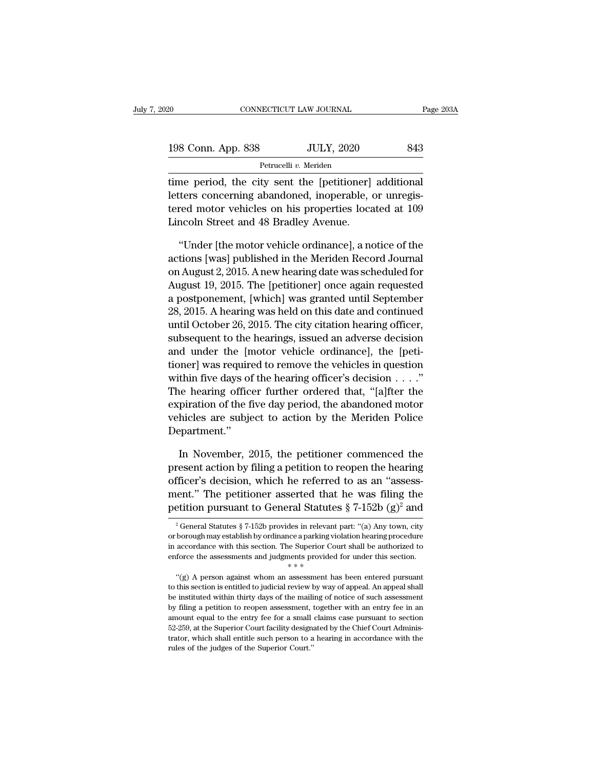| 20                 | CONNECTICUT LAW JOURNAL | Page 203A |
|--------------------|-------------------------|-----------|
| 198 Conn. App. 838 | <b>JULY, 2020</b>       | 843       |
|                    | Petrucelli v. Meriden   |           |

CONNECTICUT LAW JOURNAL Page 20:<br>
198 Conn. App. 838 JULY, 2020 843<br>
Petrucelli v. Meriden<br>
time period, the city sent the [petitioner] additional<br>
letters concerning abandoned, inoperable, or unregis-198 Conn. App. 838 JULY, 2020 843<br>
Petrucelli v. Meriden<br>
time period, the city sent the [petitioner] additional<br>
letters concerning abandoned, inoperable, or unregis-<br>
tered motor vehicles on his properties located at 109 198 Conn. App. 838 JULY, 2020 843<br>
Petrucelli v. Meriden<br>
time period, the city sent the [petitioner] additional<br>
letters concerning abandoned, inoperable, or unregis-<br>
tered motor vehicles on his properties located at 109 198 Conn. App. 838 JULY, 2020<br>
Petrucelli v. Meriden<br>
time period, the city sent the [petitioner]<br>
letters concerning abandoned, inoperable, dered motor vehicles on his properties loca<br>
Lincoln Street and 48 Bradley Avenue Petrucelli v. Menden<br>
me period, the city sent the [petitioner] additional<br>
ters concerning abandoned, inoperable, or unregis-<br>
red motor vehicles on his properties located at 109<br>
mcoln Street and 48 Bradley Avenue.<br>
"Und time period, the city sent the [petitioner] additional<br>letters concerning abandoned, inoperable, or unregis-<br>tered motor vehicles on his properties located at 109<br>Lincoln Street and 48 Bradley Avenue.<br>"Under [the motor veh

letters concerning abandoned, inoperable, or unregistered motor vehicles on his properties located at 109<br>Lincoln Street and 48 Bradley Avenue.<br>"Under [the motor vehicle ordinance], a notice of the<br>actions [was] published tered motor vehicles on his properties located at 109<br>Lincoln Street and 48 Bradley Avenue.<br>"Under [the motor vehicle ordinance], a notice of the<br>actions [was] published in the Meriden Record Journal<br>on August 2, 2015. A n Lincoln Street and 48 Bradley Avenue.<br>
"Under [the motor vehicle ordinance], a notice of the<br>
actions [was] published in the Meriden Record Journal<br>
on August 2, 2015. A new hearing date was scheduled for<br>
August 19, 2015. "Under [the motor vehicle ordinance], a notice of the<br>actions [was] published in the Meriden Record Journal<br>on August 2, 2015. A new hearing date was scheduled for<br>August 19, 2015. The [petitioner] once again requested<br>a p "Under [the motor venicle ordinance], a notice of the<br>actions [was] published in the Meriden Record Journal<br>on August 2, 2015. A new hearing date was scheduled for<br>August 19, 2015. The [petitioner] once again requested<br>a p actions [was] published in the Meriden Record Journal<br>on August 2, 2015. A new hearing date was scheduled for<br>August 19, 2015. The [petitioner] once again requested<br>a postponement, [which] was granted until September<br>28, 2 on August 2, 2015. A new nearing date was scheduled for<br>August 19, 2015. The [petitioner] once again requested<br>a postponement, [which] was granted until September<br>28, 2015. A hearing was held on this date and continued<br>unt August 19, 2015. The [petitioner] once again requested<br>a postponement, [which] was granted until September<br>28, 2015. A hearing was held on this date and continued<br>until October 26, 2015. The city citation hearing officer, a postponement, [wnich] was granted until September<br>28, 2015. A hearing was held on this date and continued<br>until October 26, 2015. The city citation hearing officer,<br>subsequent to the hearings, issued an adverse decision<br> 28, 2015. A nearing was neid on this date and continued<br>until October 26, 2015. The city citation hearing officer,<br>subsequent to the hearings, issued an adverse decision<br>and under the [motor vehicle ordinance], the [petiuntil October 26, 2015. The city citation hearing officer,<br>subsequent to the hearings, issued an adverse decision<br>and under the [motor vehicle ordinance], the [peti-<br>tioner] was required to remove the vehicles in question<br> subsequent to the nearings, issued an adverse decision<br>and under the [motor vehicle ordinance], the [peti-<br>tioner] was required to remove the vehicles in question<br>within five days of the hearing officer's decision  $\dots$ ."<br> Department.'' thin five days of the hearing officer's decision  $\ldots$ ."<br>
ie hearing officer further ordered that, "[a]fter the<br>
piration of the five day period, the abandoned motor<br>
hicles are subject to action by the Meriden Police<br>
pa The hearing officer further ordered that, "[a]fter the<br>expiration of the five day period, the abandoned motor<br>vehicles are subject to action by the Meriden Police<br>Department."<br>In November, 2015, the petitioner commenced th

expiration of the five day period, the abandoned motor<br>
vehicles are subject to action by the Meriden Police<br>
Department."<br>
In November, 2015, the petitioner commenced the<br>
present action by filing a petition to reopen th vehicles are subject to action by the Meriden Police<br>Department."<br>In November, 2015, the petitioner commenced the<br>present action by filing a petition to reopen the hearing<br>officer's decision, which he referred to as an "a Department."<br>
In November, 2015, the petitioner commenced the<br>
present action by filing a petition to reopen the hearing<br>
officer's decision, which he referred to as an "assess-<br>
ment." The petitioner asserted that he was present action by filing a petition to reopen the hearing<br>officer's decision, which he referred to as an "assess-<br>ment." The petitioner asserted that he was filing the<br>petition pursuant to General Statutes  $\S 7-152b (g)^2$  officer's decision, which he referred to as an "assess-<br>ment." The petitioner asserted that he was filing the<br>petition pursuant to General Statutes § 7-152b (g)<sup>2</sup> and<br> $\frac{1}{2}$  General Statutes § 7-152b provides in relev

ment." The petitioner asserted that he was filing the petition pursuant to General Statutes  $\S 7-152b (g)^2$  and  $\frac{1}{3}$  General Statutes  $\S 7-152b$  provides in relevant part: "(a) Any town, city or borough may establish **petition pursuant to General Statutes** § 7-152b (g)<sup>2</sup> and<br>
<sup>2</sup> General Statutes § 7-152b provides in relevant part: "(a) Any town, city<br>
or borough may establish by ordinance a parking violation hearing procedure<br>
in ac <sup>2</sup> General Statutes § 7-152b provides in relevant part: "(a) Any town, city<br>borough may establish by ordinance a parking violation hearing procedure<br>accordance with this section. The Superior Court shall be authorized to or borough may establish by ordinance a parking violation hearing procedure<br>in accordance with this section. The Superior Court shall be authorized to<br>enforce the assessments and judgments provided for under this section.<br>

be instructed with this section. The Superior Court shall be authorized to enforce the assessments and judgments provided for under this section.<br>
"(g) A person against whom an assessment has been entered pursuant to this enforce the assessments and judgments provided for under this section.<br>  $**$ <br>
"(g) A person against whom an assessment has been entered pursuant<br>
to this section is entitled to judicial review by way of appeal. An appeal s and the entry fee for a small claims case pursuant  $**$ <br>
"(g) A person against whom an assessment has been entered pursuant<br>
to this section is entitled to judicial review by way of appeal. An appeal shall<br>
be instituted w to this section is entitled to judicial review by way of appeal. An appeal shall be instituted within thirty days of the mailing of notice of such assessment by filing a petition to reopen assessment, together with an entr to this section is entitled to judicial review by way of appeal. An appeal shall<br>be instituted within thirty days of the mailing of notice of such assessment<br>by filing a petition to reopen assessment, together with an entr be instituted within thirty days of the mailing of notice of such assessment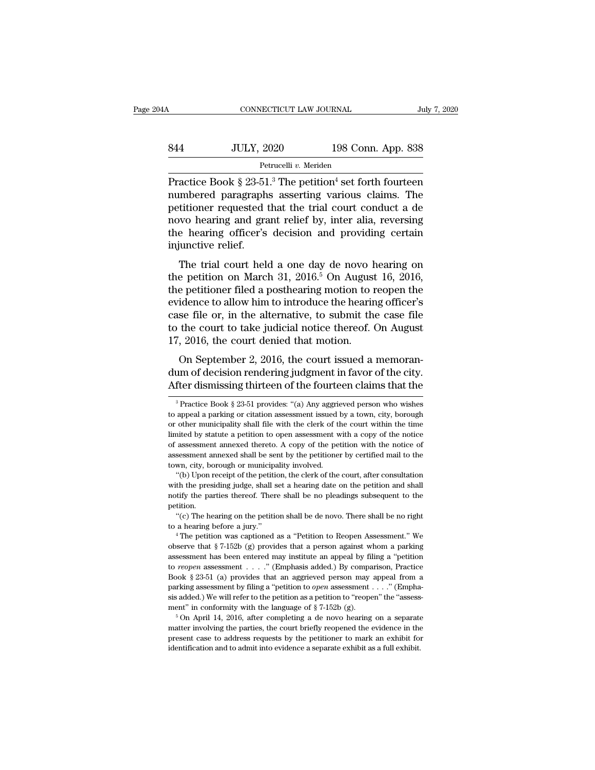# CONNECTICUT LAW JOURNAL July 7, 2020<br>844 JULY, 2020 198 Conn. App. 838<br>Petrucelli v. Meriden Petrucelli *v.* Meriden

CONNECTICUT LAW JOURNAL July 7, 2020<br>
State Mark JULY, 2020 198 Conn. App. 838<br>
Petrucelli v. Meriden<br>
Practice Book § 23-51.<sup>3</sup> The petition<sup>4</sup> set forth fourteen<br>
numbered paragraphs asserting various claims. The  $\n \begin{array}{r}\n 344 \quad \text{JULY, } 2020 \quad \text{198 Conn. App. 838}\n \hline\n \text{Pfractice Book § } 23\text{-}51.3 \text{ The pettition}^4 \text{ set forth fourteen}\n \text{numbered paragraphs asserting various claims. The}\n \text{pettioner requested that the trial court conduct a de}\n \text{now bearing and grant relief by inter. } \end{array}$  $\noindent\textbf{944}\quad\textbf{JULY, 2020}\quad\textbf{198 Conn. App. 838}\quad\text{Petucelli }v.\text{ Meriden}\n\text{Practice Book § 23-51.} The \text{petition}^4 \text{ set forth fourteen}\n\text{numbered paragraphs asserting various claims. The}\n\text{pettioner requested that the trial court conduct a de}\n\text{novo hearing and grant relief by, inter alia, reversing}\n\text{the bearing officer's decision and providing certain}\n$ 844 JULY, 2020 198 Conn. App. 838<br>
Petrucelli v. Meriden<br>
Practice Book § 23-51.<sup>3</sup> The petition<sup>4</sup> set forth fourteen<br>
numbered paragraphs asserting various claims. The<br>
petitioner requested that the trial court conduct Petrucelli v. Meriden<br>Practice Book § 23-51.<sup>3</sup> The petition<sup>4</sup> set forth fourteen<br>numbered paragraphs asserting various claims. The<br>petitioner requested that the trial court conduct a de<br>novo hearing and grant relief by, Fractice Book § 23-51<br>
numbered paragraph<br>
petitioner requested<br>
novo hearing and gra<br>
the hearing officer's<br>
injunctive relief.<br>
The trial court hele actice book  $\S$  25-51. The petrion set form fourted.<br>
imbered paragraphs asserting various claims. The<br>
titioner requested that the trial court conduct a de<br>
wo hearing and grant relief by, inter alia, reversing<br>
e hearin the petitioner requested that the trial court conduct a de<br>novo hearing and grant relief by, inter alia, reversing<br>the hearing officer's decision and providing certain<br>injunctive relief.<br>The trial court held a one day de n

petitioner requested that the trial court conduct a de<br>novo hearing and grant relief by, inter alia, reversing<br>the hearing officer's decision and providing certain<br>injunctive relief.<br>The trial court held a one day de novo revious fical digital tends by, meaning the hearing officer's decision and providing certain injunctive relief.<br>The trial court held a one day de novo hearing on the petition on March 31, 2016.<sup>5</sup> On August 16, 2016, the injunctive relief.<br>
The trial court held a one day de novo hearing on<br>
the petition on March 31, 2016.<sup>5</sup> On August 16, 2016,<br>
the petitioner filed a posthearing motion to reopen the<br>
evidence to allow him to introduce th The trial court held a one day de novo hearing on<br>the petition on March 31, 2016.<sup>5</sup> On August 16, 2016,<br>the petitioner filed a posthearing motion to reopen the<br>evidence to allow him to introduce the hearing officer's<br>cas The trial court held a one day de novo held the petition on March 31,  $2016.<sup>5</sup>$  On August the petitioner filed a posthearing motion to revidence to allow him to introduce the hearincase file or, in the alternative, to repetitioner filed a posthearing motion to reopen the<br>idence to allow him to introduce the hearing officer's<br>se file or, in the alternative, to submit the case file<br>the court to take judicial notice thereof. On August<br>, 20 are pendoner med a postaturing modon to reopen and<br>evidence to allow him to introduce the hearing officer's<br>case file or, in the alternative, to submit the case file<br>to the court to take judicial notice thereof. On August<br> case file or, in the alternative, to submit the case file<br>to the court to take judicial notice thereof. On August<br>17, 2016, the court denied that motion.<br>On September 2, 2016, the court issued a memoran-<br>dum of decision r

On September 2, 2016, the court issued a memoran-<br>um of decision rendering judgment in favor of the city.<br>fter dismissing thirteen of the fourteen claims that the<br><sup>3</sup>Practice Book § 23-51 provides: "(a) Any aggrieved pers On September 2, 2016, the court issued a memorandum of decision rendering judgment in favor of the city.<br>After dismissing thirteen of the fourteen claims that the<br><sup>3</sup> Practice Book § 23-51 provides: "(a) Any aggrieved per

dum of decision rendering judgment in favor of the city.<br>After dismissing thirteen of the fourteen claims that the<br><sup>3</sup>Practice Book § 23-51 provides: "(a) Any aggrieved person who wishes<br>to appeal a parking or citation ass After dismissing thirteen of the fourteen claims that the  $\frac{1}{3}$  Practice Book § 23-51 provides: "(a) Any aggrieved person who wishes to appeal a parking or citation assessment issued by a town, city, borough or other The assessment annexed thereto. A copy of the petition with the notice of assessment issued by a town, city, borough or other municipality shall file with the clerk of the court within the time limited by statute a petiti <sup>3</sup> Practice Book § 23-51 provides: "(a) Any aggrieved person who wishes to appeal a parking or citation assessment issued by a town, city, borough or other municipality shall file with the clerk of the court within the t to appeal a parking or citation assessment issued or other municipality shall file with the clerk of the limited by statute a petition to open assessment word assessment annexed thereto. A copy of the petitione assessment other municipality shall file with the clerk of the court within the time<br>inited by statute a petition to open assessment with a copy of the notice<br>assessment annexed thereto. A copy of the petition with the notice of<br>sess limited by statute a petition to open assessment with a copy of the notice<br>of assessment annexed thereto. A copy of the petition with the notice<br>of assessment annexed shall be sent by the petitioner by certified mail to th

notice and a sessment annexed thereto. A copy of the petition with the notice of assessment annexed shall be sent by the petitioner by certified mail to the town, city, borough or municipality involved.<br>
"(b) Upon receipt petition. wh, city, borough or municipality involved.<br>
"(b) Upon receipt of the petition, the clerk of the court, after consultation<br>
"(c) Upon receipt of the petition, the clerk of the court, after consultation<br>
th the presiding j (b) Upon receipt of the petition, the clerk of the court, after consultation with the presiding judge, shall set a hearing date on the petition and shall notify the parties thereof. There shall be no pleadings subsequent

observe that § 7-152b (g) provides that a person against whom a person of the pertition.<br>
"(c) The hearing on the petition shall be de novo. There shall be no right<br>
to a hearing before a jury."<br>
"The petition was caption assessment of the entertainment of the between the product of the periodic of the enterty. "<br>
(c) The hearing before a jury."<br>
<sup>4</sup> The petition was captioned as a "Petition to Reopen Assessment." We<br>
observe that § 7-152b "(c) The hearing on the petition shall be de novo. There shall be no right<br>to a hearing before a jury."<br>
"The petition was captioned as a "Petition to Reopen Assessment." We<br>
observe that  $\S 7-152b$  (g) provides that a pe to a hearing before a jury."<br>
<sup>4</sup> The petition was captioned as a "Petition to Reopen Assessment." We<br>
observe that § 7-152b (g) provides that a person against whom a parking<br>
assessment has been entered may institute an <sup>4</sup> The petition was captioned as a "Petition to Reopen Assessment." We observe that § 7-152b (g) provides that a person against whom a parking assessment has been entered may institute an appeal by filing a "petition to besis that a person against whom a parking<br>assessment has been entered may institute an appeal by filing a "petition<br>to *reopen* assessment . . . . " (Emphasis added.) By comparison, Practice<br>Book § 23-51 (a) provides tha assessment has been entered may institute an appeal by filing a "petition to *reopen* assessment . . . . " (Emphasis added.) By comparison, Practice Book § 23-51 (a) provides that an aggrieved person may appeal from a par Book § 23-51 (a) provides that an aggrieved person may appeal from a parking assessment by filing a "petition to *open* assessment . . . ." (Emphasis added.) We will refer to the petition as a petition to "reopen" the "as Book § 23-51 (a) provides that an aggrieved person may appeal from a parking assessment by filing a "petition to *open* assessment . . . ." (Emphasis added.) We will refer to the petition as a petition to "reopen" the "as sis added.) We will refer to the petition as a petition to "reopen" the "assess-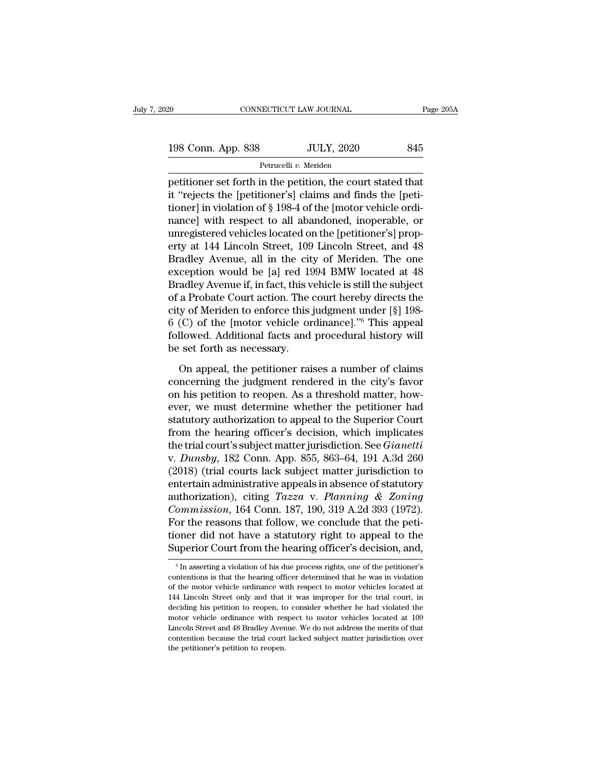Petrucelli *v.* Meriden

Page 2054<br>
petitioner set forth in the petition, the court stated that<br>
it "rejects the [petitioner's] claims and finds the [peti-<br>
tioner] in violation of 8,108.4 of the [meter vehicle ordination] 198 Conn. App. 838 JULY, 2020 845<br>
Petrucelli v. Meriden<br>
petitioner set forth in the petition, the court stated that<br>
it "rejects the [petitioner's] claims and finds the [peti-<br>
tioner] in violation of  $\S$  198-4 of the [ 198 Conn. App. 838 JULY, 2020 845<br>
Petrucelli v. Meriden<br>
petitioner set forth in the petition, the court stated that<br>
it "rejects the [petitioner's] claims and finds the [peti-<br>
tioner] in violation of § 198-4 of the [mo 198 Conn. App. 838 JULY, 2020 845<br>
Petrucelli v. Meriden<br>
petitioner set forth in the petition, the court stated that<br>
it "rejects the [petitioner's] claims and finds the [peti-<br>
tioner] in violation of § 198-4 of the [mo Petrucelli v. Meriden<br>
petitioner set forth in the petition, the court stated that<br>
it "rejects the [petitioner's] claims and finds the [peti-<br>
tioner] in violation of § 198-4 of the [motor vehicle ordi-<br>
nance] with respe Ferncell v. Meriden<br>
petitioner set forth in the petition, the court stated that<br>
it "rejects the [petitioner's] claims and finds the [peti-<br>
tioner] in violation of § 198-4 of the [motor vehicle ordi-<br>
nance] with respec petitioner set forth in the petition, the court stated that<br>it "rejects the [petitioner's] claims and finds the [peti-<br>tioner] in violation of § 198-4 of the [motor vehicle ordi-<br>nance] with respect to all abandoned, inope it "rejects the [petitioner's] claims and finds the [petitioner] in violation of § 198-4 of the [motor vehicle ordinance] with respect to all abandoned, inoperable, or unregistered vehicles located on the [petitioner's] pr tioner] in violation of § 198-4 of the [motor vehicle ordinance] with respect to all abandoned, inoperable, or<br>unregistered vehicles located on the [petitioner's] prop-<br>erty at 144 Lincoln Street, 109 Lincoln Street, and 4 nance] with respect to all abandoned, inoperable, or<br>unregistered vehicles located on the [petitioner's] prop-<br>erty at 144 Lincoln Street, 109 Lincoln Street, and 48<br>Bradley Avenue, all in the city of Meriden. The one<br>exce unregistered vehicles located on the [petitioner's] property at 144 Lincoln Street, 109 Lincoln Street, and 48<br>Bradley Avenue, all in the city of Meriden. The one<br>exception would be [a] red 1994 BMW located at 48<br>Bradley A erty at 144 Lincoln Street, 109 Lincoln Street, and 48<br>Bradley Avenue, all in the city of Meriden. The one<br>exception would be [a] red 1994 BMW located at 48<br>Bradley Avenue if, in fact, this vehicle is still the subject<br>of Bradley Avenue, all in the city of Meriden. The one<br>exception would be [a] red 1994 BMW located at 48<br>Bradley Avenue if, in fact, this vehicle is still the subject<br>of a Probate Court action. The court hereby directs the<br>ci exception would be [a] red 19<br>Bradley Avenue if, in fact, this v<br>of a Probate Court action. The exity of Meriden to enforce this<br>6 (C) of the [motor vehicle or<br>followed. Additional facts and<br>be set forth as necessary.<br>On a a Probate Court action. The court hereby directs the<br>y of Meriden to enforce this judgment under [§] 198-<br>(C) of the [motor vehicle ordinance]."<sup>6</sup> This appeal<br>llowed. Additional facts and procedural history will<br>set fort city of Meriden to enforce this judgment under  $[\S]$  198-<br>6 (C) of the [motor vehicle ordinance]."<sup>6</sup> This appeal<br>followed. Additional facts and procedural history will<br>be set forth as necessary.<br>On appeal, the petitioner

on the [motor vehicle ordinance]."<sup>6</sup> This appeal followed. Additional facts and procedural history will be set forth as necessary.<br>On appeal, the petitioner raises a number of claims concerning the judgment rendered in t every of the perturn community. The opposite of followed. Additional facts and procedural history will<br>be set forth as necessary.<br>On appeal, the petitioner raises a number of claims<br>concerning the judgment rendered in the statutory and procedural races of the set forth as necessary.<br>
On appeal, the petitioner raises a number of claims<br>
concerning the judgment rendered in the city's favor<br>
on his petition to reopen. As a threshold matter, ho or security as necessary.<br>
On appeal, the petitioner raises a number of claims<br>
concerning the judgment rendered in the city's favor<br>
on his petition to reopen. As a threshold matter, how-<br>
ever, we must determine whether On appeal, the petitioner raises a number of claims<br>concerning the judgment rendered in the city's favor<br>on his petition to reopen. As a threshold matter, how-<br>ever, we must determine whether the petitioner had<br>statutory a concerning the judgment rendered in the city's favor<br>on his petition to reopen. As a threshold matter, how-<br>ever, we must determine whether the petitioner had<br>statutory authorization to appeal to the Superior Court<br>from th on his petition to reopen. As a threshold matter, how-<br>ever, we must determine whether the petitioner had<br>statutory authorization to appeal to the Superior Court<br>from the hearing officer's decision, which implicates<br>the t ever, we must determine whether the petitioner had<br>statutory authorization to appeal to the Superior Court<br>from the hearing officer's decision, which implicates<br>the trial court's subject matter jurisdiction. See *Gianetti* statutory authorization to appeal to the Superior Court<br>from the hearing officer's decision, which implicates<br>the trial court's subject matter jurisdiction. See *Gianetti*<br>v. *Dunsby*, 182 Conn. App. 855, 863–64, 191 A.3d from the hearing officer's decision, which implicates<br>the trial court's subject matter jurisdiction. See *Gianetti*<br>v. *Dunsby*, 182 Conn. App. 855, 863–64, 191 A.3d 260<br>(2018) (trial courts lack subject matter jurisdictio the trial court's subject matter jurisdiction. See *Gianetti* v. *Dunsby*, 182 Conn. App. 855, 863–64, 191 A.3d 260 (2018) (trial courts lack subject matter jurisdiction to entertain administrative appeals in absence of s v. *Dunsby*, 182 Conn. App. 855, 863–64, 191 A.3d 260 (2018) (trial courts lack subject matter jurisdiction to entertain administrative appeals in absence of statutory authorization), citing *Tazza* v. *Planning & Zoning* (2018) (trial courts lack subject matter jurisdiction to<br>entertain administrative appeals in absence of statutory<br>authorization), citing *Tazza* v. *Planning* & *Zoning*<br>*Commission*, 164 Conn. 187, 190, 319 A.2d 393 (197 *Commission*, 164 Conn. 187, 190, 319 A.2d 393 (1972). For the reasons that follow, we conclude that the petitioner did not have a statutory right to appeal to the Superior Court from the hearing officer's decision, and, For the reasons that follow, we conclude that the petitioner did not have a statutory right to appeal to the Superior Court from the hearing officer's decision, and,  $\frac{1}{10}$  in asserting a violation of his due process

tioner did not have a statutory right to appeal to the Superior Court from the hearing officer's decision, and,  $\overline{\ }$   $\overline{\ }$  in asserting a violation of his due process rights, one of the petitioner's contentions is th Superior Court from the hearing officer's decision, and,<br>
<sup>6</sup> In asserting a violation of his due process rights, one of the petitioner's<br>
contentions is that the hearing officer determined that he was in violation<br>
of the  $\frac{1}{100}$   $\frac{1}{100}$   $\frac{1}{100}$   $\frac{1}{100}$  and  $\frac{1}{100}$   $\frac{1}{100}$  and  $\frac{1}{100}$   $\frac{1}{100}$  and  $\frac{1}{100}$  and  $\frac{1}{100}$  and  $\frac{1}{100}$  and  $\frac{1}{100}$  and  $\frac{1}{100}$  and  $\frac{1}{100}$  and  $\frac{1}{100}$  and <sup>6</sup> In asserting a violation of his due process rights, one of the petitioner's contentions is that the hearing officer determined that he was in violation of the motor vehicle ordinance with respect to motor vehicles loc Contentions is that the hearing officer determined that he was in violation of the motor vehicle ordinance with respect to motor vehicles located at 144 Lincoln Street only and that it was improper for the trial court, in of the motor vehicle ordinance with respect to motor vehicles located at 144 Lincoln Street only and that it was improper for the trial court, in deciding his petition to reopen, to consider whether he had violated the mot 144 Lincoln Street only and that<br>144 Lincoln Street only and that<br>deciding his petition to reopen, to<br>motor vehicle ordinance with res<br>Lincoln Street and 48 Bradley Aver<br>contention because the trial court<br>the petitioner's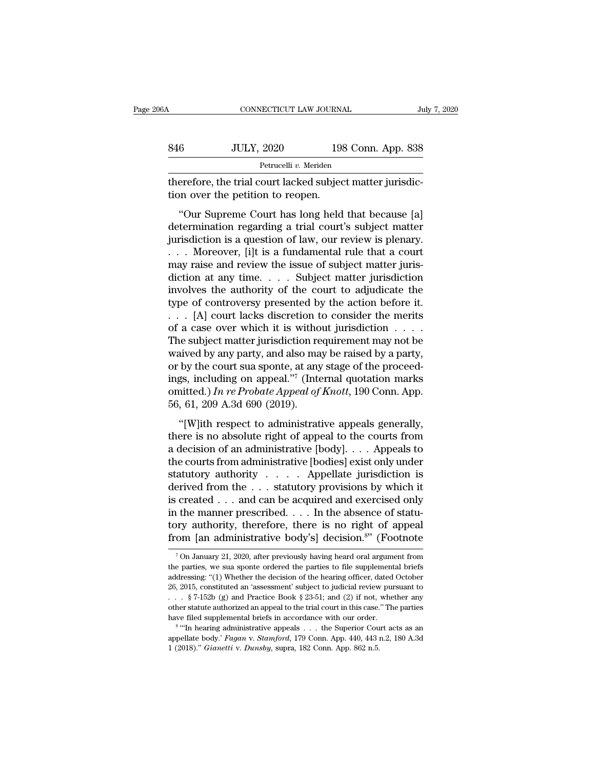| 06A | CONNECTICUT LAW JOURNAL                                                                         |                    | July 7, 2020 |  |
|-----|-------------------------------------------------------------------------------------------------|--------------------|--------------|--|
| 846 | <b>JULY, 2020</b>                                                                               | 198 Conn. App. 838 |              |  |
|     | Petrucelli v. Meriden                                                                           |                    |              |  |
|     | therefore, the trial court lacked subject matter jurisdic-<br>tion over the petition to reopen. |                    |              |  |
|     | "Our Supreme Court has long held that because [a]                                               |                    |              |  |

 $\frac{1000}{200}$  198 Conn. App. 838<br>
Petrucelli v. Meriden<br>
Petrucelli v. Meriden<br>
Petrucelli v. Meriden<br>
Petrucelli v. Meriden<br>
Petrucelli v. Meriden<br>
Movement Court has long held that because [a]<br>
Court Supreme Court has  $346$  JULY, 2020 198 Conn. App. 838<br>
Petrucelli v. Meriden<br>
therefore, the trial court lacked subject matter jurisdic-<br>
tion over the petition to reopen.<br>
"Our Supreme Court has long held that because [a]<br>
determination r Petrucelli v. Meriden<br>therefore, the trial court lacked subject matter jurisdic-<br>tion over the petition to reopen.<br>"Our Supreme Court has long held that because [a]<br>determination regarding a trial court's subject matter<br>ju therefore, the trial court lacked subject matter jurisdiction over the petition to reopen.<br>
"Our Supreme Court has long held that because [a]<br>
determination regarding a trial court's subject matter<br>
jurisdiction is a quest may over the petition to reopen.<br>
"Our Supreme Court has long held that because [a]<br>
determination regarding a trial court's subject matter<br>
jurisdiction is a question of law, our review is plenary.<br>
... Moreover, [i]t is "Our Supreme Court has long held that because [a]<br>determination regarding a trial court's subject matter<br>jurisdiction is a question of law, our review is plenary.<br>. . . Moreover, [i]t is a fundamental rule that a court<br>ma "Our Supreme Court has long held that because [a]<br>determination regarding a trial court's subject matter<br>jurisdiction is a question of law, our review is plenary.<br> $\ldots$  Moreover, [i]t is a fundamental rule that a court<br>ma determination regarding a trial court's subject matter<br>jurisdiction is a question of law, our review is plenary.<br>... Moreover, [i]t is a fundamental rule that a court<br>may raise and review the issue of subject matter jurisd jurisdiction is a question of law, our review is plenary.<br>
. . . . Moreover, [i]t is a fundamental rule that a court<br>
may raise and review the issue of subject matter juris-<br>
diction at any time. . . . Subject matter juri of a case over which it is a fundamental rule that a court<br>may raise and review the issue of subject matter jurisdiction<br>involves the authority of the court to adjudicate the<br>type of controversy presented by the action be may raise and review the issue of subject matter jurisdiction<br>diction at any time. . . . Subject matter jurisdiction<br>involves the authority of the court to adjudicate the<br>type of controversy presented by the action before diction at any time. . . . Subject matter jurisdiction<br>involves the authority of the court to adjudicate the<br>type of controversy presented by the action before it.<br>. . . [A] court lacks discretion to consider the merits<br>o involves the authority of the court to adjudicate the<br>type of controversy presented by the action before it.<br>... [A] court lacks discretion to consider the merits<br>of a case over which it is without jurisdiction ....<br>The s type of controversy presented by the action before it.<br>  $\ldots$  [A] court lacks discretion to consider the merits<br>
of a case over which it is without jurisdiction  $\ldots$ .<br>
The subject matter jurisdiction requirement may not . . . [A] court lacks discretion to consider the merits<br>of a case over which it is without jurisdiction . . . . .<br>The subject matter jurisdiction requirement may not be<br>waived by any party, and also may be raised by a par of a case over which it is witho<br>The subject matter jurisdiction re<br>waived by any party, and also ma<br>or by the court sua sponte, at any<br>ings, including on appeal."<sup>7</sup> (Inte<br>omitted.) In re Probate Appeal of<br>56, 61, 209 A. above by any party, and also may be raised by a party,<br>by the court sua sponte, at any stage of the proceed-<br>gs, including on appeal."<sup>7</sup> (Internal quotation marks<br>nitted.) In re Probate Appeal of Knott, 190 Conn. App.<br>, waved by any party, and also may be raised by a party,<br>or by the court sua sponte, at any stage of the proceed-<br>ings, including on appeal."<sup>7</sup> (Internal quotation marks<br>omitted.) In re Probate Appeal of Knott, 190 Conn. A

be by the coart saa sponte, at any stage of the proceed<br>ings, including on appeal."<sup>7</sup> (Internal quotation marks<br>omitted.) In re Probate Appeal of Knott, 190 Conn. App.<br>56, 61, 209 A.3d 690 (2019).<br>"[W]ith respect to admi the courts from a decision of an administrative appeals generally,<br>there is no absolute right of appeal to the courts from<br>a decision of an administrative [body]. . . . Appeals to<br>the courts from administrative [body]. . 56, 61, 209 A.3d 690 (2019).<br>
"[W]ith respect to administrative appeals generally,<br>
there is no absolute right of appeal to the courts from<br>
a decision of an administrative [body]. . . . Appeals to<br>
the courts from admini "[W]ith respect to administrative appeals generally,<br>"(W]ith respect to administrative appeals generally,<br>there is no absolute right of appeal to the courts from<br>a decision of an administrative [bodies] exist only under<br>s "[W]ith respect to administrative appeals generally,<br>there is no absolute right of appeal to the courts from<br>a decision of an administrative [body]. . . . Appeals to<br>the courts from administrative [bodies] exist only unde there is no absolute right of appeal to the courts from<br>a decision of an administrative [body]. . . . Appeals to<br>the courts from administrative [bodies] exist only under<br>statutory authority . . . . . Appellate jurisdictio a decision of an administrative [body]. . . . Appeals to<br>the courts from administrative [bodies] exist only under<br>statutory authority . . . . . Appellate jurisdiction is<br>derived from the . . . statutory provisions by whic the courts from administrative [bodies] exist only statutory authority . . . . . Appellate jurisdict derived from the . . . statutory provisions by whis created . . . and can be acquired and exercised in the manner prescr t only under<br>risdiction is<br>by which it<br>ercised only<br>nce of statu-<br>it of appeal<br>" (Footnote<br>al argument from is created . . . and can be acquired and exercised only<br>in the manner prescribed. . . . In the absence of statu-<br>tory authority, therefore, there is no right of appeal<br>from [an administrative body's] decision.<sup>8</sup>" (Footno in the manner prescribed. . . . In the absence of statu-<br>tory authority, therefore, there is no right of appeal<br>from [an administrative body's] decision.<sup>8</sup>' (Footnote<br> $\frac{70n \text{ January } 21, 2020}$ , after previously having hear

tory authority, therefore, there is no right of appeal<br>from [an administrative body's] decision.<sup>8</sup>" (Footnote<br><sup>7</sup>On January 21, 2020, after previously having heard oral argument from<br>the parties, we sua sponte ordered the **EXECUTE:** To a following the vertex of  $\overline{?}$  (n January 21, 2020, after previously having heard oral argument from the parties, we sua sponte ordered the parties to file supplemental briefs addressing: "(1) Whether th TOIL [AIT AUTHINISTALIVE DOUY S] UECTSION. (POUTOUE<br>
<sup>7</sup>On January 21, 2020, after previously having heard oral argument from<br>
the parties, we sua sponte ordered the parties to file supplemental briefs<br>
addressing: "(1) W <sup>7</sup> On January 21, 2020, after previously having heard oral argument from the parties, we sua sponte ordered the parties to file supplemental briefs addressing: "(1) Whether the decision of the hearing officer, dated Octo the parties, we sua sponte ordered the parties to file supplemental briefs addressing: "(1) Whether the decision of the hearing officer, dated October 26, 2015, constituted an 'assessment' subject to judicial review pursu Fressing: "(1) Whether the decision of the hearing officer, dated October 2015, constituted an 'assessment' subject to judicial review pursuant to  $\cdot$  § 7-152b (g) and Practice Book § 23-51; and (2) if not, whether any e 26, 2015, constituted an 'assessment' subject to judicial review pursuant to . . . § 7-152b (g) and Practice Book § 23-51; and (2) if not, whether any other statute authorized an appeal to the trial court in this case." Th . . . § 7-152b (g) and Practice Book § 23-51; and (2) if not, whether any other statute authorized an appeal to the trial court in this case." The parties have filed supplemental briefs in accordance with our order. <sup>8</sup> "I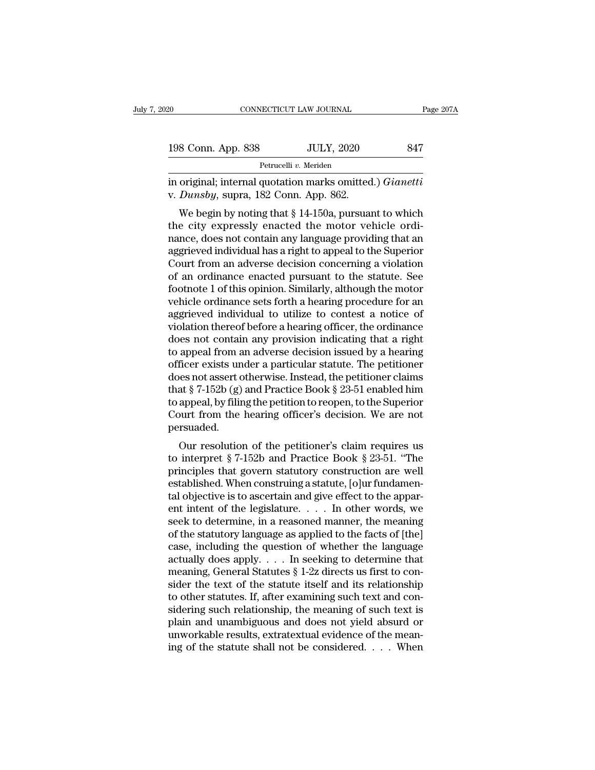| 20                 |                                       | CONNECTICUT LAW JOURNAL                                  | Page 207A |
|--------------------|---------------------------------------|----------------------------------------------------------|-----------|
| 198 Conn. App. 838 |                                       | <b>JULY, 2020</b>                                        | 847       |
|                    |                                       | Petrucelli v. Meriden                                    |           |
|                    | v. Dunsby, supra, 182 Conn. App. 862. | in original; internal quotation marks omitted.) Gianetti |           |
|                    |                                       | We begin by noting that $\S 14$ -150a, pursuant to which |           |

8 Conn. App. 838 JULY, 2020 847<br>
Petrucelli v. Meriden<br>
original; internal quotation marks omitted.) *Gianetti*<br> *Dunsby*, supra, 182 Conn. App. 862.<br>
We begin by noting that § 14-150a, pursuant to which<br>
e city expressly 198 Conn. App. 838 JULY, 2020 847<br>
Petrucelli v. Meriden<br>
in original; internal quotation marks omitted.) *Gianetti*<br>
v. *Dunsby*, supra, 182 Conn. App. 862.<br>
We begin by noting that  $\S$  14-150a, pursuant to which<br>
the ci Petrucelli v. Meriden<br>
in original; internal quotation marks omitted.) *Gianetti*<br>
v. *Dunsby*, supra, 182 Conn. App. 862.<br>
We begin by noting that  $\S 14{\text -}150$ a, pursuant to which<br>
the city expressly enacted the motor v in original; internal quotation marks omitted.) *Gianetti*<br>v. Dunsby, supra, 182 Conn. App. 862.<br>We begin by noting that § 14-150a, pursuant to which<br>the city expressly enacted the motor vehicle ordi-<br>nance, does not conta In original, internal quotation marks omitted.) Granett<br>v. Dunsby, supra, 182 Conn. App. 862.<br>We begin by noting that  $\S 14{\text -}150$ a, pursuant to which<br>the city expressly enacted the motor vehicle ordi-<br>nance, does not co *v. Dansoy*, supra, 1o2 Conit. App. 602.<br>
We begin by noting that  $\S$  14-150a, pursuant to which<br>
the city expressly enacted the motor vehicle ordi-<br>
nance, does not contain any language providing that an<br>
aggrieved indiv We begin by noting that § 14-150a, pursuant to which<br>the city expressly enacted the motor vehicle ordi-<br>nance, does not contain any language providing that an<br>aggrieved individual has a right to appeal to the Superior<br>Cour the city expressly enacted the motor vehicle ordinance, does not contain any language providing that an aggrieved individual has a right to appeal to the Superior Court from an adverse decision concerning a violation of an nance, does not contain any language providing that an aggrieved individual has a right to appeal to the Superior Court from an adverse decision concerning a violation of an ordinance enacted pursuant to the statute. See f aggrieved individual has a right to appeal to the Superior<br>Court from an adverse decision concerning a violation<br>of an ordinance enacted pursuant to the statute. See<br>footnote 1 of this opinion. Similarly, although the moto Court from an adverse decision concerning a violation<br>of an ordinance enacted pursuant to the statute. See<br>footnote 1 of this opinion. Similarly, although the motor<br>vehicle ordinance sets forth a hearing procedure for an<br>a of an ordinance enacted pursuant to the statute. See<br>footnote 1 of this opinion. Similarly, although the motor<br>vehicle ordinance sets forth a hearing procedure for an<br>aggrieved individual to utilize to contest a notice of<br> footnote 1 of this opinion. Similarly, although the motor<br>vehicle ordinance sets forth a hearing procedure for an<br>aggrieved individual to utilize to contest a notice of<br>violation thereof before a hearing officer, the ordi vehicle ordinance sets forth a hearing procedure for an<br>aggrieved individual to utilize to contest a notice of<br>violation thereof before a hearing officer, the ordinance<br>does not contain any provision indicating that a righ aggrieved individual to utilize to contest a notice of<br>violation thereof before a hearing officer, the ordinance<br>does not contain any provision indicating that a right<br>to appeal from an adverse decision issued by a hearing violation thereof before a hearing officer, the ordinance<br>does not contain any provision indicating that a right<br>to appeal from an adverse decision issued by a hearing<br>officer exists under a particular statute. The petitio does not contain any provision indicating that a right<br>to appeal from an adverse decision issued by a hearing<br>officer exists under a particular statute. The petitioner<br>does not assert otherwise. Instead, the petitioner cla persuaded. note exists under a particular statute. The petitioner<br>es not assert otherwise. Instead, the petitioner claims<br>at § 7-152b (g) and Practice Book § 23-51 enabled him<br>appeal, by filing the petition to reopen, to the Superior to interpret § 7-152b and Practice Book § 23-51 enabled him<br>to appeal, by filing the petition to reopen, to the Superior<br>Court from the hearing officer's decision. We are not<br>persuaded.<br>Our resolution of the petitioner's c

 $\frac{1}{2}$  and Fractice Book  $\frac{1}{2}$  25-51 enabled film<br>to appeal, by filing the petition to reopen, to the Superior<br>Court from the hearing officer's decision. We are not<br>persuaded.<br>Our resolution of the petitioner's cla to appear, by filling the petriod to reopert, to the superform<br>Court from the hearing officer's decision. We are not<br>persuaded.<br>Our resolution of the petitioner's claim requires us<br>to interpret  $\S 7-152b$  and Practice Boo between the meaning officers decision. We are not<br>persuaded.<br>Our resolution of the petitioner's claim requires us<br>to interpret § 7-152b and Practice Book § 23-51. "The<br>principles that govern statutory construction are well bersuated.<br>
Our resolution of the petitioner's claim requires us<br>
to interpret § 7-152b and Practice Book § 23-51. "The<br>
principles that govern statutory construction are well<br>
established. When construing a statute, [o]u Our resolution of the petitioner's claim requires us<br>to interpret § 7-152b and Practice Book § 23-51. "The<br>principles that govern statutory construction are well<br>established. When construing a statute, [o]ur fundamen-<br>tal to interpret § 7-152b and Practice Book § 23-51. "The<br>principles that govern statutory construction are well<br>established. When construing a statute, [o]ur fundamen-<br>tal objective is to ascertain and give effect to the app principles that govern statutory construction are well<br>established. When construing a statute, [o]ur fundamental objective is to ascertain and give effect to the appar-<br>ent intent of the legislature. . . . . In other word established. When construing a statute, [o]ur fundamental objective is to ascertain and give effect to the apparent intent of the legislature. . . . . In other words, we seek to determine, in a reasoned manner, the meanin tal objective is to ascertain and give effect to the apparent intent of the legislature.  $\dots$  In other words, we seek to determine, in a reasoned manner, the meaning of the statutory language as applied to the facts of [t ent intent of the legislature. . . . In other words, we<br>seek to determine, in a reasoned manner, the meaning<br>of the statutory language as applied to the facts of [the]<br>case, including the question of whether the language<br> seek to determine, in a reasoned manner, the meaning<br>of the statutory language as applied to the facts of [the]<br>case, including the question of whether the language<br>actually does apply. . . . In seeking to determine that<br> of the statutory language as applied to the facts of [the]<br>case, including the question of whether the language<br>actually does apply. . . . In seeking to determine that<br>meaning, General Statutes § 1-2z directs us first to c case, including the question of whether the language<br>actually does apply. . . . In seeking to determine that<br>meaning, General Statutes  $\S 1-2z$  directs us first to con-<br>sider the text of the statute itself and its relatio actually does apply. . . . . In seeking to determine that meaning, General Statutes  $\S 1-2z$  directs us first to consider the text of the statute itself and its relationship to other statutes. If, after examining such tex meaning, General Statutes § 1-2z directs us first to consider the text of the statute itself and its relationship<br>to other statutes. If, after examining such text and considering such relationship, the meaning of such tex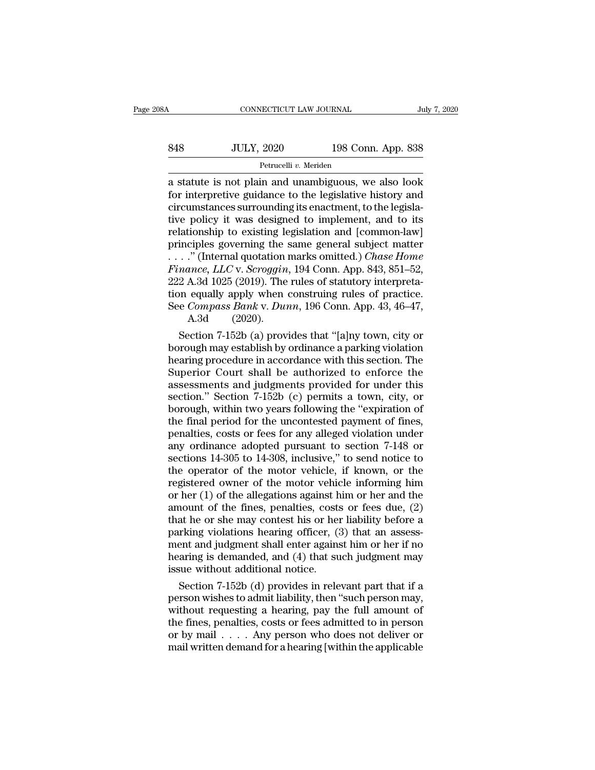# EXERCITE CONNECTICUT LAW JOURNAL July 7, 2020<br>B48 JULY, 2020 198 Conn. App. 838<br>Petrucelli v. Meriden

Petrucelli *v.* Meriden

 $\begin{tabular}{l l l l} \multicolumn{2}{c}{\textbf{COMRECTICUT LAW JOURNAL}} & July 7, 2020 \\ \hline & 848 & JULY, 2020 & 198 & Conn. App. 838 \\ \hline & Petrucelli & v. Meriden \\ \multicolumn{2}{c}{a static is not plain and unambiguous, we also look} \\ \textbf{for interpretive guidance to the legislative history and circumstances surrounding its onsetment to the logical.} \end{tabular}$ For interpretive guidance to the legislative nolicy is were designed to implement and to its<br>matrix and the legislative history and circumstances surrounding its enactment, to the legislative nolicy it was designed to imp 848 JULY, 2020 198 Conn. App. 838<br>
Petrucelli v. Meriden<br>
a statute is not plain and unambiguous, we also look<br>
for interpretive guidance to the legislative history and<br>
circumstances surrounding its enactment, to the leg S48 JULY, 2020 198 Conn. App. 838<br>
Petrucelli v. Meriden<br>
a statute is not plain and unambiguous, we also look<br>
for interpretive guidance to the legislative history and<br>
circumstances surrounding its enactment, to the leg Petrucelli v. Meriden<br>
Retrucelli v. Meriden<br>
a statute is not plain and unambiguous, we also look<br>
for interpretive guidance to the legislative history and<br>
circumstances surrounding its enactment, to the legisla-<br>
tive Petrucelli v. Meriden<br>
a statute is not plain and unambiguous, we also look<br>
for interpretive guidance to the legislative history and<br>
circumstances surrounding its enactment, to the legisla-<br>
tive policy it was designed a statute is not plain and unambiguous, we also look<br>for interpretive guidance to the legislative history and<br>circumstances surrounding its enactment, to the legisla-<br>tive policy it was designed to implement, and to its<br>re for interpretive guidance to the legislative history and<br>circumstances surrounding its enactment, to the legisla-<br>tive policy it was designed to implement, and to its<br>relationship to existing legislation and [common-law]<br>p circumstances surrounding its enactment, to the legislative policy it was designed to implement, and to its<br>relationship to existing legislation and [common-law]<br>principles governing the same general subject matter<br> $\dots$ ." tive policy it was designed to implement, and to its<br>relationship to existing legislation and [common-law]<br>principles governing the same general subject matter<br> $\ldots$ ." (Internal quotation marks omitted.) *Chase Home*<br>*Fin* relationship to existing legislation and [common-law]<br>principles governing the same general subject matter<br>...." (Internal quotation marks omitted.) *Chase Home*<br>Finance, LLC v. Scroggin, 194 Conn. App. 843, 851–52,<br>222 A. ciples governing the<br>
." (Internal quotation<br> *nnce, LLC* v. *Scroggin*<br>
A.3d 1025 (2019). The<br>
equally apply when<br> *Compass Bank* v. *Dua*<br>
A.3d (2020).<br>
ection 7-152b (a) prov . . . " (Internal quotation marks omitted.) *Chase Home*<br> *nance, LLC* v. *Scroggin*, 194 Conn. App. 843, 851–52,<br>
2 A.3d 1025 (2019). The rules of statutory interpreta-<br>
in equally apply when construing rules of practice Finance, LLC v. Scroggin, 194 Conn. App. 843, 851–52,<br>222 A.3d 1025 (2019). The rules of statutory interpreta-<br>tion equally apply when construing rules of practice.<br>See Compass Bank v. Dunn, 196 Conn. App. 43, 46–47,<br>A.3d

222 A.3d 1025 (2019). The rules of statutory interpreta-<br>tion equally apply when construing rules of practice.<br>See *Compass Bank v. Dunn*, 196 Conn. App. 43, 46–47,<br>A.3d (2020).<br>Section 7-152b (a) provides that "[a]ny tow tion equally apply when construing rules of practice.<br>
See *Compass Bank v. Dunn*, 196 Conn. App. 43, 46–47,<br>
A.3d (2020).<br>
Section 7-152b (a) provides that "[a]ny town, city or<br>
borough may establish by ordinance a parki See Compass Bank v. Dunn, 196 Conn. App. 43, 46–47,<br>A.3d (2020).<br>Section 7-152b (a) provides that "[a]ny town, city or<br>borough may establish by ordinance a parking violation<br>hearing procedure in accordance with this secti A.3d (2020).<br>
Section 7-152b (a) provides that "[a]ny town, city or<br>
borough may establish by ordinance a parking violation<br>
hearing procedure in accordance with this section. The<br>
Superior Court shall be authorized to enf Section 7-152b (a) provides that "[a]ny town, city or<br>borough may establish by ordinance a parking violation<br>hearing procedure in accordance with this section. The<br>Superior Court shall be authorized to enforce the<br>assessme borough may establish by ordinance a parking violation<br>hearing procedure in accordance with this section. The<br>Superior Court shall be authorized to enforce the<br>assessments and judgments provided for under this<br>section." Se hearing procedure in accordance with this section. The<br>Superior Court shall be authorized to enforce the<br>assessments and judgments provided for under this<br>section." Section 7-152b (c) permits a town, city, or<br>borough, with Superior Court shall be authorized to enforce the<br>assessments and judgments provided for under this<br>section." Section 7-152b (c) permits a town, city, or<br>borough, within two years following the "expiration of<br>the final per assessments and judgments provided for under this<br>section." Section 7-152b (c) permits a town, city, or<br>borough, within two years following the "expiration of<br>the final period for the uncontested payment of fines,<br>penaltie section." Section 7-152b (c) permits a town, city, or<br>borough, within two years following the "expiration of<br>the final period for the uncontested payment of fines,<br>penalties, costs or fees for any alleged violation under<br>a borough, within two years following the "expiration of<br>the final period for the uncontested payment of fines,<br>penalties, costs or fees for any alleged violation under<br>any ordinance adopted pursuant to section 7-148 or<br>sec the final period for the uncontested payment of fines,<br>penalties, costs or fees for any alleged violation under<br>any ordinance adopted pursuant to section 7-148 or<br>sections 14-305 to 14-308, inclusive," to send notice to<br>th penalties, costs or fees for any alleged violation under<br>any ordinance adopted pursuant to section 7-148 or<br>sections 14-305 to 14-308, inclusive," to send notice to<br>the operator of the motor vehicle, if known, or the<br>regis any ordinance adopted pursuant to section 7-148 or<br>sections 14-305 to 14-308, inclusive," to send notice to<br>the operator of the motor vehicle, if known, or the<br>registered owner of the motor vehicle informing him<br>or her (1) sections 14-305 to 14-308, inclusive," to send notice to<br>the operator of the motor vehicle, if known, or the<br>registered owner of the motor vehicle informing him<br>or her (1) of the allegations against him or her and the<br>amo the operator of the motor vehicle, if known, or the registered owner of the motor vehicle informing him or her (1) of the allegations against him or her and the amount of the fines, penalties, costs or fees due, (2) that h registered owner of the motor vehicle informing him<br>or her (1) of the allegations against him or her and the<br>amount of the fines, penalties, costs or fees due, (2)<br>that he or she may contest his or her liability before a<br>p or her (1) of the allegations against h<br>amount of the fines, penalties, costs<br>that he or she may contest his or her<br>parking violations hearing officer, ({<br>ment and judgment shall enter agains<br>hearing is demanded, and (4) t nount of the fines, penalties, costs or fees due, (2)<br>at he or she may contest his or her liability before a<br>rking violations hearing officer, (3) that an assess-<br>ent and judgment shall enter against him or her if no<br>aring that he or she may contest his or her liability before a<br>parking violations hearing officer, (3) that an assess-<br>ment and judgment shall enter against him or her if no<br>hearing is demanded, and (4) that such judgment may<br>is

parking violations hearing officer, (3) that an assess-<br>ment and judgment shall enter against him or her if no<br>hearing is demanded, and (4) that such judgment may<br>issue without additional notice.<br>Section 7-152b (d) provide ment and judgment shall enter against him or her if no<br>hearing is demanded, and (4) that such judgment may<br>issue without additional notice.<br>Section 7-152b (d) provides in relevant part that if a<br>person wishes to admit liab hearing is demanded, and (4) that such judgment may<br>issue without additional notice.<br>Section 7-152b (d) provides in relevant part that if a<br>person wishes to admit liability, then "such person may,<br>without requesting a hea issue without additional notice.<br>Section 7-152b (d) provides in relevant part that if a<br>person wishes to admit liability, then "such person may,<br>without requesting a hearing, pay the full amount of<br>the fines, penalties, co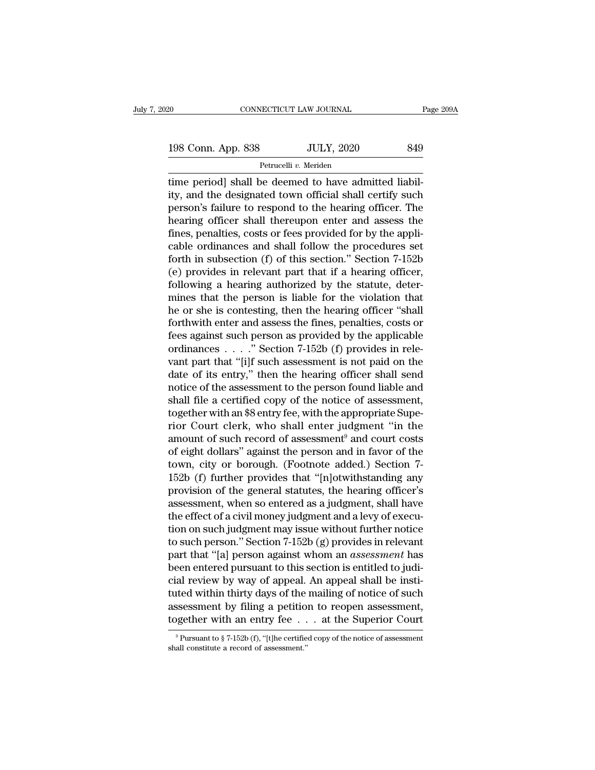## Petrucelli *v.* Meriden

CONNECTICUT LAW JOURNAL<br>
198 Conn. App. 838 JULY, 2020 849<br>
Petrucelli v. Meriden<br>
time period] shall be deemed to have admitted liabil-<br>
ity, and the designated town official shall certify such<br>
person's follow to respond 198 Conn. App. 838 JULY, 2020 849<br>
Petrucelli v. Meriden<br>
time period] shall be deemed to have admitted liabil-<br>
ity, and the designated town official shall certify such<br>
person's failure to respond to the hearing officer 198 Conn. App. 838 JULY, 2020 849<br>
Petrucelli v. Meriden<br>
time period] shall be deemed to have admitted liabil-<br>
ity, and the designated town official shall certify such<br>
person's failure to respond to the hearing officer 198 Conn. App. 838 JULY, 2020 849<br>
Petrucelli v. Meriden<br>
time period] shall be deemed to have admitted liabil-<br>
ity, and the designated town official shall certify such<br>
person's failure to respond to the hearing officer Petrucelli v. Meriden<br>
The period] shall be deemed to have admitted liabil-<br>
ity, and the designated town official shall certify such<br>
person's failure to respond to the hearing officer. The<br>
hearing officer shall thereupo Ferruces v. Meriden<br>time period] shall be deemed to have admitted liabil-<br>ity, and the designated town official shall certify such<br>person's failure to respond to the hearing officer. The<br>hearing officer shall thereupon en time period] shall be deemed to have admitted liabil-<br>ity, and the designated town official shall certify such<br>person's failure to respond to the hearing officer. The<br>hearing officer shall thereupon enter and assess the<br>fi ity, and the designated town official shall certify such<br>person's failure to respond to the hearing officer. The<br>hearing officer shall thereupon enter and assess the<br>fines, penalties, costs or fees provided for by the appl person's failure to respond to the hearing officer. The<br>hearing officer shall thereupon enter and assess the<br>fines, penalties, costs or fees provided for by the appli-<br>cable ordinances and shall follow the procedures set<br>f hearing officer shall thereupon enter and assess the<br>fines, penalties, costs or fees provided for by the appli-<br>cable ordinances and shall follow the procedures set<br>forth in subsection (f) of this section." Section 7-152b<br> fines, penalties, costs or fees provided for by the applicable ordinances and shall follow the procedures set<br>forth in subsection (f) of this section." Section 7-152b<br>(e) provides in relevant part that if a hearing officer cable ordinances and shall follow the procedures set<br>forth in subsection (f) of this section." Section 7-152b<br>(e) provides in relevant part that if a hearing officer,<br>following a hearing authorized by the statute, deter-<br> forth in subsection (f) of this section." Section 7-152b<br>
(e) provides in relevant part that if a hearing officer,<br>
following a hearing authorized by the statute, deter-<br>
mines that the person is liable for the violation (e) provides in relevant part that if a hearing officer, following a hearing authorized by the statute, determines that the person is liable for the violation that he or she is contesting, then the hearing officer "shall following a hearing authorized by the statute, determines that the person is liable for the violation that<br>
he or she is contesting, then the hearing officer "shall<br>
forthwith enter and assess the fines, penalties, costs mines that the person is liable for the violation that<br>he or she is contesting, then the hearing officer "shall<br>forthwith enter and assess the fines, penalties, costs or<br>fees against such person as provided by the applica he or she is contesting, then the hearing officer "shall<br>forthwith enter and assess the fines, penalties, costs or<br>fees against such person as provided by the applicable<br>ordinances  $\dots$ ." Section 7-152b (f) provides in re forthwith enter and assess the fines, penalties, costs or<br>fees against such person as provided by the applicable<br>ordinances  $\ldots$ ." Section 7-152b (f) provides in rele-<br>vant part that "[i]f such assessment is not paid on fees against such person as provided by the applicable<br>ordinances  $\ldots$  ." Section 7-152b (f) provides in rele-<br>vant part that "[i]f such assessment is not paid on the<br>date of its entry," then the hearing officer shall se ordinances . . . . . " Section 7-152b (f) provides in relevant part that "[i]f such assessment is not paid on the date of its entry," then the hearing officer shall send notice of the assessment to the person found liable vant part that "[i]f such assessment is not paid on the<br>date of its entry," then the hearing officer shall send<br>notice of the assessment to the person found liable and<br>shall file a certified copy of the notice of assessmen date of its entry," then the hearing officer shall send<br>notice of the assessment to the person found liable and<br>shall file a certified copy of the notice of assessment,<br>together with an \$8 entry fee, with the appropriate S notice of the assessment to the person found liable and<br>shall file a certified copy of the notice of assessment,<br>together with an \$8 entry fee, with the appropriate Supe-<br>rior Court clerk, who shall enter judgment "in the<br> shall file a certified copy of the notice of assessment,<br>together with an \$8 entry fee, with the appropriate Supe-<br>rior Court clerk, who shall enter judgment "in the<br>amount of such record of assessment" and court costs<br>of together with an \$8 entry fee, with the appropriate Superior Court clerk, who shall enter judgment "in the amount of such record of assessment<sup>9</sup> and court costs of eight dollars" against the person and in favor of the tow rior Court clerk, who shall enter judgment "in the<br>amount of such record of assessment<sup>9</sup> and court costs<br>of eight dollars" against the person and in favor of the<br>town, city or borough. (Footnote added.) Section 7-<br>152b (f amount of such record of assessment<sup>9</sup> and court costs<br>of eight dollars" against the person and in favor of the<br>town, city or borough. (Footnote added.) Section 7-<br>152b (f) further provides that "[n]otwithstanding any<br>prov of eight dollars" against the person and in favor of the<br>town, city or borough. (Footnote added.) Section 7-<br>152b (f) further provides that "[n]otwithstanding any<br>provision of the general statutes, the hearing officer's<br>as town, city or borough. (Footnote added.) Section 7-<br>152b (f) further provides that "[n]otwithstanding any<br>provision of the general statutes, the hearing officer's<br>assessment, when so entered as a judgment, shall have<br>the e 152b (f) further provides that "[n]otwithstanding any<br>provision of the general statutes, the hearing officer's<br>assessment, when so entered as a judgment, shall have<br>the effect of a civil money judgment and a levy of execuprovision of the general statutes, the hearing officer's<br>assessment, when so entered as a judgment, shall have<br>the effect of a civil money judgment and a levy of execu-<br>tion on such judgment may issue without further notic assessment, when so entered as a judgment, shall have<br>the effect of a civil money judgment and a levy of execu-<br>tion on such judgment may issue without further notice<br>to such person." Section 7-152b (g) provides in relevan the effect of a civil money judgment and a levy of execution on such judgment may issue without further notice<br>to such person." Section 7-152b (g) provides in relevant<br>part that "[a] person against whom an *assessment* has tion on such judgment may issue without further notice<br>to such person." Section 7-152b (g) provides in relevant<br>part that "[a] person against whom an *assessment* has<br>been entered pursuant to this section is entitled to j to such person." Section 7-152b (g) provides in relevant<br>part that "[a] person against whom an *assessment* has<br>been entered pursuant to this section is entitled to judi-<br>cial review by way of appeal. An appeal shall be i cial review by way of appeal. An appeal shall be instituted within thirty days of the mailing of notice of such assessment by filing a petition to reopen assessment, together with an entry fee  $\dots$  at the Superior Court together with an entry fee... at the Superior Court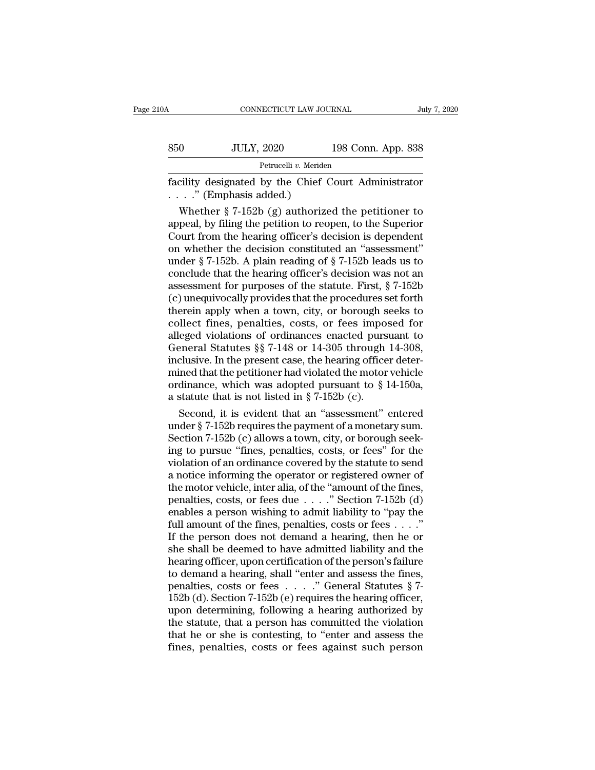| 0A  | CONNECTICUT LAW JOURNAL                                                              |                    | July 7, 2020 |  |
|-----|--------------------------------------------------------------------------------------|--------------------|--------------|--|
| 850 | <b>JULY, 2020</b>                                                                    | 198 Conn. App. 838 |              |  |
|     | Petrucelli v. Meriden                                                                |                    |              |  |
|     | facility designated by the Chief Court Administrator<br>$\ldots$ " (Emphasis added.) |                    |              |  |
|     | Whether $\S 7-152b$ (g) authorized the petitioner to                                 |                    |              |  |

 $\frac{JULY, 2020}{Petrucelli v. Meriden}$ <br>
Eclity designated by the Chief Court Administrator<br>  $\therefore$  " (Emphasis added.)<br>
Whether § 7-152b (g) authorized the petitioner to<br>
peal, by filing the petition to reopen, to the Superior<br>
wurt fro 850 JULY, 2020 198 Conn. App. 838<br>
Petrucelli v. Meriden<br>
facility designated by the Chief Court Administrator<br>  $\ldots$  ." (Emphasis added.)<br>
Whether § 7-152b (g) authorized the petitioner to<br>
appeal, by filing the petition Petrucelli v. Meriden<br>
facility designated by the Chief Court Administrator<br>  $\ldots$  " (Emphasis added.)<br>
Whether § 7-152b (g) authorized the petitioner to<br>
appeal, by filing the petition to reopen, to the Superior<br>
Court f Facility designated by the Chief Court Administrator<br>  $\ldots$ ." (Emphasis added.)<br>
Whether § 7-152b (g) authorized the petitioner to<br>
appeal, by filing the petition to reopen, to the Superior<br>
Court from the hearing officer facility designated by the Chief Court Administrator<br>  $\ldots$ ." (Emphasis added.)<br>
Whether § 7-152b (g) authorized the petitioner to<br>
appeal, by filing the petition to reopen, to the Superior<br>
Court from the hearing officer conclude that the hearing officer's decision was not an Whether § 7-152b (g) authorized the petitioner to<br>appeal, by filing the petition to reopen, to the Superior<br>Court from the hearing officer's decision is dependent<br>on whether the decision constituted an "assessment"<br>under appeal, by filing the petition to reopen, to the Superior<br>Court from the hearing officer's decision is dependent<br>on whether the decision constituted an "assessment"<br>under  $\S$  7-152b. A plain reading of  $\S$  7-152b leads us Court from the hearing officer's decision is dependent<br>on whether the decision constituted an "assessment"<br>under § 7-152b. A plain reading of § 7-152b leads us to<br>conclude that the hearing officer's decision was not an<br>as on whether the decision constituted an "assessment"<br>under § 7-152b. A plain reading of § 7-152b leads us to<br>conclude that the hearing officer's decision was not an<br>assessment for purposes of the statute. First, § 7-152b<br>( under § 7-152b. A plain reading of § 7-152b leads us to<br>conclude that the hearing officer's decision was not an<br>assessment for purposes of the statute. First, § 7-152b<br>(c) unequivocally provides that the procedures set fo conclude that the hearing officer's decision was not an<br>assessment for purposes of the statute. First, § 7-152b<br>(c) unequivocally provides that the procedures set forth<br>therein apply when a town, city, or borough seeks to<br> assessment for purposes of the statute. First,  $\S$  7-152b (c) unequivocally provides that the procedures set forth therein apply when a town, city, or borough seeks to collect fines, penalties, costs, or fees imposed for (c) unequivocally provides that the procedures set forth<br>therein apply when a town, city, or borough seeks to<br>collect fines, penalties, costs, or fees imposed for<br>alleged violations of ordinances enacted pursuant to<br>Gener therein apply when a town, city, or borough seeks to collect fines, penalties, costs, or fees imposed for alleged violations of ordinances enacted pursuant to General Statutes  $\S$  7-148 or 14-305 through 14-308, inclusive collect fines, penalties, costs, or fees impodelleged violations of ordinances enacted purs<br>General Statutes  $\S$  7-148 or 14-305 through<br>inclusive. In the present case, the hearing office<br>mined that the petitioner had vio eged violations of ordinances enacted pursuant to<br>
eneral Statutes §§ 7-148 or 14-305 through 14-308,<br>
clusive. In the present case, the hearing officer deter-<br>
ined that the petitioner had violated the motor vehicle<br>
din General Statutes §§ 7-148 or 14-305 through 14-308,<br>inclusive. In the present case, the hearing officer deter-<br>mined that the petitioner had violated the motor vehicle<br>ordinance, which was adopted pursuant to § 14-150a,<br>a

inclusive. In the present case, the hearing officer deter-<br>mined that the petitioner had violated the motor vehicle<br>ordinance, which was adopted pursuant to § 14-150a,<br>a statute that is not listed in § 7-152b (c).<br>Second, mined that the petitioner had violated the motor vehicle<br>ordinance, which was adopted pursuant to § 14-150a,<br>a statute that is not listed in § 7-152b (c).<br>Second, it is evident that an "assessment" entered<br>under § 7-152b ordinance, which was adopted pursuant to § 14-150a,<br>a statute that is not listed in § 7-152b (c).<br>Second, it is evident that an "assessment" entered<br>under § 7-152b requires the payment of a monetary sum.<br>Section 7-152b (c a statute that is not listed in § 7-152b (c).<br>
Second, it is evident that an "assessment" entered<br>
under § 7-152b requires the payment of a monetary sum.<br>
Section 7-152b (c) allows a town, city, or borough seek-<br>
ing to p Second, it is evident that an "assessment" entered<br>under § 7-152b requires the payment of a monetary sum.<br>Section 7-152b (c) allows a town, city, or borough seek-<br>ing to pursue "fines, penalties, costs, or fees" for the<br>v under § 7-152b requires the payment of a monetary sum.<br>Section 7-152b (c) allows a town, city, or borough seeking to pursue "fines, penalties, costs, or fees" for the<br>violation of an ordinance covered by the statute to sen Section 7-152b (c) allows a town, city, or borough seeking to pursue "fines, penalties, costs, or fees" for the violation of an ordinance covered by the statute to send a notice informing the operator or registered owner ing to pursue "fines, penalties, costs, or fees" for the violation of an ordinance covered by the statute to send<br>a notice informing the operator or registered owner of<br>the motor vehicle, inter alia, of the "amount of the violation of an ordinance covered by the statute to send<br>a notice informing the operator or registered owner of<br>the motor vehicle, inter alia, of the "amount of the fines,<br>penalties, costs, or fees due  $\ldots$ ." Section 7-1 a notice informing the operator or registered owner of<br>the motor vehicle, inter alia, of the "amount of the fines,<br>penalties, costs, or fees due  $\ldots$ ." Section 7-152b (d)<br>enables a person wishing to admit liability to "p the motor vehicle, inter alia, of the "amount of the fines,<br>penalties, costs, or fees due  $\dots$ ." Section 7-152b (d)<br>enables a person wishing to admit liability to "pay the<br>full amount of the fines, penalties, costs or fee penalties, costs, or fees due . . . ." Section 7-152b (d)<br>enables a person wishing to admit liability to "pay the<br>full amount of the fines, penalties, costs or fees . . . ."<br>If the person does not demand a hearing, then he enables a person wishing to admit liability to "pay the full amount of the fines, penalties, costs or fees . . . ."<br>If the person does not demand a hearing, then he or she shall be deemed to have admitted liability and th full amount of the fines, penalties, costs or fees  $\dots$ ."<br>If the person does not demand a hearing, then he or<br>she shall be deemed to have admitted liability and the<br>hearing officer, upon certification of the person's fail If the person does not demand a hearing, then he or<br>she shall be deemed to have admitted liability and the<br>hearing officer, upon certification of the person's failure<br>to demand a hearing, shall "enter and assess the fines she shall be deemed to have admitted liability and the<br>hearing officer, upon certification of the person's failure<br>to demand a hearing, shall "enter and assess the fines,<br>penalties, costs or fees  $\dots$ ." General Statutes § hearing officer, upon certification of the person's failure<br>to demand a hearing, shall "enter and assess the fines,<br>penalties, costs or fees  $\dots$ ." General Statutes § 7-<br>152b (d). Section 7-152b (e) requires the hearing o to demand a hearing, shall "enter and assess the fines,<br>penalties, costs or fees  $\dots$  ." General Statutes § 7-<br>152b (d). Section 7-152b (e) requires the hearing officer,<br>upon determining, following a hearing authorized by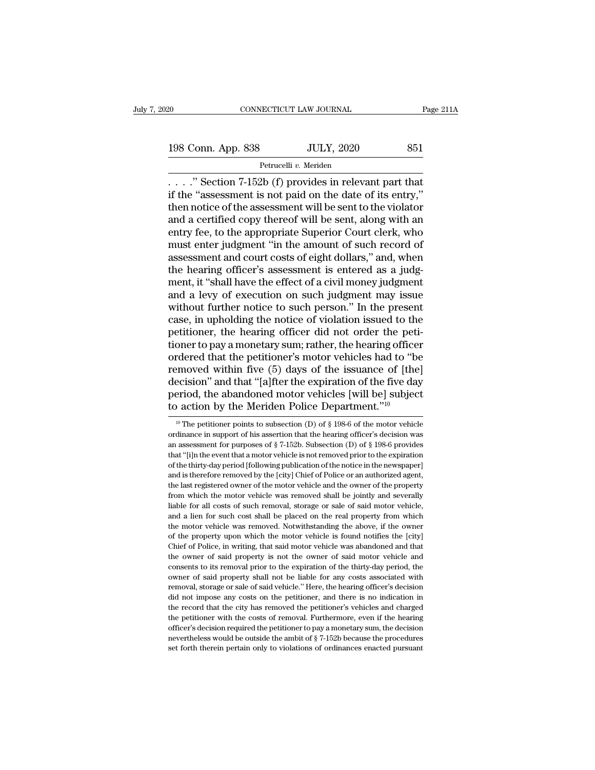EXECUTE CONNECTICUT LAW JOURNAL Page 211A<br>198 Conn. App. 838 JULY, 2020 851<br>Petrucelli v. Meriden

Petrucelli *v.* Meriden

. . . .'' Section 7-152b (f) provides in relevant part that 198 Conn. App. 838 JULY, 2020 851<br>
Petrucelli v. Meriden<br>  $\ldots$  "Section 7-152b (f) provides in relevant part that<br>
if the "assessment is not paid on the date of its entry,"<br>
then notice of the assessment will be sent to 198 Conn. App. 838 JULY, 2020 851<br>
Petrucelli v. Meriden<br>  $\cdots$  "Section 7-152b (f) provides in relevant part that<br>
if the "assessment is not paid on the date of its entry,"<br>
then notice of the assessment will be sent to 198 Conn. App. 838 JULY, 2020 851<br>
Petrucelli v. Meriden<br>  $\cdots$  " Section 7-152b (f) provides in relevant part that<br>
if the "assessment is not paid on the date of its entry,"<br>
then notice of the assessment will be sent to Petrucelli v. Meriden<br>  $\ldots$  ." Section 7-152b (f) provides in relevant part that<br>
if the "assessment is not paid on the date of its entry,"<br>
then notice of the assessment will be sent to the violator<br>
and a certified cop Petrucelli v. Meriden<br>  $\ldots$  ." Section 7-152b (f) provides in relevant part that<br>
if the "assessment is not paid on the date of its entry,"<br>
then notice of the assessment will be sent to the violator<br>
and a certified cop . . . . . " Section 7-152b (f) provides in relevant part that<br>if the "assessment is not paid on the date of its entry,"<br>then notice of the assessment will be sent to the violator<br>and a certified copy thereof will be sent, if the "assessment is not paid on the date of its entry,"<br>then notice of the assessment will be sent to the violator<br>and a certified copy thereof will be sent, along with an<br>entry fee, to the appropriate Superior Court cle then notice of the assessment will be sent to the violator<br>and a certified copy thereof will be sent, along with an<br>entry fee, to the appropriate Superior Court clerk, who<br>must enter judgment "in the amount of such record and a certified copy thereof will be sent, along with an<br>entry fee, to the appropriate Superior Court clerk, who<br>must enter judgment "in the amount of such record of<br>assessment and court costs of eight dollars," and, when<br> entry fee, to the appropriate Superior Court clerk, who<br>must enter judgment "in the amount of such record of<br>assessment and court costs of eight dollars," and, when<br>the hearing officer's assessment is entered as a judg-<br>me must enter judgment "in the amount of such record of<br>assessment and court costs of eight dollars," and, when<br>the hearing officer's assessment is entered as a judg-<br>ment, it "shall have the effect of a civil money judgment<br> assessment and court costs of eight dollars," and, when<br>the hearing officer's assessment is entered as a judg-<br>ment, it "shall have the effect of a civil money judgment<br>and a levy of execution on such judgment may issue<br>wi the hearing officer's assessment is entered as a judgment, it "shall have the effect of a civil money judgment<br>and a levy of execution on such judgment may issue<br>without further notice to such person." In the present<br>case, ment, it "shall have the effect of a civil money judgment<br>and a levy of execution on such judgment may issue<br>without further notice to such person." In the present<br>case, in upholding the notice of violation issued to the<br>p and a levy of execution on such judgment may issue<br>without further notice to such person." In the present<br>case, in upholding the notice of violation issued to the<br>petitioner, the hearing officer did not order the peti-<br>tio without further notice to such person." In the present<br>case, in upholding the notice of violation issued to the<br>petitioner, the hearing officer did not order the peti-<br>tioner to pay a monetary sum; rather, the hearing offi case, in upholding the notice of violation issued to the<br>petitioner, the hearing officer did not order the peti-<br>tioner to pay a monetary sum; rather, the hearing officer<br>ordered that the petitioner's motor vehicles had to petitioner, the hearing officer did not order the petitioner to pay a monetary sum; rather, the hearing office ordered that the petitioner's motor vehicles had to "be removed within five (5) days of the issuance of [the d ecision" and that "[a]fter the expiration of the five day<br>ecision" and that "[a]fter the expiration of the five day<br>eriod, the abandoned motor vehicles [will be] subject<br> $\frac{10}{10}$  action by the Meriden Police Department decision" and that "[a]fter the expiration of the five day<br>period, the abandoned motor vehicles [will be] subject<br>to action by the Meriden Police Department."<sup>10</sup><br><sup>10</sup> The petitioner points to subsection (D) of § 198-6 of

period, the abandoned motor vehicles [will be] subject<br>to action by the Meriden Police Department."<sup>10</sup><br><sup>10</sup> The petitioner points to subsection (D) of § 198-6 of the motor vehicle<br>ordinance in support of his assertion th to action by the Meriden Police Department."<sup>10</sup><br><sup>10</sup> The petitioner points to subsection (D) of § 198-6 of the motor vehicle<br>ordinance in support of his assertion that the hearing officer's decision was<br>an assessment for To accuor by the Meridell Police Department.<br>
<sup>10</sup> The petitioner points to subsection (D) of § 198-6 of the motor vehicle<br>
ordinance in support of his assertion that the hearing officer's decision was<br>
an assessment for <sup>10</sup> The petitioner points to subsection (D) of § 198-6 of the motor vehicle ordinance in support of his assertion that the hearing officer's decision was an assessment for purposes of § 7-152b. Subsection (D) of § 198-6 ordinance in support of his assertion that the hearing officer's decision was an assessment for purposes of  $\S 7$ -152b. Subsection (D) of  $\S 198$ -6 provides that "[i]n the event that a motor vehicle is not removed prior t From which the motor vehicle was removed prior is a sees and assessment for purposes of  $\S 7-152b$ . Subsection (D) of  $\S 198-6$  provides that "[i]n the event that a motor vehicle is not removed prior to the expiration of an assessment for purposes of § 7-152b. Subsection (D) of § 198-6 provides that "[i]n the event that a motor vehicle is not removed prior to the expiration of the thirty-day period [following publication of the notice in and a lien for such cost shall be placed on the real property and is therefore removed by the [city] Chief of Police or an authorized agent, the last registered owner of the motor vehicle and the owner of the property from and is therefore removed by the [city] Chief of Police or an authorized agent, the last registered owner of the motor vehicle and the owner of the property from which the motor vehicle was removed shall be jointly and seve the last registered owner of the motor vehicle and the owner of the property from which the motor vehicle was removed shall be jointly and severally liable for all costs of such removal, storage or sale of said motor vehic From which the motor vehicle was removed shall be jointly and severally liable for all costs of such removal, storage or sale of said motor vehicle, and a lien for such cost shall be placed on the real property from which Train "near a costs of such removal, storage or sale of said motor vehicle, and a lien for such cost shall be placed on the real property from which the motor vehicle was removed. Notwithstanding the above, if the owner of and a lien for such cost shall be placed on the real property from which<br>the motor vehicle was removed. Notwithstanding the above, if the owner<br>of the property upon which the motor vehicle is found notifies the [city]<br>Chie the motor vehicle was removed. Notwithstanding the above, if the owner of the property upon which the motor vehicle is found notifies the [city] Chief of Police, in writing, that said motor vehicle was abandoned and that t of the property upon which the motor vehicle is found notifies the [city] Chief of Police, in writing, that said motor vehicle was abandoned and that the owner of said property is not the owner of said motor vehicle and co Chief of Police, in writing, that said motor vehicle was abandoned and that the owner of said property is not the owner of said motor vehicle and consents to its removal prior to the expiration of the thirty-day period, th the owner of said property is not the owner of said motor vehicle and consents to its removal prior to the expiration of the thirty-day period, the owner of said property shall not be liable for any costs associated with r consents to its removal prior to the expiration of the thirty-day period, the owner of said property shall not be liable for any costs associated with removal, storage or sale of said vehicle." Here, the hearing officer's officer's decision required the petitioner of  $\gamma$  and  $\gamma$  and  $\gamma$  and  $\gamma$  and  $\gamma$  costs associated with removal, storage or sale of said vehicle." Here, the hearing officer's decision did not impose any costs on the owner of said property shall not be liable for any costs associated with removal, storage or sale of said vehicle." Here, the hearing officer's decision did not impose any costs on the petitioner, and there is no indicati did not impose any costs on the petitioner, and there is no indication in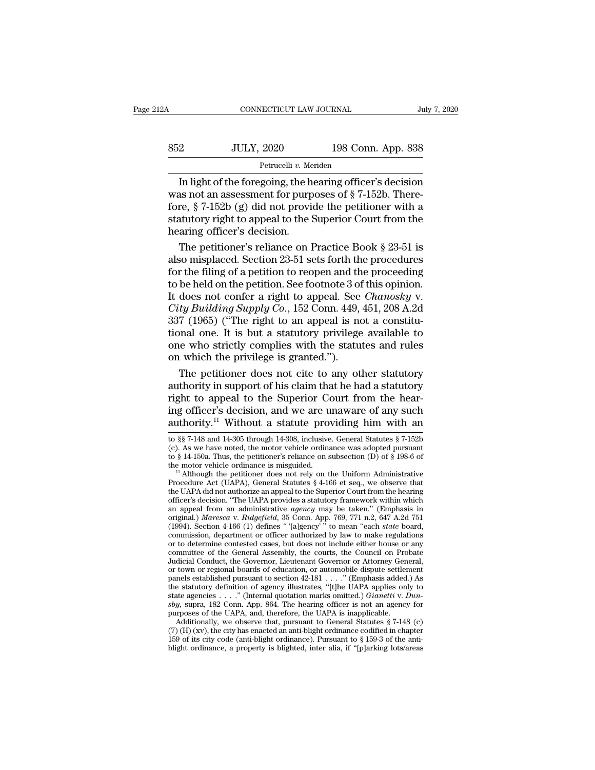# EXECUTE CONNECTICUT LAW JOURNAL July 7, 2020<br>852 JULY, 2020 198 Conn. App. 838<br>Petrucelli v. Meriden Petrucelli *v.* Meriden

CONNECTICUT LAW JOURNAL July 7, 2020<br>
2 JULY, 2020 198 Conn. App. 838<br>
Petrucelli v. Meriden<br>
In light of the foregoing, the hearing officer's decision<br>
as not an assessment for purposes of  $\S 7-152b$ . There-<br>
re  $\S 7-152$ WEY, 2020 198 Conn. App. 838<br>
Petrucelli v. Meriden<br>
In light of the foregoing, the hearing officer's decision<br>
was not an assessment for purposes of § 7-152b. There-<br>
fore, § 7-152b (g) did not provide the petitioner with 852 JULY, 2020 198 Conn. App. 838<br>
Petrucelli v. Meriden<br>
In light of the foregoing, the hearing officer's decision<br>
was not an assessment for purposes of § 7-152b. There-<br>
fore, § 7-152b (g) did not provide the petitioner State Superior Court from the Meriden<br>
State of the foregoing, the hearing officer's decision<br>
statutory right to appeal to the Superior Court from the<br>
hearing officer's decision. Fetrucelli v. Mean Petrucelli v. Mean Petrucelli v. Mean Petrucelli v. Mean Petrucelli v. Mean Petrucelli v. Mean Assessment for purp fore,  $\S 7$ -152b (g) did not provident statutory right to appeal to the  $\S$  hearing off The light of the foregoing, the hearing officer's decision<br>as not an assessment for purposes of § 7-152b. There-<br>re, § 7-152b (g) did not provide the petitioner with a<br>atutory right to appeal to the Superior Court from th In light of the foregoing, the hearing officer's decision<br>was not an assessment for purposes of  $\S$  7-152b. There-<br>fore,  $\S$  7-152b (g) did not provide the petitioner with a<br>statutory right to appeal to the Superior Court

was not an assessment for purposes of § 7-152b. Therefore, § 7-152b (g) did not provide the petitioner with a<br>statutory right to appeal to the Superior Court from the<br>hearing officer's decision.<br>The petitioner's reliance fore, § 7-152b (g) did not provide the petitioner with a<br>statutory right to appeal to the Superior Court from the<br>hearing officer's decision.<br>The petitioner's reliance on Practice Book § 23-51 is<br>also misplaced. Section 2 statutory right to appeal to the Superior Court from the<br>hearing officer's decision.<br>The petitioner's reliance on Practice Book § 23-51 is<br>also misplaced. Section 23-51 sets forth the proceeding<br>for the filing of a petitio hearing officer's decision.<br> *City Building The petitioner's reliance on Practice Book § 23-51 is<br>
also misplaced. Section 23-51 sets forth the procedures<br>
for the filing of a petition to reopen and the proceeding<br>
to be h* The petitioner's reliance on Practice Book § 23-51 is<br>also misplaced. Section 23-51 sets forth the procedures<br>for the filing of a petition to reopen and the proceeding<br>to be held on the petition. See footnote 3 of this op also misplaced. Section 23-51 sets forth the procedures<br>for the filing of a petition to reopen and the proceeding<br>to be held on the petition. See footnote 3 of this opinion.<br>It does not confer a right to appeal. See *Chano* for the filing of a petition to reopen and the proceeding<br>to be held on the petition. See footnote 3 of this opinion.<br>It does not confer a right to appeal. See *Chanosky* v.<br>*City Building Supply Co.*, 152 Conn. 449, 451, to be held on the petition. See footnote 3 of<br>It does not confer a right to appeal. See<br>City Building Supply Co., 152 Conn. 449,<br>337 (1965) ("The right to an appeal is no<br>tional one. It is but a statutory privilege<br>one wh does not confer a right to appeal. See *Chanosky* v.<br>ty Building Supply Co., 152 Conn. 449, 451, 208 A.2d<br>7 (1965) ("The right to an appeal is not a constitu-<br>nal one. It is but a statutory privilege available to<br>le who s City Building Supply Co., 152 Conn. 449, 451, 208 A.2d<br>337 (1965) ("The right to an appeal is not a constitu-<br>tional one. It is but a statutory privilege available to<br>one who strictly complies with the statutes and rules<br>

337 (1965) ("The right to an appeal is not a constitutional one. It is but a statutory privilege available to one who strictly complies with the statutes and rules on which the privilege is granted.").<br>The petitioner does tional one. It is but a statutory privilege available to<br>one who strictly complies with the statutes and rules<br>on which the privilege is granted.").<br>The petitioner does not cite to any other statutory<br>authority in support one who strictly complies with the statutes and rules<br>on which the privilege is granted.").<br>The petitioner does not cite to any other statutory<br>authority in support of his claim that he had a statutory<br>right to appeal to authority in support of his claim that he had a statutory<br>right to appeal to the Superior Court from the hear-<br>ing officer's decision, and we are unaware of any such<br>authority.<sup>11</sup> Without a statute providing him with an<br> right to appeal to the Superior Court from the hear-<br>ing officer's decision, and we are unaware of any such<br>authority.<sup>11</sup> Without a statute providing him with an<br>to §§ 7-148 and 14-305 through 14-308, inclusive. General

 $\left( 7\right)$  (H) (xv), the city has enacted an anti-blight ordinance codified in chapter

Fight to appear to the superior Court from the near-<br>ing officer's decision, and we are unaware of any such<br>authority.<sup>11</sup> Without a statute providing him with an<br>to § 7-148 and 14-305 through 14-308, inclusive. General S ing officer's decision, and we are unaware of any such<br>authority.<sup>11</sup> Without a statute providing him with an<br>to §§ 7-148 and 14-305 through 14-308, inclusive. General Statutes § 7-152b<br>(c). As we have noted, the motor ve

to §§ 7-148 and 14-305 through 14-308, inclusive. General Statutes § 7-152b (c). As we have noted, the motor vehicle ordinance was adopted pursuant to § 14-150a. Thus, the petitioner's reliance on subsection (D) of § 198to §§ 7-148 and 14-305 through 14-308, inclusive. General Statutes § 7-152b (c). As we have noted, the motor vehicle ordinance was adopted pursuant to § 14-150a. Thus, the petitioner's reliance on subsection (D) of § 198-C). As we have noted, the motor vehicle ordinance was adopted pursuant to § 14-150a. Thus, the petitioner's reliance on subsection (D) of § 198-6 of the motor vehicle ordinance is misguided.<br>
<sup>11</sup> Although the petitioner to \$14-150a. Thus, the petitioner's reliance on subsection (D) of \$198-6 of<br>the motor vehicle ordinance is misguided.<br><sup>11</sup> Although the petitioner's reliance on subsection (D) of \$198-6 of<br>the motor vehicle ordinance is mi original.) *Maresca* v. *Ridgefield*, 35 Conn. App. 769, 771 n.2, 647 A.2d 751 Connission denational experience is misguided.<br>
<sup>11</sup> Although the petitioner does not rely on the Uniform Administrative Procedure Act (UAPA), <sup>11</sup> Although the petitioner does not rely on the Uniform Administrative<br><sup>11</sup> Although the petitioner does not rely on the Uniform Administrative<br>Procedure Act (UAPA), General Statutes § 4-166 et seq., we observe that<br>the Procedure Act (UAPA), General Statutes § 4-166 et seq., we observe that<br>the UAPA did not authorize an appeal to the Superior Court from the hearing<br>officer's decision. "The UAPA provides a statutory framework within which The UAPA did not authorize an appeal to the Superior Court from the hearing officer's decision. "The UAPA provides a statutory framework within which an appeal from an administrative *agency* may be taken." (Emphasis in o committee of the General Assembly, the courts, the Council officer's decision. "The UAPA provides a statutory framework within which<br>an appeal from an administrative *agency* may be taken." (Emphasis in<br>original.) *Maresca* an appeal from an administrative agency may be taken." (Emphasis in original.) *Maresca* v. *Ridgefield*, 35 Conn. App. 769, 771 n.2, 647 A.2d 751 (1994). Section 4-166 (1) defines " '[algency' " to mean "each *state* boa original.) *Maresca v. Ridgefield*, 35 Conn. App. 769, 771 n.2, 647 A.2d 751 (1994). Section 4-166 (1) defines " [algency' " to mean "each *state* board, commission, department or officer authorized by law to make regulati (1994). Section 4-166 (1) defines "'{algency'" to mean "each *state* board,<br>commission, department or officer authorized by law to make regulations<br>or to determine contested cases, but does not include either house or any commission, department or officer authorized by law to make regulations<br>or to determine contested cases, but does not include either house or any<br>committee of the General Assembly, the courts, the Council on Probate<br>Judici or to determine contested cases, but does not include either house or any<br>committee of the General Assembly, the courts, the Council on Probate<br>Judicial Conduct, the Governor, Lieutenant Governor or Attorney General,<br>or to *s* committee of the General Assembly, the courts, the Council on Probate Judicial Conduct, the Governor, Lieutenant Governor or Attorney General, or town or regional boards of education, or automobile dispute settlement p Judicial Conduct, the Governor, Lieutenant Governor or Attorney Gen<br>or town or regional boards of education, or automobile dispute settler<br>panels established pursuant to section 42-181 . . . . " (Emphasis added<br>the statut town or regional boards of education, or automobile dispute settlement<br>nels established pursuant to section 42-181 . . . ." (Emphasis added.) As<br>e statutory definition of agency illustrates, "[t]he UAPA applies only to<br>at panels established pursuant to section 42-181 . . . . " (Emphasis added.) As<br>the statutory definition of agency illustrates, "[t]he UAPA applies only to<br>state agencies . . . . " (Internal quotation marks omitted.) *Gianet* the statutory definition of agency illustrates, "[t]he UAPA applies only to state agencies . . . ." (Internal quotation marks omitted.) *Gianetti* v. *Dunsby*, supra, 182 Conn. App. 864. The hearing officer is not an agen